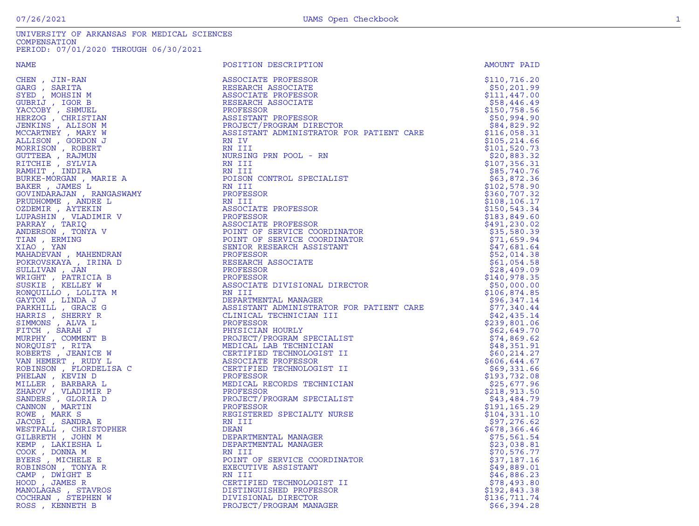| <b>NAME</b>                                                                                                                                                                                                                                                        | POSITION DESCRIPTION                                                                                                                                                                                                                                                      | AMOUNT PAID                                           |
|--------------------------------------------------------------------------------------------------------------------------------------------------------------------------------------------------------------------------------------------------------------------|---------------------------------------------------------------------------------------------------------------------------------------------------------------------------------------------------------------------------------------------------------------------------|-------------------------------------------------------|
| CHEN, JIN-RAN                                                                                                                                                                                                                                                      | ASSOCIATE PROFESSOR                                                                                                                                                                                                                                                       | \$110, 716.20                                         |
| GARG , SARITA                                                                                                                                                                                                                                                      | RESEARCH ASSOCIATE                                                                                                                                                                                                                                                        | \$50,201.99                                           |
| SYED, MOHSIN M                                                                                                                                                                                                                                                     | ASSOCIATE PROFESSOR                                                                                                                                                                                                                                                       | \$111,447.00                                          |
| GUBRIJ , IGOR B                                                                                                                                                                                                                                                    | RESEARCH ASSOCIATE                                                                                                                                                                                                                                                        | \$58,446.49                                           |
| YACCOBY, SHMUEL                                                                                                                                                                                                                                                    | PROFESSOR                                                                                                                                                                                                                                                                 | \$150,758.56                                          |
| HERZOG , CHRISTIAN                                                                                                                                                                                                                                                 |                                                                                                                                                                                                                                                                           | \$50,994.90                                           |
| JENKINS , ALISON M                                                                                                                                                                                                                                                 |                                                                                                                                                                                                                                                                           |                                                       |
| MCCARTNEY, MARY W                                                                                                                                                                                                                                                  | FROFESSOOR<br>ASSISTANT PROFESSOR<br>PROJECT/PROGRAM DIRECTOR<br>ASSISTANT ADMINISTRATOR FOR PATIENT CARE<br>PN IV                                                                                                                                                        | \$84,829.92<br>\$116,058.31                           |
|                                                                                                                                                                                                                                                                    | RN IV                                                                                                                                                                                                                                                                     |                                                       |
| ALLISON, GORDON J                                                                                                                                                                                                                                                  |                                                                                                                                                                                                                                                                           | \$105, 214.66                                         |
| MORRISON, ROBERT                                                                                                                                                                                                                                                   | RN III                                                                                                                                                                                                                                                                    | \$101,520.73                                          |
| GUTTEEA, RAJMUN                                                                                                                                                                                                                                                    | NURSING PRN POOL - RN                                                                                                                                                                                                                                                     | \$20,883.32                                           |
| RITCHIE, SYLVIA                                                                                                                                                                                                                                                    |                                                                                                                                                                                                                                                                           | \$107,356.31                                          |
| RAMHIT, INDIRA                                                                                                                                                                                                                                                     |                                                                                                                                                                                                                                                                           | \$85,740.76                                           |
|                                                                                                                                                                                                                                                                    |                                                                                                                                                                                                                                                                           | \$63,872.36                                           |
|                                                                                                                                                                                                                                                                    |                                                                                                                                                                                                                                                                           | \$102,578.90                                          |
|                                                                                                                                                                                                                                                                    |                                                                                                                                                                                                                                                                           | \$360,707.32                                          |
|                                                                                                                                                                                                                                                                    |                                                                                                                                                                                                                                                                           | \$108, 106.17                                         |
|                                                                                                                                                                                                                                                                    |                                                                                                                                                                                                                                                                           | \$150,543.34                                          |
|                                                                                                                                                                                                                                                                    |                                                                                                                                                                                                                                                                           | \$183,849.60                                          |
|                                                                                                                                                                                                                                                                    |                                                                                                                                                                                                                                                                           | \$491, 230.02                                         |
|                                                                                                                                                                                                                                                                    |                                                                                                                                                                                                                                                                           | \$35,580.39                                           |
|                                                                                                                                                                                                                                                                    |                                                                                                                                                                                                                                                                           | \$71,659.94                                           |
|                                                                                                                                                                                                                                                                    |                                                                                                                                                                                                                                                                           | \$47,681.64                                           |
|                                                                                                                                                                                                                                                                    |                                                                                                                                                                                                                                                                           | \$52,014.38                                           |
|                                                                                                                                                                                                                                                                    |                                                                                                                                                                                                                                                                           | \$61,054.58                                           |
|                                                                                                                                                                                                                                                                    |                                                                                                                                                                                                                                                                           | \$28,409.09                                           |
| RICHIE , SIDVIA<br>RAMHIT , INDIRA<br>BURKE-MORGAN , MARIE A<br>BAKER , JAMES L<br>GOVINDARAJAN , RANGASWAMY<br>PRUDHOMME , ANDRE L<br>OZDEMIR , AYTEKIN<br>LUPASHIN , VLADIMIR V<br>PARRAY , TARIQ<br>TIAN , ERMING<br>XIAO , YAN<br>MAHADEVAN , MAHENDRAN<br>POK | NET THE POST OF SERVICE SPECIALIST<br>NET III<br>POISON CONTROL SPECIALIST<br>RN III<br>PROFESSOR<br>RN III<br>ASSOCIATE PROFESSOR<br>ASSOCIATE PROFESSOR<br>ASSOCIATE PROFESSOR<br>POINT OF SERVICE COORDINATOR<br>POINT OF SERVICE COORDINATOR<br><br>PROFESSOR         | \$140,978.35                                          |
| SUSKIE, KELLEY W                                                                                                                                                                                                                                                   | INSIDUST<br>ASSOCIATE DIVISIONAL DIRECTOR<br>RN III<br>DEPARTMENTAL MANAGER                                                                                                                                                                                               | \$50,000.00                                           |
|                                                                                                                                                                                                                                                                    | RN III<br>DEPARTMENTAL MANAGER<br>ASSISTANT ADMINISTRATOR FOR PATIENT CARE<br>CLINICAL TECHNICIAN III                                                                                                                                                                     | \$106,874.85                                          |
|                                                                                                                                                                                                                                                                    |                                                                                                                                                                                                                                                                           |                                                       |
|                                                                                                                                                                                                                                                                    |                                                                                                                                                                                                                                                                           | $596,347.14$ $577,340.44$ $542,435.14$ $5239$ $001.2$ |
|                                                                                                                                                                                                                                                                    |                                                                                                                                                                                                                                                                           |                                                       |
|                                                                                                                                                                                                                                                                    | PROFESSOR                                                                                                                                                                                                                                                                 |                                                       |
|                                                                                                                                                                                                                                                                    |                                                                                                                                                                                                                                                                           | \$62,649.70                                           |
|                                                                                                                                                                                                                                                                    |                                                                                                                                                                                                                                                                           | \$74,869.62                                           |
|                                                                                                                                                                                                                                                                    |                                                                                                                                                                                                                                                                           | \$48,351.91                                           |
|                                                                                                                                                                                                                                                                    |                                                                                                                                                                                                                                                                           | \$60, 214.27                                          |
|                                                                                                                                                                                                                                                                    |                                                                                                                                                                                                                                                                           | \$606,644.67                                          |
|                                                                                                                                                                                                                                                                    |                                                                                                                                                                                                                                                                           | \$69,331.66                                           |
|                                                                                                                                                                                                                                                                    |                                                                                                                                                                                                                                                                           | \$193,732.08                                          |
|                                                                                                                                                                                                                                                                    |                                                                                                                                                                                                                                                                           | \$25,677.96                                           |
|                                                                                                                                                                                                                                                                    | PROFESSOR<br>PRYSICIAN HOURLY<br>PROJECT/PROGRAM SPECIALIST<br>MEDICAL LAB TECHNICIAN<br>CERTIFIED TECHNOLOGIST II<br>ASSOCIATE PROFESSOR<br>CERTIFIED TECHNOLOGIST II<br>PROFESSOR<br>MEDICAL RECORDS TECHNICIAN<br>PROFESSOR<br>MEDICAL RECORDS TECHNICIAN<br>PROFESSOR | \$218,913.50                                          |
|                                                                                                                                                                                                                                                                    | PROJECT/PROGRAM SPECIALIST                                                                                                                                                                                                                                                | \$43,484.79                                           |
|                                                                                                                                                                                                                                                                    | PROFESSOR                                                                                                                                                                                                                                                                 | \$191,165.29                                          |
| SUSKIE , KELLEY W<br>RONQUILLO , LOLITA M<br>GAYTON , LINDA J<br>PARKHILL , GRACE G<br>HARRIS , SHERRY R<br>SIMMONS , ALVA L<br>FITCH , SARAH J<br>MURPHY , COMMENT B<br>NORQUIST , RITA<br>RORERTS , JEANICE W<br>VAN HEMERT , RUDY L<br>ROBINSON , FLORDELISA    | REGISTERED SPECIALTY NURSE                                                                                                                                                                                                                                                | \$104,331.10                                          |
|                                                                                                                                                                                                                                                                    | RN III                                                                                                                                                                                                                                                                    | \$97,276.62                                           |
| WESTFALL, CHRISTOPHER                                                                                                                                                                                                                                              | DEAN                                                                                                                                                                                                                                                                      | \$678,366.46                                          |
| GILBRETH, JOHN M                                                                                                                                                                                                                                                   | DEPARTMENTAL MANAGER                                                                                                                                                                                                                                                      | \$75,561.54                                           |
| KEMP , LAKIESHA L                                                                                                                                                                                                                                                  | DEPARTMENTAL MANAGER                                                                                                                                                                                                                                                      | \$23,038.81                                           |
| COOK, DONNA M                                                                                                                                                                                                                                                      | RN III                                                                                                                                                                                                                                                                    | \$70,576.77                                           |
| BYERS, MICHELE E                                                                                                                                                                                                                                                   | POINT OF SERVICE COORDINATOR                                                                                                                                                                                                                                              | \$37,187.16                                           |
| ROBINSON, TONYA R                                                                                                                                                                                                                                                  | EXECUTIVE ASSISTANT                                                                                                                                                                                                                                                       | \$49,889.01                                           |
| CAMP, DWIGHT E                                                                                                                                                                                                                                                     | RN III                                                                                                                                                                                                                                                                    | \$46,886.23                                           |
| HOOD, JAMES R                                                                                                                                                                                                                                                      | CERTIFIED TECHNOLOGIST II                                                                                                                                                                                                                                                 | \$78,493.80                                           |
| MANOLAGAS, STAVROS                                                                                                                                                                                                                                                 | UNALLEL TECHNOLOGIST<br>DISTINGUISHED PROFESSOR<br>DIVISIONAL DIRECTOR                                                                                                                                                                                                    | \$192,843.38                                          |
| COCHRAN, STEPHEN W                                                                                                                                                                                                                                                 |                                                                                                                                                                                                                                                                           | \$136,711.74                                          |
| ROSS, KENNETH B                                                                                                                                                                                                                                                    | PROJECT/PROGRAM MANAGER                                                                                                                                                                                                                                                   | \$66,394.28                                           |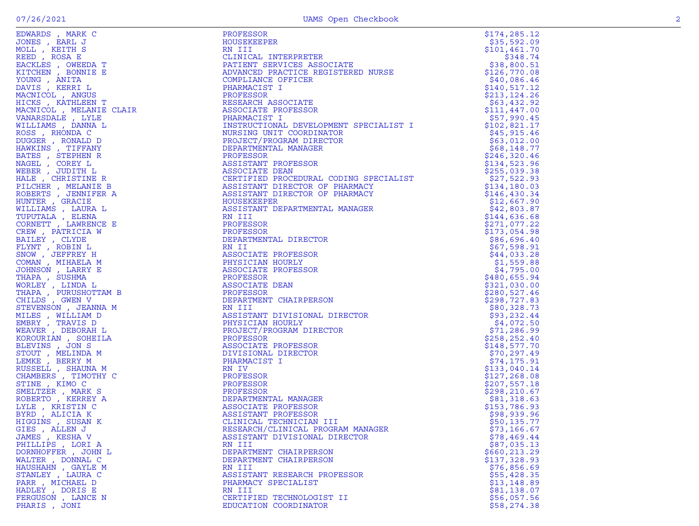|                                                                                                                                                                                                                                                    | PROFESSOR<br>HOUSEKEEPER<br>RN III<br>CLINICAL INTERPRETER<br>PATIENT SERVICES ASSOCIATE<br>ADVANCED PRACTICE REGISTERED NURSE<br>COMPLIANCE OFFICER                                                                                             | \$174,285.12               |
|----------------------------------------------------------------------------------------------------------------------------------------------------------------------------------------------------------------------------------------------------|--------------------------------------------------------------------------------------------------------------------------------------------------------------------------------------------------------------------------------------------------|----------------------------|
|                                                                                                                                                                                                                                                    |                                                                                                                                                                                                                                                  | \$35,592.09                |
|                                                                                                                                                                                                                                                    |                                                                                                                                                                                                                                                  | \$101,461.70               |
|                                                                                                                                                                                                                                                    |                                                                                                                                                                                                                                                  | \$348.74                   |
|                                                                                                                                                                                                                                                    |                                                                                                                                                                                                                                                  | \$38,800.51                |
|                                                                                                                                                                                                                                                    |                                                                                                                                                                                                                                                  | \$126,770.08               |
|                                                                                                                                                                                                                                                    |                                                                                                                                                                                                                                                  | \$40,086.46                |
|                                                                                                                                                                                                                                                    |                                                                                                                                                                                                                                                  | \$140, 517.12              |
|                                                                                                                                                                                                                                                    |                                                                                                                                                                                                                                                  | \$213, 124.26              |
|                                                                                                                                                                                                                                                    |                                                                                                                                                                                                                                                  | \$63,432.92                |
|                                                                                                                                                                                                                                                    |                                                                                                                                                                                                                                                  | \$111,447.00               |
|                                                                                                                                                                                                                                                    |                                                                                                                                                                                                                                                  | \$57,990.45                |
|                                                                                                                                                                                                                                                    | INSTRUCTIONAL DEVELOPMENT SPECIALIST I                                                                                                                                                                                                           | \$102,821.17               |
|                                                                                                                                                                                                                                                    | NURSING UNIT COORDINATOR                                                                                                                                                                                                                         | \$45,915.46                |
|                                                                                                                                                                                                                                                    | PROJECT/PROGRAM DIRECTOR                                                                                                                                                                                                                         | \$63,012.00                |
|                                                                                                                                                                                                                                                    |                                                                                                                                                                                                                                                  | \$68,148.77                |
|                                                                                                                                                                                                                                                    | WENT SEBUTES.<br>ITOR<br>JTOR<br>TOR<br>TOR<br>TOR<br>TOR                                                                                                                                                                                        | \$246,320.46               |
|                                                                                                                                                                                                                                                    |                                                                                                                                                                                                                                                  | \$134,523.96               |
|                                                                                                                                                                                                                                                    |                                                                                                                                                                                                                                                  | \$255,039.38               |
|                                                                                                                                                                                                                                                    |                                                                                                                                                                                                                                                  | \$27,522.93                |
|                                                                                                                                                                                                                                                    |                                                                                                                                                                                                                                                  | \$134,180.03               |
|                                                                                                                                                                                                                                                    |                                                                                                                                                                                                                                                  | \$146,430.34               |
|                                                                                                                                                                                                                                                    |                                                                                                                                                                                                                                                  | \$12,667.90                |
|                                                                                                                                                                                                                                                    |                                                                                                                                                                                                                                                  | \$42,803.87                |
|                                                                                                                                                                                                                                                    | ASSOCIATE DEAN<br>CERTIFIED PROCEDURAL CODING SPECIALIST<br>ASSISTANT DIRECTOR OF PHARMACY<br>HOUSEKEEPER<br>ASSISTANT DEPARTMENTAL MANAGER<br>RN III<br>PROFESSOR<br>PROFESSOR<br>PROFESSOR<br>PROFESSOR<br>PROFESSOR<br>PROFESSOR<br>PROFESSOR | \$144,636.68               |
|                                                                                                                                                                                                                                                    |                                                                                                                                                                                                                                                  | \$271,077.22               |
|                                                                                                                                                                                                                                                    |                                                                                                                                                                                                                                                  | \$173,054.98               |
|                                                                                                                                                                                                                                                    | DEPARTMENTAL DIRECTOR                                                                                                                                                                                                                            | \$86,696.40<br>\$67,598.91 |
|                                                                                                                                                                                                                                                    |                                                                                                                                                                                                                                                  |                            |
|                                                                                                                                                                                                                                                    |                                                                                                                                                                                                                                                  | \$44,033.28                |
|                                                                                                                                                                                                                                                    | DIRECTOR<br>FESSOR<br>RLY<br>FESSOR<br>N<br>AIRPERSON<br>ISIONAL DIRECTOR<br>RLY<br>AM DIRECTOR<br>FESSOR<br>FESSOR                                                                                                                              | \$1,559.88                 |
|                                                                                                                                                                                                                                                    |                                                                                                                                                                                                                                                  | \$4,795.00<br>\$480,655.94 |
|                                                                                                                                                                                                                                                    |                                                                                                                                                                                                                                                  | \$321,030.00               |
|                                                                                                                                                                                                                                                    |                                                                                                                                                                                                                                                  | \$280,527.46               |
|                                                                                                                                                                                                                                                    | DEPARTMENT CHAIRPERSON                                                                                                                                                                                                                           | \$298,727.83               |
|                                                                                                                                                                                                                                                    |                                                                                                                                                                                                                                                  | \$80,328.73                |
|                                                                                                                                                                                                                                                    | ASSISTANT DIVISIONAL DIRECTOR                                                                                                                                                                                                                    | \$93,232.44                |
|                                                                                                                                                                                                                                                    |                                                                                                                                                                                                                                                  | \$4,072.50                 |
|                                                                                                                                                                                                                                                    | PHYSICIAN ROOM<br>PROJECT/PROGRAM DIRECTOR                                                                                                                                                                                                       | \$71, 286.99               |
|                                                                                                                                                                                                                                                    |                                                                                                                                                                                                                                                  | \$258, 252.40              |
|                                                                                                                                                                                                                                                    |                                                                                                                                                                                                                                                  | \$148,577.70               |
|                                                                                                                                                                                                                                                    |                                                                                                                                                                                                                                                  | \$70,297.49                |
|                                                                                                                                                                                                                                                    |                                                                                                                                                                                                                                                  | \$74,175.91                |
|                                                                                                                                                                                                                                                    |                                                                                                                                                                                                                                                  | \$133,040.14               |
|                                                                                                                                                                                                                                                    |                                                                                                                                                                                                                                                  | \$127, 268.08              |
|                                                                                                                                                                                                                                                    |                                                                                                                                                                                                                                                  | \$207,557.18               |
|                                                                                                                                                                                                                                                    |                                                                                                                                                                                                                                                  | \$298, 210.67              |
|                                                                                                                                                                                                                                                    |                                                                                                                                                                                                                                                  | \$81,318.63                |
|                                                                                                                                                                                                                                                    |                                                                                                                                                                                                                                                  | \$153,786.93               |
|                                                                                                                                                                                                                                                    |                                                                                                                                                                                                                                                  | \$98,939.96                |
|                                                                                                                                                                                                                                                    |                                                                                                                                                                                                                                                  | \$50, 135.77               |
| GIES , ALLEN J                                                                                                                                                                                                                                     |                                                                                                                                                                                                                                                  | \$73,166.67                |
| JAMES , KESHA V                                                                                                                                                                                                                                    |                                                                                                                                                                                                                                                  | \$78,469.44                |
| EDANE IS A RANCOR A PROTEINE RESERVATION IN THE CONFIDENCE INTERFERENCE IN THE CONFIDENTIAL INFORMATION CONFIDENTIAL INTERFERENCE RECORD PACTICIES AND A RANCOR CONFIDENCE IN THE CONFIDENCE INTERFERENCE INTO A RANCOR CONFID<br>PHILLIPS, LORI A | THE PROFESSOR<br>CLINICAL TECHNICIAN III<br>RESEARCH/CLINICAL PROGRAM MANAGER<br>ASSISTANT DIVISIONAL DIRECTOR<br>NIII<br>PEPARTMENT CHAIDDT                                                                                                     | \$87,035.13                |
| DORNHOFFER, JOHN L                                                                                                                                                                                                                                 |                                                                                                                                                                                                                                                  | \$660,213.29               |
| WALTER , DONNAL C                                                                                                                                                                                                                                  | DEPARTMENT CHAIRPERSON                                                                                                                                                                                                                           | \$137,328.93               |
| HAUSHAHN , GAYLE M                                                                                                                                                                                                                                 | RN III                                                                                                                                                                                                                                           | \$76,856.69                |
| STANLEY, LAURA C                                                                                                                                                                                                                                   | ASSISTANT RESEARCH PROFESSOR                                                                                                                                                                                                                     | \$55,428.35                |
| PARR, MICHAEL D                                                                                                                                                                                                                                    | PHARMACY SPECIALIST                                                                                                                                                                                                                              | \$13,148.89                |
| HADLEY, DORIS E                                                                                                                                                                                                                                    | RN III                                                                                                                                                                                                                                           | \$81,138.07                |
| FERGUSON, LANCE N                                                                                                                                                                                                                                  | CERTIFIED TECHNOLOGIST II                                                                                                                                                                                                                        | \$56,057.56                |
| PHARIS, JONI                                                                                                                                                                                                                                       | EDUCATION COORDINATOR                                                                                                                                                                                                                            | \$58,274.38                |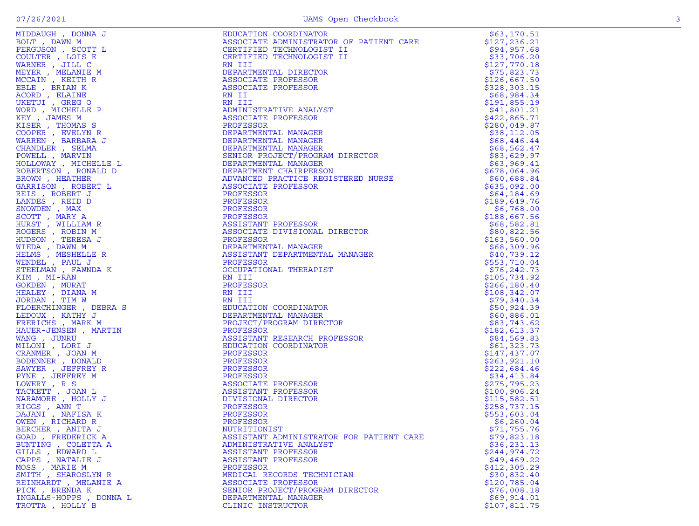|                                                                                                                                                                                                                                                                                       | EDUCATION COORDINATOR                                                                                                                                                                                                                             | \$63,170.51   |
|---------------------------------------------------------------------------------------------------------------------------------------------------------------------------------------------------------------------------------------------------------------------------------------|---------------------------------------------------------------------------------------------------------------------------------------------------------------------------------------------------------------------------------------------------|---------------|
|                                                                                                                                                                                                                                                                                       | ASSOCIATE ADMINISTRATOR OF PATIENT CARE                                                                                                                                                                                                           | \$127,236.21  |
|                                                                                                                                                                                                                                                                                       | CERTIFIED TECHNOLOGIST II                                                                                                                                                                                                                         | \$94,957.68   |
|                                                                                                                                                                                                                                                                                       | CERTIFIED TECHNOLOGIST II                                                                                                                                                                                                                         | \$33,706.20   |
|                                                                                                                                                                                                                                                                                       |                                                                                                                                                                                                                                                   |               |
|                                                                                                                                                                                                                                                                                       | RN III                                                                                                                                                                                                                                            | \$127,770.18  |
|                                                                                                                                                                                                                                                                                       | DEPARTMENTAL DIRECTOR                                                                                                                                                                                                                             | \$75,823.73   |
|                                                                                                                                                                                                                                                                                       | ASSOCIATE PROFESSOR                                                                                                                                                                                                                               | \$126,667.50  |
|                                                                                                                                                                                                                                                                                       | ASSOCIATE PROFESSOR                                                                                                                                                                                                                               | \$328,303.15  |
|                                                                                                                                                                                                                                                                                       | RN II                                                                                                                                                                                                                                             | \$68,984.34   |
|                                                                                                                                                                                                                                                                                       | RN III                                                                                                                                                                                                                                            | \$191,855.19  |
|                                                                                                                                                                                                                                                                                       | ADMINISTRATIVE ANALYST                                                                                                                                                                                                                            | \$41,801.21   |
|                                                                                                                                                                                                                                                                                       | ASSOCIATE PROFESSOR                                                                                                                                                                                                                               | \$422,865.71  |
|                                                                                                                                                                                                                                                                                       |                                                                                                                                                                                                                                                   |               |
|                                                                                                                                                                                                                                                                                       | PROFESSOR                                                                                                                                                                                                                                         | \$280,049.87  |
|                                                                                                                                                                                                                                                                                       |                                                                                                                                                                                                                                                   | \$38,112.05   |
|                                                                                                                                                                                                                                                                                       |                                                                                                                                                                                                                                                   | \$68,446.44   |
|                                                                                                                                                                                                                                                                                       |                                                                                                                                                                                                                                                   | \$68,562.47   |
|                                                                                                                                                                                                                                                                                       |                                                                                                                                                                                                                                                   | \$83,629.97   |
|                                                                                                                                                                                                                                                                                       |                                                                                                                                                                                                                                                   | \$63,969.41   |
|                                                                                                                                                                                                                                                                                       |                                                                                                                                                                                                                                                   | \$678,064.96  |
|                                                                                                                                                                                                                                                                                       |                                                                                                                                                                                                                                                   | \$60,688.84   |
|                                                                                                                                                                                                                                                                                       |                                                                                                                                                                                                                                                   | \$635,092.00  |
|                                                                                                                                                                                                                                                                                       |                                                                                                                                                                                                                                                   |               |
|                                                                                                                                                                                                                                                                                       |                                                                                                                                                                                                                                                   | \$64,184.69   |
|                                                                                                                                                                                                                                                                                       |                                                                                                                                                                                                                                                   | \$189,649.76  |
|                                                                                                                                                                                                                                                                                       | PLANAGER<br>DEPARTMENTAL MANAGER<br>DEPARTMENTAL MANAGER<br>DEPARTMENT CHAIRPERSON<br>ADVANCED PRACTICE REGISTERED NURSE<br>ASSOCIATE PROFESSOR<br>PROFESSOR<br>PROFESSOR<br>ROFESSOR<br>ROFESSOR<br>ROFESSOR<br>ROFESSOR<br>ROFESSOR<br>ROFESSOR | \$6,768.00    |
|                                                                                                                                                                                                                                                                                       |                                                                                                                                                                                                                                                   | \$188,667.56  |
|                                                                                                                                                                                                                                                                                       | IRECTOR<br>J MANAGER<br>-<br>ASSISTANT PROFESSOR                                                                                                                                                                                                  | \$68,582.81   |
|                                                                                                                                                                                                                                                                                       | ASSOCIATE DIVISIONAL DIRECTOR                                                                                                                                                                                                                     | \$80,822.56   |
|                                                                                                                                                                                                                                                                                       | PROFESSOR                                                                                                                                                                                                                                         | \$163,560.00  |
|                                                                                                                                                                                                                                                                                       | DEPARTMENTAL MANAGER                                                                                                                                                                                                                              | \$68,309.96   |
|                                                                                                                                                                                                                                                                                       |                                                                                                                                                                                                                                                   |               |
|                                                                                                                                                                                                                                                                                       | ASSISTANT DEPARTMENTAL MANAGER                                                                                                                                                                                                                    | \$40,739.12   |
|                                                                                                                                                                                                                                                                                       | PROFESSOR                                                                                                                                                                                                                                         | \$553,710.04  |
|                                                                                                                                                                                                                                                                                       | OCCUPATIONAL THERAPIST                                                                                                                                                                                                                            | \$76, 242.73  |
|                                                                                                                                                                                                                                                                                       | RN III                                                                                                                                                                                                                                            | \$105,734.92  |
|                                                                                                                                                                                                                                                                                       | PROFESSOR                                                                                                                                                                                                                                         | \$266, 180.40 |
|                                                                                                                                                                                                                                                                                       | RN III                                                                                                                                                                                                                                            | \$108,342.07  |
|                                                                                                                                                                                                                                                                                       | RN III                                                                                                                                                                                                                                            | \$79,340.34   |
|                                                                                                                                                                                                                                                                                       |                                                                                                                                                                                                                                                   | \$50,924.39   |
|                                                                                                                                                                                                                                                                                       | KN 11<br>EDUCATION COOLL<br>DEPARTMENTAL MANAGER<br>PROJECT/PROGRAM DIRECTOR<br>DROGRAM DERARCH PROFE                                                                                                                                             | \$60,886.01   |
|                                                                                                                                                                                                                                                                                       |                                                                                                                                                                                                                                                   |               |
|                                                                                                                                                                                                                                                                                       |                                                                                                                                                                                                                                                   | \$83,743.62   |
|                                                                                                                                                                                                                                                                                       |                                                                                                                                                                                                                                                   | \$182,613.37  |
|                                                                                                                                                                                                                                                                                       | ASSISTANT RESEARCH PROFESSOR                                                                                                                                                                                                                      | \$84,569.83   |
|                                                                                                                                                                                                                                                                                       | EDUCATION COORDINATOR                                                                                                                                                                                                                             | \$61,323.73   |
|                                                                                                                                                                                                                                                                                       | PROFESSOR                                                                                                                                                                                                                                         | \$147,437.07  |
|                                                                                                                                                                                                                                                                                       | PROFESSOR                                                                                                                                                                                                                                         | \$263,921.10  |
|                                                                                                                                                                                                                                                                                       | PROFESSOR                                                                                                                                                                                                                                         | \$222,684.46  |
|                                                                                                                                                                                                                                                                                       | PROFESSOR                                                                                                                                                                                                                                         | \$34,413.84   |
|                                                                                                                                                                                                                                                                                       | ASSOCIATE PROFESSOR                                                                                                                                                                                                                               | \$275,795.23  |
|                                                                                                                                                                                                                                                                                       | ASSISTANT PROFESSOR                                                                                                                                                                                                                               | \$100, 906.24 |
|                                                                                                                                                                                                                                                                                       |                                                                                                                                                                                                                                                   | \$115,582.51  |
|                                                                                                                                                                                                                                                                                       | DIVISIONAL DIRECTOR                                                                                                                                                                                                                               |               |
|                                                                                                                                                                                                                                                                                       | PROFESSOR                                                                                                                                                                                                                                         | \$258,737.15  |
|                                                                                                                                                                                                                                                                                       | PROFESSOR                                                                                                                                                                                                                                         | \$553,603.04  |
|                                                                                                                                                                                                                                                                                       | PROFESSOR                                                                                                                                                                                                                                         | \$6,260.04    |
| BERCHER , ANITA J                                                                                                                                                                                                                                                                     | NUTRITIONIST                                                                                                                                                                                                                                      | \$71,755.76   |
| MIDDAUGH , DONNA J<br>BOLT , DANN M<br>ROLT , DANN M<br>COULTRE , JOIS E<br>COULTRE , JOIS E<br>COULTRE , JOIS E<br>MARNER , MELL C<br>MARNER , MELL CREW , REALINE M<br>ROLED , REALINE MERINE B<br>MOREL , MICHELLE P<br>COUP , MICHELLE P<br>COUP , MICHELLE<br>GOAD , FREDERICK A | ASSISTANT ADMINISTRATOR FOR PATIENT CARE                                                                                                                                                                                                          | \$79,823.18   |
| BUNTING , COLETTA A                                                                                                                                                                                                                                                                   | ADMINISTRATIVE ANALYST                                                                                                                                                                                                                            | \$36, 231.13  |
| GILLS, EDWARD L                                                                                                                                                                                                                                                                       | ASSISTANT PROFESSOR                                                                                                                                                                                                                               | \$244,974.72  |
| CAPPS, NATALIE J                                                                                                                                                                                                                                                                      | ASSISTANT PROFESSOR                                                                                                                                                                                                                               | \$49,469.22   |
| MOSS , MARIE M                                                                                                                                                                                                                                                                        | PROFESSOR                                                                                                                                                                                                                                         | \$412,305.29  |
| SMITH, SHAROSLYN R                                                                                                                                                                                                                                                                    | MEDICAL RECORDS TECHNICIAN                                                                                                                                                                                                                        |               |
|                                                                                                                                                                                                                                                                                       |                                                                                                                                                                                                                                                   | \$30,832.40   |
| REINHARDT, MELANIE A                                                                                                                                                                                                                                                                  | ASSOCIATE PROFESSOR                                                                                                                                                                                                                               | \$120,785.04  |
| PICK, BRENDA K                                                                                                                                                                                                                                                                        | SENIOR PROJECT/PROGRAM DIRECTOR                                                                                                                                                                                                                   | \$76,008.18   |
| INGALLS-HOPPS, DONNA L                                                                                                                                                                                                                                                                | DEPARTMENTAL MANAGER                                                                                                                                                                                                                              | \$69,914.01   |
| TROTTA, HOLLY B                                                                                                                                                                                                                                                                       | CLINIC INSTRUCTOR                                                                                                                                                                                                                                 | \$107,811.75  |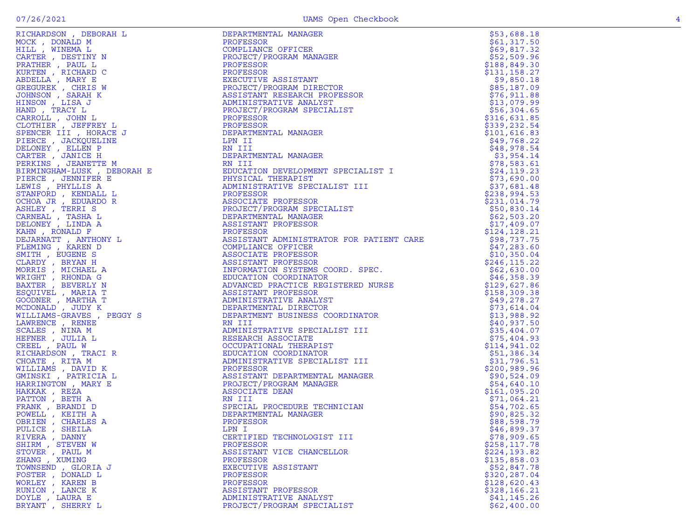| PULICE, SHEILA     | LPN I                      | \$46,899.37   |
|--------------------|----------------------------|---------------|
| RIVERA, DANNY      | CERTIFIED TECHNOLOGIST III | \$78,909.65   |
| SHIRM, STEVEN W    | PROFESSOR                  | \$258, 117.78 |
| STOVER, PAUL M     | ASSISTANT VICE CHANCELLOR  | \$224,193.82  |
| ZHANG , XUMING     | PROFESSOR                  | \$135,858.03  |
| TOWNSEND, GLORIA J | EXECUTIVE ASSISTANT        | \$52,847.78   |
| FOSTER , DONALD L  | PROFESSOR                  | \$320,287.04  |
| WORLEY, KAREN B    | PROFESSOR                  | \$128,620.43  |
| RUNION, LANCE K    | ASSISTANT PROFESSOR        | \$328,166.21  |
| DOYLE, LAURA E     | ADMINISTRATIVE ANALYST     | \$41, 145.26  |
| BRYANT, SHERRY L   | PROJECT/PROGRAM SPECIALIST | \$62,400.00   |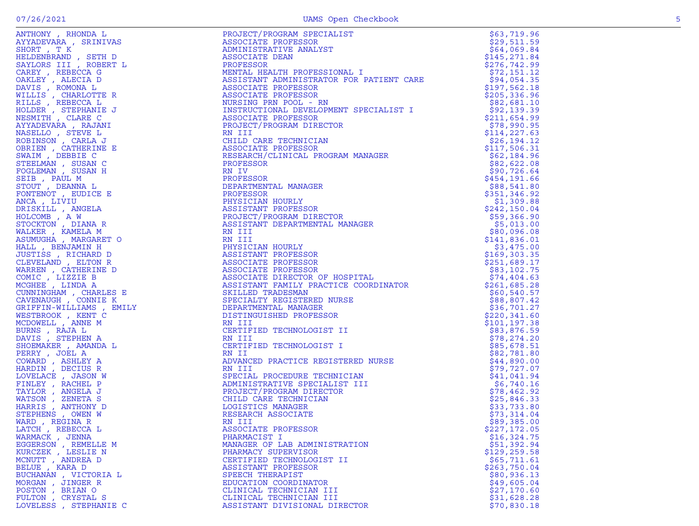| WARMACK, JENNA        |                                                                                                                                                                                                                                                               |               |
|-----------------------|---------------------------------------------------------------------------------------------------------------------------------------------------------------------------------------------------------------------------------------------------------------|---------------|
| EGGERSON, REMELLE M   | APPROXIMATE A FIRST MANUFACTION IN A SERVE AND MANUFACTION IN A SERVE AND A SERVE AND MANUFACTION IN A SERVE AND MANUFACTION IN A SERVE AND MANUFACTION IN A SERVE AND MANUFACTION IN A SERVE AND MANUFACTION IN A SERVE AND<br>MANAGER OF LAB ADMINISTRATION | \$51,392.94   |
| KURCZEK , LESLIE N    | PHARMACY SUPERVISOR                                                                                                                                                                                                                                           | \$129, 259.58 |
| MCNUTT, ANDREA D      | CERTIFIED TECHNOLOGIST II                                                                                                                                                                                                                                     | \$65,711.61   |
| BELUE, KARA D         | ASSISTANT PROFESSOR                                                                                                                                                                                                                                           | \$263,750.04  |
| BUCHANAN , VICTORIA L | SPEECH THERAPIST                                                                                                                                                                                                                                              | \$80,936.13   |
| MORGAN, JINGER R      | EDUCATION COORDINATOR                                                                                                                                                                                                                                         | \$49,605.04   |
| POSTON, BRIAN O       | CLINICAL TECHNICIAN III                                                                                                                                                                                                                                       | \$27,170.60   |
| FULTON , CRYSTAL S    | CLINICAL TECHNICIAN III                                                                                                                                                                                                                                       | \$31,628.28   |
| LOVELESS, STEPHANIE C | ASSISTANT DIVISIONAL DIRECTOR                                                                                                                                                                                                                                 | \$70,830.18   |

ANTHONY , RHONDA L PROJECT/PROGRAM SPECIALIST \$63,719.96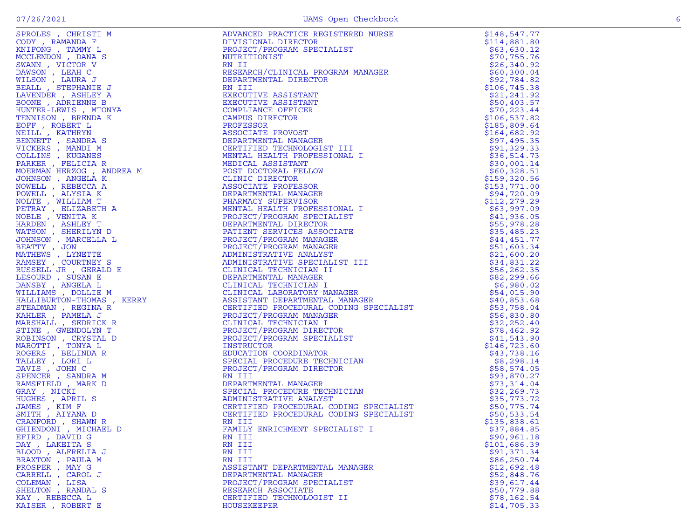| GHIENDONI , MICHAEL D | FAMILY ENRICHMENT SPECIALIST I | \$37,884.85  |
|-----------------------|--------------------------------|--------------|
| EFIRD, DAVID G        | RN III                         | \$90, 961.18 |
| DAY, LAKEITA S        | RN III                         | \$101,686.39 |
| BLOOD, ALFRELIA J     | RN III                         | \$91,371.34  |
| BRAXTON, PAULA M      | RN III                         | \$86, 250.74 |
| PROSPER, MAY G        | ASSISTANT DEPARTMENTAL MANAGER | \$12,692.48  |
| CARRELL , CAROL J     | DEPARTMENTAL MANAGER           | \$52,848.76  |
| COLEMAN , LISA        | PROJECT/PROGRAM SPECIALIST     | \$39,617.44  |
| SHELTON, RANDAL S     | RESEARCH ASSOCIATE             | \$50,779.88  |
| KAY, REBECCA L        | CERTIFIED TECHNOLOGIST II      | \$78,162.54  |
| KAISER, ROBERT E      | HOUSEKEEPER                    | \$14,705.33  |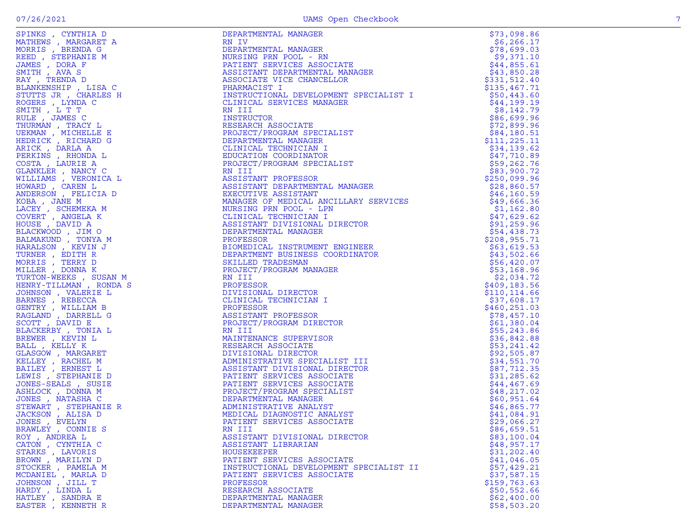| SPINKS, CYNTHIA D                               | DEPARTMENTAL MANAGER                                                                                                                                                                                                                               | \$73,098.86                  |
|-------------------------------------------------|----------------------------------------------------------------------------------------------------------------------------------------------------------------------------------------------------------------------------------------------------|------------------------------|
| MATHEWS, MARGARET A                             | RN IV                                                                                                                                                                                                                                              | \$6,266.17                   |
| MORRIS, BRENDA G                                | DEPARTMENTAL MANAGER<br>NURSING PRN POOL - RN<br>PATIENT SERVICES ASSOCIATE<br>ASSISTANT DEPARTMENTAL MANAGER<br>ASSOCIATE VICE CHANCELLOR<br>PHARMACIST I<br>INSTRUCTIONAL DEVELORMENT SERVICE I                                                  | \$78,699.03                  |
| REED, STEPHANIE M                               |                                                                                                                                                                                                                                                    | \$9,371.10                   |
| JAMES , DORA F                                  |                                                                                                                                                                                                                                                    | \$44,855.61                  |
| SMITH, AVA S                                    |                                                                                                                                                                                                                                                    | \$43,850.28                  |
| RAY, TRENDA D                                   |                                                                                                                                                                                                                                                    | \$331,512.40                 |
| BLANKENSHIP , LISA C                            |                                                                                                                                                                                                                                                    | \$135,467.71                 |
| STUTTS JR , CHARLES H                           | INSTRUCTIONAL DEVELOPMENT SPECIALIST I                                                                                                                                                                                                             | \$50,443.60                  |
| ROGERS, LYNDA C                                 |                                                                                                                                                                                                                                                    | \$44,199.19                  |
| SMITH , L T T                                   |                                                                                                                                                                                                                                                    | \$8,142.79                   |
| RULE, JAMES C                                   |                                                                                                                                                                                                                                                    | \$86,699.96                  |
| THURMAN, TRACY L                                |                                                                                                                                                                                                                                                    | \$72,899.96                  |
| UEKMAN , MICHELLE E                             |                                                                                                                                                                                                                                                    | \$84,180.51                  |
| HEDRICK, RICHARD G                              |                                                                                                                                                                                                                                                    | \$111,225.11                 |
| ARICK, DARLA A                                  |                                                                                                                                                                                                                                                    | \$34,139.62                  |
| PERKINS, RHONDA L                               |                                                                                                                                                                                                                                                    | \$47,710.89                  |
| COSTA, LAURIE A                                 |                                                                                                                                                                                                                                                    | \$59,262.76                  |
| GLANKLER, NANCY C                               |                                                                                                                                                                                                                                                    | \$83,900.72                  |
| WILLIAMS , VERONICA L                           |                                                                                                                                                                                                                                                    | \$250,099.96                 |
| HOWARD, CAREN L                                 |                                                                                                                                                                                                                                                    | \$28,860.57                  |
| ANDERSON, FELICIA D                             |                                                                                                                                                                                                                                                    | \$46, 160.59                 |
| KOBA, JANE M                                    |                                                                                                                                                                                                                                                    | \$49,666.36                  |
|                                                 |                                                                                                                                                                                                                                                    | \$1,162.80                   |
| LACEY, SCHEMEKA M                               |                                                                                                                                                                                                                                                    | \$47,629.62                  |
| COVERT, ANGELA K<br>HOUSE, DAVID A              |                                                                                                                                                                                                                                                    | \$91,259.96                  |
|                                                 |                                                                                                                                                                                                                                                    | \$54,438.73                  |
| BLACKWOOD, JIM O                                |                                                                                                                                                                                                                                                    | \$208,955.71                 |
| BALMAKUND, TONYA M                              |                                                                                                                                                                                                                                                    | \$63,619.53                  |
| HARALSON, KEVIN J<br>TURNER, EDITH R            |                                                                                                                                                                                                                                                    | \$43,502.66                  |
|                                                 |                                                                                                                                                                                                                                                    |                              |
| MORRIS, TERRY D                                 |                                                                                                                                                                                                                                                    | \$56,420.07<br>\$53,168.96   |
| MILLER , DONNA K                                |                                                                                                                                                                                                                                                    |                              |
| TURTON-WEEKS, SUSAN M<br>HENRY-TILLMAN, RONDA S |                                                                                                                                                                                                                                                    | \$2,034.72                   |
|                                                 |                                                                                                                                                                                                                                                    | \$409,183.56                 |
| JOHNSON, VALERIE L                              |                                                                                                                                                                                                                                                    | \$110, 114.66                |
| BARNES, REBECCA                                 |                                                                                                                                                                                                                                                    | \$37,608.17<br>\$460, 251.03 |
| GENTRY, WILLIAM B<br>RAGLAND, DARRELL G         |                                                                                                                                                                                                                                                    | \$78,457.10                  |
| SCOTT, DAVID E                                  |                                                                                                                                                                                                                                                    | \$61,380.04                  |
| BLACKERBY, TONIA L                              |                                                                                                                                                                                                                                                    |                              |
| BREWER, KEVIN L                                 |                                                                                                                                                                                                                                                    | \$55, 243.86<br>\$36,842.88  |
| BALL, KELLY K                                   |                                                                                                                                                                                                                                                    | \$53,241.42                  |
| GLASGOW, MARGARET                               |                                                                                                                                                                                                                                                    | \$92,505.87                  |
| KELLEY , RACHEL M                               |                                                                                                                                                                                                                                                    | \$34,551.70                  |
| BAILEY , ERNEST L                               |                                                                                                                                                                                                                                                    |                              |
| LEWIS , STEPHANIE D                             | C<br>C<br>SERIEVALLE VICE CHANGE<br>NEW INCREDITIONAL DEVELOPMENT SPECIALIST I<br>INCREDITIONAL DEVELOPMENT SPECIALIST I<br>INCREDITION<br>INCREDITION<br>DEPARTMENTAL MANAGER<br>DEPARTMENTAL MANAGER<br>DEPARTMENTAL MANAGER<br>DEPARTMENTAL MAN | \$87,712.35<br>\$31, 285.62  |
| JONES-SEALS, SUSIE                              |                                                                                                                                                                                                                                                    | \$44,467.69                  |
|                                                 |                                                                                                                                                                                                                                                    |                              |
| ASHLOCK, DONNA M                                |                                                                                                                                                                                                                                                    | \$48, 217.02                 |
| JONES, NATASHA C<br>STEWART, STEPHANIE R        |                                                                                                                                                                                                                                                    | \$60,951.64                  |
|                                                 |                                                                                                                                                                                                                                                    | \$46,865.77<br>\$41,084.91   |
| JACKSON, ALISA D<br>JONES , EVELYN              |                                                                                                                                                                                                                                                    | \$29,066.27                  |
| BRAWLEY , CONNIE S                              | RN III                                                                                                                                                                                                                                             | \$86,659.51                  |
| ROY, ANDREA L                                   | ASSISTANT DIVISIONAL DIRECTOR                                                                                                                                                                                                                      |                              |
| CATON, CYNTHIA C                                | ASSISTANT LIBRARIAN                                                                                                                                                                                                                                | \$83,100.04<br>\$48,957.17   |
|                                                 | HOUSEKEEPER                                                                                                                                                                                                                                        | \$31,202.40                  |
| STARKS, LAVORIS<br>BROWN, MARILYN D             | PATIENT SERVICES ASSOCIATE                                                                                                                                                                                                                         | \$41,046.05                  |
| STOCKER, PAMELA M                               | INSTRUCTIONAL DEVELOPMENT SPECIALIST II                                                                                                                                                                                                            | \$57,429.21                  |
| MCDANIEL , MARLA D                              | PATIENT SERVICES ASSOCIATE                                                                                                                                                                                                                         | \$37,587.15                  |
| JOHNSON, JILL T                                 | PROFESSOR                                                                                                                                                                                                                                          | \$159,763.63                 |
| HARDY, LINDA L                                  | RESEARCH ASSOCIATE                                                                                                                                                                                                                                 | \$50,552.66                  |
| HATLEY , SANDRA E                               | DEPARTMENTAL MANAGER                                                                                                                                                                                                                               | \$62,400.00                  |
| EASTER, KENNETH R                               | DEPARTMENTAL MANAGER                                                                                                                                                                                                                               | \$58,503.20                  |
|                                                 |                                                                                                                                                                                                                                                    |                              |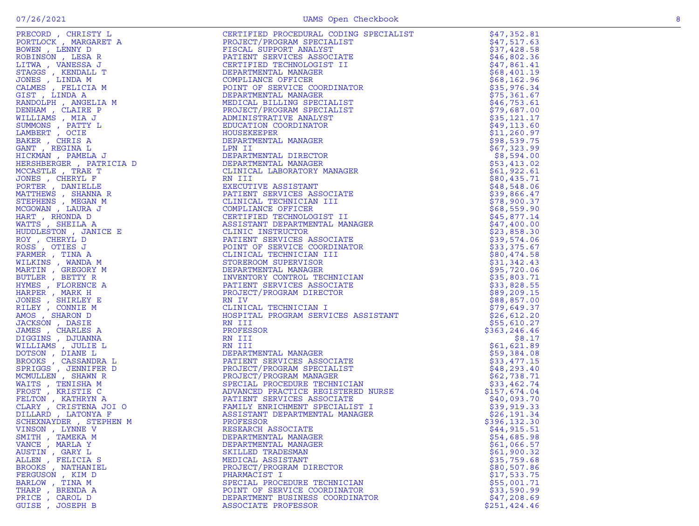| VINSON, LYNNE V   | RESEARCH ASSOCIATE                                                                                                                                                                                                                                    | \$44,915.51  |
|-------------------|-------------------------------------------------------------------------------------------------------------------------------------------------------------------------------------------------------------------------------------------------------|--------------|
| SMITH, TAMEKA M   | PROXIME (TRIPP) (1997) (1997) (1997) (1997) (1997) (1997) (1997) (1997) (1997) (1998) (1998) (1998) (1998) (1998) (1998) (1998) (1998) (1998) (1998) (1998) (1998) (1998) (1998) (1998) (1998) (1998) (1998) (1998) (1998) (1<br>DEPARTMENTAL MANAGER | \$54,685.98  |
| VANCE, MARLA Y    | DEPARTMENTAL MANAGER                                                                                                                                                                                                                                  | \$61,066.57  |
| AUSTIN, GARY L    | SKILLED TRADESMAN                                                                                                                                                                                                                                     | \$61,900.32  |
| ALLEN, FELICIA S  | MEDICAL ASSISTANT                                                                                                                                                                                                                                     | \$35,759.68  |
| BROOKS, NATHANIEL | PROJECT/PROGRAM DIRECTOR                                                                                                                                                                                                                              | \$80,507.86  |
| FERGUSON, KIM D   | PHARMACIST I                                                                                                                                                                                                                                          | \$17,533.75  |
| BARLOW, TINA M    | SPECIAL PROCEDURE TECHNICIAN                                                                                                                                                                                                                          | \$55,001.71  |
| THARP, BRENDA A   | POINT OF SERVICE COORDINATOR                                                                                                                                                                                                                          | \$33,590.99  |
| PRICE, CAROL D    | DEPARTMENT BUSINESS COORDINATOR                                                                                                                                                                                                                       | \$47,208.69  |
| GUISE, JOSEPH B   | ASSOCIATE PROFESSOR                                                                                                                                                                                                                                   | \$251,424.46 |
|                   |                                                                                                                                                                                                                                                       |              |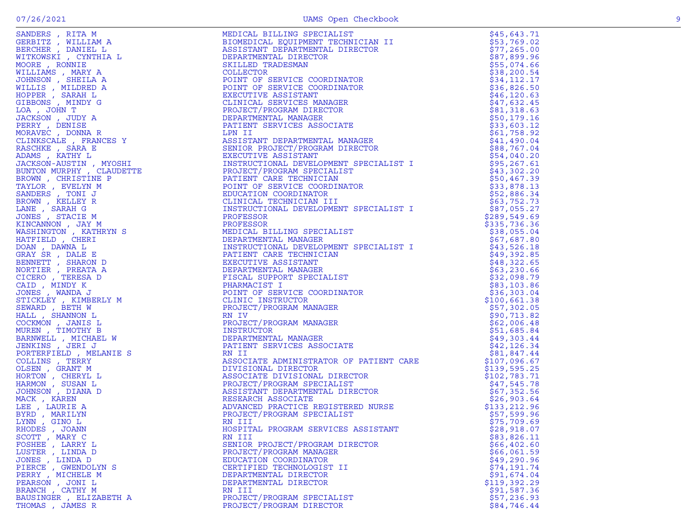| RHODES, JOANN          | HOSPITAL PROGRAM SERVICES ASSISTANT | \$28,918.07  |
|------------------------|-------------------------------------|--------------|
| SCOTT, MARY C          | RN III                              | \$83,826.11  |
| FOSHEE , LARRY L       | SENIOR PROJECT/PROGRAM DIRECTOR     | \$66, 402.60 |
| LUSTER, LINDA D        | PROJECT/PROGRAM MANAGER             | \$66,061.59  |
| JONES , LINDA D        | EDUCATION COORDINATOR               | \$49,290.96  |
| PIERCE , GWENDOLYN S   | CERTIFIED TECHNOLOGIST II           | \$74,191.74  |
| PERRY, MICHELE M       | DEPARTMENTAL DIRECTOR               | \$91,674.04  |
| PEARSON, JONI L        | DEPARTMENTAL DIRECTOR               | \$119,392.29 |
| BRANCH, CATHY M        | RN III                              | \$91,587.36  |
| BAUSINGER, ELIZABETH A | PROJECT/PROGRAM SPECIALIST          | \$57,236.93  |
| THOMAS, JAMES R        | PROJECT/PROGRAM DIRECTOR            | \$84,746.44  |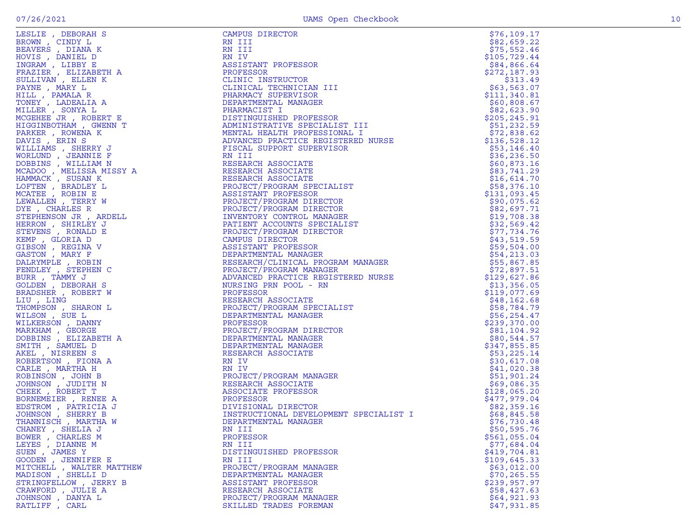| BROWN , CINDY L<br>BEAVERS , DIANA K<br>HOVIS , DANIEL D<br>INGRAM , LIBBY E<br>FRAZIER , ELIZABETH A<br>SULLIVAN , ELIZABETH A<br>SULLIVAN , ELIEN K<br>DAVATE MARY L                                                |
|-----------------------------------------------------------------------------------------------------------------------------------------------------------------------------------------------------------------------|
|                                                                                                                                                                                                                       |
|                                                                                                                                                                                                                       |
|                                                                                                                                                                                                                       |
|                                                                                                                                                                                                                       |
|                                                                                                                                                                                                                       |
|                                                                                                                                                                                                                       |
|                                                                                                                                                                                                                       |
|                                                                                                                                                                                                                       |
| PAYNE , MARY L<br>PAYNE , MARY L<br>HILL , PAMALA R<br>MOGEHEE , SONYA L<br>MCGEHEE JR , ROBERT E<br>COTANDOTUAM CEMENN                                                                                               |
|                                                                                                                                                                                                                       |
|                                                                                                                                                                                                                       |
|                                                                                                                                                                                                                       |
| HIGGINBOTHAM , GWENN T                                                                                                                                                                                                |
|                                                                                                                                                                                                                       |
| PARKER , ROWENA K<br>DAVIS , ERIN S                                                                                                                                                                                   |
| JAVIS , EKIN S<br>VILLIAMS , SHERRY J<br>VORLUND , JEANNIE F<br>JOBBINS , WILLIAM N<br>MCADOO , MELISSA MISSY A<br>HAMMACK , SUSAN K<br>JOFTEN , BRADLEY L<br>MCATEE , ROBIN E<br>JEWALLEN , TERRY W<br>JYE CHARLES R |
|                                                                                                                                                                                                                       |
|                                                                                                                                                                                                                       |
|                                                                                                                                                                                                                       |
|                                                                                                                                                                                                                       |
|                                                                                                                                                                                                                       |
|                                                                                                                                                                                                                       |
|                                                                                                                                                                                                                       |
|                                                                                                                                                                                                                       |
|                                                                                                                                                                                                                       |
| DYE , CHARLES R<br>STEPHENSON JR , ARDELL                                                                                                                                                                             |
|                                                                                                                                                                                                                       |
|                                                                                                                                                                                                                       |
| HERRON , SHIRLEY J<br>STEVENS , RONALD E                                                                                                                                                                              |
|                                                                                                                                                                                                                       |
| SIEMP , GLORIA D<br>SIBSON , REGINA V<br>SIBSON , MARY F<br>SISTNAT ROBIN                                                                                                                                             |
|                                                                                                                                                                                                                       |
|                                                                                                                                                                                                                       |
|                                                                                                                                                                                                                       |
|                                                                                                                                                                                                                       |
| SASION , MARIT<br>DALRYMPLE , ROBIN<br>FENDLEY , STEPHEN C<br>SURR , TAMMY J<br>SOLDEN , DEBORAH S<br>SRADSHER , ROBERT W<br>LIU , LING<br>MILKERSON , SHARON L<br>MILKERSON , SUE L<br>MILKERSON DANNY               |
|                                                                                                                                                                                                                       |
|                                                                                                                                                                                                                       |
|                                                                                                                                                                                                                       |
|                                                                                                                                                                                                                       |
|                                                                                                                                                                                                                       |
|                                                                                                                                                                                                                       |
|                                                                                                                                                                                                                       |
| "ILKERSON , DANNY<br>MILKERSON , DANNY<br>MARKHAM , GEORGE<br>DOBBINS , ELIZABETH A<br>SMITH , SAMUEL D<br>AKEL , NISREEN S                                                                                           |
|                                                                                                                                                                                                                       |
|                                                                                                                                                                                                                       |
|                                                                                                                                                                                                                       |
|                                                                                                                                                                                                                       |
|                                                                                                                                                                                                                       |
| ROBERTSON , FIONA A                                                                                                                                                                                                   |
| CARLE, MARTHA H                                                                                                                                                                                                       |
| XOBINSON , JOHN B<br>JOHNSON , JUDITH N<br>CHEEK , ROBERT T                                                                                                                                                           |
|                                                                                                                                                                                                                       |
|                                                                                                                                                                                                                       |
|                                                                                                                                                                                                                       |
| BORNEMEIER , RENEE A                                                                                                                                                                                                  |
| <b>EDSTROM , PATRICIA J<br/>JOHNSON , SHERRY B<br/>THANNISCH , MARTHA W</b>                                                                                                                                           |
|                                                                                                                                                                                                                       |
|                                                                                                                                                                                                                       |
| CHANEY , SHELIA J                                                                                                                                                                                                     |
|                                                                                                                                                                                                                       |
| ENWER , CHARLES M<br>LEYES , DIANNE M<br>JUEN , JAMES Y<br>300DEN , JENNIFER E<br>300DEN , JENNIFER E                                                                                                                 |
|                                                                                                                                                                                                                       |
|                                                                                                                                                                                                                       |
|                                                                                                                                                                                                                       |
|                                                                                                                                                                                                                       |
| MITCHELL , WALTER MATTHEW<br>MADISON , SHELLI D                                                                                                                                                                       |
|                                                                                                                                                                                                                       |
| STRINGFELLOW, JERRY B                                                                                                                                                                                                 |
| -<br>TRAWFORD , JULIE A<br>JOHNSON , DANYA L                                                                                                                                                                          |
|                                                                                                                                                                                                                       |
|                                                                                                                                                                                                                       |

| LESLIE , DEBORAH S        | CAMPUS DIRECTOR                                                                                                                                                                                                                                                                                                                                                                                                                                                                                                           | \$76,109.17                |
|---------------------------|---------------------------------------------------------------------------------------------------------------------------------------------------------------------------------------------------------------------------------------------------------------------------------------------------------------------------------------------------------------------------------------------------------------------------------------------------------------------------------------------------------------------------|----------------------------|
| BROWN, CINDY L            | RN III                                                                                                                                                                                                                                                                                                                                                                                                                                                                                                                    | \$82,659.22                |
| BEAVERS, DIANA K          |                                                                                                                                                                                                                                                                                                                                                                                                                                                                                                                           |                            |
|                           | RN III                                                                                                                                                                                                                                                                                                                                                                                                                                                                                                                    | \$75,552.46                |
| HOVIS, DANIEL D           | RN IV                                                                                                                                                                                                                                                                                                                                                                                                                                                                                                                     | \$105,729.44               |
| INGRAM, LIBBY E           | ASSISTANT PROFESSOR                                                                                                                                                                                                                                                                                                                                                                                                                                                                                                       | \$84,866.64                |
| FRAZIER, ELIZABETH A      | PROFESSOR                                                                                                                                                                                                                                                                                                                                                                                                                                                                                                                 | \$272,187.93               |
| SULLIVAN, ELLEN K         | CLINIC INSTRUCTOR                                                                                                                                                                                                                                                                                                                                                                                                                                                                                                         | \$313.49                   |
| PAYNE, MARY L             | CLINICAL TECHNICIAN III                                                                                                                                                                                                                                                                                                                                                                                                                                                                                                   | \$63,563.07                |
| HILL, PAMALA R            | PHARMACY SUPERVISOR                                                                                                                                                                                                                                                                                                                                                                                                                                                                                                       | \$111,340.81               |
| TONEY, LADEALIA A         | DEPARTMENTAL MANAGER                                                                                                                                                                                                                                                                                                                                                                                                                                                                                                      | \$60,808.67                |
| MILLER , SONYA L          | PHARMACIST I                                                                                                                                                                                                                                                                                                                                                                                                                                                                                                              | \$82,623.90                |
| MCGEHEE JR, ROBERT E      |                                                                                                                                                                                                                                                                                                                                                                                                                                                                                                                           | \$205, 245.91              |
| HIGGINBOTHAM, GWENN T     |                                                                                                                                                                                                                                                                                                                                                                                                                                                                                                                           | \$51,232.59                |
| PARKER, ROWENA K          |                                                                                                                                                                                                                                                                                                                                                                                                                                                                                                                           | \$72,838.62                |
| DAVIS, ERIN S             | DIARMACIST I<br>DISTINGUISHED PROFESSOR<br>ADMINISTRATIVE SPECIALIST III<br>MENTAL HEALTH PROFESSIONAL I<br>ADVANCED PRACTICE REGISTERED N<br>FISCAL SUPPORT SUPERVISOR<br>RN III<br>RESEARCH ASSOCIATE<br>RESEARCH ASSOCIATE<br>RESEARCH ASSOCIATE<br>RESEA<br>ADMINISTRATIVE SPECIALIST III<br>MENTAL HEALTH PROFESSIONAL I<br>ADVANCED PRACTICE REGISTERED NURSE<br>FISCAL SUPPORT SUPERVISOR<br>RN III<br>RESEARCH ASSOCIATE<br>RESEARCH ASSOCIATE<br>RESEARCH ASSOCIATE<br>RESEARCH ASSOCIATE<br>PROJECT/PROGRAM SPE | \$136,528.12               |
| WILLIAMS, SHERRY J        |                                                                                                                                                                                                                                                                                                                                                                                                                                                                                                                           | \$53,146.40                |
|                           |                                                                                                                                                                                                                                                                                                                                                                                                                                                                                                                           | \$36, 236.50               |
| WORLUND, JEANNIE F        |                                                                                                                                                                                                                                                                                                                                                                                                                                                                                                                           |                            |
| DOBBINS , WILLIAM N       |                                                                                                                                                                                                                                                                                                                                                                                                                                                                                                                           | \$60,873.16                |
| MCADOO, MELISSA MISSY A   |                                                                                                                                                                                                                                                                                                                                                                                                                                                                                                                           | \$83,741.29                |
| HAMMACK, SUSAN K          |                                                                                                                                                                                                                                                                                                                                                                                                                                                                                                                           | \$16,614.70                |
| LOFTEN, BRADLEY L         |                                                                                                                                                                                                                                                                                                                                                                                                                                                                                                                           | \$58,376.10                |
| MCATEE, ROBIN E           |                                                                                                                                                                                                                                                                                                                                                                                                                                                                                                                           | \$131,093.45               |
| LEWALLEN, TERRY W         |                                                                                                                                                                                                                                                                                                                                                                                                                                                                                                                           | \$90,075.62                |
| DYE, CHARLES R            |                                                                                                                                                                                                                                                                                                                                                                                                                                                                                                                           | \$82,697.71                |
| STEPHENSON JR , ARDELL    |                                                                                                                                                                                                                                                                                                                                                                                                                                                                                                                           | \$19,708.38                |
| HERRON, SHIRLEY J         |                                                                                                                                                                                                                                                                                                                                                                                                                                                                                                                           | \$32,569.42                |
| STEVENS, RONALD E         |                                                                                                                                                                                                                                                                                                                                                                                                                                                                                                                           | \$77,734.76                |
| KEMP, GLORIA D            |                                                                                                                                                                                                                                                                                                                                                                                                                                                                                                                           | \$43,519.59                |
| GIBSON, REGINA V          |                                                                                                                                                                                                                                                                                                                                                                                                                                                                                                                           | \$59,504.00                |
| GASTON, MARY F            |                                                                                                                                                                                                                                                                                                                                                                                                                                                                                                                           | \$54,213.03                |
| DALRYMPLE, ROBIN          |                                                                                                                                                                                                                                                                                                                                                                                                                                                                                                                           | \$55,867.85                |
| FENDLEY, STEPHEN C        |                                                                                                                                                                                                                                                                                                                                                                                                                                                                                                                           |                            |
|                           |                                                                                                                                                                                                                                                                                                                                                                                                                                                                                                                           | \$72,897.51                |
| BURR, TAMMY J             |                                                                                                                                                                                                                                                                                                                                                                                                                                                                                                                           | \$129,627.86               |
| GOLDEN, DEBORAH S         |                                                                                                                                                                                                                                                                                                                                                                                                                                                                                                                           | \$13,356.05                |
| BRADSHER, ROBERT W        | PROJECT/PROGRAM DIRECTOR<br>PROJECT/PROGRAM DIRECTOR<br>INVENTORY CONTROL MANAGER<br>PATIENT ACCOUNTS SPECIALIST<br>PROJECT/PROGRAM DIRECTOR<br>CAMPUS DIRECTOR<br>ASSISTANT PROFESSOR<br>DEPARTMENTAL MANAGER<br>RESEARCH/CLINICAL PROGRAM MA                                                                                                                                                                                                                                                                            | \$119,077.69               |
| LIU, LING                 |                                                                                                                                                                                                                                                                                                                                                                                                                                                                                                                           | \$48,162.68                |
| THOMPSON , SHARON L       |                                                                                                                                                                                                                                                                                                                                                                                                                                                                                                                           | \$58,784.79                |
| WILSON, SUE L             |                                                                                                                                                                                                                                                                                                                                                                                                                                                                                                                           | \$56, 254.47               |
| WILKERSON, DANNY          |                                                                                                                                                                                                                                                                                                                                                                                                                                                                                                                           | \$239,370.00               |
| MARKHAM, GEORGE           | PROJECT/PROGRAM DIRECTOR                                                                                                                                                                                                                                                                                                                                                                                                                                                                                                  | \$81,104.92                |
| DOBBINS, ELIZABETH A      |                                                                                                                                                                                                                                                                                                                                                                                                                                                                                                                           | \$80,544.57                |
| SMITH, SAMUEL D           |                                                                                                                                                                                                                                                                                                                                                                                                                                                                                                                           | \$347,855.85               |
| AKEL, NISREEN S           |                                                                                                                                                                                                                                                                                                                                                                                                                                                                                                                           | \$53,225.14                |
| ROBERTSON, FIONA A        |                                                                                                                                                                                                                                                                                                                                                                                                                                                                                                                           | \$30,617.08                |
| CARLE, MARTHA H           | PROJECT, THE MANAGER<br>DEPARTMENTAL MANAGER<br>RESEARCH ASSOCIATE<br>RN IV<br>RN IV<br>KN IV<br>PROJECT/PROGRAM MANAGER<br>RESEARCH ASSOCIATE                                                                                                                                                                                                                                                                                                                                                                            | \$41,020.38                |
| ROBINSON, JOHN B          |                                                                                                                                                                                                                                                                                                                                                                                                                                                                                                                           | \$51,901.24                |
| JOHNSON, JUDITH N         |                                                                                                                                                                                                                                                                                                                                                                                                                                                                                                                           | \$69,086.35                |
| CHEEK, ROBERT T           | ASSOCIATE PROFESSOR                                                                                                                                                                                                                                                                                                                                                                                                                                                                                                       | \$128,065.20               |
| BORNEMEIER, RENEE A       | PROFESSOR                                                                                                                                                                                                                                                                                                                                                                                                                                                                                                                 | \$477,979.04               |
|                           |                                                                                                                                                                                                                                                                                                                                                                                                                                                                                                                           | \$82,359.16                |
| EDSTROM, PATRICIA J       |                                                                                                                                                                                                                                                                                                                                                                                                                                                                                                                           |                            |
| JOHNSON, SHERRY B         |                                                                                                                                                                                                                                                                                                                                                                                                                                                                                                                           | \$68,845.58<br>\$76,730.48 |
| THANNISCH, MARTHA W       | PROFESSOR<br>DIVISIONAL DIRECTOR<br>INSTRUCTIONAL DEVELOPMENT SPECIALIST I<br>DEDAPTMENTAL MANAGER                                                                                                                                                                                                                                                                                                                                                                                                                        |                            |
| CHANEY, SHELIA J          | RN III                                                                                                                                                                                                                                                                                                                                                                                                                                                                                                                    | \$50,595.76                |
| BOWER, CHARLES M          | PROFESSOR                                                                                                                                                                                                                                                                                                                                                                                                                                                                                                                 | \$561,055.04               |
| LEYES, DIANNE M           | RN III                                                                                                                                                                                                                                                                                                                                                                                                                                                                                                                    | \$77,684.04                |
| SUEN , JAMES Y            | DISTINGUISHED PROFESSOR                                                                                                                                                                                                                                                                                                                                                                                                                                                                                                   | \$419,704.81               |
| GOODEN , JENNIFER E       | RN III                                                                                                                                                                                                                                                                                                                                                                                                                                                                                                                    | \$109,645.33               |
| MITCHELL , WALTER MATTHEW | PROJECT/PROGRAM MANAGER                                                                                                                                                                                                                                                                                                                                                                                                                                                                                                   | \$63,012.00                |
| MADISON, SHELLI D         | DEPARTMENTAL MANAGER                                                                                                                                                                                                                                                                                                                                                                                                                                                                                                      | \$70, 265.55               |
| STRINGFELLOW, JERRY B     | ASSISTANT PROFESSOR                                                                                                                                                                                                                                                                                                                                                                                                                                                                                                       | \$239,957.97               |
| CRAWFORD, JULIE A         | RESEARCH ASSOCIATE                                                                                                                                                                                                                                                                                                                                                                                                                                                                                                        | \$58,427.63                |
| JOHNSON, DANYA L          | PROJECT/PROGRAM MANAGER                                                                                                                                                                                                                                                                                                                                                                                                                                                                                                   | \$64,921.93                |
| RATLIFF , CARL            | SKILLED TRADES FOREMAN                                                                                                                                                                                                                                                                                                                                                                                                                                                                                                    | \$47,931.85                |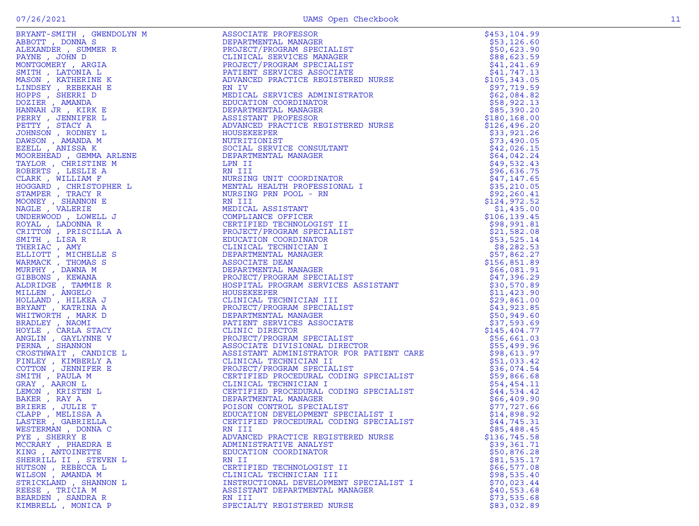|                                     | RN III                                 |                             |
|-------------------------------------|----------------------------------------|-----------------------------|
| WESTERMAN, DONNA C<br>PYE, SHERRY E | ADVANCED PRACTICE REGISTERED NURSE     | \$85,488.45<br>\$136,745.58 |
| MCCRARY, PHAEDRA E                  | ADMINISTRATIVE ANALYST                 | \$39,361.71                 |
| KING, ANTOINETTE                    | EDUCATION COORDINATOR                  | \$50,876.28                 |
| SHERRILL II , STEVEN L              | RN II                                  | \$81,535.17                 |
| HUTSON, REBECCA L                   | CERTIFIED TECHNOLOGIST II              | \$66,577.08                 |
| WILSON, AMANDA M                    | CLINICAL TECHNICIAN III                | \$98,535.40                 |
| STRICKLAND , SHANNON L              | INSTRUCTIONAL DEVELOPMENT SPECIALIST I | \$70,023.44                 |
| REESE, TRICIA M                     | ASSISTANT DEPARTMENTAL MANAGER         | \$40,553.68                 |
| BEARDEN, SANDRA R                   | RN III                                 | \$73,535.68                 |
| KIMBRELL , MONICA P                 | SPECIALTY REGISTERED NURSE             | \$83,032.89                 |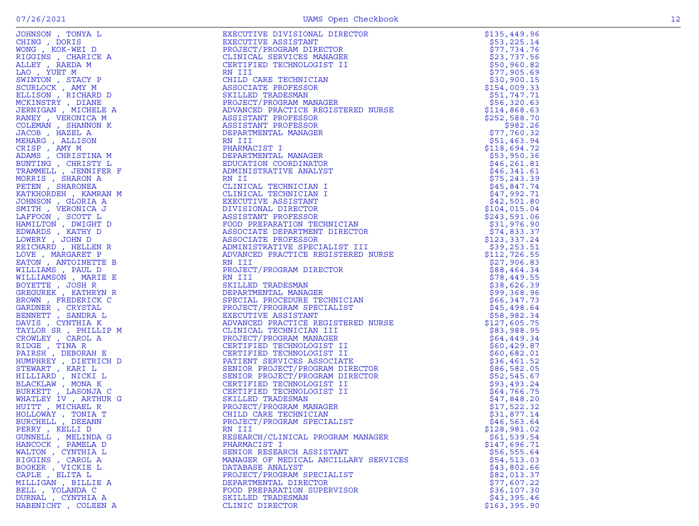| JOHNSON, TONYA L                        | EXECUTIVE DIVISIONAL DIRECTOR<br>EXECUTIVE ASSISTANT<br>PROJECT/PROGRAM DIRECTOR<br>CLINICAL SERVICES MANAGER<br>CERTIFIED TECHNOLOGIST II<br>RN III<br>CHILD CARE TECHNICIAN<br>ASSOCIATE PROFESSOR<br>SKILLED TRADESMAN<br>PROJECT/PROGRAM MANAGER<br>ADVA | \$135,449.96               |
|-----------------------------------------|--------------------------------------------------------------------------------------------------------------------------------------------------------------------------------------------------------------------------------------------------------------|----------------------------|
| CHING, DORIS                            |                                                                                                                                                                                                                                                              | \$53,225.14                |
| WONG, KOK-WEI D                         |                                                                                                                                                                                                                                                              | \$77,734.76                |
| RIGGINS, CHARICE A                      |                                                                                                                                                                                                                                                              | \$23,737.56                |
| ALLEY, RAEDA M                          |                                                                                                                                                                                                                                                              | \$50,960.82                |
| LAO, YUET M                             |                                                                                                                                                                                                                                                              | \$77,905.69                |
| SWINTON, STACY P                        |                                                                                                                                                                                                                                                              | \$30,900.15                |
| SCURLOCK, AMY M                         |                                                                                                                                                                                                                                                              | \$154,009.33               |
| ELLISON, RICHARD D                      |                                                                                                                                                                                                                                                              | \$51,747.71                |
| MCKINSTRY , DIANE                       |                                                                                                                                                                                                                                                              | \$56,320.63                |
| JERNIGAN, MICHELE A                     |                                                                                                                                                                                                                                                              | \$114,868.63               |
| RANEY, VERONICA M                       |                                                                                                                                                                                                                                                              | \$252,588.70               |
| COLEMAN , SHANNON K                     |                                                                                                                                                                                                                                                              | \$982.26                   |
| JACOB, HAZEL A                          |                                                                                                                                                                                                                                                              | \$77,760.32                |
| MEHARG, ALLISON                         |                                                                                                                                                                                                                                                              | \$51,463.94                |
| CRISP, AMY M                            | PHARMACIST I                                                                                                                                                                                                                                                 | \$118,694.72               |
| ADAMS, CHRISTINA M                      |                                                                                                                                                                                                                                                              | \$53,950.36                |
| BUNTING, CHRISTY L                      |                                                                                                                                                                                                                                                              | \$46, 261.81               |
| TRAMMELL, JENNIFER F                    |                                                                                                                                                                                                                                                              | \$46,341.61                |
| MORRIS, SHARON A                        |                                                                                                                                                                                                                                                              | \$75, 243.39               |
| PETEN, SHARONEA                         |                                                                                                                                                                                                                                                              | \$45,847.74                |
| KATKHORDEH, KAMRAN M                    |                                                                                                                                                                                                                                                              | \$47,992.71                |
| JOHNSON, GLORIA A                       |                                                                                                                                                                                                                                                              | \$42,501.80                |
| SMITH, VERONICA J                       |                                                                                                                                                                                                                                                              | \$104,015.04               |
| LAFFOON , SCOTT L                       |                                                                                                                                                                                                                                                              | \$243,591.06               |
| HAMILTON, DWIGHT D                      |                                                                                                                                                                                                                                                              | \$31,976.90                |
| EDWARDS, KATHY D                        |                                                                                                                                                                                                                                                              | \$74,833.37                |
| LOWERY , JOHN D                         |                                                                                                                                                                                                                                                              | \$123,337.24               |
| REICHARD, HELLEN R                      |                                                                                                                                                                                                                                                              | \$39,253.51                |
| LOVE, MARGARET P                        | NN TITULIS<br>NA TITURATION CONDINATOR<br>DEPARMACIST I<br>DEPARMACIST I<br>DEPARMACIST IN CONDINATOR<br>DEPARMACIST IN CONDINATOR<br>CLINICAL TECHNICIAN I<br>CLINICAL TECHNICIAN I<br>CLINICAL TECHNICIAN I<br>DIVISIONAL DIRECTOR<br>ASSOCIATE            | \$112,726.55               |
| EATON, ANTOINETTE B                     |                                                                                                                                                                                                                                                              | \$27,906.83                |
| WILLIAMS, PAUL D                        |                                                                                                                                                                                                                                                              | \$88,464.34                |
| WILLIAMSON, MARIE E                     |                                                                                                                                                                                                                                                              | \$78,449.55                |
| BOYETTE, JOSH R                         |                                                                                                                                                                                                                                                              | \$38,626.39                |
| GREGUREK, KATHRYN R                     |                                                                                                                                                                                                                                                              | \$99,368.96                |
| BROWN, FREDERICK C                      |                                                                                                                                                                                                                                                              | \$66,347.73                |
| GARDNER , CRYSTAL                       |                                                                                                                                                                                                                                                              | \$45,498.64                |
| BENNETT , SANDRA L                      |                                                                                                                                                                                                                                                              | \$58,982.34                |
| DAVIS, CYNTHIA K                        |                                                                                                                                                                                                                                                              | \$127,605.75               |
| TAYLOR SR, PHILLIP M                    |                                                                                                                                                                                                                                                              | \$83,988.95                |
| CROWLEY, CAROL A                        |                                                                                                                                                                                                                                                              | \$64,449.34                |
| RIDGE , TINA R                          |                                                                                                                                                                                                                                                              | \$60,429.87                |
| PAIRSH, DEBORAH E                       |                                                                                                                                                                                                                                                              | \$60,682.01                |
| HUMPHREY , DIETRICH D                   |                                                                                                                                                                                                                                                              | \$36,461.52                |
| STEWART , KARI L                        |                                                                                                                                                                                                                                                              | \$86,582.05                |
| HILLIARD, NICKI L                       |                                                                                                                                                                                                                                                              | \$52,545.67                |
| BLACKLAW, MONAK                         |                                                                                                                                                                                                                                                              | \$93,493.24                |
| BURKETT, LASONJA C                      |                                                                                                                                                                                                                                                              | \$64,766.75                |
| WHATLEY IV, ARTHUR G                    |                                                                                                                                                                                                                                                              | \$47,848.20                |
| HUITT, MICHAEL R                        |                                                                                                                                                                                                                                                              | \$17,522.32                |
| HOLLOWAY, TONIA T                       |                                                                                                                                                                                                                                                              | \$31,877.14                |
| BURCHELL , DEEANN                       |                                                                                                                                                                                                                                                              | \$46,563.64                |
| PERRY, KELLI D                          | RN III                                                                                                                                                                                                                                                       | \$128,981.02               |
| GUNNELL, MELINDA G                      | RESEARCH/CLINICAL PROGRAM MANAGER                                                                                                                                                                                                                            | \$61,539.54                |
| HANCOCK, PAMELA D                       | PHARMACIST I                                                                                                                                                                                                                                                 | \$147,696.71               |
| WALTON , CYNTHIA L<br>RIGGINS , CAROL A | SENIOR RESEARCH ASSISTANT                                                                                                                                                                                                                                    | \$56,555.64                |
| BOOKER , VICKIE L                       | MANAGER OF MEDICAL ANCILLARY SERVICES<br>DATABASE ANALYST                                                                                                                                                                                                    | \$54,513.03                |
|                                         |                                                                                                                                                                                                                                                              | \$43,802.66                |
| CAPLE, ELITA L                          | PROJECT/PROGRAM SPECIALIST                                                                                                                                                                                                                                   | \$82,013.37<br>\$77,607.22 |
| MILLIGAN, BILLIE A<br>BELL , YOLANDA C  | DEPARTMENTAL DIRECTOR                                                                                                                                                                                                                                        |                            |
| DURNAL , CYNTHIA A                      | FOOD PREPARATION SUPERVISOR<br>SKILLED TRADESMAN                                                                                                                                                                                                             | \$36,107.30<br>\$43,395.46 |
|                                         |                                                                                                                                                                                                                                                              |                            |
| HABENICHT, COLEEN A                     | CLINIC DIRECTOR                                                                                                                                                                                                                                              | \$163,395.90               |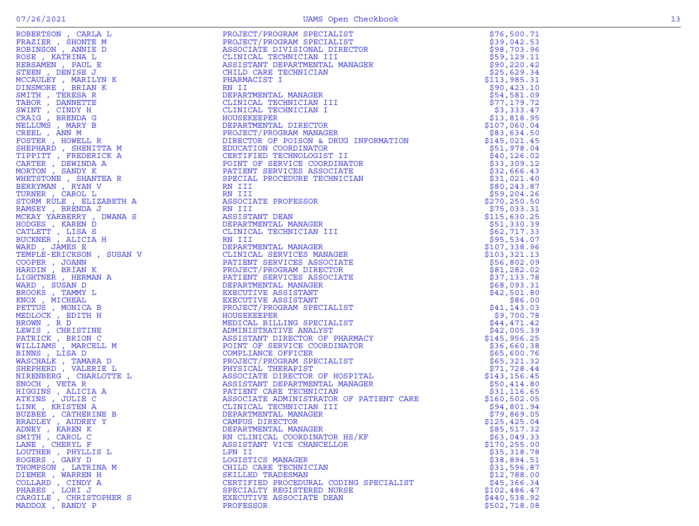| 13 |
|----|
|    |
|    |
|    |
|    |
|    |
|    |
|    |

| FRAZIER , SHONTE M<br>ROBINSON , ANNIE D                                                                                                                                                                                      |
|-------------------------------------------------------------------------------------------------------------------------------------------------------------------------------------------------------------------------------|
| ROSE , KATRINA L                                                                                                                                                                                                              |
| REBSAMEN, PAUL E                                                                                                                                                                                                              |
| STEEN, DENISE J                                                                                                                                                                                                               |
|                                                                                                                                                                                                                               |
| MCCAULEY , MARILYN K<br>DINSMORE , BRIAN K                                                                                                                                                                                    |
|                                                                                                                                                                                                                               |
|                                                                                                                                                                                                                               |
|                                                                                                                                                                                                                               |
|                                                                                                                                                                                                                               |
| DINSPORT , BRIAN<br>SMITH , TERESA R<br>TABOR , DANNETTE<br>SWINT , CINDY H<br>CRAIG , BRENDA G<br>NELLUMS , MARY B<br>CREEL , ANN M<br>CREEL , ANN M                                                                         |
|                                                                                                                                                                                                                               |
|                                                                                                                                                                                                                               |
|                                                                                                                                                                                                                               |
|                                                                                                                                                                                                                               |
|                                                                                                                                                                                                                               |
| FOSTER , HOWELL R<br>SHEPHARD , SHENITTA M<br>TIPPITT , FREDERICK A<br>CARTER , DEWINDA A<br>MORTON , SANDY K                                                                                                                 |
|                                                                                                                                                                                                                               |
|                                                                                                                                                                                                                               |
|                                                                                                                                                                                                                               |
| WHETSTONE , SHANTEA R<br>BERRYMAN , RYAN V<br>TURNER , CAROL L                                                                                                                                                                |
| STORM RULE , ELIZABETH A                                                                                                                                                                                                      |
| RAMSEY, BRENDA J                                                                                                                                                                                                              |
| MCKAY YARBERRY , DWANA S                                                                                                                                                                                                      |
| HODGES , KAREN D<br>CATLETT , LISA S<br>BUCKNER , ALICIA H                                                                                                                                                                    |
|                                                                                                                                                                                                                               |
|                                                                                                                                                                                                                               |
| WARD, JAMES E                                                                                                                                                                                                                 |
| TEMPLE-ERICKSON, SUSAN V                                                                                                                                                                                                      |
|                                                                                                                                                                                                                               |
|                                                                                                                                                                                                                               |
| COOPER , JOANN<br>HARDIN , BRIAN K<br>LIGHTNER , HERMAN A                                                                                                                                                                     |
| WARD, SUSAN D                                                                                                                                                                                                                 |
|                                                                                                                                                                                                                               |
|                                                                                                                                                                                                                               |
| BROOKS, TAMMY L                                                                                                                                                                                                               |
|                                                                                                                                                                                                                               |
|                                                                                                                                                                                                                               |
|                                                                                                                                                                                                                               |
|                                                                                                                                                                                                                               |
|                                                                                                                                                                                                                               |
|                                                                                                                                                                                                                               |
| BROOKS , TAMMI L<br>RNOX , MICHEAL<br>PETTUS , MONICA B<br>MEDLOCK , EDITH H<br>BROWN , R D<br>LEWIS , CHRISTINE<br>PATRICK , BRION C<br>MILLIAMS , MARCELL M<br>TINNS , MARCELL M                                            |
| BINNS, LISA D                                                                                                                                                                                                                 |
| WASCHALK, TAMARA D                                                                                                                                                                                                            |
|                                                                                                                                                                                                                               |
| SHEPHERD , VALERIE L<br>NIRENBERG , CHARLOTTE L                                                                                                                                                                               |
|                                                                                                                                                                                                                               |
|                                                                                                                                                                                                                               |
|                                                                                                                                                                                                                               |
|                                                                                                                                                                                                                               |
|                                                                                                                                                                                                                               |
|                                                                                                                                                                                                                               |
|                                                                                                                                                                                                                               |
|                                                                                                                                                                                                                               |
| SMITH, CAROL C                                                                                                                                                                                                                |
| NIKENBERG , CHARLOTI<br>ENOCH , VETA R<br>HIGGINS , ALICIA A<br>ATKINS , JULIE C<br>LINK , KRISTEN A<br>BUZBEE , CATHERINE B<br>BRADLEY , KAREN K<br>ADNEY , KAREN K<br>CAPIC , KAREN K<br>CAPIC , CAPIC C<br>LANE , CHERYL F |
|                                                                                                                                                                                                                               |
|                                                                                                                                                                                                                               |
| LOUTHER , PHYLLIS L                                                                                                                                                                                                           |
|                                                                                                                                                                                                                               |
|                                                                                                                                                                                                                               |
| HOGERS , GARY D<br>ROGERS , GARY D<br>THOMPSON , LATRINA M<br>DIEMER , WARREN H<br>COLLARD , CINDY A<br>PHARES , LORI J<br>CARGILE , CHRISTOPHER S<br>CARGILE , CHRISTOPHER S<br>MADDOX . RANDY P                             |

|                        |                                                                                                                                                                                                                                                                                                                                                  | \$76,500.71   |
|------------------------|--------------------------------------------------------------------------------------------------------------------------------------------------------------------------------------------------------------------------------------------------------------------------------------------------------------------------------------------------|---------------|
|                        |                                                                                                                                                                                                                                                                                                                                                  | \$39,042.53   |
|                        |                                                                                                                                                                                                                                                                                                                                                  |               |
|                        |                                                                                                                                                                                                                                                                                                                                                  | \$98,703.96   |
|                        |                                                                                                                                                                                                                                                                                                                                                  | \$59,129.11   |
|                        | $\begin{tabular}{ll} $\mathbb{A}\text{CT}/\text{PROGRAM} & \text{SPECLALIST} \\ \text{ASSOCIATE} & \text{DIVISIONAL} & \text{DIRECTOR} \\ \text{CLINICAL} & \text{TECHNICIAN} & \text{I I} \\ \text{CSTISTANT} & \text{DEPARTIMENTAL} & \text{MANAGER} \\ & \text{CARTETANT} & \text{TECHNICIAN} \\ & \text{T} & \text{ECHNICIAN} \end{tabular}$ | \$90, 220.42  |
|                        |                                                                                                                                                                                                                                                                                                                                                  |               |
|                        |                                                                                                                                                                                                                                                                                                                                                  | \$25,629.34   |
|                        |                                                                                                                                                                                                                                                                                                                                                  | \$113,985.31  |
|                        |                                                                                                                                                                                                                                                                                                                                                  | \$90,423.10   |
|                        |                                                                                                                                                                                                                                                                                                                                                  |               |
|                        |                                                                                                                                                                                                                                                                                                                                                  | \$54,581.09   |
|                        |                                                                                                                                                                                                                                                                                                                                                  | \$77,179.72   |
|                        |                                                                                                                                                                                                                                                                                                                                                  | \$3,333.47    |
|                        |                                                                                                                                                                                                                                                                                                                                                  |               |
|                        |                                                                                                                                                                                                                                                                                                                                                  | \$13,818.95   |
|                        |                                                                                                                                                                                                                                                                                                                                                  | \$107,060.04  |
|                        |                                                                                                                                                                                                                                                                                                                                                  | \$83,634.50   |
|                        |                                                                                                                                                                                                                                                                                                                                                  |               |
|                        |                                                                                                                                                                                                                                                                                                                                                  | \$145,021.45  |
|                        |                                                                                                                                                                                                                                                                                                                                                  | \$51,978.04   |
|                        |                                                                                                                                                                                                                                                                                                                                                  | \$40, 126.02  |
|                        |                                                                                                                                                                                                                                                                                                                                                  |               |
|                        |                                                                                                                                                                                                                                                                                                                                                  | \$33,309.12   |
|                        |                                                                                                                                                                                                                                                                                                                                                  | \$32,666.43   |
|                        |                                                                                                                                                                                                                                                                                                                                                  | \$31,021.40   |
|                        |                                                                                                                                                                                                                                                                                                                                                  |               |
|                        |                                                                                                                                                                                                                                                                                                                                                  | \$80,243.87   |
|                        |                                                                                                                                                                                                                                                                                                                                                  | \$59,204.26   |
|                        |                                                                                                                                                                                                                                                                                                                                                  | \$270, 250.50 |
|                        |                                                                                                                                                                                                                                                                                                                                                  |               |
|                        |                                                                                                                                                                                                                                                                                                                                                  | \$75,033.31   |
|                        |                                                                                                                                                                                                                                                                                                                                                  | \$115,630.25  |
|                        |                                                                                                                                                                                                                                                                                                                                                  | \$51,330.39   |
|                        |                                                                                                                                                                                                                                                                                                                                                  |               |
|                        |                                                                                                                                                                                                                                                                                                                                                  | \$62,717.33   |
|                        |                                                                                                                                                                                                                                                                                                                                                  | \$95,534.07   |
|                        |                                                                                                                                                                                                                                                                                                                                                  | \$107,338.96  |
|                        |                                                                                                                                                                                                                                                                                                                                                  |               |
|                        |                                                                                                                                                                                                                                                                                                                                                  | \$103, 321.13 |
|                        |                                                                                                                                                                                                                                                                                                                                                  | \$56,802.09   |
|                        |                                                                                                                                                                                                                                                                                                                                                  | \$81,282.02   |
|                        |                                                                                                                                                                                                                                                                                                                                                  |               |
|                        |                                                                                                                                                                                                                                                                                                                                                  | \$37,133.78   |
|                        |                                                                                                                                                                                                                                                                                                                                                  | \$68,093.31   |
|                        |                                                                                                                                                                                                                                                                                                                                                  | \$42,501.80   |
|                        |                                                                                                                                                                                                                                                                                                                                                  |               |
|                        |                                                                                                                                                                                                                                                                                                                                                  | \$86.00       |
|                        |                                                                                                                                                                                                                                                                                                                                                  | \$41, 143.03  |
|                        |                                                                                                                                                                                                                                                                                                                                                  | \$9,700.78    |
|                        |                                                                                                                                                                                                                                                                                                                                                  |               |
|                        |                                                                                                                                                                                                                                                                                                                                                  | \$44,471.42   |
|                        |                                                                                                                                                                                                                                                                                                                                                  | \$42,005.39   |
|                        |                                                                                                                                                                                                                                                                                                                                                  | \$145,956.25  |
|                        |                                                                                                                                                                                                                                                                                                                                                  |               |
|                        |                                                                                                                                                                                                                                                                                                                                                  | \$36,660.38   |
|                        |                                                                                                                                                                                                                                                                                                                                                  | \$65,600.76   |
|                        |                                                                                                                                                                                                                                                                                                                                                  | \$65,321.32   |
|                        |                                                                                                                                                                                                                                                                                                                                                  |               |
|                        |                                                                                                                                                                                                                                                                                                                                                  | \$71,728.44   |
|                        |                                                                                                                                                                                                                                                                                                                                                  | \$143,156.45  |
|                        |                                                                                                                                                                                                                                                                                                                                                  | \$50,414.80   |
|                        |                                                                                                                                                                                                                                                                                                                                                  |               |
|                        |                                                                                                                                                                                                                                                                                                                                                  | \$31,116.65   |
|                        |                                                                                                                                                                                                                                                                                                                                                  | \$160, 502.05 |
|                        |                                                                                                                                                                                                                                                                                                                                                  | \$94,801.94   |
|                        |                                                                                                                                                                                                                                                                                                                                                  |               |
|                        |                                                                                                                                                                                                                                                                                                                                                  | \$79,869.05   |
|                        |                                                                                                                                                                                                                                                                                                                                                  | \$125,425.04  |
| ADNEY , KAREN K        | DEPARTMENTAL MANAGER                                                                                                                                                                                                                                                                                                                             | \$85,517.32   |
|                        | POSITION (PAPA PRODUCED IN The CONTROL CONTROL INTERNATION CONTROL INTERNATIONAL INTERNATIONAL INTERNATIONAL INTERNATIONAL INTERNATIONAL INTERNATIONAL INTERNATIONAL INTERNATIONAL INTERNATIONAL INTERNATIONAL INTERNATIONAL                                                                                                                     |               |
| SMITH, CAROL C         | RN CLINICAL COORDINATOR HS/KF                                                                                                                                                                                                                                                                                                                    | \$63,049.33   |
| LANE , CHERYL F        | ASSISTANT VICE CHANCELLOR                                                                                                                                                                                                                                                                                                                        | \$170, 255.00 |
| LOUTHER, PHYLLIS L     | LPN II                                                                                                                                                                                                                                                                                                                                           | \$35,318.78   |
|                        |                                                                                                                                                                                                                                                                                                                                                  |               |
| ROGERS, GARY D         | LOGISTICS MANAGER                                                                                                                                                                                                                                                                                                                                | \$38,894.51   |
| THOMPSON , LATRINA M   | CHILD CARE TECHNICIAN                                                                                                                                                                                                                                                                                                                            | \$31,596.87   |
| DIEMER , WARREN H      | SKILLED TRADESMAN                                                                                                                                                                                                                                                                                                                                | \$12,788.00   |
|                        |                                                                                                                                                                                                                                                                                                                                                  |               |
| COLLARD, CINDY A       | CERTIFIED PROCEDURAL CODING SPECIALIST                                                                                                                                                                                                                                                                                                           | \$45,366.34   |
| PHARES, LORIJ          | SPECIALTY REGISTERED NURSE                                                                                                                                                                                                                                                                                                                       | \$102,486.47  |
| CARGILE, CHRISTOPHER S | EXECUTIVE ASSOCIATE DEAN                                                                                                                                                                                                                                                                                                                         | \$440,538.92  |
|                        |                                                                                                                                                                                                                                                                                                                                                  |               |
| MADDOX , RANDY P       | PROFESSOR                                                                                                                                                                                                                                                                                                                                        | \$502,718.08  |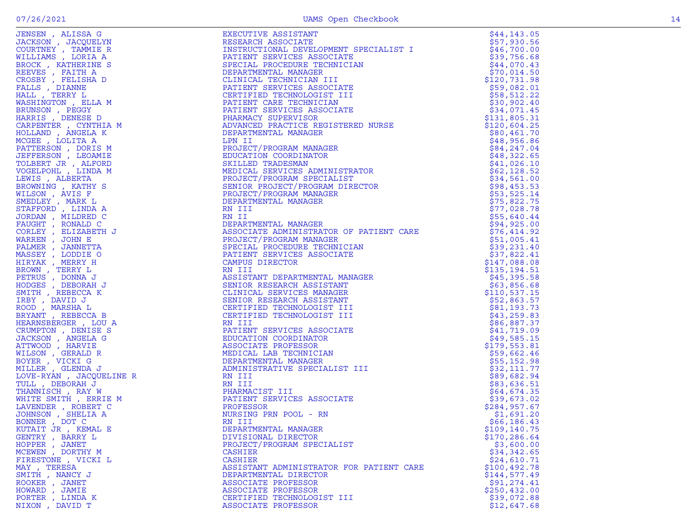| JENSEN, ALISSA G                                                                                                                                                                                                                                 | EXECUTIVE ASSISTANT                                                                                                                                                                                                                                                               | \$44,143.05   |
|--------------------------------------------------------------------------------------------------------------------------------------------------------------------------------------------------------------------------------------------------|-----------------------------------------------------------------------------------------------------------------------------------------------------------------------------------------------------------------------------------------------------------------------------------|---------------|
|                                                                                                                                                                                                                                                  |                                                                                                                                                                                                                                                                                   | \$57,930.56   |
| JACKSON, JACQUELYN                                                                                                                                                                                                                               | RESEARCH ASSOCIATE                                                                                                                                                                                                                                                                |               |
|                                                                                                                                                                                                                                                  |                                                                                                                                                                                                                                                                                   | \$46,700.00   |
|                                                                                                                                                                                                                                                  |                                                                                                                                                                                                                                                                                   | \$39,756.68   |
|                                                                                                                                                                                                                                                  | KESEARCH ASSOCIATE<br>INSTRUCTIONAL DEVELOPMENT SPECIALIST I<br>PATIENT SERVICES ASSOCIATE<br>SPECIAL PROCEDURE TECHNICIAN<br>DEPARTMENTAL MANAGER<br>CLINICAL TECHNICIAN III<br>PATIENT SERVICES ASSOCIATE<br>CERTIFIED TECHNICIAN<br>PATIENT CARE TE                            |               |
|                                                                                                                                                                                                                                                  |                                                                                                                                                                                                                                                                                   | \$44,070.43   |
|                                                                                                                                                                                                                                                  |                                                                                                                                                                                                                                                                                   |               |
|                                                                                                                                                                                                                                                  |                                                                                                                                                                                                                                                                                   | \$70,014.50   |
|                                                                                                                                                                                                                                                  |                                                                                                                                                                                                                                                                                   | \$120,731.98  |
|                                                                                                                                                                                                                                                  |                                                                                                                                                                                                                                                                                   |               |
|                                                                                                                                                                                                                                                  |                                                                                                                                                                                                                                                                                   | \$59,082.01   |
|                                                                                                                                                                                                                                                  |                                                                                                                                                                                                                                                                                   | \$58,512.22   |
|                                                                                                                                                                                                                                                  |                                                                                                                                                                                                                                                                                   |               |
|                                                                                                                                                                                                                                                  |                                                                                                                                                                                                                                                                                   | \$30,902.40   |
|                                                                                                                                                                                                                                                  |                                                                                                                                                                                                                                                                                   | \$34,071.45   |
|                                                                                                                                                                                                                                                  |                                                                                                                                                                                                                                                                                   |               |
|                                                                                                                                                                                                                                                  |                                                                                                                                                                                                                                                                                   | \$131,805.31  |
|                                                                                                                                                                                                                                                  |                                                                                                                                                                                                                                                                                   | \$120,604.25  |
|                                                                                                                                                                                                                                                  |                                                                                                                                                                                                                                                                                   |               |
|                                                                                                                                                                                                                                                  |                                                                                                                                                                                                                                                                                   | \$80,461.70   |
|                                                                                                                                                                                                                                                  |                                                                                                                                                                                                                                                                                   | \$48,956.86   |
|                                                                                                                                                                                                                                                  |                                                                                                                                                                                                                                                                                   |               |
|                                                                                                                                                                                                                                                  |                                                                                                                                                                                                                                                                                   | \$84,247.04   |
|                                                                                                                                                                                                                                                  |                                                                                                                                                                                                                                                                                   | \$48,322.65   |
|                                                                                                                                                                                                                                                  |                                                                                                                                                                                                                                                                                   |               |
|                                                                                                                                                                                                                                                  |                                                                                                                                                                                                                                                                                   | \$41,026.10   |
|                                                                                                                                                                                                                                                  |                                                                                                                                                                                                                                                                                   |               |
|                                                                                                                                                                                                                                                  |                                                                                                                                                                                                                                                                                   | \$62,128.52   |
|                                                                                                                                                                                                                                                  |                                                                                                                                                                                                                                                                                   | \$34,561.00   |
|                                                                                                                                                                                                                                                  |                                                                                                                                                                                                                                                                                   |               |
|                                                                                                                                                                                                                                                  |                                                                                                                                                                                                                                                                                   | \$98,453.53   |
|                                                                                                                                                                                                                                                  |                                                                                                                                                                                                                                                                                   | \$53,525.14   |
|                                                                                                                                                                                                                                                  |                                                                                                                                                                                                                                                                                   |               |
|                                                                                                                                                                                                                                                  |                                                                                                                                                                                                                                                                                   | \$75,822.75   |
|                                                                                                                                                                                                                                                  |                                                                                                                                                                                                                                                                                   | \$77,028.78   |
|                                                                                                                                                                                                                                                  |                                                                                                                                                                                                                                                                                   |               |
|                                                                                                                                                                                                                                                  |                                                                                                                                                                                                                                                                                   | \$55,640.44   |
|                                                                                                                                                                                                                                                  | DEPARTMENTAL MANAGER<br>LPN II<br>PROJECT/PROGRAM MANAGER<br>EDUCATION COORDINATOR<br>SKILLED TRADESMAN<br>MEDICAL SERVICES ADMINISTRATOR<br>PROJECT/PROGRAM SPECIALIST<br>SENIOR PROJECT/PROGRAM DIRECTOR<br>PROJECT/PROGRAM MANAGER<br>DEPARTMENTAL MAN<br>DEPARTMENTAL MANAGER | \$94,925.00   |
|                                                                                                                                                                                                                                                  |                                                                                                                                                                                                                                                                                   |               |
|                                                                                                                                                                                                                                                  | ASSOCIATE ADMINISTRATOR OF PATIENT CARE                                                                                                                                                                                                                                           | \$76,414.92   |
|                                                                                                                                                                                                                                                  | PROJECT/PROGRAM MANAGER                                                                                                                                                                                                                                                           | \$51,005.41   |
|                                                                                                                                                                                                                                                  |                                                                                                                                                                                                                                                                                   |               |
|                                                                                                                                                                                                                                                  | SPECIAL PROCEDURE TECHNICIAN                                                                                                                                                                                                                                                      | \$39,231.40   |
|                                                                                                                                                                                                                                                  | PATIENT SERVICES ASSOCIATE                                                                                                                                                                                                                                                        | \$37,822.41   |
|                                                                                                                                                                                                                                                  |                                                                                                                                                                                                                                                                                   |               |
|                                                                                                                                                                                                                                                  | CAMPUS DIRECTOR                                                                                                                                                                                                                                                                   | \$147,088.08  |
|                                                                                                                                                                                                                                                  |                                                                                                                                                                                                                                                                                   | \$135, 194.51 |
|                                                                                                                                                                                                                                                  | RN III                                                                                                                                                                                                                                                                            |               |
|                                                                                                                                                                                                                                                  | ASSISTANT DEPARTMENTAL MANAGER                                                                                                                                                                                                                                                    | \$45,395.58   |
|                                                                                                                                                                                                                                                  |                                                                                                                                                                                                                                                                                   |               |
|                                                                                                                                                                                                                                                  | SENIOR RESEARCH ASSISTANT                                                                                                                                                                                                                                                         | \$63,856.68   |
|                                                                                                                                                                                                                                                  | CLINICAL SERVICES MANAGER                                                                                                                                                                                                                                                         | \$110,537.15  |
|                                                                                                                                                                                                                                                  |                                                                                                                                                                                                                                                                                   |               |
|                                                                                                                                                                                                                                                  | SENIOR RESEARCH ASSISTANT                                                                                                                                                                                                                                                         | \$52,863.57   |
|                                                                                                                                                                                                                                                  | CERTIFIED TECHNOLOGIST III                                                                                                                                                                                                                                                        | \$81,193.73   |
|                                                                                                                                                                                                                                                  |                                                                                                                                                                                                                                                                                   |               |
|                                                                                                                                                                                                                                                  | CERTIFIED TECHNOLOGIST III                                                                                                                                                                                                                                                        | \$43, 259.83  |
|                                                                                                                                                                                                                                                  |                                                                                                                                                                                                                                                                                   | \$86,887.37   |
|                                                                                                                                                                                                                                                  |                                                                                                                                                                                                                                                                                   |               |
|                                                                                                                                                                                                                                                  |                                                                                                                                                                                                                                                                                   | \$41,719.09   |
|                                                                                                                                                                                                                                                  |                                                                                                                                                                                                                                                                                   | \$49,585.15   |
|                                                                                                                                                                                                                                                  |                                                                                                                                                                                                                                                                                   |               |
|                                                                                                                                                                                                                                                  |                                                                                                                                                                                                                                                                                   | \$179,553.81  |
|                                                                                                                                                                                                                                                  |                                                                                                                                                                                                                                                                                   | \$59,662.46   |
|                                                                                                                                                                                                                                                  |                                                                                                                                                                                                                                                                                   |               |
|                                                                                                                                                                                                                                                  |                                                                                                                                                                                                                                                                                   | \$55, 152.98  |
|                                                                                                                                                                                                                                                  |                                                                                                                                                                                                                                                                                   | \$32,111.77   |
|                                                                                                                                                                                                                                                  | TRATOR OF PATIENT CARE<br>NAGER<br>TECHNICIAN<br>SSOCIATE<br>"NTAL MANAGER<br>"SISTANT<br>"MANAGER<br>SISTANT<br>"GIST III<br>"GIST III<br>SSOCIATE<br>TOR<br>R<br>CIAN<br>ER<br>CIAN<br>ER<br>CIAN                                                                               |               |
|                                                                                                                                                                                                                                                  |                                                                                                                                                                                                                                                                                   | \$89,682.94   |
|                                                                                                                                                                                                                                                  |                                                                                                                                                                                                                                                                                   | \$83,636.51   |
|                                                                                                                                                                                                                                                  |                                                                                                                                                                                                                                                                                   |               |
|                                                                                                                                                                                                                                                  |                                                                                                                                                                                                                                                                                   | \$64,674.35   |
|                                                                                                                                                                                                                                                  |                                                                                                                                                                                                                                                                                   | \$39,673.02   |
|                                                                                                                                                                                                                                                  |                                                                                                                                                                                                                                                                                   |               |
| JENSEN, ALIESA (* 1798)<br>JACKSON, JACQUELYN (* 1807)<br>JACKSON, JACQUELYN (* 1807)<br>RUCKSON (* 1807)<br>1818 - RELISHA D<br>REDOSEN (* 1817)<br>1818 - PALLS , DIANNE PALLS , DIANNE PALLS , DIANNE RAILS , DIANNE RABERT DON'S MERINING MA | CERTIFIED TECHNOLOGIST III<br>RN III<br>PATIENT SERVICES ASSOCIATE<br>EDUCATION COORDINATOR<br>ASSOCIATE PROFESSOR<br>MEDICAL LAB TECHNICIAN<br>DEPARTMENTAL MANAGER<br>ADMINISTRATIVE SPECIALIST III<br>RN III<br>PHARMACIST III<br>PATIENT SERVI                                | \$284,957.67  |
|                                                                                                                                                                                                                                                  |                                                                                                                                                                                                                                                                                   | \$1,691.20    |
|                                                                                                                                                                                                                                                  |                                                                                                                                                                                                                                                                                   |               |
|                                                                                                                                                                                                                                                  | RN III                                                                                                                                                                                                                                                                            | \$66,186.43   |
| KUTAIT JR , KEMAL E                                                                                                                                                                                                                              | DEPARTMENTAL MANAGER                                                                                                                                                                                                                                                              | \$109,140.75  |
|                                                                                                                                                                                                                                                  |                                                                                                                                                                                                                                                                                   |               |
| GENTRY, BARRY L                                                                                                                                                                                                                                  | DIVISIONAL DIRECTOR                                                                                                                                                                                                                                                               | \$170,286.64  |
| HOPPER, JANET                                                                                                                                                                                                                                    | PROJECT/PROGRAM SPECIALIST                                                                                                                                                                                                                                                        | \$3,600.00    |
|                                                                                                                                                                                                                                                  |                                                                                                                                                                                                                                                                                   |               |
| MCEWEN, DORTHY M                                                                                                                                                                                                                                 | CASHIER                                                                                                                                                                                                                                                                           | \$34,342.65   |
| FIRESTONE, VICKI L                                                                                                                                                                                                                               | CASHIER                                                                                                                                                                                                                                                                           | \$24,610.71   |
|                                                                                                                                                                                                                                                  |                                                                                                                                                                                                                                                                                   |               |
| MAY, TERESA                                                                                                                                                                                                                                      | ASSISTANT ADMINISTRATOR FOR PATIENT CARE                                                                                                                                                                                                                                          | \$100, 492.78 |
| SMITH, NANCY J                                                                                                                                                                                                                                   | DEPARTMENTAL DIRECTOR                                                                                                                                                                                                                                                             | \$144,577.49  |
|                                                                                                                                                                                                                                                  |                                                                                                                                                                                                                                                                                   |               |
| ROOKER, JANET                                                                                                                                                                                                                                    | ASSOCIATE PROFESSOR                                                                                                                                                                                                                                                               | \$91,274.41   |
| HOWARD, JAMIE                                                                                                                                                                                                                                    |                                                                                                                                                                                                                                                                                   |               |
|                                                                                                                                                                                                                                                  | ASSOCIATE PROFESSOR                                                                                                                                                                                                                                                               | \$250,432.00  |
| PORTER, LINDA K                                                                                                                                                                                                                                  | CERTIFIED TECHNOLOGIST III                                                                                                                                                                                                                                                        | \$39,072.88   |
|                                                                                                                                                                                                                                                  |                                                                                                                                                                                                                                                                                   |               |
| NIXON, DAVID T                                                                                                                                                                                                                                   | ASSOCIATE PROFESSOR                                                                                                                                                                                                                                                               | \$12,647.68   |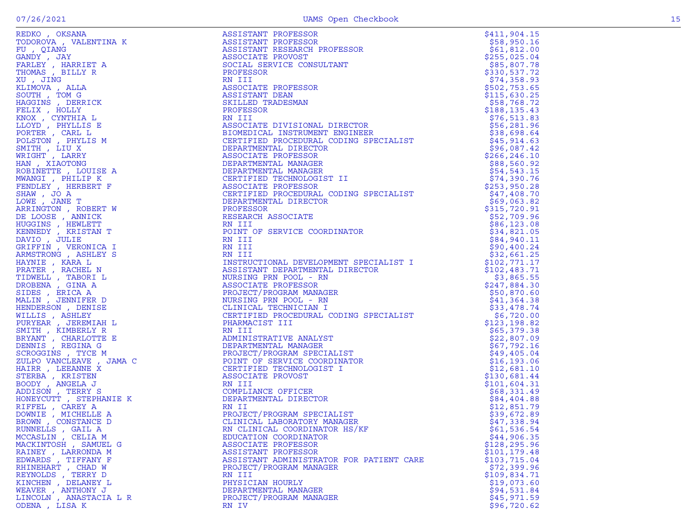| REDKO, OKSANA                                 | ASSISTANT PROFESSOR                                                                                                                                                                                                                                       | \$411,904.15  |
|-----------------------------------------------|-----------------------------------------------------------------------------------------------------------------------------------------------------------------------------------------------------------------------------------------------------------|---------------|
| TODOROVA , VALENTINA K                        | ASSISTANT PROFESSOR                                                                                                                                                                                                                                       | \$58,950.16   |
| FU, QIANG                                     | ASSISTANT PROFESSOR<br>ASSISTANT RESEARCH PROFESSOR                                                                                                                                                                                                       | \$61,812.00   |
| GANDY , JAY                                   | ASSOCIATE PROVOST                                                                                                                                                                                                                                         | \$255,025.04  |
| FARLEY, HARRIET A                             | SOCIAL SERVICE CONSULTANT                                                                                                                                                                                                                                 | \$85,807.78   |
| THOMAS, BILLY R                               | PROFESSOR                                                                                                                                                                                                                                                 | \$330,537.72  |
| XU, JING                                      | RN III                                                                                                                                                                                                                                                    | \$74,358.93   |
| KLIMOVA, ALLA                                 | ASSOCIATE PROFESSOR                                                                                                                                                                                                                                       | \$502,753.65  |
| SOUTH, TOM G                                  | ASSISTANT DEAN                                                                                                                                                                                                                                            | \$115,630.25  |
| HAGGINS , DERRICK                             | SKILLED TRADESMAN                                                                                                                                                                                                                                         | \$58,768.72   |
| FELIX, HOLLY                                  | PROFESSOR                                                                                                                                                                                                                                                 | \$188,135.43  |
| KNOX, CYNTHIA L                               | RN III                                                                                                                                                                                                                                                    | \$76,513.83   |
| LLOYD, PHYLLIS E                              | RN 111<br>ASSOCIATE DIVISIONAL DIRECTOR<br>BIOMEDICAL INSTRUMENT ENGINEER<br>CERTIFIED PROCEDURAL CODING SPECIALIST<br>DEPARTMENTAL DIRECTOR<br>ASSOCIATE PROFESSOR<br>DEPARTMENTAL MANAGER<br>DEPARTMENTAL MANAGER<br>CERTIFIED TECHNOLOGIST II<br>ASSOC | \$56, 281.96  |
| PORTER, CARL L                                |                                                                                                                                                                                                                                                           | \$38,698.64   |
| POLSTON, PHYLIS M                             |                                                                                                                                                                                                                                                           | \$45,914.63   |
| SMITH, LIU X                                  |                                                                                                                                                                                                                                                           | \$96,087.42   |
| WRIGHT, LARRY                                 |                                                                                                                                                                                                                                                           | \$266, 246.10 |
| HAN, XIAOTONG                                 |                                                                                                                                                                                                                                                           | \$88,560.92   |
| ROBINETTE, LOUISE A                           |                                                                                                                                                                                                                                                           | \$54,543.15   |
| MWANGI , PHILIP K                             |                                                                                                                                                                                                                                                           | \$74,390.76   |
| FENDLEY , HERBERT F                           | ASSOCIATE PROFESSOR                                                                                                                                                                                                                                       | \$253,950.28  |
| SHAW, JO A                                    |                                                                                                                                                                                                                                                           | \$47,408.70   |
| LOWE, JANE T                                  | CERTIFIED PROCEDURAL CODING SPECIALIST<br>DEPARTMENTAL DIRECTOR<br>PROFESSOR<br>RESEARCH ASSOCIATE<br>RN III<br>POINT OF SERVICE COORDINATOR<br>RN III                                                                                                    | \$69,063.82   |
| ARRINGTON, ROBERT W                           |                                                                                                                                                                                                                                                           | \$315,720.91  |
| DE LOOSE, ANNICK                              |                                                                                                                                                                                                                                                           | \$52,709.96   |
| HUGGINS, HEWLETT                              |                                                                                                                                                                                                                                                           | \$86,123.08   |
| KENNEDY , KRISTAN T                           |                                                                                                                                                                                                                                                           | \$34,821.05   |
| DAVIO, JULIE                                  | RN III<br>POINT (<br>RN III<br>RN III                                                                                                                                                                                                                     | \$84,940.11   |
| GRIFFIN, VERONICA I                           | RN III                                                                                                                                                                                                                                                    | \$90,400.24   |
| ARMSTRONG, ASHLEY S                           | RN III                                                                                                                                                                                                                                                    | \$32,661.25   |
| HAYNIE , KARA L                               | RN III<br>INSTRUCTIONAL DEVELOPMENT SPECIALIST I<br>ASSISTANT DEPARTMENTAL DIRECTOR<br>NURSING PRN POOL - RN<br>ASSOCIATE PROFESSOR<br>PROJECT/PROGRAM MANAGER<br>NURSING PRN POOL - RN<br>CLINICAL TECHNICIAN I<br>CERTIFIED PROCEDURAL CODING SPECIA    | \$102,771.17  |
| PRATER , RACHEL N                             |                                                                                                                                                                                                                                                           | \$102,483.71  |
| TIDWELL , TABORI L                            |                                                                                                                                                                                                                                                           | \$3,865.55    |
| DROBENA , GINA A                              |                                                                                                                                                                                                                                                           | \$247,884.30  |
| SIDES , ERICA A                               |                                                                                                                                                                                                                                                           | \$50,870.60   |
| MALIN, JENNIFER D                             |                                                                                                                                                                                                                                                           | \$41,364.38   |
| HENDERSON, DENISE                             |                                                                                                                                                                                                                                                           | \$33,478.74   |
| WILLIS, ASHLEY                                |                                                                                                                                                                                                                                                           | \$6,720.00    |
| PURYEAR , JEREMIAH L                          | PHARMACIST III                                                                                                                                                                                                                                            | \$123,198.82  |
| SMITH, KIMBERLY R                             |                                                                                                                                                                                                                                                           | \$65,379.38   |
| BRYANT , CHARLOTTE E                          |                                                                                                                                                                                                                                                           | \$22,807.09   |
| DENNIS, REGINA G                              |                                                                                                                                                                                                                                                           | \$67,792.16   |
| SCROGGINS , TYCE M                            |                                                                                                                                                                                                                                                           | \$49,405.04   |
| ZULPO VANCLEAVE , JAMA C                      |                                                                                                                                                                                                                                                           | \$16, 193.06  |
| HAIRR, LEEANNE X                              |                                                                                                                                                                                                                                                           | \$12,681.10   |
| STERBA , KRISTEN                              |                                                                                                                                                                                                                                                           | \$130,681.44  |
| BOODY, ANGELA J                               |                                                                                                                                                                                                                                                           | \$101,604.31  |
| JAMA C<br>NIE K<br>A<br>D<br>ADDISON, TERRY S | ADMINISTRATIVE ANALYST<br>DEPARTMENTAL MANAGER<br>PROJECT/PROGRAM SPECIALIST<br>POINT OF SERVICE COORDINATOR<br>CERTIFIED TECHNOLOGIST I<br>ASSOCIATE PROVOST<br>RN III<br>COMPLIANCE OFFICER<br>DEPARTMENTAT                                             | \$68,331.49   |
| HONEYCUTT, STEPHANIE K                        | DEPARTMENTAL DIRECTOR                                                                                                                                                                                                                                     | \$84,404.88   |
| RIFFEL , CAREY A                              | RN II                                                                                                                                                                                                                                                     | \$12,851.79   |
| DOWNIE, MICHELLE A                            | PROJECT/PROGRAM SPECIALIST                                                                                                                                                                                                                                | \$39,672.89   |
| BROWN, CONSTANCE D                            | CLINICAL LABORATORY MANAGER                                                                                                                                                                                                                               | \$47,338.94   |
| RUNNELLS, GAIL A                              | RN CLINICAL COORDINATOR HS/KF                                                                                                                                                                                                                             | \$61,536.54   |
| MCCASLIN, CELIA M                             | EDUCATION COORDINATOR                                                                                                                                                                                                                                     | \$44,906.35   |
| MACKINTOSH, SAMUEL G                          | ASSOCIATE PROFESSOR                                                                                                                                                                                                                                       | \$128,295.96  |
| RAINEY, LARRONDA M                            | ASSISTANT PROFESSOR                                                                                                                                                                                                                                       | \$101,179.48  |
| EDWARDS, TIFFANY F                            | ASSISTANT ADMINISTRATOR FOR PATIENT CARE                                                                                                                                                                                                                  | \$103,715.04  |
| RHINEHART, CHAD W                             | PROJECT/PROGRAM MANAGER                                                                                                                                                                                                                                   | \$72,399.96   |
| REYNOLDS , TERRY D                            | RN III                                                                                                                                                                                                                                                    | \$109,834.71  |
| KINCHEN , DELANEY L                           | PHYSICIAN HOURLY                                                                                                                                                                                                                                          | \$19,073.60   |
| WEAVER , ANTHONY J                            | DEPARTMENTAL MANAGER                                                                                                                                                                                                                                      | \$94,531.84   |
| LINCOLN, ANASTACIA L R                        | PROJECT/PROGRAM MANAGER                                                                                                                                                                                                                                   | \$45,971.59   |
| ODENA, LISA K                                 | RN IV                                                                                                                                                                                                                                                     | \$96,720.62   |
|                                               |                                                                                                                                                                                                                                                           |               |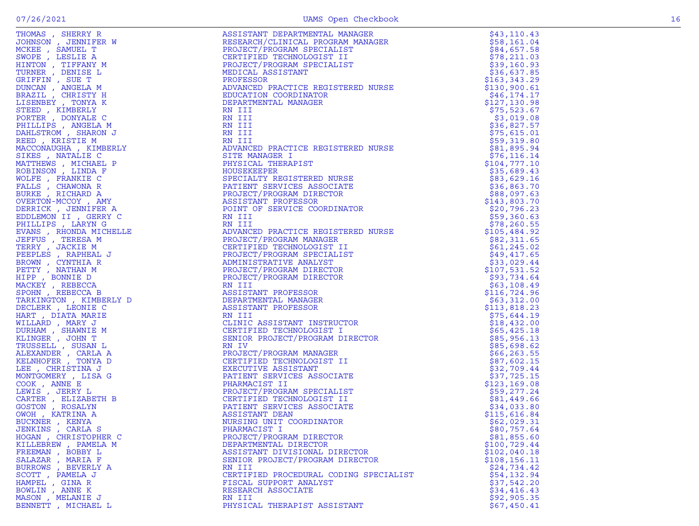| THOMAS, SHERRY R                          | ASSISTANT DEPARTMENTAL MANAGER<br>RESEARCH/CLINICAL PROGRAM MANAGER<br>PROJECT/PROGRAM SPECIALIST<br>CERTIFIED TECHNOLOGIST II<br>PROJECT/PROGRAM SPECIALIST<br>MEDICAL ASSISTANT<br>MEDICAL ASSISTANT<br>ANDUROLO PRACTICE REGISTERED NURSE<br>EDUCAT          | \$43, 110.43                |
|-------------------------------------------|-----------------------------------------------------------------------------------------------------------------------------------------------------------------------------------------------------------------------------------------------------------------|-----------------------------|
| JOHNSON, JENNIFER W                       |                                                                                                                                                                                                                                                                 | \$58,161.04                 |
| MCKEE , SAMUEL T                          |                                                                                                                                                                                                                                                                 | \$84,657.58                 |
| SWOPE, LESLIE A                           |                                                                                                                                                                                                                                                                 | \$78, 211.03                |
| HINTON, TIFFANY M                         |                                                                                                                                                                                                                                                                 | \$39,160.93                 |
| TURNER, DENISE L                          |                                                                                                                                                                                                                                                                 | \$36,637.85                 |
| GRIFFIN, SUE T                            |                                                                                                                                                                                                                                                                 | \$163,343.29                |
| DUNCAN, ANGELA M<br>BRAZIL , CHRISTY H    |                                                                                                                                                                                                                                                                 | \$130,900.61                |
|                                           |                                                                                                                                                                                                                                                                 | \$46,174.17                 |
| LISENBEY , TONYA K<br>STEED, KIMBERLY     |                                                                                                                                                                                                                                                                 | \$127,130.98<br>\$75,523.67 |
| PORTER, DONYALE C                         |                                                                                                                                                                                                                                                                 | \$3,019.08                  |
| PHILLIPS, ANGELA M                        |                                                                                                                                                                                                                                                                 | \$36,827.57                 |
| DAHLSTROM, SHARON J                       |                                                                                                                                                                                                                                                                 | \$75,615.01                 |
| REED, KRISTIE M                           |                                                                                                                                                                                                                                                                 | \$59,319.80                 |
| MACCONAUGHA , KIMBERLY                    |                                                                                                                                                                                                                                                                 | \$81,895.94                 |
| SIKES, NATALIE C                          |                                                                                                                                                                                                                                                                 | \$76, 116.14                |
| MATTHEWS , MICHAEL P                      |                                                                                                                                                                                                                                                                 | \$104,777.10                |
| ROBINSON, LINDA F                         |                                                                                                                                                                                                                                                                 | \$35,689.43                 |
| WOLFE, FRANKIE C                          |                                                                                                                                                                                                                                                                 | \$83,629.16                 |
| FALLS, CHAWONA R                          |                                                                                                                                                                                                                                                                 | \$36,863.70                 |
| BURKE, RICHARD A                          |                                                                                                                                                                                                                                                                 | \$88,097.63                 |
| OVERTON-MCCOY, AMY                        |                                                                                                                                                                                                                                                                 | \$143,803.70                |
| DERRICK, JENNIFER A                       |                                                                                                                                                                                                                                                                 | \$20,796.23                 |
| EDDLEMON II , GERRY C                     |                                                                                                                                                                                                                                                                 | \$59,360.63                 |
| PHILLIPS, LARYNG                          |                                                                                                                                                                                                                                                                 | \$78,260.55                 |
| EVANS, RHONDA MICHELLE                    |                                                                                                                                                                                                                                                                 | \$105,484.92                |
| JEFFUS , TERESA M                         |                                                                                                                                                                                                                                                                 | \$82,311.65                 |
| TERRY , JACKIE M                          |                                                                                                                                                                                                                                                                 | \$61, 245.02                |
| PEEPLES, RAPHEAL J                        |                                                                                                                                                                                                                                                                 | \$49,417.65                 |
| BROWN, CYNTHIA R                          |                                                                                                                                                                                                                                                                 | \$33,029.44                 |
| PETTY, NATHAN M                           | EN III<br>EN AMAION<br>RENITIT<br>ANVANCED PRACTICE REGISTERED NURSE<br>SITE MANAGES<br>HISICAL THERAPIST<br>HOUSEKEPPRE ROISTERED NURSE<br>PROJECT/PROGRAM DIRECTOR<br>RESISTANT PROFESSOR<br>ASSISTANT PROFESSOR<br>ASSISTANT PROFESSOR<br>NOINCED PRACTICE C | \$107,531.52                |
| HIPP, BONNIE D                            |                                                                                                                                                                                                                                                                 | \$93,734.64                 |
| MACKEY, REBECCA                           |                                                                                                                                                                                                                                                                 | \$63,108.49                 |
| SPOHN, REBECCA B                          |                                                                                                                                                                                                                                                                 | \$116,724.96                |
| TARKINGTON, KIMBERLY D                    |                                                                                                                                                                                                                                                                 | \$63,312.00                 |
| DECLERK, LEONIE C                         |                                                                                                                                                                                                                                                                 | \$113,818.23                |
| HART, DIATA MARIE                         |                                                                                                                                                                                                                                                                 | \$75,644.19                 |
| WILLARD, MARY J                           |                                                                                                                                                                                                                                                                 | \$18,432.00                 |
| DURHAM, SHAWNIE M                         |                                                                                                                                                                                                                                                                 | \$65,425.18                 |
| KLINGER, JOHN T                           |                                                                                                                                                                                                                                                                 | \$85,956.13                 |
| TRUSSELL , SUSAN L<br>ALEXANDER , CARLA A |                                                                                                                                                                                                                                                                 | \$85,698.62                 |
| KELNHOFER , TONYA D                       |                                                                                                                                                                                                                                                                 | \$66, 263.55<br>\$87,602.15 |
| LEE , CHRISTINA J                         |                                                                                                                                                                                                                                                                 | \$32,709.44                 |
| MONTGOMERY, LISA G                        |                                                                                                                                                                                                                                                                 | \$37,725.15                 |
| COOK, ANNE E                              |                                                                                                                                                                                                                                                                 | \$123,169.08                |
| LEWIS , JERRY L                           |                                                                                                                                                                                                                                                                 | \$59,277.24                 |
| CARTER, ELIZABETH B                       |                                                                                                                                                                                                                                                                 | \$81,449.66                 |
| GOSTON , ROSALYN                          |                                                                                                                                                                                                                                                                 | \$34,033.80                 |
| OWOH, KATRINA A                           |                                                                                                                                                                                                                                                                 | \$115,616.84                |
| BUCKNER, KENYA                            |                                                                                                                                                                                                                                                                 | \$62,029.31                 |
| JENKINS, CARLA S                          | PHARMACIST I                                                                                                                                                                                                                                                    | \$80,757.64                 |
| HOGAN, CHRISTOPHER C                      | PROJECT/PROGRAM DIRECTOR                                                                                                                                                                                                                                        | \$81,855.60                 |
| KILLEBREW, PAMELA M                       | DEPARTMENTAL DIRECTOR                                                                                                                                                                                                                                           | \$100,729.44                |
| FREEMAN , BOBBY L                         | ASSISTANT DIVISIONAL DIRECTOR                                                                                                                                                                                                                                   | \$102,040.18                |
| SALAZAR, MARIA F                          | SENIOR PROJECT/PROGRAM DIRECTOR                                                                                                                                                                                                                                 | \$108, 156.11               |
| BURROWS, BEVERLY A                        | RN III                                                                                                                                                                                                                                                          | \$24,734.42                 |
| SCOTT, PAMELA J                           | CERTIFIED PROCEDURAL CODING SPECIALIST                                                                                                                                                                                                                          | \$54,132.94                 |
| HAMPEL, GINA R                            | FISCAL SUPPORT ANALYST                                                                                                                                                                                                                                          | \$37,542.20                 |
| BOWLIN, ANNE K                            | RESEARCH ASSOCIATE                                                                                                                                                                                                                                              | \$34,416.43                 |
| MASON, MELANIE J                          | RN III                                                                                                                                                                                                                                                          | \$92,905.35                 |
| BENNETT , MICHAEL L                       | PHYSICAL THERAPIST ASSISTANT                                                                                                                                                                                                                                    | \$67,450.41                 |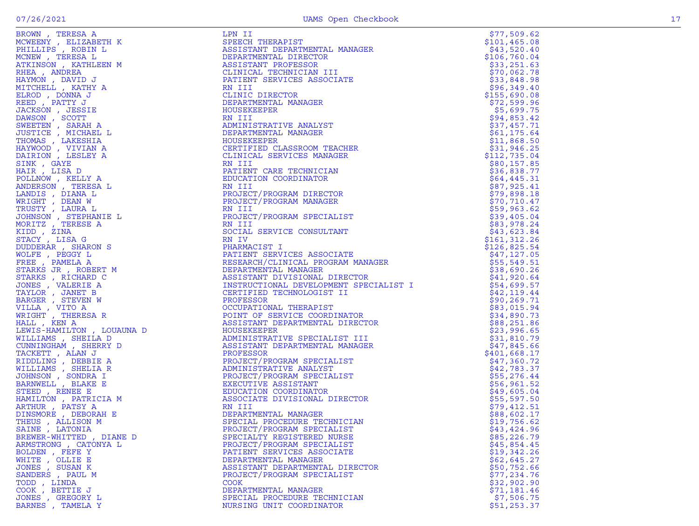| BROWN, TERESA A                         | LPN II                                                                                                                                        | \$77,509.62                |
|-----------------------------------------|-----------------------------------------------------------------------------------------------------------------------------------------------|----------------------------|
| MCWEENY , ELIZABETH K                   | SPEECH THERAPIST                                                                                                                              | \$101, 465.08              |
| PHILLIPS, ROBIN L                       | ASSISTANT DEPARTMENTAL MANAGER                                                                                                                | \$43,520.40                |
| MCNEW, TERESA L                         | DEPARTMENTAL DIRECTOR                                                                                                                         | \$106,760.04               |
| ATKINSON, KATHLEEN M                    | ASSISTANT PROFESSOR                                                                                                                           | \$33, 251.63               |
| RHEA, ANDREA                            | CLINICAL TECHNICIAN III                                                                                                                       | \$70,062.78                |
| HAYMON, DAVID J                         | PATIENT SERVICES ASSOCIATE                                                                                                                    | \$33,848.98                |
| MITCHELL, KATHY A                       | RN III                                                                                                                                        | \$96,349.40                |
| ELROD, DONNA J                          | CLINIC DIRECTOR                                                                                                                               | \$155,690.08               |
| REED, PATTY J                           | DEPARTMENTAL MANAGER                                                                                                                          | \$72,599.96                |
| JACKSON, JESSIE                         | HOUSEKEEPER                                                                                                                                   | \$5,699.75                 |
| DAWSON, SCOTT                           | RN III                                                                                                                                        | \$94,853.42                |
| SWEETEN, SARAH A                        | ADMINISTRATIVE ANALYST                                                                                                                        | \$37,457.71                |
| JUSTICE , MICHAEL L                     | DEPARTMENTAL MANAGER                                                                                                                          | \$61, 175.64               |
| THOMAS , LAKESHIA                       | HOUSEKEEPER                                                                                                                                   | \$11,868.50                |
| HAYWOOD, VIVIAN A                       | CERTIFIED CLASSROOM TEACHER                                                                                                                   | \$31,946.25                |
| DAIRION, LESLEY A                       | CLINICAL SERVICES MANAGER<br>RN III                                                                                                           | \$112,735.04               |
| SINK, GAYE<br>HAIR, LISA D              | PATIENT CARE TECHNICIAN                                                                                                                       | \$80,157.85<br>\$36,838.77 |
| POLLNOW, KELLY A                        | EDUCATION COORDINATOR                                                                                                                         | \$64,445.31                |
| ANDERSON, TERESA L                      | RN III                                                                                                                                        | \$87,925.41                |
| LANDIS , DIANA L                        | PROJECT/PROGRAM DIRECTOR                                                                                                                      | \$79,898.18                |
| WRIGHT, DEAN W                          | PROJECT/PROGRAM MANAGER                                                                                                                       | \$70, 710.47               |
| TRUSTY, LAURA L                         | RN III                                                                                                                                        | \$59,963.62                |
| JOHNSON , STEPHANIE L                   | PROJECT/PROGRAM SPECIALIST                                                                                                                    | \$39,405.04                |
| MORITZ, TERESE A                        | RN III                                                                                                                                        | \$83,978.24                |
| KIDD, ZINA                              | SOCIAL SERVICE CONSULTANT                                                                                                                     | \$43,623.84                |
| STACY, LISA G                           | RN IV                                                                                                                                         | \$161, 312.26              |
| DUDDERAR, SHARON S                      | RN IV<br>PHARMACIST I<br>PATIENT SERVICES ASSOCIATE<br>CHORAPCH/CLINICAL PROGRAM MANAGER                                                      | \$126,825.54               |
| WOLFE, PEGGY L                          |                                                                                                                                               | \$47,127.05                |
| FREE, PAMELA A                          |                                                                                                                                               | \$55,549.51                |
| STARKS JR , ROBERT M                    |                                                                                                                                               | \$38,690.26                |
| STARKS, RICHARD C                       | ---------------- MANAGER<br>ASSISTANT DIVISIONAL DIRECTOR<br>INSTRUCTIONAL DEVELOPMENT SPECIALIST I<br>CERTIFIED TECHNOLOGIST II<br>PROFFSCOR | \$41,920.64                |
| JONES , VALERIE A                       |                                                                                                                                               | \$54,699.57                |
| TAYLOR, JANET B                         |                                                                                                                                               | \$42,119.44                |
| BARGER, STEVEN W                        | PROFESSOR                                                                                                                                     | \$90,269.71                |
| VILLA, VITO A                           | OCCUPATIONAL THERAPIST                                                                                                                        | \$83,015.94                |
| WRIGHT, THERESA R                       | POINT OF SERVICE COORDINATOR                                                                                                                  | \$34,890.73                |
| HALL, KEN A                             | ASSISTANT DEPARTMENTAL DIRECTOR                                                                                                               | \$88,251.86                |
| LEWIS-HAMILTON , LOUAUNA D              | HOUSEKEEPER                                                                                                                                   | \$23,996.65                |
| WILLIAMS, SHEILA D                      | ADMINISTRATIVE SPECIALIST III                                                                                                                 | \$31,810.79                |
| CUNNINGHAM , SHERRY D                   | ASSISTANT DEPARTMENTAL MANAGER                                                                                                                | \$47,845.66                |
| TACKETT, ALAN J                         | PROFESSOR                                                                                                                                     | \$401,668.17               |
| RIDDLING, DEBBIE A                      | PROJECT/PROGRAM SPECIALIST                                                                                                                    | \$47,360.72                |
| WILLIAMS, SHELIA R                      | ADMINISTRATIVE ANALYST                                                                                                                        | \$42,783.37                |
| JOHNSON , SONDRA I                      | PROJECT/PROGRAM SPECIALIST                                                                                                                    | \$55,276.44                |
| BARNWELL , BLAKE E                      | EXECUTIVE ASSISTANT                                                                                                                           | \$56,961.52                |
| STEED, RENEE E                          | EDUCATION COORDINATOR                                                                                                                         | \$49,605.04                |
| HAMILTON, PATRICIA M<br>ARTHUR, PATSY A | ASSOCIATE DIVISIONAL DIRECTOR<br>RN III                                                                                                       | \$55,597.50<br>\$79,412.51 |
| DINSMORE, DEBORAH E                     | DEPARTMENTAL MANAGER                                                                                                                          | \$88,602.17                |
| THEUS , ALLISON M                       | SPECIAL PROCEDURE TECHNICIAN                                                                                                                  | \$19,756.62                |
| SAINE, LATONIA                          | PROJECT/PROGRAM SPECIALIST                                                                                                                    | \$43,424.96                |
| BREWER-WHITTED, DIANE D                 | SPECIALTY REGISTERED NURSE                                                                                                                    | \$85,226.79                |
| ARMSTRONG, CATONYA L                    | PROJECT/PROGRAM SPECIALIST                                                                                                                    | \$45,854.45                |
| BOLDEN , FEFE Y                         | PATIENT SERVICES ASSOCIATE                                                                                                                    | \$19,342.26                |
| WHITE , OLLIE E                         | DEPARTMENTAL MANAGER                                                                                                                          | \$62,645.27                |
| JONES , SUSAN K                         | ASSISTANT DEPARTMENTAL DIRECTOR                                                                                                               | \$50,752.66                |
| SANDERS, PAUL M                         | PROJECT/PROGRAM SPECIALIST                                                                                                                    | \$77,234.76                |
| TODD, LINDA                             | <b>COOK</b>                                                                                                                                   | \$32,902.90                |
| COOK, BETTIE J                          | DEPARTMENTAL MANAGER                                                                                                                          | \$71,181.46                |
| JONES , GREGORY L                       | SPECIAL PROCEDURE TECHNICIAN                                                                                                                  | \$7,506.75                 |
| BARNES , TAMELA Y                       | NURSING UNIT COORDINATOR                                                                                                                      | \$51, 253.37               |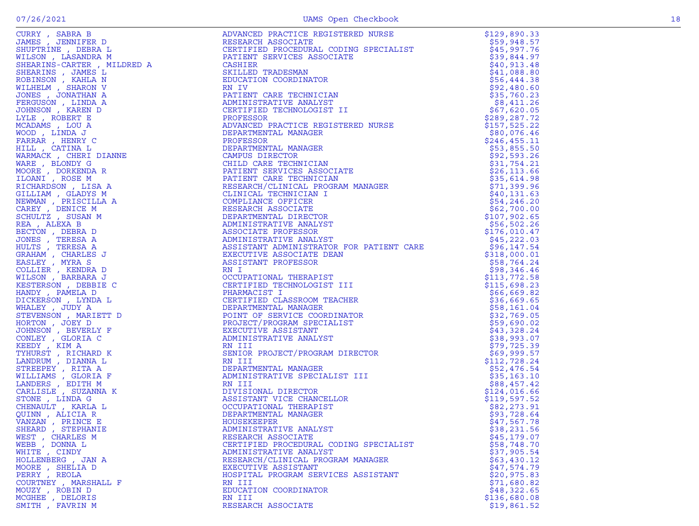|                                                                                                                                                                                                                                                                                                                                                                                                            | ADVANCED PRACTICE REGISTERED NURSE<br>RESEARCH ASSOCIATE<br>CERTIFIED PROCEDURAL CODING SPECIALIST<br>PATIENT SERVICES ASSOCIATE<br>CASHLER<br>SKILLED TRADESMAN<br>EDUCATION COORDINATOR<br>RN IV<br>PATIENT CARE TECHNICIAN<br>ADMINISTRATIVE ANALYST<br>CERTIFIED TECHNOLOGIST II<br> | \$129,890.33                |
|------------------------------------------------------------------------------------------------------------------------------------------------------------------------------------------------------------------------------------------------------------------------------------------------------------------------------------------------------------------------------------------------------------|------------------------------------------------------------------------------------------------------------------------------------------------------------------------------------------------------------------------------------------------------------------------------------------|-----------------------------|
|                                                                                                                                                                                                                                                                                                                                                                                                            |                                                                                                                                                                                                                                                                                          | \$59,948.57                 |
|                                                                                                                                                                                                                                                                                                                                                                                                            |                                                                                                                                                                                                                                                                                          | \$45,997.76                 |
|                                                                                                                                                                                                                                                                                                                                                                                                            |                                                                                                                                                                                                                                                                                          | \$39,844.97                 |
|                                                                                                                                                                                                                                                                                                                                                                                                            |                                                                                                                                                                                                                                                                                          | \$40,913.48                 |
|                                                                                                                                                                                                                                                                                                                                                                                                            |                                                                                                                                                                                                                                                                                          | \$41,088.80                 |
|                                                                                                                                                                                                                                                                                                                                                                                                            |                                                                                                                                                                                                                                                                                          | \$56,444.38                 |
|                                                                                                                                                                                                                                                                                                                                                                                                            |                                                                                                                                                                                                                                                                                          | \$92,480.60                 |
|                                                                                                                                                                                                                                                                                                                                                                                                            |                                                                                                                                                                                                                                                                                          | \$35,760.23                 |
|                                                                                                                                                                                                                                                                                                                                                                                                            |                                                                                                                                                                                                                                                                                          | \$8,411.26                  |
|                                                                                                                                                                                                                                                                                                                                                                                                            |                                                                                                                                                                                                                                                                                          | \$67,620.05                 |
|                                                                                                                                                                                                                                                                                                                                                                                                            |                                                                                                                                                                                                                                                                                          | \$289, 287.72               |
|                                                                                                                                                                                                                                                                                                                                                                                                            |                                                                                                                                                                                                                                                                                          | \$157,525.22                |
|                                                                                                                                                                                                                                                                                                                                                                                                            |                                                                                                                                                                                                                                                                                          | \$80,076.46                 |
|                                                                                                                                                                                                                                                                                                                                                                                                            |                                                                                                                                                                                                                                                                                          | \$246,455.11                |
|                                                                                                                                                                                                                                                                                                                                                                                                            |                                                                                                                                                                                                                                                                                          | \$53,855.50                 |
|                                                                                                                                                                                                                                                                                                                                                                                                            |                                                                                                                                                                                                                                                                                          | \$92,593.26                 |
|                                                                                                                                                                                                                                                                                                                                                                                                            |                                                                                                                                                                                                                                                                                          | \$31,754.21                 |
|                                                                                                                                                                                                                                                                                                                                                                                                            |                                                                                                                                                                                                                                                                                          | \$26, 113.66<br>\$35,614.98 |
|                                                                                                                                                                                                                                                                                                                                                                                                            |                                                                                                                                                                                                                                                                                          | \$71,399.96                 |
|                                                                                                                                                                                                                                                                                                                                                                                                            |                                                                                                                                                                                                                                                                                          | \$40,131.63                 |
|                                                                                                                                                                                                                                                                                                                                                                                                            |                                                                                                                                                                                                                                                                                          | \$54,246.20                 |
|                                                                                                                                                                                                                                                                                                                                                                                                            |                                                                                                                                                                                                                                                                                          | \$62,700.00                 |
|                                                                                                                                                                                                                                                                                                                                                                                                            |                                                                                                                                                                                                                                                                                          | \$107,902.65                |
|                                                                                                                                                                                                                                                                                                                                                                                                            |                                                                                                                                                                                                                                                                                          | \$56,502.26                 |
|                                                                                                                                                                                                                                                                                                                                                                                                            | ADVANCED PRACTICE REGISTERED NURSE<br>DEPARTMENTAL MANAGER<br>PROFESSOR<br>DEPARTMENTAL MANAGER<br>CENDESSOR<br>CENTENT SERVICES ASSOCIATE<br>CHILD CARE TECHNICIAN<br>PATIENT CARE TECHNICIAN<br>PATIENT CARE TECHNICIAN<br>RESEARCH/CLINICAL P                                         | \$176,010.47                |
|                                                                                                                                                                                                                                                                                                                                                                                                            |                                                                                                                                                                                                                                                                                          | \$45,222.03                 |
|                                                                                                                                                                                                                                                                                                                                                                                                            |                                                                                                                                                                                                                                                                                          | \$96,147.54                 |
|                                                                                                                                                                                                                                                                                                                                                                                                            |                                                                                                                                                                                                                                                                                          | \$318,000.01                |
|                                                                                                                                                                                                                                                                                                                                                                                                            |                                                                                                                                                                                                                                                                                          | \$58,764.24                 |
|                                                                                                                                                                                                                                                                                                                                                                                                            | ASSOCIATE PROFESSOR<br>ADMINISTRATIVE ANALYST<br>DESISTANT ADMINISTRATOR FOR PATIENT CARE<br>EXECUTIVE ASSOCIATE DEAN<br>ASSISTANT PROFESSOR<br>RN I<br>CCCUPATIONAL THERAPIST<br>CERTIFIED TECHNOLOGIST III<br>PHARMACIST I<br>CERTIFIED CLASSROOM TEACH                                | \$98,346.46                 |
|                                                                                                                                                                                                                                                                                                                                                                                                            |                                                                                                                                                                                                                                                                                          | \$113,772.58                |
|                                                                                                                                                                                                                                                                                                                                                                                                            |                                                                                                                                                                                                                                                                                          | \$115,698.23                |
|                                                                                                                                                                                                                                                                                                                                                                                                            |                                                                                                                                                                                                                                                                                          | \$66,669.82                 |
|                                                                                                                                                                                                                                                                                                                                                                                                            |                                                                                                                                                                                                                                                                                          | \$36,669.65                 |
|                                                                                                                                                                                                                                                                                                                                                                                                            |                                                                                                                                                                                                                                                                                          | \$58,161.04                 |
|                                                                                                                                                                                                                                                                                                                                                                                                            |                                                                                                                                                                                                                                                                                          | \$32,769.05                 |
|                                                                                                                                                                                                                                                                                                                                                                                                            |                                                                                                                                                                                                                                                                                          | \$59,690.02                 |
|                                                                                                                                                                                                                                                                                                                                                                                                            |                                                                                                                                                                                                                                                                                          | \$43,328.24                 |
|                                                                                                                                                                                                                                                                                                                                                                                                            |                                                                                                                                                                                                                                                                                          | \$38,993.07                 |
|                                                                                                                                                                                                                                                                                                                                                                                                            |                                                                                                                                                                                                                                                                                          | \$79,725.39                 |
|                                                                                                                                                                                                                                                                                                                                                                                                            |                                                                                                                                                                                                                                                                                          | \$69,999.57                 |
|                                                                                                                                                                                                                                                                                                                                                                                                            |                                                                                                                                                                                                                                                                                          | \$112,728.24                |
|                                                                                                                                                                                                                                                                                                                                                                                                            |                                                                                                                                                                                                                                                                                          | \$52,476.54                 |
|                                                                                                                                                                                                                                                                                                                                                                                                            | IST III<br>LOR<br>LOR<br>ADMINISTRATIVE SPECIALIST III                                                                                                                                                                                                                                   | \$35,163.10                 |
|                                                                                                                                                                                                                                                                                                                                                                                                            |                                                                                                                                                                                                                                                                                          | \$88,457.42                 |
|                                                                                                                                                                                                                                                                                                                                                                                                            |                                                                                                                                                                                                                                                                                          | \$124,016.66                |
|                                                                                                                                                                                                                                                                                                                                                                                                            |                                                                                                                                                                                                                                                                                          | \$119,597.52                |
|                                                                                                                                                                                                                                                                                                                                                                                                            |                                                                                                                                                                                                                                                                                          | \$82, 273.91                |
|                                                                                                                                                                                                                                                                                                                                                                                                            |                                                                                                                                                                                                                                                                                          | \$93,728.64                 |
| $\begin{tabular}{cccccccc} \texttt{MUPR-IR} & \texttt{P1-BRND} & \texttt{P1-BRND} & \texttt{P1-BRND} & \texttt{P1-BRND} & \texttt{P1-BRND} & \texttt{P1-BRND} & \texttt{P1-BRND} & \texttt{P1-BRND} & \texttt{P1-BRND} & \texttt{P1-BRND} & \texttt{P1-BRND} & \texttt{P1-BRND} & \texttt{P1-BRND} & \texttt{P1-BRND} & \texttt{P1-BRND} & \texttt{P1-BRND} & \texttt{P1-BRND} & \texttt{P1-BRND} & \text$ |                                                                                                                                                                                                                                                                                          | \$47,567.78<br>\$38,231.56  |
|                                                                                                                                                                                                                                                                                                                                                                                                            |                                                                                                                                                                                                                                                                                          |                             |
|                                                                                                                                                                                                                                                                                                                                                                                                            | CERTIFIED PROCEDURAL CODING SPECIALIST                                                                                                                                                                                                                                                   | \$45,179.07<br>\$58,748.70  |
|                                                                                                                                                                                                                                                                                                                                                                                                            |                                                                                                                                                                                                                                                                                          | \$37,905.54                 |
|                                                                                                                                                                                                                                                                                                                                                                                                            | RESEARCH/CLINICAL PROGRAM MANAGER                                                                                                                                                                                                                                                        | \$63,430.12                 |
| MOORE, SHELIA D                                                                                                                                                                                                                                                                                                                                                                                            | EXECUTIVE ASSISTANT                                                                                                                                                                                                                                                                      | \$47,574.79                 |
| PERRY, REOLA                                                                                                                                                                                                                                                                                                                                                                                               | HOSPITAL PROGRAM SERVICES ASSISTANT                                                                                                                                                                                                                                                      | \$20,975.83                 |
| COURTNEY, MARSHALL F                                                                                                                                                                                                                                                                                                                                                                                       | RN III                                                                                                                                                                                                                                                                                   | \$71,680.82                 |
| MOUZY, ROBIN D                                                                                                                                                                                                                                                                                                                                                                                             | EDUCATION COORDINATOR                                                                                                                                                                                                                                                                    | \$48,322.65                 |
| MCGHEE , DELORIS                                                                                                                                                                                                                                                                                                                                                                                           | RN III                                                                                                                                                                                                                                                                                   | \$136,680.08                |
| SMITH, FAVRIN M                                                                                                                                                                                                                                                                                                                                                                                            | RESEARCH ASSOCIATE                                                                                                                                                                                                                                                                       | \$19,861.52                 |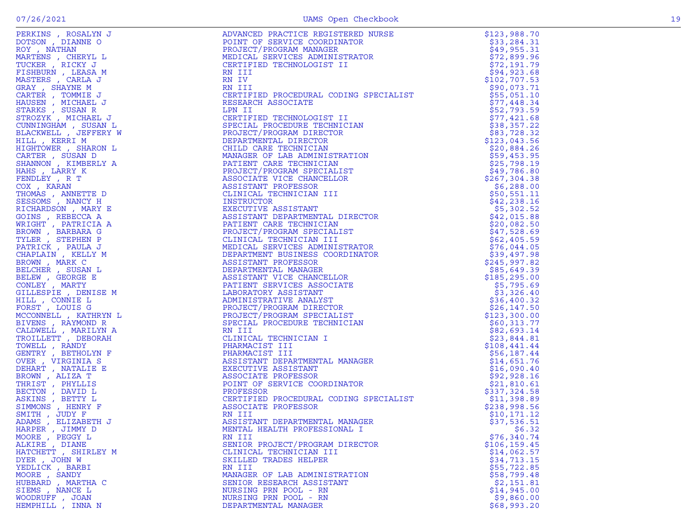| NATIVE A MUNICIPE PROTECTE RESIDENT ANNEXATE RESIDENCE RESERVE IN A MUNICIPE RESIDENCE (PACKINGRAM MARAGEM) (PROTECTE PROTECTES RESERVE TO PASSES THAT IS A MANUFACT PROTECTED TO A MANUFACT CONTROLL TO A MANUFACT CONTROLL<br>PERKINS , ROSALYN J | ADVANCED PRACTICE REGISTERED NURSE<br>POINT OF SERVICE COORDINATOR<br>PROJECT/PROGRAM MANAGER<br>MEDICAL SERVICES ADMINISTRATOR<br>CERTIFIED TECHNOLOGIST II<br>RN IU<br>RN IU<br>RN IU<br>CERTIFIED PROCEDURAL CODING SPECIALIST<br>RESEARCH ASSOCIATE                                      | \$123,988.70                 |
|-----------------------------------------------------------------------------------------------------------------------------------------------------------------------------------------------------------------------------------------------------|----------------------------------------------------------------------------------------------------------------------------------------------------------------------------------------------------------------------------------------------------------------------------------------------|------------------------------|
| DOTSON, DIANNE O                                                                                                                                                                                                                                    |                                                                                                                                                                                                                                                                                              | \$33,284.31                  |
| ROY, NATHAN                                                                                                                                                                                                                                         |                                                                                                                                                                                                                                                                                              | \$49,955.31                  |
| MARTENS , CHERYL L                                                                                                                                                                                                                                  |                                                                                                                                                                                                                                                                                              | \$72,899.96                  |
| TUCKER, RICKY J                                                                                                                                                                                                                                     |                                                                                                                                                                                                                                                                                              | \$72,191.79                  |
| FISHBURN , LEASA M                                                                                                                                                                                                                                  |                                                                                                                                                                                                                                                                                              | \$94,923.68                  |
| MASTERS, CARLA J                                                                                                                                                                                                                                    |                                                                                                                                                                                                                                                                                              | \$102,707.53                 |
| GRAY, SHAYNE M                                                                                                                                                                                                                                      |                                                                                                                                                                                                                                                                                              | \$90,073.71                  |
| CARTER, TOMMIE J                                                                                                                                                                                                                                    |                                                                                                                                                                                                                                                                                              | \$55,051.10                  |
| HAUSEN, MICHAEL J                                                                                                                                                                                                                                   |                                                                                                                                                                                                                                                                                              | \$77,448.34                  |
| STARKS, SUSAN R                                                                                                                                                                                                                                     |                                                                                                                                                                                                                                                                                              | \$52,793.59                  |
| STROZYK, MICHAEL J                                                                                                                                                                                                                                  |                                                                                                                                                                                                                                                                                              | \$77,421.68                  |
| CUNNINGHAM, SUSAN L                                                                                                                                                                                                                                 |                                                                                                                                                                                                                                                                                              | \$38,357.22                  |
| BLACKWELL , JEFFERY W                                                                                                                                                                                                                               |                                                                                                                                                                                                                                                                                              | \$83,728.32                  |
| HILL , KERRI M                                                                                                                                                                                                                                      |                                                                                                                                                                                                                                                                                              | \$123,043.56                 |
| HIGHTOWER, SHARON L                                                                                                                                                                                                                                 |                                                                                                                                                                                                                                                                                              | \$20,884.26                  |
| CARTER, SUSAN D                                                                                                                                                                                                                                     |                                                                                                                                                                                                                                                                                              | \$59,453.95                  |
| SHANNON, KIMBERLY A                                                                                                                                                                                                                                 |                                                                                                                                                                                                                                                                                              | \$25,798.19                  |
| HAHS, LARRY K                                                                                                                                                                                                                                       |                                                                                                                                                                                                                                                                                              | \$49,786.80                  |
| FENDLEY, R T                                                                                                                                                                                                                                        |                                                                                                                                                                                                                                                                                              | \$267,304.38                 |
| COX, KARAN                                                                                                                                                                                                                                          |                                                                                                                                                                                                                                                                                              | \$6,288.00                   |
| THOMAS, ANNETTE D                                                                                                                                                                                                                                   |                                                                                                                                                                                                                                                                                              | \$50,551.11                  |
| SESSOMS , NANCY H                                                                                                                                                                                                                                   |                                                                                                                                                                                                                                                                                              | \$42,238.16                  |
| RICHARDSON, MARY E                                                                                                                                                                                                                                  |                                                                                                                                                                                                                                                                                              | \$5,302.52                   |
| GOINS, REBECCA A                                                                                                                                                                                                                                    |                                                                                                                                                                                                                                                                                              | \$42,015.88                  |
| WRIGHT, PATRICIA A                                                                                                                                                                                                                                  |                                                                                                                                                                                                                                                                                              | \$20,082.50                  |
| BROWN, BARBARA G                                                                                                                                                                                                                                    |                                                                                                                                                                                                                                                                                              | \$47,528.69                  |
| TYLER, STEPHEN P                                                                                                                                                                                                                                    |                                                                                                                                                                                                                                                                                              | \$62,405.59                  |
| PATRICK, PAULA J                                                                                                                                                                                                                                    |                                                                                                                                                                                                                                                                                              | \$76,044.05                  |
| CHAPLAIN, KELLY M                                                                                                                                                                                                                                   |                                                                                                                                                                                                                                                                                              | \$39,497.98                  |
| BROWN, MARK C                                                                                                                                                                                                                                       |                                                                                                                                                                                                                                                                                              | \$245,997.82                 |
| BELCHER , SUSAN L<br>BELEW, GEORGE E                                                                                                                                                                                                                |                                                                                                                                                                                                                                                                                              | \$85,649.39<br>\$185, 295.00 |
|                                                                                                                                                                                                                                                     |                                                                                                                                                                                                                                                                                              |                              |
| CONLEY, MARTY<br>GILLESPIE, DENISE M                                                                                                                                                                                                                |                                                                                                                                                                                                                                                                                              | \$5,795.69<br>\$3,326.40     |
| HILL , CONNIE L                                                                                                                                                                                                                                     |                                                                                                                                                                                                                                                                                              | \$36,400.32                  |
| FORST, LOUIS G                                                                                                                                                                                                                                      |                                                                                                                                                                                                                                                                                              | \$26,147.50                  |
| MCCONNELL , KATHRYN L                                                                                                                                                                                                                               |                                                                                                                                                                                                                                                                                              | \$123,300.00                 |
| BIVENS, RAYMOND R                                                                                                                                                                                                                                   |                                                                                                                                                                                                                                                                                              | \$60,313.77                  |
| CALDWELL, MARILYN A                                                                                                                                                                                                                                 |                                                                                                                                                                                                                                                                                              | \$82,693.14                  |
| TROILLETT, DEBORAH                                                                                                                                                                                                                                  |                                                                                                                                                                                                                                                                                              | \$23,844.81                  |
| TOWELL, RANDY                                                                                                                                                                                                                                       |                                                                                                                                                                                                                                                                                              | \$108,441.44                 |
| GENTRY , BETHOLYN F                                                                                                                                                                                                                                 |                                                                                                                                                                                                                                                                                              | \$56,187.44                  |
| OVER , VIRGINIA S                                                                                                                                                                                                                                   |                                                                                                                                                                                                                                                                                              | \$14,651.76                  |
| DEHART, NATALIE E                                                                                                                                                                                                                                   |                                                                                                                                                                                                                                                                                              | \$16,090.40                  |
| BROWN, ALIZA T                                                                                                                                                                                                                                      |                                                                                                                                                                                                                                                                                              | \$92,928.16                  |
| THRIST, PHYLLIS                                                                                                                                                                                                                                     |                                                                                                                                                                                                                                                                                              | \$21,810.61                  |
| BECTON, DAVID L                                                                                                                                                                                                                                     |                                                                                                                                                                                                                                                                                              | \$337,324.58                 |
| ASKINS , BETTY L                                                                                                                                                                                                                                    |                                                                                                                                                                                                                                                                                              | \$11,398.89                  |
| SIMMONS , HENRY F                                                                                                                                                                                                                                   |                                                                                                                                                                                                                                                                                              | \$238,998.56                 |
| SMITH, JUDY F                                                                                                                                                                                                                                       |                                                                                                                                                                                                                                                                                              | \$10,171.12                  |
| ADAMS, ELIZABETH J                                                                                                                                                                                                                                  |                                                                                                                                                                                                                                                                                              | \$37,536.51                  |
| HARPER, JIMMY D                                                                                                                                                                                                                                     | MENTAL HEALTH PROFESSIONAL I                                                                                                                                                                                                                                                                 | \$6.32                       |
| MOORE, PEGGY L                                                                                                                                                                                                                                      | RN III                                                                                                                                                                                                                                                                                       | \$76,340.74                  |
| ALKIRE , DIANE                                                                                                                                                                                                                                      | RN III<br>IN ITALIA<br>CERIPIED PROCEDURAL CODING SPECIALIST<br>RESERRENT ASSOCIATE<br>CERIPIED TECHNOLOGIST II<br>CERIPIED TECHNOLOGIST II<br>PROJECT/FROGRAM DIRECTOR<br>PROJECT/FROGRAM DIRECTOR<br>MANAGER OF LARE TECHNICIAN<br>MANAGER OF LARE TECH<br>SENIOR PROJECT/PROGRAM DIRECTOR | \$106, 159.45                |
| HATCHETT, SHIRLEY M                                                                                                                                                                                                                                 | CLINICAL TECHNICIAN III                                                                                                                                                                                                                                                                      | \$14,062.57                  |
| DYER, JOHN W                                                                                                                                                                                                                                        | SKILLED TRADES HELPER                                                                                                                                                                                                                                                                        | \$34,713.15                  |
| YEDLICK, BARBI                                                                                                                                                                                                                                      | RN III                                                                                                                                                                                                                                                                                       | \$55,722.85                  |
| MOORE, SANDY                                                                                                                                                                                                                                        | MANAGER OF LAB ADMINISTRATION                                                                                                                                                                                                                                                                | \$58,799.48                  |
| HUBBARD, MARTHA C                                                                                                                                                                                                                                   | SENIOR RESEARCH ASSISTANT                                                                                                                                                                                                                                                                    | \$2,151.81                   |
| SIEMS, NANCE L                                                                                                                                                                                                                                      | NURSING PRN POOL - RN                                                                                                                                                                                                                                                                        | \$14,945.00                  |
| WOODRUFF, JOAN                                                                                                                                                                                                                                      | NURSING PRN POOL - RN                                                                                                                                                                                                                                                                        | \$9,860.00                   |
| HEMPHILL , INNA N                                                                                                                                                                                                                                   | DEPARTMENTAL MANAGER                                                                                                                                                                                                                                                                         | \$68,993.20                  |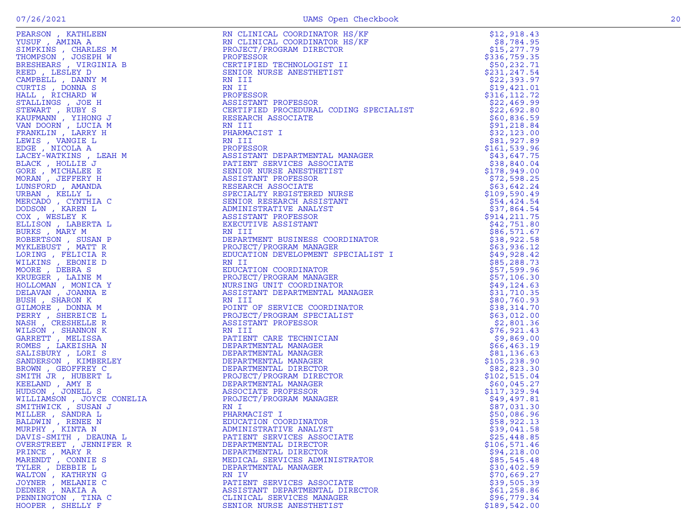| PEARSON, KATHLEEN                      | $\sqrt{\text{KF}}$ ) is the set of the set of the set of the set of the set of the set of the set of the set of the set of the set of the set of the set of the set of the set of the set of the set of the set of the set of the set<br>RN CLINICAL COORDINATOR HS/KF | \$12,918.43                  |
|----------------------------------------|------------------------------------------------------------------------------------------------------------------------------------------------------------------------------------------------------------------------------------------------------------------------|------------------------------|
| YUSUF, AMINA A                         | RN CLINICAL COORDINATOR HS/KF                                                                                                                                                                                                                                          | \$8,784.95                   |
| SIMPKINS, CHARLES M                    | PROJECT/PROGRAM DIRECTOR                                                                                                                                                                                                                                               | \$15, 277.79                 |
| THOMPSON, JOSEPH W                     | PROFESSOR                                                                                                                                                                                                                                                              | \$336,759.35                 |
| BRESHEARS , VIRGINIA B                 | .<br>CERTIFIED TECHNOLOGIST II<br>SENIOR NURSE ANESTHETIST                                                                                                                                                                                                             | \$50,232.71                  |
| REED, LESLEY D                         | SENIOR NURSE ANESTHETIST                                                                                                                                                                                                                                               | \$231,247.54                 |
| CAMPBELL , DANNY M                     | RN III                                                                                                                                                                                                                                                                 | \$22,393.97                  |
| CURTIS, DONNA S<br>HALL, RICHARD W     | RN II<br>PROFESSOR                                                                                                                                                                                                                                                     | \$19,421.01<br>\$316, 112.72 |
| STALLINGS , JOE H                      | ASSISTANT PROFESSOR                                                                                                                                                                                                                                                    | \$22,469.99                  |
| STEWART, RUBY S                        |                                                                                                                                                                                                                                                                        | \$22,692.80                  |
| KAUFMANN , YIHONG J                    | CERTIFIED PROCEDURAL CODING SPECIALIST<br>RESEARCH ASSOCIATE<br>RN III                                                                                                                                                                                                 |                              |
| VAN DOORN, LUCIA M                     |                                                                                                                                                                                                                                                                        |                              |
| FRANKLIN, LARRY H                      |                                                                                                                                                                                                                                                                        |                              |
| LEWIS , VANGIE L                       |                                                                                                                                                                                                                                                                        |                              |
| EDGE, NICOLA A                         |                                                                                                                                                                                                                                                                        |                              |
| LACEY-WATKINS, LEAH M                  |                                                                                                                                                                                                                                                                        |                              |
| BLACK, HOLLIE J                        |                                                                                                                                                                                                                                                                        |                              |
| GORE, MICHALEE E                       |                                                                                                                                                                                                                                                                        |                              |
| MORAN, JEFFERY H                       |                                                                                                                                                                                                                                                                        |                              |
| LUNSFORD , AMANDA                      |                                                                                                                                                                                                                                                                        |                              |
| URBAN, KELLY L                         |                                                                                                                                                                                                                                                                        |                              |
| MERCADO, CYNTHIA C                     |                                                                                                                                                                                                                                                                        |                              |
| DODSON, KAREN L                        |                                                                                                                                                                                                                                                                        |                              |
| COX, WESLEY K                          |                                                                                                                                                                                                                                                                        |                              |
| ELLISON, LABERTA L                     |                                                                                                                                                                                                                                                                        |                              |
| BURKS, MARY M                          |                                                                                                                                                                                                                                                                        |                              |
| ROBERTSON, SUSAN P                     |                                                                                                                                                                                                                                                                        |                              |
| MYKLEBUST, MATT R<br>LORING, FELICIA R |                                                                                                                                                                                                                                                                        |                              |
| WILKINS, EBONIE D                      |                                                                                                                                                                                                                                                                        |                              |
| MOORE, DEBRA S                         |                                                                                                                                                                                                                                                                        |                              |
| KRUEGER, LAINE M                       |                                                                                                                                                                                                                                                                        |                              |
| HOLLOMAN , MONICA Y                    |                                                                                                                                                                                                                                                                        |                              |
| DELAVAN, JOANNA E                      |                                                                                                                                                                                                                                                                        |                              |
| BUSH, SHARON K                         |                                                                                                                                                                                                                                                                        |                              |
| GILMORE , DONNA M                      |                                                                                                                                                                                                                                                                        |                              |
| PERRY, SHEREICE L                      |                                                                                                                                                                                                                                                                        |                              |
| NASH, CRESHELLE R                      |                                                                                                                                                                                                                                                                        |                              |
| WILSON, SHANNON K                      |                                                                                                                                                                                                                                                                        |                              |
| GARRETT, MELISSA                       |                                                                                                                                                                                                                                                                        |                              |
| ROMES , LAKEISHA N                     |                                                                                                                                                                                                                                                                        |                              |
|                                        |                                                                                                                                                                                                                                                                        |                              |
|                                        |                                                                                                                                                                                                                                                                        |                              |
|                                        |                                                                                                                                                                                                                                                                        |                              |
|                                        |                                                                                                                                                                                                                                                                        |                              |
|                                        |                                                                                                                                                                                                                                                                        |                              |
|                                        |                                                                                                                                                                                                                                                                        |                              |
|                                        |                                                                                                                                                                                                                                                                        |                              |
|                                        |                                                                                                                                                                                                                                                                        |                              |
|                                        |                                                                                                                                                                                                                                                                        |                              |
|                                        |                                                                                                                                                                                                                                                                        |                              |
|                                        |                                                                                                                                                                                                                                                                        |                              |
| OVERSTREET, JENNIFER R                 | DEPARTMENTAL DIRECTOR                                                                                                                                                                                                                                                  | \$106,571.46                 |
| PRINCE, MARY R                         | DEPARTMENTAL DIRECTOR                                                                                                                                                                                                                                                  | \$94, 218.00                 |
| MARENDT, CONNIE S<br>TYLER , DEBBIE L  | MEDICAL SERVICES ADMINISTRATOR                                                                                                                                                                                                                                         | \$85,545.48                  |
| WALTON, KATHRYN G                      | DEPARTMENTAL MANAGER<br>RN IV                                                                                                                                                                                                                                          | \$30,402.59<br>\$70,669.27   |
| JOYNER , MELANIE C                     | PATIENT SERVICES ASSOCIATE                                                                                                                                                                                                                                             | \$39,505.39                  |
| DEDNER, NAKIA A                        | ASSISTANT DEPARTMENTAL DIRECTOR                                                                                                                                                                                                                                        | \$61,258.86                  |
| PENNINGTON, TINA C                     | CLINICAL SERVICES MANAGER                                                                                                                                                                                                                                              | \$96,779.34                  |
| HOOPER, SHELLY F                       | SENIOR NURSE ANESTHETIST                                                                                                                                                                                                                                               | \$189,542.00                 |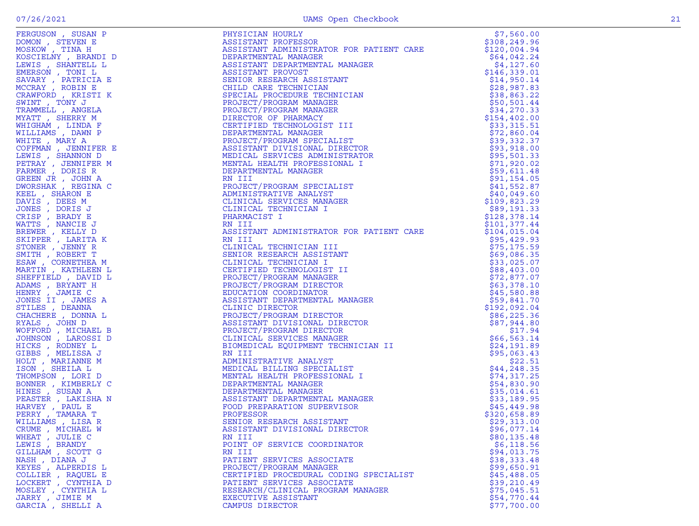| FERGUSON , SUSAN P                       | PHYSICIAN HOURLY                                                                                                                                                                                                                                                                                   | \$7,560.00             |
|------------------------------------------|----------------------------------------------------------------------------------------------------------------------------------------------------------------------------------------------------------------------------------------------------------------------------------------------------|------------------------|
| DOMON, STEVEN E                          | ASSISTANT PROFESSOR                                                                                                                                                                                                                                                                                | \$308,249.96           |
| MOSKOW, TINA H                           | ASSISTANT ADMINISTRATOR FOR PATIENT CARE<br>ASSISTANT ADMINISTRATOR FOR PATIENT CARE<br>DEPARTMENTAL MANAGER<br>DEPARTMENTAL MANAGER<br>ASSISTANT DEPARTMENTAL MANAGER<br>ASSISTANT PEOVOST<br>SENIOR RESEARCH ASSISTANT<br>CHILD CARE TECHNICIAN<br>SPECIAL PROJECT/PROGRAM MANAGER<br>PROJECT/PR | \$120,004.94           |
| KOSCIELNY, BRANDI D                      |                                                                                                                                                                                                                                                                                                    | \$64,042.24            |
| LEWIS , SHANTELL L                       |                                                                                                                                                                                                                                                                                                    | \$4,127.60             |
| EMERSON , TONI L                         |                                                                                                                                                                                                                                                                                                    | \$146,339.01           |
| SAVARY, PATRICIA E                       |                                                                                                                                                                                                                                                                                                    | \$14,950.14            |
| MCCRAY, ROBIN E                          |                                                                                                                                                                                                                                                                                                    | \$28,987.83            |
| CRAWFORD, KRISTI K                       |                                                                                                                                                                                                                                                                                                    | \$38,863.22            |
| SWINT, TONY J                            |                                                                                                                                                                                                                                                                                                    | \$50,501.44            |
| TRAMMELL , ANGELA                        |                                                                                                                                                                                                                                                                                                    | \$34,270.33            |
| MYATT, SHERRY M                          |                                                                                                                                                                                                                                                                                                    | \$154,402.00           |
| WHIGHAM, LINDA F                         |                                                                                                                                                                                                                                                                                                    | \$33,315.51            |
| WILLIAMS , DAWN P                        |                                                                                                                                                                                                                                                                                                    | \$72,860.04            |
| WHITE, MARY A                            |                                                                                                                                                                                                                                                                                                    | \$39,332.37            |
| COFFMAN, JENNIFER E                      |                                                                                                                                                                                                                                                                                                    | \$93,918.00            |
| LEWIS, SHANNON D                         |                                                                                                                                                                                                                                                                                                    | \$95,501.33            |
| PETRAY, JENNIFER M                       |                                                                                                                                                                                                                                                                                                    | \$71,920.02            |
| FARMER, DORIS R                          |                                                                                                                                                                                                                                                                                                    | \$59,611.48            |
| GREEN JR, JOHN A                         |                                                                                                                                                                                                                                                                                                    | \$91,154.05            |
| DWORSHAK, REGINA C                       |                                                                                                                                                                                                                                                                                                    | \$41,552.87            |
| KEEL , SHARON E                          |                                                                                                                                                                                                                                                                                                    | \$40,049.60            |
| DAVIS, DEES M                            |                                                                                                                                                                                                                                                                                                    | \$109,823.29           |
| JONES , DORIS J                          |                                                                                                                                                                                                                                                                                                    | \$89,191.33            |
| CRISP, BRADY E                           |                                                                                                                                                                                                                                                                                                    | \$128,378.14           |
| WATTS, NANCIE J                          |                                                                                                                                                                                                                                                                                                    | \$101, 377.44          |
| BREWER, KELLY D                          | ASSISTANT ADMINISTRATOR FOR PATIENT CARE                                                                                                                                                                                                                                                           | \$104,015.04           |
| SKIPPER, LARITA K                        | RN III<br>RN III<br>CLINICAL TECHNICIAN III<br>SENIOR RESEARCH ASSISTANT<br>CLINICAL TECHNICIAN I<br>CERTIFIED TECHNOLOGIST II<br>PROJECT/PROGRAM MANAGER<br>PROJECT/PROGRAM DIRECTOR<br>EDUCATION COORDINATOR<br>ASSISTANT DEPARTMENTAL MANAGER<br>CLINIC DIRECTOR                                | \$95,429.93            |
| STONER, JENNY R                          |                                                                                                                                                                                                                                                                                                    | \$75, 175.59           |
| SMITH, ROBERT T                          |                                                                                                                                                                                                                                                                                                    | \$69,086.35            |
| ESAW, CORNETHEA M                        |                                                                                                                                                                                                                                                                                                    | \$33,025.07            |
| MARTIN, KATHLEEN L                       |                                                                                                                                                                                                                                                                                                    | \$88,403.00            |
| SHEFFIELD, DAVID L                       |                                                                                                                                                                                                                                                                                                    | \$72,877.07            |
| ADAMS, BRYANT H                          |                                                                                                                                                                                                                                                                                                    | \$63,378.10            |
| HENRY, JAMIE C                           |                                                                                                                                                                                                                                                                                                    | \$45,580.88            |
| JONES II , JAMES A                       |                                                                                                                                                                                                                                                                                                    | \$59,841.70            |
| STILES, DEANNA                           |                                                                                                                                                                                                                                                                                                    | \$192,092.04           |
| CHACHERE, DONNA L                        |                                                                                                                                                                                                                                                                                                    | \$86, 225.36           |
| RYALS , JOHN D                           |                                                                                                                                                                                                                                                                                                    | \$87,944.80<br>\$17.94 |
| WOFFORD, MICHAEL B<br>JOHNSON, LAROSSI D |                                                                                                                                                                                                                                                                                                    | \$66, 563.14           |
| HICKS, RODNEY L                          |                                                                                                                                                                                                                                                                                                    | \$24,191.89            |
| GIBBS, MELISSA J                         | RN III                                                                                                                                                                                                                                                                                             | \$95,063.43            |
| HOLT, MARIANNE M                         |                                                                                                                                                                                                                                                                                                    | \$22.51                |
| ISON, SHEILA L                           | LIST<br>ONAL I<br>MANAGER<br>VISOR                                                                                                                                                                                                                                                                 | \$44,248.35            |
| THOMPSON, LORI D                         |                                                                                                                                                                                                                                                                                                    | \$74,317.25            |
| BONNER, KIMBERLY C                       |                                                                                                                                                                                                                                                                                                    | \$54,830.90            |
| HINES , SUSAN A                          |                                                                                                                                                                                                                                                                                                    | \$35,014.61            |
| PEASTER, LAKISHA N                       |                                                                                                                                                                                                                                                                                                    | \$33,189.95            |
| HARVEY , PAUL E                          |                                                                                                                                                                                                                                                                                                    | \$45,449.98            |
| PERRY, TAMARA T                          |                                                                                                                                                                                                                                                                                                    | \$320,658.89           |
| WILLIAMS, LISA R                         |                                                                                                                                                                                                                                                                                                    | \$29,313.00            |
| CRUME, MICHAEL W                         |                                                                                                                                                                                                                                                                                                    | \$96,077.14            |
| WHEAT, JULIE C                           |                                                                                                                                                                                                                                                                                                    | \$80,135.48            |
| LEWIS, BRANDY                            | ADMINING<br>MEDICAL BILLING<br>MENTAL HEALTH PROFESSIGN<br>DEPARTMENTAL MANAGER<br>DEPARTMENTAL MANAGER<br>ASSISTANT DEPARTMENTAL MANAGER<br>FOOD PREPARATION SUPERVISOR<br>PROFESSOR<br>SENIOR RESEARCH ASSISTANT<br>NATIOR RESEARCH ASSISTANT<br>                                                | \$6,118.56             |
| GILLHAM . SCOTT G                        | RN III                                                                                                                                                                                                                                                                                             | \$94,013.75            |
| NASH, DIANA J                            | PATIENT SERVICES ASSOCIATE                                                                                                                                                                                                                                                                         | \$38,333.48            |
| KEYES, ALPERDIS L                        | PROJECT/PROGRAM MANAGER                                                                                                                                                                                                                                                                            | \$99,650.91            |
| COLLIER , RAQUEL E                       | CERTIFIED PROCEDURAL CODING SPECIALIST                                                                                                                                                                                                                                                             | \$45,488.05            |
| LOCKERT, CYNTHIA D                       | PATIENT SERVICES ASSOCIATE                                                                                                                                                                                                                                                                         | \$39,210.49            |
| MOSLEY, CYNTHIA L                        | RESEARCH/CLINICAL PROGRAM MANAGER                                                                                                                                                                                                                                                                  | \$75,045.51            |
| JARRY , JIMIE M                          | EXECUTIVE ASSISTANT                                                                                                                                                                                                                                                                                | \$54,770.44            |
| GARCIA , SHELLI A                        | CAMPUS DIRECTOR                                                                                                                                                                                                                                                                                    | \$77,700.00            |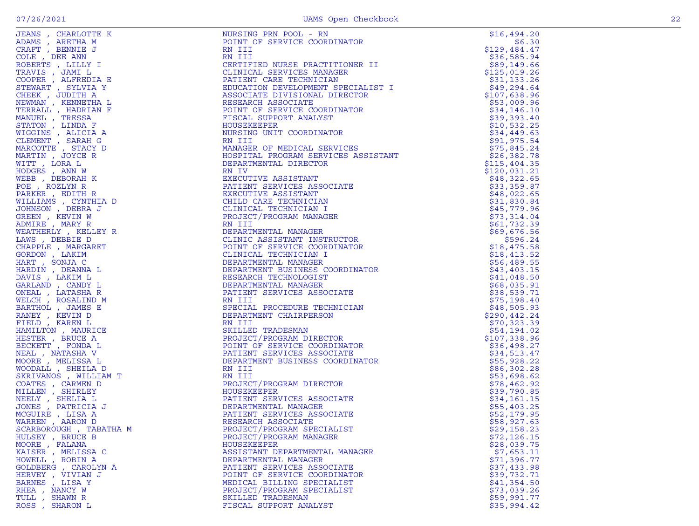| JEANS, CHARLOTTE K     | NURSING PRN POOL - RN                                                                                                                                                                                                         | \$16,494.20                |
|------------------------|-------------------------------------------------------------------------------------------------------------------------------------------------------------------------------------------------------------------------------|----------------------------|
| ADAMS, ARETHA M        |                                                                                                                                                                                                                               | \$6.30                     |
| CRAFT, BENNIE J        |                                                                                                                                                                                                                               | \$129,484.47               |
| COLE , DEE ANN         |                                                                                                                                                                                                                               | \$36,585.94                |
| ROBERTS, LILLY I       |                                                                                                                                                                                                                               | \$89,149.66                |
| TRAVIS , JAMI L        |                                                                                                                                                                                                                               | \$125,019.26               |
| COOPER, ALFREDIA E     |                                                                                                                                                                                                                               | \$31,133.26                |
| STEWART, SYLVIA Y      |                                                                                                                                                                                                                               | \$49,294.64                |
| CHEEK, JUDITH A        |                                                                                                                                                                                                                               | \$107,638.96               |
| NEWMAN , KENNETHA L    |                                                                                                                                                                                                                               | \$53,009.96                |
| TERRALL, HADRIAN F     |                                                                                                                                                                                                                               | \$34,146.10                |
| MANUEL , TRESSA        |                                                                                                                                                                                                                               | \$39,393.40                |
| STATON, LINDA F        |                                                                                                                                                                                                                               | \$10,532.25                |
| WIGGINS , ALICIA A     |                                                                                                                                                                                                                               | \$34,449.63                |
| CLEMENT , SARAH G      |                                                                                                                                                                                                                               | \$91,975.54                |
| MARCOTTE , STACY D     |                                                                                                                                                                                                                               | \$75,845.24                |
| MARTIN, JOYCE R        |                                                                                                                                                                                                                               | \$26,382.78                |
| WITT, LORA L           |                                                                                                                                                                                                                               | \$115,404.35               |
| HODGES, ANN W          |                                                                                                                                                                                                                               | \$120,031.21               |
| WEBB, DEBORAH K        |                                                                                                                                                                                                                               | \$48,322.65                |
| POE, ROZLYN R          |                                                                                                                                                                                                                               | \$33,359.87                |
| PARKER, EDITH R        |                                                                                                                                                                                                                               | \$48,022.65                |
| WILLIAMS, CYNTHIA D    |                                                                                                                                                                                                                               | \$31,830.84                |
| JOHNSON, DEBRA J       |                                                                                                                                                                                                                               | \$45,779.96                |
| GREEN, KEVIN W         |                                                                                                                                                                                                                               | \$73,314.04                |
| ADMIRE, MARY R         |                                                                                                                                                                                                                               | \$61,732.39                |
| WEATHERLY , KELLEY R   |                                                                                                                                                                                                                               | \$69,676.56                |
| LAWS, DEBBIE D         |                                                                                                                                                                                                                               | \$596.24                   |
| CHAPPLE, MARGARET      |                                                                                                                                                                                                                               | \$18,475.58                |
| GORDON, LAKIM          |                                                                                                                                                                                                                               | \$18,413.52                |
| HART, SONJA C          |                                                                                                                                                                                                                               | \$56,489.55                |
| HARDIN, DEANNA L       |                                                                                                                                                                                                                               | \$43,403.15                |
| DAVIS, LAKIM L         |                                                                                                                                                                                                                               | \$41,048.50                |
| GARLAND , CANDY L      |                                                                                                                                                                                                                               | \$68,035.91                |
| ONEAL, LATASHA R       |                                                                                                                                                                                                                               | \$38,539.71                |
| WELCH, ROSALIND M      |                                                                                                                                                                                                                               | \$75,198.40                |
| BARTHOL , JAMES E      |                                                                                                                                                                                                                               | \$48,505.93                |
| RANEY , KEVIN D        |                                                                                                                                                                                                                               | \$290,442.24               |
| FIELD, KAREN L         |                                                                                                                                                                                                                               |                            |
| HAMILTON, MAURICE      |                                                                                                                                                                                                                               | \$70,323.39<br>\$54,194.02 |
| HESTER, BRUCE A        |                                                                                                                                                                                                                               | \$107,338.96               |
| BECKETT, FONDA L       |                                                                                                                                                                                                                               | \$36,498.27                |
| NEAL , NATASHA V       |                                                                                                                                                                                                                               | \$34,513.47                |
| MOORE , MELISSA L      |                                                                                                                                                                                                                               | \$55,928.22                |
|                        |                                                                                                                                                                                                                               |                            |
| WOODALL , SHEILA D     |                                                                                                                                                                                                                               | \$86,302.28                |
| SKRIVANOS , WILLIAM T  |                                                                                                                                                                                                                               | \$53,698.62                |
| COATES, CARMEN D       |                                                                                                                                                                                                                               | \$78,462.92                |
| MILLEN, SHIRLEY        |                                                                                                                                                                                                                               | \$39,790.85                |
| NEELY, SHELIA L        |                                                                                                                                                                                                                               | \$34,161.15                |
| JONES , PATRICIA J     |                                                                                                                                                                                                                               | \$55,403.25                |
| MCGUIRE, LISA A        |                                                                                                                                                                                                                               | \$52,179.95                |
| WARREN, AARON D        |                                                                                                                                                                                                                               | \$58,927.63                |
| SCARBOROUGH, TABATHA M | FRAME PROFINE THE SERVICE CONDITATOR IN THE SERVICE CONDITATOR IN THE SERVICE CONDITATOR IN THE SERVICE ON DETERMINENT TO SERVICE DESCRIPTION AND RESERVATION AND SERVICE DESCRIPTION OF PERSONAL STREET AND DESCRIPTION OF P | \$29,158.23                |
| HULSEY, BRUCE B        | PROJECT/PROGRAM MANAGER                                                                                                                                                                                                       | \$72,126.15                |
| MOORE, FALANA          | HOUSEKEEPER                                                                                                                                                                                                                   | \$28,039.75                |
| KAISER, MELISSA C      | ASSISTANT DEPARTMENTAL MANAGER                                                                                                                                                                                                | \$7,653.11                 |
| HOWELL, ROBIN A        | DEPARTMENTAL MANAGER                                                                                                                                                                                                          | \$71,396.77                |
| GOLDBERG , CAROLYN A   | PATIENT SERVICES ASSOCIATE                                                                                                                                                                                                    | \$37,433.98                |
| HERVEY , VIVIAN J      | POINT OF SERVICE COORDINATOR                                                                                                                                                                                                  | \$39,732.71                |
| BARNES , LISA Y        | MEDICAL BILLING SPECIALIST                                                                                                                                                                                                    | \$41,354.50                |
| RHEA, NANCY W          | PROJECT/PROGRAM SPECIALIST                                                                                                                                                                                                    | \$73,039.26                |
| TULL, SHAWN R          | SKILLED TRADESMAN                                                                                                                                                                                                             | \$59,991.77                |
| ROSS, SHARON L         | FISCAL SUPPORT ANALYST                                                                                                                                                                                                        | \$35,994.42                |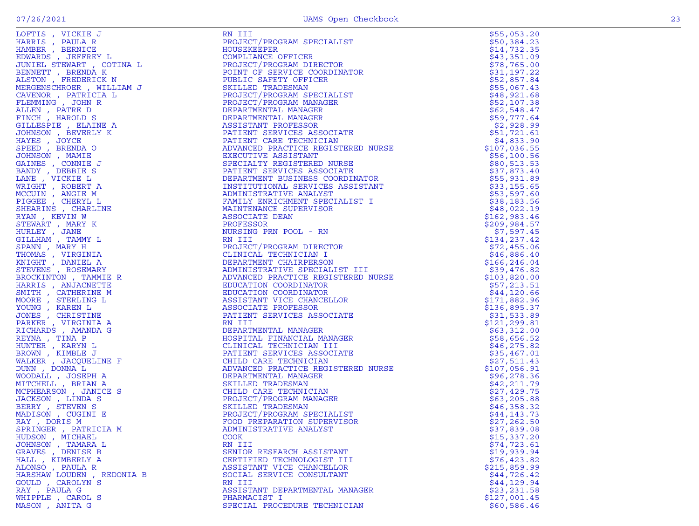|                           |                                                                                                                                                                                                                                                                                     | \$55,053.20  |
|---------------------------|-------------------------------------------------------------------------------------------------------------------------------------------------------------------------------------------------------------------------------------------------------------------------------------|--------------|
|                           |                                                                                                                                                                                                                                                                                     | \$50,384.23  |
|                           |                                                                                                                                                                                                                                                                                     | \$14,732.35  |
|                           |                                                                                                                                                                                                                                                                                     | \$43,351.09  |
|                           |                                                                                                                                                                                                                                                                                     | \$78,765.00  |
|                           |                                                                                                                                                                                                                                                                                     | \$31,197.22  |
|                           |                                                                                                                                                                                                                                                                                     | \$52,857.84  |
|                           |                                                                                                                                                                                                                                                                                     | \$55,067.43  |
|                           |                                                                                                                                                                                                                                                                                     | \$48,921.68  |
|                           |                                                                                                                                                                                                                                                                                     | \$52,107.38  |
|                           |                                                                                                                                                                                                                                                                                     | \$62,548.47  |
|                           |                                                                                                                                                                                                                                                                                     | \$59,777.64  |
|                           |                                                                                                                                                                                                                                                                                     | \$2,928.99   |
|                           |                                                                                                                                                                                                                                                                                     | \$51,721.61  |
|                           |                                                                                                                                                                                                                                                                                     | \$4,833.90   |
|                           |                                                                                                                                                                                                                                                                                     | \$107,036.55 |
|                           |                                                                                                                                                                                                                                                                                     | \$56,100.56  |
|                           |                                                                                                                                                                                                                                                                                     | \$80,513.53  |
|                           |                                                                                                                                                                                                                                                                                     | \$37,873.40  |
|                           |                                                                                                                                                                                                                                                                                     | \$55,931.89  |
|                           |                                                                                                                                                                                                                                                                                     | \$33,155.65  |
|                           |                                                                                                                                                                                                                                                                                     | \$53,597.60  |
|                           |                                                                                                                                                                                                                                                                                     | \$38,183.56  |
|                           |                                                                                                                                                                                                                                                                                     | \$48,022.19  |
|                           |                                                                                                                                                                                                                                                                                     | \$162,983.46 |
|                           |                                                                                                                                                                                                                                                                                     | \$209,984.57 |
|                           |                                                                                                                                                                                                                                                                                     | \$7,597.45   |
|                           |                                                                                                                                                                                                                                                                                     | \$134,237.42 |
|                           |                                                                                                                                                                                                                                                                                     | \$72,455.06  |
|                           |                                                                                                                                                                                                                                                                                     | \$46,886.40  |
|                           |                                                                                                                                                                                                                                                                                     | \$166,246.04 |
|                           |                                                                                                                                                                                                                                                                                     | \$39,476.82  |
|                           |                                                                                                                                                                                                                                                                                     | \$103,820.00 |
|                           |                                                                                                                                                                                                                                                                                     | \$57,213.51  |
|                           |                                                                                                                                                                                                                                                                                     | \$44,120.66  |
|                           |                                                                                                                                                                                                                                                                                     | \$171,882.96 |
|                           |                                                                                                                                                                                                                                                                                     | \$136,895.37 |
|                           |                                                                                                                                                                                                                                                                                     | \$31,533.89  |
|                           |                                                                                                                                                                                                                                                                                     | \$121,299.81 |
|                           |                                                                                                                                                                                                                                                                                     | \$63,312.00  |
|                           |                                                                                                                                                                                                                                                                                     | \$58,656.52  |
|                           |                                                                                                                                                                                                                                                                                     | \$46, 275.82 |
|                           |                                                                                                                                                                                                                                                                                     | \$35,467.01  |
|                           |                                                                                                                                                                                                                                                                                     | \$27,511.43  |
|                           |                                                                                                                                                                                                                                                                                     | \$107,056.91 |
|                           |                                                                                                                                                                                                                                                                                     | \$96,278.36  |
|                           |                                                                                                                                                                                                                                                                                     | \$42,211.79  |
|                           |                                                                                                                                                                                                                                                                                     | \$27,429.75  |
|                           |                                                                                                                                                                                                                                                                                     | \$63,205.88  |
|                           |                                                                                                                                                                                                                                                                                     | \$46,358.32  |
|                           |                                                                                                                                                                                                                                                                                     | \$44,143.73  |
|                           |                                                                                                                                                                                                                                                                                     | \$27,262.50  |
|                           |                                                                                                                                                                                                                                                                                     | \$37,839.08  |
|                           | $\begin{tabular}{@{}c c@{}}\hline & $M_1M_1^2$ & $M_1M_2^2$ & $M_1M_1^2$ & $M_1M_1^2$ & $M_1M_1^2$ & $M_1M_1^2$ & $M_1M_1^2$ & $M_1M_1^2$ & $M_1M_1^2$ & $M_1M_1^2$ & $M_1M_1^2$ & $M_1M_1^2$ & $M_1M_1^2$ & $M_1M_1^2$ & $M_1M_1^2$ & $M_1M_1^2$ & $M_1M_1^2$ & $M_1M_1^2$ & $M_1$ | \$15,337.20  |
|                           |                                                                                                                                                                                                                                                                                     | \$74,723.61  |
|                           |                                                                                                                                                                                                                                                                                     | \$19,939.94  |
|                           |                                                                                                                                                                                                                                                                                     | \$76,423.82  |
| ALONSO, PAULA R           | ASSISTANT VICE CHANCELLOR                                                                                                                                                                                                                                                           | \$215,859.99 |
| HARSHAW LOUDEN, REDONIA B | SOCIAL SERVICE CONSULTANT                                                                                                                                                                                                                                                           | \$44,726.42  |
| GOULD, CAROLYN S          | RN III                                                                                                                                                                                                                                                                              | \$44,129.94  |
| RAY, PAULA G              | ASSISTANT DEPARTMENTAL MANAGER                                                                                                                                                                                                                                                      | \$23, 231.58 |
| WHIPPLE, CAROL S          | PHARMACIST I                                                                                                                                                                                                                                                                        | \$127,001.45 |
| MASON, ANITA G            | SPECIAL PROCEDURE TECHNICIAN                                                                                                                                                                                                                                                        | \$60,586.46  |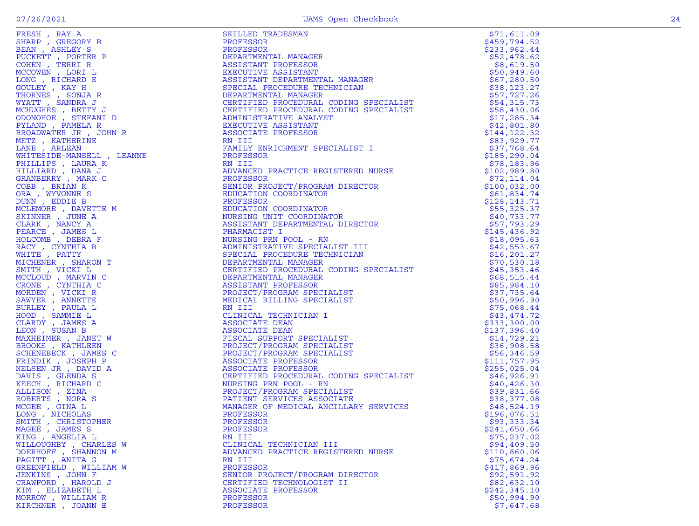| SHARP , GREGORY B<br>BEAN , ASHLEY S                                                               |  |
|----------------------------------------------------------------------------------------------------|--|
| PUCKETT , PORTER P<br>COHEN , TERRI R                                                              |  |
|                                                                                                    |  |
| MCCOWEN, LERE L                                                                                    |  |
|                                                                                                    |  |
| LONG , RICHARD E<br>GOULEY , KAY H<br>THORNES , SONJA R<br>WYATT , SANDRA J                        |  |
|                                                                                                    |  |
|                                                                                                    |  |
|                                                                                                    |  |
|                                                                                                    |  |
| MCHUGHES , BETTY J<br>ODONOHOE , STEFANI D<br>PYLAND , PAMELA R                                    |  |
|                                                                                                    |  |
| BROADWATER JR , JOHN R                                                                             |  |
| METZ, KATHERINE                                                                                    |  |
| LANE , ARLEAN                                                                                      |  |
| WHITESIDE-MANSELL , LEANNE                                                                         |  |
| PHILLIPS , LAURA K<br>HILLIARD , DANA J<br>GRANBERRY , MARK C                                      |  |
|                                                                                                    |  |
|                                                                                                    |  |
|                                                                                                    |  |
| COBB, BRIAN K                                                                                      |  |
| ORA , WYVONNE S<br>DUNN , EDDIE B                                                                  |  |
|                                                                                                    |  |
| MCLEMORE , DAVETTE M                                                                               |  |
| SKINNER, JUNE A                                                                                    |  |
| CLARK, NANCY A<br>PEARCE, JAMES L<br>HOLCOMB, DEBRA F                                              |  |
|                                                                                                    |  |
|                                                                                                    |  |
|                                                                                                    |  |
| RACY , CYNTHIA B<br>WHITE , PATTY                                                                  |  |
| MICHENER , SHARON T                                                                                |  |
|                                                                                                    |  |
| SMITH , VICKI L<br>MCCLOUD , MARVIN C<br>CRONE , CYNTHIA C<br>MORDEN , VICKI R<br>MUNDEN , VICKI R |  |
|                                                                                                    |  |
|                                                                                                    |  |
|                                                                                                    |  |
|                                                                                                    |  |
|                                                                                                    |  |
|                                                                                                    |  |
| SAWYER , ANNETTE<br>BURLEY , PAULA L<br>HOOD , SAMMIE L<br>CLARDY , JAMES A                        |  |
| LEON, SUSAN B                                                                                      |  |
| MAXHEIMER , JANET W                                                                                |  |
| BROOKS, KATHLEEN                                                                                   |  |
| SCHENEBECK, JAMES C                                                                                |  |
| FRINDIK, JOSEPH P                                                                                  |  |
| NELSEN JR , DAVID A                                                                                |  |
| DAVIS , GLENDA S<br>KEECH , RICHARD C<br>ALLISON , ZINA<br>ROBERTS , NORA S                        |  |
|                                                                                                    |  |
|                                                                                                    |  |
|                                                                                                    |  |
| MCGEE , GINA L                                                                                     |  |
|                                                                                                    |  |
| LONG , NICHOLAS<br>SMITH , CHRISTOPHER<br>MAGEE , JAMES S                                          |  |
|                                                                                                    |  |
|                                                                                                    |  |
| KING, ANGELIA L                                                                                    |  |
| WILLOUGHBY , CHARLES W<br>DOERHOFF , SHANNON M<br>PAGITT , ANITA G                                 |  |
|                                                                                                    |  |
|                                                                                                    |  |
| GREENFIELD, WILLIAM W                                                                              |  |
| JENKINS , JOHN F                                                                                   |  |
| CRAWFORD, HAROLD J                                                                                 |  |
| KIM , ELIZABETH L                                                                                  |  |
| MORROW, WILLIAM R                                                                                  |  |
|                                                                                                    |  |

| FRESH, RAY A           | SKILLED TRADESMAN                  |               |
|------------------------|------------------------------------|---------------|
|                        |                                    | \$71,611.09   |
|                        |                                    |               |
|                        |                                    |               |
|                        |                                    |               |
|                        |                                    |               |
|                        |                                    |               |
|                        |                                    |               |
|                        |                                    |               |
|                        |                                    |               |
|                        |                                    |               |
|                        |                                    |               |
|                        |                                    |               |
|                        |                                    |               |
|                        |                                    |               |
|                        |                                    |               |
|                        |                                    |               |
|                        |                                    |               |
|                        |                                    |               |
|                        |                                    |               |
|                        |                                    |               |
|                        |                                    |               |
|                        |                                    |               |
|                        |                                    |               |
|                        |                                    |               |
|                        |                                    |               |
|                        |                                    |               |
|                        |                                    |               |
|                        |                                    |               |
|                        |                                    |               |
|                        |                                    |               |
|                        |                                    |               |
|                        |                                    |               |
|                        |                                    |               |
|                        |                                    |               |
|                        |                                    |               |
|                        |                                    |               |
|                        |                                    |               |
|                        |                                    |               |
|                        |                                    |               |
|                        |                                    |               |
|                        |                                    |               |
|                        |                                    |               |
|                        |                                    |               |
|                        |                                    |               |
|                        |                                    |               |
|                        |                                    |               |
|                        |                                    |               |
|                        |                                    |               |
|                        |                                    |               |
|                        |                                    |               |
|                        |                                    |               |
|                        |                                    |               |
|                        |                                    |               |
|                        |                                    |               |
|                        |                                    |               |
|                        |                                    |               |
|                        |                                    |               |
|                        |                                    |               |
| MAGEE , JAMES S        | PROFESSOR                          | \$241,650.66  |
| KING, ANGELIA L        | RN III                             | \$75,237.02   |
| WILLOUGHBY , CHARLES W | CLINICAL TECHNICIAN III            | \$94,409.50   |
| DOERHOFF, SHANNON M    | ADVANCED PRACTICE REGISTERED NURSE | \$110,860.06  |
| PAGITT, ANITA G        | RN III                             | \$75,674.24   |
| GREENFIELD, WILLIAM W  | PROFESSOR                          | \$417,869.96  |
| JENKINS, JOHN F        | SENIOR PROJECT/PROGRAM DIRECTOR    | \$92,591.92   |
| CRAWFORD, HAROLD J     | CERTIFIED TECHNOLOGIST II          | \$82,632.10   |
| KIM, ELIZABETH L       | ASSOCIATE PROFESSOR                | \$242, 345.10 |
|                        |                                    |               |
| MORROW, WILLIAM R      | PROFESSOR                          | \$50,994.90   |
| KIRCHNER , JOANN E     | PROFESSOR                          | \$7,647.68    |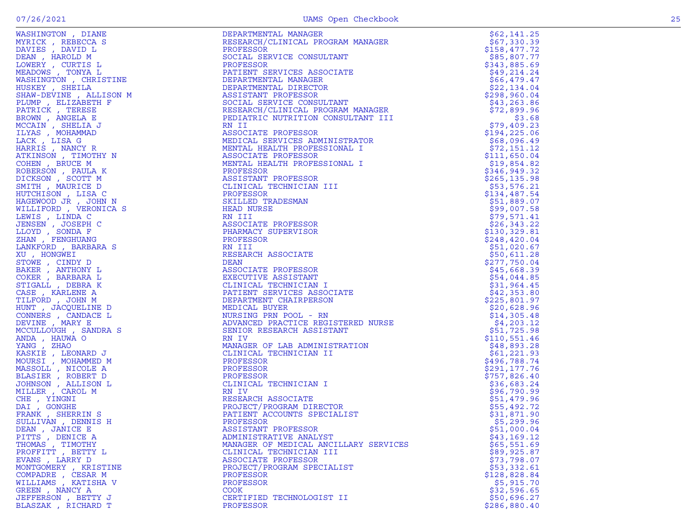| WASHINGTON , DIANE<br>WEADOWS, TONYA L<br>MEADOWS, TONYA L<br>WASHINGTON, CHRISTINE<br>USKEY, SHEILA<br>HAW-DEVINE, ALLISON M<br>UMP, ELIZABETH F<br>TRICK, TERESE<br>WN, ANGELA E<br>AIN, SHELIA J<br>S, MOHAMMAD<br>, LISA G<br>S, MAMOT | DEPARTMENTAL MANAGER                                                                                          | \$62,141.25                |
|--------------------------------------------------------------------------------------------------------------------------------------------------------------------------------------------------------------------------------------------|---------------------------------------------------------------------------------------------------------------|----------------------------|
|                                                                                                                                                                                                                                            | RESEARCH/CLINICAL PROGRAM MANAGER                                                                             | \$67,330.39                |
|                                                                                                                                                                                                                                            | PROFESSOR                                                                                                     | \$158,477.72               |
|                                                                                                                                                                                                                                            | SOCIAL SERVICE CONSULTANT                                                                                     | \$85,807.77                |
|                                                                                                                                                                                                                                            | PROFESSOR                                                                                                     | \$343,885.69               |
|                                                                                                                                                                                                                                            | PATIENT SERVICES ASSOCIATE                                                                                    | \$49,214.24                |
|                                                                                                                                                                                                                                            | DEPARTMENTAL FLANANCIER<br>DEPARTMENTAL DIRECTOR<br>COSTETANT PROFESSOR                                       | \$66,479.47                |
|                                                                                                                                                                                                                                            |                                                                                                               | \$22,134.04                |
|                                                                                                                                                                                                                                            |                                                                                                               | \$298,960.04               |
|                                                                                                                                                                                                                                            |                                                                                                               | \$43, 263.86               |
|                                                                                                                                                                                                                                            | DEPARTMENTAL DINLOIT<br>ASSISTANT PROFESSOR<br>SOCIAL SERVICE CONSULTANT<br>TESTADOW/CLINICAL PROGRAM MANAGER | \$72,899.96                |
|                                                                                                                                                                                                                                            |                                                                                                               | \$3.68                     |
|                                                                                                                                                                                                                                            | RN II                                                                                                         | \$79,409.23                |
|                                                                                                                                                                                                                                            | ASSOCIATE PROFESSOR                                                                                           | \$194, 225.06              |
|                                                                                                                                                                                                                                            | MEDICAL SERVICES ADMINISTRATOR                                                                                | \$68,096.49                |
| HARRIS, NANCY R                                                                                                                                                                                                                            | MENTAL HEALTH PROFESSIONAL I                                                                                  | \$72,151.12                |
| ATKINSON, TIMOTHY N                                                                                                                                                                                                                        | ASSOCIATE PROFESSOR                                                                                           | \$111,650.04               |
| COHEN, BRUCE M                                                                                                                                                                                                                             | MENTAL HEALTH PROFESSIONAL I                                                                                  | \$19,854.82                |
| ROBERSON, PAULA K                                                                                                                                                                                                                          | PROFESSOR                                                                                                     | \$346,949.32               |
| DICKSON, SCOTT M                                                                                                                                                                                                                           | ASSISTANT PROFESSOR                                                                                           | \$265, 135.98              |
| SMITH, MAURICE D                                                                                                                                                                                                                           | CLINICAL TECHNICIAN III                                                                                       | \$53,576.21                |
| HUTCHISON, LISA C                                                                                                                                                                                                                          | PROFESSOR                                                                                                     | \$134,487.54               |
| HAGEWOOD JR , JOHN N                                                                                                                                                                                                                       | SKILLED TRADESMAN                                                                                             | \$51,889.07                |
| WILLIFORD, VERONICA S                                                                                                                                                                                                                      | SKILLED IRA<br>HEAD NURSE                                                                                     | \$99,007.58                |
| LEWIS, LINDA C                                                                                                                                                                                                                             | RN III                                                                                                        | \$79,571.41                |
| JENSEN, JOSEPH C                                                                                                                                                                                                                           | ASSOCIATE PROFESSOR                                                                                           | \$26, 343.22               |
| LLOYD, SONDA F                                                                                                                                                                                                                             | PHARMACY SUPERVISOR                                                                                           | \$130,329.81               |
| ZHAN , FENGHUANG                                                                                                                                                                                                                           | PROFESSOR                                                                                                     | \$248,420.04               |
| LANKFORD, BARBARA S                                                                                                                                                                                                                        | RN III                                                                                                        | \$51,020.67                |
| XU, HONGWEI                                                                                                                                                                                                                                | RESEARCH ASSOCIATE                                                                                            | \$50,611.28                |
| STOWE, CINDY D                                                                                                                                                                                                                             | DEAN                                                                                                          | \$277,750.04               |
| BAKER, ANTHONY L                                                                                                                                                                                                                           | ASSOCIATE PROFESSOR                                                                                           | \$45,668.39                |
| COKER, BARBARA L                                                                                                                                                                                                                           | EXECUTIVE ASSISTANT                                                                                           | \$54,044.85                |
| STIGALL , DEBRA K                                                                                                                                                                                                                          | CLINICAL TECHNICIAN I                                                                                         | \$31,964.45                |
| CASE, KARLENE A<br>TILFORD, JOHN M                                                                                                                                                                                                         | PATIENT SERVICES ASSOCIATE                                                                                    | \$42,353.80                |
| HUNT, JACQUELINE D                                                                                                                                                                                                                         | DEPARTMENT CHAIRPERSON                                                                                        | \$225,801.97               |
| CONNERS , CANDACE L                                                                                                                                                                                                                        | MEDICAL BUYER<br>NURSING PRN POOL - RN                                                                        | \$20,628.96<br>\$14,305.48 |
|                                                                                                                                                                                                                                            | ADVANCED PRACTICE REGISTERED NURSE                                                                            | \$4,203.12                 |
| DEVINE, MARY E<br>MCCULLOUGH, SANDRA S                                                                                                                                                                                                     | SENIOR RESEARCH ASSISTANT                                                                                     | \$51,725.98                |
| ANDA, HAUWA O                                                                                                                                                                                                                              | RN IV                                                                                                         | \$110,551.46               |
| YANG, ZHAO                                                                                                                                                                                                                                 | MANAGER OF LAB ADMINISTRATION                                                                                 | \$48,893.28                |
| KASKIE , LEONARD J                                                                                                                                                                                                                         | CLINICAL TECHNICIAN II                                                                                        | \$61,221.93                |
| MOURSI , MOHAMMED M                                                                                                                                                                                                                        | PROFESSOR                                                                                                     | \$496,788.74               |
| MASSOLL, NICOLE A                                                                                                                                                                                                                          | PROFESSOR                                                                                                     | \$291,177.76               |
| BLASIER, ROBERT D                                                                                                                                                                                                                          | PROFESSOR                                                                                                     | \$757,826.40               |
| JOHNSON, ALLISON L                                                                                                                                                                                                                         | CLINICAL TECHNICIAN I                                                                                         | \$36,683.24                |
| MILLER, CAROL M                                                                                                                                                                                                                            | RN IV                                                                                                         | \$96,790.99                |
| CHE, YINGNI                                                                                                                                                                                                                                | RESEARCH ASSOCIATE                                                                                            | \$51,479.96                |
| DAI, GONGHE                                                                                                                                                                                                                                | PROJECT/PROGRAM DIRECTOR                                                                                      | \$55,492.72                |
| FRANK, SHERRIN S                                                                                                                                                                                                                           | PATIENT ACCOUNTS SPECIALIST                                                                                   | \$31,871.90                |
| SULLIVAN, DENNIS H                                                                                                                                                                                                                         | PROFESSOR                                                                                                     | \$5,299.96                 |
| DEAN, JANICE E                                                                                                                                                                                                                             | ASSISTANT PROFESSOR                                                                                           | \$51,000.04                |
| PITTS, DENICE A                                                                                                                                                                                                                            | ADMINISTRATIVE ANALYST                                                                                        | \$43,169.12                |
| THOMAS, TIMOTHY                                                                                                                                                                                                                            | MANAGER OF MEDICAL ANCILLARY SERVICES                                                                         | \$65,551.69                |
| PROFFITT , BETTY L                                                                                                                                                                                                                         | CLINICAL TECHNICIAN III                                                                                       | \$89,925.87                |
| EVANS, LARRY D                                                                                                                                                                                                                             | ASSOCIATE PROFESSOR                                                                                           | \$73,798.07                |
| MONTGOMERY, KRISTINE                                                                                                                                                                                                                       | PROJECT/PROGRAM SPECIALIST                                                                                    | \$53,332.61                |
| COMPADRE, CESAR M                                                                                                                                                                                                                          | PROFESSOR                                                                                                     | \$128,828.84               |
| WILLIAMS, KATISHA V                                                                                                                                                                                                                        | PROFESSOR                                                                                                     | \$5,915.70                 |
| GREEN, NANCY A                                                                                                                                                                                                                             | COOK                                                                                                          | \$32,596.65                |
| JEFFERSON, BETTY J                                                                                                                                                                                                                         | CERTIFIED TECHNOLOGIST II                                                                                     | \$50,696.27                |
| BLASZAK, RICHARD T                                                                                                                                                                                                                         | PROFESSOR                                                                                                     | \$286,880.40               |
|                                                                                                                                                                                                                                            |                                                                                                               |                            |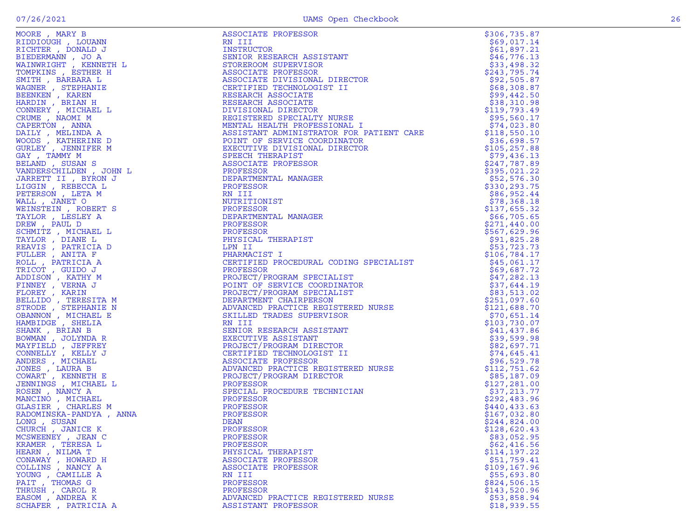| RIDDIOUGH , LOUANN<br>RICHTER , DONALD J<br>RICHTER , LONALD J                                                                                                                                                                                                     |
|--------------------------------------------------------------------------------------------------------------------------------------------------------------------------------------------------------------------------------------------------------------------|
|                                                                                                                                                                                                                                                                    |
|                                                                                                                                                                                                                                                                    |
|                                                                                                                                                                                                                                                                    |
| BIEDERMANN , JO A<br>WAINWRIGHT , KENNETH L<br>COMPKINS , ESTHER H                                                                                                                                                                                                 |
|                                                                                                                                                                                                                                                                    |
|                                                                                                                                                                                                                                                                    |
|                                                                                                                                                                                                                                                                    |
|                                                                                                                                                                                                                                                                    |
|                                                                                                                                                                                                                                                                    |
| TOMPKINS , ESTHER H<br>MITH , BARBARA L<br>MAGNER , STEPHANIE<br>BEENKEN , KAREN<br>HARDIN , BRIAN H<br>CONNERY , MICHAEL L<br>TRUME , NAOMI M<br>ZAPERTON , ANNA A<br>JAILY , MELINDA A<br>JOODS , KATHERINE D<br>JOODS , KATHERINE D<br>JAY , TAMMY M<br>BELAND  |
|                                                                                                                                                                                                                                                                    |
|                                                                                                                                                                                                                                                                    |
|                                                                                                                                                                                                                                                                    |
|                                                                                                                                                                                                                                                                    |
|                                                                                                                                                                                                                                                                    |
|                                                                                                                                                                                                                                                                    |
|                                                                                                                                                                                                                                                                    |
|                                                                                                                                                                                                                                                                    |
|                                                                                                                                                                                                                                                                    |
| BELAND , SUSAN S<br>ZANDERSCHILDEN , JOHN L                                                                                                                                                                                                                        |
|                                                                                                                                                                                                                                                                    |
| JARRETT II , BYRON J                                                                                                                                                                                                                                               |
|                                                                                                                                                                                                                                                                    |
| <br>.IGGIN , REBECCA L<br>?ETERSON ,_LETA M                                                                                                                                                                                                                        |
| WALL, JANET O                                                                                                                                                                                                                                                      |
|                                                                                                                                                                                                                                                                    |
|                                                                                                                                                                                                                                                                    |
| HEINSTEIN , ROBERT S<br>TAYLOR , LESLEY A<br>DREW , PAUL D<br>NEW , PAUL MINIT                                                                                                                                                                                     |
|                                                                                                                                                                                                                                                                    |
|                                                                                                                                                                                                                                                                    |
|                                                                                                                                                                                                                                                                    |
|                                                                                                                                                                                                                                                                    |
|                                                                                                                                                                                                                                                                    |
|                                                                                                                                                                                                                                                                    |
|                                                                                                                                                                                                                                                                    |
|                                                                                                                                                                                                                                                                    |
| DREW, PAUL D<br>CHMITZ, MICHAEL L<br>CAYLOR, DIANE L<br>CEAVIS, PATRICIA D<br>CLLL, PATRICIA A<br>CLLL, PATRICIA A<br>CLLL, PATRICIA A<br>CRICIA (CHIDO J<br>CRICIA ANDISON, KATHY M<br>CLOREY, KARIN<br>SELLIDO, TERESITA M<br>SELLIDO, TERESITA M<br>CEANNOR, ST |
|                                                                                                                                                                                                                                                                    |
|                                                                                                                                                                                                                                                                    |
|                                                                                                                                                                                                                                                                    |
|                                                                                                                                                                                                                                                                    |
|                                                                                                                                                                                                                                                                    |
|                                                                                                                                                                                                                                                                    |
|                                                                                                                                                                                                                                                                    |
|                                                                                                                                                                                                                                                                    |
|                                                                                                                                                                                                                                                                    |
|                                                                                                                                                                                                                                                                    |
|                                                                                                                                                                                                                                                                    |
|                                                                                                                                                                                                                                                                    |
|                                                                                                                                                                                                                                                                    |
|                                                                                                                                                                                                                                                                    |
|                                                                                                                                                                                                                                                                    |
| HAMBIDGE , SBENA<br>SOMMAN , BRIAN B<br>SOMMAN , JOLYNDA R<br>MAYFIELD , JEFFREY<br>CONNELLY , KELLY J<br>MDERS , MICHAEL<br>JONES , LAURA B<br>COWART , KENNETH E<br>JONEN NAS , MICHAEL L<br>MENINGS , MICHAEL L                                                 |
|                                                                                                                                                                                                                                                                    |
| COSEN, NANCY A<br>MANCINO, MICHAEL<br>HASIER, CHARLES M                                                                                                                                                                                                            |
|                                                                                                                                                                                                                                                                    |
|                                                                                                                                                                                                                                                                    |
|                                                                                                                                                                                                                                                                    |
| RADOMINSKA-PANDYA , ANNA                                                                                                                                                                                                                                           |
| ONG , SUSAN<br>CHURCH , JANICE K                                                                                                                                                                                                                                   |
|                                                                                                                                                                                                                                                                    |
| <b>ICSWEENEY</b> , JEAN C                                                                                                                                                                                                                                          |
|                                                                                                                                                                                                                                                                    |
| KRAMER , TERESA L                                                                                                                                                                                                                                                  |
| IEARN , NILMA T<br>CONAWAY , HOWARD H                                                                                                                                                                                                                              |
|                                                                                                                                                                                                                                                                    |
| , NANCY A                                                                                                                                                                                                                                                          |
| COLLINS , HOWARI<br>COLLINS , NANCY<br>COUNG , CAMILLE<br>$\mathbf{A}$                                                                                                                                                                                             |
|                                                                                                                                                                                                                                                                    |
|                                                                                                                                                                                                                                                                    |
|                                                                                                                                                                                                                                                                    |
| PAIT , THOMAS G<br>THRUSH , CAROL R<br>EASOM , ANDREA K                                                                                                                                                                                                            |
|                                                                                                                                                                                                                                                                    |

|                                                                                                                                                                                                                                                   |                                                                                                                                                                                                                                                                       | \$306,735.87               |
|---------------------------------------------------------------------------------------------------------------------------------------------------------------------------------------------------------------------------------------------------|-----------------------------------------------------------------------------------------------------------------------------------------------------------------------------------------------------------------------------------------------------------------------|----------------------------|
|                                                                                                                                                                                                                                                   | NEXTREAL PROPERTION SUPERVISOR<br>ASSOCIATE PROFESSOR<br>ASSOCIATE DIVISIONAL DIRECTOR<br>CERTIFIED TECHNOLOGIST II<br>RESEARCH ASSOCIATE<br>RESEARCH ASSOCIATE<br>REVISIONAL DIRECTOR<br>REVISIONAL DIRECTOR<br>REVISIONAL DIRECTOR<br>MENTAL H                      | \$69,017.14                |
|                                                                                                                                                                                                                                                   |                                                                                                                                                                                                                                                                       | \$61,897.21                |
|                                                                                                                                                                                                                                                   |                                                                                                                                                                                                                                                                       | \$46,776.13                |
|                                                                                                                                                                                                                                                   |                                                                                                                                                                                                                                                                       | \$33,498.32                |
|                                                                                                                                                                                                                                                   |                                                                                                                                                                                                                                                                       | \$243,795.74               |
|                                                                                                                                                                                                                                                   |                                                                                                                                                                                                                                                                       | \$92,505.87                |
|                                                                                                                                                                                                                                                   |                                                                                                                                                                                                                                                                       | \$68,308.87                |
|                                                                                                                                                                                                                                                   |                                                                                                                                                                                                                                                                       | \$99,442.50                |
|                                                                                                                                                                                                                                                   |                                                                                                                                                                                                                                                                       | \$38,310.98                |
|                                                                                                                                                                                                                                                   |                                                                                                                                                                                                                                                                       | \$119,793.49               |
|                                                                                                                                                                                                                                                   |                                                                                                                                                                                                                                                                       | \$95,560.17                |
|                                                                                                                                                                                                                                                   |                                                                                                                                                                                                                                                                       | \$74,023.80                |
|                                                                                                                                                                                                                                                   |                                                                                                                                                                                                                                                                       | \$118,550.10               |
|                                                                                                                                                                                                                                                   |                                                                                                                                                                                                                                                                       | \$36,698.57                |
|                                                                                                                                                                                                                                                   |                                                                                                                                                                                                                                                                       | \$105, 257.88              |
|                                                                                                                                                                                                                                                   |                                                                                                                                                                                                                                                                       | \$79,436.13                |
|                                                                                                                                                                                                                                                   |                                                                                                                                                                                                                                                                       | \$247,787.89               |
|                                                                                                                                                                                                                                                   |                                                                                                                                                                                                                                                                       | \$395,021.22               |
|                                                                                                                                                                                                                                                   |                                                                                                                                                                                                                                                                       | \$52,576.30                |
|                                                                                                                                                                                                                                                   |                                                                                                                                                                                                                                                                       | \$330,293.75               |
|                                                                                                                                                                                                                                                   |                                                                                                                                                                                                                                                                       | \$86,952.44                |
|                                                                                                                                                                                                                                                   |                                                                                                                                                                                                                                                                       | \$78,368.18                |
|                                                                                                                                                                                                                                                   |                                                                                                                                                                                                                                                                       | \$137,655.32               |
|                                                                                                                                                                                                                                                   |                                                                                                                                                                                                                                                                       | \$66,705.65                |
|                                                                                                                                                                                                                                                   |                                                                                                                                                                                                                                                                       | \$271,440.00               |
|                                                                                                                                                                                                                                                   |                                                                                                                                                                                                                                                                       | \$567,629.96               |
|                                                                                                                                                                                                                                                   |                                                                                                                                                                                                                                                                       | \$91,825.28                |
|                                                                                                                                                                                                                                                   |                                                                                                                                                                                                                                                                       | \$53,723.73                |
|                                                                                                                                                                                                                                                   |                                                                                                                                                                                                                                                                       | \$106,784.17               |
|                                                                                                                                                                                                                                                   |                                                                                                                                                                                                                                                                       | \$45,061.17                |
|                                                                                                                                                                                                                                                   | PROFESSOR<br>PROFESSOR<br>PROFESSOR<br>PHYSICAL THERAPIST<br>LPN II<br>CERNACIST I<br>CERTIFIED PROCEDURAL CODING SPECIALIST<br>PROFESSOR<br>PROFESSOR<br>PROFESSOR<br>PROTECT/PROGRAM SPECIALIST<br>DEPARTMENT CHAIRPERSON<br>ADVANCED PRACTICE REGISTERED NURSE<br> |                            |
|                                                                                                                                                                                                                                                   |                                                                                                                                                                                                                                                                       | \$69,687.72                |
|                                                                                                                                                                                                                                                   |                                                                                                                                                                                                                                                                       | \$47,282.13<br>\$37,644.19 |
|                                                                                                                                                                                                                                                   |                                                                                                                                                                                                                                                                       |                            |
|                                                                                                                                                                                                                                                   |                                                                                                                                                                                                                                                                       | \$83,513.02                |
|                                                                                                                                                                                                                                                   |                                                                                                                                                                                                                                                                       | \$251,097.60               |
|                                                                                                                                                                                                                                                   |                                                                                                                                                                                                                                                                       | \$121,688.70               |
|                                                                                                                                                                                                                                                   |                                                                                                                                                                                                                                                                       | \$70,651.14                |
|                                                                                                                                                                                                                                                   |                                                                                                                                                                                                                                                                       | \$103,730.07               |
|                                                                                                                                                                                                                                                   |                                                                                                                                                                                                                                                                       | \$41,437.86                |
|                                                                                                                                                                                                                                                   |                                                                                                                                                                                                                                                                       | \$39,599.98                |
|                                                                                                                                                                                                                                                   |                                                                                                                                                                                                                                                                       | \$82,697.71                |
|                                                                                                                                                                                                                                                   |                                                                                                                                                                                                                                                                       | \$74,645.41                |
|                                                                                                                                                                                                                                                   |                                                                                                                                                                                                                                                                       | \$96,529.78                |
|                                                                                                                                                                                                                                                   |                                                                                                                                                                                                                                                                       | \$112,751.62               |
|                                                                                                                                                                                                                                                   |                                                                                                                                                                                                                                                                       | \$85,187.09                |
|                                                                                                                                                                                                                                                   |                                                                                                                                                                                                                                                                       | \$127,281.00               |
|                                                                                                                                                                                                                                                   |                                                                                                                                                                                                                                                                       | \$37,213.77                |
|                                                                                                                                                                                                                                                   |                                                                                                                                                                                                                                                                       | \$292,483.96               |
|                                                                                                                                                                                                                                                   |                                                                                                                                                                                                                                                                       | \$440,433.63               |
|                                                                                                                                                                                                                                                   |                                                                                                                                                                                                                                                                       | \$167,032.80               |
|                                                                                                                                                                                                                                                   |                                                                                                                                                                                                                                                                       | \$244,824.00               |
| MODEL MANY BOOKEY, MANY ANNOUNCED ANNOUNCED IN A SECOND MANAGEM IN THE MOREOVER AND HANDWOOD AND ANNOUNCED IN A SECOND IN THE MODEL OF A SECOND IN THE MOREOVER CHOICE IN A SECOND IN THE MOREOVER CHOICE IN THE MOREOVER CHO<br>CHURCH, JANICE K | PROFESSOR                                                                                                                                                                                                                                                             | \$128,620.43               |
| MCSWEENEY, JEAN C                                                                                                                                                                                                                                 | PROFESSOR                                                                                                                                                                                                                                                             | \$83,052.95                |
| KRAMER , TERESA L                                                                                                                                                                                                                                 | PROFESSOR                                                                                                                                                                                                                                                             | \$62,416.56                |
| HEARN, NILMA T                                                                                                                                                                                                                                    | PHYSICAL THERAPIST                                                                                                                                                                                                                                                    | \$114, 197.22              |
| CONAWAY, HOWARD H                                                                                                                                                                                                                                 | ASSOCIATE PROFESSOR                                                                                                                                                                                                                                                   | \$51,759.41                |
| COLLINS, NANCY A                                                                                                                                                                                                                                  | ASSOCIATE PROFESSOR                                                                                                                                                                                                                                                   | \$109, 167.96              |
| YOUNG, CAMILLE A                                                                                                                                                                                                                                  | RN III                                                                                                                                                                                                                                                                | \$55,693.80                |
| PAIT, THOMAS G                                                                                                                                                                                                                                    | PROFESSOR                                                                                                                                                                                                                                                             | \$824,506.15               |
| THRUSH, CAROL R                                                                                                                                                                                                                                   | PROFESSOR                                                                                                                                                                                                                                                             | \$143,520.96               |
| EASOM, ANDREA K                                                                                                                                                                                                                                   | ADVANCED PRACTICE REGISTERED NURSE                                                                                                                                                                                                                                    | \$53,858.94                |
| SCHAFER, PATRICIA A                                                                                                                                                                                                                               | ASSISTANT PROFESSOR                                                                                                                                                                                                                                                   | \$18,939.55                |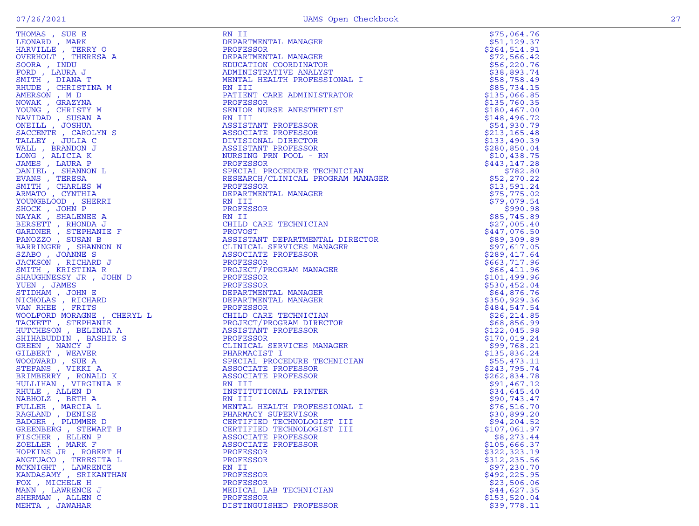| HOMAS , SUE E<br>LEONARD , MARK<br>HARVILLE , TERRY O<br>OVERHOLT , THERESA A<br>SOORA , INDU                                                                                                                                                                         |
|-----------------------------------------------------------------------------------------------------------------------------------------------------------------------------------------------------------------------------------------------------------------------|
|                                                                                                                                                                                                                                                                       |
|                                                                                                                                                                                                                                                                       |
|                                                                                                                                                                                                                                                                       |
|                                                                                                                                                                                                                                                                       |
|                                                                                                                                                                                                                                                                       |
|                                                                                                                                                                                                                                                                       |
|                                                                                                                                                                                                                                                                       |
|                                                                                                                                                                                                                                                                       |
|                                                                                                                                                                                                                                                                       |
| FORD , LAURA J<br>FORD , LAURA J<br>FORD , LAURA J<br>MITH , DIANA T<br>AHUDE , CHRISTINA M<br>MOWAK , GRAZYNA<br>YOUNG , CHRISTY M<br>NAVIDAD , SUSAN A<br>DANILL , JOSHUA<br>SACCENTE , CAROLYN S<br>MALL , BRANDON J<br>LONG , ALICIA K<br>JAMES , LAURA P<br>JAME |
|                                                                                                                                                                                                                                                                       |
|                                                                                                                                                                                                                                                                       |
|                                                                                                                                                                                                                                                                       |
|                                                                                                                                                                                                                                                                       |
|                                                                                                                                                                                                                                                                       |
|                                                                                                                                                                                                                                                                       |
|                                                                                                                                                                                                                                                                       |
|                                                                                                                                                                                                                                                                       |
|                                                                                                                                                                                                                                                                       |
|                                                                                                                                                                                                                                                                       |
|                                                                                                                                                                                                                                                                       |
|                                                                                                                                                                                                                                                                       |
|                                                                                                                                                                                                                                                                       |
|                                                                                                                                                                                                                                                                       |
|                                                                                                                                                                                                                                                                       |
|                                                                                                                                                                                                                                                                       |
|                                                                                                                                                                                                                                                                       |
|                                                                                                                                                                                                                                                                       |
|                                                                                                                                                                                                                                                                       |
|                                                                                                                                                                                                                                                                       |
|                                                                                                                                                                                                                                                                       |
|                                                                                                                                                                                                                                                                       |
| NOUNDATION , SHEART<br>SHOCK , JOHN P<br>SERSETT , RHONDA J<br>SARDNER , STEPHANIE F<br>PANOZZO , SUSAN B<br>SARRINGER , SHANNON N<br>SARRINGER , SHANNON N<br>STARO , JOANNE S                                                                                       |
|                                                                                                                                                                                                                                                                       |
|                                                                                                                                                                                                                                                                       |
| SZABO , JOANNE S<br>JACKSON , RICHARD J<br>SMITH , KRISTINA R                                                                                                                                                                                                         |
|                                                                                                                                                                                                                                                                       |
|                                                                                                                                                                                                                                                                       |
| SHAUGHNESSY JR , JOHN D                                                                                                                                                                                                                                               |
| YUEN, JAMES                                                                                                                                                                                                                                                           |
| STIDHAM , JOHN E                                                                                                                                                                                                                                                      |
|                                                                                                                                                                                                                                                                       |
|                                                                                                                                                                                                                                                                       |
| VICHOLAS , RICHARD<br>VAN RHEE , FRITS<br>WOOLFORD MORAGNE , CHERYL L                                                                                                                                                                                                 |
|                                                                                                                                                                                                                                                                       |
|                                                                                                                                                                                                                                                                       |
|                                                                                                                                                                                                                                                                       |
|                                                                                                                                                                                                                                                                       |
| NOOLFORD MOKAGNE , CHE<br>TACKETT , STEPHANIE<br>HUTCHESON , BELINDA A<br>SHIHABUDDIN , BASHIR S<br>SREEN , NANCY J<br>SILBERT , WEAVER<br>MOODWARD , SUE A<br>STEFANS , VIKKI A<br>SRIMBERRY , RONALD K<br>SHIMBERRY , RONALD K<br>SHIMBERRY , RONALD K<br>SHI       |
|                                                                                                                                                                                                                                                                       |
|                                                                                                                                                                                                                                                                       |
|                                                                                                                                                                                                                                                                       |
|                                                                                                                                                                                                                                                                       |
|                                                                                                                                                                                                                                                                       |
|                                                                                                                                                                                                                                                                       |
|                                                                                                                                                                                                                                                                       |
|                                                                                                                                                                                                                                                                       |
| HULE , ALLEN D<br>NABHOLZ , BETH A<br>FULLER , MARCIA L<br>PACLAND RECLAI                                                                                                                                                                                             |
|                                                                                                                                                                                                                                                                       |
|                                                                                                                                                                                                                                                                       |
|                                                                                                                                                                                                                                                                       |
| RAGLAND , DENISE<br>BADGER , PLUMMER D                                                                                                                                                                                                                                |
|                                                                                                                                                                                                                                                                       |
| SADUER , FLOWWER D<br>FISCHER , EIEWART B<br>FISCHER , ELLEN P<br>ZOELLER , MARK F<br>HOPKINS JR , ROBERT H<br>MCKNIGHT , LAWRENCE<br>MCKNIGHT , LAWRENCE<br>KANDASAMY , SRIKANTHAN<br>KANDASAMY , SRIKANTHAN<br>ROY                                                  |
|                                                                                                                                                                                                                                                                       |
|                                                                                                                                                                                                                                                                       |
|                                                                                                                                                                                                                                                                       |
|                                                                                                                                                                                                                                                                       |
|                                                                                                                                                                                                                                                                       |
|                                                                                                                                                                                                                                                                       |
|                                                                                                                                                                                                                                                                       |
|                                                                                                                                                                                                                                                                       |
| FOX , MICHELE H<br>MANN , LAWRENCE J                                                                                                                                                                                                                                  |
|                                                                                                                                                                                                                                                                       |
| SHERMAN , ALLEN C                                                                                                                                                                                                                                                     |
|                                                                                                                                                                                                                                                                       |

| THOMAS, SUE E                                                                                                                                                                                                                                          | RN II                                                                                                                                                                                                                                                                    | \$75,064.76                   |
|--------------------------------------------------------------------------------------------------------------------------------------------------------------------------------------------------------------------------------------------------------|--------------------------------------------------------------------------------------------------------------------------------------------------------------------------------------------------------------------------------------------------------------------------|-------------------------------|
| LEONARD, MARK                                                                                                                                                                                                                                          | DEPARTMENTAL MANAGER                                                                                                                                                                                                                                                     | \$51,129.37                   |
| HARVILLE, TERRY O                                                                                                                                                                                                                                      | PROFESSOR                                                                                                                                                                                                                                                                | \$264,514.91                  |
| OVERHOLT , THERESA A                                                                                                                                                                                                                                   | DEPARTMENTAL MANAGER                                                                                                                                                                                                                                                     | \$72,566.42                   |
| SOORA, INDU                                                                                                                                                                                                                                            | EDUCATION COORDINATOR                                                                                                                                                                                                                                                    | \$56,220.76                   |
| FORD, LAURA J                                                                                                                                                                                                                                          | ADMINISTRATIVE ANALYST                                                                                                                                                                                                                                                   | \$38,893.74                   |
| SMITH, DIANA T                                                                                                                                                                                                                                         | MENTAL HEALTH PROFESSIONAL I                                                                                                                                                                                                                                             | \$58,758.49                   |
| RHUDE , CHRISTINA M                                                                                                                                                                                                                                    | RN III                                                                                                                                                                                                                                                                   | \$85,734.15                   |
| AMERSON, MD                                                                                                                                                                                                                                            | PATIENT CARE ADMINISTRATOR                                                                                                                                                                                                                                               | \$135,066.85                  |
| NOWAK, GRAZYNA<br>YOUNG, CHRISTY M                                                                                                                                                                                                                     | PROFESSOR<br>SENIOR NURSE ANESTHETIST                                                                                                                                                                                                                                    | \$135,760.35<br>\$180,467.00  |
| NAVIDAD, SUSAN A                                                                                                                                                                                                                                       | RN III                                                                                                                                                                                                                                                                   | \$148,496.72                  |
| ONEILL , JOSHUA                                                                                                                                                                                                                                        |                                                                                                                                                                                                                                                                          | \$54,930.79                   |
| SACCENTE , CAROLYN S                                                                                                                                                                                                                                   |                                                                                                                                                                                                                                                                          | \$213,165.48                  |
| TALLEY, JULIA C                                                                                                                                                                                                                                        |                                                                                                                                                                                                                                                                          | \$133,490.39                  |
|                                                                                                                                                                                                                                                        |                                                                                                                                                                                                                                                                          | \$280,850.04                  |
|                                                                                                                                                                                                                                                        |                                                                                                                                                                                                                                                                          | \$10,438.75                   |
|                                                                                                                                                                                                                                                        |                                                                                                                                                                                                                                                                          | \$443,147.28                  |
|                                                                                                                                                                                                                                                        |                                                                                                                                                                                                                                                                          | \$782.80                      |
|                                                                                                                                                                                                                                                        |                                                                                                                                                                                                                                                                          | \$52,270.22                   |
|                                                                                                                                                                                                                                                        |                                                                                                                                                                                                                                                                          | \$13,591.24                   |
|                                                                                                                                                                                                                                                        |                                                                                                                                                                                                                                                                          | \$75,775.02                   |
|                                                                                                                                                                                                                                                        |                                                                                                                                                                                                                                                                          | \$79,079.54                   |
|                                                                                                                                                                                                                                                        |                                                                                                                                                                                                                                                                          | \$990.98                      |
|                                                                                                                                                                                                                                                        | NUTESSOR<br>NAME PRI POOL - RN<br>PROFESSOR<br>SPECIAL PROCEDURE TECHNICIAN<br>RESEARCH CLINICAL PROGRAM MANAGER<br>PROFESSOR<br>DEPARTMENTAL MANAGER<br>N III<br>ROFESSOR<br>'II<br>LLD CARE TTC<br>WOCT                                                                | \$85,745.89                   |
|                                                                                                                                                                                                                                                        |                                                                                                                                                                                                                                                                          | \$27,005.40                   |
|                                                                                                                                                                                                                                                        |                                                                                                                                                                                                                                                                          | \$447,076.50                  |
|                                                                                                                                                                                                                                                        | ASSISTANT DEPARTMENTAL DIRECTOR                                                                                                                                                                                                                                          | \$89,309.89                   |
|                                                                                                                                                                                                                                                        |                                                                                                                                                                                                                                                                          | \$97,617.05                   |
|                                                                                                                                                                                                                                                        |                                                                                                                                                                                                                                                                          | \$289,417.64                  |
| ONEILL, JOSHUA<br>SACCENTE , CAROLYN S<br>WALLEY , JULIA C<br>WALLEY , JULIA C<br>WALLEY , JULIA C<br>MADIES , LAURA P<br>JANIEL , SHANNON L<br>EVANS , TERESA<br>ANNIEL , SHANNON L<br>EVANS , TERESA<br>ARMATO , CYNTHIA<br>SHANKT , SHANNON D<br>NA | KN III<br>PROFESSOR<br>RN II<br>CHILD CARE TECHNICIAN<br>CHILD CARE TECHNICIAN<br>PROVOST<br>ASSISTANT DEPARTMENTAL L<br>CLINICAL SERVICES MANAGE<br>RSSOCIATE PROFESSOR<br>PROFESSOR<br>PROFESSOR<br>DEPARTMENTAL MANAGER<br>PROFESSOR<br>CHILD CARE TECHNICIAN<br>PROF | \$663,717.96                  |
|                                                                                                                                                                                                                                                        |                                                                                                                                                                                                                                                                          | \$66,411.96                   |
|                                                                                                                                                                                                                                                        |                                                                                                                                                                                                                                                                          | \$101,499.96                  |
|                                                                                                                                                                                                                                                        |                                                                                                                                                                                                                                                                          | \$530,452.04                  |
|                                                                                                                                                                                                                                                        |                                                                                                                                                                                                                                                                          | \$64,876.76                   |
|                                                                                                                                                                                                                                                        |                                                                                                                                                                                                                                                                          | \$350,929.36<br>\$484,547.54  |
|                                                                                                                                                                                                                                                        |                                                                                                                                                                                                                                                                          | \$26, 214.85                  |
|                                                                                                                                                                                                                                                        |                                                                                                                                                                                                                                                                          | \$68,856.99                   |
|                                                                                                                                                                                                                                                        |                                                                                                                                                                                                                                                                          | \$122,045.98                  |
|                                                                                                                                                                                                                                                        |                                                                                                                                                                                                                                                                          | \$170,019.24                  |
|                                                                                                                                                                                                                                                        |                                                                                                                                                                                                                                                                          | \$99,768.21                   |
|                                                                                                                                                                                                                                                        |                                                                                                                                                                                                                                                                          | \$135,836.24                  |
|                                                                                                                                                                                                                                                        | SPECIAL PROCEDURE TECHNICIAN                                                                                                                                                                                                                                             | \$55,473.11                   |
|                                                                                                                                                                                                                                                        |                                                                                                                                                                                                                                                                          | \$243,795.74                  |
|                                                                                                                                                                                                                                                        |                                                                                                                                                                                                                                                                          | \$262,834.78                  |
|                                                                                                                                                                                                                                                        |                                                                                                                                                                                                                                                                          | \$91, 467.12                  |
|                                                                                                                                                                                                                                                        |                                                                                                                                                                                                                                                                          | \$34,645.40                   |
|                                                                                                                                                                                                                                                        |                                                                                                                                                                                                                                                                          | \$90,743.47                   |
|                                                                                                                                                                                                                                                        | MENTAL HEALTH PROFESSIONAL I                                                                                                                                                                                                                                             | \$76,516.70                   |
|                                                                                                                                                                                                                                                        |                                                                                                                                                                                                                                                                          | \$30,899.20                   |
|                                                                                                                                                                                                                                                        |                                                                                                                                                                                                                                                                          | \$94,204.52                   |
| GREENBERG , STEWART B                                                                                                                                                                                                                                  | CERTIFIED TECHNOLOGIST III                                                                                                                                                                                                                                               | \$107,061.97                  |
| FISCHER, ELLEN P                                                                                                                                                                                                                                       | ASSOCIATE PROFESSOR                                                                                                                                                                                                                                                      | \$8,273.44                    |
| ZOELLER, MARK F                                                                                                                                                                                                                                        | ASSOCIATE PROFESSOR                                                                                                                                                                                                                                                      | \$105,666.37                  |
| HOPKINS JR , ROBERT H                                                                                                                                                                                                                                  | PROFESSOR                                                                                                                                                                                                                                                                | \$322,323.19<br>\$312, 235.56 |
| ANGTUACO, TERESITA L<br>MCKNIGHT, LAWRENCE                                                                                                                                                                                                             | PROFESSOR<br>RN II                                                                                                                                                                                                                                                       | \$97,230.70                   |
| KANDASAMY , SRIKANTHAN                                                                                                                                                                                                                                 | <b>PROFESSOR</b>                                                                                                                                                                                                                                                         | \$492,225.95                  |
| FOX, MICHELE H                                                                                                                                                                                                                                         | PROFESSOR                                                                                                                                                                                                                                                                | \$23,506.06                   |
| MANN , LAWRENCE J                                                                                                                                                                                                                                      | MEDICAL LAB TECHNICIAN                                                                                                                                                                                                                                                   | \$44,627.35                   |
| SHERMAN, ALLEN C                                                                                                                                                                                                                                       | PROFESSOR                                                                                                                                                                                                                                                                | \$153, 520.04                 |
| MEHTA, JAWAHAR                                                                                                                                                                                                                                         | DISTINGUISHED PROFESSOR                                                                                                                                                                                                                                                  | \$39,778.11                   |
|                                                                                                                                                                                                                                                        |                                                                                                                                                                                                                                                                          |                               |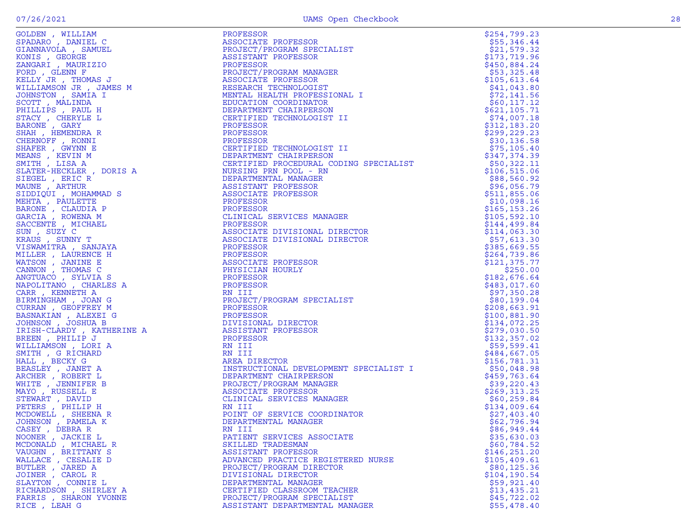| GOLDEN , WILLIAM                                                                                            |
|-------------------------------------------------------------------------------------------------------------|
| SPADARO , DANIEL C                                                                                          |
| GIANNAVOLA , SAMUEL                                                                                         |
|                                                                                                             |
| KONIS , GEORGE<br>ZANGARI , MAURIZIO                                                                        |
|                                                                                                             |
| FORD , GLENN F<br>KELLY JR , THOMAS J                                                                       |
|                                                                                                             |
| WILLIAMSON JR , JAMES M                                                                                     |
| JOHNSTON , SAMIA I                                                                                          |
| SCOTT, MALINDA                                                                                              |
| PHILLIPS , PAUL H                                                                                           |
|                                                                                                             |
|                                                                                                             |
| SHAH , HEMENDRA R                                                                                           |
|                                                                                                             |
| CHERNOFF , RONNI<br>SHAFER , GWYNN E                                                                        |
| MEANS , KEVIN M<br>SMITH , LISA A                                                                           |
|                                                                                                             |
| SLATER-HECKLER, DORIS A                                                                                     |
|                                                                                                             |
| SIEGEL , ERIC R<br>MAUNE , ARTHUR                                                                           |
|                                                                                                             |
| SIDDIQUI , MOHAMMAD S                                                                                       |
|                                                                                                             |
|                                                                                                             |
| MEHTA , PÁULETTE<br>BARONE , CLAUDIA P<br>BARCIA , ROWENA M<br>SACCENTE , MICHAEL<br>SACCENTE , MICHAEL     |
|                                                                                                             |
|                                                                                                             |
| SUN , SUZY C<br>KRAUS , SUNNY T                                                                             |
| VISWAMITRA , SANJAYA                                                                                        |
| MILLER , LAURENCE H                                                                                         |
|                                                                                                             |
|                                                                                                             |
| "HILBEN", "LANCHE E HILBEN", JANINE E<br>CANNON , THOMAS C<br>ANGTUACO , SYLVIA S<br>NAPOLITANO , CHARLES A |
|                                                                                                             |
|                                                                                                             |
| CARR, KENNETH A                                                                                             |
| BIRMINGHAM , JOAN G                                                                                         |
| CURRAN, GEOFFREY M                                                                                          |
| BASNAKIAN , ALEXEI G<br>JOHNSON , JOSHUA B                                                                  |
|                                                                                                             |
| IRISH-CLARDY, KATHERINE A                                                                                   |
|                                                                                                             |
|                                                                                                             |
| BREEN , PHILIP J                                                                                            |
| WILLIAMSON , LORI A                                                                                         |
|                                                                                                             |
| SMITH , G RICHARD<br>HALL , BECKY G                                                                         |
|                                                                                                             |
| BEASLEY , JANET A<br>ARCHER , ROBERT L                                                                      |
| WHITE , JENNIFER B                                                                                          |
| MAYO , RUSSELL E                                                                                            |
|                                                                                                             |
|                                                                                                             |
|                                                                                                             |
|                                                                                                             |
| "TEWART", DAVID<br>PETERS , PHILIP H<br>MCDOWELL , SHEENA R<br>JOHNSON , PAMELA K<br>CRANY , PAMELA K       |
| CASEY, DEBRA R                                                                                              |
| NOONER , JACKIE L                                                                                           |
| MCDONALD, MICHAEL R                                                                                         |
| VAUGHN , BRITTANY S                                                                                         |
| WALLACE , CESALIE D                                                                                         |
|                                                                                                             |
| BUTLER , JARED A<br>JOINER , CAROL R                                                                        |
| SLAYTON, CONNIE L                                                                                           |
| RICHARDSON, SHIRLEY A<br>FARRIS , SHARON YVONNE                                                             |

| GOLDEN , WILLIAM                          | PROFESSOR                                                                                                                                                                                                                                                                                        | \$254,799.23                  |
|-------------------------------------------|--------------------------------------------------------------------------------------------------------------------------------------------------------------------------------------------------------------------------------------------------------------------------------------------------|-------------------------------|
| SPADARO, DANIEL C                         | ASSOCIATE PROFESSOR                                                                                                                                                                                                                                                                              | \$55,346.44                   |
| GIANNAVOLA , SAMUEL                       | PROJECT/PROGRAM SPECIALIST                                                                                                                                                                                                                                                                       | \$21,579.32                   |
| KONIS, GEORGE                             | ASSISTANT PROFESSOR                                                                                                                                                                                                                                                                              | \$173,719.96                  |
| ZANGARI , MAURIZIO                        |                                                                                                                                                                                                                                                                                                  | \$450,884.24                  |
| FORD , GLENN F                            | PROFESSON,<br>PROJECT/PROGRAM PEARS<br>ASSOCIATE PROFESSOR<br>RESEARCH TECHNOLOGI?<br>MENTAL HEALTH PROFE<br>PROJECT/PROGRAM MANAGER                                                                                                                                                             | \$53,325.48                   |
| KELLY JR , THOMAS J                       |                                                                                                                                                                                                                                                                                                  | \$105,613.64                  |
| WILLIAMSON JR , JAMES M                   | RESEARCH TECHNOLOGIST                                                                                                                                                                                                                                                                            | \$41,043.80                   |
| JOHNSTON , SAMIA I                        | MENTAL HEALTH PROFESSIONAL I                                                                                                                                                                                                                                                                     | \$72,141.56                   |
| SCOTT, MALINDA                            | EDUCATION COORDINATOR                                                                                                                                                                                                                                                                            | \$60, 117.12                  |
| PHILLIPS, PAUL H                          | DEPARTMENT CHAIRPERSON                                                                                                                                                                                                                                                                           | \$621,105.71                  |
| STACY, CHERYLE L                          | CERTIFIED TECHNOLOGIST II                                                                                                                                                                                                                                                                        | \$74,007.18                   |
| BARONE , GARY                             | PROFESSOR                                                                                                                                                                                                                                                                                        | \$312,183.20                  |
| SHAH, HEMENDRA R                          | PROFESSOR                                                                                                                                                                                                                                                                                        | \$299, 229.23                 |
| CHERNOFF, RONNI                           | PROFESSOR                                                                                                                                                                                                                                                                                        | \$30, 136.58                  |
| SHAFER, GWYNN E                           | CERTIFIED TECHNOLOGIST II                                                                                                                                                                                                                                                                        | \$75, 105.40                  |
| MEANS , KEVIN M                           | DEPARTMENT CHAIRPERSON                                                                                                                                                                                                                                                                           | \$347,374.39                  |
|                                           | CERTIFIED PROCEDURAL CODING SPECIALIST                                                                                                                                                                                                                                                           | \$50,322.11                   |
|                                           |                                                                                                                                                                                                                                                                                                  | \$106, 515.06                 |
|                                           |                                                                                                                                                                                                                                                                                                  | \$88,560.92<br>\$96,056.79    |
|                                           |                                                                                                                                                                                                                                                                                                  |                               |
|                                           |                                                                                                                                                                                                                                                                                                  | \$511,855.06<br>\$10,098.16   |
|                                           |                                                                                                                                                                                                                                                                                                  | \$165, 153.26                 |
|                                           | CLINICAL SERVICES MANAGER                                                                                                                                                                                                                                                                        | \$105,592.10                  |
|                                           |                                                                                                                                                                                                                                                                                                  | \$144,499.84                  |
|                                           | PROFESSOR<br>CERTIFIED TECHNOLOGIST<br>DEPARTMENT CHAIRPERSON<br>CERTIFIED PROCEDURAL C<br>NURSING PRN POOL - RN<br>DEPARTMENTAL MANAGER<br>ASSISTANT PROFESSOR<br>ASSOCIATE PROFESSOR<br>PROFESSOR<br>CLINICAL SERVICES MANA<br>PROFESSOR<br>CLINICAL SERVICES<br>ASSOCIATE DIVISIONAL DIRECTOR | \$114,063.30                  |
|                                           | ASSOCIATE DIVISIONAL DIRECTOR                                                                                                                                                                                                                                                                    | \$57,613.30                   |
|                                           |                                                                                                                                                                                                                                                                                                  | \$385,669.55                  |
|                                           |                                                                                                                                                                                                                                                                                                  | \$264,739.86                  |
|                                           |                                                                                                                                                                                                                                                                                                  | \$121,375.77                  |
|                                           | PROFESSOR<br>PROFESSOR<br>ASSOCIATE PROFESSOR<br>ASSOCIATE PROFESSOR<br>PHYSICIAN HOURLY<br>PROFESSOR<br>PROFESSOR                                                                                                                                                                               | \$250.00                      |
|                                           |                                                                                                                                                                                                                                                                                                  | \$182,676.64                  |
|                                           |                                                                                                                                                                                                                                                                                                  | \$483,017.60                  |
|                                           | PROFESSOR<br>RN III<br>PROJECT/PROGRAM SPECIALIST<br>PROFESSOR<br>PROFESSOR<br>DIVISIONAL DIRECTOR<br>ASSISTANT PROFESSOR<br>PROFESSOR<br>PROFESSOR<br>RN III<br>RN III                                                                                                                          | \$97,350.28                   |
|                                           |                                                                                                                                                                                                                                                                                                  | \$80,199.04                   |
|                                           |                                                                                                                                                                                                                                                                                                  | \$208,663.91                  |
|                                           |                                                                                                                                                                                                                                                                                                  | \$100,881.90                  |
|                                           |                                                                                                                                                                                                                                                                                                  | \$134,072.25                  |
|                                           |                                                                                                                                                                                                                                                                                                  | \$279,030.50                  |
|                                           |                                                                                                                                                                                                                                                                                                  | \$132, 357.02                 |
|                                           |                                                                                                                                                                                                                                                                                                  | \$59,599.41                   |
|                                           |                                                                                                                                                                                                                                                                                                  | \$484,667.05                  |
|                                           | AREA DIRECTOR                                                                                                                                                                                                                                                                                    | \$156,781.31                  |
|                                           | INSTRUCTIONAL DEVELOPMENT SPECIALIST I                                                                                                                                                                                                                                                           | \$50,048.98                   |
|                                           | DEPARTMENT CHAIRPERSON<br>SON<br>AGER<br>ANAGER                                                                                                                                                                                                                                                  | \$459,763.64                  |
| WHITE , JENNIFER B                        | PROJECT/PROGRAM MANAGER                                                                                                                                                                                                                                                                          | \$39,220.43                   |
| MAYO, RUSSELL E                           | ASSOCIATE PROFESSOR                                                                                                                                                                                                                                                                              | \$269,313.25                  |
| STEWART , DAVID                           | CLINICAL SERVICES MANAGER                                                                                                                                                                                                                                                                        | \$60, 259.84                  |
| PETERS, PHILIP H                          | RN III                                                                                                                                                                                                                                                                                           | \$134,009.64                  |
| MCDOWELL , SHEENA R                       | POINT OF SERVICE COORDINATOR                                                                                                                                                                                                                                                                     | \$27,403.40                   |
| JOHNSON, PAMELA K                         | DEPARTMENTAL MANAGER                                                                                                                                                                                                                                                                             | \$62,796.94                   |
| CASEY, DEBRA R                            | RN III                                                                                                                                                                                                                                                                                           | \$86,949.44                   |
| NOONER, JACKIE L                          | PATIENT SERVICES ASSOCIATE                                                                                                                                                                                                                                                                       | \$35,630.03                   |
| MCDONALD , MICHAEL R                      | SKILLED TRADESMAN                                                                                                                                                                                                                                                                                | \$60,784.52                   |
| VAUGHN, BRITTANY S<br>WALLACE , CESALIE D | ASSISTANT PROFESSOR<br>ADVANCED PRACTICE REGISTERED NURSE                                                                                                                                                                                                                                        | \$146, 251.20                 |
| BUTLER , JARED A                          | PROJECT/PROGRAM DIRECTOR                                                                                                                                                                                                                                                                         | \$105, 409.61<br>\$80, 125.36 |
| JOINER , CAROL R                          | DIVISIONAL DIRECTOR                                                                                                                                                                                                                                                                              | \$104,190.54                  |
| SLAYTON, CONNIE L                         | DEPARTMENTAL MANAGER                                                                                                                                                                                                                                                                             | \$59,921.40                   |
| RICHARDSON, SHIRLEY A                     | CERTIFIED CLASSROOM TEACHER                                                                                                                                                                                                                                                                      | \$13,435.21                   |
| FARRIS, SHARON YVONNE                     | PROJECT/PROGRAM SPECIALIST                                                                                                                                                                                                                                                                       | \$45,722.02                   |
| RICE, LEAH G                              | ASSISTANT DEPARTMENTAL MANAGER                                                                                                                                                                                                                                                                   | \$55,478.40                   |
|                                           |                                                                                                                                                                                                                                                                                                  |                               |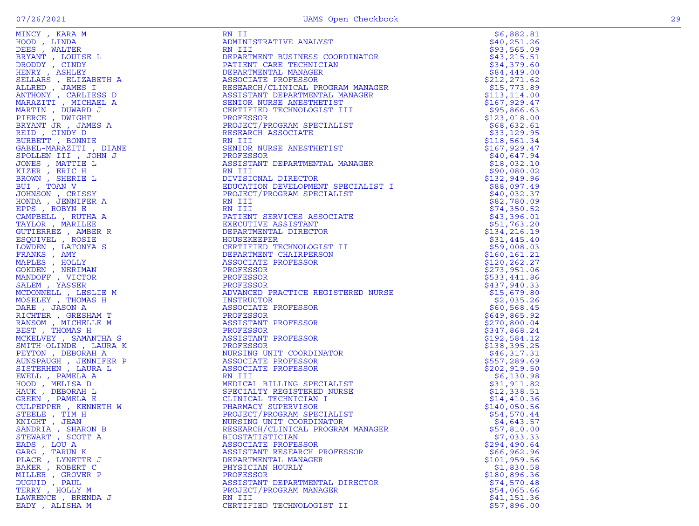| MINCY, KARA M                      | RN II                                         | \$6,882.81                 |
|------------------------------------|-----------------------------------------------|----------------------------|
| HOOD, LINDA                        | ADMINISTRATIVE ANALYST                        | \$40, 251.26               |
| DEES , WALTER                      | RN III                                        | \$93,565.09                |
| BRYANT, LOUISE L                   | DEPARTMENT BUSINESS COORDINATOR               | \$43, 215.51               |
| DRODDY, CINDY                      | PATIENT CARE TECHNICIAN                       | \$34,379.60                |
| HENRY , ASHLEY                     | DEPARTMENTAL MANAGER                          | \$84,449.00                |
| SELLARS , ELIZABETH A              | ASSOCIATE PROFESSOR                           | \$212, 271.62              |
| ALLRED, JAMES I                    | RESEARCH/CLINICAL PROGRAM MANAGER             | \$15,773.89                |
| ANTHONY , CARLIESS D               | ASSISTANT DEPARTMENTAL MANAGER                | \$113, 114.00              |
| MARAZITI, MICHAEL A                | SENIOR NURSE ANESTHETIST                      | \$167,929.47               |
| MARTIN, DUWARD J                   | CERTIFIED TECHNOLOGIST III                    | \$95,866.63                |
| PIERCE, DWIGHT                     | PROFESSOR                                     | \$123,018.00               |
| BRYANT JR , JAMES A                | PROJECT/PROGRAM SPECIALIST                    | \$68,632.61                |
| REID, CINDY D                      | RESEARCH ASSOCIATE                            | \$33,129.95                |
| BURBETT , BONNIE                   | RN III                                        | \$118,561.34               |
| GABEL-MARAZITI, DIANE              | SENIOR NURSE ANESTHETIST                      | \$167,929.47               |
| SPOLLEN III , JOHN J               | PROFESSOR                                     | \$40,647.94                |
| JONES , MATTIE L                   | ASSISTANT DEPARTMENTAL MANAGER                | \$18,032.10                |
| KIZER , ERIC H                     | RN III                                        | \$90,080.02                |
| BROWN, SHERIE L                    | DIVISIONAL DIRECTOR                           | \$132,949.96               |
| BUI , TOAN V<br>JOHNSON, CRISSY    | EDUCATION DEVELOPMENT SPECIALIST I            | \$88,097.49                |
|                                    | PROJECT/PROGRAM SPECIALIST                    | \$40,032.37                |
| HONDA, JENNIFER A<br>EPPS, ROBYN E | RN III<br>RN III                              | \$82,780.09                |
| CAMPBELL , RUTHA A                 | PATIENT SERVICES ASSOCIATE                    | \$74,350.52<br>\$43,396.01 |
| TAYLOR, MARILEE                    | EXECUTIVE ASSISTANT                           | \$51,763.20                |
| GUTIERREZ, AMBER R                 | DEPARTMENTAL DIRECTOR                         | \$134, 216.19              |
| ESQUIVEL , ROSIE                   | HOUSEKEEPER                                   | \$31,445.40                |
| LOWDEN , LATONYA S                 | CERTIFIED TECHNOLOGIST II                     | \$59,008.03                |
| FRANKS, AMY                        | DEPARTMENT CHAIRPERSON                        | \$160, 161.21              |
| MAPLES, HOLLY                      | ASSOCIATE PROFESSOR                           | \$120,262.27               |
| GOKDEN, NERIMAN                    | PROFESSOR                                     | \$273,951.06               |
| MANDOFF , VICTOR                   | PROFESSOR                                     | \$533,441.86               |
| SALEM, YASSER                      | PROFESSOR                                     | \$437,940.33               |
| MCDONNELL , LESLIE M               | ADVANCED PRACTICE REGISTERED NURSE            | \$15,679.80                |
| MOSELEY, THOMAS H                  | INSTRUCTOR                                    | \$2,035.26                 |
| DARE, JASON A                      | ASSOCIATE PROFESSOR                           | \$60,568.45                |
| RICHTER , GRESHAM T                | PROFESSOR                                     | \$649,865.92               |
| RANSOM, MICHELLE M                 | ASSISTANT PROFESSOR                           | \$270,800.04               |
| BEST, THOMAS H                     | PROFESSOR                                     | \$347,868.24               |
| MCKELVEY, SAMANTHA S               | ASSISTANT PROFESSOR                           | \$192,584.12               |
| SMITH-OLINDE , LAURA K             | PROFESSOR                                     | \$138,395.25               |
| PEYTON, DEBORAH A                  | NURSING UNIT COORDINATOR                      | \$46,317.31                |
| AUNSPAUGH , JENNIFER P             | ASSOCIATE PROFESSOR                           | \$557,289.69               |
| SISTERHEN, LAURA L                 | ASSOCIATE PROFESSOR                           | \$202, 919.50              |
| EWELL, PAMELA A                    | RN III                                        | \$6,130.98                 |
| HOOD, MELISA D                     | MEDICAL BILLING SPECIALIST                    | \$31,911.82                |
| HAUK , DEBORAH L                   | SPECIALTY REGISTERED NURSE                    | \$12,338.51                |
| GREEN, PAMELA E                    | CLINICAL TECHNICIAN I                         | \$14,410.36                |
| CULPEPPER, KENNETH W               | PHARMACY SUPERVISOR                           | \$140,050.56               |
| STEELE , TIM H                     | PROJECT/PROGRAM SPECIALIST                    | \$54,570.44                |
| KNIGHT, JEAN                       | NURSING UNIT COORDINATOR                      | \$4,643.57                 |
| SANDRIA , SHARON B                 | RESEARCH/CLINICAL PROGRAM MANAGER             | \$57,810.00                |
| STEWART, SCOTT A<br>EADS, LOU A    | <b>BIOSTATISTICIAN</b><br>ASSOCIATE PROFESSOR | \$7,033.33<br>\$294,490.64 |
| GARG, TARUN K                      | ASSISTANT RESEARCH PROFESSOR                  | \$66,962.96                |
| PLACE, LYNETTE J                   | DEPARTMENTAL MANAGER                          | \$101,959.56               |
| BAKER, ROBERT C                    | PHYSICIAN HOURLY                              | \$1,830.58                 |
| MILLER , GROVER P                  | PROFESSOR                                     | \$180,896.36               |
| DUGUID, PAUL                       | ASSISTANT DEPARTMENTAL DIRECTOR               | \$74,570.48                |
| TERRY, HOLLY M                     | PROJECT/PROGRAM MANAGER                       | \$54,065.66                |
| LAWRENCE, BRENDA J                 | RN III                                        | \$41,151.36                |
| EADY, ALISHA M                     | CERTIFIED TECHNOLOGIST II                     | \$57,896.00                |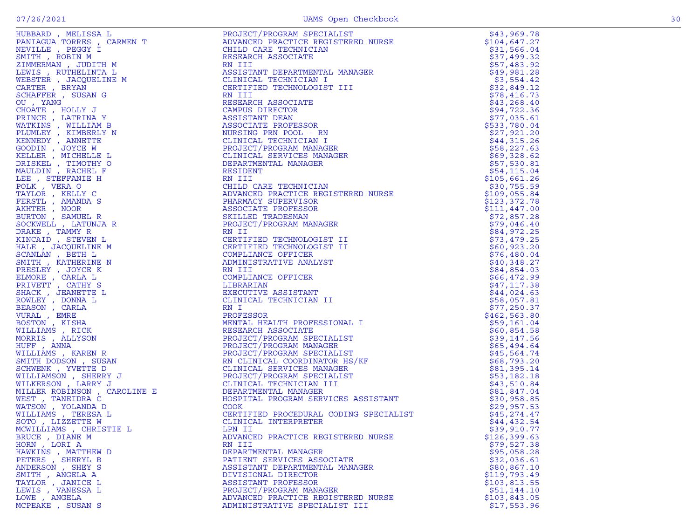|                        | FROMAND (WELLIGATED MERIDIAN PRODUCT) PRODUCTION ANNOTHER IN THE SOLUTION OF THE SOLUTION OF THE SOLUTION OF THE SOLUTION OF THE SOLUTION OF THE SOLUTION OF THE SOLUTION OF THE SOLUTION OF THE SOLUTION OF THE SOLUTION OF                   | \$43,969.78   |
|------------------------|------------------------------------------------------------------------------------------------------------------------------------------------------------------------------------------------------------------------------------------------|---------------|
|                        |                                                                                                                                                                                                                                                | \$104,647.27  |
|                        |                                                                                                                                                                                                                                                | \$31,566.04   |
|                        |                                                                                                                                                                                                                                                | \$37,499.32   |
|                        |                                                                                                                                                                                                                                                | \$57,483.92   |
|                        |                                                                                                                                                                                                                                                | \$49,981.28   |
|                        |                                                                                                                                                                                                                                                | \$3,554.42    |
|                        |                                                                                                                                                                                                                                                | \$32,849.12   |
|                        |                                                                                                                                                                                                                                                | \$78,416.73   |
|                        |                                                                                                                                                                                                                                                | \$43, 268.40  |
|                        |                                                                                                                                                                                                                                                | \$94,722.36   |
|                        |                                                                                                                                                                                                                                                | \$77,035.61   |
|                        |                                                                                                                                                                                                                                                | \$533,780.04  |
|                        |                                                                                                                                                                                                                                                | \$27,921.20   |
|                        |                                                                                                                                                                                                                                                | \$44,315.26   |
|                        |                                                                                                                                                                                                                                                | \$58,227.63   |
|                        |                                                                                                                                                                                                                                                | \$69,328.62   |
|                        |                                                                                                                                                                                                                                                | \$57,530.81   |
|                        |                                                                                                                                                                                                                                                | \$54,115.04   |
|                        |                                                                                                                                                                                                                                                | \$105,661.26  |
|                        |                                                                                                                                                                                                                                                | \$30,755.59   |
|                        |                                                                                                                                                                                                                                                | \$109,055.84  |
|                        |                                                                                                                                                                                                                                                | \$123,372.78  |
|                        |                                                                                                                                                                                                                                                | \$111,447.00  |
|                        |                                                                                                                                                                                                                                                | \$72,857.28   |
|                        |                                                                                                                                                                                                                                                | \$79,046.40   |
|                        |                                                                                                                                                                                                                                                | \$84,972.25   |
|                        |                                                                                                                                                                                                                                                | \$73,479.25   |
|                        |                                                                                                                                                                                                                                                | \$60,923.20   |
|                        |                                                                                                                                                                                                                                                | \$76,480.04   |
|                        |                                                                                                                                                                                                                                                | \$40,348.27   |
|                        |                                                                                                                                                                                                                                                | \$84,854.03   |
|                        |                                                                                                                                                                                                                                                | \$66,472.99   |
|                        |                                                                                                                                                                                                                                                |               |
|                        |                                                                                                                                                                                                                                                | \$47,117.38   |
|                        |                                                                                                                                                                                                                                                | \$44,024.63   |
|                        | MESEARCH ASSOCIATE<br>PROJECT/PROGRAM SPECIALIST<br>PROJECT/PROGRAM MANAGER<br>PROJECT/PROGRAM MANAGER<br>PROJECT/PROGRAM MANAGER<br>PROJECT/PROGRAM SPECIALIST<br>RN CLINICAL SERVICES MANAGER<br>PROJECT/PROGRAM SPECIALIST<br>CLINICAL TECH | \$58,057.81   |
|                        |                                                                                                                                                                                                                                                | \$77,250.37   |
|                        |                                                                                                                                                                                                                                                | \$462, 563.80 |
|                        |                                                                                                                                                                                                                                                | \$59,161.04   |
|                        |                                                                                                                                                                                                                                                | \$60,854.58   |
|                        |                                                                                                                                                                                                                                                | \$39,147.56   |
|                        |                                                                                                                                                                                                                                                | \$65,494.64   |
|                        |                                                                                                                                                                                                                                                | \$45,564.74   |
|                        |                                                                                                                                                                                                                                                | \$68,793.20   |
|                        |                                                                                                                                                                                                                                                | \$81,395.14   |
|                        |                                                                                                                                                                                                                                                | \$53,182.18   |
|                        |                                                                                                                                                                                                                                                | \$43,510.84   |
|                        |                                                                                                                                                                                                                                                | \$81,847.04   |
|                        |                                                                                                                                                                                                                                                | \$30,958.85   |
|                        |                                                                                                                                                                                                                                                | \$29,957.53   |
|                        |                                                                                                                                                                                                                                                | \$45,274.47   |
|                        |                                                                                                                                                                                                                                                | \$44,432.54   |
| MCWILLIAMS, CHRISTIE L |                                                                                                                                                                                                                                                | \$39,910.77   |
| BRUCE, DIANE M         | ADVANCED PRACTICE REGISTERED NURSE                                                                                                                                                                                                             | \$126,399.63  |
| HORN, LORI A           | RN III                                                                                                                                                                                                                                         | \$79,527.38   |
| HAWKINS, MATTHEW D     | DEPARTMENTAL MANAGER                                                                                                                                                                                                                           | \$95,058.28   |
| PETERS , SHERYL B      | PATIENT SERVICES ASSOCIATE                                                                                                                                                                                                                     | \$32,036.61   |
| ANDERSON, SHEY S       | ASSISTANT DEPARTMENTAL MANAGER                                                                                                                                                                                                                 | \$80, 867.10  |
| SMITH, ANGELA A        | DIVISIONAL DIRECTOR                                                                                                                                                                                                                            | \$119,793.49  |
| TAYLOR, JANICE L       | ASSISTANT PROFESSOR                                                                                                                                                                                                                            | \$103,813.55  |
| LEWIS , VANESSA L      | PROJECT/PROGRAM MANAGER                                                                                                                                                                                                                        | \$51,144.10   |
| LOWE, ANGELA           | ADVANCED PRACTICE REGISTERED NURSE                                                                                                                                                                                                             | \$103,843.05  |
| MCPEAKE, SUSAN S       | ADMINISTRATIVE SPECIALIST III                                                                                                                                                                                                                  | \$17,553.96   |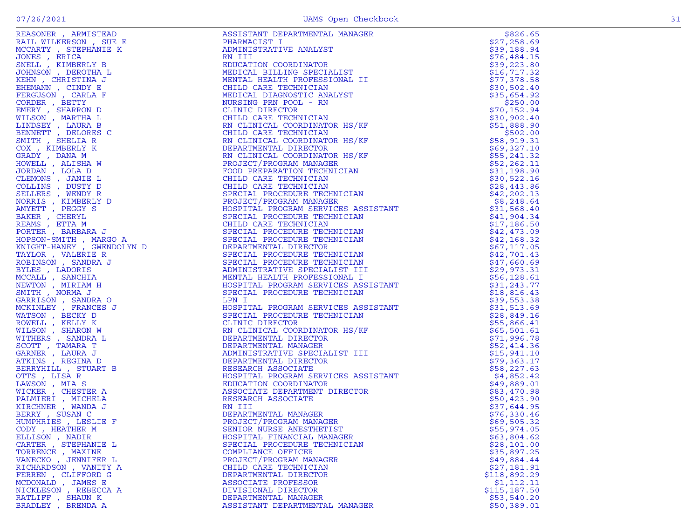| REASONER , ARMISTEAD<br>RAIL WILKERSON , SUE EN RAIL WILKERSON , SUE ENCARTY , STEPHANIE K<br>MCARTY , STEPHANIE K<br>JONES , ERICA , INDEENTA IS TO A THREE THAT IS SENCE . AND THE CORDER , BETTY D<br>ENGROSSON , CARLA THREE TO BE THE | ASSISTANT DEPARTMENTAL MANAGER                                                                                                                                                                                                 | \$826.65                   |
|--------------------------------------------------------------------------------------------------------------------------------------------------------------------------------------------------------------------------------------------|--------------------------------------------------------------------------------------------------------------------------------------------------------------------------------------------------------------------------------|----------------------------|
|                                                                                                                                                                                                                                            | PHARMACIST I                                                                                                                                                                                                                   | \$27,258.69                |
|                                                                                                                                                                                                                                            | ADMINISTRATIVE ANALYST                                                                                                                                                                                                         | \$39,188.94                |
|                                                                                                                                                                                                                                            | RN III                                                                                                                                                                                                                         | \$76,484.15                |
|                                                                                                                                                                                                                                            | EDUCATION COORDINATOR                                                                                                                                                                                                          | \$39,223.80                |
|                                                                                                                                                                                                                                            | MEDICAL BILLING SPECIALIST                                                                                                                                                                                                     | \$16, 717.32               |
|                                                                                                                                                                                                                                            | MENTAL HEALTH PROFESSIONAL II                                                                                                                                                                                                  | \$77,378.58                |
|                                                                                                                                                                                                                                            | CHILD CARE TECHNICIAN                                                                                                                                                                                                          | \$30,502.40                |
|                                                                                                                                                                                                                                            | MEDICAL DIAGNOSTIC ANALYST                                                                                                                                                                                                     | \$35,654.92                |
|                                                                                                                                                                                                                                            | NURSING PRN POOL - RN                                                                                                                                                                                                          | \$250.00                   |
|                                                                                                                                                                                                                                            | CLINIC DIRECTOR<br>CHILD CARE TECHNICIAN                                                                                                                                                                                       | \$70,152.94                |
|                                                                                                                                                                                                                                            |                                                                                                                                                                                                                                | \$30,902.40                |
|                                                                                                                                                                                                                                            | RN CLINICAL COORDINATOR HS/KF                                                                                                                                                                                                  | \$51,888.90                |
|                                                                                                                                                                                                                                            | CHILD CARE TECHNICIAN                                                                                                                                                                                                          | \$502.00                   |
|                                                                                                                                                                                                                                            |                                                                                                                                                                                                                                | \$58,919.31                |
|                                                                                                                                                                                                                                            |                                                                                                                                                                                                                                | \$69,327.10                |
|                                                                                                                                                                                                                                            |                                                                                                                                                                                                                                | \$55,241.32                |
|                                                                                                                                                                                                                                            |                                                                                                                                                                                                                                | \$52,262.11                |
|                                                                                                                                                                                                                                            |                                                                                                                                                                                                                                | \$31,198.90                |
|                                                                                                                                                                                                                                            |                                                                                                                                                                                                                                | \$30,522.16                |
|                                                                                                                                                                                                                                            |                                                                                                                                                                                                                                | \$28,443.86                |
|                                                                                                                                                                                                                                            |                                                                                                                                                                                                                                | \$42, 202.13               |
|                                                                                                                                                                                                                                            |                                                                                                                                                                                                                                | \$8,248.64                 |
|                                                                                                                                                                                                                                            |                                                                                                                                                                                                                                | \$31,568.40                |
|                                                                                                                                                                                                                                            |                                                                                                                                                                                                                                |                            |
|                                                                                                                                                                                                                                            |                                                                                                                                                                                                                                | \$41,904.34<br>\$17,186.50 |
|                                                                                                                                                                                                                                            |                                                                                                                                                                                                                                | \$42,473.09                |
|                                                                                                                                                                                                                                            |                                                                                                                                                                                                                                | \$42,168.32                |
|                                                                                                                                                                                                                                            |                                                                                                                                                                                                                                | \$67,117.05                |
|                                                                                                                                                                                                                                            |                                                                                                                                                                                                                                |                            |
|                                                                                                                                                                                                                                            |                                                                                                                                                                                                                                | \$42,701.43                |
|                                                                                                                                                                                                                                            |                                                                                                                                                                                                                                | \$47,660.69                |
|                                                                                                                                                                                                                                            | CHILD CARE ISCHIMATOR HEST ENTIRE AN INCLUSIVE CORDINATOR HEST CHILD CARRICLET AND CORDINATOR HEST CREAT REST CORDINATOR AND REST CORDINATOR IS A REPORT (FROM MANGER PRODUCT) FROM THE PRODUCT CHIRD CORDINATOR IS A REPORT O | \$29,973.31                |
|                                                                                                                                                                                                                                            |                                                                                                                                                                                                                                | \$56,128.61                |
|                                                                                                                                                                                                                                            |                                                                                                                                                                                                                                | \$31,243.77                |
|                                                                                                                                                                                                                                            |                                                                                                                                                                                                                                | \$18,816.43                |
|                                                                                                                                                                                                                                            |                                                                                                                                                                                                                                | \$39,553.38                |
|                                                                                                                                                                                                                                            |                                                                                                                                                                                                                                | \$31,513.69                |
|                                                                                                                                                                                                                                            |                                                                                                                                                                                                                                | \$28,849.16                |
|                                                                                                                                                                                                                                            |                                                                                                                                                                                                                                | \$55,866.41                |
|                                                                                                                                                                                                                                            |                                                                                                                                                                                                                                | \$65,501.61                |
|                                                                                                                                                                                                                                            |                                                                                                                                                                                                                                | \$71,996.78                |
|                                                                                                                                                                                                                                            |                                                                                                                                                                                                                                | \$52,414.36                |
|                                                                                                                                                                                                                                            |                                                                                                                                                                                                                                | \$15,941.10                |
|                                                                                                                                                                                                                                            |                                                                                                                                                                                                                                | \$79,363.17                |
|                                                                                                                                                                                                                                            |                                                                                                                                                                                                                                | \$58,227.63                |
|                                                                                                                                                                                                                                            |                                                                                                                                                                                                                                | \$4,852.42                 |
|                                                                                                                                                                                                                                            |                                                                                                                                                                                                                                | \$49,889.01                |
|                                                                                                                                                                                                                                            |                                                                                                                                                                                                                                | \$83,470.98                |
|                                                                                                                                                                                                                                            |                                                                                                                                                                                                                                | \$50,423.90                |
|                                                                                                                                                                                                                                            |                                                                                                                                                                                                                                | \$37,644.95                |
|                                                                                                                                                                                                                                            | DEPARTMENTAL MANAGER                                                                                                                                                                                                           | \$76,330.46                |
|                                                                                                                                                                                                                                            | PROJECT/PROGRAM MANAGER                                                                                                                                                                                                        | \$69,505.32                |
| CODY, HEATHER M                                                                                                                                                                                                                            | SENIOR NURSE ANESTHETIST                                                                                                                                                                                                       | \$55,974.05                |
| ELLISON, NADIR                                                                                                                                                                                                                             | HOSPITAL FINANCIAL MANAGER                                                                                                                                                                                                     | \$63,804.62                |
| CARTER , STEPHANIE L                                                                                                                                                                                                                       | SPECIAL PROCEDURE TECHNICIAN                                                                                                                                                                                                   | \$28,101.00                |
| TORRENCE, MAXINE                                                                                                                                                                                                                           | COMPLIANCE OFFICER                                                                                                                                                                                                             | \$35,897.25                |
| VANECKO, JENNIFER L                                                                                                                                                                                                                        | PROJECT/PROGRAM MANAGER                                                                                                                                                                                                        | \$49,884.44                |
| RICHARDSON, VANITY A                                                                                                                                                                                                                       | CHILD CARE TECHNICIAN                                                                                                                                                                                                          | \$27,181.91                |
| FERREN, CLIFFORD G                                                                                                                                                                                                                         | DEPARTMENTAL DIRECTOR                                                                                                                                                                                                          | \$118,892.29               |
| MCDONALD, JAMES E                                                                                                                                                                                                                          | ASSOCIATE PROFESSOR                                                                                                                                                                                                            | \$1, 112.11                |
| NICKLESON, REBECCA A                                                                                                                                                                                                                       | DIVISIONAL DIRECTOR                                                                                                                                                                                                            | \$115, 187.50              |
| RATLIFF, SHAUN K                                                                                                                                                                                                                           | DEPARTMENTAL MANAGER                                                                                                                                                                                                           | \$53,540.20                |
| BRADLEY, BRENDA A                                                                                                                                                                                                                          | ASSISTANT DEPARTMENTAL MANAGER                                                                                                                                                                                                 | \$50,389.01                |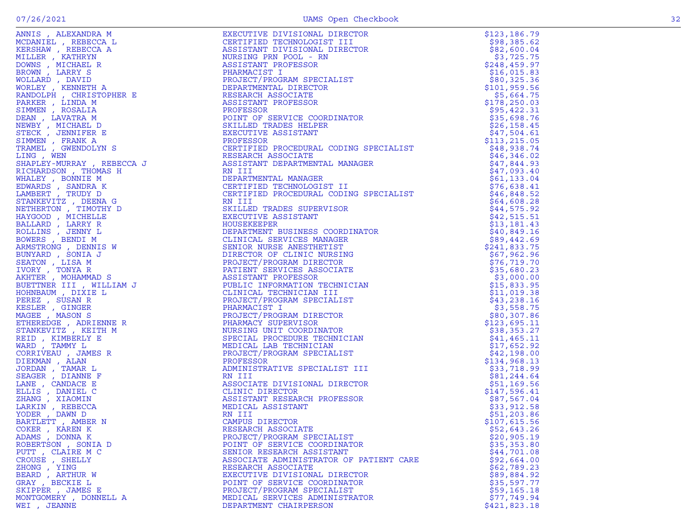|                                | ADIT A MEANINE MANY AND THE SERVE ENTERTY ON A SUITABLE PRESENT AND A SUITABLE PRESENT AND A SUITABLE PRESENT AND IN EVALUATION OF THE SERVE AND DRIVING SERVER CONTINUES IN THE SERVE AND INTERFERENCE IN THE SERVE AND IN T | \$123,186.79               |
|--------------------------------|-------------------------------------------------------------------------------------------------------------------------------------------------------------------------------------------------------------------------------|----------------------------|
|                                |                                                                                                                                                                                                                               | \$98,385.62                |
|                                |                                                                                                                                                                                                                               | \$82,600.04                |
|                                |                                                                                                                                                                                                                               | \$3,725.75                 |
|                                |                                                                                                                                                                                                                               | \$248,459.97               |
|                                |                                                                                                                                                                                                                               | \$16,015.83                |
|                                |                                                                                                                                                                                                                               | \$80,325.36                |
|                                |                                                                                                                                                                                                                               | \$101, 959.56              |
|                                |                                                                                                                                                                                                                               | \$5,664.75                 |
|                                |                                                                                                                                                                                                                               | \$178,250.03               |
|                                |                                                                                                                                                                                                                               | \$95,422.31                |
|                                |                                                                                                                                                                                                                               | \$35,698.76                |
|                                |                                                                                                                                                                                                                               | \$26, 158.45               |
|                                |                                                                                                                                                                                                                               | \$47,504.61                |
|                                |                                                                                                                                                                                                                               | \$113, 215.05              |
|                                |                                                                                                                                                                                                                               | \$48,938.74                |
|                                |                                                                                                                                                                                                                               | \$46,346.02                |
|                                |                                                                                                                                                                                                                               | \$47,844.93                |
|                                |                                                                                                                                                                                                                               | \$47,093.40<br>\$61,133.04 |
|                                |                                                                                                                                                                                                                               |                            |
|                                |                                                                                                                                                                                                                               | \$76,638.41                |
|                                |                                                                                                                                                                                                                               | \$46,848.52<br>\$64,608.28 |
|                                |                                                                                                                                                                                                                               | \$44,575.92                |
|                                |                                                                                                                                                                                                                               | \$42,515.51                |
|                                |                                                                                                                                                                                                                               | \$13,181.43                |
|                                |                                                                                                                                                                                                                               | \$40,849.16                |
|                                |                                                                                                                                                                                                                               | \$89,442.69                |
|                                |                                                                                                                                                                                                                               | \$241,833.75               |
|                                |                                                                                                                                                                                                                               | \$67,962.96                |
|                                |                                                                                                                                                                                                                               | \$76, 719.70               |
|                                |                                                                                                                                                                                                                               | \$35,680.23                |
|                                |                                                                                                                                                                                                                               | \$3,000.00                 |
|                                |                                                                                                                                                                                                                               | \$15,833.95                |
|                                |                                                                                                                                                                                                                               | \$11,019.38                |
|                                |                                                                                                                                                                                                                               | \$43,238.16                |
|                                |                                                                                                                                                                                                                               | \$3,558.75                 |
|                                |                                                                                                                                                                                                                               | \$80,307.86                |
|                                |                                                                                                                                                                                                                               | \$123,695.11               |
|                                |                                                                                                                                                                                                                               | \$38,353.27                |
|                                |                                                                                                                                                                                                                               | \$41, 465.11               |
|                                |                                                                                                                                                                                                                               | \$17,652.92                |
|                                |                                                                                                                                                                                                                               | \$42,198.00                |
|                                |                                                                                                                                                                                                                               | \$134,968.13               |
|                                |                                                                                                                                                                                                                               | \$33,718.99                |
|                                |                                                                                                                                                                                                                               | \$81,244.64                |
|                                |                                                                                                                                                                                                                               | \$51,169.56                |
|                                |                                                                                                                                                                                                                               | \$147,596.41               |
|                                |                                                                                                                                                                                                                               | \$87,567.04                |
|                                |                                                                                                                                                                                                                               | \$33,912.58                |
|                                |                                                                                                                                                                                                                               | \$51,203.86                |
|                                |                                                                                                                                                                                                                               | \$107,615.56               |
| COKER, KAREN K                 | RESEARCH ASSOCIATE                                                                                                                                                                                                            | \$52,643.26                |
| ADAMS, DONNA K                 | PROJECT/PROGRAM SPECIALIST                                                                                                                                                                                                    | \$20,905.19                |
| ROBERTSON, SONIA D             | POINT OF SERVICE COORDINATOR                                                                                                                                                                                                  | \$35,353.80<br>\$44,701.08 |
| PUTT, CLAIRE M C               | SENIOR RESEARCH ASSISTANT                                                                                                                                                                                                     |                            |
| CROUSE, SHELLY<br>ZHONG , YING | ASSOCIATE ADMINISTRATOR OF PATIENT CARE                                                                                                                                                                                       | \$92,664.00                |
| BEARD, ARTHUR W                | RESEARCH ASSOCIATE<br>EXECUTIVE DIVISIONAL DIRECTOR                                                                                                                                                                           | \$62,789.23<br>\$89,884.92 |
| GRAY, BECKIE L                 | POINT OF SERVICE COORDINATOR                                                                                                                                                                                                  | \$35,597.77                |
| SKIPPER, JAMES E               | PROJECT/PROGRAM SPECIALIST                                                                                                                                                                                                    | \$59,165.18                |
| MONTGOMERY , DONNELL A         | MEDICAL SERVICES ADMINISTRATOR                                                                                                                                                                                                | \$77,749.94                |
| WEI, JEANNE                    | DEPARTMENT CHAIRPERSON                                                                                                                                                                                                        | \$421,823.18               |
|                                |                                                                                                                                                                                                                               |                            |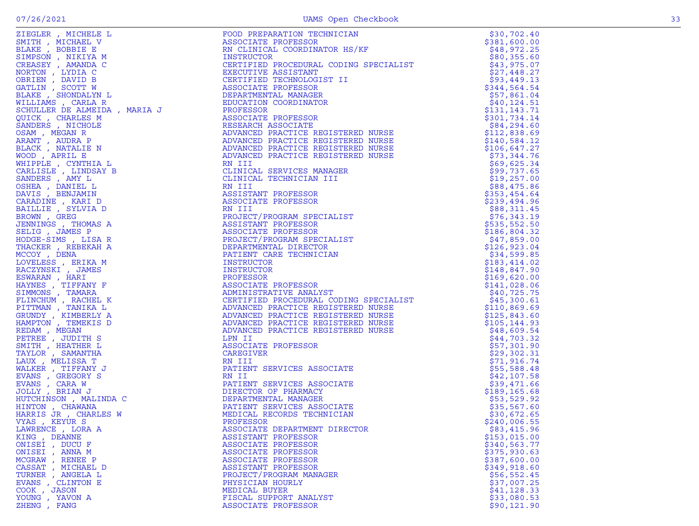|                                    | PROFESSOR<br>ASSOCIATE PROFESSOR<br>CERTIFIED PROCEDURAL CODING SPECIALIST<br>CERTIFIED PROCEDURAL CODING SPECIALIST<br>ADVANCED PRACTICE REGISTERED NURSE<br>ADVANCED PRACTICE REGISTERED NURSE<br>ADVANCED PRACTICE REGISTERED NURSE<br>AD |                              |
|------------------------------------|----------------------------------------------------------------------------------------------------------------------------------------------------------------------------------------------------------------------------------------------|------------------------------|
|                                    |                                                                                                                                                                                                                                              |                              |
|                                    |                                                                                                                                                                                                                                              |                              |
|                                    |                                                                                                                                                                                                                                              |                              |
|                                    |                                                                                                                                                                                                                                              |                              |
|                                    |                                                                                                                                                                                                                                              |                              |
|                                    |                                                                                                                                                                                                                                              |                              |
|                                    |                                                                                                                                                                                                                                              |                              |
|                                    | EN III<br>RN III<br>PATIENT SERVICES ASSOCIATE<br>RN II<br>PATIENT SERVICES ASSOCIATE<br>DIRECTOR OF PHARMACY<br>DEPARTMENTAL MANAGER<br>PATIENT SERVICES ASSOCIATE<br>MEDICAL RECORDS TECHNICIAN<br>PROFESSOR<br>PROFESSOR                  |                              |
|                                    |                                                                                                                                                                                                                                              |                              |
|                                    |                                                                                                                                                                                                                                              |                              |
|                                    |                                                                                                                                                                                                                                              |                              |
|                                    |                                                                                                                                                                                                                                              |                              |
|                                    |                                                                                                                                                                                                                                              |                              |
| VYAS, KEYUR S                      |                                                                                                                                                                                                                                              | \$240,006.55                 |
| LAWRENCE, LORA A                   | ASSOCIATE DEPARTMENT DIRECTOR                                                                                                                                                                                                                | \$83,415.96                  |
| KING, DEANNE                       | ASSISTANT PROFESSOR                                                                                                                                                                                                                          | \$153,015.00                 |
| ONISEI, DUCU F                     | ASSOCIATE PROFESSOR                                                                                                                                                                                                                          | \$340,563.77                 |
| ONISEI , ANNA M<br>MCGRAW, RENEE P | ASSOCIATE PROFESSOR<br>ASSOCIATE PROFESSOR                                                                                                                                                                                                   | \$375,930.63<br>\$387,600.00 |
| CASSAT, MICHAEL D                  | ASSISTANT PROFESSOR                                                                                                                                                                                                                          | \$349,918.60                 |
| TURNER , ANGELA L                  | PROJECT/PROGRAM MANAGER                                                                                                                                                                                                                      | \$56,552.45                  |
| EVANS, CLINTON E                   | PHYSICIAN HOURLY                                                                                                                                                                                                                             | \$37,007.25                  |
| COOK, JASON                        | MEDICAL BUYER                                                                                                                                                                                                                                | \$41,128.33                  |
| YOUNG, YAVON A                     | FISCAL SUPPORT ANALYST                                                                                                                                                                                                                       | \$33,080.53                  |
| ZHENG , FANG                       | ASSOCIATE PROFESSOR                                                                                                                                                                                                                          | \$90, 121.90                 |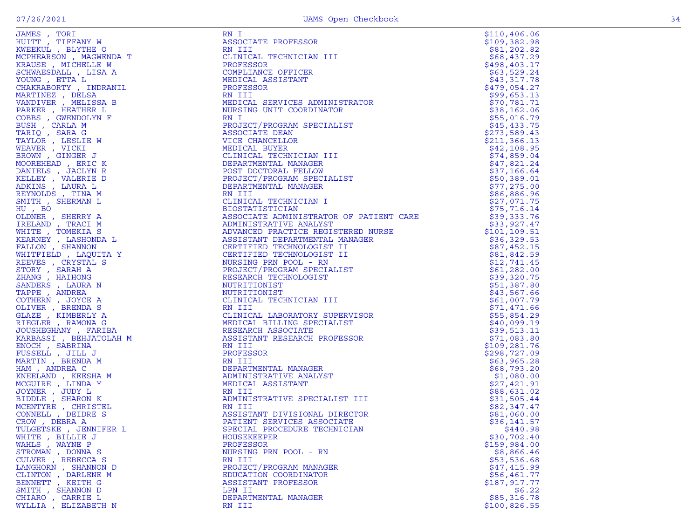| UAMES , IORI<br>HUITT , TIFFANY W<br>KWEEKUL , BLYTHE O                                                                                                                                                              |
|----------------------------------------------------------------------------------------------------------------------------------------------------------------------------------------------------------------------|
|                                                                                                                                                                                                                      |
|                                                                                                                                                                                                                      |
| MCPHEARSON, MAGWENDA T                                                                                                                                                                                               |
| KRAUSE , MICHELLE W                                                                                                                                                                                                  |
| SCHWAESDALL , LISA A                                                                                                                                                                                                 |
| YOUNG, ETTA L                                                                                                                                                                                                        |
| CHAKRABORTY , INDRANIL                                                                                                                                                                                               |
|                                                                                                                                                                                                                      |
| MARTINEZ , DELSA                                                                                                                                                                                                     |
| VANDIVER, MELISSA B                                                                                                                                                                                                  |
| PARKER, HEATHER L                                                                                                                                                                                                    |
| COBBS, GWENDOLYN F                                                                                                                                                                                                   |
| BUSH , CARLA M<br>TARIQ , SARA G<br>TAYLOR , LESLIE W<br>TAYLOR , LISULT                                                                                                                                             |
|                                                                                                                                                                                                                      |
|                                                                                                                                                                                                                      |
|                                                                                                                                                                                                                      |
| WEAVER , VICKI                                                                                                                                                                                                       |
| BROWN, GINGER J                                                                                                                                                                                                      |
|                                                                                                                                                                                                                      |
|                                                                                                                                                                                                                      |
| MOOREHEAD , ERIC K<br>DANIELS , JACLYN R<br>KELLEY , VALERIE D<br>ADKINS , LAURA L<br>REYNOLDS , TINA M<br>REYNOLDS , TINA M                                                                                         |
|                                                                                                                                                                                                                      |
|                                                                                                                                                                                                                      |
|                                                                                                                                                                                                                      |
| SMITH, SHERMAN L                                                                                                                                                                                                     |
| HU, BO                                                                                                                                                                                                               |
| OLDNER , SHERRY A<br>IRELAND , TRACI M<br>WHITE , TOMEKIA S                                                                                                                                                          |
|                                                                                                                                                                                                                      |
|                                                                                                                                                                                                                      |
|                                                                                                                                                                                                                      |
| KEARNEY , LASHONDA L<br>FALLON , SHANNON                                                                                                                                                                             |
|                                                                                                                                                                                                                      |
| WHITFIELD, LAQUITA Y                                                                                                                                                                                                 |
| REEVES , CRYSTAL S                                                                                                                                                                                                   |
| KEEVES, CRISTAL S<br>STORY, SARAH A<br>ZHANG, HAIHONG<br>SANDERS, LAURA N<br>TAPPE, ANDREA<br>COTHERN, JOYCE A<br>OLIVER, BRENDA S<br>GLAZE, KIMBERLY A<br>RIEGLER, RAMONA G<br>TOISER, RAMONA G<br>TOISER, RAMONA G |
|                                                                                                                                                                                                                      |
|                                                                                                                                                                                                                      |
|                                                                                                                                                                                                                      |
|                                                                                                                                                                                                                      |
|                                                                                                                                                                                                                      |
|                                                                                                                                                                                                                      |
|                                                                                                                                                                                                                      |
|                                                                                                                                                                                                                      |
| JOUSHEGHANY , FARIBA                                                                                                                                                                                                 |
| KARBASSI , BEHJATOLAH M                                                                                                                                                                                              |
|                                                                                                                                                                                                                      |
| ENOCH , SABRINA                                                                                                                                                                                                      |
| FUSSELL, JILL J                                                                                                                                                                                                      |
| MARTIN, BRENDA M                                                                                                                                                                                                     |
|                                                                                                                                                                                                                      |
| HAM, ANDREA C                                                                                                                                                                                                        |
|                                                                                                                                                                                                                      |
|                                                                                                                                                                                                                      |
| KNEELAND , KEESHA M<br>MCGUIRE , LINDA Y                                                                                                                                                                             |
|                                                                                                                                                                                                                      |
|                                                                                                                                                                                                                      |
|                                                                                                                                                                                                                      |
|                                                                                                                                                                                                                      |
| JOYNER , JUDY L<br>BIDDLE , SHARON K<br>MCENTYRE , CHRISTEL<br>CONNELL , DEIDRE S                                                                                                                                    |
| CROW, DEBRA A                                                                                                                                                                                                        |
| TULGETSKE , JENNIFER L                                                                                                                                                                                               |
| <b>BILLIE J</b>                                                                                                                                                                                                      |
| WAYNE P                                                                                                                                                                                                              |
| STROMAN<br>, DONNA S                                                                                                                                                                                                 |
| REBECCA S                                                                                                                                                                                                            |
|                                                                                                                                                                                                                      |
| DARLENE M                                                                                                                                                                                                            |
|                                                                                                                                                                                                                      |
| , KEITH G                                                                                                                                                                                                            |
| WHITE,<br>WAHLS,<br>CULVER<br>LANGHORN , SHANNON D<br>CLINTON<br>BENNETT<br>SMITH,<br>SHANNON<br>D<br>CHIARO<br>CARRIE<br>L                                                                                          |

| JAMES , TORI                                                                                                                                                                                                                                                                                                                                                                                                                                                                            | RN I                                                                                                                                                                                                                                                                                                                                                                                                                                                                    | \$110, 406.06 |
|-----------------------------------------------------------------------------------------------------------------------------------------------------------------------------------------------------------------------------------------------------------------------------------------------------------------------------------------------------------------------------------------------------------------------------------------------------------------------------------------|-------------------------------------------------------------------------------------------------------------------------------------------------------------------------------------------------------------------------------------------------------------------------------------------------------------------------------------------------------------------------------------------------------------------------------------------------------------------------|---------------|
| JAWES , IORI<br>HUITT , TIFFANY W<br>KWEEKUL , BLYTHE O<br>MCPHEARSON , MAGWENDA T<br>KRAUSE , MICHELLE W<br>SCHWAESDALL , LISA A<br>YOUNG , ETTA L<br>CHAKRABORTY , INDRANIL<br>MARTINEZ , DELSA<br>VANDIVER , MELISSA B<br>PARKER , HEATHER L<br>COBBS , GWEN                                                                                                                                                                                                                         | ASSOCIATE PROFESSOR                                                                                                                                                                                                                                                                                                                                                                                                                                                     | \$109,382.98  |
|                                                                                                                                                                                                                                                                                                                                                                                                                                                                                         | RN III                                                                                                                                                                                                                                                                                                                                                                                                                                                                  | \$81,202.82   |
|                                                                                                                                                                                                                                                                                                                                                                                                                                                                                         | CLINICAL TECHNICIAN III                                                                                                                                                                                                                                                                                                                                                                                                                                                 | \$68,437.29   |
|                                                                                                                                                                                                                                                                                                                                                                                                                                                                                         | PROFESSOR                                                                                                                                                                                                                                                                                                                                                                                                                                                               | \$498, 403.17 |
|                                                                                                                                                                                                                                                                                                                                                                                                                                                                                         | COMPLIANCE OFFICER                                                                                                                                                                                                                                                                                                                                                                                                                                                      | \$63,529.24   |
|                                                                                                                                                                                                                                                                                                                                                                                                                                                                                         | MEDICAL ASSISTANT                                                                                                                                                                                                                                                                                                                                                                                                                                                       | \$43,317.78   |
|                                                                                                                                                                                                                                                                                                                                                                                                                                                                                         | PROFESSOR                                                                                                                                                                                                                                                                                                                                                                                                                                                               | \$479,054.27  |
|                                                                                                                                                                                                                                                                                                                                                                                                                                                                                         | RN III                                                                                                                                                                                                                                                                                                                                                                                                                                                                  | \$99,653.13   |
|                                                                                                                                                                                                                                                                                                                                                                                                                                                                                         | MEDICAL SERVICES ADMINISTRATOR                                                                                                                                                                                                                                                                                                                                                                                                                                          | \$70,781.71   |
|                                                                                                                                                                                                                                                                                                                                                                                                                                                                                         | NURSING UNIT COORDINATOR                                                                                                                                                                                                                                                                                                                                                                                                                                                | \$38,162.06   |
|                                                                                                                                                                                                                                                                                                                                                                                                                                                                                         | RN I                                                                                                                                                                                                                                                                                                                                                                                                                                                                    | \$55,016.79   |
| BUSH, CARLA M                                                                                                                                                                                                                                                                                                                                                                                                                                                                           | PROJECT/PROGRAM SPECIALIST                                                                                                                                                                                                                                                                                                                                                                                                                                              | \$45,433.75   |
| TARIQ, SARA G                                                                                                                                                                                                                                                                                                                                                                                                                                                                           | <b>ASSOCIATE DEAN</b>                                                                                                                                                                                                                                                                                                                                                                                                                                                   | \$273,589.43  |
| TAYLOR, LESLIE W                                                                                                                                                                                                                                                                                                                                                                                                                                                                        | VICE CHANCELLOR                                                                                                                                                                                                                                                                                                                                                                                                                                                         | \$211, 366.13 |
| WEAVER, VICKI                                                                                                                                                                                                                                                                                                                                                                                                                                                                           | MEDICAL BUYER                                                                                                                                                                                                                                                                                                                                                                                                                                                           | \$42,108.95   |
| BROWN, GINGER J                                                                                                                                                                                                                                                                                                                                                                                                                                                                         | CLINICAL TECHNICIAN III                                                                                                                                                                                                                                                                                                                                                                                                                                                 | \$74,859.04   |
| MOOREHEAD, ERIC K                                                                                                                                                                                                                                                                                                                                                                                                                                                                       | DEPARTMENTAL MANAGER                                                                                                                                                                                                                                                                                                                                                                                                                                                    | \$47,821.24   |
| DANIELS, JACLYN R                                                                                                                                                                                                                                                                                                                                                                                                                                                                       | POST DOCTORAL FELLOW                                                                                                                                                                                                                                                                                                                                                                                                                                                    | \$37,166.64   |
| KELLEY , VALERIE D                                                                                                                                                                                                                                                                                                                                                                                                                                                                      | PROJECT/PROGRAM SPECIALIST                                                                                                                                                                                                                                                                                                                                                                                                                                              | \$50,389.01   |
|                                                                                                                                                                                                                                                                                                                                                                                                                                                                                         | DEPARTMENTAL MANAGER                                                                                                                                                                                                                                                                                                                                                                                                                                                    | \$77,275.00   |
| ADKINS, LAURA L                                                                                                                                                                                                                                                                                                                                                                                                                                                                         |                                                                                                                                                                                                                                                                                                                                                                                                                                                                         |               |
| REYNOLDS, TINA M                                                                                                                                                                                                                                                                                                                                                                                                                                                                        | RN III                                                                                                                                                                                                                                                                                                                                                                                                                                                                  | \$86,886.96   |
| SMITH , SHERMAN L                                                                                                                                                                                                                                                                                                                                                                                                                                                                       | CLINICAL TECHNICIAN I                                                                                                                                                                                                                                                                                                                                                                                                                                                   | \$27,071.75   |
| HU, BO                                                                                                                                                                                                                                                                                                                                                                                                                                                                                  | BIOSTATISTICIAN                                                                                                                                                                                                                                                                                                                                                                                                                                                         | \$75, 716.14  |
| OLDNER , SHERRY A                                                                                                                                                                                                                                                                                                                                                                                                                                                                       | ASSOCIATE ADMINISTRATOR OF PATIENT CARE                                                                                                                                                                                                                                                                                                                                                                                                                                 | \$39,333.76   |
| IRELAND, TRACI M                                                                                                                                                                                                                                                                                                                                                                                                                                                                        |                                                                                                                                                                                                                                                                                                                                                                                                                                                                         | \$33,927.47   |
| WHITE , TOMEKIA S                                                                                                                                                                                                                                                                                                                                                                                                                                                                       |                                                                                                                                                                                                                                                                                                                                                                                                                                                                         | \$101, 109.51 |
| KEARNEY , LASHONDA L                                                                                                                                                                                                                                                                                                                                                                                                                                                                    |                                                                                                                                                                                                                                                                                                                                                                                                                                                                         | \$36,329.53   |
| FALLON , SHANNON                                                                                                                                                                                                                                                                                                                                                                                                                                                                        |                                                                                                                                                                                                                                                                                                                                                                                                                                                                         | \$87,452.15   |
| $\begin{aligned} \mathbf{A} \\ \mathbf{A} \\ \mathbf{A} \\ \mathbf{A} \\ \mathbf{A} \\ \mathbf{A} \\ \mathbf{A} \\ \mathbf{A} \\ \mathbf{A} \\ \mathbf{A} \\ \mathbf{A} \\ \mathbf{A} \\ \mathbf{A} \\ \mathbf{A} \\ \mathbf{A} \\ \mathbf{A} \\ \mathbf{A} \\ \mathbf{A} \\ \mathbf{A} \\ \mathbf{A} \\ \mathbf{A} \\ \mathbf{A} \\ \mathbf{A} \\ \mathbf{A} \\ \mathbf{A} \\ \mathbf{A} \\ \mathbf{A} \\ \mathbf{A} \\ \mathbf{A} \\ \mathbf{A} \\ \mathbf{A$<br>WHITFIELD, LAQUITA Y | ASSOCIATE AL<br>ADMINISTRATIVE ANALISTRED NUMBER<br>ADMANCED PRACTICE REGISTERED NUMBER<br>ASSISTANT DEPARTMENTAL MANAGER<br>CERTIFIED TECHNOLOGIST II<br>CERTIFIED TECHNOLOGIST II<br>CERTIFIED TECHNOLOGIST II<br>ADMINISTRATIVE ANALYSTING CALLENT CARE<br>ADVANCED PRACTICE REGISTERED NURSE<br>ASSISTANT DEPARTMENTAL MANAGER<br>CERTIFIED TECHNOLOGIST II<br>CERTIFIED TECHNOLOGIST II<br>NURSING PRN POOL - RN<br>PROJECT/PROGRAM SPECIALIST<br>RESEARCH TECHNOL | \$81,842.59   |
| REEVES, CRYSTAL S                                                                                                                                                                                                                                                                                                                                                                                                                                                                       |                                                                                                                                                                                                                                                                                                                                                                                                                                                                         | \$12,741.45   |
| STORY, SARAH A                                                                                                                                                                                                                                                                                                                                                                                                                                                                          |                                                                                                                                                                                                                                                                                                                                                                                                                                                                         | \$61,282.00   |
| ZHANG , HAIHONG                                                                                                                                                                                                                                                                                                                                                                                                                                                                         |                                                                                                                                                                                                                                                                                                                                                                                                                                                                         | \$39,320.75   |
| SANDERS, LAURA N                                                                                                                                                                                                                                                                                                                                                                                                                                                                        |                                                                                                                                                                                                                                                                                                                                                                                                                                                                         | \$51,387.80   |
| TAPPE, ANDREA                                                                                                                                                                                                                                                                                                                                                                                                                                                                           |                                                                                                                                                                                                                                                                                                                                                                                                                                                                         | \$43,567.66   |
| COTHERN, JOYCE A                                                                                                                                                                                                                                                                                                                                                                                                                                                                        | CLINICAL TECHNICIAN III                                                                                                                                                                                                                                                                                                                                                                                                                                                 | \$61,007.79   |
| OLIVER, BRENDA S                                                                                                                                                                                                                                                                                                                                                                                                                                                                        | RN III                                                                                                                                                                                                                                                                                                                                                                                                                                                                  | \$71,471.66   |
| GLAZE , KIMBERLY A                                                                                                                                                                                                                                                                                                                                                                                                                                                                      | KN III<br>CLINICAL LABORATORY SUPERVISO<br>MEDICAL BILLING SPECIALIST<br>RESEARCH ASSOCIATE<br>ASSISTANT RESEARCH PROFESSOR<br>RN III<br>RN III<br>CLINICAL LABORATORY SUPERVISOR<br>MEDICAL BILLING SPECIALIST<br>RESEARCH ASSOCIATE<br>ASSISTANT RESEARCH PROFESSOR<br>RN III<br>PROFESSOR                                                                                                                                                                            | \$55,854.29   |
| RIEGLER, RAMONA G                                                                                                                                                                                                                                                                                                                                                                                                                                                                       |                                                                                                                                                                                                                                                                                                                                                                                                                                                                         | \$40,099.19   |
| JOUSHEGHANY , FARIBA                                                                                                                                                                                                                                                                                                                                                                                                                                                                    |                                                                                                                                                                                                                                                                                                                                                                                                                                                                         | \$39,513.11   |
| KARBASSI , BEHJATOLAH M                                                                                                                                                                                                                                                                                                                                                                                                                                                                 |                                                                                                                                                                                                                                                                                                                                                                                                                                                                         | \$71,083.80   |
| ENOCH, SABRINA                                                                                                                                                                                                                                                                                                                                                                                                                                                                          |                                                                                                                                                                                                                                                                                                                                                                                                                                                                         | \$109,281.76  |
| FUSSELL, JILL J                                                                                                                                                                                                                                                                                                                                                                                                                                                                         | PROFESSOR                                                                                                                                                                                                                                                                                                                                                                                                                                                               | \$298,727.09  |
| MARTIN, BRENDA M                                                                                                                                                                                                                                                                                                                                                                                                                                                                        | RN III                                                                                                                                                                                                                                                                                                                                                                                                                                                                  | \$63,965.28   |
| HAM, ANDREA C                                                                                                                                                                                                                                                                                                                                                                                                                                                                           | DEPARTMENTAL MANA<br>ADMINISTRATIVE ANA<br>MEDICAL ASSISTANT<br>DEPARTMENTAL MANAGER                                                                                                                                                                                                                                                                                                                                                                                    | \$68,793.20   |
| KNEELAND , KEESHA M                                                                                                                                                                                                                                                                                                                                                                                                                                                                     | ADMINISTRATIVE ANALYST                                                                                                                                                                                                                                                                                                                                                                                                                                                  | \$1,080.00    |
| MCGUIRE, LINDA Y                                                                                                                                                                                                                                                                                                                                                                                                                                                                        |                                                                                                                                                                                                                                                                                                                                                                                                                                                                         | \$27,421.91   |
| JOYNER, JUDY L                                                                                                                                                                                                                                                                                                                                                                                                                                                                          | RN III                                                                                                                                                                                                                                                                                                                                                                                                                                                                  | \$88,631.02   |
| BIDDLE , SHARON K                                                                                                                                                                                                                                                                                                                                                                                                                                                                       | ADMINISTRATIVE SPECIALIST III                                                                                                                                                                                                                                                                                                                                                                                                                                           | \$31,505.44   |
| MCENTYRE , CHRISTEL                                                                                                                                                                                                                                                                                                                                                                                                                                                                     | RN III                                                                                                                                                                                                                                                                                                                                                                                                                                                                  | \$82,347.47   |
| CONNELL , DEIDRE S                                                                                                                                                                                                                                                                                                                                                                                                                                                                      | ASSISTANT DIVISIONAL DIRECTOR                                                                                                                                                                                                                                                                                                                                                                                                                                           | \$81,060.00   |
| CROW, DEBRA A                                                                                                                                                                                                                                                                                                                                                                                                                                                                           | PATIENT SERVICES ASSOCIATE                                                                                                                                                                                                                                                                                                                                                                                                                                              | \$36, 141.57  |
| TULGETSKE, JENNIFER L                                                                                                                                                                                                                                                                                                                                                                                                                                                                   | SPECIAL PROCEDURE TECHNICIAN                                                                                                                                                                                                                                                                                                                                                                                                                                            | \$440.98      |
| WHITE, BILLIE J                                                                                                                                                                                                                                                                                                                                                                                                                                                                         | HOUSEKEEPER                                                                                                                                                                                                                                                                                                                                                                                                                                                             | \$30,702.40   |
| WAHLS, WAYNE P                                                                                                                                                                                                                                                                                                                                                                                                                                                                          | PROFESSOR                                                                                                                                                                                                                                                                                                                                                                                                                                                               | \$159,984.00  |
| STROMAN, DONNA S                                                                                                                                                                                                                                                                                                                                                                                                                                                                        | NURSING PRN POOL - RN                                                                                                                                                                                                                                                                                                                                                                                                                                                   | \$8,866.46    |
| CULVER, REBECCA S                                                                                                                                                                                                                                                                                                                                                                                                                                                                       | RN III                                                                                                                                                                                                                                                                                                                                                                                                                                                                  | \$53,536.68   |
| LANGHORN , SHANNON D                                                                                                                                                                                                                                                                                                                                                                                                                                                                    | PROJECT/PROGRAM MANAGER                                                                                                                                                                                                                                                                                                                                                                                                                                                 | \$47,415.99   |
| CLINTON, DARLENE M                                                                                                                                                                                                                                                                                                                                                                                                                                                                      | EDUCATION COORDINATOR                                                                                                                                                                                                                                                                                                                                                                                                                                                   | \$56,461.77   |
| BENNETT, KEITH G                                                                                                                                                                                                                                                                                                                                                                                                                                                                        | ASSISTANT PROFESSOR                                                                                                                                                                                                                                                                                                                                                                                                                                                     | \$187,917.77  |
| SMITH, SHANNON D                                                                                                                                                                                                                                                                                                                                                                                                                                                                        | LPN II                                                                                                                                                                                                                                                                                                                                                                                                                                                                  | \$6.22        |
|                                                                                                                                                                                                                                                                                                                                                                                                                                                                                         | DEPARTMENTAL MANAGER                                                                                                                                                                                                                                                                                                                                                                                                                                                    | \$85,316.78   |
| CHIARO, CARRIE L                                                                                                                                                                                                                                                                                                                                                                                                                                                                        |                                                                                                                                                                                                                                                                                                                                                                                                                                                                         |               |
| WYLLIA, ELIZABETH N                                                                                                                                                                                                                                                                                                                                                                                                                                                                     | RN III                                                                                                                                                                                                                                                                                                                                                                                                                                                                  | \$100,826.55  |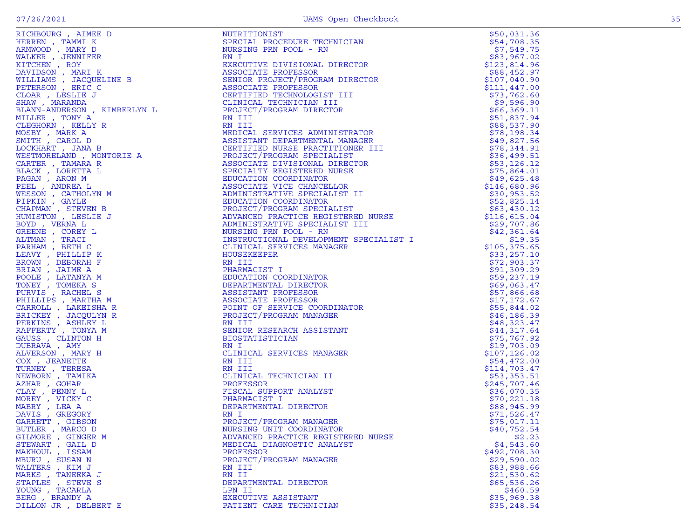| BUTLER, MARCO D       |                                                                                                                                                                                                                                                                                         |              |
|-----------------------|-----------------------------------------------------------------------------------------------------------------------------------------------------------------------------------------------------------------------------------------------------------------------------------------|--------------|
| GILMORE, GINGER M     | <b>FIGHERING ARRESTS IN The CONTRACT CONTRACT CONTRACT CONTRACT (1992)</b><br><b>FIGHERING ARRESTS IN The CONTRACT CONTRACT CONTRACT CONTRACT CONTRACT (1993)</b><br><b>ARRESTS IN THE CONTRACT CONTRACT CONTRACT CONTRACT CONTRACT CONTRACT </b><br>ADVANCED PRACTICE REGISTERED NURSE | \$2.23       |
| STEWART, GAIL D       | MEDICAL DIAGNOSTIC ANALYST                                                                                                                                                                                                                                                              | \$4,543.60   |
| MAKHOUL , ISSAM       | PROFESSOR                                                                                                                                                                                                                                                                               | \$492,708.30 |
| MBURU, SUSAN N        | PROJECT/PROGRAM MANAGER                                                                                                                                                                                                                                                                 | \$29,590.02  |
| WALTERS, KIM J        | RN III                                                                                                                                                                                                                                                                                  | \$83,988.66  |
| MARKS, TANEEKA J      | RN II                                                                                                                                                                                                                                                                                   | \$21,530.62  |
| STAPLES, STEVE S      | DEPARTMENTAL DIRECTOR                                                                                                                                                                                                                                                                   | \$65,536.26  |
| YOUNG , TACARLA       | LPN II                                                                                                                                                                                                                                                                                  | \$460.59     |
| BERG, BRANDY A        | EXECUTIVE ASSISTANT                                                                                                                                                                                                                                                                     | \$35,969.38  |
| DILLON JR , DELBERT E | PATIENT CARE TECHNICIAN                                                                                                                                                                                                                                                                 | \$35,248.54  |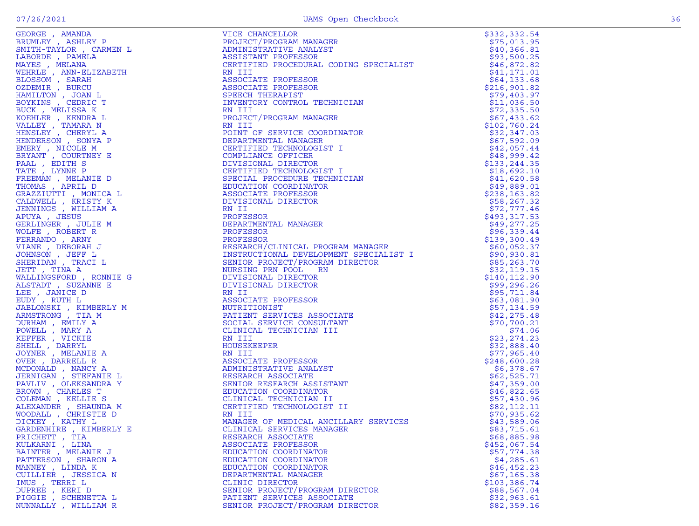|                                                                                                                                                                                                                                            | VICE CHANCELLOR                                                                                                                                                                                                                                                                                                 | \$332,332.54 |
|--------------------------------------------------------------------------------------------------------------------------------------------------------------------------------------------------------------------------------------------|-----------------------------------------------------------------------------------------------------------------------------------------------------------------------------------------------------------------------------------------------------------------------------------------------------------------|--------------|
|                                                                                                                                                                                                                                            | PROJECT/PROGRAM MANAGER                                                                                                                                                                                                                                                                                         | \$75,013.95  |
|                                                                                                                                                                                                                                            |                                                                                                                                                                                                                                                                                                                 |              |
|                                                                                                                                                                                                                                            | ADMINISTRATI PROFESSOR<br>CERTIFIED PROCEDURAL CODING SPECIALIST<br>RN III<br>ASSOCIATE PROFESSOR<br>ASSOCIATE PROFESSOR<br>SPEECH THERAPIST<br>INVENTORY CONTROL TECHNICIAN<br>RN III<br>TO TECT / PROGRAM MANAGER                                                                                             |              |
|                                                                                                                                                                                                                                            |                                                                                                                                                                                                                                                                                                                 |              |
|                                                                                                                                                                                                                                            |                                                                                                                                                                                                                                                                                                                 | \$41,171.01  |
|                                                                                                                                                                                                                                            |                                                                                                                                                                                                                                                                                                                 | \$64,133.68  |
|                                                                                                                                                                                                                                            |                                                                                                                                                                                                                                                                                                                 | \$216,901.82 |
|                                                                                                                                                                                                                                            |                                                                                                                                                                                                                                                                                                                 | \$79,403.97  |
|                                                                                                                                                                                                                                            |                                                                                                                                                                                                                                                                                                                 | \$11,036.50  |
|                                                                                                                                                                                                                                            |                                                                                                                                                                                                                                                                                                                 | \$72,335.50  |
|                                                                                                                                                                                                                                            |                                                                                                                                                                                                                                                                                                                 | \$67,433.62  |
|                                                                                                                                                                                                                                            |                                                                                                                                                                                                                                                                                                                 | \$102,760.24 |
|                                                                                                                                                                                                                                            | POINT OF SERVICE COORDINATOR                                                                                                                                                                                                                                                                                    | \$32,347.03  |
|                                                                                                                                                                                                                                            | DEPARTMENTAL MANAGER                                                                                                                                                                                                                                                                                            | \$67,592.09  |
|                                                                                                                                                                                                                                            | CERTIFIED TECHNOLOGIST I                                                                                                                                                                                                                                                                                        | \$42,057.44  |
|                                                                                                                                                                                                                                            |                                                                                                                                                                                                                                                                                                                 | \$48,999.42  |
|                                                                                                                                                                                                                                            | COMPLIANCE OFFICER<br>DIVISIONAL DIRECTOR<br>CERTIFIED TECHNOLOGIST I                                                                                                                                                                                                                                           | \$133,244.35 |
|                                                                                                                                                                                                                                            |                                                                                                                                                                                                                                                                                                                 |              |
|                                                                                                                                                                                                                                            |                                                                                                                                                                                                                                                                                                                 | \$18,692.10  |
|                                                                                                                                                                                                                                            | SPECIAL PROCEDURE TECHNICIAN                                                                                                                                                                                                                                                                                    | \$41,620.58  |
|                                                                                                                                                                                                                                            | EDUCATION COORDINATOR                                                                                                                                                                                                                                                                                           | \$49,889.01  |
|                                                                                                                                                                                                                                            | ASSOCIATE PROFESSOR                                                                                                                                                                                                                                                                                             | \$238,163.82 |
|                                                                                                                                                                                                                                            | INATOR<br>I<br>I<br>NICIAN<br>DIVISIONAL DIRECTOR                                                                                                                                                                                                                                                               | \$58, 267.32 |
|                                                                                                                                                                                                                                            | RN II                                                                                                                                                                                                                                                                                                           | \$72,777.46  |
|                                                                                                                                                                                                                                            | PROFESSOR                                                                                                                                                                                                                                                                                                       | \$493,317.53 |
|                                                                                                                                                                                                                                            | DEPARTMENTAL MANAGER                                                                                                                                                                                                                                                                                            | \$49,277.25  |
|                                                                                                                                                                                                                                            | PROFESSOR                                                                                                                                                                                                                                                                                                       | \$96,339.44  |
|                                                                                                                                                                                                                                            |                                                                                                                                                                                                                                                                                                                 |              |
|                                                                                                                                                                                                                                            |                                                                                                                                                                                                                                                                                                                 |              |
|                                                                                                                                                                                                                                            |                                                                                                                                                                                                                                                                                                                 |              |
|                                                                                                                                                                                                                                            |                                                                                                                                                                                                                                                                                                                 |              |
|                                                                                                                                                                                                                                            |                                                                                                                                                                                                                                                                                                                 |              |
|                                                                                                                                                                                                                                            |                                                                                                                                                                                                                                                                                                                 |              |
|                                                                                                                                                                                                                                            |                                                                                                                                                                                                                                                                                                                 |              |
|                                                                                                                                                                                                                                            |                                                                                                                                                                                                                                                                                                                 |              |
|                                                                                                                                                                                                                                            |                                                                                                                                                                                                                                                                                                                 |              |
|                                                                                                                                                                                                                                            |                                                                                                                                                                                                                                                                                                                 |              |
|                                                                                                                                                                                                                                            |                                                                                                                                                                                                                                                                                                                 |              |
|                                                                                                                                                                                                                                            |                                                                                                                                                                                                                                                                                                                 |              |
|                                                                                                                                                                                                                                            |                                                                                                                                                                                                                                                                                                                 |              |
|                                                                                                                                                                                                                                            |                                                                                                                                                                                                                                                                                                                 |              |
|                                                                                                                                                                                                                                            | HOUSEKEEPER                                                                                                                                                                                                                                                                                                     | \$32,888.40  |
|                                                                                                                                                                                                                                            |                                                                                                                                                                                                                                                                                                                 | \$77,965.40  |
|                                                                                                                                                                                                                                            |                                                                                                                                                                                                                                                                                                                 | \$248,600.28 |
|                                                                                                                                                                                                                                            |                                                                                                                                                                                                                                                                                                                 | \$6,378.67   |
| GEORGE , MANDA MELET TRIANGER , MANDA MELETT TATION , CARMEN BUNISH (MELETT TRIANGER)<br>ARUNALISM , ANNEL PARELA MELETICA PRINCIPALE , ANN ELIZABETH<br>MEHELE , ANN ELIZABETH<br>ELIZABETHE , ANN ELIZABETH<br>SCENIC , MERAL BUNISH , S | RN III<br>RN III<br>ASSOCIATE PROFESSOR<br>ADMINISTRATIVE ANALYST<br>RESEARCH ASSOCIATE<br>SENIOR RESEARCH ASSISTANT<br>EDUCATION COORDINATOR<br>CLINICAL TECHNOLOGIST II<br>CERTIFIED TECHNOLOGIST II<br>NANAGER OF MEDICAL ANCILLARY SERVICES<br>CLINICAER<br>RESEARCH ASSOCIATE<br>SENIOR RESEARCH ASSISTANT | \$62,525.71  |
|                                                                                                                                                                                                                                            |                                                                                                                                                                                                                                                                                                                 | \$47,359.00  |
|                                                                                                                                                                                                                                            |                                                                                                                                                                                                                                                                                                                 | \$46,822.65  |
|                                                                                                                                                                                                                                            | SENIOR RESEARCH ASSISTA<br>EDUCATION COORDINATOR<br>CLINICAL TECHNICIAN II<br>CERTIFIER TECHNICIAN II                                                                                                                                                                                                           | \$57,430.96  |
|                                                                                                                                                                                                                                            |                                                                                                                                                                                                                                                                                                                 | \$82,112.11  |
|                                                                                                                                                                                                                                            |                                                                                                                                                                                                                                                                                                                 | \$70,935.62  |
|                                                                                                                                                                                                                                            |                                                                                                                                                                                                                                                                                                                 | \$43,589.06  |
|                                                                                                                                                                                                                                            | CLINICAL SERVICES MANAGER                                                                                                                                                                                                                                                                                       | \$83,715.61  |
| PRICHETT, TIA                                                                                                                                                                                                                              | RESEARCH ASSOCIATE                                                                                                                                                                                                                                                                                              | \$68,885.98  |
| KULKARNI , LINA                                                                                                                                                                                                                            | ASSOCIATE PROFESSOR                                                                                                                                                                                                                                                                                             | \$452,067.54 |
| BAINTER , MELANIE J                                                                                                                                                                                                                        | EDUCATION COORDINATOR                                                                                                                                                                                                                                                                                           | \$57,774.38  |
| PATTERSON, SHARON A                                                                                                                                                                                                                        | EDUCATION COORDINATOR                                                                                                                                                                                                                                                                                           | \$4,285.61   |
| MANNEY , LINDA K                                                                                                                                                                                                                           | EDUCATION COORDINATOR                                                                                                                                                                                                                                                                                           | \$46, 452.23 |
| CUILLIER, JESSICA N                                                                                                                                                                                                                        | DEPARTMENTAL MANAGER                                                                                                                                                                                                                                                                                            | \$67,165.38  |
| IMUS, TERRI L                                                                                                                                                                                                                              | CLINIC DIRECTOR                                                                                                                                                                                                                                                                                                 | \$103,386.74 |
| DUPREE , KERI D                                                                                                                                                                                                                            | SENIOR PROJECT/PROGRAM DIRECTOR                                                                                                                                                                                                                                                                                 | \$88,567.04  |
| PIGGIE , SCHENETTA L                                                                                                                                                                                                                       | PATIENT SERVICES ASSOCIATE                                                                                                                                                                                                                                                                                      | \$32,963.61  |
| NUNNALLY , WILLIAM R                                                                                                                                                                                                                       | SENIOR PROJECT/PROGRAM DIRECTOR                                                                                                                                                                                                                                                                                 | \$82,359.16  |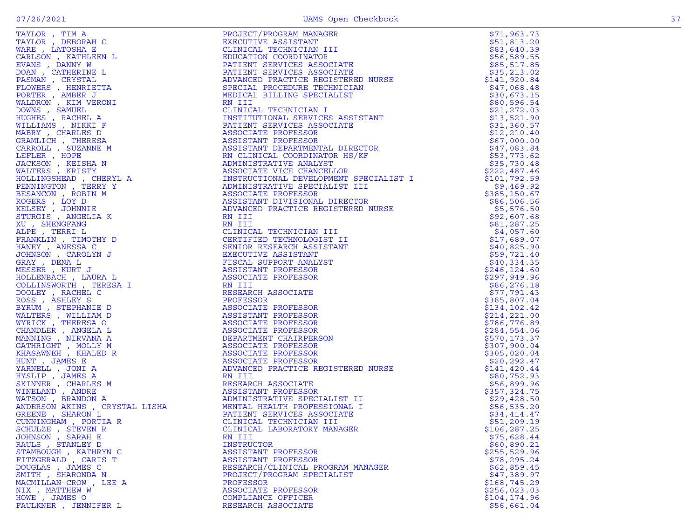| ۰. |  |
|----|--|

| TAYLOR, TIM A         | PROJECT/PROGRAM MANAGER                                                                                                                                                                                                                                                       | \$71,963.73                  |
|-----------------------|-------------------------------------------------------------------------------------------------------------------------------------------------------------------------------------------------------------------------------------------------------------------------------|------------------------------|
| TAYLOR, DEBORAH C     | EXECUTIVE ASSISTANT<br>EXECUTIVE ASSISTANT<br>CLINICAL TECHNICIAN III<br>CHINICAL TECHNICIAN III<br>BDUCATION COORDINATOR<br>PATIENT SERVICES ASSOCIATE<br>FATIENT SERVICES ASSOCIATE<br>ADVANCED PRACTICE REGISTERED NURSE<br>SPECIAL PROCEDURE TECHNICIAN<br>MEDICAL BILLIN | \$51,813.20                  |
| WARE, LATOSHA E       |                                                                                                                                                                                                                                                                               | \$83,640.39                  |
| CARLSON, KATHLEEN L   |                                                                                                                                                                                                                                                                               | \$56,589.55                  |
| EVANS, DANNY W        |                                                                                                                                                                                                                                                                               | \$85,517.85                  |
| DOAN, CATHERINE L     |                                                                                                                                                                                                                                                                               | \$35,213.02                  |
| PASMAN, CRYSTAL       |                                                                                                                                                                                                                                                                               | \$141,920.84                 |
| FLOWERS, HENRIETTA    |                                                                                                                                                                                                                                                                               | \$47,068.48                  |
| PORTER, AMBER J       |                                                                                                                                                                                                                                                                               | \$30,673.15                  |
| WALDRON, KIM VERONI   |                                                                                                                                                                                                                                                                               | \$80,596.54                  |
| DOWNS, SAMUEL         |                                                                                                                                                                                                                                                                               | \$21, 272.03                 |
|                       |                                                                                                                                                                                                                                                                               | \$13,521.90                  |
|                       |                                                                                                                                                                                                                                                                               | \$31,360.57                  |
|                       |                                                                                                                                                                                                                                                                               | \$12, 210.40                 |
|                       |                                                                                                                                                                                                                                                                               | \$67,000.00                  |
|                       |                                                                                                                                                                                                                                                                               | \$47,083.84                  |
|                       |                                                                                                                                                                                                                                                                               | \$53,773.62                  |
|                       |                                                                                                                                                                                                                                                                               | \$35,730.48                  |
|                       |                                                                                                                                                                                                                                                                               | \$222,487.46                 |
|                       |                                                                                                                                                                                                                                                                               | \$101,792.59                 |
|                       |                                                                                                                                                                                                                                                                               | \$9,469.92                   |
|                       |                                                                                                                                                                                                                                                                               | \$385,150.67                 |
|                       |                                                                                                                                                                                                                                                                               | \$86,506.56                  |
|                       |                                                                                                                                                                                                                                                                               | \$5,576.50                   |
|                       |                                                                                                                                                                                                                                                                               | \$92,607.68                  |
|                       |                                                                                                                                                                                                                                                                               | \$81,287.25                  |
|                       |                                                                                                                                                                                                                                                                               | \$4,057.60                   |
|                       |                                                                                                                                                                                                                                                                               | \$17,689.07                  |
|                       |                                                                                                                                                                                                                                                                               | \$40,825.90                  |
|                       |                                                                                                                                                                                                                                                                               | \$59,721.40                  |
|                       |                                                                                                                                                                                                                                                                               | \$40,334.35                  |
|                       |                                                                                                                                                                                                                                                                               | \$246,124.60                 |
|                       |                                                                                                                                                                                                                                                                               | \$297,949.96                 |
|                       |                                                                                                                                                                                                                                                                               | \$86, 276.18                 |
|                       |                                                                                                                                                                                                                                                                               | \$77,791.43                  |
|                       |                                                                                                                                                                                                                                                                               | \$385,807.04                 |
|                       |                                                                                                                                                                                                                                                                               | \$134, 102.42                |
|                       |                                                                                                                                                                                                                                                                               | \$214, 221.00                |
|                       |                                                                                                                                                                                                                                                                               | \$786,776.89                 |
|                       |                                                                                                                                                                                                                                                                               | \$284,554.06<br>\$570,173.37 |
|                       |                                                                                                                                                                                                                                                                               | \$307,900.04                 |
|                       |                                                                                                                                                                                                                                                                               | \$305,020.04                 |
|                       |                                                                                                                                                                                                                                                                               | \$20,292.47                  |
|                       |                                                                                                                                                                                                                                                                               | \$141, 420.44                |
|                       |                                                                                                                                                                                                                                                                               | \$80,752.93                  |
|                       |                                                                                                                                                                                                                                                                               | \$56,899.96                  |
|                       |                                                                                                                                                                                                                                                                               | \$357,324.75                 |
|                       |                                                                                                                                                                                                                                                                               | \$29,428.50                  |
|                       |                                                                                                                                                                                                                                                                               | \$56,535.20                  |
|                       |                                                                                                                                                                                                                                                                               | \$34,414.47                  |
|                       |                                                                                                                                                                                                                                                                               | \$51,209.19                  |
| SCHULZE, STEVEN R     | NATHEWA (AREN'S ROMAN MARINA REAL MINIT DEL MINOR MENDENANT (MENOR MARINA REAL MARINA REAL MARINA REAL MARINA REAL MARINA REAL MARINA REAL MARINA REAL MARINA REAL MARINA REAL MARINA REAL MARINA REAL MARINA REAL MARINA REA<br>CLINICAL LABORATORY MANAGER                  | \$106,287.25                 |
| JOHNSON, SARAH E      | RN III                                                                                                                                                                                                                                                                        | \$75,628.44                  |
| RAULS, STANLEY D      | <b>INSTRUCTOR</b>                                                                                                                                                                                                                                                             | \$60,890.21                  |
| STAMBOUGH, KATHRYN C  | ASSISTANT PROFESSOR                                                                                                                                                                                                                                                           | \$255,529.96                 |
| FITZGERALD, CARIS T   | ASSISTANT PROFESSOR                                                                                                                                                                                                                                                           | \$78, 295.24                 |
| DOUGLAS, JAMES C      | RESEARCH/CLINICAL PROGRAM MANAGER                                                                                                                                                                                                                                             | \$62,859.45                  |
| SMITH, SHARONDA N     | PROJECT/PROGRAM SPECIALIST                                                                                                                                                                                                                                                    | \$47,389.97                  |
| MACMILLAN-CROW, LEE A | PROFESSOR                                                                                                                                                                                                                                                                     | \$168,745.29                 |
| NIX, MATTHEW W        | ASSOCIATE PROFESSOR                                                                                                                                                                                                                                                           | \$256,023.03                 |
| HOWE, JAMES O         | COMPLIANCE OFFICER                                                                                                                                                                                                                                                            | \$104,174.96                 |
| FAULKNER , JENNIFER L | RESEARCH ASSOCIATE                                                                                                                                                                                                                                                            | \$56,661.04                  |
|                       |                                                                                                                                                                                                                                                                               |                              |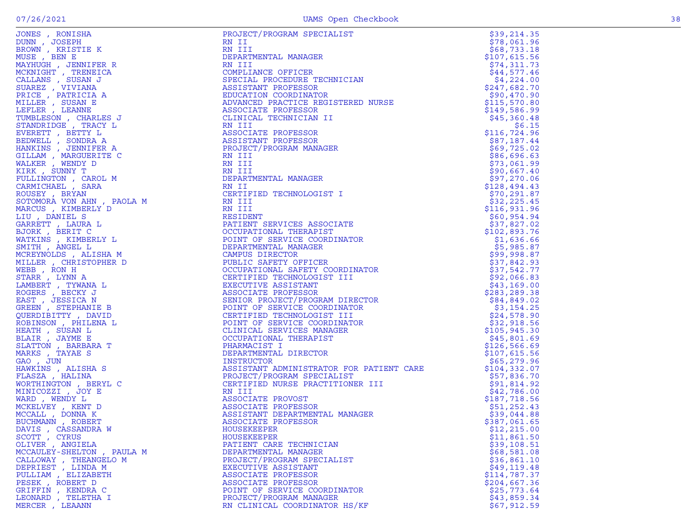| JONES , RONISHA                                                                                                                                                                                                                                                 | PROJECT/PROGRAM SPECIALIST                                                                                                                                                                                                                                                                                                                                                                                                                                                                       | \$39,214.35   |
|-----------------------------------------------------------------------------------------------------------------------------------------------------------------------------------------------------------------------------------------------------------------|--------------------------------------------------------------------------------------------------------------------------------------------------------------------------------------------------------------------------------------------------------------------------------------------------------------------------------------------------------------------------------------------------------------------------------------------------------------------------------------------------|---------------|
| DUNN, JOSEPH                                                                                                                                                                                                                                                    | RN II                                                                                                                                                                                                                                                                                                                                                                                                                                                                                            | \$78,061.96   |
| BROWN, KRISTIE K                                                                                                                                                                                                                                                | RN III                                                                                                                                                                                                                                                                                                                                                                                                                                                                                           | \$68,733.18   |
| MUSE, BEN E                                                                                                                                                                                                                                                     | DEPARTMENTAL MANAGER                                                                                                                                                                                                                                                                                                                                                                                                                                                                             | \$107,615.56  |
| MAYHUGH, JENNIFER R                                                                                                                                                                                                                                             | RN III                                                                                                                                                                                                                                                                                                                                                                                                                                                                                           | \$74,311.73   |
| MCKNIGHT , TRENEICA                                                                                                                                                                                                                                             | COMPLIANCE OFFICER<br>SPECIAL PROCEDURE TECH<br>ASSISTANT PROFESSOR<br>EDUCATION COORDINATOR<br>ADVANCED PRACTION                                                                                                                                                                                                                                                                                                                                                                                | \$44,577.46   |
| CALLANS , SUSAN J                                                                                                                                                                                                                                               | SPECIAL PROCEDURE TECHNICIAN                                                                                                                                                                                                                                                                                                                                                                                                                                                                     | \$4,224.00    |
| SUAREZ , VIVIANA                                                                                                                                                                                                                                                |                                                                                                                                                                                                                                                                                                                                                                                                                                                                                                  | \$247,682.70  |
| PRICE, PATRICIA A                                                                                                                                                                                                                                               |                                                                                                                                                                                                                                                                                                                                                                                                                                                                                                  | \$90,470.90   |
| MILLER , SUSAN E                                                                                                                                                                                                                                                | ADVANCED PRACTICE REGISTERED NURSE                                                                                                                                                                                                                                                                                                                                                                                                                                                               | \$115,570.80  |
| LEFLER , LEANNE                                                                                                                                                                                                                                                 | ASSOCIATE PROFESSOR                                                                                                                                                                                                                                                                                                                                                                                                                                                                              | \$149,586.99  |
| TUMBLESON, CHARLES J                                                                                                                                                                                                                                            | CLINICAL TECHNICIAN II                                                                                                                                                                                                                                                                                                                                                                                                                                                                           | \$45,360.48   |
| STANDRIDGE, TRACY L                                                                                                                                                                                                                                             | FN III<br>ASSOCIATE PROFESSOR<br>ASSISTANT PROFESSOR<br>PROJECT/PROGRAM MANAGER<br>RN III<br>TNI TII                                                                                                                                                                                                                                                                                                                                                                                             | \$6.15        |
|                                                                                                                                                                                                                                                                 |                                                                                                                                                                                                                                                                                                                                                                                                                                                                                                  | \$116,724.96  |
|                                                                                                                                                                                                                                                                 |                                                                                                                                                                                                                                                                                                                                                                                                                                                                                                  | \$87,187.44   |
|                                                                                                                                                                                                                                                                 |                                                                                                                                                                                                                                                                                                                                                                                                                                                                                                  | \$69,725.02   |
|                                                                                                                                                                                                                                                                 |                                                                                                                                                                                                                                                                                                                                                                                                                                                                                                  | \$86,696.63   |
|                                                                                                                                                                                                                                                                 |                                                                                                                                                                                                                                                                                                                                                                                                                                                                                                  | \$73,061.99   |
|                                                                                                                                                                                                                                                                 |                                                                                                                                                                                                                                                                                                                                                                                                                                                                                                  | \$90,667.40   |
|                                                                                                                                                                                                                                                                 |                                                                                                                                                                                                                                                                                                                                                                                                                                                                                                  | \$97,270.06   |
|                                                                                                                                                                                                                                                                 |                                                                                                                                                                                                                                                                                                                                                                                                                                                                                                  | \$128,494.43  |
|                                                                                                                                                                                                                                                                 |                                                                                                                                                                                                                                                                                                                                                                                                                                                                                                  | \$70, 291.87  |
|                                                                                                                                                                                                                                                                 |                                                                                                                                                                                                                                                                                                                                                                                                                                                                                                  | \$32, 225.45  |
|                                                                                                                                                                                                                                                                 |                                                                                                                                                                                                                                                                                                                                                                                                                                                                                                  | \$116,931.96  |
|                                                                                                                                                                                                                                                                 |                                                                                                                                                                                                                                                                                                                                                                                                                                                                                                  | \$60,954.94   |
| STANDRIDGE , TRACY L<br>EVERETT , BSINTA A<br>HANKINS , JENNIFER A<br>GILLAM , MARGUERITE C<br>WALKER , WENDY D<br>KIRK , WENDY D<br>KIRK , WENDY D<br>KIRK , SUNNY T<br>FULLINGTON , CAROL M<br>CARMICHAEL , SARA<br>SOTOMORA VON AHN , PAOLA M<br>MARCUS , KI | WANNAGER<br>NAM III<br>RN III<br>DEPARTMENTAL MANAGER<br>RN II<br>CERTIFIED TECHNOLOGIST I<br>RN III<br>RN III<br>RESIDENT<br>PATIENT SERVICES ASSOCIATE<br>OCCUPATIONAL THERAPIST<br>POINT OF SERVICE COOPTIONERENT<br>DEPARTMENT?<br>PATIENT SERVICES ASSOCIATE<br>OCCUPATIONAL THERAPIST<br>POINT OF SERVICE COORDINATOR<br>DEPARTMENTAL MANAGER<br>CAMPUS DIRECTOR<br>PUBLIC SAFETY OFFICER<br>OCCUPATIONAL SAFETY COORDINATOR<br>CERTIFIED TECHNOLOGIST III<br>EXECUTIVE ASSISTANT<br>ASSOC | \$37,827.02   |
|                                                                                                                                                                                                                                                                 |                                                                                                                                                                                                                                                                                                                                                                                                                                                                                                  | \$102,893.76  |
|                                                                                                                                                                                                                                                                 |                                                                                                                                                                                                                                                                                                                                                                                                                                                                                                  | \$1,636.66    |
|                                                                                                                                                                                                                                                                 |                                                                                                                                                                                                                                                                                                                                                                                                                                                                                                  | \$5,985.87    |
| MCREYNOLDS, ALISHA M                                                                                                                                                                                                                                            |                                                                                                                                                                                                                                                                                                                                                                                                                                                                                                  | \$99,998.87   |
| MILLER, CHRISTOPHER D                                                                                                                                                                                                                                           |                                                                                                                                                                                                                                                                                                                                                                                                                                                                                                  | \$37,842.93   |
| WEBB , RON H                                                                                                                                                                                                                                                    |                                                                                                                                                                                                                                                                                                                                                                                                                                                                                                  | \$37,542.77   |
| STARR, LYNN A                                                                                                                                                                                                                                                   |                                                                                                                                                                                                                                                                                                                                                                                                                                                                                                  | \$92,066.83   |
| LAMBERT , TYWANA L                                                                                                                                                                                                                                              |                                                                                                                                                                                                                                                                                                                                                                                                                                                                                                  | \$43,169.00   |
| ROGERS , BECKY J                                                                                                                                                                                                                                                |                                                                                                                                                                                                                                                                                                                                                                                                                                                                                                  | \$283,289.38  |
| EAST, JESSICA N                                                                                                                                                                                                                                                 | OR                                                                                                                                                                                                                                                                                                                                                                                                                                                                                               | \$84,849.02   |
| GREEN, STEPHANIE B                                                                                                                                                                                                                                              | POINT OF SERVICE COORDINATOR                                                                                                                                                                                                                                                                                                                                                                                                                                                                     | \$3,154.25    |
| QUERDIBITTY, DAVID                                                                                                                                                                                                                                              | CERTIFIED TECHNOLOGIST III                                                                                                                                                                                                                                                                                                                                                                                                                                                                       | \$24,578.90   |
| ROBINSON, PHILENA L                                                                                                                                                                                                                                             | POINT OF SERVICE COORDINATOR                                                                                                                                                                                                                                                                                                                                                                                                                                                                     | \$32,918.56   |
|                                                                                                                                                                                                                                                                 |                                                                                                                                                                                                                                                                                                                                                                                                                                                                                                  | \$105,945.30  |
| HEATH , SUSAN L                                                                                                                                                                                                                                                 | CLINICAL SERVICES MANAGER<br>OCCUPATIONAL THERAPIST                                                                                                                                                                                                                                                                                                                                                                                                                                              |               |
| BLAIR, JAYME E                                                                                                                                                                                                                                                  | POR PATITION                                                                                                                                                                                                                                                                                                                                                                                                                                                                                     | \$45,801.69   |
| SLATTON , BARBARA T                                                                                                                                                                                                                                             | PHARMACIST I                                                                                                                                                                                                                                                                                                                                                                                                                                                                                     | \$126, 566.69 |
| MARKS, TAYAE S                                                                                                                                                                                                                                                  | DEPARTMENTAL DIRECTOR                                                                                                                                                                                                                                                                                                                                                                                                                                                                            | \$107,615.56  |
| GAO, JUN                                                                                                                                                                                                                                                        | INSTRUCTOR                                                                                                                                                                                                                                                                                                                                                                                                                                                                                       | \$65,279.96   |
| HAWKINS, ALISHA S                                                                                                                                                                                                                                               | ASSISTANT ADMINISTRATOR FOR PATIENT CARE<br>ASSISTANT ADMINISTRATOR FOR FAILE<br>PROJECT/PROGRAM SPECIALIST<br>CERTIFIED NURSE PRACTITIONER III                                                                                                                                                                                                                                                                                                                                                  | \$104, 332.07 |
| FLASZA, HALINA                                                                                                                                                                                                                                                  | ALIST<br>MITONER III<br>MANAGER<br>AL MANAGER                                                                                                                                                                                                                                                                                                                                                                                                                                                    | \$57,836.70   |
| WORTHINGTON, BERYL C                                                                                                                                                                                                                                            |                                                                                                                                                                                                                                                                                                                                                                                                                                                                                                  | \$91,814.92   |
| MINICOZZI , JOY E                                                                                                                                                                                                                                               | RN III<br>ASSOCIATE PROVOST<br>ASSOCIATE PROFESSOR<br>ASSISTANT DEPARTMENTAL MANAGER<br>ASSOCIATE PROFESSOR                                                                                                                                                                                                                                                                                                                                                                                      | \$42,786.00   |
| WARD, WENDY L                                                                                                                                                                                                                                                   |                                                                                                                                                                                                                                                                                                                                                                                                                                                                                                  | \$187,718.56  |
| MCKELVEY , KENT D                                                                                                                                                                                                                                               |                                                                                                                                                                                                                                                                                                                                                                                                                                                                                                  | \$51,252.43   |
| MCCALL, DONNA K                                                                                                                                                                                                                                                 |                                                                                                                                                                                                                                                                                                                                                                                                                                                                                                  | \$39,044.88   |
| BUCHMANN, ROBERT                                                                                                                                                                                                                                                | ASSOCIATE PROFESSOR                                                                                                                                                                                                                                                                                                                                                                                                                                                                              | \$387,061.65  |
| DAVIS , CASSANDRA W                                                                                                                                                                                                                                             | HOUSEKEEPER                                                                                                                                                                                                                                                                                                                                                                                                                                                                                      | \$12,215.00   |
| SCOTT, CYRUS                                                                                                                                                                                                                                                    | HOUSEKEEPER                                                                                                                                                                                                                                                                                                                                                                                                                                                                                      | \$11,861.50   |
| OLIVER , ANGIELA                                                                                                                                                                                                                                                | PATIENT CARE TECHNICIAN                                                                                                                                                                                                                                                                                                                                                                                                                                                                          | \$39,108.51   |
| MCCAULEY-SHELTON, PAULA M                                                                                                                                                                                                                                       | DEPARTMENTAL MANAGER                                                                                                                                                                                                                                                                                                                                                                                                                                                                             | \$68,581.08   |
| CALLOWAY, THEANGELO M                                                                                                                                                                                                                                           | PROJECT/PROGRAM SPECIALIST                                                                                                                                                                                                                                                                                                                                                                                                                                                                       | \$36,861.10   |
| DEPRIEST, LINDA M                                                                                                                                                                                                                                               | EXECUTIVE ASSISTANT                                                                                                                                                                                                                                                                                                                                                                                                                                                                              | \$49,119.48   |
| PULLIAM, ELIZABETH                                                                                                                                                                                                                                              | ASSOCIATE PROFESSOR                                                                                                                                                                                                                                                                                                                                                                                                                                                                              | \$114,787.37  |
| PESEK, ROBERT D                                                                                                                                                                                                                                                 | ASSOCIATE PROFESSOR                                                                                                                                                                                                                                                                                                                                                                                                                                                                              | \$204,667.36  |
| GRIFFIN, KENDRA C                                                                                                                                                                                                                                               | POINT OF SERVICE COORDINATOR                                                                                                                                                                                                                                                                                                                                                                                                                                                                     | \$25,773.64   |
| LEONARD , TELETHA I                                                                                                                                                                                                                                             | PROJECT/PROGRAM MANAGER                                                                                                                                                                                                                                                                                                                                                                                                                                                                          | \$43,859.34   |
| MERCER, LEAANN                                                                                                                                                                                                                                                  | RN CLINICAL COORDINATOR HS/KF                                                                                                                                                                                                                                                                                                                                                                                                                                                                    | \$67,912.59   |

| F' I N | KENDRA C |  |
|--------|----------|--|
| ARD    | TELETHA  |  |
| ER     | LEAANN   |  |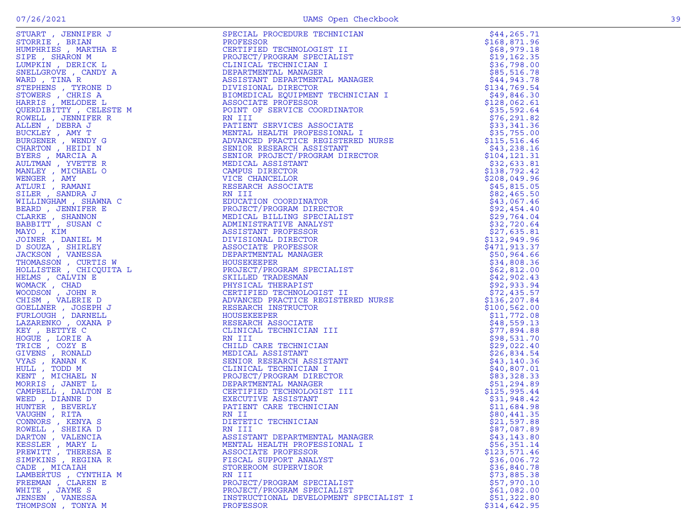| STUART , JENNIFER J                                                   | SPECIAL PROCEDURE TECHNICIAN                                                                                                                                                                                                                                                | \$44, 265.71  |
|-----------------------------------------------------------------------|-----------------------------------------------------------------------------------------------------------------------------------------------------------------------------------------------------------------------------------------------------------------------------|---------------|
| STORRIE, BRIAN                                                        | PROFESSOR<br>CERTIFIED TECHNOLOGIST II<br>CERTIFIED TECHNOLOGIST II<br>CLINICAL TECHNICIAN I<br>DEPARTMENTAL MANAGER<br>ASSISTANT DEPARTMENTAL MANAGER<br>DIVISIONAL DIRECTOR<br>RIONISIONAL DIRECTOR<br>RIOMEDICAL EQUIPMENT TECHNICIAN I                                  | \$168,871.96  |
| HUMPHRIES, MARTHA E                                                   |                                                                                                                                                                                                                                                                             | \$68,979.18   |
| SIPE, SHARON M                                                        |                                                                                                                                                                                                                                                                             | \$19, 162.35  |
| LUMPKIN, DERICK L                                                     | TECHNICIAL TECHNICIAL<br>DEPARTMENTAL MANAGE<br>ASSISTANT DEPARTMENT<br>DIVISIONAL DIRECTOR<br>BIOMEDICAL EQUIPMENT<br>ASSOCIATE                                                                                                                                            | \$36,798.00   |
| SNELLGROVE , CANDY A                                                  |                                                                                                                                                                                                                                                                             | \$85,516.78   |
| WARD, TINA R                                                          |                                                                                                                                                                                                                                                                             | \$44,943.78   |
| STEPHENS , TYRONE D                                                   |                                                                                                                                                                                                                                                                             | \$134,769.54  |
| STOWERS, CHRIS A                                                      |                                                                                                                                                                                                                                                                             | \$49,846.30   |
| HARRIS, MELODEE L                                                     |                                                                                                                                                                                                                                                                             | \$128,062.61  |
| QUERDIBITTY, CELESTE M                                                |                                                                                                                                                                                                                                                                             | \$35,592.64   |
| ROWELL , JENNIFER R                                                   |                                                                                                                                                                                                                                                                             | \$76, 291.82  |
| ALLEN, DEBRA J                                                        |                                                                                                                                                                                                                                                                             | \$33,341.36   |
| BUCKLEY , AMY T                                                       |                                                                                                                                                                                                                                                                             | \$35,755.00   |
| BURGENER , WENDY G                                                    |                                                                                                                                                                                                                                                                             | \$115, 516.46 |
| CHARTON, HEIDI N                                                      |                                                                                                                                                                                                                                                                             | \$43,238.16   |
| BYERS, MARCIA A                                                       |                                                                                                                                                                                                                                                                             | \$104,121.31  |
| AULTMAN, YVETTE R                                                     |                                                                                                                                                                                                                                                                             | \$32,633.81   |
| MANLEY, MICHAEL O                                                     |                                                                                                                                                                                                                                                                             | \$138,792.42  |
| WENGER, AMY                                                           |                                                                                                                                                                                                                                                                             | \$208,049.96  |
| ATLURI , RAMANI                                                       |                                                                                                                                                                                                                                                                             | \$45,815.05   |
| SILER, SANDRA J                                                       |                                                                                                                                                                                                                                                                             | \$82,465.50   |
| WILLINGHAM , SHAWNA C                                                 |                                                                                                                                                                                                                                                                             | \$43,067.46   |
| BEARD, JENNIFER E                                                     |                                                                                                                                                                                                                                                                             | \$92,454.40   |
| CLARKE, SHANNON                                                       | AND THE MELTING CORDINATOR<br>PATIENT SERVICES ASSOCIATE<br>MENTAL HEALTH PROFESSIONAL I<br>ADVANCED PRACTICE REGISTERED NURSE<br>SENIOR RESEARCH ASSISTANT<br>SENIOR PROJECT/PROGRAM DIRECTOR<br>MEDICAL ASSISTANT<br>CAMPUS DIRECTOR<br>TLE<br>MEDICAL BILLING SPECIALIST | \$29,764.04   |
| BABBITT, SUSAN C                                                      | ADMINISTRATIVE ANALYST                                                                                                                                                                                                                                                      | \$32,720.64   |
| MAYO, KIM                                                             | ASSISTANT PROFESSOR                                                                                                                                                                                                                                                         | \$27,635.81   |
| JOINER, DANIEL M                                                      | DIVISIONAL DIRECTOR                                                                                                                                                                                                                                                         | \$132,949.96  |
| D SOUZA , SHIRLEY                                                     | ASSOCIATE PROFESSOR                                                                                                                                                                                                                                                         | \$471,913.37  |
| $\begin{array}{ccc}\nC & & & \\ \end{array}$ TA L<br>JACKSON, VANESSA | DEPARTMENTAL MANAGER<br>DEPARTMENT<br>HOUSEKEEPER<br>PROJECT/PROG<br>SKILLED TRA<br>PHYSICAL TH                                                                                                                                                                             | \$50,964.66   |
| THOMASSON, CURTIS W                                                   | DEPARTMENT<br>HOUSEKEEPER<br>SKILLED TRADESMAN<br>HYSTCAL THERAPIST<br>CERTIFIED TECHNOLOGIST II<br>ADVANCED PRACTICE REGISTERED NURSE<br>PECEARCH INSTRUCTOR                                                                                                               | \$34,808.36   |
| HOLLISTER , CHICQUITA L                                               |                                                                                                                                                                                                                                                                             | \$62,812.00   |
| HELMS, CALVIN E                                                       |                                                                                                                                                                                                                                                                             | \$42,902.43   |
| WOMACK, CHAD                                                          |                                                                                                                                                                                                                                                                             | \$92,933.94   |
| WOODSON, JOHN R                                                       |                                                                                                                                                                                                                                                                             | \$72,435.57   |
| CHISM, VALERIE D                                                      |                                                                                                                                                                                                                                                                             | \$136,207.84  |
| GOELLNER, JOSEPH J                                                    |                                                                                                                                                                                                                                                                             | \$100, 562.00 |
| FURLOUGH, DARNELL                                                     | HOUSEKEEPER                                                                                                                                                                                                                                                                 | \$11,772.08   |
| LAZARENKO, OXANA P                                                    | RESEARCH ASSOCIATE                                                                                                                                                                                                                                                          | \$48,559.13   |
| KEY, BETTYE C                                                         | CLINICAL TECHNICIAN III                                                                                                                                                                                                                                                     | \$77,894.88   |
| HOGUE , LORIE A                                                       | RN III                                                                                                                                                                                                                                                                      | \$98,531.70   |
| TRICE, COZY E                                                         | CHILD CARE TECHNICIAN                                                                                                                                                                                                                                                       | \$29,022.40   |
| GIVENS , RONALD                                                       | MEDICAL ASSISTANT                                                                                                                                                                                                                                                           | \$26,834.54   |
| VYAS , KANAN K                                                        | SENIOR RESEARCH ASSISTANT                                                                                                                                                                                                                                                   | \$43,140.36   |
| HULL, TODD M                                                          | CLINICAL TECHNICIAN I                                                                                                                                                                                                                                                       | \$40,807.01   |
| KENT, MICHAEL N                                                       | PROJECT/PROGRAM DIRECTOR                                                                                                                                                                                                                                                    | \$83,328.33   |
| MORRIS, JANET L                                                       | DEPARTMENTAL MANAGER                                                                                                                                                                                                                                                        | \$51,294.89   |
| CAMPBELL , DALTON E                                                   | CERTIFIED TECHNOLOGIST III                                                                                                                                                                                                                                                  | \$125,995.44  |
| WEED, DIANNE D                                                        | <b>EXECUTIVE ASSISTANT</b>                                                                                                                                                                                                                                                  | \$31,948.42   |
| HUNTER , BEVERLY                                                      | PATIENT CARE TECHNICIAN                                                                                                                                                                                                                                                     | \$11,684.98   |
| VAUGHN, RITA                                                          | RN II                                                                                                                                                                                                                                                                       | \$80,441.35   |
| CONNORS, KENYA S                                                      | DIETETIC TECHNICIAN                                                                                                                                                                                                                                                         | \$21,597.88   |
| ROWELL , SHEIKA D                                                     | RN III                                                                                                                                                                                                                                                                      | \$87,087.89   |
| DARTON, VALENCIA                                                      | ASSISTANT DEPARTMENTAL MANAGER                                                                                                                                                                                                                                              | \$43, 143.80  |
| KESSLER , MARY L                                                      | MENTAL HEALTH PROFESSIONAL I                                                                                                                                                                                                                                                | \$56,351.14   |
| PREWITT , THERESA E                                                   | ASSOCIATE PROFESSOR                                                                                                                                                                                                                                                         | \$123,571.46  |
| SIMPKINS, REGINA R                                                    | FISCAL SUPPORT ANALYST                                                                                                                                                                                                                                                      | \$36,006.72   |
| CADE, MICAIAH                                                         | STOREROOM SUPERVISOR                                                                                                                                                                                                                                                        | \$36,840.78   |
| LAMBERTUS, CYNTHIA M                                                  | RN III                                                                                                                                                                                                                                                                      | \$73,885.38   |
| FREEMAN, CLAREN E                                                     | PROJECT/PROGRAM SPECIALIST                                                                                                                                                                                                                                                  | \$57,970.10   |
| WHITE, JAYME S                                                        | PROJECT/PROGRAM SPECIALIST                                                                                                                                                                                                                                                  | \$61,082.00   |
| JENSEN, VANESSA                                                       | INSTRUCTIONAL DEVELOPMENT SPECIALIST I                                                                                                                                                                                                                                      | \$51,322.80   |
| THOMPSON, TONYA M                                                     | PROFESSOR                                                                                                                                                                                                                                                                   | \$314,642.95  |
|                                                                       |                                                                                                                                                                                                                                                                             |               |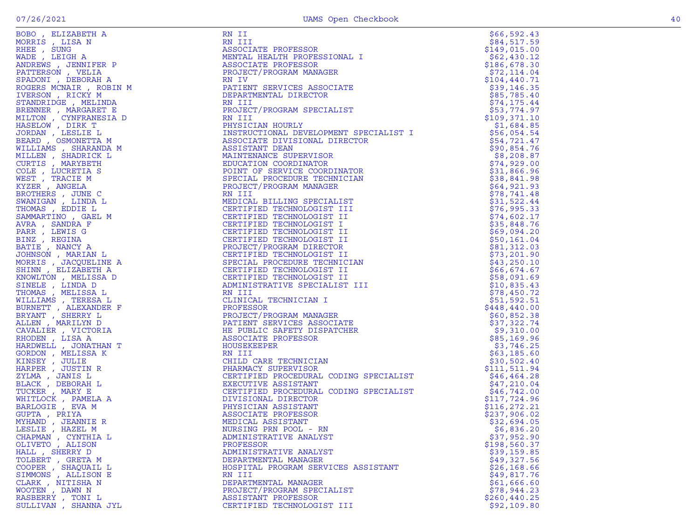| BOBO, ELIZABETH A                     | RN II                                                             | \$66,592.43                |
|---------------------------------------|-------------------------------------------------------------------|----------------------------|
| MORRIS, LISA N                        | RN III                                                            | \$84,517.59                |
| RHEE, SUNG                            | ASSOCIATE PROFESSOR                                               | \$149,015.00               |
| WADE, LEIGH A                         | MENTAL HEALTH PROFESSIONAL I                                      | \$62,430.12                |
| ANDREWS, JENNIFER P                   | ASSOCIATE PROFESSOR                                               | \$186,678.30               |
| PATTERSON, VELIA                      | PROJECT/PROGRAM MANAGER                                           | \$72,114.04                |
| SPADONI , DEBORAH A                   | RN IV                                                             | \$104, 440.71              |
| ROGERS MCNAIR , ROBIN M               | PATIENT SERVICES ASSOCIATE                                        | \$39,146.35                |
| IVERSON, RICKY M                      | DEPARTMENTAL DIRECTOR                                             | \$85,785.40                |
| STANDRIDGE , MELINDA                  | RN III                                                            | \$74, 175.44               |
| BRENNER , MARGARET E                  | PROJECT/PROGRAM SPECIALIST                                        | \$53,774.97                |
| MILTON , CYNFRANESIA D                | RN III                                                            | \$109,371.10               |
| HASELOW, DIRK T                       | PHYSICIAN HOURLY<br>ENT SPECIALIST I<br>IRECTOR<br>NATOR<br>ICIAN | \$1,684.85                 |
| JORDAN , LESLIE L                     | INSTRUCTIONAL DEVELOPMENT SPECIALIST I                            | \$56,054.54                |
| BEARD, OSMONETTA M                    | ASSOCIATE DIVISIONAL DIRECTOR                                     | \$54,721.47                |
| WILLIAMS, SHARANDA M                  | ASSISTANT DEAN                                                    | \$90,854.76                |
| MILLEN, SHADRICK L                    | MAINTENANCE SUPERVISOR                                            | \$8,208.87                 |
| CURTIS, MARYBETH                      | EDUCATION COORDINATOR                                             | \$74,929.00                |
| COLE, LUCRETIA S                      | POINT OF SERVICE COORDINATOR                                      | \$31,866.96                |
| WEST, TRACIE M                        | SPECIAL PROCEDURE TECHNICIAN                                      | \$38,841.98                |
| KYZER , ANGELA                        | PROJECT/PROGRAM MANAGER                                           | \$64,921.93                |
| BROTHERS, JUNE C                      | RN III                                                            | \$78,741.48                |
| SWANIGAN , LINDA L                    | MEDICAL BILLING SPECIALIST                                        | \$31,522.44                |
| THOMAS, EDDIE L<br>SAMMARTINO, GAEL M | CERTIFIED TECHNOLOGIST III<br>CERTIFIED TECHNOLOGIST II           | \$76,995.33<br>\$74,602.17 |
| AVRA, SANDRA F                        | CERTIFIED TECHNOLOGIST I                                          | \$35,848.76                |
| PARR, LEWIS G                         | CERTIFIED TECHNOLOGIST II                                         | \$69,094.20                |
| BINZ, REGINA                          | CERTIFIED TECHNOLOGIST II                                         | \$50,161.04                |
| BATIE, NANCY A                        | PROJECT/PROGRAM DIRECTOR                                          | \$81,312.03                |
| JOHNSON, MARIAN L                     | CERTIFIED TECHNOLOGIST II                                         | \$73,201.90                |
| MORRIS, JACQUELINE A                  | SPECIAL PROCEDURE TECHNICIAN                                      | \$43,250.10                |
| SHINN, ELIZABETH A                    | CERTIFIED TECHNOLOGIST II                                         | \$66,674.67                |
| KNOWLTON , MELISSA D                  | CERTIFIED TECHNOLOGIST II                                         | \$58,091.69                |
| SINELE , LINDA D                      | ADMINISTRATIVE SPECIALIST III                                     | \$10,835.43                |
| THOMAS , MELISSA L                    | RN III                                                            | \$78,450.72                |
| WILLIAMS , TERESA L                   | CLINICAL TECHNICIAN I                                             | \$51,592.51                |
| BURNETT , ALEXANDER F                 | PROFESSOR                                                         | \$448,440.00               |
| BRYANT, SHERRY L                      | PROJECT/PROGRAM MANAGER                                           | \$60,852.38                |
| ALLEN, MARILYN D                      | PATIENT SERVICES ASSOCIATE                                        | \$37,322.74                |
| CAVALIER , VICTORIA                   | HE PUBLIC SAFETY DISPATCHER                                       | \$9,310.00                 |
| RHODEN, LISA A                        | ASSOCIATE PROFESSOR                                               | \$85,169.96                |
| HARDWELL , JONATHAN T                 | HOUSEKEEPER                                                       | \$3,746.25                 |
| GORDON, MELISSA K                     | RN III                                                            | \$63,185.60                |
| KINSEY, JULIE                         | CHILD CARE TECHNICIAN<br>PHARMACY SUPERVISOR                      | \$30,502.40                |
| HARPER, JUSTIN R                      |                                                                   | \$111,511.94               |
| ZYLMA , JANIS L                       | CERTIFIED PROCEDURAL CODING SPECIALIST                            | \$46,464.28                |
| BLACK , DEBORAH L                     | EXECUTIVE ASSISTANT                                               | \$47,210.04                |
| TUCKER, MARY E                        | CERTIFIED PROCEDURAL CODING SPECIALIST                            | \$46,742.00                |
| WHITLOCK, PAMELA A                    | DIVISIONAL DIRECTOR                                               | \$117,724.96               |
| BARLOGIE , EVA M                      | PHYSICIAN ASSISTANT                                               | \$116, 272.21              |
| GUPTA, PRIYA                          | ASSOCIATE PROFESSOR                                               | \$237,906.02               |
| MYHAND, JEANNIE R                     | MEDICAL ASSISTANT                                                 | \$32,694.05                |
| LESLIE, HAZEL M                       | NURSING PRN POOL - RN                                             | \$6,836.20                 |
| CHAPMAN , CYNTHIA L                   | ADMINISTRATIVE ANALYST                                            | \$37,952.90                |
| OLIVETO, ALISON                       | PROFESSOR                                                         | \$198,560.37               |
| HALL , SHERRY D                       | ADMINISTRATIVE ANALYST                                            | \$39,159.85                |
| TOLBERT, GRETA M                      | DEPARTMENTAL MANAGER                                              | \$49,327.56                |
| COOPER , SHAQUAIL L                   | HOSPITAL PROGRAM SERVICES ASSISTANT                               | \$26,168.66                |
| SIMMONS , ALLISON E                   | RN III                                                            | \$49,817.76                |
| CLARK, NITISHA N                      | DEPARTMENTAL MANAGER                                              | \$61,666.60<br>\$78,944.23 |
| WOOTEN, DAWN N                        | PROJECT/PROGRAM SPECIALIST<br>ASSISTANT PROFESSOR                 | \$260, 440.25              |
| RASBERRY , TONI L                     | CERTIFIED TECHNOLOGIST III                                        | \$92,109.80                |
| SULLIVAN, SHANNA JYL                  |                                                                   |                            |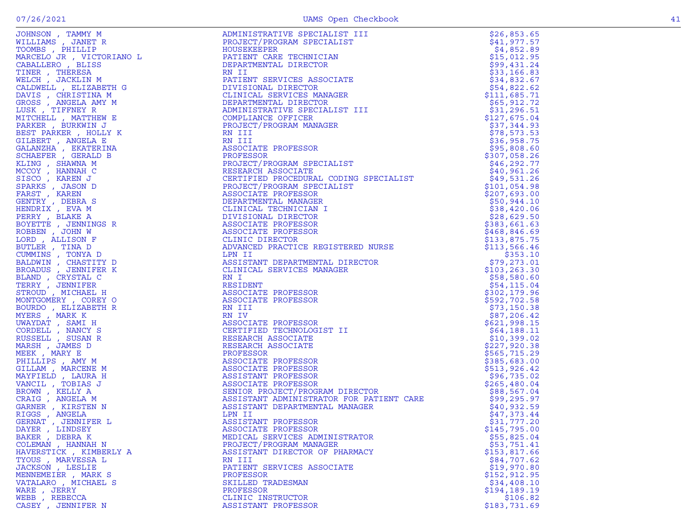|                                                                                                                                                                                                  | ADMINISTRATIVE SPECIALIST III                                                                                                                                                                                                                             |               |
|--------------------------------------------------------------------------------------------------------------------------------------------------------------------------------------------------|-----------------------------------------------------------------------------------------------------------------------------------------------------------------------------------------------------------------------------------------------------------|---------------|
| JOHNSON, TAMMY M                                                                                                                                                                                 |                                                                                                                                                                                                                                                           | \$26,853.65   |
| WILLIAMS, JANET R                                                                                                                                                                                | PROJECT/PROGRAM SPECIALIST                                                                                                                                                                                                                                | \$41,977.57   |
| TOOMBS , PHILLIP                                                                                                                                                                                 | HOUSEKEEPER                                                                                                                                                                                                                                               | \$4,852.89    |
| MARCELO JR , VICTORIANO L<br>CABALLERO , BLISS<br>TINER , THERESA<br>WELCH , JACKLIN M<br>CALDWELL , ELIZABETH G<br>DAVIS , CHRISTINA M<br>GROSS , ANGELA AMY M<br>LUSK , TIFFNEY R<br>MUTCULT . |                                                                                                                                                                                                                                                           | \$15,012.95   |
|                                                                                                                                                                                                  | PATIENT CARE TECHNICIAN<br>DEPARTMENTAL DIRECTOR                                                                                                                                                                                                          |               |
|                                                                                                                                                                                                  |                                                                                                                                                                                                                                                           | \$99,431.24   |
|                                                                                                                                                                                                  | RN II<br>PATIENT SERVICES ASSOCIATE<br>DIVISIONAL DIRECTOR<br>CLINICAL SERVICES MANAGER                                                                                                                                                                   | \$33,166.83   |
|                                                                                                                                                                                                  |                                                                                                                                                                                                                                                           | \$34,832.67   |
|                                                                                                                                                                                                  |                                                                                                                                                                                                                                                           |               |
|                                                                                                                                                                                                  |                                                                                                                                                                                                                                                           | \$54,822.62   |
|                                                                                                                                                                                                  |                                                                                                                                                                                                                                                           | \$111,685.71  |
|                                                                                                                                                                                                  | DEPARTMENTAL DIRECTOR                                                                                                                                                                                                                                     | \$65,912.72   |
|                                                                                                                                                                                                  |                                                                                                                                                                                                                                                           |               |
|                                                                                                                                                                                                  | ADMINISTRATIVE SPECIALIST III                                                                                                                                                                                                                             | \$31,296.51   |
| MITCHELL, MATTHEW E                                                                                                                                                                              | COMPLIANCE OFFICER                                                                                                                                                                                                                                        | \$127,675.04  |
| PARKER, BURKWIN J                                                                                                                                                                                | PROJECT/PROGRAM MANAGER                                                                                                                                                                                                                                   | \$37,344.93   |
|                                                                                                                                                                                                  | RN III                                                                                                                                                                                                                                                    |               |
| BEST PARKER, HOLLY K                                                                                                                                                                             |                                                                                                                                                                                                                                                           | \$78,573.53   |
| GILBERT , ANGELA E                                                                                                                                                                               | RN III                                                                                                                                                                                                                                                    | \$36,958.75   |
| GALANZHA , EKATERINA                                                                                                                                                                             | ASSOCIATE PROFESSOR                                                                                                                                                                                                                                       | \$95,808.60   |
| SCHAEFER, GERALD B                                                                                                                                                                               | PROFESSOR                                                                                                                                                                                                                                                 | \$307,058.26  |
|                                                                                                                                                                                                  | PROJECT/PROGRAM SPECIALIST<br>RESEARCH ASSOCIATE                                                                                                                                                                                                          |               |
| KLING, SHAWNA M                                                                                                                                                                                  |                                                                                                                                                                                                                                                           | \$46, 292.77  |
| MCCOY, HANNAH C                                                                                                                                                                                  |                                                                                                                                                                                                                                                           | \$40,961.26   |
| SISCO, KAREN J                                                                                                                                                                                   | CERTIFIED PROCEDURAL CODING SPECIALIST                                                                                                                                                                                                                    | \$49,531.26   |
|                                                                                                                                                                                                  |                                                                                                                                                                                                                                                           |               |
| SPARKS, JASON D                                                                                                                                                                                  |                                                                                                                                                                                                                                                           | \$101,054.98  |
| FARST, KAREN                                                                                                                                                                                     |                                                                                                                                                                                                                                                           | \$207,693.00  |
| GENTRY , DEBRA S                                                                                                                                                                                 |                                                                                                                                                                                                                                                           | \$50,944.10   |
|                                                                                                                                                                                                  |                                                                                                                                                                                                                                                           |               |
| HENDRIX, EVA M                                                                                                                                                                                   |                                                                                                                                                                                                                                                           | \$38,420.06   |
| PERRY , BLAKE A                                                                                                                                                                                  |                                                                                                                                                                                                                                                           | \$28,629.50   |
| BOYETTE , JENNINGS R                                                                                                                                                                             |                                                                                                                                                                                                                                                           | \$383,661.63  |
|                                                                                                                                                                                                  |                                                                                                                                                                                                                                                           |               |
| ROBBEN, JOHN W                                                                                                                                                                                   |                                                                                                                                                                                                                                                           | \$468,846.69  |
| LORD, ALLISON F                                                                                                                                                                                  | CERTIFIED PROCEDURAL CODING SPECIALIST<br>PROJECT/PROGRAM SPECIALIST<br>ASSOCIATE PROFESSOR<br>DEPARTMENTAL MANAGER<br>CLINICAL TECHNICIAN I<br>DIVISIONAL DIRECTOR<br>ASSOCIATE PROFESSOR<br>ASSOCIATE PROFESSOR<br>CLINIC DIRECTOR<br>ADVANCED PRACTICE | \$133,875.75  |
| BUTLER, TINA D                                                                                                                                                                                   |                                                                                                                                                                                                                                                           | \$113,566.46  |
|                                                                                                                                                                                                  | LPN II                                                                                                                                                                                                                                                    |               |
| CUMMINS, TONYA D                                                                                                                                                                                 |                                                                                                                                                                                                                                                           | \$353.10      |
| BALDWIN, CHASTITY D                                                                                                                                                                              | ASSISTANT DEPARTMENTAL DIRECTOR                                                                                                                                                                                                                           | \$79, 273.01  |
| BROADUS, JENNIFER K                                                                                                                                                                              | CLINICAL SERVICES MANAGER                                                                                                                                                                                                                                 | \$103, 263.30 |
| BLAND , CRYSTAL C                                                                                                                                                                                | RN I                                                                                                                                                                                                                                                      | \$58,580.60   |
|                                                                                                                                                                                                  |                                                                                                                                                                                                                                                           |               |
| TERRY, JENNIFER                                                                                                                                                                                  | RESIDENT                                                                                                                                                                                                                                                  | \$54,115.04   |
| STROUD, MICHAEL H                                                                                                                                                                                | ASSOCIATE PROFESSOR                                                                                                                                                                                                                                       | \$302,179.96  |
| MONTGOMERY, COREY O                                                                                                                                                                              | ASSOCIATE PROFESSOR                                                                                                                                                                                                                                       | \$592,702.58  |
|                                                                                                                                                                                                  |                                                                                                                                                                                                                                                           |               |
| BOURDO, ELIZABETH R                                                                                                                                                                              | RSSOUIA<br>RN III                                                                                                                                                                                                                                         | \$73,150.38   |
| MYERS, MARK K                                                                                                                                                                                    | RN IV                                                                                                                                                                                                                                                     | \$87,206.42   |
| UWAYDAT, SAMI H                                                                                                                                                                                  |                                                                                                                                                                                                                                                           | \$621,998.15  |
|                                                                                                                                                                                                  | ASSOCIATE PROFESSOR<br>CERTIFIED TECHNOLOGI                                                                                                                                                                                                               |               |
| CORDELL , NANCY S                                                                                                                                                                                | CERTIFIED TECHNOLOGIST II                                                                                                                                                                                                                                 | \$64,188.11   |
| RUSSELL, SUSAN R                                                                                                                                                                                 | RESEARCH ASSOCIATE                                                                                                                                                                                                                                        | \$10,399.02   |
| MARSH, JAMES D                                                                                                                                                                                   | RESEARCH ASSOCIATE                                                                                                                                                                                                                                        | \$227,920.38  |
|                                                                                                                                                                                                  |                                                                                                                                                                                                                                                           |               |
| MEEK, MARY E                                                                                                                                                                                     | PROFESSOR                                                                                                                                                                                                                                                 | \$565,715.29  |
| PHILLIPS, AMY M                                                                                                                                                                                  |                                                                                                                                                                                                                                                           | \$385,683.00  |
| GILLAM, MARCENE M                                                                                                                                                                                |                                                                                                                                                                                                                                                           | \$513, 926.42 |
|                                                                                                                                                                                                  |                                                                                                                                                                                                                                                           | \$96,735.02   |
| MAYFIELD, LAURA H                                                                                                                                                                                |                                                                                                                                                                                                                                                           |               |
| VANCIL, TOBIAS J                                                                                                                                                                                 |                                                                                                                                                                                                                                                           | \$265,480.04  |
| BROWN, KELLY A                                                                                                                                                                                   |                                                                                                                                                                                                                                                           | \$88,567.04   |
| CRAIG, ANGELA M                                                                                                                                                                                  | FRUEDSON<br>ASSOCIATE PROFESSOR<br>ASSOCIATE PROFESSOR<br>ASSISTANT PROFESSOR<br>ASSOCIATE PROFESSOR<br>SENIOR PROJECT/PROGRAM DIRECTOR<br>ASSISTANT ADMINISTRATOR FOR PATIENT CARE<br>ASSISTANT ADMINISTRATOR FOR PATIENT CARE                           | \$99,295.97   |
|                                                                                                                                                                                                  |                                                                                                                                                                                                                                                           |               |
| GARNER , KIRSTEN N                                                                                                                                                                               | ASSISTANT DEPARTMENTAL MANAGER                                                                                                                                                                                                                            | \$40,932.59   |
| RIGGS , ANGELA                                                                                                                                                                                   | LPN II                                                                                                                                                                                                                                                    | \$47,373.44   |
| GERNAT , JENNIFER L                                                                                                                                                                              | ASSISTANT PROFESSOR                                                                                                                                                                                                                                       | \$31,777.20   |
|                                                                                                                                                                                                  |                                                                                                                                                                                                                                                           |               |
| DAYER, LINDSEY                                                                                                                                                                                   | ASSOCIATE PROFESSOR                                                                                                                                                                                                                                       | \$145,795.00  |
| BAKER, DEBRAK                                                                                                                                                                                    | MEDICAL SERVICES ADMINISTRATOR                                                                                                                                                                                                                            | \$55,825.04   |
| COLEMAN, HANNAH N                                                                                                                                                                                | PROJECT/PROGRAM MANAGER                                                                                                                                                                                                                                   | \$53,751.41   |
|                                                                                                                                                                                                  |                                                                                                                                                                                                                                                           |               |
| HAVERSTICK, KIMBERLY A                                                                                                                                                                           | ASSISTANT DIRECTOR OF PHARMACY                                                                                                                                                                                                                            | \$153,817.66  |
| TYOUS, MARVESSA L                                                                                                                                                                                | RN III                                                                                                                                                                                                                                                    | \$84,707.62   |
| JACKSON, LESLIE                                                                                                                                                                                  | PATIENT SERVICES ASSOCIATE                                                                                                                                                                                                                                | \$19,970.80   |
| MENNEMEIER, MARK S                                                                                                                                                                               | PROFESSOR                                                                                                                                                                                                                                                 | \$152, 912.95 |
|                                                                                                                                                                                                  |                                                                                                                                                                                                                                                           |               |
| VATALARO, MICHAEL S                                                                                                                                                                              | SKILLED TRADESMAN                                                                                                                                                                                                                                         | \$34,408.10   |
| WARE, JERRY                                                                                                                                                                                      | PROFESSOR                                                                                                                                                                                                                                                 | \$194,189.19  |
| WEBB, REBECCA                                                                                                                                                                                    | CLINIC INSTRUCTOR                                                                                                                                                                                                                                         | \$106.82      |
|                                                                                                                                                                                                  |                                                                                                                                                                                                                                                           |               |
| CASEY, JENNIFER N                                                                                                                                                                                | ASSISTANT PROFESSOR                                                                                                                                                                                                                                       | \$183,731.69  |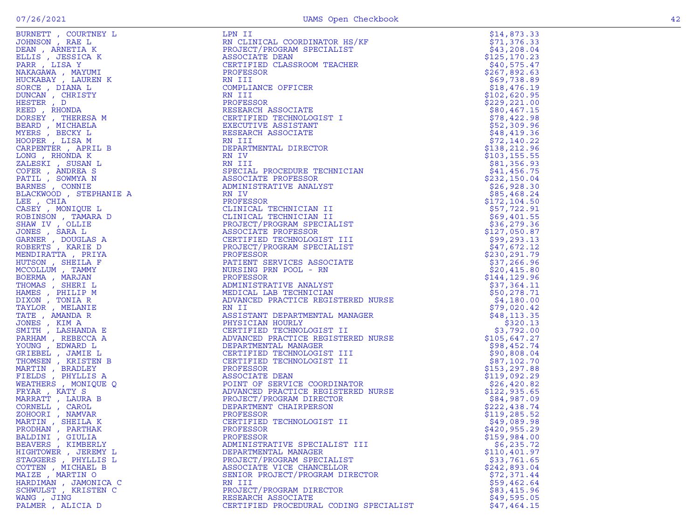| $\begin{tabular}{c c c c} \multicolumn{4}{c}{\textbf{F00a}}\hline \multicolumn{4}{c}{\textbf{F00a}}\hline \multicolumn{4}{c}{\textbf{F00a}}\hline \multicolumn{4}{c}{\textbf{R0a}}\hline \multicolumn{4}{c}{\textbf{R0a}}\hline \multicolumn{4}{c}{\textbf{R0a}}\hline \multicolumn{4}{c}{\textbf{R0a}}\hline \multicolumn{4}{c}{\textbf{R0a}}\hline \multicolumn{4}{c}{\textbf{R0a}}\hline \multicolumn{4}{c}{\textbf{R$ |                                        |              |
|---------------------------------------------------------------------------------------------------------------------------------------------------------------------------------------------------------------------------------------------------------------------------------------------------------------------------------------------------------------------------------------------------------------------------|----------------------------------------|--------------|
|                                                                                                                                                                                                                                                                                                                                                                                                                           |                                        |              |
|                                                                                                                                                                                                                                                                                                                                                                                                                           |                                        |              |
|                                                                                                                                                                                                                                                                                                                                                                                                                           |                                        |              |
|                                                                                                                                                                                                                                                                                                                                                                                                                           |                                        |              |
|                                                                                                                                                                                                                                                                                                                                                                                                                           |                                        |              |
|                                                                                                                                                                                                                                                                                                                                                                                                                           |                                        |              |
|                                                                                                                                                                                                                                                                                                                                                                                                                           |                                        |              |
|                                                                                                                                                                                                                                                                                                                                                                                                                           |                                        |              |
|                                                                                                                                                                                                                                                                                                                                                                                                                           |                                        |              |
|                                                                                                                                                                                                                                                                                                                                                                                                                           |                                        |              |
|                                                                                                                                                                                                                                                                                                                                                                                                                           |                                        |              |
|                                                                                                                                                                                                                                                                                                                                                                                                                           |                                        |              |
|                                                                                                                                                                                                                                                                                                                                                                                                                           |                                        |              |
|                                                                                                                                                                                                                                                                                                                                                                                                                           |                                        |              |
|                                                                                                                                                                                                                                                                                                                                                                                                                           |                                        |              |
|                                                                                                                                                                                                                                                                                                                                                                                                                           |                                        |              |
|                                                                                                                                                                                                                                                                                                                                                                                                                           |                                        |              |
|                                                                                                                                                                                                                                                                                                                                                                                                                           |                                        |              |
|                                                                                                                                                                                                                                                                                                                                                                                                                           |                                        |              |
|                                                                                                                                                                                                                                                                                                                                                                                                                           |                                        |              |
|                                                                                                                                                                                                                                                                                                                                                                                                                           |                                        |              |
|                                                                                                                                                                                                                                                                                                                                                                                                                           |                                        |              |
|                                                                                                                                                                                                                                                                                                                                                                                                                           |                                        |              |
|                                                                                                                                                                                                                                                                                                                                                                                                                           |                                        |              |
|                                                                                                                                                                                                                                                                                                                                                                                                                           |                                        |              |
|                                                                                                                                                                                                                                                                                                                                                                                                                           |                                        |              |
|                                                                                                                                                                                                                                                                                                                                                                                                                           |                                        |              |
|                                                                                                                                                                                                                                                                                                                                                                                                                           |                                        |              |
|                                                                                                                                                                                                                                                                                                                                                                                                                           |                                        |              |
|                                                                                                                                                                                                                                                                                                                                                                                                                           |                                        |              |
|                                                                                                                                                                                                                                                                                                                                                                                                                           |                                        |              |
|                                                                                                                                                                                                                                                                                                                                                                                                                           |                                        |              |
|                                                                                                                                                                                                                                                                                                                                                                                                                           |                                        |              |
|                                                                                                                                                                                                                                                                                                                                                                                                                           |                                        |              |
|                                                                                                                                                                                                                                                                                                                                                                                                                           |                                        |              |
|                                                                                                                                                                                                                                                                                                                                                                                                                           |                                        |              |
|                                                                                                                                                                                                                                                                                                                                                                                                                           |                                        |              |
|                                                                                                                                                                                                                                                                                                                                                                                                                           |                                        |              |
|                                                                                                                                                                                                                                                                                                                                                                                                                           |                                        |              |
|                                                                                                                                                                                                                                                                                                                                                                                                                           |                                        |              |
|                                                                                                                                                                                                                                                                                                                                                                                                                           |                                        |              |
|                                                                                                                                                                                                                                                                                                                                                                                                                           |                                        |              |
|                                                                                                                                                                                                                                                                                                                                                                                                                           |                                        |              |
|                                                                                                                                                                                                                                                                                                                                                                                                                           |                                        |              |
|                                                                                                                                                                                                                                                                                                                                                                                                                           |                                        |              |
|                                                                                                                                                                                                                                                                                                                                                                                                                           |                                        |              |
|                                                                                                                                                                                                                                                                                                                                                                                                                           |                                        |              |
|                                                                                                                                                                                                                                                                                                                                                                                                                           |                                        |              |
|                                                                                                                                                                                                                                                                                                                                                                                                                           |                                        |              |
|                                                                                                                                                                                                                                                                                                                                                                                                                           |                                        |              |
|                                                                                                                                                                                                                                                                                                                                                                                                                           |                                        |              |
|                                                                                                                                                                                                                                                                                                                                                                                                                           |                                        |              |
|                                                                                                                                                                                                                                                                                                                                                                                                                           |                                        |              |
|                                                                                                                                                                                                                                                                                                                                                                                                                           |                                        |              |
| HIGHTOWER, JEREMY L                                                                                                                                                                                                                                                                                                                                                                                                       |                                        |              |
| STAGGERS , PHYLLIS L                                                                                                                                                                                                                                                                                                                                                                                                      |                                        |              |
| COTTEN, MICHAEL B                                                                                                                                                                                                                                                                                                                                                                                                         | ASSOCIATE VICE CHANCELLOR              | \$242,893.04 |
| MAIZE , MARTIN O                                                                                                                                                                                                                                                                                                                                                                                                          | SENIOR PROJECT/PROGRAM DIRECTOR        | \$72,371.44  |
| HARDIMAN, JAMONICA C                                                                                                                                                                                                                                                                                                                                                                                                      | RN III                                 | \$59,462.64  |
| SCHWULST, KRISTEN C                                                                                                                                                                                                                                                                                                                                                                                                       | PROJECT/PROGRAM DIRECTOR               | \$83,415.96  |
| WANG, JING                                                                                                                                                                                                                                                                                                                                                                                                                | RESEARCH ASSOCIATE                     | \$49,595.05  |
| PALMER, ALICIA D                                                                                                                                                                                                                                                                                                                                                                                                          | CERTIFIED PROCEDURAL CODING SPECIALIST | \$47,464.15  |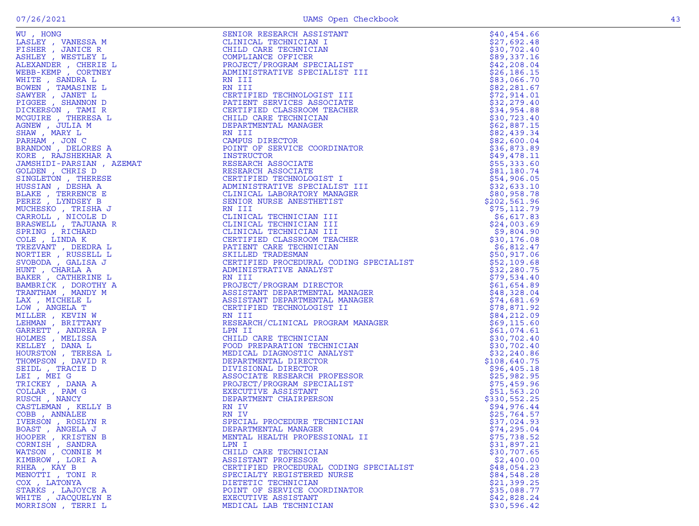|  | w |
|--|---|

| WO, HOMES AN INCREAST AND THE SERIENT AND THE SAMPLER AND A SERVE THE RANDER CHERIBE LANDS CHERIBE LOWING WEST LEXAMPLE DOWNTHR WHITE SAMPLER . THEAT AND INCREASE THE GRAPH AND THREE RANDOM TO THE SAMPLEM AND MANY LEXAMPLE | SENIOR RESEARCH ASSISTANT                                                                                                                                                                                                                                             | \$40,454.66  |
|--------------------------------------------------------------------------------------------------------------------------------------------------------------------------------------------------------------------------------|-----------------------------------------------------------------------------------------------------------------------------------------------------------------------------------------------------------------------------------------------------------------------|--------------|
|                                                                                                                                                                                                                                | CLINICAL TECHNICIAN I                                                                                                                                                                                                                                                 | \$27,692.48  |
|                                                                                                                                                                                                                                | CLINICAL TECHNICIAN<br>COMPLIANCE TECHNICIAN<br>COMPLIANCE OFFICER<br>PROJECT/PROGRAM SPECIALIST<br>ADMINISTRATIVE SPECIALIST III<br>RN III<br>RN III                                                                                                                 | \$30,702.40  |
|                                                                                                                                                                                                                                |                                                                                                                                                                                                                                                                       | \$89,337.16  |
|                                                                                                                                                                                                                                |                                                                                                                                                                                                                                                                       | \$42, 208.04 |
|                                                                                                                                                                                                                                |                                                                                                                                                                                                                                                                       | \$26, 186.15 |
|                                                                                                                                                                                                                                |                                                                                                                                                                                                                                                                       | \$83,066.70  |
|                                                                                                                                                                                                                                |                                                                                                                                                                                                                                                                       | \$82, 281.67 |
|                                                                                                                                                                                                                                |                                                                                                                                                                                                                                                                       | \$72,914.01  |
|                                                                                                                                                                                                                                | CERTIFIED TECHNOLOGIST III<br>PATIENT SERVICES ASSOCIATE<br>CEPTTETED CLASSPOOM TEACHER                                                                                                                                                                               | \$32,279.40  |
|                                                                                                                                                                                                                                |                                                                                                                                                                                                                                                                       | \$34,954.88  |
|                                                                                                                                                                                                                                |                                                                                                                                                                                                                                                                       | \$30,723.40  |
|                                                                                                                                                                                                                                |                                                                                                                                                                                                                                                                       | \$62,887.15  |
|                                                                                                                                                                                                                                |                                                                                                                                                                                                                                                                       | \$82,439.34  |
|                                                                                                                                                                                                                                |                                                                                                                                                                                                                                                                       | \$82,600.04  |
|                                                                                                                                                                                                                                |                                                                                                                                                                                                                                                                       | \$36,873.89  |
|                                                                                                                                                                                                                                | PUINT UP                                                                                                                                                                                                                                                              | \$49,478.11  |
|                                                                                                                                                                                                                                | RESEARCH ASSOCIATE<br>RESEARCH ASSOCIATE<br>CERTIFIED TECHNOLOG<br>ADMINISTRATIVE SPEC<br>CLINICAL LABORATORY                                                                                                                                                         | \$55,333.60  |
|                                                                                                                                                                                                                                |                                                                                                                                                                                                                                                                       | \$81,180.74  |
|                                                                                                                                                                                                                                |                                                                                                                                                                                                                                                                       | \$54,906.05  |
|                                                                                                                                                                                                                                |                                                                                                                                                                                                                                                                       | \$32,633.10  |
|                                                                                                                                                                                                                                |                                                                                                                                                                                                                                                                       | \$80,958.78  |
|                                                                                                                                                                                                                                |                                                                                                                                                                                                                                                                       | \$202,561.96 |
|                                                                                                                                                                                                                                |                                                                                                                                                                                                                                                                       | \$75, 112.79 |
|                                                                                                                                                                                                                                |                                                                                                                                                                                                                                                                       | \$6,617.83   |
|                                                                                                                                                                                                                                |                                                                                                                                                                                                                                                                       | \$24,003.69  |
|                                                                                                                                                                                                                                |                                                                                                                                                                                                                                                                       | \$9,804.90   |
|                                                                                                                                                                                                                                |                                                                                                                                                                                                                                                                       | \$30,176.08  |
|                                                                                                                                                                                                                                | RN III<br>RN III<br>RN III<br>RN III<br>CERTIFIED TECHNOLOGIST III<br>CERTIFIED CLASSROOM TEACHER<br>CERTIFIED CLASSROOM TEACHER<br>CHILD CRE TECHNOLOR<br>DEPARTMENTAL MANAGER<br>RN III<br>CAMPUS DIRECTOR<br>POINT OF SERVICE COORDINATOR<br>INSTRUCTOR<br>RESEARC | \$6,812.47   |
|                                                                                                                                                                                                                                |                                                                                                                                                                                                                                                                       | \$50,917.06  |
|                                                                                                                                                                                                                                |                                                                                                                                                                                                                                                                       | \$52,109.68  |
|                                                                                                                                                                                                                                |                                                                                                                                                                                                                                                                       | \$32,280.75  |
|                                                                                                                                                                                                                                |                                                                                                                                                                                                                                                                       | \$79,534.40  |
|                                                                                                                                                                                                                                |                                                                                                                                                                                                                                                                       | \$61,654.89  |
|                                                                                                                                                                                                                                |                                                                                                                                                                                                                                                                       | \$48,328.04  |
|                                                                                                                                                                                                                                |                                                                                                                                                                                                                                                                       | \$74,681.69  |
|                                                                                                                                                                                                                                |                                                                                                                                                                                                                                                                       | \$78,871.92  |
|                                                                                                                                                                                                                                |                                                                                                                                                                                                                                                                       | \$84,212.09  |
|                                                                                                                                                                                                                                |                                                                                                                                                                                                                                                                       | \$69,115.60  |
|                                                                                                                                                                                                                                |                                                                                                                                                                                                                                                                       | \$61,074.61  |
|                                                                                                                                                                                                                                |                                                                                                                                                                                                                                                                       | \$30,702.40  |
|                                                                                                                                                                                                                                |                                                                                                                                                                                                                                                                       | \$30,702.40  |
|                                                                                                                                                                                                                                |                                                                                                                                                                                                                                                                       | \$32, 240.86 |
|                                                                                                                                                                                                                                |                                                                                                                                                                                                                                                                       | \$108,640.75 |
|                                                                                                                                                                                                                                |                                                                                                                                                                                                                                                                       | \$96,405.18  |
|                                                                                                                                                                                                                                |                                                                                                                                                                                                                                                                       | \$25,982.95  |
|                                                                                                                                                                                                                                |                                                                                                                                                                                                                                                                       | \$75,459.96  |
|                                                                                                                                                                                                                                |                                                                                                                                                                                                                                                                       | \$51, 563.20 |
|                                                                                                                                                                                                                                | PATIENT CARE TECHNICIAN<br>SKILLED TRADESMAN<br>CERTIFIED PROCEDURAL CODING SPECIALIST<br>RN III<br>RN III<br>RN III<br>RN III<br>RN III<br>RN III<br>SKISTANT DEPARTMENTAL MANAGER<br>ASSISTANT DEPARTMENTAL MANAGER<br>CERTIFIED TECHNOLOGIST II<br>                | \$330,552.25 |
| CASTLEMAN, KELLY B                                                                                                                                                                                                             |                                                                                                                                                                                                                                                                       | \$94,976.44  |
| COBB, ANNALEE                                                                                                                                                                                                                  | RN IV                                                                                                                                                                                                                                                                 | \$25,764.57  |
| IVERSON, ROSLYN R                                                                                                                                                                                                              | SPECIAL PROCEDURE TECHNICIAN                                                                                                                                                                                                                                          | \$37,024.93  |
| BOAST, ANGELA J                                                                                                                                                                                                                | DEPARTMENTAL MANAGER                                                                                                                                                                                                                                                  | \$74,295.04  |
| HOOPER, KRISTEN B                                                                                                                                                                                                              | MENTAL HEALTH PROFESSIONAL II                                                                                                                                                                                                                                         | \$75,738.52  |
| CORNISH, SANDRA                                                                                                                                                                                                                | LPN I                                                                                                                                                                                                                                                                 | \$31,897.21  |
|                                                                                                                                                                                                                                | CHILD CARE TECHNICIAN                                                                                                                                                                                                                                                 | \$30,707.65  |
| WATSON, CONNIE M<br>KIMBROW, LORI A                                                                                                                                                                                            | ASSISTANT PROFESSOR                                                                                                                                                                                                                                                   | \$2,400.00   |
| RHEA, KAY B                                                                                                                                                                                                                    | CERTIFIED PROCEDURAL CODING SPECIALIST                                                                                                                                                                                                                                | \$48,054.23  |
| MENOTTI, TONIR                                                                                                                                                                                                                 | SPECIALTY REGISTERED NURSE                                                                                                                                                                                                                                            | \$84,548.28  |
| COX, LATONYA                                                                                                                                                                                                                   | DIETETIC TECHNICIAN                                                                                                                                                                                                                                                   | \$21,399.25  |
| STARKS, LAJOYCE A                                                                                                                                                                                                              | POINT OF SERVICE COORDINATOR                                                                                                                                                                                                                                          | \$35,088.77  |
| WHITE , JACQUELYN E                                                                                                                                                                                                            | EXECUTIVE ASSISTANT                                                                                                                                                                                                                                                   | \$42,828.24  |
| MORRISON, TERRI L                                                                                                                                                                                                              | MEDICAL LAB TECHNICIAN                                                                                                                                                                                                                                                | \$30,596.42  |
|                                                                                                                                                                                                                                |                                                                                                                                                                                                                                                                       |              |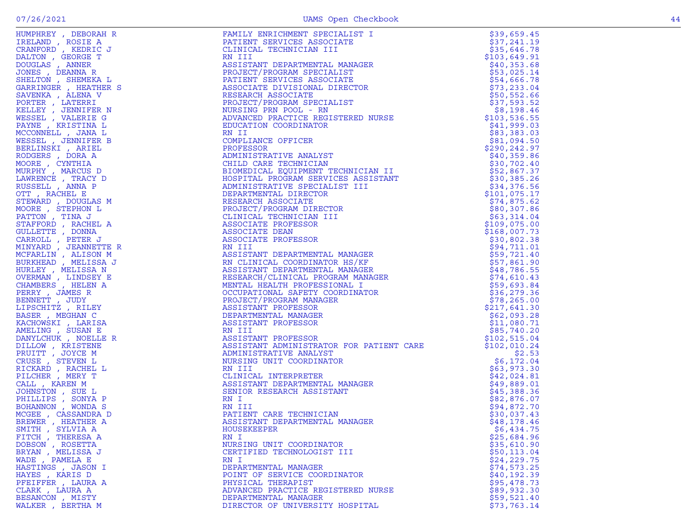| HUMPHREY, DEBORAH R  | FAMILY ENRICHMENT SPECIALIST I<br>PATIENT SERVICES ASSOCIATE<br>CLINICAL TECHNICIAN III<br>ASSISTANT DEPARTMENTAL MANAGER<br>REGIONAL TECHNICIAN SPECIALIST<br>PATIENT SERVICES ASSOCIATE<br>PATIENT SERVICES ASSOCIATE<br>PATIENT SERVICES ASSOCIA                   | \$39,659.45  |
|----------------------|-----------------------------------------------------------------------------------------------------------------------------------------------------------------------------------------------------------------------------------------------------------------------|--------------|
| IRELAND, ROSIE A     |                                                                                                                                                                                                                                                                       | \$37,241.19  |
| CRANFORD, KEDRIC J   |                                                                                                                                                                                                                                                                       | \$35,646.78  |
| DALTON, GEORGE T     |                                                                                                                                                                                                                                                                       | \$103,649.91 |
| DOUGLAS, ANNER       |                                                                                                                                                                                                                                                                       | \$40,353.68  |
| JONES , DEANNA R     |                                                                                                                                                                                                                                                                       | \$53,025.14  |
| SHELTON , SHEMEKA L  |                                                                                                                                                                                                                                                                       | \$54,666.78  |
| GARRINGER, HEATHER S |                                                                                                                                                                                                                                                                       | \$73, 233.04 |
| SAVENKA, ALENA V     |                                                                                                                                                                                                                                                                       | \$50,552.66  |
| PORTER, LATERRI      |                                                                                                                                                                                                                                                                       | \$37,593.52  |
| KELLEY , JENNIFER N  |                                                                                                                                                                                                                                                                       | \$8,198.46   |
| WESSEL , VALERIE G   |                                                                                                                                                                                                                                                                       | \$103,536.55 |
| PAYNE, KRISTINA L    |                                                                                                                                                                                                                                                                       | \$41,999.03  |
| MCCONNELL , JANA L   |                                                                                                                                                                                                                                                                       | \$83,383.03  |
| WESSEL , JENNIFER B  |                                                                                                                                                                                                                                                                       | \$81,094.50  |
| BERLINSKI , ARIEL    |                                                                                                                                                                                                                                                                       | \$290,242.97 |
| RODGERS, DORA A      |                                                                                                                                                                                                                                                                       | \$40,359.86  |
| MOORE, CYNTHIA       |                                                                                                                                                                                                                                                                       | \$30,702.40  |
| MURPHY, MARCUS D     |                                                                                                                                                                                                                                                                       | \$52,867.37  |
| LAWRENCE, TRACY D    |                                                                                                                                                                                                                                                                       | \$30,385.26  |
| RUSSELL , ANNA P     |                                                                                                                                                                                                                                                                       | \$34,376.56  |
| OTT, RACHEL E        |                                                                                                                                                                                                                                                                       | \$101,075.17 |
| STEWARD, DOUGLAS M   |                                                                                                                                                                                                                                                                       | \$74,875.62  |
| MOORE, STEPHON L     |                                                                                                                                                                                                                                                                       | \$80,307.86  |
| PATTON, TINA J       |                                                                                                                                                                                                                                                                       | \$63,314.04  |
| STAFFORD, RACHEL A   |                                                                                                                                                                                                                                                                       | \$109,075.00 |
| GULLETTE, DONNA      |                                                                                                                                                                                                                                                                       | \$168,007.73 |
| CARROLL, PETER J     |                                                                                                                                                                                                                                                                       | \$30,802.38  |
| MINYARD, JEANNETTE R |                                                                                                                                                                                                                                                                       | \$94,711.01  |
| MCFARLIN, ALISON M   |                                                                                                                                                                                                                                                                       | \$59,721.40  |
| BURKHEAD , MELISSA J |                                                                                                                                                                                                                                                                       | \$57,861.90  |
| HURLEY , MELISSA N   |                                                                                                                                                                                                                                                                       | \$48,786.55  |
| OVERMAN, LINDSEY E   |                                                                                                                                                                                                                                                                       | \$74,610.43  |
| CHAMBERS, HELEN A    |                                                                                                                                                                                                                                                                       | \$59,693.84  |
| PERRY, JAMES R       |                                                                                                                                                                                                                                                                       | \$36, 279.36 |
| BENNETT, JUDY        |                                                                                                                                                                                                                                                                       | \$78, 265.00 |
| LIPSCHITZ , RILEY    |                                                                                                                                                                                                                                                                       | \$217,641.30 |
| BASER, MEGHAN C      |                                                                                                                                                                                                                                                                       | \$62,093.28  |
| KACHOWSKI, LARISA    |                                                                                                                                                                                                                                                                       | \$11,080.71  |
| AMELING , SUSAN E    |                                                                                                                                                                                                                                                                       | \$85,740.20  |
| DANYLCHUK, NOELLE R  |                                                                                                                                                                                                                                                                       | \$102,515.04 |
| DILLOW, KRISTENE     | ASSISTANT ADMINISTRATOR FOR PATIENT CARE                                                                                                                                                                                                                              | \$102,010.24 |
| PRUITT, JOYCE M      | ADMINISTRATIVE ANALYST                                                                                                                                                                                                                                                | \$2.53       |
| CRUSE , STEVEN L     | ADMINISTRATIVE ANALYST<br>NURSING UNIT COORDINATOR<br>RN III<br>CLINICAL INTERPRETER<br>ASSISTANT DEPARTMENTAL MANAGER<br>SENIOR RESEARCH ASSISTANT<br>RN I<br>RN II<br>PATIENT CARE TECHNICIAN<br>ASSISTANT<br>MN III<br>PATIENT CARE TECHNICIAN<br>ASSISTANT<br>MOI | \$6,172.04   |
| RICKARD, RACHEL L    |                                                                                                                                                                                                                                                                       | \$63,973.30  |
| PILCHER , MERY T     |                                                                                                                                                                                                                                                                       | \$42,024.81  |
| CALL, KAREN M        |                                                                                                                                                                                                                                                                       | \$49,889.01  |
| JOHNSTON, SUE L      |                                                                                                                                                                                                                                                                       | \$45,388.36  |
| PHILLIPS, SONYA P    |                                                                                                                                                                                                                                                                       | \$82,876.07  |
| BOHANNON , WONDA S   |                                                                                                                                                                                                                                                                       | \$94,872.70  |
| MCGEE , CASSANDRA D  |                                                                                                                                                                                                                                                                       | \$30,037.43  |
| BREWER, HEATHER A    |                                                                                                                                                                                                                                                                       | \$48,178.46  |
| SMITH, SYLVIA A      | HOUSEKEEPER                                                                                                                                                                                                                                                           | \$6,434.75   |
| FITCH, THERESA A     | RN I                                                                                                                                                                                                                                                                  | \$25,684.96  |
| DOBSON, ROSETTA      | NURSING UNIT COORDINATOR                                                                                                                                                                                                                                              | \$35,610.90  |
| BRYAN, MELISSA J     | CERTIFIED TECHNOLOGIST III                                                                                                                                                                                                                                            | \$50, 113.04 |
| WADE, PAMELA E       | RN I                                                                                                                                                                                                                                                                  | \$24,229.75  |
| HASTINGS , JASON I   | DEPARTMENTAL MANAGER                                                                                                                                                                                                                                                  | \$74,573.25  |
| HAYES, KARIS D       | POINT OF SERVICE COORDINATOR                                                                                                                                                                                                                                          | \$40,192.39  |
| PFEIFFER, LAURA A    | PHYSICAL THERAPIST                                                                                                                                                                                                                                                    | \$95,478.73  |
| CLARK, LAURA A       | ADVANCED PRACTICE REGISTERED NURSE                                                                                                                                                                                                                                    | \$89,932.30  |
| BESANCON, MISTY      | DEPARTMENTAL MANAGER                                                                                                                                                                                                                                                  | \$59,521.40  |
| WALKER , BERTHA M    | DIRECTOR OF UNIVERSITY HOSPITAL                                                                                                                                                                                                                                       | \$73,763.14  |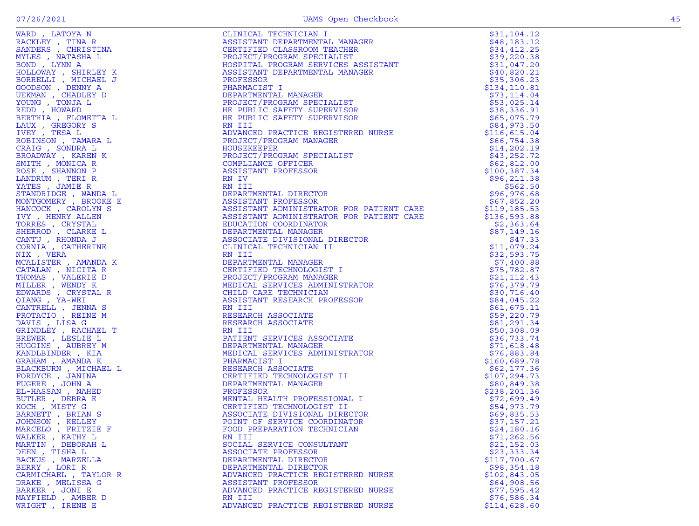| WARD, LATOYA N                        | CLINICAL TECHNICIAN I<br>ASSISTANT DEPARTMENTAL MANAGER<br>CERTIFIED CLASSROOM TEACHER<br>PROJECT/PROGRAM SPECIALIST<br>HOSPITAL PROGRAM SERVICES ASSISTANT<br>ROSPITAL PROGRAM SERVICES ASSISTANT | \$31,104.12            |
|---------------------------------------|----------------------------------------------------------------------------------------------------------------------------------------------------------------------------------------------------|------------------------|
| RACKLEY , TINA R                      |                                                                                                                                                                                                    | \$48,183.12            |
| SANDERS, CHRISTINA                    |                                                                                                                                                                                                    | \$34,412.25            |
| MYLES , NATASHA L                     |                                                                                                                                                                                                    | \$39,220.38            |
| BOND , LYNN A                         |                                                                                                                                                                                                    | \$31,047.20            |
| HOLLOWAY , SHIRLEY K                  |                                                                                                                                                                                                    | \$40,820.21            |
| BORRELLI , MICHAEL J                  |                                                                                                                                                                                                    | \$35,306.23            |
| GOODSON , DENNY A                     | PHARMACIST I                                                                                                                                                                                       | \$134, 110.81          |
| UEKMAN, CHADLEY D                     | DEPARTMENTAL MANAGER                                                                                                                                                                               | \$73,114.04            |
| YOUNG, TONJA L                        | PROJECT/PROGRAM SPECIALIST                                                                                                                                                                         | \$53,025.14            |
| REDD, HOWARD                          | HE PUBLIC SAFETY SUPERVISOR                                                                                                                                                                        | \$38,336.91            |
| BERTHIA , FLOMETTA L                  | HE PUBLIC SAFETY SUPERVISOR                                                                                                                                                                        | \$65,075.79            |
| LAUX, GREGORY S                       | RN III                                                                                                                                                                                             | \$84,973.50            |
| IVEY, TESA L                          | ADVANCED PRACTICE REGISTERED NURSE                                                                                                                                                                 | \$116,615.04           |
| ROBINSON , TAMARA L                   | PROJECT/PROGRAM MANAGER                                                                                                                                                                            | \$66,754.38            |
| CRAIG , SONDRA L                      | HOUSEKEEPER                                                                                                                                                                                        | \$14, 202.19           |
| BROADWAY, KAREN K                     | PROJECT/PROGRAM SPECIALIST                                                                                                                                                                         | \$43,252.72            |
| SMITH, MONICA R                       | COMPLIANCE OFFICER                                                                                                                                                                                 | \$62,812.00            |
| ROSE, SHANNON P                       | ASSISTANT PROFESSOR                                                                                                                                                                                | \$100,387.34           |
| LANDRUM , TERI R                      | RN IV                                                                                                                                                                                              | \$96,211.38            |
| YATES , JAMIE R                       | RN III                                                                                                                                                                                             | \$562.50               |
| STANDRIDGE, WANDA L                   | DEPARTMENTAL DIRECTOR                                                                                                                                                                              | \$96,976.68            |
| MONTGOMERY , BROOKE E                 | ASSISTANT PROFESSOR                                                                                                                                                                                | \$67,852.20            |
| HANCOCK , CAROLYN S                   | ASSISTANT ADMINISTRATOR FOR PATIENT CARE                                                                                                                                                           | \$119,185.53           |
| IVY, HENRY ALLEN                      | ASSISTANT ADMINISTRATOR FOR PATIENT CARE                                                                                                                                                           | \$136,593.88           |
| TORRES , CRYSTAL                      | EDUCATION COORDINATOR<br>DEPARTMENTAL MANAGER                                                                                                                                                      | \$2,363.64             |
| SHERROD , CLARKE L<br>CANTU, RHONDA J |                                                                                                                                                                                                    | \$87,149.16            |
| CORNIA, CATHERINE                     | ASSOCIATE DIVISIONAL DIRECTOR<br>CLINICAL TECHNICIAN II                                                                                                                                            | \$47.33<br>\$11,079.24 |
|                                       | RN III                                                                                                                                                                                             | \$32,593.75            |
| NIX , VERA<br>MCALISTER , AMANDA K    | DEPARTMENTAL MANAGER                                                                                                                                                                               | \$7,400.88             |
| CATALAN, NICITA R                     | CERTIFIED TECHNOLOGIST I                                                                                                                                                                           | \$75,782.87            |
| THOMAS , VALERIE D                    | PROJECT/PROGRAM MANAGER                                                                                                                                                                            | \$21, 112.43           |
| MILLER , WENDY K                      | MEDICAL SERVICES ADMINISTRATOR                                                                                                                                                                     | \$76,379.79            |
| EDWARDS , CRYSTAL R                   | CHILD CARE TECHNICIAN                                                                                                                                                                              | \$30,716.40            |
| QIANG, YA-WEI                         | ASSISTANT RESEARCH PROFESSOR                                                                                                                                                                       | \$84,045.22            |
| CANTRELL , JENNA S                    | RN III                                                                                                                                                                                             | \$61,675.11            |
| PROTACIO, REINE M                     | RESEARCH ASSOCIATE                                                                                                                                                                                 | \$59,220.79            |
| DAVIS , LISA G                        | RESEARCH ASSOCIATE                                                                                                                                                                                 | \$81,291.34            |
| GRINDLEY, RACHAEL T                   | RN III                                                                                                                                                                                             | \$50,308.09            |
| BREWER, LESLIE L                      | PATIENT SERVICES ASSOCIATE                                                                                                                                                                         | \$36,733.74            |
| HUGGINS , AUBREY M                    | DEPARTMENTAL MANAGER                                                                                                                                                                               | \$71,618.48            |
| KANDLBINDER, KIA                      | MEDICAL SERVICES ADMINISTRATOR                                                                                                                                                                     | \$76,883.84            |
| GRAHAM , AMANDA K                     | PHARMACIST I                                                                                                                                                                                       | \$160,689.78           |
| BLACKBURN , MICHAEL L                 | RESEARCH ASSOCIATE                                                                                                                                                                                 | \$62,177.36            |
| FORDYCE, JANINA                       | CERTIFIED TECHNOLOGIST II                                                                                                                                                                          | \$107,294.73           |
| FUGERE, JOHN A                        | DEPARTMENTAL MANAGER                                                                                                                                                                               | \$80,849.38            |
| EL-HASSAN, NAHED                      | PROFESSOR                                                                                                                                                                                          | \$238, 201.36          |
| BUTLER , DEBRA E                      | MENTAL HEALTH PROFESSIONAL I                                                                                                                                                                       | \$72,699.49            |
| KOCH , MISTY G                        | CERTIFIED TECHNOLOGIST II                                                                                                                                                                          | \$54,973.79            |
| BARNETT, BRIAN S                      | ASSOCIATE DIVISIONAL DIRECTOR                                                                                                                                                                      | \$69,835.53            |
| JOHNSON, KELLEY                       | POINT OF SERVICE COORDINATOR                                                                                                                                                                       | \$37,157.21            |
| MARCELO , FRITZIE F                   | FOOD PREPARATION TECHNICIAN                                                                                                                                                                        | \$24,180.16            |
| WALKER , KATHY L                      | RN III                                                                                                                                                                                             | \$71, 262.56           |
| MARTIN , DEBORAH L                    | SOCIAL SERVICE CONSULTANT                                                                                                                                                                          | \$21,152.03            |
| DEEN, TISHA L                         | ASSOCIATE PROFESSOR                                                                                                                                                                                | \$23,333.34            |
| BACKUS , MARZELLA                     | DEPARTMENTAL DIRECTOR                                                                                                                                                                              | \$117,700.67           |
| BERRY , LORI R                        | DEPARTMENTAL DIRECTOR                                                                                                                                                                              | \$98,354.18            |
| CARMICHAEL , TAYLOR R                 | ADVANCED PRACTICE REGISTERED NURSE                                                                                                                                                                 | \$102,843.05           |
| DRAKE , MELISSA G                     | ASSISTANT PROFESSOR                                                                                                                                                                                | \$64,908.56            |
| BARKER , JONI E                       | ADVANCED PRACTICE REGISTERED NURSE                                                                                                                                                                 | \$77,595.42            |
| MAYFIELD, AMBER D                     | RN III                                                                                                                                                                                             | \$76,586.34            |
| WRIGHT, IRENE E                       | ADVANCED PRACTICE REGISTERED NURSE                                                                                                                                                                 | \$114,628.60           |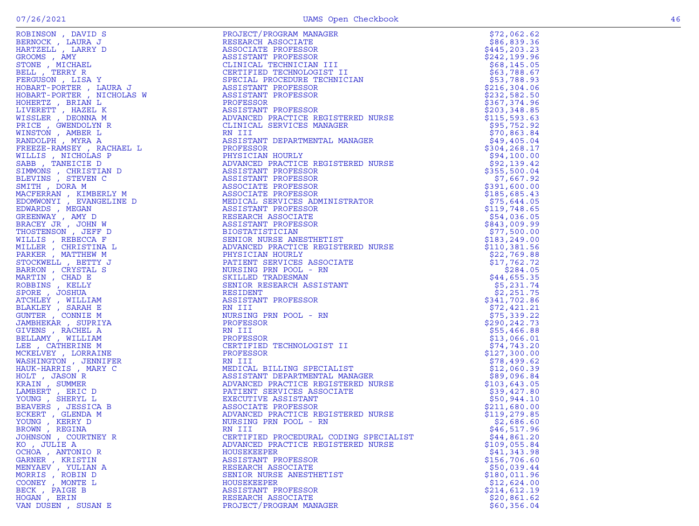|                      |                                                                                                                                                                                                                                                                        | \$72,062.62                 |
|----------------------|------------------------------------------------------------------------------------------------------------------------------------------------------------------------------------------------------------------------------------------------------------------------|-----------------------------|
|                      |                                                                                                                                                                                                                                                                        | \$86,839.36                 |
|                      |                                                                                                                                                                                                                                                                        | \$445, 203.23               |
|                      |                                                                                                                                                                                                                                                                        | \$242,199.96                |
|                      |                                                                                                                                                                                                                                                                        | \$68,145.05                 |
|                      |                                                                                                                                                                                                                                                                        | \$63,788.67                 |
|                      |                                                                                                                                                                                                                                                                        | \$53,788.93                 |
|                      |                                                                                                                                                                                                                                                                        | \$216, 304.06               |
|                      |                                                                                                                                                                                                                                                                        | \$232,582.50                |
|                      |                                                                                                                                                                                                                                                                        | \$367,374.96                |
|                      |                                                                                                                                                                                                                                                                        | \$203, 348.85               |
|                      |                                                                                                                                                                                                                                                                        | \$115, 593.63               |
|                      |                                                                                                                                                                                                                                                                        | \$95,752.92                 |
|                      |                                                                                                                                                                                                                                                                        | \$70,863.84                 |
|                      |                                                                                                                                                                                                                                                                        | \$49,405.04                 |
|                      |                                                                                                                                                                                                                                                                        | \$304, 268.17               |
|                      |                                                                                                                                                                                                                                                                        | \$94,100.00                 |
|                      |                                                                                                                                                                                                                                                                        | \$92,139.42                 |
|                      |                                                                                                                                                                                                                                                                        | \$355,500.04                |
|                      |                                                                                                                                                                                                                                                                        | \$7,667.92                  |
|                      |                                                                                                                                                                                                                                                                        | \$391,600.00                |
|                      |                                                                                                                                                                                                                                                                        | \$185,685.43                |
|                      |                                                                                                                                                                                                                                                                        | \$75,644.05                 |
|                      |                                                                                                                                                                                                                                                                        | \$119,748.65                |
|                      |                                                                                                                                                                                                                                                                        | \$54,036.05                 |
|                      |                                                                                                                                                                                                                                                                        | \$843,009.99                |
|                      |                                                                                                                                                                                                                                                                        | \$77,500.00                 |
|                      |                                                                                                                                                                                                                                                                        | \$183,249.00                |
|                      |                                                                                                                                                                                                                                                                        | \$110,381.56                |
|                      |                                                                                                                                                                                                                                                                        | \$22,769.88                 |
|                      |                                                                                                                                                                                                                                                                        | \$17,762.72                 |
|                      |                                                                                                                                                                                                                                                                        | \$284.05                    |
|                      |                                                                                                                                                                                                                                                                        | \$44,655.35                 |
|                      |                                                                                                                                                                                                                                                                        | \$5,231.74                  |
|                      |                                                                                                                                                                                                                                                                        | \$2,251.75                  |
|                      |                                                                                                                                                                                                                                                                        | \$341,702.86<br>\$72,421.21 |
|                      |                                                                                                                                                                                                                                                                        | \$75,339.22                 |
|                      |                                                                                                                                                                                                                                                                        | \$290, 242.73               |
|                      |                                                                                                                                                                                                                                                                        | \$55,466.88                 |
|                      |                                                                                                                                                                                                                                                                        | \$13,066.01                 |
|                      |                                                                                                                                                                                                                                                                        | \$74,743.20                 |
|                      |                                                                                                                                                                                                                                                                        | \$127,300.00                |
|                      |                                                                                                                                                                                                                                                                        | \$78,499.62                 |
|                      |                                                                                                                                                                                                                                                                        | \$12,060.39                 |
|                      |                                                                                                                                                                                                                                                                        | \$89,096.84                 |
|                      | RN III<br>MEDICAL BILLING SPECIALIST<br>ASSISTANT DEPARTMENTAL MANAGER<br>ADVANCED PRACTICE REGISTERED NURSE<br>PATIENT SERVICES ASSOCIATE<br>EXECUTIVE ASSISTANT<br>ASSOCIATE PROFESSOR<br>ADVANCED PRACTICE REGISTERED NURSE<br>NURSING PRN POOL - R                 | \$103,643.05                |
|                      |                                                                                                                                                                                                                                                                        | \$39,427.80                 |
|                      |                                                                                                                                                                                                                                                                        | \$50,944.10                 |
|                      |                                                                                                                                                                                                                                                                        | \$211,680.00                |
|                      |                                                                                                                                                                                                                                                                        | \$119,279.85                |
|                      |                                                                                                                                                                                                                                                                        | \$2,686.60                  |
| BROWN, REGINA        | RN III                                                                                                                                                                                                                                                                 | \$46,517.96                 |
| JOHNSON , COURTNEY R | NORMANOV, IRAN'I PROFINE PROTECTIVAL PRODUCTIVAL MANUFACTION AND RESERVATION OF A REPORT OF A REPORT OF A REPORT OF A REPORT OF A REPORT OF A REPORT OF A REPORT OF A REPORT OF A REPORT OF A REPORT OF A REPORT OF A REPORT<br>CERTIFIED PROCEDURAL CODING SPECIALIST | \$44,861.20                 |
| KO , JULIE A         | ADVANCED PRACTICE REGISTERED NURSE                                                                                                                                                                                                                                     | \$109,055.84                |
| OCHOA, ANTONIO R     | <b>HOUSEKEEPER</b>                                                                                                                                                                                                                                                     | \$41,343.98                 |
| GARNER , KRISTIN     | ASSISTANT PROFESSOR                                                                                                                                                                                                                                                    | \$156,706.60                |
| MENYAEV , YULIAN A   | RESEARCH ASSOCIATE                                                                                                                                                                                                                                                     | \$50,039.44                 |
| MORRIS , ROBIN D     | SENIOR NURSE ANESTHETIST                                                                                                                                                                                                                                               | \$180,011.96                |
| COONEY, MONTE L      | <b>HOUSEKEEPER</b>                                                                                                                                                                                                                                                     | \$12,624.00                 |
| BECK , PAIGE B       | ASSISTANT PROFESSOR                                                                                                                                                                                                                                                    | \$214,612.19                |
| HOGAN , ERIN         | RESEARCH ASSOCIATE                                                                                                                                                                                                                                                     | \$20,861.62                 |
| VAN DUSEN, SUSAN E   | PROJECT/PROGRAM MANAGER                                                                                                                                                                                                                                                | \$60,356.04                 |

|                                        |                                                                                                                                                                                                                                                                      | 712,002.02    |
|----------------------------------------|----------------------------------------------------------------------------------------------------------------------------------------------------------------------------------------------------------------------------------------------------------------------|---------------|
|                                        |                                                                                                                                                                                                                                                                      | \$86,839.36   |
|                                        |                                                                                                                                                                                                                                                                      | \$445,203.23  |
|                                        |                                                                                                                                                                                                                                                                      | \$242,199.96  |
|                                        |                                                                                                                                                                                                                                                                      |               |
|                                        |                                                                                                                                                                                                                                                                      | \$68,145.05   |
|                                        |                                                                                                                                                                                                                                                                      | \$63,788.67   |
|                                        |                                                                                                                                                                                                                                                                      | \$53,788.93   |
|                                        |                                                                                                                                                                                                                                                                      | \$216, 304.06 |
|                                        |                                                                                                                                                                                                                                                                      | \$232,582.50  |
|                                        |                                                                                                                                                                                                                                                                      | \$367,374.96  |
|                                        |                                                                                                                                                                                                                                                                      | \$203,348.85  |
|                                        |                                                                                                                                                                                                                                                                      | \$115, 593.63 |
|                                        | WORDTEIN<br>NOTES THE WORD CONTROLL AND ASSESS TO THE SECTION OF THE SECTION OF THE SECTION OF THE CLINICAL SECTION OF THE SECTION OF THE SECTION OF THE SECTION PROFESSOR<br>PROFESSOR<br>NOT IT IT ASSISTANT DEPARTMENTAL MANAGER<br>                              |               |
|                                        |                                                                                                                                                                                                                                                                      | \$95,752.92   |
|                                        |                                                                                                                                                                                                                                                                      | \$70,863.84   |
|                                        |                                                                                                                                                                                                                                                                      | \$49,405.04   |
|                                        |                                                                                                                                                                                                                                                                      | \$304, 268.17 |
|                                        |                                                                                                                                                                                                                                                                      | \$94,100.00   |
|                                        |                                                                                                                                                                                                                                                                      | \$92,139.42   |
|                                        |                                                                                                                                                                                                                                                                      | \$355,500.04  |
|                                        |                                                                                                                                                                                                                                                                      | \$7,667.92    |
|                                        |                                                                                                                                                                                                                                                                      | \$391,600.00  |
|                                        |                                                                                                                                                                                                                                                                      |               |
|                                        |                                                                                                                                                                                                                                                                      | \$185,685.43  |
|                                        |                                                                                                                                                                                                                                                                      | \$75,644.05   |
|                                        |                                                                                                                                                                                                                                                                      | \$119,748.65  |
|                                        |                                                                                                                                                                                                                                                                      | \$54,036.05   |
|                                        |                                                                                                                                                                                                                                                                      | \$843,009.99  |
|                                        |                                                                                                                                                                                                                                                                      | \$77,500.00   |
|                                        |                                                                                                                                                                                                                                                                      | \$183, 249.00 |
|                                        | ASSISTANT PROFESSOR<br>ASSOCIATE PROFESSOR<br>ASSOCIATE PROFESSOR<br>MEDICAL SERVICES ADMINISTRATOR<br>ASSISTANT PROFESSOR<br>RESEARCH ASSOCIATE<br>ASSISTANT PROFESSOR<br>BIOSTATISTICIAN<br>SENIOR NURSE ANESTHETIST<br>ADVANCED PRACTICE REGISTERED NU            | \$110,381.56  |
|                                        |                                                                                                                                                                                                                                                                      | \$22,769.88   |
|                                        |                                                                                                                                                                                                                                                                      | \$17,762.72   |
|                                        |                                                                                                                                                                                                                                                                      | \$284.05      |
|                                        |                                                                                                                                                                                                                                                                      |               |
|                                        |                                                                                                                                                                                                                                                                      | \$44,655.35   |
|                                        |                                                                                                                                                                                                                                                                      | \$5,231.74    |
|                                        |                                                                                                                                                                                                                                                                      | \$2,251.75    |
|                                        |                                                                                                                                                                                                                                                                      | \$341,702.86  |
|                                        |                                                                                                                                                                                                                                                                      | \$72,421.21   |
|                                        |                                                                                                                                                                                                                                                                      | \$75,339.22   |
|                                        |                                                                                                                                                                                                                                                                      | \$290, 242.73 |
|                                        |                                                                                                                                                                                                                                                                      | \$55,466.88   |
|                                        |                                                                                                                                                                                                                                                                      | \$13,066.01   |
|                                        |                                                                                                                                                                                                                                                                      | \$74,743.20   |
|                                        |                                                                                                                                                                                                                                                                      | \$127,300.00  |
|                                        |                                                                                                                                                                                                                                                                      | \$78,499.62   |
|                                        |                                                                                                                                                                                                                                                                      | \$12,060.39   |
|                                        |                                                                                                                                                                                                                                                                      |               |
|                                        |                                                                                                                                                                                                                                                                      | \$89,096.84   |
|                                        |                                                                                                                                                                                                                                                                      | \$103,643.05  |
|                                        |                                                                                                                                                                                                                                                                      | \$39,427.80   |
|                                        |                                                                                                                                                                                                                                                                      | \$50,944.10   |
|                                        |                                                                                                                                                                                                                                                                      | \$211,680.00  |
|                                        |                                                                                                                                                                                                                                                                      | \$119, 279.85 |
|                                        | RN III<br>MEDICAL BILLING SPECIALIST<br>ASSISTANT DEPARTMENTAL MANAGER<br>ADVANCED PRACTICE REGISTERED NURSE<br>PATIENT SERVICES ASSOCIATE<br>EXECUTIVE ASSISTANT<br>ASSOCIATE PROFESSOR<br>ADVANCED PRACTICE REGISTERED NURSE<br>NURSING PRN POOL - R               | \$2,686.60    |
|                                        |                                                                                                                                                                                                                                                                      | \$46,517.96   |
| JOHNSON , COURTNEY R                   | CERTIFIED PROCEDURAL CODING SPECIALIST                                                                                                                                                                                                                               | \$44,861.20   |
| KO, JULIE A                            | NEWROCK, INDEX IN THE RESERVATION CONTINUES ARE RESERVATION ON A SECURITY IN THE RESERVATION OF THE RESERVATION OF THE RESERVATION OF THE RESERVATION OF THE RESERVATION OF THE RESERVATION OF THE RESERVATION OF THE RESERVAT<br>ADVANCED PRACTICE REGISTERED NURSE | \$109,055.84  |
| OCHOA , ANTONIO R                      | HOUSEKEEPER                                                                                                                                                                                                                                                          | \$41,343.98   |
| GARNER , KRISTIN                       | ASSISTANT PROFESSOR                                                                                                                                                                                                                                                  | \$156,706.60  |
|                                        | RESEARCH ASSOCIATE                                                                                                                                                                                                                                                   |               |
| MENYAEV , YULIAN A<br>MORRIS , ROBIN D |                                                                                                                                                                                                                                                                      | \$50,039.44   |
|                                        | SENIOR NURSE ANESTHETIST                                                                                                                                                                                                                                             | \$180,011.96  |
| COONEY, MONTE L                        | <b>HOUSEKEEPER</b>                                                                                                                                                                                                                                                   | \$12,624.00   |
| BECK, PAIGE B                          | ASSISTANT PROFESSOR                                                                                                                                                                                                                                                  | \$214,612.19  |
| HOGAN , ERIN                           | RESEARCH ASSOCIATE                                                                                                                                                                                                                                                   | \$20,861.62   |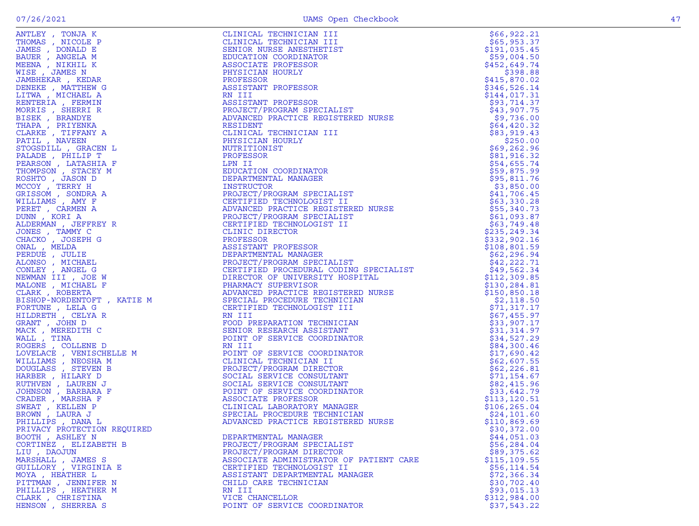| PRIVACY PROTECTION REQUIRED |                                         | \$30,372.00  |
|-----------------------------|-----------------------------------------|--------------|
| BOOTH, ASHLEY N             | DEPARTMENTAL MANAGER                    | \$44,051.03  |
| CORTINEZ, ELIZABETH B       | PROJECT/PROGRAM SPECIALIST              | \$56,284.04  |
| LIU, DAOJUN                 | PROJECT/PROGRAM DIRECTOR                | \$89,375.62  |
| MARSHALL , JAMES S          | ASSOCIATE ADMINISTRATOR OF PATIENT CARE | \$115,109.55 |
|                             |                                         |              |
| GUILLORY , VIRGINIA E       | CERTIFIED TECHNOLOGIST II               | \$56, 114.54 |
| MOYA, HEATHER L             | ASSISTANT DEPARTMENTAL MANAGER          | \$72,366.34  |
| PITTMAN, JENNIFER N         | CHILD CARE TECHNICIAN                   | \$30,702.40  |
| PHILLIPS , HEATHER M        | RN III                                  | \$93,015.13  |
| CLARK, CHRISTINA            | VICE CHANCELLOR                         |              |
|                             |                                         | \$312,984.00 |
| HENSON, SHERREA S           | POINT OF SERVICE COORDINATOR            | \$37,543.22  |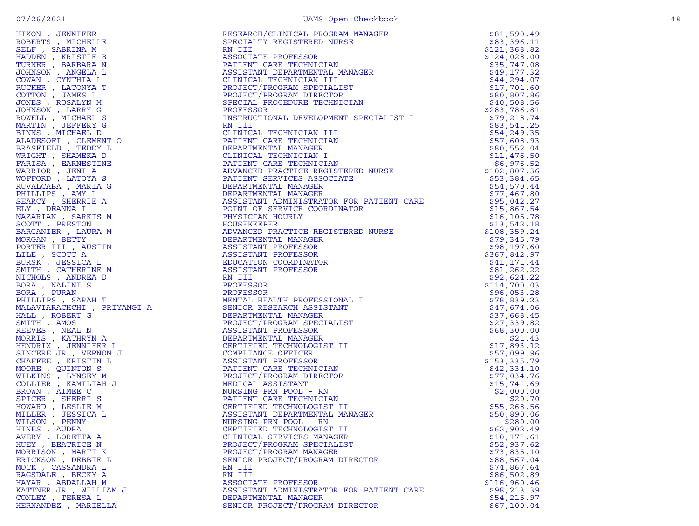| HINES, AUDRA           | CERTIFIED TECHNOLOGIST II                | \$62,902.49  |
|------------------------|------------------------------------------|--------------|
| AVERY, LORETTA A       | CLINICAL SERVICES MANAGER                | \$10,171.61  |
| HUEY , BEATRICE N      | PROJECT/PROGRAM SPECIALIST               | \$52,937.62  |
|                        |                                          |              |
| MORRISON, MARTI K      | PROJECT/PROGRAM MANAGER                  | \$73,835.10  |
| ERICKSON, DEBBIE L     | SENIOR PROJECT/PROGRAM DIRECTOR          | \$88,567.04  |
| MOCK, CASSANDRA L      | RN III                                   | \$74,867.64  |
| RAGSDALE , BECKY A     | RN III                                   | \$86,502.89  |
| HAYAR, ABDALLAH M      | ASSOCIATE PROFESSOR                      | \$116,960.46 |
| KATTNER JR , WILLIAM J | ASSISTANT ADMINISTRATOR FOR PATIENT CARE | \$98, 213.39 |
| CONLEY, TERESA L       | DEPARTMENTAL MANAGER                     | \$54, 215.97 |
|                        |                                          |              |
| HERNANDEZ , MARIELLA   | SENIOR PROJECT/PROGRAM DIRECTOR          | \$67,100.04  |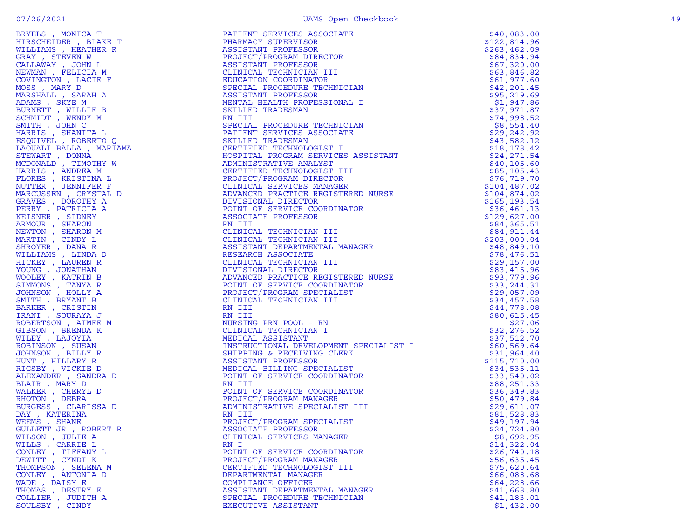BRYELS , MONICA T<br>
HIRSCHEIDER , BLAKE T<br>
WILLIAMS , HEATHER R<br>
WILLIAMS , HEATHER R<br>
PHARMACY SUPERVISOR

PATIENT SERVICES ASSOCIATE  $$40,083.00$ <br>PHARMACY SUPERVISOR  $$122,814.96$ <br>ASSISTANT PROFESSOR  $$263,462.09$ 

| WILLS, CARRIE L    |                                | \$14,322.04  |
|--------------------|--------------------------------|--------------|
| CONLEY, TIFFANY L  | POINT OF SERVICE COORDINATOR   | \$26,740.18  |
| DEWITT, CYNDI K    | PROJECT/PROGRAM MANAGER        | \$56,635.45  |
| THOMPSON, SELENA M | CERTIFIED TECHNOLOGIST III     | \$75,620.64  |
| CONLEY, ANTONIA D  | DEPARTMENTAL MANAGER           | \$66,088.68  |
| WADE, DAISY E      | COMPLIANCE OFFICER             | \$64, 228.66 |
| THOMAS , DESTRY E  | ASSISTANT DEPARTMENTAL MANAGER | \$41,668.80  |
| COLLIER, JUDITH A  | SPECIAL PROCEDURE TECHNICIAN   | \$41,183.01  |
| SOULSBY, CINDY     | EXECUTIVE ASSISTANT            | \$1,432.00   |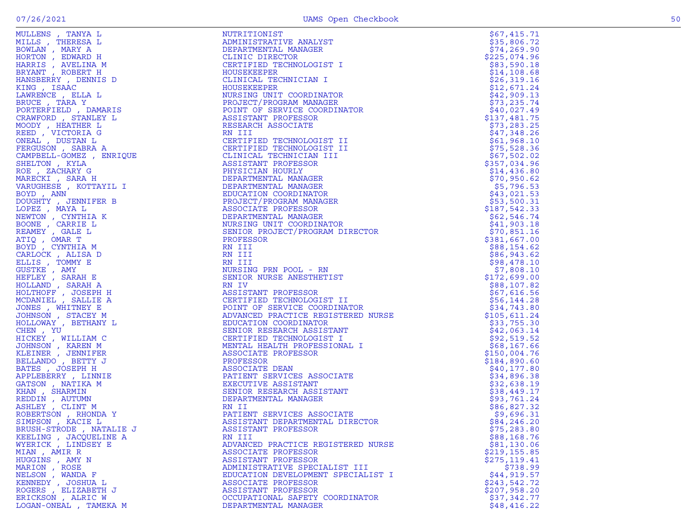| MULLENS , TANYA L<br>MULLENS , TANYA L<br>MILLS , THERESA L<br>HORTON , MARY A<br>HORTON , EDWARD H<br>HARRIS , AVELINA M<br>BRYANT , ROBERT H<br>HANSBERRY , DENNIS D<br>KING , ISAAC<br>LAWRENCE , ELLA L<br>BRUCE , TARA Y<br>DORTERFIELD , DAMARIS<br>CRAWFORD , STANARIS<br>CRAWFO | NUTRITIONIST                                                                                                                                                                                                                                                                                                                                                                 | \$67,415.71                 |
|-----------------------------------------------------------------------------------------------------------------------------------------------------------------------------------------------------------------------------------------------------------------------------------------|------------------------------------------------------------------------------------------------------------------------------------------------------------------------------------------------------------------------------------------------------------------------------------------------------------------------------------------------------------------------------|-----------------------------|
|                                                                                                                                                                                                                                                                                         | ADMINISTRATIVE ANALYST                                                                                                                                                                                                                                                                                                                                                       | \$35,806.72                 |
|                                                                                                                                                                                                                                                                                         | DEPARTMENTAL MANAGER                                                                                                                                                                                                                                                                                                                                                         | \$74, 269.90                |
|                                                                                                                                                                                                                                                                                         | CLINIC DIRECTOR                                                                                                                                                                                                                                                                                                                                                              | \$225,074.96                |
|                                                                                                                                                                                                                                                                                         | CERTIFIED TECHNOLOGIST I                                                                                                                                                                                                                                                                                                                                                     | \$83,590.18                 |
|                                                                                                                                                                                                                                                                                         | HOUSEKEEPER                                                                                                                                                                                                                                                                                                                                                                  | \$14,108.68                 |
|                                                                                                                                                                                                                                                                                         | CLINICAL TECHNICIAN I                                                                                                                                                                                                                                                                                                                                                        | \$26,319.16                 |
|                                                                                                                                                                                                                                                                                         | HOUSEKEEPER                                                                                                                                                                                                                                                                                                                                                                  | \$12,671.24                 |
|                                                                                                                                                                                                                                                                                         | HOUSEKEEPER<br>NURSING UNIT COORDINATOR<br>PROJECT/PROGRAM MANAGER<br>POINT OF SERVICE COORDINATOR<br>ASSISTANT PROFESSOR<br>RESEARCH ASSOCIATE                                                                                                                                                                                                                              | \$42,909.13                 |
|                                                                                                                                                                                                                                                                                         |                                                                                                                                                                                                                                                                                                                                                                              | \$73, 235.74                |
|                                                                                                                                                                                                                                                                                         |                                                                                                                                                                                                                                                                                                                                                                              | \$40,027.49                 |
|                                                                                                                                                                                                                                                                                         |                                                                                                                                                                                                                                                                                                                                                                              | \$137,481.75                |
|                                                                                                                                                                                                                                                                                         | RESEARCH ASSOCIATE<br>RESEARCH ASSOCIATE<br>CERTIFIED TECHNOLOGIST II<br>CERTIFIED TECHNOLOGIST II<br>CLINICAL TECHNOLOGIST II<br>CLINICAL TECHNOLOGIST II<br>ASSISTANT PROFESSOR<br>PHYSICIAN HOURLY<br>DEPARTMENTAL MANAGER<br>DEPARTMENTAL MA                                                                                                                             | \$73, 283.25                |
| CRAWFORD , STANLET L<br>MOODY , HEATHER L<br>REED , VICTORIA G<br>ONEAL , DUSTAN L<br>FERGUSON , SABRA A<br>CAMPBELL-GOMEZ , ENRIQUE<br>SHELTON , KYLA<br>ROE , ZACHARY G<br>MARECKI , SARA H<br>VARUGHESE , KOTTAYIL I<br>BOYD , ANN<br>DOUGHTY , JENNIFER B<br>C                      | RN III<br>CERTIFIED TECHNOLOGIST II<br>CERTIFIED TECHNOLOGIST II<br>CLINICAL TECHNICIAN III<br>ASANICAL TECHNICIAN III<br>TECHNOLOGI<br>CLINICAL TECHNOLOGI<br>CLINICAL TECHNICIAN I<br>ASSISTANT PROFESSOR<br>PHYSICIAN HOURLY<br>DEPARTMENTAL MANAGER<br>DEPARTMENTAL MANAGER<br>EDUCATION COORDINATOR<br>PROJECT/PROGRAM MANAGER<br>ASSOCIATE PROFESSOR<br>DEPARTMENTAL M | \$47,348.26                 |
|                                                                                                                                                                                                                                                                                         |                                                                                                                                                                                                                                                                                                                                                                              | \$61,968.10                 |
|                                                                                                                                                                                                                                                                                         |                                                                                                                                                                                                                                                                                                                                                                              | \$75,528.36                 |
|                                                                                                                                                                                                                                                                                         |                                                                                                                                                                                                                                                                                                                                                                              | \$67,502.02                 |
|                                                                                                                                                                                                                                                                                         |                                                                                                                                                                                                                                                                                                                                                                              | \$357,034.96                |
|                                                                                                                                                                                                                                                                                         |                                                                                                                                                                                                                                                                                                                                                                              | \$14,436.80                 |
|                                                                                                                                                                                                                                                                                         |                                                                                                                                                                                                                                                                                                                                                                              | \$70,950.62                 |
|                                                                                                                                                                                                                                                                                         |                                                                                                                                                                                                                                                                                                                                                                              | \$5,796.53                  |
|                                                                                                                                                                                                                                                                                         |                                                                                                                                                                                                                                                                                                                                                                              | \$43,021.53                 |
|                                                                                                                                                                                                                                                                                         |                                                                                                                                                                                                                                                                                                                                                                              | \$53,500.31                 |
| LOPEZ, MAYA L                                                                                                                                                                                                                                                                           |                                                                                                                                                                                                                                                                                                                                                                              | \$187,542.33                |
| NEWTON, CYNTHIA K                                                                                                                                                                                                                                                                       |                                                                                                                                                                                                                                                                                                                                                                              | \$62,546.74                 |
| BOONE , CARRIE L                                                                                                                                                                                                                                                                        |                                                                                                                                                                                                                                                                                                                                                                              | \$41,903.18                 |
|                                                                                                                                                                                                                                                                                         |                                                                                                                                                                                                                                                                                                                                                                              |                             |
| REAMEY, GALE L                                                                                                                                                                                                                                                                          |                                                                                                                                                                                                                                                                                                                                                                              | \$70,851.16<br>\$381,667.00 |
| ATIQ, OMAR T                                                                                                                                                                                                                                                                            | PROFESSOR                                                                                                                                                                                                                                                                                                                                                                    |                             |
| BOYD, CYNTHIA M                                                                                                                                                                                                                                                                         | RN III                                                                                                                                                                                                                                                                                                                                                                       | \$88,154.62                 |
| CARLOCK, ALISA D                                                                                                                                                                                                                                                                        | RN III                                                                                                                                                                                                                                                                                                                                                                       | \$86,943.62                 |
| ELLIS, TOMMY E                                                                                                                                                                                                                                                                          |                                                                                                                                                                                                                                                                                                                                                                              | \$98,478.10                 |
| GUSTKE, AMY                                                                                                                                                                                                                                                                             | RN III<br>RN III<br>RN III<br>RN III<br>NURSING PRN POOL - RN<br>SENIOR NURSE ANESTHETIST<br>RN IV<br>ASSISTANT PROFESSOR<br>CERTIFIED TECHNOLOGIST II<br>POINT OF SENICE COORDINATOR<br>ADVANCED PRACTICE REGISTERED NURSE<br>EDUCATION COORDINATOR                                                                                                                         | \$7,808.10                  |
| HEFLEY, SARAH E                                                                                                                                                                                                                                                                         |                                                                                                                                                                                                                                                                                                                                                                              | \$172,699.00                |
| HOLLAND, SARAH A                                                                                                                                                                                                                                                                        |                                                                                                                                                                                                                                                                                                                                                                              | \$88,107.82                 |
| HOLTHOFF , JOSEPH H                                                                                                                                                                                                                                                                     |                                                                                                                                                                                                                                                                                                                                                                              | \$67,616.56                 |
| MCDANIEL , SALLIE A                                                                                                                                                                                                                                                                     |                                                                                                                                                                                                                                                                                                                                                                              | \$56,144.28                 |
| JONES , WHITNEY E                                                                                                                                                                                                                                                                       |                                                                                                                                                                                                                                                                                                                                                                              | \$34,743.80                 |
| JOHNSON, STACEY M                                                                                                                                                                                                                                                                       |                                                                                                                                                                                                                                                                                                                                                                              | \$105,611.24                |
| HOLLOWAY , BETHANY L                                                                                                                                                                                                                                                                    |                                                                                                                                                                                                                                                                                                                                                                              | \$33,755.30                 |
| CHEN, YU                                                                                                                                                                                                                                                                                |                                                                                                                                                                                                                                                                                                                                                                              | \$42,063.14                 |
| HICKEY , WILLIAM C                                                                                                                                                                                                                                                                      |                                                                                                                                                                                                                                                                                                                                                                              | \$92,519.52                 |
| JOHNSON, KAREN M                                                                                                                                                                                                                                                                        |                                                                                                                                                                                                                                                                                                                                                                              | \$68,167.66                 |
| KLEINER , JENNIFER                                                                                                                                                                                                                                                                      |                                                                                                                                                                                                                                                                                                                                                                              | \$150,004.76                |
| BELLANDO, BETTY J                                                                                                                                                                                                                                                                       |                                                                                                                                                                                                                                                                                                                                                                              | \$184,890.60                |
| BATES, JOSEPH H                                                                                                                                                                                                                                                                         |                                                                                                                                                                                                                                                                                                                                                                              | \$40,177.80                 |
| APPLEBERRY, LINNIE                                                                                                                                                                                                                                                                      |                                                                                                                                                                                                                                                                                                                                                                              | \$34,896.38                 |
| GATSON, NATIKA M                                                                                                                                                                                                                                                                        |                                                                                                                                                                                                                                                                                                                                                                              | \$32,638.19                 |
| KHAN, SHARMIN                                                                                                                                                                                                                                                                           |                                                                                                                                                                                                                                                                                                                                                                              | \$38,449.17                 |
| REDDIN, AUTUMN                                                                                                                                                                                                                                                                          |                                                                                                                                                                                                                                                                                                                                                                              | \$93,761.24                 |
| ASHLEY , CLINT M                                                                                                                                                                                                                                                                        |                                                                                                                                                                                                                                                                                                                                                                              | \$86,827.32                 |
| ROBERTSON, RHONDA Y                                                                                                                                                                                                                                                                     |                                                                                                                                                                                                                                                                                                                                                                              | \$9,696.31                  |
| SIMPSON, KACIE L                                                                                                                                                                                                                                                                        |                                                                                                                                                                                                                                                                                                                                                                              | \$84,246.20                 |
| BRUSH-STRODE, NATALIE J                                                                                                                                                                                                                                                                 | ASSISTANT PROFESSOR                                                                                                                                                                                                                                                                                                                                                          | \$75,283.80                 |
| KEELING, JACQUELINE A                                                                                                                                                                                                                                                                   | RN III                                                                                                                                                                                                                                                                                                                                                                       | \$88,168.76                 |
| WYERICK, LINDSEY E                                                                                                                                                                                                                                                                      | ADVANCED PRACTICE REGISTERED NURSE                                                                                                                                                                                                                                                                                                                                           | \$81,130.06                 |
| MIAN, AMIR R                                                                                                                                                                                                                                                                            | ASSOCIATE PROFESSOR                                                                                                                                                                                                                                                                                                                                                          | \$219,155.85                |
| HUGGINS, AMY N                                                                                                                                                                                                                                                                          | ASSISTANT PROFESSOR                                                                                                                                                                                                                                                                                                                                                          | \$275,119.41                |
| MARION, ROSE                                                                                                                                                                                                                                                                            | ADMINISTRATIVE SPECIALIST III                                                                                                                                                                                                                                                                                                                                                | \$738.99                    |
| NELSON, WANDA F                                                                                                                                                                                                                                                                         | EDUCATION DEVELOPMENT SPECIALIST I                                                                                                                                                                                                                                                                                                                                           | \$44,919.57                 |
| KENNEDY , JOSHUA L                                                                                                                                                                                                                                                                      | ASSOCIATE PROFESSOR                                                                                                                                                                                                                                                                                                                                                          | \$243,542.72                |
| ROGERS , ELIZABETH J                                                                                                                                                                                                                                                                    | ASSISTANT PROFESSOR                                                                                                                                                                                                                                                                                                                                                          | \$207,958.20                |
| ERICKSON, ALRIC W                                                                                                                                                                                                                                                                       | OCCUPATIONAL SAFETY COORDINATOR                                                                                                                                                                                                                                                                                                                                              | \$37,342.77                 |
| LOGAN-ONEAL , TAMEKA M                                                                                                                                                                                                                                                                  | DEPARTMENTAL MANAGER                                                                                                                                                                                                                                                                                                                                                         | \$48, 416.22                |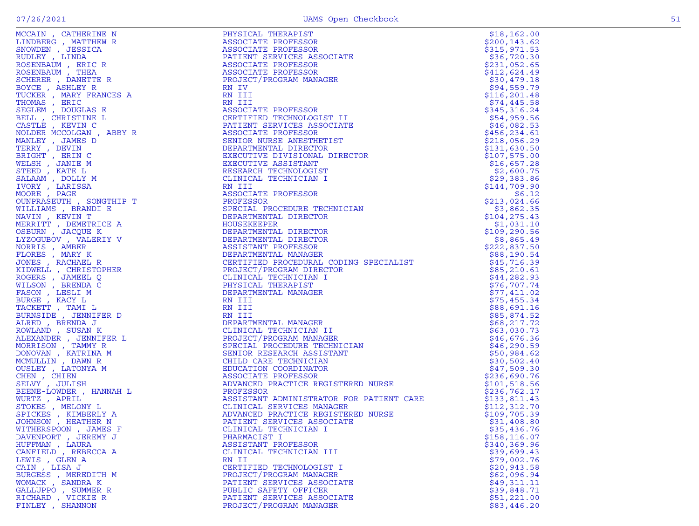|                      |                                                                                                                                                                                                                                                                       | \$18, 162.00                |
|----------------------|-----------------------------------------------------------------------------------------------------------------------------------------------------------------------------------------------------------------------------------------------------------------------|-----------------------------|
|                      |                                                                                                                                                                                                                                                                       | \$200, 143.62               |
|                      |                                                                                                                                                                                                                                                                       | \$315,971.53                |
|                      |                                                                                                                                                                                                                                                                       | \$36,720.30                 |
|                      |                                                                                                                                                                                                                                                                       | \$231,052.65                |
|                      |                                                                                                                                                                                                                                                                       | \$412,624.49                |
|                      |                                                                                                                                                                                                                                                                       | \$30,479.18                 |
|                      |                                                                                                                                                                                                                                                                       | \$94,559.79                 |
|                      |                                                                                                                                                                                                                                                                       | \$116, 201.48               |
|                      |                                                                                                                                                                                                                                                                       | \$74,445.58                 |
|                      |                                                                                                                                                                                                                                                                       | \$345, 316.24               |
|                      | ! II<br>HATE<br>IST<br>DIRECTOR                                                                                                                                                                                                                                       | \$54,959.56                 |
|                      |                                                                                                                                                                                                                                                                       | \$46,082.53                 |
|                      |                                                                                                                                                                                                                                                                       | \$456,234.61                |
|                      |                                                                                                                                                                                                                                                                       | \$218,056.29                |
|                      |                                                                                                                                                                                                                                                                       | \$131,630.50                |
|                      |                                                                                                                                                                                                                                                                       | \$107,575.00                |
|                      |                                                                                                                                                                                                                                                                       | \$16,657.28                 |
|                      |                                                                                                                                                                                                                                                                       | \$2,600.75                  |
|                      |                                                                                                                                                                                                                                                                       | \$29,383.86                 |
|                      |                                                                                                                                                                                                                                                                       | \$144,709.90                |
|                      |                                                                                                                                                                                                                                                                       | \$6.12                      |
|                      |                                                                                                                                                                                                                                                                       | \$213,024.66                |
|                      |                                                                                                                                                                                                                                                                       | \$3,862.35                  |
|                      |                                                                                                                                                                                                                                                                       | \$104, 275.43<br>\$1,031.10 |
|                      |                                                                                                                                                                                                                                                                       | \$109, 290.56               |
|                      |                                                                                                                                                                                                                                                                       | \$8,865.49                  |
|                      |                                                                                                                                                                                                                                                                       | \$222,837.50                |
|                      |                                                                                                                                                                                                                                                                       | \$88,190.54                 |
|                      |                                                                                                                                                                                                                                                                       | \$45,716.39                 |
|                      | NATIONAL DIRECTOR<br>ASSISTANT PROFESSOR<br>DEPARTMENTAL MANAGER<br>CERTIFIED PROCEDURAL CODING SPECIALIST<br>PROJECT/PROGRAM DIRECTOR<br>CLINICAL TECHNICIAN I<br>PHYSICAL THERAPIST<br>DEPARTMENTAL MANAGER<br>WIII<br>NIII<br>NIII<br>NIII<br>NIII<br>NIII<br>NIII | \$85,210.61                 |
|                      |                                                                                                                                                                                                                                                                       | \$44,282.93                 |
|                      |                                                                                                                                                                                                                                                                       | \$76, 707.74                |
|                      |                                                                                                                                                                                                                                                                       | \$77,411.02                 |
|                      |                                                                                                                                                                                                                                                                       | \$75,455.34                 |
|                      |                                                                                                                                                                                                                                                                       | \$88,691.16                 |
|                      | NN III<br>DEPARTMENTAL MANAGER<br>CLINICAL TECHNICIAN II<br>PROJECT/PROGRAM MANAGER<br>SPECIAL PROCEDURE TECHNICIAN<br>SENIOR RESEARCH ASSISTANT<br>CHILD CARE TECHNICIAN<br>EDUCATION COORDINATOR<br>ASSOCIATE PROFESSOR<br>ADVANCED PRACTICE REGISTERED             | \$85,874.52                 |
|                      |                                                                                                                                                                                                                                                                       | \$68, 217.72                |
|                      |                                                                                                                                                                                                                                                                       | \$63,030.73                 |
|                      |                                                                                                                                                                                                                                                                       | \$46,676.36                 |
|                      |                                                                                                                                                                                                                                                                       | \$46,290.59                 |
|                      |                                                                                                                                                                                                                                                                       | \$50,984.62                 |
|                      |                                                                                                                                                                                                                                                                       | \$30,502.40                 |
|                      |                                                                                                                                                                                                                                                                       | \$47,509.30                 |
|                      |                                                                                                                                                                                                                                                                       | \$236,690.76                |
|                      |                                                                                                                                                                                                                                                                       | \$101,518.56                |
|                      |                                                                                                                                                                                                                                                                       | \$236,762.17                |
|                      |                                                                                                                                                                                                                                                                       | \$133,811.43                |
|                      |                                                                                                                                                                                                                                                                       | \$112,312.70                |
|                      |                                                                                                                                                                                                                                                                       | \$109,705.39                |
|                      |                                                                                                                                                                                                                                                                       | \$31,408.80                 |
|                      |                                                                                                                                                                                                                                                                       | \$35,436.76                 |
|                      |                                                                                                                                                                                                                                                                       | \$158, 116.07               |
|                      | IN CATHERINES PROFESSION INSTANTION CONTINUES AND MANUSCRIPT REPORTSION ANNOUNCE IN THE MANUSCRIPT REPORTSION IN THE MANUSCRIPT REPORTSION IN A SECURITY PROFESSION INSTANTANT MANUSCRIPT PROFESSION INSTANTS IN A SECURITY P                                         | \$340,369.96                |
| CANFIELD, REBECCA A  | CLINICAL TECHNICIAN III                                                                                                                                                                                                                                               | \$39,699.43                 |
| LEWIS, GLEN A        | RN II                                                                                                                                                                                                                                                                 | \$79,002.76                 |
| CAIN, LISA J         | CERTIFIED TECHNOLOGIST I                                                                                                                                                                                                                                              | \$20,943.58                 |
| BURGESS , MEREDITH M | PROJECT/PROGRAM MANAGER                                                                                                                                                                                                                                               | \$62,096.94                 |
| WOMACK, SANDRA K     | PATIENT SERVICES ASSOCIATE                                                                                                                                                                                                                                            | \$49,311.11                 |
| GALLUPPO, SUMMER R   | PUBLIC SAFETY OFFICER                                                                                                                                                                                                                                                 | \$39,848.71                 |
| RICHARD, VICKIE R    | PATIENT SERVICES ASSOCIATE                                                                                                                                                                                                                                            | \$51,221.00                 |
| FINLEY, SHANNON      | PROJECT/PROGRAM MANAGER                                                                                                                                                                                                                                               | \$83,446.20                 |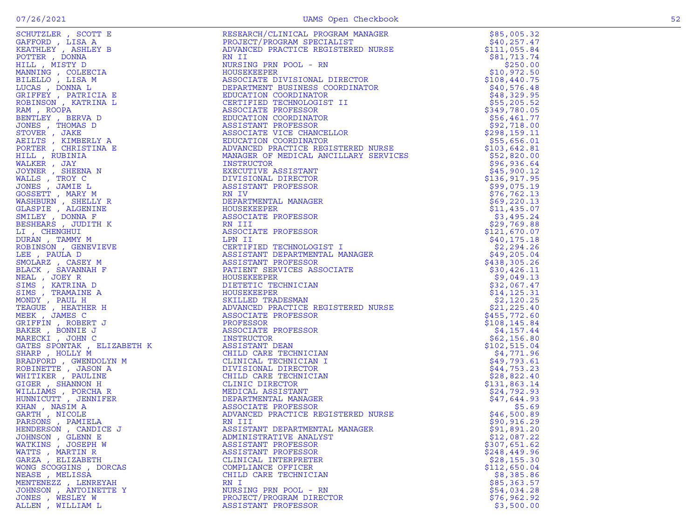| SCHUTZLER, SCOTT E     | RESEARCH/CLINICAL PROGRAM MANAGER<br>PROJECT/PROGRAM SPECIALIST<br>ADVANCED PRACTICE REGISTERED NURSE<br>PN TT                                                                                                                                               | \$85,005.32   |
|------------------------|--------------------------------------------------------------------------------------------------------------------------------------------------------------------------------------------------------------------------------------------------------------|---------------|
| GAFFORD, LISA A        |                                                                                                                                                                                                                                                              | \$40, 257.47  |
| KEATHLEY, ASHLEY B     | ADVANCED PRACTICE REGISTERED NURSE<br>RN II<br>NURSING PRN POOL - RN<br>HOUSEKEEPER<br>ASSOCIATE DIVISIONAL DIRECTOR<br>DEPARTMENT BUSINESS COORDINATOR<br>EDUCATION COORDINATOR<br>CERTIFIED TECHNOLOGIST II<br>ASSOCIATE PROFESSOR<br>EDUCATIO             | \$111,055.84  |
| POTTER, DONNA          |                                                                                                                                                                                                                                                              | \$81,713.74   |
| HILL, MISTY D          |                                                                                                                                                                                                                                                              | \$250.00      |
| MANNING, COLEECIA      |                                                                                                                                                                                                                                                              | \$10,972.50   |
| BILELLO, LISA M        |                                                                                                                                                                                                                                                              | \$108,440.75  |
| LUCAS, DONNA L         |                                                                                                                                                                                                                                                              | \$40,576.48   |
| GRIFFEY , PATRICIA E   |                                                                                                                                                                                                                                                              | \$48,329.95   |
| ROBINSON, KATRINA L    |                                                                                                                                                                                                                                                              | \$55,205.52   |
| RAM, ROOPA             |                                                                                                                                                                                                                                                              | \$349,780.05  |
| BENTLEY , BERVA D      |                                                                                                                                                                                                                                                              | \$56,461.77   |
| JONES , THOMAS D       |                                                                                                                                                                                                                                                              | \$92,718.00   |
| STOVER , JAKE          |                                                                                                                                                                                                                                                              | \$298,159.11  |
| AEILTS, KIMBERLY A     |                                                                                                                                                                                                                                                              | \$55,656.01   |
| PORTER, CHRISTINA E    |                                                                                                                                                                                                                                                              | \$103,642.81  |
| HILL, RUBINIA          |                                                                                                                                                                                                                                                              | \$52,820.00   |
| WALKER, JAY            | INSTRUCTOR                                                                                                                                                                                                                                                   | \$96,936.64   |
| JOYNER , SHEENA N      | EXECUTIVE ASSISTANT                                                                                                                                                                                                                                          | \$45,900.12   |
| WALLS, TROY C          | DIVISIONAL DIRECTOR                                                                                                                                                                                                                                          | \$136,917.95  |
| JONES , JAMIE L        | ASSISTANT PROFESSOR                                                                                                                                                                                                                                          | \$99,075.19   |
| GOSSETT , MARY M       | RN IV                                                                                                                                                                                                                                                        | \$76, 762.13  |
| WASHBURN, SHELLY R     | DEPARTMENTAL MANAGER                                                                                                                                                                                                                                         | \$69,220.13   |
| GLASPIE , ALGENINE     |                                                                                                                                                                                                                                                              | \$11,435.07   |
| SMILEY, DONNA F        | ASSOCIATE PROFESSOR                                                                                                                                                                                                                                          | \$3,495.24    |
| BESHEARS, JUDITH K     | <b>NATIONALISM</b><br>HOUSEKEEPER<br>ASSOCIATE PR<br>RN LII<br>RN LII                                                                                                                                                                                        | \$29,769.88   |
| LI, CHENGHUI           | ASSOCIATE PROFESSOR                                                                                                                                                                                                                                          | \$121,670.07  |
| DURAN, TAMMY M         |                                                                                                                                                                                                                                                              | \$40, 175.18  |
| ROBINSON, GENEVIEVE    |                                                                                                                                                                                                                                                              | \$2,294.26    |
| LEE , PAULA D          |                                                                                                                                                                                                                                                              | \$49,205.04   |
| SMOLARZ, CASEY M       |                                                                                                                                                                                                                                                              | \$438,305.26  |
| BLACK, SAVANNAH F      |                                                                                                                                                                                                                                                              | \$30,426.11   |
| NEAL, JOEY R           |                                                                                                                                                                                                                                                              | \$9,049.13    |
|                        |                                                                                                                                                                                                                                                              | \$32,067.47   |
|                        | ASSOCIATE PROFESSOR<br>LPN II<br>CERTIFIED TECHNOLOGIST I<br>ASSISTANT DEPARTMENTAL MANAGER<br>ASSISTANT PROFESSOR<br>PATIENT SERVICES ASSOCIATE<br>HOUSEKEEPER<br>DIETETIC TECHNICIAN<br>HOUSEKEEPER<br>SKILLED TRADESMAN<br>ADVANCED PRACTICE REGISTERED N | \$14, 125.31  |
|                        |                                                                                                                                                                                                                                                              | \$2,120.25    |
|                        |                                                                                                                                                                                                                                                              | \$21,225.40   |
|                        |                                                                                                                                                                                                                                                              | \$455,772.60  |
|                        |                                                                                                                                                                                                                                                              | \$108, 145.84 |
|                        |                                                                                                                                                                                                                                                              | \$4,157.44    |
|                        |                                                                                                                                                                                                                                                              | \$62,156.80   |
|                        |                                                                                                                                                                                                                                                              | \$102, 515.04 |
|                        |                                                                                                                                                                                                                                                              | \$4,771.96    |
|                        |                                                                                                                                                                                                                                                              | \$49,793.61   |
|                        |                                                                                                                                                                                                                                                              | \$44,753.23   |
|                        |                                                                                                                                                                                                                                                              | \$28,822.40   |
|                        |                                                                                                                                                                                                                                                              | \$131,863.14  |
|                        |                                                                                                                                                                                                                                                              | \$24,792.93   |
|                        |                                                                                                                                                                                                                                                              | \$47,644.93   |
|                        |                                                                                                                                                                                                                                                              | \$5.69        |
|                        |                                                                                                                                                                                                                                                              | \$46,500.89   |
|                        |                                                                                                                                                                                                                                                              | \$90, 916.29  |
| HENDERSON, CANDICE J   | ASSISTANT DEPARTMENTAL MANAGER                                                                                                                                                                                                                               | \$91,891.20   |
| JOHNSON, GLENN E       | ADMINISTRATIVE ANALYST                                                                                                                                                                                                                                       | \$12,087.22   |
| WATKINS, JOSEPH W      | ASSISTANT PROFESSOR                                                                                                                                                                                                                                          | \$307,651.62  |
| WATTS, MARTIN R        | ASSISTANT PROFESSOR                                                                                                                                                                                                                                          | \$248,449.96  |
| GARZA , ELIZABETH      | CLINICAL INTERPRETER                                                                                                                                                                                                                                         | \$28,155.30   |
| WONG SCOGGINS , DORCAS | COMPLIANCE OFFICER                                                                                                                                                                                                                                           | \$112,650.04  |
| NEASE, MELISSA         | CHILD CARE TECHNICIAN                                                                                                                                                                                                                                        | \$8,385.86    |
| MENTENEZZ , LENREYAH   | RN I                                                                                                                                                                                                                                                         | \$85,363.57   |
| JOHNSON, ANTOINETTE Y  | NURSING PRN POOL - RN                                                                                                                                                                                                                                        | \$54,034.28   |
| JONES , WESLEY W       | PROJECT/PROGRAM DIRECTOR                                                                                                                                                                                                                                     | \$76,962.92   |
| ALLEN, WILLIAM L       | ASSISTANT PROFESSOR                                                                                                                                                                                                                                          | \$3,500.00    |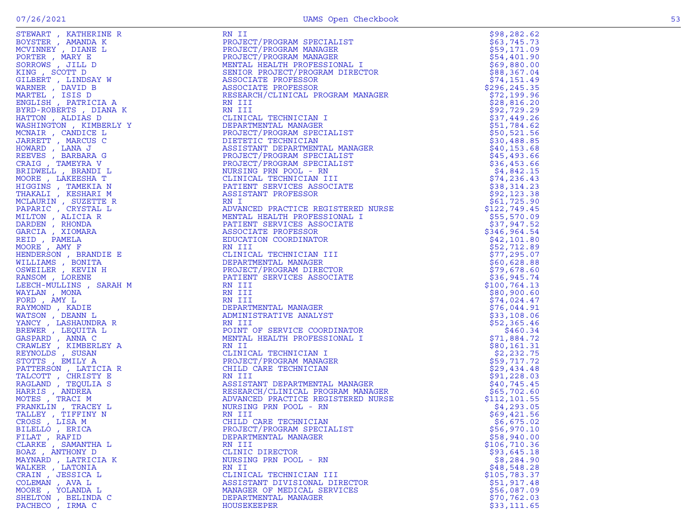| STEWART, KATHERINE R   | RN II                                                                                                                                                                                                                                                               | \$98,282.62   |
|------------------------|---------------------------------------------------------------------------------------------------------------------------------------------------------------------------------------------------------------------------------------------------------------------|---------------|
|                        | PROJECT/PROGRAM SPECIALIST                                                                                                                                                                                                                                          |               |
| BOYSTER, AMANDA K      |                                                                                                                                                                                                                                                                     | \$63,745.73   |
| MCVINNEY, DIANE L      | PROJECT/PROGRAM SPECIALIST<br>PROJECT/PROGRAM MANAGER<br>PROJECT/PROGRAM MANAGER<br>MENTAL HEALTH PROFESSIONAL I<br>SENIOR PROJECT/PROGRAM DIRECTOR<br>ASSOCIATE PROFESSOR<br>ASSOCIATE PROFESSOR<br>RESEARCH/CLINICAL PROGRAM MANAGER<br>RN TIT                    | \$59,171.09   |
| PORTER, MARY E         |                                                                                                                                                                                                                                                                     | \$54,401.90   |
| SORROWS, JILL D        |                                                                                                                                                                                                                                                                     | \$69,880.00   |
| KING, SCOTT D          |                                                                                                                                                                                                                                                                     | \$88,367.04   |
|                        |                                                                                                                                                                                                                                                                     | \$74,151.49   |
| GILBERT , LINDSAY W    |                                                                                                                                                                                                                                                                     |               |
| WARNER, DAVID B        |                                                                                                                                                                                                                                                                     | \$296,245.35  |
| MARTEL , ISIS D        |                                                                                                                                                                                                                                                                     | \$72,199.96   |
| ENGLISH, PATRICIA A    | RN III<br>CLINICAL TECHNICIAN I<br>DEPARTMENTAL MANAGER<br>PROJECT/PROGRAM SPECIALIST<br>DIETETIC TECHNICIAN<br>ASSISTANT DEPARTMENTAL MANAGER<br>PROJECT/PROGRAM SPECIALIST<br>PROJECT/PROGRAM SPECIALIST<br>NURSING PRN POOL - RN<br>CLINICAL TECHNICIAN III<br>" | \$28,816.20   |
| BYRD-ROBERTS, DIANA K  |                                                                                                                                                                                                                                                                     | \$92,729.29   |
| HATTON, ALDIAS D       |                                                                                                                                                                                                                                                                     | \$37,449.26   |
|                        |                                                                                                                                                                                                                                                                     |               |
| WASHINGTON, KIMBERLY Y |                                                                                                                                                                                                                                                                     | \$51,784.62   |
| MCNAIR, CANDICE L      |                                                                                                                                                                                                                                                                     | \$50,521.56   |
| JARRETT , MARCUS C     |                                                                                                                                                                                                                                                                     | \$30,488.85   |
| HOWARD, LANA J         |                                                                                                                                                                                                                                                                     | \$40, 153.68  |
|                        |                                                                                                                                                                                                                                                                     | \$45,493.66   |
| REEVES , BARBARA G     |                                                                                                                                                                                                                                                                     |               |
| CRAIG, TAMEYRA V       |                                                                                                                                                                                                                                                                     | \$36,453.66   |
| BRIDWELL , BRANDI L    |                                                                                                                                                                                                                                                                     | \$4,842.15    |
| MOORE, LAKEESHA T      |                                                                                                                                                                                                                                                                     | \$74, 236.43  |
| HIGGINS , TAMEKIA N    |                                                                                                                                                                                                                                                                     | \$38,314.23   |
|                        |                                                                                                                                                                                                                                                                     |               |
| THAKALI , KESHARI M    |                                                                                                                                                                                                                                                                     | \$92,123.38   |
| MCLAURIN, SUZETTE R    |                                                                                                                                                                                                                                                                     | \$61,725.90   |
| PAPARIC , CRYSTAL L    |                                                                                                                                                                                                                                                                     | \$122,749.45  |
| MILTON, ALICIA R       |                                                                                                                                                                                                                                                                     | \$55,570.09   |
| DARDEN, RHONDA         |                                                                                                                                                                                                                                                                     | \$37,947.52   |
|                        |                                                                                                                                                                                                                                                                     |               |
| GARCIA, XIOMARA        |                                                                                                                                                                                                                                                                     | \$346,964.54  |
| REID, PAMELA           |                                                                                                                                                                                                                                                                     | \$42,101.80   |
| MOORE, AMY F           |                                                                                                                                                                                                                                                                     | \$52,712.89   |
| HENDERSON, BRANDIE E   |                                                                                                                                                                                                                                                                     | \$77,295.07   |
| WILLIAMS, BONITA       |                                                                                                                                                                                                                                                                     | \$60,628.88   |
|                        |                                                                                                                                                                                                                                                                     |               |
| OSWEILER , KEVIN H     | D INN K RESERVECTIVITION NAMAGER IN THE RESERVED IN THE RESERVED IN THE RESERVED ON THE SERVED IN THE SERVED ON THE RESERVED ON THE RESERVED ON THE RESERVED ON THE RESERVED ON THE RESERVED ON A MANUSCREP IN THE RESERVED PR                                      | \$79,678.60   |
| RANSOM, LORENE         |                                                                                                                                                                                                                                                                     | \$36, 945.74  |
| LEECH-MULLINS, SARAH M |                                                                                                                                                                                                                                                                     | \$100, 764.13 |
| WAYLAN, MONA           |                                                                                                                                                                                                                                                                     | \$80,900.60   |
| FORD, AMY L            |                                                                                                                                                                                                                                                                     | \$74,024.47   |
|                        |                                                                                                                                                                                                                                                                     |               |
| RAYMOND, KADIE         |                                                                                                                                                                                                                                                                     | \$76,044.91   |
| WATSON, DEANN L        |                                                                                                                                                                                                                                                                     | \$33,108.06   |
| YANCY, LASHAUNDRA R    |                                                                                                                                                                                                                                                                     | \$52,365.46   |
| BREWER, LEQUITA L      |                                                                                                                                                                                                                                                                     | \$460.34      |
| GASPARD, ANNA C        |                                                                                                                                                                                                                                                                     | \$71,884.72   |
|                        | RN II<br>RN II<br>CLINICAL TECHNICIAN I<br>PROJECT/PROGRAM MANAGER<br>CHILD CARE TECHNICIAN<br>RN III<br>ASSISTANT DEPARTMENTAL MANAGER<br>RESEARCH/CLINICAL PROGRAM MANAGER<br>ADVANCED PRACTICE REGISTERED NURSE<br>NIVANCED PRACTICE REGISTERED NURSE            |               |
| CRAWLEY, KIMBERLEY A   |                                                                                                                                                                                                                                                                     | \$80,161.31   |
| REYNOLDS , SUSAN       |                                                                                                                                                                                                                                                                     | \$2,232.75    |
| STOTTS, EMILY A        |                                                                                                                                                                                                                                                                     | \$59,717.72   |
| PATTERSON, LATICIA R   |                                                                                                                                                                                                                                                                     | \$29,434.48   |
| TALCOTT, CHRISTY E     |                                                                                                                                                                                                                                                                     | \$91,228.03   |
|                        |                                                                                                                                                                                                                                                                     |               |
| RAGLAND , TEQULIA S    |                                                                                                                                                                                                                                                                     | \$40,745.45   |
| HARRIS, ANDREA         |                                                                                                                                                                                                                                                                     | \$65,702.60   |
| MOTES, TRACI M         |                                                                                                                                                                                                                                                                     | \$112,101.55  |
| FRANKLIN, TRACEY L     | NURSING PRN POOL - RN                                                                                                                                                                                                                                               | \$4,293.05    |
| TALLEY, TIFFINY N      | RN III                                                                                                                                                                                                                                                              | \$69,421.56   |
|                        |                                                                                                                                                                                                                                                                     |               |
| CROSS, LISA M          | CHILD CARE TECHNICIAN                                                                                                                                                                                                                                               | \$6,675.02    |
| BILELLO, ERICA         | PROJECT/PROGRAM SPECIALIST                                                                                                                                                                                                                                          | \$56,970.10   |
| FILAT, RAFID           | DEPARTMENTAL MANAGER                                                                                                                                                                                                                                                | \$58,940.00   |
| CLARKE, SAMANTHA L     | RN III                                                                                                                                                                                                                                                              | \$106,710.36  |
| BOAZ, ANTHONY D        | CLINIC DIRECTOR                                                                                                                                                                                                                                                     | \$93,645.18   |
| MAYNARD, LATRICIA K    |                                                                                                                                                                                                                                                                     | \$8,284.90    |
|                        | NURSING PRN POOL - RN                                                                                                                                                                                                                                               |               |
| WALKER, LATONIA        | RN II                                                                                                                                                                                                                                                               | \$48,548.28   |
| CRAIN, JESSICA L       | CLINICAL TECHNICIAN III                                                                                                                                                                                                                                             | \$105,783.37  |
| COLEMAN, AVA L         | ASSISTANT DIVISIONAL DIRECTOR                                                                                                                                                                                                                                       | \$51,917.48   |
| MOORE , YOLANDA L      | MANAGER OF MEDICAL SERVICES                                                                                                                                                                                                                                         | \$56,087.09   |
| SHELTON , BELINDA C    | DEPARTMENTAL MANAGER                                                                                                                                                                                                                                                |               |
|                        |                                                                                                                                                                                                                                                                     | \$70, 762.03  |
| PACHECO, IRMA C        | HOUSEKEEPER                                                                                                                                                                                                                                                         | \$33,111.65   |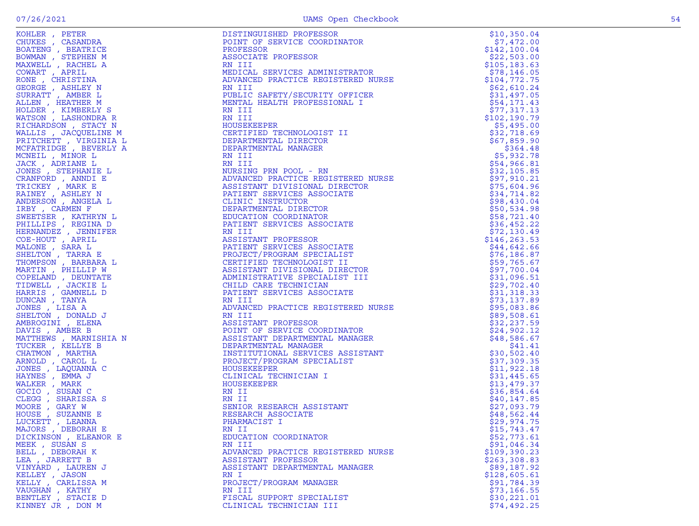| $\sim$ |  |
|--------|--|

| KOHLER , PETER                                                        | DISTINGUISHED PROFESSOR                                                                                                                                                                                                                            | \$10,350.04                 |
|-----------------------------------------------------------------------|----------------------------------------------------------------------------------------------------------------------------------------------------------------------------------------------------------------------------------------------------|-----------------------------|
| CHUKES, CASANDRA                                                      | POINT OF SERVICE COORDINATOR                                                                                                                                                                                                                       | \$7,472.00                  |
| BOATENG, BEATRICE                                                     | PROFESSOR                                                                                                                                                                                                                                          | \$142, 100.04               |
| BOWMAN, STEPHEN M                                                     | ASSOCIATE PROFESSOR                                                                                                                                                                                                                                | \$22,503.00                 |
| MAXWELL , RACHEL A                                                    | RN III                                                                                                                                                                                                                                             | \$105, 183.63               |
| COWART, APRIL                                                         | MEDICAL SERVICES ADMINISTRATOR                                                                                                                                                                                                                     | \$78,146.05                 |
| RONE , CHRISTINA                                                      | ADVANCED PRACTICE REGISTERED NURSE                                                                                                                                                                                                                 | \$104,772.75                |
| GEORGE , ASHLEY N                                                     | RN III                                                                                                                                                                                                                                             | \$62,610.24                 |
| SURRATT , AMBER L                                                     | PUBLIC SAFETY/SECURITY OFFICER                                                                                                                                                                                                                     | \$31,497.05                 |
| ALLEN, HEATHER M                                                      | MENTAL HEALTH PROFESSIONAL I                                                                                                                                                                                                                       | \$54,171.43                 |
| HOLDER , KIMBERLY S                                                   | RN III                                                                                                                                                                                                                                             | \$77,317.13                 |
| WATSON , LASHONDRA R                                                  | RN III                                                                                                                                                                                                                                             | \$102,190.79                |
| RICHARDSON, STACY N                                                   | HOUSEKEEPER                                                                                                                                                                                                                                        | \$5,495.00                  |
| WALLIS , JACQUELINE M                                                 | CERTIFIED TECHNOLOGIST II<br>CERTIFIED IECHNOLOGIS.<br>DEPARTMENTAL DIRECTOR                                                                                                                                                                       | \$32,718.69                 |
| PRITCHETT, VIRGINIA L                                                 |                                                                                                                                                                                                                                                    | \$67,859.90                 |
| MCFATRIDGE, BEVERLY A                                                 |                                                                                                                                                                                                                                                    | \$364.48                    |
| MCNEIL , MINOR L                                                      |                                                                                                                                                                                                                                                    | \$5,932.78                  |
| JACK, ADRIANE L                                                       |                                                                                                                                                                                                                                                    | \$54,966.81                 |
| JONES , STEPHANIE L                                                   |                                                                                                                                                                                                                                                    | \$32,105.85                 |
| CRANFORD, ANNDI E                                                     |                                                                                                                                                                                                                                                    | \$97,910.21                 |
| TRICKEY , MARK E                                                      |                                                                                                                                                                                                                                                    | \$75,604.96                 |
| RAINEY , ASHLEY N                                                     |                                                                                                                                                                                                                                                    | \$34,714.82                 |
| ANDERSON , ANGELA L                                                   | DEPARTMENTAL MANAGER<br>DEPARTMENTAL MANAGER<br>RN III<br>RN III<br>NURSING PRN POOL - RN<br>ADVANCED PRACTICE REGISTERED NURSE<br>ASSISTANT DIVISIONAL DIRECTOR<br>PATIENT SERVICES ASSOCIATE<br>CLINIC INSTRUCTOR<br>DEPARTMENTAL DIRECTOR<br>DE | \$98,430.04                 |
| IRBY, CARMEN F                                                        |                                                                                                                                                                                                                                                    | \$50,534.98                 |
| SWEETSER, KATHRYN L                                                   |                                                                                                                                                                                                                                                    | \$58,721.40                 |
| PHILLIPS, REGINA D                                                    |                                                                                                                                                                                                                                                    | \$36,452.22                 |
| HERNANDEZ , JENNIFER                                                  | RN III                                                                                                                                                                                                                                             | \$72,130.49                 |
| COE-HOUT, APRIL                                                       | ASSISTANT PROFESSOR                                                                                                                                                                                                                                | \$146,263.53                |
| MALONE , SARA L<br>SHELTON, TARRA E                                   | PATIENT SERVICES ASSOCIATE                                                                                                                                                                                                                         | \$44,642.66                 |
| THOMPSON, BARBARA L                                                   | PROJECT/PROGRAM SPECIALIST<br>CERTIFIED TECHNOLOGIST II                                                                                                                                                                                            | \$76, 186.87<br>\$59,765.67 |
| MARTIN, PHILLIP W                                                     | ASSISTANT DIVISIONAL DIRECTOR                                                                                                                                                                                                                      |                             |
| COPELAND, DEUNTATE                                                    | ADMINISTRATIVE SPECIALIST III                                                                                                                                                                                                                      | \$97,700.04<br>\$31,096.51  |
| TIDWELL , JACKIE L                                                    | CHILD CARE TECHNICIAN                                                                                                                                                                                                                              | \$29,702.40                 |
| HARRIS , GAMNELL D                                                    | PATIENT SERVICES ASSOCIATE                                                                                                                                                                                                                         | \$31,318.33                 |
| DUNCAN, TANYA                                                         | RN III                                                                                                                                                                                                                                             | \$73,137.89                 |
| JONES , LISA A                                                        | ADVANCED PRACTICE REGISTERED NURSE                                                                                                                                                                                                                 | \$95,083.86                 |
| SHELTON, DONALD J                                                     | RN III                                                                                                                                                                                                                                             | \$89,508.61                 |
| AMBROGINI , ELENA                                                     | ASSISTANT PROFESSOR                                                                                                                                                                                                                                | \$32,237.59                 |
| DAVIS , AMBER B                                                       | POINT OF SERVICE COORDINATOR                                                                                                                                                                                                                       | \$24,902.12                 |
| MATTHEWS , MARNISHIA N                                                | ASSISTANT DEPARTMENTAL MANAGER                                                                                                                                                                                                                     | \$48,586.67                 |
| $\begin{array}{c} \overline{1} \\ 1 \end{array}$<br>TUCKER , KELLYE B | DEPARTMENTAL MANAGER                                                                                                                                                                                                                               | \$41.41                     |
| CHATMON, MARTHA                                                       |                                                                                                                                                                                                                                                    | \$30,502.40                 |
| ARNOLD, CAROL L                                                       | INSTITUTIONAL SERVICES ASSISTANT<br>PROJECT/PROGRAM SPECIALIST<br>HOUSEKEEPER<br>CLINICAL TECHNICIAN I<br>HOUSEKEEPER<br>MOUSEKEEPER<br>MOUSEKEEPER                                                                                                | \$37,309.35                 |
| JONES , LAQUANNA C                                                    |                                                                                                                                                                                                                                                    | \$11,922.18                 |
| HAYNES , EMMA J                                                       |                                                                                                                                                                                                                                                    | \$31,445.65                 |
| WALKER , MARK                                                         |                                                                                                                                                                                                                                                    | \$13,479.37                 |
| GOCIO, SUSAN C                                                        | RN II                                                                                                                                                                                                                                              | \$36,854.64                 |
| CLEGG, SHARISSA S                                                     | RN II                                                                                                                                                                                                                                              | \$40,147.85                 |
| MOORE, GARY W                                                         | SENIOR RESEARCH ASSISTANT                                                                                                                                                                                                                          | \$27,093.79                 |
| HOUSE , SUZANNE E                                                     | RESEARCH ASSOCIATE                                                                                                                                                                                                                                 | \$48,562.44                 |
| LUCKETT, LEANNA                                                       | PHARMACIST I                                                                                                                                                                                                                                       | \$29,974.75                 |
| MAJORS , DEBORAH E                                                    | RN II                                                                                                                                                                                                                                              | \$15,743.47                 |
| DICKINSON , ELEANOR E                                                 | EDUCATION COORDINATOR                                                                                                                                                                                                                              | \$52,773.61                 |
| MEEK , SUSAN S                                                        | RN III                                                                                                                                                                                                                                             | \$91,046.34                 |
| BELL , DEBORAH K                                                      | ADVANCED PRACTICE REGISTERED NURSE                                                                                                                                                                                                                 | \$109,390.23                |
| LEA , JARRETT B                                                       | ASSISTANT PROFESSOR                                                                                                                                                                                                                                | \$263,308.83                |
| VINYARD , LAUREN J                                                    | ASSISTANT DEPARTMENTAL MANAGER                                                                                                                                                                                                                     | \$89,187.92                 |
| KELLEY , JASON                                                        | RN I                                                                                                                                                                                                                                               | \$128,605.61                |
| KELLY , CARLISSA M                                                    | PROJECT/PROGRAM MANAGER                                                                                                                                                                                                                            | \$91,784.39                 |
| VAUGHAN, KATHY                                                        | RN III                                                                                                                                                                                                                                             | \$73,166.55                 |
| BENTLEY, STACIE D                                                     | FISCAL SUPPORT SPECIALIST                                                                                                                                                                                                                          | \$30,221.01                 |
| KINNEY JR , DON M                                                     | CLINICAL TECHNICIAN III                                                                                                                                                                                                                            | \$74,492.25                 |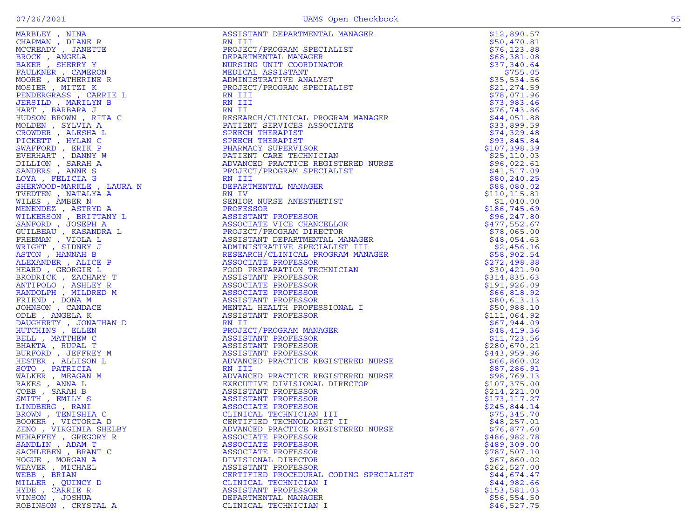|                                                                                        | ᆂᅜᆂᅑ<br>----        |
|----------------------------------------------------------------------------------------|---------------------|
| MCCREADY, JANETTE                                                                      | PROJECT/PROG        |
| BROCK, ANGELA                                                                          | DEPARTMENTAL        |
| BAKER, SHERRY Y                                                                        | NURSING UNIT        |
| FAULKNER , CAMERON                                                                     | MEDICAL ASSI        |
|                                                                                        |                     |
| MOORE, KATHERINE R                                                                     | ADMINISTRATI        |
| MOSIER , MITZI K                                                                       | PROJECT/PROG        |
| PENDERGRASS , CARRIE L                                                                 | RN III              |
| JERSILD, MARILYN B                                                                     | RN III              |
| HART, BARBARA J                                                                        | RN II               |
| HUDSON BROWN, RITA C                                                                   | RESEARCH/CLI        |
| MOLDEN , SYLVIA A                                                                      | PATIENT SERV        |
| CROWDER , ALESHA L<br>PICKETT , HYLAN C                                                | SPEECH THERA        |
|                                                                                        | SPEECH THERA        |
|                                                                                        | PHARMACY SUP        |
|                                                                                        | PATIENT CARE        |
| SWAFFORD , ERIK P<br>EVERHART , DANNY W<br>DILLION , SARAH A                           | ADVANCED PRA        |
| SANDERS, ANNE S                                                                        | PROJECT/PROG        |
| LOYA, FELICIA G                                                                        |                     |
|                                                                                        | RN III              |
| SHERWOOD-MARKLE , LAURA N                                                              | DEPARTMENTAL        |
| TVEDTEN , NATALYA A                                                                    | RN IV               |
| WILES , AMBER N                                                                        | <b>SENIOR NURSE</b> |
| MENENDEZ , ASTRYD A                                                                    | PROFESSOR           |
| WILKERSON , BRITTANY L                                                                 | ASSISTANT PR        |
| SANFORD, JOSEPH A                                                                      | <b>ASSOCIATE VI</b> |
| GUILBEAU , KASANDRA L<br>FREEMAN , VIOLA L<br>WRIGHT , SIDNEY J<br>ASTON , HANNAH B    | PROJECT/PROG        |
|                                                                                        | ASSISTANT DE        |
|                                                                                        | ADMINISTRATI        |
|                                                                                        | RESEARCH/CLI        |
| ALEXANDER, ALICE P                                                                     | ASSOCIATE PR        |
| HEARD, GEORGIE L                                                                       | FOOD PREPARA        |
| BRODRICK, ZACHARY T                                                                    | ASSISTANT PR        |
|                                                                                        | ASSOCIATE PR        |
| ANTIPOLO , ASHLEY R<br>RANDOLPH , MILDRED M                                            | ASSOCIATE PR        |
|                                                                                        | ASSISTANT PR        |
| FRIEND , DONA M<br>JOHNSON , CANDACE                                                   |                     |
|                                                                                        | MENTAL HEALT        |
| ODLE , ANGELA K                                                                        | <b>ASSISTANT PR</b> |
| DAUGHERTY , JONATHAN D                                                                 | RN II               |
| HUTCHINS , ELLEN                                                                       | PROJECT/PROG        |
| BELL , MATTHEW C<br>BHAKTA , RUPAL T                                                   | ASSISTANT PR        |
|                                                                                        | ASSISTANT PR        |
| BURFORD , JEFFREY M<br>HESTER , ALLISON L                                              | ASSISTANT PR        |
|                                                                                        | ADVANCED PRA        |
|                                                                                        | RN III              |
|                                                                                        | ADVANCED PRA        |
|                                                                                        | EXECUTIVE DI        |
|                                                                                        | ASSISTANT PR        |
| SOTO, PATRICIA<br>WALKER, MEAGAN M<br>RAKES, ANNA L<br>COBB, SARAH B<br>SMITH, EMILY S | ASSISTANT PR        |
| LINDBERG , RANI                                                                        | <b>ASSOCIATE PR</b> |
| BROWN, TENISHIA C                                                                      | CLINICAL TEC        |
| BOOKER , VICTORIA D                                                                    | CERTIFIED TE        |
| ZENO , VIRGINIA SHELBY                                                                 | ADVANCED PRA        |
|                                                                                        |                     |
| MEHAFFEY , GREGORY R                                                                   | ASSOCIATE PR        |
| SANDLIN, ADAM T<br>SACHLEBEN, BRANT C                                                  | <b>ASSOCIATE PR</b> |
|                                                                                        | ASSOCIATE PR        |
| $HOGUE$ , $MORGAN A$                                                                   | DIVISIONAL D        |
| WEAVER , MICHAEL<br>WEBB , BRIAN                                                       | ASSISTANT PR        |
|                                                                                        | CERTIFIED PR        |
| MILLER, QUINCY D                                                                       | CLINICAL TEC        |
| HYDE, CARRIE R                                                                         | <b>ASSISTANT PR</b> |
| VINSON, JOSHUA                                                                         | DEPARTMENTAL        |
| DODINGONI CUVCTAI A                                                                    | $ATTMTOAT$ THEO     |

| MARBLEY, NINA                       | ASSISTANT DEPARTMENTAL MANAGER                                                                                                                                                                                                                                                                                                                                                                             | \$12,890.57               |
|-------------------------------------|------------------------------------------------------------------------------------------------------------------------------------------------------------------------------------------------------------------------------------------------------------------------------------------------------------------------------------------------------------------------------------------------------------|---------------------------|
| CHAPMAN, DIANE R                    | RN III                                                                                                                                                                                                                                                                                                                                                                                                     | \$50,470.81               |
| MCCREADY, JANETTE                   | PROJECT/PROGRAM SPECIALIST                                                                                                                                                                                                                                                                                                                                                                                 | \$76, 123.88              |
| BROCK, ANGELA                       | DEPARTMENTAL MANAGER                                                                                                                                                                                                                                                                                                                                                                                       | \$68,381.08               |
| BAKER, SHERRY Y                     | NURSING UNIT COORDINATOR                                                                                                                                                                                                                                                                                                                                                                                   | \$37,340.64               |
| FAULKNER, CAMERON                   | NUNDER<br>MEDICAL ASSIBIANT<br>ADMINISTRATIVE ANALYST<br>PROJECT/PROGRAM SPECIALIST<br>RN III<br>PN III                                                                                                                                                                                                                                                                                                    | \$755.05                  |
| MOORE, KATHERINE R                  | ADMINISTRATIVE ANALYST                                                                                                                                                                                                                                                                                                                                                                                     | \$35,534.56               |
| MOSIER, MITZI K                     |                                                                                                                                                                                                                                                                                                                                                                                                            | \$21, 274.59              |
| PENDERGRASS, CARRIE L               |                                                                                                                                                                                                                                                                                                                                                                                                            | \$78,071.96               |
| JERSILD, MARILYN B                  |                                                                                                                                                                                                                                                                                                                                                                                                            | \$73,983.46               |
| HART, BARBARA J                     |                                                                                                                                                                                                                                                                                                                                                                                                            | \$76, 743.86              |
| HUDSON BROWN, RITA C                |                                                                                                                                                                                                                                                                                                                                                                                                            | \$44,051.88               |
| MOLDEN, SYLVIA A                    |                                                                                                                                                                                                                                                                                                                                                                                                            | \$33,899.59               |
| CROWDER , ALESHA L                  |                                                                                                                                                                                                                                                                                                                                                                                                            | \$74,329.48               |
| PICKETT, HYLAN C                    |                                                                                                                                                                                                                                                                                                                                                                                                            | \$93,845.84               |
| SWAFFORD, ERIK P                    |                                                                                                                                                                                                                                                                                                                                                                                                            | \$107,398.39              |
| EVERHART , DANNY W                  |                                                                                                                                                                                                                                                                                                                                                                                                            | \$25, 110.03              |
| DILLION, SARAH A                    |                                                                                                                                                                                                                                                                                                                                                                                                            | \$96,022.61               |
| SANDERS, ANNE S                     |                                                                                                                                                                                                                                                                                                                                                                                                            | \$41,517.09               |
| LOYA, FELICIA G                     |                                                                                                                                                                                                                                                                                                                                                                                                            | \$80, 240.25              |
| SHERWOOD-MARKLE, LAURA N            |                                                                                                                                                                                                                                                                                                                                                                                                            | \$88,080.02               |
| TVEDTEN, NATALYA A                  |                                                                                                                                                                                                                                                                                                                                                                                                            | \$110, 115.81             |
| WILES, AMBER N                      |                                                                                                                                                                                                                                                                                                                                                                                                            | \$1,040.00                |
| MENENDEZ, ASTRYD A                  |                                                                                                                                                                                                                                                                                                                                                                                                            | \$186,745.69              |
| WILKERSON, BRITTANY L               |                                                                                                                                                                                                                                                                                                                                                                                                            | \$96, 247.80              |
| SANFORD, JOSEPH A                   |                                                                                                                                                                                                                                                                                                                                                                                                            | \$477,552.67              |
| GUILBEAU , KASANDRA L               |                                                                                                                                                                                                                                                                                                                                                                                                            | \$78,065.00               |
| FREEMAN, VIOLA L                    |                                                                                                                                                                                                                                                                                                                                                                                                            | \$48,054.63               |
| WRIGHT, SIDNEY J<br>ASTON, HANNAH B |                                                                                                                                                                                                                                                                                                                                                                                                            | \$2,456.16<br>\$58,902.54 |
| ALEXANDER, ALICE P                  |                                                                                                                                                                                                                                                                                                                                                                                                            | \$272,498.88              |
| HEARD, GEORGIE L                    |                                                                                                                                                                                                                                                                                                                                                                                                            | \$30,421.90               |
| BRODRICK, ZACHARY T                 |                                                                                                                                                                                                                                                                                                                                                                                                            | \$314,835.63              |
| ANTIPOLO, ASHLEY R                  |                                                                                                                                                                                                                                                                                                                                                                                                            | \$191, 926.09             |
| RANDOLPH, MILDRED M                 |                                                                                                                                                                                                                                                                                                                                                                                                            | \$66,818.92               |
| FRIEND, DONA M                      |                                                                                                                                                                                                                                                                                                                                                                                                            | \$80,613.13               |
| JOHNSON, CANDACE                    |                                                                                                                                                                                                                                                                                                                                                                                                            | \$50,988.10               |
| ODLE, ANGELA K                      |                                                                                                                                                                                                                                                                                                                                                                                                            | \$111,064.92              |
| DAUGHERTY , JONATHAN D              |                                                                                                                                                                                                                                                                                                                                                                                                            | \$67,944.09               |
| HUTCHINS, ELLEN                     |                                                                                                                                                                                                                                                                                                                                                                                                            | \$48,419.36               |
| BELL, MATTHEW C                     |                                                                                                                                                                                                                                                                                                                                                                                                            | \$11,723.56               |
| BHAKTA, RUPAL T                     |                                                                                                                                                                                                                                                                                                                                                                                                            | \$280,670.21              |
| BURFORD, JEFFREY M                  |                                                                                                                                                                                                                                                                                                                                                                                                            | \$443,959.96              |
| HESTER , ALLISON L                  |                                                                                                                                                                                                                                                                                                                                                                                                            | \$66,860.02               |
| SOTO, PATRICIA                      |                                                                                                                                                                                                                                                                                                                                                                                                            | \$87,286.91               |
| WALKER, MEAGAN M                    | RN III<br>ADVANCED PRACTICE REGISTERED NURSE<br>EXECUTIVE DIVISIONAL DIRECTOR<br>ASSISTANT PROFESSOR<br>ASSISTANT PROFESSOR<br>ASSOCIATE PROFESSOR<br>CLINICAL TECHNICIAN III<br>CERTIFIED TECHNOLOGIST II<br>PRINCED PROFESSOR<br>ANVATED PROFESSOR                                                                                                                                                       | \$98,769.13               |
| RAKES, ANNA L                       |                                                                                                                                                                                                                                                                                                                                                                                                            | \$107,375.00              |
| $COBB$ , SARAH B                    |                                                                                                                                                                                                                                                                                                                                                                                                            | \$214,221.00              |
| SMITH, EMILY S                      |                                                                                                                                                                                                                                                                                                                                                                                                            | \$173,117.27              |
| LINDBERG , RANI                     |                                                                                                                                                                                                                                                                                                                                                                                                            | \$245,844.14              |
| BROWN, TENISHIA C                   |                                                                                                                                                                                                                                                                                                                                                                                                            | \$75,345.70               |
| BOOKER, VICTORIA D                  |                                                                                                                                                                                                                                                                                                                                                                                                            | \$48, 257.01              |
| ZENO , VIRGINIA SHELBY              | ADVANCED PRACTICE REGISTERED NURSE                                                                                                                                                                                                                                                                                                                                                                         | \$76,877.60               |
| MEHAFFEY , GREGORY R                | $\begin{tabular}{c c c} {\bf 0} & {\bf 0} & {\bf 0} & {\bf 0} & {\bf 0} & {\bf 0} & {\bf 0} & {\bf 0} & {\bf 0} & {\bf 0} & {\bf 0} & {\bf 0} & {\bf 0} & {\bf 0} & {\bf 0} & {\bf 0} & {\bf 0} & {\bf 0} & {\bf 0} & {\bf 0} & {\bf 0} & {\bf 0} & {\bf 0} & {\bf 0} & {\bf 0} & {\bf 0} & {\bf 0} & {\bf 0} & {\bf 0} & {\bf 0} & {\bf 0} & {\bf 0} & {\bf 0} & {\bf 0} & {\bf 0$<br>ASSOCIATE PROFESSOR | \$486,982.78              |
| SANDLIN, ADAM T                     | ASSOCIATE PROFESSOR                                                                                                                                                                                                                                                                                                                                                                                        | \$489,309.00              |
| SACHLEBEN, BRANT C                  | ASSOCIATE PROFESSOR                                                                                                                                                                                                                                                                                                                                                                                        | \$787,507.10              |
| HOGUE, MORGAN A                     | DIVISIONAL DIRECTOR                                                                                                                                                                                                                                                                                                                                                                                        | \$67,860.02               |
| WEAVER , MICHAEL                    | ASSISTANT PROFESSOR                                                                                                                                                                                                                                                                                                                                                                                        | \$262,527.00              |
| WEBB , BRIAN                        | CERTIFIED PROCEDURAL CODING SPECIALIST                                                                                                                                                                                                                                                                                                                                                                     | \$44,674.47               |
| MILLER , QUINCY D                   | CLINICAL TECHNICIAN I                                                                                                                                                                                                                                                                                                                                                                                      | \$44,982.66               |
| HYDE , CARRIE R                     | ASSISTANT PROFESSOR                                                                                                                                                                                                                                                                                                                                                                                        | \$153,581.03              |
| VINSON, JOSHUA                      | DEPARTMENTAL MANAGER                                                                                                                                                                                                                                                                                                                                                                                       | \$56,554.50               |
| ROBINSON, CRYSTAL A                 | CLINICAL TECHNICIAN I                                                                                                                                                                                                                                                                                                                                                                                      | \$46,527.75               |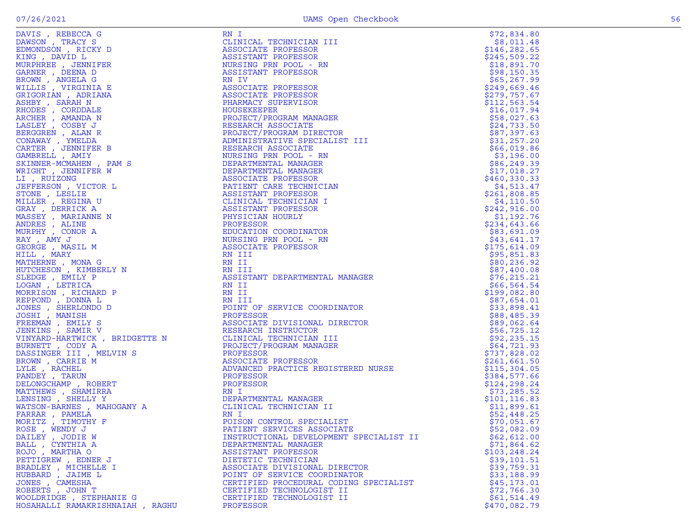| DAVIS, REBECCA G                 | RN I                                                                                                                                                                                             | \$72,834.80   |
|----------------------------------|--------------------------------------------------------------------------------------------------------------------------------------------------------------------------------------------------|---------------|
| DAWSON, TRACY S                  | CLINICAL TECHNICIAN III                                                                                                                                                                          | \$8,011.48    |
| EDMONDSON, RICKY D               | ASSOCIATE PROFESSOR                                                                                                                                                                              | \$146, 282.65 |
| KING, DAVID L                    | ASSISTANT PROFESSOR                                                                                                                                                                              | \$245,509.22  |
| MURPHREE , JENNIFER              | NURSING PRN POOL - RN                                                                                                                                                                            | \$18,891.70   |
| GARNER , DEENA D                 | ASSISTANT PROFESSOR                                                                                                                                                                              | \$98,150.35   |
| BROWN, ANGELA G                  | RN IV                                                                                                                                                                                            | \$65, 267.99  |
| WILLIS , VIRGINIA E              | ASSOCIATE PROFESSOR                                                                                                                                                                              | \$249,669.46  |
| GRIGORIAN, ADRIANA               | ASSOCIATE PROFESSOR                                                                                                                                                                              | \$279,757.67  |
| ASHBY, SARAH N                   | PHARMACY SUPERVISOR                                                                                                                                                                              | \$112,563.54  |
| RHODES , CORDDALE                | HOUSEKEEPER                                                                                                                                                                                      | \$16,017.94   |
|                                  |                                                                                                                                                                                                  |               |
| ARCHER, AMANDA N                 | PROJECT/PROGRAM MANAGER                                                                                                                                                                          | \$58,027.63   |
| LASLEY, COSBY J                  | RESEARCH ASSOCIATE                                                                                                                                                                               | \$24,733.50   |
| BERGGREN, ALAN R                 | PROJECT/PROGRAM DIRECTOR                                                                                                                                                                         | \$87,397.63   |
| CONAWAY, YMELDA                  | ADMINISTRATIVE SPECIALIST III                                                                                                                                                                    | \$31,257.20   |
| CARTER, JENNIFER B               | RESEARCH ASSOCIATE                                                                                                                                                                               | \$66,019.86   |
| GAMBRELL , AMIY                  | NURSING PRN POOL - RN<br>NURSING PRN POOL - RN<br>DEPARTMENTAL MANAGER<br>DEPARTMENTAL MANAGER<br>ASSOCIATE PROFESSOR<br>PATIENT CARE TECHNICIAN<br>ASSISTANT PROFESSOR<br>CLINICAL TECHNICIAN I | \$3,196.00    |
| SKINNER-MCMAHEN, PAM S           |                                                                                                                                                                                                  | \$86,249.39   |
| WRIGHT , JENNIFER W              |                                                                                                                                                                                                  | \$17,018.27   |
| LI, RUIZONG                      |                                                                                                                                                                                                  | \$460,330.33  |
| JEFFERSON, VICTOR L              |                                                                                                                                                                                                  | \$4,513.47    |
| STONE , LESLIE                   |                                                                                                                                                                                                  | \$261,808.85  |
| MILLER, REGINA U                 |                                                                                                                                                                                                  | \$4,110.50    |
| GRAY, DERRICK A                  | ASSISTANT PROFESSOR                                                                                                                                                                              | \$242,916.00  |
| MASSEY , MARIANNE N              | PHYSICIAN HOURLY                                                                                                                                                                                 | \$1,192.76    |
| ANDRES, ALINE                    | PROFESSOR                                                                                                                                                                                        | \$234,643.66  |
| MURPHY, CONOR A                  | EDUCATION COORDINATOR                                                                                                                                                                            | \$83,691.09   |
| RAY, AMY J                       | NURSING PRN POOL - RN                                                                                                                                                                            | \$43,641.17   |
| GEORGE , MASIL M                 | ASSOCIATE PROFESSOR                                                                                                                                                                              | \$175,614.09  |
| HILL , MARY                      | RN III                                                                                                                                                                                           | \$95,851.83   |
|                                  |                                                                                                                                                                                                  |               |
| MATHERNE, MONA G                 | RN II                                                                                                                                                                                            | \$80, 236.92  |
| HUTCHESON, KIMBERLY N            | RN III<br>ASSIST                                                                                                                                                                                 | \$87,400.08   |
| SLEDGE, EMILY P                  | ASSISTANT DEPARTMENTAL MANAGER                                                                                                                                                                   | \$76, 215.21  |
| LOGAN, LETRICA                   | RN II                                                                                                                                                                                            | \$66,564.54   |
| MORRISON, RICHARD P              | RN II                                                                                                                                                                                            | \$199,082.80  |
| REPPOND , DONNA L                | RN III<br>RN III<br>POINT OF SERVICE COORDINATOR                                                                                                                                                 | \$87,654.01   |
| JONES , SHERLONDO D              |                                                                                                                                                                                                  | \$33,898.41   |
|                                  |                                                                                                                                                                                                  | \$88,485.39   |
|                                  |                                                                                                                                                                                                  | \$89,062.64   |
|                                  |                                                                                                                                                                                                  | \$56, 725.12  |
|                                  |                                                                                                                                                                                                  | \$92, 235.15  |
|                                  |                                                                                                                                                                                                  | \$64,721.93   |
|                                  |                                                                                                                                                                                                  | \$737,828.02  |
|                                  |                                                                                                                                                                                                  | \$261,661.50  |
|                                  | ADVANCED PRACTICE REGISTERED NURSE                                                                                                                                                               | \$115,304.05  |
|                                  |                                                                                                                                                                                                  | \$384,577.66  |
|                                  |                                                                                                                                                                                                  | \$124,298.24  |
|                                  |                                                                                                                                                                                                  | \$73, 285.52  |
|                                  |                                                                                                                                                                                                  | \$101, 116.83 |
|                                  |                                                                                                                                                                                                  | \$11,899.61   |
|                                  |                                                                                                                                                                                                  | \$52,448.25   |
|                                  |                                                                                                                                                                                                  | \$70,051.67   |
| ROSE, WENDY J                    |                                                                                                                                                                                                  | \$52,082.09   |
| DAILEY, JODIE W                  | PATIENT SERVICES ASSOCIATE                                                                                                                                                                       |               |
| BALL , CYNTHIA A                 | INSTRUCTIONAL DEVELOPMENT SPECIALIST II<br>DEPARTMENTAL MANAGER                                                                                                                                  | \$62,612.00   |
|                                  |                                                                                                                                                                                                  | \$71,864.62   |
| ROJO, MARTHA O                   | ASSISTANT PROFESSOR                                                                                                                                                                              | \$103, 248.24 |
| PETTIGREW, EDNER J               | DIETETIC TECHNICIAN                                                                                                                                                                              | \$39,101.51   |
| BRADLEY, MICHELLE I              | ASSOCIATE DIVISIONAL DIRECTOR                                                                                                                                                                    | \$39,759.31   |
| HUBBARD, JAIME L                 | POINT OF SERVICE COORDINATOR                                                                                                                                                                     | \$33,188.99   |
| JONES , CAMESHA                  | CERTIFIED PROCEDURAL CODING SPECIALIST                                                                                                                                                           | \$45,173.01   |
| ROBERTS, JOHN T                  | CERTIFIED TECHNOLOGIST II                                                                                                                                                                        | \$72,766.30   |
| WOOLDRIDGE , STEPHANIE G         | CERTIFIED TECHNOLOGIST II                                                                                                                                                                        | \$61,514.49   |
| HOSAHALLI RAMAKRISHNAIAH , RAGHU | PROFESSOR                                                                                                                                                                                        | \$470,082.79  |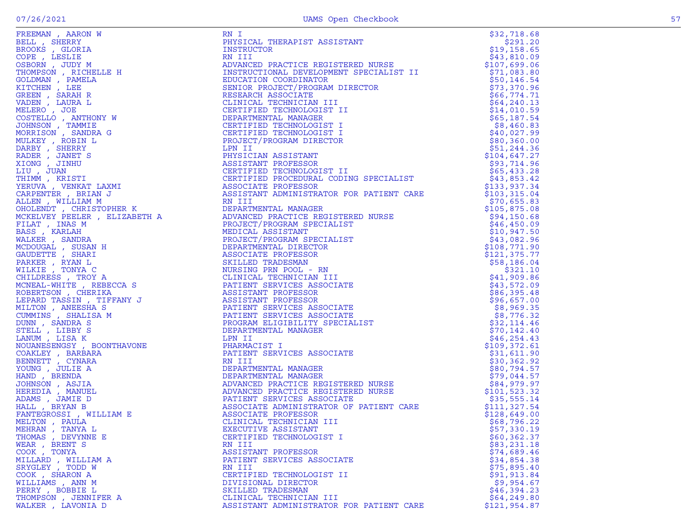| $\sim$ 1910 11910 11910 11910 11910 11910 11910 11910 11910 11910 11910 11910 11910 11910 11910 11910 11910 11910 11910 11910 11910 11910 11910 11910 11910 11910 11910 11910 11910 11910 11910 11910 11910 11910 11910 11910 1<br>1.41                         |
|-----------------------------------------------------------------------------------------------------------------------------------------------------------------------------------------------------------------------------------------------------------------|
| REILL , SHERRY<br>BELL , SHERRY<br>BROOKS , GLORIA<br>COPE , LESLIE<br>DSBORN , JUDY M<br>THOMPSON , RICHELLE H<br>GOLDMAN , PAMELA<br>KITCHEN , LARAH R<br>VADEN , LAURA L<br>MELERO , JOE<br>COSTELLO , ANTHONY W                                             |
|                                                                                                                                                                                                                                                                 |
|                                                                                                                                                                                                                                                                 |
|                                                                                                                                                                                                                                                                 |
|                                                                                                                                                                                                                                                                 |
|                                                                                                                                                                                                                                                                 |
|                                                                                                                                                                                                                                                                 |
|                                                                                                                                                                                                                                                                 |
|                                                                                                                                                                                                                                                                 |
|                                                                                                                                                                                                                                                                 |
|                                                                                                                                                                                                                                                                 |
|                                                                                                                                                                                                                                                                 |
|                                                                                                                                                                                                                                                                 |
|                                                                                                                                                                                                                                                                 |
|                                                                                                                                                                                                                                                                 |
|                                                                                                                                                                                                                                                                 |
|                                                                                                                                                                                                                                                                 |
|                                                                                                                                                                                                                                                                 |
|                                                                                                                                                                                                                                                                 |
|                                                                                                                                                                                                                                                                 |
|                                                                                                                                                                                                                                                                 |
|                                                                                                                                                                                                                                                                 |
|                                                                                                                                                                                                                                                                 |
| MELERO , JOE<br>COSTELLO , ANTHONY W<br>JOHNSON , TAMMIE<br>MORRISON , SANDRA G<br>MULKEY , ROBIN L<br>DARBY , SHERRY<br>RADER , JANET S<br>KIONG , JINHU<br>LIU , JUAN<br>LETU , JUAN<br>YERUVA , VENKAT LAXMI<br>YERUVA , VENKAT LAXMI<br>CARPENTER , BRIAN J |
|                                                                                                                                                                                                                                                                 |
| CARPENTER, BRIAN J                                                                                                                                                                                                                                              |
|                                                                                                                                                                                                                                                                 |
| ALLEN, WILLIAM M                                                                                                                                                                                                                                                |
|                                                                                                                                                                                                                                                                 |
|                                                                                                                                                                                                                                                                 |
|                                                                                                                                                                                                                                                                 |
|                                                                                                                                                                                                                                                                 |
|                                                                                                                                                                                                                                                                 |
|                                                                                                                                                                                                                                                                 |
|                                                                                                                                                                                                                                                                 |
|                                                                                                                                                                                                                                                                 |
|                                                                                                                                                                                                                                                                 |
|                                                                                                                                                                                                                                                                 |
| "CAELUNEI PEELLAT<br>FILAT , INAS M<br>BASS , KARLAH<br>MALKER , SANDRA<br>MCDOUGAL , SUSAN H<br>BARKER , RYAN L<br>MILKEE , TONYA C<br>"HILDESS TEOYA "                                                                                                        |
| CHILDRESS , TROY A                                                                                                                                                                                                                                              |
| MCNEAL-WHITE , REBECCA S                                                                                                                                                                                                                                        |
|                                                                                                                                                                                                                                                                 |
| ROBERTSON, CHERIKA                                                                                                                                                                                                                                              |
| LEPARD TASSIN , TIFFANY J                                                                                                                                                                                                                                       |
|                                                                                                                                                                                                                                                                 |
| MILTON , ANEESHA S<br>CUMMINS , SHALISA M                                                                                                                                                                                                                       |
|                                                                                                                                                                                                                                                                 |
|                                                                                                                                                                                                                                                                 |
| COMINI , SANDRA S<br>STELL , LIBBY S<br>LANUM , LISA K<br>NOUANESENGSY , BOONTHAVONE                                                                                                                                                                            |
|                                                                                                                                                                                                                                                                 |
|                                                                                                                                                                                                                                                                 |
|                                                                                                                                                                                                                                                                 |
|                                                                                                                                                                                                                                                                 |
|                                                                                                                                                                                                                                                                 |
|                                                                                                                                                                                                                                                                 |
|                                                                                                                                                                                                                                                                 |
| COAKLEY , BARBARA<br>BENNETT , CYNARA<br>YOUNG , JULIE A<br>HAND , BRENDA                                                                                                                                                                                       |
|                                                                                                                                                                                                                                                                 |
| JOHNSÓN , ASJIA<br>HEREDIA , MANUEL<br>ADAMS , JAMIE D<br>HALL , BRYAN B                                                                                                                                                                                        |
|                                                                                                                                                                                                                                                                 |
|                                                                                                                                                                                                                                                                 |
|                                                                                                                                                                                                                                                                 |
| FANTEGROSSI , WILLIAM E                                                                                                                                                                                                                                         |
| "LEITON", PAULA<br>MEHRAN , TANYA L<br>THOMAS , DEVYNNE E<br>NEAR , BRENT S<br>COOK , TONYA<br>MIIIADD WITTTAM                                                                                                                                                  |
|                                                                                                                                                                                                                                                                 |
|                                                                                                                                                                                                                                                                 |
|                                                                                                                                                                                                                                                                 |
|                                                                                                                                                                                                                                                                 |
|                                                                                                                                                                                                                                                                 |
|                                                                                                                                                                                                                                                                 |
| MILLARD , WILLIAM A<br>SRYGLEY , TODD W                                                                                                                                                                                                                         |
|                                                                                                                                                                                                                                                                 |
| COOK, SHARON A                                                                                                                                                                                                                                                  |
|                                                                                                                                                                                                                                                                 |
|                                                                                                                                                                                                                                                                 |
| WILLIAMS , ANN M                                                                                                                                                                                                                                                |
| PERRY, BOBBIE L<br>THOMPSON, JENNIFER A                                                                                                                                                                                                                         |

| FREEMAN, AARON W     |                                          |              |
|----------------------|------------------------------------------|--------------|
|                      |                                          |              |
|                      |                                          |              |
|                      |                                          |              |
|                      |                                          |              |
|                      |                                          |              |
|                      |                                          |              |
|                      |                                          |              |
|                      |                                          |              |
|                      |                                          |              |
|                      |                                          |              |
|                      |                                          |              |
|                      |                                          |              |
|                      |                                          |              |
|                      |                                          |              |
|                      |                                          |              |
|                      |                                          |              |
|                      |                                          |              |
|                      |                                          |              |
|                      |                                          |              |
|                      |                                          |              |
|                      |                                          |              |
|                      |                                          |              |
|                      |                                          |              |
|                      |                                          |              |
|                      |                                          |              |
|                      |                                          |              |
|                      |                                          |              |
|                      |                                          |              |
|                      |                                          |              |
|                      |                                          |              |
|                      |                                          |              |
|                      |                                          |              |
|                      |                                          |              |
|                      |                                          |              |
|                      |                                          |              |
|                      |                                          |              |
|                      |                                          |              |
|                      |                                          |              |
|                      |                                          |              |
|                      |                                          |              |
|                      |                                          |              |
|                      |                                          |              |
|                      |                                          |              |
|                      |                                          |              |
|                      |                                          |              |
|                      |                                          |              |
|                      |                                          |              |
|                      |                                          |              |
|                      |                                          |              |
| MEHRAN , TANYA L     | EXECUTIVE ASSISTANT                      | \$57,330.19  |
| THOMAS , DEVYNNE E   | CERTIFIED TECHNOLOGIST I                 | \$60,362.37  |
| WEAR, BRENT S        | RN III                                   | \$83,231.18  |
| COOK, TONYA          | ASSISTANT PROFESSOR                      | \$74,689.46  |
| MILLARD, WILLIAM A   | PATIENT SERVICES ASSOCIATE               | \$34,854.38  |
| SRYGLEY , TODD W     | RN III                                   | \$75,895.40  |
| COOK, SHARON A       | CERTIFIED TECHNOLOGIST II                | \$91, 913.84 |
| WILLIAMS, ANN M      | DIVISIONAL DIRECTOR                      | \$9,954.67   |
| PERRY , BOBBIE L     | SKILLED TRADESMAN                        | \$46,394.23  |
| THOMPSON, JENNIFER A | CLINICAL TECHNICIAN III                  | \$64, 249.80 |
| WALKER, LAVONIA D    | ASSISTANT ADMINISTRATOR FOR PATIENT CARE | \$121,954.87 |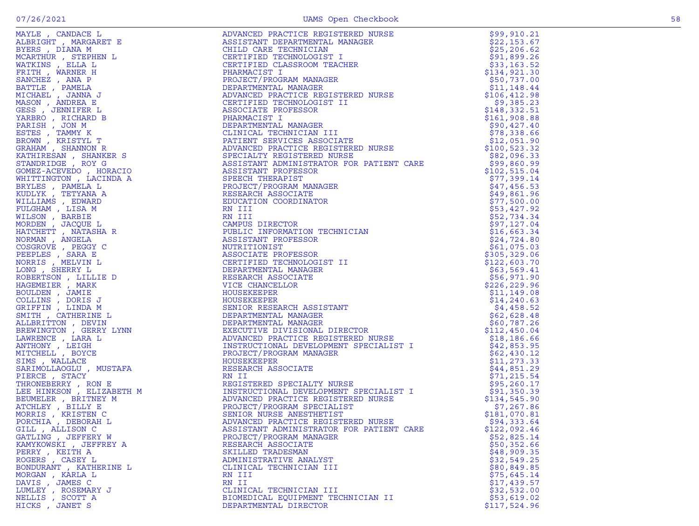| GATLING , JEFFERY W    | PROJECT/PROGRAM MANAGER                                                                                                                                                                                                                                                                    | \$52,825.14  |
|------------------------|--------------------------------------------------------------------------------------------------------------------------------------------------------------------------------------------------------------------------------------------------------------------------------------------|--------------|
| KAMYKOWSKI, JEFFREY A  | RESEARCH ASSOCIATE                                                                                                                                                                                                                                                                         | \$50,352.66  |
| PERRY, KEITH A         | $\begin{bmatrix} 0.018 & 0.018 & 0.018 & 0.018 & 0.018 & 0.018 & 0.018 & 0.018 & 0.018 & 0.018 & 0.018 & 0.018 & 0.018 & 0.018 & 0.018 & 0.018 & 0.018 & 0.018 & 0.018 & 0.018 & 0.018 & 0.018 & 0.018 & 0.018 & 0.018 & 0.018 & 0.018 & 0.018 & 0.018 & 0.018 & 0.0$<br>SKILLED TRADESMAN | \$48,909.35  |
| ROGERS, CASEY L        | ADMINISTRATIVE ANALYST                                                                                                                                                                                                                                                                     | \$32,549.25  |
| BONDURANT, KATHERINE L | CLINICAL TECHNICIAN III                                                                                                                                                                                                                                                                    | \$80,849.85  |
| MORGAN , KARLA L       | RN III                                                                                                                                                                                                                                                                                     | \$75,645.14  |
| DAVIS , JAMES C        | RN II                                                                                                                                                                                                                                                                                      | \$17,439.57  |
| LUMLEY , ROSEMARY J    | CLINICAL TECHNICIAN III                                                                                                                                                                                                                                                                    | \$32,532.00  |
| NELLIS, SCOTT A        | BIOMEDICAL EQUIPMENT TECHNICIAN II                                                                                                                                                                                                                                                         | \$53,619.02  |
| HICKS, JANET S         | DEPARTMENTAL DIRECTOR                                                                                                                                                                                                                                                                      | \$117,524.96 |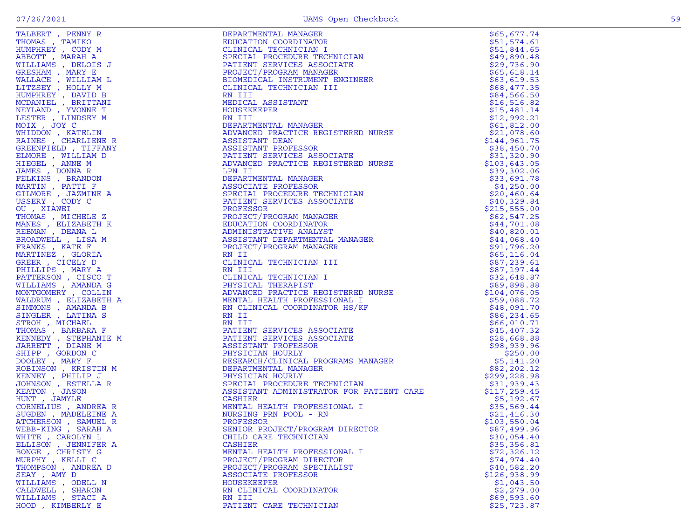|                                                                                                                                                                                                                                                                                       | DEPARTMENTAL MANAGER                                                                                                                                                                                                                                         | \$65,677.74  |
|---------------------------------------------------------------------------------------------------------------------------------------------------------------------------------------------------------------------------------------------------------------------------------------|--------------------------------------------------------------------------------------------------------------------------------------------------------------------------------------------------------------------------------------------------------------|--------------|
|                                                                                                                                                                                                                                                                                       | EDUCATION COORDINATOR                                                                                                                                                                                                                                        | \$51,574.61  |
|                                                                                                                                                                                                                                                                                       |                                                                                                                                                                                                                                                              | \$51,844.65  |
| , PENNIX RANGER (DOWN MARRIA MARRIA CLINIC CONTROLLINE)<br>1970<br>1970<br>1970<br>1970<br>1970<br>1970<br>1970<br>1970<br>1970<br>1970<br>1970<br>1970<br>1970<br>1970<br>1970<br>1970<br>1970<br>1970<br>1980<br>1980<br>1980<br>1980<br>1980<br>1980<br>1980<br>1980<br>1980<br>19 | EDUCATION CORDINATOR<br>CLINICAL TECHNICIAN I<br>SPECIAL PROCEDURE TECHNICIAN<br>PATIENT SERVICES ASSOCIATE<br>PROJECT/PROGRAM MANAGER<br>BIOMEDICAL INSTRUMENT ENGINEER<br>CLINICAL TECHNICIAN III<br>NE IOMEDICAL ASSISTANT<br>MOUSEKEEPER<br>RO NIII<br>D | \$49,890.48  |
|                                                                                                                                                                                                                                                                                       |                                                                                                                                                                                                                                                              |              |
|                                                                                                                                                                                                                                                                                       |                                                                                                                                                                                                                                                              | \$29,736.90  |
|                                                                                                                                                                                                                                                                                       |                                                                                                                                                                                                                                                              | \$65,618.14  |
|                                                                                                                                                                                                                                                                                       |                                                                                                                                                                                                                                                              | \$63,619.53  |
|                                                                                                                                                                                                                                                                                       |                                                                                                                                                                                                                                                              | \$68,477.35  |
|                                                                                                                                                                                                                                                                                       |                                                                                                                                                                                                                                                              | \$84,566.50  |
|                                                                                                                                                                                                                                                                                       |                                                                                                                                                                                                                                                              | \$16,516.82  |
|                                                                                                                                                                                                                                                                                       |                                                                                                                                                                                                                                                              | \$15,481.14  |
|                                                                                                                                                                                                                                                                                       |                                                                                                                                                                                                                                                              | \$12,992.21  |
|                                                                                                                                                                                                                                                                                       |                                                                                                                                                                                                                                                              |              |
|                                                                                                                                                                                                                                                                                       |                                                                                                                                                                                                                                                              | \$61,812.00  |
|                                                                                                                                                                                                                                                                                       |                                                                                                                                                                                                                                                              | \$21,078.60  |
|                                                                                                                                                                                                                                                                                       |                                                                                                                                                                                                                                                              | \$144,961.75 |
|                                                                                                                                                                                                                                                                                       |                                                                                                                                                                                                                                                              | \$38,450.70  |
|                                                                                                                                                                                                                                                                                       |                                                                                                                                                                                                                                                              | \$31,320.90  |
|                                                                                                                                                                                                                                                                                       |                                                                                                                                                                                                                                                              | \$103,643.05 |
|                                                                                                                                                                                                                                                                                       |                                                                                                                                                                                                                                                              | \$39,302.06  |
|                                                                                                                                                                                                                                                                                       |                                                                                                                                                                                                                                                              | \$33,691.78  |
|                                                                                                                                                                                                                                                                                       |                                                                                                                                                                                                                                                              |              |
|                                                                                                                                                                                                                                                                                       |                                                                                                                                                                                                                                                              | \$4,250.00   |
|                                                                                                                                                                                                                                                                                       |                                                                                                                                                                                                                                                              | \$20,460.64  |
|                                                                                                                                                                                                                                                                                       |                                                                                                                                                                                                                                                              | \$40,329.84  |
|                                                                                                                                                                                                                                                                                       |                                                                                                                                                                                                                                                              | \$215,555.00 |
|                                                                                                                                                                                                                                                                                       |                                                                                                                                                                                                                                                              | \$62,547.25  |
|                                                                                                                                                                                                                                                                                       |                                                                                                                                                                                                                                                              | \$44,701.08  |
|                                                                                                                                                                                                                                                                                       |                                                                                                                                                                                                                                                              | \$40,820.01  |
|                                                                                                                                                                                                                                                                                       |                                                                                                                                                                                                                                                              | \$44,068.40  |
|                                                                                                                                                                                                                                                                                       |                                                                                                                                                                                                                                                              |              |
|                                                                                                                                                                                                                                                                                       |                                                                                                                                                                                                                                                              | \$91,796.20  |
|                                                                                                                                                                                                                                                                                       |                                                                                                                                                                                                                                                              | \$65, 116.04 |
|                                                                                                                                                                                                                                                                                       |                                                                                                                                                                                                                                                              | \$87,239.61  |
|                                                                                                                                                                                                                                                                                       | FAILMAN SENICIES ASSOCIANT<br>ADVANCED PRACTICE REGISTERED NURSE<br>LPN II<br>DEPARTMENTAL MANAGER<br>ASSOCIATE PROFESSOR<br>PROTECT PROFESSOR<br>PROTECT/PROGRAM MANAGER<br>PROTECT/PROGRAM MANAGER<br>ADVACTION CORDINATOR<br>ADVACTION CORDINATOR<br>ADVA | \$87,197.44  |
|                                                                                                                                                                                                                                                                                       |                                                                                                                                                                                                                                                              | \$32,648.87  |
|                                                                                                                                                                                                                                                                                       |                                                                                                                                                                                                                                                              | \$89,898.88  |
|                                                                                                                                                                                                                                                                                       |                                                                                                                                                                                                                                                              | \$104,076.05 |
|                                                                                                                                                                                                                                                                                       |                                                                                                                                                                                                                                                              | \$59,088.72  |
|                                                                                                                                                                                                                                                                                       |                                                                                                                                                                                                                                                              |              |
|                                                                                                                                                                                                                                                                                       |                                                                                                                                                                                                                                                              | \$48,091.70  |
|                                                                                                                                                                                                                                                                                       |                                                                                                                                                                                                                                                              | \$86, 234.65 |
|                                                                                                                                                                                                                                                                                       |                                                                                                                                                                                                                                                              | \$66,010.71  |
|                                                                                                                                                                                                                                                                                       |                                                                                                                                                                                                                                                              | \$45,407.32  |
|                                                                                                                                                                                                                                                                                       |                                                                                                                                                                                                                                                              | \$28,668.88  |
| JARRETT, DIANE M                                                                                                                                                                                                                                                                      |                                                                                                                                                                                                                                                              | \$98,939.96  |
| SHIPP, GORDON C                                                                                                                                                                                                                                                                       |                                                                                                                                                                                                                                                              | \$250.00     |
| DOOLEY, MARY F                                                                                                                                                                                                                                                                        |                                                                                                                                                                                                                                                              | \$5,141.20   |
| ROBINSON, KRISTIN M                                                                                                                                                                                                                                                                   |                                                                                                                                                                                                                                                              | \$82, 202.12 |
|                                                                                                                                                                                                                                                                                       |                                                                                                                                                                                                                                                              |              |
| KENNEY, PHILIP J                                                                                                                                                                                                                                                                      |                                                                                                                                                                                                                                                              | \$299,228.98 |
| JOHNSON , ESTELLA R                                                                                                                                                                                                                                                                   |                                                                                                                                                                                                                                                              | \$31,939.43  |
| KEATON, JASON                                                                                                                                                                                                                                                                         |                                                                                                                                                                                                                                                              | \$117,259.45 |
| HUNT , JAMYLE                                                                                                                                                                                                                                                                         | CASHIER                                                                                                                                                                                                                                                      | \$5,192.67   |
| CORNELIUS, ANDREA R                                                                                                                                                                                                                                                                   | MENTAL HEALTH PROFESSIONAL I                                                                                                                                                                                                                                 | \$35,569.44  |
| SUGDEN, MADELEINE A                                                                                                                                                                                                                                                                   | NURSING PRN POOL - RN                                                                                                                                                                                                                                        | \$21,416.30  |
| ATCHERSON, SAMUEL R                                                                                                                                                                                                                                                                   | PROFESSOR                                                                                                                                                                                                                                                    | \$103,550.04 |
| WEBB-KING, SARAH A                                                                                                                                                                                                                                                                    | SENIOR PROJECT/PROGRAM DIRECTOR                                                                                                                                                                                                                              | \$87,499.96  |
|                                                                                                                                                                                                                                                                                       |                                                                                                                                                                                                                                                              |              |
| WHITE, CAROLYN L                                                                                                                                                                                                                                                                      | CHILD CARE TECHNICIAN                                                                                                                                                                                                                                        | \$30,054.40  |
| ELLISON, JENNIFER A                                                                                                                                                                                                                                                                   | CASHIER                                                                                                                                                                                                                                                      | \$35,356.81  |
| BONGE, CHRISTY G                                                                                                                                                                                                                                                                      | MENTAL HEALTH PROFESSIONAL I                                                                                                                                                                                                                                 | \$72,326.12  |
| MURPHY, KELLI C                                                                                                                                                                                                                                                                       | PROJECT/PROGRAM DIRECTOR                                                                                                                                                                                                                                     | \$74,974.40  |
| THOMPSON, ANDREA D                                                                                                                                                                                                                                                                    | PROJECT/PROGRAM SPECIALIST                                                                                                                                                                                                                                   | \$40,582.20  |
| SEAY, AMY D                                                                                                                                                                                                                                                                           | ASSOCIATE PROFESSOR                                                                                                                                                                                                                                          | \$126,938.99 |
| WILLIAMS, ODELL N                                                                                                                                                                                                                                                                     | <b>HOUSEKEEPER</b>                                                                                                                                                                                                                                           | \$1,043.50   |
| CALDWELL, SHARON                                                                                                                                                                                                                                                                      | RN CLINICAL COORDINATOR                                                                                                                                                                                                                                      | \$2,279.00   |
| WILLIAMS, STACI A                                                                                                                                                                                                                                                                     | RN III                                                                                                                                                                                                                                                       | \$69,593.60  |
| HOOD, KIMBERLY E                                                                                                                                                                                                                                                                      | PATIENT CARE TECHNICIAN                                                                                                                                                                                                                                      | \$25, 723.87 |
|                                                                                                                                                                                                                                                                                       |                                                                                                                                                                                                                                                              |              |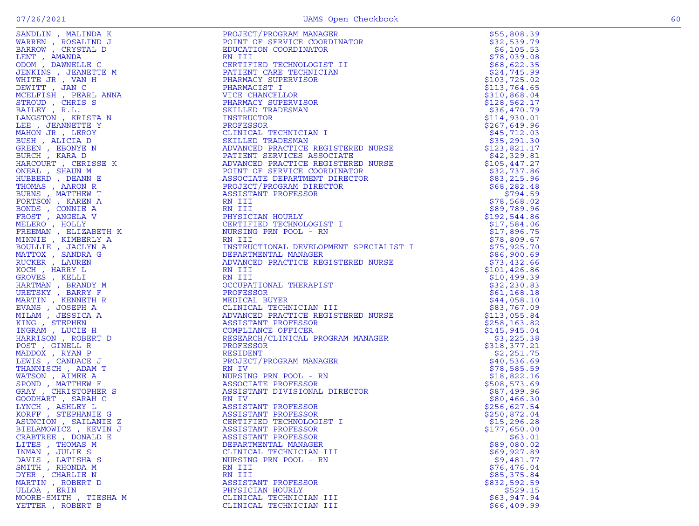| SANDLIN, MALINDA K                    |                                                                                                                                                                                                                                                                    | \$55,808.39                |
|---------------------------------------|--------------------------------------------------------------------------------------------------------------------------------------------------------------------------------------------------------------------------------------------------------------------|----------------------------|
| WARREN, ROSALIND J                    |                                                                                                                                                                                                                                                                    | \$32,539.79                |
| BARROW, CRYSTAL D                     |                                                                                                                                                                                                                                                                    | \$6,105.53                 |
| LENT , AMANDA                         |                                                                                                                                                                                                                                                                    | \$78,039.08                |
| ODOM, DAWNELLE C                      |                                                                                                                                                                                                                                                                    | \$68,622.35                |
| JENKINS, JEANETTE M                   |                                                                                                                                                                                                                                                                    | \$24,745.99                |
| WHITE JR, VAN H                       | CENTIENT CARE IBC.L<br>PHARMACY SUPERVISOR<br>PHARMACIST I                                                                                                                                                                                                         | \$103,725.02               |
| DEWITT, JAN C                         |                                                                                                                                                                                                                                                                    | \$113,764.65               |
| MCELFISH, PEARL ANNA                  |                                                                                                                                                                                                                                                                    | \$310,868.04               |
| STROUD, CHRIS S                       |                                                                                                                                                                                                                                                                    | \$128,562.17               |
| BAILEY, R.L.                          |                                                                                                                                                                                                                                                                    | \$36,470.79                |
| LANGSTON, KRISTA N                    |                                                                                                                                                                                                                                                                    | \$114,930.01               |
| LEE , JEANNETTE Y                     |                                                                                                                                                                                                                                                                    | \$267,649.96               |
| MAHON JR, LEROY                       |                                                                                                                                                                                                                                                                    | \$45,712.03                |
| BUSH, ALICIA D                        |                                                                                                                                                                                                                                                                    | \$35,291.30                |
| GREEN , EBONYE N                      |                                                                                                                                                                                                                                                                    | \$123,821.17               |
| BURCH, KARA D                         |                                                                                                                                                                                                                                                                    | \$42,329.81                |
| HARCOURT, CERISSE K                   |                                                                                                                                                                                                                                                                    | \$105,447.27               |
| ONEAL, SHAUN M                        |                                                                                                                                                                                                                                                                    |                            |
| HUBBERD, DEANN E                      |                                                                                                                                                                                                                                                                    | \$32,737.86<br>\$83,215.96 |
| THOMAS, AARON R                       |                                                                                                                                                                                                                                                                    | \$68, 282.48               |
| BURNS, MATTHEW T                      |                                                                                                                                                                                                                                                                    | \$794.59                   |
| FORTSON, KAREN A                      |                                                                                                                                                                                                                                                                    | \$78,568.02                |
|                                       |                                                                                                                                                                                                                                                                    | \$89,789.96                |
| BONDS , CONNIE A<br>FROST, ANGELA V   |                                                                                                                                                                                                                                                                    | \$192,544.86               |
|                                       | PROJECT/PROGRAM MANAGER<br>POINT OF SERVICE COORDINATOR<br>EDUCATION COORDINATOR<br>RN III<br>RN III<br>PATIENT CARE TECHNOLOGIST II<br>PATIENT CARE TECHNOLOGIST II<br>PHARMACY SUPERVISOR<br>VICE CHANCELLOR<br>VICE NEVICARE<br>SKILLED TRADESMAN<br>SKILLED    |                            |
| MELERO, HOLLY<br>FREEMAN, ELIZABETH K |                                                                                                                                                                                                                                                                    | \$17,584.06                |
| MINNIE , KIMBERLY A                   | RN III                                                                                                                                                                                                                                                             | \$17,896.75                |
| BOULLIE, JACLYN A                     |                                                                                                                                                                                                                                                                    | \$78,809.67<br>\$75,925.70 |
| MATTOX, SANDRA G                      |                                                                                                                                                                                                                                                                    | \$86,900.69                |
| RUCKER, LAUREN                        |                                                                                                                                                                                                                                                                    | \$73,432.66                |
| KOCH, HARRY L                         | NORSING PRN POOL - RN<br>RN III<br>INSTRUCTIONAL MANAGER<br>DEPARTMENTAL MANAGER<br>ADVANCED PRACTICE REGISTERED NURSE<br>RN III<br>CCCUPATIONAL THERAPIST<br>RN III<br>CCCUPATIONAL THERAPIST<br>PROFESSOR<br>CLINICAL TECHNICIAN III<br>ASSISTANT PROFESSOR<br>C | \$101,426.86               |
| GROVES, KELLI                         |                                                                                                                                                                                                                                                                    | \$10,499.39                |
| HARTMAN, BRANDY M                     |                                                                                                                                                                                                                                                                    | \$32,230.83                |
| URETSKY , BARRY F                     |                                                                                                                                                                                                                                                                    | \$61,168.18                |
| MARTIN, KENNETH R                     |                                                                                                                                                                                                                                                                    | \$44,058.10                |
| EVANS, JOSEPH A                       |                                                                                                                                                                                                                                                                    | \$83,767.09                |
| MILAM, JESSICA A                      |                                                                                                                                                                                                                                                                    | \$113,055.84               |
| KING, STEPHEN                         |                                                                                                                                                                                                                                                                    | \$258,163.82               |
| INGRAM , LUCIE H                      |                                                                                                                                                                                                                                                                    | \$145,945.04               |
| HARRISON, ROBERT D                    |                                                                                                                                                                                                                                                                    | \$3,225.38                 |
| POST, GINELL R                        |                                                                                                                                                                                                                                                                    | \$318,377.21               |
| MADDOX, RYAN P                        |                                                                                                                                                                                                                                                                    | \$2,251.75                 |
| LEWIS, CANDACE J                      |                                                                                                                                                                                                                                                                    | \$40,536.69                |
| THANNISCH, ADAM T                     |                                                                                                                                                                                                                                                                    | \$78,585.59                |
| WATSON, AIMEE A                       |                                                                                                                                                                                                                                                                    | \$18,822.16                |
| SPOND, MATTHEW F                      |                                                                                                                                                                                                                                                                    | \$508,573.69               |
| GRAY, CHRISTOPHER S                   |                                                                                                                                                                                                                                                                    | \$87,499.96                |
| GOODHART, SARAH C                     |                                                                                                                                                                                                                                                                    | \$80,466.30                |
| LYNCH, ASHLEY L                       |                                                                                                                                                                                                                                                                    | \$256,627.54               |
| KORFF, STEPHANIE G                    |                                                                                                                                                                                                                                                                    | \$250,872.04               |
| ASUNCION, SAILANIE Z                  |                                                                                                                                                                                                                                                                    | \$15,296.28                |
| BIELAMOWICZ, KEVIN J                  | ASSISTANT PROFESSOR                                                                                                                                                                                                                                                | \$177,650.00               |
| CRABTREE , DONALD E                   | ASSISTANT PROFESSOR                                                                                                                                                                                                                                                | \$63.01                    |
| LITES, THOMAS M                       | DEPARTMENTAL MANAGER                                                                                                                                                                                                                                               | \$89,080.02                |
| INMAN, JULIE S                        | CLINICAL TECHNICIAN III                                                                                                                                                                                                                                            | \$69,927.89                |
| DAVIS, LATISHA S                      | NURSING PRN POOL - RN                                                                                                                                                                                                                                              | \$9,481.77                 |
| SMITH, RHONDA M                       | RN III                                                                                                                                                                                                                                                             | \$76,476.04                |
| DYER, CHARLIE N                       | RN III                                                                                                                                                                                                                                                             | \$85,375.84                |
| MARTIN, ROBERT D                      | ASSISTANT PROFESSOR                                                                                                                                                                                                                                                | \$832,592.59               |
| ULLOA, ERIN                           | PHYSICIAN HOURLY                                                                                                                                                                                                                                                   | \$529.15                   |
| MOORE-SMITH, TIESHA M                 | CLINICAL TECHNICIAN III                                                                                                                                                                                                                                            | \$63,947.94                |
| YETTER, ROBERT B                      | CLINICAL TECHNICIAN III                                                                                                                                                                                                                                            | \$66,409.99                |
|                                       |                                                                                                                                                                                                                                                                    |                            |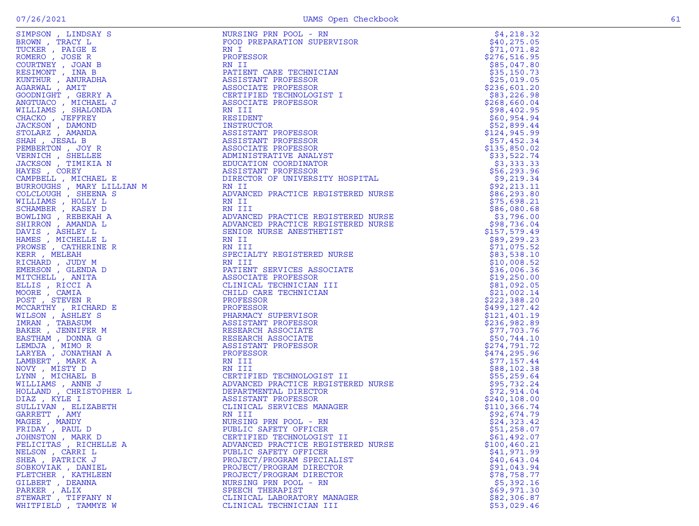|                        | eries , the state of the state of the state of the state of the state of the state of the state of the state of the state of the state of the state of the state of the state of the state of the state of the state of the s |              |
|------------------------|-------------------------------------------------------------------------------------------------------------------------------------------------------------------------------------------------------------------------------|--------------|
|                        |                                                                                                                                                                                                                               |              |
|                        |                                                                                                                                                                                                                               |              |
|                        |                                                                                                                                                                                                                               |              |
|                        |                                                                                                                                                                                                                               |              |
|                        |                                                                                                                                                                                                                               |              |
|                        |                                                                                                                                                                                                                               |              |
|                        |                                                                                                                                                                                                                               |              |
|                        |                                                                                                                                                                                                                               |              |
|                        |                                                                                                                                                                                                                               |              |
|                        |                                                                                                                                                                                                                               |              |
|                        |                                                                                                                                                                                                                               |              |
|                        |                                                                                                                                                                                                                               |              |
|                        |                                                                                                                                                                                                                               |              |
|                        |                                                                                                                                                                                                                               |              |
|                        |                                                                                                                                                                                                                               |              |
|                        |                                                                                                                                                                                                                               |              |
|                        |                                                                                                                                                                                                                               |              |
|                        |                                                                                                                                                                                                                               |              |
|                        |                                                                                                                                                                                                                               |              |
|                        |                                                                                                                                                                                                                               |              |
|                        |                                                                                                                                                                                                                               |              |
|                        |                                                                                                                                                                                                                               |              |
|                        |                                                                                                                                                                                                                               |              |
|                        |                                                                                                                                                                                                                               |              |
|                        |                                                                                                                                                                                                                               |              |
|                        |                                                                                                                                                                                                                               |              |
|                        |                                                                                                                                                                                                                               |              |
|                        |                                                                                                                                                                                                                               |              |
|                        |                                                                                                                                                                                                                               |              |
|                        |                                                                                                                                                                                                                               |              |
|                        |                                                                                                                                                                                                                               |              |
|                        |                                                                                                                                                                                                                               |              |
|                        |                                                                                                                                                                                                                               |              |
|                        |                                                                                                                                                                                                                               |              |
|                        |                                                                                                                                                                                                                               |              |
|                        |                                                                                                                                                                                                                               |              |
|                        |                                                                                                                                                                                                                               |              |
|                        |                                                                                                                                                                                                                               |              |
|                        |                                                                                                                                                                                                                               |              |
|                        |                                                                                                                                                                                                                               |              |
|                        |                                                                                                                                                                                                                               |              |
|                        |                                                                                                                                                                                                                               |              |
|                        |                                                                                                                                                                                                                               |              |
|                        |                                                                                                                                                                                                                               |              |
|                        |                                                                                                                                                                                                                               |              |
|                        |                                                                                                                                                                                                                               |              |
|                        |                                                                                                                                                                                                                               |              |
|                        |                                                                                                                                                                                                                               |              |
|                        |                                                                                                                                                                                                                               |              |
|                        |                                                                                                                                                                                                                               |              |
| FRIDAY, PAUL D         | PUBLIC SAFETY OFFICER                                                                                                                                                                                                         | \$51,258.07  |
| JOHNSTON, MARK D       | CERTIFIED TECHNOLOGIST II                                                                                                                                                                                                     | \$61,492.07  |
| FELICITAS , RICHELLE A | ADVANCED PRACTICE REGISTERED NURSE                                                                                                                                                                                            | \$100,460.21 |
| NELSON, CARRI L        | PUBLIC SAFETY OFFICER                                                                                                                                                                                                         | \$41,971.99  |
| SHEA, PATRICK J        | PROJECT/PROGRAM SPECIALIST                                                                                                                                                                                                    | \$40,643.04  |
| SOBKOVIAK, DANIEL      | PROJECT/PROGRAM DIRECTOR                                                                                                                                                                                                      | \$91,043.94  |
| FLETCHER , KATHLEEN    | PROJECT/PROGRAM DIRECTOR                                                                                                                                                                                                      | \$78,758.77  |
| GILBERT , DEANNA       |                                                                                                                                                                                                                               | \$5,392.16   |
| PARKER, ALIX           | NURSING PRN POOL - RN<br>SPEECH THERAPIST                                                                                                                                                                                     | \$69,971.30  |
|                        |                                                                                                                                                                                                                               |              |
| STEWART, TIFFANY N     | CLINICAL LABORATORY MANAGER                                                                                                                                                                                                   | \$82,306.87  |
| WHITFIELD, TAMMYE W    | CLINICAL TECHNICIAN III                                                                                                                                                                                                       | \$53,029.46  |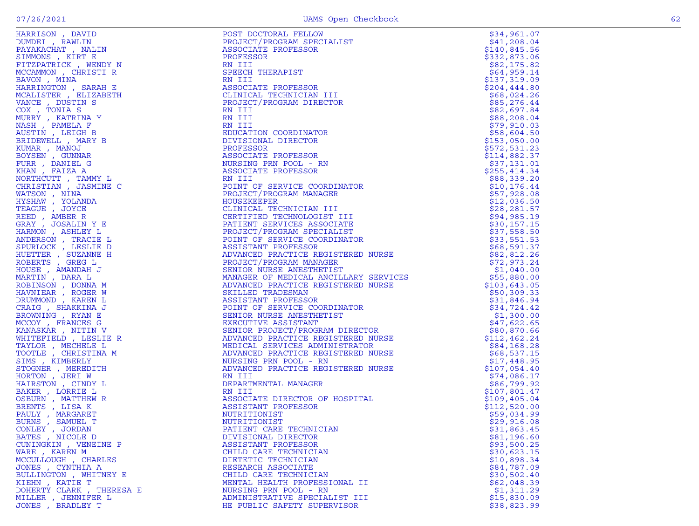| ×<br>۹ |  |
|--------|--|
|        |  |

| HARRISON , DAVID<br>DUMDEI , RAWLIN<br>PAYAKACHAT , NALIN<br>SIMMONS , KIRT E<br>FITZPATRICK , WENDY N<br>MCCAMMON , CHRISTI R<br>BAVON , MINA<br>HARRINGTON , SARAH E<br>MCALISTER , ELIZABETH<br>VANCE , DUSTIN S<br>COX , TONIA S<br>MURRY , KATRINA Y<br>MURRY                                                                                                                                                                                                                                                                                                      | POST DOCTORAL FELLOW                                                                                                                                                                                                                                                 | \$34,961.07  |
|-------------------------------------------------------------------------------------------------------------------------------------------------------------------------------------------------------------------------------------------------------------------------------------------------------------------------------------------------------------------------------------------------------------------------------------------------------------------------------------------------------------------------------------------------------------------------|----------------------------------------------------------------------------------------------------------------------------------------------------------------------------------------------------------------------------------------------------------------------|--------------|
|                                                                                                                                                                                                                                                                                                                                                                                                                                                                                                                                                                         | PROJECT/PROGRAM SPECIALIST                                                                                                                                                                                                                                           | \$41,208.04  |
|                                                                                                                                                                                                                                                                                                                                                                                                                                                                                                                                                                         | ASSOCIATE PROFESSOR                                                                                                                                                                                                                                                  | \$140,845.56 |
|                                                                                                                                                                                                                                                                                                                                                                                                                                                                                                                                                                         | PROFESSOR                                                                                                                                                                                                                                                            | \$332,873.06 |
|                                                                                                                                                                                                                                                                                                                                                                                                                                                                                                                                                                         | RN III                                                                                                                                                                                                                                                               | \$82,175.82  |
|                                                                                                                                                                                                                                                                                                                                                                                                                                                                                                                                                                         | SPEECH THERAPIST                                                                                                                                                                                                                                                     | \$64,959.14  |
|                                                                                                                                                                                                                                                                                                                                                                                                                                                                                                                                                                         | RN III<br>ASSOCIATE PROFESSOR<br>CLINICAL TECHNICIAN<br>PROJECT/PROGRAM DIRE                                                                                                                                                                                         | \$137,319.09 |
|                                                                                                                                                                                                                                                                                                                                                                                                                                                                                                                                                                         |                                                                                                                                                                                                                                                                      | \$204,444.80 |
|                                                                                                                                                                                                                                                                                                                                                                                                                                                                                                                                                                         | CLINICAL TECHNICIAN III                                                                                                                                                                                                                                              | \$68,024.26  |
|                                                                                                                                                                                                                                                                                                                                                                                                                                                                                                                                                                         | PROJECT/PROGRAM DIRECTOR                                                                                                                                                                                                                                             | \$85,276.44  |
|                                                                                                                                                                                                                                                                                                                                                                                                                                                                                                                                                                         | RN III                                                                                                                                                                                                                                                               | \$82,697.84  |
| MURRY, KATRINA Y                                                                                                                                                                                                                                                                                                                                                                                                                                                                                                                                                        | RN III                                                                                                                                                                                                                                                               | \$88, 208.04 |
| NASH, PAMELA F                                                                                                                                                                                                                                                                                                                                                                                                                                                                                                                                                          |                                                                                                                                                                                                                                                                      | \$79,910.03  |
| AUSTIN, LEIGH B                                                                                                                                                                                                                                                                                                                                                                                                                                                                                                                                                         |                                                                                                                                                                                                                                                                      | \$58,604.50  |
| BRIDEWELL , MARY B                                                                                                                                                                                                                                                                                                                                                                                                                                                                                                                                                      |                                                                                                                                                                                                                                                                      | \$153,050.00 |
| KUMAR, MANOJ                                                                                                                                                                                                                                                                                                                                                                                                                                                                                                                                                            |                                                                                                                                                                                                                                                                      | \$572,531.23 |
| BOYSEN, GUNNAR                                                                                                                                                                                                                                                                                                                                                                                                                                                                                                                                                          |                                                                                                                                                                                                                                                                      | \$114,882.37 |
| FURR, DANIEL G                                                                                                                                                                                                                                                                                                                                                                                                                                                                                                                                                          |                                                                                                                                                                                                                                                                      | \$37,131.01  |
| KHAN, FAIZA A                                                                                                                                                                                                                                                                                                                                                                                                                                                                                                                                                           |                                                                                                                                                                                                                                                                      | \$255,414.34 |
| NORTHCUTT, TAMMY L                                                                                                                                                                                                                                                                                                                                                                                                                                                                                                                                                      |                                                                                                                                                                                                                                                                      | \$88,339.20  |
| CHRISTIAN, JASMINE C                                                                                                                                                                                                                                                                                                                                                                                                                                                                                                                                                    |                                                                                                                                                                                                                                                                      | \$10, 176.44 |
| WATSON, NINA                                                                                                                                                                                                                                                                                                                                                                                                                                                                                                                                                            |                                                                                                                                                                                                                                                                      | \$57,928.08  |
| HYSHAW, YOLANDA                                                                                                                                                                                                                                                                                                                                                                                                                                                                                                                                                         |                                                                                                                                                                                                                                                                      | \$12,036.50  |
| TEAGUE, JOYCE                                                                                                                                                                                                                                                                                                                                                                                                                                                                                                                                                           |                                                                                                                                                                                                                                                                      | \$28, 281.57 |
| REED, AMBER R                                                                                                                                                                                                                                                                                                                                                                                                                                                                                                                                                           |                                                                                                                                                                                                                                                                      | \$94,985.19  |
| GRAY, JOSALIN Y E                                                                                                                                                                                                                                                                                                                                                                                                                                                                                                                                                       |                                                                                                                                                                                                                                                                      | \$30,157.15  |
| HARMON, ASHLEY L                                                                                                                                                                                                                                                                                                                                                                                                                                                                                                                                                        |                                                                                                                                                                                                                                                                      | \$37,558.50  |
| ANDERSON, TRACIE L                                                                                                                                                                                                                                                                                                                                                                                                                                                                                                                                                      |                                                                                                                                                                                                                                                                      | \$33,551.53  |
| SPURLOCK, LESLIE D                                                                                                                                                                                                                                                                                                                                                                                                                                                                                                                                                      |                                                                                                                                                                                                                                                                      | \$68,591.37  |
| HUETTER, SUZANNE H                                                                                                                                                                                                                                                                                                                                                                                                                                                                                                                                                      |                                                                                                                                                                                                                                                                      | \$82,812.26  |
| ROBERTS, GREG L                                                                                                                                                                                                                                                                                                                                                                                                                                                                                                                                                         |                                                                                                                                                                                                                                                                      | \$72,973.24  |
| HOUSE, AMANDAH J                                                                                                                                                                                                                                                                                                                                                                                                                                                                                                                                                        |                                                                                                                                                                                                                                                                      | \$1,040.00   |
| $\begin{array}{l} \begin{array}{lllllllllllllll} \Gamma & \Gamma \end{array} & \begin{array}{lllllllllllll} \Gamma & \Gamma \end{array} & \begin{array}{lllllllllllllll} \Gamma & \Gamma \end{array} & \begin{array}{lllllllllllllllll} \Gamma & \Gamma \end{array} & \begin{array}{lllllllllllllllllll} \Gamma & \Gamma \end{array} & \begin{array}{lllllllllllllllllll} \Gamma & \Gamma \end{array} & \begin{array}{lllllllllllllllllllll} \Gamma & \Gamma \end{array} & \begin{array}{lllllllllllllllllllllllllllllll} \Gamma & \Gamma \end{array$<br>MARTIN, DARA L | PROVECT/PROGRAM DIRECTOR<br>RN III<br>RN III<br>RN III<br>RN IIII<br>RN IIII<br>RN IIII<br>RN IIII<br>RN IIII<br>RN IIII<br>RN IIII<br>RN IIII<br>RN IIII<br>RN IIII<br>RN IIII<br>PROFESSOR PROSTOR - RN<br>RN IIII<br>PROFESSOR PROGRAM MANAGER<br>POUSEKEPER<br>P | \$55,880.00  |
| ROBINSON, DONNA M                                                                                                                                                                                                                                                                                                                                                                                                                                                                                                                                                       |                                                                                                                                                                                                                                                                      | \$103,643.05 |
| HAVNIEAR, ROGER W                                                                                                                                                                                                                                                                                                                                                                                                                                                                                                                                                       |                                                                                                                                                                                                                                                                      | \$50,309.33  |
| DRUMMOND, KAREN L                                                                                                                                                                                                                                                                                                                                                                                                                                                                                                                                                       |                                                                                                                                                                                                                                                                      | \$31,846.94  |
| CRAIG , SHAKKINA J                                                                                                                                                                                                                                                                                                                                                                                                                                                                                                                                                      |                                                                                                                                                                                                                                                                      | \$34,724.42  |
| BROWNING, RYAN E                                                                                                                                                                                                                                                                                                                                                                                                                                                                                                                                                        |                                                                                                                                                                                                                                                                      | \$1,300.00   |
| MCCOY, FRANCES G                                                                                                                                                                                                                                                                                                                                                                                                                                                                                                                                                        |                                                                                                                                                                                                                                                                      | \$47,622.65  |
| KANASKAR, NITIN V                                                                                                                                                                                                                                                                                                                                                                                                                                                                                                                                                       |                                                                                                                                                                                                                                                                      | \$80,870.66  |
| WHITEFIELD, LESLIE R                                                                                                                                                                                                                                                                                                                                                                                                                                                                                                                                                    |                                                                                                                                                                                                                                                                      | \$112,462.24 |
| TAYLOR, MECHELE L                                                                                                                                                                                                                                                                                                                                                                                                                                                                                                                                                       |                                                                                                                                                                                                                                                                      | \$84,168.28  |
| TOOTLE, CHRISTINA M                                                                                                                                                                                                                                                                                                                                                                                                                                                                                                                                                     |                                                                                                                                                                                                                                                                      | \$68,537.15  |
| SIMS , KIMBERLY                                                                                                                                                                                                                                                                                                                                                                                                                                                                                                                                                         |                                                                                                                                                                                                                                                                      | \$17,448.95  |
| STOGNER , MEREDITH                                                                                                                                                                                                                                                                                                                                                                                                                                                                                                                                                      |                                                                                                                                                                                                                                                                      | \$107,054.40 |
| HORTON, JERI W                                                                                                                                                                                                                                                                                                                                                                                                                                                                                                                                                          |                                                                                                                                                                                                                                                                      | \$74,086.17  |
| HAIRSTON, CINDY L                                                                                                                                                                                                                                                                                                                                                                                                                                                                                                                                                       |                                                                                                                                                                                                                                                                      | \$86,799.92  |
| BAKER, LORRIE L                                                                                                                                                                                                                                                                                                                                                                                                                                                                                                                                                         |                                                                                                                                                                                                                                                                      | \$107,801.47 |
| OSBURN, MATTHEW R                                                                                                                                                                                                                                                                                                                                                                                                                                                                                                                                                       |                                                                                                                                                                                                                                                                      | \$109,405.04 |
| BRENTS, LISA K                                                                                                                                                                                                                                                                                                                                                                                                                                                                                                                                                          |                                                                                                                                                                                                                                                                      | \$112,520.00 |
| PAULY, MARGARET                                                                                                                                                                                                                                                                                                                                                                                                                                                                                                                                                         |                                                                                                                                                                                                                                                                      | \$59,034.99  |
| BURNS , SAMUEL T                                                                                                                                                                                                                                                                                                                                                                                                                                                                                                                                                        | NUTRITIONIST                                                                                                                                                                                                                                                         | \$29,916.08  |
| CONLEY, JORDAN                                                                                                                                                                                                                                                                                                                                                                                                                                                                                                                                                          | PATIENT CARE TECHNICIAN                                                                                                                                                                                                                                              | \$31,863.45  |
| BATES, NICOLE D                                                                                                                                                                                                                                                                                                                                                                                                                                                                                                                                                         | DIVISIONAL DIRECTOR                                                                                                                                                                                                                                                  | \$81,196.60  |
| CUNINGKIN , VENEINE P                                                                                                                                                                                                                                                                                                                                                                                                                                                                                                                                                   | ASSISTANT PROFESSOR                                                                                                                                                                                                                                                  | \$93,500.25  |
| WARE, KAREN M                                                                                                                                                                                                                                                                                                                                                                                                                                                                                                                                                           | CHILD CARE TECHNICIAN                                                                                                                                                                                                                                                | \$30,623.15  |
| MCCULLOUGH, CHARLES                                                                                                                                                                                                                                                                                                                                                                                                                                                                                                                                                     | DIETETIC TECHNICIAN                                                                                                                                                                                                                                                  | \$10,898.34  |
| JONES , CYNTHIA A                                                                                                                                                                                                                                                                                                                                                                                                                                                                                                                                                       | RESEARCH ASSOCIATE                                                                                                                                                                                                                                                   | \$84,787.09  |
| BULLINGTON , WHITNEY E                                                                                                                                                                                                                                                                                                                                                                                                                                                                                                                                                  | CHILD CARE TECHNICIAN                                                                                                                                                                                                                                                | \$30,502.40  |
| KIEHN, KATIE T                                                                                                                                                                                                                                                                                                                                                                                                                                                                                                                                                          | MENTAL HEALTH PROFESSIONAL II                                                                                                                                                                                                                                        | \$62,048.39  |
| DOHERTY CLARK, THERESA E                                                                                                                                                                                                                                                                                                                                                                                                                                                                                                                                                | NURSING PRN POOL - RN                                                                                                                                                                                                                                                | \$1,311.29   |
| MILLER, JENNIFER L                                                                                                                                                                                                                                                                                                                                                                                                                                                                                                                                                      | ADMINISTRATIVE SPECIALIST III                                                                                                                                                                                                                                        | \$15,830.09  |
| JONES , BRADLEY T                                                                                                                                                                                                                                                                                                                                                                                                                                                                                                                                                       | HE PUBLIC SAFETY SUPERVISOR                                                                                                                                                                                                                                          | \$38,823.99  |
|                                                                                                                                                                                                                                                                                                                                                                                                                                                                                                                                                                         |                                                                                                                                                                                                                                                                      |              |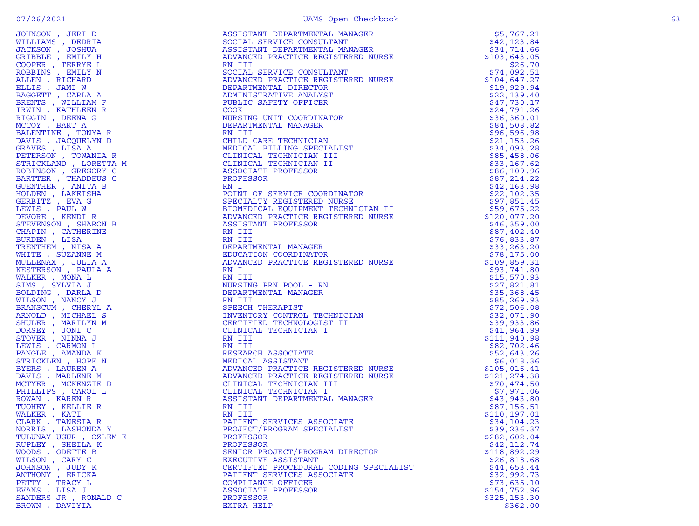| NORRIS , LASHONDA Y    | PROJECT/PROGRAM SPECIALIST             | \$39,236.37   |
|------------------------|----------------------------------------|---------------|
| TULUNAY UGUR , OZLEM E | PROFESSOR                              | \$282,602.04  |
| RUPLEY , SHEILA K      | PROFESSOR                              | \$42,112.74   |
| WOODS, ODETTE B        | SENIOR PROJECT/PROGRAM DIRECTOR        | \$118,892.29  |
| WILSON, CARY C         | EXECUTIVE ASSISTANT                    | \$26,818.68   |
| JOHNSON, JUDY K        | CERTIFIED PROCEDURAL CODING SPECIALIST | \$44,653.44   |
| ANTHONY, ERICKA        | PATIENT SERVICES ASSOCIATE             | \$32,992.73   |
| PETTY , TRACY L        | COMPLIANCE OFFICER                     | \$73,635.10   |
| EVANS, LISA J          | ASSOCIATE PROFESSOR                    | \$154,752.96  |
| SANDERS JR, RONALD C   | PROFESSOR                              | \$325, 153.30 |
| BROWN, DAVIYIA         | EXTRA HELP                             | \$362.00      |
|                        |                                        |               |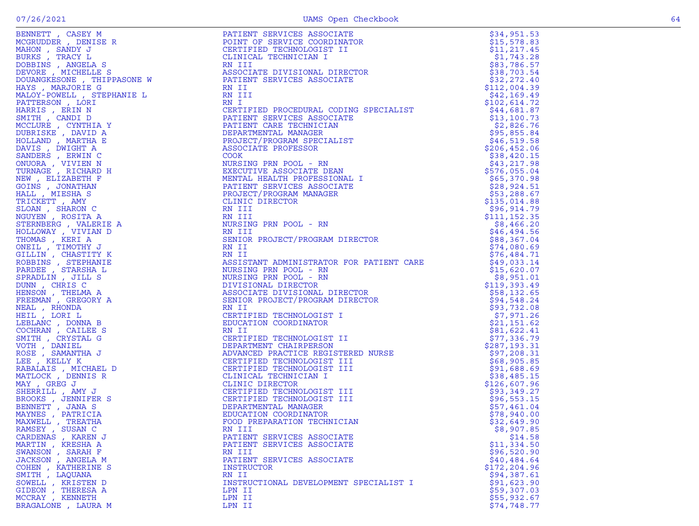| RAMSEY, SUSAN C     |                                        | \$8,907.85    |
|---------------------|----------------------------------------|---------------|
| CARDENAS, KAREN J   | RN III<br>PATIENT SERVICES ASSOCIATE   | \$14.58       |
| MARTIN, KRESHA A    | PATIENT SERVICES ASSOCIATE             | \$11,334.50   |
| SWANSON, SARAH F    | RN III                                 | \$96,520.90   |
| JACKSON, ANGELA M   | PATIENT SERVICES ASSOCIATE             | \$40,484.64   |
| COHEN, KATHERINE S  | INSTRUCTOR                             | \$172, 204.96 |
| SMITH, LAQUANA      | RN II                                  | \$94,387.61   |
| SOWELL , KRISTEN D  | INSTRUCTIONAL DEVELOPMENT SPECIALIST I | \$91,623.90   |
| GIDEON, THERESA A   | LPN II                                 | \$59,307.03   |
| MCCRAY, KENNETH     | LPN II                                 | \$55,932.67   |
| BRAGALONE , LAURA M | LPN II                                 | \$74,748.77   |
|                     |                                        |               |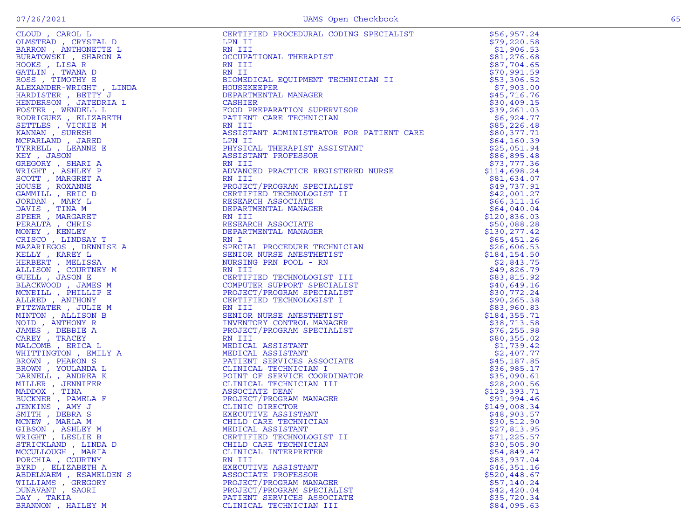| CLOUD , CAROL L<br>CLOUP (PROLI CAROL CHONGETE DERRON ANTHONETTE DERRON ANTHONETTE DERRON AND<br>BURATOWSKI , SHARON A<br>GATLIN , TWANA D<br>GATLIN , TWANA D<br>AGES , TIMOTHY E RAETY J<br>HARDISTER , WENDELL L<br>HARDERSON , JATEDRIA L<br>HENDE | CERTIFIED PROCEDURAL CODING SPECIALIST<br>LPN II<br>RN III<br>OCCUPATIONAL THERAPIST<br>RN III<br>RN III<br>BIOMEDICAL EQUIPMENT TECHNICIAN II<br>HOUSEKEEPER<br>DEPARTMENTAL MANAGER<br>CASHIER<br>CASHIER<br>FOOD PREPARATION SUPERVISOR<br>PATIENT CARE TECHNIC | \$56,957.24                 |
|--------------------------------------------------------------------------------------------------------------------------------------------------------------------------------------------------------------------------------------------------------|--------------------------------------------------------------------------------------------------------------------------------------------------------------------------------------------------------------------------------------------------------------------|-----------------------------|
|                                                                                                                                                                                                                                                        |                                                                                                                                                                                                                                                                    | \$79,220.58                 |
|                                                                                                                                                                                                                                                        |                                                                                                                                                                                                                                                                    | \$1,906.53                  |
|                                                                                                                                                                                                                                                        |                                                                                                                                                                                                                                                                    | \$81,276.68                 |
|                                                                                                                                                                                                                                                        |                                                                                                                                                                                                                                                                    | \$87,704.65                 |
|                                                                                                                                                                                                                                                        |                                                                                                                                                                                                                                                                    | \$70,991.59                 |
|                                                                                                                                                                                                                                                        |                                                                                                                                                                                                                                                                    | \$53,306.52                 |
|                                                                                                                                                                                                                                                        |                                                                                                                                                                                                                                                                    | \$7,903.00<br>\$45,716.76   |
|                                                                                                                                                                                                                                                        |                                                                                                                                                                                                                                                                    | \$30,409.15                 |
|                                                                                                                                                                                                                                                        |                                                                                                                                                                                                                                                                    | \$39,261.03                 |
|                                                                                                                                                                                                                                                        | PATIENT CARE TECHNICIAN                                                                                                                                                                                                                                            | \$6,924.77                  |
|                                                                                                                                                                                                                                                        | RN III                                                                                                                                                                                                                                                             | \$85,226.48                 |
|                                                                                                                                                                                                                                                        | ASSISTANT ADMINISTRATOR FOR PATIENT CARE                                                                                                                                                                                                                           | \$80,377.71                 |
|                                                                                                                                                                                                                                                        |                                                                                                                                                                                                                                                                    | \$64,160.39                 |
|                                                                                                                                                                                                                                                        |                                                                                                                                                                                                                                                                    | \$25,051.94                 |
|                                                                                                                                                                                                                                                        |                                                                                                                                                                                                                                                                    | \$86,895.48                 |
|                                                                                                                                                                                                                                                        |                                                                                                                                                                                                                                                                    | \$73,777.36                 |
|                                                                                                                                                                                                                                                        |                                                                                                                                                                                                                                                                    | \$114,698.24                |
|                                                                                                                                                                                                                                                        |                                                                                                                                                                                                                                                                    | \$81,634.07                 |
|                                                                                                                                                                                                                                                        |                                                                                                                                                                                                                                                                    | \$49,737.91                 |
|                                                                                                                                                                                                                                                        |                                                                                                                                                                                                                                                                    | \$42,001.27                 |
|                                                                                                                                                                                                                                                        |                                                                                                                                                                                                                                                                    | \$66,311.16<br>\$64,040.04  |
|                                                                                                                                                                                                                                                        |                                                                                                                                                                                                                                                                    | \$120,836.03                |
|                                                                                                                                                                                                                                                        |                                                                                                                                                                                                                                                                    | \$50,088.28                 |
|                                                                                                                                                                                                                                                        |                                                                                                                                                                                                                                                                    | \$130, 277.42               |
|                                                                                                                                                                                                                                                        |                                                                                                                                                                                                                                                                    | \$65,451.26                 |
|                                                                                                                                                                                                                                                        |                                                                                                                                                                                                                                                                    | \$26,606.53                 |
|                                                                                                                                                                                                                                                        |                                                                                                                                                                                                                                                                    | \$184,154.50                |
|                                                                                                                                                                                                                                                        |                                                                                                                                                                                                                                                                    | \$2,843.75                  |
|                                                                                                                                                                                                                                                        | RETI<br>FRIEDRIM MONIMISTRATIC PRESIDENT CARE<br>ASSISTANT ADMINISTRATIC FOR PATIENT CARE<br>LPN II<br>ENSIGNAL THERAPIST ASSISTANT<br>ASSISTANT PROFESSOR<br>ANGILE PROJECT (PROGRAM SPECIALIST II<br>PROJECT (PROGRAM SECTATE THE CERTIFIED TECHN                | \$49,826.79                 |
|                                                                                                                                                                                                                                                        |                                                                                                                                                                                                                                                                    | \$83,815.92                 |
|                                                                                                                                                                                                                                                        |                                                                                                                                                                                                                                                                    | \$40,649.16                 |
|                                                                                                                                                                                                                                                        |                                                                                                                                                                                                                                                                    | \$30,772.24                 |
|                                                                                                                                                                                                                                                        |                                                                                                                                                                                                                                                                    | \$90, 265.38                |
|                                                                                                                                                                                                                                                        |                                                                                                                                                                                                                                                                    | \$83,960.83                 |
|                                                                                                                                                                                                                                                        |                                                                                                                                                                                                                                                                    | \$184, 355.71               |
|                                                                                                                                                                                                                                                        |                                                                                                                                                                                                                                                                    | \$38,713.58                 |
|                                                                                                                                                                                                                                                        |                                                                                                                                                                                                                                                                    | \$76, 255.98<br>\$80,355.02 |
|                                                                                                                                                                                                                                                        |                                                                                                                                                                                                                                                                    | \$1,739.42                  |
|                                                                                                                                                                                                                                                        |                                                                                                                                                                                                                                                                    | \$2,407.77                  |
|                                                                                                                                                                                                                                                        |                                                                                                                                                                                                                                                                    | \$45,187.85                 |
|                                                                                                                                                                                                                                                        |                                                                                                                                                                                                                                                                    | \$36,985.17                 |
|                                                                                                                                                                                                                                                        |                                                                                                                                                                                                                                                                    | \$35,090.61                 |
|                                                                                                                                                                                                                                                        |                                                                                                                                                                                                                                                                    | \$28, 200.56                |
|                                                                                                                                                                                                                                                        |                                                                                                                                                                                                                                                                    | \$129,393.71                |
|                                                                                                                                                                                                                                                        |                                                                                                                                                                                                                                                                    | \$91,994.46                 |
|                                                                                                                                                                                                                                                        |                                                                                                                                                                                                                                                                    | \$149,008.34                |
|                                                                                                                                                                                                                                                        |                                                                                                                                                                                                                                                                    | \$48,903.57                 |
|                                                                                                                                                                                                                                                        |                                                                                                                                                                                                                                                                    | \$30,512.90                 |
| GIBSON , ASHLEY M                                                                                                                                                                                                                                      | MEDICAL ASSISTANT                                                                                                                                                                                                                                                  | \$27,813.95                 |
| WRIGHT, LESLIE B                                                                                                                                                                                                                                       | CERTIFIED TECHNOLOGIST II                                                                                                                                                                                                                                          | \$71,225.57                 |
| STRICKLAND, LINDA D<br>MCCULLOUGH, MARIA                                                                                                                                                                                                               | CHILD CARE TECHNICIAN                                                                                                                                                                                                                                              | \$30,505.90<br>\$54,849.47  |
| PORCHIA, COURTNY                                                                                                                                                                                                                                       | CLINICAL INTERPRETER<br>RN III                                                                                                                                                                                                                                     | \$83,937.04                 |
| BYRD, ELIZABETH A                                                                                                                                                                                                                                      | EXECUTIVE ASSISTANT                                                                                                                                                                                                                                                | \$46,351.16                 |
| ABDELNAEM, ESAMELDEN S                                                                                                                                                                                                                                 | ASSOCIATE PROFESSOR                                                                                                                                                                                                                                                | \$520,448.67                |
| WILLIAMS , GREGORY                                                                                                                                                                                                                                     | PROJECT/PROGRAM MANAGER                                                                                                                                                                                                                                            | \$57,140.24                 |
| DUNAVANT, SAORI                                                                                                                                                                                                                                        | PROJECT/PROGRAM SPECIALIST                                                                                                                                                                                                                                         | \$42,420.04                 |
| DAY, TAKIA                                                                                                                                                                                                                                             | PATIENT SERVICES ASSOCIATE                                                                                                                                                                                                                                         | \$35,720.34                 |
| BRANNON, HAILEY M                                                                                                                                                                                                                                      | CLINICAL TECHNICIAN III                                                                                                                                                                                                                                            | \$84,095.63                 |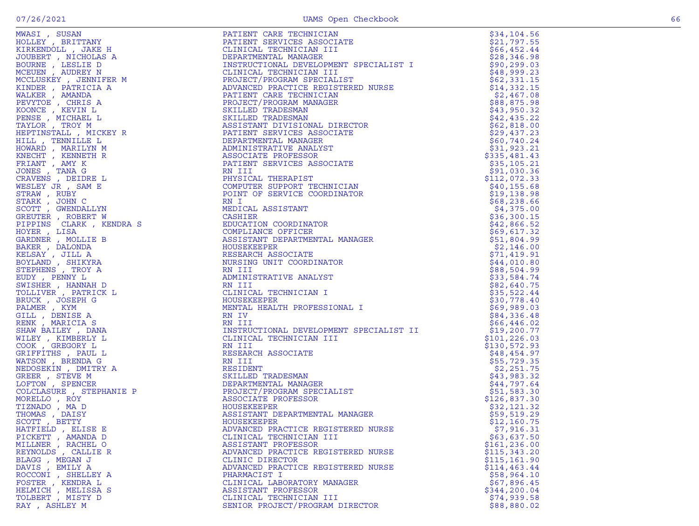|                                                                                                                                                                                                                                                                                                                                                                                                                                                                                            |                                                                                                                                                                                                                                                       | \$34,104.56   |
|--------------------------------------------------------------------------------------------------------------------------------------------------------------------------------------------------------------------------------------------------------------------------------------------------------------------------------------------------------------------------------------------------------------------------------------------------------------------------------------------|-------------------------------------------------------------------------------------------------------------------------------------------------------------------------------------------------------------------------------------------------------|---------------|
|                                                                                                                                                                                                                                                                                                                                                                                                                                                                                            | PATIENT SERVICES ASSOCIATE                                                                                                                                                                                                                            | \$21,797.55   |
|                                                                                                                                                                                                                                                                                                                                                                                                                                                                                            |                                                                                                                                                                                                                                                       | \$66,452.44   |
|                                                                                                                                                                                                                                                                                                                                                                                                                                                                                            |                                                                                                                                                                                                                                                       |               |
|                                                                                                                                                                                                                                                                                                                                                                                                                                                                                            |                                                                                                                                                                                                                                                       | \$28,346.98   |
| $\begin{tabular}{c c c} $\mathbb{Z}$ & $\mathbb{Z}$ & $\mathbb{Z}$ & $\mathbb{Z}$ \\ $\mathbb{Z}$ & $\mathbb{Z}$ & $\mathbb{Z}$ & $\mathbb{Z}$ \\ $\mathbb{Z}$ & $\mathbb{Z}$ & $\mathbb{Z}$ & $\mathbb{Z}$ & $\mathbb{Z}$ \\ $\mathbb{Z}$ & $\mathbb{Z}$ & $\mathbb{Z}$ & $\mathbb{Z}$ & $\mathbb{Z}$ & $\mathbb{Z}$ & $\mathbb{Z}$ \\ $\mathbb{Z}$ & $\mathbb{Z}$ & $\mathbb{Z}$ & $\mathbb{Z}$ & $\mathbb{Z}$ & $\mathbb{Z}$ & $\mathbb{Z}$ & $\mathbb{Z}$ & $\mathbb{Z}$ & $\mathbb{Z$ | PATIEM SEKVICES ASSOCIATE<br>CLINICAL TECHNICIAN III<br>DEPARTMENTAL MANAGER<br>INSTRUCTIONAL DEVELOPMENT SPECIALIST I<br>CLINICAL TECHNICIAN III<br>FACULTS (FROGRAM SPECIALIST<br>ADVANCED PRACTICE REGISTERED NURSE<br>FACULED TRADESMAN<br>FROUET | \$90, 299.03  |
|                                                                                                                                                                                                                                                                                                                                                                                                                                                                                            |                                                                                                                                                                                                                                                       | \$48,999.23   |
|                                                                                                                                                                                                                                                                                                                                                                                                                                                                                            |                                                                                                                                                                                                                                                       |               |
|                                                                                                                                                                                                                                                                                                                                                                                                                                                                                            |                                                                                                                                                                                                                                                       | \$62,331.15   |
|                                                                                                                                                                                                                                                                                                                                                                                                                                                                                            |                                                                                                                                                                                                                                                       | \$14,332.15   |
|                                                                                                                                                                                                                                                                                                                                                                                                                                                                                            |                                                                                                                                                                                                                                                       | \$2,467.08    |
|                                                                                                                                                                                                                                                                                                                                                                                                                                                                                            |                                                                                                                                                                                                                                                       | \$88,875.98   |
|                                                                                                                                                                                                                                                                                                                                                                                                                                                                                            |                                                                                                                                                                                                                                                       |               |
|                                                                                                                                                                                                                                                                                                                                                                                                                                                                                            |                                                                                                                                                                                                                                                       | \$43,950.32   |
|                                                                                                                                                                                                                                                                                                                                                                                                                                                                                            |                                                                                                                                                                                                                                                       | \$42,435.22   |
|                                                                                                                                                                                                                                                                                                                                                                                                                                                                                            |                                                                                                                                                                                                                                                       |               |
|                                                                                                                                                                                                                                                                                                                                                                                                                                                                                            |                                                                                                                                                                                                                                                       | \$62,818.00   |
|                                                                                                                                                                                                                                                                                                                                                                                                                                                                                            |                                                                                                                                                                                                                                                       | \$29,437.23   |
|                                                                                                                                                                                                                                                                                                                                                                                                                                                                                            |                                                                                                                                                                                                                                                       | \$60,740.24   |
|                                                                                                                                                                                                                                                                                                                                                                                                                                                                                            |                                                                                                                                                                                                                                                       | \$31,923.21   |
|                                                                                                                                                                                                                                                                                                                                                                                                                                                                                            |                                                                                                                                                                                                                                                       |               |
|                                                                                                                                                                                                                                                                                                                                                                                                                                                                                            |                                                                                                                                                                                                                                                       | \$335,481.43  |
|                                                                                                                                                                                                                                                                                                                                                                                                                                                                                            |                                                                                                                                                                                                                                                       | \$35,105.21   |
|                                                                                                                                                                                                                                                                                                                                                                                                                                                                                            |                                                                                                                                                                                                                                                       | \$91,030.36   |
|                                                                                                                                                                                                                                                                                                                                                                                                                                                                                            |                                                                                                                                                                                                                                                       |               |
|                                                                                                                                                                                                                                                                                                                                                                                                                                                                                            |                                                                                                                                                                                                                                                       | \$112,072.33  |
|                                                                                                                                                                                                                                                                                                                                                                                                                                                                                            |                                                                                                                                                                                                                                                       | \$40,155.68   |
|                                                                                                                                                                                                                                                                                                                                                                                                                                                                                            |                                                                                                                                                                                                                                                       | \$19,138.98   |
|                                                                                                                                                                                                                                                                                                                                                                                                                                                                                            |                                                                                                                                                                                                                                                       |               |
|                                                                                                                                                                                                                                                                                                                                                                                                                                                                                            |                                                                                                                                                                                                                                                       | \$68, 238.66  |
|                                                                                                                                                                                                                                                                                                                                                                                                                                                                                            |                                                                                                                                                                                                                                                       | \$4,375.00    |
|                                                                                                                                                                                                                                                                                                                                                                                                                                                                                            |                                                                                                                                                                                                                                                       | \$36,300.15   |
|                                                                                                                                                                                                                                                                                                                                                                                                                                                                                            |                                                                                                                                                                                                                                                       |               |
|                                                                                                                                                                                                                                                                                                                                                                                                                                                                                            |                                                                                                                                                                                                                                                       | \$42,866.52   |
|                                                                                                                                                                                                                                                                                                                                                                                                                                                                                            |                                                                                                                                                                                                                                                       | \$69,617.32   |
|                                                                                                                                                                                                                                                                                                                                                                                                                                                                                            |                                                                                                                                                                                                                                                       | \$51,804.99   |
|                                                                                                                                                                                                                                                                                                                                                                                                                                                                                            |                                                                                                                                                                                                                                                       |               |
|                                                                                                                                                                                                                                                                                                                                                                                                                                                                                            |                                                                                                                                                                                                                                                       | \$2,146.00    |
|                                                                                                                                                                                                                                                                                                                                                                                                                                                                                            |                                                                                                                                                                                                                                                       | \$71,419.91   |
|                                                                                                                                                                                                                                                                                                                                                                                                                                                                                            |                                                                                                                                                                                                                                                       | \$44,010.80   |
|                                                                                                                                                                                                                                                                                                                                                                                                                                                                                            |                                                                                                                                                                                                                                                       |               |
|                                                                                                                                                                                                                                                                                                                                                                                                                                                                                            |                                                                                                                                                                                                                                                       | \$88,504.99   |
|                                                                                                                                                                                                                                                                                                                                                                                                                                                                                            |                                                                                                                                                                                                                                                       | \$33,584.74   |
|                                                                                                                                                                                                                                                                                                                                                                                                                                                                                            |                                                                                                                                                                                                                                                       | \$82,640.75   |
|                                                                                                                                                                                                                                                                                                                                                                                                                                                                                            |                                                                                                                                                                                                                                                       |               |
|                                                                                                                                                                                                                                                                                                                                                                                                                                                                                            |                                                                                                                                                                                                                                                       | \$35,522.44   |
|                                                                                                                                                                                                                                                                                                                                                                                                                                                                                            |                                                                                                                                                                                                                                                       | \$30,778.40   |
|                                                                                                                                                                                                                                                                                                                                                                                                                                                                                            |                                                                                                                                                                                                                                                       | \$69,989.03   |
|                                                                                                                                                                                                                                                                                                                                                                                                                                                                                            |                                                                                                                                                                                                                                                       |               |
|                                                                                                                                                                                                                                                                                                                                                                                                                                                                                            |                                                                                                                                                                                                                                                       | \$84,336.48   |
|                                                                                                                                                                                                                                                                                                                                                                                                                                                                                            |                                                                                                                                                                                                                                                       | \$66,446.02   |
|                                                                                                                                                                                                                                                                                                                                                                                                                                                                                            | INSTRUCTIONAL DEVELOPMENT SPECIALIST II                                                                                                                                                                                                               | \$19,200.77   |
|                                                                                                                                                                                                                                                                                                                                                                                                                                                                                            |                                                                                                                                                                                                                                                       | \$101, 226.03 |
|                                                                                                                                                                                                                                                                                                                                                                                                                                                                                            |                                                                                                                                                                                                                                                       |               |
|                                                                                                                                                                                                                                                                                                                                                                                                                                                                                            |                                                                                                                                                                                                                                                       | \$130,572.93  |
|                                                                                                                                                                                                                                                                                                                                                                                                                                                                                            |                                                                                                                                                                                                                                                       | \$48,454.97   |
|                                                                                                                                                                                                                                                                                                                                                                                                                                                                                            |                                                                                                                                                                                                                                                       | \$55,729.35   |
|                                                                                                                                                                                                                                                                                                                                                                                                                                                                                            |                                                                                                                                                                                                                                                       |               |
|                                                                                                                                                                                                                                                                                                                                                                                                                                                                                            |                                                                                                                                                                                                                                                       | \$2,251.75    |
|                                                                                                                                                                                                                                                                                                                                                                                                                                                                                            | R<br>Maria Santa (1993)<br>Maria Santa (1993)<br>Maria Santa (1993)                                                                                                                                                                                   | \$43,983.32   |
|                                                                                                                                                                                                                                                                                                                                                                                                                                                                                            |                                                                                                                                                                                                                                                       | \$44,797.64   |
|                                                                                                                                                                                                                                                                                                                                                                                                                                                                                            |                                                                                                                                                                                                                                                       |               |
|                                                                                                                                                                                                                                                                                                                                                                                                                                                                                            |                                                                                                                                                                                                                                                       | \$51,583.30   |
|                                                                                                                                                                                                                                                                                                                                                                                                                                                                                            |                                                                                                                                                                                                                                                       | \$126,837.30  |
|                                                                                                                                                                                                                                                                                                                                                                                                                                                                                            |                                                                                                                                                                                                                                                       | \$32,121.32   |
|                                                                                                                                                                                                                                                                                                                                                                                                                                                                                            |                                                                                                                                                                                                                                                       |               |
|                                                                                                                                                                                                                                                                                                                                                                                                                                                                                            |                                                                                                                                                                                                                                                       | \$59,519.29   |
|                                                                                                                                                                                                                                                                                                                                                                                                                                                                                            |                                                                                                                                                                                                                                                       | \$12,160.75   |
| SIBENER, HANNAH DRIVISTRATIVE ANALYST<br>SUDY, PENNYL ANARAH DRIVISTRATIVE ANALYST<br>TOLLIVER, PANRAH DRIVISTRATIVE ANALYST<br>TOLLIVER, PANRICK L<br>BRUCK, JOSEPH G<br>HANNER KYM MATEICAL HEALTH PROFESSIONAL I<br>GENER, KYMEERLY L<br><br>HATFIELD, ELISE E                                                                                                                                                                                                                          | ADVANCED PRACTICE REGISTERED NURSE                                                                                                                                                                                                                    | \$7,916.31    |
|                                                                                                                                                                                                                                                                                                                                                                                                                                                                                            |                                                                                                                                                                                                                                                       | \$63,637.50   |
| PICKETT, AMANDA D                                                                                                                                                                                                                                                                                                                                                                                                                                                                          | CLINICAL TECHNICIAN III                                                                                                                                                                                                                               |               |
| MILLNER, RACHEL O                                                                                                                                                                                                                                                                                                                                                                                                                                                                          | ASSISTANT PROFESSOR                                                                                                                                                                                                                                   | \$161,236.00  |
| REYNOLDS, CALLIE R                                                                                                                                                                                                                                                                                                                                                                                                                                                                         | ADVANCED PRACTICE REGISTERED NURSE                                                                                                                                                                                                                    | \$115, 343.20 |
| BLAGG, MEGAN J                                                                                                                                                                                                                                                                                                                                                                                                                                                                             | CLINIC DIRECTOR                                                                                                                                                                                                                                       | \$115, 161.90 |
|                                                                                                                                                                                                                                                                                                                                                                                                                                                                                            |                                                                                                                                                                                                                                                       |               |
| DAVIS, EMILY A                                                                                                                                                                                                                                                                                                                                                                                                                                                                             | ADVANCED PRACTICE REGISTERED NURSE                                                                                                                                                                                                                    | \$114, 463.44 |
| ROCCONI, SHELLEY A                                                                                                                                                                                                                                                                                                                                                                                                                                                                         | PHARMACIST I                                                                                                                                                                                                                                          | \$58,964.10   |
| FOSTER, KENDRA L                                                                                                                                                                                                                                                                                                                                                                                                                                                                           | CLINICAL LABORATORY MANAGER                                                                                                                                                                                                                           | \$67,896.45   |
|                                                                                                                                                                                                                                                                                                                                                                                                                                                                                            |                                                                                                                                                                                                                                                       |               |
| HELMICH, MELISSA S                                                                                                                                                                                                                                                                                                                                                                                                                                                                         | ASSISTANT PROFESSOR                                                                                                                                                                                                                                   | \$344,200.04  |
| TOLBERT, MISTY D                                                                                                                                                                                                                                                                                                                                                                                                                                                                           | CLINICAL TECHNICIAN III                                                                                                                                                                                                                               | \$74,939.58   |
| RAY, ASHLEY M                                                                                                                                                                                                                                                                                                                                                                                                                                                                              | SENIOR PROJECT/PROGRAM DIRECTOR                                                                                                                                                                                                                       | \$88,880.02   |
|                                                                                                                                                                                                                                                                                                                                                                                                                                                                                            |                                                                                                                                                                                                                                                       |               |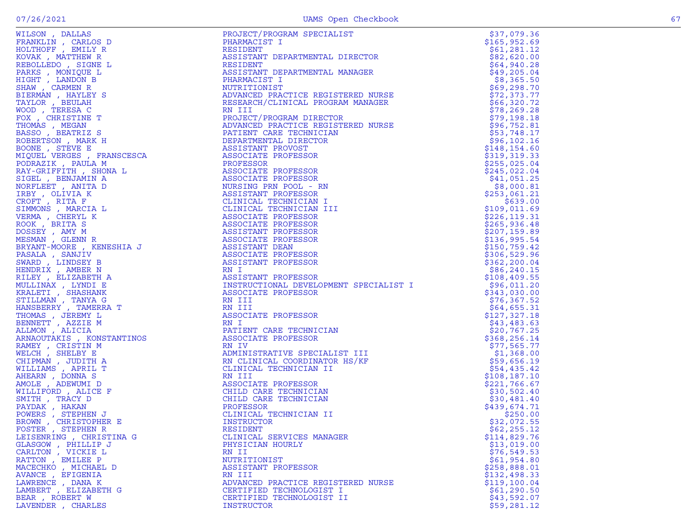|                                                                                                                                                                                                                                                     | PROJECT/PROGRAM SPECIALIST                                                                                                                                                                                                                                   | \$37,079.36                  |
|-----------------------------------------------------------------------------------------------------------------------------------------------------------------------------------------------------------------------------------------------------|--------------------------------------------------------------------------------------------------------------------------------------------------------------------------------------------------------------------------------------------------------------|------------------------------|
|                                                                                                                                                                                                                                                     |                                                                                                                                                                                                                                                              | \$165,952.69                 |
|                                                                                                                                                                                                                                                     |                                                                                                                                                                                                                                                              | \$61,281.12                  |
|                                                                                                                                                                                                                                                     |                                                                                                                                                                                                                                                              | \$82,620.00                  |
|                                                                                                                                                                                                                                                     |                                                                                                                                                                                                                                                              | \$64,940.28                  |
|                                                                                                                                                                                                                                                     |                                                                                                                                                                                                                                                              | \$49,205.04                  |
|                                                                                                                                                                                                                                                     |                                                                                                                                                                                                                                                              | \$8,365.50                   |
|                                                                                                                                                                                                                                                     |                                                                                                                                                                                                                                                              | \$69,298.70                  |
|                                                                                                                                                                                                                                                     |                                                                                                                                                                                                                                                              | \$72,373.77                  |
|                                                                                                                                                                                                                                                     |                                                                                                                                                                                                                                                              | \$66,320.72                  |
|                                                                                                                                                                                                                                                     |                                                                                                                                                                                                                                                              | \$78, 269.28                 |
|                                                                                                                                                                                                                                                     |                                                                                                                                                                                                                                                              | \$79,198.18                  |
|                                                                                                                                                                                                                                                     | PHARMACIST I<br>RESIDENT<br>RESIDENT<br>RESIDENT DEPARTMENTAL DIRECTOR<br>RESIDENT<br>ASSISTANT DEPARTMENTAL MANAGER<br>NUTRITIONIST<br>NUTRITIONIST<br>ADVANCED PRACTICE REGISTERED NURSE<br>RESERARCH/CLINICAL PROGRAM MANAGER<br>RESERARCH/CLINICAL PROGR | \$96,752.81                  |
|                                                                                                                                                                                                                                                     |                                                                                                                                                                                                                                                              | \$53,748.17                  |
|                                                                                                                                                                                                                                                     |                                                                                                                                                                                                                                                              | \$96, 102.16                 |
|                                                                                                                                                                                                                                                     |                                                                                                                                                                                                                                                              | \$148,154.60                 |
|                                                                                                                                                                                                                                                     |                                                                                                                                                                                                                                                              | \$319,319.33                 |
|                                                                                                                                                                                                                                                     |                                                                                                                                                                                                                                                              | \$255,025.04                 |
|                                                                                                                                                                                                                                                     |                                                                                                                                                                                                                                                              | \$245,022.04                 |
|                                                                                                                                                                                                                                                     |                                                                                                                                                                                                                                                              |                              |
|                                                                                                                                                                                                                                                     |                                                                                                                                                                                                                                                              | \$41,051.25<br>\$8,000.81    |
|                                                                                                                                                                                                                                                     |                                                                                                                                                                                                                                                              |                              |
|                                                                                                                                                                                                                                                     |                                                                                                                                                                                                                                                              | \$253,061.21                 |
|                                                                                                                                                                                                                                                     | CLINICAL TECHNICIAN I                                                                                                                                                                                                                                        | \$639.00<br>\$109,011.69     |
|                                                                                                                                                                                                                                                     | CLINICAL TECHNICIAN III                                                                                                                                                                                                                                      | \$226, 119.31                |
|                                                                                                                                                                                                                                                     |                                                                                                                                                                                                                                                              |                              |
|                                                                                                                                                                                                                                                     |                                                                                                                                                                                                                                                              | \$265,936.48                 |
|                                                                                                                                                                                                                                                     |                                                                                                                                                                                                                                                              | \$207, 159.89                |
|                                                                                                                                                                                                                                                     |                                                                                                                                                                                                                                                              | \$136,995.54<br>\$150,759.42 |
|                                                                                                                                                                                                                                                     |                                                                                                                                                                                                                                                              | \$306,529.96                 |
|                                                                                                                                                                                                                                                     |                                                                                                                                                                                                                                                              |                              |
|                                                                                                                                                                                                                                                     |                                                                                                                                                                                                                                                              | \$362, 200.04                |
|                                                                                                                                                                                                                                                     |                                                                                                                                                                                                                                                              | \$86,240.15                  |
|                                                                                                                                                                                                                                                     | INSTRUCTIONAL DEVELOPMENT SPECIALIST I                                                                                                                                                                                                                       | \$108,409.55                 |
|                                                                                                                                                                                                                                                     |                                                                                                                                                                                                                                                              | \$96,011.20<br>\$343,030.00  |
|                                                                                                                                                                                                                                                     |                                                                                                                                                                                                                                                              |                              |
|                                                                                                                                                                                                                                                     |                                                                                                                                                                                                                                                              | \$76, 367.52                 |
|                                                                                                                                                                                                                                                     |                                                                                                                                                                                                                                                              | \$64,655.31                  |
|                                                                                                                                                                                                                                                     | ASSOCIAIL<br>RN I<br>PATIENT CARE TECHNICIAN<br>LOCOCIATE PROFESSOR                                                                                                                                                                                          | \$127,327.18                 |
|                                                                                                                                                                                                                                                     |                                                                                                                                                                                                                                                              | \$43,483.63                  |
|                                                                                                                                                                                                                                                     |                                                                                                                                                                                                                                                              | \$20,767.25<br>\$368,256.14  |
|                                                                                                                                                                                                                                                     |                                                                                                                                                                                                                                                              | \$77,565.77                  |
|                                                                                                                                                                                                                                                     | ADMINISTRATIVE SPECIALIST III                                                                                                                                                                                                                                | \$1,368.00                   |
|                                                                                                                                                                                                                                                     | RN CLINICAL COORDINATOR HS/KF                                                                                                                                                                                                                                | \$59,656.19                  |
|                                                                                                                                                                                                                                                     | CLINICAL TECHNICIAN II                                                                                                                                                                                                                                       | \$54,435.42                  |
|                                                                                                                                                                                                                                                     |                                                                                                                                                                                                                                                              | \$108,187.10                 |
|                                                                                                                                                                                                                                                     |                                                                                                                                                                                                                                                              | \$221,766.67                 |
|                                                                                                                                                                                                                                                     | CHILD CARE TECHNICIAN                                                                                                                                                                                                                                        | \$30,502.40                  |
|                                                                                                                                                                                                                                                     | $\rm _{H S / K F}^{irr}$ and $\rm _{H S / K F}^{irr}$<br>CHILD CARE TECHNICIAN                                                                                                                                                                               | \$30,481.40                  |
|                                                                                                                                                                                                                                                     |                                                                                                                                                                                                                                                              | \$439,674.71                 |
|                                                                                                                                                                                                                                                     | CLINICAL TECHNICIAN II                                                                                                                                                                                                                                       | \$250.00                     |
|                                                                                                                                                                                                                                                     |                                                                                                                                                                                                                                                              | \$32,072.55                  |
| WILSON , DALLAS PRODUCTION FROM PROPERTY PROPERTY (FROM PROPERTY ASSOCIATE PROPERTY AND NOTING THE RESERVE TO A RESOLUTE THE RESERVE TO A REPORT OF THE RESERVE TO A REPORT OF THE RESERVE TO A REPORT OF THE RESERVE TO A RE<br>FOSTER , STEPHEN R |                                                                                                                                                                                                                                                              | \$62, 255.12                 |
| LEISENRING, CHRISTINA G                                                                                                                                                                                                                             | RESIDENT<br>CLINICAL SERVICES MANAGER                                                                                                                                                                                                                        | \$114,829.76                 |
| GLASGOW, PHILLIP J                                                                                                                                                                                                                                  | PHYSICIAN HOURLY                                                                                                                                                                                                                                             | \$13,019.00                  |
|                                                                                                                                                                                                                                                     | RN II                                                                                                                                                                                                                                                        | \$76,549.53                  |
| CARLTON, VICKIE L<br>RATTON, EMILEE P                                                                                                                                                                                                               | NUTRITIONIST                                                                                                                                                                                                                                                 | \$61,954.80                  |
| MACECHKO, MICHAEL D                                                                                                                                                                                                                                 | ASSISTANT PROFESSOR                                                                                                                                                                                                                                          | \$258,888.01                 |
| AVANCE , EFIGENIA                                                                                                                                                                                                                                   | RN III                                                                                                                                                                                                                                                       | \$132,498.33                 |
| LAWRENCE, DANA K                                                                                                                                                                                                                                    | ADVANCED PRACTICE REGISTERED NURSE                                                                                                                                                                                                                           | \$119,100.04                 |
| LAMBERT, ELIZABETH G                                                                                                                                                                                                                                | CERTIFIED TECHNOLOGIST I                                                                                                                                                                                                                                     | \$61, 290.50                 |
| BEAR, ROBERT W                                                                                                                                                                                                                                      | CERTIFIED TECHNOLOGIST II                                                                                                                                                                                                                                    | \$43,592.07                  |
| LAVENDER, CHARLES                                                                                                                                                                                                                                   | INSTRUCTOR                                                                                                                                                                                                                                                   | \$59,281.12                  |
|                                                                                                                                                                                                                                                     |                                                                                                                                                                                                                                                              |                              |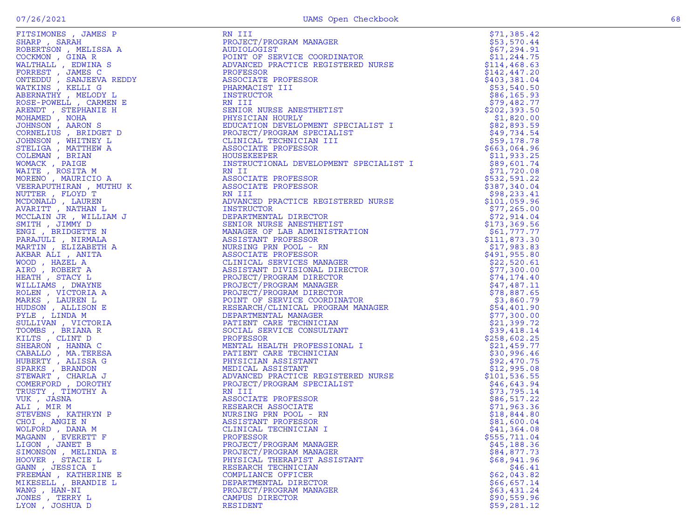| FITSIMONES , JAMES P<br>SHARP , SARAH NOBERTSON , MELISSA A<br>ROBERTSON , MELISSA A<br>ROBERTSON , HINA R<br>WALTHALL , EDMINA S<br>FORREST , JAMES CO<br>COCKMON , SANIEVA RELOY L<br>MATKINS , KELLI G<br>ABERNATHY , MELOY L<br>ROSE POWELL , CARMEN | RN III                                                                                                                                                                                                                                                 | \$71,385.42                 |
|----------------------------------------------------------------------------------------------------------------------------------------------------------------------------------------------------------------------------------------------------------|--------------------------------------------------------------------------------------------------------------------------------------------------------------------------------------------------------------------------------------------------------|-----------------------------|
|                                                                                                                                                                                                                                                          | PROJECT/PROGRAM MANAGER                                                                                                                                                                                                                                | \$53,570.44                 |
|                                                                                                                                                                                                                                                          | AUDIOLOGIST                                                                                                                                                                                                                                            | \$67,294.91                 |
|                                                                                                                                                                                                                                                          | POINT OF SERVICE COORDINATOR                                                                                                                                                                                                                           | \$11,244.75                 |
|                                                                                                                                                                                                                                                          | ADVANCED PRACTICE REGISTERED NURSE                                                                                                                                                                                                                     | \$114,468.63                |
|                                                                                                                                                                                                                                                          | PROFESSOR                                                                                                                                                                                                                                              | \$142, 447.20               |
|                                                                                                                                                                                                                                                          | ASSOCIATE PROFESSOR                                                                                                                                                                                                                                    | \$403,381.04                |
|                                                                                                                                                                                                                                                          | PHARMACIST III                                                                                                                                                                                                                                         | \$53,540.50                 |
|                                                                                                                                                                                                                                                          | INSTRUCTOR                                                                                                                                                                                                                                             | \$86,165.93                 |
|                                                                                                                                                                                                                                                          | RN III                                                                                                                                                                                                                                                 | \$79,482.77                 |
|                                                                                                                                                                                                                                                          | SENIOR NURSE ANESTHETIST                                                                                                                                                                                                                               | \$202, 393.50               |
|                                                                                                                                                                                                                                                          | PHYSICIAN HOURLY<br>U SPECIALIST I<br>MALIST<br>II<br>Artes                                                                                                                                                                                            | \$1,820.00                  |
|                                                                                                                                                                                                                                                          | EDUCATION DEVELOPMENT SPECIALIST I                                                                                                                                                                                                                     | \$82,893.59                 |
|                                                                                                                                                                                                                                                          | PROJECT/PROGRAM SPECIALIST                                                                                                                                                                                                                             | \$49,734.54                 |
|                                                                                                                                                                                                                                                          | CLINICAL TECHNICIAN III                                                                                                                                                                                                                                | \$59,178.78                 |
|                                                                                                                                                                                                                                                          | ASSOCIATE PROFESSOR                                                                                                                                                                                                                                    | \$663,064.96                |
|                                                                                                                                                                                                                                                          | HOUSEKEEPER                                                                                                                                                                                                                                            | \$11,933.25                 |
|                                                                                                                                                                                                                                                          | INSTRUCTIONAL DEVELOPMENT SPECIALIST I                                                                                                                                                                                                                 | \$89,601.74                 |
|                                                                                                                                                                                                                                                          | RN II                                                                                                                                                                                                                                                  | \$71,720.08                 |
|                                                                                                                                                                                                                                                          | ASSOCIATE PROFESSOR                                                                                                                                                                                                                                    | \$532,591.22                |
|                                                                                                                                                                                                                                                          | ASSOCIATE PROFESSOR                                                                                                                                                                                                                                    | \$387,340.04                |
|                                                                                                                                                                                                                                                          | RN III                                                                                                                                                                                                                                                 | \$98, 233.41                |
|                                                                                                                                                                                                                                                          | ADVANCED PRACTICE REGISTERED NURSE                                                                                                                                                                                                                     | \$101,059.96                |
|                                                                                                                                                                                                                                                          | INSTRUCTOR                                                                                                                                                                                                                                             | \$77,265.00                 |
|                                                                                                                                                                                                                                                          |                                                                                                                                                                                                                                                        | \$72,914.04                 |
|                                                                                                                                                                                                                                                          |                                                                                                                                                                                                                                                        | \$173,369.56                |
|                                                                                                                                                                                                                                                          | INSTRUCTOR<br>DEPARTMENTAL DIRECTOR<br>SENIOR NURSE ANESTHETIST<br>MANAGER OF LAB ADMINISTRATION<br>ASSISTANT PROFESSOR<br>NURSING PRN POOL - RN<br>ASSOCIATE PROFESSOR                                                                                | \$61,777.77<br>\$111,873.30 |
|                                                                                                                                                                                                                                                          |                                                                                                                                                                                                                                                        | \$17,983.83                 |
|                                                                                                                                                                                                                                                          |                                                                                                                                                                                                                                                        | \$491,955.80                |
|                                                                                                                                                                                                                                                          | ASSOCIATE PROFESSOR<br>CLINICAL SERVICES MANAGER<br>ASSISTANT DIVISIONAL DIRECTOR<br>PROJECT/PROGRAM MANAGER<br>PROJECT/PROGRAM MANAGER<br>PROJECT/PROGRAM DIRECTOR<br>POINT OF SERVICE COORDINATOR<br>RESEARCH/CLINICAL PROGRAM MANAGER<br>DEPARTMENT | \$22,520.61                 |
|                                                                                                                                                                                                                                                          |                                                                                                                                                                                                                                                        | \$77,300.00                 |
|                                                                                                                                                                                                                                                          |                                                                                                                                                                                                                                                        | \$74,174.40                 |
|                                                                                                                                                                                                                                                          |                                                                                                                                                                                                                                                        | \$47,487.11                 |
|                                                                                                                                                                                                                                                          |                                                                                                                                                                                                                                                        | \$78,887.65                 |
|                                                                                                                                                                                                                                                          |                                                                                                                                                                                                                                                        | \$3,860.79                  |
|                                                                                                                                                                                                                                                          |                                                                                                                                                                                                                                                        | \$54,401.90                 |
| PYLE, LINDA M                                                                                                                                                                                                                                            |                                                                                                                                                                                                                                                        | \$77,300.00                 |
| SULLIVAN, VICTORIA                                                                                                                                                                                                                                       |                                                                                                                                                                                                                                                        | \$21,399.72                 |
| TOOMBS , BRIANA R                                                                                                                                                                                                                                        |                                                                                                                                                                                                                                                        | \$39,418.14                 |
| KILTS, CLINT D                                                                                                                                                                                                                                           | )CIAL J__<br>ROFESSOR<br>IENTAL HEALTH PROFESSIONAL<br>PATIENT CARE TECHNICIAN<br>PHYSICIAN ASSISTANT<br>MEDICAL ASSISTANT<br>ADVANCED PRACTICE REGISTERED NURSE<br>PROJECT/PROGRAM SPECIALIST                                                         | \$258,602.25                |
| SHEARON, HANNA C                                                                                                                                                                                                                                         |                                                                                                                                                                                                                                                        | \$21,459.77                 |
| CABALLO, MA.TERESA                                                                                                                                                                                                                                       |                                                                                                                                                                                                                                                        | \$30,996.46                 |
| HUBERTY , ALISSA G                                                                                                                                                                                                                                       |                                                                                                                                                                                                                                                        | \$92,470.75                 |
| SPARKS, BRANDON                                                                                                                                                                                                                                          |                                                                                                                                                                                                                                                        | \$12,995.08                 |
| STEWART , CHARLA J                                                                                                                                                                                                                                       |                                                                                                                                                                                                                                                        | \$101,536.55                |
| COMERFORD, DOROTHY                                                                                                                                                                                                                                       | ADVANCED PRACTICE REGISTERE<br>PROJECT/PROGRAM SPECIALIST<br>RN III<br>ASSOCIATE PROFESSOR                                                                                                                                                             | \$46,643.94                 |
| TRUSTY, TIMOTHY A                                                                                                                                                                                                                                        |                                                                                                                                                                                                                                                        | \$73,795.14                 |
| VUK, JASNA                                                                                                                                                                                                                                               |                                                                                                                                                                                                                                                        | \$86,517.22                 |
| ALI, MIR M                                                                                                                                                                                                                                               |                                                                                                                                                                                                                                                        | \$71,963.36                 |
| STEVENS , KATHRYN P                                                                                                                                                                                                                                      | RESEARCH ASSOCIATE<br>NURSING PRN POOL - RN<br>ASSISTANT PROFESSOR                                                                                                                                                                                     | \$18,844.80                 |
| CHOI , ANGIE N                                                                                                                                                                                                                                           | ASSISTANT PROFESSOR                                                                                                                                                                                                                                    | \$81,600.04                 |
| WOLFORD, DANA M                                                                                                                                                                                                                                          | CLINICAL TECHNICIAN I                                                                                                                                                                                                                                  | \$41,364.08                 |
| MAGANN , EVERETT F                                                                                                                                                                                                                                       | PROFESSOR                                                                                                                                                                                                                                              | \$555,711.04                |
| LIGON, JANET B                                                                                                                                                                                                                                           | PROJECT/PROGRAM MANAGER                                                                                                                                                                                                                                | \$45,188.36                 |
| SIMONSON, MELINDA E                                                                                                                                                                                                                                      | PROJECT/PROGRAM MANAGER                                                                                                                                                                                                                                | \$84,877.73                 |
| HOOVER, STACIE L                                                                                                                                                                                                                                         | PHYSICAL THERAPIST ASSISTANT                                                                                                                                                                                                                           | \$68,941.96                 |
| GANN , JESSICA I                                                                                                                                                                                                                                         | RESEARCH TECHNICIAN                                                                                                                                                                                                                                    | \$46.41                     |
| FREEMAN, KATHERINE E                                                                                                                                                                                                                                     | COMPLIANCE OFFICER                                                                                                                                                                                                                                     | \$62,043.82                 |
| MIKESELL, BRANDIE L                                                                                                                                                                                                                                      | DEPARTMENTAL DIRECTOR                                                                                                                                                                                                                                  | \$66,657.14                 |
| WANG, HAN-NI                                                                                                                                                                                                                                             | PROJECT/PROGRAM MANAGER                                                                                                                                                                                                                                | \$63,431.24                 |
| JONES , TERRY L                                                                                                                                                                                                                                          | CAMPUS DIRECTOR                                                                                                                                                                                                                                        | \$90,559.96                 |
| LYON, JOSHUA D                                                                                                                                                                                                                                           | RESIDENT                                                                                                                                                                                                                                               | \$59,281.12                 |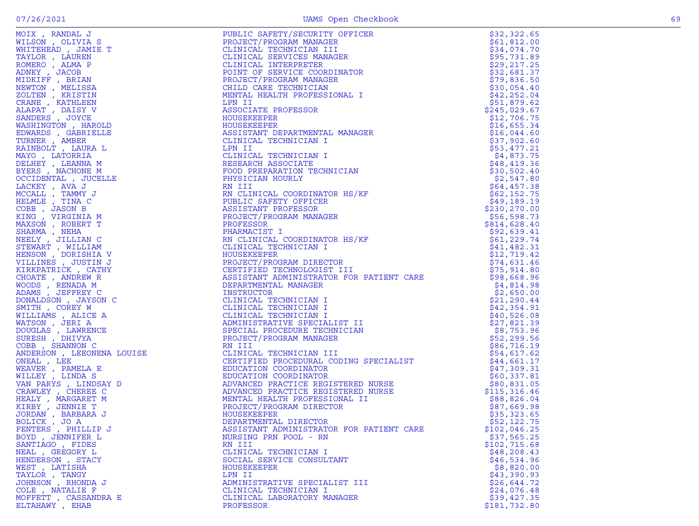|                                                                                                                                                                                                                                                            | PUBLIC SAFETY/SECURITY<br>CLINICAL TRETTY/SECURITY<br>CLINICAL TECHNICIAN MANAGER<br>CLINICAL SERVICES MANAGER<br>CLINICAL SERVICES MANAGER<br>POINT OF SERVICE CORDINATOR<br>POINT ORER TECHNICIAN<br>CHILD CARE TECHNICIAN<br>CHILD CARE TECHNICIAN<br>                                                                                                                                                    | \$32,322.65  |
|------------------------------------------------------------------------------------------------------------------------------------------------------------------------------------------------------------------------------------------------------------|--------------------------------------------------------------------------------------------------------------------------------------------------------------------------------------------------------------------------------------------------------------------------------------------------------------------------------------------------------------------------------------------------------------|--------------|
|                                                                                                                                                                                                                                                            |                                                                                                                                                                                                                                                                                                                                                                                                              | \$61,812.00  |
|                                                                                                                                                                                                                                                            |                                                                                                                                                                                                                                                                                                                                                                                                              | \$34,074.70  |
|                                                                                                                                                                                                                                                            |                                                                                                                                                                                                                                                                                                                                                                                                              | \$95,731.89  |
|                                                                                                                                                                                                                                                            |                                                                                                                                                                                                                                                                                                                                                                                                              | \$29, 217.25 |
|                                                                                                                                                                                                                                                            |                                                                                                                                                                                                                                                                                                                                                                                                              | \$32,681.37  |
|                                                                                                                                                                                                                                                            |                                                                                                                                                                                                                                                                                                                                                                                                              | \$79,836.50  |
|                                                                                                                                                                                                                                                            |                                                                                                                                                                                                                                                                                                                                                                                                              | \$30,054.40  |
|                                                                                                                                                                                                                                                            |                                                                                                                                                                                                                                                                                                                                                                                                              | \$42,252.04  |
|                                                                                                                                                                                                                                                            |                                                                                                                                                                                                                                                                                                                                                                                                              | \$51,879.62  |
|                                                                                                                                                                                                                                                            |                                                                                                                                                                                                                                                                                                                                                                                                              | \$245,029.67 |
|                                                                                                                                                                                                                                                            |                                                                                                                                                                                                                                                                                                                                                                                                              | \$12,706.75  |
|                                                                                                                                                                                                                                                            |                                                                                                                                                                                                                                                                                                                                                                                                              | \$16,655.34  |
|                                                                                                                                                                                                                                                            |                                                                                                                                                                                                                                                                                                                                                                                                              | \$16,044.60  |
|                                                                                                                                                                                                                                                            |                                                                                                                                                                                                                                                                                                                                                                                                              | \$37,902.60  |
|                                                                                                                                                                                                                                                            |                                                                                                                                                                                                                                                                                                                                                                                                              | \$53,477.21  |
|                                                                                                                                                                                                                                                            |                                                                                                                                                                                                                                                                                                                                                                                                              | \$4,873.75   |
|                                                                                                                                                                                                                                                            |                                                                                                                                                                                                                                                                                                                                                                                                              | \$48,419.36  |
|                                                                                                                                                                                                                                                            |                                                                                                                                                                                                                                                                                                                                                                                                              | \$30,502.40  |
|                                                                                                                                                                                                                                                            |                                                                                                                                                                                                                                                                                                                                                                                                              | \$2,547.80   |
|                                                                                                                                                                                                                                                            |                                                                                                                                                                                                                                                                                                                                                                                                              | \$64,457.38  |
|                                                                                                                                                                                                                                                            |                                                                                                                                                                                                                                                                                                                                                                                                              | \$62,152.75  |
|                                                                                                                                                                                                                                                            |                                                                                                                                                                                                                                                                                                                                                                                                              | \$49,189.19  |
|                                                                                                                                                                                                                                                            |                                                                                                                                                                                                                                                                                                                                                                                                              | \$230,270.00 |
|                                                                                                                                                                                                                                                            |                                                                                                                                                                                                                                                                                                                                                                                                              | \$56,598.73  |
|                                                                                                                                                                                                                                                            |                                                                                                                                                                                                                                                                                                                                                                                                              | \$814,628.40 |
|                                                                                                                                                                                                                                                            |                                                                                                                                                                                                                                                                                                                                                                                                              | \$92,639.41  |
|                                                                                                                                                                                                                                                            |                                                                                                                                                                                                                                                                                                                                                                                                              | \$61, 229.74 |
|                                                                                                                                                                                                                                                            |                                                                                                                                                                                                                                                                                                                                                                                                              | \$41,482.31  |
|                                                                                                                                                                                                                                                            |                                                                                                                                                                                                                                                                                                                                                                                                              | \$12,719.42  |
|                                                                                                                                                                                                                                                            |                                                                                                                                                                                                                                                                                                                                                                                                              |              |
|                                                                                                                                                                                                                                                            |                                                                                                                                                                                                                                                                                                                                                                                                              |              |
|                                                                                                                                                                                                                                                            |                                                                                                                                                                                                                                                                                                                                                                                                              |              |
|                                                                                                                                                                                                                                                            |                                                                                                                                                                                                                                                                                                                                                                                                              |              |
|                                                                                                                                                                                                                                                            |                                                                                                                                                                                                                                                                                                                                                                                                              |              |
|                                                                                                                                                                                                                                                            |                                                                                                                                                                                                                                                                                                                                                                                                              |              |
|                                                                                                                                                                                                                                                            |                                                                                                                                                                                                                                                                                                                                                                                                              |              |
|                                                                                                                                                                                                                                                            |                                                                                                                                                                                                                                                                                                                                                                                                              |              |
|                                                                                                                                                                                                                                                            |                                                                                                                                                                                                                                                                                                                                                                                                              |              |
|                                                                                                                                                                                                                                                            |                                                                                                                                                                                                                                                                                                                                                                                                              |              |
|                                                                                                                                                                                                                                                            |                                                                                                                                                                                                                                                                                                                                                                                                              |              |
|                                                                                                                                                                                                                                                            |                                                                                                                                                                                                                                                                                                                                                                                                              |              |
|                                                                                                                                                                                                                                                            |                                                                                                                                                                                                                                                                                                                                                                                                              |              |
|                                                                                                                                                                                                                                                            |                                                                                                                                                                                                                                                                                                                                                                                                              |              |
|                                                                                                                                                                                                                                                            |                                                                                                                                                                                                                                                                                                                                                                                                              |              |
|                                                                                                                                                                                                                                                            |                                                                                                                                                                                                                                                                                                                                                                                                              |              |
|                                                                                                                                                                                                                                                            |                                                                                                                                                                                                                                                                                                                                                                                                              |              |
|                                                                                                                                                                                                                                                            |                                                                                                                                                                                                                                                                                                                                                                                                              |              |
|                                                                                                                                                                                                                                                            |                                                                                                                                                                                                                                                                                                                                                                                                              |              |
|                                                                                                                                                                                                                                                            |                                                                                                                                                                                                                                                                                                                                                                                                              |              |
|                                                                                                                                                                                                                                                            |                                                                                                                                                                                                                                                                                                                                                                                                              |              |
|                                                                                                                                                                                                                                                            |                                                                                                                                                                                                                                                                                                                                                                                                              |              |
|                                                                                                                                                                                                                                                            |                                                                                                                                                                                                                                                                                                                                                                                                              |              |
| FENTERS, PHILLIP J                                                                                                                                                                                                                                         |                                                                                                                                                                                                                                                                                                                                                                                                              |              |
| IX, RANDAL JONES (C. 1988)<br>MEREAD JAMAIR TERESAN (C. 1988)<br>MEREAD JAMAIR TERESAN (C. 1998)<br>NERE VIAR DE PRIAN MEREAD PRESSAN<br>DE DE PRIAM RESAN (RESERVENT) (MELISSAN AREA LANGUE DE PRIAM AREA LANGUE DE PRIAM AREA LANGUE<br>BOYD, JENNIFER L | $\begin{tabular}{l c c c c} \multicolumn{1}{c}{\textbf{PROIST} \textbf{FRO} \textbf{RECT}}/ \textbf{PROGRAM DIRECTOR} & \begin{tabular}{l@{}} \multicolumn{1}{c}{\textbf{114, 799.4}} & \multicolumn{1}{c}{\textbf{214, 799.4}} & \multicolumn{1}{c}{\textbf{214, 799.4}} & \multicolumn{1}{c}{\textbf{214, 799.4}} & \multicolumn{1}{c}{\textbf{214, 799.4}} & \multicolumn{1}{c}{\textbf{214, 799.4}} & \$ |              |
| SANTIAGO, FIDES                                                                                                                                                                                                                                            | RN III                                                                                                                                                                                                                                                                                                                                                                                                       | \$102,715.68 |
| NEAL . GREGORY L                                                                                                                                                                                                                                           | CLINICAL TECHNICIAN I                                                                                                                                                                                                                                                                                                                                                                                        | \$48, 208.43 |
| HENDERSON, STACY                                                                                                                                                                                                                                           | SOCIAL SERVICE CONSULTANT                                                                                                                                                                                                                                                                                                                                                                                    | \$46,534.96  |
| WEST, LATISHA                                                                                                                                                                                                                                              | HOUSEKEEPER                                                                                                                                                                                                                                                                                                                                                                                                  | \$8,820.00   |
| TAYLOR, TANGY                                                                                                                                                                                                                                              | LPN II                                                                                                                                                                                                                                                                                                                                                                                                       | \$43,390.93  |
| JOHNSON, RHONDA J                                                                                                                                                                                                                                          | ADMINISTRATIVE SPECIALIST III                                                                                                                                                                                                                                                                                                                                                                                | \$26,644.72  |
| COLE, NATALIE F                                                                                                                                                                                                                                            | CLINICAL TECHNICIAN I                                                                                                                                                                                                                                                                                                                                                                                        | \$24,076.48  |
| MOFFETT , CASSANDRA E                                                                                                                                                                                                                                      | CLINICAL LABORATORY MANAGER                                                                                                                                                                                                                                                                                                                                                                                  | \$39,427.35  |
| ELTAHAWY , EHAB                                                                                                                                                                                                                                            | <b>PROFESSOR</b>                                                                                                                                                                                                                                                                                                                                                                                             | \$181,732.80 |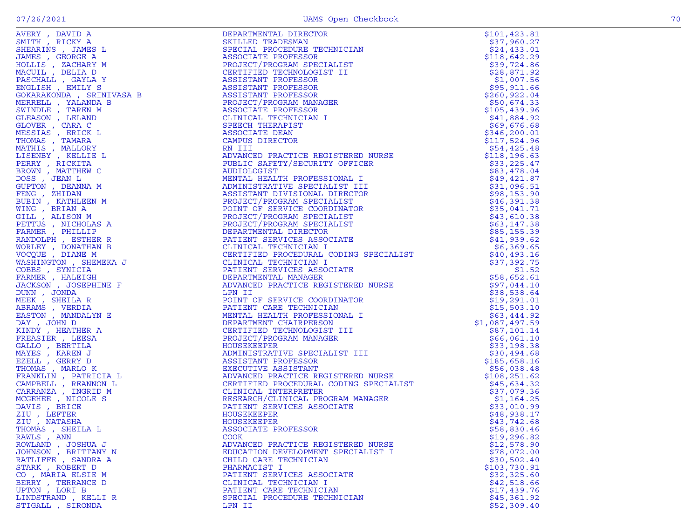| THOMAS , SHEILA L    | ASSOCIATE PROFESSOR                | \$58,830.46  |
|----------------------|------------------------------------|--------------|
| RAWLS, ANN           | <b>COOK</b>                        | \$19,296.82  |
| ROWLAND, JOSHUA J    | ADVANCED PRACTICE REGISTERED NURSE | \$12,578.90  |
| JOHNSON , BRITTANY N | EDUCATION DEVELOPMENT SPECIALIST I | \$78,072.00  |
| RATLIFFE, SANDRA A   | CHILD CARE TECHNICIAN              | \$30,502.40  |
| STARK, ROBERT D      | PHARMACIST I                       | \$103,730.91 |
| CO, MARIA ELSIE M    | PATIENT SERVICES ASSOCIATE         | \$32,325.60  |
|                      |                                    |              |
| BERRY , TERRANCE D   | CLINICAL TECHNICIAN I              | \$42,518.66  |
| UPTON, LORI B        | PATIENT CARE TECHNICIAN            | \$17,439.76  |
| LINDSTRAND , KELLI R | SPECIAL PROCEDURE TECHNICIAN       | \$45,361.92  |
| STIGALL , SIRONDA    | LPN II                             | \$52,309.40  |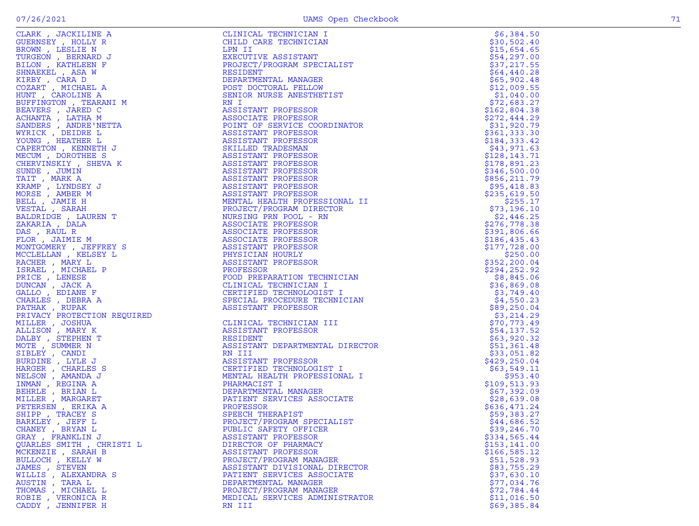| CLARK, JACKILINE A          | $\begin{tabular}{c} $\begin{array}{c} \multicolumn{3}{c}{\begin{array}{c} \multicolumn{3}{c}{\begin{array}{c} \multicolumn{3}{c}{\begin{array}{c} \multicolumn{3}{c}{\begin{array}{c} \multicolumn{3}{c}{\text{}}\\ \multicolumn{3}{c}{\text{}}\\ \multicolumn{3}{c}{\text{LIP}}\\ \multicolumn{3}{c}{\text{A}}\\ \multicolumn{3}{c}{\text{AS}}\\ \multicolumn{3}{c}{\text{AS}}\\ \multicolumn{3}{c}{\text{N}}\\ \multicolumn{3}{c}{\text{N}}\\ \multicolumn{3}{c}{\text{N}}\\ \multicolumn{3}{$ | \$6,384.50                |
|-----------------------------|--------------------------------------------------------------------------------------------------------------------------------------------------------------------------------------------------------------------------------------------------------------------------------------------------------------------------------------------------------------------------------------------------------------------------------------------------------------------------------------------------|---------------------------|
| GUERNSEY, HOLLY R           |                                                                                                                                                                                                                                                                                                                                                                                                                                                                                                  | \$30,502.40               |
| BROWN, LESLIE N             |                                                                                                                                                                                                                                                                                                                                                                                                                                                                                                  | \$15,654.65               |
| TURGEON , BERNARD J         |                                                                                                                                                                                                                                                                                                                                                                                                                                                                                                  | \$54,297.00               |
| BILON, KATHLEEN F           |                                                                                                                                                                                                                                                                                                                                                                                                                                                                                                  | \$37,217.55               |
| SHNAEKEL , ASA W            |                                                                                                                                                                                                                                                                                                                                                                                                                                                                                                  | \$64,440.28               |
| KIRBY, CARA D               |                                                                                                                                                                                                                                                                                                                                                                                                                                                                                                  | \$65,902.48               |
| COZART , MICHAEL A          |                                                                                                                                                                                                                                                                                                                                                                                                                                                                                                  | \$12,009.55               |
| HUNT, CAROLINE A            |                                                                                                                                                                                                                                                                                                                                                                                                                                                                                                  | \$1,040.00                |
| BUFFINGTON, TEARANI M       |                                                                                                                                                                                                                                                                                                                                                                                                                                                                                                  | \$72,683.27               |
| BEAVERS, JARED C            |                                                                                                                                                                                                                                                                                                                                                                                                                                                                                                  | \$162,804.38              |
| ACHANTA, LATHA M            |                                                                                                                                                                                                                                                                                                                                                                                                                                                                                                  | \$272,444.29              |
| SANDERS , ANDRE'NETTA       |                                                                                                                                                                                                                                                                                                                                                                                                                                                                                                  | \$31,920.79               |
| WYRICK, DEIDRE L            |                                                                                                                                                                                                                                                                                                                                                                                                                                                                                                  | \$361,333.30              |
| YOUNG, HEATHER L            |                                                                                                                                                                                                                                                                                                                                                                                                                                                                                                  | \$184,333.42              |
| CAPERTON, KENNETH J         |                                                                                                                                                                                                                                                                                                                                                                                                                                                                                                  | \$43,971.63               |
| MECUM, DOROTHEE S           |                                                                                                                                                                                                                                                                                                                                                                                                                                                                                                  | \$128,143.71              |
| CHERVINSKIY , SHEVA K       |                                                                                                                                                                                                                                                                                                                                                                                                                                                                                                  | \$178,891.23              |
| SUNDE, JUMIN                |                                                                                                                                                                                                                                                                                                                                                                                                                                                                                                  | \$346,500.00              |
| TAIT, MARK A                |                                                                                                                                                                                                                                                                                                                                                                                                                                                                                                  | \$856, 211.79             |
| KRAMP, LYNDSEY J            |                                                                                                                                                                                                                                                                                                                                                                                                                                                                                                  | \$95,418.83               |
| MORSE, AMBER M              |                                                                                                                                                                                                                                                                                                                                                                                                                                                                                                  | \$235,619.50              |
| BELL, JAMIE H               |                                                                                                                                                                                                                                                                                                                                                                                                                                                                                                  | \$255.17                  |
| VESTAL , SARAH              |                                                                                                                                                                                                                                                                                                                                                                                                                                                                                                  | \$73,196.10               |
| BALDRIDGE, LAUREN T         |                                                                                                                                                                                                                                                                                                                                                                                                                                                                                                  | \$2,446.25                |
| ZAKARIA, DALA               |                                                                                                                                                                                                                                                                                                                                                                                                                                                                                                  | \$276,778.38              |
| DAS, RAUL R                 |                                                                                                                                                                                                                                                                                                                                                                                                                                                                                                  | \$391,806.66              |
| FLOR, JAIMIE M              |                                                                                                                                                                                                                                                                                                                                                                                                                                                                                                  | \$186,435.43              |
| MONTGOMERY , JEFFREY S      |                                                                                                                                                                                                                                                                                                                                                                                                                                                                                                  | \$177,728.00              |
| MCCLELLAN, KELSEY L         |                                                                                                                                                                                                                                                                                                                                                                                                                                                                                                  | \$250.00                  |
| RACHER, MARY L              |                                                                                                                                                                                                                                                                                                                                                                                                                                                                                                  | \$352,200.04              |
|                             |                                                                                                                                                                                                                                                                                                                                                                                                                                                                                                  |                           |
| ISRAEL , MICHAEL P          |                                                                                                                                                                                                                                                                                                                                                                                                                                                                                                  | \$294, 252.92             |
| PRICE, LENESE               |                                                                                                                                                                                                                                                                                                                                                                                                                                                                                                  | \$8,845.06<br>\$36,869.08 |
| DUNCAN, JACK A              |                                                                                                                                                                                                                                                                                                                                                                                                                                                                                                  |                           |
| GALLO, EDIANE F             |                                                                                                                                                                                                                                                                                                                                                                                                                                                                                                  | \$3,749.40                |
| CHARLES, DEBRA A            | SPECIAL PROCEDURE TECHNICIAN                                                                                                                                                                                                                                                                                                                                                                                                                                                                     | \$4,550.23                |
| PATHAK, RUPAK               |                                                                                                                                                                                                                                                                                                                                                                                                                                                                                                  | \$89,250.04               |
| PRIVACY PROTECTION REQUIRED |                                                                                                                                                                                                                                                                                                                                                                                                                                                                                                  | \$3,214.29                |
| MILLER, JOSHUA              |                                                                                                                                                                                                                                                                                                                                                                                                                                                                                                  | \$70, 773.49              |
| ALLISON, MARY K             |                                                                                                                                                                                                                                                                                                                                                                                                                                                                                                  | \$54,137.52               |
| DALBY , STEPHEN T           |                                                                                                                                                                                                                                                                                                                                                                                                                                                                                                  | \$63,920.32               |
| MOTE , SUMMER N             | ASSISTANT DEPARTMENTAL DIRECTOR                                                                                                                                                                                                                                                                                                                                                                                                                                                                  | \$51,361.48               |
| SIBLEY, CANDI               | $\frac{1}{2}$                                                                                                                                                                                                                                                                                                                                                                                                                                                                                    | \$33,051.82               |
| BURDINE , LYLE J            |                                                                                                                                                                                                                                                                                                                                                                                                                                                                                                  | \$429,250.04              |
| HARGER, CHARLES S           |                                                                                                                                                                                                                                                                                                                                                                                                                                                                                                  | \$63,549.11               |
| NELSON, AMANDA J            | MENTAL HEALTH PROFESSIONAL I                                                                                                                                                                                                                                                                                                                                                                                                                                                                     | \$953.40                  |
| INMAN, REGINA A             |                                                                                                                                                                                                                                                                                                                                                                                                                                                                                                  | \$109,513.93              |
| BEHRLE , BRIAN L            |                                                                                                                                                                                                                                                                                                                                                                                                                                                                                                  | \$67,392.09               |
| MILLER, MARGARET            |                                                                                                                                                                                                                                                                                                                                                                                                                                                                                                  | \$28,639.08               |
| PETERSEN, ERIKA A           |                                                                                                                                                                                                                                                                                                                                                                                                                                                                                                  | \$636,471.24              |
| SHIPP, TRACEY S             |                                                                                                                                                                                                                                                                                                                                                                                                                                                                                                  | \$59,383.27               |
| BARKLEY , JEFF L            |                                                                                                                                                                                                                                                                                                                                                                                                                                                                                                  | \$44,686.52               |
| CHANEY, BRYAN L             |                                                                                                                                                                                                                                                                                                                                                                                                                                                                                                  | \$39,246.70               |
| GRAY, FRANKLIN J            | $\begin{tabular}{c} \texttt{ITRA} \texttt{FOR} \texttt{PPQEBES} \\ \texttt{STAR} \texttt{RQSEISTANT PROPESES} \\ \texttt{S} \texttt{S} \texttt{S} \texttt{S} \texttt{S} \texttt{S} \texttt{S} \texttt{S} \texttt{S} \texttt{S} \texttt{S} \texttt{S} \texttt{S} \texttt{S} \texttt{S} \texttt{S} \texttt{S} \texttt{S} \texttt{S} \texttt{S} \texttt{S} \texttt{S} \texttt{S} \texttt{S} \texttt{S} \texttt{S} \texttt{S} \texttt$                                                               | \$334,565.44              |
| QUARLES SMITH, CHRISTI L    |                                                                                                                                                                                                                                                                                                                                                                                                                                                                                                  | \$153, 141.00             |
| MCKENZIE , SARAH B          | ASSISTANT PROFESSOR                                                                                                                                                                                                                                                                                                                                                                                                                                                                              | \$166, 585.12             |
| BULLOCH, KELLY W            | PROJECT/PROGRAM MANAGER                                                                                                                                                                                                                                                                                                                                                                                                                                                                          | \$51,528.93               |
| JAMES , STEVEN              | ASSISTANT DIVISIONAL DIRECTOR                                                                                                                                                                                                                                                                                                                                                                                                                                                                    | \$83,755.29               |
| WILLIS , ALEXANDRA S        | PATIENT SERVICES ASSOCIATE                                                                                                                                                                                                                                                                                                                                                                                                                                                                       | \$37,630.10               |
| AUSTIN, TARA L              | DEPARTMENTAL MANAGER                                                                                                                                                                                                                                                                                                                                                                                                                                                                             | \$77,034.76               |
| THOMAS , MICHAEL L          | PROJECT/PROGRAM MANAGER                                                                                                                                                                                                                                                                                                                                                                                                                                                                          | \$72,784.44               |
| ROBIE , VERONICA R          | MEDICAL SERVICES ADMINISTRATOR                                                                                                                                                                                                                                                                                                                                                                                                                                                                   | \$11,016.50               |
| CADDY, JENNIFER H           | RN III                                                                                                                                                                                                                                                                                                                                                                                                                                                                                           | \$69,385.84               |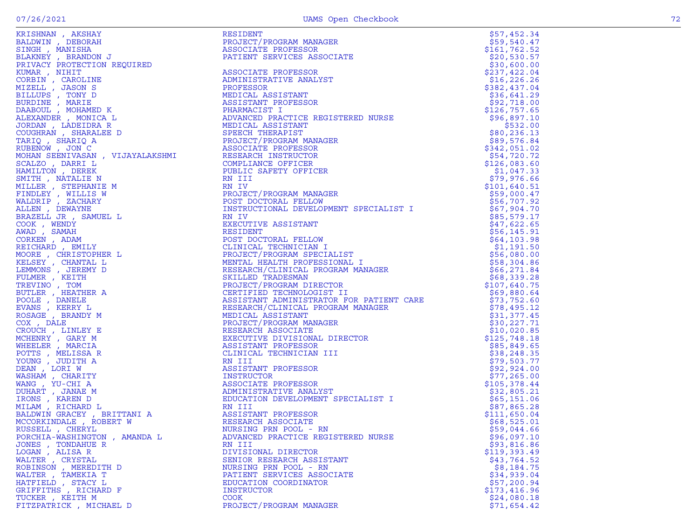|                              |                                                                                                                                                                                                                                                                           | \$79,503.77  |
|------------------------------|---------------------------------------------------------------------------------------------------------------------------------------------------------------------------------------------------------------------------------------------------------------------------|--------------|
|                              |                                                                                                                                                                                                                                                                           |              |
|                              |                                                                                                                                                                                                                                                                           |              |
|                              |                                                                                                                                                                                                                                                                           |              |
|                              |                                                                                                                                                                                                                                                                           | \$32,805.21  |
|                              |                                                                                                                                                                                                                                                                           |              |
|                              |                                                                                                                                                                                                                                                                           |              |
|                              |                                                                                                                                                                                                                                                                           |              |
|                              |                                                                                                                                                                                                                                                                           |              |
| RUSSELL , CHERYL             | NURSING PRN POOL - RN                                                                                                                                                                                                                                                     | \$59,044.66  |
| PORCHIA-WASHINGTON, AMANDA L | <b>PERIODAL ARRESTS IN THE SECTION AND RESIDENT IN THE SECTION AND RESIDENT IN THE SECTION AND RESIDENT IN THE SECTION AND RESIDENT (2013) (2013) (2013) (2013) (2013) (2013) (2013) (2013) (2013) (2013) (2013) (2013) (2013) </b><br>ADVANCED PRACTICE REGISTERED NURSE | \$96,097.10  |
| JONES, TONDAHUE R            | RN III                                                                                                                                                                                                                                                                    | \$93,816.86  |
| LOGAN, ALISAR                | DIVISIONAL DIRECTOR                                                                                                                                                                                                                                                       | \$119,393.49 |
| WALTER, CRYSTAL              | SENIOR RESEARCH ASSISTANT                                                                                                                                                                                                                                                 | \$43,764.52  |
| ROBINSON, MEREDITH D         | NURSING PRN POOL - RN                                                                                                                                                                                                                                                     | \$8,184.75   |
| WALTER, TAMEKIA T            | PATIENT SERVICES ASSOCIATE                                                                                                                                                                                                                                                | \$34,939.04  |
| HATFIELD, STACY L            | EDUCATION COORDINATOR                                                                                                                                                                                                                                                     | \$57,200.94  |
| GRIFFITHS , RICHARD F        | INSTRUCTOR                                                                                                                                                                                                                                                                | \$173,416.96 |
| TUCKER, KEITH M              | <b>COOK</b>                                                                                                                                                                                                                                                               | \$24,080.18  |
| FITZPATRICK, MICHAEL D       | PROJECT/PROGRAM MANAGER                                                                                                                                                                                                                                                   | \$71,654.42  |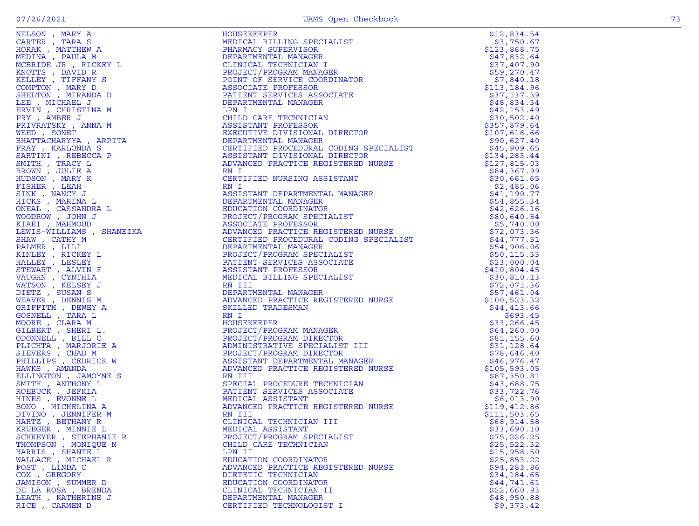| KRUEGER, MINNIE L      |                                    |             |
|------------------------|------------------------------------|-------------|
| SCHREYER , STEPHANIE R | PROJECT/PROGRAM SPECIALIST         | \$75,226.25 |
| THOMPSON, MONIQUE N    | CHILD CARE TECHNICIAN              | \$25,522.32 |
| HARRIS, SHANTE L       | LPN II                             | \$15,958.50 |
| WALLACE, MICHAEL R     | EDUCATION COORDINATOR              | \$25,853.22 |
| POST, LINDA C          | ADVANCED PRACTICE REGISTERED NURSE | \$94,283.86 |
| COX, GREGORY           | DIETETIC TECHNICIAN                | \$34,184.65 |
| JAMISON, SUMMER D      | EDUCATION COORDINATOR              | \$44,741.61 |
| DE LA ROSA, BRENDA     | CLINICAL TECHNICIAN II             | \$22,660.93 |
| LEATH, KATHERINE J     | DEPARTMENTAL MANAGER               | \$48,950.88 |
| RICE, CARMEN D         | CERTIFIED TECHNOLOGIST I           | \$9,373.42  |
|                        |                                    |             |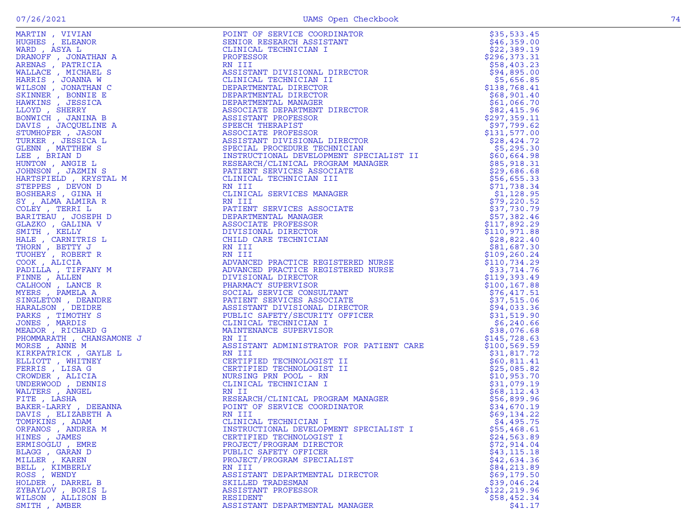| ORFANOS, ANDREA M | INSTRUCTIONAL DEVELOPMENT SPECIALIST I                                                                                                                                                                                                                    | \$55,468.61   |
|-------------------|-----------------------------------------------------------------------------------------------------------------------------------------------------------------------------------------------------------------------------------------------------------|---------------|
| HINES , JAMES     | MARCH (1971) (1972) (1972) (1972) (1972) (1972) (1972) (1972) (1972) (1972) (1972) (1972) (1972) (1972) (1972) (1972) (1972) (1972) (1972) (1972) (1972) (1972) (1972) (1972) (1972) (1972) (1972) (1972) (1972) (1972) (1972<br>CERTIFIED TECHNOLOGIST I | \$24,563.89   |
| ERMISOGLU, EMRE   | PROJECT/PROGRAM DIRECTOR                                                                                                                                                                                                                                  | \$72,914.04   |
| BLAGG , GARAN D   | PUBLIC SAFETY OFFICER                                                                                                                                                                                                                                     | \$43, 115.18  |
| MILLER, KAREN     | PROJECT/PROGRAM SPECIALIST                                                                                                                                                                                                                                | \$42,634.36   |
| BELL , KIMBERLY   | RN III                                                                                                                                                                                                                                                    | \$84,213.89   |
| ROSS, WENDY       | ASSISTANT DEPARTMENTAL DIRECTOR                                                                                                                                                                                                                           | \$69,179.50   |
| HOLDER, DARREL B  | SKILLED TRADESMAN                                                                                                                                                                                                                                         | \$39,046.24   |
| ZYBAYLOV, BORIS L | ASSISTANT PROFESSOR                                                                                                                                                                                                                                       | \$122, 219.96 |
| WILSON, ALLISON B | RESIDENT                                                                                                                                                                                                                                                  | \$58,452.34   |
| SMITH, AMBER      | ASSISTANT DEPARTMENTAL MANAGER                                                                                                                                                                                                                            | \$41.17       |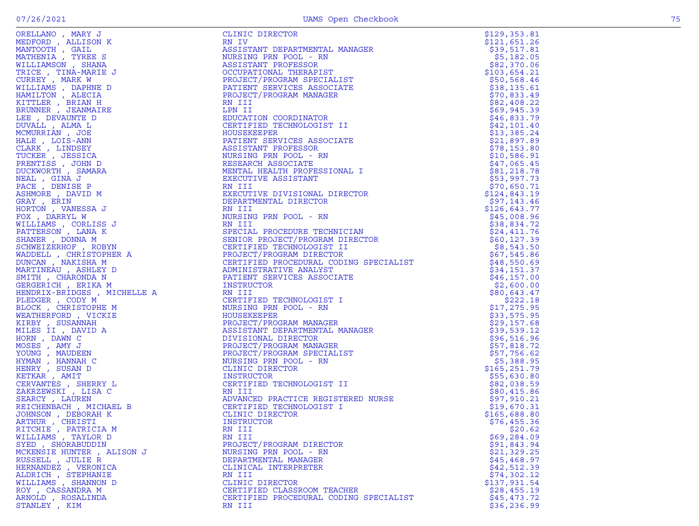| ORELLANO , MARY J                         | CLINIC DIRECTOR                                                                                                                                                          | \$129,353.81                |
|-------------------------------------------|--------------------------------------------------------------------------------------------------------------------------------------------------------------------------|-----------------------------|
| MEDFORD, ALLISON K                        | RN IV                                                                                                                                                                    | \$121,651.26                |
| MANTOOTH , GAIL                           | ASSISTANT DEPARTMENTAL MANAGER                                                                                                                                           | \$39,517.81                 |
| MATHENIA , TYREE S                        | NURSING PRN POOL - RN                                                                                                                                                    | \$5,182.05                  |
| WILLIAMSON, SHANA                         | ASSISTANT PROFESSOR                                                                                                                                                      | \$82,370.06                 |
| TRICE , TINA-MARIE J                      | OCCUPATIONAL THERAPIST                                                                                                                                                   | \$103,654.21                |
| CURREY, MARK W                            | PROJECT/PROGRAM SPECIALIST                                                                                                                                               | \$50,568.46                 |
| WILLIAMS , DAPHNE D                       | PATIENT SERVICES ASSOCIATE                                                                                                                                               | \$38,135.61                 |
| HAMILTON , ALECIA                         | PROJECT/PROGRAM MANAGER                                                                                                                                                  | \$70,833.49                 |
| KITTLER , BRIAN H                         | RN III                                                                                                                                                                   | \$82,408.22                 |
| BRUNNER, JEANMAIRE                        | LPN II                                                                                                                                                                   | \$69,945.39                 |
| LEE , DEVAUNTE D                          | EDUCATION COORDINATOR                                                                                                                                                    | \$46,833.79                 |
| DUVALL , ALMA L                           | CERTIFIED TECHNOLOGIST II                                                                                                                                                | \$42,101.40                 |
| MCMURRIAN , JOE                           | HOUSEKEEPER                                                                                                                                                              | \$13,385.24                 |
| HALE , LOIS-ANN                           | PATIENT SERVICES ASSOCIATE                                                                                                                                               | \$21,897.89                 |
| CLARK , LINDSEY                           | ASSISTANT PROFESSOR                                                                                                                                                      | \$78,153.80                 |
| TUCKER , JESSICA                          | NURSING PRN POOL - RN                                                                                                                                                    | \$10,586.91                 |
| PRENTISS, JOHN D                          | RESEARCH ASSOCIATE                                                                                                                                                       | \$47,065.45                 |
| DUCKWORTH, SAMARA                         | MENTAL HEALTH PROFESSIONAL I                                                                                                                                             | \$81,218.78                 |
| NEAL , GINA J                             | EXECUTIVE ASSISTANT                                                                                                                                                      | \$53,997.73                 |
| PACE, DENISE P                            | RN III                                                                                                                                                                   | \$70,650.71                 |
| ASHMORE , DAVID M                         | EXECUTIVE DIVISIONAL DIRECTOR                                                                                                                                            | \$124,843.19                |
| GRAY , ERIN                               | DEPARTMENTAL DIRECTOR                                                                                                                                                    | \$97,143.46                 |
| HORTON , VANESSA J                        | RN III                                                                                                                                                                   | \$126,643.77<br>\$45,008.96 |
| FOX, DARRYL W                             | NURSING PRN POOL - RN<br>RN III                                                                                                                                          |                             |
| WILLIAMS , CORLISS J<br>PATTERSON, LANA K | SPECIAL PROCEDURE TECHNICIAN                                                                                                                                             | \$38,834.72<br>\$24,411.76  |
| SHANER, DONNA M                           | SENIOR PROJECT/PROGRAM DIRECTOR                                                                                                                                          | \$60,127.39                 |
| SCHWEIZERHOF , ROBYN                      |                                                                                                                                                                          | \$8,543.50                  |
| WADDELL , CHRISTOPHER A                   |                                                                                                                                                                          | \$67,545.86                 |
| DUNCAN , NAKISHA M                        |                                                                                                                                                                          | \$48,550.69                 |
| MARTINEAU, ASHLEY D                       | TROUBCT/PROGRAM DIRECTOR<br>CERTIFIED PROCEDURAL CODING SPECIALIST<br>ADMINISTRATIVE ANALYST<br>PATIENT SERVICES ASSOCIATE<br>INSTRUCTOR<br>NN III<br>CERTIFIED TROUBLES | \$34,151.37                 |
| SMITH, CHARONDA N                         |                                                                                                                                                                          | \$46,157.00                 |
| GERGERICH, ERIKA M                        |                                                                                                                                                                          | \$2,600.00                  |
| HENDRIX-BRIDGES, MICHELLE A               |                                                                                                                                                                          | \$80,643.47                 |
| PLEDGER, CODY M                           | CERTIFIED TECHNOLOGIST I                                                                                                                                                 | \$222.18                    |
| BLOCK, CHRISTOPHE M                       | NURSING PRN POOL - RN                                                                                                                                                    | \$17,275.95                 |
| WEATHERFORD, VICKIE                       | HOUSEKEEPER                                                                                                                                                              | \$33,575.95                 |
| KIRBY , SUSANNAH                          | PROJECT/PROGRAM MANAGER                                                                                                                                                  | \$29,157.68                 |
| MILES II , DAVID A                        | ASSISTANT DEPARTMENTAL MANAGER                                                                                                                                           | \$39,539.12                 |
| HORN , DAWN C                             | DIVISIONAL DIRECTOR                                                                                                                                                      | \$96,516.96                 |
| MOSES , AMY J                             | PROJECT/PROGRAM MANAGER                                                                                                                                                  | \$57,818.72                 |
| YOUNG, MAUDEEN                            | PROJECT/PROGRAM SPECIALIST                                                                                                                                               | \$57,756.62                 |
| HYMAN , HANNAH C                          | NURSING PRN POOL - RN                                                                                                                                                    | \$5,388.95                  |
| HENRY , SUSAN D                           | CLINIC DIRECTOR                                                                                                                                                          | \$165,251.79                |
| KETKAR, AMIT                              | INSTRUCTOR                                                                                                                                                               | \$55,630.80                 |
| CERVANTES , SHERRY L                      | CERTIFIED TECHNOLOGIST II                                                                                                                                                | \$82,038.59                 |
| ZAKRZEWSKI, LISA C                        | RN III                                                                                                                                                                   | \$80,415.86                 |
| SEARCY, LAUREN                            | ADVANCED PRACTICE REGISTERED NURSE                                                                                                                                       | \$97,910.21                 |
| REICHENBACH , MICHAEL B                   | CERTIFIED TECHNOLOGIST I                                                                                                                                                 | \$19,670.31                 |
| JOHNSON, DEBORAH K                        | CLINIC DIRECTOR                                                                                                                                                          | \$165,688.80                |
| ARTHUR , CHRISTI                          | INSTRUCTOR                                                                                                                                                               | \$76,455.36                 |
| RITCHIE , PATRICIA M                      | RN III                                                                                                                                                                   | \$20.62                     |
| WILLIAMS , TAYLOR D                       | RN III                                                                                                                                                                   | \$69,284.09                 |
| SYED, SHORABUDDIN                         | PROJECT/PROGRAM DIRECTOR                                                                                                                                                 | \$91,843.94                 |
| MCKENSIE HUNTER , ALISON J                | NURSING PRN POOL - RN                                                                                                                                                    | \$21,329.25                 |
| RUSSELL , JULIE R                         | DEPARTMENTAL MANAGER                                                                                                                                                     | \$45,468.97                 |
| HERNANDEZ , VERONICA                      | CLINICAL INTERPRETER                                                                                                                                                     | \$42,512.39                 |
| ALDRICH, STEPHANIE                        | RN III                                                                                                                                                                   | \$74,302.12                 |
| WILLIAMS , SHANNON D                      | CLINIC DIRECTOR                                                                                                                                                          | \$137,931.54                |
| ROY , CASSANDRA M                         | CERTIFIED CLASSROOM TEACHER                                                                                                                                              | \$28,455.19                 |
| ARNOLD, ROSALINDA                         | CERTIFIED PROCEDURAL CODING SPECIALIST                                                                                                                                   | \$45,473.72                 |
| STANLEY, KIM                              | RN III                                                                                                                                                                   | \$36, 236.99                |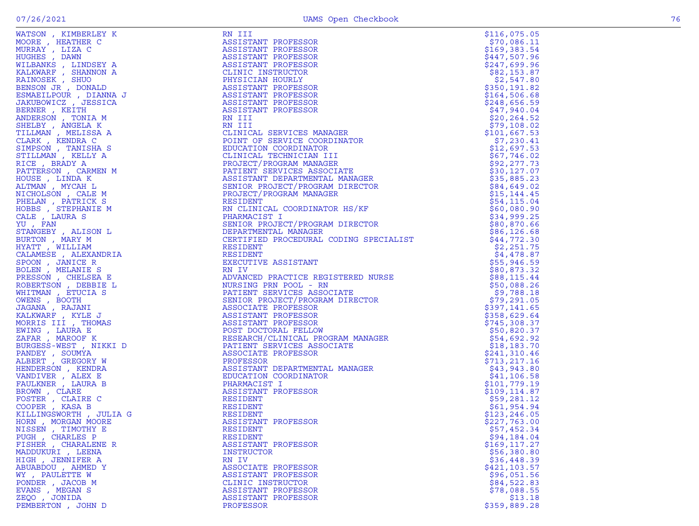| WATSON, KIMBERLEY K                            | RN III                                                                                                                                                                                                                                                                | \$116,075.05  |
|------------------------------------------------|-----------------------------------------------------------------------------------------------------------------------------------------------------------------------------------------------------------------------------------------------------------------------|---------------|
| MOORE, HEATHER C                               | ASSISTANT PROFESSOR                                                                                                                                                                                                                                                   | \$70,086.11   |
| MURRAY , LIZA C                                | ASSISTANT PROFESSOR                                                                                                                                                                                                                                                   | \$169,383.54  |
| HUGHES , DAWN                                  | ASSISTANT PROFESSOR                                                                                                                                                                                                                                                   | \$447,507.96  |
| WILBANKS, LINDSEY A                            | ASSISTANT PROFESSOR<br>CLINIC INSTRUCTOR<br>PHYSICIAN HOURLY<br>ASSISTANT PROFESSOR                                                                                                                                                                                   | \$247,699.96  |
| KALKWARF , SHANNON A                           |                                                                                                                                                                                                                                                                       |               |
|                                                |                                                                                                                                                                                                                                                                       | \$82,153.87   |
| RAINOSEK, SHUO                                 |                                                                                                                                                                                                                                                                       | \$2,547.80    |
| BENSON JR , DONALD                             |                                                                                                                                                                                                                                                                       | \$350,191.82  |
| ESMAEILPOUR, DIANNA J                          | ASSISTANT PROFESSOR<br>ASSISTANT PROFESSOR<br>ASSISTANT PROFESSOR                                                                                                                                                                                                     | \$164,506.68  |
| JAKUBOWICZ, JESSICA                            |                                                                                                                                                                                                                                                                       | \$248,656.59  |
| BERNER, KEITH                                  | ASSISTANT PROFESSOR                                                                                                                                                                                                                                                   | \$47,940.04   |
| ANDERSON, TONIA M                              | RN III                                                                                                                                                                                                                                                                | \$20, 264.52  |
| SHELBY , ANGELA K                              | RN III<br>RN III<br>CLINICAL SERVICES MANAGER<br>POINT OF SERVICE COORDINATOR<br>EDUCATION COORDINATOR<br>CLINICAL TECHNICIAN III<br>PROJECT/PROGRAM MANAGER<br>PATIENT SERVICES ASSOCIATE<br>ASSISTANT DEPARTMENTAL MANAGER<br>SENIOR PROJECT/PROGRAM DI             | \$79,108.02   |
| TILLMAN, MELISSA A                             |                                                                                                                                                                                                                                                                       | \$101,667.53  |
| CLARK, KENDRA C                                |                                                                                                                                                                                                                                                                       | \$7,230.41    |
| SIMPSON, TANISHA S                             |                                                                                                                                                                                                                                                                       |               |
|                                                |                                                                                                                                                                                                                                                                       | \$12,697.53   |
| STILLMAN, KELLY A                              |                                                                                                                                                                                                                                                                       | \$67,746.02   |
| RICE, BRADY A                                  |                                                                                                                                                                                                                                                                       | \$92, 277.73  |
| PATTERSON, CARMEN M                            |                                                                                                                                                                                                                                                                       | \$30, 127.07  |
| HOUSE, LINDA K                                 |                                                                                                                                                                                                                                                                       | \$35,885.23   |
| ALTMAN, MYCAH L                                |                                                                                                                                                                                                                                                                       | \$84,649.02   |
| NICHOLSON, CALE M                              |                                                                                                                                                                                                                                                                       | \$15, 144.45  |
| PHELAN, PATRICK S                              | RESIDENT                                                                                                                                                                                                                                                              | \$54,115.04   |
| HOBBS , STEPHANIE M                            |                                                                                                                                                                                                                                                                       | \$60,080.90   |
|                                                |                                                                                                                                                                                                                                                                       |               |
| CALE, LAURA S                                  |                                                                                                                                                                                                                                                                       | \$34,999.25   |
| YU, FAN                                        | RESIDENT<br>RN CLINICAL COORDINATOR HS/KF<br>PHARMACIST I<br>SENIOR PROJECT/PROGRAM DIRECTOR<br>DEPARTMENTAL MANAGER<br>CERTIFIED PROCEDURAL CODING SPECIALIST<br>PECTIFIED PROCEDURAL CODING SPECIALIST                                                              | \$80,870.66   |
| STANGEBY, ALISON L                             |                                                                                                                                                                                                                                                                       | \$86, 126.68  |
| BURTON, MARY M                                 |                                                                                                                                                                                                                                                                       | \$44,772.30   |
| HYATT, WILLIAM                                 | RESIDENT                                                                                                                                                                                                                                                              | \$2,251.75    |
| CALAMESE, ALEXANDRIA                           | RESIDENT                                                                                                                                                                                                                                                              | \$4,478.87    |
| SPOON, JANICE R                                | EXECUTIVE ASSISTANT<br>THREE PROTTICE REGISTERED NURSE<br>NURSING PROVICES ASSOCIATE<br>PATIENT SERVICES ASSOCIATE<br>SENIOR PROJECT/PROGRAM DIRECTOR<br>ASSOCIATE PROFESSOR<br>ASSISTANT PROFESSOR<br>ASSISTANT PROFESSOR<br>POST DOCTORAL FELLOW<br>RESEARCH/CLINIC | \$55,946.59   |
| BOLEN, MELANIE S                               |                                                                                                                                                                                                                                                                       | \$80,873.32   |
| PRESSON, CHELSEA E                             |                                                                                                                                                                                                                                                                       | \$88,115.44   |
| ROBERTSON , DEBBIE L                           |                                                                                                                                                                                                                                                                       | \$50,088.26   |
|                                                |                                                                                                                                                                                                                                                                       |               |
| WHITMAN, ETUCIA S                              |                                                                                                                                                                                                                                                                       | \$9,788.18    |
| OWENS , BOOTH                                  |                                                                                                                                                                                                                                                                       | \$79,291.05   |
| JAGANA , RAJANI                                |                                                                                                                                                                                                                                                                       | \$397,141.65  |
| KALKWARF, KYLE J                               |                                                                                                                                                                                                                                                                       | \$358,629.64  |
| MORRIS III , THOMAS                            |                                                                                                                                                                                                                                                                       | \$745,308.37  |
| EWING, LAURA E                                 |                                                                                                                                                                                                                                                                       | \$50,820.37   |
| ZAFAR, MAROOF K                                |                                                                                                                                                                                                                                                                       | \$54,692.92   |
| BURGESS-WEST , NIKKI D                         |                                                                                                                                                                                                                                                                       | \$18,183.70   |
| PANDEY, SOUMYA                                 | MANAGER<br>MANAGER                                                                                                                                                                                                                                                    | \$241,310.46  |
| ALBERT, GREGORY W                              |                                                                                                                                                                                                                                                                       | \$713,217.16  |
|                                                |                                                                                                                                                                                                                                                                       |               |
| HENDERSON , KENDRA                             |                                                                                                                                                                                                                                                                       | \$43,943.80   |
| VANDIVER, ALEX E                               |                                                                                                                                                                                                                                                                       | \$41,106.58   |
| FAULKNER, LAURA B                              |                                                                                                                                                                                                                                                                       | \$101,779.19  |
| BROWN, CLARE                                   |                                                                                                                                                                                                                                                                       | \$109,114.87  |
| FOSTER , CLAIRE C                              | RESIDENT                                                                                                                                                                                                                                                              | \$59,281.12   |
| COOPER, KASA B                                 | RESIDENT                                                                                                                                                                                                                                                              | \$61,954.94   |
| KILLINGŚWORTH , JULIA G<br>HORN , MORGAN MOORE |                                                                                                                                                                                                                                                                       | \$123,246.05  |
|                                                | RESIDENT<br>ASSISTAN'<br>ASSISTANT PROFESSOR                                                                                                                                                                                                                          | \$227,763.00  |
| NISSEN, TIMOTHY E                              | RESIDENT                                                                                                                                                                                                                                                              | \$57,452.34   |
| PUGH, CHARLES P                                | RESIDENT                                                                                                                                                                                                                                                              | \$94,184.04   |
|                                                |                                                                                                                                                                                                                                                                       |               |
| FISHER, CHARALENE R                            | ASSISTANT PROFESSOR                                                                                                                                                                                                                                                   | \$169,117.27  |
| MADDUKURI , LEENA                              | INSTRUCTOR                                                                                                                                                                                                                                                            | \$56,380.80   |
| HIGH, JENNIFER A                               | RN IV                                                                                                                                                                                                                                                                 | \$36,448.39   |
| ABUABDOU , AHMED Y                             | ASSOCIATE PROFESSOR                                                                                                                                                                                                                                                   | \$421, 103.57 |
| WY, PAULETTE W                                 | ASSISTANT PROFESSOR                                                                                                                                                                                                                                                   | \$96,051.56   |
| PONDER, JACOB M                                | CLINIC INSTRUCTOR                                                                                                                                                                                                                                                     | \$84,522.83   |
| EVANS , MEGAN S                                | ASSISTANT PROFESSOR                                                                                                                                                                                                                                                   | \$78,088.55   |
| ZEQO, JONIDA                                   | ASSISTANT PROFESSOR                                                                                                                                                                                                                                                   | \$13.18       |
| PEMBERTON, JOHN D                              | PROFESSOR                                                                                                                                                                                                                                                             | \$359,889.28  |
|                                                |                                                                                                                                                                                                                                                                       |               |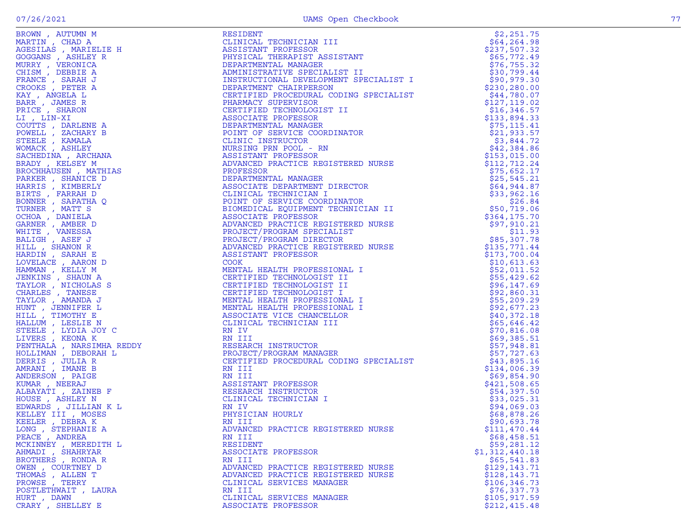|                  | RESIDENT PROFESSOR MINICIAL TRIPLET AND RESISTANT ASSISTANT PROFESSOR DEFARTMENT IN MANGER ALLOWED THE DECIRIES OF SECRET IT DEPARTMENT OR DEFAIL THE DECRET IN SECRET IN THE CRIMINAL MANAGER PARTMENT CRIMINAL MANAGER PARTM                                                                                     | \$2,251.75                  |
|------------------|--------------------------------------------------------------------------------------------------------------------------------------------------------------------------------------------------------------------------------------------------------------------------------------------------------------------|-----------------------------|
|                  |                                                                                                                                                                                                                                                                                                                    | \$64, 264.98                |
|                  |                                                                                                                                                                                                                                                                                                                    | \$237,507.32                |
|                  |                                                                                                                                                                                                                                                                                                                    | \$65,772.49                 |
|                  |                                                                                                                                                                                                                                                                                                                    | \$76, 755.32                |
|                  |                                                                                                                                                                                                                                                                                                                    | \$30,799.44                 |
|                  |                                                                                                                                                                                                                                                                                                                    | \$90,979.30                 |
|                  |                                                                                                                                                                                                                                                                                                                    | \$230, 280.00               |
|                  |                                                                                                                                                                                                                                                                                                                    | \$44,780.07                 |
|                  |                                                                                                                                                                                                                                                                                                                    | \$127,119.02                |
|                  |                                                                                                                                                                                                                                                                                                                    | \$16,346.57                 |
|                  |                                                                                                                                                                                                                                                                                                                    | \$133,894.33                |
|                  |                                                                                                                                                                                                                                                                                                                    | \$75, 115.41                |
|                  |                                                                                                                                                                                                                                                                                                                    | \$21,933.57                 |
|                  |                                                                                                                                                                                                                                                                                                                    | \$3,844.72                  |
|                  |                                                                                                                                                                                                                                                                                                                    | \$42,384.86                 |
|                  |                                                                                                                                                                                                                                                                                                                    | \$153,015.00                |
|                  |                                                                                                                                                                                                                                                                                                                    | \$112,712.24                |
|                  |                                                                                                                                                                                                                                                                                                                    | \$75,652.17                 |
|                  |                                                                                                                                                                                                                                                                                                                    | \$25,545.21<br>\$64,944.87  |
|                  |                                                                                                                                                                                                                                                                                                                    | \$33,962.16                 |
|                  |                                                                                                                                                                                                                                                                                                                    | \$26.84                     |
|                  |                                                                                                                                                                                                                                                                                                                    | \$50,719.06                 |
|                  |                                                                                                                                                                                                                                                                                                                    | \$364,175.70                |
|                  |                                                                                                                                                                                                                                                                                                                    |                             |
|                  |                                                                                                                                                                                                                                                                                                                    | \$11.93                     |
|                  |                                                                                                                                                                                                                                                                                                                    | \$85,307.78                 |
|                  |                                                                                                                                                                                                                                                                                                                    | \$135,771.44                |
|                  |                                                                                                                                                                                                                                                                                                                    | \$173,700.04                |
|                  |                                                                                                                                                                                                                                                                                                                    | \$10,613.63                 |
|                  |                                                                                                                                                                                                                                                                                                                    | \$52,011.52                 |
|                  |                                                                                                                                                                                                                                                                                                                    | \$55,429.62                 |
|                  |                                                                                                                                                                                                                                                                                                                    | \$96, 147.69                |
|                  |                                                                                                                                                                                                                                                                                                                    | \$92,860.31                 |
|                  |                                                                                                                                                                                                                                                                                                                    | \$55,209.29                 |
|                  |                                                                                                                                                                                                                                                                                                                    | \$92,677.23                 |
|                  |                                                                                                                                                                                                                                                                                                                    | \$40,372.18                 |
|                  |                                                                                                                                                                                                                                                                                                                    | \$65,646.42                 |
|                  |                                                                                                                                                                                                                                                                                                                    | \$70,816.08                 |
|                  |                                                                                                                                                                                                                                                                                                                    | \$69,385.51                 |
|                  |                                                                                                                                                                                                                                                                                                                    | \$57,948.81                 |
|                  |                                                                                                                                                                                                                                                                                                                    | \$57,727.63                 |
|                  |                                                                                                                                                                                                                                                                                                                    | \$43,895.16                 |
|                  |                                                                                                                                                                                                                                                                                                                    | \$134,006.39                |
|                  |                                                                                                                                                                                                                                                                                                                    | \$69,854.90                 |
|                  |                                                                                                                                                                                                                                                                                                                    | \$421,508.65                |
|                  |                                                                                                                                                                                                                                                                                                                    | \$54,397.50                 |
|                  |                                                                                                                                                                                                                                                                                                                    | \$33,025.31                 |
|                  |                                                                                                                                                                                                                                                                                                                    | \$94,069.03                 |
|                  |                                                                                                                                                                                                                                                                                                                    | \$68,878.26                 |
|                  |                                                                                                                                                                                                                                                                                                                    | \$90,693.78                 |
|                  |                                                                                                                                                                                                                                                                                                                    | \$111,470.44                |
|                  |                                                                                                                                                                                                                                                                                                                    | \$68,458.51                 |
|                  |                                                                                                                                                                                                                                                                                                                    | \$59,281.12                 |
|                  |                                                                                                                                                                                                                                                                                                                    | \$1,312,440.18              |
|                  |                                                                                                                                                                                                                                                                                                                    | \$65,541.83<br>\$129,143.71 |
|                  |                                                                                                                                                                                                                                                                                                                    | \$128,143.71                |
|                  |                                                                                                                                                                                                                                                                                                                    | \$106, 346.73               |
|                  |                                                                                                                                                                                                                                                                                                                    | \$76,337.73                 |
|                  |                                                                                                                                                                                                                                                                                                                    | \$105,917.59                |
| CRARY, SHELLEY E | $\begin{tabular}{ c  c } \hline & $m^2$ & $m^2$ & $m^2$ & $m^2$ & $m^2$ & $m^2$ & $m^2$ & $m^2$ & $m^2$ & $m^2$ & $m^2$ & $m^2$ & $m^2$ & $m^2$ & $m^2$ & $m^2$ & $m^2$ & $m^2$ & $m^2$ & $m^2$ & $m^2$ & $m^2$ & $m^2$ & $m^2$ & $m^2$ & $m^2$ & $m^2$ & $m^2$ & $m^2$ & $m^2$ & $m^2$ & $m^2$ & $m^2$ & $m^2$ &$ | \$212,415.48                |
|                  |                                                                                                                                                                                                                                                                                                                    |                             |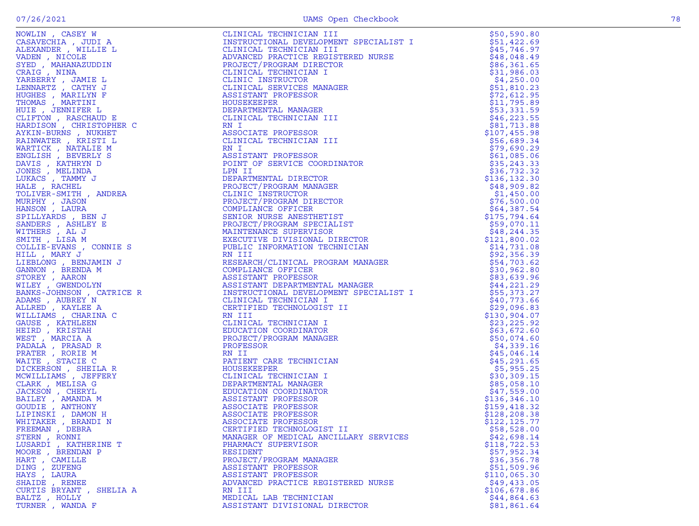| NOWLIN, CASEY W         | CLINICAL TECHNICIAN III                | \$50,590.80   |
|-------------------------|----------------------------------------|---------------|
| CASAVECHIA, JUDI A      | INSTRUCTIONAL DEVELOPMENT SPECIALIST I | \$51,422.69   |
| ALEXANDER , WILLIE L    | CLINICAL TECHNICIAN III                | \$45,746.97   |
|                         |                                        |               |
|                         |                                        |               |
|                         |                                        |               |
|                         |                                        |               |
|                         |                                        |               |
|                         |                                        |               |
|                         |                                        |               |
|                         |                                        |               |
|                         |                                        |               |
|                         |                                        |               |
|                         |                                        |               |
|                         |                                        |               |
|                         |                                        |               |
|                         |                                        |               |
|                         |                                        |               |
|                         |                                        |               |
|                         |                                        |               |
|                         |                                        |               |
|                         |                                        |               |
|                         |                                        |               |
|                         |                                        |               |
|                         |                                        |               |
|                         |                                        |               |
|                         |                                        |               |
|                         |                                        |               |
|                         |                                        |               |
|                         |                                        |               |
|                         |                                        |               |
|                         |                                        |               |
|                         |                                        |               |
|                         |                                        |               |
|                         |                                        |               |
|                         |                                        |               |
|                         |                                        |               |
|                         |                                        |               |
|                         |                                        |               |
|                         |                                        |               |
|                         |                                        |               |
|                         |                                        |               |
|                         |                                        |               |
|                         |                                        |               |
|                         |                                        |               |
|                         |                                        |               |
|                         |                                        |               |
|                         |                                        |               |
|                         |                                        |               |
|                         |                                        |               |
|                         |                                        |               |
|                         |                                        |               |
|                         |                                        |               |
|                         |                                        |               |
|                         |                                        |               |
|                         |                                        |               |
|                         |                                        |               |
|                         |                                        |               |
|                         |                                        |               |
|                         |                                        |               |
| FREEMAN, DEBRA          | CERTIFIED TECHNOLOGIST II              | \$58,528.00   |
| STERN , RONNI           | MANAGER OF MEDICAL ANCILLARY SERVICES  | \$42,698.14   |
|                         |                                        |               |
| LUSARDI , KATHERINE T   | PHARMACY SUPERVISOR                    | \$118, 722.53 |
| MOORE, BRENDAN P        | <b>RESIDENT</b>                        | \$57,952.34   |
| HART , CAMILLE          | PROJECT/PROGRAM MANAGER                | \$36,356.78   |
| DING , ZUFENG           | ASSISTANT PROFESSOR                    | \$51,509.96   |
| HAYS, LAURA             | ASSISTANT PROFESSOR                    | \$110,065.30  |
| SHAIDE , RENEE          | ADVANCED PRACTICE REGISTERED NURSE     | \$49,433.05   |
| CURTIS BRYANT, SHELIA A | RN III                                 | \$106,678.86  |
|                         |                                        |               |
| BALTZ, HOLLY            | MEDICAL LAB TECHNICIAN                 | \$44,864.63   |
| TURNER , WANDA F        | ASSISTANT DIVISIONAL DIRECTOR          | \$81,861.64   |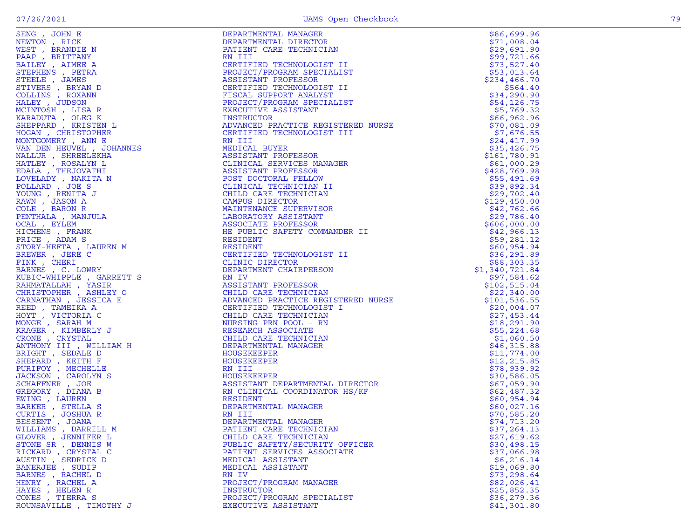| WILLIAMS , DARRILL M                    | PATIENT CARE TECHNICIAN                                 | \$37,264.13                |
|-----------------------------------------|---------------------------------------------------------|----------------------------|
| GLOVER , JENNIFER L                     | CHILD CARE TECHNICIAN<br>PUBLIC SAFETY/SECURITY OFFICER | \$27,619.62                |
| STONE SR , DENNIS W                     |                                                         | \$30,498.15                |
| RICKARD, CRYSTAL C<br>AUSTIN, SEDRICK D | PATIENT SERVICES ASSOCIATE                              | \$37,066.98                |
|                                         | MEDICAL ASSISTANT                                       | \$6,216.14                 |
| BANERJEE , SUDIP<br>BARNES , RACHEL D   | MEDICAL ASSISTANT<br>RN IV                              | \$19,069.80                |
| HENRY , RACHEL A                        | PROJECT/PROGRAM MANAGER                                 | \$73, 298.64               |
| HAYES, HELEN R                          | INSTRUCTOR                                              | \$82,026.41<br>\$25,852.35 |
| CONES, TIERRA S                         | PROJECT/PROGRAM SPECIALIST                              | \$36,279.36                |
| ROUNSAVILLE , TIMOTHY J                 | EXECUTIVE ASSISTANT                                     | \$41,301.80                |
|                                         |                                                         |                            |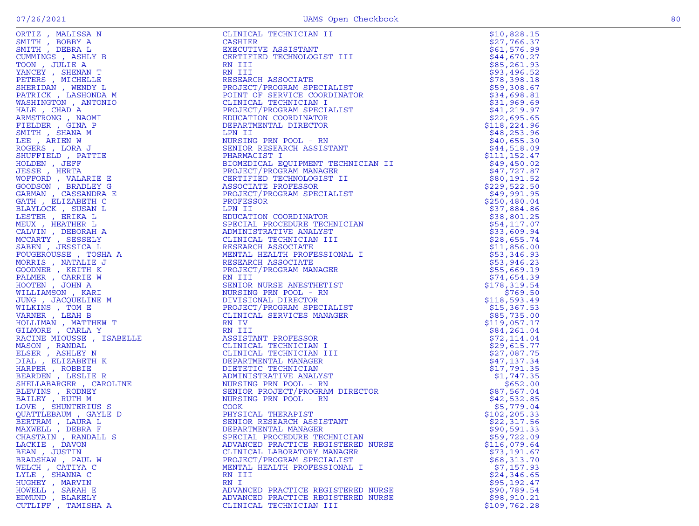| ORTIZ, MALISSA N                                                                                                                                                                                                                                                             | CLINICAL TECHNICIAN II                                                                                                                                                                                                                                          | \$10,828.15                 |
|------------------------------------------------------------------------------------------------------------------------------------------------------------------------------------------------------------------------------------------------------------------------------|-----------------------------------------------------------------------------------------------------------------------------------------------------------------------------------------------------------------------------------------------------------------|-----------------------------|
| SMITH, BOBBY A                                                                                                                                                                                                                                                               | CASHIER                                                                                                                                                                                                                                                         | \$27,766.37                 |
| SMITH, DEBRA L                                                                                                                                                                                                                                                               | EXECUTIVE ASSISTANT                                                                                                                                                                                                                                             | \$61,576.99                 |
| CUMMINGS, ASHLY B                                                                                                                                                                                                                                                            | CERTIFIED TECHNOLOGIST III                                                                                                                                                                                                                                      | \$44,670.27                 |
| TOON, JULIE A                                                                                                                                                                                                                                                                | RN III                                                                                                                                                                                                                                                          | \$85,261.93                 |
| YANCEY, SHENAN T                                                                                                                                                                                                                                                             | RN III                                                                                                                                                                                                                                                          | \$93,496.52                 |
| PETERS , MICHELLE                                                                                                                                                                                                                                                            | RESEARCH ASSOCIATE                                                                                                                                                                                                                                              | \$78,398.18                 |
| SHERIDAN , WENDY L                                                                                                                                                                                                                                                           | PROJECT/PROGRAM SPECIALIST<br>POINT OF SERVICE COORDINATOR                                                                                                                                                                                                      | \$59,308.67                 |
| PATRICK, LASHONDA M                                                                                                                                                                                                                                                          | CLINICAL TECHNICIAN I                                                                                                                                                                                                                                           | \$34,698.81                 |
| WASHINGTON , ANTONIO<br>HALE, CHAD A                                                                                                                                                                                                                                         | PROJECT/PROGRAM SPECIALIST                                                                                                                                                                                                                                      | \$31,969.69<br>\$41,219.97  |
| ARMSTRONG, NAOMI                                                                                                                                                                                                                                                             | EDUCATION COORDINATOR                                                                                                                                                                                                                                           | \$22,695.65                 |
| FIELDER, GINA P                                                                                                                                                                                                                                                              | DEPARTMENTAL DIRECTOR                                                                                                                                                                                                                                           | \$118,224.96                |
| SMITH, SHANA M                                                                                                                                                                                                                                                               | LPN II                                                                                                                                                                                                                                                          | \$48,253.96                 |
| LEE , ARIEN W                                                                                                                                                                                                                                                                | NURSING PRN POOL - RN                                                                                                                                                                                                                                           | \$40,655.30                 |
| ROGERS, LORA J                                                                                                                                                                                                                                                               | SENIOR RESEARCH ASSISTANT                                                                                                                                                                                                                                       | \$44,518.09                 |
| SHUFFIELD, PATTIE                                                                                                                                                                                                                                                            | PHARMACIST I                                                                                                                                                                                                                                                    | \$111, 152.47               |
|                                                                                                                                                                                                                                                                              | BIOMEDICAL EQUIPMENT TECHNICIAN II                                                                                                                                                                                                                              | \$49,450.02                 |
|                                                                                                                                                                                                                                                                              | PROJECT/PROGRAM MANAGER                                                                                                                                                                                                                                         | \$47,727.87                 |
|                                                                                                                                                                                                                                                                              | CERTIFIED TECHNOLOGIST II                                                                                                                                                                                                                                       | \$80,191.52                 |
|                                                                                                                                                                                                                                                                              | ASSOCIATE PROFESSOR                                                                                                                                                                                                                                             | \$229,522.50                |
|                                                                                                                                                                                                                                                                              | PROJECT/PROGRAM SPECIALIST                                                                                                                                                                                                                                      | \$49,991.95                 |
|                                                                                                                                                                                                                                                                              | PROFESSOR                                                                                                                                                                                                                                                       | \$250,480.04                |
|                                                                                                                                                                                                                                                                              | LPN II                                                                                                                                                                                                                                                          | \$37,884.86                 |
|                                                                                                                                                                                                                                                                              | EDUCATION COORDINATOR                                                                                                                                                                                                                                           | \$38,801.25                 |
|                                                                                                                                                                                                                                                                              | SPECIAL PROCEDURE TECHNICIAN                                                                                                                                                                                                                                    | \$54,117.07                 |
|                                                                                                                                                                                                                                                                              | ADMINISTRATIVE ANALYST                                                                                                                                                                                                                                          | \$33,609.94                 |
|                                                                                                                                                                                                                                                                              | CLINICAL TECHNICIAN III                                                                                                                                                                                                                                         | \$28,655.74                 |
|                                                                                                                                                                                                                                                                              | RESEARCH ASSOCIATE                                                                                                                                                                                                                                              | \$11,856.00                 |
|                                                                                                                                                                                                                                                                              | MENTAL HEALTH PROFESSIONAL I                                                                                                                                                                                                                                    | \$53,346.93                 |
|                                                                                                                                                                                                                                                                              | RESEARCH ASSOCIATE                                                                                                                                                                                                                                              | \$53,946.23                 |
|                                                                                                                                                                                                                                                                              | PROJECT/PROGRAM MANAGER                                                                                                                                                                                                                                         | \$55,669.19                 |
|                                                                                                                                                                                                                                                                              | RN III                                                                                                                                                                                                                                                          | \$74,654.39                 |
|                                                                                                                                                                                                                                                                              | SENIOR NURSE ANESTHETIST                                                                                                                                                                                                                                        | \$178,319.54                |
|                                                                                                                                                                                                                                                                              | NURSING PRN POOL - RN                                                                                                                                                                                                                                           | \$769.50                    |
|                                                                                                                                                                                                                                                                              | DIVISIONAL DIRECTOR                                                                                                                                                                                                                                             | \$118,593.49                |
|                                                                                                                                                                                                                                                                              | PROJECT/PROGRAM SPECIALIST                                                                                                                                                                                                                                      | \$15,367.53                 |
|                                                                                                                                                                                                                                                                              | CLINICAL SERVICES MANAGER<br>RN IV                                                                                                                                                                                                                              | \$85,735.00<br>\$119,057.17 |
|                                                                                                                                                                                                                                                                              |                                                                                                                                                                                                                                                                 | \$84,261.04                 |
|                                                                                                                                                                                                                                                                              |                                                                                                                                                                                                                                                                 | \$72,114.04                 |
|                                                                                                                                                                                                                                                                              |                                                                                                                                                                                                                                                                 | \$29,615.77                 |
|                                                                                                                                                                                                                                                                              |                                                                                                                                                                                                                                                                 | \$27,087.75                 |
|                                                                                                                                                                                                                                                                              | NN IV<br>RESISTANT PROFESSOR<br>CLINICAL TECHNICIAN I<br>CLINICAL TECHNICIAN III<br>DEPARTMENTAL MANAGER<br>DIETETIC TECHNICIAN<br>DEPARTMENTAL MANAGER<br>NURSING PRN POOL - RN<br>SENIOR PROJECT/PROGRAM DIRECTOR<br>NURSING PRN POOL - RN<br>COOK<br>PHYSICA | \$47,137.34                 |
|                                                                                                                                                                                                                                                                              |                                                                                                                                                                                                                                                                 | \$17,791.35                 |
|                                                                                                                                                                                                                                                                              |                                                                                                                                                                                                                                                                 | \$1,747.35                  |
|                                                                                                                                                                                                                                                                              |                                                                                                                                                                                                                                                                 | \$652.00                    |
|                                                                                                                                                                                                                                                                              |                                                                                                                                                                                                                                                                 | \$87,567.04                 |
|                                                                                                                                                                                                                                                                              |                                                                                                                                                                                                                                                                 | \$42,532.85                 |
|                                                                                                                                                                                                                                                                              |                                                                                                                                                                                                                                                                 | \$5,779.04                  |
|                                                                                                                                                                                                                                                                              |                                                                                                                                                                                                                                                                 | \$102,205.33                |
|                                                                                                                                                                                                                                                                              |                                                                                                                                                                                                                                                                 | \$22,317.56                 |
| MAXWELL, DEBRA F                                                                                                                                                                                                                                                             | DEPARTMENTAL MANAGER                                                                                                                                                                                                                                            | \$90,591.33                 |
| FIRELD , PATTIE<br>JERS , HERTA<br>JEPHELD , PATTIE<br>SBE , HERTA<br>FFORD , VALARIE E<br>THA , ELIZABETH C<br>THA , ELIZABETH C<br>ANIOCK , SUSANDRA E<br>THA , ELIZABETH C<br>AVION , HEATHER L<br>LUVIN , DEBORAH A<br>LUVIN , DEBORAH A<br>LUVIN<br>CHASTAIN, RANDALL S | SPECIAL PROCEDURE TECHNICIAN                                                                                                                                                                                                                                    | \$59,722.09                 |
| LACKIE, DAVON                                                                                                                                                                                                                                                                | ADVANCED PRACTICE REGISTERED NURSE                                                                                                                                                                                                                              | \$116,079.64                |
| BEAN, JUSTIN                                                                                                                                                                                                                                                                 | CLINICAL LABORATORY MANAGER                                                                                                                                                                                                                                     | \$73,191.67                 |
| BRADSHAW, PAUL W                                                                                                                                                                                                                                                             | PROJECT/PROGRAM SPECIALIST                                                                                                                                                                                                                                      | \$68,313.70                 |
| WELCH, CATIYA C                                                                                                                                                                                                                                                              | MENTAL HEALTH PROFESSIONAL I                                                                                                                                                                                                                                    | \$7,157.93                  |
| LYLE, SHANNA C                                                                                                                                                                                                                                                               | RN III                                                                                                                                                                                                                                                          | \$24,346.65                 |
| HUGHEY, MARVIN                                                                                                                                                                                                                                                               | RN I                                                                                                                                                                                                                                                            | \$95,192.47                 |
| HOWELL, SARAH E<br>EDMUND , BLAKELY                                                                                                                                                                                                                                          | ADVANCED PRACTICE REGISTERED NURSE                                                                                                                                                                                                                              | \$90,789.54<br>\$98,910.21  |
| CUTLIFF, TAMISHA A                                                                                                                                                                                                                                                           | ADVANCED PRACTICE REGISTERED NURSE<br>CLINICAL TECHNICIAN III                                                                                                                                                                                                   | \$109,762.28                |
|                                                                                                                                                                                                                                                                              |                                                                                                                                                                                                                                                                 |                             |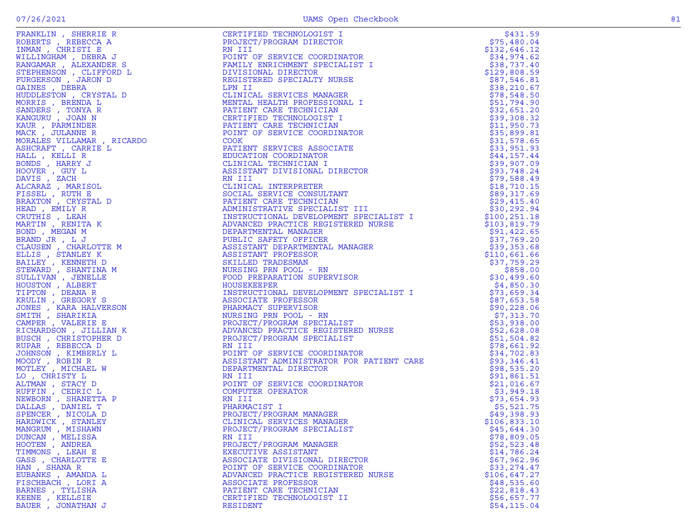BAUER , JONATHAN J

PROJECT/PROGRAM SPECIALIST \$45,644.30<br>RN III \$78,809.05

KEENE , KELLSIE CERTIFIED TECHNOLOGIST II \$56,657.77

DUNCAN , MELISSA RN III \$78,809.05 HOOTEN , ANDREA PROJECT/PROGRAM MANAGER \$52,523.48 TIMMONS , LEAH E EXECUTIVE ASSISTANT \$14,786.24 GASS , CHARLOTTE E ASSOCIATE DIVISIONAL DIRECTOR \$67,962.96 HAN , SHANA R POINT OF SERVICE COORDINATOR \$33,274.47 EUBANKS , AMANDA L ADVANCED PRACTICE REGISTERED NURSE \$106,647.27 FISCHBACH , LORI A ASSOCIATE PROFESSOR \$48,535.60

BARNES , TYLISHA PATIENT CARE TECHNICIAN \$22,818.43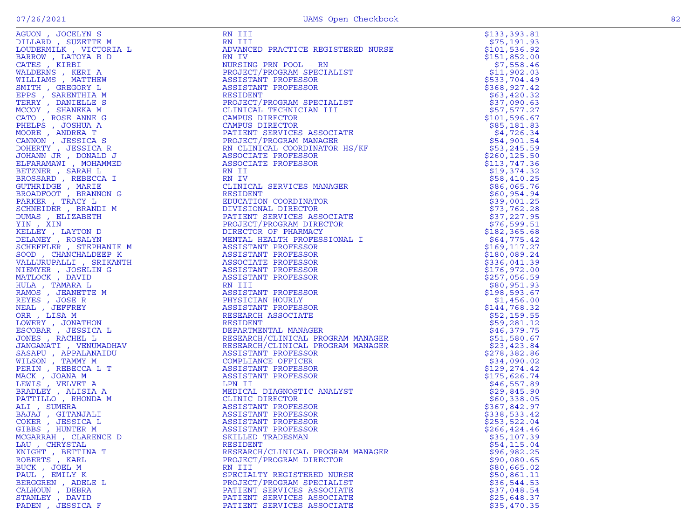| NGUON , JOCELIN S<br>JILLARD , SUZETTE M<br>JOUDERMILK , VICTORIA L                                                                                                                                                                                            |
|----------------------------------------------------------------------------------------------------------------------------------------------------------------------------------------------------------------------------------------------------------------|
|                                                                                                                                                                                                                                                                |
|                                                                                                                                                                                                                                                                |
| BARROW , LATOYA B D<br>CATES , KIRBI                                                                                                                                                                                                                           |
|                                                                                                                                                                                                                                                                |
|                                                                                                                                                                                                                                                                |
| WALDERNS , KERI A<br>WILLIAMS , MATTHEW                                                                                                                                                                                                                        |
|                                                                                                                                                                                                                                                                |
|                                                                                                                                                                                                                                                                |
|                                                                                                                                                                                                                                                                |
|                                                                                                                                                                                                                                                                |
| VILLIAMS , MATTHEW<br>MITH , GREGORY L<br>EPPS , SARENTHIA M<br>TERRY , DANIELLE S<br>ICCOY , SHANEKA M<br>ZATO , ROSE ANNE G<br>PHELPS , JOSHUA A<br>MOORE , ANDREA T<br>CANNON , JESSICA S<br>JOHERTY , JESSICA R<br>JOHERTY , LESSICA R<br>JOHERTY , DONALD |
|                                                                                                                                                                                                                                                                |
|                                                                                                                                                                                                                                                                |
|                                                                                                                                                                                                                                                                |
|                                                                                                                                                                                                                                                                |
|                                                                                                                                                                                                                                                                |
|                                                                                                                                                                                                                                                                |
|                                                                                                                                                                                                                                                                |
|                                                                                                                                                                                                                                                                |
|                                                                                                                                                                                                                                                                |
|                                                                                                                                                                                                                                                                |
|                                                                                                                                                                                                                                                                |
|                                                                                                                                                                                                                                                                |
| BETZNER , SARAH L<br>BETZNER , SARAH L<br>BOSSARD , REBECCA I<br>BROADFOOT , BRANNON G                                                                                                                                                                         |
|                                                                                                                                                                                                                                                                |
|                                                                                                                                                                                                                                                                |
|                                                                                                                                                                                                                                                                |
| PARKER , TRACY L<br>CHNEIDER , BRANDI M                                                                                                                                                                                                                        |
|                                                                                                                                                                                                                                                                |
|                                                                                                                                                                                                                                                                |
|                                                                                                                                                                                                                                                                |
| NUMAS , ELIZABETH                                                                                                                                                                                                                                              |
|                                                                                                                                                                                                                                                                |
| KELLEY , LAYTON D<br>DELANEY , ROSALYN<br>SCHEFFLER , STEPHANIE M                                                                                                                                                                                              |
|                                                                                                                                                                                                                                                                |
|                                                                                                                                                                                                                                                                |
|                                                                                                                                                                                                                                                                |
| OOD, CHANCHALDEEP K                                                                                                                                                                                                                                            |
| <b>ALLURUPALLI</b> , SRIKANTH                                                                                                                                                                                                                                  |
|                                                                                                                                                                                                                                                                |
| UIEMYER , JOSELIN G<br>1ATLOCK , DAVID                                                                                                                                                                                                                         |
|                                                                                                                                                                                                                                                                |
|                                                                                                                                                                                                                                                                |
|                                                                                                                                                                                                                                                                |
|                                                                                                                                                                                                                                                                |
|                                                                                                                                                                                                                                                                |
|                                                                                                                                                                                                                                                                |
|                                                                                                                                                                                                                                                                |
| "LINGUAL" , TAMARA L<br>RAMOS , JEANETTE M<br>REYES , JOSE R<br>JEAL , JEFFREY<br>JRR , LISA M<br>RR , LISA M                                                                                                                                                  |
| OWERY , JONATHON<br>ISCOBAR , JESSICA L<br>JONES , RACHEL L                                                                                                                                                                                                    |
|                                                                                                                                                                                                                                                                |
|                                                                                                                                                                                                                                                                |
|                                                                                                                                                                                                                                                                |
| JANGANATI , VENUMADHAV                                                                                                                                                                                                                                         |
|                                                                                                                                                                                                                                                                |
|                                                                                                                                                                                                                                                                |
|                                                                                                                                                                                                                                                                |
|                                                                                                                                                                                                                                                                |
|                                                                                                                                                                                                                                                                |
|                                                                                                                                                                                                                                                                |
|                                                                                                                                                                                                                                                                |
|                                                                                                                                                                                                                                                                |
|                                                                                                                                                                                                                                                                |
|                                                                                                                                                                                                                                                                |
|                                                                                                                                                                                                                                                                |
| ARNGANAIL , VENUMADA<br>KASAPU , APPALANAIDU<br>JILISON , TAMMY M<br>PERIN , REBECCA L T<br>MCK , JOANA M<br>ARADLEY , ALISIA A<br>PATTILLO , RHONDA M<br>CATTILLO , RHONDA M<br>CATTILLO , RHONDA M<br>CATTILLO , RHONDA M                                    |
|                                                                                                                                                                                                                                                                |
|                                                                                                                                                                                                                                                                |
|                                                                                                                                                                                                                                                                |
|                                                                                                                                                                                                                                                                |
|                                                                                                                                                                                                                                                                |
|                                                                                                                                                                                                                                                                |
| MIT , SUMERA<br>AJAJ , GITANJALI<br>COKER , JESSICA L<br>HIBBS , HUNTER M<br>TAREN<br>ICGARRAH , CLARENCE D                                                                                                                                                    |
|                                                                                                                                                                                                                                                                |
|                                                                                                                                                                                                                                                                |
|                                                                                                                                                                                                                                                                |
|                                                                                                                                                                                                                                                                |
|                                                                                                                                                                                                                                                                |
|                                                                                                                                                                                                                                                                |
| AU , CHRYSTAL<br>---<br>WIGHT , BETTINA T<br>ROBERTS , KARL<br>BUCK , JÓEL M<br>PAUL , EMILY K                                                                                                                                                                 |
|                                                                                                                                                                                                                                                                |
| BERGGREN , ADELE L<br>CALHOUN , DEBRA<br>STANLEY , DAVID                                                                                                                                                                                                       |

| AGUON, JOCELYN S                         | RN III                                                                                                                                                                                                                                           | \$133,393.81                |
|------------------------------------------|--------------------------------------------------------------------------------------------------------------------------------------------------------------------------------------------------------------------------------------------------|-----------------------------|
| DILLARD, SUZETTE M                       | RN III                                                                                                                                                                                                                                           | \$75,191.93                 |
| LOUDERMILK, VICTORIA L                   | ADVANCED PRACTICE REGISTERED NURSE                                                                                                                                                                                                               | \$101,536.92                |
| BARROW, LATOYA B D                       | RN IV                                                                                                                                                                                                                                            | \$151,852.00                |
| CATES, KIRBI                             | NURSING PRN POOL - RN                                                                                                                                                                                                                            | \$7,558.46                  |
| WALDERNS, KERI A                         | PROJECT/PROGRAM SPECIALIST                                                                                                                                                                                                                       | \$11,902.03<br>\$533,704.49 |
| WILLIAMS , MATTHEW<br>SMITH, GREGORY L   | ASSISTANT PROFESSOR<br>ASSISTANT PROFESSOR                                                                                                                                                                                                       | \$368, 927.42               |
| EPPS, SARENTHIA M                        | RESIDENT                                                                                                                                                                                                                                         | \$63,420.32                 |
| TERRY, DANIELLE S                        | PROJECT/PROGRAM SPECIALIST                                                                                                                                                                                                                       | \$37,090.63                 |
| MCCOY, SHANEKA M                         | CLINICAL TECHNICIAN III                                                                                                                                                                                                                          | \$57,577.27                 |
| CATO, ROSE ANNE G                        | CAMPUS DIRECTOR                                                                                                                                                                                                                                  | \$101, 596.67               |
| PHELPS, JOSHUA A                         | CAMPUS DIRECTOR                                                                                                                                                                                                                                  | \$85,181.83                 |
| MOORE, ANDREA T                          | PATIENT SERVICES ASSOCIATE                                                                                                                                                                                                                       | \$4,726.34                  |
| CANNON, JESSICA S                        | PROJECT/PROGRAM MANAGER                                                                                                                                                                                                                          | \$54,901.54                 |
| DOHERTY , JESSICA R                      | RN CLINICAL COORDINATOR HS/KF                                                                                                                                                                                                                    | \$53,245.59                 |
| JOHANN JR, DONALD J                      | ASSOCIATE PROFESSOR                                                                                                                                                                                                                              | \$260, 125.50               |
| ELFARAMAWI , MOHAMMED                    | ASSOCIATE PROFESSOR                                                                                                                                                                                                                              | \$113,747.36                |
| BETZNER, SARAH L                         | RN II                                                                                                                                                                                                                                            | \$19,374.32                 |
| BROSSARD , REBECCA I                     | RN IV                                                                                                                                                                                                                                            | \$58,410.25                 |
| GUTHRIDGE , MARIE                        | CLINICAL SERVICES MANAGER                                                                                                                                                                                                                        | \$86,065.76                 |
| BROADFOOT, BRANNON G<br>PARKER , TRACY L | RESIDENT<br>EDUCATION COORDINATOR                                                                                                                                                                                                                | \$60,954.94<br>\$39,001.25  |
| SCHNEIDER, BRANDI M                      |                                                                                                                                                                                                                                                  | \$73,762.28                 |
| DUMAS , ELIZABETH                        |                                                                                                                                                                                                                                                  | \$37,227.95                 |
| YIN, XIN                                 |                                                                                                                                                                                                                                                  | \$76,599.51                 |
| KELLEY , LAYTON D                        |                                                                                                                                                                                                                                                  | \$182, 365.68               |
| DELANEY , ROSALYN                        | BDUCK BRYICES AND DIVISIONAL PATIENT SERVICES AND DIRECTOR OF PHARMACY MENTAL HEALTH PROFESSIONAL I<br>ASSISTANT PROFESSIONAL I<br>ASSISTANT PROFESSOR<br>ASSISTANT PROFESSOR<br>ASSISTANT PROFESSOR<br>ASSISTANT PROFESSOR<br>ASSISTANT PROFESS | \$64,775.42                 |
| SCHEFFLER, STEPHANIE M                   |                                                                                                                                                                                                                                                  | \$169,117.27                |
| SOOD, CHANCHALDEEP K                     |                                                                                                                                                                                                                                                  | \$180,089.24                |
| VALLURUPALLI , SRIKANTH                  |                                                                                                                                                                                                                                                  | \$336,041.39                |
| NIEMYER, JOSELIN G                       |                                                                                                                                                                                                                                                  | \$176,972.00                |
| MATLOCK, DAVID                           |                                                                                                                                                                                                                                                  | \$257,056.59                |
| HULA, TAMARA L                           |                                                                                                                                                                                                                                                  | \$80,951.93                 |
| RAMOS , JEANETTE M                       |                                                                                                                                                                                                                                                  | \$198,593.67                |
| REYES, JOSE R                            |                                                                                                                                                                                                                                                  | \$1,456.00                  |
| NEAL , JEFFREY                           | ASSISTANT PROFESSOR<br>RESEARCH ASSOCIATE<br>RESIDENT<br>DEPARTMENTAL MANAGER<br>RESEARCH/CLINICAL PROGRAM MANAGER<br>DECEARCH/CLINICAL PROGRAM MANAGER                                                                                          | \$144,768.32                |
| ORR, LISA M                              | KESIDENT<br>DEPARTMENTAL MANAGER<br>RESEARCH/CLINICAL PROGRAM MANAGER<br>RESEARCH/CLINICAL PROGRAM MANAGER<br>ASSISTANT PROFESSOR                                                                                                                | \$52,159.55                 |
| LOWERY , JONATHON                        |                                                                                                                                                                                                                                                  | \$59,281.12                 |
| ESCOBAR, JESSICA L<br>JONES, RACHEL L    |                                                                                                                                                                                                                                                  | \$46,379.75<br>\$51,580.67  |
| JANGANATI , VENUMADHAV                   |                                                                                                                                                                                                                                                  | \$23,423.84                 |
| SASAPU, APPALANAIDU                      |                                                                                                                                                                                                                                                  | \$278,382.86                |
| WILSON , TAMMY M                         |                                                                                                                                                                                                                                                  | \$34,090.02                 |
| PERIN, REBECCA L T                       | COMPLIANCE OFFICER<br>ASSISTANT PROFESSOR<br>ASSISTANT PROFESSOR<br>ASSISTANT PROFESSOR                                                                                                                                                          | \$129,274.42                |
| MACK, JOANA M                            | ASSISTANT PROFESSOR                                                                                                                                                                                                                              | \$175,626.74                |
| LEWIS, VELVET A                          | <b>LPN II<br/>MEDICA!</b><br>CLINIC<br>^¤¤TST                                                                                                                                                                                                    | \$46,557.89                 |
| BRADLEY , ALISIA A                       | MEDICAL DIAGNOSTIC ANALYST                                                                                                                                                                                                                       | \$29,845.90                 |
| PATTILLO, RHONDA M                       | CLINIC DIRECTOR                                                                                                                                                                                                                                  | \$60,338.05                 |
| ALI, SUMERA                              | ASSISTANT PROFESSOR                                                                                                                                                                                                                              | \$367,842.97                |
| BAJAJ , GITANJALI                        | ASSISTANT PROFESSOR                                                                                                                                                                                                                              | \$338,533.42                |
| COKER, JESSICA L                         | ASSISTANT PROFESSOR                                                                                                                                                                                                                              | \$253,522.04                |
| GIBBS, HUNTER M                          | ASSISTANT PROFESSOR                                                                                                                                                                                                                              | \$266, 424.46               |
| MCGARRAH, CLARENCE D                     | SKILLED TRADESMAN                                                                                                                                                                                                                                | \$35,107.39                 |
| LAU , CHRYSTAL<br>KNIGHT, BETTINA T      | RESIDENT<br>RESEARCH/CLINICAL PROGRAM MANAGER                                                                                                                                                                                                    | \$54,115.04<br>\$96,982.25  |
| ROBERTS, KARL                            | PROJECT/PROGRAM DIRECTOR                                                                                                                                                                                                                         | \$90,080.65                 |
| BUCK, JOEL M                             | RN III                                                                                                                                                                                                                                           | \$80,665.02                 |
| PAUL , EMILY K                           | SPECIALTY REGISTERED NURSE                                                                                                                                                                                                                       | \$50,861.11                 |
| BERGGREN, ADELE L                        | PROJECT/PROGRAM SPECIALIST                                                                                                                                                                                                                       | \$36,544.53                 |
| CALHOUN, DEBRA                           | PATIENT SERVICES ASSOCIATE                                                                                                                                                                                                                       | \$37,048.54                 |
| STANLEY , DAVID                          | PATIENT SERVICES ASSOCIATE                                                                                                                                                                                                                       | \$25,648.37                 |
| PADEN, JESSICA F                         | PATIENT SERVICES ASSOCIATE                                                                                                                                                                                                                       | \$35,470.35                 |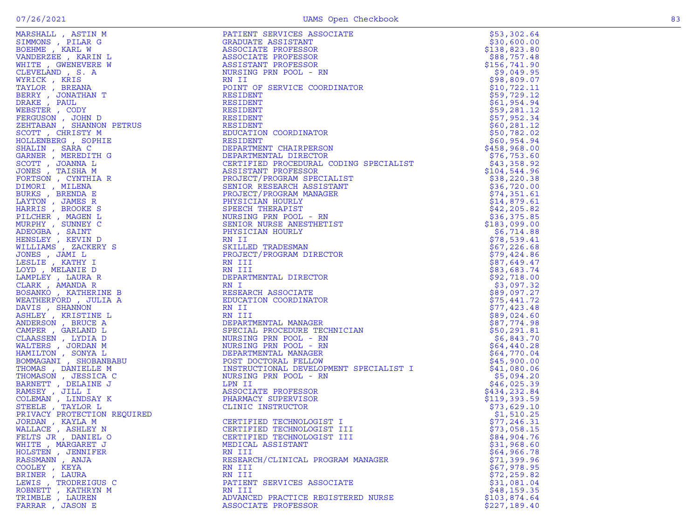| I<br>$\sim$ | w |
|-------------|---|
|             |   |

|                                                  | PATIENT SERVICES ASSOCIATE<br>CIATE<br>N<br>N<br>DRDINATOR                                                                                                                                                                                                           | \$53,302.64                 |
|--------------------------------------------------|----------------------------------------------------------------------------------------------------------------------------------------------------------------------------------------------------------------------------------------------------------------------|-----------------------------|
|                                                  |                                                                                                                                                                                                                                                                      | \$30,600.00                 |
|                                                  |                                                                                                                                                                                                                                                                      | \$138,823.80                |
|                                                  |                                                                                                                                                                                                                                                                      | \$88,757.48                 |
|                                                  |                                                                                                                                                                                                                                                                      | \$156,741.90                |
|                                                  |                                                                                                                                                                                                                                                                      | \$9,049.95                  |
|                                                  |                                                                                                                                                                                                                                                                      | \$98,809.07                 |
|                                                  | POINT OF SERVICE COORDINATOR                                                                                                                                                                                                                                         | \$10,722.11                 |
|                                                  |                                                                                                                                                                                                                                                                      | \$59,729.12                 |
|                                                  |                                                                                                                                                                                                                                                                      | \$61,954.94                 |
|                                                  |                                                                                                                                                                                                                                                                      | \$59,281.12                 |
|                                                  | NESIDENT<br>RESIDENT<br>EDUCATION COORDINATOR<br>RESIDENT<br>RESIDENT                                                                                                                                                                                                | \$57,952.34<br>\$60, 281.12 |
|                                                  |                                                                                                                                                                                                                                                                      | \$50,782.02                 |
|                                                  |                                                                                                                                                                                                                                                                      | \$60,954.94                 |
|                                                  |                                                                                                                                                                                                                                                                      | \$458,968.00                |
|                                                  |                                                                                                                                                                                                                                                                      | \$76,753.60                 |
|                                                  |                                                                                                                                                                                                                                                                      | \$43,358.92                 |
|                                                  |                                                                                                                                                                                                                                                                      | \$104,544.96                |
|                                                  |                                                                                                                                                                                                                                                                      | \$38,220.38                 |
|                                                  |                                                                                                                                                                                                                                                                      | \$36,720.00                 |
|                                                  |                                                                                                                                                                                                                                                                      | \$74,351.61                 |
|                                                  |                                                                                                                                                                                                                                                                      | \$14,879.61                 |
|                                                  |                                                                                                                                                                                                                                                                      | \$42, 205.82                |
|                                                  |                                                                                                                                                                                                                                                                      | \$36,375.85                 |
|                                                  |                                                                                                                                                                                                                                                                      | \$183,099.00                |
|                                                  |                                                                                                                                                                                                                                                                      | \$6,714.88                  |
|                                                  |                                                                                                                                                                                                                                                                      | \$78,539.41                 |
|                                                  |                                                                                                                                                                                                                                                                      | \$67,226.68                 |
|                                                  |                                                                                                                                                                                                                                                                      | \$79,424.86                 |
|                                                  | RESIDENT<br>DEPARTMENT CHAIRPERSON<br>DEPARTMENTAL DIRECTOR<br>CERTIFIED PROCEDURAL CODING SPECIALIST<br>ASSISTANT PROFESSOR<br>PROJECT/PROGRAM SPECIALIST<br>SENIOR RESEARCH ASSISTANT<br>PROJECT/PROGRAM MANAGER<br>PHYSICIAN HOURLY<br>SPEECH                     | \$87,649.47                 |
|                                                  |                                                                                                                                                                                                                                                                      | \$83,683.74                 |
|                                                  |                                                                                                                                                                                                                                                                      | \$92,718.00                 |
|                                                  |                                                                                                                                                                                                                                                                      | \$3,097.32                  |
|                                                  |                                                                                                                                                                                                                                                                      | \$89,097.27                 |
|                                                  |                                                                                                                                                                                                                                                                      | \$75,441.72                 |
|                                                  |                                                                                                                                                                                                                                                                      | \$77,423.48                 |
|                                                  |                                                                                                                                                                                                                                                                      | \$89,024.60                 |
|                                                  |                                                                                                                                                                                                                                                                      | \$87,774.98                 |
|                                                  |                                                                                                                                                                                                                                                                      | \$50, 291.81                |
|                                                  |                                                                                                                                                                                                                                                                      | \$6,843.70                  |
|                                                  |                                                                                                                                                                                                                                                                      | \$64,440.28                 |
|                                                  |                                                                                                                                                                                                                                                                      | \$64,770.04                 |
|                                                  |                                                                                                                                                                                                                                                                      | \$45,900.00                 |
|                                                  | DEFANITHINITE<br>INSTRUCTIONAL DEVELOPMENT SPECIALIST I<br>INSTRUCTIONAL DEVELOPMENT SPECIALIST I<br>NURSING PRN POOL - RN<br>LPN II<br>ASSOCIATE PROFESSOR<br>PHARMACY SUPERVISOR<br>CLINIC INSTRUCTOR                                                              | \$41,080.06                 |
|                                                  |                                                                                                                                                                                                                                                                      | \$5,094.20                  |
|                                                  |                                                                                                                                                                                                                                                                      | \$46,025.39                 |
|                                                  |                                                                                                                                                                                                                                                                      | \$434,232.84                |
|                                                  |                                                                                                                                                                                                                                                                      | \$119,393.59                |
| STEELE , TAYLOR L<br>PRIVACY PROTECTION REQUIRED |                                                                                                                                                                                                                                                                      | \$73,629.10<br>\$1,510.25   |
| JORDAN, KAYLA M                                  |                                                                                                                                                                                                                                                                      | \$77,246.31                 |
| WALLACE, ASHLEY N                                |                                                                                                                                                                                                                                                                      | \$73,058.15                 |
| FELTS JR, DANIEL O                               | CERTIFIED TECHNOLOGIST III                                                                                                                                                                                                                                           | \$84,904.76                 |
| WHITE , MARGARET J                               | AN III<br>DEPARTMENTAL MANAGER<br>SPECIAL PROCEDURE TECHNICIAN<br>NURSING PRN POOL - RN<br>NURSING PRN POOL - RN<br>NURSING PRN POOL - RN<br>DEPARTMENTAL MANAGER<br>POST DOCTORAL FELLOW<br>NSTRUCTIONAL DEVELOPMENT SPECIALIST I<br>RSING PRN<br>MEDICAL ASSISTANT | \$31,968.60                 |
| HOLSTEN, JENNIFER                                | RN III                                                                                                                                                                                                                                                               | \$64,966.78                 |
| RASSMANN, ANJA                                   | RESEARCH/CLINICAL PROGRAM MANAGER                                                                                                                                                                                                                                    | \$71,399.96                 |
| COOLEY, KEYA                                     | RN III                                                                                                                                                                                                                                                               | \$67,978.95                 |
| BRINER , LAURA                                   | RN III                                                                                                                                                                                                                                                               | \$72, 259.82                |
| LEWIS, TRODREIGUS C                              | PATIENT SERVICES ASSOCIATE                                                                                                                                                                                                                                           | \$31,081.04                 |
| ROBNETT , KATHRYN M                              | RN III                                                                                                                                                                                                                                                               | \$48,159.35                 |
| TRIMBLE , LAUREN                                 | ADVANCED PRACTICE REGISTERED NURSE                                                                                                                                                                                                                                   | \$103,874.64                |
| FARRAR, JASON E                                  | ASSOCIATE PROFESSOR                                                                                                                                                                                                                                                  | \$227,189.40                |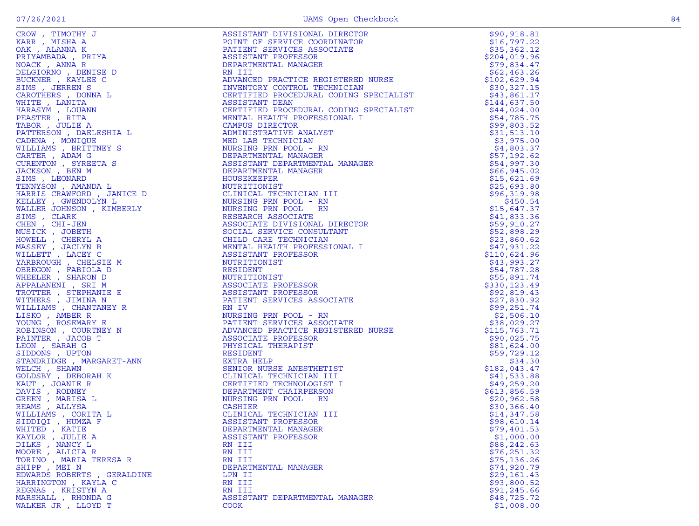| CROW, TIMOTHY J                                                                                                                                                                                                                                             | ASSISTANT DIVISIONAL DIRECTOR                                                                                                                                                                                                                                  | \$90,918.81  |
|-------------------------------------------------------------------------------------------------------------------------------------------------------------------------------------------------------------------------------------------------------------|----------------------------------------------------------------------------------------------------------------------------------------------------------------------------------------------------------------------------------------------------------------|--------------|
|                                                                                                                                                                                                                                                             |                                                                                                                                                                                                                                                                |              |
| KARR, MISHA A                                                                                                                                                                                                                                               | POINT OF SERVICE COORDINATOR                                                                                                                                                                                                                                   | \$16,797.22  |
| OAK, ALANNA K                                                                                                                                                                                                                                               | PATIENT SERVICES ASSOCIATE                                                                                                                                                                                                                                     | \$35,362.12  |
| PRIYAMBADA, PRIYA                                                                                                                                                                                                                                           | ASSISTANT PROFESSOR                                                                                                                                                                                                                                            | \$204,019.96 |
| NOACK, ANNA R                                                                                                                                                                                                                                               | DEPARTMENTAL MANAGER                                                                                                                                                                                                                                           | \$79,834.47  |
| DELGIORNO, DENISE D                                                                                                                                                                                                                                         | RN III                                                                                                                                                                                                                                                         | \$62,463.26  |
| BUCKNER, KAYLEE C                                                                                                                                                                                                                                           |                                                                                                                                                                                                                                                                | \$102,629.94 |
| SIMS, JERREN S                                                                                                                                                                                                                                              |                                                                                                                                                                                                                                                                | \$30,327.15  |
| CAROTHERS, DONNA L                                                                                                                                                                                                                                          |                                                                                                                                                                                                                                                                | \$43,861.17  |
| WHITE , LANITA                                                                                                                                                                                                                                              |                                                                                                                                                                                                                                                                | \$144,637.50 |
| HARASYM, LOUANN                                                                                                                                                                                                                                             |                                                                                                                                                                                                                                                                | \$44,024.00  |
| PEASTER, RITA                                                                                                                                                                                                                                               |                                                                                                                                                                                                                                                                | \$54,785.75  |
| TABOR, JULIE A                                                                                                                                                                                                                                              |                                                                                                                                                                                                                                                                | \$99,803.52  |
|                                                                                                                                                                                                                                                             |                                                                                                                                                                                                                                                                | \$31,513.10  |
|                                                                                                                                                                                                                                                             |                                                                                                                                                                                                                                                                |              |
|                                                                                                                                                                                                                                                             |                                                                                                                                                                                                                                                                | \$3,975.00   |
|                                                                                                                                                                                                                                                             |                                                                                                                                                                                                                                                                | \$4,803.37   |
|                                                                                                                                                                                                                                                             | RN III<br>ADVANCED PRACTICE REGISTERED NURSE<br>INVENTORY CONTROL TECHNICIAN<br>CERTIFIED PROCEDURAL CODING SPECIALIST<br>ASSISTANT DEAN<br>CERTIFIED PROCEDURAL CODING SPECIALIST<br>MENTAL HEALTH PROFESSIONAL I<br>CAMPUS DIRECTOR<br>ADMINISTRATIV         | \$57,192.62  |
|                                                                                                                                                                                                                                                             |                                                                                                                                                                                                                                                                | \$54,997.30  |
|                                                                                                                                                                                                                                                             |                                                                                                                                                                                                                                                                | \$66,945.02  |
|                                                                                                                                                                                                                                                             | HOUSEKEEPER                                                                                                                                                                                                                                                    | \$15,621.69  |
|                                                                                                                                                                                                                                                             | NUTRITIONIST                                                                                                                                                                                                                                                   | \$25,693.80  |
|                                                                                                                                                                                                                                                             | CLINICAL TECHNICIAN III                                                                                                                                                                                                                                        | \$96,319.98  |
|                                                                                                                                                                                                                                                             | NURSING PRN POOL - RN                                                                                                                                                                                                                                          | \$450.54     |
|                                                                                                                                                                                                                                                             | NURSING PRN POOL - RN                                                                                                                                                                                                                                          | \$15,647.37  |
|                                                                                                                                                                                                                                                             | RESEARCH ASSOCIATE                                                                                                                                                                                                                                             | \$41,833.36  |
|                                                                                                                                                                                                                                                             |                                                                                                                                                                                                                                                                |              |
|                                                                                                                                                                                                                                                             | ASSOCIATE DIVISIONAL DIRECTOR                                                                                                                                                                                                                                  | \$59,910.27  |
|                                                                                                                                                                                                                                                             | SOCIAL SERVICE CONSULTANT                                                                                                                                                                                                                                      | \$52,898.29  |
|                                                                                                                                                                                                                                                             | CHILD CARE TECHNICIAN                                                                                                                                                                                                                                          | \$23,860.62  |
|                                                                                                                                                                                                                                                             | MENTAL HEALTH PROFESSIONAL I                                                                                                                                                                                                                                   | \$47,931.22  |
|                                                                                                                                                                                                                                                             | ASSISTANT PROFESSOR                                                                                                                                                                                                                                            | \$110,624.96 |
|                                                                                                                                                                                                                                                             | OR<br>I LA CONTROLLER                                                                                                                                                                                                                                          | \$43,993.27  |
|                                                                                                                                                                                                                                                             |                                                                                                                                                                                                                                                                | \$54,787.28  |
|                                                                                                                                                                                                                                                             |                                                                                                                                                                                                                                                                | \$55,891.74  |
|                                                                                                                                                                                                                                                             |                                                                                                                                                                                                                                                                | \$330,123.49 |
| PRAGER ' RITAL<br>TRADITION DELESHIA LANDIQUE A<br>CADENA MONIQUE<br>MILLIAMS , BRITINEY S<br>CURENTER , ADAM G<br>CURENTON , SYREETA S<br>CURENTON , SYREETA S<br>CURENTON , SYREETA S<br>SIMS , LEONARD<br>TENNYSON , AMANDA LANDID , TANCE D<br>KARLER , | ASSISTANT PROFESSOR<br>NUTRITIONIST<br>RESIDENT<br>NUTRITIONIST<br>ASSOCIATE PROFESSOR<br>ASSISTANT PROFESSOR<br>PATIENT SERVICES ASSOCIATE<br>RN IV<br>NURSING PRN POOL - RN<br>PATIENT SERVICES ASSOCIATE<br>ADVANCED PRACTICE REGISTERED NURSE<br>ASSOCIATE | \$92,819.43  |
|                                                                                                                                                                                                                                                             |                                                                                                                                                                                                                                                                | \$27,830.92  |
|                                                                                                                                                                                                                                                             |                                                                                                                                                                                                                                                                | \$99,251.74  |
|                                                                                                                                                                                                                                                             |                                                                                                                                                                                                                                                                | \$2,506.10   |
|                                                                                                                                                                                                                                                             |                                                                                                                                                                                                                                                                | \$38,029.27  |
|                                                                                                                                                                                                                                                             |                                                                                                                                                                                                                                                                | \$115,763.71 |
|                                                                                                                                                                                                                                                             |                                                                                                                                                                                                                                                                | \$90,025.75  |
|                                                                                                                                                                                                                                                             |                                                                                                                                                                                                                                                                | \$81,624.00  |
|                                                                                                                                                                                                                                                             | RESIDENT                                                                                                                                                                                                                                                       | \$59,729.12  |
|                                                                                                                                                                                                                                                             |                                                                                                                                                                                                                                                                |              |
|                                                                                                                                                                                                                                                             | EXTRA HELP                                                                                                                                                                                                                                                     | \$34.30      |
|                                                                                                                                                                                                                                                             | SENIOR NURSE ANESTHETIST                                                                                                                                                                                                                                       | \$182,043.47 |
|                                                                                                                                                                                                                                                             | CLINICAL TECHNICIAN III                                                                                                                                                                                                                                        | \$41,533.88  |
|                                                                                                                                                                                                                                                             | CERTIFIED TECHNOLOGIST I                                                                                                                                                                                                                                       | \$49,259.20  |
|                                                                                                                                                                                                                                                             | DEPARTMENT CHAIRPERSON                                                                                                                                                                                                                                         | \$613,856.59 |
|                                                                                                                                                                                                                                                             | NURSING PRN POOL - RN                                                                                                                                                                                                                                          | \$20,962.58  |
|                                                                                                                                                                                                                                                             | CASHIER                                                                                                                                                                                                                                                        | \$30,366.40  |
|                                                                                                                                                                                                                                                             | CLINICAL TECHNICIAN III                                                                                                                                                                                                                                        | \$14,347.58  |
|                                                                                                                                                                                                                                                             | ASSISTANT PROFESSOR                                                                                                                                                                                                                                            | \$98,610.14  |
| WHITED, KATIE                                                                                                                                                                                                                                               | DEPARTMENTAL MANAGER                                                                                                                                                                                                                                           | \$79,401.53  |
| KAYLOR, JULIE A                                                                                                                                                                                                                                             | ASSISTANT PROFESSOR                                                                                                                                                                                                                                            | \$1,000.00   |
| DILKS, NANCY L                                                                                                                                                                                                                                              | RN III                                                                                                                                                                                                                                                         | \$88,242.63  |
| MOORE, ALICIA R                                                                                                                                                                                                                                             | RN III                                                                                                                                                                                                                                                         | \$76, 251.32 |
| TORINO, MARIA TERESA R                                                                                                                                                                                                                                      | RN III                                                                                                                                                                                                                                                         | \$75,136.26  |
| SHIPP, MEI N                                                                                                                                                                                                                                                | DEPARTMENTAL MANAGER                                                                                                                                                                                                                                           | \$74,920.79  |
| EDWARDS-ROBERTS, GERALDINE                                                                                                                                                                                                                                  | LPN II                                                                                                                                                                                                                                                         | \$29,161.43  |
| HARRINGTON, KAYLA C                                                                                                                                                                                                                                         | RN III                                                                                                                                                                                                                                                         | \$93,800.52  |
| REGNAS , KRISTYN A                                                                                                                                                                                                                                          | RN III                                                                                                                                                                                                                                                         | \$91, 245.66 |
|                                                                                                                                                                                                                                                             |                                                                                                                                                                                                                                                                | \$48,725.72  |
| MARSHALL, RHONDA G                                                                                                                                                                                                                                          | ASSISTANT DEPARTMENTAL MANAGER                                                                                                                                                                                                                                 |              |
| WALKER JR, LLOYD T                                                                                                                                                                                                                                          | <b>COOK</b>                                                                                                                                                                                                                                                    | \$1,008.00   |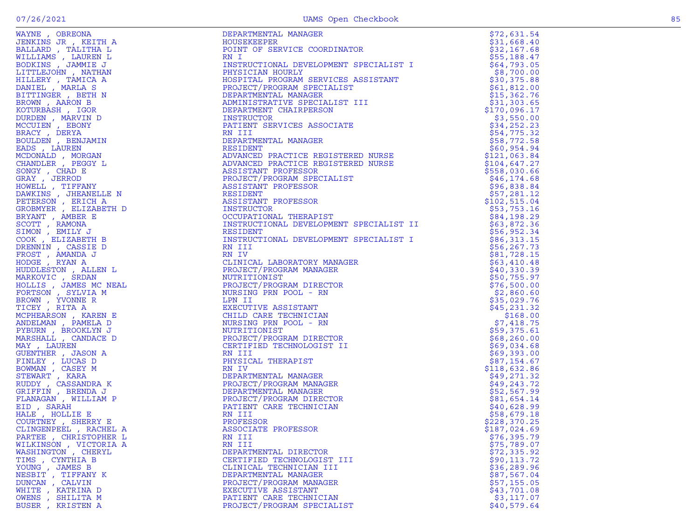| JENKINS JR , KEITH A<br>BALLARD , TALITHA L<br>WILLIAMS , LAUREN L<br>BODKINS , JAMMIE J |
|------------------------------------------------------------------------------------------|
|                                                                                          |
|                                                                                          |
|                                                                                          |
| LITTLEJOHN , NATHAN                                                                      |
| HILLERY , TAMICA A                                                                       |
|                                                                                          |
| DANIEL , MARLA S                                                                         |
| BITTINGER , BETH N                                                                       |
| BROWN, AARON B                                                                           |
| KOTURBASH, IGOR                                                                          |
| DURDEN, MARVIN D                                                                         |
|                                                                                          |
| MCCUIEN, EBONY                                                                           |
| BRACY, DERYA                                                                             |
| BOULDEN , BENJAMIN                                                                       |
| EADS, LAUREN                                                                             |
|                                                                                          |
| MCDONALD, MORGAN                                                                         |
| CHANDLER , PEGGY L                                                                       |
| SONGY, CHAD E                                                                            |
| GRAY, JERROD                                                                             |
|                                                                                          |
|                                                                                          |
| HOWELL , TIFFANY<br>DAWKINS , JHEANELLE N                                                |
| PETERSON, ERICH A                                                                        |
| GROBMYER , ELIZABETH D                                                                   |
| BRYANT , AMBER E                                                                         |
| SCOTT, RAMONA<br>SIMON, EMILY J                                                          |
|                                                                                          |
|                                                                                          |
| COOK, ELIZABETH B                                                                        |
| DRENNIN, CASSIE D                                                                        |
| FROST, AMANDA J                                                                          |
|                                                                                          |
| HODGE, RYAN A                                                                            |
| HUDDLESTON , ALLEN L                                                                     |
| MARKOVIC, SRDAN                                                                          |
| HOLLIS, JAMES MC NEAL<br>FORTSON, SYLVIA M<br>BROWN, YVONNE R<br>TCEV, YTER              |
|                                                                                          |
|                                                                                          |
|                                                                                          |
| TICEY, RITA A                                                                            |
| MCPHEARSON, KAREN E                                                                      |
| ANDELMAN, PAMELA D                                                                       |
|                                                                                          |
| PYBURN , BROOKLYN J                                                                      |
| MARSHALL , CANDACE D                                                                     |
|                                                                                          |
|                                                                                          |
| MAY, LAUREN                                                                              |
| GUENTHER , JASON A                                                                       |
| FINLEY, LUCAS D                                                                          |
|                                                                                          |
|                                                                                          |
| BOWMAN , CASEY M<br>STEWART , KARA                                                       |
|                                                                                          |
| RUDDY , CASSANDRA K<br>GRIFFIN , BRENDA J                                                |
| FLANAGAN , WILLIAM P                                                                     |
| EID, SARAH                                                                               |
|                                                                                          |
| HALE, HOLLIE E                                                                           |
| COURTNEY , SHERRY E                                                                      |
| CLINGENPEEL , RACHEL A                                                                   |
| PARTEE , CHRISTOPHER L                                                                   |
| WILKINSON , VICTORIA A                                                                   |
|                                                                                          |
| WASHINGTON , CHERYL                                                                      |
| TIMS,<br>CYNTHIA B                                                                       |
| YOUNG,<br><b>JAMES B</b>                                                                 |
| NESBIT , TIFFANY K                                                                       |
| DUNCAN, CALVIN                                                                           |
| WHITE                                                                                    |
| KATRINA D<br><b>OWENS</b><br>SHILITA M                                                   |

| WAYNE, OBREONA       | DEPARTMENTAL MANAGER                    | \$72,631.54                 |
|----------------------|-----------------------------------------|-----------------------------|
| JENKINS JR , KEITH A | HOUSEKEEPER                             | \$31,668.40                 |
| BALLARD , TALITHA L  | POINT OF SERVICE COORDINATOR<br>RN I    | \$32,167.68                 |
| WILLIAMS , LAUREN L  | RN I                                    | \$55,188.47                 |
| BODKINS, JAMMIE J    | INSTRUCTIONAL DEVELOPMENT SPECIALIST I  | \$64,793.05                 |
| LITTLEJOHN , NATHAN  | PHYSICIAN HOURLY                        | \$8,700.00                  |
| HILLERY, TAMICA A    |                                         | \$30,375.88                 |
| DANIEL, MARLA S      |                                         | \$61,812.00                 |
| BITTINGER , BETH N   |                                         | \$15,362.76                 |
| BROWN, AARON B       |                                         | \$31,303.65                 |
| KOTURBASH, IGOR      |                                         | \$170,096.17                |
|                      |                                         | \$3,550.00                  |
|                      |                                         | \$34,252.23                 |
|                      |                                         | \$54,775.32                 |
|                      |                                         | \$58,772.58                 |
|                      |                                         | \$60,954.94                 |
|                      |                                         | \$121,063.84                |
|                      |                                         | \$104,647.27                |
|                      |                                         | \$558,030.66                |
|                      |                                         | \$46, 174.68                |
|                      |                                         | \$96,838.84                 |
|                      |                                         | \$57,281.12                 |
|                      |                                         | \$102,515.04                |
|                      |                                         | \$53,753.16                 |
|                      |                                         | \$84,198.29                 |
|                      | INSTRUCTIONAL DEVELOPMENT SPECIALIST II | \$63,872.36                 |
|                      |                                         | \$56,952.34                 |
|                      | INSTRUCTIONAL DEVELOPMENT SPECIALIST I  | \$86,313.15                 |
|                      |                                         | \$56, 267.73                |
|                      |                                         | \$81,728.15                 |
|                      | CLINICAL LABORATORY MANAGER             | \$63,410.48                 |
|                      |                                         | \$40,330.39                 |
|                      |                                         | \$50,755.97                 |
|                      |                                         | \$76,500.00                 |
|                      |                                         | \$2,860.60                  |
|                      |                                         | \$35,029.76                 |
|                      |                                         | \$45,231.32                 |
|                      |                                         | \$168.00                    |
|                      |                                         | \$7,418.75                  |
|                      |                                         | \$59,375.61<br>\$68, 260.00 |
|                      |                                         | \$69,034.68                 |
|                      |                                         | \$69,393.00                 |
|                      |                                         | \$87,154.67                 |
|                      |                                         | \$118,632.86                |
|                      |                                         | \$49,271.32                 |
|                      |                                         | \$49, 243.72                |
|                      |                                         | \$52,567.99                 |
|                      |                                         | \$81,654.14                 |
|                      |                                         | \$40,628.99                 |
|                      |                                         | \$58,679.18                 |
|                      |                                         | \$228,370.25                |
|                      |                                         | \$187,024.69                |
|                      |                                         | \$76,395.79                 |
|                      |                                         | \$75,789.07                 |
|                      |                                         | \$72,335.92                 |
|                      |                                         | \$90, 113.72                |
|                      |                                         | \$36,289.96                 |
|                      |                                         | \$87,567.04                 |
| DUNCAN, CALVIN       | PROJECT/PROGRAM MANAGER                 | \$57,155.05                 |
| WHITE , KATRINA D    | EXECUTIVE ASSISTANT                     | \$43,701.08                 |
| OWENS , SHILITA M    | PATIENT CARE TECHNICIAN                 | \$3,117.07                  |
| BUSER, KRISTEN A     | PROJECT/PROGRAM SPECIALIST              | \$40,579.64                 |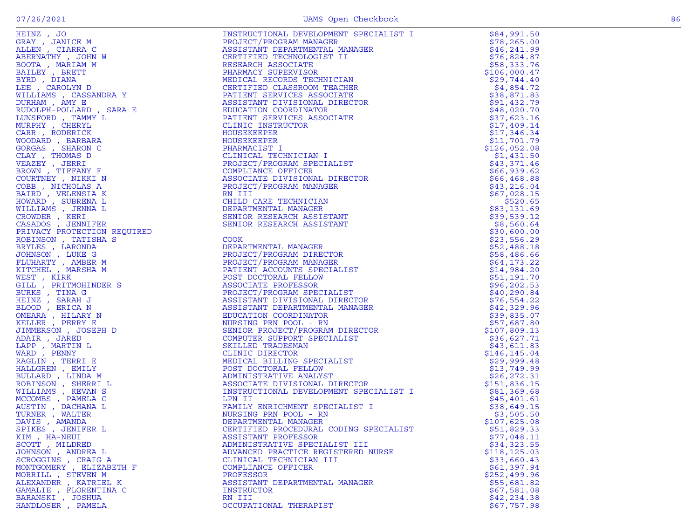| SPIKES , JENIFER L       | CERTIFIED PROCEDURAL CODING SPECIALIST | \$51,829.33   |
|--------------------------|----------------------------------------|---------------|
| KIM, HA-NEUI             | ASSISTANT PROFESSOR                    | \$77,048.11   |
| SCOTT, MILDRED           | ADMINISTRATIVE SPECIALIST III          | \$34,323.55   |
|                          |                                        |               |
| JOHNSON, ANDREA L        | ADVANCED PRACTICE REGISTERED NURSE     | \$118, 125.03 |
| SCROGGINS, CRAIG A       | CLINICAL TECHNICIAN III                | \$33,660.43   |
| MONTGOMERY , ELIZABETH F | COMPLIANCE OFFICER                     | \$61,397.94   |
| MORRILL , STEVEN M       | PROFESSOR                              | \$252,499.96  |
| ALEXANDER, KATRIEL K     | ASSISTANT DEPARTMENTAL MANAGER         | \$55,681.82   |
| GAMALIE , FLORENTINA C   | INSTRUCTOR                             | \$67,581.08   |
| BARANSKI , JOSHUA        | RN III                                 | \$42,234.38   |
| HANDLOSER, PAMELA        | OCCUPATIONAL THERAPIST                 | \$67,757.98   |
|                          |                                        |               |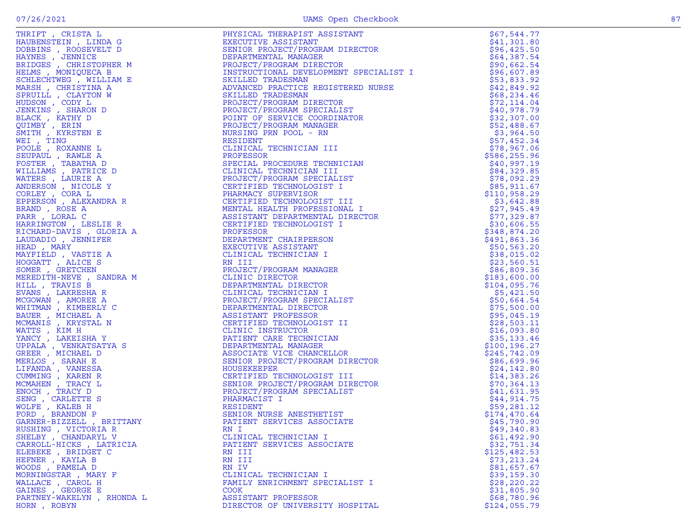|                           | THET?, CRISTAL RESERVATION CONSUMER PROPERTY AND MANUFACTION INTERNATIONAL DESCRIPTION ON A SAMPLE AND DESCRIPTION ON A SAMPLE TO CONSUMER THE CONSUMER PROPERTY OF THE CONSUMER CONSUMER THE CONSUMER CONSUMER PROPERTY AND C                   | \$67,544.77                |
|---------------------------|--------------------------------------------------------------------------------------------------------------------------------------------------------------------------------------------------------------------------------------------------|----------------------------|
|                           |                                                                                                                                                                                                                                                  | \$41,301.80                |
|                           |                                                                                                                                                                                                                                                  | \$96,425.50                |
|                           |                                                                                                                                                                                                                                                  | \$64,387.54                |
|                           |                                                                                                                                                                                                                                                  | \$90,662.54                |
|                           |                                                                                                                                                                                                                                                  | \$96,607.89                |
|                           |                                                                                                                                                                                                                                                  | \$53,833.92                |
|                           |                                                                                                                                                                                                                                                  | \$42,849.92                |
|                           |                                                                                                                                                                                                                                                  | \$68, 234.46               |
|                           |                                                                                                                                                                                                                                                  | \$72,114.04                |
|                           |                                                                                                                                                                                                                                                  | \$40,978.79                |
|                           |                                                                                                                                                                                                                                                  | \$32,307.00                |
|                           |                                                                                                                                                                                                                                                  | \$52,488.67                |
|                           |                                                                                                                                                                                                                                                  | \$3,964.50                 |
|                           |                                                                                                                                                                                                                                                  | \$57,452.34                |
|                           |                                                                                                                                                                                                                                                  | \$78,967.06                |
|                           |                                                                                                                                                                                                                                                  | \$586, 255.96              |
|                           |                                                                                                                                                                                                                                                  | \$40,997.19                |
|                           |                                                                                                                                                                                                                                                  | \$84,329.85                |
|                           |                                                                                                                                                                                                                                                  | \$78,092.29                |
|                           |                                                                                                                                                                                                                                                  | \$85,911.67                |
|                           |                                                                                                                                                                                                                                                  | \$110,958.29               |
|                           |                                                                                                                                                                                                                                                  | \$3,642.88                 |
|                           |                                                                                                                                                                                                                                                  | \$27,945.49<br>\$77,329.87 |
|                           |                                                                                                                                                                                                                                                  | \$30,606.55                |
|                           |                                                                                                                                                                                                                                                  | \$348,874.20               |
|                           |                                                                                                                                                                                                                                                  | \$491,863.36               |
|                           |                                                                                                                                                                                                                                                  | \$50,563.20                |
|                           |                                                                                                                                                                                                                                                  | \$38,015.02                |
|                           |                                                                                                                                                                                                                                                  | \$23,560.51                |
|                           |                                                                                                                                                                                                                                                  | \$86,809.36                |
|                           |                                                                                                                                                                                                                                                  | \$183,600.00               |
|                           |                                                                                                                                                                                                                                                  | \$104,095.76               |
|                           |                                                                                                                                                                                                                                                  | \$5,421.50                 |
|                           |                                                                                                                                                                                                                                                  | \$50,664.54                |
|                           |                                                                                                                                                                                                                                                  | \$75,500.00                |
|                           |                                                                                                                                                                                                                                                  | \$95,045.19                |
|                           |                                                                                                                                                                                                                                                  | \$28,503.11                |
|                           |                                                                                                                                                                                                                                                  | \$16,093.80                |
|                           |                                                                                                                                                                                                                                                  | \$35,133.46                |
|                           |                                                                                                                                                                                                                                                  | \$100, 196.27              |
|                           |                                                                                                                                                                                                                                                  | \$245,742.09               |
|                           |                                                                                                                                                                                                                                                  | \$86,699.96                |
|                           |                                                                                                                                                                                                                                                  | \$24,142.80                |
|                           |                                                                                                                                                                                                                                                  | \$14,383.26                |
|                           |                                                                                                                                                                                                                                                  | \$70,364.13                |
|                           |                                                                                                                                                                                                                                                  | \$41,631.95                |
|                           |                                                                                                                                                                                                                                                  | \$44,914.75                |
|                           |                                                                                                                                                                                                                                                  | \$59,281.12                |
|                           |                                                                                                                                                                                                                                                  | \$174,470.64               |
|                           |                                                                                                                                                                                                                                                  | \$45,790.90                |
| RUSHING , VICTORIA R      | HILL, TRAVIS È BEARNE (DESARTMENTAL DIRECTOR<br>MOGOWAN , AMOREE A CLINICAL TECHNICIAN INCOVAN , AMOREE A CLINICAL TECHNICIAN INCOVER<br>MOGOWAN , AMOREE A DEPARTMENTAL DIRECTOR<br>MATTS , KRYSTAL N<br>MATTS , KRYSTAL N<br>MATTS , K<br>RN I | \$49,340.83                |
| SHELBY , CHANDARYL V      | CLINICAL TECHNICIAN I                                                                                                                                                                                                                            | \$61,492.90                |
| CARROLL-HICKS, LATRICIA   | PATIENT SERVICES ASSOCIATE                                                                                                                                                                                                                       | \$32,751.34                |
| ELEBEKE, BRIDGET C        | RN III                                                                                                                                                                                                                                           | \$125,482.53               |
| HEFNER , KAYLA B          | RN III                                                                                                                                                                                                                                           | \$73, 213.24               |
| WOODS, PAMELA D           | RN IV                                                                                                                                                                                                                                            | \$81,657.67                |
| MORNINGSTAR, MARY F       | CLINICAL TECHNICIAN I                                                                                                                                                                                                                            | \$39,159.30                |
| WALLACE, CAROL H          | FAMILY ENRICHMENT SPECIALIST I                                                                                                                                                                                                                   | \$28, 220.22               |
| GAINES , GEORGE E         | COOK                                                                                                                                                                                                                                             | \$31,805.90                |
| PARTNEY-WAKELYN, RHONDA L | ASSISTANT PROFESSOR                                                                                                                                                                                                                              | \$68,780.96                |
| HORN, ROBYN               | DIRECTOR OF UNIVERSITY HOSPITAL                                                                                                                                                                                                                  | \$124,055.79               |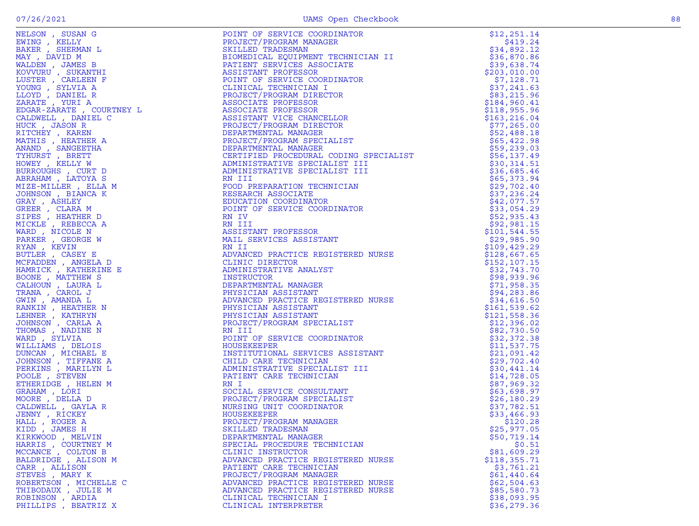|                       |                                    | \$25,977.05   |
|-----------------------|------------------------------------|---------------|
| KIRKWOOD, MELVIN      | DEPARTMENTAL MANAGER               | \$50,719.14   |
| HARRIS, COURTNEY M    | SPECIAL PROCEDURE TECHNICIAN       | \$0.51        |
| MCCANCE, COLTON B     | CLINIC INSTRUCTOR                  | \$81,609.29   |
| BALDRIDGE , ALISON M  | ADVANCED PRACTICE REGISTERED NURSE | \$118, 355.71 |
| CARR, ALLISON         | PATIENT CARE TECHNICIAN            | \$3,761.21    |
| STEVES, MARY K        | PROJECT/PROGRAM MANAGER            | \$61,440.64   |
| ROBERTSON, MICHELLE C | ADVANCED PRACTICE REGISTERED NURSE | \$62,504.63   |
| THIBODAUX , JULIE M   | ADVANCED PRACTICE REGISTERED NURSE | \$85,580.73   |
| ROBINSON, ARDIA       | CLINICAL TECHNICIAN I              | \$38,093.95   |
| PHILLIPS, BEATRIZ X   | CLINICAL INTERPRETER               | \$36, 279.36  |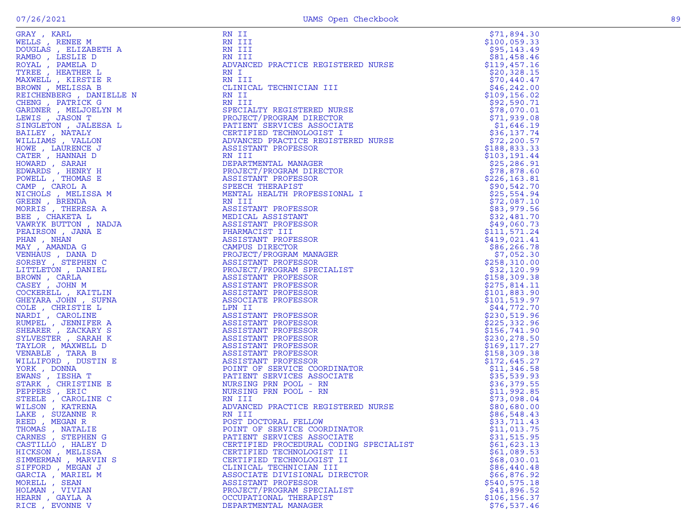| GRAY, KARL               | RN 11                                                                                                                                                                                                                            | \$71,894.30   |
|--------------------------|----------------------------------------------------------------------------------------------------------------------------------------------------------------------------------------------------------------------------------|---------------|
| WELLS, RENEE M           | RN III                                                                                                                                                                                                                           | \$100,059.33  |
| DOUGLAS , ELIZABETH A    | RN III                                                                                                                                                                                                                           | \$95,143.49   |
| RAMBO, LESLIE D          | RN III                                                                                                                                                                                                                           | \$81,458.46   |
| ROYAL, PAMELA D          | ADVANCED PRACTICE REGISTERED NURSE                                                                                                                                                                                               | \$119,457.16  |
|                          |                                                                                                                                                                                                                                  |               |
| TYREE, HEATHER L         | RN I                                                                                                                                                                                                                             | \$20,328.15   |
| MAXWELL, KIRSTIE R       | RN III                                                                                                                                                                                                                           | \$70,440.47   |
| BROWN, MELISSA B         | CLINICAL TECHNICIAN III                                                                                                                                                                                                          | \$46, 242.00  |
| REICHENBERG , DANIELLE N | RN II                                                                                                                                                                                                                            | \$109, 156.02 |
| CHENG, PATRICK G         | RN III                                                                                                                                                                                                                           | \$92,590.71   |
| GARDNER , MELJOELYN M    | SPECIALTY REGISTERED NURSE                                                                                                                                                                                                       | \$78,070.01   |
| LEWIS , JASON T          |                                                                                                                                                                                                                                  |               |
|                          | PROJECT/PROGRAM DIRECTOR                                                                                                                                                                                                         | \$71,939.08   |
| SINGLETON , JALEESA L    | PATIENT SERVICES ASSOCIATE                                                                                                                                                                                                       | \$1,646.19    |
| BAILEY , NATALY          |                                                                                                                                                                                                                                  | \$36,137.74   |
| WILLIAMS, VALLON         |                                                                                                                                                                                                                                  | \$72, 200.57  |
| HOWE, LAURENCE J         |                                                                                                                                                                                                                                  | \$188,833.33  |
| CATER, HANNAH D          |                                                                                                                                                                                                                                  | \$103, 191.44 |
|                          |                                                                                                                                                                                                                                  |               |
| HOWARD, SARAH            |                                                                                                                                                                                                                                  | \$25,286.91   |
| EDWARDS, HENRY H         |                                                                                                                                                                                                                                  | \$78,878.60   |
| POWELL, THOMAS E         |                                                                                                                                                                                                                                  | \$226, 163.81 |
| CAMP, CAROL A            |                                                                                                                                                                                                                                  | \$90,542.70   |
| NICHOLS , MELISSA M      |                                                                                                                                                                                                                                  | \$25,554.94   |
| GREEN , BRENDA           | PATIENT CONTRECHINOLOGIST<br>CERTIFIED TECHNOLOGIST<br>ADVANCED PRACTICE REGISTERED NURSE<br>ASSISTANT PROFESSOR<br>RN III<br>DEPARTMENTAL MANAGER<br>PROJECT/PROGRAM DIRECTOR<br>ASSISTANT PROFESSOR<br>THE THERAPIST<br>RN III | \$72,087.10   |
|                          |                                                                                                                                                                                                                                  |               |
| MORRIS, THERESA A        | ASSISTANT PROFESSOR                                                                                                                                                                                                              | \$83,979.56   |
| BEE, CHAKETA L           | MEDICAL ASSISTANT                                                                                                                                                                                                                | \$32,481.70   |
| VAWRYK BUTTON, NADJA     | ASSISTANT PROFESSOR                                                                                                                                                                                                              | \$49,060.73   |
| PEAIRSON, JANA E         | PHARMACIST III                                                                                                                                                                                                                   | \$111,571.24  |
| PHAN, NHAN               | ASSISTANT PROFESSOR                                                                                                                                                                                                              | \$419,021.41  |
| MAY , AMANDA G           | CAMPUS DIRECTOR                                                                                                                                                                                                                  | \$86, 266.78  |
|                          | PROJECT/PROGRAM MANAGER                                                                                                                                                                                                          | \$7,052.30    |
| VENHAUS, DANA D          |                                                                                                                                                                                                                                  |               |
| SORSBY, STEPHEN C        | ASSISTANT PROFESSOR                                                                                                                                                                                                              | \$258,310.00  |
| LITTLETON, DANIEL        | PROJECT/PROGRAM SPECIALIST                                                                                                                                                                                                       | \$32,120.99   |
| BROWN, CARLA             | ASSISTANT PROFESSOR                                                                                                                                                                                                              | \$158,309.38  |
| CASEY, JOHN M            | ASSISTANT PROFESSOR                                                                                                                                                                                                              | \$275,814.11  |
| COCKERELL, KAITLIN       | ASSISTANT PROFESSOR                                                                                                                                                                                                              | \$101,883.90  |
|                          |                                                                                                                                                                                                                                  |               |
| GHEYARA JOHN, SUFNA      | ASSOCIATE PROFESSOR                                                                                                                                                                                                              | \$101,519.97  |
| COLE, CHRISTIE L         | LPN II                                                                                                                                                                                                                           | \$44,772.70   |
| NARDI, CAROLINE          | ASSISTANT PROFESSOR                                                                                                                                                                                                              | \$230,519.96  |
| RUMPEL , JENNIFER A      | ASSISTANT PROFESSOR                                                                                                                                                                                                              | \$225,332.96  |
| SHEARER, ZACKARY S       | ASSISTANT PROFESSOR                                                                                                                                                                                                              | \$156,741.90  |
| SYLVESTER, SARAH K       | ASSISTANT PROFESSOR                                                                                                                                                                                                              | \$230, 278.50 |
| TAYLOR, MAXWELL D        | ASSISTANT PROFESSOR                                                                                                                                                                                                              | \$169, 117.27 |
|                          |                                                                                                                                                                                                                                  |               |
| VENABLE , TARA B         | ASSISTANT PROFESSOR                                                                                                                                                                                                              | \$158,309.38  |
| WILLIFORD, DUSTIN E      | ASSISTANT PROFESSOR                                                                                                                                                                                                              | \$172,645.27  |
| YORK, DONNA              | POINT OF SERVICE COORDINATOR                                                                                                                                                                                                     | \$11,346.58   |
| EWANS, IESHA T           | PATIENT SERVICES ASSOCIATE                                                                                                                                                                                                       | \$35,539.93   |
| STARK, CHRISTINE E       | NURSING PRN POOL - RN                                                                                                                                                                                                            | \$36,379.55   |
|                          | NURSING PRN POOL - RN                                                                                                                                                                                                            | \$11,992.85   |
| PEPPERS, ERIC            |                                                                                                                                                                                                                                  |               |
| STEELE , CAROLINE C      | RN III                                                                                                                                                                                                                           | \$73,098.04   |
| WILSON, KATRENA          | ADVANCED PRACTICE REGISTERED NURSE                                                                                                                                                                                               | \$80,680.00   |
| LAKE, SUZANNE R          | RN III                                                                                                                                                                                                                           | \$86,548.43   |
| REED , MEGAN R           | POST DOCTORAL FELLOW                                                                                                                                                                                                             | \$33,711.43   |
| THOMAS , NATALIE         | POINT OF SERVICE COORDINATOR                                                                                                                                                                                                     | \$11,013.75   |
| CARNES , STEPHEN G       |                                                                                                                                                                                                                                  |               |
|                          | PATIENT SERVICES ASSOCIATE                                                                                                                                                                                                       | \$31,515.95   |
| CASTILLO, HALEY D        | CERTIFIED PROCEDURAL CODING SPECIALIST                                                                                                                                                                                           | \$61,623.13   |
| HICKSON, MELISSA         | CERTIFIED TECHNOLOGIST II                                                                                                                                                                                                        | \$61,089.53   |
| SIMMERMAN, MARVIN S      | CERTIFIED TECHNOLOGIST II                                                                                                                                                                                                        | \$68,030.01   |
| SIFFORD, MEGAN J         | CLINICAL TECHNICIAN III                                                                                                                                                                                                          | \$86,440.48   |
| GARCIA , MARIEL M        | ASSOCIATE DIVISIONAL DIRECTOR                                                                                                                                                                                                    | \$66,876.92   |
|                          |                                                                                                                                                                                                                                  |               |
| MORELL , SEAN            | ASSISTANT PROFESSOR                                                                                                                                                                                                              | \$540, 575.18 |
| HOLMAN, VIVIAN           | PROJECT/PROGRAM SPECIALIST                                                                                                                                                                                                       | \$41,896.52   |
| HEARN, GAYLA A           | OCCUPATIONAL THERAPIST                                                                                                                                                                                                           | \$106, 156.37 |
| RICE, EVONNE V           | DEPARTMENTAL MANAGER                                                                                                                                                                                                             | \$76,537.46   |

 $$71,894.30$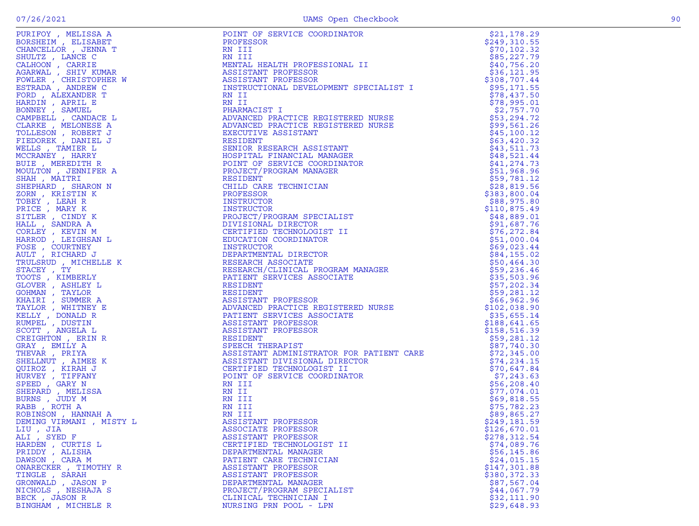| FORITOI , MELISSA A<br>BORSHEIM , ELISABET<br>CHANCELLOR , JENNA T                                                                                                           |
|------------------------------------------------------------------------------------------------------------------------------------------------------------------------------|
|                                                                                                                                                                              |
|                                                                                                                                                                              |
| SHULTZ , LANCE C<br>CALHOON , CARRIE<br>AGARWAL , SHIV KUMAR<br>AGARWAL , SHIV KUMAR                                                                                         |
|                                                                                                                                                                              |
|                                                                                                                                                                              |
|                                                                                                                                                                              |
| FOWLER , CHRISTOPHER W                                                                                                                                                       |
| ANDREW C<br>ESTRADA,                                                                                                                                                         |
|                                                                                                                                                                              |
|                                                                                                                                                                              |
| FORD , ALEXANDER T<br>HARDIN , APRIL E<br>BONNEY , SAMUEL<br>GRAMPETI                                                                                                        |
|                                                                                                                                                                              |
| CAMPBELL , CANDACE L<br>CLARKE , MELONESE A<br>FOLLESON , ROBERT J<br>FIEDOREK , DANIEL J                                                                                    |
|                                                                                                                                                                              |
|                                                                                                                                                                              |
|                                                                                                                                                                              |
|                                                                                                                                                                              |
| WELLS , TAMIER L                                                                                                                                                             |
| MCCRANEY, HARRY                                                                                                                                                              |
|                                                                                                                                                                              |
| BUIE , MEREDITH R                                                                                                                                                            |
| MOULTON, JENNIFER A                                                                                                                                                          |
| SHAH , MAITRI                                                                                                                                                                |
|                                                                                                                                                                              |
| SHEPHARD , SHARON N                                                                                                                                                          |
| ZORN , KRÍSTIN K                                                                                                                                                             |
|                                                                                                                                                                              |
|                                                                                                                                                                              |
| ZOKN , KRISTIN K<br>PRICE , MARY K<br>PRICE , MARY K<br>SITLER , CINDY K<br>HALL , SANDRA A<br>CORLEY , KEVIN M<br>HARROD , LEIGHSAN L<br>FOSE , COURTNEY<br>AULT , PIGUARRY |
|                                                                                                                                                                              |
|                                                                                                                                                                              |
|                                                                                                                                                                              |
|                                                                                                                                                                              |
|                                                                                                                                                                              |
|                                                                                                                                                                              |
| AULT , RICHARD J                                                                                                                                                             |
| TRULSRUD , MICHELLE K                                                                                                                                                        |
|                                                                                                                                                                              |
| STACEY , TY<br>STACEY , TY<br>JLOVER , ASHLEY L<br>JLOVER , ASHLEY L<br>KHAIRI , SUMMER A<br>TAYLOR , WHITNEY E<br>TAYLOR , WHITNEY E<br>KELLY DONATD P                      |
|                                                                                                                                                                              |
|                                                                                                                                                                              |
|                                                                                                                                                                              |
|                                                                                                                                                                              |
|                                                                                                                                                                              |
|                                                                                                                                                                              |
|                                                                                                                                                                              |
|                                                                                                                                                                              |
| KELLY , DONALD R<br>RUMPEL , DUSTIN<br>SCOTT , ANGELA L                                                                                                                      |
|                                                                                                                                                                              |
| CREIGHTON, ERIN<br>R                                                                                                                                                         |
| GRAY , EMILY A<br>THEVAR , PRIYA                                                                                                                                             |
|                                                                                                                                                                              |
|                                                                                                                                                                              |
| HERVAK , PRIYA<br>SPELLNUT , AIMEE J<br>QUIROZ , KRAH J<br>HURVEY , TIFFANY<br>SPEED , GARY N<br>SHEPARD , MELISSA<br>RORINS , JUDY M<br>ROBINSON , TANAT<br>K               |
|                                                                                                                                                                              |
|                                                                                                                                                                              |
|                                                                                                                                                                              |
|                                                                                                                                                                              |
|                                                                                                                                                                              |
|                                                                                                                                                                              |
|                                                                                                                                                                              |
|                                                                                                                                                                              |
| ROBINSON , HANNAH A                                                                                                                                                          |
| DEMING VIRMANI , MISTY L                                                                                                                                                     |
|                                                                                                                                                                              |
| LIU , JIA<br>ALI , SYED F                                                                                                                                                    |
|                                                                                                                                                                              |
|                                                                                                                                                                              |
| HARDEN , CURTIS L<br>PRIDDY , ALISHA<br>DAWSON , CARA M                                                                                                                      |
|                                                                                                                                                                              |
|                                                                                                                                                                              |
| ONARECKER , TIMOTHY R                                                                                                                                                        |
| TINGLE, SARAH                                                                                                                                                                |
|                                                                                                                                                                              |
|                                                                                                                                                                              |
|                                                                                                                                                                              |
|                                                                                                                                                                              |
|                                                                                                                                                                              |

|                     | FOCUS CREATION (ASSEMBATION CONSULTANTS)<br>A MARIA DEL PROTECTION CONSULTANTS<br>A MARIA DEL PROTECTION (ASSEMBATION CREATION CREATION CREATION CREATION CONSULTANTS)<br>A MARIA DEL PROTECTION (ASSEMBATION CREATION CREATION CRE                  | \$21,178.29                 |
|---------------------|------------------------------------------------------------------------------------------------------------------------------------------------------------------------------------------------------------------------------------------------------|-----------------------------|
|                     |                                                                                                                                                                                                                                                      | \$249,310.55                |
|                     |                                                                                                                                                                                                                                                      | \$70, 102.32                |
|                     |                                                                                                                                                                                                                                                      | \$85,227.79                 |
|                     |                                                                                                                                                                                                                                                      | \$40,756.20                 |
|                     |                                                                                                                                                                                                                                                      | \$36, 121.95                |
|                     |                                                                                                                                                                                                                                                      | \$308,707.44                |
|                     |                                                                                                                                                                                                                                                      | \$95,171.55<br>\$78,437.50  |
|                     |                                                                                                                                                                                                                                                      | \$78,995.01                 |
|                     |                                                                                                                                                                                                                                                      | \$2,757.70                  |
|                     |                                                                                                                                                                                                                                                      | \$53,294.72                 |
|                     |                                                                                                                                                                                                                                                      | \$99,561.26                 |
|                     |                                                                                                                                                                                                                                                      | \$45,100.12                 |
|                     |                                                                                                                                                                                                                                                      | \$63,420.32                 |
|                     |                                                                                                                                                                                                                                                      | \$43,511.73                 |
|                     |                                                                                                                                                                                                                                                      | \$48,521.44                 |
|                     |                                                                                                                                                                                                                                                      | \$41,274.73                 |
|                     |                                                                                                                                                                                                                                                      | \$51,968.96                 |
|                     |                                                                                                                                                                                                                                                      | \$59,781.12                 |
|                     |                                                                                                                                                                                                                                                      | \$28,819.56                 |
|                     |                                                                                                                                                                                                                                                      | \$383,800.04                |
|                     |                                                                                                                                                                                                                                                      | \$88,975.80                 |
|                     |                                                                                                                                                                                                                                                      | \$110,875.49                |
|                     |                                                                                                                                                                                                                                                      | \$48,889.01                 |
|                     |                                                                                                                                                                                                                                                      | \$91,687.76                 |
|                     |                                                                                                                                                                                                                                                      | \$76, 272.84                |
|                     |                                                                                                                                                                                                                                                      | \$51,000.04                 |
|                     |                                                                                                                                                                                                                                                      | \$69,023.44                 |
|                     |                                                                                                                                                                                                                                                      | \$84,155.02                 |
|                     | CRETIFIED TECHNOLOGIST II<br>CERTIFIED TECHNOLOGIST II<br>EDUCATION COORDINATOR<br>INSTRUCTOR<br>INSTRUCTOR<br>INSTRUCTOR<br>INSTRUCTOR<br>INSTRUCTOR<br>RESEARCH ASSOCIATE<br>RESEARCH ASSOCIATE<br>RESEARCH ASSOCIATE<br>PATIENT SERVICES ASSOCIAT | \$50,464.30                 |
|                     |                                                                                                                                                                                                                                                      | \$59,236.46                 |
|                     |                                                                                                                                                                                                                                                      | \$35,503.96                 |
|                     |                                                                                                                                                                                                                                                      | \$57,202.34                 |
|                     |                                                                                                                                                                                                                                                      | \$59,281.12                 |
|                     |                                                                                                                                                                                                                                                      | \$66,962.96                 |
|                     |                                                                                                                                                                                                                                                      | \$102,038.90                |
|                     |                                                                                                                                                                                                                                                      | \$35,655.14                 |
|                     |                                                                                                                                                                                                                                                      | \$188,641.65                |
|                     |                                                                                                                                                                                                                                                      | \$158,516.39                |
|                     |                                                                                                                                                                                                                                                      | \$59,281.12                 |
|                     |                                                                                                                                                                                                                                                      | \$87,740.30                 |
|                     |                                                                                                                                                                                                                                                      | \$72,345.00<br>\$74, 234.15 |
|                     |                                                                                                                                                                                                                                                      | \$70,647.84                 |
|                     |                                                                                                                                                                                                                                                      | \$7,243.63                  |
|                     |                                                                                                                                                                                                                                                      | \$56, 208.40                |
|                     |                                                                                                                                                                                                                                                      | \$77,074.01                 |
|                     |                                                                                                                                                                                                                                                      | \$69,818.55                 |
|                     |                                                                                                                                                                                                                                                      | \$75,782.23                 |
|                     |                                                                                                                                                                                                                                                      | \$89,865.27                 |
|                     |                                                                                                                                                                                                                                                      | \$249,181.59                |
|                     |                                                                                                                                                                                                                                                      | \$126,670.01                |
|                     |                                                                                                                                                                                                                                                      | \$278, 312.54               |
|                     |                                                                                                                                                                                                                                                      | \$74,089.76                 |
|                     |                                                                                                                                                                                                                                                      | \$56, 145.86                |
|                     |                                                                                                                                                                                                                                                      | \$24,015.15                 |
|                     |                                                                                                                                                                                                                                                      | \$147,301.88                |
| TINGLE , SARAH      | ASSISTANT PROFESSOR                                                                                                                                                                                                                                  | \$380,372.33                |
| GRONWALD, JASON P   | DEPARTMENTAL MANAGER                                                                                                                                                                                                                                 | \$87,567.04                 |
| NICHOLS , NESHAJA S | PROJECT/PROGRAM SPECIALIST                                                                                                                                                                                                                           | \$44,067.79                 |
| BECK, JASON R       | CLINICAL TECHNICIAN I                                                                                                                                                                                                                                | \$32,111.90                 |
| BINGHAM, MICHELE R  | NURSING PRN POOL - LPN                                                                                                                                                                                                                               | \$29,648.93                 |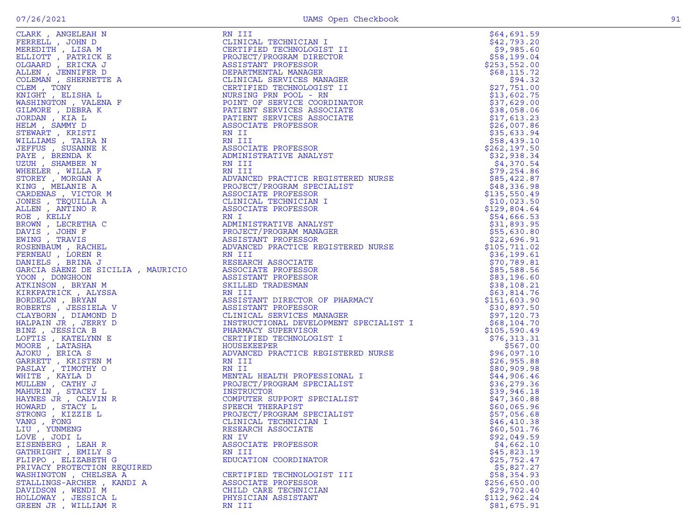| ł<br>۰.<br>٠ |  |
|--------------|--|
|              |  |

| GARCIA SAENZ DE SICILIA , MAURICIO<br>YOON , DONGHOON<br>ATKINSON , BRYAN M<br>KIRKPATRICK , ALYSSA<br>SORDELON , BRYAN<br>ROBERTS , JESSIELA V<br>TLAYBORN , DIAMOND D<br>HALPAIN JR , JERRY D<br>MINZ , MATELYNN E<br>IOORE , LATASHA<br>JOORE , LATASHA<br>A |                                                                                                                                                                                                                                                           |                            |
|-----------------------------------------------------------------------------------------------------------------------------------------------------------------------------------------------------------------------------------------------------------------|-----------------------------------------------------------------------------------------------------------------------------------------------------------------------------------------------------------------------------------------------------------|----------------------------|
|                                                                                                                                                                                                                                                                 |                                                                                                                                                                                                                                                           |                            |
|                                                                                                                                                                                                                                                                 |                                                                                                                                                                                                                                                           |                            |
|                                                                                                                                                                                                                                                                 |                                                                                                                                                                                                                                                           |                            |
|                                                                                                                                                                                                                                                                 |                                                                                                                                                                                                                                                           |                            |
|                                                                                                                                                                                                                                                                 |                                                                                                                                                                                                                                                           |                            |
|                                                                                                                                                                                                                                                                 |                                                                                                                                                                                                                                                           |                            |
|                                                                                                                                                                                                                                                                 |                                                                                                                                                                                                                                                           |                            |
|                                                                                                                                                                                                                                                                 |                                                                                                                                                                                                                                                           |                            |
|                                                                                                                                                                                                                                                                 |                                                                                                                                                                                                                                                           |                            |
|                                                                                                                                                                                                                                                                 |                                                                                                                                                                                                                                                           |                            |
|                                                                                                                                                                                                                                                                 |                                                                                                                                                                                                                                                           |                            |
|                                                                                                                                                                                                                                                                 | ASSISTANT PROFESSON<br>CLINICAL SERVICES MANAGER<br>INSTRUCTIONAL DEVELOPMENT SPECIALIST I<br>PHARMACY SUPERVISOR<br>CERTIFIED TECHNOLOGIST I<br>HOUSEKEEPER<br>ADVANCED PRACTICE REGISTERED NURSE<br>RN III<br>NENTAL HEALTH PROFESSIONAL I<br>PROJECT/P |                            |
|                                                                                                                                                                                                                                                                 |                                                                                                                                                                                                                                                           |                            |
|                                                                                                                                                                                                                                                                 |                                                                                                                                                                                                                                                           |                            |
|                                                                                                                                                                                                                                                                 |                                                                                                                                                                                                                                                           |                            |
|                                                                                                                                                                                                                                                                 |                                                                                                                                                                                                                                                           | \$39,946.18<br>\$47,360.88 |
|                                                                                                                                                                                                                                                                 |                                                                                                                                                                                                                                                           | \$60,065.96                |
|                                                                                                                                                                                                                                                                 |                                                                                                                                                                                                                                                           | \$57,056.68                |
|                                                                                                                                                                                                                                                                 |                                                                                                                                                                                                                                                           | \$46, 410.38               |
|                                                                                                                                                                                                                                                                 | COMPUTER SUFICIL<br>SPEECH THERAPIST<br>PROJECT/PROGRAM SPECIALIST<br>CLINICAL TECHNICIAN I<br>CLINICAL TECHNICIAN I                                                                                                                                      | \$60,501.76                |
| LOVE , JODI L                                                                                                                                                                                                                                                   |                                                                                                                                                                                                                                                           | \$92,049.59                |
| EISENBERG , LEAH R                                                                                                                                                                                                                                              | ASSOCIATE PROFESSOR                                                                                                                                                                                                                                       | \$4,662.10                 |
| GATHRIGHT , EMILY S                                                                                                                                                                                                                                             | RN III                                                                                                                                                                                                                                                    | \$45,823.19                |
| FLIPPO, ELIZABETH G                                                                                                                                                                                                                                             | EDUCATION COORDINATOR                                                                                                                                                                                                                                     | \$25,752.47                |
| PRIVACY PROTECTION REQUIRED                                                                                                                                                                                                                                     |                                                                                                                                                                                                                                                           | \$5,827.27                 |
| WASHINGTON , CHELSEA A                                                                                                                                                                                                                                          | CERTIFIED TECHNOLOGIST III                                                                                                                                                                                                                                | \$58,354.93                |
| STALLINGS-ARCHER, KANDI A                                                                                                                                                                                                                                       | ASSOCIATE PROFESSOR                                                                                                                                                                                                                                       | \$256,650.00               |
| DAVIDSON , WENDI M                                                                                                                                                                                                                                              | CHILD CARE TECHNICIAN                                                                                                                                                                                                                                     | \$29,702.40                |
| HOLLOWAY , JESSICA L                                                                                                                                                                                                                                            | PHYSICIAN ASSISTANT                                                                                                                                                                                                                                       | \$112,962.24               |
| GREEN JR , WILLIAM R                                                                                                                                                                                                                                            | RN III                                                                                                                                                                                                                                                    | \$81,675.91                |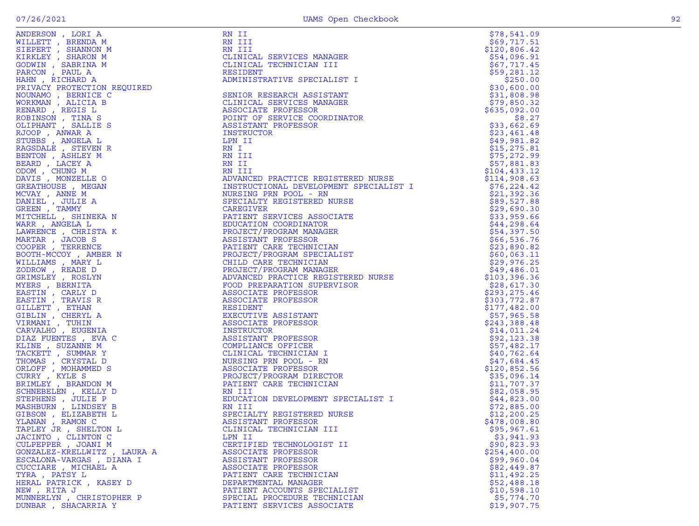| ٠. |  |
|----|--|

| ANDERSON, LORI A                        | RN II                                                                                                                                                                                                                                               | \$78,541.09                |
|-----------------------------------------|-----------------------------------------------------------------------------------------------------------------------------------------------------------------------------------------------------------------------------------------------------|----------------------------|
| WILLETT , BRENDA M                      | RN III                                                                                                                                                                                                                                              | \$69,717.51                |
| SIEPERT, SHANNON M                      | RN III                                                                                                                                                                                                                                              | \$120,806.42               |
| KIRKLEY, SHARON M                       | CLINICAL SERVICES MANAGER                                                                                                                                                                                                                           | \$54,096.91                |
| GODWIN, SABRINA M                       | CLINICAL TECHNICIAN III                                                                                                                                                                                                                             | \$67,717.45                |
| PARCON, PAUL A                          | RESIDENT                                                                                                                                                                                                                                            | \$59,281.12                |
| HAHN, RICHARD A<br>EQUIRED              | ADMINISTRATIVE SPECIALIST I                                                                                                                                                                                                                         | \$250.00                   |
| PRIVACY PROTECTION REQUIRED             |                                                                                                                                                                                                                                                     | \$30,600.00                |
| NOUNAMO, BERNICE C                      | SENIOR RESEARCH ASSISTANT                                                                                                                                                                                                                           | \$31,808.98                |
| WORKMAN, ALICIA B                       | CLINICAL SERVICES MANAGER                                                                                                                                                                                                                           | \$79,850.32                |
| RENARD, REGIS L                         | ASSOCIATE PROFESSOR                                                                                                                                                                                                                                 | \$635,092.00               |
| ROBINSON, TINA S                        | POINT OF SERVICE COORDINATOR                                                                                                                                                                                                                        | \$8.27                     |
| OLIPHANT, SALLIE S                      | ASSISTANT PROFESSOR                                                                                                                                                                                                                                 | \$33,662.69                |
| RJOOP, ANWAR A                          | INSTRUCTOR                                                                                                                                                                                                                                          | \$23,461.48                |
| STUBBS , ANGELA L                       | LPN II                                                                                                                                                                                                                                              | \$49,981.82                |
| RAGSDALE , STEVEN R                     | RN I                                                                                                                                                                                                                                                | \$15,275.81                |
| BENTON , ASHLEY M                       | RN III                                                                                                                                                                                                                                              | \$75,272.99                |
| BEARD, LACEY A                          | RN II<br>RN II<br>RN III<br>ADVANCED PRACTICE REGISTERED NURSE<br>ADVANCED PRACTICE REGISTERED NURSE                                                                                                                                                | \$57,881.83                |
| ODOM, CHUNG M                           |                                                                                                                                                                                                                                                     | \$104,433.12               |
| DAVIS , MONZELLE O                      |                                                                                                                                                                                                                                                     | \$114,908.63               |
| GREATHOUSE , MEGAN                      |                                                                                                                                                                                                                                                     | \$76, 224.42               |
| MCVAY, ANNE M                           |                                                                                                                                                                                                                                                     | \$21,392.36                |
| DANIEL , JULIE A                        |                                                                                                                                                                                                                                                     | \$89,527.88                |
| GREEN, TAMMY<br>MITCHELL , SHINEKA N    |                                                                                                                                                                                                                                                     | \$29,690.30<br>\$33,959.66 |
| WARR, ANGELA L                          |                                                                                                                                                                                                                                                     | \$44,298.64                |
| LAWRENCE, CHRISTA K                     |                                                                                                                                                                                                                                                     | \$54,397.50                |
| MARTAR , JACOB S                        |                                                                                                                                                                                                                                                     | \$66,536.76                |
| COOPER, TERRENCE                        |                                                                                                                                                                                                                                                     | \$23,890.82                |
| BOOTH-MCCOY, AMBER N                    |                                                                                                                                                                                                                                                     | \$60,063.11                |
| WILLIAMS , MARY L                       |                                                                                                                                                                                                                                                     | \$29,976.25                |
| ZODROW, READE D                         |                                                                                                                                                                                                                                                     | \$49,486.01                |
| GRIMSLEY, ROSLYN                        | SPECIALTY REGISTERED NURSE<br>CAREGIVER<br>CAREGIVER<br>PATIENT SERVICES ASSOCIATE<br>EDUCATION COORDINATOR<br>PROJECT/PROGRAM MANAGER<br>ASSISTANT PROFESSOR<br>PATIENT CARE TECHNICIAN<br>PROJECT/PROGRAM SPECIALIST<br>CHILD CARE TECHNICIAN<br> | \$103,396.36               |
| MYERS, BERNITA                          |                                                                                                                                                                                                                                                     | \$28,617.30                |
| EASTIN, CARLY D                         |                                                                                                                                                                                                                                                     | \$293,275.46               |
| EASTIN, TRAVIS R                        |                                                                                                                                                                                                                                                     | \$303,772.87               |
| GILLETT , ETHAN                         |                                                                                                                                                                                                                                                     | \$177,482.00               |
| GIBLIN, CHERYL A                        |                                                                                                                                                                                                                                                     | \$57,965.58                |
| VIRMANI , TUHIN                         | ASSOCIATE PROFESSOR                                                                                                                                                                                                                                 | \$243,388.48               |
| CARVALHO, EUGENIA                       | INSTRUCTOR                                                                                                                                                                                                                                          | \$14,011.24                |
| DIAZ FUENTES, EVA C                     | ASSISTANT PROFESSOR                                                                                                                                                                                                                                 | \$92,123.38                |
| KLINE , SUZANNE M                       | COMPLIANCE OFFICER                                                                                                                                                                                                                                  | \$57,482.17                |
| TACKETT , SUMMAR Y                      | CLINICAL TECHNICIAN I                                                                                                                                                                                                                               | \$40,762.64                |
| THOMAS , CRYSTAL D                      | NURSING PRN POOL - RN                                                                                                                                                                                                                               | \$47,684.45                |
| ORLOFF , MOHAMMED S                     | ASSOCIATE PROFESSOR                                                                                                                                                                                                                                 | \$120,852.56               |
| CURRY, KYLE S                           | PROJECT/PROGRAM DIRECTOR                                                                                                                                                                                                                            | \$35,096.14                |
| BRIMLEY, BRANDON M                      | PATIENT CARE TECHNICIAN                                                                                                                                                                                                                             | \$11,707.37                |
| SCHNEBELEN , KELLY D                    | RN III                                                                                                                                                                                                                                              | \$82,058.95                |
| STEPHENS , JULIE P                      | EDUCATION DEVELOPMENT SPECIALIST I                                                                                                                                                                                                                  | \$44,823.00                |
| MASHBURN, LINDSEY B                     | RN III                                                                                                                                                                                                                                              | \$72,885.00                |
| GIBSON , ELIZABETH L                    | SPECIALTY REGISTERED NURSE                                                                                                                                                                                                                          | \$12, 200.25               |
| YLANAN, RAMON C                         | ASSISTANT PROFESSOR                                                                                                                                                                                                                                 | \$478,008.80               |
| TAPLEY JR, SHELTON L                    | CLINICAL TECHNICIAN III                                                                                                                                                                                                                             | \$95,967.61                |
| JACINTO, CLINTON C                      | LPN II                                                                                                                                                                                                                                              | \$3,941.93                 |
| CULPEPPER, JOANI M                      | CERTIFIED TECHNOLOGIST II                                                                                                                                                                                                                           | \$90,823.93                |
| GONZALEZ-KRELLWITZ, LAURA A             | ASSOCIATE PROFESSOR                                                                                                                                                                                                                                 | \$254,400.00               |
| ESCALONA-VARGAS, DIANA I                | ASSISTANT PROFESSOR                                                                                                                                                                                                                                 | \$99,960.04                |
| CUCCIARE, MICHAEL A                     | ASSOCIATE PROFESSOR                                                                                                                                                                                                                                 | \$82,449.87                |
| TYRA, PATSY L<br>HERAL PATRICK, KASEY D | PATIENT CARE TECHNICIAN<br>DEPARTMENTAL MANAGER                                                                                                                                                                                                     | \$11,492.25                |
|                                         |                                                                                                                                                                                                                                                     | \$52,488.18                |
| NEW, RITA J<br>MUNNERLYN, CHRISTOPHER P | PATIENT ACCOUNTS SPECIALIST                                                                                                                                                                                                                         | \$10,598.10<br>\$5,774.70  |
|                                         | SPECIAL PROCEDURE TECHNICIAN<br>PATIENT SERVICES ASSOCIATE                                                                                                                                                                                          |                            |
| DUNBAR , SHACARRIA Y                    |                                                                                                                                                                                                                                                     | \$19,907.75                |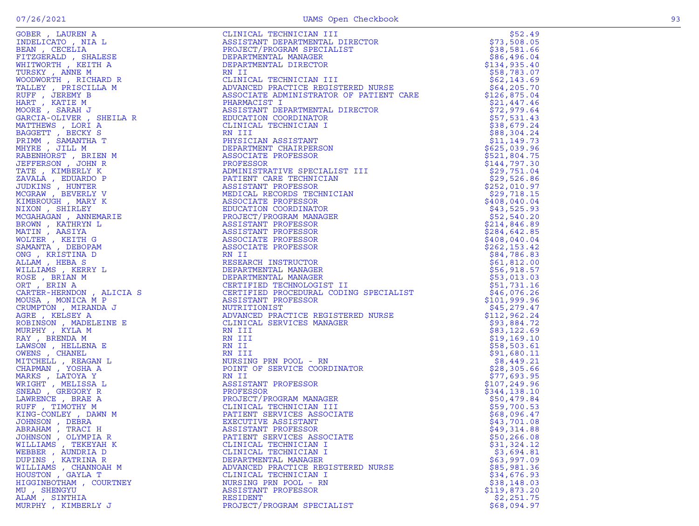| GOBER, LAUREN A                      |                                                                                                                                                                                                                                                      | \$52.49                      |
|--------------------------------------|------------------------------------------------------------------------------------------------------------------------------------------------------------------------------------------------------------------------------------------------------|------------------------------|
| INDELICATO, NIA L                    | NEST TANT DEFARTMENT SPECIALIST<br>DEPARTMENTAL MANAGER<br>DEPARTMENTAL MANAGER<br>DEPARTMENTAL DIRECTOR<br>RN II<br>CLINICAL TECHNICIAN III<br>ADVANCED PRACTICE REGISTERED NURSE<br>ASSISTANT DEPARTMENTAL DIRECTOR<br>PHARMACIST DEPARTMENT       | \$73,508.05                  |
| BEAN, CECELIA                        |                                                                                                                                                                                                                                                      | \$38,581.66                  |
| FITZGERALD, SHALESE                  |                                                                                                                                                                                                                                                      | \$86,496.04                  |
| WHITWORTH, KEITH A                   |                                                                                                                                                                                                                                                      | \$134,935.40                 |
| TURSKY, ANNE M                       |                                                                                                                                                                                                                                                      | \$58,783.07                  |
| WOODWORTH, RICHARD R                 |                                                                                                                                                                                                                                                      | \$62,143.69                  |
| TALLEY, PRISCILLA M                  |                                                                                                                                                                                                                                                      | \$64,205.70                  |
| RUFF , JEREMY B                      |                                                                                                                                                                                                                                                      | \$126,875.04                 |
| HART, KATIE M                        |                                                                                                                                                                                                                                                      | \$21,447.46                  |
| MOORE , SARAH J                      |                                                                                                                                                                                                                                                      | \$72,979.64                  |
| GARCIA-OLIVER , SHEILA R             |                                                                                                                                                                                                                                                      | \$57,531.43                  |
| MATTHEWS, LORI A                     |                                                                                                                                                                                                                                                      | \$38,679.24                  |
| BAGGETT, BECKY S                     |                                                                                                                                                                                                                                                      | \$88,304.24                  |
| PRIMM, SAMANTHA T                    |                                                                                                                                                                                                                                                      | \$11, 149.73                 |
| MHYRE, JILL M                        |                                                                                                                                                                                                                                                      | \$625,039.96                 |
| RABENHORST, BRIEN M                  |                                                                                                                                                                                                                                                      | \$521,804.75                 |
| JEFFERSON, JOHN R                    | AL DIRECTOR<br>R<br>I<br>ON<br>ALIST III<br>ALIST III<br>IAN<br>NICIAN                                                                                                                                                                               | \$144,797.30                 |
| TATE, KIMBERLY K                     |                                                                                                                                                                                                                                                      | \$29,751.04                  |
| ZAVALA, EDUARDO P                    |                                                                                                                                                                                                                                                      | \$29,526.86                  |
| JUDKINS, HUNTER                      |                                                                                                                                                                                                                                                      | \$252,010.97                 |
| MCGRAW, BEVERLY V                    |                                                                                                                                                                                                                                                      | \$29,718.15                  |
| KIMBROUGH, MARY K                    |                                                                                                                                                                                                                                                      | \$408,040.04                 |
| NIXON, SHIRLEY                       |                                                                                                                                                                                                                                                      |                              |
| MCGAHAGAN , ANNEMARIE                |                                                                                                                                                                                                                                                      | \$43,525.93                  |
|                                      |                                                                                                                                                                                                                                                      | \$52,540.20                  |
| BROWN, KATHRYN L                     |                                                                                                                                                                                                                                                      | \$214,846.89                 |
| MATIN, AASIYA                        |                                                                                                                                                                                                                                                      | \$284,642.85<br>\$408,040.04 |
| WOLTER, KEITH G                      |                                                                                                                                                                                                                                                      |                              |
| SAMANTA, DEBOPAM<br>ONG , KRISTINA D |                                                                                                                                                                                                                                                      | \$262, 153.42                |
|                                      |                                                                                                                                                                                                                                                      | \$84,786.83                  |
| ALLAM, HEBA S                        |                                                                                                                                                                                                                                                      | \$61,812.00                  |
| WILLIAMS , KERRY L                   |                                                                                                                                                                                                                                                      | \$56,918.57                  |
| ROSE, BRIAN M                        |                                                                                                                                                                                                                                                      | \$53,013.03                  |
| ORT, ERIN A                          |                                                                                                                                                                                                                                                      | \$51,731.16                  |
| CARTER-HERNDON, ALICIA S             |                                                                                                                                                                                                                                                      | \$46,076.26                  |
| MOUSA, MONICA M P                    |                                                                                                                                                                                                                                                      | \$101,999.96                 |
| CRUMPTON, MIRANDA J                  |                                                                                                                                                                                                                                                      | \$45,279.47                  |
| AGRE , KELSEY A                      |                                                                                                                                                                                                                                                      | \$112,962.24                 |
| ROBINSON, MADELEINE E                |                                                                                                                                                                                                                                                      | \$93,884.72                  |
| MURPHY, KYLA M                       |                                                                                                                                                                                                                                                      | \$83,122.69                  |
| RAY, BRENDA M                        |                                                                                                                                                                                                                                                      | \$19,169.10                  |
| LAWSON, HELLENA E                    |                                                                                                                                                                                                                                                      | \$58,503.61                  |
| OWENS , CHANEL                       |                                                                                                                                                                                                                                                      | \$91,680.11                  |
| MITCHELL , REAGAN L                  |                                                                                                                                                                                                                                                      | \$8,449.21                   |
| CHAPMAN, YOSHA A                     |                                                                                                                                                                                                                                                      | \$28,305.66                  |
| MARKS, LATOYA Y                      |                                                                                                                                                                                                                                                      | \$77,693.95                  |
| WRIGHT, MELISSA L                    |                                                                                                                                                                                                                                                      | \$107,249.96                 |
| SNEAD, GREGORY R                     |                                                                                                                                                                                                                                                      | \$344,138.10                 |
| LAWRENCE, BRAE A                     |                                                                                                                                                                                                                                                      | \$50,479.84                  |
| RUFF, TIMOTHY M                      |                                                                                                                                                                                                                                                      | \$59,700.53                  |
| KING-CONLEY, DAWN M                  |                                                                                                                                                                                                                                                      | \$68,096.47                  |
| JOHNSON, DEBRA                       |                                                                                                                                                                                                                                                      | \$43,701.08                  |
| ABRAHAM, TRACI H                     | A CHINESE SERIES AND MINIMUM IT AN EXAMPLE AND THE MANUSES AND RESERVE AN AN ANOTHER DESCRIPTION OF A REPORT OF A REPORT OF A REPORT OF A REPORT OF A REPORT OF A REPORT OF A REPORT OF A REPORT OF A REPORT OF A REPORT OF A<br>ASSISTANT PROFESSOR | \$49,314.88                  |
| JOHNSON, OLYMPIA R                   | PATIENT SERVICES ASSOCIATE                                                                                                                                                                                                                           | \$50, 266.08                 |
| WILLIAMS, TEKEYAH K                  | CLINICAL TECHNICIAN I                                                                                                                                                                                                                                | \$31,324.12                  |
| WEBBER , AUNDRIA D                   | CLINICAL TECHNICIAN I                                                                                                                                                                                                                                | \$3,694.81                   |
| DUPINS, KATRINA R                    | DEPARTMENTAL MANAGER                                                                                                                                                                                                                                 | \$63,997.09                  |
| WILLIAMS , CHANNOAH M                | ADVANCED PRACTICE REGISTERED NURSE                                                                                                                                                                                                                   | \$85,981.36                  |
| HOUSTON, GAYLA T                     | CLINICAL TECHNICIAN I                                                                                                                                                                                                                                | \$34,676.93                  |
| HIGGINBOTHAM , COURTNEY              | NURSING PRN POOL - RN                                                                                                                                                                                                                                | \$38,148.03                  |
| MU , SHENGYU                         | ASSISTANT PROFESSOR                                                                                                                                                                                                                                  | \$119,873.20                 |
| ALAM, SINTHIA                        | RESIDENT                                                                                                                                                                                                                                             | \$2,251.75                   |
| MURPHY, KIMBERLY J                   | PROJECT/PROGRAM SPECIALIST                                                                                                                                                                                                                           | \$68,094.97                  |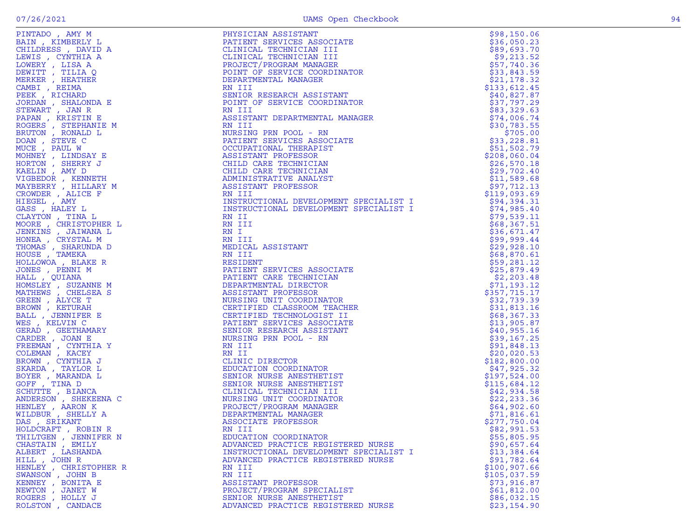| PINTADO, AMY M                            | PHYSICIAN ASSISTANT<br>PATIENT SERVICES ASSOCIATE<br>CLINICAL TECHNICIAN III<br>CLINICAL TECHNICIAN III<br>PROJECT/PROGRAM MANAGER<br>POINT OF SERVICE COORDINATOR<br>DEPARTMENTAL MANAGER<br>RN III<br>SENIOR RESEARCH ASSISTANT<br>POINT OF SE     | \$98,150.06                |
|-------------------------------------------|------------------------------------------------------------------------------------------------------------------------------------------------------------------------------------------------------------------------------------------------------|----------------------------|
| BAIN, KIMBERLY L                          |                                                                                                                                                                                                                                                      | \$36,050.23                |
| CHILDRESS, DAVID A                        |                                                                                                                                                                                                                                                      | \$89,693.70                |
| LEWIS, CYNTHIA A                          |                                                                                                                                                                                                                                                      | \$9,213.52                 |
| LOWERY, LISA A                            |                                                                                                                                                                                                                                                      | \$57,740.36                |
| DEWITT, TILIA Q                           |                                                                                                                                                                                                                                                      | \$33,843.59                |
| MERKER, HEATHER                           |                                                                                                                                                                                                                                                      | \$21,178.32                |
| CAMBI, REIMA                              |                                                                                                                                                                                                                                                      | \$133,612.45               |
| PEEK, RICHARD                             |                                                                                                                                                                                                                                                      | \$40,827.87                |
| JORDAN , SHALONDA E                       |                                                                                                                                                                                                                                                      | \$37,797.29                |
| STEWART, JAN R<br>PAPAN, KRISTIN E        |                                                                                                                                                                                                                                                      | \$83,329.63                |
|                                           |                                                                                                                                                                                                                                                      | \$74,006.74                |
| ROGERS , STEPHANIE M<br>BRUTON , RONALD L | RN III<br>NURSING PRN POOL - RN                                                                                                                                                                                                                      | \$30,783.55<br>\$705.00    |
| DOAN, STEVE C                             | PATIENT SERVICES ASSOCIATE                                                                                                                                                                                                                           | \$33,228.81                |
| MUCE, PAUL W                              | OCCUPATIONAL THERAPIST                                                                                                                                                                                                                               | \$51,502.79                |
| MOHNEY, LINDSAY E                         | ASSISTANT PROFESSOR                                                                                                                                                                                                                                  | \$208,060.04               |
| HORTON, SHERRY J                          | CHILD CARE TECHNICIAN                                                                                                                                                                                                                                | \$26,570.18                |
| KAELIN, AMY D                             | CHILD CARE TECHNICIAN                                                                                                                                                                                                                                | \$29,702.40                |
| VIGBEDOR, KENNETH                         | ADMINISTRATIVE ANALYST                                                                                                                                                                                                                               | \$11,589.68                |
| MAYBERRY , HILLARY M                      | ASSISTANT PROFESSOR                                                                                                                                                                                                                                  | \$97,712.13                |
| CROWDER, ALICE F                          | RN III                                                                                                                                                                                                                                               | \$119,093.69               |
| HIEGEL , AMY                              |                                                                                                                                                                                                                                                      | \$94,394.31                |
| GASS, HALEY L                             |                                                                                                                                                                                                                                                      | \$74,985.40                |
| CLAYTON, TINA L                           | INSTRUCTIONAL DEVELOPMENT SPECIALIST I<br>INSTRUCTIONAL DEVELOPMENT SPECIALIST I<br>RN II                                                                                                                                                            | \$79,539.11                |
| MOORE, CHRISTOPHER L                      | RN III                                                                                                                                                                                                                                               | \$68,367.51                |
| JENKINS , JAIWANA L                       | RN I                                                                                                                                                                                                                                                 | \$36,671.47                |
| HONEA , CRYSTAL M                         |                                                                                                                                                                                                                                                      | \$99,999.44                |
| THOMAS , SHARUNDA D                       |                                                                                                                                                                                                                                                      | \$29,928.10                |
| HOUSE, TAMEKA                             |                                                                                                                                                                                                                                                      | \$68,870.61                |
| HOLLOWOA, BLAKE R                         |                                                                                                                                                                                                                                                      | \$59,281.12                |
| JONES , PENNI M                           | RN II<br>HE RIN II<br>MEDICAL ASSISTANT<br>RESIDENT<br>RESIDENT<br>PATIENT SERVICES ASSOCIATE<br>PATIENT SERVICES ASSOCIATE<br>PATIENT SERVICES ASSOCIATE<br>DEPARTMENTAL DIRECTOR<br>NURSING UNICALSOR<br>NURSING TEORIOLOGIST II<br>PATIENT SERVIC | \$25,879.49                |
| HALL , QUIANA                             |                                                                                                                                                                                                                                                      | \$2,203.48                 |
| HOMSLEY , SUZANNE M                       |                                                                                                                                                                                                                                                      | \$71,193.12                |
| MATHEWS, CHELSEA S                        |                                                                                                                                                                                                                                                      | \$357,715.17               |
| GREEN, ALYCE T                            |                                                                                                                                                                                                                                                      | \$32,739.39                |
| BROWN, KETURAH                            |                                                                                                                                                                                                                                                      | \$31,813.16                |
| BALL , JENNIFER E                         |                                                                                                                                                                                                                                                      | \$68,367.33                |
| WES, KELVIN C                             |                                                                                                                                                                                                                                                      | \$13,905.87                |
| GERAD, GEETHAMARY                         |                                                                                                                                                                                                                                                      | \$40,955.16                |
| CARDER, JOAN E                            |                                                                                                                                                                                                                                                      | \$39,167.25                |
| FREEMAN , CYNTHIA Y<br>COLEMAN, KACEY     |                                                                                                                                                                                                                                                      | \$91,848.13<br>\$20,020.53 |
| BROWN, CYNTHIA J                          |                                                                                                                                                                                                                                                      | \$182,800.00               |
| SKARDA, TAYLOR L                          |                                                                                                                                                                                                                                                      | \$47,925.32                |
| BOYER, MARANDA L                          |                                                                                                                                                                                                                                                      | \$197,524.00               |
| GOFF, TINA D                              |                                                                                                                                                                                                                                                      | \$115,684.12               |
| SCHUTTE, BIANCA                           |                                                                                                                                                                                                                                                      | \$42,934.58                |
| ANDERSON, SHEKEENA C                      |                                                                                                                                                                                                                                                      | \$22, 233.36               |
| HENLEY, AARON K                           |                                                                                                                                                                                                                                                      | \$64,902.60                |
| WILDBUR, SHELLY A                         |                                                                                                                                                                                                                                                      | \$71,816.61                |
| DAS, SRIKANT                              |                                                                                                                                                                                                                                                      | \$277,750.04               |
| HOLDCRAFT, ROBIN R                        | RN III                                                                                                                                                                                                                                               | \$82,991.53                |
| THILTGEN, JENNIFER N                      | EDUCATION COORDINATOR                                                                                                                                                                                                                                | \$55,805.95                |
| CHASTAIN, EMILY                           | ADVANCED PRACTICE REGISTERED NURSE                                                                                                                                                                                                                   | \$90,657.64                |
| ALBERT , LASHANDA                         | INSTRUCTIONAL DEVELOPMENT SPECIALIST I                                                                                                                                                                                                               | \$13,384.64                |
| HILL, JOHN R                              | ADVANCED PRACTICE REGISTERED NURSE                                                                                                                                                                                                                   | \$91,782.64                |
| HENLEY, CHRISTOPHER R                     | RN III                                                                                                                                                                                                                                               | \$100, 907.66              |
| SWANSON, JOHN B                           | RN III                                                                                                                                                                                                                                               | \$105,037.59               |
| KENNEY , BONITA E                         | ASSISTANT PROFESSOR                                                                                                                                                                                                                                  | \$73,916.87                |
| NEWTON, JANET W                           | PROJECT/PROGRAM SPECIALIST                                                                                                                                                                                                                           | \$61,812.00                |
| ROGERS, HOLLY J                           | SENIOR NURSE ANESTHETIST                                                                                                                                                                                                                             | \$86,032.15                |
| ROLSTON, CANDACE                          | ADVANCED PRACTICE REGISTERED NURSE                                                                                                                                                                                                                   | \$23,154.90                |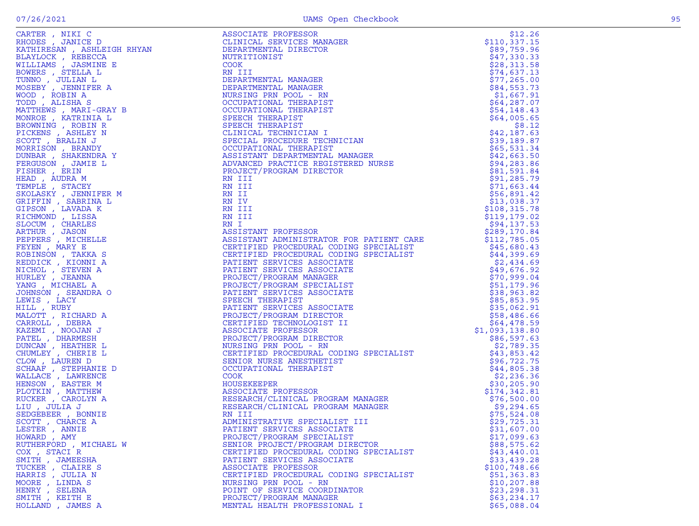| ٠            |        |
|--------------|--------|
|              | .,     |
| ł<br>۰.<br>٠ | $\sim$ |
|              |        |

| LESTER, ANNIE         | PATIENT SERVICES ASSOCIATE             | \$31,607.00  |
|-----------------------|----------------------------------------|--------------|
| HOWARD, AMY           | PROJECT/PROGRAM SPECIALIST             | \$17,099.63  |
| RUTHERFORD, MICHAEL W | SENIOR PROJECT/PROGRAM DIRECTOR        | \$88,575.62  |
| COX, STACIR           | CERTIFIED PROCEDURAL CODING SPECIALIST | \$43,440.01  |
| SMITH, JAMEESHA       | PATIENT SERVICES ASSOCIATE             | \$33,439.28  |
| TUCKER , CLAIRE S     | ASSOCIATE PROFESSOR                    | \$100,748.66 |
| HARRIS, JULIA N       | CERTIFIED PROCEDURAL CODING SPECIALIST | \$51,363.83  |
| MOORE, LINDA S        | NURSING PRN POOL - RN                  | \$10, 207.88 |
| HENRY , SELENA        | POINT OF SERVICE COORDINATOR           | \$23, 298.31 |
| SMITH, KEITH E        | PROJECT/PROGRAM MANAGER                | \$63, 234.17 |
| HOLLAND, JAMES A      | MENTAL HEALTH PROFESSIONAL I           | \$65,088.04  |
|                       |                                        |              |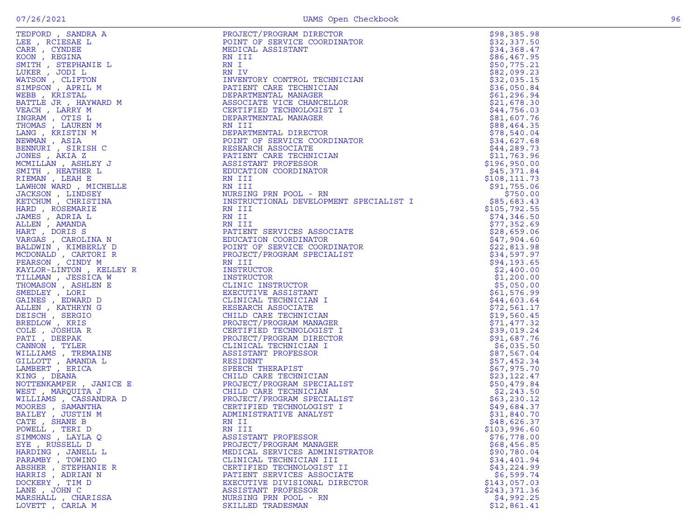| TEDFORD, SANDRA A                                                                                                                                                                                                                                                  | CTOR<br>CHNICIAN<br>CHNICIAN<br>IAN<br>ELLOR<br>ST I<br>R<br>RDINATOR<br>IAN<br>IAN<br>PROJECT/PROGRAM DIRECTOR                                                                                                                                                                        | \$98,385.98   |
|--------------------------------------------------------------------------------------------------------------------------------------------------------------------------------------------------------------------------------------------------------------------|----------------------------------------------------------------------------------------------------------------------------------------------------------------------------------------------------------------------------------------------------------------------------------------|---------------|
| LEE, RCIESAE L                                                                                                                                                                                                                                                     | POINT OF SERVICE COORDINATOR                                                                                                                                                                                                                                                           | \$32,337.50   |
|                                                                                                                                                                                                                                                                    | MEDICAL ASSISTANT                                                                                                                                                                                                                                                                      | \$34,368.47   |
|                                                                                                                                                                                                                                                                    |                                                                                                                                                                                                                                                                                        | \$86,467.95   |
|                                                                                                                                                                                                                                                                    |                                                                                                                                                                                                                                                                                        | \$50,775.21   |
|                                                                                                                                                                                                                                                                    |                                                                                                                                                                                                                                                                                        | \$82,099.23   |
|                                                                                                                                                                                                                                                                    | INVENTORY CONTROL TECHNICIAN                                                                                                                                                                                                                                                           | \$32,035.15   |
|                                                                                                                                                                                                                                                                    | PATIENT CARE TECHNICIAN                                                                                                                                                                                                                                                                | \$36,050.84   |
|                                                                                                                                                                                                                                                                    | DEPARTMENTAL MANAGER                                                                                                                                                                                                                                                                   | \$61, 296.94  |
|                                                                                                                                                                                                                                                                    | ASSOCIATE VICE CHANCELLOR                                                                                                                                                                                                                                                              | \$21,678.30   |
|                                                                                                                                                                                                                                                                    | CERTIFIED TECHNOLOGIST I                                                                                                                                                                                                                                                               | \$44,756.03   |
|                                                                                                                                                                                                                                                                    | DEPARTMENTAL MANAGER                                                                                                                                                                                                                                                                   | \$81,607.76   |
|                                                                                                                                                                                                                                                                    |                                                                                                                                                                                                                                                                                        | \$88,464.35   |
|                                                                                                                                                                                                                                                                    | DEPARTMENTAL DIRECTOR                                                                                                                                                                                                                                                                  |               |
|                                                                                                                                                                                                                                                                    |                                                                                                                                                                                                                                                                                        | \$78,540.04   |
|                                                                                                                                                                                                                                                                    | POINT OF SERVICE COORDINATOR                                                                                                                                                                                                                                                           | \$34,627.68   |
|                                                                                                                                                                                                                                                                    | RESEARCH ASSOCIATE                                                                                                                                                                                                                                                                     | \$44,289.73   |
|                                                                                                                                                                                                                                                                    | PATIENT CARE TECHNICIAN                                                                                                                                                                                                                                                                | \$11,763.96   |
|                                                                                                                                                                                                                                                                    | ASSISTANT PROFESSOR                                                                                                                                                                                                                                                                    | \$196,950.00  |
|                                                                                                                                                                                                                                                                    | EDUCATION COORDINATOR                                                                                                                                                                                                                                                                  | \$45,371.84   |
|                                                                                                                                                                                                                                                                    |                                                                                                                                                                                                                                                                                        | \$108, 111.73 |
|                                                                                                                                                                                                                                                                    |                                                                                                                                                                                                                                                                                        | \$91,755.06   |
|                                                                                                                                                                                                                                                                    | NURSING PRN POOL - RN                                                                                                                                                                                                                                                                  | \$750.00      |
|                                                                                                                                                                                                                                                                    | INSTRUCTIONAL DEVELOPMENT SPECIALIST I                                                                                                                                                                                                                                                 | \$85,683.43   |
|                                                                                                                                                                                                                                                                    |                                                                                                                                                                                                                                                                                        | \$105,792.55  |
|                                                                                                                                                                                                                                                                    |                                                                                                                                                                                                                                                                                        | \$74,346.50   |
|                                                                                                                                                                                                                                                                    |                                                                                                                                                                                                                                                                                        | \$77,352.69   |
|                                                                                                                                                                                                                                                                    | PATIENT SERVICES ASSOCIATE                                                                                                                                                                                                                                                             | \$28,659.06   |
|                                                                                                                                                                                                                                                                    | EDUCATION COORDINATOR                                                                                                                                                                                                                                                                  | \$47,904.60   |
|                                                                                                                                                                                                                                                                    | POINT OF SERVICE COORDINATOR                                                                                                                                                                                                                                                           | \$22,813.98   |
|                                                                                                                                                                                                                                                                    | PROJECT/PROGRAM SPECIALIST                                                                                                                                                                                                                                                             | \$34,597.97   |
| MCDONALD , CARTORI R<br>PEARSON , CINDY M<br>KAYLOR-LINTON , KELLEY R<br>TILLMAN , JESSICA W<br>THOMASON , ASHLEN E<br>SMEDLEY , LORI<br>GAINES , EDWARD D<br>ALLEN , KATHRYNG<br>DEISCH , SERGIO<br>DEISCH , SERGIO<br>COLE , JOSHUA R<br>COLE , JOSHUA R<br>VANN | ASSOCIATE<br>MATOR<br>COORDINATOR<br>SPECIALIST<br>R<br>R<br>NR<br>NAT<br>NICIAN I<br>MANAGER<br>DIRECTOR<br>DIRECTOR<br>CIAN I<br>SSOR<br>T<br>T<br>NICIAN I<br>SSOR<br>T<br>NICIAN I<br>SSOR<br>NRICIALIST<br>MANAGER<br>T<br>NICIAN I<br>SPECIALIST<br>NICIAN<br>M SPECIALIST<br>NI | \$94,193.65   |
|                                                                                                                                                                                                                                                                    |                                                                                                                                                                                                                                                                                        | \$2,400.00    |
|                                                                                                                                                                                                                                                                    |                                                                                                                                                                                                                                                                                        | \$1,200.00    |
|                                                                                                                                                                                                                                                                    | CLINIC INSTRUCTOR                                                                                                                                                                                                                                                                      | \$5,050.00    |
|                                                                                                                                                                                                                                                                    | EXECUTIVE ASSISTANT                                                                                                                                                                                                                                                                    | \$61,576.99   |
|                                                                                                                                                                                                                                                                    | CLINICAL TECHNICIAN I                                                                                                                                                                                                                                                                  | \$44,603.64   |
|                                                                                                                                                                                                                                                                    | RESEARCH ASSOCIATE                                                                                                                                                                                                                                                                     |               |
|                                                                                                                                                                                                                                                                    |                                                                                                                                                                                                                                                                                        | \$72,561.17   |
|                                                                                                                                                                                                                                                                    | CHILD CARE TECHNICIAN                                                                                                                                                                                                                                                                  | \$19,560.45   |
|                                                                                                                                                                                                                                                                    | PROJECT/PROGRAM MANAGER                                                                                                                                                                                                                                                                | \$71,477.32   |
|                                                                                                                                                                                                                                                                    | CERTIFIED TECHNOLOGIST I                                                                                                                                                                                                                                                               | \$39,019.24   |
|                                                                                                                                                                                                                                                                    | PROJECT/PROGRAM DIRECTOR                                                                                                                                                                                                                                                               | \$91,687.76   |
|                                                                                                                                                                                                                                                                    | CLINICAL TECHNICIAN I                                                                                                                                                                                                                                                                  | \$6,035.50    |
|                                                                                                                                                                                                                                                                    | ASSISTANT PROFESSOR                                                                                                                                                                                                                                                                    | \$87,567.04   |
|                                                                                                                                                                                                                                                                    | RESIDENT                                                                                                                                                                                                                                                                               | \$57,452.34   |
|                                                                                                                                                                                                                                                                    | SPEECH THERAPIST                                                                                                                                                                                                                                                                       | \$67,975.70   |
|                                                                                                                                                                                                                                                                    | CHILD CARE TECHNICIAN<br>PROJECT/PROGRAM SPECIALIST<br>CHILD CARE TECHNICIAN<br>PROJECT/PROGRAM SPECIALIST<br>CERTIFIED TECHNOLOGIST I                                                                                                                                                 | \$23,122.47   |
|                                                                                                                                                                                                                                                                    |                                                                                                                                                                                                                                                                                        | \$50,479.84   |
|                                                                                                                                                                                                                                                                    |                                                                                                                                                                                                                                                                                        | \$2,243.50    |
|                                                                                                                                                                                                                                                                    |                                                                                                                                                                                                                                                                                        | \$63,230.12   |
|                                                                                                                                                                                                                                                                    | CERTIFIED TECHNOLOGIST I                                                                                                                                                                                                                                                               | \$49,684.37   |
| BAILEY, JUSTIN M                                                                                                                                                                                                                                                   | ADMINISTRATIVE ANALYST                                                                                                                                                                                                                                                                 | \$31,840.70   |
| CATE , SHANE B                                                                                                                                                                                                                                                     | RN II                                                                                                                                                                                                                                                                                  | \$48,626.37   |
| POWELL, TERI D                                                                                                                                                                                                                                                     | RN III                                                                                                                                                                                                                                                                                 | \$103,996.60  |
| SIMMONS, LAYLA O                                                                                                                                                                                                                                                   | ASSISTANT PROFESSOR                                                                                                                                                                                                                                                                    | \$76,778.00   |
| EYE , RUSSELL D                                                                                                                                                                                                                                                    | PROJECT/PROGRAM MANAGER                                                                                                                                                                                                                                                                | \$68,456.85   |
| HARDING , JANELL L                                                                                                                                                                                                                                                 | MEDICAL SERVICES ADMINISTRATOR                                                                                                                                                                                                                                                         | \$90,780.04   |
| PARAMBY, TOWINO                                                                                                                                                                                                                                                    | CLINICAL TECHNICIAN III                                                                                                                                                                                                                                                                | \$34,401.94   |
| ABSHER , STEPHANIE R                                                                                                                                                                                                                                               | CERTIFIED TECHNOLOGIST II                                                                                                                                                                                                                                                              | \$43,224.99   |
| HARRIS, ADRIAN N                                                                                                                                                                                                                                                   | PATIENT SERVICES ASSOCIATE                                                                                                                                                                                                                                                             | \$6,599.74    |
| DOCKERY, TIM D                                                                                                                                                                                                                                                     | EXECUTIVE DIVISIONAL DIRECTOR                                                                                                                                                                                                                                                          | \$143,057.03  |
| LANE, JOHN C                                                                                                                                                                                                                                                       | ASSISTANT PROFESSOR                                                                                                                                                                                                                                                                    | \$243,371.36  |
| MARSHALL , CHARISSA                                                                                                                                                                                                                                                | NURSING PRN POOL - RN                                                                                                                                                                                                                                                                  | \$4,992.25    |
| LOVETT, CARLA M                                                                                                                                                                                                                                                    | SKILLED TRADESMAN                                                                                                                                                                                                                                                                      | \$12,861.41   |
|                                                                                                                                                                                                                                                                    |                                                                                                                                                                                                                                                                                        |               |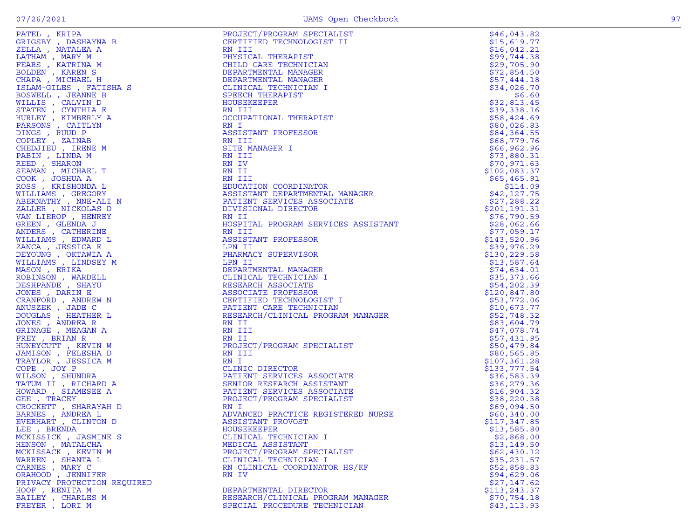| ۰.<br>٠ |  |
|---------|--|
|         |  |

| PATEL, KRIPA                | PROJECT/PROGRAM SPECIALIST                                                                                                             | \$46,043.82   |
|-----------------------------|----------------------------------------------------------------------------------------------------------------------------------------|---------------|
| GRIGSBY, DASHAYNA B         | CERTIFIED TECHNOLOGIST II                                                                                                              | \$15,619.77   |
| ZELLA , NATALEA A           | RN III                                                                                                                                 | \$16,042.21   |
| LATHAM, MARY M              | PHYSICAL THERAPIST                                                                                                                     | \$99,744.38   |
|                             |                                                                                                                                        |               |
| FEARS, KATRINA M            | CHILD CARE TECHNICIAN                                                                                                                  | \$29,705.90   |
| BOLDEN, KAREN S             | DEPARTMENTAL MANAGER                                                                                                                   | \$72,854.50   |
| CHAPA, MICHAEL H            | DEPARTMENTAL MANAGER                                                                                                                   | \$57,444.18   |
|                             | CLINICAL TECHNICIAN I                                                                                                                  |               |
| ISLAM-GILES , FATISHA S     |                                                                                                                                        | \$34,026.70   |
| BOSWELL , JEANNE B          | SPEECH THERAPIST                                                                                                                       | \$6.60        |
| WILLIS , CALVIN D           | HOUSEKEEPER                                                                                                                            | \$32,813.45   |
| STATEN, CYNTHIA E           | RN III                                                                                                                                 | \$39,338.16   |
|                             |                                                                                                                                        |               |
| HURLEY, KIMBERLY A          | OCCUPATIONAL THERAPIST                                                                                                                 | \$58,424.69   |
| PARSONS , CAITLYN           | RN I                                                                                                                                   | \$80,026.83   |
| DINGS, RUUD P               | ASSISTANT PROFESSOR                                                                                                                    | \$84,364.55   |
|                             |                                                                                                                                        |               |
| COPLEY, ZAINAB              | RN III                                                                                                                                 | \$68,779.76   |
| CHEDJIEU, IRENE M           | SITE MANAGER I                                                                                                                         | \$66,962.96   |
| PABIN, LINDA M              | RN III                                                                                                                                 | \$73,880.31   |
|                             |                                                                                                                                        |               |
| REED, SHARON                | RN IV                                                                                                                                  | \$70,971.63   |
| SEAMAN, MICHAEL T           | RN II                                                                                                                                  | \$102,083.37  |
| COOK, JOSHUA A              | RN III                                                                                                                                 | \$65,465.91   |
| ROSS , KRISHONDA L          |                                                                                                                                        |               |
|                             | EDUCATION COORDINATOR                                                                                                                  | \$114.09      |
| WILLIAMS , GREGORY          | EDUCATION COOKDINATOR<br>ASSISTANT DEPARTMENTAL MANA<br>PATIENT SERVICES ASSOCIATE<br>ASSISTANT DEPARTMENTAL MANAGER                   | \$42,127.75   |
| ABERNATHY, NNE-ALI N        |                                                                                                                                        | \$27, 288.22  |
| ZALLER , NICKOLAS D         | DIVISIONAL DIRECTOR                                                                                                                    |               |
|                             |                                                                                                                                        | \$201,191.31  |
| VAN LIEROP , HENREY         | RN II                                                                                                                                  | \$76,790.59   |
| GREEN, GLENDA J             | HOSPITAL PROGRAM SERVICES ASSISTANT                                                                                                    | \$28,062.66   |
| ANDERS, CATHERINE           | RN III                                                                                                                                 | \$77,059.17   |
|                             |                                                                                                                                        |               |
| WILLIAMS, EDWARD L          | ASSISTANT PROFESSOR                                                                                                                    | \$143,520.96  |
| ZANCA, JESSICA E            | LPN II                                                                                                                                 | \$39,976.29   |
| DEYOUNG, OKTAWIA A          | PHARMACY SUPERVISOR                                                                                                                    | \$130,229.58  |
|                             |                                                                                                                                        |               |
| WILLIAMS , LINDSEY M        | LPN II                                                                                                                                 | \$13,587.64   |
| MASON, ERIKA                | DEPARTMENTAL MANAGER                                                                                                                   | \$74,634.01   |
| ROBINSON, WARDELL           | CLINICAL TECHNICIAN I                                                                                                                  | \$35,373.66   |
|                             |                                                                                                                                        |               |
| DESHPANDE, SHAYU            | RESEARCH ASSOCIATE                                                                                                                     | \$54,202.39   |
| JONES , DARIN E             | ASSOCIATE PROFESSOR<br>ASSOCIATE PROFESSOR<br>CERTIFIED TECHNOLOGIST I<br>PATIENT CARE TECHNICIAN<br>RESEARCH/CLINICAL PROGRAM MANAGER | \$120,847.80  |
| CRANFORD, ANDREW N          |                                                                                                                                        | \$53,772.06   |
|                             |                                                                                                                                        |               |
| ANUSZEK, JADE C             |                                                                                                                                        | \$10,673.77   |
| DOUGLAS, HEATHER L          |                                                                                                                                        | \$52,748.32   |
| JONES, ANDREA R             | RN II                                                                                                                                  | \$83,604.79   |
| GRINAGE, MEAGAN A           | RN III                                                                                                                                 | \$47,078.74   |
|                             |                                                                                                                                        |               |
| FREY, BRIAN R               | RN II                                                                                                                                  | \$57,431.95   |
| HUNEYCUTT, KEVIN W          | PROJECT/PROGRAM SPECIALIST                                                                                                             | \$50,479.84   |
| JAMISON, FELESHA D          | RN III                                                                                                                                 | \$80,565.85   |
|                             |                                                                                                                                        |               |
| TRAYLOR, JESSICA M          | RN I                                                                                                                                   | \$107,361.28  |
| COPE, JOY P                 | CLINIC DIRECTOR                                                                                                                        | \$133,777.54  |
| WILSON, SHUNDRA             | PATIENT SERVICES ASSOCIATE                                                                                                             | \$36,583.39   |
| TATUM II , RICHARD A        | SENIOR RESEARCH ASSISTANT                                                                                                              | \$36, 279.36  |
|                             |                                                                                                                                        |               |
| HOWARD, SIAMESEE A          |                                                                                                                                        | \$16,904.32   |
| GEE, TRACEY                 | PATIENT SERVICES ASSOCIATE<br>PROJECT/PROGRAM SPECIALIST                                                                               | \$38, 220.38  |
| CROCKETT, SHARAYAH D        | RN I                                                                                                                                   | \$69,094.50   |
|                             |                                                                                                                                        |               |
| BARNES, ANDREA L            | ADVANCED PRACTICE REGISTERED NURSE                                                                                                     | \$60,340.00   |
| EVERHART , CLINTON D        | ASSISTANT PROVOST                                                                                                                      | \$117,347.85  |
| LEE , BRENDA                | HOUSEKEEPER                                                                                                                            | \$13,585.80   |
|                             |                                                                                                                                        |               |
| MCKISSICK, JASMINE S        | CLINICAL TECHNICIAN I                                                                                                                  | \$2,868.00    |
| HENSON, MATALCHA            | MEDICAL ASSISTANT                                                                                                                      | \$13, 149.50  |
| MCKISSACK, KEVIN M          | PROJECT/PROGRAM SPECIALIST                                                                                                             | \$62,430.12   |
| WARREN, SHANTA L            | CLINICAL TECHNICIAN I                                                                                                                  | \$35,231.57   |
|                             |                                                                                                                                        |               |
| CARNES, MARY C              | RN CLINICAL COORDINATOR HS/KF                                                                                                          | \$52,858.83   |
| ORAHOOD , JENNIFER          | RN IV                                                                                                                                  | \$94,629.06   |
| PRIVACY PROTECTION REQUIRED |                                                                                                                                        | \$27,147.62   |
|                             |                                                                                                                                        |               |
| HOOF , RENITA M             | DEPARTMENTAL DIRECTOR                                                                                                                  | \$113, 243.37 |
| BAILEY, CHARLES M           | RESEARCH/CLINICAL PROGRAM MANAGER                                                                                                      | \$70,754.18   |
| FREYER, LORI M              | SPECIAL PROCEDURE TECHNICIAN                                                                                                           | \$43, 113.93  |
|                             |                                                                                                                                        |               |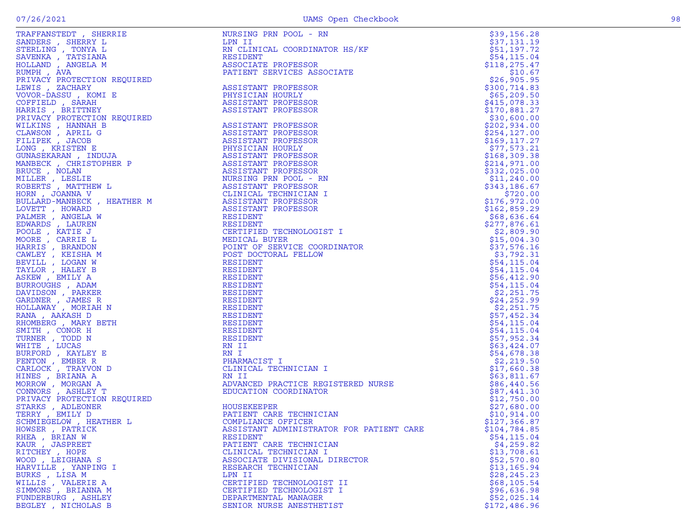| TRAFFANSTEDT, SHERRIE       | NURSING PRN POOL - RN                    | \$39,156.28               |
|-----------------------------|------------------------------------------|---------------------------|
| SANDERS, SHERRY L           | LPN II                                   | \$37,131.19               |
| STERLING , TONYA L          | RN CLINICAL COORDINATOR HS/KF            | \$51,197.72               |
| SAVENKA, TATSIANA           | RESIDENT                                 | \$54,115.04               |
| HOLLAND , ANGELA M          | ASSOCIATE PROFESSOR                      | \$118,275.47              |
| RUMPH, AVA                  | PATIENT SERVICES ASSOCIATE               | \$10.67                   |
|                             |                                          | \$26,905.95               |
|                             |                                          | \$300,714.83              |
|                             |                                          | \$65,209.50               |
|                             |                                          | \$415,078.33              |
|                             |                                          | \$170,881.27              |
| PRIVACY PROTECTION REQUIRED |                                          | \$30,600.00               |
|                             |                                          | \$202,934.00              |
|                             |                                          | \$254, 127.00             |
|                             |                                          | \$169, 117.27             |
|                             |                                          | \$77,573.21               |
|                             |                                          | \$168,309.38              |
|                             |                                          | \$214,971.00              |
|                             |                                          | \$332,025.00              |
|                             | NURSING PRN POOL - RN                    | \$11,240.00               |
|                             |                                          | \$343,186.67              |
|                             | CLINICAL TECHNICIAN I                    | \$720.00                  |
|                             |                                          | \$176,972.00              |
|                             |                                          | \$162,859.29              |
| PALMER, ANGELA W            | RESIDENT                                 | \$68,636.64               |
| EDWARDS, LAUREN             | RESIDENT                                 |                           |
| POOLE, KATIE J              | CERTIFIED TECHNOLOGIST I                 | \$277,876.61              |
| MOORE , CARRIE L            | MEDICAL BUYER                            | \$2,809.90<br>\$15,004.30 |
|                             |                                          | \$37,576.16               |
| HARRIS, BRANDON             | POINT OF SERVICE COORDINATOR             |                           |
| CAWLEY, KEISHA M            | POST DOCTORAL FELLOW                     | \$3,792.31                |
| BEVILL, LOGAN W             | RESIDENT                                 | \$54,115.04               |
| TAYLOR , HALEY B            | RESIDENT                                 | \$54,115.04               |
| ASKEW, EMILY A              | RESIDENT                                 | \$56,412.90               |
| BURROUGHS, ADAM             | RESIDENT                                 | \$54, 115.04              |
| DAVIDSON, PARKER            | RESIDENT                                 | \$2,251.75                |
| GARDNER, JAMES R            | RESIDENT                                 | \$24, 252.99              |
| HOLLAWAY, MORIAH N          | RESIDENT                                 | \$2,251.75                |
| RANA, AAKASH D              | RESIDENT                                 | \$57,452.34               |
| RHOMBERG , MARY BETH        | RESIDENT                                 | \$54,115.04               |
| SMITH, CONOR H              | RESIDENT                                 | \$54,115.04               |
| TURNER , TODD N             | RESIDENT                                 | \$57,952.34               |
| WHITE , LUCAS               | RN II                                    | \$63,424.07               |
| BURFORD, KAYLEY E           | RN I                                     | \$54,678.38               |
| FENTON, EMBER R             | PHARMACIST I                             | \$2,219.50                |
| CARLOCK , TRAYVON D         | CLINICAL TECHNICIAN I                    | \$17,660.38               |
| HINES, BRIANA A             | RN II                                    | \$63,811.67               |
| MORROW, MORGAN A            | ADVANCED PRACTICE REGISTERED NURSE       | \$86,440.56               |
| CONNORS, ASHLEY T           | EDUCATION COORDINATOR                    | \$87,441.30               |
| PRIVACY PROTECTION REQUIRED |                                          | \$12,750.00               |
| STARKS, ADLEONER            | HOUSEKEEPER                              | \$27,680.00               |
| TERRY, EMILY D              | PATIENT CARE TECHNICIAN                  | \$10,914.00               |
| SCHMIEGELOW, HEATHER L      | COMPLIANCE OFFICER                       | \$127,366.87              |
| HOWSER, PATRICK             | ASSISTANT ADMINISTRATOR FOR PATIENT CARE | \$104,784.85              |
| RHEA, BRIAN W               | RESIDENT                                 | \$54, 115.04              |
| KAUR, JASPREET              | PATIENT CARE TECHNICIAN                  | \$4,259.82                |
| RITCHEY, HOPE               | CLINICAL TECHNICIAN I                    | \$13,708.61               |
| WOOD, LEIGHANA S            | ASSOCIATE DIVISIONAL DIRECTOR            | \$52,570.80               |
| HARVILLE, YANPING I         | RESEARCH TECHNICIAN                      | \$13, 165.94              |
| BURKS, LISA M               | LPN II                                   | \$28,245.23               |
| WILLIS, VALERIE A           | CERTIFIED TECHNOLOGIST II                | \$68,105.54               |
| SIMMONS, BRIANNA M          | CERTIFIED TECHNOLOGIST I                 | \$96,636.98               |
| FUNDERBURG , ASHLEY         | DEPARTMENTAL MANAGER                     | \$52,025.14               |
| BEGLEY, NICHOLAS B          | SENIOR NURSE ANESTHETIST                 | \$172,486.96              |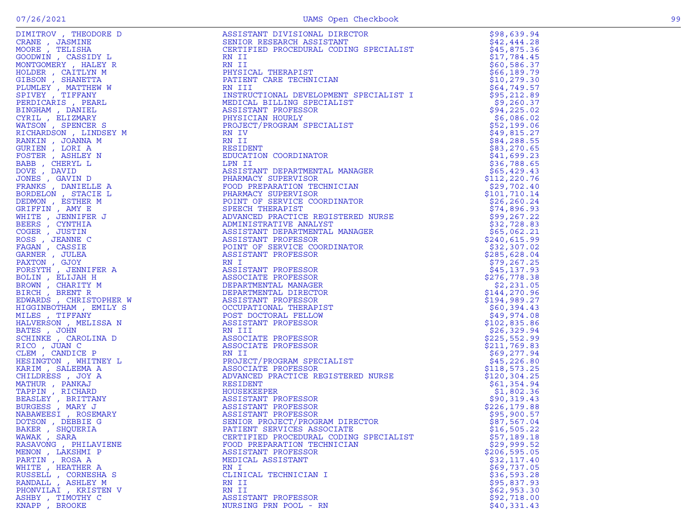|                                                                                                                                                                                                                                                                                                                                                                                                                                                                                                                 | ASSISTANT DIVISIONAL DIRECTOR                                                                                                                                                                                                                                   | \$98,639.94   |
|-----------------------------------------------------------------------------------------------------------------------------------------------------------------------------------------------------------------------------------------------------------------------------------------------------------------------------------------------------------------------------------------------------------------------------------------------------------------------------------------------------------------|-----------------------------------------------------------------------------------------------------------------------------------------------------------------------------------------------------------------------------------------------------------------|---------------|
|                                                                                                                                                                                                                                                                                                                                                                                                                                                                                                                 |                                                                                                                                                                                                                                                                 | \$42,444.28   |
|                                                                                                                                                                                                                                                                                                                                                                                                                                                                                                                 |                                                                                                                                                                                                                                                                 |               |
| CRANE, JASMINE<br>MOORE, TELISHA<br>GOODWIN, CASSIDY L<br>GOODWIN, CASSIDY L<br>MONTGOMERY RAILEY R<br>10LDER , CAITLYN M<br>HIBSON , SHANETTA<br>"LUMLEY , MATTHEW W<br>FIVEY , TIFFANY<br>ERDICARES, PEARL<br>INGHAM , DANIEL<br>"RIL , ELIZMARY &                                                                                                                                                                                                                                                            | ASSISTANI DIVISIONAL LINLOION<br>SENIOR RESEARCH ASSISTANT<br>CERTIFIED PROCEDURAL CODING SPECIALIST                                                                                                                                                            | \$45,875.36   |
|                                                                                                                                                                                                                                                                                                                                                                                                                                                                                                                 | RN II                                                                                                                                                                                                                                                           |               |
|                                                                                                                                                                                                                                                                                                                                                                                                                                                                                                                 |                                                                                                                                                                                                                                                                 | \$17,784.45   |
|                                                                                                                                                                                                                                                                                                                                                                                                                                                                                                                 | NN 11<br>PHYSICAL THERAPIST<br>PATIENT CARE TECHNICIAN<br>RN III                                                                                                                                                                                                | \$60,586.37   |
|                                                                                                                                                                                                                                                                                                                                                                                                                                                                                                                 |                                                                                                                                                                                                                                                                 |               |
|                                                                                                                                                                                                                                                                                                                                                                                                                                                                                                                 |                                                                                                                                                                                                                                                                 | \$66,189.79   |
|                                                                                                                                                                                                                                                                                                                                                                                                                                                                                                                 |                                                                                                                                                                                                                                                                 | \$10, 279.30  |
|                                                                                                                                                                                                                                                                                                                                                                                                                                                                                                                 |                                                                                                                                                                                                                                                                 |               |
|                                                                                                                                                                                                                                                                                                                                                                                                                                                                                                                 |                                                                                                                                                                                                                                                                 | \$64,749.57   |
|                                                                                                                                                                                                                                                                                                                                                                                                                                                                                                                 | INSTRE<br>MEDICAL BILL<br>ASSISTANT PROFESL<br>PHYSICT/PROGRAM<br>PROJECT/PROGRAM<br>RN IV<br>NN II<br>TTRENT<br>INSTRUCTIONAL DEVELOPMENT SPECIALIST<br>MEDICAL BILLING SPECIALIST<br>ASSISTANT PROFESSOR<br>PHYSICIAN HOURLY<br>PROJECT/PROGRAM SPECIALIST    | \$95,212.89   |
|                                                                                                                                                                                                                                                                                                                                                                                                                                                                                                                 |                                                                                                                                                                                                                                                                 |               |
|                                                                                                                                                                                                                                                                                                                                                                                                                                                                                                                 |                                                                                                                                                                                                                                                                 | \$9,260.37    |
|                                                                                                                                                                                                                                                                                                                                                                                                                                                                                                                 |                                                                                                                                                                                                                                                                 | \$94,225.02   |
|                                                                                                                                                                                                                                                                                                                                                                                                                                                                                                                 |                                                                                                                                                                                                                                                                 |               |
|                                                                                                                                                                                                                                                                                                                                                                                                                                                                                                                 |                                                                                                                                                                                                                                                                 | \$6,086.02    |
|                                                                                                                                                                                                                                                                                                                                                                                                                                                                                                                 |                                                                                                                                                                                                                                                                 |               |
|                                                                                                                                                                                                                                                                                                                                                                                                                                                                                                                 |                                                                                                                                                                                                                                                                 | \$52,199.06   |
|                                                                                                                                                                                                                                                                                                                                                                                                                                                                                                                 |                                                                                                                                                                                                                                                                 | \$49,815.27   |
|                                                                                                                                                                                                                                                                                                                                                                                                                                                                                                                 |                                                                                                                                                                                                                                                                 |               |
|                                                                                                                                                                                                                                                                                                                                                                                                                                                                                                                 |                                                                                                                                                                                                                                                                 | \$84, 288.55  |
|                                                                                                                                                                                                                                                                                                                                                                                                                                                                                                                 |                                                                                                                                                                                                                                                                 | \$83,270.65   |
|                                                                                                                                                                                                                                                                                                                                                                                                                                                                                                                 |                                                                                                                                                                                                                                                                 |               |
| FOSTER, ASHLEY N                                                                                                                                                                                                                                                                                                                                                                                                                                                                                                | ASSISTANT DEPARTMENTAL MANAGER<br>ASSISTANT DEPARTMENTAL MANAGER<br>PHARMACY SUPERVISOR<br>PHARMACY SUPERVISOR<br>PHARMACY SUPERVISOR<br>PHARMACY SUPERVISOR<br>DEPART OF SERVICE COORDINATOR<br>SPEECH THERAPIST<br>ADVANCED PRACTICE REGISTE                  | \$41,699.23   |
|                                                                                                                                                                                                                                                                                                                                                                                                                                                                                                                 |                                                                                                                                                                                                                                                                 |               |
| BABB , CHERYL L                                                                                                                                                                                                                                                                                                                                                                                                                                                                                                 |                                                                                                                                                                                                                                                                 | \$36,788.65   |
| DOVE, DAVID                                                                                                                                                                                                                                                                                                                                                                                                                                                                                                     |                                                                                                                                                                                                                                                                 | \$65,429.43   |
|                                                                                                                                                                                                                                                                                                                                                                                                                                                                                                                 |                                                                                                                                                                                                                                                                 |               |
| JONES , GAVIN D                                                                                                                                                                                                                                                                                                                                                                                                                                                                                                 |                                                                                                                                                                                                                                                                 | \$112,220.76  |
| FRANKS, DANIELLE A                                                                                                                                                                                                                                                                                                                                                                                                                                                                                              |                                                                                                                                                                                                                                                                 | \$29,702.40   |
|                                                                                                                                                                                                                                                                                                                                                                                                                                                                                                                 |                                                                                                                                                                                                                                                                 |               |
| BORDELON, STACIE L                                                                                                                                                                                                                                                                                                                                                                                                                                                                                              |                                                                                                                                                                                                                                                                 | \$101,710.14  |
| DEDMON, ESTHER M                                                                                                                                                                                                                                                                                                                                                                                                                                                                                                |                                                                                                                                                                                                                                                                 | \$26,260.24   |
|                                                                                                                                                                                                                                                                                                                                                                                                                                                                                                                 |                                                                                                                                                                                                                                                                 |               |
| GRIFFIN, AMY E                                                                                                                                                                                                                                                                                                                                                                                                                                                                                                  |                                                                                                                                                                                                                                                                 | \$74,896.93   |
|                                                                                                                                                                                                                                                                                                                                                                                                                                                                                                                 |                                                                                                                                                                                                                                                                 |               |
| WHITE , JENNIFER J                                                                                                                                                                                                                                                                                                                                                                                                                                                                                              |                                                                                                                                                                                                                                                                 | \$99,267.22   |
|                                                                                                                                                                                                                                                                                                                                                                                                                                                                                                                 |                                                                                                                                                                                                                                                                 | \$32,728.83   |
|                                                                                                                                                                                                                                                                                                                                                                                                                                                                                                                 |                                                                                                                                                                                                                                                                 |               |
|                                                                                                                                                                                                                                                                                                                                                                                                                                                                                                                 |                                                                                                                                                                                                                                                                 | \$65,062.21   |
|                                                                                                                                                                                                                                                                                                                                                                                                                                                                                                                 |                                                                                                                                                                                                                                                                 | \$240,615.99  |
|                                                                                                                                                                                                                                                                                                                                                                                                                                                                                                                 |                                                                                                                                                                                                                                                                 |               |
|                                                                                                                                                                                                                                                                                                                                                                                                                                                                                                                 |                                                                                                                                                                                                                                                                 | \$32,307.02   |
|                                                                                                                                                                                                                                                                                                                                                                                                                                                                                                                 |                                                                                                                                                                                                                                                                 | \$285,628.04  |
|                                                                                                                                                                                                                                                                                                                                                                                                                                                                                                                 |                                                                                                                                                                                                                                                                 |               |
|                                                                                                                                                                                                                                                                                                                                                                                                                                                                                                                 |                                                                                                                                                                                                                                                                 | \$79,267.25   |
|                                                                                                                                                                                                                                                                                                                                                                                                                                                                                                                 |                                                                                                                                                                                                                                                                 |               |
|                                                                                                                                                                                                                                                                                                                                                                                                                                                                                                                 |                                                                                                                                                                                                                                                                 | \$45,137.93   |
|                                                                                                                                                                                                                                                                                                                                                                                                                                                                                                                 |                                                                                                                                                                                                                                                                 | \$276,778.38  |
|                                                                                                                                                                                                                                                                                                                                                                                                                                                                                                                 |                                                                                                                                                                                                                                                                 |               |
|                                                                                                                                                                                                                                                                                                                                                                                                                                                                                                                 |                                                                                                                                                                                                                                                                 | \$2,231.05    |
|                                                                                                                                                                                                                                                                                                                                                                                                                                                                                                                 |                                                                                                                                                                                                                                                                 | \$144,270.96  |
|                                                                                                                                                                                                                                                                                                                                                                                                                                                                                                                 |                                                                                                                                                                                                                                                                 |               |
|                                                                                                                                                                                                                                                                                                                                                                                                                                                                                                                 |                                                                                                                                                                                                                                                                 | \$194,989.27  |
|                                                                                                                                                                                                                                                                                                                                                                                                                                                                                                                 |                                                                                                                                                                                                                                                                 |               |
|                                                                                                                                                                                                                                                                                                                                                                                                                                                                                                                 |                                                                                                                                                                                                                                                                 | \$60,394.43   |
|                                                                                                                                                                                                                                                                                                                                                                                                                                                                                                                 |                                                                                                                                                                                                                                                                 | \$49,974.08   |
|                                                                                                                                                                                                                                                                                                                                                                                                                                                                                                                 |                                                                                                                                                                                                                                                                 |               |
|                                                                                                                                                                                                                                                                                                                                                                                                                                                                                                                 |                                                                                                                                                                                                                                                                 | \$102,835.86  |
|                                                                                                                                                                                                                                                                                                                                                                                                                                                                                                                 |                                                                                                                                                                                                                                                                 | \$26,329.94   |
|                                                                                                                                                                                                                                                                                                                                                                                                                                                                                                                 |                                                                                                                                                                                                                                                                 |               |
|                                                                                                                                                                                                                                                                                                                                                                                                                                                                                                                 |                                                                                                                                                                                                                                                                 | \$225,552.99  |
|                                                                                                                                                                                                                                                                                                                                                                                                                                                                                                                 |                                                                                                                                                                                                                                                                 | \$211,769.83  |
|                                                                                                                                                                                                                                                                                                                                                                                                                                                                                                                 |                                                                                                                                                                                                                                                                 |               |
|                                                                                                                                                                                                                                                                                                                                                                                                                                                                                                                 |                                                                                                                                                                                                                                                                 | \$69,277.94   |
|                                                                                                                                                                                                                                                                                                                                                                                                                                                                                                                 |                                                                                                                                                                                                                                                                 | \$45,226.80   |
|                                                                                                                                                                                                                                                                                                                                                                                                                                                                                                                 |                                                                                                                                                                                                                                                                 |               |
|                                                                                                                                                                                                                                                                                                                                                                                                                                                                                                                 |                                                                                                                                                                                                                                                                 | \$118,573.25  |
|                                                                                                                                                                                                                                                                                                                                                                                                                                                                                                                 |                                                                                                                                                                                                                                                                 |               |
| FR $\mu$ B . JENNIFER .<br>S . CYNTHIA .<br>S . CYNTHIA .<br>S . JENNIFER .<br>ASSISIANT OF SERVICE .<br>AN . CASSIE .<br>AN . CASSIE .<br>ARE .<br>AN . STRIT .<br>AN . THAT TO A SSISIANT PROFESSOR .<br>AN . THAT TY . ASSISITANT PROF<br>SCHIMAL , CAROLINA D<br>RICO , JUAN C<br>CLEM , CANDICE P<br>HESINGTON , WHITNEY L<br>KARIM , SALEEMA A<br>CHILDRESS , JOY A<br>MATHUR , PANKAJ<br>TAPPIN , RICHARD<br>BEASLEY , BRITTANY<br>BURGESS , MARY J<br>NABAWEESI , ROSEMARY<br>DOTSON , DEBBIE G<br>PAKE | ASSOCIATE PROFESSOR<br>RN II<br>PROJECT/PROGRAM SPECIALIST<br>ASSOCIATE PROFESSOR<br>ADVANCED PRACTICE REGISTERED NURSE<br>RESIDENT<br>HOUSEKEEPER<br>ASSISTANT PROFESSOR<br>ASSISTANT PROFESSOR<br>ASSISTANT PROFESSOR<br>ASSISTANT PROFESSOR<br>SENIOR PROJEC | \$120, 304.25 |
|                                                                                                                                                                                                                                                                                                                                                                                                                                                                                                                 |                                                                                                                                                                                                                                                                 | \$61,354.94   |
|                                                                                                                                                                                                                                                                                                                                                                                                                                                                                                                 |                                                                                                                                                                                                                                                                 |               |
|                                                                                                                                                                                                                                                                                                                                                                                                                                                                                                                 |                                                                                                                                                                                                                                                                 | \$1,802.36    |
|                                                                                                                                                                                                                                                                                                                                                                                                                                                                                                                 |                                                                                                                                                                                                                                                                 | \$90,319.43   |
|                                                                                                                                                                                                                                                                                                                                                                                                                                                                                                                 |                                                                                                                                                                                                                                                                 |               |
|                                                                                                                                                                                                                                                                                                                                                                                                                                                                                                                 |                                                                                                                                                                                                                                                                 | \$226,179.88  |
|                                                                                                                                                                                                                                                                                                                                                                                                                                                                                                                 |                                                                                                                                                                                                                                                                 |               |
|                                                                                                                                                                                                                                                                                                                                                                                                                                                                                                                 |                                                                                                                                                                                                                                                                 | \$95,900.57   |
|                                                                                                                                                                                                                                                                                                                                                                                                                                                                                                                 |                                                                                                                                                                                                                                                                 | \$87,567.04   |
|                                                                                                                                                                                                                                                                                                                                                                                                                                                                                                                 |                                                                                                                                                                                                                                                                 |               |
| BAKER , SHQUERIA                                                                                                                                                                                                                                                                                                                                                                                                                                                                                                | PATIENT SERVICES ASSOCIATE                                                                                                                                                                                                                                      | \$16, 505.22  |
| WAWAK, SARA                                                                                                                                                                                                                                                                                                                                                                                                                                                                                                     | CERTIFIED PROCEDURAL CODING SPECIALIST                                                                                                                                                                                                                          | \$57,189.18   |
|                                                                                                                                                                                                                                                                                                                                                                                                                                                                                                                 |                                                                                                                                                                                                                                                                 |               |
| RASAVONG , PHILAVIENE                                                                                                                                                                                                                                                                                                                                                                                                                                                                                           | FOOD PREPARATION TECHNICIAN                                                                                                                                                                                                                                     | \$29,999.52   |
| MENON, LAKSHMI P                                                                                                                                                                                                                                                                                                                                                                                                                                                                                                | ASSISTANT PROFESSOR                                                                                                                                                                                                                                             | \$206,595.05  |
|                                                                                                                                                                                                                                                                                                                                                                                                                                                                                                                 |                                                                                                                                                                                                                                                                 |               |
| PARTIN, ROSA A                                                                                                                                                                                                                                                                                                                                                                                                                                                                                                  | MEDICAL ASSISTANT                                                                                                                                                                                                                                               | \$32,117.40   |
| WHITE , HEATHER A                                                                                                                                                                                                                                                                                                                                                                                                                                                                                               | RN I                                                                                                                                                                                                                                                            | \$69,737.05   |
|                                                                                                                                                                                                                                                                                                                                                                                                                                                                                                                 |                                                                                                                                                                                                                                                                 |               |
| RUSSELL , CORNESHA S                                                                                                                                                                                                                                                                                                                                                                                                                                                                                            | CLINICAL TECHNICIAN I                                                                                                                                                                                                                                           | \$36,593.28   |
|                                                                                                                                                                                                                                                                                                                                                                                                                                                                                                                 |                                                                                                                                                                                                                                                                 |               |
| RANDALL, ASHLEY M                                                                                                                                                                                                                                                                                                                                                                                                                                                                                               | RN II                                                                                                                                                                                                                                                           | \$95,837.93   |
| PHONVILAI , KRISTEN V                                                                                                                                                                                                                                                                                                                                                                                                                                                                                           | RN II                                                                                                                                                                                                                                                           | \$62,953.30   |
|                                                                                                                                                                                                                                                                                                                                                                                                                                                                                                                 |                                                                                                                                                                                                                                                                 |               |
| ASHBY, TIMOTHY C                                                                                                                                                                                                                                                                                                                                                                                                                                                                                                | ASSISTANT PROFESSOR                                                                                                                                                                                                                                             | \$92,718.00   |
| KNAPP, BROOKE                                                                                                                                                                                                                                                                                                                                                                                                                                                                                                   | NURSING PRN POOL - RN                                                                                                                                                                                                                                           | \$40,331.43   |
|                                                                                                                                                                                                                                                                                                                                                                                                                                                                                                                 |                                                                                                                                                                                                                                                                 |               |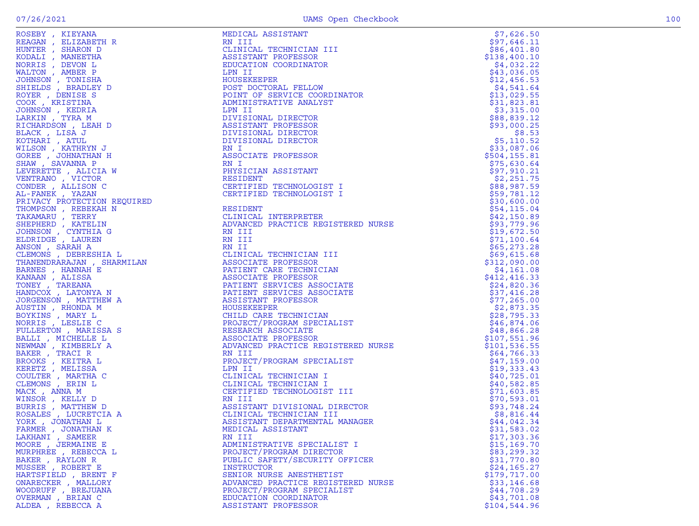| ROSEBY, KIEYANA                                                                                                                                                                                                               | MEDICAL ASSISTANT                  | \$7,626.50    |
|-------------------------------------------------------------------------------------------------------------------------------------------------------------------------------------------------------------------------------|------------------------------------|---------------|
| REAGAN, ELIZABETH R                                                                                                                                                                                                           | RN III                             | \$97,646.11   |
| HUNTER, SHARON D                                                                                                                                                                                                              | CLINICAL TECHNICIAN III            | \$86,401.80   |
| KODALI , MANEETHA                                                                                                                                                                                                             | ASSISTANT PROFESSOR                | \$138,400.10  |
| NORRIS, DEVON L                                                                                                                                                                                                               | EDUCATION COORDINATOR              | \$4,032.22    |
| WALTON, AMBER P                                                                                                                                                                                                               | LPN II                             | \$43,036.05   |
| JOHNSON, TONISHA                                                                                                                                                                                                              | HOUSEKEEPER                        | \$12,456.53   |
| SHIELDS, BRADLEY D                                                                                                                                                                                                            | POST DOCTORAL FELLOW               | \$4,541.64    |
| ROYER, DENISE S                                                                                                                                                                                                               | POINT OF SERVICE COORDINATOR       | \$13,029.55   |
| COOK, KRISTINA                                                                                                                                                                                                                | ADMINISTRATIVE ANALYST             | \$31,823.81   |
| JOHNSON, KEDRIA                                                                                                                                                                                                               | LPN II                             | \$3,315.00    |
| LARKIN, TYRA M                                                                                                                                                                                                                | DIVISIONAL DIRECTOR                | \$88,839.12   |
| RICHARDSON, LEAH D                                                                                                                                                                                                            | ASSISTANT PROFESSOR                | \$93,000.25   |
| BLACK, LISA J                                                                                                                                                                                                                 | DIVISIONAL DIRECTOR                | \$8.53        |
| KOTHARI , ATUL                                                                                                                                                                                                                | DIVISIONAL DIRECTOR                | \$5,110.52    |
| WILSON, KATHRYN J                                                                                                                                                                                                             | RN I                               | \$33,087.06   |
| GOREE , JOHNATHAN H                                                                                                                                                                                                           | ASSOCIATE PROFESSOR                | \$504, 155.81 |
| SHAW, SAVANNA P                                                                                                                                                                                                               | RN I                               | \$75,630.64   |
| LEVERETTE , ALICIA W                                                                                                                                                                                                          | PHYSICIAN ASSISTANT                | \$97,910.21   |
| VENTRANO, VICTOR                                                                                                                                                                                                              | RESIDENT                           | \$2,251.75    |
| CONDER, ALLISON C                                                                                                                                                                                                             | CERTIFIED TECHNOLOGIST I           | \$88,987.59   |
|                                                                                                                                                                                                                               |                                    |               |
| AL-FANEK , YAZAN                                                                                                                                                                                                              | CERTIFIED TECHNOLOGIST I           | \$59,781.12   |
|                                                                                                                                                                                                                               |                                    | \$30,600.00   |
|                                                                                                                                                                                                                               |                                    | \$54, 115.04  |
|                                                                                                                                                                                                                               |                                    | \$42,150.89   |
|                                                                                                                                                                                                                               | ADVANCED PRACTICE REGISTERED NURSE | \$93,779.96   |
|                                                                                                                                                                                                                               |                                    | \$19,672.50   |
| AL-FANEK , YAZAN (ERTIFIED TECHNOLOGIST I PAINARY PROTECTION REQUIRED THE THOMPSON , RESERAH N RESIDENT TAKAMARU , TERRY (CLINICAL INTERPRETER SHEPHERD , YANTELIN ADVANCED PRACTICE REGIST (DHNSON , CATELINIA (S) ENGLANDED |                                    | \$71,100.64   |
|                                                                                                                                                                                                                               |                                    | \$65, 273.28  |
|                                                                                                                                                                                                                               |                                    | \$69,615.68   |
|                                                                                                                                                                                                                               |                                    | \$312,090.00  |
|                                                                                                                                                                                                                               |                                    | \$4,161.08    |
|                                                                                                                                                                                                                               |                                    | \$412, 416.33 |
|                                                                                                                                                                                                                               | PATIENT SERVICES ASSOCIATE         | \$24,820.36   |
|                                                                                                                                                                                                                               | PATIENT SERVICES ASSOCIATE         | \$37,416.28   |
|                                                                                                                                                                                                                               |                                    | \$77,265.00   |
|                                                                                                                                                                                                                               |                                    | \$2,873.35    |
|                                                                                                                                                                                                                               |                                    | \$28,795.33   |
| NORRIS, LESLIE C                                                                                                                                                                                                              | PROJECT/PROGRAM SPECIALIST         | \$46,874.06   |
| FULLERTON, MARISSA S                                                                                                                                                                                                          | RESEARCH ASSOCIATE                 | \$48,866.28   |
| BALLI, MICHELLE L                                                                                                                                                                                                             | ASSOCIATE PROFESSOR                | \$107,551.96  |
| NEWMAN , KIMBERLY A                                                                                                                                                                                                           | ADVANCED PRACTICE REGISTERED NURSE | \$101,536.55  |
| BAKER, TRACI R                                                                                                                                                                                                                | RN III                             | \$64,766.33   |
| BROOKS , KEITRA L                                                                                                                                                                                                             | PROJECT/PROGRAM SPECIALIST         | \$47,159.00   |
| KERETZ, MELISSA                                                                                                                                                                                                               | LPN II                             | \$19,333.43   |
| COULTER , MARTHA C                                                                                                                                                                                                            | CLINICAL TECHNICIAN I              | \$40,725.01   |
| CLEMONS, ERIN L                                                                                                                                                                                                               | CLINICAL TECHNICIAN I              | \$40,582.85   |
| MACK, ANNA M                                                                                                                                                                                                                  | CERTIFIED TECHNOLOGIST III         | \$71,603.85   |
| WINSOR, KELLY D                                                                                                                                                                                                               | RN III                             | \$70,593.01   |
| BURRIS, MATTHEW D                                                                                                                                                                                                             | ASSISTANT DIVISIONAL DIRECTOR      | \$93,748.24   |
| ROSALES , LUCRETCIA A                                                                                                                                                                                                         | CLINICAL TECHNICIAN III            | \$8,816.44    |
| YORK, JONATHAN L                                                                                                                                                                                                              | ASSISTANT DEPARTMENTAL MANAGER     | \$44,042.34   |
| FARMER, JONATHAN K                                                                                                                                                                                                            | MEDICAL ASSISTANT                  | \$31,583.02   |
| LAKHANI , SAMEER                                                                                                                                                                                                              | RN III                             | \$17,303.36   |
| MOORE, JERMAINE E                                                                                                                                                                                                             | ADMINISTRATIVE SPECIALIST I        | \$15,169.70   |
| MURPHREE , REBECCA L                                                                                                                                                                                                          | PROJECT/PROGRAM DIRECTOR           | \$83,299.32   |
| BAKER, RAYLON R                                                                                                                                                                                                               | PUBLIC SAFETY/SECURITY OFFICER     | \$31,770.80   |
| MUSSER, ROBERT E                                                                                                                                                                                                              | INSTRUCTOR                         | \$24,165.27   |
| HARTSFIELD, BRENT F                                                                                                                                                                                                           | SENIOR NURSE ANESTHETIST           | \$179,717.00  |
| ONARECKER, MALLORY                                                                                                                                                                                                            | ADVANCED PRACTICE REGISTERED NURSE | \$33,146.68   |
| WOODRUFF , BREJUANA                                                                                                                                                                                                           | PROJECT/PROGRAM SPECIALIST         | \$44,708.29   |
| OVERMAN, BRIAN C                                                                                                                                                                                                              | EDUCATION COORDINATOR              | \$43,701.08   |
| ALDEA, REBECCA A                                                                                                                                                                                                              | ASSISTANT PROFESSOR                | \$104,544.96  |
|                                                                                                                                                                                                                               |                                    |               |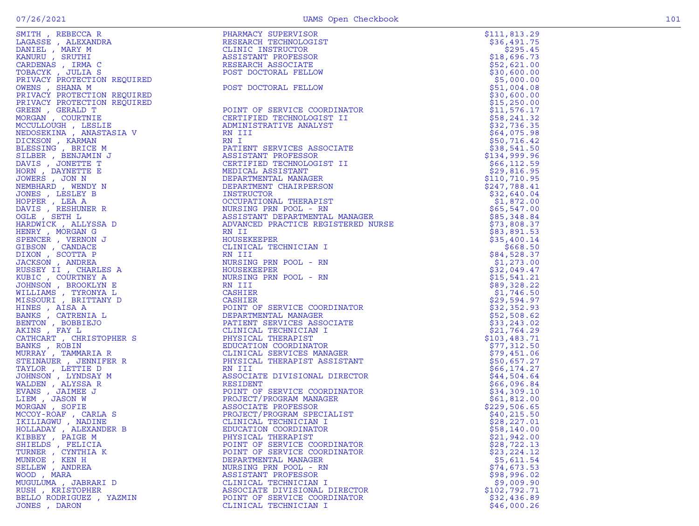| SMITH, REBECCA R                                                                                                   | PHARMACY SUPERVISOR                                                                                                                                                                                                                                             | \$111,813.29 |
|--------------------------------------------------------------------------------------------------------------------|-----------------------------------------------------------------------------------------------------------------------------------------------------------------------------------------------------------------------------------------------------------------|--------------|
| LAGASSE , ALEXANDRA                                                                                                | RESEARCH TECHNOLOGIST                                                                                                                                                                                                                                           | \$36,491.75  |
| DANIEL , MARY M                                                                                                    | CLINIC INSTRUCTOR                                                                                                                                                                                                                                               | \$295.45     |
| KANURU , SRUTHI                                                                                                    | ASSISTANT PROFESSOR                                                                                                                                                                                                                                             | \$18,696.73  |
| CARDENAS, IRMA C                                                                                                   |                                                                                                                                                                                                                                                                 | \$52,621.00  |
| TOBACYK, JULIA S                                                                                                   | RESEARCH ASSOCIATE<br>RESEARCH ASSOCIATE<br>POST DOCTORAL FELLOW                                                                                                                                                                                                | \$30,600.00  |
|                                                                                                                    |                                                                                                                                                                                                                                                                 | \$5,000.00   |
|                                                                                                                    |                                                                                                                                                                                                                                                                 | \$51,004.08  |
|                                                                                                                    |                                                                                                                                                                                                                                                                 | \$30,600.00  |
|                                                                                                                    |                                                                                                                                                                                                                                                                 | \$15,250.00  |
|                                                                                                                    |                                                                                                                                                                                                                                                                 | \$11,576.17  |
|                                                                                                                    |                                                                                                                                                                                                                                                                 | \$58,241.32  |
|                                                                                                                    |                                                                                                                                                                                                                                                                 | \$32,736.35  |
|                                                                                                                    |                                                                                                                                                                                                                                                                 | \$64,075.98  |
|                                                                                                                    |                                                                                                                                                                                                                                                                 | \$50,716.42  |
|                                                                                                                    |                                                                                                                                                                                                                                                                 | \$38,541.50  |
|                                                                                                                    |                                                                                                                                                                                                                                                                 | \$134,999.96 |
|                                                                                                                    |                                                                                                                                                                                                                                                                 | \$66, 112.59 |
|                                                                                                                    |                                                                                                                                                                                                                                                                 | \$29,816.95  |
|                                                                                                                    |                                                                                                                                                                                                                                                                 | \$110,710.95 |
|                                                                                                                    |                                                                                                                                                                                                                                                                 | \$247,788.41 |
|                                                                                                                    |                                                                                                                                                                                                                                                                 | \$32,640.04  |
|                                                                                                                    |                                                                                                                                                                                                                                                                 | \$1,872.00   |
|                                                                                                                    |                                                                                                                                                                                                                                                                 | \$65,547.00  |
|                                                                                                                    |                                                                                                                                                                                                                                                                 | \$85,348.84  |
| HARDWICK, ALLYSSA D                                                                                                | RN III<br>RN I<br>PATIENT SERVICES ASSOCIATE<br>ASSISTANT PROFESSOR<br>CERTIFIED TECHNOLOGIST II<br>MEDICAL ASSISTANT<br>DEPARTMENTAL MANAGER<br>DEPARTMENT CHAIRPERSON<br>INSTRUCTOR<br>OCCUPATIONAL THERAPIST<br>NURSING PRN POOL - RN<br>ASSISTANT DEPARTMEN | \$73,808.37  |
| HENRY, MORGAN G                                                                                                    | RN II                                                                                                                                                                                                                                                           | \$83,891.53  |
| SPENCER, VERNON J                                                                                                  | HOUSEKEEPER                                                                                                                                                                                                                                                     | \$35,400.14  |
| GIBSON , CANDACE                                                                                                   | CLINICAL TECHNICIAN I                                                                                                                                                                                                                                           | \$668.50     |
| HERES A<br>ARLES A<br>ARLES A<br>ARLES A<br>VA LYN E<br>NYA L<br>A L<br>A L<br>A L<br>STOPHER S<br>DIXON, SCOTTA P | RN III                                                                                                                                                                                                                                                          | \$84,528.37  |
| JACKSON, ANDREA                                                                                                    | NURSING PRN POOL - RN                                                                                                                                                                                                                                           | \$1,273.00   |
| RUSSEY II , CHARLES A                                                                                              | HOUSEKEEPER<br>NURSING PRN POOL - RN<br>PN TII                                                                                                                                                                                                                  | \$32,049.47  |
| KUBIC, COURTNEY A                                                                                                  |                                                                                                                                                                                                                                                                 | \$15,541.21  |
| JOHNSON , BROOKLYN E                                                                                               |                                                                                                                                                                                                                                                                 | \$89,328.22  |
| WILLIAMS , TYRONYA L                                                                                               | CASHIER                                                                                                                                                                                                                                                         | \$1,746.50   |
| MISSOURI , BRITTANY D                                                                                              |                                                                                                                                                                                                                                                                 | \$29,594.97  |
| HINES , AISA A                                                                                                     |                                                                                                                                                                                                                                                                 | \$32,352.93  |
| BANKS, CATRENIA L                                                                                                  |                                                                                                                                                                                                                                                                 | \$52,508.62  |
| BENTON, BOBBIEJO                                                                                                   |                                                                                                                                                                                                                                                                 | \$33,243.02  |
| AKINS, FAY L                                                                                                       |                                                                                                                                                                                                                                                                 | \$21,764.29  |
| CATHCART, CHRISTOPHER S                                                                                            |                                                                                                                                                                                                                                                                 | \$103,483.71 |
| BANKS, ROBIN                                                                                                       |                                                                                                                                                                                                                                                                 | \$77,312.50  |
| MURRAY, TAMMARIA R                                                                                                 |                                                                                                                                                                                                                                                                 | \$79,451.06  |
| STEINAUER , JENNIFER R                                                                                             |                                                                                                                                                                                                                                                                 | \$50,657.27  |
| TAYLOR, LETTIE D                                                                                                   |                                                                                                                                                                                                                                                                 | \$66,174.27  |
| JOHNSON, LYNDSAY M                                                                                                 |                                                                                                                                                                                                                                                                 | \$44,504.64  |
| WALDEN, ALYSSA R                                                                                                   |                                                                                                                                                                                                                                                                 | \$66,096.84  |
| EVANS, JAIMEE J                                                                                                    |                                                                                                                                                                                                                                                                 | \$34,309.10  |
| LIEM, JASON W                                                                                                      |                                                                                                                                                                                                                                                                 | \$61,812.00  |
| MORGAN, SOFIE                                                                                                      | TANY D<br>CASHIER<br>POINT OF SERVICE COORDINATOR<br>A L<br>DEPARTMENTAL MANAGER<br>JO PATIENT SERVICES ASSOCIATE<br>STOPHER S<br>CHINICAL TECHNICATIN<br>TOPHER P<br>CLINICAL SERVICES MANAGER<br>IFER R<br>PEVSICAL THERAPIST<br>DEVICATION COORDINA          | \$229,506.65 |
| MCCOY-ROAF, CARLA S                                                                                                |                                                                                                                                                                                                                                                                 | \$40, 215.50 |
| IKILIAGWU , NADINE                                                                                                 |                                                                                                                                                                                                                                                                 | \$28, 227.01 |
| HOLLADAY, ALEXANDER B                                                                                              | EDUCATION COORDINATOR                                                                                                                                                                                                                                           | \$58,140.00  |
| KIBBEY, PAIGE M                                                                                                    | PHYSICAL THERAPIST                                                                                                                                                                                                                                              | \$21,942.00  |
| SHIELDS , FELICIA                                                                                                  | POINT OF SERVICE COORDINATOR                                                                                                                                                                                                                                    | \$28,722.13  |
| TURNER, CYNTHIA K                                                                                                  | POINT OF SERVICE COORDINATOR                                                                                                                                                                                                                                    | \$23, 224.12 |
| MUNROE, KEN H                                                                                                      | DEPARTMENTAL MANAGER                                                                                                                                                                                                                                            | \$5,611.54   |
| SELLEW, ANDREA                                                                                                     | NURSING PRN POOL - RN                                                                                                                                                                                                                                           | \$74,673.53  |
| WOOD, MARA                                                                                                         | ASSISTANT PROFESSOR                                                                                                                                                                                                                                             | \$98,996.02  |
| MUGULUMA, JABRARI D                                                                                                | CLINICAL TECHNICIAN I                                                                                                                                                                                                                                           | \$9,009.90   |
| RUSH, KRISTOPHER                                                                                                   | ASSOCIATE DIVISIONAL DIRECTOR                                                                                                                                                                                                                                   | \$102,792.71 |
| BELLO RODRIGUEZ , YAZMIN                                                                                           | POINT OF SERVICE COORDINATOR                                                                                                                                                                                                                                    | \$32,436.89  |
| JONES , DARON                                                                                                      | CLINICAL TECHNICIAN I                                                                                                                                                                                                                                           | \$46,000.26  |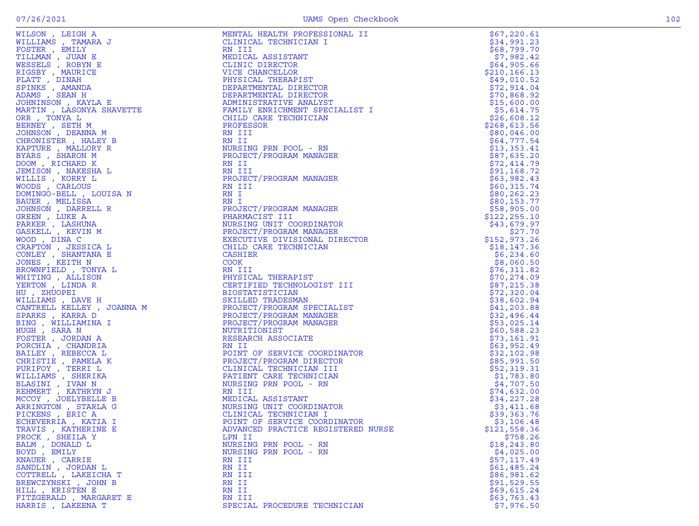HILL , KRISTEN E RN II \$69,615.24

| WILSON, LEIGH A                             | MENTAL HEALTH PROFESSIONAL II                                                                                                           | \$67,220.61                |
|---------------------------------------------|-----------------------------------------------------------------------------------------------------------------------------------------|----------------------------|
| WILLIAMS, TAMARA J                          | CLINICAL TECHNICIAN I                                                                                                                   | \$34,991.23                |
| FOSTER , EMILY                              | RN III                                                                                                                                  | \$68,799.70                |
| TILLMAN, JUAN E                             | MEDICAL ASSISTANT                                                                                                                       | \$7,982.42                 |
| WESSELS , ROBYN E                           | CLINIC DIRECTOR                                                                                                                         | \$64,905.66                |
| RIGSBY, MAURICE                             | VICE CHANCELLOR                                                                                                                         | \$210, 166.13              |
| PLATT, DINAH                                | PHYSICAL THERAPIST                                                                                                                      | \$49,010.52                |
| SPINKS, AMANDA                              | DEPARTMENTAL DIRECTOR                                                                                                                   | \$72,914.04                |
| ADAMS, SEAN H                               | DEPARTMENTAL DIRECTOR                                                                                                                   | \$70,868.92                |
| JOHNINSON, KAYLA E                          | ADMINISTRATIVE ANALISI<br>FAMILY ENRICHMENT SPECIALIST I<br>TING TING TECHNICIAN                                                        | \$15,600.00                |
| MARTIN, LASONYA SHAVETTE                    |                                                                                                                                         | \$5,614.75                 |
| ORR, TONYA L                                | CHILD CARE TECHNICIAN                                                                                                                   | \$26,608.12                |
| BERNEY, SETH M                              | PROFESSOR                                                                                                                               | \$268,613.56               |
| JOHNSON , DEANNA M                          | RN III                                                                                                                                  | \$80,046.00                |
| CHRONISTER, HALEY B                         | RN II                                                                                                                                   | \$64,777.54                |
| KAPTURE, MALLORY R                          | NURSING PRN POOL - RN                                                                                                                   | \$13,353.41                |
| BYARS, SHARON M                             | PROJECT/PROGRAM MANAGER                                                                                                                 | \$87,635.20                |
| DOOM, RICHARD K                             | RN II                                                                                                                                   | \$72,414.79                |
| JEMISON, NAKESHA L                          | RN III                                                                                                                                  | \$91,168.72                |
| WILLIS , KORRY L                            | PROJECT/PROGRAM MANAGER                                                                                                                 | \$63,982.43                |
| WOODS, CARLOUS                              | RN III                                                                                                                                  | \$60,315.74                |
| DOMINGO-BELL , LOUISA N                     | RN I                                                                                                                                    | \$80, 262.23               |
| BAUER, MELISSA                              | RN I                                                                                                                                    | \$80,153.77                |
| JOHNSON , DARRELL R                         | PROJECT/PROGRAM MANAGER                                                                                                                 | \$58,905.00                |
| GREEN, LUKE A                               | PHARMACIST III                                                                                                                          | \$122, 255.10              |
| PARKER, LASHUNA                             | NURSING UNIT COORDINATOR                                                                                                                | \$43,679.97                |
| GASKELL , KEVIN M                           | PROJECT/PROGRAM MANAGER                                                                                                                 | \$27.70                    |
| WOOD, DINA C                                | EXECUTIVE DIVISIONAL DIRECTOR                                                                                                           | \$152,973.26               |
| CRAFTON , JESSICA L                         | CHILD CARE TECHNICIAN                                                                                                                   | \$18, 147.36               |
| CONLEY, SHANTANA E                          | CASHIER                                                                                                                                 | \$6,234.60                 |
| JONES , KEITH N                             | <b>COOK</b>                                                                                                                             | \$8,060.50                 |
| BROWNFIELD, TONYA L                         | RN III                                                                                                                                  | \$76,311.82                |
| WHITING, ALLISON                            | PHYSICAL THERAPIST                                                                                                                      | \$70, 274.09               |
| YERTON , LINDA R                            | CERTIFIED TECHNOLOGIST III                                                                                                              | \$87,215.38                |
| HU, ZHUOPEI                                 |                                                                                                                                         | \$72,320.04                |
| WILLIAMS, DAVE H                            | CERIILI<br>BIOSTATISTICIAN<br>SKILLED TRADESMAN<br>PROJECT/PROGRAM ST                                                                   | \$38,602.94                |
| CANTRELL KELLEY , JOANNA M                  | PROJECT/PROGRAM SPECIALIST                                                                                                              | \$41,203.88                |
| SPARKS, KARRA D                             | PROJECT/PROGRAM MANAGER                                                                                                                 | \$32,496.44                |
| BING, WILLIAMINA I                          | PROJECT/PROGRAM MANAGER                                                                                                                 | \$53,025.14                |
| HUGH , SARA N                               | NUTRITIONIST                                                                                                                            | \$60,588.23                |
| FOSTER, JORDAN A                            | RESEARCH ASSOCIATE                                                                                                                      | \$73,161.91                |
| PORCHIA, CHANDRIA                           | RN II                                                                                                                                   | \$63,952.49                |
| BAILEY, REBECCA L                           | POINT OF SERVICE COORDINATOR                                                                                                            | \$32,102.98                |
| CHRISTIE , PAMELA K                         | PROJECT/PROGRAM DIRECTOR                                                                                                                | \$85,991.50                |
| PURIFOY, TERRI L                            | CLINICAL TECHNICIAN III                                                                                                                 | \$52,319.31                |
| WILLIAMS , SHERIKA                          | PATIENT CARE TECHNICIAN                                                                                                                 | \$1,783.80                 |
| BLASINI , IVAN N                            | NURSING PRN POOL - RN                                                                                                                   | \$4,707.50                 |
| REHMERT, KATHRYN J                          | RN III                                                                                                                                  | \$74,632.00                |
| MCCOY, JOELYBELLE B                         | MEDICAL ASSISTANT                                                                                                                       | \$34,227.28                |
| ARRINGTON , STARLA G                        | MEDICAL ASSISTANT<br>CLINICAL TECHNICIAN<br>CLINICAL TECHNICIAN I<br>POINT OF SERVICE COORDINATOR<br>ADVANCED PRACTICE REGISTERED NURSE | \$3,411.68                 |
| PICKENS, ERIC A                             |                                                                                                                                         | \$39,363.76                |
|                                             |                                                                                                                                         |                            |
| ECHEVERRIA, KATIA I<br>TRAVIS , KATHERINE E | ADVANCED PRACTICE REGISTERED NURSE                                                                                                      | \$3,106.48<br>\$121,558.36 |
|                                             | LPN II                                                                                                                                  |                            |
| PROCK, SHEILA Y                             |                                                                                                                                         | \$758.26                   |
| BALM, DONALD L                              | NURSING PRN POOL - RN                                                                                                                   | \$18, 243.80               |

BOWD , EMILY NURSING PRN POOL - RN<br>RN III \$57,117.49

BALM , DONALD LUIS AND RESERVE TO MURSING PRN POOL - RN STRING PROSESS (243.80)<br>BOYD , EMILY \$4,025.00

KNAUER , CARRIE RN III \$57,117.49 SANDLIN , JORDAN L RN II \$61,485.24 COTTRELL , LAKEICHA T RN III \$86,981.62 BREWCZYNSKI , JOHN B RN II \$91,529.55

FITZGERALD , MARGARET E RN III \$63,763.43 SPECIAL PROCEDURE TECHNICIAN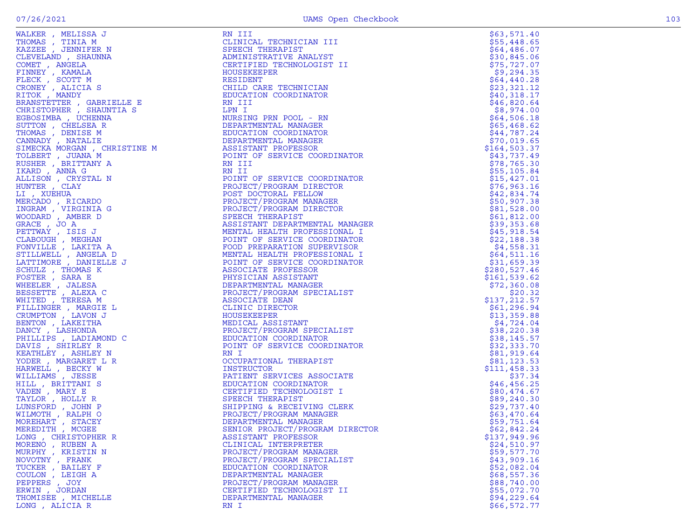|                                      | WARES, VERICION 3 (1993)<br>WARES, VERICAN ARRESTS (1994)<br>TRANSFORMATION (1995)<br>CLARK (1995)<br>CLARK (1995)<br>CLARK (1995)<br>TRANSFORMATION CONSULTER (1995)<br>TRANSFORMATION (1997)<br>TRANSFORMATION (1997)<br>TRANSFORMATION (1997 | \$63,571.40                |
|--------------------------------------|-------------------------------------------------------------------------------------------------------------------------------------------------------------------------------------------------------------------------------------------------|----------------------------|
|                                      |                                                                                                                                                                                                                                                 | \$55,448.65                |
|                                      |                                                                                                                                                                                                                                                 | \$64,486.07                |
|                                      |                                                                                                                                                                                                                                                 | \$30,845.06                |
|                                      |                                                                                                                                                                                                                                                 | \$75,727.07                |
|                                      |                                                                                                                                                                                                                                                 | \$9,294.35                 |
|                                      |                                                                                                                                                                                                                                                 | \$64,440.28                |
|                                      |                                                                                                                                                                                                                                                 | \$23,321.12<br>\$40,318.17 |
|                                      |                                                                                                                                                                                                                                                 | \$46,820.64                |
|                                      |                                                                                                                                                                                                                                                 | \$8,974.00                 |
|                                      |                                                                                                                                                                                                                                                 | \$64,506.18                |
|                                      |                                                                                                                                                                                                                                                 | \$65,468.62                |
|                                      |                                                                                                                                                                                                                                                 | \$44,787.24                |
|                                      |                                                                                                                                                                                                                                                 | \$70,019.65                |
|                                      |                                                                                                                                                                                                                                                 | \$164,503.37               |
|                                      |                                                                                                                                                                                                                                                 | \$43,737.49                |
|                                      |                                                                                                                                                                                                                                                 | \$78,765.30                |
|                                      |                                                                                                                                                                                                                                                 | \$55,105.84                |
|                                      |                                                                                                                                                                                                                                                 | \$15,427.01                |
|                                      |                                                                                                                                                                                                                                                 | \$76,963.16                |
|                                      |                                                                                                                                                                                                                                                 | \$42,834.74                |
|                                      |                                                                                                                                                                                                                                                 | \$50,907.38                |
|                                      |                                                                                                                                                                                                                                                 | \$81,528.00                |
|                                      |                                                                                                                                                                                                                                                 | \$61,812.00                |
|                                      |                                                                                                                                                                                                                                                 | \$39,353.68                |
|                                      |                                                                                                                                                                                                                                                 | \$45,918.54                |
|                                      |                                                                                                                                                                                                                                                 | \$22,188.38                |
|                                      |                                                                                                                                                                                                                                                 | \$4,558.31                 |
|                                      |                                                                                                                                                                                                                                                 | \$64,511.16<br>\$31,659.39 |
|                                      |                                                                                                                                                                                                                                                 | \$280,527.46               |
|                                      |                                                                                                                                                                                                                                                 | \$161, 539.62              |
|                                      |                                                                                                                                                                                                                                                 | \$72,360.08                |
|                                      |                                                                                                                                                                                                                                                 | \$20.32                    |
|                                      |                                                                                                                                                                                                                                                 | \$137,212.57               |
|                                      |                                                                                                                                                                                                                                                 | \$61,296.94                |
|                                      |                                                                                                                                                                                                                                                 | \$13,359.88                |
|                                      |                                                                                                                                                                                                                                                 | \$4,724.04                 |
|                                      |                                                                                                                                                                                                                                                 | \$38,220.38                |
|                                      |                                                                                                                                                                                                                                                 | \$38,145.57                |
|                                      |                                                                                                                                                                                                                                                 | \$32,333.70                |
|                                      |                                                                                                                                                                                                                                                 | \$81,919.64                |
|                                      |                                                                                                                                                                                                                                                 | \$81,123.53                |
|                                      |                                                                                                                                                                                                                                                 | \$111,458.33               |
|                                      |                                                                                                                                                                                                                                                 | \$37.34<br>\$46,456.25     |
|                                      |                                                                                                                                                                                                                                                 | \$80,474.67                |
|                                      |                                                                                                                                                                                                                                                 | \$89,240.30                |
|                                      |                                                                                                                                                                                                                                                 | \$29,737.40                |
|                                      |                                                                                                                                                                                                                                                 | \$63,470.64                |
|                                      |                                                                                                                                                                                                                                                 | \$59,751.64                |
| MEREDITH, MCGEE                      | SENIOR PROJECT/PROGRAM DIRECTOR                                                                                                                                                                                                                 | \$62,842.24                |
| LONG, CHRISTOPHER R                  | ASSISTANT PROFESSOR                                                                                                                                                                                                                             | \$137,949.96               |
| MORENO, RUBEN A                      | CLINICAL INTERPRETER                                                                                                                                                                                                                            | \$24,510.97                |
| MURPHY, KRISTIN N                    | PROJECT/PROGRAM MANAGER                                                                                                                                                                                                                         | \$59,577.70                |
| NOVOTNY , FRANK                      | PROJECT/PROGRAM SPECIALIST                                                                                                                                                                                                                      | \$43,909.16                |
| TUCKER, BAILEY F                     | EDUCATION COORDINATOR                                                                                                                                                                                                                           | \$52,082.04                |
| COULON, LEIGH A                      | DEPARTMENTAL MANAGER                                                                                                                                                                                                                            | \$68,557.36                |
| PEPPERS, JOY                         | PROJECT/PROGRAM MANAGER                                                                                                                                                                                                                         | \$88,740.00                |
| ERWIN, JORDAN<br>THOMISEE , MICHELLE | CERTIFIED TECHNOLOGIST II<br>DEPARTMENTAL MANAGER                                                                                                                                                                                               | \$55,072.70                |
| LONG, ALICIA R                       | RN I                                                                                                                                                                                                                                            | \$94,229.64<br>\$66,572.77 |
|                                      |                                                                                                                                                                                                                                                 |                            |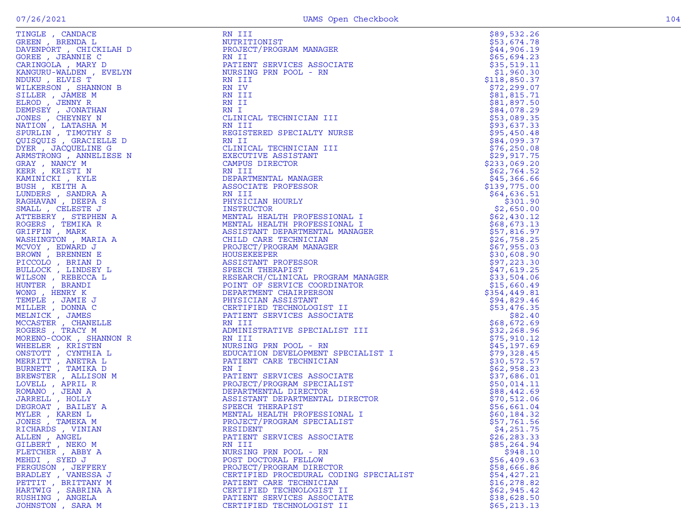| TINGLE , CANDACE<br>FREEN , BRENDA L                                                                                                                                                                                                                                                 |
|--------------------------------------------------------------------------------------------------------------------------------------------------------------------------------------------------------------------------------------------------------------------------------------|
| DAVENPORT , CHICKILAH D                                                                                                                                                                                                                                                              |
|                                                                                                                                                                                                                                                                                      |
| GOREE , JEANNIE C<br>CARINGOLA , MARY D                                                                                                                                                                                                                                              |
|                                                                                                                                                                                                                                                                                      |
| KANGURU-WALDEN , EVELYN                                                                                                                                                                                                                                                              |
| VDUKU, ELVIS T                                                                                                                                                                                                                                                                       |
|                                                                                                                                                                                                                                                                                      |
| <b>WILKERSON</b> , SHANNON B                                                                                                                                                                                                                                                         |
| VILKERSON , SHANNON B<br>SILLER , JAMEE M<br>SLROD , JENNY R<br>DEMPSEY , JONATHAN<br>JONES , CHEYNEY N<br>MATION , LATASHA M<br>SPURLIN , TIMOTHY S<br>JUISQUIS , GRACIELINE C<br>NYEP , TACCHELINE C                                                                               |
|                                                                                                                                                                                                                                                                                      |
|                                                                                                                                                                                                                                                                                      |
|                                                                                                                                                                                                                                                                                      |
|                                                                                                                                                                                                                                                                                      |
|                                                                                                                                                                                                                                                                                      |
|                                                                                                                                                                                                                                                                                      |
|                                                                                                                                                                                                                                                                                      |
| DYER, JACQUELINE G                                                                                                                                                                                                                                                                   |
|                                                                                                                                                                                                                                                                                      |
| ARMSTRONG, ANNELIESE N                                                                                                                                                                                                                                                               |
| GRAY , NANCY M<br>KERR , KRISTI N                                                                                                                                                                                                                                                    |
|                                                                                                                                                                                                                                                                                      |
| KAMINICKI , KYLE                                                                                                                                                                                                                                                                     |
|                                                                                                                                                                                                                                                                                      |
| BUSH , KEITH A                                                                                                                                                                                                                                                                       |
| LUNDERS , SANDRA A<br>RAGHAVAN , DEEPA S                                                                                                                                                                                                                                             |
|                                                                                                                                                                                                                                                                                      |
| SMALL, CELESTE J                                                                                                                                                                                                                                                                     |
| STATIBERY<br>NTTEBERY , STEPHEN A<br>ROGERS , TEMIKA R<br>RIFFIN , MARK<br>MASHINGTON , MARIA A                                                                                                                                                                                      |
|                                                                                                                                                                                                                                                                                      |
|                                                                                                                                                                                                                                                                                      |
|                                                                                                                                                                                                                                                                                      |
|                                                                                                                                                                                                                                                                                      |
|                                                                                                                                                                                                                                                                                      |
|                                                                                                                                                                                                                                                                                      |
|                                                                                                                                                                                                                                                                                      |
|                                                                                                                                                                                                                                                                                      |
| <i>NASHINGTON , MARIA A<br/>ACVOY , EDWARD J<br/>BROWN , BRENNEN E<br/>PICCOLO , BRIAN D<br/>BULLOCK , LINDSEY L<br/>VILLSON , REBECCA L<br/>VILLSON , REBECCA L<br/>VINTER , BRANDI<br/>VONG , HENRY K<br/>MILLER , JAMES<br/>MELNICK , JAMES<br/>ROGERS , TRACY M<br/>MORENO-C</i> |
|                                                                                                                                                                                                                                                                                      |
|                                                                                                                                                                                                                                                                                      |
|                                                                                                                                                                                                                                                                                      |
|                                                                                                                                                                                                                                                                                      |
|                                                                                                                                                                                                                                                                                      |
|                                                                                                                                                                                                                                                                                      |
|                                                                                                                                                                                                                                                                                      |
|                                                                                                                                                                                                                                                                                      |
|                                                                                                                                                                                                                                                                                      |
|                                                                                                                                                                                                                                                                                      |
|                                                                                                                                                                                                                                                                                      |
|                                                                                                                                                                                                                                                                                      |
|                                                                                                                                                                                                                                                                                      |
|                                                                                                                                                                                                                                                                                      |
|                                                                                                                                                                                                                                                                                      |
|                                                                                                                                                                                                                                                                                      |
|                                                                                                                                                                                                                                                                                      |
|                                                                                                                                                                                                                                                                                      |
|                                                                                                                                                                                                                                                                                      |
|                                                                                                                                                                                                                                                                                      |
|                                                                                                                                                                                                                                                                                      |
|                                                                                                                                                                                                                                                                                      |
|                                                                                                                                                                                                                                                                                      |
| <i>MORENO-COOK , SHANNOI<br/>NHEELER , KRISTEN<br/>NERRITT , CYNTHIA L<br/>MERRITT , TAMIKA L<br/>SURNETT , TAMIKA L<br/>SREWSTER , ALLISON M<br/>LOVELL , APRIL R<br/>COMANO , JEAN A<br/>DARRELL , HOLLY<br/>NARRELL , HOLLY A<br/>MILER , KAREN L<br/>MULER , KAREN L<br/>JON</i> |
|                                                                                                                                                                                                                                                                                      |
| RICHARDS , VINIAN                                                                                                                                                                                                                                                                    |
| NLLEN , ANGEL<br>SILBERT , NEKO M<br>SILBERT , NEKO M                                                                                                                                                                                                                                |
|                                                                                                                                                                                                                                                                                      |
| FLETCHER, ABBY A                                                                                                                                                                                                                                                                     |
|                                                                                                                                                                                                                                                                                      |
| SYED J<br>EHDI,                                                                                                                                                                                                                                                                      |
| FERGUSON, JEFFERY                                                                                                                                                                                                                                                                    |
| <b>BRADLEY</b><br>, VANESSA J                                                                                                                                                                                                                                                        |
| PETTIT<br>, BRITTANY<br>M                                                                                                                                                                                                                                                            |
|                                                                                                                                                                                                                                                                                      |
| HARTWIG , SABRINA A<br>RUSHING , ANGELA                                                                                                                                                                                                                                              |
|                                                                                                                                                                                                                                                                                      |
|                                                                                                                                                                                                                                                                                      |

| TINGLE , CANDACE                                                                                 | RN III                                                                                                                                                                                                      | \$89,532.26                |
|--------------------------------------------------------------------------------------------------|-------------------------------------------------------------------------------------------------------------------------------------------------------------------------------------------------------------|----------------------------|
| GREEN, BRENDA L                                                                                  | NUTRITIONIST                                                                                                                                                                                                | \$53,674.78                |
| DAVENPORT, CHICKILAH D                                                                           | PROJECT/PROGRAM MANAGER                                                                                                                                                                                     | \$44,906.19                |
| GOREE , JEANNIE C                                                                                |                                                                                                                                                                                                             | \$65,694.23                |
| CARINGOLA, MARY D                                                                                |                                                                                                                                                                                                             | \$35,519.11                |
| KANGURU-WALDEN, EVELYN<br>SLYN<br>B<br>B<br>j<br>j<br>SLE D<br>J<br>B<br>SE N<br>C<br>SLE D<br>S | RN II<br>PATIENT SERVICES ASSOCIATE<br>NURSING PRN POOL - RN<br>RN III<br>RN IV_                                                                                                                            | \$1,960.30                 |
| NDUKU, ELVIS T                                                                                   |                                                                                                                                                                                                             | \$118,850.37               |
| WILKERSON, SHANNON B                                                                             |                                                                                                                                                                                                             | \$72, 299.07               |
| SILLER, JAMEE M                                                                                  | RN III                                                                                                                                                                                                      | \$81,815.71                |
| ELROD, JENNY R                                                                                   | RN II                                                                                                                                                                                                       | \$81,897.50                |
| DEMPSEY , JONATHAN                                                                               | RN I                                                                                                                                                                                                        | \$84,078.29                |
| JONES , CHEYNEY N                                                                                | CLINICAL TECHNICIAN III                                                                                                                                                                                     | \$53,089.35                |
| NATION, LATASHA M                                                                                | RN III                                                                                                                                                                                                      | \$93,637.33                |
| SPURLIN, TIMOTHY S                                                                               | REGISTERED SPECIALTY NURSE                                                                                                                                                                                  | \$95,450.48                |
| QUISQUIS, GRACIELLE D                                                                            | RN II                                                                                                                                                                                                       | \$84,099.37                |
| DYER, JACQUELINE G                                                                               | CLINICAL TECHNICIAN III                                                                                                                                                                                     | \$76, 250.08               |
| ARMSTRONG , ANNELIESE N                                                                          | EXECUTIVE ASSISTANT                                                                                                                                                                                         | \$29,917.75                |
| GRAY, NANCY M                                                                                    | CAMPUS DIRECTOR                                                                                                                                                                                             | \$233,069.20               |
| KERR, KRISTI N                                                                                   | RN III                                                                                                                                                                                                      | \$62,764.52                |
| KAMINICKI, KYLE                                                                                  | DEPARTMENTAL MANAGER                                                                                                                                                                                        | \$45,366.66                |
| BUSH, KEITH A                                                                                    | ASSOCIATE PROFESSOR                                                                                                                                                                                         | \$139,775.00               |
| LUNDERS, SANDRA A                                                                                | RN III                                                                                                                                                                                                      | \$64,636.51                |
| RAGHAVAN, DEEPA S                                                                                | PHYSICIAN HOURLY                                                                                                                                                                                            | \$301.90                   |
| SMALL , CELESTE J                                                                                | INSTRUCTOR                                                                                                                                                                                                  | \$2,650.00                 |
| ATTEBERY , STEPHEN A                                                                             | MENTAL HEALTH PROFESSIONAL I                                                                                                                                                                                | \$62,430.12                |
| ROGERS , TEMIKA R                                                                                | MENTAL HEALTH PROFESSIONAL I                                                                                                                                                                                | \$68,673.13                |
| GRIFFIN, MARK                                                                                    | ASSISTANT DEPARTMENTAL MANAGER                                                                                                                                                                              | \$57,816.97                |
| WASHINGTON , MARIA A                                                                             | CHILD CARE TECHNICIAN<br>PROJECT/PROGRAM MANAGER                                                                                                                                                            | \$26,758.25                |
| MCVOY, EDWARD J                                                                                  | HOUSEKEEPER                                                                                                                                                                                                 | \$67,955.03                |
| BROWN, BRENNEN E                                                                                 |                                                                                                                                                                                                             | \$30,608.90                |
| PICCOLO, BRIAN D<br>BULLOCK , LINDSEY L                                                          | ASSISTANT PROFESSOR<br>SPEECH THERAPIST                                                                                                                                                                     | \$97,223.30<br>\$47,619.25 |
| WILSON, REBECCA L                                                                                | RESEARCH/CLINICAL PROGRAM MANAGER<br>POINT OF SERVICE COORDINATOR<br>DEPARTMENT CHAIRPERSON<br>PHYSICIAN ASSISTANT<br>CERTIFIED TECHNOLOGIST II<br>PATIENT SERVICES ASSOCIATE<br>PATIENT SERVICES ASSOCIATE | \$33,504.06                |
| HUNTER, BRANDI                                                                                   |                                                                                                                                                                                                             | \$15,660.49                |
| WONG, HENRY K                                                                                    |                                                                                                                                                                                                             | \$354,449.81               |
| TEMPLE , JAMIE J                                                                                 |                                                                                                                                                                                                             | \$94,829.46                |
| MILLER, DONNA C                                                                                  |                                                                                                                                                                                                             | \$53,476.35                |
| MELNICK, JAMES                                                                                   |                                                                                                                                                                                                             | \$82.40                    |
| MCCASTER , CHANELLE                                                                              | RN III                                                                                                                                                                                                      | \$68,672.69                |
| ROGERS, TRACY M                                                                                  | ADMINISTRATIVE SPECIALIST III                                                                                                                                                                               | \$32, 268.96               |
| E<br>NON R<br>L<br>MORENO-COOK, SHANNON R                                                        | RN III                                                                                                                                                                                                      | \$75,910.12                |
| WHEELER, KRISTEN                                                                                 | NURSING PRN POOL - RN                                                                                                                                                                                       | \$45,197.69                |
| ONSTOTT , CYNTHIA L                                                                              | EDUCATION DEVELOPMENT SPECIALIST I                                                                                                                                                                          | \$79,328.45                |
| MERRITT , ANETRA L                                                                               | PATIENT CARE TECHNICIAN                                                                                                                                                                                     | \$30,572.57                |
| BURNETT, TAMIKA D                                                                                | RN I                                                                                                                                                                                                        | \$62,958.23                |
| BREWSTER , ALLISON M                                                                             | PATIENT SERVICES ASSOCIATE                                                                                                                                                                                  | \$37,686.01                |
| LOVELL, APRIL R                                                                                  | PROJECT/PROGRAM SPECIALIST                                                                                                                                                                                  | \$50,014.11                |
| ROMANO, JEAN A                                                                                   | DEPARTMENTAL DIRECTOR                                                                                                                                                                                       | \$88,442.69                |
| JARRELL , HOLLY                                                                                  | ASSISTANT DEPARTMENTAL DIRECTOR                                                                                                                                                                             | \$70,512.06                |
| DEGROAT, BAILEY A                                                                                | SPEECH THERAPIST                                                                                                                                                                                            | \$56,661.04                |
| MYLER, KAREN L                                                                                   | MENTAL HEALTH PROFESSIONAL I                                                                                                                                                                                | \$60,184.32                |
| JONES , TAMEKA M                                                                                 | PROJECT/PROGRAM SPECIALIST                                                                                                                                                                                  | \$57,761.56                |
| RICHARDS, VINIAN                                                                                 | RESIDENT                                                                                                                                                                                                    | \$4,251.75                 |
| ALLEN, ANGEL                                                                                     | PATIENT SERVICES ASSOCIATE                                                                                                                                                                                  | \$26,283.33                |
| GILBERT , NEKO M                                                                                 | RN III                                                                                                                                                                                                      | \$85,264.94                |
| FLETCHER, ABBY A                                                                                 | NURSING PRN POOL - RN                                                                                                                                                                                       | \$948.10                   |
| MEHDI , SYED J                                                                                   | POST DOCTORAL FELLOW                                                                                                                                                                                        | \$56,409.63                |
| FERGUSON, JEFFERY                                                                                | PROJECT/PROGRAM DIRECTOR                                                                                                                                                                                    | \$58,666.86                |
| BRADLEY , VANESSA J                                                                              | CERTIFIED PROCEDURAL CODING SPECIALIST                                                                                                                                                                      | \$54,427.21                |
| PETTIT , BRITTANY M                                                                              | PATIENT CARE TECHNICIAN                                                                                                                                                                                     | \$16, 278.82               |
| HARTWIG, SABRINA A                                                                               | CERTIFIED TECHNOLOGIST II                                                                                                                                                                                   | \$62,945.42                |
| RUSHING , ANGELA                                                                                 | PATIENT SERVICES ASSOCIATE                                                                                                                                                                                  | \$38,628.50                |
| JOHNSTON , SARA M                                                                                | CERTIFIED TECHNOLOGIST II                                                                                                                                                                                   | \$65, 213.13               |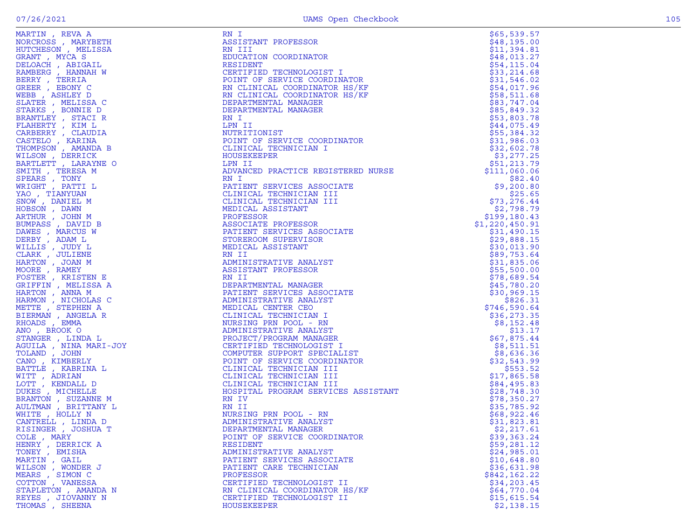| MARTIN, REVA A                                                                                                                                                                                                                                                     | RN I                                                                                                                                                                                                                                                                      | \$65,539.57    |
|--------------------------------------------------------------------------------------------------------------------------------------------------------------------------------------------------------------------------------------------------------------------|---------------------------------------------------------------------------------------------------------------------------------------------------------------------------------------------------------------------------------------------------------------------------|----------------|
| NORCROSS , MARYBETH                                                                                                                                                                                                                                                | ASSISTANT PROFESSOR<br>RESIDENT<br>CERTIFIED TECHNOLOGIST I<br>POINT OF SERVICE COORDINATOR<br>RN CLINICAL COORDINATOR HS/KF<br>RN CLINICAL COORDINATOR HS/KF<br>RN CLINICAL COORDINATOR HS/KF<br>DEPARTMENTAL MANAGER<br>DEPARTMENTAL MANAGER<br>N I<br>N II<br>JTRITION | \$48,195.00    |
| HUTCHESON, MELISSA                                                                                                                                                                                                                                                 |                                                                                                                                                                                                                                                                           | \$11,394.81    |
| GRANT, MYCA S                                                                                                                                                                                                                                                      |                                                                                                                                                                                                                                                                           | \$48,013.27    |
| DELOACH, ABIGAIL                                                                                                                                                                                                                                                   |                                                                                                                                                                                                                                                                           | \$54,115.04    |
| RAMBERG, HANNAH W                                                                                                                                                                                                                                                  |                                                                                                                                                                                                                                                                           | \$33,214.68    |
|                                                                                                                                                                                                                                                                    |                                                                                                                                                                                                                                                                           |                |
| BERRY, TERRIA                                                                                                                                                                                                                                                      |                                                                                                                                                                                                                                                                           | \$31,546.02    |
| GREER , EBONY C                                                                                                                                                                                                                                                    |                                                                                                                                                                                                                                                                           | \$54,017.96    |
| WEBB , ASHLEY D                                                                                                                                                                                                                                                    |                                                                                                                                                                                                                                                                           | \$58,511.68    |
| SLATER, MELISSA C                                                                                                                                                                                                                                                  |                                                                                                                                                                                                                                                                           | \$83,747.04    |
| STARKS, BONNIE D                                                                                                                                                                                                                                                   |                                                                                                                                                                                                                                                                           | \$85,849.32    |
| BRANTLEY , STACI R                                                                                                                                                                                                                                                 |                                                                                                                                                                                                                                                                           | \$53,803.78    |
| FLAHERTY, KIM L                                                                                                                                                                                                                                                    |                                                                                                                                                                                                                                                                           | \$44,075.49    |
| CARBERRY, CLAUDIA                                                                                                                                                                                                                                                  |                                                                                                                                                                                                                                                                           | \$55,384.32    |
| CASTELO, KARINA                                                                                                                                                                                                                                                    |                                                                                                                                                                                                                                                                           | \$31,986.03    |
| THOMPSON, AMANDA B                                                                                                                                                                                                                                                 |                                                                                                                                                                                                                                                                           | \$32,602.78    |
| WILSON, DERRICK                                                                                                                                                                                                                                                    |                                                                                                                                                                                                                                                                           | \$3,277.25     |
| BARTLETT , LARAYNE O                                                                                                                                                                                                                                               |                                                                                                                                                                                                                                                                           | \$51,213.79    |
|                                                                                                                                                                                                                                                                    |                                                                                                                                                                                                                                                                           |                |
| SMITH, TERESA M                                                                                                                                                                                                                                                    | NOIRT OF SERVICE COORDINATOR<br>CLINICAL TECHNICIAN I<br>HOUSEKEEPER<br>LPN II<br>ADVANCED PRACTICE REGISTERED NURSE<br>RN I                                                                                                                                              | \$111,060.06   |
| SPEARS, TONY                                                                                                                                                                                                                                                       |                                                                                                                                                                                                                                                                           | \$82.40        |
| WRIGHT, PATTI L                                                                                                                                                                                                                                                    |                                                                                                                                                                                                                                                                           | \$9,200.80     |
| YAO, TIANYUAN                                                                                                                                                                                                                                                      |                                                                                                                                                                                                                                                                           | \$25.65        |
|                                                                                                                                                                                                                                                                    |                                                                                                                                                                                                                                                                           | \$73, 276.44   |
|                                                                                                                                                                                                                                                                    |                                                                                                                                                                                                                                                                           | \$2,798.79     |
|                                                                                                                                                                                                                                                                    |                                                                                                                                                                                                                                                                           | \$199,180.43   |
|                                                                                                                                                                                                                                                                    |                                                                                                                                                                                                                                                                           | \$1,220,450.91 |
|                                                                                                                                                                                                                                                                    |                                                                                                                                                                                                                                                                           | \$31,490.15    |
|                                                                                                                                                                                                                                                                    |                                                                                                                                                                                                                                                                           | \$29,888.15    |
|                                                                                                                                                                                                                                                                    |                                                                                                                                                                                                                                                                           | \$30,013.90    |
|                                                                                                                                                                                                                                                                    |                                                                                                                                                                                                                                                                           |                |
|                                                                                                                                                                                                                                                                    |                                                                                                                                                                                                                                                                           | \$89,753.64    |
|                                                                                                                                                                                                                                                                    |                                                                                                                                                                                                                                                                           | \$31,835.06    |
|                                                                                                                                                                                                                                                                    |                                                                                                                                                                                                                                                                           | \$55,500.00    |
|                                                                                                                                                                                                                                                                    |                                                                                                                                                                                                                                                                           | \$78,689.54    |
|                                                                                                                                                                                                                                                                    |                                                                                                                                                                                                                                                                           | \$45,780.20    |
|                                                                                                                                                                                                                                                                    |                                                                                                                                                                                                                                                                           | \$30,969.15    |
|                                                                                                                                                                                                                                                                    |                                                                                                                                                                                                                                                                           | \$826.31       |
|                                                                                                                                                                                                                                                                    |                                                                                                                                                                                                                                                                           | \$746,590.64   |
|                                                                                                                                                                                                                                                                    |                                                                                                                                                                                                                                                                           | \$36, 273.35   |
|                                                                                                                                                                                                                                                                    |                                                                                                                                                                                                                                                                           |                |
|                                                                                                                                                                                                                                                                    |                                                                                                                                                                                                                                                                           | \$8,152.48     |
|                                                                                                                                                                                                                                                                    |                                                                                                                                                                                                                                                                           | \$13.17        |
|                                                                                                                                                                                                                                                                    |                                                                                                                                                                                                                                                                           | \$67,875.44    |
|                                                                                                                                                                                                                                                                    |                                                                                                                                                                                                                                                                           | \$8,511.51     |
|                                                                                                                                                                                                                                                                    |                                                                                                                                                                                                                                                                           | \$8,636.36     |
|                                                                                                                                                                                                                                                                    |                                                                                                                                                                                                                                                                           | \$32,543.99    |
| TAGO, TIANYUNA SINOTANG MARYUNA<br>SNOW , DANIEL M<br>HOBSON , DANIEL M<br>HOBSON , DANIEL M<br>DANES , MARCUS W<br>DERBY , ADARUS W<br>MILLIS , JUDY L<br>CLARK , JUDY L<br>CLARK , JUDY L<br>CLARK , JUDY L<br>CLARK , JUDY MANA M<br>MOORE , RAMEY<br>GRIFFIN , | FRY I<br>ADVANCED PRACTICE REGISTERED NURSE<br>RN I<br>RATIENT SERVICES ASSOCIATE<br>CLINICAL TECHNICIAN III<br>MEDICAL ASSISTANT<br>MEDICAL ASSISTANT<br>ASSOCIATE PROFESSOR<br>PROFESSOR<br>PROFESSOR<br>PATIENT SERVICES ASSOCIATE<br>PROFESSOR<br>RITIENT SERV        | \$553.52       |
|                                                                                                                                                                                                                                                                    |                                                                                                                                                                                                                                                                           | \$17,865.58    |
|                                                                                                                                                                                                                                                                    |                                                                                                                                                                                                                                                                           | \$84,495.83    |
|                                                                                                                                                                                                                                                                    |                                                                                                                                                                                                                                                                           | \$28,748.30    |
|                                                                                                                                                                                                                                                                    |                                                                                                                                                                                                                                                                           | \$78,350.27    |
|                                                                                                                                                                                                                                                                    |                                                                                                                                                                                                                                                                           |                |
|                                                                                                                                                                                                                                                                    | RN II                                                                                                                                                                                                                                                                     | \$35,785.92    |
|                                                                                                                                                                                                                                                                    | NURSING PRN POOL - RN                                                                                                                                                                                                                                                     | \$68,922.46    |
|                                                                                                                                                                                                                                                                    | ADMINISTRATIVE ANALYST                                                                                                                                                                                                                                                    | \$31,823.81    |
|                                                                                                                                                                                                                                                                    | DEPARTMENTAL MANAGER                                                                                                                                                                                                                                                      | \$2,217.61     |
| COLE, MARY                                                                                                                                                                                                                                                         | POINT OF SERVICE COORDINATOR                                                                                                                                                                                                                                              | \$39,363.24    |
| HENRY, DERRICK A                                                                                                                                                                                                                                                   | RESIDENT                                                                                                                                                                                                                                                                  | \$59,281.12    |
| TONEY, EMISHA                                                                                                                                                                                                                                                      | ADMINISTRATIVE ANALYST                                                                                                                                                                                                                                                    | \$24,985.01    |
| MARTIN, GAIL                                                                                                                                                                                                                                                       | PATIENT SERVICES ASSOCIATE                                                                                                                                                                                                                                                | \$10,648.80    |
| WILSON, WONDER J                                                                                                                                                                                                                                                   | PATIENT CARE TECHNICIAN                                                                                                                                                                                                                                                   | \$36,631.98    |
| MEARS, SIMON C                                                                                                                                                                                                                                                     | PROFESSOR                                                                                                                                                                                                                                                                 | \$842,162.22   |
|                                                                                                                                                                                                                                                                    |                                                                                                                                                                                                                                                                           |                |
| COTTON, VANESSA                                                                                                                                                                                                                                                    | CERTIFIED TECHNOLOGIST II                                                                                                                                                                                                                                                 | \$34, 203.45   |
| STAPLETON, AMANDA N                                                                                                                                                                                                                                                | RN CLINICAL COORDINATOR HS/KF                                                                                                                                                                                                                                             | \$64,770.04    |
| REYES, JIOVANNY N                                                                                                                                                                                                                                                  | CERTIFIED TECHNOLOGIST II                                                                                                                                                                                                                                                 | \$15,615.54    |
| THOMAS , SHEENA                                                                                                                                                                                                                                                    | HOUSEKEEPER                                                                                                                                                                                                                                                               | \$2,138.15     |

| F<br>F  | \$48,195.00<br>11,394.81<br>48,<br>013.27<br>115.04<br>54,<br>33,214.68<br>546.02<br>31,<br>54,017.96<br>58,<br>511.68<br>747.04<br>83,<br>85,<br>849.<br>32<br>53,<br>803.78<br>44,<br>075.49<br>55,<br>384.32<br>31,986.03<br>32,602.<br>78 |
|---------|-----------------------------------------------------------------------------------------------------------------------------------------------------------------------------------------------------------------------------------------------|
| NURSE   | 277.25<br>\$3,<br>\$51,<br>213.<br>79<br>\$111,060.06<br>\$82.40<br>200.80<br>\$9,                                                                                                                                                            |
|         | \$25.65<br>276.44<br>73,<br>Ş<br>\$2,<br>798.79<br>\$199,<br>180.<br>43<br>\$1,220,450.91<br>31,<br>490.15<br>29,888.15<br>30,013.90                                                                                                          |
|         | 753.64<br>89,<br>31,835.06<br>55,<br>500.00<br>\$78,<br>\$45,<br>689.54<br>780.20<br>30,969.15<br>\$826.31                                                                                                                                    |
|         | \$746,590.64<br>\$36,273.35<br>\$8,<br>152.<br>48<br>\$13.17                                                                                                                                                                                  |
|         | \$67,<br>875.44<br>\$8,<br>511.51<br>\$8,<br>636.36<br>\$32,<br>543.<br>99<br>\$553.52                                                                                                                                                        |
| SISTANT | \$17,865.<br>58<br>\$84,<br>495.83<br>28,<br>748.<br>30<br>350.27<br>78,<br>35,<br>785.92<br>68,922.46<br>31,823.81<br>\$2,<br>217.61                                                                                                         |
|         | 39, 363.24<br>59, 281.12<br>24,985.01<br>\$10,648.80<br>\$36,631.98<br>\$842,162.22<br>\$34, 203.45                                                                                                                                           |
| F       | \$64,770.04<br>\$15,615.54                                                                                                                                                                                                                    |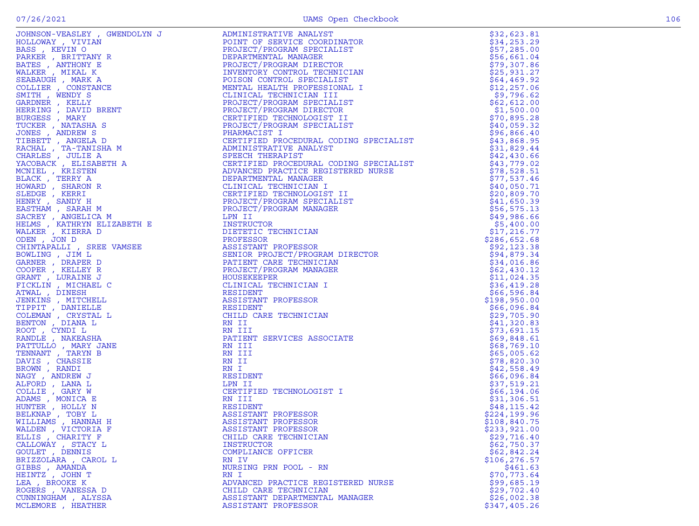| $\sim$ | ۰.<br>v |
|--------|---------|
|        |         |

|                     |                                                                                                                                                                                                                                                                                                                                                                                                                     | \$32,623.81                |
|---------------------|---------------------------------------------------------------------------------------------------------------------------------------------------------------------------------------------------------------------------------------------------------------------------------------------------------------------------------------------------------------------------------------------------------------------|----------------------------|
|                     |                                                                                                                                                                                                                                                                                                                                                                                                                     | \$34,253.29                |
|                     |                                                                                                                                                                                                                                                                                                                                                                                                                     |                            |
|                     |                                                                                                                                                                                                                                                                                                                                                                                                                     | \$57,285.00                |
|                     |                                                                                                                                                                                                                                                                                                                                                                                                                     | \$56,661.04                |
|                     |                                                                                                                                                                                                                                                                                                                                                                                                                     | \$79,307.86                |
|                     |                                                                                                                                                                                                                                                                                                                                                                                                                     |                            |
|                     |                                                                                                                                                                                                                                                                                                                                                                                                                     | \$25,931.27                |
|                     |                                                                                                                                                                                                                                                                                                                                                                                                                     | \$64,469.92                |
|                     |                                                                                                                                                                                                                                                                                                                                                                                                                     |                            |
|                     |                                                                                                                                                                                                                                                                                                                                                                                                                     | \$12, 257.06               |
|                     |                                                                                                                                                                                                                                                                                                                                                                                                                     | \$9,796.62                 |
|                     |                                                                                                                                                                                                                                                                                                                                                                                                                     | \$62,612.00                |
|                     |                                                                                                                                                                                                                                                                                                                                                                                                                     |                            |
|                     |                                                                                                                                                                                                                                                                                                                                                                                                                     | \$1,500.00                 |
|                     |                                                                                                                                                                                                                                                                                                                                                                                                                     | \$70,895.28                |
|                     |                                                                                                                                                                                                                                                                                                                                                                                                                     |                            |
|                     |                                                                                                                                                                                                                                                                                                                                                                                                                     | \$40,059.32                |
|                     |                                                                                                                                                                                                                                                                                                                                                                                                                     | \$96,866.40                |
|                     |                                                                                                                                                                                                                                                                                                                                                                                                                     |                            |
|                     |                                                                                                                                                                                                                                                                                                                                                                                                                     | \$43,868.95                |
|                     |                                                                                                                                                                                                                                                                                                                                                                                                                     | \$31,829.44                |
|                     |                                                                                                                                                                                                                                                                                                                                                                                                                     | \$42,430.66                |
|                     |                                                                                                                                                                                                                                                                                                                                                                                                                     |                            |
|                     |                                                                                                                                                                                                                                                                                                                                                                                                                     | \$43,779.02                |
|                     |                                                                                                                                                                                                                                                                                                                                                                                                                     | \$78,528.51                |
|                     |                                                                                                                                                                                                                                                                                                                                                                                                                     | \$77,537.46                |
|                     |                                                                                                                                                                                                                                                                                                                                                                                                                     |                            |
|                     |                                                                                                                                                                                                                                                                                                                                                                                                                     | \$40,050.71                |
|                     |                                                                                                                                                                                                                                                                                                                                                                                                                     | \$20,809.70                |
|                     |                                                                                                                                                                                                                                                                                                                                                                                                                     |                            |
|                     |                                                                                                                                                                                                                                                                                                                                                                                                                     | \$41,650.39                |
|                     |                                                                                                                                                                                                                                                                                                                                                                                                                     | \$56,575.13                |
|                     |                                                                                                                                                                                                                                                                                                                                                                                                                     | \$49,986.66                |
|                     |                                                                                                                                                                                                                                                                                                                                                                                                                     |                            |
|                     |                                                                                                                                                                                                                                                                                                                                                                                                                     | \$5,400.00                 |
|                     |                                                                                                                                                                                                                                                                                                                                                                                                                     | \$17,216.77                |
|                     |                                                                                                                                                                                                                                                                                                                                                                                                                     |                            |
|                     |                                                                                                                                                                                                                                                                                                                                                                                                                     | \$286,652.68               |
|                     |                                                                                                                                                                                                                                                                                                                                                                                                                     | \$92,123.38                |
|                     |                                                                                                                                                                                                                                                                                                                                                                                                                     | \$94,879.34                |
|                     |                                                                                                                                                                                                                                                                                                                                                                                                                     |                            |
|                     |                                                                                                                                                                                                                                                                                                                                                                                                                     | \$34,016.86                |
|                     |                                                                                                                                                                                                                                                                                                                                                                                                                     | \$62,430.12                |
|                     |                                                                                                                                                                                                                                                                                                                                                                                                                     |                            |
|                     |                                                                                                                                                                                                                                                                                                                                                                                                                     | \$11,024.35                |
|                     |                                                                                                                                                                                                                                                                                                                                                                                                                     | \$36,419.28                |
|                     |                                                                                                                                                                                                                                                                                                                                                                                                                     | \$66,596.84                |
|                     |                                                                                                                                                                                                                                                                                                                                                                                                                     |                            |
|                     |                                                                                                                                                                                                                                                                                                                                                                                                                     | \$198,950.00               |
|                     |                                                                                                                                                                                                                                                                                                                                                                                                                     | \$66,096.84                |
|                     |                                                                                                                                                                                                                                                                                                                                                                                                                     |                            |
|                     |                                                                                                                                                                                                                                                                                                                                                                                                                     | \$29,705.90                |
|                     |                                                                                                                                                                                                                                                                                                                                                                                                                     | \$41,320.83                |
|                     |                                                                                                                                                                                                                                                                                                                                                                                                                     |                            |
|                     |                                                                                                                                                                                                                                                                                                                                                                                                                     | \$73,691.15<br>\$69,848.61 |
|                     |                                                                                                                                                                                                                                                                                                                                                                                                                     |                            |
|                     |                                                                                                                                                                                                                                                                                                                                                                                                                     | \$68,769.10                |
|                     |                                                                                                                                                                                                                                                                                                                                                                                                                     | \$65,005.62                |
|                     |                                                                                                                                                                                                                                                                                                                                                                                                                     |                            |
|                     |                                                                                                                                                                                                                                                                                                                                                                                                                     | \$78,820.30                |
|                     |                                                                                                                                                                                                                                                                                                                                                                                                                     | \$42,558.49                |
|                     |                                                                                                                                                                                                                                                                                                                                                                                                                     |                            |
|                     |                                                                                                                                                                                                                                                                                                                                                                                                                     | \$66,096.84                |
|                     |                                                                                                                                                                                                                                                                                                                                                                                                                     | \$37,519.21                |
|                     |                                                                                                                                                                                                                                                                                                                                                                                                                     | \$66,194.06                |
|                     |                                                                                                                                                                                                                                                                                                                                                                                                                     |                            |
|                     |                                                                                                                                                                                                                                                                                                                                                                                                                     | \$31,306.51                |
|                     |                                                                                                                                                                                                                                                                                                                                                                                                                     | \$48,115.42                |
|                     |                                                                                                                                                                                                                                                                                                                                                                                                                     |                            |
|                     |                                                                                                                                                                                                                                                                                                                                                                                                                     | \$224,199.96               |
|                     |                                                                                                                                                                                                                                                                                                                                                                                                                     | \$108,840.75               |
| WALDEN, VICTORIA F  | ASSISTANT PROFESSOR                                                                                                                                                                                                                                                                                                                                                                                                 | \$233,921.00               |
|                     | $\begin{tabular}{ c c c c c c c c c} \hline \textbf{C} & \textbf{C} & \textbf{C} & \textbf{C} & \textbf{C} & \textbf{C} & \textbf{C} & \textbf{C} & \textbf{C} & \textbf{C} & \textbf{C} & \textbf{C} & \textbf{C} & \textbf{C} & \textbf{C} & \textbf{C} & \textbf{C} & \textbf{C} & \textbf{C} & \textbf{C} & \textbf{C} & \textbf{C} & \textbf{C} & \textbf{C} & \textbf{C} & \textbf{C} & \textbf{C} & \textbf$ |                            |
| ELLIS, CHARITY F    | CHILD CARE TECHNICIAN                                                                                                                                                                                                                                                                                                                                                                                               | \$29,716.40                |
| CALLOWAY, STACY L   | INSTRUCTOR                                                                                                                                                                                                                                                                                                                                                                                                          | \$62,750.37                |
| GOULET , DENNIS     | COMPLIANCE OFFICER                                                                                                                                                                                                                                                                                                                                                                                                  | \$62,842.24                |
|                     |                                                                                                                                                                                                                                                                                                                                                                                                                     |                            |
| BRIZZOLARA, CAROL L | RN IV                                                                                                                                                                                                                                                                                                                                                                                                               | \$106,276.57               |
| GIBBS , AMANDA      | NURSING PRN POOL - RN                                                                                                                                                                                                                                                                                                                                                                                               | \$461.63                   |
| HEINTZ , JOHN T     | RN I                                                                                                                                                                                                                                                                                                                                                                                                                | \$70,773.64                |
|                     |                                                                                                                                                                                                                                                                                                                                                                                                                     |                            |
| LEA, BROOKE K       | ADVANCED PRACTICE REGISTERED NURSE                                                                                                                                                                                                                                                                                                                                                                                  | \$99,685.19                |
| ROGERS , VANESSA D  | CHILD CARE TECHNICIAN                                                                                                                                                                                                                                                                                                                                                                                               | \$29,702.40                |
|                     |                                                                                                                                                                                                                                                                                                                                                                                                                     |                            |
| CUNNINGHAM, ALYSSA  | ASSISTANT DEPARTMENTAL MANAGER                                                                                                                                                                                                                                                                                                                                                                                      | \$26,002.38                |
| MCLEMORE , HEATHER  | ASSISTANT PROFESSOR                                                                                                                                                                                                                                                                                                                                                                                                 | \$347,405.26               |
|                     |                                                                                                                                                                                                                                                                                                                                                                                                                     |                            |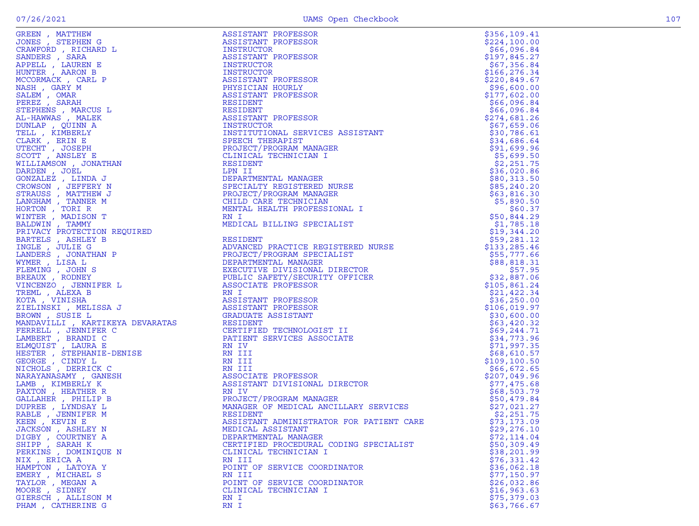| ۰.<br>w |  |
|---------|--|

| KEEN , KEVIN E                        | ASSISTANT ADMINISTRATOR FOR PATIENT CARE | \$73,173.09                |
|---------------------------------------|------------------------------------------|----------------------------|
| JACKSON, ASHLEY N                     | MEDICAL ASSISTANT                        | \$29, 276.10               |
| DIGBY, COURTNEY A                     | DEPARTMENTAL MANAGER                     | \$72,114.04                |
| SHIPP, SARAH K                        | CERTIFIED PROCEDURAL CODING SPECIALIST   | \$50,309.49<br>\$38,201.99 |
| PERKINS, DOMINIQUE N<br>NIX , ERICA A | CLINICAL TECHNICIAN I<br>RN III          | \$76,331.42                |
| HAMPTON, LATOYA Y                     | POINT OF SERVICE COORDINATOR             | \$36,062.18                |
| EMERY, MICHAEL S                      | RN III                                   | \$77,150.97                |
| TAYLOR, MEGAN A                       | POINT OF SERVICE COORDINATOR             | \$26,032.86                |
| MOORE , SIDNEY                        | CLINICAL TECHNICIAN I                    | \$16, 963.63               |
| GIERSCH, ALLISON M                    | RN I                                     | \$75,379.03                |
| PHAM, CATHERINE G                     | RN I                                     | \$63,766.67                |
|                                       |                                          |                            |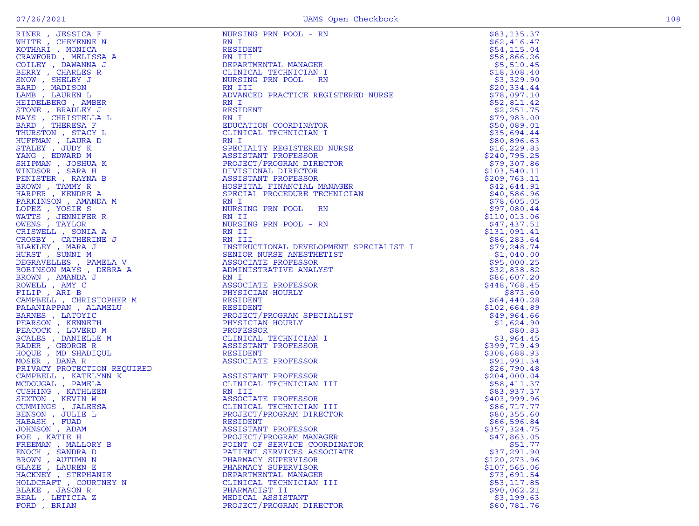| RINER, JESSICA F                                                                                                                                                                                 | NURSING PRN POOL - RN                                                       | \$83,135.37           |
|--------------------------------------------------------------------------------------------------------------------------------------------------------------------------------------------------|-----------------------------------------------------------------------------|-----------------------|
| WHITE, CHEYENNE N                                                                                                                                                                                | RN I                                                                        | \$62,416.47           |
| KOTHARI , MONICA                                                                                                                                                                                 | RESIDENT                                                                    | \$54,115.04           |
| CRAWFORD, MELISSA A                                                                                                                                                                              | RN III                                                                      | \$58,866.26           |
| COILEY, DAWANNA J                                                                                                                                                                                | DEPARTMENTAL MANAGER                                                        | \$5,510.45            |
| BERRY, CHARLES R                                                                                                                                                                                 | CLINICAL TECHNICIAN I                                                       | \$18,308.40           |
| SNOW, SHELBY J                                                                                                                                                                                   | NURSING PRN POOL - RN                                                       | \$3,329.90            |
| BARD, MADISON                                                                                                                                                                                    | RN III                                                                      | \$20,334.44           |
| LAMB, LAUREN L                                                                                                                                                                                   | ADVANCED PRACTICE REGISTERED NURSE                                          | \$78,097.10           |
| HEIDELBERG , AMBER                                                                                                                                                                               | RN I                                                                        | \$52,811.42           |
| STONE , BRADLEY J                                                                                                                                                                                | <b>RESIDENT</b>                                                             | \$2,251.75            |
| MAYS , CHRISTELLA L                                                                                                                                                                              | RN I                                                                        | \$79,983.00           |
| BARD, THERESA F                                                                                                                                                                                  | EDUCATION COORDINATOR                                                       | \$50,089.01           |
| THURSTON , STACY L                                                                                                                                                                               | CLINICAL TECHNICIAN I                                                       | \$35,694.44           |
| HUFFMAN, LAURA D                                                                                                                                                                                 | RN I                                                                        | \$80,896.63           |
| STALEY, JUDY K                                                                                                                                                                                   | SPECIALTY REGISTERED NURSE                                                  | \$16, 229.83          |
| YANG, EDWARD M                                                                                                                                                                                   | ASSISTANT PROFESSOR                                                         | \$240,795.25          |
| SHIPMAN, JOSHUA K                                                                                                                                                                                | PROJECT/PROGRAM DIRECTOR                                                    | \$79,307.86           |
| WINDSOR, SARA H                                                                                                                                                                                  | DIVISIONAL DIRECTOR                                                         | \$103,540.11          |
| PENISTER, RAYNA B                                                                                                                                                                                | ASSISTANT PROFESSOR                                                         | \$209,763.11          |
| BROWN, TAMMY R                                                                                                                                                                                   | HOSPITAL FINANCIAL MANAGER                                                  | \$42,644.91           |
| HARPER, KENDRE A                                                                                                                                                                                 | SPECIAL PROCEDURE TECHNICIAN                                                | \$40,586.96           |
| PARKINSON, AMANDA M                                                                                                                                                                              | RN I                                                                        | \$78,605.05           |
| LOPEZ, YOSIE S                                                                                                                                                                                   | NURSING PRN POOL - RN                                                       | \$97,080.44           |
| WATTS, JENNIFER R                                                                                                                                                                                | RN II                                                                       | \$110,013.06          |
| OWENS, TAYLOR                                                                                                                                                                                    | NURSING PRN POOL - RN                                                       | \$47,437.51           |
| CRISWELL , SONIA A                                                                                                                                                                               | RN II                                                                       | \$131,091.41          |
| CROSBY , CATHERINE J<br>BLAKLEY , MARA J<br>HURST , SUNNI M<br>DEGRAVELLES , PAMELA V<br>ROBINSON MAYS , DEBRA A<br>BROWN , AMANDA J<br>ROWELL , AMY C<br>FILIP , ARI B<br>CAMPBELJ. CHOTOMONITY | RN III<br>UFESSOR<br>VE ANALYST<br>VE ANALYST<br>FESSOR<br>LY<br>SPECTATION | \$86,283.64           |
|                                                                                                                                                                                                  | INSTRUCTIONAL DEVELOPMENT SPECIALIST I                                      | \$79,248.74           |
|                                                                                                                                                                                                  | SENIOR NURSE ANESTHETIST                                                    | \$1,040.00            |
|                                                                                                                                                                                                  | ASSOCIATE PROFESSOR                                                         | \$95,000.25           |
|                                                                                                                                                                                                  | ADMINISTRATIVE ANALYST                                                      | \$32,838.82           |
|                                                                                                                                                                                                  | RN I                                                                        | \$86,607.20           |
|                                                                                                                                                                                                  | ASSOCIATE PROFESSOR                                                         | \$448,768.45          |
|                                                                                                                                                                                                  | PHYSICIAN HOURLY                                                            | \$873.60              |
| CAMPBELL , CHRISTOPHER M                                                                                                                                                                         | RESIDENT                                                                    | \$64,440.28           |
| PALANIAPPAN, ALAMELU                                                                                                                                                                             | RESIDENT                                                                    | \$102,664.89          |
| BARNES , LATOYIC                                                                                                                                                                                 | PROJECT/PROGRAM SPECIALIST                                                  | \$49,964.66           |
| PEARSON, KENNETH                                                                                                                                                                                 | PHYSICIAN HOURLY                                                            | \$1,624.90            |
| PEACOCK, LOVERD M<br>SCALES , DANIELLE M                                                                                                                                                         | PROFESSOR<br>CLINICAL TECHNICIAN I                                          | \$80.83<br>\$3,964.45 |
| PHER M<br>IELU<br>M<br>JL<br>JROUITERD                                                                                                                                                           | ASSISTANT PROFESSOR                                                         | \$399,719.49          |
| RADER, GEORGE R<br>HOQUE, MD SHADIQUL                                                                                                                                                            | RESIDENT                                                                    | \$308,688.93          |
| MOSER, DANA R<br>$\begin{aligned} &\texttt{.QUIRED} \\ &\texttt{K} \end{aligned}$ .                                                                                                              | ASSOCIATE PROFESSOR                                                         | \$91,991.34           |
| PRIVACY PROTECTION REQUIRED                                                                                                                                                                      |                                                                             | \$26,790.48           |
| CAMPBELL, KATELYNN K                                                                                                                                                                             | ASSISTANT PROFESSOR                                                         | \$204,000.04          |
| MCDOUGAL, PAMELA                                                                                                                                                                                 | CLINICAL TECHNICIAN III                                                     | \$58,411.37           |
| CUSHING , KATHLEEN                                                                                                                                                                               | RN III                                                                      | \$83,937.37           |
| SEXTON, KEVIN W                                                                                                                                                                                  | ASSOCIATE PROFESSOR                                                         | \$403,999.96          |
| CUMMINGS, JALEESA                                                                                                                                                                                | CLINICAL TECHNICIAN III                                                     | \$86,717.77           |
| BENSON, JULIE L                                                                                                                                                                                  | PROJECT/PROGRAM DIRECTOR                                                    | \$80,355.60           |
| HABASH, FUAD                                                                                                                                                                                     | RESIDENT                                                                    | \$66,596.84           |
| JOHNSON, ADAM                                                                                                                                                                                    | ASSISTANT PROFESSOR                                                         | \$357,324.75          |
| POE, KATIE H                                                                                                                                                                                     | PROJECT/PROGRAM MANAGER                                                     | \$47,863.05           |
| FREEMAN, MALLORY B                                                                                                                                                                               | POINT OF SERVICE COORDINATOR                                                | \$51.77               |
| ENOCH, SANDRA D                                                                                                                                                                                  | PATIENT SERVICES ASSOCIATE                                                  | \$37,291.90           |
| BROWN, AUTUMN N                                                                                                                                                                                  | PHARMACY SUPERVISOR                                                         | \$120,273.96          |
| GLAZE , LAUREN E                                                                                                                                                                                 | PHARMACY SUPERVISOR                                                         | \$107,565.06          |
| HACKNEY, STEPHANIE                                                                                                                                                                               | DEPARTMENTAL MANAGER                                                        | \$73,691.54           |
| HOLDCRAFT, COURTNEY N                                                                                                                                                                            | CLINICAL TECHNICIAN III                                                     | \$53,117.85           |
| BLAKE, JASON R                                                                                                                                                                                   | PHARMACIST II                                                               | \$90,062.21           |
| BEAL , LETICIA Z                                                                                                                                                                                 | MEDICAL ASSISTANT                                                           | \$3,199.63            |
| FORD, BRIAN                                                                                                                                                                                      | PROJECT/PROGRAM DIRECTOR                                                    | \$60,781.76           |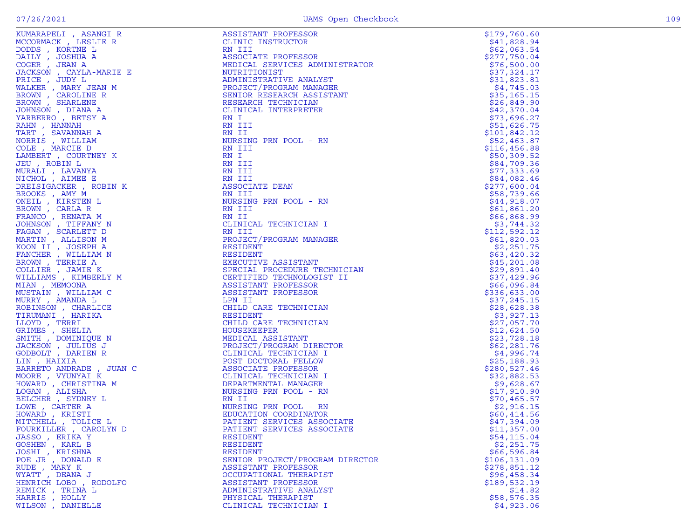| KUMARAPELI , ASANGI R<br>MCCORMACK , LESILIE R<br>MCCORMACK , LESILIE R<br>DAILY , JOSHUA A<br>DAILY , JOSHUA A<br>PACCE , JEAN A<br>PACCE , JEAN A<br>PACCE , MARY JEAN M<br>RALKER , MARY JEAN M<br>RALKER , MARY JEAN M<br>RANEBRRO, BERTY A<br>TARBERRO, BE | ASSISTANT PROFESSOR              | \$179,760.60               |
|-----------------------------------------------------------------------------------------------------------------------------------------------------------------------------------------------------------------------------------------------------------------|----------------------------------|----------------------------|
|                                                                                                                                                                                                                                                                 | CLINIC INSTRUCTOR                | \$41,828.94                |
|                                                                                                                                                                                                                                                                 | RN III<br>STRATOR<br>LINT<br>NT  | \$62,063.54                |
|                                                                                                                                                                                                                                                                 | ASSOCIATE PROFESSOR              | \$277,750.04               |
|                                                                                                                                                                                                                                                                 | MEDICAL SERVICES ADMINISTRATOR   | \$76,500.00                |
|                                                                                                                                                                                                                                                                 | NUTRITIONIST                     | \$37,324.17                |
|                                                                                                                                                                                                                                                                 | ADMINISTRATIVE ANALYST           | \$31,823.81                |
|                                                                                                                                                                                                                                                                 | PROJECT/PROGRAM MANAGER          | \$4,745.03                 |
|                                                                                                                                                                                                                                                                 | SENIOR RESEARCH ASSISTANT        | \$35,165.15                |
|                                                                                                                                                                                                                                                                 | RESEARCH TECHNICIAN              | \$26,849.90                |
|                                                                                                                                                                                                                                                                 | CLINICAL INTERPRETER             | \$42,370.04                |
|                                                                                                                                                                                                                                                                 | RN I                             | \$73,696.27                |
|                                                                                                                                                                                                                                                                 | RN III                           | \$51,626.75                |
|                                                                                                                                                                                                                                                                 | RN II                            | \$101,842.12               |
|                                                                                                                                                                                                                                                                 | NURSING PRN POOL - RN            | \$52,463.87                |
|                                                                                                                                                                                                                                                                 | RN III                           | \$116,456.88               |
|                                                                                                                                                                                                                                                                 | RN I                             | \$50,309.52                |
|                                                                                                                                                                                                                                                                 | RN III                           | \$84,709.36                |
|                                                                                                                                                                                                                                                                 | RN III                           | \$77,333.69                |
|                                                                                                                                                                                                                                                                 | RN III                           | \$84,082.46                |
|                                                                                                                                                                                                                                                                 | ASSOCIATE DEAN                   | \$277,600.04               |
|                                                                                                                                                                                                                                                                 | RN III                           | \$58,739.66                |
|                                                                                                                                                                                                                                                                 | NURSING PRN POOL - RN            | \$44,918.07                |
|                                                                                                                                                                                                                                                                 | RN III                           | \$61,861.20                |
|                                                                                                                                                                                                                                                                 | RN II                            | \$66,868.99                |
|                                                                                                                                                                                                                                                                 | CLINICAL TECHNICIAN I            | \$3,744.32                 |
|                                                                                                                                                                                                                                                                 | RN III                           | \$112,592.12               |
|                                                                                                                                                                                                                                                                 | PROJECT/PROGRAM MANAGER          | \$61,820.03                |
|                                                                                                                                                                                                                                                                 | RESIDENT                         | \$2,251.75                 |
|                                                                                                                                                                                                                                                                 | RESIDENT                         | \$63,420.32                |
|                                                                                                                                                                                                                                                                 | EXECUTIVE ASSISTANT              | \$45,201.08                |
|                                                                                                                                                                                                                                                                 | SPECIAL PROCEDURE TECHNICIAN     | \$29,891.40                |
|                                                                                                                                                                                                                                                                 | CERTIFIED TECHNOLOGIST II        | \$37,429.96                |
|                                                                                                                                                                                                                                                                 | ASSISTANT PROFESSOR              | \$66,096.84                |
|                                                                                                                                                                                                                                                                 | ASSISTANT PROFESSOR              | \$336,633.00               |
|                                                                                                                                                                                                                                                                 | LPN II<br>OR<br>IATE<br>IATE     | \$37,245.15                |
|                                                                                                                                                                                                                                                                 | CHILD CARE TECHNICIAN            | \$28,628.38                |
|                                                                                                                                                                                                                                                                 | RESIDENT                         | \$3,927.13                 |
|                                                                                                                                                                                                                                                                 | CHILD CARE TECHNICIAN            | \$27,057.70                |
|                                                                                                                                                                                                                                                                 | HOUSEKEEPER<br>MEDICAL ASSISTANT | \$12,624.50<br>\$23,728.18 |
|                                                                                                                                                                                                                                                                 | PROJECT/PROGRAM DIRECTOR         | \$62,281.76                |
|                                                                                                                                                                                                                                                                 | CLINICAL TECHNICIAN I            | \$4,996.74                 |
|                                                                                                                                                                                                                                                                 | POST DOCTORAL FELLOW             | \$25,188.93                |
|                                                                                                                                                                                                                                                                 | ASSOCIATE PROFESSOR              | \$280,527.46               |
|                                                                                                                                                                                                                                                                 | CLINICAL TECHNICIAN I            | \$32,882.53                |
|                                                                                                                                                                                                                                                                 | DEPARTMENTAL MANAGER             | \$9,628.67                 |
|                                                                                                                                                                                                                                                                 | NURSING PRN POOL - RN            | \$17,910.90                |
|                                                                                                                                                                                                                                                                 | RN II                            | \$70,465.57                |
|                                                                                                                                                                                                                                                                 | NURSING PRN POOL - RN            | \$2,916.15                 |
|                                                                                                                                                                                                                                                                 | EDUCATION COORDINATOR            | \$60,414.56                |
|                                                                                                                                                                                                                                                                 | PATIENT SERVICES ASSOCIATE       | \$47,394.09                |
| FOURKILLER , CAROLYN D                                                                                                                                                                                                                                          | PATIENT SERVICES ASSOCIATE       | \$11,357.00                |
| JASSO , ERIKA Y                                                                                                                                                                                                                                                 | RESIDENT                         | \$54,115.04                |
| GOSHEN , KARL B                                                                                                                                                                                                                                                 | RESIDENT                         | \$2,251.75                 |
| JOSHI , KRISHNA                                                                                                                                                                                                                                                 | RESIDENT                         | \$66,596.84                |
| POE JR, DONALD E                                                                                                                                                                                                                                                | SENIOR PROJECT/PROGRAM DIRECTOR  | \$106, 131.09              |
| RUDE, MARY K                                                                                                                                                                                                                                                    | ASSISTANT PROFESSOR              | \$278,851.12               |
| WYATT , DEANA J                                                                                                                                                                                                                                                 | OCCUPATIONAL THERAPIST           | \$96,458.34                |
| HENRICH LOBO , RODOLFO                                                                                                                                                                                                                                          | ASSISTANT PROFESSOR              | \$189,532.19               |
| REMICK , TRINA L                                                                                                                                                                                                                                                | ADMINISTRATIVE ANALYST           | \$14.82                    |
| HARRIS , HOLLY                                                                                                                                                                                                                                                  | PHYSICAL THERAPIST               | \$58,576.35                |
| WILSON , DANIELLE                                                                                                                                                                                                                                               | CLINICAL TECHNICIAN I            | \$4,923.06                 |
|                                                                                                                                                                                                                                                                 |                                  |                            |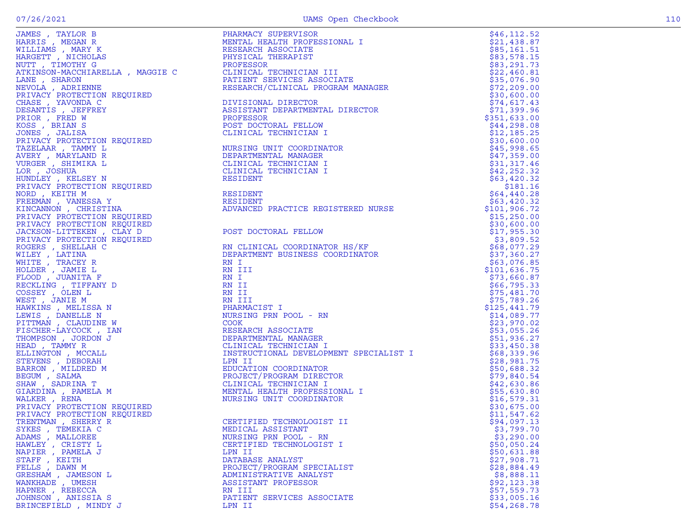| JAMES , TAYLOR B                                                                                                                                                                                                                                   | PHARMACY SUPERVISOR                                                                                                                                                                                                                                                                                                                                                                                                                                       | \$46,112.52   |
|----------------------------------------------------------------------------------------------------------------------------------------------------------------------------------------------------------------------------------------------------|-----------------------------------------------------------------------------------------------------------------------------------------------------------------------------------------------------------------------------------------------------------------------------------------------------------------------------------------------------------------------------------------------------------------------------------------------------------|---------------|
| HARRIS, MEGAN R                                                                                                                                                                                                                                    | PHARMACY SUPERVISOR<br>MENTAL HEALTH PROFESSIONAL I<br>RESEARCH ASSOCIATE<br>PHYSICAL THERAPIST<br>PROFESSOR<br>CLINICAL TECHNICIAN III<br>PATIENT SERVICES ASSOCIATE<br>RESEARCH/CLINICAL PROGRAM MANAGER<br>DIVISIONAL DIRECTOR<br>ASSISTANT DEPARTMENT<br>MENTAL HEALTH PROFES<br>RESEARCH ASSOCIATE<br>PHYSICAL THERAPIST<br>PROFESSOR<br>CLINICAL TECHNICIA<br>PATIENT SERVICES A<br>RESEARCH/CLINICAL                                               | \$21,438.87   |
| WILLIAMS, MARY K                                                                                                                                                                                                                                   |                                                                                                                                                                                                                                                                                                                                                                                                                                                           | \$85,161.51   |
| HARGETT, NICHOLAS                                                                                                                                                                                                                                  |                                                                                                                                                                                                                                                                                                                                                                                                                                                           | \$83,578.15   |
| NUTT, TIMOTHY G                                                                                                                                                                                                                                    |                                                                                                                                                                                                                                                                                                                                                                                                                                                           | \$83,291.73   |
|                                                                                                                                                                                                                                                    |                                                                                                                                                                                                                                                                                                                                                                                                                                                           |               |
| ATKINSON-MACCHIARELLA, MAGGIE C                                                                                                                                                                                                                    |                                                                                                                                                                                                                                                                                                                                                                                                                                                           | \$22,460.81   |
| LANE, SHARON<br>LANE , SHARON<br>NEVOLA , ADRIENNE<br>PRIVACY PROTECTION REQUIRED                                                                                                                                                                  |                                                                                                                                                                                                                                                                                                                                                                                                                                                           | \$35,076.90   |
|                                                                                                                                                                                                                                                    |                                                                                                                                                                                                                                                                                                                                                                                                                                                           | \$72, 209.00  |
|                                                                                                                                                                                                                                                    |                                                                                                                                                                                                                                                                                                                                                                                                                                                           | \$30,600.00   |
| CHASE, YAVONDA C                                                                                                                                                                                                                                   |                                                                                                                                                                                                                                                                                                                                                                                                                                                           | \$74,617.43   |
| DESANTIS , JEFFREY                                                                                                                                                                                                                                 |                                                                                                                                                                                                                                                                                                                                                                                                                                                           | \$71,399.96   |
| PRIOR, FRED W                                                                                                                                                                                                                                      |                                                                                                                                                                                                                                                                                                                                                                                                                                                           | \$351,633.00  |
| KOSS , BRIAN S                                                                                                                                                                                                                                     |                                                                                                                                                                                                                                                                                                                                                                                                                                                           | \$44,298.08   |
| JONES , JALISA                                                                                                                                                                                                                                     |                                                                                                                                                                                                                                                                                                                                                                                                                                                           | \$12,185.25   |
|                                                                                                                                                                                                                                                    |                                                                                                                                                                                                                                                                                                                                                                                                                                                           | \$30,600.00   |
| JONES , JALISA<br>PRIVACY PROTECTION REQUIRED<br>TAZELAAR , TAMYLAND R<br>AVERY , MARYLAND R<br>UURGER , SHIMIKA L<br>LOR , JOSHUA<br>HUNDLEY , KELSEY N<br>PRIVACY PROTECTION REQUIRED<br>NORD , KEITH M<br>FREEMAN , VANESSA Y<br>KINCANNON , CH | NURSING UNIT COORDINATOR                                                                                                                                                                                                                                                                                                                                                                                                                                  | \$45,998.65   |
|                                                                                                                                                                                                                                                    | DEPARTMENTAL MANAGER                                                                                                                                                                                                                                                                                                                                                                                                                                      | \$47,359.00   |
|                                                                                                                                                                                                                                                    | CLINICAL TECHNICIAN I                                                                                                                                                                                                                                                                                                                                                                                                                                     | \$31,317.46   |
|                                                                                                                                                                                                                                                    | CLINICAL TECHNICIAN I                                                                                                                                                                                                                                                                                                                                                                                                                                     | \$42,252.32   |
|                                                                                                                                                                                                                                                    | RESIDENT                                                                                                                                                                                                                                                                                                                                                                                                                                                  | \$63,420.32   |
|                                                                                                                                                                                                                                                    |                                                                                                                                                                                                                                                                                                                                                                                                                                                           | \$181.16      |
|                                                                                                                                                                                                                                                    |                                                                                                                                                                                                                                                                                                                                                                                                                                                           |               |
|                                                                                                                                                                                                                                                    | RESIDENT                                                                                                                                                                                                                                                                                                                                                                                                                                                  | \$64,440.28   |
|                                                                                                                                                                                                                                                    | RESIDENT                                                                                                                                                                                                                                                                                                                                                                                                                                                  | \$63,420.32   |
|                                                                                                                                                                                                                                                    | ADVANCED PRACTICE REGISTERED NURSE                                                                                                                                                                                                                                                                                                                                                                                                                        | \$101, 906.72 |
|                                                                                                                                                                                                                                                    |                                                                                                                                                                                                                                                                                                                                                                                                                                                           | \$15,250.00   |
| PRIVACY PROTECTION REQUIRED                                                                                                                                                                                                                        | POST DOCTORAL FELLOW<br>RN CLINICAL COORDINATOR HS/KF<br>DEPARTMENT BUSINESS COORDINATOR<br>RN I<br>RN III                                                                                                                                                                                                                                                                                                                                                | \$30,600.00   |
| JACKSON-LITTEKEN, CLAY D                                                                                                                                                                                                                           |                                                                                                                                                                                                                                                                                                                                                                                                                                                           | \$17,955.30   |
| PRIVACY PROTECTION REQUIRED                                                                                                                                                                                                                        |                                                                                                                                                                                                                                                                                                                                                                                                                                                           | \$3,809.52    |
| ROGERS, SHELLAH C                                                                                                                                                                                                                                  |                                                                                                                                                                                                                                                                                                                                                                                                                                                           | \$68,077.29   |
| WILEY , LATINA                                                                                                                                                                                                                                     |                                                                                                                                                                                                                                                                                                                                                                                                                                                           | \$37,360.27   |
| WHITE, TRACEY R                                                                                                                                                                                                                                    |                                                                                                                                                                                                                                                                                                                                                                                                                                                           | \$63,076.85   |
| HOLDER , JAMIE L                                                                                                                                                                                                                                   | RN III                                                                                                                                                                                                                                                                                                                                                                                                                                                    | \$101,636.75  |
| FLOOD, JUANITA F                                                                                                                                                                                                                                   | RN I                                                                                                                                                                                                                                                                                                                                                                                                                                                      | \$73,660.87   |
| RECKLING, TIFFANY D                                                                                                                                                                                                                                | RN II                                                                                                                                                                                                                                                                                                                                                                                                                                                     | \$66,795.33   |
| COSSEY , OLEN L                                                                                                                                                                                                                                    | RN II                                                                                                                                                                                                                                                                                                                                                                                                                                                     | \$75,481.70   |
|                                                                                                                                                                                                                                                    | RN III                                                                                                                                                                                                                                                                                                                                                                                                                                                    |               |
| WEST, JANIE M                                                                                                                                                                                                                                      |                                                                                                                                                                                                                                                                                                                                                                                                                                                           | \$75,789.26   |
| HAWKINS, MELISSA N                                                                                                                                                                                                                                 | PHARMACIST I                                                                                                                                                                                                                                                                                                                                                                                                                                              | \$125,441.79  |
| LEWIS, DANELLE N                                                                                                                                                                                                                                   | NURSING PRN POOL - RN                                                                                                                                                                                                                                                                                                                                                                                                                                     | \$14,089.77   |
| PITTMAN, CLAUDINE W                                                                                                                                                                                                                                | COOK                                                                                                                                                                                                                                                                                                                                                                                                                                                      | \$23,970.02   |
| FISCHER-LAYCOCK, IAN                                                                                                                                                                                                                               | RESEARCH ASSOCIATE                                                                                                                                                                                                                                                                                                                                                                                                                                        | \$53,055.26   |
| THOMPSON, JORDON J                                                                                                                                                                                                                                 | DEPARTMENTAL MANAGER                                                                                                                                                                                                                                                                                                                                                                                                                                      | \$51,936.27   |
| HEAD, TAMMY R                                                                                                                                                                                                                                      | CLINICAL TECHNICIAN I                                                                                                                                                                                                                                                                                                                                                                                                                                     | \$33,450.38   |
| ELLINGTON, MCCALL                                                                                                                                                                                                                                  | INSTRUCTIONAL DEVELOPMENT SPECIALIST I                                                                                                                                                                                                                                                                                                                                                                                                                    | \$68,339.96   |
| STEVENS, DEBORAH                                                                                                                                                                                                                                   | LPN II                                                                                                                                                                                                                                                                                                                                                                                                                                                    | \$28,981.75   |
| BARRON, MILDRED M                                                                                                                                                                                                                                  | $\begin{array}{cccc}\nT & 1 & \mathbf{I} & \mathbf{I} & \mathbf{I} & \mathbf{I} & \mathbf{I} & \mathbf{I} & \mathbf{I} & \mathbf{I} & \mathbf{I} & \mathbf{I} & \mathbf{I} & \mathbf{I} & \mathbf{I} & \mathbf{I} & \mathbf{I} & \mathbf{I} & \mathbf{I} & \mathbf{I} & \mathbf{I} & \mathbf{I} & \mathbf{I} & \mathbf{I} & \mathbf{I} & \mathbf{I} & \mathbf{I} & \mathbf{I} & \mathbf{I} & \mathbf{I} & \mathbf{I} & \mathbf{$<br>EDUCATION COORDINATOR | \$50,688.32   |
| BEGUM , SALMA                                                                                                                                                                                                                                      | PROJECT/PROGRAM DIRECTOR                                                                                                                                                                                                                                                                                                                                                                                                                                  | \$79,840.54   |
| SHAW, SADRINA T                                                                                                                                                                                                                                    | CLINICAL TECHNICIAN I                                                                                                                                                                                                                                                                                                                                                                                                                                     | \$42,630.86   |
| GIARDINA, PAMELA M                                                                                                                                                                                                                                 | MENTAL HEALTH PROFESSIONAL I                                                                                                                                                                                                                                                                                                                                                                                                                              | \$55,630.80   |
| WALKER, RENA                                                                                                                                                                                                                                       | NURSING UNIT COORDINATOR                                                                                                                                                                                                                                                                                                                                                                                                                                  | \$16,579.31   |
| PRIVACY PROTECTION REQUIRED                                                                                                                                                                                                                        |                                                                                                                                                                                                                                                                                                                                                                                                                                                           | \$30,675.00   |
| PRIVACY PROTECTION REQUIRED                                                                                                                                                                                                                        |                                                                                                                                                                                                                                                                                                                                                                                                                                                           | \$11,547.62   |
| TRENTMAN, SHERRY R                                                                                                                                                                                                                                 | CERTIFIED TECHNOLOGIST II                                                                                                                                                                                                                                                                                                                                                                                                                                 | \$94,097.13   |
|                                                                                                                                                                                                                                                    |                                                                                                                                                                                                                                                                                                                                                                                                                                                           |               |
| SYKES , TEMEKIA C                                                                                                                                                                                                                                  | MEDICAL ASSISTANT                                                                                                                                                                                                                                                                                                                                                                                                                                         | \$3,799.70    |
| ADAMS, MALLOREE                                                                                                                                                                                                                                    | NURSING PRN POOL - RN                                                                                                                                                                                                                                                                                                                                                                                                                                     | \$3,290.00    |
| HAWLEY , CRISTY L                                                                                                                                                                                                                                  | CERTIFIED TECHNOLOGIST I                                                                                                                                                                                                                                                                                                                                                                                                                                  | \$50,050.24   |
| NAPIER, PAMELA J                                                                                                                                                                                                                                   | LPN II                                                                                                                                                                                                                                                                                                                                                                                                                                                    | \$50,631.88   |
| STAFF, KEITH                                                                                                                                                                                                                                       | DATABASE ANALYST                                                                                                                                                                                                                                                                                                                                                                                                                                          | \$27,908.71   |
| FELLS, DAWN M                                                                                                                                                                                                                                      | PROJECT/PROGRAM SPECIALIST                                                                                                                                                                                                                                                                                                                                                                                                                                | \$28,884.49   |
| GRESHAM , JAMESON L                                                                                                                                                                                                                                | ADMINISTRATIVE ANALYST                                                                                                                                                                                                                                                                                                                                                                                                                                    | \$8,888.11    |
| WANKHADE , UMESH                                                                                                                                                                                                                                   | ASSISTANT PROFESSOR                                                                                                                                                                                                                                                                                                                                                                                                                                       | \$92,123.38   |
| HAPNER, REBECCA                                                                                                                                                                                                                                    | RN III                                                                                                                                                                                                                                                                                                                                                                                                                                                    | \$57,559.73   |
| JOHNSON, ANISSIA S                                                                                                                                                                                                                                 | PATIENT SERVICES ASSOCIATE                                                                                                                                                                                                                                                                                                                                                                                                                                | \$33,005.16   |
| BRINCEFIELD, MINDY J                                                                                                                                                                                                                               | LPN II                                                                                                                                                                                                                                                                                                                                                                                                                                                    | \$54, 268.78  |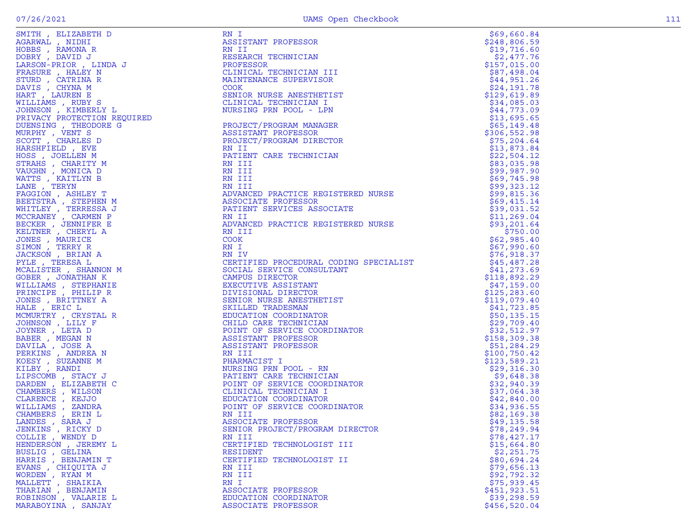| SMITH , ELIZABETH D<br>NGARWAL , NIDHI<br>HOBBS , RAMONA R<br>DOBRY , DAVID J<br>LARSON-PRIOR , LINDA J                                                                                                                                                              |
|----------------------------------------------------------------------------------------------------------------------------------------------------------------------------------------------------------------------------------------------------------------------|
|                                                                                                                                                                                                                                                                      |
|                                                                                                                                                                                                                                                                      |
|                                                                                                                                                                                                                                                                      |
|                                                                                                                                                                                                                                                                      |
|                                                                                                                                                                                                                                                                      |
|                                                                                                                                                                                                                                                                      |
|                                                                                                                                                                                                                                                                      |
|                                                                                                                                                                                                                                                                      |
|                                                                                                                                                                                                                                                                      |
|                                                                                                                                                                                                                                                                      |
|                                                                                                                                                                                                                                                                      |
| HARSUN-FRIOR<br>FRASURE , HALEY N<br>STURD , CATRINA R<br>DAVIS , CHYNA M<br>HART , LAUREN E<br>VILLIAMS , RUBY S<br>JOHNSON , KIMBERLY L<br>PRIVACY PROTECTION REQUIREL<br>PRIVACY PROTECTION REQUIREL                                                              |
|                                                                                                                                                                                                                                                                      |
| <b>DUENSING , THEODORE G<br/>MURPHY , VENT S<br/>SCOTT , CHARLES D<br/>HARSHFIELD , EVE</b>                                                                                                                                                                          |
|                                                                                                                                                                                                                                                                      |
|                                                                                                                                                                                                                                                                      |
|                                                                                                                                                                                                                                                                      |
|                                                                                                                                                                                                                                                                      |
|                                                                                                                                                                                                                                                                      |
|                                                                                                                                                                                                                                                                      |
|                                                                                                                                                                                                                                                                      |
| HOSS , JOELLEN M<br>HOSS , JOELLEN M<br>FTRAHS , CHARITY M<br>VAUGHN , MONICA D<br>VATTS , KAITLYN B<br>LANE , TERYN                                                                                                                                                 |
|                                                                                                                                                                                                                                                                      |
| FAGGION, ASHLEY T                                                                                                                                                                                                                                                    |
|                                                                                                                                                                                                                                                                      |
|                                                                                                                                                                                                                                                                      |
|                                                                                                                                                                                                                                                                      |
|                                                                                                                                                                                                                                                                      |
|                                                                                                                                                                                                                                                                      |
|                                                                                                                                                                                                                                                                      |
|                                                                                                                                                                                                                                                                      |
|                                                                                                                                                                                                                                                                      |
|                                                                                                                                                                                                                                                                      |
| FAGGION , ASHLEY T<br>BEETSTRA , STEPHEN M<br>WHITLEY , TERRESSA J<br>MCCRANEY , CARMEN P<br>BECKER , JENNIFER E<br>KELTNER , CHERYL A<br>JONES , MAURICE<br>JACKSON , BRIAN A<br>JACKSON , BRIAN A<br>JYLE TERESA L<br><br>PYLE , TERESA L<br>MCALISTER , SHANNON M |
|                                                                                                                                                                                                                                                                      |
|                                                                                                                                                                                                                                                                      |
| GOBER , JONATHAN K                                                                                                                                                                                                                                                   |
| NILLIAMS , STEPHANIE<br>PRINCIPE , PHILIP R                                                                                                                                                                                                                          |
|                                                                                                                                                                                                                                                                      |
| JONES , BRITTNEY A<br>HALE , ERIC L                                                                                                                                                                                                                                  |
|                                                                                                                                                                                                                                                                      |
| HALE , ERIC L<br>MCMURTRY , CRYSTAL R<br>JOHNSON , LILY F<br>JOYNER , LETA D<br>BABER , MEGAN N<br>DAVILA , JOSE A<br>MERKINS , ANDREA N<br>CESY , SUZANNE M<br>CILBY , RANDI<br>MICEY , NANDI<br>LIPSCOMR STACY J                                                   |
|                                                                                                                                                                                                                                                                      |
|                                                                                                                                                                                                                                                                      |
|                                                                                                                                                                                                                                                                      |
|                                                                                                                                                                                                                                                                      |
|                                                                                                                                                                                                                                                                      |
|                                                                                                                                                                                                                                                                      |
|                                                                                                                                                                                                                                                                      |
|                                                                                                                                                                                                                                                                      |
|                                                                                                                                                                                                                                                                      |
|                                                                                                                                                                                                                                                                      |
|                                                                                                                                                                                                                                                                      |
|                                                                                                                                                                                                                                                                      |
|                                                                                                                                                                                                                                                                      |
|                                                                                                                                                                                                                                                                      |
|                                                                                                                                                                                                                                                                      |
|                                                                                                                                                                                                                                                                      |
|                                                                                                                                                                                                                                                                      |
|                                                                                                                                                                                                                                                                      |
|                                                                                                                                                                                                                                                                      |
| (ILBY , KANDI<br>LIPSCOMB , STACY J<br>DARDEN , ELIZABETH C<br>CHAMBERS , WILSON<br>CHAMBERS , WILSON<br>VILLIAMS , ZANDRA<br>VILLIAMS , ZANDRA<br>CHAMBERS , ERIN L<br>COLLIE , WENDY D<br>VENNERSON . JEREMY L<br>FENDERSON . JEREMY L<br>HENDERSON , JEREMY L     |
| 3USLIG<br><b>GELINA</b>                                                                                                                                                                                                                                              |
| $\mathbf{r}$<br><b>BENJAMIN T</b><br><b>IARRIS</b>                                                                                                                                                                                                                   |
| $\hat{E}$                                                                                                                                                                                                                                                            |
|                                                                                                                                                                                                                                                                      |
| CHIOUITA J                                                                                                                                                                                                                                                           |
| EVANS                                                                                                                                                                                                                                                                |
| VORDEN, RYAN M                                                                                                                                                                                                                                                       |
|                                                                                                                                                                                                                                                                      |
| MALLETT , SHAIKIA<br>THARIAN , BENJAMIN<br>ROBINSON , VALARIE L                                                                                                                                                                                                      |

|                                                                                                                                                                                                                                                                              | RN I                                                                                                                                                                                  | \$69,660.84                  |
|------------------------------------------------------------------------------------------------------------------------------------------------------------------------------------------------------------------------------------------------------------------------------|---------------------------------------------------------------------------------------------------------------------------------------------------------------------------------------|------------------------------|
|                                                                                                                                                                                                                                                                              | ASSISTANT PROFESSOR                                                                                                                                                                   | \$248,806.59                 |
|                                                                                                                                                                                                                                                                              | RN II                                                                                                                                                                                 | \$19,716.60                  |
|                                                                                                                                                                                                                                                                              | RESEARCH TECHNICIAN                                                                                                                                                                   | \$2,477.76                   |
|                                                                                                                                                                                                                                                                              | PROFESSOR                                                                                                                                                                             | \$157,015.00                 |
|                                                                                                                                                                                                                                                                              | CLINICAL TECHNICIAN III                                                                                                                                                               | \$87,498.04                  |
|                                                                                                                                                                                                                                                                              | MAINTENANCE SUPERVISOR                                                                                                                                                                | \$44,951.26                  |
|                                                                                                                                                                                                                                                                              | <b>COOK</b>                                                                                                                                                                           | \$24,191.78                  |
|                                                                                                                                                                                                                                                                              | SENIOR NURSE ANESTHETIST                                                                                                                                                              | \$129,619.89                 |
|                                                                                                                                                                                                                                                                              | CLINICAL TECHNICIAN I                                                                                                                                                                 | \$34,085.03                  |
|                                                                                                                                                                                                                                                                              | NURSING PRN POOL - LPN                                                                                                                                                                | \$44,773.09                  |
|                                                                                                                                                                                                                                                                              |                                                                                                                                                                                       | \$13,695.65                  |
|                                                                                                                                                                                                                                                                              | PROJECT/PROGRAM MANAGER                                                                                                                                                               | \$65,149.48                  |
|                                                                                                                                                                                                                                                                              | ASSISTANT PROFESSOR                                                                                                                                                                   | \$306,552.98                 |
|                                                                                                                                                                                                                                                                              | PROJECT/PROGRAM DIRECTOR                                                                                                                                                              | \$75, 204.64                 |
|                                                                                                                                                                                                                                                                              | RN II                                                                                                                                                                                 | \$13,873.84                  |
|                                                                                                                                                                                                                                                                              | PATIENT CARE TECHNICIAN                                                                                                                                                               | \$22,504.12                  |
|                                                                                                                                                                                                                                                                              | RN III                                                                                                                                                                                | \$83,035.98                  |
|                                                                                                                                                                                                                                                                              | RN III                                                                                                                                                                                | \$99,987.90                  |
|                                                                                                                                                                                                                                                                              | RN III                                                                                                                                                                                | \$69,745.98                  |
|                                                                                                                                                                                                                                                                              | RN III                                                                                                                                                                                | \$99,323.12                  |
|                                                                                                                                                                                                                                                                              |                                                                                                                                                                                       | \$99,815.36                  |
|                                                                                                                                                                                                                                                                              |                                                                                                                                                                                       | \$69,415.14                  |
|                                                                                                                                                                                                                                                                              |                                                                                                                                                                                       | \$39,031.52                  |
|                                                                                                                                                                                                                                                                              |                                                                                                                                                                                       | \$11, 269.04                 |
|                                                                                                                                                                                                                                                                              | RN III<br>ADVANCED PRACTICE REGISTERED NURSE<br>ASSOCIATE PROFESSOR<br>PATIENT SERVICES ASSOCIATE<br>RN II<br>ADVANCED PRACTICE REGISTERED NURSE<br>RN III<br>COOK                    | \$93,201.64                  |
|                                                                                                                                                                                                                                                                              |                                                                                                                                                                                       | \$750.00                     |
|                                                                                                                                                                                                                                                                              |                                                                                                                                                                                       | \$62,985.40                  |
|                                                                                                                                                                                                                                                                              | RN I                                                                                                                                                                                  | \$67,990.60                  |
|                                                                                                                                                                                                                                                                              | RN IV                                                                                                                                                                                 | \$76,918.37                  |
|                                                                                                                                                                                                                                                                              | CERTIFIED PROCEDURAL CODING SPECIALIST<br>SOCIAL SERVICE CONSULTANT<br>CAMPUS DIRECTOR<br>EXECUTIVE ASSISTANT<br>DIVISIONAL DIRECTOR<br>SENIOR NURSE ANESTHETIST<br>SKILLED TRADESMAN | \$45,487.28                  |
|                                                                                                                                                                                                                                                                              |                                                                                                                                                                                       | \$41,273.69<br>\$118,892.29  |
|                                                                                                                                                                                                                                                                              |                                                                                                                                                                                       |                              |
|                                                                                                                                                                                                                                                                              |                                                                                                                                                                                       | \$47,159.00<br>\$125, 283.60 |
|                                                                                                                                                                                                                                                                              |                                                                                                                                                                                       | \$119,079.40                 |
|                                                                                                                                                                                                                                                                              |                                                                                                                                                                                       | \$41,723.85                  |
|                                                                                                                                                                                                                                                                              | EDUCATION COORDINATOR                                                                                                                                                                 | \$50, 135.15                 |
|                                                                                                                                                                                                                                                                              | CHILD CARE TECHNICIAN                                                                                                                                                                 | \$29,709.40                  |
|                                                                                                                                                                                                                                                                              | POINT OF SERVICE COORDINATOR                                                                                                                                                          | \$32,512.97                  |
|                                                                                                                                                                                                                                                                              | ASSISTANT PROFESSOR                                                                                                                                                                   | \$158,309.38                 |
|                                                                                                                                                                                                                                                                              | ASSISTANT PROFESSOR                                                                                                                                                                   | \$51,284.29                  |
|                                                                                                                                                                                                                                                                              | RN III                                                                                                                                                                                | \$100,750.42                 |
|                                                                                                                                                                                                                                                                              | PHARMACIST I                                                                                                                                                                          | \$123,589.21                 |
|                                                                                                                                                                                                                                                                              | NURSING PRN POOL - RN                                                                                                                                                                 | \$29,316.30                  |
|                                                                                                                                                                                                                                                                              | PATIENT CARE TECHNICIAN                                                                                                                                                               | \$9,648.38                   |
|                                                                                                                                                                                                                                                                              | POINT OF SERVICE COORDINATOR                                                                                                                                                          | \$32,940.39                  |
|                                                                                                                                                                                                                                                                              | CLINICAL TECHNICIAN I                                                                                                                                                                 | \$37,064.38                  |
|                                                                                                                                                                                                                                                                              | EDUCATION COORDINATOR                                                                                                                                                                 | \$42,840.00                  |
|                                                                                                                                                                                                                                                                              | POINT OF SERVICE COORDINATOR                                                                                                                                                          | \$34,936.55                  |
|                                                                                                                                                                                                                                                                              | RN III                                                                                                                                                                                | \$82,169.38                  |
|                                                                                                                                                                                                                                                                              | ASSOCIATE PROFESSOR                                                                                                                                                                   | \$49,135.58                  |
| JENKINS, RICKY D                                                                                                                                                                                                                                                             | SENIOR PROJECT/PROGRAM DIRECTOR                                                                                                                                                       | \$78,249.94                  |
| SMITH, ELIZABERTH DI MINI ROMANIA NARANA , NIDHI<br>AGRAWAL , NIDHI HOBES , RAMONA R<br>DOBRY , RAMONA R<br>LARSON-PRIOR , LINDA J<br>FRASURE , HALEY N<br>DIVIS , CHYNA M<br>BART , CHYNA M<br>MILLIAMS , RUBY EN MINIS R<br>MILLIAMS , RUBY L<br>PRIVAC<br>COLLIE, WENDY D | RN III                                                                                                                                                                                | \$78,427.17                  |
| HENDERSON, JEREMY L                                                                                                                                                                                                                                                          | CERTIFIED TECHNOLOGIST III                                                                                                                                                            | \$15,664.80                  |
| BUSLIG , GELINA                                                                                                                                                                                                                                                              | RESIDENT                                                                                                                                                                              | \$2,251.75                   |
| HARRIS, BENJAMIN T                                                                                                                                                                                                                                                           | CERTIFIED TECHNOLOGIST II                                                                                                                                                             | \$80,694.24                  |
| EVANS, CHIQUITA J                                                                                                                                                                                                                                                            | RN III                                                                                                                                                                                | \$79,656.13                  |
| WORDEN, RYAN M                                                                                                                                                                                                                                                               | RN III                                                                                                                                                                                | \$92,792.32                  |
| MALLETT , SHAIKIA                                                                                                                                                                                                                                                            | RN I                                                                                                                                                                                  | \$75,939.45                  |
| THARIAN, BENJAMIN                                                                                                                                                                                                                                                            | ASSOCIATE PROFESSOR                                                                                                                                                                   | \$451,923.51                 |
| ROBINSON, VALARIE L                                                                                                                                                                                                                                                          | EDUCATION COORDINATOR                                                                                                                                                                 | \$39,298.59                  |
| MARABOYINA , SANJAY                                                                                                                                                                                                                                                          | ASSOCIATE PROFESSOR                                                                                                                                                                   | \$456,520.04                 |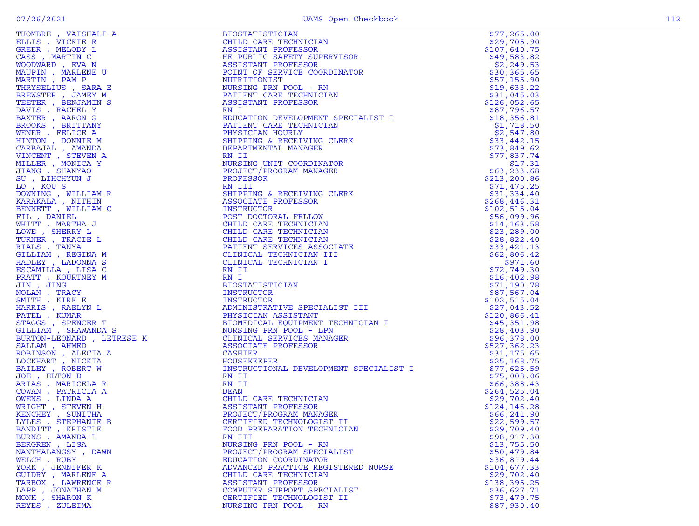|                     | The state in the state of the state of the state of the state of the state of the state of the state of the state of the state of the state of the state of the state of the state of the state of the state of the state of<br>HE PUBLIC DAPENGES IN THE CORDINATOR<br>ASSISTANT PROPIESOR PRIVITSOR<br>NOTENT OF SERVICE CORDINATOR<br>NUESSING PRIN<br>NOTENTION DEVELOPMENT SPECIALIST I<br>NOTENT CARE TECHNICIAN<br>NOTENT CARE TECHNICIAN<br>ENTIRE THE CORDINATOR SP |                                                                                                  |
|---------------------|------------------------------------------------------------------------------------------------------------------------------------------------------------------------------------------------------------------------------------------------------------------------------------------------------------------------------------------------------------------------------------------------------------------------------------------------------------------------------|--------------------------------------------------------------------------------------------------|
|                     |                                                                                                                                                                                                                                                                                                                                                                                                                                                                              |                                                                                                  |
|                     |                                                                                                                                                                                                                                                                                                                                                                                                                                                                              |                                                                                                  |
|                     |                                                                                                                                                                                                                                                                                                                                                                                                                                                                              |                                                                                                  |
|                     |                                                                                                                                                                                                                                                                                                                                                                                                                                                                              |                                                                                                  |
|                     |                                                                                                                                                                                                                                                                                                                                                                                                                                                                              |                                                                                                  |
|                     |                                                                                                                                                                                                                                                                                                                                                                                                                                                                              |                                                                                                  |
|                     |                                                                                                                                                                                                                                                                                                                                                                                                                                                                              |                                                                                                  |
|                     |                                                                                                                                                                                                                                                                                                                                                                                                                                                                              |                                                                                                  |
|                     |                                                                                                                                                                                                                                                                                                                                                                                                                                                                              |                                                                                                  |
|                     |                                                                                                                                                                                                                                                                                                                                                                                                                                                                              |                                                                                                  |
|                     |                                                                                                                                                                                                                                                                                                                                                                                                                                                                              |                                                                                                  |
|                     |                                                                                                                                                                                                                                                                                                                                                                                                                                                                              |                                                                                                  |
|                     |                                                                                                                                                                                                                                                                                                                                                                                                                                                                              |                                                                                                  |
|                     |                                                                                                                                                                                                                                                                                                                                                                                                                                                                              |                                                                                                  |
|                     |                                                                                                                                                                                                                                                                                                                                                                                                                                                                              |                                                                                                  |
|                     |                                                                                                                                                                                                                                                                                                                                                                                                                                                                              |                                                                                                  |
|                     |                                                                                                                                                                                                                                                                                                                                                                                                                                                                              |                                                                                                  |
|                     |                                                                                                                                                                                                                                                                                                                                                                                                                                                                              |                                                                                                  |
|                     |                                                                                                                                                                                                                                                                                                                                                                                                                                                                              |                                                                                                  |
|                     |                                                                                                                                                                                                                                                                                                                                                                                                                                                                              |                                                                                                  |
|                     |                                                                                                                                                                                                                                                                                                                                                                                                                                                                              |                                                                                                  |
|                     |                                                                                                                                                                                                                                                                                                                                                                                                                                                                              |                                                                                                  |
|                     |                                                                                                                                                                                                                                                                                                                                                                                                                                                                              |                                                                                                  |
|                     |                                                                                                                                                                                                                                                                                                                                                                                                                                                                              |                                                                                                  |
|                     |                                                                                                                                                                                                                                                                                                                                                                                                                                                                              |                                                                                                  |
|                     |                                                                                                                                                                                                                                                                                                                                                                                                                                                                              |                                                                                                  |
|                     |                                                                                                                                                                                                                                                                                                                                                                                                                                                                              |                                                                                                  |
|                     |                                                                                                                                                                                                                                                                                                                                                                                                                                                                              |                                                                                                  |
|                     |                                                                                                                                                                                                                                                                                                                                                                                                                                                                              |                                                                                                  |
|                     |                                                                                                                                                                                                                                                                                                                                                                                                                                                                              |                                                                                                  |
|                     |                                                                                                                                                                                                                                                                                                                                                                                                                                                                              |                                                                                                  |
|                     |                                                                                                                                                                                                                                                                                                                                                                                                                                                                              |                                                                                                  |
|                     |                                                                                                                                                                                                                                                                                                                                                                                                                                                                              | $, 1, 190$<br>$$87, 567$ .0<br>$$102, 515$ .04<br>$$27, 043$ .52<br>$$120, 866$ .41<br>$$45, 35$ |
|                     |                                                                                                                                                                                                                                                                                                                                                                                                                                                                              |                                                                                                  |
|                     |                                                                                                                                                                                                                                                                                                                                                                                                                                                                              |                                                                                                  |
|                     |                                                                                                                                                                                                                                                                                                                                                                                                                                                                              |                                                                                                  |
|                     |                                                                                                                                                                                                                                                                                                                                                                                                                                                                              |                                                                                                  |
|                     |                                                                                                                                                                                                                                                                                                                                                                                                                                                                              |                                                                                                  |
|                     |                                                                                                                                                                                                                                                                                                                                                                                                                                                                              | \$96,378.00<br>\$527,362.23                                                                      |
|                     |                                                                                                                                                                                                                                                                                                                                                                                                                                                                              | \$31,175.65                                                                                      |
|                     |                                                                                                                                                                                                                                                                                                                                                                                                                                                                              | \$25,168.75                                                                                      |
|                     |                                                                                                                                                                                                                                                                                                                                                                                                                                                                              | \$77,625.59                                                                                      |
|                     |                                                                                                                                                                                                                                                                                                                                                                                                                                                                              | \$75,008.06                                                                                      |
|                     |                                                                                                                                                                                                                                                                                                                                                                                                                                                                              | \$66,388.43                                                                                      |
|                     |                                                                                                                                                                                                                                                                                                                                                                                                                                                                              | \$264,525.04                                                                                     |
|                     |                                                                                                                                                                                                                                                                                                                                                                                                                                                                              | \$29,702.40                                                                                      |
|                     |                                                                                                                                                                                                                                                                                                                                                                                                                                                                              | \$124,146.28                                                                                     |
|                     |                                                                                                                                                                                                                                                                                                                                                                                                                                                                              | \$66, 241.90                                                                                     |
|                     |                                                                                                                                                                                                                                                                                                                                                                                                                                                                              | \$22,599.57                                                                                      |
|                     |                                                                                                                                                                                                                                                                                                                                                                                                                                                                              | \$29,709.40                                                                                      |
| BURNS, AMANDA L     | RN III                                                                                                                                                                                                                                                                                                                                                                                                                                                                       | \$98,917.30                                                                                      |
| BERGREN, LISA       | NURSING PRN POOL - RN                                                                                                                                                                                                                                                                                                                                                                                                                                                        | \$13,755.50                                                                                      |
| NANTHALANGSY , DAWN | PROJECT/PROGRAM SPECIALIST                                                                                                                                                                                                                                                                                                                                                                                                                                                   | \$50,479.84                                                                                      |
| WELCH, RUBY         | EDUCATION COORDINATOR                                                                                                                                                                                                                                                                                                                                                                                                                                                        | \$36,819.44                                                                                      |
| YORK, JENNIFER K    | ADVANCED PRACTICE REGISTERED NURSE                                                                                                                                                                                                                                                                                                                                                                                                                                           | \$104,677.33                                                                                     |
| GUIDRY, MARLENE A   | CHILD CARE TECHNICIAN                                                                                                                                                                                                                                                                                                                                                                                                                                                        | \$29,702.40                                                                                      |
| TARBOX, LAWRENCE R  | ASSISTANT PROFESSOR                                                                                                                                                                                                                                                                                                                                                                                                                                                          | \$138,395.25                                                                                     |
| LAPP, JONATHAN M    | COMPUTER SUPPORT SPECIALIST                                                                                                                                                                                                                                                                                                                                                                                                                                                  | \$36,627.71                                                                                      |
| MONK, SHARON K      | CERTIFIED TECHNOLOGIST II                                                                                                                                                                                                                                                                                                                                                                                                                                                    | \$73,479.75                                                                                      |
| REYES, ZULEIMA      | NURSING PRN POOL - RN                                                                                                                                                                                                                                                                                                                                                                                                                                                        | \$87,930.40                                                                                      |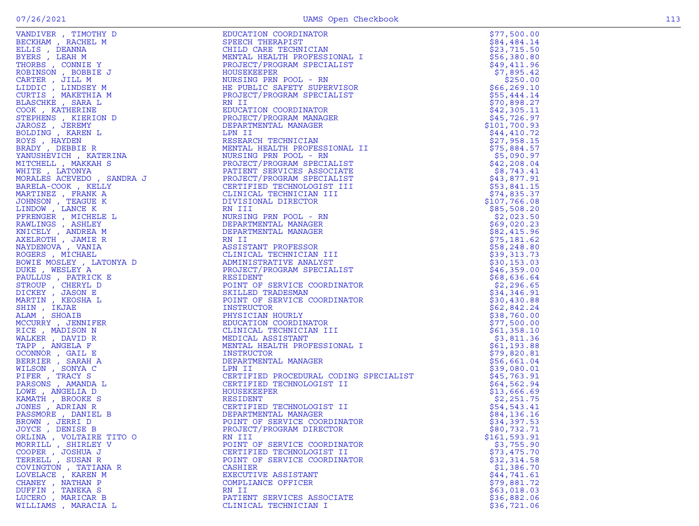| VANDING , THOMAS , THE MOVING SOMETIME SERIES (THE MOVING SOMETIME SERIES (THE MOVING SERIES (THE MOVING SERIES (THE MOVING SERIES (THE MOVING SERIES (THE MOVING SERIES (THE MOVING SERIES (THE MOVING SERIES (THE MOVING SE | EDUCATION COORDINATOR<br>SPEECH THERAFIST<br>CHELD CARE TECHNICIAN<br>NEWTAL HEALTH PROFESSIONAL I<br>NEWTAL HEALTH PROFESSIONAL TRONG METALLIST<br>RODECT/PROGRAM SPECIALIST<br>HE POUSATION PRODUCT AND THE PROTECT SUPPRIVISOR<br>HE POUS                 | \$77,500.00                |
|-------------------------------------------------------------------------------------------------------------------------------------------------------------------------------------------------------------------------------|--------------------------------------------------------------------------------------------------------------------------------------------------------------------------------------------------------------------------------------------------------------|----------------------------|
|                                                                                                                                                                                                                               |                                                                                                                                                                                                                                                              | \$84,484.14                |
|                                                                                                                                                                                                                               |                                                                                                                                                                                                                                                              | \$23,715.50                |
|                                                                                                                                                                                                                               |                                                                                                                                                                                                                                                              | \$56,380.80                |
|                                                                                                                                                                                                                               |                                                                                                                                                                                                                                                              | \$49,411.96                |
|                                                                                                                                                                                                                               |                                                                                                                                                                                                                                                              | \$7,895.42                 |
|                                                                                                                                                                                                                               |                                                                                                                                                                                                                                                              | \$250.00                   |
|                                                                                                                                                                                                                               |                                                                                                                                                                                                                                                              | \$66, 269.10               |
|                                                                                                                                                                                                                               |                                                                                                                                                                                                                                                              | \$55,444.14                |
|                                                                                                                                                                                                                               |                                                                                                                                                                                                                                                              | \$70,898.27                |
|                                                                                                                                                                                                                               |                                                                                                                                                                                                                                                              | \$42,305.11                |
|                                                                                                                                                                                                                               |                                                                                                                                                                                                                                                              | \$45,726.97                |
|                                                                                                                                                                                                                               |                                                                                                                                                                                                                                                              | \$101,700.93               |
|                                                                                                                                                                                                                               |                                                                                                                                                                                                                                                              | \$44,410.72                |
|                                                                                                                                                                                                                               |                                                                                                                                                                                                                                                              | \$27,958.15                |
|                                                                                                                                                                                                                               |                                                                                                                                                                                                                                                              | \$75,884.57                |
|                                                                                                                                                                                                                               |                                                                                                                                                                                                                                                              | \$5,090.97                 |
|                                                                                                                                                                                                                               |                                                                                                                                                                                                                                                              | \$42, 208.04               |
|                                                                                                                                                                                                                               |                                                                                                                                                                                                                                                              | \$8,743.41                 |
|                                                                                                                                                                                                                               |                                                                                                                                                                                                                                                              | \$43,877.91                |
|                                                                                                                                                                                                                               |                                                                                                                                                                                                                                                              | \$53,841.15                |
|                                                                                                                                                                                                                               |                                                                                                                                                                                                                                                              | \$74,835.37                |
|                                                                                                                                                                                                                               |                                                                                                                                                                                                                                                              | \$107,766.08               |
|                                                                                                                                                                                                                               |                                                                                                                                                                                                                                                              | \$85,508.20                |
|                                                                                                                                                                                                                               |                                                                                                                                                                                                                                                              | \$2,023.50                 |
|                                                                                                                                                                                                                               |                                                                                                                                                                                                                                                              | \$69,020.23                |
|                                                                                                                                                                                                                               |                                                                                                                                                                                                                                                              | \$82,415.96                |
|                                                                                                                                                                                                                               |                                                                                                                                                                                                                                                              | \$75,181.62                |
|                                                                                                                                                                                                                               |                                                                                                                                                                                                                                                              | \$58,248.80                |
|                                                                                                                                                                                                                               |                                                                                                                                                                                                                                                              | \$39,313.73                |
|                                                                                                                                                                                                                               |                                                                                                                                                                                                                                                              | \$30,153.03                |
|                                                                                                                                                                                                                               |                                                                                                                                                                                                                                                              | \$46,359.00                |
|                                                                                                                                                                                                                               |                                                                                                                                                                                                                                                              | \$68,636.64                |
|                                                                                                                                                                                                                               |                                                                                                                                                                                                                                                              | \$2,296.65                 |
|                                                                                                                                                                                                                               |                                                                                                                                                                                                                                                              | \$34,346.91                |
|                                                                                                                                                                                                                               |                                                                                                                                                                                                                                                              | \$30,430.88                |
|                                                                                                                                                                                                                               |                                                                                                                                                                                                                                                              | \$62,842.24                |
|                                                                                                                                                                                                                               |                                                                                                                                                                                                                                                              | \$38,760.00                |
|                                                                                                                                                                                                                               |                                                                                                                                                                                                                                                              | \$77,500.00                |
|                                                                                                                                                                                                                               |                                                                                                                                                                                                                                                              | \$61,358.10                |
|                                                                                                                                                                                                                               |                                                                                                                                                                                                                                                              | \$3,811.36                 |
|                                                                                                                                                                                                                               |                                                                                                                                                                                                                                                              | \$61,193.88                |
|                                                                                                                                                                                                                               |                                                                                                                                                                                                                                                              | \$79,820.81<br>\$56,661.04 |
|                                                                                                                                                                                                                               |                                                                                                                                                                                                                                                              | \$39,080.01                |
|                                                                                                                                                                                                                               |                                                                                                                                                                                                                                                              | \$45,763.91                |
|                                                                                                                                                                                                                               | INSIKULIUK<br>DEPARTMENTAL MANAGER<br>LPN II<br>CERTIFIED PROCEDURAL CODING SPECIALIST<br>CERTIFIED TECHNOLOGIST II<br>HOUSEKEEPER<br>RESIDENT<br>CERTIFIED TECHNOLOGIST II<br>DEPARTMENTAL MANAGER<br>POINT OF SERVICE COORDINATOR<br>PROJECT/PROGRAM DIREC | \$64,562.94                |
|                                                                                                                                                                                                                               |                                                                                                                                                                                                                                                              | \$13,666.69                |
|                                                                                                                                                                                                                               |                                                                                                                                                                                                                                                              | \$2,251.75                 |
|                                                                                                                                                                                                                               |                                                                                                                                                                                                                                                              | \$54,543.41                |
|                                                                                                                                                                                                                               |                                                                                                                                                                                                                                                              | \$84,136.16                |
|                                                                                                                                                                                                                               |                                                                                                                                                                                                                                                              | \$34,397.53                |
| JOYCE, DENISE B                                                                                                                                                                                                               | PROJECT/PROGRAM DIRECTOR                                                                                                                                                                                                                                     | \$80,732.71                |
| ORLINA, VOLTAIRE TITO O                                                                                                                                                                                                       | RN III                                                                                                                                                                                                                                                       | \$161, 593.91              |
| MORRILL, SHIRLEY V                                                                                                                                                                                                            | POINT OF SERVICE COORDINATOR                                                                                                                                                                                                                                 | \$3,755.90                 |
| COOPER, JOSHUA J                                                                                                                                                                                                              | CERTIFIED TECHNOLOGIST II                                                                                                                                                                                                                                    | \$73,475.70                |
| TERRELL , SUSAN R                                                                                                                                                                                                             | POINT OF SERVICE COORDINATOR                                                                                                                                                                                                                                 | \$32,314.58                |
| COVINGTON , TATIANA R                                                                                                                                                                                                         | CASHIER                                                                                                                                                                                                                                                      | \$1,386.70                 |
| LOVELACE, KAREN M                                                                                                                                                                                                             | EXECUTIVE ASSISTANT                                                                                                                                                                                                                                          | \$44,741.61                |
| CHANEY , NATHAN P                                                                                                                                                                                                             | COMPLIANCE OFFICER                                                                                                                                                                                                                                           | \$79,881.72                |
| DUFFIN, TANEKA S                                                                                                                                                                                                              | RN II                                                                                                                                                                                                                                                        | \$63,018.03                |
| LUCERO, MARICAR B                                                                                                                                                                                                             | PATIENT SERVICES ASSOCIATE                                                                                                                                                                                                                                   | \$36,882.06                |
| WILLIAMS , MARACIA L                                                                                                                                                                                                          | CLINICAL TECHNICIAN I                                                                                                                                                                                                                                        | \$36,721.06                |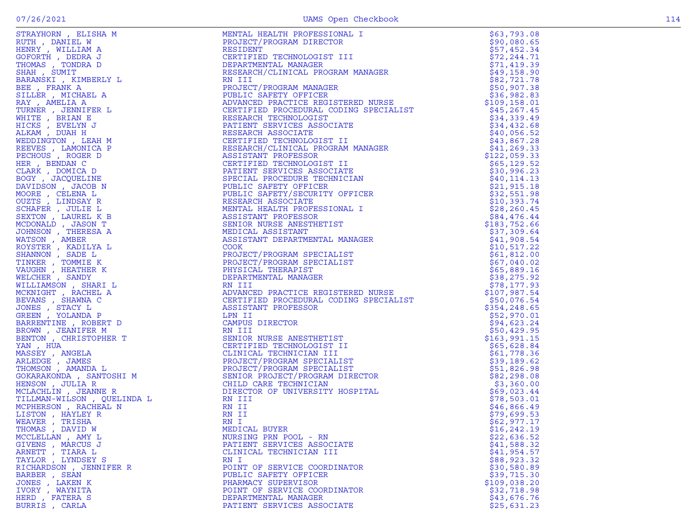|                                   | <b>STRATEGIES (ELECTRIC PRODUCTS)</b><br>STRATEGIES (ELECTRIC PRODUCTS)<br>CONSTRUCTION (ELECTRIC PRODUCTS)<br>CONSTRUCTION (ELECTRIC PRODUCTS)<br>CONSTRUCTION (ELECTRIC PRODUCTS)<br>ARREST (ELECTRIC PRODUCTS)<br>ARREST (ELECTRIC PRODUCTS | \$63,793.08                 |
|-----------------------------------|------------------------------------------------------------------------------------------------------------------------------------------------------------------------------------------------------------------------------------------------|-----------------------------|
|                                   |                                                                                                                                                                                                                                                | \$90,080.65                 |
|                                   |                                                                                                                                                                                                                                                | \$57,452.34                 |
|                                   |                                                                                                                                                                                                                                                | \$72,244.71                 |
|                                   |                                                                                                                                                                                                                                                | \$71,419.39                 |
|                                   |                                                                                                                                                                                                                                                | \$49,158.90                 |
|                                   |                                                                                                                                                                                                                                                | \$82,721.78                 |
|                                   |                                                                                                                                                                                                                                                | \$50,907.38                 |
|                                   |                                                                                                                                                                                                                                                | \$36,982.83                 |
|                                   |                                                                                                                                                                                                                                                | \$109, 158.01               |
|                                   |                                                                                                                                                                                                                                                | \$45,267.45                 |
|                                   |                                                                                                                                                                                                                                                | \$34,339.49                 |
|                                   |                                                                                                                                                                                                                                                | \$34,432.68                 |
|                                   |                                                                                                                                                                                                                                                | \$40,056.52                 |
|                                   |                                                                                                                                                                                                                                                | \$43,867.28                 |
|                                   |                                                                                                                                                                                                                                                | \$41, 269.33                |
|                                   |                                                                                                                                                                                                                                                | \$122,059.33                |
|                                   |                                                                                                                                                                                                                                                | \$65,129.52                 |
|                                   |                                                                                                                                                                                                                                                | \$30,996.23                 |
|                                   |                                                                                                                                                                                                                                                | \$40, 114.13                |
|                                   |                                                                                                                                                                                                                                                | \$21,915.18                 |
|                                   |                                                                                                                                                                                                                                                | \$32,551.98                 |
|                                   |                                                                                                                                                                                                                                                | \$10,393.74                 |
|                                   |                                                                                                                                                                                                                                                | \$28, 260.45<br>\$84,476.44 |
|                                   |                                                                                                                                                                                                                                                | \$183,752.66                |
|                                   |                                                                                                                                                                                                                                                | \$37,309.64                 |
|                                   |                                                                                                                                                                                                                                                | \$41,908.54                 |
|                                   |                                                                                                                                                                                                                                                | \$10,517.22                 |
|                                   |                                                                                                                                                                                                                                                | \$61,812.00                 |
|                                   |                                                                                                                                                                                                                                                | \$67,040.02                 |
|                                   |                                                                                                                                                                                                                                                | \$65,889.16                 |
|                                   |                                                                                                                                                                                                                                                | \$38,275.92                 |
|                                   |                                                                                                                                                                                                                                                | \$78,177.93                 |
|                                   |                                                                                                                                                                                                                                                | \$107,987.54                |
|                                   |                                                                                                                                                                                                                                                | \$50,076.54                 |
|                                   |                                                                                                                                                                                                                                                | \$354,248.65                |
|                                   |                                                                                                                                                                                                                                                | \$52,970.01                 |
|                                   |                                                                                                                                                                                                                                                | \$94,623.24                 |
|                                   |                                                                                                                                                                                                                                                | \$50,429.95                 |
|                                   |                                                                                                                                                                                                                                                | \$163,991.15                |
|                                   |                                                                                                                                                                                                                                                | \$65,628.84                 |
|                                   |                                                                                                                                                                                                                                                | \$61,778.36                 |
|                                   |                                                                                                                                                                                                                                                | \$39,189.62                 |
|                                   |                                                                                                                                                                                                                                                | \$51,826.98                 |
|                                   |                                                                                                                                                                                                                                                | \$82, 298.08                |
|                                   |                                                                                                                                                                                                                                                | \$3,360.00                  |
|                                   |                                                                                                                                                                                                                                                | \$69,023.44                 |
|                                   |                                                                                                                                                                                                                                                | \$78,503.01                 |
|                                   |                                                                                                                                                                                                                                                | \$46,866.49                 |
|                                   |                                                                                                                                                                                                                                                | \$79,699.53                 |
|                                   |                                                                                                                                                                                                                                                | \$62,977.17                 |
| THOMAS, DAVID W                   | MEDICAL BUYER                                                                                                                                                                                                                                  | \$16,242.19                 |
| MCCLELLAN, AMY L                  | NURSING PRN POOL - RN                                                                                                                                                                                                                          | \$22,636.52                 |
| GIVENS , MARCUS J                 | PATIENT SERVICES ASSOCIATE                                                                                                                                                                                                                     | \$41,588.32                 |
| ARNETT , TIARA L                  | CLINICAL TECHNICIAN III                                                                                                                                                                                                                        | \$41,954.57                 |
| TAYLOR, LYNDSEY S                 | RN I                                                                                                                                                                                                                                           | \$88,923.32                 |
| RICHARDSON, JENNIFER R            | POINT OF SERVICE COORDINATOR                                                                                                                                                                                                                   | \$30,580.89                 |
| BARBER, SEAN                      | PUBLIC SAFETY OFFICER                                                                                                                                                                                                                          | \$39,715.30                 |
| JONES , LAKEN K                   | PHARMACY SUPERVISOR                                                                                                                                                                                                                            | \$109,038.20                |
| IVORY , WAYNITA                   | POINT OF SERVICE COORDINATOR                                                                                                                                                                                                                   | \$32,718.98                 |
| HERD , FATERA S<br>BURRIS , CARLA | DEPARTMENTAL MANAGER                                                                                                                                                                                                                           | \$43,676.76                 |
|                                   | PATIENT SERVICES ASSOCIATE                                                                                                                                                                                                                     | \$25,631.23                 |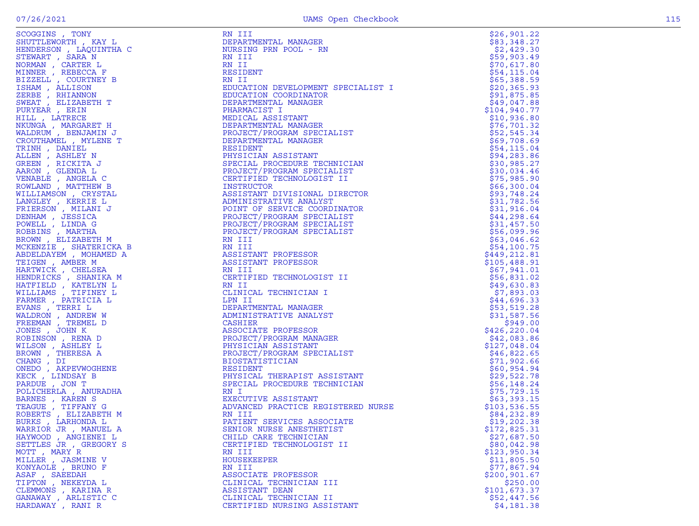|  | M |
|--|---|
|  |   |

| SCOGGINS , TONY         |                                                                                                                                                                                                                                                                    | \$26,901.22                 |
|-------------------------|--------------------------------------------------------------------------------------------------------------------------------------------------------------------------------------------------------------------------------------------------------------------|-----------------------------|
| SHUTTLEWORTH, KAY L     |                                                                                                                                                                                                                                                                    | \$83,348.27                 |
| HENDERSON, LAQUINTHA C  |                                                                                                                                                                                                                                                                    | \$2,429.30                  |
| STEWART, SARA N         |                                                                                                                                                                                                                                                                    | \$59,903.49                 |
| NORMAN , CARTER L       |                                                                                                                                                                                                                                                                    | \$70,617.80                 |
| MINNER, REBECCA F       |                                                                                                                                                                                                                                                                    | \$54,115.04                 |
| BIZZELL , COURTNEY B    |                                                                                                                                                                                                                                                                    | \$65,388.59                 |
| ISHAM, ALLISON          |                                                                                                                                                                                                                                                                    | \$20,365.93                 |
| ZERBE , RHIANNON        |                                                                                                                                                                                                                                                                    | \$91,875.85                 |
| SWEAT, ELIZABETH T      |                                                                                                                                                                                                                                                                    | \$49,047.88                 |
| PURYEAR, ERIN           |                                                                                                                                                                                                                                                                    | \$104,940.77                |
| HILL , LATRECE          |                                                                                                                                                                                                                                                                    | \$10,936.80                 |
| NKUNGA, MARGARET H      |                                                                                                                                                                                                                                                                    | \$76, 701.32                |
| WALDRUM, BENJAMIN J     |                                                                                                                                                                                                                                                                    | \$52,545.34                 |
| CROUTHAMEL , MYLENE T   |                                                                                                                                                                                                                                                                    | \$69,708.69                 |
| TRINH, DANIEL           |                                                                                                                                                                                                                                                                    | \$54,115.04                 |
| ALLEN, ASHLEY N         |                                                                                                                                                                                                                                                                    | \$94, 283.86                |
| GREEN, RICKITA J        |                                                                                                                                                                                                                                                                    | \$30,985.27                 |
| AARON, GLENDA L         |                                                                                                                                                                                                                                                                    | \$30,034.46                 |
| VENABLE , ANGELA C      |                                                                                                                                                                                                                                                                    | \$75,985.90                 |
| ROWLAND, MATTHEW B      |                                                                                                                                                                                                                                                                    | \$66,300.04                 |
| WILLIAMSON, CRYSTAL     |                                                                                                                                                                                                                                                                    | \$93,748.24                 |
| LANGLEY , KERRIE L      |                                                                                                                                                                                                                                                                    | \$31,782.56                 |
| FRIERSON, MILANI J      |                                                                                                                                                                                                                                                                    | \$31,916.04                 |
| DENHAM , JESSICA        |                                                                                                                                                                                                                                                                    | \$44,298.64                 |
| POWELL , LINDA G        |                                                                                                                                                                                                                                                                    | \$31,457.50                 |
| ROBBINS, MARTHA         |                                                                                                                                                                                                                                                                    | \$56,099.96                 |
|                         |                                                                                                                                                                                                                                                                    |                             |
| BROWN, ELIZABETH M      | RN III<br>REIDENT<br>REIDENT<br>REDUCATION DEVELOPMENT SPECIALIST I<br>EDUCATION CORDINATOR<br>EDUCATION CORDINATOR<br>DEPARTMENTAL MANAGER<br>PEARTMENTAL MANAGER<br>PEARTMENTAL MANAGER<br>PEOJECT/PROGRAM SPECIALIST<br>PEARTMENTAL MANAGER<br>RESIDENT<br>PEAR | \$63,046.62                 |
| MCKENZIE , SHATERICKA B |                                                                                                                                                                                                                                                                    | \$54,100.75<br>\$449,212.81 |
| ABDELDAYEM, MOHAMED A   |                                                                                                                                                                                                                                                                    |                             |
| TEIGEN, AMBER M         |                                                                                                                                                                                                                                                                    | \$105,488.91                |
| HARTWICK, CHELSEA       |                                                                                                                                                                                                                                                                    | \$67,941.01                 |
| HENDRICKS, SHANIKA M    |                                                                                                                                                                                                                                                                    | \$56,831.02                 |
| HATFIELD, KATELYN L     |                                                                                                                                                                                                                                                                    | \$49,630.83                 |
| WILLIAMS , TIFINEY L    |                                                                                                                                                                                                                                                                    | \$7,893.03                  |
| FARMER, PATRICIA L      |                                                                                                                                                                                                                                                                    | \$44,696.33                 |
| EVANS, TERRI L          |                                                                                                                                                                                                                                                                    | \$53,519.28                 |
| WALDRON, ANDREW W       |                                                                                                                                                                                                                                                                    | \$31,587.56                 |
| FREEMAN, TREMEL D       |                                                                                                                                                                                                                                                                    | \$949.00                    |
| JONES , JOHN K          |                                                                                                                                                                                                                                                                    | \$426,220.04                |
| ROBINSON, RENA D        |                                                                                                                                                                                                                                                                    | \$42,083.86                 |
| WILSON, ASHLEY L        |                                                                                                                                                                                                                                                                    | \$127,048.04                |
| BROWN, THERESA A        |                                                                                                                                                                                                                                                                    | \$46,822.65                 |
| CHANG, DI               |                                                                                                                                                                                                                                                                    | \$71,902.66                 |
| ONEDO, AKPEVWOGHENE     |                                                                                                                                                                                                                                                                    | \$60,954.94                 |
| KECK, LINDSAY B         |                                                                                                                                                                                                                                                                    | \$29,522.78                 |
| PARDUE, JON T           |                                                                                                                                                                                                                                                                    | \$56,148.24                 |
| POLICHERLA , ANURADHA   |                                                                                                                                                                                                                                                                    | \$75, 729.15                |
| BARNES , KAREN S        |                                                                                                                                                                                                                                                                    | \$63,393.15                 |
| TEAGUE , TIFFANY G      |                                                                                                                                                                                                                                                                    | \$103,536.55                |
| ROBERTS, ELIZABETH M    |                                                                                                                                                                                                                                                                    | \$84,232.89                 |
| BURKS, LARHONDA L       |                                                                                                                                                                                                                                                                    | \$19,202.38                 |
| WARRIOR JR, MANUEL A    | SENIOR NURSE ANESTHETIST                                                                                                                                                                                                                                           | \$172,825.31                |
| HAYWOOD, ANGIENEI L     | EN II REPUBBENT DES COLLECTS AND THE SECTION AND THE SECTION ON A SECTION AND THE SECTION ON A SECTION ON A SECTION ON A SECTION ON A SECTION ON A SECTION ON A SECTION ON A SECTION ON A SECTION ON A SECTION ON A SECTION O<br>CHILD CARE TECHNICIAN             | \$27,687.50                 |
| SETTLES JR , GREGORY S  | CERTIFIED TECHNOLOGIST II                                                                                                                                                                                                                                          | \$80,042.98                 |
| MOTT, MARY R            | RN III                                                                                                                                                                                                                                                             | \$123,950.34                |
| MILLER, JASMINE V       | HOUSEKEEPER                                                                                                                                                                                                                                                        | \$11,805.50                 |
| KONYAOLE, BRUNO F       | RN III                                                                                                                                                                                                                                                             | \$77,867.94                 |
| ASAF, SAEEDAH           | ASSOCIATE PROFESSOR                                                                                                                                                                                                                                                | \$200, 901.67               |
| TIPTON, NEKEYDA L       | CLINICAL TECHNICIAN III                                                                                                                                                                                                                                            | \$250.00                    |
| CLEMMONS, KARINA R      | ASSISTANT DEAN                                                                                                                                                                                                                                                     | \$101,673.37                |
| GANAWAY, ARLISTIC C     | CLINICAL TECHNICIAN II                                                                                                                                                                                                                                             | \$52,447.56                 |
| HARDAWAY, RANI R        | CERTIFIED NURSING ASSISTANT                                                                                                                                                                                                                                        | \$4,181.38                  |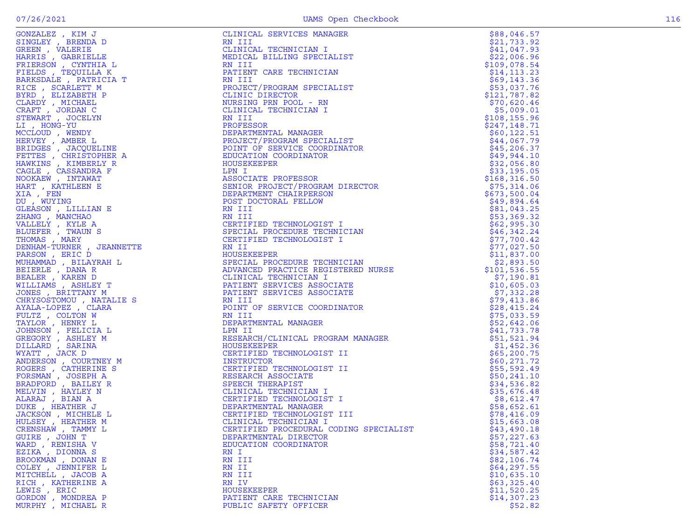|                    |                                                                                                                                                                                                                                                        | \$88,046.57   |
|--------------------|--------------------------------------------------------------------------------------------------------------------------------------------------------------------------------------------------------------------------------------------------------|---------------|
|                    |                                                                                                                                                                                                                                                        | \$21,733.92   |
|                    |                                                                                                                                                                                                                                                        | \$41,047.93   |
|                    |                                                                                                                                                                                                                                                        |               |
|                    |                                                                                                                                                                                                                                                        | \$22,006.96   |
|                    |                                                                                                                                                                                                                                                        | \$109,078.54  |
|                    |                                                                                                                                                                                                                                                        | \$14, 113.23  |
|                    |                                                                                                                                                                                                                                                        | \$69,143.36   |
|                    |                                                                                                                                                                                                                                                        | \$53,037.76   |
|                    |                                                                                                                                                                                                                                                        | \$121,787.82  |
|                    |                                                                                                                                                                                                                                                        | \$70,620.46   |
|                    |                                                                                                                                                                                                                                                        | \$5,009.01    |
|                    |                                                                                                                                                                                                                                                        | \$108, 155.96 |
|                    |                                                                                                                                                                                                                                                        | \$247,148.71  |
|                    |                                                                                                                                                                                                                                                        |               |
|                    |                                                                                                                                                                                                                                                        | \$60, 122.51  |
|                    |                                                                                                                                                                                                                                                        | \$44,067.79   |
|                    |                                                                                                                                                                                                                                                        | \$45,206.37   |
|                    |                                                                                                                                                                                                                                                        | \$49,944.10   |
|                    |                                                                                                                                                                                                                                                        | \$32,056.80   |
|                    |                                                                                                                                                                                                                                                        | \$33,195.05   |
|                    |                                                                                                                                                                                                                                                        | \$168, 316.50 |
|                    |                                                                                                                                                                                                                                                        | \$75,314.06   |
|                    |                                                                                                                                                                                                                                                        |               |
|                    |                                                                                                                                                                                                                                                        | \$673,500.04  |
|                    |                                                                                                                                                                                                                                                        | \$49,894.64   |
|                    |                                                                                                                                                                                                                                                        | \$81,043.25   |
|                    |                                                                                                                                                                                                                                                        | \$53,369.32   |
|                    |                                                                                                                                                                                                                                                        | \$62,995.30   |
|                    |                                                                                                                                                                                                                                                        | \$46,342.24   |
|                    |                                                                                                                                                                                                                                                        | \$77,700.42   |
|                    |                                                                                                                                                                                                                                                        | \$77,027.50   |
|                    |                                                                                                                                                                                                                                                        | \$11,837.00   |
|                    |                                                                                                                                                                                                                                                        |               |
|                    |                                                                                                                                                                                                                                                        | \$2,893.50    |
|                    |                                                                                                                                                                                                                                                        | \$101, 536.55 |
|                    |                                                                                                                                                                                                                                                        | \$7,190.81    |
|                    |                                                                                                                                                                                                                                                        | \$10,605.03   |
|                    |                                                                                                                                                                                                                                                        | \$7,332.28    |
|                    |                                                                                                                                                                                                                                                        | \$79,413.86   |
|                    |                                                                                                                                                                                                                                                        | \$28,415.24   |
|                    |                                                                                                                                                                                                                                                        | \$75,033.59   |
|                    |                                                                                                                                                                                                                                                        | \$52,642.06   |
|                    |                                                                                                                                                                                                                                                        |               |
|                    |                                                                                                                                                                                                                                                        | \$41,733.78   |
|                    |                                                                                                                                                                                                                                                        | \$51,521.94   |
|                    |                                                                                                                                                                                                                                                        | \$1,452.36    |
|                    |                                                                                                                                                                                                                                                        | \$65,200.75   |
|                    |                                                                                                                                                                                                                                                        | \$60, 271.72  |
|                    |                                                                                                                                                                                                                                                        | \$55,592.49   |
|                    |                                                                                                                                                                                                                                                        | \$50,241.10   |
|                    |                                                                                                                                                                                                                                                        | \$34,536.82   |
|                    |                                                                                                                                                                                                                                                        | \$35,676.48   |
|                    |                                                                                                                                                                                                                                                        | \$8,612.47    |
|                    |                                                                                                                                                                                                                                                        |               |
|                    |                                                                                                                                                                                                                                                        | \$58,652.61   |
|                    |                                                                                                                                                                                                                                                        | \$78,416.09   |
|                    |                                                                                                                                                                                                                                                        | \$15,663.08   |
| CRENSHAW, TAMMY L  | CERTIFIED PROCEDURAL CODING SPECIALIST                                                                                                                                                                                                                 | \$43,490.18   |
| GUIRE, JOHN T      | DEPARTMENTAL DIRECTOR                                                                                                                                                                                                                                  | \$57,227.63   |
| WARD, RENISHA V    | SOURCES (WEST ), The street of the street of the street of the street of the street of the street of the street of the street of the street of the street of the street of the street of the street of the street of the stre<br>EDUCATION COORDINATOR | \$58,721.40   |
| EZIKA , DIONNA S   | RN I                                                                                                                                                                                                                                                   | \$34,587.42   |
| BROOKMAN , DONAN E | RN III                                                                                                                                                                                                                                                 | \$82,106.74   |
| COLEY, JENNIFER L  | RN II                                                                                                                                                                                                                                                  | \$64,297.55   |
| MITCHELL, JACOB A  | RN III                                                                                                                                                                                                                                                 | \$10,635.10   |
| RICH, KATHERINE A  | RN IV                                                                                                                                                                                                                                                  | \$63,325.40   |
|                    |                                                                                                                                                                                                                                                        |               |
| LEWIS, ERIC        | HOUSEKEEPER                                                                                                                                                                                                                                            | \$11,520.25   |
| GORDON , MONDREA P | PATIENT CARE TECHNICIAN                                                                                                                                                                                                                                | \$14,307.23   |
| MURPHY, MICHAEL R  | PUBLIC SAFETY OFFICER                                                                                                                                                                                                                                  | \$52.82       |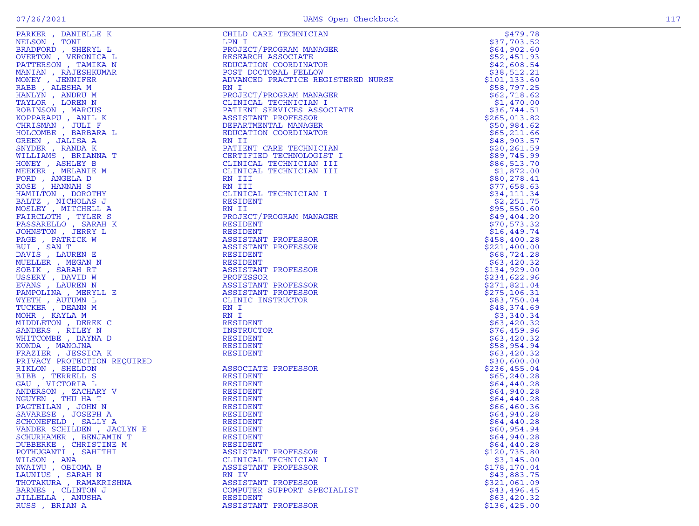| $\begin{array}{ccc} & & & & \text{K} & & \\ & & & & \text{L} & & \\ & & & \text{N} & & \\ & & \text{N} & & \\ & & \text{N} & & \\ & & \text{N} & & \\ & & \text{N} & & \\ & & \text{N} & & \\ & & \text{N} & & \\ & & & \text{N} & & \\ & & & \text{N} & & \\ & & & & \text{N} & & \\ & & & & & \text{N} & \\ & & & & & & \text{N} \\ & & & & & & & \text{N} \\ & & & & & & & \text{N} \\ & & & & & & & & \text{N} \\ & & & & & & & & \text{N} \\ & & & & & &$<br>PARKER, DANIELLE K | CHILD CARE TECHNICIAN<br>LPN I<br>LPN I<br>ROJECT/PROGRAM MANAGER<br>RESEARCH ASSOCIATE<br>EDUCATION COORDINATOR<br>POST DOCTORAL FELLOW<br>ADVANCED PRACTICE REGISTERED NURSE<br>RN I<br>PROJECT/PROGRAM MANAGER<br>CLINICAL TECHNICIAN I<br>DETERT SERVICES A | \$479.78                  |
|--------------------------------------------------------------------------------------------------------------------------------------------------------------------------------------------------------------------------------------------------------------------------------------------------------------------------------------------------------------------------------------------------------------------------------------------------------------------------------------|-----------------------------------------------------------------------------------------------------------------------------------------------------------------------------------------------------------------------------------------------------------------|---------------------------|
| NELSON, TONI                                                                                                                                                                                                                                                                                                                                                                                                                                                                         |                                                                                                                                                                                                                                                                 | \$37,703.52               |
| BRADFORD, SHERYL L                                                                                                                                                                                                                                                                                                                                                                                                                                                                   |                                                                                                                                                                                                                                                                 | \$64,902.60               |
| OVERTON , VERONICA L                                                                                                                                                                                                                                                                                                                                                                                                                                                                 |                                                                                                                                                                                                                                                                 | \$52,451.93               |
| PATTERSON, TAMIKA N                                                                                                                                                                                                                                                                                                                                                                                                                                                                  |                                                                                                                                                                                                                                                                 | \$42,608.54               |
| MANIAN, RAJESHKUMAR                                                                                                                                                                                                                                                                                                                                                                                                                                                                  |                                                                                                                                                                                                                                                                 | \$38,512.21               |
| MONEY , JENNIFER                                                                                                                                                                                                                                                                                                                                                                                                                                                                     |                                                                                                                                                                                                                                                                 | \$101, 133.60             |
| RABB, ALESHA M                                                                                                                                                                                                                                                                                                                                                                                                                                                                       |                                                                                                                                                                                                                                                                 | \$58,797.25               |
| HANLYN, ANDRU M                                                                                                                                                                                                                                                                                                                                                                                                                                                                      |                                                                                                                                                                                                                                                                 | \$62,718.62               |
| TAYLOR, LOREN N                                                                                                                                                                                                                                                                                                                                                                                                                                                                      |                                                                                                                                                                                                                                                                 | \$1,470.00                |
| ROBINSON, MARCUS                                                                                                                                                                                                                                                                                                                                                                                                                                                                     |                                                                                                                                                                                                                                                                 | \$36,744.51               |
| KOPPARAPU, ANIL K                                                                                                                                                                                                                                                                                                                                                                                                                                                                    |                                                                                                                                                                                                                                                                 | \$265,013.82              |
| CHRISMAN, JULI F                                                                                                                                                                                                                                                                                                                                                                                                                                                                     |                                                                                                                                                                                                                                                                 | \$50,984.62               |
| HOLCOMBE , BARBARA L                                                                                                                                                                                                                                                                                                                                                                                                                                                                 |                                                                                                                                                                                                                                                                 | \$65,211.66               |
| GREEN, JALISA A                                                                                                                                                                                                                                                                                                                                                                                                                                                                      |                                                                                                                                                                                                                                                                 | \$48,903.57               |
| SNYDER, RANDA K                                                                                                                                                                                                                                                                                                                                                                                                                                                                      |                                                                                                                                                                                                                                                                 | \$20,261.59               |
| WILLIAMS , BRIANNA T                                                                                                                                                                                                                                                                                                                                                                                                                                                                 |                                                                                                                                                                                                                                                                 | \$89,745.99               |
| HONEY, ASHLEY B                                                                                                                                                                                                                                                                                                                                                                                                                                                                      |                                                                                                                                                                                                                                                                 | \$86,513.70               |
| MEEKER, MELANIE M                                                                                                                                                                                                                                                                                                                                                                                                                                                                    |                                                                                                                                                                                                                                                                 | \$1,872.00                |
| FORD, ANGELA D                                                                                                                                                                                                                                                                                                                                                                                                                                                                       |                                                                                                                                                                                                                                                                 | \$80, 278.41              |
| ROSE, HANNAH S                                                                                                                                                                                                                                                                                                                                                                                                                                                                       | RN III                                                                                                                                                                                                                                                          | \$77,658.63               |
| HAMILTON, DOROTHY                                                                                                                                                                                                                                                                                                                                                                                                                                                                    | CLINICAL TECHNICIAN I                                                                                                                                                                                                                                           | \$34,111.34               |
| BALTZ, NICHOLAS J<br>MOSLEY, MITCHELL A                                                                                                                                                                                                                                                                                                                                                                                                                                              | RESIDENT                                                                                                                                                                                                                                                        | \$2,251.75<br>\$95,550.60 |
| FAIRCLOTH, TYLER S                                                                                                                                                                                                                                                                                                                                                                                                                                                                   | RN II<br>PROJECT/PROGRAM MANAGER                                                                                                                                                                                                                                | \$49,404.20               |
| PASSARELLO, SARAH K                                                                                                                                                                                                                                                                                                                                                                                                                                                                  | RESIDENT                                                                                                                                                                                                                                                        | \$70,573.32               |
| JOHNSTON , JERRY L                                                                                                                                                                                                                                                                                                                                                                                                                                                                   | RESIDENT                                                                                                                                                                                                                                                        | \$16,449.74               |
| PAGE, PATRICK W                                                                                                                                                                                                                                                                                                                                                                                                                                                                      | ASSISTANT PROFESSOR                                                                                                                                                                                                                                             | \$458,400.28              |
| BUI, SAN T                                                                                                                                                                                                                                                                                                                                                                                                                                                                           | ASSISTANT PROFESSOR                                                                                                                                                                                                                                             | \$221,400.00              |
| DAVIS, LAUREN E                                                                                                                                                                                                                                                                                                                                                                                                                                                                      | RESIDENT                                                                                                                                                                                                                                                        | \$68,724.28               |
| MUELLER, MEGAN N                                                                                                                                                                                                                                                                                                                                                                                                                                                                     | RESIDENT                                                                                                                                                                                                                                                        | \$63,420.32               |
| SOBIK, SARAH RT                                                                                                                                                                                                                                                                                                                                                                                                                                                                      | ASSISTANT PROFESSOR                                                                                                                                                                                                                                             | \$134,929.00              |
| USSERY, DAVID W                                                                                                                                                                                                                                                                                                                                                                                                                                                                      | PROFESSOR                                                                                                                                                                                                                                                       | \$234,622.96              |
| EVANS, LAUREN N                                                                                                                                                                                                                                                                                                                                                                                                                                                                      | ASSISTANT PROFESSOR                                                                                                                                                                                                                                             | \$271,821.04              |
| PAMPOLINA, MERYLL E                                                                                                                                                                                                                                                                                                                                                                                                                                                                  | ASSISTANT PROFESSOR                                                                                                                                                                                                                                             | \$275, 106.31             |
| WYETH, AUTUMN L                                                                                                                                                                                                                                                                                                                                                                                                                                                                      | CLINIC INSTRUCTOR                                                                                                                                                                                                                                               | \$83,750.04               |
| TUCKER, DEANN M                                                                                                                                                                                                                                                                                                                                                                                                                                                                      | RN I                                                                                                                                                                                                                                                            | \$48,374.69               |
| MOHR, KAYLA M                                                                                                                                                                                                                                                                                                                                                                                                                                                                        | RN I                                                                                                                                                                                                                                                            | \$3,340.34                |
| MIDDLETON, DEREK C                                                                                                                                                                                                                                                                                                                                                                                                                                                                   | RESIDENT                                                                                                                                                                                                                                                        | \$63,420.32               |
| SANDERS , RILEY N                                                                                                                                                                                                                                                                                                                                                                                                                                                                    | INSTRUCTOR                                                                                                                                                                                                                                                      | \$76,459.96               |
| WHITCOMBE, DAYNA D                                                                                                                                                                                                                                                                                                                                                                                                                                                                   | RESIDENT                                                                                                                                                                                                                                                        | \$63,420.32               |
| KONDA, MANOJNA                                                                                                                                                                                                                                                                                                                                                                                                                                                                       | RESIDENT                                                                                                                                                                                                                                                        | \$58,954.94               |
| FRAZIER, JESSICA K                                                                                                                                                                                                                                                                                                                                                                                                                                                                   | RESIDENT                                                                                                                                                                                                                                                        | \$63,420.32               |
| FRAZIER , JESSICA K<br>PRIVACY PROTECTION REQUIRED<br>RIKLON , SHELDON<br>GAU , VICTORIA L<br>GAU , VICTORIA L<br>ANDERSON , ZACHARY V<br>NGUYEN , THU HA T<br>PAGTEILAN , JOHN N<br>SAVARESE , JOSEPH A<br>SCHONEFELD , SALLY A<br>NAMRESE , JOSEPH A<br>SCHON                                                                                                                                                                                                                      |                                                                                                                                                                                                                                                                 | \$30,600.00               |
|                                                                                                                                                                                                                                                                                                                                                                                                                                                                                      | ASSOCIATE PROFESSOR                                                                                                                                                                                                                                             | \$236,455.04              |
|                                                                                                                                                                                                                                                                                                                                                                                                                                                                                      | RESIDENT                                                                                                                                                                                                                                                        | \$65,240.28               |
|                                                                                                                                                                                                                                                                                                                                                                                                                                                                                      | RESIDENT                                                                                                                                                                                                                                                        | \$64,440.28               |
|                                                                                                                                                                                                                                                                                                                                                                                                                                                                                      | RESIDENT                                                                                                                                                                                                                                                        | \$64,940.28               |
|                                                                                                                                                                                                                                                                                                                                                                                                                                                                                      | RESIDENT                                                                                                                                                                                                                                                        | \$64,440.28               |
|                                                                                                                                                                                                                                                                                                                                                                                                                                                                                      | RESIDENT                                                                                                                                                                                                                                                        | \$66, 460.36              |
|                                                                                                                                                                                                                                                                                                                                                                                                                                                                                      | RESIDENT                                                                                                                                                                                                                                                        | \$64,940.28               |
|                                                                                                                                                                                                                                                                                                                                                                                                                                                                                      | RESIDENT                                                                                                                                                                                                                                                        | \$64,440.28               |
| VANDER SCHILDEN, JACLYN E                                                                                                                                                                                                                                                                                                                                                                                                                                                            | RESIDENT                                                                                                                                                                                                                                                        | \$60,954.94               |
| SCHURHAMER, BENJAMIN T                                                                                                                                                                                                                                                                                                                                                                                                                                                               | RESIDENT                                                                                                                                                                                                                                                        | \$64,940.28               |
| DUBBERKE, CHRISTINE M                                                                                                                                                                                                                                                                                                                                                                                                                                                                | <b>RESIDENT</b>                                                                                                                                                                                                                                                 | \$64,440.28               |
| POTHUGANTI , SAHITHI                                                                                                                                                                                                                                                                                                                                                                                                                                                                 | ASSISTANT PROFESSOR                                                                                                                                                                                                                                             | \$120,735.80              |
| WILSON, ANA                                                                                                                                                                                                                                                                                                                                                                                                                                                                          | CLINICAL TECHNICIAN I                                                                                                                                                                                                                                           | \$3,145.00                |
| NWAIWU, OBIOMA B                                                                                                                                                                                                                                                                                                                                                                                                                                                                     | ASSISTANT PROFESSOR                                                                                                                                                                                                                                             | \$178,170.04              |
| LAUNIUS , SARAH N                                                                                                                                                                                                                                                                                                                                                                                                                                                                    | RN IV                                                                                                                                                                                                                                                           | \$43,883.75               |
| THOTAKURA, RAMAKRISHNA                                                                                                                                                                                                                                                                                                                                                                                                                                                               | ASSISTANT PROFESSOR                                                                                                                                                                                                                                             | \$321,061.09              |
| BARNES , CLINTON J                                                                                                                                                                                                                                                                                                                                                                                                                                                                   | COMPUTER SUPPORT SPECIALIST                                                                                                                                                                                                                                     | \$43,496.45               |
| JILLELLA, ANUSHA                                                                                                                                                                                                                                                                                                                                                                                                                                                                     | RESIDENT                                                                                                                                                                                                                                                        | \$63,420.32               |
| RUSS, BRIAN A                                                                                                                                                                                                                                                                                                                                                                                                                                                                        | ASSISTANT PROFESSOR                                                                                                                                                                                                                                             | \$136,425.00              |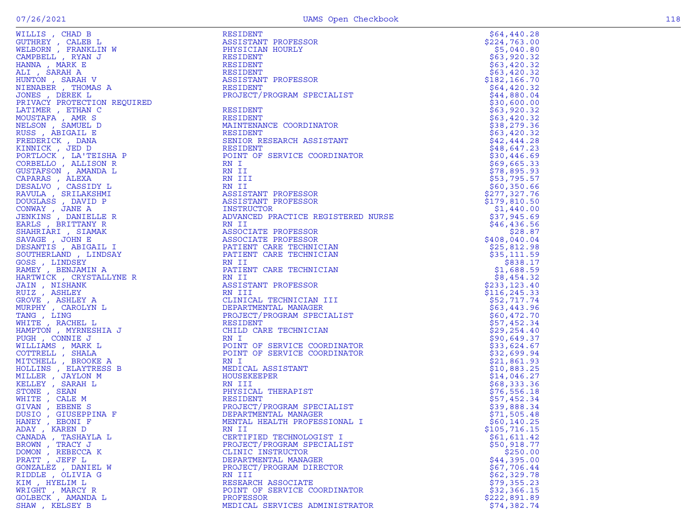| WILLIS , CHAD B                        | RESIDENT                           | \$64,440.28                |
|----------------------------------------|------------------------------------|----------------------------|
| GUTHREY, CALEB L                       | ASSISTANT PROFESSOR                | \$224,763.00               |
| WELBORN , FRANKLIN W                   | PHYSICIAN HOURLY                   | \$5,040.80                 |
| CAMPBELL, RYAN J                       | RESIDENT                           | \$63,920.32                |
| HANNA , MARK E                         | RESIDENT                           | \$63,420.32                |
| ALI , SARAH A                          | RESIDENT                           | \$63,420.32                |
| HUNTON , SARAH V                       | ASSISTANT PROFESSOR                | \$182, 166.70              |
| NIENABER , THOMAS A                    | RESIDENT                           | \$64,420.32                |
| JONES, DEREK L                         | PROJECT/PROGRAM SPECIALIST         | \$44,880.04                |
| PRIVACY PROTECTION REQUIRED            |                                    | \$30,600.00                |
| LATIMER , ETHAN C                      | RESIDENT                           | \$63,920.32                |
| MOUSTAFA , AMR S                       | RESIDENT                           | \$63,420.32                |
| NELSON, SAMUEL D                       | MAINTENANCE COORDINATOR            | \$38,279.36                |
| RUSS , ABIGAIL E                       | RESIDENT                           | \$63,420.32                |
| FREDERICK, DANA                        | SENIOR RESEARCH ASSISTANT          | \$42,444.28                |
| KINNICK , JED D                        | RESIDENT                           | \$48,647.23                |
| PORTLOCK, LA'TEISHA P                  | POINT OF SERVICE COORDINATOR       | \$30,446.69                |
| CORBELLO, ALLISON R                    | RN I<br>RN II                      | \$69,665.33                |
| GUSTAFSON , AMANDA L<br>CAPARAS, ALEXA | RN III                             | \$78,895.93<br>\$53,795.57 |
| DESALVO , CASSIDY L                    | RN II                              | \$60,350.66                |
| RAVULA, SRILAKSHMI                     | ASSISTANT PROFESSOR                | \$277,327.76               |
| DOUGLASS, DAVID P                      | ASSISTANT PROFESSOR                | \$179,810.50               |
| CONWAY, JANE A                         | INSTRUCTOR                         | \$1,440.00                 |
| JENKINS , DANIELLE R                   | ADVANCED PRACTICE REGISTERED NURSE | \$37,945.69                |
| EARLS, BRITTANY R                      | RN II                              | \$46,436.56                |
| SHAHRIARI , SIAMAK                     | ASSOCIATE PROFESSOR                | \$28.87                    |
| SAVAGE, JOHN E                         | ASSOCIATE PROFESSOR                | \$408,040.04               |
| DESANTIS , ABIGAIL I                   | PATIENT CARE TECHNICIAN            | \$25,812.98                |
| SOUTHERLAND, LINDSAY                   | PATIENT CARE TECHNICIAN            | \$35,111.59                |
| GOSS, LINDSEY                          | RN II                              | \$838.17                   |
| RAMEY , BENJAMIN A                     | PATIENT CARE TECHNICIAN            | \$1,688.59                 |
| HARTWICK , CRYSTALLYNE R               | RN II                              | \$8,454.32                 |
| JAIN , NISHANK                         | ASSISTANT PROFESSOR                | \$233,123.40               |
| RUIZ, ASHLEY                           | RN III                             | \$116, 245.33              |
| GROVE , ASHLEY A                       | CLINICAL TECHNICIAN III            | \$52,717.74                |
| MURPHY , CAROLYN L                     | DEPARTMENTAL MANAGER               | \$63,443.96                |
| TANG, LING                             | PROJECT/PROGRAM SPECIALIST         | \$60,472.70                |
| WHITE , RACHEL L                       | RESIDENT                           | \$57,452.34                |
| HAMPTON , MYRNESHIA J                  | CHILD CARE TECHNICIAN              | \$29, 254.40               |
| PUGH, CONNIE J                         | RN I                               | \$90,649.37                |
| WILLIAMS , MARK L                      | POINT OF SERVICE COORDINATOR       | \$33,624.67                |
| COTTRELL, SHALA                        | POINT OF SERVICE COORDINATOR       | \$32,699.94                |
| MITCHELL , BROOKE A                    | RN I                               | \$21,861.93                |
| HOLLINS , ELAYTRESS B                  | MEDICAL ASSISTANT                  | \$10,883.25                |
| MILLER , JAYLON M                      | HOUSEKEEPER                        | \$14,046.27                |
| KELLEY , SARAH L                       | RN III                             | \$68,333.36                |
| STONE , SEAN                           | PHYSICAL THERAPIST<br>RESIDENT     | \$76,556.18                |
| WHITE , CALE M<br>GIVAN, EBENE S       | PROJECT/PROGRAM SPECIALIST         | \$57,452.34<br>\$39,888.34 |
| DUSIO , GIUSEPPINA F                   | DEPARTMENTAL MANAGER               | \$71,505.48                |
| HANEY , EBONI F                        | MENTAL HEALTH PROFESSIONAL I       | \$60, 140.25               |
| ADAY , KAREN D                         | RN II                              | \$105,716.15               |
| CANADA , TASHAYLA L                    | CERTIFIED TECHNOLOGIST I           | \$61,611.42                |
| BROWN, TRACY J                         | PROJECT/PROGRAM SPECIALIST         | \$50,918.77                |
| DOMON, REBECCA K                       | CLINIC INSTRUCTOR                  | \$250.00                   |
| PRATT, JEFF L                          | DEPARTMENTAL MANAGER               | \$44,395.00                |
| GONZALEZ , DANIEL W                    | PROJECT/PROGRAM DIRECTOR           | \$67,706.44                |
| RIDDLE, OLIVIA G                       | RN III                             | \$62,329.78                |
| KIM , HYELIM L                         | RESEARCH ASSOCIATE                 | \$79,355.23                |
| WRIGHT , MARCY R                       | POINT OF SERVICE COORDINATOR       | \$32,366.15                |
| GOLBECK, AMANDA L                      | PROFESSOR                          | \$222,891.89               |
| SHAW, KELSEY B                         | MEDICAL SERVICES ADMINISTRATOR     | \$74,382.74                |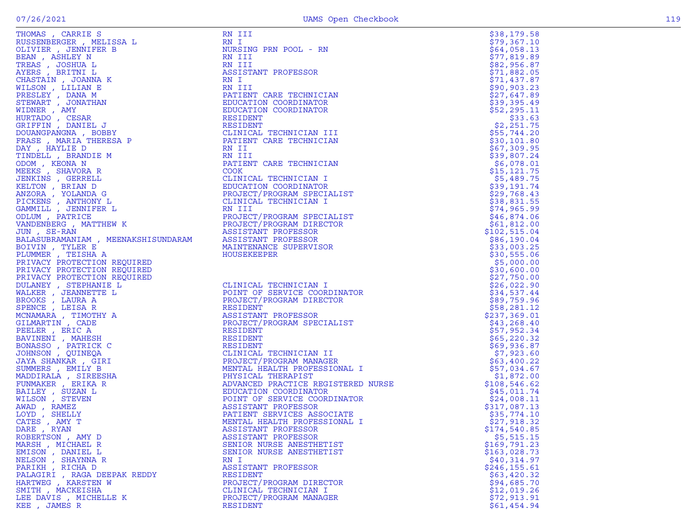| THOMAS , CARVIE S<br>NUISSEN REGISSARIES (ANTIFICAN REGISSARIES AND RESERVATIVE PRESSARIES (REALLY RENEW PROPOSITION PROFINE PRESSISTANT PROFESSOR CHASTING AND ANN III THAN THE SESIDENT CARR TECHNICIAL SERVANT , JONAN MAN RE |                                                                                                                                                                                                                                                                                        | \$38,179.58   |
|----------------------------------------------------------------------------------------------------------------------------------------------------------------------------------------------------------------------------------|----------------------------------------------------------------------------------------------------------------------------------------------------------------------------------------------------------------------------------------------------------------------------------------|---------------|
|                                                                                                                                                                                                                                  |                                                                                                                                                                                                                                                                                        | \$79,367.10   |
|                                                                                                                                                                                                                                  |                                                                                                                                                                                                                                                                                        | \$64,058.13   |
|                                                                                                                                                                                                                                  |                                                                                                                                                                                                                                                                                        | \$77,819.89   |
|                                                                                                                                                                                                                                  |                                                                                                                                                                                                                                                                                        | \$82,956.87   |
|                                                                                                                                                                                                                                  |                                                                                                                                                                                                                                                                                        | \$71,882.05   |
|                                                                                                                                                                                                                                  |                                                                                                                                                                                                                                                                                        | \$71,437.87   |
|                                                                                                                                                                                                                                  |                                                                                                                                                                                                                                                                                        | \$90, 903.23  |
|                                                                                                                                                                                                                                  |                                                                                                                                                                                                                                                                                        | \$27,647.89   |
|                                                                                                                                                                                                                                  |                                                                                                                                                                                                                                                                                        | \$39,395.49   |
|                                                                                                                                                                                                                                  |                                                                                                                                                                                                                                                                                        | \$52, 295.11  |
|                                                                                                                                                                                                                                  |                                                                                                                                                                                                                                                                                        | \$33.63       |
|                                                                                                                                                                                                                                  |                                                                                                                                                                                                                                                                                        | \$2,251.75    |
|                                                                                                                                                                                                                                  |                                                                                                                                                                                                                                                                                        | \$55,744.20   |
|                                                                                                                                                                                                                                  |                                                                                                                                                                                                                                                                                        | \$30,101.80   |
|                                                                                                                                                                                                                                  |                                                                                                                                                                                                                                                                                        | \$67,309.95   |
|                                                                                                                                                                                                                                  |                                                                                                                                                                                                                                                                                        | \$39,807.24   |
|                                                                                                                                                                                                                                  |                                                                                                                                                                                                                                                                                        | \$6,078.01    |
|                                                                                                                                                                                                                                  |                                                                                                                                                                                                                                                                                        | \$15, 121.75  |
|                                                                                                                                                                                                                                  |                                                                                                                                                                                                                                                                                        | \$5,489.75    |
|                                                                                                                                                                                                                                  |                                                                                                                                                                                                                                                                                        | \$39,191.74   |
|                                                                                                                                                                                                                                  |                                                                                                                                                                                                                                                                                        | \$29,768.43   |
|                                                                                                                                                                                                                                  |                                                                                                                                                                                                                                                                                        | \$38,831.55   |
|                                                                                                                                                                                                                                  |                                                                                                                                                                                                                                                                                        | \$74,965.99   |
|                                                                                                                                                                                                                                  |                                                                                                                                                                                                                                                                                        | \$46,874.06   |
|                                                                                                                                                                                                                                  |                                                                                                                                                                                                                                                                                        | \$61,812.00   |
|                                                                                                                                                                                                                                  |                                                                                                                                                                                                                                                                                        | \$102,515.04  |
|                                                                                                                                                                                                                                  |                                                                                                                                                                                                                                                                                        | \$86,190.04   |
|                                                                                                                                                                                                                                  |                                                                                                                                                                                                                                                                                        | \$33,003.25   |
|                                                                                                                                                                                                                                  |                                                                                                                                                                                                                                                                                        | \$30,555.06   |
| PRIVACY PROTECTION REQUIRED                                                                                                                                                                                                      |                                                                                                                                                                                                                                                                                        | \$5,000.00    |
| PRIVACY PROTECTION REQUIRED                                                                                                                                                                                                      |                                                                                                                                                                                                                                                                                        | \$30,600.00   |
| PRIVACY PROTECTION REQUIRED                                                                                                                                                                                                      | DINATOR<br>JTOR<br>JIALIST<br>N REQUIRED<br>MEROURED<br>THE L<br>THE L<br>FOUNT OF SERVICE COORDINATOR<br>THE L<br>FOUNT OF SERVICE COORDINATOR<br>FROJECT/PROGRAM DIRECTOR<br>ASSISTANT PROFESSOR<br>PROJECT/PROGRAM MERCIALIST<br>THE ASSISTANT<br>HE RESIDENT<br>A RESIDENT<br>PROJ | \$27,750.00   |
| DULANEY , STEPHANIE L                                                                                                                                                                                                            |                                                                                                                                                                                                                                                                                        | \$26,022.90   |
| WALKER , JEANNETTE L                                                                                                                                                                                                             |                                                                                                                                                                                                                                                                                        | \$34,537.44   |
| BROOKS, LAURA A                                                                                                                                                                                                                  |                                                                                                                                                                                                                                                                                        | \$89,759.96   |
| SPENCE, LEISAR                                                                                                                                                                                                                   |                                                                                                                                                                                                                                                                                        | \$58,281.12   |
| MCNAMARA, TIMOTHY A                                                                                                                                                                                                              |                                                                                                                                                                                                                                                                                        | \$237,369.01  |
| GILMARTIN, CADE                                                                                                                                                                                                                  |                                                                                                                                                                                                                                                                                        | \$43,268.40   |
| PEELER, ERIC A                                                                                                                                                                                                                   |                                                                                                                                                                                                                                                                                        | \$57,952.34   |
| BAVINENI , MAHESH                                                                                                                                                                                                                |                                                                                                                                                                                                                                                                                        | \$65,220.32   |
| BONASSO, PATRICK C                                                                                                                                                                                                               |                                                                                                                                                                                                                                                                                        | \$69,936.87   |
| JOHNSON , QUINEQA                                                                                                                                                                                                                |                                                                                                                                                                                                                                                                                        | \$7,923.60    |
| JAYA SHANKAR , GIRI                                                                                                                                                                                                              |                                                                                                                                                                                                                                                                                        | \$63,400.22   |
| SUMMERS, EMILY B                                                                                                                                                                                                                 |                                                                                                                                                                                                                                                                                        | \$57,034.67   |
| MADDIRALA, SIREESHA                                                                                                                                                                                                              |                                                                                                                                                                                                                                                                                        | \$1,872.00    |
| FUNMAKER, ERIKA R                                                                                                                                                                                                                |                                                                                                                                                                                                                                                                                        | \$108,546.62  |
| BAILEY , SUZAN L                                                                                                                                                                                                                 |                                                                                                                                                                                                                                                                                        | \$45,011.74   |
| WILSON , STEVEN                                                                                                                                                                                                                  |                                                                                                                                                                                                                                                                                        | \$24,008.11   |
| AWAD, RAMEZ                                                                                                                                                                                                                      |                                                                                                                                                                                                                                                                                        | \$317,087.13  |
| LOYD, SHELLY                                                                                                                                                                                                                     |                                                                                                                                                                                                                                                                                        | \$35,774.10   |
| CATES, AMY T                                                                                                                                                                                                                     |                                                                                                                                                                                                                                                                                        | \$27,918.32   |
| DARE, RYAN                                                                                                                                                                                                                       | ASSISTANT PROFESSOR                                                                                                                                                                                                                                                                    | \$174,540.85  |
| ROBERTSON, AMY D                                                                                                                                                                                                                 | ASSISTANT PROFESSOR                                                                                                                                                                                                                                                                    | \$5,515.15    |
| MARSH, MICHAEL R                                                                                                                                                                                                                 | SENIOR NURSE ANESTHETIST                                                                                                                                                                                                                                                               | \$169,791.23  |
| EMISON, DANIEL L                                                                                                                                                                                                                 | SENIOR NURSE ANESTHETIST                                                                                                                                                                                                                                                               | \$163,028.73  |
| NELSON, SHAYNNA R                                                                                                                                                                                                                | RN I                                                                                                                                                                                                                                                                                   | \$40,314.97   |
| PARIKH, RICHA D                                                                                                                                                                                                                  | ASSISTANT PROFESSOR                                                                                                                                                                                                                                                                    | \$246, 155.61 |
| PALAGIRI , RAGA DEEPAK REDDY                                                                                                                                                                                                     | RESIDENT                                                                                                                                                                                                                                                                               | \$63,420.32   |
| HARTWEG, KARSTEN W                                                                                                                                                                                                               | PROJECT/PROGRAM DIRECTOR                                                                                                                                                                                                                                                               | \$94,685.70   |
| SMITH, MACKEISHA                                                                                                                                                                                                                 | CLINICAL TECHNICIAN I                                                                                                                                                                                                                                                                  | \$12,019.26   |
|                                                                                                                                                                                                                                  | PROJECT/PROGRAM MANAGER                                                                                                                                                                                                                                                                | \$72,913.91   |
| LEE DAVIS, MICHELLE K<br>KEE, JAMES R                                                                                                                                                                                            | <b>RESIDENT</b>                                                                                                                                                                                                                                                                        | \$61,454.94   |
|                                                                                                                                                                                                                                  |                                                                                                                                                                                                                                                                                        |               |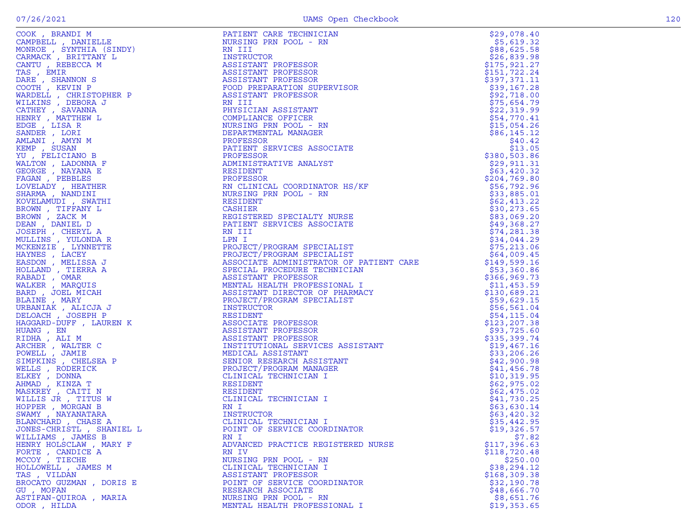| JONES-CHRISTL , SHANIEL L | POINT OF SERVICE COORDINATOR       | \$19,326.57   |
|---------------------------|------------------------------------|---------------|
| WILLIAMS, JAMES B         | RN I                               | \$7.82        |
| HENRY HOLSCLAW, MARY F    | ADVANCED PRACTICE REGISTERED NURSE | \$117,396.63  |
| FORTE, CANDICE A          | RN IV                              | \$118,720.48  |
| MCCOY, TIECHE             | NURSING PRN POOL - RN              | \$250.00      |
| HOLLOWELL , JAMES M       | CLINICAL TECHNICIAN I              | \$38,294.12   |
| TAS, VILDAN               | ASSISTANT PROFESSOR                | \$168, 309.38 |
| BROCATO GUZMAN, DORIS E   | POINT OF SERVICE COORDINATOR       | \$32,190.78   |
| GU, MOFAN                 | RESEARCH ASSOCIATE                 | \$48,666.70   |
| ASTIFAN-QUIROA, MARIA     | NURSING PRN POOL - RN              | \$8,651.76    |
| ODOR , HILDA              | MENTAL HEALTH PROFESSIONAL I       | \$19,353.65   |
|                           |                                    |               |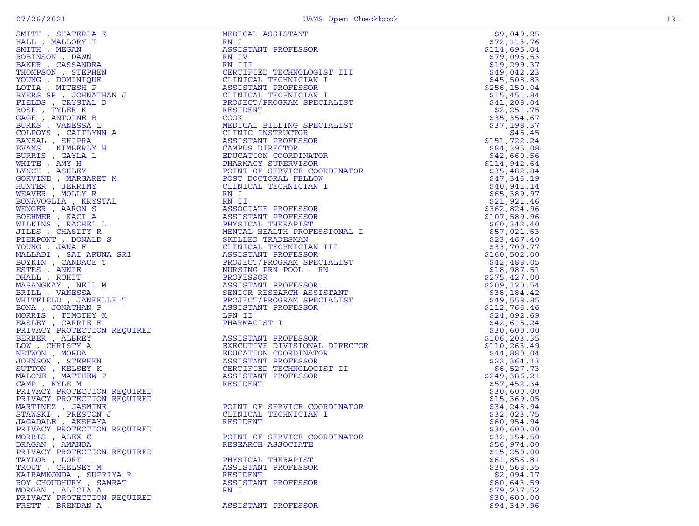| SMITH, SHATERIA K                                                                                                                                                                                                                                               | MEDICAL ASSISTANT                                                                                                                                                                                                                                                  | \$9,049.25                  |
|-----------------------------------------------------------------------------------------------------------------------------------------------------------------------------------------------------------------------------------------------------------------|--------------------------------------------------------------------------------------------------------------------------------------------------------------------------------------------------------------------------------------------------------------------|-----------------------------|
| HALL, MALLORY T                                                                                                                                                                                                                                                 | RN I                                                                                                                                                                                                                                                               | \$72,113.76                 |
| SMITH , MEGAN                                                                                                                                                                                                                                                   | ASSISTANT PROFESSOR                                                                                                                                                                                                                                                | \$114,695.04                |
| ROBINSON, DAWN                                                                                                                                                                                                                                                  | RN IV                                                                                                                                                                                                                                                              | \$79,095.53                 |
| BAKER, CASSANDRA                                                                                                                                                                                                                                                | RN III                                                                                                                                                                                                                                                             | \$19, 299.37                |
| THOMPSON, STEPHEN                                                                                                                                                                                                                                               |                                                                                                                                                                                                                                                                    | \$49,042.23                 |
| YOUNG , DOMINIQUE                                                                                                                                                                                                                                               |                                                                                                                                                                                                                                                                    | \$45,508.83                 |
| LOTIA, MITESH P                                                                                                                                                                                                                                                 |                                                                                                                                                                                                                                                                    | \$256, 150.04               |
| BYERS SR, JOHNATHAN J                                                                                                                                                                                                                                           |                                                                                                                                                                                                                                                                    | \$15,451.84                 |
| FIELDS, CRYSTAL D                                                                                                                                                                                                                                               |                                                                                                                                                                                                                                                                    | \$41,208.04                 |
| ROSE, TYLER K                                                                                                                                                                                                                                                   |                                                                                                                                                                                                                                                                    | \$2,251.75                  |
| GAGE, ANTOINE B                                                                                                                                                                                                                                                 | CERTIFIED TECHNOLOGIST III<br>CLINICAL TECHNICIAN I<br>ASSISTANT PROFESSOR<br>CLINICAL TECHNICIAN I<br>PROJECT/PROGRAM SPECIALIST<br>RESIDENT<br>COOK<br>COOK                                                                                                      | \$35,354.67                 |
| BURKS, VANESSA L                                                                                                                                                                                                                                                | MEDICAL BILLING SPECIALIST                                                                                                                                                                                                                                         | \$37,198.37                 |
| COLPOYS, CAITLYNN A                                                                                                                                                                                                                                             | MEDICAL BILLING SPECIALIST<br>CLINIC INSTRUCTOR<br>ASSISTANT PROFESSOR<br>CAMPUS DIRECTOR<br>EDUCATION COORDINATOR<br>ENCATION COORDINATOR<br>PHARMACY SUPERVISOR<br>POINT OF SERVICE COORDINATOR<br>POST DOCTORAL FELLOW<br>CLINICAL TECHNICIAN I<br>RN I         | \$45.45                     |
| BANSAL , SHIPRA                                                                                                                                                                                                                                                 |                                                                                                                                                                                                                                                                    | \$151,722.24                |
| EVANS, KIMBERLY H                                                                                                                                                                                                                                               |                                                                                                                                                                                                                                                                    | \$84,395.08                 |
| BURRIS , GAYLA L                                                                                                                                                                                                                                                |                                                                                                                                                                                                                                                                    | \$42,660.56                 |
| WHITE , AMY H                                                                                                                                                                                                                                                   |                                                                                                                                                                                                                                                                    | \$114,942.64                |
| LYNCH, ASHLEY                                                                                                                                                                                                                                                   |                                                                                                                                                                                                                                                                    | \$35,482.84                 |
| GORVINE , MARGARET M                                                                                                                                                                                                                                            |                                                                                                                                                                                                                                                                    | \$47,346.19                 |
| HUNTER, JERRIMY                                                                                                                                                                                                                                                 |                                                                                                                                                                                                                                                                    | \$40,941.14                 |
| WEAVER, MOLLY R                                                                                                                                                                                                                                                 |                                                                                                                                                                                                                                                                    | \$65,389.97                 |
| BONAVOGLIA, KRYSTAL                                                                                                                                                                                                                                             |                                                                                                                                                                                                                                                                    | \$21,921.46                 |
| WENGER, AARON S                                                                                                                                                                                                                                                 |                                                                                                                                                                                                                                                                    | \$362,824.96                |
| BOEHMER, KACI A                                                                                                                                                                                                                                                 |                                                                                                                                                                                                                                                                    | \$107,589.96                |
| WILKINS, RACHEL L                                                                                                                                                                                                                                               |                                                                                                                                                                                                                                                                    | \$60,342.40                 |
| JILES , CHASITY R                                                                                                                                                                                                                                               |                                                                                                                                                                                                                                                                    | \$57,021.63                 |
| PIERPONT , DONALD S                                                                                                                                                                                                                                             |                                                                                                                                                                                                                                                                    | \$23,467.40                 |
| YOUNG, JANA F                                                                                                                                                                                                                                                   |                                                                                                                                                                                                                                                                    | \$33,700.77                 |
| MALLADI , SAI ARUNA SRI                                                                                                                                                                                                                                         |                                                                                                                                                                                                                                                                    | \$160,502.00                |
| BOYKIN, CANDACE T                                                                                                                                                                                                                                               |                                                                                                                                                                                                                                                                    | \$42,488.05                 |
|                                                                                                                                                                                                                                                                 |                                                                                                                                                                                                                                                                    | \$18,987.51                 |
| ESTES, ANNIE<br>DHALL, ROHIT                                                                                                                                                                                                                                    | RN I<br>RN II<br>RSSOCIATE PROFESSOR<br>ASSISTANT PROFESSOR<br>PHYSICAL THERAPIST<br>MENTAL HEALTH PROFESSIONAL I<br>SKILLED TRADESMAN<br>CLINICAL TECHNICIAN III<br>ASSISTANT PROFESSOR<br>PROJECT/PROGRAM SPECIALIST<br>NURSING PRN POOL - RN<br>PROFESSOR<br>AS | \$275,427.00                |
|                                                                                                                                                                                                                                                                 |                                                                                                                                                                                                                                                                    | \$209, 120.54               |
|                                                                                                                                                                                                                                                                 |                                                                                                                                                                                                                                                                    |                             |
|                                                                                                                                                                                                                                                                 |                                                                                                                                                                                                                                                                    | \$38,184.42                 |
|                                                                                                                                                                                                                                                                 |                                                                                                                                                                                                                                                                    | \$49,558.85                 |
|                                                                                                                                                                                                                                                                 | LPN II                                                                                                                                                                                                                                                             | \$112,766.46<br>\$24,092.69 |
|                                                                                                                                                                                                                                                                 |                                                                                                                                                                                                                                                                    |                             |
| <b>ERILL , VANESSA<br/> BRILL , VANESSA<br/> WHITFIELD , JANEELLE T<br/> BONA , JONATHAN P<br/> MORRIS , TIMOTHY K<br/> EASLEY , CARRIE E<br/> PRIVACY PROTECTION PEOLLEMENT</b>                                                                                | PHARMACIST I                                                                                                                                                                                                                                                       | \$42,615.24                 |
| EASLEY , CARRIE E<br>PRIVACY PROTECTION REQUIRED<br>BERBER , ALBREY<br>LOW , CHRISTY A<br>NETWON , MORDA<br>JOHNSON , STEPHEN<br>SUTTON , KELSEY K<br>MALONE , MATTHEW P<br>CAMP , KYLE M<br>PRIVACY PROTECTION REQUIRED<br>PRIVACY PROTECTION REQUIRED<br>PRIV | DIRECTOR<br>'.<br>T II<br>ASSISTANT PROFESSOR                                                                                                                                                                                                                      | \$30,600.00                 |
|                                                                                                                                                                                                                                                                 | EXECUTIVE DIVISIONAL DIRECTOR                                                                                                                                                                                                                                      | \$106,203.35                |
|                                                                                                                                                                                                                                                                 |                                                                                                                                                                                                                                                                    | \$110, 263.49               |
|                                                                                                                                                                                                                                                                 | EDUCATION COORDINATOR                                                                                                                                                                                                                                              | \$44,880.04                 |
|                                                                                                                                                                                                                                                                 | ASSISTANT PROFESSOR                                                                                                                                                                                                                                                | \$22,364.13                 |
|                                                                                                                                                                                                                                                                 | CERTIFIED TECHNOLOGIST II                                                                                                                                                                                                                                          | \$6,527.73                  |
|                                                                                                                                                                                                                                                                 | ASSISTANT PROFESSOR                                                                                                                                                                                                                                                | \$249,386.21                |
|                                                                                                                                                                                                                                                                 | RESIDENT                                                                                                                                                                                                                                                           | \$57,452.34                 |
|                                                                                                                                                                                                                                                                 |                                                                                                                                                                                                                                                                    | \$30,600.00                 |
|                                                                                                                                                                                                                                                                 |                                                                                                                                                                                                                                                                    | \$15,369.05                 |
| MARTINEZ , JASMINE                                                                                                                                                                                                                                              | POINT OF SERVICE COORDINATOR                                                                                                                                                                                                                                       | \$34,248.94                 |
| STAWSKI, PRESTON J                                                                                                                                                                                                                                              | CLINICAL TECHNICIAN I                                                                                                                                                                                                                                              | \$32,023.75                 |
| JAGADALE , AKSHAYA                                                                                                                                                                                                                                              | RESIDENT                                                                                                                                                                                                                                                           | \$60,954.94                 |
| PRIVACY PROTECTION REQUIRED                                                                                                                                                                                                                                     |                                                                                                                                                                                                                                                                    | \$30,600.00                 |
| MORRIS, ALEX C                                                                                                                                                                                                                                                  | POINT OF SERVICE COORDINATOR                                                                                                                                                                                                                                       | \$32,154.50                 |
| DRAGAN, AMANDA                                                                                                                                                                                                                                                  | RESEARCH ASSOCIATE                                                                                                                                                                                                                                                 | \$56,974.00                 |
| PRIVACY PROTECTION REQUIRED                                                                                                                                                                                                                                     |                                                                                                                                                                                                                                                                    | \$15,250.00                 |
| TAYLOR, LORI                                                                                                                                                                                                                                                    | PHYSICAL THERAPIST                                                                                                                                                                                                                                                 | \$61,856.81                 |
| TROUT , CHELSEY M                                                                                                                                                                                                                                               | ASSISTANT PROFESSOR                                                                                                                                                                                                                                                | \$30,568.35                 |
| KAIRAMKONDA, SUPRIYA R                                                                                                                                                                                                                                          | RESIDENT                                                                                                                                                                                                                                                           | \$2,094.17                  |
| ROY CHOUDHURY, SAMRAT                                                                                                                                                                                                                                           | ASSISTANT PROFESSOR                                                                                                                                                                                                                                                | \$80,643.59                 |
| MORGAN, ALICIA A                                                                                                                                                                                                                                                | RN I                                                                                                                                                                                                                                                               | \$79,237.52                 |
| PRIVACY PROTECTION REQUIRED                                                                                                                                                                                                                                     |                                                                                                                                                                                                                                                                    | \$30,600.00                 |
| FRETT, BRENDAN A                                                                                                                                                                                                                                                | ASSISTANT PROFESSOR                                                                                                                                                                                                                                                | \$94,349.96                 |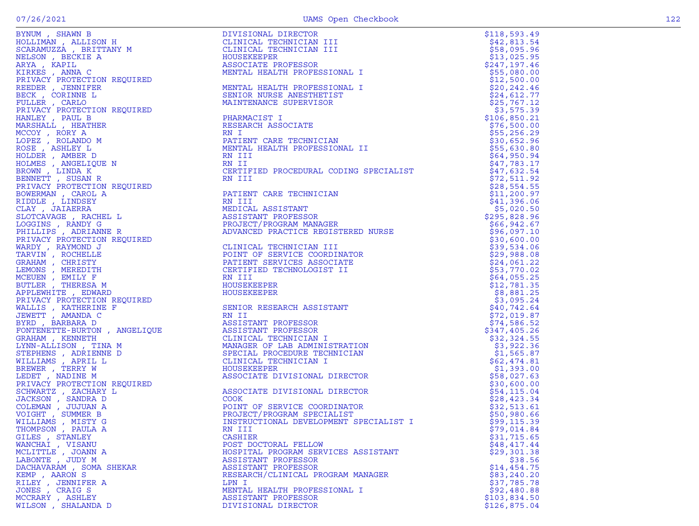| BYNUM , SHAWN B                                                                                                                                                                                                                                             |
|-------------------------------------------------------------------------------------------------------------------------------------------------------------------------------------------------------------------------------------------------------------|
| HOLLIMAN, ALLISON H                                                                                                                                                                                                                                         |
| SCARAMUZZA , BRITTANY M                                                                                                                                                                                                                                     |
| SCARAMUZZA , BRITTANY M<br>NELSON , BECKIE A<br>ARYA , KAPIL<br>KIRKES , ANNA C<br>PRIVACY PROTECTION REQUIRED<br>REEDER , JENNIFER<br>BECK , CORINNE L<br>FULLER , CARLO<br>PRIVACY PROTECTION REQUIRED<br>HANLEY , PAUL B<br>MCCOY RORY A<br>MCCOY RORY A |
|                                                                                                                                                                                                                                                             |
|                                                                                                                                                                                                                                                             |
|                                                                                                                                                                                                                                                             |
|                                                                                                                                                                                                                                                             |
|                                                                                                                                                                                                                                                             |
|                                                                                                                                                                                                                                                             |
|                                                                                                                                                                                                                                                             |
|                                                                                                                                                                                                                                                             |
|                                                                                                                                                                                                                                                             |
|                                                                                                                                                                                                                                                             |
|                                                                                                                                                                                                                                                             |
|                                                                                                                                                                                                                                                             |
| " CONTROL CONTROL<br>CONTROL RON A<br>ROSE , ASHLEY L<br>HOLDER , AMBER D<br>HOLMES , AMGELIQUE N<br>REOWN LINDA K                                                                                                                                          |
|                                                                                                                                                                                                                                                             |
|                                                                                                                                                                                                                                                             |
|                                                                                                                                                                                                                                                             |
| BROWN , LINDA K<br>BENNETT , SUSAN R<br>COLORATION                                                                                                                                                                                                          |
|                                                                                                                                                                                                                                                             |
| PRIVACY PROTECTION REQUIRED                                                                                                                                                                                                                                 |
|                                                                                                                                                                                                                                                             |
| BOWERMAN , CAROL A<br>RIDDLE , LINDSEY                                                                                                                                                                                                                      |
| CLAY, JAIAERRA                                                                                                                                                                                                                                              |
| SLOTCAVAGE, RACHEL L                                                                                                                                                                                                                                        |
| LOGGINS , RANDY G<br>PHILLIPS , ADRIANNE R                                                                                                                                                                                                                  |
|                                                                                                                                                                                                                                                             |
|                                                                                                                                                                                                                                                             |
|                                                                                                                                                                                                                                                             |
|                                                                                                                                                                                                                                                             |
|                                                                                                                                                                                                                                                             |
|                                                                                                                                                                                                                                                             |
| PRILITIPS , ADKINING R<br>PRIVACY PROTECTION REQUIRED<br>WARDY , RAYMOND J<br>TARVIN , ROCHELLE<br>SRAHAM , CHRISTY<br>MCEUEN , EMILY F<br>MCEUEN , EMILY F<br>BUTLER , THERESA M<br>POTLEWITTE FOWAPD                                                      |
|                                                                                                                                                                                                                                                             |
|                                                                                                                                                                                                                                                             |
| APPLEWHITE , EDWARD                                                                                                                                                                                                                                         |
|                                                                                                                                                                                                                                                             |
|                                                                                                                                                                                                                                                             |
| PRIVACY PROTECTION REQUIRED<br>WALLIS , KATHERINE F<br>JEWETT , AMANDA C<br>BYRD , BARBARA D                                                                                                                                                                |
|                                                                                                                                                                                                                                                             |
| FONTENETTE-BURTON, ANGELIQUE                                                                                                                                                                                                                                |
|                                                                                                                                                                                                                                                             |
| GRAHAM , KENNETH<br>LYNN-ALLISON , TINA M                                                                                                                                                                                                                   |
|                                                                                                                                                                                                                                                             |
| STEPHENS , ADRIENNE D<br>WILLIAMS , APRIL L                                                                                                                                                                                                                 |
|                                                                                                                                                                                                                                                             |
|                                                                                                                                                                                                                                                             |
|                                                                                                                                                                                                                                                             |
| WINDING / TERRY W<br>LEDET , NADINE M<br>PRIVACY PROTECTION REQUIRED<br>SCHWARTZ , ZACHARY L<br>STAWARTZ , ZANDRAY L                                                                                                                                        |
|                                                                                                                                                                                                                                                             |
| JACKSON , SANDRA D<br>COLEMAN , JUJUAN A<br>VOIGHT , SUMMER B<br>WILLIAMS , MISTY G<br>THOMBOON , TAUT G                                                                                                                                                    |
|                                                                                                                                                                                                                                                             |
|                                                                                                                                                                                                                                                             |
|                                                                                                                                                                                                                                                             |
|                                                                                                                                                                                                                                                             |
| THOMPSON,<br>PAULA<br>А                                                                                                                                                                                                                                     |
|                                                                                                                                                                                                                                                             |
|                                                                                                                                                                                                                                                             |
| GILES , STANLEY<br>GILES , STANLEY<br>WANCHAI , VISANU<br>MCLITTLE , JOANN A<br>LABONTE , JUDY M                                                                                                                                                            |
|                                                                                                                                                                                                                                                             |
| DACHAVARAM, SOMA SHEKAR                                                                                                                                                                                                                                     |
|                                                                                                                                                                                                                                                             |
|                                                                                                                                                                                                                                                             |
|                                                                                                                                                                                                                                                             |
|                                                                                                                                                                                                                                                             |
| EXEMP , AARON S<br>KEMP , AARON S<br>RILEY , JENNIFER A<br>JONES , CRAIG S<br>MILEY , ASHLEY<br>MILEON SUALANDA D                                                                                                                                           |

|                         | EVANS, SIMMAR BOWLER (ENGLISH MENDENDRICH CHARGES IN THE SERVER (ENGLISH MENDENDRICH MENDENDRICH MENDENDRICH (SERVER MENDENDRICH MENDENDRICH MENDENDRICH MENDENDRICH (SERVER MENDENDRICH MENDENDRICH MENDENDRICH MENDENDRICH | \$118,593.49                |
|-------------------------|------------------------------------------------------------------------------------------------------------------------------------------------------------------------------------------------------------------------------|-----------------------------|
|                         |                                                                                                                                                                                                                              | \$42,813.54                 |
|                         |                                                                                                                                                                                                                              | \$58,095.96                 |
|                         |                                                                                                                                                                                                                              | \$13,025.95                 |
|                         |                                                                                                                                                                                                                              | \$247,197.46                |
|                         |                                                                                                                                                                                                                              | \$55,080.00                 |
|                         |                                                                                                                                                                                                                              | \$12,500.00                 |
|                         |                                                                                                                                                                                                                              | \$20, 242.46                |
|                         |                                                                                                                                                                                                                              | \$24,612.77                 |
|                         |                                                                                                                                                                                                                              | \$25,767.12                 |
|                         |                                                                                                                                                                                                                              | \$3,575.39                  |
|                         |                                                                                                                                                                                                                              | \$106,850.21                |
|                         |                                                                                                                                                                                                                              | \$76,500.00                 |
|                         |                                                                                                                                                                                                                              | \$55,256.29                 |
|                         |                                                                                                                                                                                                                              | \$30,652.96                 |
|                         |                                                                                                                                                                                                                              | \$55,630.80                 |
|                         |                                                                                                                                                                                                                              | \$64,950.94                 |
|                         |                                                                                                                                                                                                                              | \$47,783.17                 |
|                         |                                                                                                                                                                                                                              | \$47,632.54                 |
|                         |                                                                                                                                                                                                                              | \$72,511.92                 |
|                         |                                                                                                                                                                                                                              | \$28,554.55                 |
|                         |                                                                                                                                                                                                                              | \$11,200.97                 |
|                         |                                                                                                                                                                                                                              | \$41,396.06                 |
|                         |                                                                                                                                                                                                                              | \$5,020.50                  |
|                         |                                                                                                                                                                                                                              | \$295,828.96<br>\$66,942.67 |
|                         |                                                                                                                                                                                                                              | \$96,097.10                 |
|                         |                                                                                                                                                                                                                              | \$30,600.00                 |
|                         |                                                                                                                                                                                                                              | \$39,534.06                 |
|                         |                                                                                                                                                                                                                              | \$29,988.08                 |
|                         |                                                                                                                                                                                                                              | \$24,061.22                 |
|                         |                                                                                                                                                                                                                              | \$53,770.02                 |
|                         |                                                                                                                                                                                                                              | \$64,055.25                 |
|                         |                                                                                                                                                                                                                              | \$12,781.35                 |
|                         |                                                                                                                                                                                                                              | \$8,881.25                  |
|                         |                                                                                                                                                                                                                              | \$3,095.24                  |
|                         |                                                                                                                                                                                                                              | \$40,742.64                 |
|                         |                                                                                                                                                                                                                              | \$72,019.87                 |
|                         |                                                                                                                                                                                                                              | \$74,586.52                 |
|                         |                                                                                                                                                                                                                              | \$347,405.26                |
|                         |                                                                                                                                                                                                                              | \$32,324.55                 |
|                         |                                                                                                                                                                                                                              | \$3,922.36                  |
|                         |                                                                                                                                                                                                                              | \$1,565.87                  |
|                         |                                                                                                                                                                                                                              | \$62,474.81                 |
|                         |                                                                                                                                                                                                                              | \$1,393.00                  |
|                         |                                                                                                                                                                                                                              | \$58,027.63                 |
|                         |                                                                                                                                                                                                                              | \$30,600.00                 |
|                         |                                                                                                                                                                                                                              | \$54, 115.04                |
|                         |                                                                                                                                                                                                                              | \$28,423.34                 |
|                         |                                                                                                                                                                                                                              | \$32,513.61                 |
|                         |                                                                                                                                                                                                                              | \$50,980.66                 |
|                         |                                                                                                                                                                                                                              | \$99, 115.39                |
| THOMPSON, PAULA A       | RN III                                                                                                                                                                                                                       | \$79,014.84                 |
| GILES, STANLEY          | CASHIER                                                                                                                                                                                                                      | \$31,715.65                 |
| WANCHAI , VISANU        | POST DOCTORAL FELLOW                                                                                                                                                                                                         | \$48,417.44                 |
| MCLITTLE , JOANN A      | HOSPITAL PROGRAM SERVICES ASSISTANT                                                                                                                                                                                          | \$29,301.38                 |
| LABONTE, JUDY M         | ASSISTANT PROFESSOR                                                                                                                                                                                                          | \$38.56                     |
| DACHAVARAM, SOMA SHEKAR | ASSISTANT PROFESSOR                                                                                                                                                                                                          | \$14,454.75                 |
| KEMP, AARON S           | RESEARCH/CLINICAL PROGRAM MANAGER                                                                                                                                                                                            | \$83, 240.20                |
| RILEY , JENNIFER A      | LPN I                                                                                                                                                                                                                        | \$37,785.78                 |
| JONES, CRAIG S          | MENTAL HEALTH PROFESSIONAL I                                                                                                                                                                                                 | \$92,480.88                 |
| MCCRARY, ASHLEY         | ASSISTANT PROFESSOR                                                                                                                                                                                                          | \$103,834.50                |
| WILSON, SHALANDA D      | DIVISIONAL DIRECTOR                                                                                                                                                                                                          | \$126,875.04                |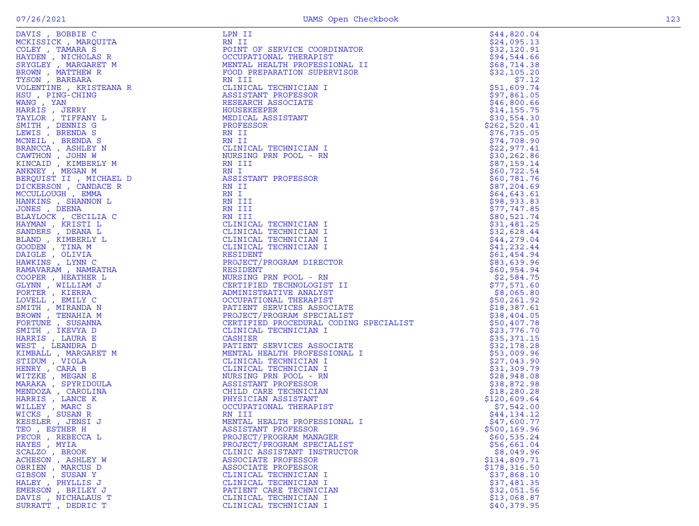| IS, BOBBIL C<br>ISSICK, MARQUITA<br>EY, TAMARA S<br>IDEN, NICHOLAS R<br>YGLEY, MARGARET M<br>COWN, BARBARA<br>ISON, BARBARA<br>OLENTINE, KRISTEANA R<br>ISU, PING-CHING<br>MANG, YAN<br>HARRIS, JERRY<br>TAYLOR, TIFFANY L<br>TAYLOR, TIFFANY L<br>TAYLO | LPN II                                       | \$44,820.04   |
|----------------------------------------------------------------------------------------------------------------------------------------------------------------------------------------------------------------------------------------------------------|----------------------------------------------|---------------|
|                                                                                                                                                                                                                                                          | RN II                                        | \$24,095.13   |
|                                                                                                                                                                                                                                                          | POINT OF SERVICE COORDINATOR                 | \$32,120.91   |
|                                                                                                                                                                                                                                                          |                                              |               |
|                                                                                                                                                                                                                                                          | OCCUPATIONAL THERAPIST                       | \$94,544.66   |
|                                                                                                                                                                                                                                                          | MENTAL HEALTH PROFESSIONAL II                | \$68,714.38   |
|                                                                                                                                                                                                                                                          | FOOD PREPARATION SUPERVISOR                  | \$32,105.20   |
|                                                                                                                                                                                                                                                          | RN III                                       | \$7.12        |
|                                                                                                                                                                                                                                                          | CLINICAL TECHNICIAN I                        | \$51,609.74   |
|                                                                                                                                                                                                                                                          |                                              |               |
|                                                                                                                                                                                                                                                          | ASSISTANT PROFESSOR                          | \$97,861.05   |
|                                                                                                                                                                                                                                                          | RESEARCH ASSOCIATE                           | \$46,800.66   |
|                                                                                                                                                                                                                                                          | HOUSEKEEPER                                  | \$14, 155.75  |
|                                                                                                                                                                                                                                                          | MEDICAL ASSISTANT                            | \$30,554.30   |
|                                                                                                                                                                                                                                                          | PROFESSOR                                    | \$262,520.41  |
|                                                                                                                                                                                                                                                          |                                              |               |
|                                                                                                                                                                                                                                                          | RN II                                        | \$76, 735.05  |
| MCNEIL, BRENDA S                                                                                                                                                                                                                                         | RN II                                        | \$74,708.90   |
| BRANCCA, ASHLEY N                                                                                                                                                                                                                                        | CLINICAL TECHNICIAN I                        | \$22,977.41   |
| CAWTHON, JOHN W                                                                                                                                                                                                                                          | NURSING PRN POOL - RN                        | \$30,262.86   |
| KINCAID, KIMBERLY M                                                                                                                                                                                                                                      | RN III                                       | \$87,159.14   |
|                                                                                                                                                                                                                                                          |                                              |               |
| ANKNEY, MEGAN M                                                                                                                                                                                                                                          | RN I                                         | \$60,722.54   |
| BERQUIST II, MICHAEL D                                                                                                                                                                                                                                   | ASSISTANT PROFESSOR                          | \$60,781.76   |
| DICKERSON, CANDACE R                                                                                                                                                                                                                                     | RN II                                        | \$87,204.69   |
| MCCULLOUGH, EMMA                                                                                                                                                                                                                                         | RN I                                         | \$64,643.61   |
| HANKINS , SHANNON L                                                                                                                                                                                                                                      | RN III                                       | \$98,933.83   |
|                                                                                                                                                                                                                                                          | RN III                                       |               |
| JONES , DEENA                                                                                                                                                                                                                                            |                                              | \$77,747.85   |
| BLAYLOCK, CECILIA C                                                                                                                                                                                                                                      | RN III                                       | \$80,521.74   |
| HAYMAN, KRISTI L                                                                                                                                                                                                                                         | CLINICAL TECHNICIAN I                        | \$31,481.25   |
| SANDERS , DEANA L                                                                                                                                                                                                                                        | CLINICAL TECHNICIAN I                        | \$32,628.44   |
| BLAND, KIMBERLY L                                                                                                                                                                                                                                        | CLINICAL TECHNICIAN I                        | \$44,279.04   |
| GOODEN, TINA M                                                                                                                                                                                                                                           | CLINICAL TECHNICIAN I                        | \$41,232.44   |
| $\begin{array}{lll} \texttt{M} & \\ \texttt{EL} & \texttt{D} \\ \texttt{R} & \\ \texttt{C} & \\ \texttt{C} & \\ \texttt{H} & \\ \texttt{A} & \\ \end{array}$                                                                                             |                                              |               |
| DAIGLE , OLIVIA                                                                                                                                                                                                                                          | RESIDENT                                     | \$61,454.94   |
| HAWKINS, LYNN C                                                                                                                                                                                                                                          | PROJECT/PROGRAM DIRECTOR                     | \$83,639.96   |
| RAMAVARAM, NAMRATHA                                                                                                                                                                                                                                      | RESIDENT                                     | \$60,954.94   |
| COOPER, HEATHER L                                                                                                                                                                                                                                        | NURSING PRN POOL - RN                        | \$2,584.75    |
| GLYNN, WILLIAM J                                                                                                                                                                                                                                         | CERTIFIED TECHNOLOGIST II                    | \$77,571.60   |
|                                                                                                                                                                                                                                                          |                                              |               |
| PORTER, KIERRA                                                                                                                                                                                                                                           | ADMINISTRATIVE ANALYST                       | \$8,065.80    |
| LOVELL , EMILY C                                                                                                                                                                                                                                         | OCCUPATIONAL THERAPIST                       | \$50, 261.92  |
| SMITH, MIRANDA N                                                                                                                                                                                                                                         | PATIENT SERVICES ASSOCIATE                   | \$18,387.61   |
| BROWN, TENAHIA M                                                                                                                                                                                                                                         | OPECIALIST<br>PROJECT/PROGRAM SPECIALIST     | \$38,404.05   |
| FORTUNE , SUSANNA                                                                                                                                                                                                                                        | CERTIFIED PROCEDURAL CODING SPECIALIST       | \$50,407.78   |
|                                                                                                                                                                                                                                                          | ODING SPECIALISI<br>IATE<br>ONAL I<br>ONAL I |               |
| SMITH , IKEVYA D                                                                                                                                                                                                                                         | CLINICAL TECHNICIAN I                        | \$23,776.70   |
| HARRIS, LAURA E                                                                                                                                                                                                                                          | CASHIER                                      | \$35,371.15   |
| WEST, LEANDRA D                                                                                                                                                                                                                                          | PATIENT SERVICES ASSOCIATE                   | \$32,178.28   |
| KIMBALL , MARGARET M                                                                                                                                                                                                                                     | MENTAL HEALTH PROFESSIONAL I                 | \$53,009.96   |
| STIDUM, VIOLA                                                                                                                                                                                                                                            | CLINICAL TECHNICIAN I                        | \$27,043.90   |
| HENRY , CARA B                                                                                                                                                                                                                                           |                                              |               |
|                                                                                                                                                                                                                                                          | CLINICAL TECHNICIAN I                        | \$31,309.79   |
| WITZKE, MEGAN E                                                                                                                                                                                                                                          | NURSING PRN POOL - RN                        | \$28,948.08   |
| MARAKA, SPYRIDOULA                                                                                                                                                                                                                                       | ASSISTANT PROFESSOR                          | \$38,872.98   |
| MENDOZA, CAROLINA                                                                                                                                                                                                                                        | CHILD CARE TECHNICIAN                        | \$18, 280.28  |
| HARRIS, LANCE K                                                                                                                                                                                                                                          | PHYSICIAN ASSISTANT                          | \$120,609.64  |
| WILLEY, MARC S                                                                                                                                                                                                                                           | OCCUPATIONAL THERAPIST                       | \$7,542.00    |
|                                                                                                                                                                                                                                                          |                                              |               |
| WICKS, SUSAN R                                                                                                                                                                                                                                           | RN III                                       | \$44,134.12   |
| KESSLER , JENSI J                                                                                                                                                                                                                                        | MENTAL HEALTH PROFESSIONAL I                 | \$47,600.77   |
| TEO, ESTHER H                                                                                                                                                                                                                                            | ASSISTANT PROFESSOR                          | \$500, 169.96 |
| PECOR, REBECCA L                                                                                                                                                                                                                                         | PROJECT/PROGRAM MANAGER                      | \$60,535.24   |
| HAYES, MYIA                                                                                                                                                                                                                                              | PROJECT/PROGRAM SPECIALIST                   | \$56,661.04   |
|                                                                                                                                                                                                                                                          | CLINIC ASSISTANT INSTRUCTOR                  |               |
| SCALZO, BROOK                                                                                                                                                                                                                                            |                                              | \$8,049.96    |
| ACHESON, ASHLEY W                                                                                                                                                                                                                                        | ASSOCIATE PROFESSOR                          | \$134,809.71  |
| OBRIEN, MARCUS D                                                                                                                                                                                                                                         | ASSOCIATE PROFESSOR                          | \$178,316.50  |
| GIBSON, SUSAN Y                                                                                                                                                                                                                                          | CLINICAL TECHNICIAN I                        | \$37,868.10   |
| HALEY , PHYLLIS J                                                                                                                                                                                                                                        | CLINICAL TECHNICIAN I                        | \$37,481.35   |
| EMERSON, BRILEY J                                                                                                                                                                                                                                        | PATIENT CARE TECHNICIAN                      | \$32,051.56   |
|                                                                                                                                                                                                                                                          |                                              | \$13,068.87   |
| DAVIS , NICHALAUS T                                                                                                                                                                                                                                      | CLINICAL TECHNICIAN I                        |               |
| SURRATT, DEDRIC T                                                                                                                                                                                                                                        | CLINICAL TECHNICIAN I                        | \$40,379.95   |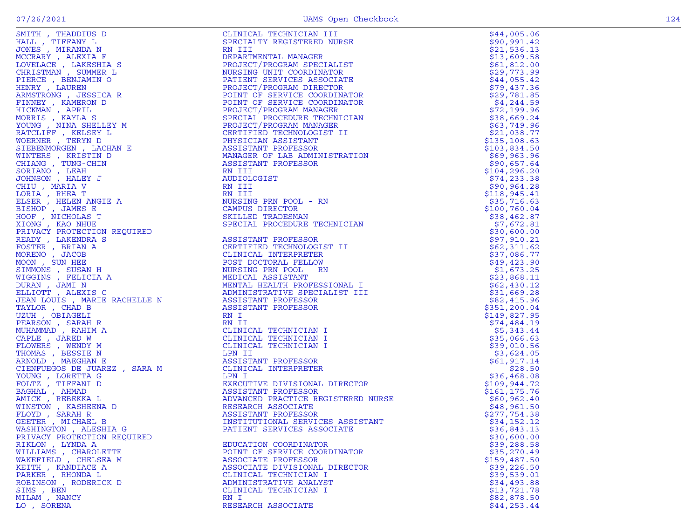| SMITH, THADDIUS D                         | CLINICAL TECHNICIAN III                                                                                                                                                                                                                                    | \$44,005.06                |
|-------------------------------------------|------------------------------------------------------------------------------------------------------------------------------------------------------------------------------------------------------------------------------------------------------------|----------------------------|
| HALL, TIFFANY L                           | SPECIALTY REGISTERED NURSE                                                                                                                                                                                                                                 | \$90,991.42                |
| JONES , MIRANDA N                         | RN III                                                                                                                                                                                                                                                     | \$21,536.13                |
| MCCRARY, ALEXIA F                         | DEPARTMENTAL MANAGER                                                                                                                                                                                                                                       | \$13,609.58                |
| LOVELACE, LAKESHIA S                      | PROJECT/PROGRAM SPECIALIST                                                                                                                                                                                                                                 | \$61,812.00                |
| CHRISTMAN, SUMMER L                       | NURSING UNIT COORDINATOR                                                                                                                                                                                                                                   | \$29,773.99                |
| PIERCE, BENJAMIN O                        | PATIENT SERVICES ASSOCIATE                                                                                                                                                                                                                                 | \$44,055.42                |
| HENRY, LAUREN                             | PROJECT/PROGRAM DIRECTOR                                                                                                                                                                                                                                   | \$79,437.36                |
| ARMSTRONG, JESSICA R                      | POINT OF SERVICE COORDINATOR                                                                                                                                                                                                                               | \$29,781.85                |
| FINNEY, KAMERON D                         | POINT OF SERVICE COORDINATOR                                                                                                                                                                                                                               | \$4,244.59                 |
| HICKMAN, APRIL                            | PROJECT/PROGRAM MANAGER<br>SPECIAL PROCEDURE TECHNICIAN                                                                                                                                                                                                    | \$72,199.96<br>\$38,669.24 |
| MORRIS, KAYLA S<br>YOUNG , NINA SHELLEY M | PROJECT/PROGRAM MANAGER                                                                                                                                                                                                                                    | \$63,749.96                |
| RATCLIFF , KELSEY L                       | CERTIFIED TECHNOLOGIST II                                                                                                                                                                                                                                  | \$21,038.77                |
| WOERNER, TERYN D                          | PHYSICIAN ASSISTANT                                                                                                                                                                                                                                        | \$135, 108.63              |
| SIEBENMORGEN , LACHAN E                   | ASSISTANT PROFESSOR                                                                                                                                                                                                                                        | \$103,834.50               |
| WINTERS , KRISTIN D                       | MANAGER OF LAB ADMINISTRATION                                                                                                                                                                                                                              | \$69,963.96                |
| CHIANG , TUNG-CHIN                        | ASSISTANT PROFESSOR                                                                                                                                                                                                                                        | \$90,657.64                |
| SORIANO, LEAH                             | RN III                                                                                                                                                                                                                                                     | \$104, 296.20              |
| JOHNSON, HALEY J                          | AUDIOLOGIST                                                                                                                                                                                                                                                | \$74,233.38                |
| CHIU, MARIA V                             | RN III                                                                                                                                                                                                                                                     | \$90, 964.28               |
| LORIA, RHEA T                             | RN III                                                                                                                                                                                                                                                     | \$118,945.41               |
| ELSER , HELEN ANGIE A                     | NURSING PRN POOL - RN                                                                                                                                                                                                                                      | \$35,716.63                |
| BISHOP , JAMES E                          | CAMPUS DIRECTOR                                                                                                                                                                                                                                            | \$100,760.04               |
| HOOF , NICHOLAS T                         | SKILLED TRADESMAN                                                                                                                                                                                                                                          | \$38,462.87                |
| XIONG, KAO NHUE                           | SPECIAL PROCEDURE TECHNICIAN                                                                                                                                                                                                                               | \$7,672.81                 |
| PRIVACY PROTECTION REQUIRED               |                                                                                                                                                                                                                                                            | \$30,600.00                |
| READY, LAKENDRA S                         |                                                                                                                                                                                                                                                            | \$97,910.21                |
| FOSTER, BRIAN A                           | CERTIFIED TECHNOLOGIST II                                                                                                                                                                                                                                  | \$62,311.62                |
| MORENO, JACOB                             |                                                                                                                                                                                                                                                            | \$37,086.77                |
| MOON, SUN HEE                             |                                                                                                                                                                                                                                                            | \$49,423.90                |
| SIMMONS , SUSAN H                         | REQUIRED<br>;<br>; H<br>POST DOCTORAL :-<br>; H<br>NURSING PRN POOL - K.<br>CLINICAL 1.<br>NURSING PRN POOL - K.<br>CLA MEDICAL ASSISTANT PROFESSI<br>XIS C<br>AN MENITAL HEALTH PROFESSOR<br>ASSISTANT PROFESSOR<br>ASSISTANT PROFESSOR<br>RN I<br>CLINIC | \$1,673.25                 |
| WIGGINS , FELICIA A                       |                                                                                                                                                                                                                                                            | \$23,868.11                |
| DURAN, JAMI N                             | MENTAL HEALTH PROFESSIONAL I                                                                                                                                                                                                                               | \$62,430.12                |
| ELLIOTT, ALEXIS C                         | ADMINISTRATIVE SPECIALIST III                                                                                                                                                                                                                              | \$31,669.28                |
| JEAN LOUIS , MARIE RACHELLE N             |                                                                                                                                                                                                                                                            | \$82,415.96                |
|                                           |                                                                                                                                                                                                                                                            | \$351, 200.04              |
|                                           |                                                                                                                                                                                                                                                            | \$149,827.95               |
|                                           |                                                                                                                                                                                                                                                            | \$74,484.19                |
|                                           |                                                                                                                                                                                                                                                            | \$5,343.44                 |
|                                           |                                                                                                                                                                                                                                                            | \$35,066.63                |
|                                           |                                                                                                                                                                                                                                                            | \$39,010.56                |
|                                           | LPN II<br>ASSISTANT PROFESSOR<br>ELEMENT INTERPRETEJ                                                                                                                                                                                                       | \$3,624.05                 |
|                                           | CLINICAL INTERPRETER                                                                                                                                                                                                                                       | \$61,917.14<br>\$28.50     |
|                                           |                                                                                                                                                                                                                                                            | \$36,468.08                |
|                                           | EXECUTIVE DIVISIONAL DIRECTOR                                                                                                                                                                                                                              | \$109,944.72               |
|                                           | ASSISTANT PROFESSOR                                                                                                                                                                                                                                        | \$161, 175.76              |
|                                           | ADVANCED PRACTICE REGISTERED NURSE                                                                                                                                                                                                                         | \$60,962.40                |
|                                           |                                                                                                                                                                                                                                                            | \$48,961.50                |
|                                           | ASSISTANT PROFESSOR                                                                                                                                                                                                                                        | \$277,754.38               |
|                                           | INSTITUTIONAL SERVICES ASSISTANT                                                                                                                                                                                                                           | \$34,152.12                |
|                                           | PATIENT SERVICES ASSOCIATE                                                                                                                                                                                                                                 | \$36,843.13                |
|                                           | EXECU11.<br>ASSISTANT FRACTICE .<br>ADVANCED PRACTICE .<br>RESEARCH ASSOCIATE<br>ASSISTANT PROFESSO<br>INSTITUTIONAL SER<br>INSTITUTIONAL SER                                                                                                              | \$30,600.00                |
|                                           | EDUCATION COORDINATOR                                                                                                                                                                                                                                      | \$39,288.58                |
| WILLIAMS, CHAROLETTE                      | POINT OF SERVICE COORDINATOR                                                                                                                                                                                                                               | \$35,270.49                |
| WAKEFIELD, CHELSEA M                      | ASSOCIATE PROFESSOR                                                                                                                                                                                                                                        | \$159,487.50               |
| KEITH, KANDIACE A                         | ASSOCIATE DIVISIONAL DIRECTOR                                                                                                                                                                                                                              | \$39,226.50                |
| PARKER , RHONDA L                         | CLINICAL TECHNICIAN I                                                                                                                                                                                                                                      | \$39,539.01                |
| ROBINSON, RODERICK D                      | ADMINISTRATIVE ANALYST                                                                                                                                                                                                                                     | \$34,493.88                |
| SIMS, BEN                                 | CLINICAL TECHNICIAN I                                                                                                                                                                                                                                      | \$13,721.78                |
| MILAM, NANCY                              | RN I                                                                                                                                                                                                                                                       | \$82,878.50                |
| LO, SORENA                                | RESEARCH ASSOCIATE                                                                                                                                                                                                                                         | \$44, 253.44               |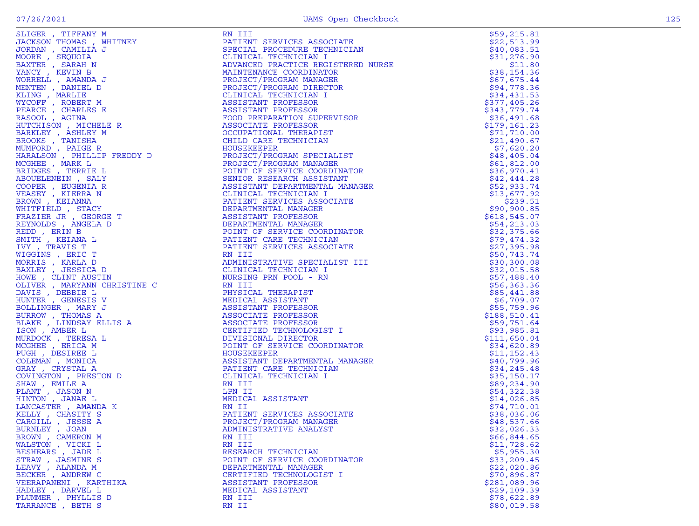| SLIGER , TIFFANY M       | RN III                                                                                                                                                                                                                                                          | \$59,215.81   |
|--------------------------|-----------------------------------------------------------------------------------------------------------------------------------------------------------------------------------------------------------------------------------------------------------------|---------------|
| JACKSON THOMAS , WHITNEY | PATIENT SERVICES ASSOCIATE                                                                                                                                                                                                                                      | \$22,513.99   |
| JORDAN, CAMILIA J        | SPECIAL PROCEDURE TECHNICIAN                                                                                                                                                                                                                                    | \$40,083.51   |
| MOORE , SEQUOIA          | CLINICAL TECHNICIAN I                                                                                                                                                                                                                                           | \$31,276.90   |
| BAXTER , SARAH N         | ADVANCED PRACTICE REGISTERED NURSE                                                                                                                                                                                                                              | \$11.80       |
| YANCY, KEVIN B           | MAINTENANCE COORDINATOR                                                                                                                                                                                                                                         | \$38,154.36   |
| WORRELL , AMANDA J       | PROJECT/PROGRAM MANAGER                                                                                                                                                                                                                                         | \$67,675.44   |
| MENTEN, DANIEL D         | PROJECT/PROGRAM DIRECTOR                                                                                                                                                                                                                                        | \$94,778.36   |
| KLING , MARLIE           | CLINICAL TECHNICIAN I                                                                                                                                                                                                                                           | \$34,431.53   |
| WYCOFF, ROBERT M         | ASSISTANT PROFESSOR                                                                                                                                                                                                                                             | \$377,405.26  |
| PEARCE, CHARLES E        | ASSISTANT PROFESSOR                                                                                                                                                                                                                                             | \$343,779.74  |
| RASOOL, AGINA            | FOOD PREPARATION SUPERVISOR                                                                                                                                                                                                                                     | \$36,491.68   |
|                          | ASSOCIATE PROFESSOR                                                                                                                                                                                                                                             | \$179,161.23  |
|                          | OCCUPATIONAL THERAPIST                                                                                                                                                                                                                                          | \$71,710.00   |
|                          | CHILD CARE TECHNICIAN                                                                                                                                                                                                                                           | \$21,490.67   |
|                          |                                                                                                                                                                                                                                                                 | \$7,620.20    |
|                          | $\begin{aligned} &\mathbf{1} \end{aligned}$<br>$\begin{aligned} &\mathbf{R} \end{aligned}$<br>$\begin{aligned} &\mathbf{R} \end{aligned}$<br>PROJECT/PROGRAM SPECIALIST                                                                                         | \$48,405.04   |
|                          | PROJECT/PROGRAM MANAGER                                                                                                                                                                                                                                         | \$61,812.00   |
|                          | POINT OF SERVICE COORDINATOR                                                                                                                                                                                                                                    | \$36,970.41   |
|                          | SENIOR RESEARCH ASSISTANT                                                                                                                                                                                                                                       | \$42,444.28   |
|                          | ASSISTANT DEPARTMENTAL MANAGER                                                                                                                                                                                                                                  | \$52,933.74   |
|                          | CLINICAL TECHNICIAN I                                                                                                                                                                                                                                           | \$13,677.92   |
|                          | PATIENT SERVICES ASSOCIATE                                                                                                                                                                                                                                      | \$239.51      |
|                          | DEPARTMENTAL MANAGER                                                                                                                                                                                                                                            | \$90,900.85   |
|                          | ASSISTANT PROFESSOR                                                                                                                                                                                                                                             | \$618, 545.07 |
|                          | DEPARTMENTAL MANAGER                                                                                                                                                                                                                                            | \$54, 213.03  |
|                          | POINT OF SERVICE COORDINATOR                                                                                                                                                                                                                                    | \$32,375.66   |
|                          | PATIENT CARE TECHNICIAN                                                                                                                                                                                                                                         | \$79,474.32   |
|                          | PATIENT SERVICES ASSOCIATE                                                                                                                                                                                                                                      | \$27,395.98   |
|                          |                                                                                                                                                                                                                                                                 | \$50,743.74   |
|                          | RN III<br>ADMINISTRATIVE SPECIALIST III<br>CLINICAL TECHNICIAN I<br>NURSING PRN POOL - RN<br>RN III<br>PHYSICAL THERAPIST<br>MEDICAL ASSISTANT<br>ASSISTANT PROFESSOR<br>ASSOCIATE PROFESSOR<br>CERTIFIED TECHNOLOGIST I<br>DIVISIONAL DIRECTOR<br>DIVISIONAL D | \$30,300.08   |
|                          |                                                                                                                                                                                                                                                                 |               |
|                          |                                                                                                                                                                                                                                                                 | \$32,015.58   |
|                          |                                                                                                                                                                                                                                                                 | \$57,488.40   |
|                          |                                                                                                                                                                                                                                                                 | \$56, 363.36  |
|                          |                                                                                                                                                                                                                                                                 | \$85,441.88   |
|                          |                                                                                                                                                                                                                                                                 | \$6,709.07    |
|                          |                                                                                                                                                                                                                                                                 | \$55,759.96   |
|                          |                                                                                                                                                                                                                                                                 | \$188,510.41  |
|                          |                                                                                                                                                                                                                                                                 | \$59,751.64   |
|                          |                                                                                                                                                                                                                                                                 | \$93,985.81   |
|                          |                                                                                                                                                                                                                                                                 | \$111,650.04  |
|                          | POINT OF SERVICE COORDINATOR                                                                                                                                                                                                                                    | \$34,620.89   |
|                          |                                                                                                                                                                                                                                                                 | \$11, 152.43  |
|                          | ASSISTANT DEPARTMENTAL MANAGER                                                                                                                                                                                                                                  | \$40,799.96   |
|                          | ASSISTANT DEPARTMENTAL<br>PATIENT CARE TECHNICIAN<br>CLINICAL TECHNICIAN I                                                                                                                                                                                      | \$34, 245.48  |
|                          |                                                                                                                                                                                                                                                                 | \$35,150.17   |
|                          |                                                                                                                                                                                                                                                                 | \$89,234.90   |
|                          |                                                                                                                                                                                                                                                                 | \$54,322.38   |
|                          | MEDICAL ASSISTANT                                                                                                                                                                                                                                               | \$14,026.85   |
|                          |                                                                                                                                                                                                                                                                 | \$74,710.01   |
|                          | PATIENT SERVICES ASSOCIATE                                                                                                                                                                                                                                      | \$38,036.06   |
|                          | PROJECT/PROGRAM MANAGER                                                                                                                                                                                                                                         | \$48,537.66   |
|                          | ADMINISTRATIVE ANALYST                                                                                                                                                                                                                                          | \$32,026.33   |
|                          |                                                                                                                                                                                                                                                                 | \$66,844.65   |
| WALSTON, VICKI L         | RN III                                                                                                                                                                                                                                                          | \$11,728.62   |
| BESHEARS, JADE L         | RESEARCH TECHNICIAN                                                                                                                                                                                                                                             | \$5,955.30    |
| STRAW, JASMINE S         | POINT OF SERVICE COORDINATOR                                                                                                                                                                                                                                    | \$33,209.45   |
| LEAVY , ALANDA M         | DEPARTMENTAL MANAGER                                                                                                                                                                                                                                            | \$22,020.86   |
| BECKER, ANDREW C         | CERTIFIED TECHNOLOGIST I                                                                                                                                                                                                                                        | \$70,896.87   |
| VEERAPANENI, KARTHIKA    | ASSISTANT PROFESSOR                                                                                                                                                                                                                                             | \$281,089.96  |
| HADLEY, DARVEL L         | MEDICAL ASSISTANT                                                                                                                                                                                                                                               | \$29,109.39   |
| PLUMMER, PHYLLIS D       | RN III                                                                                                                                                                                                                                                          | \$78,622.89   |
| TARRANCE, BETH S         | RN II                                                                                                                                                                                                                                                           | \$80,019.58   |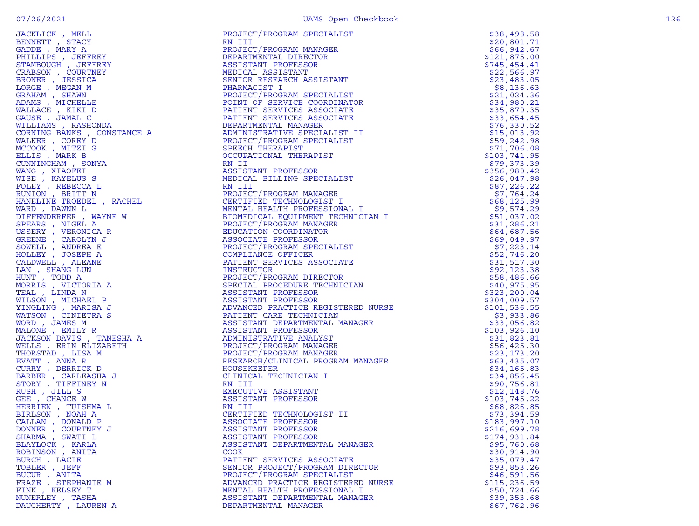| JACKLICK, MELL                                                                                                                                                                                                                                                                       | PROJECT/PROGRAM SPECIALIST                                                                                                                                                                                                                                | \$38,498.58   |
|--------------------------------------------------------------------------------------------------------------------------------------------------------------------------------------------------------------------------------------------------------------------------------------|-----------------------------------------------------------------------------------------------------------------------------------------------------------------------------------------------------------------------------------------------------------|---------------|
| BENNETT, STACY                                                                                                                                                                                                                                                                       | RN III                                                                                                                                                                                                                                                    | \$20,801.71   |
| GADDE, MARY A                                                                                                                                                                                                                                                                        | PROJECT/PROGRAM MANAGER                                                                                                                                                                                                                                   | \$66,942.67   |
| PHILLIPS, JEFFREY                                                                                                                                                                                                                                                                    | DEPARTMENTAL DIRECTOR                                                                                                                                                                                                                                     | \$121,875.00  |
| STAMBOUGH , JEFFREY                                                                                                                                                                                                                                                                  | ASSISTANT PROFESSOR                                                                                                                                                                                                                                       | \$745,454.41  |
| CRABSON, COURTNEY                                                                                                                                                                                                                                                                    | MEDICAL ASSISTANT                                                                                                                                                                                                                                         | \$22,566.97   |
| BRONER , JESSICA                                                                                                                                                                                                                                                                     | SENIOR RESEARCH ASSISTANT                                                                                                                                                                                                                                 | \$23,483.05   |
| LORGE, MEGAN M                                                                                                                                                                                                                                                                       | PHARMACIST I                                                                                                                                                                                                                                              | \$8,136.63    |
| GRAHAM , SHAWN                                                                                                                                                                                                                                                                       | PROJECT/PROGRAM SPECIALIST                                                                                                                                                                                                                                | \$21,024.36   |
| ADAMS, MICHELLE                                                                                                                                                                                                                                                                      | POINT OF SERVICE COORDINATOR                                                                                                                                                                                                                              | \$34,980.21   |
|                                                                                                                                                                                                                                                                                      |                                                                                                                                                                                                                                                           | \$35,870.35   |
|                                                                                                                                                                                                                                                                                      |                                                                                                                                                                                                                                                           | \$33,654.45   |
|                                                                                                                                                                                                                                                                                      |                                                                                                                                                                                                                                                           | \$76,330.52   |
|                                                                                                                                                                                                                                                                                      |                                                                                                                                                                                                                                                           | \$15,013.92   |
|                                                                                                                                                                                                                                                                                      |                                                                                                                                                                                                                                                           | \$59,242.98   |
|                                                                                                                                                                                                                                                                                      |                                                                                                                                                                                                                                                           | \$71,706.08   |
|                                                                                                                                                                                                                                                                                      |                                                                                                                                                                                                                                                           | \$103,741.95  |
|                                                                                                                                                                                                                                                                                      |                                                                                                                                                                                                                                                           | \$79,373.39   |
|                                                                                                                                                                                                                                                                                      |                                                                                                                                                                                                                                                           | \$356,980.42  |
|                                                                                                                                                                                                                                                                                      |                                                                                                                                                                                                                                                           | \$26,047.98   |
|                                                                                                                                                                                                                                                                                      |                                                                                                                                                                                                                                                           | \$87,226.22   |
|                                                                                                                                                                                                                                                                                      |                                                                                                                                                                                                                                                           | \$7,764.24    |
|                                                                                                                                                                                                                                                                                      |                                                                                                                                                                                                                                                           | \$68,125.99   |
|                                                                                                                                                                                                                                                                                      |                                                                                                                                                                                                                                                           | \$9,574.29    |
|                                                                                                                                                                                                                                                                                      |                                                                                                                                                                                                                                                           | \$51,037.02   |
|                                                                                                                                                                                                                                                                                      |                                                                                                                                                                                                                                                           | \$31,286.21   |
|                                                                                                                                                                                                                                                                                      |                                                                                                                                                                                                                                                           | \$64,687.56   |
|                                                                                                                                                                                                                                                                                      |                                                                                                                                                                                                                                                           | \$69,049.97   |
|                                                                                                                                                                                                                                                                                      |                                                                                                                                                                                                                                                           | \$7,223.14    |
|                                                                                                                                                                                                                                                                                      |                                                                                                                                                                                                                                                           | \$52,746.20   |
|                                                                                                                                                                                                                                                                                      | PATIENT SERVICES ASSOCIATE<br>PATIENT SERVICES ASSOCIATE<br>DEPARTMENTAL MANAGER<br>ADMINISTRATIVE SPECIALIST II<br>FROJECT/PROGRAM SPECIALIST<br>SPECIAL THERAPIST<br>SCOUPATIONAL THERAPIST<br>COCUPATION IN ITT<br>ASSISTANT PROFESSOR<br>MEDICAL BILL | \$31,517.30   |
|                                                                                                                                                                                                                                                                                      |                                                                                                                                                                                                                                                           | \$92,123.38   |
|                                                                                                                                                                                                                                                                                      |                                                                                                                                                                                                                                                           | \$58,486.66   |
|                                                                                                                                                                                                                                                                                      |                                                                                                                                                                                                                                                           | \$40,975.95   |
|                                                                                                                                                                                                                                                                                      |                                                                                                                                                                                                                                                           | \$323,200.04  |
|                                                                                                                                                                                                                                                                                      |                                                                                                                                                                                                                                                           | \$304,009.57  |
|                                                                                                                                                                                                                                                                                      |                                                                                                                                                                                                                                                           | \$101, 536.55 |
|                                                                                                                                                                                                                                                                                      |                                                                                                                                                                                                                                                           | \$3,933.86    |
|                                                                                                                                                                                                                                                                                      |                                                                                                                                                                                                                                                           | \$33,056.82   |
|                                                                                                                                                                                                                                                                                      |                                                                                                                                                                                                                                                           | \$103,926.10  |
|                                                                                                                                                                                                                                                                                      |                                                                                                                                                                                                                                                           | \$31,823.81   |
|                                                                                                                                                                                                                                                                                      |                                                                                                                                                                                                                                                           | \$56,425.30   |
|                                                                                                                                                                                                                                                                                      |                                                                                                                                                                                                                                                           | \$23,173.20   |
|                                                                                                                                                                                                                                                                                      |                                                                                                                                                                                                                                                           | \$63,435.07   |
|                                                                                                                                                                                                                                                                                      |                                                                                                                                                                                                                                                           | \$34,165.83   |
|                                                                                                                                                                                                                                                                                      |                                                                                                                                                                                                                                                           | \$34,856.45   |
|                                                                                                                                                                                                                                                                                      | RN III                                                                                                                                                                                                                                                    | \$90,756.81   |
|                                                                                                                                                                                                                                                                                      | EXECUTIVE ASSISTANT                                                                                                                                                                                                                                       | \$12,148.76   |
|                                                                                                                                                                                                                                                                                      | ASSISTANT PROFESSOR                                                                                                                                                                                                                                       | \$103,745.22  |
|                                                                                                                                                                                                                                                                                      | RN III                                                                                                                                                                                                                                                    | \$68,826.85   |
|                                                                                                                                                                                                                                                                                      | CERTIFIED TECHNOLOGIST II                                                                                                                                                                                                                                 | \$73,394.59   |
|                                                                                                                                                                                                                                                                                      | ASSOCIATE PROFESSOR                                                                                                                                                                                                                                       | \$183,997.10  |
| DONNER, COURTNEY J                                                                                                                                                                                                                                                                   | ASSISTANT PROFESSOR                                                                                                                                                                                                                                       | \$216,699.78  |
| HANELINÉ TROEDEL, RACHEL<br>WARD , DAWNN L<br>DIFFENDERFER , WAYNE W<br>SPEARS , NIGEL A<br>GSEENE , CROLYN J<br>GOWELL , ANDREA E<br>GOREENE , CAROLYN J<br>MOREL , ANDREA E<br>HOLLEY , JOSEPH A<br>LAN , SHANG-LUN<br>HUNT , TODD A<br>MAN , SHANG-LUN<br>HUNT<br>SHARMA, SWATI L | ASSISTANT PROFESSOR                                                                                                                                                                                                                                       | \$174,931.84  |
| BLAYLOCK, KARLA                                                                                                                                                                                                                                                                      | ASSISTANT DEPARTMENTAL MANAGER                                                                                                                                                                                                                            | \$95,760.68   |
| ROBINSON, ANITA                                                                                                                                                                                                                                                                      | <b>COOK</b>                                                                                                                                                                                                                                               | \$30,914.90   |
| BURCH, LACIE                                                                                                                                                                                                                                                                         | PATIENT SERVICES ASSOCIATE                                                                                                                                                                                                                                | \$35,079.47   |
| TOBLER , JEFF                                                                                                                                                                                                                                                                        | SENIOR PROJECT/PROGRAM DIRECTOR                                                                                                                                                                                                                           | \$93,853.26   |
|                                                                                                                                                                                                                                                                                      | PROJECT/PROGRAM SPECIALIST                                                                                                                                                                                                                                | \$46,591.56   |
| BUCUR, ANITA<br>FRAZE , STEPHANIE M                                                                                                                                                                                                                                                  | ADVANCED PRACTICE REGISTERED NURSE                                                                                                                                                                                                                        | \$115, 236.59 |
|                                                                                                                                                                                                                                                                                      |                                                                                                                                                                                                                                                           |               |
| FINK, KELSEY T                                                                                                                                                                                                                                                                       | MENTAL HEALTH PROFESSIONAL I                                                                                                                                                                                                                              | \$50,724.66   |
| NUNERLEY , TASHA                                                                                                                                                                                                                                                                     | ASSISTANT DEPARTMENTAL MANAGER                                                                                                                                                                                                                            | \$39,353.68   |
| DAUGHERTY , LAUREN A                                                                                                                                                                                                                                                                 | DEPARTMENTAL MANAGER                                                                                                                                                                                                                                      | \$67,762.96   |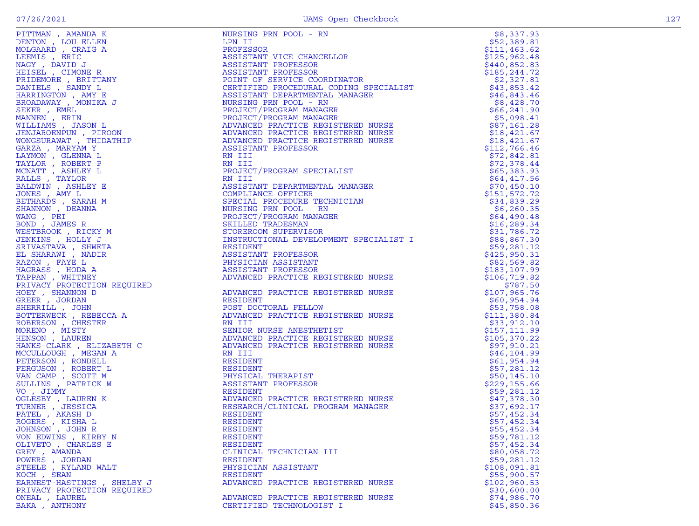| DENTON , LOU ELLEN<br>MOLGAARD , CRAIG A<br>LEEMIS , ERIC<br>VAGY , DAVID J<br>HEISEL , CIMONE R<br>HEISEL , CIMONE R                   |
|-----------------------------------------------------------------------------------------------------------------------------------------|
|                                                                                                                                         |
|                                                                                                                                         |
|                                                                                                                                         |
|                                                                                                                                         |
|                                                                                                                                         |
| PRIDEMORE , BRITTANY<br>DANIELS , SANDY L                                                                                               |
|                                                                                                                                         |
| HARRINGTÓN , AMY E<br>BROADAWAY , MONIKA J                                                                                              |
|                                                                                                                                         |
| EKER, EMEL                                                                                                                              |
| MANNEN , ERIN<br>VILLIAMS , JASON L                                                                                                     |
|                                                                                                                                         |
| JENJAROENPUN , PIROON<br>VONGSURAWAT , THIDATHIP                                                                                        |
|                                                                                                                                         |
| GARZA , MARYAM Y                                                                                                                        |
|                                                                                                                                         |
| AYMON , GLENNA L<br>TAYMON , GLENNA L<br>TAYLOR , ROBERT P<br>MCNATT , ASHLEY L<br>RALLS , TAYLOR<br>MONES , AMY L<br>JETULADES , AMY L |
|                                                                                                                                         |
|                                                                                                                                         |
|                                                                                                                                         |
|                                                                                                                                         |
|                                                                                                                                         |
| BETHARDS , SARAH M<br>SHANNON , DEANNA                                                                                                  |
|                                                                                                                                         |
| VANG , PEI<br>BOND , JAMES R                                                                                                            |
|                                                                                                                                         |
| VESTBROOK , RICKY M                                                                                                                     |
| JENKINS , HOLLY J                                                                                                                       |
|                                                                                                                                         |
| SRIVASTAVA , SHWETA<br>EL SHARAWI , NADIR                                                                                               |
|                                                                                                                                         |
|                                                                                                                                         |
|                                                                                                                                         |
|                                                                                                                                         |
|                                                                                                                                         |
| HOEY, SHANNON D                                                                                                                         |
| REER, JORDAN                                                                                                                            |
|                                                                                                                                         |
| HERRILL , JOHN<br>BOTTERWECK , REBECCA A<br>ROBERSON , CHESTER<br>MORENO , MISTY<br>HENSON , LAUREN                                     |
|                                                                                                                                         |
|                                                                                                                                         |
|                                                                                                                                         |
|                                                                                                                                         |
| HANKS-CLARK , ELIZABETH C                                                                                                               |
| "CCULLOUGH", MEGAN A<br>PETERSON , RONDELL<br>"ERGUSON , ROBERT L<br>"AN CAMP , SCOTT M<br>SULLINS", PATRICK W<br>SULLINS", PATRICK W   |
|                                                                                                                                         |
|                                                                                                                                         |
|                                                                                                                                         |
|                                                                                                                                         |
| 70 , JIMMY                                                                                                                              |
|                                                                                                                                         |
| )GLESBY , LAUREN K<br>TURNER , JESSICA                                                                                                  |
|                                                                                                                                         |
|                                                                                                                                         |
|                                                                                                                                         |
|                                                                                                                                         |
|                                                                                                                                         |
| PATEL , AKASH D<br>ROGERS , KISHA L<br>JOHNSON , JOHN R                                                                                 |
| ON EDWINS , KIRBY N                                                                                                                     |
| DLIVETO, CHARLES E                                                                                                                      |
|                                                                                                                                         |
|                                                                                                                                         |
|                                                                                                                                         |
| CITYLIV , CHARLES E<br>FREY , AMANDA<br>POWERS , JORDAN<br>STEELE , RYLAND WALT<br>KOCH , SEAN                                          |
|                                                                                                                                         |
| EARNEST-HASTINGS , SHELBY J<br>PRIVACY PROTECTION REQUIRED<br>DNEAL , LAUREL                                                            |

|                                           | FITMES , ANNIHON THE MANUFACTION INTO THE MANUFACTION INTERNATIONAL FRAMEWORK (SEE AND A SEE AND A SEE AND A SEE AND A SEE AND MANUFACTION INTO THE MANUFACTION INTO THE MANUFACTION INTO THE MANUFACTION INTO THE MANUFACTIO | \$8,337.93                     |
|-------------------------------------------|-------------------------------------------------------------------------------------------------------------------------------------------------------------------------------------------------------------------------------|--------------------------------|
|                                           |                                                                                                                                                                                                                               | \$52,389.81                    |
|                                           |                                                                                                                                                                                                                               | \$111,463.62                   |
|                                           |                                                                                                                                                                                                                               | \$125,962.48                   |
|                                           |                                                                                                                                                                                                                               | \$440,852.83                   |
|                                           |                                                                                                                                                                                                                               | \$185,244.72                   |
|                                           |                                                                                                                                                                                                                               | \$2,327.81<br>\$43,853.42      |
|                                           |                                                                                                                                                                                                                               | \$46,843.46                    |
|                                           |                                                                                                                                                                                                                               | \$8,428.70                     |
|                                           |                                                                                                                                                                                                                               | \$66, 241.90                   |
|                                           |                                                                                                                                                                                                                               | \$5,098.41                     |
|                                           |                                                                                                                                                                                                                               | \$87,161.28                    |
|                                           |                                                                                                                                                                                                                               | \$18,421.67                    |
|                                           |                                                                                                                                                                                                                               | \$18,421.67                    |
|                                           |                                                                                                                                                                                                                               | \$112,766.46                   |
|                                           |                                                                                                                                                                                                                               | \$72,842.81                    |
|                                           |                                                                                                                                                                                                                               | \$72,378.44                    |
|                                           |                                                                                                                                                                                                                               | \$65,383.93                    |
|                                           |                                                                                                                                                                                                                               | \$64,417.56                    |
|                                           |                                                                                                                                                                                                                               | \$70,450.10                    |
|                                           |                                                                                                                                                                                                                               | \$151,572.72<br>\$34,839.29    |
|                                           |                                                                                                                                                                                                                               | \$6,260.35                     |
|                                           |                                                                                                                                                                                                                               | \$64,490.48                    |
|                                           |                                                                                                                                                                                                                               | \$16, 289.34                   |
|                                           |                                                                                                                                                                                                                               | \$31,786.72                    |
|                                           |                                                                                                                                                                                                                               | \$88,867.30                    |
|                                           |                                                                                                                                                                                                                               | \$59,281.12                    |
|                                           |                                                                                                                                                                                                                               | \$425,950.31                   |
|                                           |                                                                                                                                                                                                                               | \$82,569.82                    |
|                                           |                                                                                                                                                                                                                               | \$183,107.99                   |
|                                           |                                                                                                                                                                                                                               | \$106, 719.82                  |
|                                           |                                                                                                                                                                                                                               | \$787.50                       |
|                                           |                                                                                                                                                                                                                               | \$107,965.76                   |
|                                           |                                                                                                                                                                                                                               | \$60,954.94                    |
|                                           |                                                                                                                                                                                                                               | \$53,758.08                    |
|                                           |                                                                                                                                                                                                                               | \$111,380.84                   |
|                                           |                                                                                                                                                                                                                               | \$33,912.10                    |
|                                           |                                                                                                                                                                                                                               | \$157, 111.99<br>\$105, 370.22 |
|                                           |                                                                                                                                                                                                                               | \$97,910.21                    |
|                                           |                                                                                                                                                                                                                               | \$46, 104.99                   |
|                                           |                                                                                                                                                                                                                               | \$61,954.94                    |
|                                           |                                                                                                                                                                                                                               | \$57,281.12                    |
|                                           |                                                                                                                                                                                                                               | \$50, 145.10                   |
|                                           |                                                                                                                                                                                                                               | \$229,155.66                   |
|                                           |                                                                                                                                                                                                                               | \$59,281.12                    |
|                                           |                                                                                                                                                                                                                               | \$47,378.30                    |
|                                           |                                                                                                                                                                                                                               | \$37,692.17                    |
|                                           |                                                                                                                                                                                                                               | \$57,452.34                    |
|                                           |                                                                                                                                                                                                                               | \$57,452.34                    |
| JOHNSON, JOHN R                           | RESIDENT                                                                                                                                                                                                                      | \$55,452.34                    |
| VON EDWINS, KIRBY N<br>OLIVETO, CHARLES E | RESIDENT<br>RESIDENT                                                                                                                                                                                                          | \$59,781.12<br>\$57,452.34     |
| GREY, AMANDA                              | CLINICAL TECHNICIAN III                                                                                                                                                                                                       | \$80,058.72                    |
| POWERS , JORDAN                           | RESIDENT                                                                                                                                                                                                                      | \$59,281.12                    |
| STEELE , RYLAND WALT                      | PHYSICIAN ASSISTANT                                                                                                                                                                                                           | \$108,091.81                   |
| KOCH, SEAN                                | RESIDENT                                                                                                                                                                                                                      | \$55,900.57                    |
| EARNEST-HASTINGS, SHELBY J                | ADVANCED PRACTICE REGISTERED NURSE                                                                                                                                                                                            | \$102,960.53                   |
| PRIVACY PROTECTION REQUIRED               |                                                                                                                                                                                                                               | \$30,600.00                    |
| ONEAL, LAUREL                             | ADVANCED PRACTICE REGISTERED NURSE                                                                                                                                                                                            | \$74,986.70                    |
| BAKA, ANTHONY                             | CERTIFIED TECHNOLOGIST I                                                                                                                                                                                                      | \$45,850.36                    |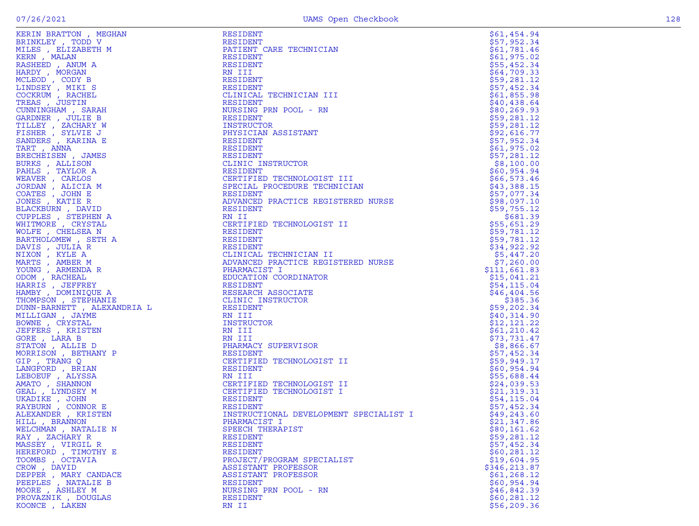| BRINKLEY, TODD V                                                                                                                                            |
|-------------------------------------------------------------------------------------------------------------------------------------------------------------|
|                                                                                                                                                             |
| MILES , ELIZABETH M                                                                                                                                         |
| KERN, MALAN                                                                                                                                                 |
| RASHEED, ANUM A                                                                                                                                             |
|                                                                                                                                                             |
| HARDY, MORGAN                                                                                                                                               |
|                                                                                                                                                             |
| MCLEOD , CODY B<br>LINDSEY , MIKI S<br>COCKRUM , RACHEL<br>TRICAS                                                                                           |
|                                                                                                                                                             |
| TREAS , JUSTIN                                                                                                                                              |
| CUNNINGHAM, SARAH                                                                                                                                           |
|                                                                                                                                                             |
| BARDNER , JULIE B<br>FILLEY , ZACHARY W<br>FISHER , SYLVIE J<br>SANDERS , KARINA E                                                                          |
|                                                                                                                                                             |
|                                                                                                                                                             |
|                                                                                                                                                             |
| TART, ANNA                                                                                                                                                  |
| BRECHEISEN,<br>JAMES                                                                                                                                        |
|                                                                                                                                                             |
|                                                                                                                                                             |
|                                                                                                                                                             |
|                                                                                                                                                             |
|                                                                                                                                                             |
|                                                                                                                                                             |
| SURKS , ALLISON<br>PAHLS , TAYLOR A<br>VEAVER , CARLOS<br>JORDAN , ALICIA M<br>COATES , JOHN E<br>JONES , KATIE R<br>JUNES , KATIE R                        |
| BLACKBURN , DAVID                                                                                                                                           |
|                                                                                                                                                             |
|                                                                                                                                                             |
|                                                                                                                                                             |
| VOLFE, CHELSEA N                                                                                                                                            |
| BARTHOLOMEW, SETH A                                                                                                                                         |
|                                                                                                                                                             |
|                                                                                                                                                             |
|                                                                                                                                                             |
|                                                                                                                                                             |
| DAVIS , JULIA R<br>JAVIS , JULIA R<br>JIXON , KYLE A<br>MARTS , AMBER M<br>CUNG , ARMENDA R<br>JDOM , RACHEAL<br>HAMBY , DOMINIQUE A<br>HAMBY , DOMINIQUE A |
|                                                                                                                                                             |
|                                                                                                                                                             |
|                                                                                                                                                             |
| <b>THOMPSON</b> , STEPHANIE                                                                                                                                 |
| DUNN-BARNETT , ALEXANDRIA L                                                                                                                                 |
|                                                                                                                                                             |
|                                                                                                                                                             |
| MILLIGAN , JAYME                                                                                                                                            |
|                                                                                                                                                             |
|                                                                                                                                                             |
|                                                                                                                                                             |
|                                                                                                                                                             |
| BOWNE , CRYSTAL<br>JEFFERS , KRISTEN<br>JORE , LARA B<br>STATON , ALLIE D                                                                                   |
| MORRISON , BETHANY P                                                                                                                                        |
| <b>GIP</b> , TRANG Q                                                                                                                                        |
|                                                                                                                                                             |
|                                                                                                                                                             |
|                                                                                                                                                             |
|                                                                                                                                                             |
| LANGFORD , BRIAN<br>LEBOEUF , ALYSSA<br>AMATO , SHANNON<br>JEAL , LYNDSEY M<br>JKADIKE, JOHN                                                                |
|                                                                                                                                                             |
|                                                                                                                                                             |
| XAYBURN , CONNOR E<br>RAYBURN , CONNOR E<br>ALEXANDER , KRISTEN                                                                                             |
| HILL , BRANNON                                                                                                                                              |
|                                                                                                                                                             |
|                                                                                                                                                             |
| WELCHMAN , NATALIE N<br>RAY , ZACHARY R                                                                                                                     |
|                                                                                                                                                             |
|                                                                                                                                                             |
| MASSEY , VIRGIL R<br>HEREFORD , TIMOTHY E<br>FOOMBS , OCTAVIA                                                                                               |
| CROW, DAVID                                                                                                                                                 |
|                                                                                                                                                             |
|                                                                                                                                                             |
| CROW, ANNIE<br>CEPPER , MARY CANDACE<br>CEEPLES , NATALIE B<br>MOORE , ASHLEY M<br>PROVAZNIK, DOUGLAS                                                       |

| KERIN BRATTON , MEGHAN      | RESIDENT                                | \$61,454.94  |
|-----------------------------|-----------------------------------------|--------------|
| BRINKLEY , TODD V           | RESIDENT                                | \$57,952.34  |
| MILES , ELIZABETH M         | PATIENT CARE TECHNICIAN                 | \$61,781.46  |
| KERN, MALAN                 | RESIDENT                                | \$61,975.02  |
| RASHEED, ANUM A             | RESIDENT                                | \$55,452.34  |
| HARDY, MORGAN               | RN III                                  | \$64,709.33  |
| MCLEOD , CODY B             | RESIDENT                                | \$59,281.12  |
| LINDSEY , MIKI S            | RESIDENT                                | \$57,452.34  |
| COCKRUM, RACHEL             | CLINICAL TECHNICIAN III                 | \$61,855.98  |
| TREAS, JUSTIN               | RESIDENT                                | \$40,438.64  |
| CUNNINGHAM, SARAH           | NURSING PRN POOL - RN                   | \$80,269.93  |
| GARDNER, JULIE B            | RESIDENT                                | \$59,281.12  |
| TILLEY, ZACHARY W           | INSTRUCTOR                              | \$59,281.12  |
| FISHER, SYLVIE J            | PHYSICIAN ASSISTANT                     | \$92,616.77  |
| SANDERS, KARINA E           | RESIDENT                                | \$57,952.34  |
| TART , ANNA                 | RESIDENT                                | \$61,975.02  |
| BRECHEISEN, JAMES           | RESIDENT                                | \$57,281.12  |
| BURKS, ALLISON              | CLINIC INSTRUCTOR                       | \$8,100.00   |
| PAHLS, TAYLOR A             | RESIDENT                                | \$60,954.94  |
| WEAVER, CARLOS              | CERTIFIED TECHNOLOGIST III              | \$66,573.46  |
| JORDAN, ALICIA M            | SPECIAL PROCEDURE TECHNICIAN            | \$43,388.15  |
| COATES, JOHN E              | RESIDENT                                | \$57,077.34  |
| JONES , KATIE R             | ADVANCED PRACTICE REGISTERED NURSE      | \$98,097.10  |
| BLACKBURN , DAVID           | RESIDENT                                | \$59,755.12  |
| CUPPLES, STEPHEN A          | RN II                                   | \$681.39     |
| WHITMORE, CRYSTAL           | CERTIFIED TECHNOLOGIST II               | \$55,651.29  |
| WOLFE, CHELSEA N            | RESIDENT                                | \$59,781.12  |
| BARTHOLOMEW, SETH A         | RESIDENT                                | \$59,781.12  |
| DAVIS , JULIA R             | RESIDENT                                | \$34,922.92  |
| NIXON , KYLE A              | CLINICAL TECHNICIAN II                  | \$5,447.20   |
| MARTS , AMBER M             | ADVANCED PRACTICE REGISTERED NURSE      | \$7,260.00   |
| YOUNG, ARMENDA R            | PHARMACIST I                            | \$111,661.83 |
| ODOM, RACHEAL               | EDUCATION COORDINATOR                   | \$15,041.21  |
| HARRIS , JEFFREY            | RESIDENT                                | \$54,115.04  |
| HAMBY , DOMINIQUE A         |                                         | \$46,404.56  |
| THOMPSON, STEPHANIE         | RESEARCH ASSOCIATE<br>CLINIC INSTRUCTOR | \$385.36     |
| DUNN-BARNETT , ALEXANDRIA L | RESIDENT                                | \$59,202.34  |
| MILLIGAN , JAYME            | RN III                                  | \$40,314.90  |
| BOWNE, CRYSTAL              | INSTRUCTOR                              |              |
| JEFFERS , KRISTEN           | RN III                                  | \$12,121.22  |
| GORE , LARA B               | RN III                                  | \$61,210.42  |
| STATON , ALLIE D            | PHARMACY SUPERVISOR                     | \$73,731.47  |
|                             |                                         | \$8,866.67   |
| MORRISON , BETHANY P        | RESIDENT                                | \$57,452.34  |
| GIP, TRANG Q                | CERTIFIED TECHNOLOGIST II               | \$59,949.17  |
| LANGFORD, BRIAN             | RESIDENT                                | \$60,954.94  |
| LEBOEUF , ALYSSA            | RN III                                  | \$55,688.44  |
| AMATO, SHANNON              | CERTIFIED TECHNOLOGIST II               | \$24,039.53  |
| GEAL , LYNDSEY M            | CERTIFIED TECHNOLOGIST I                | \$21,319.31  |
| UKADIKE, JOHN               | RESIDENT                                | \$54,115.04  |
| RAYBURN , CONNOR E          | RESIDENT                                | \$57,452.34  |
| ALEXANDER , KRISTEN         | INSTRUCTIONAL DEVELOPMENT SPECIALIST I  | \$49,243.60  |
| HILL , BRANNON              | PHARMACIST I                            | \$21,347.86  |
| WELCHMAN , NATALIE N        | SPEECH THERAPIST                        | \$80,161.62  |
| RAY , ZACHARY R             | RESIDENT                                | \$59,281.12  |
| MASSEY , VIRGIL R           | RESIDENT                                | \$57,452.34  |
| HEREFORD , TIMOTHY E        | <b>RESIDENT</b>                         | \$60,281.12  |
| TOOMBS , OCTAVIA            | PROJECT/PROGRAM SPECIALIST              | \$19,604.95  |
| CROW, DAVID                 | ASSISTANT PROFESSOR                     | \$346,213.87 |
| DEPPER, MARY CANDACE        | ASSISTANT PROFESSOR                     | \$61, 268.12 |
| PEEPLES, NATALIE B          | RESIDENT                                | \$60,954.94  |
| MOORE , ASHLEY M            | NURSING PRN POOL - RN                   | \$46,842.39  |
| PROVAZNIK, DOUGLAS          | RESIDENT                                | \$60, 281.12 |
| KOONCE, LAKEN               | RN II                                   | \$56, 209.36 |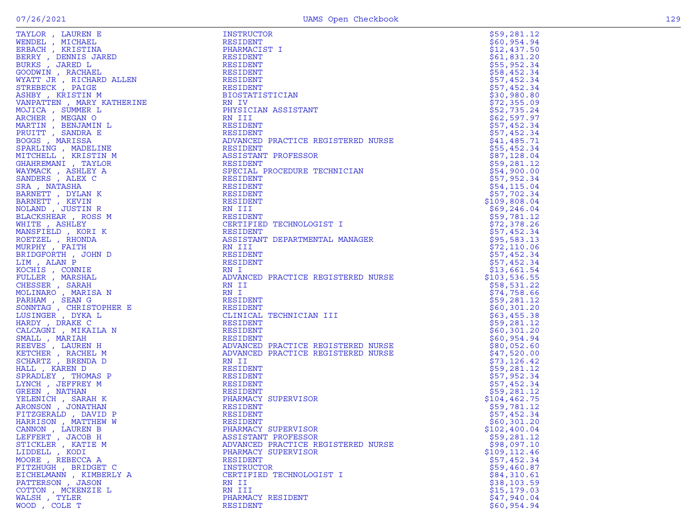|  | ۰. |
|--|----|

|                                                                                                                                                                                                                                                                                                                                                                                                                                                                                    |                                                                                                              | \$59,281.12   |
|------------------------------------------------------------------------------------------------------------------------------------------------------------------------------------------------------------------------------------------------------------------------------------------------------------------------------------------------------------------------------------------------------------------------------------------------------------------------------------|--------------------------------------------------------------------------------------------------------------|---------------|
|                                                                                                                                                                                                                                                                                                                                                                                                                                                                                    |                                                                                                              | \$60,954.94   |
|                                                                                                                                                                                                                                                                                                                                                                                                                                                                                    |                                                                                                              |               |
|                                                                                                                                                                                                                                                                                                                                                                                                                                                                                    |                                                                                                              | \$12,437.50   |
|                                                                                                                                                                                                                                                                                                                                                                                                                                                                                    |                                                                                                              | \$61,831.20   |
|                                                                                                                                                                                                                                                                                                                                                                                                                                                                                    |                                                                                                              | \$55,952.34   |
|                                                                                                                                                                                                                                                                                                                                                                                                                                                                                    |                                                                                                              | \$58,452.34   |
|                                                                                                                                                                                                                                                                                                                                                                                                                                                                                    |                                                                                                              | \$57,452.34   |
|                                                                                                                                                                                                                                                                                                                                                                                                                                                                                    |                                                                                                              | \$57,452.34   |
|                                                                                                                                                                                                                                                                                                                                                                                                                                                                                    |                                                                                                              | \$30,980.80   |
|                                                                                                                                                                                                                                                                                                                                                                                                                                                                                    |                                                                                                              | \$72,355.09   |
|                                                                                                                                                                                                                                                                                                                                                                                                                                                                                    |                                                                                                              |               |
|                                                                                                                                                                                                                                                                                                                                                                                                                                                                                    |                                                                                                              | \$52,735.24   |
|                                                                                                                                                                                                                                                                                                                                                                                                                                                                                    | TERED NURSE                                                                                                  | \$62,597.97   |
|                                                                                                                                                                                                                                                                                                                                                                                                                                                                                    |                                                                                                              | \$57,452.34   |
|                                                                                                                                                                                                                                                                                                                                                                                                                                                                                    |                                                                                                              | \$57,452.34   |
|                                                                                                                                                                                                                                                                                                                                                                                                                                                                                    | ADVANCED PRACTICE REGISTERED NURSE                                                                           | \$41,485.71   |
|                                                                                                                                                                                                                                                                                                                                                                                                                                                                                    |                                                                                                              | \$55,452.34   |
|                                                                                                                                                                                                                                                                                                                                                                                                                                                                                    |                                                                                                              | \$87,128.04   |
|                                                                                                                                                                                                                                                                                                                                                                                                                                                                                    |                                                                                                              |               |
|                                                                                                                                                                                                                                                                                                                                                                                                                                                                                    |                                                                                                              | \$59,281.12   |
|                                                                                                                                                                                                                                                                                                                                                                                                                                                                                    | SPECIAL PROCEDURE TECHNICIAN                                                                                 | \$54,900.00   |
|                                                                                                                                                                                                                                                                                                                                                                                                                                                                                    |                                                                                                              | \$57,952.34   |
|                                                                                                                                                                                                                                                                                                                                                                                                                                                                                    |                                                                                                              | \$54,115.04   |
|                                                                                                                                                                                                                                                                                                                                                                                                                                                                                    |                                                                                                              | \$57,702.34   |
|                                                                                                                                                                                                                                                                                                                                                                                                                                                                                    |                                                                                                              | \$109,808.04  |
|                                                                                                                                                                                                                                                                                                                                                                                                                                                                                    |                                                                                                              |               |
|                                                                                                                                                                                                                                                                                                                                                                                                                                                                                    |                                                                                                              | \$69,246.04   |
|                                                                                                                                                                                                                                                                                                                                                                                                                                                                                    |                                                                                                              | \$59,781.12   |
|                                                                                                                                                                                                                                                                                                                                                                                                                                                                                    | CERTIFIED TECHNOLOGIST I                                                                                     | \$72,378.26   |
|                                                                                                                                                                                                                                                                                                                                                                                                                                                                                    |                                                                                                              | \$57,452.34   |
|                                                                                                                                                                                                                                                                                                                                                                                                                                                                                    | <b>SEARCH STATES</b><br>ASSISTANT DEPARTMENTAL MANAGER                                                       | \$95,583.13   |
|                                                                                                                                                                                                                                                                                                                                                                                                                                                                                    |                                                                                                              | \$72, 110.06  |
|                                                                                                                                                                                                                                                                                                                                                                                                                                                                                    |                                                                                                              | \$57,452.34   |
|                                                                                                                                                                                                                                                                                                                                                                                                                                                                                    |                                                                                                              | \$57,452.34   |
|                                                                                                                                                                                                                                                                                                                                                                                                                                                                                    |                                                                                                              |               |
|                                                                                                                                                                                                                                                                                                                                                                                                                                                                                    |                                                                                                              | \$13,661.54   |
|                                                                                                                                                                                                                                                                                                                                                                                                                                                                                    | ADVANCED PRACTICE REGISTERED NURSE                                                                           | \$103,536.55  |
|                                                                                                                                                                                                                                                                                                                                                                                                                                                                                    |                                                                                                              | \$58,531.22   |
|                                                                                                                                                                                                                                                                                                                                                                                                                                                                                    |                                                                                                              | \$74,758.66   |
|                                                                                                                                                                                                                                                                                                                                                                                                                                                                                    |                                                                                                              | \$59,281.12   |
|                                                                                                                                                                                                                                                                                                                                                                                                                                                                                    |                                                                                                              | \$60,301.20   |
|                                                                                                                                                                                                                                                                                                                                                                                                                                                                                    |                                                                                                              | \$63,455.38   |
|                                                                                                                                                                                                                                                                                                                                                                                                                                                                                    |                                                                                                              |               |
|                                                                                                                                                                                                                                                                                                                                                                                                                                                                                    | RESIDENT<br>RESIDENT<br>RESIDENT<br>ADVANCED PRACTICE REGISTERED NURSE<br>ADVANCED PRACTICE REGISTERED NURSE | \$59,281.12   |
|                                                                                                                                                                                                                                                                                                                                                                                                                                                                                    |                                                                                                              | \$60,301.20   |
|                                                                                                                                                                                                                                                                                                                                                                                                                                                                                    |                                                                                                              | \$60,954.94   |
|                                                                                                                                                                                                                                                                                                                                                                                                                                                                                    |                                                                                                              | \$80,052.60   |
|                                                                                                                                                                                                                                                                                                                                                                                                                                                                                    |                                                                                                              | \$47,520.00   |
|                                                                                                                                                                                                                                                                                                                                                                                                                                                                                    |                                                                                                              | \$73, 126.42  |
|                                                                                                                                                                                                                                                                                                                                                                                                                                                                                    |                                                                                                              | \$59,281.12   |
|                                                                                                                                                                                                                                                                                                                                                                                                                                                                                    |                                                                                                              | \$57,952.34   |
|                                                                                                                                                                                                                                                                                                                                                                                                                                                                                    |                                                                                                              |               |
|                                                                                                                                                                                                                                                                                                                                                                                                                                                                                    |                                                                                                              | \$57,452.34   |
|                                                                                                                                                                                                                                                                                                                                                                                                                                                                                    |                                                                                                              | \$59,281.12   |
|                                                                                                                                                                                                                                                                                                                                                                                                                                                                                    |                                                                                                              | \$104,462.75  |
|                                                                                                                                                                                                                                                                                                                                                                                                                                                                                    |                                                                                                              | \$59,781.12   |
|                                                                                                                                                                                                                                                                                                                                                                                                                                                                                    |                                                                                                              | \$57,452.34   |
|                                                                                                                                                                                                                                                                                                                                                                                                                                                                                    |                                                                                                              | \$60,301.20   |
|                                                                                                                                                                                                                                                                                                                                                                                                                                                                                    |                                                                                                              |               |
| $\begin{tabular}{l c c c} \hline & \multicolumn{1}{c}{\multicolumn{1}{c}{\multicolumn{1}{c}{\multicolumn{1}{c}{\multicolumn{1}{c}{\multicolumn{1}{c}{\multicolumn{1}{c}{\multicolumn{1}{c}{\multicolumn{1}{c}{\multicolumn{1}{c}{\multicolumn{1}{c}{\multicolumn{1}{c}{\multicolumn{1}{c}{\multicolumn{1}{c}{\multicolumn{1}{c}{\multicolumn{1}{c}{\multicolumn{1}{c}{\multicolumn{1}{c}{\multicolumn{1}{c}{\multicolumn{1}{c}{\multicolumn{1}{c}{\multicolumn{1}{c}{\multicolumn$ |                                                                                                              | \$102,400.04  |
|                                                                                                                                                                                                                                                                                                                                                                                                                                                                                    |                                                                                                              | \$59,281.12   |
| STICKLER, KATIE M                                                                                                                                                                                                                                                                                                                                                                                                                                                                  | ADVANCED PRACTICE REGISTERED NURSE                                                                           | \$98,097.10   |
| LIDDELL, KODI                                                                                                                                                                                                                                                                                                                                                                                                                                                                      | PHARMACY SUPERVISOR                                                                                          | \$109, 112.46 |
| MOORE, REBECCA A                                                                                                                                                                                                                                                                                                                                                                                                                                                                   | RESIDENT                                                                                                     | \$57,452.34   |
| FITZHUGH, BRIDGET C                                                                                                                                                                                                                                                                                                                                                                                                                                                                | INSTRUCTOR                                                                                                   | \$59,460.87   |
| EICHELMANN, KIMBERLY A                                                                                                                                                                                                                                                                                                                                                                                                                                                             | CERTIFIED TECHNOLOGIST I                                                                                     | \$84,310.61   |
| PATTERSON, JASON                                                                                                                                                                                                                                                                                                                                                                                                                                                                   | RN II                                                                                                        | \$38,103.59   |
|                                                                                                                                                                                                                                                                                                                                                                                                                                                                                    |                                                                                                              |               |
| COTTON, MCKENZIE L                                                                                                                                                                                                                                                                                                                                                                                                                                                                 | RN III                                                                                                       | \$15, 179.03  |
| WALSH, TYLER                                                                                                                                                                                                                                                                                                                                                                                                                                                                       | PHARMACY RESIDENT                                                                                            | \$47,940.04   |
| WOOD, COLE T                                                                                                                                                                                                                                                                                                                                                                                                                                                                       | RESIDENT                                                                                                     | \$60,954.94   |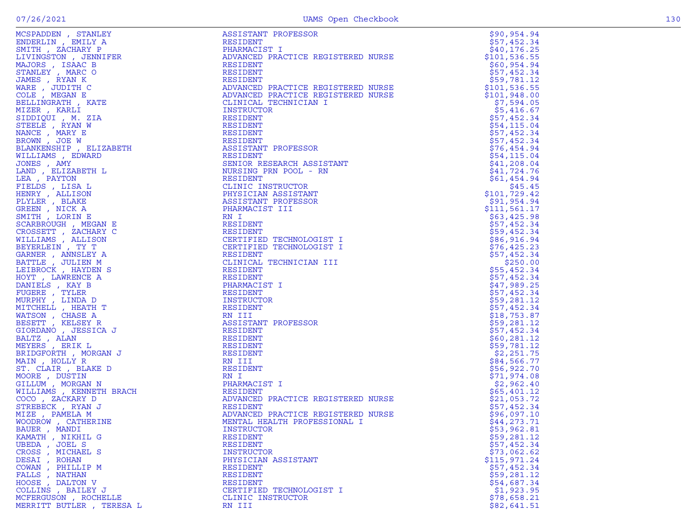| MCSPADDEN , STANLEY                                                                                                                                                                                                                                                   | ASSISTANT PROFESSOR                                                                                                                    | \$90,954.94   |
|-----------------------------------------------------------------------------------------------------------------------------------------------------------------------------------------------------------------------------------------------------------------------|----------------------------------------------------------------------------------------------------------------------------------------|---------------|
| ENDERLIN, EMILY A                                                                                                                                                                                                                                                     | RESIDENT                                                                                                                               | \$57,452.34   |
|                                                                                                                                                                                                                                                                       |                                                                                                                                        |               |
| SMITH, ZACHARY P                                                                                                                                                                                                                                                      | PHARMACIST I                                                                                                                           | \$40, 176.25  |
| LIVINGSTON , JENNIFER                                                                                                                                                                                                                                                 | ADVANCED PRACTICE REGISTERED NURSE                                                                                                     | \$101,536.55  |
|                                                                                                                                                                                                                                                                       |                                                                                                                                        |               |
| MAJORS, ISAAC B                                                                                                                                                                                                                                                       | RESIDENT                                                                                                                               | \$60,954.94   |
|                                                                                                                                                                                                                                                                       |                                                                                                                                        |               |
| STANLEY, MARC O                                                                                                                                                                                                                                                       | RESIDENT                                                                                                                               | \$57,452.34   |
| JAMES , RYAN K                                                                                                                                                                                                                                                        | RESIDENT                                                                                                                               | \$59,781.12   |
|                                                                                                                                                                                                                                                                       |                                                                                                                                        |               |
| WARE, JUDITH C                                                                                                                                                                                                                                                        | ADVANCED PRACTICE REGISTERED NURSE                                                                                                     | \$101, 536.55 |
| COLE, MEGAN E                                                                                                                                                                                                                                                         | ADVANCED PRACTICE REGISTERED NURSE                                                                                                     | \$101,948.00  |
|                                                                                                                                                                                                                                                                       |                                                                                                                                        |               |
| BELLINGRATH, KATE                                                                                                                                                                                                                                                     | CLINICAL TECHNICIAN I                                                                                                                  | \$7,594.05    |
| MIZER , KARLI                                                                                                                                                                                                                                                         | INSTRUCTOR                                                                                                                             | \$5,416.67    |
|                                                                                                                                                                                                                                                                       |                                                                                                                                        |               |
|                                                                                                                                                                                                                                                                       | RESIDENT                                                                                                                               | \$57,452.34   |
|                                                                                                                                                                                                                                                                       | RESIDENT                                                                                                                               | \$54,115.04   |
|                                                                                                                                                                                                                                                                       |                                                                                                                                        |               |
|                                                                                                                                                                                                                                                                       | RESIDENT                                                                                                                               | \$57,452.34   |
|                                                                                                                                                                                                                                                                       |                                                                                                                                        |               |
|                                                                                                                                                                                                                                                                       | RESIDENT                                                                                                                               | \$57,452.34   |
|                                                                                                                                                                                                                                                                       | ASSISTANT PROFESSOR                                                                                                                    | \$76,454.94   |
|                                                                                                                                                                                                                                                                       |                                                                                                                                        |               |
| BELLINGRATH , KATE<br>MIZER , KARLI<br>SIDDIQUI , M. ZIA<br>STEELE , RYAN W<br>NANCE , MARY E<br>BROWN , JOE W<br>BLANKENSHIP , ELIZABETH<br>JONES , AMY<br>JONES , AMY<br>LAND , ELIZABETH L<br>LEA , PAYTON<br>FIELDS , LISA L<br>HENRY , ALLISON<br>HENRY , ALLISO | RESIDENT                                                                                                                               | \$54,115.04   |
|                                                                                                                                                                                                                                                                       | SENIOR RESEARCH ASSISTANT                                                                                                              | \$41,208.04   |
|                                                                                                                                                                                                                                                                       |                                                                                                                                        |               |
|                                                                                                                                                                                                                                                                       | NURSING PRN POOL - RN                                                                                                                  | \$41,724.76   |
|                                                                                                                                                                                                                                                                       | RESIDENT                                                                                                                               | \$61,454.94   |
|                                                                                                                                                                                                                                                                       |                                                                                                                                        |               |
|                                                                                                                                                                                                                                                                       | CLINIC INSTRUCTOR                                                                                                                      | \$45.45       |
|                                                                                                                                                                                                                                                                       |                                                                                                                                        |               |
|                                                                                                                                                                                                                                                                       | PHYSICIAN ASSISTANT                                                                                                                    | \$101,729.42  |
|                                                                                                                                                                                                                                                                       | ASSISTANT PROFESSOR                                                                                                                    | \$91,954.94   |
|                                                                                                                                                                                                                                                                       |                                                                                                                                        |               |
|                                                                                                                                                                                                                                                                       | PHARMACIST III                                                                                                                         | \$111,561.17  |
|                                                                                                                                                                                                                                                                       | RN I                                                                                                                                   | \$63,425.98   |
|                                                                                                                                                                                                                                                                       |                                                                                                                                        |               |
|                                                                                                                                                                                                                                                                       | RESIDENT                                                                                                                               | \$57,452.34   |
|                                                                                                                                                                                                                                                                       | RESIDENT                                                                                                                               | \$59,452.34   |
|                                                                                                                                                                                                                                                                       | RESIDENT<br>CERTIFIED TECHNOLOGIST I<br>CERTIFIED TECHNOLOGIST I                                                                       |               |
|                                                                                                                                                                                                                                                                       |                                                                                                                                        | \$86,916.94   |
|                                                                                                                                                                                                                                                                       |                                                                                                                                        | \$76, 425.23  |
|                                                                                                                                                                                                                                                                       | CERTIFIED TECHNOLOGIST I                                                                                                               |               |
|                                                                                                                                                                                                                                                                       | RESIDENT                                                                                                                               | \$57,452.34   |
|                                                                                                                                                                                                                                                                       |                                                                                                                                        |               |
| BATTLE , JULIEN M                                                                                                                                                                                                                                                     | CLINICAL TECHNICIAN III                                                                                                                | \$250.00      |
| LEIBROCK, HAYDEN S                                                                                                                                                                                                                                                    | RESIDENT                                                                                                                               | \$55,452.34   |
|                                                                                                                                                                                                                                                                       |                                                                                                                                        |               |
| HOYT, LAWRENCE A                                                                                                                                                                                                                                                      | RESIDENT                                                                                                                               | \$57,452.34   |
| DANIELS, KAY B                                                                                                                                                                                                                                                        | PHARMACIST I                                                                                                                           | \$47,989.25   |
|                                                                                                                                                                                                                                                                       |                                                                                                                                        |               |
| FUGERE , TYLER                                                                                                                                                                                                                                                        | RESIDENT                                                                                                                               | \$57,452.34   |
|                                                                                                                                                                                                                                                                       | INSTRUCTOR                                                                                                                             |               |
| MURPHY, LINDA D                                                                                                                                                                                                                                                       |                                                                                                                                        | \$59,281.12   |
|                                                                                                                                                                                                                                                                       | RESIDENT                                                                                                                               | \$57,452.34   |
|                                                                                                                                                                                                                                                                       |                                                                                                                                        |               |
|                                                                                                                                                                                                                                                                       | RN III                                                                                                                                 | \$18,753.87   |
|                                                                                                                                                                                                                                                                       | ASSISTANT PROFESSOR                                                                                                                    | \$59,281.12   |
|                                                                                                                                                                                                                                                                       |                                                                                                                                        |               |
|                                                                                                                                                                                                                                                                       | RESIDENT                                                                                                                               | \$57,452.34   |
|                                                                                                                                                                                                                                                                       |                                                                                                                                        | \$60, 281.12  |
|                                                                                                                                                                                                                                                                       |                                                                                                                                        |               |
|                                                                                                                                                                                                                                                                       |                                                                                                                                        | \$59,781.12   |
|                                                                                                                                                                                                                                                                       |                                                                                                                                        | \$2,251.75    |
|                                                                                                                                                                                                                                                                       |                                                                                                                                        |               |
|                                                                                                                                                                                                                                                                       |                                                                                                                                        | \$84,566.77   |
|                                                                                                                                                                                                                                                                       |                                                                                                                                        | \$56,922.70   |
|                                                                                                                                                                                                                                                                       |                                                                                                                                        |               |
|                                                                                                                                                                                                                                                                       |                                                                                                                                        | \$71,974.08   |
|                                                                                                                                                                                                                                                                       | PHARMACIST I                                                                                                                           |               |
|                                                                                                                                                                                                                                                                       | JL<br>KESIDEN<br>RESIDENT<br>RESIDENT<br>RN TII<br>RESIDFT<br>RN T<br>PT<br>RESIDENT<br>ADVANCED PRACTICE REGISTERED NURSE<br>RESIDENT | \$2,962.40    |
|                                                                                                                                                                                                                                                                       |                                                                                                                                        | \$65,401.12   |
|                                                                                                                                                                                                                                                                       |                                                                                                                                        | \$21,053.72   |
|                                                                                                                                                                                                                                                                       |                                                                                                                                        |               |
|                                                                                                                                                                                                                                                                       | RESIDENT                                                                                                                               | \$57,452.34   |
|                                                                                                                                                                                                                                                                       |                                                                                                                                        |               |
|                                                                                                                                                                                                                                                                       | ADVANCED PRACTICE REGISTERED NURSE                                                                                                     | \$96,097.10   |
|                                                                                                                                                                                                                                                                       | MENTAL HEALTH PROFESSIONAL I                                                                                                           | \$44,273.71   |
| WATSON , CHASE A<br>BESETT , KELSEY R<br>BESETT , KELSEY R<br>GIORDANO , JESSICA J<br>MEYERS , ERIK L<br>BRIDGFORTH , MORGAN J<br>MAIN , HOLLY R<br>ST. CLAIR , BLAKE D<br>MOORE , DUSTIN<br>JILLUM, MORGAN N<br>JILLUMS , KENNETH BRACH<br>COCO , ZACKARY D<br>ST    |                                                                                                                                        |               |
|                                                                                                                                                                                                                                                                       | INSTRUCTOR                                                                                                                             | \$53,962.81   |
|                                                                                                                                                                                                                                                                       | RESIDENT                                                                                                                               | \$59,281.12   |
|                                                                                                                                                                                                                                                                       |                                                                                                                                        |               |
| UBEDA, JOEL S                                                                                                                                                                                                                                                         | <b>RESIDENT</b>                                                                                                                        | \$57,452.34   |
| CROSS, MICHAEL S                                                                                                                                                                                                                                                      | <b>INSTRUCTOR</b>                                                                                                                      | \$73,062.62   |
|                                                                                                                                                                                                                                                                       |                                                                                                                                        |               |
| DESAI, ROHAN                                                                                                                                                                                                                                                          | PHYSICIAN ASSISTANT                                                                                                                    | \$115,971.24  |
| COWAN, PHILLIP M                                                                                                                                                                                                                                                      | RESIDENT                                                                                                                               | \$57,452.34   |
|                                                                                                                                                                                                                                                                       |                                                                                                                                        |               |
| FALLS, NATHAN                                                                                                                                                                                                                                                         | RESIDENT                                                                                                                               | \$59,281.12   |
|                                                                                                                                                                                                                                                                       | RESIDENT                                                                                                                               | \$54,687.34   |
| HOOSE, DALTON V                                                                                                                                                                                                                                                       |                                                                                                                                        |               |
| COLLINS, BAILEY J                                                                                                                                                                                                                                                     | CERTIFIED TECHNOLOGIST I                                                                                                               | \$1,923.95    |
|                                                                                                                                                                                                                                                                       |                                                                                                                                        |               |
| MCFERGUSON , ROCHELLE                                                                                                                                                                                                                                                 | CLINIC INSTRUCTOR                                                                                                                      | \$78,658.21   |
| MERRITT BUTLER , TERESA L                                                                                                                                                                                                                                             | RN III                                                                                                                                 | \$82,641.51   |
|                                                                                                                                                                                                                                                                       |                                                                                                                                        |               |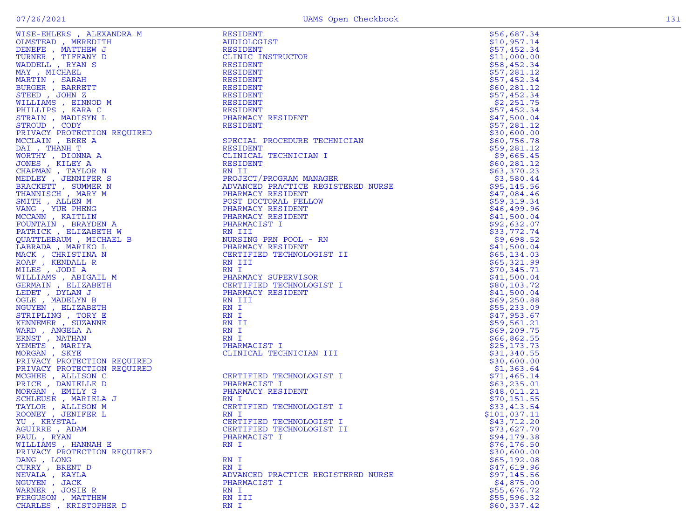| WISE-EHLERS , ALEXANDRA M                                                                                                                                                                                                                                     | RESIDENT                                                                | \$56,687.34  |
|---------------------------------------------------------------------------------------------------------------------------------------------------------------------------------------------------------------------------------------------------------------|-------------------------------------------------------------------------|--------------|
| OLMSTEAD , MEREDITH                                                                                                                                                                                                                                           | AUDIOLOGIST                                                             | \$10,957.14  |
| DENEFE , MATTHEW J                                                                                                                                                                                                                                            | RESIDENT                                                                | \$57,452.34  |
| TURNER, TIFFANY D                                                                                                                                                                                                                                             | CLINIC INSTRUCTOR                                                       | \$11,000.00  |
| WADDELL, RYAN S                                                                                                                                                                                                                                               | RESIDENT                                                                | \$58,452.34  |
| MAY, MICHAEL                                                                                                                                                                                                                                                  | RESIDENT                                                                | \$57,281.12  |
| MARTIN, SARAH                                                                                                                                                                                                                                                 | RESIDENT                                                                | \$57,452.34  |
| BURGER , BARRETT                                                                                                                                                                                                                                              | RESIDENT                                                                | \$60, 281.12 |
| STEED, JOHN Z                                                                                                                                                                                                                                                 | RESIDENT                                                                | \$57,452.34  |
| WILLIAMS, EINNOD M                                                                                                                                                                                                                                            | RESIDENT                                                                | \$2,251.75   |
| PHILLIPS, KARA C                                                                                                                                                                                                                                              | RESIDENT                                                                | \$57,452.34  |
|                                                                                                                                                                                                                                                               | PHARMACY RESIDENT                                                       | \$47,500.04  |
|                                                                                                                                                                                                                                                               | <b>RESIDENT</b>                                                         | \$57,281.12  |
|                                                                                                                                                                                                                                                               |                                                                         | \$30,600.00  |
|                                                                                                                                                                                                                                                               | SPECIAL PROCEDURE TECHNICIAN                                            | \$60,756.78  |
|                                                                                                                                                                                                                                                               | RESIDENT                                                                | \$59,281.12  |
|                                                                                                                                                                                                                                                               | CLINICAL TECHNICIAN I                                                   | \$9,665.45   |
|                                                                                                                                                                                                                                                               |                                                                         |              |
|                                                                                                                                                                                                                                                               | RESIDENT                                                                | \$60, 281.12 |
|                                                                                                                                                                                                                                                               | RN II<br>PROJECT/PROGRAM MANAGER<br>ALLINGTON DRACTICE REGISTERED NURSE | \$63,370.23  |
|                                                                                                                                                                                                                                                               |                                                                         | \$3,580.44   |
|                                                                                                                                                                                                                                                               |                                                                         | \$95,145.56  |
|                                                                                                                                                                                                                                                               | PHARMACY RESIDENT                                                       | \$47,084.46  |
|                                                                                                                                                                                                                                                               | POST DOCTORAL FELLOW                                                    | \$59,319.34  |
|                                                                                                                                                                                                                                                               | PHARMACY RESIDENT                                                       | \$46,499.96  |
|                                                                                                                                                                                                                                                               | PHARMACY RESIDENT                                                       | \$41,500.04  |
|                                                                                                                                                                                                                                                               | PHARMACIST I                                                            | \$92,632.07  |
| , KARAN LOODY<br>MADISYN LOODY<br>PROTECTION REQUIRED<br>, BREE A<br>HANH T<br>, DIONNA A<br>, KILEY A<br>, KILEY A<br>IAN , TALLEN N<br>EY , JENNIFER S<br>XETT , SUMMER N<br>MISCH , MARY M<br>ITH , ALLEN M<br>CCANN , KATTLIN<br>COUNTAIN , BRATDEN A<br> | RN III                                                                  | \$33,772.74  |
|                                                                                                                                                                                                                                                               | NURSING PRN POOL - RN                                                   | \$9,698.52   |
|                                                                                                                                                                                                                                                               | PHARMACY RESIDENT                                                       | \$41,500.04  |
|                                                                                                                                                                                                                                                               | CERTIFIED TECHNOLOGIST II                                               | \$65,134.03  |
|                                                                                                                                                                                                                                                               | RN III                                                                  | \$65,321.99  |
|                                                                                                                                                                                                                                                               | RN I                                                                    | \$70,345.71  |
| WILLIAMS , ABIGAIL M                                                                                                                                                                                                                                          | PHARMACY SUPERVISOR                                                     | \$41,500.04  |
| GERMAIN, ELIZABETH                                                                                                                                                                                                                                            | CERTIFIED TECHNOLOGIST I                                                | \$80,103.72  |
| LEDET , DYLAN J                                                                                                                                                                                                                                               | PHARMACY RESIDENT                                                       | \$41,500.04  |
| OGLE, MADELYN B                                                                                                                                                                                                                                               | RN III                                                                  | \$69,250.88  |
| NGUYEN, ELIZABETH                                                                                                                                                                                                                                             | RN I                                                                    | \$55,233.09  |
| STRIPLING, TORY E                                                                                                                                                                                                                                             | RN I                                                                    | \$47,953.67  |
| KENNEMER , SUZANNE                                                                                                                                                                                                                                            | RN II                                                                   | \$59,561.21  |
| WARD, ANGELA A                                                                                                                                                                                                                                                | RN I                                                                    | \$69,209.75  |
| ERNST, NATHAN                                                                                                                                                                                                                                                 | RN I                                                                    | \$66,862.55  |
| YEMETS , MARIYA                                                                                                                                                                                                                                               | PHARMACIST I                                                            | \$25, 173.73 |
| MORGAN, SKYE                                                                                                                                                                                                                                                  | CLINICAL TECHNICIAN III                                                 | \$31,340.55  |
| PRIVACY PROTECTION REQUIRED                                                                                                                                                                                                                                   |                                                                         | \$30,600.00  |
| PRIVACY PROTECTION REQUIRED                                                                                                                                                                                                                                   |                                                                         | \$1,363.64   |
|                                                                                                                                                                                                                                                               |                                                                         |              |
| MCGHEE , ALLISON C                                                                                                                                                                                                                                            | CERTIFIED TECHNOLOGIST I<br>PHARMACIST I                                | \$71,465.14  |
| PRICE, DANIELLE D                                                                                                                                                                                                                                             |                                                                         | \$63,235.01  |
| MORGAN, EMILY G                                                                                                                                                                                                                                               | PHARMACY RESIDENT                                                       | \$48,011.21  |
| SCHLEUSE, MARIELA J                                                                                                                                                                                                                                           | RN I                                                                    | \$70, 151.55 |
| TAYLOR, ALLISON M                                                                                                                                                                                                                                             | CERTIFIED TECHNOLOGIST I                                                | \$33,413.54  |
| ROONEY, JENIFER L                                                                                                                                                                                                                                             | RN I                                                                    | \$101,037.11 |
| YU, KRYSTAL                                                                                                                                                                                                                                                   | CERTIFIED TECHNOLOGIST I                                                | \$43,712.20  |
| AGUIRRE, ADAM                                                                                                                                                                                                                                                 | CERTIFIED TECHNOLOGIST II                                               | \$73,627.70  |
| PAUL, RYAN                                                                                                                                                                                                                                                    | PHARMACIST I                                                            | \$94,179.38  |
| WILLIAMS , HANNAH E                                                                                                                                                                                                                                           | RN I                                                                    | \$76, 176.50 |
| PRIVACY PROTECTION REQUIRED                                                                                                                                                                                                                                   |                                                                         | \$30,600.00  |
| DANG, LONG                                                                                                                                                                                                                                                    | RN I                                                                    | \$65,192.08  |
| CURRY, BRENT D                                                                                                                                                                                                                                                | RN I                                                                    | \$47,619.96  |
| NEVALA, KAYLA                                                                                                                                                                                                                                                 | ADVANCED PRACTICE REGISTERED NURSE                                      | \$97,145.56  |
| NGUYEN, JACK                                                                                                                                                                                                                                                  | PHARMACIST I                                                            | \$4,875.00   |
| WARNER, JOSIE R                                                                                                                                                                                                                                               | RN I                                                                    | \$55,676.72  |
| FERGUSON, MATTHEW                                                                                                                                                                                                                                             | RN III                                                                  | \$55,596.32  |
| CHARLES, KRISTOPHER D                                                                                                                                                                                                                                         | RN I                                                                    | \$60,337.42  |
|                                                                                                                                                                                                                                                               |                                                                         |              |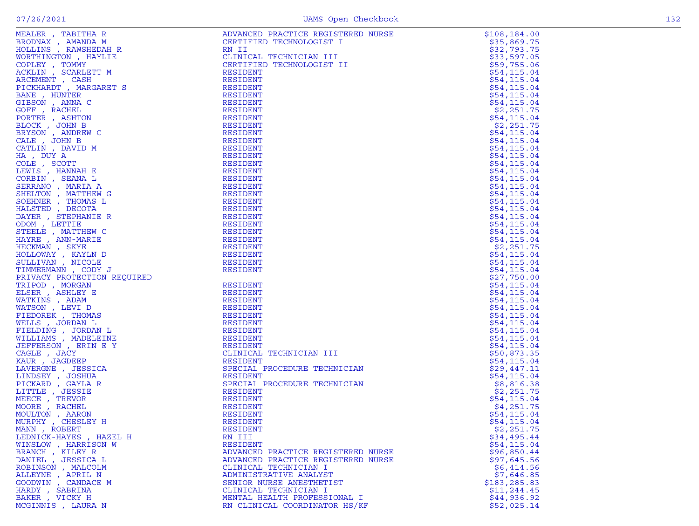|                                                                                                                                                                                                                                                     | ADVANCED PRACTICE REGISTERED NURSE | \$108, 184.00                                                     |
|-----------------------------------------------------------------------------------------------------------------------------------------------------------------------------------------------------------------------------------------------------|------------------------------------|-------------------------------------------------------------------|
|                                                                                                                                                                                                                                                     | CERTIFIED TECHNOLOGIST I           | \$35,869.75                                                       |
|                                                                                                                                                                                                                                                     | RN II                              | \$32,793.75                                                       |
|                                                                                                                                                                                                                                                     | CLINICAL TECHNICIAN III            | \$33,597.05                                                       |
|                                                                                                                                                                                                                                                     | CERTIFIED TECHNOLOGIST II          | \$59,755.06                                                       |
|                                                                                                                                                                                                                                                     | <b>RESIDENT</b>                    | \$54, 115.04                                                      |
|                                                                                                                                                                                                                                                     | <b>RESIDENT</b>                    | \$54, 115.04                                                      |
|                                                                                                                                                                                                                                                     | RESIDENT                           | \$54,115.04                                                       |
|                                                                                                                                                                                                                                                     | <b>RESIDENT</b>                    | \$54, 115.04                                                      |
|                                                                                                                                                                                                                                                     | RESIDENT                           | \$54,115.04                                                       |
|                                                                                                                                                                                                                                                     | RESIDENT                           | \$2,251.75                                                        |
|                                                                                                                                                                                                                                                     | RESIDENT                           | \$54, 115.04                                                      |
|                                                                                                                                                                                                                                                     | <b>RESIDENT</b>                    | \$2,251.75                                                        |
|                                                                                                                                                                                                                                                     | <b>RESIDENT</b>                    | \$54, 115.04                                                      |
|                                                                                                                                                                                                                                                     | RESIDENT                           | \$54,115.04                                                       |
|                                                                                                                                                                                                                                                     | RESIDENT                           | \$54,115.04                                                       |
|                                                                                                                                                                                                                                                     | RESIDENT                           | \$54, 115.04                                                      |
|                                                                                                                                                                                                                                                     | RESIDENT                           | \$54,115.04                                                       |
|                                                                                                                                                                                                                                                     | RESIDENT                           | \$54, 115.04                                                      |
|                                                                                                                                                                                                                                                     | RESIDENT                           | \$54, 115.04                                                      |
|                                                                                                                                                                                                                                                     | <b>RESIDENT</b>                    | \$54, 115.04                                                      |
|                                                                                                                                                                                                                                                     | RESIDENT                           | \$54, 115.04                                                      |
|                                                                                                                                                                                                                                                     | RESIDENT                           | \$54,115.04                                                       |
|                                                                                                                                                                                                                                                     | RESIDENT                           | \$54, 115.04                                                      |
|                                                                                                                                                                                                                                                     | RESIDENT                           | \$54, 115.04                                                      |
|                                                                                                                                                                                                                                                     | <b>RESIDENT</b>                    | \$54,115.04                                                       |
|                                                                                                                                                                                                                                                     | <b>RESIDENT</b>                    | \$54, 115.04                                                      |
|                                                                                                                                                                                                                                                     | RESIDENT                           | \$54, 115.04                                                      |
|                                                                                                                                                                                                                                                     | RESIDENT                           | \$2,251.75                                                        |
|                                                                                                                                                                                                                                                     | RESIDENT                           | \$54,115.04                                                       |
|                                                                                                                                                                                                                                                     | RESIDENT                           | \$54,115.04                                                       |
|                                                                                                                                                                                                                                                     | <b>RESIDENT</b>                    | \$54,115.04<br>\$27,750.00                                        |
|                                                                                                                                                                                                                                                     | RESIDENT                           |                                                                   |
|                                                                                                                                                                                                                                                     | RESIDENT                           | \$54,115.04<br>\$54,115.04                                        |
|                                                                                                                                                                                                                                                     | <b>RESIDENT</b>                    | \$54, 115.04                                                      |
|                                                                                                                                                                                                                                                     | <b>RESIDENT</b>                    | \$54, 115.04                                                      |
|                                                                                                                                                                                                                                                     | RESIDENT                           | \$54, 115.04                                                      |
|                                                                                                                                                                                                                                                     | RESIDENT                           | \$54, 115.04                                                      |
|                                                                                                                                                                                                                                                     | RESIDENT                           | \$54, 115.04                                                      |
|                                                                                                                                                                                                                                                     | RESIDENT                           | \$54,115.04                                                       |
|                                                                                                                                                                                                                                                     | RESIDENT                           | \$54,115.04                                                       |
|                                                                                                                                                                                                                                                     | CLINICAL TECHNICIAN III            | \$50,873.35                                                       |
|                                                                                                                                                                                                                                                     | <b>RESIDENT</b>                    | \$54, 115.04                                                      |
|                                                                                                                                                                                                                                                     | SPECIAL PROCEDURE TECHNICIAN       | \$29,447.11                                                       |
| MEALER , TABITHAR (MARINE REALER)<br>BRODNAX , AMANDA M<br>BRODNAX , AMANDA M<br>WOLLINS , RAWEIEDAH R<br>WORTHINGTON , HAYLIE<br>ACEMENT , SCARLETT M<br>AGEMENT , MARINE PICTON , MARINE TO STREET REALER<br>STREET , JOHN BROWN , ANNEN CORPER , | RESIDENT                           | TERED NURSE<br>I<br>II<br>ICIAN<br>ICIAN<br>ICIAN<br>\$54, 115.04 |
|                                                                                                                                                                                                                                                     | SPECIAL PROCEDURE TECHNICIAN       | \$8,816.38                                                        |
|                                                                                                                                                                                                                                                     | RESIDENT                           | \$2,251.75                                                        |
|                                                                                                                                                                                                                                                     | RESIDENT                           | \$54,115.04                                                       |
|                                                                                                                                                                                                                                                     | RESIDENT                           | \$4,251.75                                                        |
|                                                                                                                                                                                                                                                     | <b>RESIDENT</b>                    | \$54,115.04                                                       |
|                                                                                                                                                                                                                                                     | RESIDENT                           | \$54, 115.04                                                      |
| MANN, ROBERT                                                                                                                                                                                                                                        | RESIDENT                           | \$2,251.75                                                        |
| LEDNICK-HAYES, HAZEL H                                                                                                                                                                                                                              | RN III                             | \$34,495.44                                                       |
| WINSLOW, HARRISON W                                                                                                                                                                                                                                 | RESIDENT                           | \$54,115.04                                                       |
| BRANCH, KILEY R                                                                                                                                                                                                                                     | ADVANCED PRACTICE REGISTERED NURSE | \$96,850.44                                                       |
| DANIEL , JESSICA L                                                                                                                                                                                                                                  | ADVANCED PRACTICE REGISTERED NURSE | \$97,645.56                                                       |
| ROBINSON, MALCOLM                                                                                                                                                                                                                                   | CLINICAL TECHNICIAN I              | \$6,414.56                                                        |
| ALLEYNE, APRIL N                                                                                                                                                                                                                                    | ADMINISTRATIVE ANALYST             | \$7,646.85                                                        |
| GOODWIN, CANDACE M                                                                                                                                                                                                                                  | SENIOR NURSE ANESTHETIST           | \$183, 285.83                                                     |
| HARDY, SABRINA                                                                                                                                                                                                                                      | CLINICAL TECHNICIAN I              | \$11, 244.45                                                      |
| BAKER, VICKY H                                                                                                                                                                                                                                      | MENTAL HEALTH PROFESSIONAL I       | \$44,936.92                                                       |
| MCGINNIS , LAURA N                                                                                                                                                                                                                                  | RN CLINICAL COORDINATOR HS/KF      | \$52,025.14                                                       |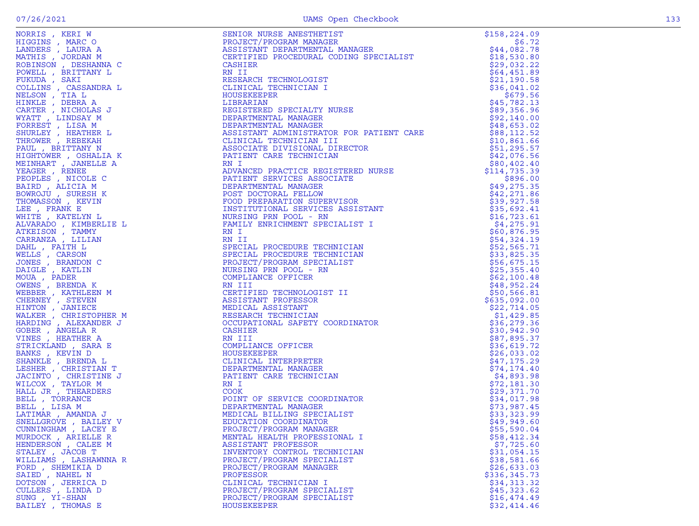|  | $\sim$ | . .<br>۰. |
|--|--------|-----------|

|                       | NORRES / REN IWAN AN SENITE DE SANTON MUNICIPALE ANNE ANNE ANNE ANNE ANNE CHARTER CONDITIONAL MANAGEMENT (1973)<br>AN INCOLLECTIVE CONDITIONAL CONDUCTIVE CONDUCTIVE CONDUCT (1974)<br>CONDUCT AN INCOLLECTIVE CONDUCT (1975)<br>CONDU<br>SENIOR NURSE ANESTHETIST<br>PROJECT/PROGRAM MANAGER<br>ASSISTANT DEPARTMENTAL MANAGER<br>CERTIFIED PROCEDURAL CODING SPECIALIST<br>CERTIFIED PROCEDURAL CODING SPECIALIST | \$158, 224.09 |
|-----------------------|---------------------------------------------------------------------------------------------------------------------------------------------------------------------------------------------------------------------------------------------------------------------------------------------------------------------------------------------------------------------------------------------------------------------|---------------|
|                       |                                                                                                                                                                                                                                                                                                                                                                                                                     | \$6.72        |
|                       |                                                                                                                                                                                                                                                                                                                                                                                                                     | \$44,082.78   |
|                       |                                                                                                                                                                                                                                                                                                                                                                                                                     | \$18,530.80   |
|                       |                                                                                                                                                                                                                                                                                                                                                                                                                     | \$29,032.22   |
|                       |                                                                                                                                                                                                                                                                                                                                                                                                                     | \$64,451.89   |
|                       |                                                                                                                                                                                                                                                                                                                                                                                                                     | \$21,190.58   |
|                       |                                                                                                                                                                                                                                                                                                                                                                                                                     | \$36,041.02   |
|                       |                                                                                                                                                                                                                                                                                                                                                                                                                     | \$679.56      |
|                       |                                                                                                                                                                                                                                                                                                                                                                                                                     | \$45,782.13   |
|                       |                                                                                                                                                                                                                                                                                                                                                                                                                     |               |
|                       | -------------<br>REGISTERED SPECIALTY NURSE<br>DEPARTMENTAL MANAGER<br>DEPARTMENTAL MANAGER<br>ASSISTANT ADMINISTRATOR ROD DATITITI                                                                                                                                                                                                                                                                                 |               |
|                       |                                                                                                                                                                                                                                                                                                                                                                                                                     |               |
|                       |                                                                                                                                                                                                                                                                                                                                                                                                                     |               |
|                       |                                                                                                                                                                                                                                                                                                                                                                                                                     |               |
|                       |                                                                                                                                                                                                                                                                                                                                                                                                                     |               |
|                       |                                                                                                                                                                                                                                                                                                                                                                                                                     |               |
|                       |                                                                                                                                                                                                                                                                                                                                                                                                                     |               |
|                       |                                                                                                                                                                                                                                                                                                                                                                                                                     |               |
|                       |                                                                                                                                                                                                                                                                                                                                                                                                                     |               |
|                       |                                                                                                                                                                                                                                                                                                                                                                                                                     |               |
|                       |                                                                                                                                                                                                                                                                                                                                                                                                                     |               |
|                       |                                                                                                                                                                                                                                                                                                                                                                                                                     |               |
|                       |                                                                                                                                                                                                                                                                                                                                                                                                                     |               |
|                       |                                                                                                                                                                                                                                                                                                                                                                                                                     |               |
|                       |                                                                                                                                                                                                                                                                                                                                                                                                                     |               |
|                       |                                                                                                                                                                                                                                                                                                                                                                                                                     |               |
|                       |                                                                                                                                                                                                                                                                                                                                                                                                                     |               |
|                       |                                                                                                                                                                                                                                                                                                                                                                                                                     |               |
|                       |                                                                                                                                                                                                                                                                                                                                                                                                                     |               |
|                       |                                                                                                                                                                                                                                                                                                                                                                                                                     |               |
|                       |                                                                                                                                                                                                                                                                                                                                                                                                                     |               |
|                       |                                                                                                                                                                                                                                                                                                                                                                                                                     |               |
|                       |                                                                                                                                                                                                                                                                                                                                                                                                                     |               |
|                       |                                                                                                                                                                                                                                                                                                                                                                                                                     |               |
|                       |                                                                                                                                                                                                                                                                                                                                                                                                                     |               |
|                       |                                                                                                                                                                                                                                                                                                                                                                                                                     |               |
|                       |                                                                                                                                                                                                                                                                                                                                                                                                                     |               |
|                       |                                                                                                                                                                                                                                                                                                                                                                                                                     |               |
|                       |                                                                                                                                                                                                                                                                                                                                                                                                                     |               |
|                       |                                                                                                                                                                                                                                                                                                                                                                                                                     |               |
|                       |                                                                                                                                                                                                                                                                                                                                                                                                                     |               |
|                       |                                                                                                                                                                                                                                                                                                                                                                                                                     |               |
|                       |                                                                                                                                                                                                                                                                                                                                                                                                                     |               |
|                       |                                                                                                                                                                                                                                                                                                                                                                                                                     |               |
|                       |                                                                                                                                                                                                                                                                                                                                                                                                                     |               |
|                       |                                                                                                                                                                                                                                                                                                                                                                                                                     |               |
|                       |                                                                                                                                                                                                                                                                                                                                                                                                                     |               |
|                       |                                                                                                                                                                                                                                                                                                                                                                                                                     |               |
|                       |                                                                                                                                                                                                                                                                                                                                                                                                                     |               |
|                       |                                                                                                                                                                                                                                                                                                                                                                                                                     |               |
| CUNNINGHAM, LACEY E   |                                                                                                                                                                                                                                                                                                                                                                                                                     |               |
| MURDOCK, ARIELLE R    | MENTAL HEALTH PROFESSIONAL I                                                                                                                                                                                                                                                                                                                                                                                        | \$58,412.34   |
| HENDERSON, CALEE M    | ASSISTANT PROFESSOR                                                                                                                                                                                                                                                                                                                                                                                                 | \$7,725.60    |
| STALEY , JACOB T      | INVENTORY CONTROL TECHNICIAN                                                                                                                                                                                                                                                                                                                                                                                        | \$31,054.15   |
| WILLIAMS, LASHAWNNA R | PROJECT/PROGRAM SPECIALIST                                                                                                                                                                                                                                                                                                                                                                                          | \$38,581.66   |
| FORD, SHEMIKIA D      | PROJECT/PROGRAM MANAGER                                                                                                                                                                                                                                                                                                                                                                                             | \$26,633.03   |
| SAIED, NAHEL N        | PROFESSOR                                                                                                                                                                                                                                                                                                                                                                                                           | \$336,345.73  |
| DOTSON, JERRICA D     | CLINICAL TECHNICIAN I                                                                                                                                                                                                                                                                                                                                                                                               | \$34,313.32   |
| CULLERS, LINDA D      | PROJECT/PROGRAM SPECIALIST                                                                                                                                                                                                                                                                                                                                                                                          | \$45,323.62   |
| SUNG , YI-SHAN        | PROJECT/PROGRAM SPECIALIST                                                                                                                                                                                                                                                                                                                                                                                          | \$16,474.49   |
| BAILEY , THOMAS E     | HOUSEKEEPER                                                                                                                                                                                                                                                                                                                                                                                                         | \$32,414.46   |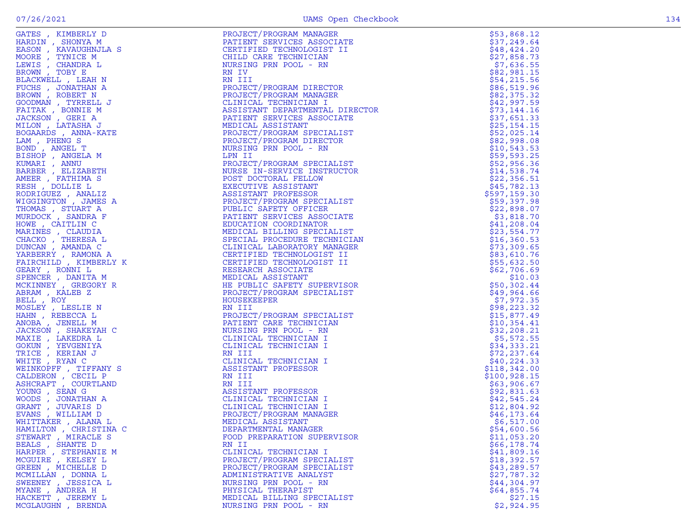|                                                                                                                                                                                                                                                              | PROJECT/PROGRAM MANAGER         | \$53,868.12   |
|--------------------------------------------------------------------------------------------------------------------------------------------------------------------------------------------------------------------------------------------------------------|---------------------------------|---------------|
|                                                                                                                                                                                                                                                              | PATIENT SERVICES ASSOCIATE      | \$37,249.64   |
|                                                                                                                                                                                                                                                              | CERTIFIED TECHNOLOGIST II       | \$48,424.20   |
|                                                                                                                                                                                                                                                              |                                 |               |
|                                                                                                                                                                                                                                                              | CHILD CARE TECHNICIAN           | \$27,858.73   |
|                                                                                                                                                                                                                                                              | NURSING PRN POOL - RN           | \$7,636.55    |
|                                                                                                                                                                                                                                                              | RN IV                           | \$82,981.15   |
|                                                                                                                                                                                                                                                              | RN III                          | \$54,215.56   |
|                                                                                                                                                                                                                                                              | PROJECT/PROGRAM DIRECTOR        | \$86,519.96   |
|                                                                                                                                                                                                                                                              | PROJECT/PROGRAM MANAGER         | \$82,375.32   |
|                                                                                                                                                                                                                                                              | CLINICAL TECHNICIAN I           | \$42,997.59   |
|                                                                                                                                                                                                                                                              | ASSISTANT DEPARTMENTAL DIRECTOR | \$73,144.16   |
|                                                                                                                                                                                                                                                              |                                 |               |
|                                                                                                                                                                                                                                                              | PATIENT SERVICES ASSOCIATE      | \$37,651.33   |
|                                                                                                                                                                                                                                                              | MEDICAL ASSISTANT               | \$25,154.15   |
|                                                                                                                                                                                                                                                              | PROJECT/PROGRAM SPECIALIST      | \$52,025.14   |
|                                                                                                                                                                                                                                                              | PROJECT/PROGRAM DIRECTOR        | \$82,998.08   |
|                                                                                                                                                                                                                                                              | NURSING PRN POOL - RN           | \$10,543.53   |
|                                                                                                                                                                                                                                                              | LPN II                          | \$59,593.25   |
|                                                                                                                                                                                                                                                              | PROJECT/PROGRAM SPECIALIST      | \$52,956.36   |
|                                                                                                                                                                                                                                                              | NURSE IN-SERVICE INSTRUCTOR     | \$14,538.74   |
|                                                                                                                                                                                                                                                              |                                 |               |
|                                                                                                                                                                                                                                                              | POST DOCTORAL FELLOW            | \$22,356.51   |
|                                                                                                                                                                                                                                                              | EXECUTIVE ASSISTANT             | \$45,782.13   |
|                                                                                                                                                                                                                                                              | ASSISTANT PROFESSOR             | \$597,159.30  |
|                                                                                                                                                                                                                                                              | PROJECT/PROGRAM SPECIALIST      | \$59,397.98   |
|                                                                                                                                                                                                                                                              | PUBLIC SAFETY OFFICER           | \$22,898.07   |
|                                                                                                                                                                                                                                                              | PATIENT SERVICES ASSOCIATE      | \$3,818.70    |
|                                                                                                                                                                                                                                                              | EDUCATION COORDINATOR           | \$41,208.04   |
|                                                                                                                                                                                                                                                              |                                 |               |
|                                                                                                                                                                                                                                                              | MEDICAL BILLING SPECIALIST      | \$23,554.77   |
|                                                                                                                                                                                                                                                              | SPECIAL PROCEDURE TECHNICIAN    | \$16,360.53   |
|                                                                                                                                                                                                                                                              | CLINICAL LABORATORY MANAGER     | \$73,309.65   |
|                                                                                                                                                                                                                                                              | CERTIFIED TECHNOLOGIST II       | \$83,610.76   |
|                                                                                                                                                                                                                                                              | CERTIFIED TECHNOLOGIST II       | \$55,632.50   |
|                                                                                                                                                                                                                                                              | RESEARCH ASSOCIATE              | \$62,706.69   |
|                                                                                                                                                                                                                                                              | MEDICAL ASSISTANT               | \$10.03       |
|                                                                                                                                                                                                                                                              | HE PUBLIC SAFETY SUPERVISOR     | \$50,302.44   |
|                                                                                                                                                                                                                                                              | PROJECT/PROGRAM SPECIALIST      | \$49,964.66   |
|                                                                                                                                                                                                                                                              |                                 |               |
|                                                                                                                                                                                                                                                              | HOUSEKEEPER                     | \$7,972.35    |
| S, KIMBERLY D<br>IN, SHONYA M<br>IN, KANAUGHNJLA S<br>IE, TYNICE M<br>S, CHANDRA L<br>IS, CHANDRA L<br>IN, TOBY E<br>XWELL , LEAH N<br>MN, ROBERT N<br>MN, ROBERT N<br>MN, ROBERT N<br>MN, ROBERT N<br>MN, ROBERT N<br>NAN, RONAUGHN J<br>TAK, BONNIE M<br>N | RN III                          | \$98,223.32   |
|                                                                                                                                                                                                                                                              | PROJECT/PROGRAM SPECIALIST      | \$15,877.49   |
|                                                                                                                                                                                                                                                              | PATIENT CARE TECHNICIAN         | \$10,354.41   |
|                                                                                                                                                                                                                                                              | NURSING PRN POOL - RN           | \$32, 208.21  |
|                                                                                                                                                                                                                                                              | CLINICAL TECHNICIAN I           | \$5,572.55    |
|                                                                                                                                                                                                                                                              | CLINICAL TECHNICIAN I           | \$34,333.21   |
|                                                                                                                                                                                                                                                              | RN III                          | \$72, 237.64  |
| TRICE , KERIAN J                                                                                                                                                                                                                                             |                                 |               |
| WHITE , RYAN C                                                                                                                                                                                                                                               | CLINICAL TECHNICIAN I           | \$40, 224.33  |
| WEINKOPFF , TIFFANY S                                                                                                                                                                                                                                        | ASSISTANT PROFESSOR             | \$118,342.00  |
| CALDERON, CECIL P                                                                                                                                                                                                                                            | RN III                          | \$100, 928.15 |
| ASHCRAFT , COURTLAND                                                                                                                                                                                                                                         | RN III                          | \$63,906.67   |
| YOUNG, SEAN G                                                                                                                                                                                                                                                | ASSISTANT PROFESSOR             | \$92,831.63   |
| WOODS , JONATHAN A                                                                                                                                                                                                                                           | CLINICAL TECHNICIAN I           | \$42,545.24   |
| GRANT , JUVARIS D                                                                                                                                                                                                                                            | CLINICAL TECHNICIAN I           | \$12,804.92   |
| EVANS , WILLIAM D                                                                                                                                                                                                                                            | PROJECT/PROGRAM MANAGER         | \$46,173.64   |
|                                                                                                                                                                                                                                                              |                                 |               |
| WHITTAKER , ALANA L                                                                                                                                                                                                                                          | MEDICAL ASSISTANT               | \$6,517.00    |
| HAMILTON , CHRISTINA C                                                                                                                                                                                                                                       | DEPARTMENTAL MANAGER            | \$54,600.56   |
| STEWART, MIRACLE S                                                                                                                                                                                                                                           | FOOD PREPARATION SUPERVISOR     | \$11,053.20   |
| BEALS, SHANTE D                                                                                                                                                                                                                                              | RN II                           | \$66,178.74   |
| HARPER, STEPHANIE M                                                                                                                                                                                                                                          | CLINICAL TECHNICIAN I           | \$41,809.16   |
| MCGUIRE , KELSEY L                                                                                                                                                                                                                                           | PROJECT/PROGRAM SPECIALIST      | \$18,392.57   |
| GREEN , MICHELLE D                                                                                                                                                                                                                                           | PROJECT/PROGRAM SPECIALIST      | \$43, 289.57  |
| MCMILLAN, DONNA L                                                                                                                                                                                                                                            | ADMINISTRATIVE ANALYST          | \$27,787.32   |
| SWEENEY , JESSICA L                                                                                                                                                                                                                                          | NURSING PRN POOL - RN           | \$44,304.97   |
|                                                                                                                                                                                                                                                              |                                 |               |
| MYANE , ANDREA H                                                                                                                                                                                                                                             | PHYSICAL THERAPIST              | \$64,855.74   |
| HACKETT, JEREMY L                                                                                                                                                                                                                                            | MEDICAL BILLING SPECIALIST      | \$27.15       |
| MCGLAUGHN, BRENDA                                                                                                                                                                                                                                            | NURSING PRN POOL - RN           | \$2,924.95    |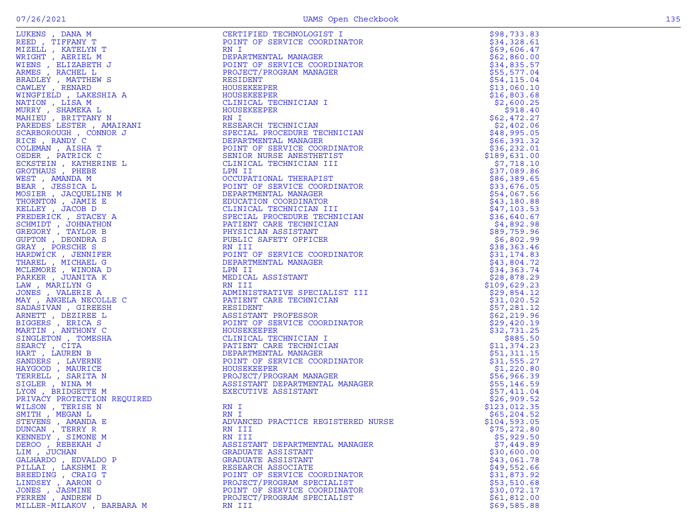| $\sim$ | $\sim$ |
|--------|--------|

| LUKENS , DANA M                                                                                                                                                                                                                                                                                                                                                                                                  | CERTIFIED TECHNOLOGIST I                                                                                                                                                                                                                                   | \$98,733.83               |
|------------------------------------------------------------------------------------------------------------------------------------------------------------------------------------------------------------------------------------------------------------------------------------------------------------------------------------------------------------------------------------------------------------------|------------------------------------------------------------------------------------------------------------------------------------------------------------------------------------------------------------------------------------------------------------|---------------------------|
| REED, TIFFANY T                                                                                                                                                                                                                                                                                                                                                                                                  | POINT OF SERVICE COORDINATOR                                                                                                                                                                                                                               | \$34,328.61               |
| $\begin{array}{c} \mathbf{T} \\ \mathbf{M} \\ \mathbf{I} \ \mathbf{J} \\ \mathbf{I} \ \mathbf{S} \\ \mathbf{HIA} \ \mathbf{A} \end{array}$<br>MIZELL , KATELYN T                                                                                                                                                                                                                                                 | RN I                                                                                                                                                                                                                                                       | \$69,606.47               |
| WRIGHT, AERIEL M                                                                                                                                                                                                                                                                                                                                                                                                 | DEPARTMENTAL MANAGER                                                                                                                                                                                                                                       | \$62,860.00               |
| WIENS , ELIZABETH J                                                                                                                                                                                                                                                                                                                                                                                              | POINT OF SERVICE COORDINATOR                                                                                                                                                                                                                               | \$34,835.57               |
| ARMES, RACHEL L                                                                                                                                                                                                                                                                                                                                                                                                  | PROJECT/PROGRAM MANAGER                                                                                                                                                                                                                                    | \$55,577.04               |
| BRADLEY, MATTHEW S                                                                                                                                                                                                                                                                                                                                                                                               | RESIDENT                                                                                                                                                                                                                                                   | \$54, 115.04              |
| CAWLEY, RENARD                                                                                                                                                                                                                                                                                                                                                                                                   | HOUSEKEEPER                                                                                                                                                                                                                                                | \$13,060.10               |
|                                                                                                                                                                                                                                                                                                                                                                                                                  | HOUSEKEEPER                                                                                                                                                                                                                                                | \$16,803.68               |
|                                                                                                                                                                                                                                                                                                                                                                                                                  | CLINICAL TECHNICIAN I                                                                                                                                                                                                                                      | \$2,600.25                |
| MURRY , SHAMEKA L $\begin{array}{l} \texttt{MINR} \texttt{M} \texttt{M} \texttt{N} \texttt{N} \texttt{N} \texttt{N} \texttt{N} \texttt{N} \texttt{N} \texttt{N} \texttt{N} \texttt{N} \texttt{N} \texttt{N} \texttt{N} \texttt{N} \texttt{N} \texttt{R} \texttt{P} \texttt{R} \texttt{R} \texttt{N} \texttt{R} \texttt{R} \texttt{R} \texttt{R} \texttt{R} \texttt{R} \texttt{R} \texttt{R} \texttt{R} \texttt{$ | HOUSEKEEPER                                                                                                                                                                                                                                                | \$918.40                  |
|                                                                                                                                                                                                                                                                                                                                                                                                                  | RN I                                                                                                                                                                                                                                                       | \$62,472.27               |
|                                                                                                                                                                                                                                                                                                                                                                                                                  | RESEARCH TECHNICIAN                                                                                                                                                                                                                                        | \$2,402.06                |
|                                                                                                                                                                                                                                                                                                                                                                                                                  | SPECIAL PROCEDURE TECHNICIAN                                                                                                                                                                                                                               | \$48,995.05               |
|                                                                                                                                                                                                                                                                                                                                                                                                                  | DEPARTMENTAL MANAGER                                                                                                                                                                                                                                       | \$66,391.32               |
|                                                                                                                                                                                                                                                                                                                                                                                                                  | POINT OF SERVICE COORDINATOR                                                                                                                                                                                                                               | \$36,232.01               |
|                                                                                                                                                                                                                                                                                                                                                                                                                  | SENIOR NURSE ANESTHETIST                                                                                                                                                                                                                                   | \$189,631.00              |
|                                                                                                                                                                                                                                                                                                                                                                                                                  | CLINICAL TECHNICIAN III                                                                                                                                                                                                                                    | \$7,718.10                |
|                                                                                                                                                                                                                                                                                                                                                                                                                  | LPN II                                                                                                                                                                                                                                                     | \$37,089.86               |
|                                                                                                                                                                                                                                                                                                                                                                                                                  | OCCUPATIONAL THERAPIST                                                                                                                                                                                                                                     | \$86,389.65               |
|                                                                                                                                                                                                                                                                                                                                                                                                                  | POINT OF SERVICE COORDINATOR                                                                                                                                                                                                                               | \$33,676.05               |
|                                                                                                                                                                                                                                                                                                                                                                                                                  | DEPARTMENTAL MANAGER                                                                                                                                                                                                                                       | \$54,067.56               |
|                                                                                                                                                                                                                                                                                                                                                                                                                  | EDUCATION COORDINATOR                                                                                                                                                                                                                                      | \$43,180.88               |
|                                                                                                                                                                                                                                                                                                                                                                                                                  |                                                                                                                                                                                                                                                            | \$47,103.53               |
|                                                                                                                                                                                                                                                                                                                                                                                                                  |                                                                                                                                                                                                                                                            | \$36,640.67               |
| SCHMIDT, JOHNATHON                                                                                                                                                                                                                                                                                                                                                                                               |                                                                                                                                                                                                                                                            | \$4,892.98                |
| GREGORY, TAYLOR B<br>GUPTON , DEONDRA S                                                                                                                                                                                                                                                                                                                                                                          |                                                                                                                                                                                                                                                            | \$89,759.96               |
| GRAY, PORSCHE S                                                                                                                                                                                                                                                                                                                                                                                                  | r<br>DINATOR<br>II<br>HNICIAN<br>NN                                                                                                                                                                                                                        | \$6,802.99<br>\$38,363.46 |
| HARDWICK, JENNIFER                                                                                                                                                                                                                                                                                                                                                                                               |                                                                                                                                                                                                                                                            | \$31,174.83               |
| THAREL , MICHAEL G                                                                                                                                                                                                                                                                                                                                                                                               |                                                                                                                                                                                                                                                            | \$43,804.72               |
| MCLEMORE , WINONA D                                                                                                                                                                                                                                                                                                                                                                                              |                                                                                                                                                                                                                                                            | \$34,363.74               |
| PARKER, JUANITA K                                                                                                                                                                                                                                                                                                                                                                                                |                                                                                                                                                                                                                                                            | \$28,878.29               |
| LAW, MARILYNG                                                                                                                                                                                                                                                                                                                                                                                                    |                                                                                                                                                                                                                                                            | \$109,629.23              |
| JONES , VALERIE A                                                                                                                                                                                                                                                                                                                                                                                                | .I MISTRATIVLET CARE TECHNATIVLET (FRAME TREADURES ON DINT OF SERVICE COORDINATOR JOURNAGER CLINICAL TECHNICIAN DEPARTMENTAL MANAGER TRAME MANAGER TRAME MANAGER TRAME MANAGER TRAME MANAGER TRAME MANAGER TRAME MANAGER TRAME                             | \$29,854.12               |
| MAY, ANGELA NECOLLE C                                                                                                                                                                                                                                                                                                                                                                                            |                                                                                                                                                                                                                                                            | \$31,020.52               |
| SADASIVAN, GIREESH                                                                                                                                                                                                                                                                                                                                                                                               |                                                                                                                                                                                                                                                            | \$57,281.12               |
| ARNETT, DEZIREE L                                                                                                                                                                                                                                                                                                                                                                                                |                                                                                                                                                                                                                                                            | \$62, 219.96              |
| BIGGERS , ERICA S                                                                                                                                                                                                                                                                                                                                                                                                |                                                                                                                                                                                                                                                            | \$29,420.19               |
| MARTIN, ANTHONY C                                                                                                                                                                                                                                                                                                                                                                                                |                                                                                                                                                                                                                                                            | \$32,731.25               |
| SINGLETON , TOMESHA                                                                                                                                                                                                                                                                                                                                                                                              |                                                                                                                                                                                                                                                            | \$885.50                  |
| SEARCY, CITA                                                                                                                                                                                                                                                                                                                                                                                                     |                                                                                                                                                                                                                                                            | \$11,374.23               |
| HART, LAUREN B                                                                                                                                                                                                                                                                                                                                                                                                   |                                                                                                                                                                                                                                                            | \$51,311.15               |
| SANDERS, LAVERNE                                                                                                                                                                                                                                                                                                                                                                                                 |                                                                                                                                                                                                                                                            | \$31,555.27               |
| HAYGOOD, MAURICE                                                                                                                                                                                                                                                                                                                                                                                                 |                                                                                                                                                                                                                                                            | \$1,220.80                |
| TERRELL, SARITA N                                                                                                                                                                                                                                                                                                                                                                                                |                                                                                                                                                                                                                                                            | \$56,966.39               |
| SIGLER, NINA M                                                                                                                                                                                                                                                                                                                                                                                                   |                                                                                                                                                                                                                                                            | \$55,146.59               |
| LYON, BRIDGETTE M                                                                                                                                                                                                                                                                                                                                                                                                |                                                                                                                                                                                                                                                            | \$57,411.04               |
| PRIVACY PROTECTION REQUIRED                                                                                                                                                                                                                                                                                                                                                                                      |                                                                                                                                                                                                                                                            | \$26,909.52               |
| WILSON, TERISE N                                                                                                                                                                                                                                                                                                                                                                                                 |                                                                                                                                                                                                                                                            | \$123,012.35              |
| SMITH , MEGAN L                                                                                                                                                                                                                                                                                                                                                                                                  |                                                                                                                                                                                                                                                            | \$65, 204.52              |
| STEVENS , AMANDA E                                                                                                                                                                                                                                                                                                                                                                                               | AN I<br>ADVANCED PRACTICE REGISTERED NURSE                                                                                                                                                                                                                 | \$104,593.05              |
| DUNCAN, TERRY R                                                                                                                                                                                                                                                                                                                                                                                                  |                                                                                                                                                                                                                                                            | \$75,272.80               |
| KENNEDY , SIMONE M                                                                                                                                                                                                                                                                                                                                                                                               | EDUCATION CORDINATOR<br>EDUCATION CORDINATOR<br>SEDUCATION CORDINATOR<br>SECULAI PROCEDURE TECHNICIAN<br>PATIENT CARE TECHNICIAN<br>PATIENT CARE TECHNICIAN<br>PUBLIC SAFETY OFFICER<br>RN III<br>POINT OF SERVICE COORDINATOR<br>DEPARTMENTAL M<br>RN III | \$5,929.50                |
| DEROO, REBEKAH J                                                                                                                                                                                                                                                                                                                                                                                                 | ASSISTANT DEPARTMENTAL MANAGER                                                                                                                                                                                                                             | \$7,449.89                |
| LIM . JUCHAN                                                                                                                                                                                                                                                                                                                                                                                                     | GRADUATE ASSISTANT                                                                                                                                                                                                                                         | \$30,600.00               |
| GALHARDO, EDVALDO P                                                                                                                                                                                                                                                                                                                                                                                              | GRADUATE ASSISTANT                                                                                                                                                                                                                                         | \$43,061.78               |
| PILLAI , LAKSHMI R                                                                                                                                                                                                                                                                                                                                                                                               | RESEARCH ASSOCIATE                                                                                                                                                                                                                                         | \$49,552.66               |
| BREEDING, CRAIG T                                                                                                                                                                                                                                                                                                                                                                                                | POINT OF SERVICE COORDINATOR                                                                                                                                                                                                                               | \$31,873.92               |
| LINDSEY, AARON O                                                                                                                                                                                                                                                                                                                                                                                                 | PROJECT/PROGRAM SPECIALIST                                                                                                                                                                                                                                 | \$53,510.68               |
| JONES , JASMINE                                                                                                                                                                                                                                                                                                                                                                                                  | POINT OF SERVICE COORDINATOR                                                                                                                                                                                                                               | \$30,072.17               |
| FERREN, ANDREW D                                                                                                                                                                                                                                                                                                                                                                                                 | PROJECT/PROGRAM SPECIALIST                                                                                                                                                                                                                                 | \$61,812.00               |
| MILLER-MILAKOV, BARBARA M                                                                                                                                                                                                                                                                                                                                                                                        | RN III                                                                                                                                                                                                                                                     | \$69,585.88               |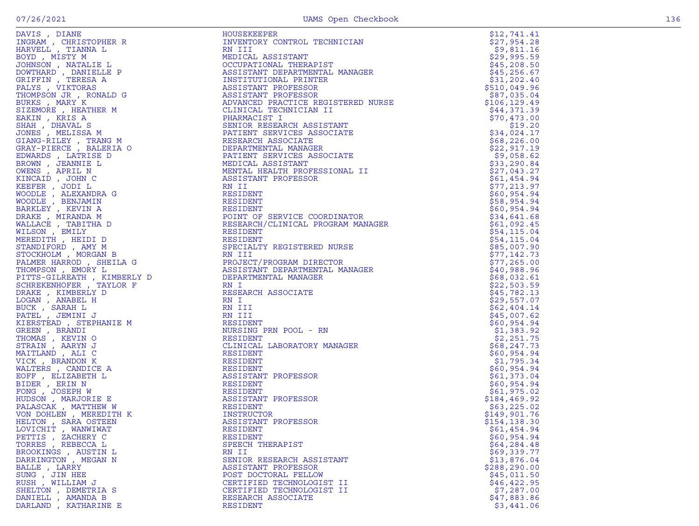| DAVIS , DIANE<br>INGRAM , CHRISTOPHER R<br>HIDITII – TILUMI I                                 |
|-----------------------------------------------------------------------------------------------|
| HARVELL , TIANNA L                                                                            |
|                                                                                               |
| BOYD , MISTY M                                                                                |
| JOHNSON , NATALIE L                                                                           |
| DOWTHARD, DANIELLE<br>$\mathbb P$                                                             |
| GRIFFIN, TERESA A                                                                             |
|                                                                                               |
| PALYS, VIKTORAS                                                                               |
| THOMPSON JR, RONALD G                                                                         |
| BURKS, MARY K                                                                                 |
| SIZEMORE , HEATHER M                                                                          |
|                                                                                               |
| EAKIN , KRIS A                                                                                |
| SHAH, DHAVAL S                                                                                |
| JONES , MELISSA M                                                                             |
| GIANG-RILEY , TRANG M<br>GRAY-PIERCE , BALERIA O                                              |
|                                                                                               |
|                                                                                               |
| EDWARDS, LATRISE<br>D                                                                         |
| BROWN , JEANNIE L                                                                             |
| OWENS , APRIL N<br>KINCAID , JOHN C<br>KRINCAID , JOHN C                                      |
|                                                                                               |
|                                                                                               |
|                                                                                               |
| KEEFER , JODI L<br>WOODLE , ALEXANDRA G<br>WOODLE , BENJAMIN                                  |
|                                                                                               |
|                                                                                               |
| BARKLEY , KEVIN A<br>DRAKE , MIRANDA M<br>WALLACE , TABITHA D<br>WILSON , EMILY               |
|                                                                                               |
|                                                                                               |
|                                                                                               |
| MEREDITH, HEIDI D                                                                             |
|                                                                                               |
| STANDIFORD, AMY M                                                                             |
| STOCKHOLM, MORGAN B                                                                           |
| PALMER HARROD, SHEILA G                                                                       |
| THOMPSON, EMORY L                                                                             |
|                                                                                               |
|                                                                                               |
|                                                                                               |
|                                                                                               |
| PITTS-GILREATH , KIMBERLY D<br>SCHREKENHOFER , TAYLOR F<br>DRAKE , KIMBERLY D                 |
|                                                                                               |
| LOGAN, ANABEL H                                                                               |
| BUCK, SARAH L                                                                                 |
| PATEL , JEMINI J                                                                              |
| KIERSTEAD , STEPHANIE M                                                                       |
|                                                                                               |
|                                                                                               |
|                                                                                               |
|                                                                                               |
|                                                                                               |
| GREEN , BRANDI<br>THOMAS , KEVIN O<br>STRAIN , AARYN J<br>MAITLAND , ALI C<br>VICK, BRANDON K |
|                                                                                               |
| WALTERS, CANDICE A                                                                            |
| EOFF, ELIZABETH L                                                                             |
|                                                                                               |
|                                                                                               |
|                                                                                               |
|                                                                                               |
| BIDER , ERIN N<br>FONG , JOSEPH W<br>HUDSON , MARJORIE E<br>PALASCAK, MATTHEW W               |
| VON DOHLEN, MEREDITH K                                                                        |
| HELTON, SARA OSTEEN                                                                           |
|                                                                                               |
|                                                                                               |
|                                                                                               |
| LOVICHIT , WANWIWAT<br>PETTIS , ZACHERY C<br>TORRES , REBECCA L                               |
|                                                                                               |
|                                                                                               |
| BROOKINGS , AUSTIN L<br>DARRINGTON , MEGAN N                                                  |
| BALLE, LARRY                                                                                  |
|                                                                                               |
| SUNG , JIN HEE<br>RUSH , WILLIAM J                                                            |
|                                                                                               |
| SHELTON , DEMETRIA S<br>DANIELL , AMANDA B                                                    |

| DAVIS, DIANE          | HOUSEKEEPER<br>HOUSEKEEPER<br>INVENTORY CONTROL TECHNICIAN<br>IN III<br>MEDICAL ASSISTANT<br>OCCUPATIONAL THERAPIST<br>INSTITUTIONAL PRINTER<br>INSTITUTIONAL PRINTER<br>ASSISTANT PROFESSOR<br>ASSISTANT PROFESSOR<br>ADVANCED PRACTICE REGISTERED NURSE<br>CLINICAL TECHN | \$12,741.41                |
|-----------------------|-----------------------------------------------------------------------------------------------------------------------------------------------------------------------------------------------------------------------------------------------------------------------------|----------------------------|
| INGRAM, CHRISTOPHER R |                                                                                                                                                                                                                                                                             | \$27,954.28                |
| HARVELL , TIANNA L    |                                                                                                                                                                                                                                                                             | \$9,811.16                 |
| BOYD, MISTY M         | WEDICAL ASSISIAN.<br>MEDICAL ASSISTANT THERAPIST<br>ASSISTANT DEPARTMENTAL MANAGER<br>INSTITUTIONAL PRINTER<br>ASSISTANT PROFESSOR<br>ASSISTANT PROFESSOR<br>ADVANCED PRACTICE REGISTERED NURSE<br>CLINICAL TECHNICIAN II<br>PHARMACIST I<br>ENI                            | \$29,995.59                |
| JOHNSON, NATALIE L    |                                                                                                                                                                                                                                                                             | \$45,208.50                |
| DOWTHARD, DANIELLE P  |                                                                                                                                                                                                                                                                             | \$45, 256.67               |
| GRIFFIN, TERESA A     |                                                                                                                                                                                                                                                                             | \$31,202.40                |
| PALYS, VIKTORAS       |                                                                                                                                                                                                                                                                             | \$510,049.96               |
| THOMPSON JR, RONALD G |                                                                                                                                                                                                                                                                             | \$87,035.04                |
|                       |                                                                                                                                                                                                                                                                             | \$106, 129.49              |
|                       |                                                                                                                                                                                                                                                                             | \$44,371.39                |
|                       |                                                                                                                                                                                                                                                                             | \$70,473.00                |
|                       |                                                                                                                                                                                                                                                                             | \$19.20                    |
|                       |                                                                                                                                                                                                                                                                             | \$34,024.17                |
|                       |                                                                                                                                                                                                                                                                             | \$68, 226.00               |
|                       |                                                                                                                                                                                                                                                                             | \$22,917.19                |
|                       |                                                                                                                                                                                                                                                                             | \$9,058.62                 |
|                       |                                                                                                                                                                                                                                                                             | \$33,290.84                |
|                       |                                                                                                                                                                                                                                                                             | \$27,043.27                |
|                       |                                                                                                                                                                                                                                                                             | \$61,454.94                |
|                       |                                                                                                                                                                                                                                                                             | \$77,213.97                |
|                       |                                                                                                                                                                                                                                                                             | \$60,954.94                |
|                       |                                                                                                                                                                                                                                                                             | \$58,954.94                |
|                       |                                                                                                                                                                                                                                                                             | \$60,954.94                |
|                       |                                                                                                                                                                                                                                                                             | \$34,641.68                |
|                       |                                                                                                                                                                                                                                                                             | \$61,092.45                |
|                       |                                                                                                                                                                                                                                                                             | \$54,115.04                |
|                       |                                                                                                                                                                                                                                                                             | \$54,115.04<br>\$85,007.90 |
|                       |                                                                                                                                                                                                                                                                             |                            |
|                       |                                                                                                                                                                                                                                                                             | \$77,142.73                |
|                       |                                                                                                                                                                                                                                                                             | \$77,265.00                |
|                       |                                                                                                                                                                                                                                                                             | \$40,988.96                |
|                       |                                                                                                                                                                                                                                                                             | \$68,032.61<br>\$22,503.59 |
|                       |                                                                                                                                                                                                                                                                             | \$45,782.13                |
|                       |                                                                                                                                                                                                                                                                             | \$29,557.07                |
|                       |                                                                                                                                                                                                                                                                             | \$62,404.14                |
|                       |                                                                                                                                                                                                                                                                             | \$45,007.62                |
|                       |                                                                                                                                                                                                                                                                             | \$60,954.94                |
|                       |                                                                                                                                                                                                                                                                             | \$1,383.92                 |
|                       |                                                                                                                                                                                                                                                                             | \$2,251.75                 |
|                       |                                                                                                                                                                                                                                                                             | \$68,247.73                |
|                       |                                                                                                                                                                                                                                                                             | \$60,954.94                |
|                       |                                                                                                                                                                                                                                                                             | \$1,795.34                 |
|                       |                                                                                                                                                                                                                                                                             | \$60,954.94                |
|                       |                                                                                                                                                                                                                                                                             | \$61,373.04                |
|                       |                                                                                                                                                                                                                                                                             | \$60,954.94                |
|                       |                                                                                                                                                                                                                                                                             | \$61,975.02                |
|                       |                                                                                                                                                                                                                                                                             | \$184,469.92               |
|                       |                                                                                                                                                                                                                                                                             | \$63, 225.02               |
|                       |                                                                                                                                                                                                                                                                             | \$149,901.76               |
|                       |                                                                                                                                                                                                                                                                             | \$154,138.30               |
| LOVICHIT, WANWIWAT    | RESIDENT                                                                                                                                                                                                                                                                    | \$61,454.94                |
| PETTIS, ZACHERY C     | FAIRS: VIRTORAS - MARINE A ASSISTANT PROFESSOR<br>RATHRONG JA (CARLE CARR AND CARR AND THOROXICAL PROPERTIES)<br>AND THE CARR AND THE CARR AND THE CARR AND THE CARR AND THE CARR AND CARR AND TRUCK AND CARR AND CARR AND CARR AN<br>RESIDENT                              | \$60,954.94                |
| TORRES, REBECCA L     | SPEECH THERAPIST                                                                                                                                                                                                                                                            | \$64,284.48                |
| BROOKINGS , AUSTIN L  | RN II                                                                                                                                                                                                                                                                       | \$69,339.77                |
| DARRINGTON, MEGAN N   | SENIOR RESEARCH ASSISTANT                                                                                                                                                                                                                                                   | \$13,876.04                |
| BALLE, LARRY          | ASSISTANT PROFESSOR                                                                                                                                                                                                                                                         | \$288,290.00               |
| SUNG , JIN HEE        | POST DOCTORAL FELLOW                                                                                                                                                                                                                                                        | \$45,011.50                |
| RUSH , WILLIAM J      | CERTIFIED TECHNOLOGIST II                                                                                                                                                                                                                                                   | \$46, 422.95               |
| SHELTON, DEMETRIA S   | CERTIFIED TECHNOLOGIST II                                                                                                                                                                                                                                                   | \$7,287.00                 |
| DANIELL, AMANDA B     | RESEARCH ASSOCIATE                                                                                                                                                                                                                                                          | \$47,883.86                |
| DARLAND, KATHARINE E  | <b>RESIDENT</b>                                                                                                                                                                                                                                                             | \$3,441.06                 |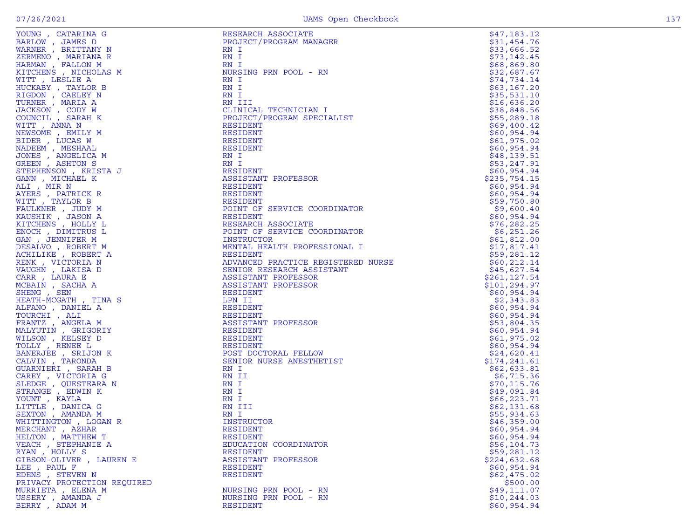| ٦ |  |
|---|--|

| LOUNG, CAIARINA G<br>BARLOW, JAMES D     | REDEARCH ADDUCIAIE<br>PROJECT/PROGRAM MANAGER                   | 77. COT 117<br>\$31,454.76  |
|------------------------------------------|-----------------------------------------------------------------|-----------------------------|
| WARNER, BRITTANY N                       | RN I                                                            | \$33,666.52                 |
| ZERMENO , MARIANA R                      | RN I                                                            | \$73,142.45                 |
| HARMAN, FALLON M                         | RN I                                                            | \$68,869.80                 |
| KITCHENS, NICHOLAS M                     | NURSING PRN POOL - RN                                           | \$32,687.67                 |
| WITT, LESLIE A                           | RN I                                                            | \$74,734.14                 |
| HUCKABY, TAYLOR B                        | RN I                                                            | \$63,167.20                 |
| RIGDON , CAELEY N                        | RN I                                                            | \$35,531.10                 |
| TURNER , MARIA A                         | RN III                                                          | \$16,636.20                 |
| JACKSON, CODY W                          | CLINICAL TECHNICIAN I                                           | \$38,848.56                 |
| COUNCIL, SARAH K                         | PROJECT/PROGRAM SPECIALIST                                      | \$55, 289.18                |
| WITT, ANNA N                             | RESIDENT                                                        | \$69,400.42                 |
| NEWSOME , EMILY M<br>BIDER, LUCAS W      | RESIDENT<br>RESIDENT                                            | \$60,954.94                 |
| NADEEM , MESHAAL                         | RESIDENT                                                        | \$61,975.02<br>\$60,954.94  |
| JONES , ANGELICA M                       | RN I                                                            | \$48,139.51                 |
| GREEN, ASHTON S                          | RN I                                                            | \$53,247.91                 |
| STEPHENSON, KRISTA J                     | RESIDENT                                                        | \$60,954.94                 |
| GANN, MICHAEL K                          | ASSISTANT PROFESSOR                                             | \$235,754.15                |
| ALI , MIR N                              | RESIDENT                                                        | \$60,954.94                 |
| AYERS, PATRICK R                         | RESIDENT                                                        | \$60,954.94                 |
| WITT, TAYLOR B                           | RESIDENT                                                        | \$59,750.80                 |
| FAULKNER, JUDY M                         | POINT OF SERVICE COORDINATOR                                    | \$9,600.40                  |
| KAUSHIK, JASON A                         | RESIDENT                                                        | \$60,954.94                 |
| KITCHENS, HOLLY L                        | RESEARCH ASSOCIATE                                              | \$76,282.25                 |
| ENOCH, DIMITRUS L                        | POINT OF SERVICE COORDINATOR                                    | \$6,251.26                  |
| GAN , JENNIFER M                         | INSTRUCTOR                                                      | \$61,812.00                 |
| DESALVO, ROBERT M                        | MENTAL HEALTH PROFESSIONAL I                                    | \$17,817.41                 |
| ACHILIKE, ROBERT A                       | RESIDENT                                                        | \$59,281.12                 |
| RENK, VICTORIA N<br>VAUGHN, LAKISA D     | ADVANCED PRACTICE REGISTERED NURSE<br>SENIOR RESEARCH ASSISTANT | \$60, 212.14<br>\$45,627.54 |
| CARR, LAURA E                            | ASSISTANT PROFESSOR                                             | \$261, 127.54               |
| MCBAIN, SACHA A                          | ASSISTANT PROFESSOR                                             | \$101,294.97                |
| SHENG , SEN                              | RESIDENT                                                        | \$60,954.94                 |
| HEATH-MCGATH, TINA S                     | LPN II                                                          | \$2,343.83                  |
| ALFANO, DANIEL A                         | RESIDENT                                                        | \$60,954.94                 |
| TOURCHI, ALI                             | RESIDENT                                                        | \$60,954.94                 |
| FRANTZ , ANGELA M                        | ASSISTANT PROFESSOR                                             | \$53,804.35                 |
| MALYUTIN, GRIGORIY                       | RESIDENT                                                        | \$60,954.94                 |
| WILSON, KELSEY D                         | RESIDENT                                                        | \$61,975.02                 |
| TOLLY, RENEE L                           | RESIDENT                                                        | \$60,954.94                 |
| BANERJEE , SRIJON K                      | POST DOCTORAL FELLOW                                            | \$24,620.41                 |
| CALVIN, TARONDA                          | SENIOR NURSE ANESTHETIST                                        | \$174,241.61                |
| GUARNIERI , SARAH B                      | RN I                                                            | \$62,633.81                 |
| CAREY, VICTORIA G                        | RN II                                                           | \$6,715.36<br>\$70, 115.76  |
| SLEDGE , QUESTEARA N<br>STRANGE, EDWIN K | RN I<br>RN I                                                    | \$49,091.84                 |
| YOUNT, KAYLA                             | RN I                                                            | \$66,223.71                 |
| LITTLE, DANICA G                         | RN III                                                          | \$62,131.68                 |
| SEXTON , AMANDA M                        | RN I                                                            | \$55,934.63                 |
| WHITTINGTON, LOGAN R                     | INSTRUCTOR                                                      | \$46,359.00                 |
| MERCHANT, AZHAR                          | RESIDENT                                                        | \$60.954.94                 |
| HELTON , MATTHEW T                       | <b>RESIDENT</b>                                                 | \$60,954.94                 |
| VEACH, STEPHANIE A                       | EDUCATION COORDINATOR                                           | \$56, 104.73                |
| RYAN, HOLLY S                            | RESIDENT                                                        | \$59,281.12                 |
| GIBSON-OLIVER , LAUREN E                 | ASSISTANT PROFESSOR                                             | \$224,632.68                |
| LEE , PAUL F                             | RESIDENT                                                        | \$60,954.94                 |
| EDENS , STEVEN N                         | RESIDENT                                                        | \$62,475.02                 |
| PRIVACY PROTECTION REQUIRED              |                                                                 | \$500.00                    |
| MURRIETA, ELENA M                        | NURSING PRN POOL - RN                                           | \$49,111.07                 |
| USSERY, AMANDA J                         | NURSING PRN POOL - RN                                           | \$10, 244.03                |
| BERRY, ADAM M                            | <b>RESIDENT</b>                                                 | \$60,954.94                 |

| YOUNG , CATARINA G                         | RESEARCH ASSOCIATE                 | \$47,183.12                 |
|--------------------------------------------|------------------------------------|-----------------------------|
| BARLOW, JAMES D                            | PROJECT/PROGRAM MANAGER            | \$31,454.76                 |
| WARNER , BRITTANY N                        | RN I                               | \$33,666.52                 |
| ZERMENO , MARIANA R                        | RN I                               | \$73,142.45                 |
| HARMAN , FALLON M                          | RN I                               | \$68,869.80                 |
| KITCHENS , NICHOLAS M                      | NURSING PRN POOL - RN              | \$32,687.67                 |
| WITT, LESLIE A                             | RN I                               | \$74,734.14                 |
| HUCKABY , TAYLOR B                         | RN I                               | \$63,167.20                 |
| RIGDON , CAELEY N                          | RN I                               | \$35,531.10                 |
| TURNER , MARIA A                           | RN III                             | \$16,636.20                 |
| JACKSON , CODY W                           | CLINICAL TECHNICIAN I              | \$38,848.56                 |
| COUNCIL , SARAH K                          | PROJECT/PROGRAM SPECIALIST         | \$55,289.18                 |
| WITT , ANNA N                              | RESIDENT                           | \$69,400.42                 |
| NEWSOME , EMILY M                          | RESIDENT                           | \$60,954.94                 |
| BIDER , LUCAS W                            | RESIDENT                           | \$61,975.02                 |
| NADEEM , MESHAAL                           | RESIDENT                           | \$60,954.94                 |
| JONES , ANGELICA M                         | RN I                               | \$48,139.51                 |
| GREEN, ASHTON S                            | RN I<br>RESIDENT                   | \$53,247.91                 |
| STEPHENSON, KRISTA J<br>GANN , MICHAEL K   | ASSISTANT PROFESSOR                | \$60,954.94                 |
|                                            | RESIDENT                           | \$235,754.15<br>\$60,954.94 |
| ALI , MIR N<br>AYERS , PATRICK R           | RESIDENT                           | \$60,954.94                 |
|                                            | RESIDENT                           | \$59,750.80                 |
| WITT , TAYLOR B<br>FAULKNER, JUDY M        | POINT OF SERVICE COORDINATOR       | \$9,600.40                  |
| KAUSHIK , JASON A                          | RESIDENT                           | \$60,954.94                 |
| KITCHENS , HOLLY L                         | RESEARCH ASSOCIATE                 | \$76, 282.25                |
| ENOCH , DIMITRUS L                         | POINT OF SERVICE COORDINATOR       | \$6,251.26                  |
| GAN , JENNIFER M                           | INSTRUCTOR                         | \$61,812.00                 |
| DESALVO, ROBERT M                          | MENTAL HEALTH PROFESSIONAL I       | \$17,817.41                 |
| ACHILIKE , ROBERT A                        | RESIDENT                           | \$59,281.12                 |
| RENK , VICTORIA N                          | ADVANCED PRACTICE REGISTERED NURSE | \$60,212.14                 |
| VAUGHN , LAKISA D                          | SENIOR RESEARCH ASSISTANT          | \$45,627.54                 |
| CARR, LAURA E                              | ASSISTANT PROFESSOR                | \$261,127.54                |
| MCBAIN , SACHA A                           | ASSISTANT PROFESSOR                | \$101,294.97                |
| SHENG, SEN                                 | RESIDENT                           | \$60,954.94                 |
| HEATH-MCGATH , TINA S                      | LPN II                             | \$2,343.83                  |
| ALFANO , DANIEL A                          | RESIDENT                           | \$60,954.94                 |
| TOURCHI, ALI                               | RESIDENT                           | \$60,954.94                 |
| FRANTZ , ANGELA M                          | ASSISTANT PROFESSOR                | \$53,804.35                 |
| MALYUTIN , GRIGORIY                        | RESIDENT                           | \$60,954.94                 |
| WILSON , KELSEY D                          | RESIDENT                           | \$61,975.02                 |
| TOLLY, RENEE L                             | RESIDENT                           | \$60,954.94                 |
| BANERJEE , SRIJON K                        | POST DOCTORAL FELLOW               | \$24,620.41                 |
| CALVIN, TARONDA                            | SENIOR NURSE ANESTHETIST           | \$174,241.61                |
| GUARNIERI , SARAH B                        | RN I                               | \$62,633.81                 |
| CAREY, VICTORIA G                          | RN II                              | \$6,715.36                  |
| SLEDGE , QUESTEARA N                       | RN I                               | \$70, 115.76                |
| STRANGE, EDWIN K                           | RN I                               | \$49,091.84                 |
| YOUNT , KAYLA                              | RN I                               | \$66,223.71                 |
| LITTLE, DANICA G                           | RN III                             | \$62,131.68                 |
| SEXTON, AMANDA M                           | RN I                               | \$55,934.63                 |
| WHITTINGTON , LOGAN R                      | <b>INSTRUCTOR</b>                  | \$46,359.00                 |
| MERCHANT , AZHAR                           | RESIDENT                           | \$60,954.94                 |
| HELTON , MATTHEW T<br>VEACH, STEPHANIE A   | RESIDENT                           | \$60,954.94                 |
|                                            | EDUCATION COORDINATOR              | \$56,104.73                 |
| RYAN , HOLLY S<br>GIBSON-OLIVER , LAUREN E | RESIDENT<br>ASSISTANT PROFESSOR    | \$59,281.12<br>\$224,632.68 |
| LEE , PAUL F                               | RESIDENT                           | \$60,954.94                 |
| EDENS , STEVEN N                           | RESIDENT                           | \$62,475.02                 |
| PRIVACY PROTECTION REQUIRED                |                                    | \$500.00                    |
| MURRIETA , ELENA M                         | NURSING PRN POOL - RN              | \$49,111.07                 |
| USSERY, AMANDA J                           | NURSING PRN POOL - RN              | \$10, 244.03                |
| $M$ MARCING $\overline{M}$                 | <b>DECTORME</b>                    | $CCD$ $QEA$ $QA$            |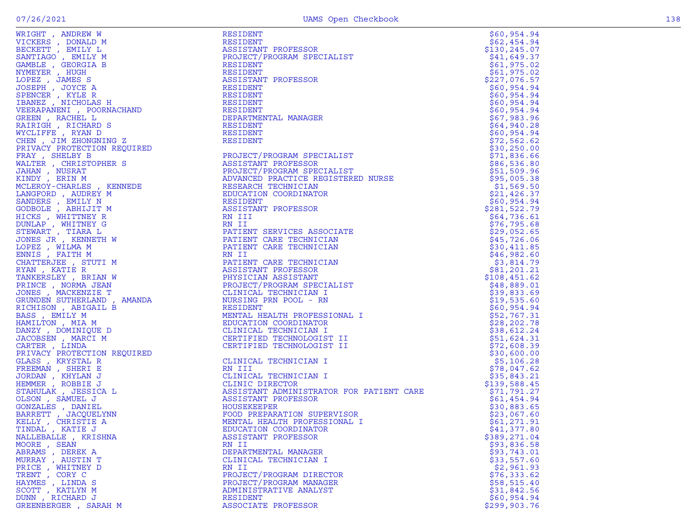|                      | WEINING AREA (WEINING 1992)<br>WEINING A SECRET A SELECTION PROFESSION SPECIALIST<br>SACRIFICAT (2001) 1997 - 2001) 1997 - 2002 - 2002 - 2002 - 2002 - 2002 - 2003 - 2003 - 2003 - 2003 - 2003 - 2003 - 2003 - 2003 - 2003 - 2003 | \$60,954.94                 |
|----------------------|-----------------------------------------------------------------------------------------------------------------------------------------------------------------------------------------------------------------------------------|-----------------------------|
|                      |                                                                                                                                                                                                                                   | \$62,454.94                 |
|                      |                                                                                                                                                                                                                                   | \$130, 245.07               |
|                      |                                                                                                                                                                                                                                   | \$41,649.37                 |
|                      |                                                                                                                                                                                                                                   | \$61,975.02                 |
|                      |                                                                                                                                                                                                                                   | \$61,975.02                 |
|                      |                                                                                                                                                                                                                                   | \$227,076.57                |
|                      |                                                                                                                                                                                                                                   | \$60,954.94                 |
|                      |                                                                                                                                                                                                                                   | \$60,954.94                 |
|                      |                                                                                                                                                                                                                                   | \$60,954.94                 |
|                      |                                                                                                                                                                                                                                   | \$60,954.94                 |
|                      |                                                                                                                                                                                                                                   | \$67,983.96                 |
|                      |                                                                                                                                                                                                                                   | \$64,940.28<br>\$60,954.94  |
|                      |                                                                                                                                                                                                                                   | \$72,562.62                 |
|                      |                                                                                                                                                                                                                                   | \$30, 250.00                |
|                      |                                                                                                                                                                                                                                   | \$71,836.66                 |
|                      |                                                                                                                                                                                                                                   | \$86,536.80                 |
|                      |                                                                                                                                                                                                                                   | \$51,509.96                 |
|                      |                                                                                                                                                                                                                                   | \$95,005.38                 |
|                      |                                                                                                                                                                                                                                   | \$1,569.50                  |
|                      |                                                                                                                                                                                                                                   | \$21,426.37                 |
|                      |                                                                                                                                                                                                                                   | \$60,954.94                 |
|                      |                                                                                                                                                                                                                                   | \$281,522.79                |
|                      |                                                                                                                                                                                                                                   | \$64,736.61                 |
|                      |                                                                                                                                                                                                                                   | \$76,795.68                 |
|                      |                                                                                                                                                                                                                                   | \$29,052.65                 |
|                      |                                                                                                                                                                                                                                   | \$45,726.06                 |
|                      |                                                                                                                                                                                                                                   | \$30,411.85                 |
|                      |                                                                                                                                                                                                                                   | \$46,982.60                 |
|                      |                                                                                                                                                                                                                                   | \$3,814.79                  |
|                      |                                                                                                                                                                                                                                   | \$81,201.21                 |
|                      |                                                                                                                                                                                                                                   | \$108,451.62                |
|                      |                                                                                                                                                                                                                                   | \$48,889.01                 |
|                      |                                                                                                                                                                                                                                   | \$39,833.69                 |
|                      |                                                                                                                                                                                                                                   | \$19,535.60                 |
|                      |                                                                                                                                                                                                                                   | \$60,954.94                 |
|                      |                                                                                                                                                                                                                                   | \$52,767.31                 |
|                      |                                                                                                                                                                                                                                   | \$28, 202.78<br>\$38,612.24 |
|                      |                                                                                                                                                                                                                                   | \$51,624.31                 |
|                      |                                                                                                                                                                                                                                   | \$72,608.39                 |
|                      |                                                                                                                                                                                                                                   | \$30,600.00                 |
|                      |                                                                                                                                                                                                                                   | \$5,106.28                  |
|                      |                                                                                                                                                                                                                                   | \$78,047.62                 |
|                      |                                                                                                                                                                                                                                   | \$35,843.21                 |
|                      |                                                                                                                                                                                                                                   | \$139,588.45                |
|                      |                                                                                                                                                                                                                                   |                             |
|                      |                                                                                                                                                                                                                                   | \$71,791.27<br>\$61,454.94  |
|                      |                                                                                                                                                                                                                                   | \$30,883.65                 |
|                      |                                                                                                                                                                                                                                   | \$23,067.60                 |
|                      |                                                                                                                                                                                                                                   | \$61,271.91                 |
| TINDAL, KATIE J      | EDUCATION COORDINATOR                                                                                                                                                                                                             | \$41,377.80                 |
| NALLEBALLE, KRISHNA  | ASSISTANT PROFESSOR                                                                                                                                                                                                               | \$389,271.04                |
| MOORE, SEAN          | RN II                                                                                                                                                                                                                             | \$93,836.58                 |
| ABRAMS, DEREK A      | DEPARTMENTAL MANAGER                                                                                                                                                                                                              | \$93,743.01                 |
| MURRAY, AUSTIN T     | CLINICAL TECHNICIAN I                                                                                                                                                                                                             | \$33,557.60                 |
| PRICE, WHITNEY D     | RN II                                                                                                                                                                                                                             | \$2,961.93                  |
| TRENT, CORY C        | PROJECT/PROGRAM DIRECTOR                                                                                                                                                                                                          | \$76,333.62                 |
| HAYMES, LINDA S      | PROJECT/PROGRAM MANAGER                                                                                                                                                                                                           | \$58,515.40                 |
| SCOTT, KATLYN M      | ADMINISTRATIVE ANALYST                                                                                                                                                                                                            | \$31,842.56                 |
| DUNN, RICHARD J      | <b>RESIDENT</b>                                                                                                                                                                                                                   | \$60,954.94                 |
| GREENBERGER, SARAH M | ASSOCIATE PROFESSOR                                                                                                                                                                                                               | \$299,903.76                |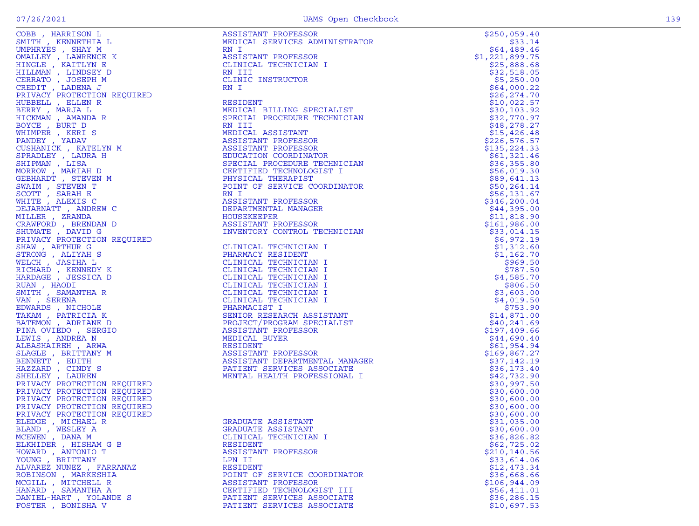| OBB , HARRISON L<br>SMITH , K <mark>ENNETHIA</mark> L                                                                                                                                                                                                          |
|----------------------------------------------------------------------------------------------------------------------------------------------------------------------------------------------------------------------------------------------------------------|
|                                                                                                                                                                                                                                                                |
|                                                                                                                                                                                                                                                                |
|                                                                                                                                                                                                                                                                |
|                                                                                                                                                                                                                                                                |
|                                                                                                                                                                                                                                                                |
|                                                                                                                                                                                                                                                                |
|                                                                                                                                                                                                                                                                |
|                                                                                                                                                                                                                                                                |
|                                                                                                                                                                                                                                                                |
|                                                                                                                                                                                                                                                                |
|                                                                                                                                                                                                                                                                |
|                                                                                                                                                                                                                                                                |
|                                                                                                                                                                                                                                                                |
|                                                                                                                                                                                                                                                                |
|                                                                                                                                                                                                                                                                |
| SMITH , KENNETHIA L<br>MPHRYES , SHAY M<br>MALLEY , LAWRENCE K<br>HINGLE , KAITLYN E<br>HILLMAN , LINDSEY D<br>CERRATO , JOSEPH M<br>CREDIT , LADENA J<br>PRIVACY PROTECTION REQUIRED<br>HUBBELL , ELLEN R<br>MENETL , MARJA L<br>MCERY , MARJA L<br>MHIMPER , |
| COSHANICA , AGILLIN<br>SPRADLEY , LAURA H<br>SHIPMAN , LISA<br>MORROW , MARIAH D<br>SEBHARDT , STEVEN M<br>WIRTHARDT , TENEN M                                                                                                                                 |
|                                                                                                                                                                                                                                                                |
|                                                                                                                                                                                                                                                                |
|                                                                                                                                                                                                                                                                |
|                                                                                                                                                                                                                                                                |
|                                                                                                                                                                                                                                                                |
|                                                                                                                                                                                                                                                                |
| NAIM , STEVEN T<br>SCOTT , SARAH E<br>VHITE , ALEXIS C                                                                                                                                                                                                         |
|                                                                                                                                                                                                                                                                |
| DEJARNATT , ANDREW C                                                                                                                                                                                                                                           |
| "<br>"ILLER", ZRANDA<br>"RAWFORD", BRENDAN D<br>"HUMATE", DAVID G<br>"RIVACY PROTECTION REQUIRED                                                                                                                                                               |
|                                                                                                                                                                                                                                                                |
|                                                                                                                                                                                                                                                                |
|                                                                                                                                                                                                                                                                |
| HAW, ARTHUR G                                                                                                                                                                                                                                                  |
| STRONG , ALIYAH S                                                                                                                                                                                                                                              |
|                                                                                                                                                                                                                                                                |
|                                                                                                                                                                                                                                                                |
| VELCH , JASIHA L<br>VELCH , JASIHA L<br>VICHARD , KENNEDY K<br>JARDAGE , JESSICA D                                                                                                                                                                             |
|                                                                                                                                                                                                                                                                |
|                                                                                                                                                                                                                                                                |
|                                                                                                                                                                                                                                                                |
| RUAN , HAODI<br>SMITH , SAMANTHA R<br>ZAN , SERENA                                                                                                                                                                                                             |
|                                                                                                                                                                                                                                                                |
| EDWARDS , NICHOLE<br>FAKAM , PATRICIA K<br>BATEMON , ADRIANE D                                                                                                                                                                                                 |
|                                                                                                                                                                                                                                                                |
|                                                                                                                                                                                                                                                                |
| PINA OVIEDO , SERGIO                                                                                                                                                                                                                                           |
| EWIS , ANDREA N                                                                                                                                                                                                                                                |
| ALBASHAIREH , ARWA                                                                                                                                                                                                                                             |
|                                                                                                                                                                                                                                                                |
| SLAGLE , BRITTANY M<br>BENNETT , EDITH                                                                                                                                                                                                                         |
|                                                                                                                                                                                                                                                                |
|                                                                                                                                                                                                                                                                |
|                                                                                                                                                                                                                                                                |
| BENNETT , EDITH<br>HAZZARD , CINDY S<br>BHELLEY , LAUREN<br>PRIVACY PROTECTION REQUIRED<br>PRIVACY PROTECTION REQUIRED<br>PRIVACY PROTECTION REQUIRED<br>PRIVACY PROTECTION REQUIRED<br>PRIVACY PROTECTION REQUIRED<br>BLEDGE , MICHAEL R<br>BLEDGE , MIC      |
|                                                                                                                                                                                                                                                                |
|                                                                                                                                                                                                                                                                |
|                                                                                                                                                                                                                                                                |
|                                                                                                                                                                                                                                                                |
|                                                                                                                                                                                                                                                                |
|                                                                                                                                                                                                                                                                |
|                                                                                                                                                                                                                                                                |
|                                                                                                                                                                                                                                                                |
| BLEDGE , MICHAEL K<br>BLAND , WESLEY A<br>CEWEN , DANA M<br>BLKHIDER , HISHAM G B<br>HOWARD , ANTONIO T<br>COUNG , BRITTANY<br>LLVAREZ NUNEZ , FARRANAZ                                                                                                        |
|                                                                                                                                                                                                                                                                |
|                                                                                                                                                                                                                                                                |
|                                                                                                                                                                                                                                                                |
|                                                                                                                                                                                                                                                                |
|                                                                                                                                                                                                                                                                |
| ROBINSON , MARKESHIA<br>ICGILL , MITCHELL R                                                                                                                                                                                                                    |
|                                                                                                                                                                                                                                                                |
| HANARD , SAMANTHA A<br>)ANIEL-HART , YOLANDE S                                                                                                                                                                                                                 |
|                                                                                                                                                                                                                                                                |
| $0.0$ mmn<br>$R = R$<br>$\frac{1}{2}$                                                                                                                                                                                                                          |

|                                                            | COMP (MASTEROM LA MERITERA MENTERANT PROFESSOR MANUAL MASTERIAN (MASTEROM 1992)<br>MERITA (MASTEROM 1992) AND ANNOUNCE IN THE CONFIDENT CONTROL AND CONFIDENT (MASTEROM 1992) (MASTEROM 1993) (MASTEROM 1993) (MASTEROM 1993) ( | \$250,059.40                 |
|------------------------------------------------------------|---------------------------------------------------------------------------------------------------------------------------------------------------------------------------------------------------------------------------------|------------------------------|
|                                                            |                                                                                                                                                                                                                                 | \$33.14                      |
|                                                            |                                                                                                                                                                                                                                 | \$64,489.46                  |
|                                                            |                                                                                                                                                                                                                                 | \$1,221,899.75               |
|                                                            |                                                                                                                                                                                                                                 | \$25,888.68                  |
|                                                            |                                                                                                                                                                                                                                 | \$32,518.05                  |
|                                                            |                                                                                                                                                                                                                                 | \$5,250.00<br>\$64,000.22    |
|                                                            |                                                                                                                                                                                                                                 | \$26, 274.70                 |
|                                                            |                                                                                                                                                                                                                                 | \$10,022.57                  |
|                                                            |                                                                                                                                                                                                                                 | \$30, 103.92                 |
|                                                            |                                                                                                                                                                                                                                 | \$32,770.97                  |
|                                                            |                                                                                                                                                                                                                                 | \$48,278.27                  |
|                                                            |                                                                                                                                                                                                                                 | \$15,426.48                  |
|                                                            |                                                                                                                                                                                                                                 | \$226,576.57                 |
|                                                            |                                                                                                                                                                                                                                 | \$135,224.33                 |
|                                                            |                                                                                                                                                                                                                                 | \$61,321.46                  |
|                                                            |                                                                                                                                                                                                                                 | \$36,355.80                  |
|                                                            |                                                                                                                                                                                                                                 | \$56,019.30                  |
|                                                            |                                                                                                                                                                                                                                 | \$89,641.13                  |
|                                                            |                                                                                                                                                                                                                                 | \$50, 264.14<br>\$56, 131.67 |
|                                                            |                                                                                                                                                                                                                                 | \$346,200.04                 |
|                                                            |                                                                                                                                                                                                                                 | \$44,395.00                  |
|                                                            |                                                                                                                                                                                                                                 | \$11,818.90                  |
|                                                            |                                                                                                                                                                                                                                 | \$161,986.00                 |
|                                                            |                                                                                                                                                                                                                                 | \$33,014.15                  |
|                                                            |                                                                                                                                                                                                                                 | \$6,972.19                   |
|                                                            |                                                                                                                                                                                                                                 | \$1,312.60                   |
|                                                            |                                                                                                                                                                                                                                 | \$1,162.70                   |
|                                                            |                                                                                                                                                                                                                                 | \$969.50                     |
|                                                            |                                                                                                                                                                                                                                 | \$787.50                     |
|                                                            |                                                                                                                                                                                                                                 | \$4,585.70                   |
|                                                            |                                                                                                                                                                                                                                 | \$806.50                     |
|                                                            |                                                                                                                                                                                                                                 | \$3,603.00<br>\$4,019.50     |
|                                                            |                                                                                                                                                                                                                                 | \$753.90                     |
|                                                            |                                                                                                                                                                                                                                 | \$14,871.00                  |
|                                                            |                                                                                                                                                                                                                                 | \$40,241.69                  |
|                                                            |                                                                                                                                                                                                                                 | \$197,409.66                 |
|                                                            |                                                                                                                                                                                                                                 | \$44,690.40                  |
|                                                            |                                                                                                                                                                                                                                 | \$61,954.94                  |
|                                                            |                                                                                                                                                                                                                                 | \$169,867.27                 |
|                                                            |                                                                                                                                                                                                                                 | \$37,142.19                  |
|                                                            |                                                                                                                                                                                                                                 | \$36,173.40                  |
|                                                            |                                                                                                                                                                                                                                 | \$42,732.90                  |
|                                                            |                                                                                                                                                                                                                                 | \$30,997.50                  |
| PRIVACY PROTECTION REQUIRED<br>PRIVACY PROTECTION REQUIRED |                                                                                                                                                                                                                                 | \$30,600.00<br>\$30,600.00   |
| PRIVACY PROTECTION REQUIRED                                |                                                                                                                                                                                                                                 | \$30,600.00                  |
| PRIVACY PROTECTION REQUIRED                                |                                                                                                                                                                                                                                 | \$30,600.00                  |
| ELEDGE , MICHAEL R                                         | GRADUATE ASSISTANT                                                                                                                                                                                                              | \$31,035.00                  |
| BLAND, WESLEY A                                            | GRADUATE ASSISTANT                                                                                                                                                                                                              | \$30,600.00                  |
| MCEWEN, DANA M                                             | CLINICAL TECHNICIAN I                                                                                                                                                                                                           | \$36,826.82                  |
| ELKHIDER, HISHAM G B                                       | RESIDENT                                                                                                                                                                                                                        | \$62,725.02                  |
| HOWARD, ANTONIO T                                          | ASSISTANT PROFESSOR                                                                                                                                                                                                             | \$210,140.56                 |
| YOUNG , BRITTANY                                           | LPN II                                                                                                                                                                                                                          | \$33,614.06                  |
| ALVAREZ NUNEZ , FARRANAZ                                   | <b>RESIDENT</b>                                                                                                                                                                                                                 | \$12,473.34                  |
| ROBINSON, MARKESHIA                                        | POINT OF SERVICE COORDINATOR                                                                                                                                                                                                    | \$36,668.66                  |
| MCGILL, MITCHELL R                                         | ASSISTANT PROFESSOR                                                                                                                                                                                                             | \$106,944.09                 |
| HANARD, SAMANTHA A                                         | CERTIFIED TECHNOLOGIST III                                                                                                                                                                                                      | \$56,411.01                  |
| DANIEL-HART , YOLANDE S                                    | PATIENT SERVICES ASSOCIATE<br>PATIENT SERVICES ASSOCIATE                                                                                                                                                                        | \$36,286.15                  |
| FOSTER , BONISHA V                                         |                                                                                                                                                                                                                                 | \$10,697.53                  |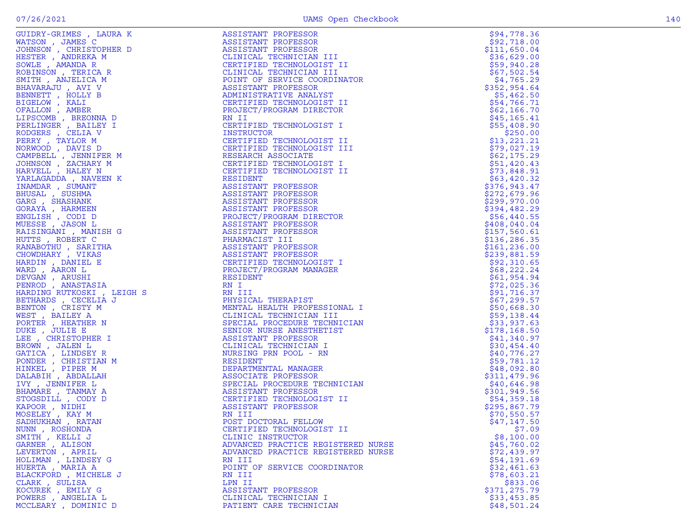| GUIDRY-GRIMES , LAURA K                                                                  | ASSISTANT PROFESSOR                                                                                                                                                                                            | \$94,778.36   |
|------------------------------------------------------------------------------------------|----------------------------------------------------------------------------------------------------------------------------------------------------------------------------------------------------------------|---------------|
| WATSON, JAMES C                                                                          | ASSISTANT PROFESSOR                                                                                                                                                                                            | \$92,718.00   |
| JOHNSON, CHRISTOPHER D                                                                   | ASSISTANT PROFESSOR<br>ASSISTANT PROFESSOR<br>CLINICAL TECHNICIAN<br>CERTIFIED TECHNOLOGI<br>CLINICAL TECHNICIAN<br>POINT OF SERVICE COO                                                                       | \$111,650.04  |
| HESTER, ANDREKA M                                                                        | CLINICAL TECHNICIAN III                                                                                                                                                                                        | \$36,629.00   |
| SOWLE, AMANDA R                                                                          | CERTIFIED TECHNOLOGIST II                                                                                                                                                                                      | \$59,940.28   |
| ROBINSON, TERICA R                                                                       | CLINICAL TECHNICIAN III                                                                                                                                                                                        | \$67,502.54   |
| SMITH , ANJELICA M                                                                       | POINT OF SERVICE COORDINATOR                                                                                                                                                                                   | \$4,765.29    |
| BHAVARAJU, AVI V                                                                         | ASSISTANT PROFESSOR                                                                                                                                                                                            | \$352,954.64  |
| BENNETT, HOLLY B                                                                         | ADMINISTRATIVE ANALYST                                                                                                                                                                                         | \$5,462.50    |
| BIGELOW, KALI                                                                            | CERTIFIED TECHNOLOGIST II                                                                                                                                                                                      | \$54,766.71   |
| OFALLON, AMBER                                                                           | PROJECT/PROGRAM DIRECTOR                                                                                                                                                                                       | \$62,166.70   |
| LIPSCOMB, BREONNA D                                                                      | RN II                                                                                                                                                                                                          | \$45, 165.41  |
| PERLINGER , BAILEY I                                                                     | CERTIFIED TECHNOLOGIST I                                                                                                                                                                                       | \$55,408.90   |
| RODGERS , CELIA V                                                                        | INSTRUCTOR                                                                                                                                                                                                     | \$250.00      |
| PERRY, TAYLOR M                                                                          | CERTIFIED TECHNOLOGIST II                                                                                                                                                                                      | \$13,221.21   |
| NORWOOD, DAVIS D                                                                         | CERTIFIED TECHNOLOGIST III                                                                                                                                                                                     | \$79,027.19   |
| CAMPBELL , JENNIFER M                                                                    | RESEARCH ASSOCIATE                                                                                                                                                                                             | \$62,175.29   |
| JOHNSON, ZACHARY M                                                                       | CERTIFIED TECHNOLOGIST I                                                                                                                                                                                       | \$51,420.43   |
| HARVELL, HALEY N                                                                         | CERTIFIED TECHNOLOGIST II                                                                                                                                                                                      | \$73,848.91   |
| YARLAGADDA , NAVEEN K                                                                    | RESIDENT                                                                                                                                                                                                       | \$63,420.32   |
| INAMDAR, SUMANT                                                                          | ASSISTANT PROFESSOR                                                                                                                                                                                            | \$376,943.47  |
| BHUSAL, SUSHMA                                                                           | ASSISTANT PROFESSOR                                                                                                                                                                                            | \$272,679.96  |
| GARG, SHASHANK                                                                           | ASSISTANT PROFESSOR                                                                                                                                                                                            | \$299,970.00  |
| GORAYA, HARMEEN                                                                          | ASSISTANT PROFESSOR                                                                                                                                                                                            | \$394,482.29  |
| ENGLISH, CODI D                                                                          | PROJECT/PROGRAM DIRECTOR                                                                                                                                                                                       | \$56,440.55   |
| MUESSE , JASON L                                                                         |                                                                                                                                                                                                                | \$408,040.04  |
| RAISINGANI , MANISH G                                                                    |                                                                                                                                                                                                                | \$157,560.61  |
| HUTTS, ROBERT C                                                                          |                                                                                                                                                                                                                | \$136, 286.35 |
| RANABOTHU, SARITHA                                                                       |                                                                                                                                                                                                                | \$161, 236.00 |
| CHOWDHARY , VIKAS                                                                        |                                                                                                                                                                                                                | \$239,881.59  |
| HARDIN, DANIEL E                                                                         | CERTIFIED TECHNOLOGIST I                                                                                                                                                                                       | \$92,310.65   |
| THA<br>S<br>I<br>A<br>, LEIGH S<br>A<br>N<br>N<br>R<br>T<br>R<br>Y<br>L<br>WARD, AARON L | PROJECT<br>ASSISTANT .<br>ASSISTANT PROFESSOR<br>PHARMACIST III<br>ASSISTANT PROFESSOR<br>ASSISTANT PROFESSOR<br>CERTIFIED TECHNOLOG.<br>PROJECT/PROGRAM MAN<br>RESIDENT<br>RN I TT<br>PROJECT/PROGRAM MANAGER | \$68,222.24   |
| DEVGAN, ARUSHI                                                                           |                                                                                                                                                                                                                | \$61,954.94   |
| PENROD, ANASTASIA                                                                        |                                                                                                                                                                                                                | \$72,025.36   |
| HARDING RUTKOSKI , LEIGH S                                                               |                                                                                                                                                                                                                | \$91,716.37   |
| BETHARDS , CECELIA J                                                                     | PHYSICAL THERAPIST                                                                                                                                                                                             | \$67,299.57   |
| BENTON , CRISTY M                                                                        | MENTAL HEALTH PROFESSIONAL I                                                                                                                                                                                   | \$50,668.30   |
| WEST, BAILEY A                                                                           | CLINICAL TECHNICIAN III                                                                                                                                                                                        | \$59,138.44   |
| PORTER, HEATHER N                                                                        | SPECIAL PROCEDURE TECHNICIAN                                                                                                                                                                                   | \$33,937.63   |
| DUKE, JULIE E                                                                            | SENIOR NURSE ANESTHETIST                                                                                                                                                                                       | \$178,168.50  |
| LEE , CHRISTOPHER I                                                                      | ASSISTANT PROFESSOR                                                                                                                                                                                            | \$41,340.97   |
| BROWN, JALEN L                                                                           | CLINICAL TECHNICIAN I                                                                                                                                                                                          | \$30,454.40   |
| GATICA, LINDSEY R                                                                        | NURSING PRN POOL - RN                                                                                                                                                                                          | \$40,776.27   |
| PONDER , CHRISTIAN M                                                                     | RESIDENT                                                                                                                                                                                                       | \$59,781.12   |
| HINKEL , PIPER M                                                                         | DEPARTMENTAL MANAGER                                                                                                                                                                                           | \$48,092.80   |
| DALABIH, ABDALLAH                                                                        | ASSOCIATE PROFESSOR                                                                                                                                                                                            | \$311,479.96  |
| IVY, JENNIFER L                                                                          | SPECIAL PROCEDURE TECHNICIAN                                                                                                                                                                                   | \$40,646.98   |
| BHAMARE, TANMAY A                                                                        | ASSISTANT PROFESSOR                                                                                                                                                                                            | \$301, 949.56 |
| STOGSDILL , CODY D                                                                       | CERTIFIED TECHNOLOGIST II                                                                                                                                                                                      | \$54,359.18   |
| KAPOOR, NIDHI                                                                            | ASSISTANT PROFESSOR                                                                                                                                                                                            | \$295,867.79  |
| MOSELEY, KAY M                                                                           | RN III                                                                                                                                                                                                         | \$70,550.57   |
| SADHUKHAN, RATAN                                                                         | POST DOCTORAL FELLOW                                                                                                                                                                                           | \$47,147.50   |
| NUNN, ROSHONDA                                                                           | CERTIFIED TECHNOLOGIST II                                                                                                                                                                                      | \$7.09        |
| SMITH, KELLI J                                                                           | CLINIC INSTRUCTOR                                                                                                                                                                                              | \$8,100.00    |
| GARNER , ALISON                                                                          | ADVANCED PRACTICE REGISTERED NURSE                                                                                                                                                                             | \$45,760.02   |
| LEVERTON, APRIL                                                                          | ADVANCED PRACTICE REGISTERED NURSE                                                                                                                                                                             | \$72,439.97   |
| HOLIMAN, LINDSEY G                                                                       | RN III                                                                                                                                                                                                         | \$54,191.69   |
| HUERTA, MARIA A                                                                          | POINT OF SERVICE COORDINATOR                                                                                                                                                                                   | \$32,461.63   |
| BLACKFORD, MICHELE J                                                                     | RN III                                                                                                                                                                                                         | \$78,603.21   |
| CLARK, SULISA                                                                            | LPN II                                                                                                                                                                                                         | \$833.06      |
| KOCUREK, EMILY G                                                                         | ASSISTANT PROFESSOR                                                                                                                                                                                            | \$371,275.79  |
| POWERS , ANGELIA L                                                                       | CLINICAL TECHNICIAN I                                                                                                                                                                                          | \$33,453.85   |
| MCCLEARY, DOMINIC D                                                                      | PATIENT CARE TECHNICIAN                                                                                                                                                                                        | \$48,501.24   |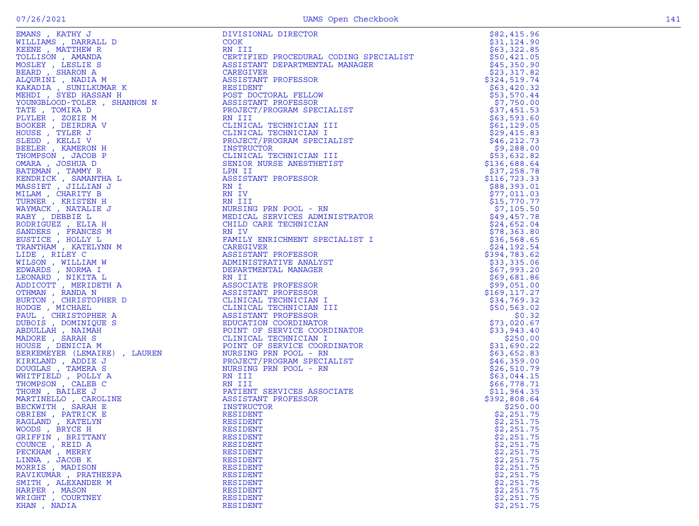| EMANS, KATHY J               | DIVISIONAL DIRECTOR                         | \$82,415.96   |
|------------------------------|---------------------------------------------|---------------|
| WILLIAMS, DARRALL D          | <b>COOK</b>                                 | \$31,124.90   |
| KEENE, MATTHEW R             | RN III                                      | \$63,322.85   |
| TOLLISON, AMANDA             | CERTIFIED PROCEDURAL CODING SPECIALIST      | \$50,421.05   |
| MOSLEY, LESLIE S             | ASSISTANT DEPARTMENTAL MANAGER              | \$45,350.90   |
| BEARD, SHARON A              | CAREGIVER                                   | \$23,317.82   |
| ALQURINI , NADIA M           | ASSISTANT PROFESSOR                         | \$324,519.74  |
| KAKADIA , SUNILKUMAR K       | RESIDENT                                    | \$63,420.32   |
| MEHDI , SYED HASSAN H        |                                             | \$53,570.44   |
| YOUNGBLOOD-TOLER , SHANNON N | POST DOCTORAL FELLOW<br>ASSISTANT PROFESSOR | \$7,750.00    |
| TATE, TOMIKA D               | PROJECT/PROGRAM SPECIALIST                  | \$37,451.53   |
| PLYLER, ZOEIE M              | RN III                                      | \$63,593.60   |
| BOOKER , DEIRDRA V           | CLINICAL TECHNICIAN III                     | \$61,129.05   |
| HOUSE, TYLER J               | CLINICAL TECHNICIAN I                       | \$29,415.83   |
| SLEDD, KELLI V               | PROJECT/PROGRAM SPECIALIST                  | \$46, 212.73  |
| BEELER , KAMERON H           | INSTRUCTOR                                  | \$9,288.00    |
| THOMPSON, JACOB P            | CLINICAL TECHNICIAN III                     | \$53,632.82   |
| OMARA, JOSHUA D              | SENIOR NURSE ANESTHETIST                    | \$136,688.64  |
| BATEMAN , TAMMY R            | LPN II                                      | \$37,258.78   |
| KENDRICK, SAMANTHA L         | ASSISTANT PROFESSOR                         | \$116,723.33  |
| MASSIET , JILLIAN J          | RN I                                        | \$88,393.01   |
| MILAM, CHARITY B             | RN IV                                       | \$77,011.03   |
| TURNER, KRISTEN H            | RN III                                      | \$15,770.77   |
| WAYMACK, NATALIE J           | NURSING PRN POOL - RN                       | \$7,105.50    |
| RABY, DEBBIE L               | MEDICAL SERVICES ADMINISTRATOR              | \$49,457.78   |
| RODRIGUEZ, ELIA H            | CHILD CARE TECHNICIAN                       | \$24,652.04   |
| SANDERS, FRANCES M           | RN IV                                       | \$78,363.80   |
| EUSTICE, HOLLY L             | FAMILY ENRICHMENT SPECIALIST I              | \$36,568.65   |
| TRANTHAM, KATELYNN M         | CAREGIVER                                   | \$24,192.54   |
| LIDE, RILEY C                | ASSISTANT PROFESSOR                         | \$394,783.62  |
| WILSON, WILLIAM W            | ADMINISTRATIVE ANALYST                      | \$33,335.06   |
| EDWARDS , NORMA I            | DEPARTMENTAL MANAGER                        | \$67,993.20   |
| LEONARD, NIKITA L            | RN II                                       | \$69,681.86   |
| ADDICOTT, MERIDETH A         | ASSOCIATE PROFESSOR                         | \$99,051.00   |
| OTHMAN, RANDA N              | ASSISTANT PROFESSOR                         | \$169, 117.27 |
| BURTON, CHRISTOPHER D        | CLINICAL TECHNICIAN I                       | \$34,769.32   |
| HODGE, MICHAEL               | CLINICAL TECHNICIAN III                     | \$50,563.02   |
| PAUL, CHRISTOPHER A          | ASSISTANT PROFESSOR                         | \$0.32        |
| DUBOIS, DOMINIQUE S          | EDUCATION COORDINATOR                       | \$73,020.67   |
| ABDULLAH , NAIMAH            | POINT OF SERVICE COORDINATOR                | \$33,943.40   |
| MADORE, SARAH S              | CLINICAL TECHNICIAN I                       | \$250.00      |
| HOUSE, DENICIA M             | POINT OF SERVICE COORDINATOR                | \$31,690.22   |
| BERKEMEYER (LEMAIRE), LAUREN | NURSING PRN POOL - RN                       | \$63,652.83   |
| KIRKLAND, ADDIE J            | PROJECT/PROGRAM SPECIALIST                  | \$46,359.00   |
| DOUGLAS, TAMERA S            | NURSING PRN POOL - RN                       | \$26,510.79   |
| WHITFIELD, POLLY A           | RN III                                      | \$63,044.15   |
| THOMPSON, CALEB C            | RN III                                      | \$66,778.71   |
| THORN, BAILEE J              | PATIENT SERVICES ASSOCIATE                  | \$11,964.35   |
| MARTINELLO, CAROLINE         | ASSISTANT PROFESSOR                         | \$392,808.64  |
| BECKWITH, SARAH E            | INSTRUCTOR                                  | \$250.00      |
| OBRIEN, PATRICK E            | RESIDENT                                    | \$2,251.75    |
| RAGLAND, KATELYN             | RESIDENT                                    | \$2,251.75    |
| WOODS, BRYCE H               | RESIDENT                                    | \$2,251.75    |
| GRIFFIN, BRITTANY            | RESIDENT                                    | \$2,251.75    |
| COUNCE, REID A               | RESIDENT                                    | \$2,251.75    |
| PECKHAM, MERRY               | RESIDENT                                    | \$2,251.75    |
| LINNA, JACOB K               | RESIDENT                                    | \$2,251.75    |
| MORRIS, MADISON              | RESIDENT                                    | \$2,251.75    |
| RAVIKUMAR, PRATHEEPA         | RESIDENT                                    | \$2,251.75    |
| SMITH, ALEXANDER M           | RESIDENT                                    | \$2,251.75    |
| HARPER, MASON                | RESIDENT                                    | \$2,251.75    |
| WRIGHT , COURTNEY            | RESIDENT                                    | \$2,251.75    |
| KHAN, NADIA                  | <b>RESIDENT</b>                             | \$2,251.75    |
|                              |                                             |               |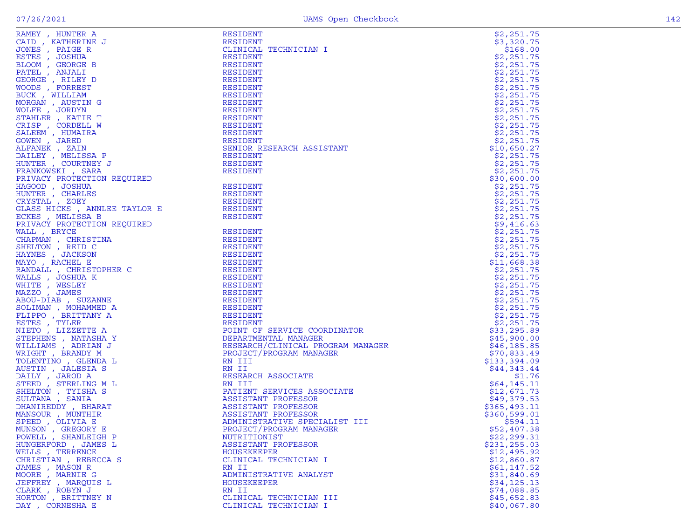| RAMEY , HUNTER A<br>RESIDENT<br>CAID , KATHERINE J<br>JONES , PAIGE R<br>ESTES , JOSHUA<br>BLOOM , GEORGE B<br>RESIDENT<br>PATEL , ANJALI<br>MORGE , RILEY D<br>RESIDENT<br>RESIDENT<br>RESIDENT<br>NONDS , FORREST RESIDENT<br>RESIDENT<br>NONDS , FORRES<br>CLINICAL TECHNICIAN I<br>\$168.00<br>\$2,251.75<br>\$2,251.75<br>\$2,251.75<br>\$2,251.75<br>\$2,251.75<br>\$2,251.75<br>\$2,251.75<br>\$2,251.75<br>\$2,251.75<br>\$2,251.75<br>\$2,251.75<br>\$2,251.75<br>SENIOR RESEARCH ASSISTANT<br>\$10,650.27<br>\$2,251.75<br>\$2,251.75<br>\$2,251.75<br>\$30,600.00<br>FRANKWEY, SARK WESTLEM TRANSPORT IN THE TRANSPORT OSSESS AND RESIDENT HARD RESIDENT HOWER IN THE TRANSPORT ON BROWN THE STATISTIC RESIDENT ON A RESIDENT TO THE STATISTIC RESIDENT TO THE STATISTIC RESIDENT TO THE STATISTIC<br>\$2,251.75<br>\$2,251.75<br>\$2,251.75<br>\$2,251.75<br>\$2,251.75<br>\$9,416.63<br>\$2,251.75<br>\$2,251.75<br>\$2,251.75<br>\$2,251.75<br>\$11,668.38<br>\$2,251.75<br>\$2,251.75<br>\$2,251.75<br>\$2,251.75<br>\$2,251.75<br>\$2,251.75<br>\$2,251.75<br>\$2,251.75<br>\$33,295.89<br>\$45,900.00<br>\$46,185.85<br>\$70,833.49<br>\$133,394.09<br>\$44,343.44<br>\$1.76<br>\$64,145.11<br>\$12,671.73<br>\$49,379.53<br>\$365,493.11<br>\$360,599.01<br>\$594.11<br>\$52,407.38<br>MUNSON, GREGORY E<br>PROJECT/PROGRAM MANAGER<br>POWELL, SHANLEIGH P<br>\$22, 299.31<br>NUTRITIONIST<br>HUNGERFORD, JAMES L<br>\$231,255.03<br>ASSISTANT PROFESSOR<br>WELLS , TERRENCE<br>\$12,495.92<br>HOUSEKEEPER<br>CHRISTIAN, REBECCA S<br>CLINICAL TECHNICIAN I<br>\$12,860.87<br>JAMES , MASON R<br>\$61,147.52<br>RN II<br>MOORE, MARNIE G<br>ADMINISTRATIVE ANALYST<br>\$31,840.69<br>JEFFREY, MARQUIS L<br>HOUSEKEEPER<br>\$34,125.13<br>CLARK, ROBYN J<br>RN II<br>\$74,088.85<br>HORTON, BRITTNEY N<br>CLINICAL TECHNICIAN III<br>\$45,652.83<br>DAY, CORNESHA E<br>\$40,067.80<br>CLINICAL TECHNICIAN I |  | \$2,251.75 |
|------------------------------------------------------------------------------------------------------------------------------------------------------------------------------------------------------------------------------------------------------------------------------------------------------------------------------------------------------------------------------------------------------------------------------------------------------------------------------------------------------------------------------------------------------------------------------------------------------------------------------------------------------------------------------------------------------------------------------------------------------------------------------------------------------------------------------------------------------------------------------------------------------------------------------------------------------------------------------------------------------------------------------------------------------------------------------------------------------------------------------------------------------------------------------------------------------------------------------------------------------------------------------------------------------------------------------------------------------------------------------------------------------------------------------------------------------------------------------------------------------------------------------------------------------------------------------------------------------------------------------------------------------------------------------------------------------------------------------------------------------------------------------------------------------------------------------------------------------------------------------------------------------------------------------|--|------------|
|                                                                                                                                                                                                                                                                                                                                                                                                                                                                                                                                                                                                                                                                                                                                                                                                                                                                                                                                                                                                                                                                                                                                                                                                                                                                                                                                                                                                                                                                                                                                                                                                                                                                                                                                                                                                                                                                                                                              |  | \$3,320.75 |
|                                                                                                                                                                                                                                                                                                                                                                                                                                                                                                                                                                                                                                                                                                                                                                                                                                                                                                                                                                                                                                                                                                                                                                                                                                                                                                                                                                                                                                                                                                                                                                                                                                                                                                                                                                                                                                                                                                                              |  |            |
|                                                                                                                                                                                                                                                                                                                                                                                                                                                                                                                                                                                                                                                                                                                                                                                                                                                                                                                                                                                                                                                                                                                                                                                                                                                                                                                                                                                                                                                                                                                                                                                                                                                                                                                                                                                                                                                                                                                              |  |            |
|                                                                                                                                                                                                                                                                                                                                                                                                                                                                                                                                                                                                                                                                                                                                                                                                                                                                                                                                                                                                                                                                                                                                                                                                                                                                                                                                                                                                                                                                                                                                                                                                                                                                                                                                                                                                                                                                                                                              |  |            |
|                                                                                                                                                                                                                                                                                                                                                                                                                                                                                                                                                                                                                                                                                                                                                                                                                                                                                                                                                                                                                                                                                                                                                                                                                                                                                                                                                                                                                                                                                                                                                                                                                                                                                                                                                                                                                                                                                                                              |  |            |
|                                                                                                                                                                                                                                                                                                                                                                                                                                                                                                                                                                                                                                                                                                                                                                                                                                                                                                                                                                                                                                                                                                                                                                                                                                                                                                                                                                                                                                                                                                                                                                                                                                                                                                                                                                                                                                                                                                                              |  |            |
|                                                                                                                                                                                                                                                                                                                                                                                                                                                                                                                                                                                                                                                                                                                                                                                                                                                                                                                                                                                                                                                                                                                                                                                                                                                                                                                                                                                                                                                                                                                                                                                                                                                                                                                                                                                                                                                                                                                              |  |            |
|                                                                                                                                                                                                                                                                                                                                                                                                                                                                                                                                                                                                                                                                                                                                                                                                                                                                                                                                                                                                                                                                                                                                                                                                                                                                                                                                                                                                                                                                                                                                                                                                                                                                                                                                                                                                                                                                                                                              |  |            |
|                                                                                                                                                                                                                                                                                                                                                                                                                                                                                                                                                                                                                                                                                                                                                                                                                                                                                                                                                                                                                                                                                                                                                                                                                                                                                                                                                                                                                                                                                                                                                                                                                                                                                                                                                                                                                                                                                                                              |  |            |
|                                                                                                                                                                                                                                                                                                                                                                                                                                                                                                                                                                                                                                                                                                                                                                                                                                                                                                                                                                                                                                                                                                                                                                                                                                                                                                                                                                                                                                                                                                                                                                                                                                                                                                                                                                                                                                                                                                                              |  |            |
|                                                                                                                                                                                                                                                                                                                                                                                                                                                                                                                                                                                                                                                                                                                                                                                                                                                                                                                                                                                                                                                                                                                                                                                                                                                                                                                                                                                                                                                                                                                                                                                                                                                                                                                                                                                                                                                                                                                              |  |            |
|                                                                                                                                                                                                                                                                                                                                                                                                                                                                                                                                                                                                                                                                                                                                                                                                                                                                                                                                                                                                                                                                                                                                                                                                                                                                                                                                                                                                                                                                                                                                                                                                                                                                                                                                                                                                                                                                                                                              |  |            |
|                                                                                                                                                                                                                                                                                                                                                                                                                                                                                                                                                                                                                                                                                                                                                                                                                                                                                                                                                                                                                                                                                                                                                                                                                                                                                                                                                                                                                                                                                                                                                                                                                                                                                                                                                                                                                                                                                                                              |  |            |
|                                                                                                                                                                                                                                                                                                                                                                                                                                                                                                                                                                                                                                                                                                                                                                                                                                                                                                                                                                                                                                                                                                                                                                                                                                                                                                                                                                                                                                                                                                                                                                                                                                                                                                                                                                                                                                                                                                                              |  |            |
|                                                                                                                                                                                                                                                                                                                                                                                                                                                                                                                                                                                                                                                                                                                                                                                                                                                                                                                                                                                                                                                                                                                                                                                                                                                                                                                                                                                                                                                                                                                                                                                                                                                                                                                                                                                                                                                                                                                              |  |            |
|                                                                                                                                                                                                                                                                                                                                                                                                                                                                                                                                                                                                                                                                                                                                                                                                                                                                                                                                                                                                                                                                                                                                                                                                                                                                                                                                                                                                                                                                                                                                                                                                                                                                                                                                                                                                                                                                                                                              |  |            |
|                                                                                                                                                                                                                                                                                                                                                                                                                                                                                                                                                                                                                                                                                                                                                                                                                                                                                                                                                                                                                                                                                                                                                                                                                                                                                                                                                                                                                                                                                                                                                                                                                                                                                                                                                                                                                                                                                                                              |  |            |
|                                                                                                                                                                                                                                                                                                                                                                                                                                                                                                                                                                                                                                                                                                                                                                                                                                                                                                                                                                                                                                                                                                                                                                                                                                                                                                                                                                                                                                                                                                                                                                                                                                                                                                                                                                                                                                                                                                                              |  |            |
|                                                                                                                                                                                                                                                                                                                                                                                                                                                                                                                                                                                                                                                                                                                                                                                                                                                                                                                                                                                                                                                                                                                                                                                                                                                                                                                                                                                                                                                                                                                                                                                                                                                                                                                                                                                                                                                                                                                              |  |            |
|                                                                                                                                                                                                                                                                                                                                                                                                                                                                                                                                                                                                                                                                                                                                                                                                                                                                                                                                                                                                                                                                                                                                                                                                                                                                                                                                                                                                                                                                                                                                                                                                                                                                                                                                                                                                                                                                                                                              |  |            |
|                                                                                                                                                                                                                                                                                                                                                                                                                                                                                                                                                                                                                                                                                                                                                                                                                                                                                                                                                                                                                                                                                                                                                                                                                                                                                                                                                                                                                                                                                                                                                                                                                                                                                                                                                                                                                                                                                                                              |  |            |
|                                                                                                                                                                                                                                                                                                                                                                                                                                                                                                                                                                                                                                                                                                                                                                                                                                                                                                                                                                                                                                                                                                                                                                                                                                                                                                                                                                                                                                                                                                                                                                                                                                                                                                                                                                                                                                                                                                                              |  |            |
|                                                                                                                                                                                                                                                                                                                                                                                                                                                                                                                                                                                                                                                                                                                                                                                                                                                                                                                                                                                                                                                                                                                                                                                                                                                                                                                                                                                                                                                                                                                                                                                                                                                                                                                                                                                                                                                                                                                              |  |            |
|                                                                                                                                                                                                                                                                                                                                                                                                                                                                                                                                                                                                                                                                                                                                                                                                                                                                                                                                                                                                                                                                                                                                                                                                                                                                                                                                                                                                                                                                                                                                                                                                                                                                                                                                                                                                                                                                                                                              |  |            |
|                                                                                                                                                                                                                                                                                                                                                                                                                                                                                                                                                                                                                                                                                                                                                                                                                                                                                                                                                                                                                                                                                                                                                                                                                                                                                                                                                                                                                                                                                                                                                                                                                                                                                                                                                                                                                                                                                                                              |  |            |
|                                                                                                                                                                                                                                                                                                                                                                                                                                                                                                                                                                                                                                                                                                                                                                                                                                                                                                                                                                                                                                                                                                                                                                                                                                                                                                                                                                                                                                                                                                                                                                                                                                                                                                                                                                                                                                                                                                                              |  |            |
|                                                                                                                                                                                                                                                                                                                                                                                                                                                                                                                                                                                                                                                                                                                                                                                                                                                                                                                                                                                                                                                                                                                                                                                                                                                                                                                                                                                                                                                                                                                                                                                                                                                                                                                                                                                                                                                                                                                              |  |            |
|                                                                                                                                                                                                                                                                                                                                                                                                                                                                                                                                                                                                                                                                                                                                                                                                                                                                                                                                                                                                                                                                                                                                                                                                                                                                                                                                                                                                                                                                                                                                                                                                                                                                                                                                                                                                                                                                                                                              |  |            |
|                                                                                                                                                                                                                                                                                                                                                                                                                                                                                                                                                                                                                                                                                                                                                                                                                                                                                                                                                                                                                                                                                                                                                                                                                                                                                                                                                                                                                                                                                                                                                                                                                                                                                                                                                                                                                                                                                                                              |  |            |
|                                                                                                                                                                                                                                                                                                                                                                                                                                                                                                                                                                                                                                                                                                                                                                                                                                                                                                                                                                                                                                                                                                                                                                                                                                                                                                                                                                                                                                                                                                                                                                                                                                                                                                                                                                                                                                                                                                                              |  |            |
|                                                                                                                                                                                                                                                                                                                                                                                                                                                                                                                                                                                                                                                                                                                                                                                                                                                                                                                                                                                                                                                                                                                                                                                                                                                                                                                                                                                                                                                                                                                                                                                                                                                                                                                                                                                                                                                                                                                              |  |            |
|                                                                                                                                                                                                                                                                                                                                                                                                                                                                                                                                                                                                                                                                                                                                                                                                                                                                                                                                                                                                                                                                                                                                                                                                                                                                                                                                                                                                                                                                                                                                                                                                                                                                                                                                                                                                                                                                                                                              |  |            |
|                                                                                                                                                                                                                                                                                                                                                                                                                                                                                                                                                                                                                                                                                                                                                                                                                                                                                                                                                                                                                                                                                                                                                                                                                                                                                                                                                                                                                                                                                                                                                                                                                                                                                                                                                                                                                                                                                                                              |  |            |
|                                                                                                                                                                                                                                                                                                                                                                                                                                                                                                                                                                                                                                                                                                                                                                                                                                                                                                                                                                                                                                                                                                                                                                                                                                                                                                                                                                                                                                                                                                                                                                                                                                                                                                                                                                                                                                                                                                                              |  |            |
|                                                                                                                                                                                                                                                                                                                                                                                                                                                                                                                                                                                                                                                                                                                                                                                                                                                                                                                                                                                                                                                                                                                                                                                                                                                                                                                                                                                                                                                                                                                                                                                                                                                                                                                                                                                                                                                                                                                              |  |            |
|                                                                                                                                                                                                                                                                                                                                                                                                                                                                                                                                                                                                                                                                                                                                                                                                                                                                                                                                                                                                                                                                                                                                                                                                                                                                                                                                                                                                                                                                                                                                                                                                                                                                                                                                                                                                                                                                                                                              |  |            |
|                                                                                                                                                                                                                                                                                                                                                                                                                                                                                                                                                                                                                                                                                                                                                                                                                                                                                                                                                                                                                                                                                                                                                                                                                                                                                                                                                                                                                                                                                                                                                                                                                                                                                                                                                                                                                                                                                                                              |  |            |
|                                                                                                                                                                                                                                                                                                                                                                                                                                                                                                                                                                                                                                                                                                                                                                                                                                                                                                                                                                                                                                                                                                                                                                                                                                                                                                                                                                                                                                                                                                                                                                                                                                                                                                                                                                                                                                                                                                                              |  |            |
|                                                                                                                                                                                                                                                                                                                                                                                                                                                                                                                                                                                                                                                                                                                                                                                                                                                                                                                                                                                                                                                                                                                                                                                                                                                                                                                                                                                                                                                                                                                                                                                                                                                                                                                                                                                                                                                                                                                              |  |            |
|                                                                                                                                                                                                                                                                                                                                                                                                                                                                                                                                                                                                                                                                                                                                                                                                                                                                                                                                                                                                                                                                                                                                                                                                                                                                                                                                                                                                                                                                                                                                                                                                                                                                                                                                                                                                                                                                                                                              |  |            |
|                                                                                                                                                                                                                                                                                                                                                                                                                                                                                                                                                                                                                                                                                                                                                                                                                                                                                                                                                                                                                                                                                                                                                                                                                                                                                                                                                                                                                                                                                                                                                                                                                                                                                                                                                                                                                                                                                                                              |  |            |
|                                                                                                                                                                                                                                                                                                                                                                                                                                                                                                                                                                                                                                                                                                                                                                                                                                                                                                                                                                                                                                                                                                                                                                                                                                                                                                                                                                                                                                                                                                                                                                                                                                                                                                                                                                                                                                                                                                                              |  |            |
|                                                                                                                                                                                                                                                                                                                                                                                                                                                                                                                                                                                                                                                                                                                                                                                                                                                                                                                                                                                                                                                                                                                                                                                                                                                                                                                                                                                                                                                                                                                                                                                                                                                                                                                                                                                                                                                                                                                              |  |            |
|                                                                                                                                                                                                                                                                                                                                                                                                                                                                                                                                                                                                                                                                                                                                                                                                                                                                                                                                                                                                                                                                                                                                                                                                                                                                                                                                                                                                                                                                                                                                                                                                                                                                                                                                                                                                                                                                                                                              |  |            |
|                                                                                                                                                                                                                                                                                                                                                                                                                                                                                                                                                                                                                                                                                                                                                                                                                                                                                                                                                                                                                                                                                                                                                                                                                                                                                                                                                                                                                                                                                                                                                                                                                                                                                                                                                                                                                                                                                                                              |  |            |
|                                                                                                                                                                                                                                                                                                                                                                                                                                                                                                                                                                                                                                                                                                                                                                                                                                                                                                                                                                                                                                                                                                                                                                                                                                                                                                                                                                                                                                                                                                                                                                                                                                                                                                                                                                                                                                                                                                                              |  |            |
|                                                                                                                                                                                                                                                                                                                                                                                                                                                                                                                                                                                                                                                                                                                                                                                                                                                                                                                                                                                                                                                                                                                                                                                                                                                                                                                                                                                                                                                                                                                                                                                                                                                                                                                                                                                                                                                                                                                              |  |            |
|                                                                                                                                                                                                                                                                                                                                                                                                                                                                                                                                                                                                                                                                                                                                                                                                                                                                                                                                                                                                                                                                                                                                                                                                                                                                                                                                                                                                                                                                                                                                                                                                                                                                                                                                                                                                                                                                                                                              |  |            |
|                                                                                                                                                                                                                                                                                                                                                                                                                                                                                                                                                                                                                                                                                                                                                                                                                                                                                                                                                                                                                                                                                                                                                                                                                                                                                                                                                                                                                                                                                                                                                                                                                                                                                                                                                                                                                                                                                                                              |  |            |
|                                                                                                                                                                                                                                                                                                                                                                                                                                                                                                                                                                                                                                                                                                                                                                                                                                                                                                                                                                                                                                                                                                                                                                                                                                                                                                                                                                                                                                                                                                                                                                                                                                                                                                                                                                                                                                                                                                                              |  |            |
|                                                                                                                                                                                                                                                                                                                                                                                                                                                                                                                                                                                                                                                                                                                                                                                                                                                                                                                                                                                                                                                                                                                                                                                                                                                                                                                                                                                                                                                                                                                                                                                                                                                                                                                                                                                                                                                                                                                              |  |            |
|                                                                                                                                                                                                                                                                                                                                                                                                                                                                                                                                                                                                                                                                                                                                                                                                                                                                                                                                                                                                                                                                                                                                                                                                                                                                                                                                                                                                                                                                                                                                                                                                                                                                                                                                                                                                                                                                                                                              |  |            |
|                                                                                                                                                                                                                                                                                                                                                                                                                                                                                                                                                                                                                                                                                                                                                                                                                                                                                                                                                                                                                                                                                                                                                                                                                                                                                                                                                                                                                                                                                                                                                                                                                                                                                                                                                                                                                                                                                                                              |  |            |
|                                                                                                                                                                                                                                                                                                                                                                                                                                                                                                                                                                                                                                                                                                                                                                                                                                                                                                                                                                                                                                                                                                                                                                                                                                                                                                                                                                                                                                                                                                                                                                                                                                                                                                                                                                                                                                                                                                                              |  |            |
|                                                                                                                                                                                                                                                                                                                                                                                                                                                                                                                                                                                                                                                                                                                                                                                                                                                                                                                                                                                                                                                                                                                                                                                                                                                                                                                                                                                                                                                                                                                                                                                                                                                                                                                                                                                                                                                                                                                              |  |            |
|                                                                                                                                                                                                                                                                                                                                                                                                                                                                                                                                                                                                                                                                                                                                                                                                                                                                                                                                                                                                                                                                                                                                                                                                                                                                                                                                                                                                                                                                                                                                                                                                                                                                                                                                                                                                                                                                                                                              |  |            |
|                                                                                                                                                                                                                                                                                                                                                                                                                                                                                                                                                                                                                                                                                                                                                                                                                                                                                                                                                                                                                                                                                                                                                                                                                                                                                                                                                                                                                                                                                                                                                                                                                                                                                                                                                                                                                                                                                                                              |  |            |
|                                                                                                                                                                                                                                                                                                                                                                                                                                                                                                                                                                                                                                                                                                                                                                                                                                                                                                                                                                                                                                                                                                                                                                                                                                                                                                                                                                                                                                                                                                                                                                                                                                                                                                                                                                                                                                                                                                                              |  |            |
|                                                                                                                                                                                                                                                                                                                                                                                                                                                                                                                                                                                                                                                                                                                                                                                                                                                                                                                                                                                                                                                                                                                                                                                                                                                                                                                                                                                                                                                                                                                                                                                                                                                                                                                                                                                                                                                                                                                              |  |            |
|                                                                                                                                                                                                                                                                                                                                                                                                                                                                                                                                                                                                                                                                                                                                                                                                                                                                                                                                                                                                                                                                                                                                                                                                                                                                                                                                                                                                                                                                                                                                                                                                                                                                                                                                                                                                                                                                                                                              |  |            |
|                                                                                                                                                                                                                                                                                                                                                                                                                                                                                                                                                                                                                                                                                                                                                                                                                                                                                                                                                                                                                                                                                                                                                                                                                                                                                                                                                                                                                                                                                                                                                                                                                                                                                                                                                                                                                                                                                                                              |  |            |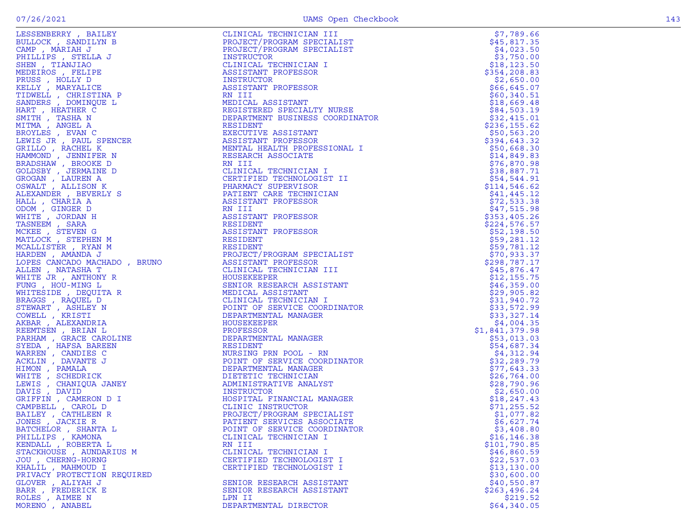|  | . .<br>۰. |
|--|-----------|

| LEERING FRAMERICAN HOMEST (1111 CALIFORNIA)<br>1211 CANAL TELEVICAL PROPERTIMENT (1111 CALIFORNIA)<br>1211 CANAL TELEVICAL MANAGER (1111 CALIFORNIA)<br>1211 CALIFORNIA (1212 CALIFORNIA)<br>1211 CANAL TELEVICAL MANAGER (1111 CALIF | CLINICAL TECHNICIAN III<br>PROJECT/PROGRAM SPECIALIST<br>PROJECT/PROGRAM SPECIALIST<br>TROJECT/PROGRAM SPECIALIST<br>CLINICAL TECHNICIAN<br>INSTRUCTOR<br>INSTRUCTOR<br>INSTRUCTOR<br>ASSISTANT PROFESSOR<br>RESIDENT PROFESSOR<br>RESIDENT PROFESSOR<br>RESIDE | \$7,789.66                 |
|---------------------------------------------------------------------------------------------------------------------------------------------------------------------------------------------------------------------------------------|-----------------------------------------------------------------------------------------------------------------------------------------------------------------------------------------------------------------------------------------------------------------|----------------------------|
|                                                                                                                                                                                                                                       |                                                                                                                                                                                                                                                                 | \$45,817.35                |
|                                                                                                                                                                                                                                       |                                                                                                                                                                                                                                                                 | \$4,023.50                 |
|                                                                                                                                                                                                                                       |                                                                                                                                                                                                                                                                 | \$3,750.00                 |
|                                                                                                                                                                                                                                       |                                                                                                                                                                                                                                                                 | \$18, 123.50               |
|                                                                                                                                                                                                                                       |                                                                                                                                                                                                                                                                 | \$354,208.83               |
|                                                                                                                                                                                                                                       |                                                                                                                                                                                                                                                                 | \$2,650.00                 |
|                                                                                                                                                                                                                                       |                                                                                                                                                                                                                                                                 | \$66,645.07                |
|                                                                                                                                                                                                                                       |                                                                                                                                                                                                                                                                 | \$60,340.51                |
|                                                                                                                                                                                                                                       |                                                                                                                                                                                                                                                                 | \$18,669.48                |
|                                                                                                                                                                                                                                       |                                                                                                                                                                                                                                                                 | \$84,503.19                |
|                                                                                                                                                                                                                                       |                                                                                                                                                                                                                                                                 | \$32,415.01                |
|                                                                                                                                                                                                                                       |                                                                                                                                                                                                                                                                 | \$236,155.62               |
|                                                                                                                                                                                                                                       |                                                                                                                                                                                                                                                                 | \$50,563.20                |
|                                                                                                                                                                                                                                       |                                                                                                                                                                                                                                                                 | \$394,643.32               |
|                                                                                                                                                                                                                                       |                                                                                                                                                                                                                                                                 | \$50,668.30                |
|                                                                                                                                                                                                                                       |                                                                                                                                                                                                                                                                 | \$14,849.83                |
|                                                                                                                                                                                                                                       |                                                                                                                                                                                                                                                                 | \$76,870.98                |
|                                                                                                                                                                                                                                       |                                                                                                                                                                                                                                                                 | \$38,887.71                |
|                                                                                                                                                                                                                                       |                                                                                                                                                                                                                                                                 | \$54,544.91                |
|                                                                                                                                                                                                                                       |                                                                                                                                                                                                                                                                 | \$114,546.62               |
|                                                                                                                                                                                                                                       |                                                                                                                                                                                                                                                                 | \$41,445.12                |
|                                                                                                                                                                                                                                       |                                                                                                                                                                                                                                                                 | \$72,533.38                |
|                                                                                                                                                                                                                                       |                                                                                                                                                                                                                                                                 | \$47,515.98                |
|                                                                                                                                                                                                                                       |                                                                                                                                                                                                                                                                 | \$353,405.26               |
|                                                                                                                                                                                                                                       |                                                                                                                                                                                                                                                                 | \$224,576.57               |
|                                                                                                                                                                                                                                       |                                                                                                                                                                                                                                                                 | \$52,198.50                |
|                                                                                                                                                                                                                                       |                                                                                                                                                                                                                                                                 | \$59,281.12                |
|                                                                                                                                                                                                                                       |                                                                                                                                                                                                                                                                 | \$59,781.12                |
|                                                                                                                                                                                                                                       |                                                                                                                                                                                                                                                                 | \$70,933.37                |
|                                                                                                                                                                                                                                       |                                                                                                                                                                                                                                                                 | \$298,787.17               |
|                                                                                                                                                                                                                                       |                                                                                                                                                                                                                                                                 | \$45,876.47                |
|                                                                                                                                                                                                                                       |                                                                                                                                                                                                                                                                 | \$12,155.75                |
|                                                                                                                                                                                                                                       |                                                                                                                                                                                                                                                                 | \$46,359.00                |
|                                                                                                                                                                                                                                       |                                                                                                                                                                                                                                                                 |                            |
|                                                                                                                                                                                                                                       |                                                                                                                                                                                                                                                                 | \$29,905.82                |
|                                                                                                                                                                                                                                       |                                                                                                                                                                                                                                                                 | \$31,940.72<br>\$33,572.99 |
|                                                                                                                                                                                                                                       |                                                                                                                                                                                                                                                                 |                            |
|                                                                                                                                                                                                                                       |                                                                                                                                                                                                                                                                 | \$33,327.14                |
|                                                                                                                                                                                                                                       |                                                                                                                                                                                                                                                                 | \$4,004.35                 |
|                                                                                                                                                                                                                                       |                                                                                                                                                                                                                                                                 | \$1,841,379.98             |
|                                                                                                                                                                                                                                       |                                                                                                                                                                                                                                                                 | \$53,013.03                |
|                                                                                                                                                                                                                                       |                                                                                                                                                                                                                                                                 | \$54,687.34                |
|                                                                                                                                                                                                                                       |                                                                                                                                                                                                                                                                 | \$4,312.94                 |
|                                                                                                                                                                                                                                       |                                                                                                                                                                                                                                                                 | \$32,289.79                |
|                                                                                                                                                                                                                                       |                                                                                                                                                                                                                                                                 | \$77,643.33                |
|                                                                                                                                                                                                                                       |                                                                                                                                                                                                                                                                 | \$26,764.00                |
|                                                                                                                                                                                                                                       |                                                                                                                                                                                                                                                                 | \$28,790.96                |
|                                                                                                                                                                                                                                       |                                                                                                                                                                                                                                                                 | \$2,650.00                 |
|                                                                                                                                                                                                                                       | NOINATOR<br>T<br>NAGER<br>ALIST<br>CIATE<br>CIATE                                                                                                                                                                                                               | \$18, 247.43               |
|                                                                                                                                                                                                                                       |                                                                                                                                                                                                                                                                 | \$71,255.52                |
|                                                                                                                                                                                                                                       |                                                                                                                                                                                                                                                                 | \$1,077.82                 |
|                                                                                                                                                                                                                                       |                                                                                                                                                                                                                                                                 | \$6,627.74                 |
| BATCHELOR , SHANTA L                                                                                                                                                                                                                  | POINT OF SERVICE COORDINATOR                                                                                                                                                                                                                                    | \$3,408.80                 |
| PHILLIPS, KAMONA                                                                                                                                                                                                                      | CLINICAL TECHNICIAN I                                                                                                                                                                                                                                           | \$16, 146.38               |
| KENDALL , ROBERTA L                                                                                                                                                                                                                   | RN III                                                                                                                                                                                                                                                          | \$101,790.85               |
| STACKHOUSE, AUNDARIUS M                                                                                                                                                                                                               | CLINICAL TECHNICIAN I                                                                                                                                                                                                                                           | \$46,860.59                |
| JOU , CHERNG-HORNG                                                                                                                                                                                                                    | CERTIFIED TECHNOLOGIST I                                                                                                                                                                                                                                        | \$22,537.03                |
| KHALIL , MAHMOUD I                                                                                                                                                                                                                    | CERTIFIED TECHNOLOGIST I                                                                                                                                                                                                                                        | \$13,130.00                |
| PRIVACY PROTECTION REQUIRED                                                                                                                                                                                                           |                                                                                                                                                                                                                                                                 | \$30,600.00                |
| GLOVER, ALIYAH J                                                                                                                                                                                                                      | SENIOR RESEARCH ASSISTANT                                                                                                                                                                                                                                       | \$40,550.87                |
| BARR, FREDERICK E                                                                                                                                                                                                                     | SENIOR RESEARCH ASSISTANT                                                                                                                                                                                                                                       | \$263,496.24               |
| ROLES, AIMEE N                                                                                                                                                                                                                        | LPN II                                                                                                                                                                                                                                                          | \$219.52                   |
| MORENO, ANABEL                                                                                                                                                                                                                        | DEPARTMENTAL DIRECTOR                                                                                                                                                                                                                                           | \$64,340.05                |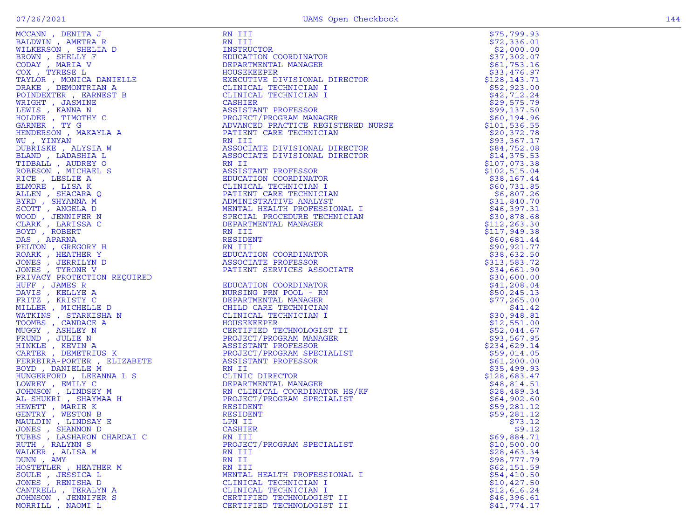| MCCANN, DENITA J                                                        | RN III                                            | \$75,799.93                |
|-------------------------------------------------------------------------|---------------------------------------------------|----------------------------|
| BALDWIN, AMETRA R                                                       | RN III                                            | \$72,336.01                |
| WILKERSON, SHELIA D                                                     | INSTRUCTOR                                        | \$2,000.00                 |
| BROWN, SHELLY F                                                         | EDUCATION COORDINATOR                             | \$37,302.07                |
| CODAY, MARIA V                                                          | DEPARTMENTAL MANAGER                              | \$61,753.16                |
| COX, TYRESE L                                                           | HOUSEKEEPER                                       | \$33,476.97                |
| TAYLOR, MONICA DANIELLE                                                 | EXECUTIVE DIVISIONAL DIRECTOR                     | \$128, 143.71              |
| DRAKE, DEMONTRIAN A                                                     | CLINICAL TECHNICIAN I                             | \$52,923.00                |
| POINDEXTER, EARNEST B                                                   | CLINICAL TECHNICIAN I                             | \$42,712.24                |
| WRIGHT , JASMINE                                                        | CASHIER                                           | \$29,575.79                |
| LEWIS, KANNA N                                                          | ASSISTANT PROFESSOR<br>PROJECT/PROGRAM MANAGER    | \$99,137.50                |
| HOLDER , TIMOTHY C                                                      |                                                   | \$60,194.96                |
| GARNER, TY G                                                            | ADVANCED PRACTICE REGISTERED NURSE                | \$101, 536.55              |
| HENDERSON, MAKAYLA A                                                    | PATIENT CARE TECHNICIAN                           | \$20,372.78                |
| WU, YINYAN                                                              | RN III                                            | \$93,367.17                |
| DUBRISKE, ALYSIA W                                                      | ASSOCIATE DIVISIONAL DIRECTOR                     | \$84,752.08                |
| BLAND, LADASHIA L                                                       | ASSOCIATE DIVISIONAL DIRECTOR                     | \$14,375.53                |
| TIDBALL, AUDREY O                                                       | RN II                                             | \$107,073.38               |
| ROBESON, MICHAEL S                                                      | ASSISTANT PROFESSOR                               | \$102, 515.04              |
| RICE, LESLIE A<br>ELMORE , LISA K                                       | EDUCATION COORDINATOR                             | \$38,167.44                |
|                                                                         | CLINICAL TECHNICIAN I                             | \$60,731.85                |
| ALLEN, SHACARA Q<br>BYRD, SHYANNA M                                     | PATIENT CARE TECHNICIAN<br>ADMINISTRATIVE ANALYST | \$6,807.26<br>\$31,840.70  |
|                                                                         | MENTAL HEALTH PROFESSIONAL I                      | \$46,397.31                |
| SCOTT, ANGELA D<br>WOOD, JENNIFER N                                     | SPECIAL PROCEDURE TECHNICIAN                      | \$30,878.68                |
| CLARK, LARISSA C                                                        | DEPARTMENTAL MANAGER                              | \$112, 263.30              |
| BOYD, ROBERT                                                            | RN III                                            | \$117,949.38               |
| DAS, APARNA                                                             | RESIDENT                                          | \$60,681.44                |
| PELTON, GREGORY H                                                       | RN III                                            | \$90,921.77                |
| ROARK, HEATHER Y                                                        | EDUCATION COORDINATOR                             | \$38,632.50                |
| JONES , JERRILYN D                                                      | ASSOCIATE PROFESSOR                               | \$313,583.72               |
| JONES , TYRONE V                                                        | PATIENT SERVICES ASSOCIATE                        | \$34,661.90                |
| PRIVACY PROTECTION REQUIRED                                             |                                                   | \$30,600.00                |
| HUFF, JAMES R                                                           | EDUCATION COORDINATOR                             | \$41,208.04                |
| DAVIS, KELLYE A                                                         | NURSING PRN POOL - RN                             | \$50, 245.13               |
| FRITZ, KRISTY C                                                         | DEPARTMENTAL MANAGER                              | \$77,265.00                |
| MILLER, MICHELLE D                                                      | CHILD CARE TECHNICIAN                             | \$41.42                    |
| WATKINS, STARKISHA N                                                    | CLINICAL TECHNICIAN I                             | \$30,948.81                |
| TOOMBS , CANDACE A                                                      | HOUSEKEEPER                                       | \$12,551.00                |
| MUGGY, ASHLEY N                                                         | CERTIFIED TECHNOLOGIST II                         | \$52,044.67                |
| FRUND, JULIE N                                                          | PROJECT/PROGRAM MANAGER                           | \$93,567.95                |
|                                                                         | ASSISTANT PROFESSOR                               | \$234,629.14               |
|                                                                         | PROJECT/PROGRAM SPECIALIST                        | \$59,014.05                |
| HINKLE , KEVIN A<br>CARTER , DEMETRIUS K<br>FERREIRA-PORTER , ELIZABETE | ASSISTANT PROFESSOR                               | \$61,200.00                |
| BOYD, DANIELLE M                                                        | RN II                                             | \$35,499.93                |
| HUNGERFORD, LEEANNA L S                                                 | CLINIC DIRECTOR                                   | \$128,683.47               |
| LOWREY, EMILY C                                                         | DEPARTMENTAL MANAGER                              | \$48,814.51                |
| JOHNSON, LINDSEY M                                                      | RN CLINICAL COORDINATOR HS/KF                     | \$28,489.34                |
| AL-SHUKRI , SHAYMAA H                                                   | PROJECT/PROGRAM SPECIALIST                        | \$64,902.60                |
| HEWETT, MARIE K                                                         | RESIDENT                                          | \$59,281.12                |
| GENTRY , WESTON B                                                       | RESIDENT                                          | \$59,281.12                |
| MAULDIN, LINDSAY E                                                      | LPN II                                            | \$73.12                    |
| JONES , SHANNON D                                                       | CASHIER                                           | \$9.12                     |
| TUBBS, LASHARON CHARDAI C                                               | RN III                                            | \$69,884.71                |
| RUTH, RALYNN S                                                          | PROJECT/PROGRAM SPECIALIST                        | \$10,500.00                |
| WALKER, ALISA M<br>DUNN, AMY                                            | RN III<br>RN II                                   | \$28,463.34                |
| HOSTETLER , HEATHER M                                                   | RN III                                            | \$98,777.79<br>\$62,151.59 |
| SOULE , JESSICA L                                                       | MENTAL HEALTH PROFESSIONAL I                      | \$54,410.50                |
| JONES , RENISHA D                                                       | CLINICAL TECHNICIAN I                             | \$10,427.50                |
| CANTRELL , TERALYN A                                                    | CLINICAL TECHNICIAN I                             | \$12,616.24                |
| JOHNSON, JENNIFER S                                                     | CERTIFIED TECHNOLOGIST II                         | \$46,396.61                |
| MORRILL, NAOMI L                                                        | CERTIFIED TECHNOLOGIST II                         | \$41,774.17                |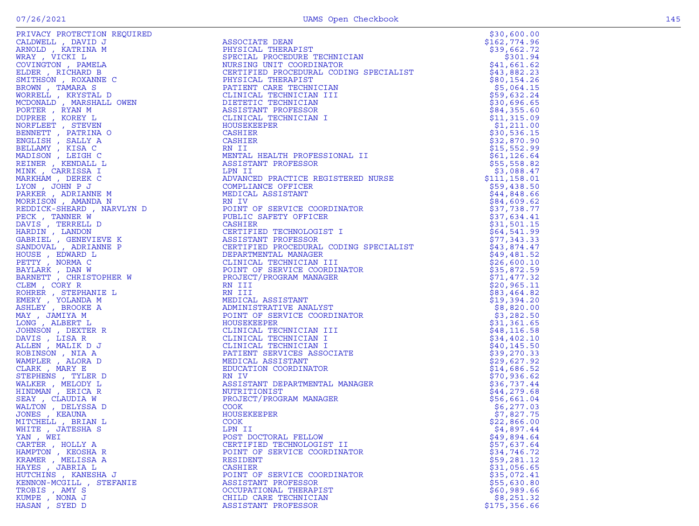|  |  | 4. |
|--|--|----|
|  |  |    |
|  |  |    |
|  |  |    |

| CALDWELL , DAVID J<br>ARNOLD , KATRINA M<br>WRAY , VICKI L                                                                                                                                                                                                      |
|-----------------------------------------------------------------------------------------------------------------------------------------------------------------------------------------------------------------------------------------------------------------|
|                                                                                                                                                                                                                                                                 |
|                                                                                                                                                                                                                                                                 |
|                                                                                                                                                                                                                                                                 |
| COVINGTON , PAMELA                                                                                                                                                                                                                                              |
| ELDER , RICHARD B                                                                                                                                                                                                                                               |
| SMITHSON, ROXANNE C                                                                                                                                                                                                                                             |
|                                                                                                                                                                                                                                                                 |
|                                                                                                                                                                                                                                                                 |
|                                                                                                                                                                                                                                                                 |
|                                                                                                                                                                                                                                                                 |
|                                                                                                                                                                                                                                                                 |
|                                                                                                                                                                                                                                                                 |
|                                                                                                                                                                                                                                                                 |
|                                                                                                                                                                                                                                                                 |
|                                                                                                                                                                                                                                                                 |
|                                                                                                                                                                                                                                                                 |
|                                                                                                                                                                                                                                                                 |
|                                                                                                                                                                                                                                                                 |
|                                                                                                                                                                                                                                                                 |
|                                                                                                                                                                                                                                                                 |
| SMITHSON , ROXANNE C<br>BROWN , TAMARA S<br>WORRELL , KRYSTAL D<br>MCDONALD , MARSHALL OWEN<br>PORTER , RYAN M<br>DUPREE , KOREY L<br>NORFLEET , STEVEN<br>BENNETT , PATRINA O<br>ENGLISH , SALLY A<br>BELLAMY , KISA C<br>MADISON , LEIGH C<br>MENINE , KENDAL |
|                                                                                                                                                                                                                                                                 |
|                                                                                                                                                                                                                                                                 |
|                                                                                                                                                                                                                                                                 |
|                                                                                                                                                                                                                                                                 |
|                                                                                                                                                                                                                                                                 |
|                                                                                                                                                                                                                                                                 |
|                                                                                                                                                                                                                                                                 |
| MINN , DEREK C<br>LYON , JOHN P J<br>PARKER , ADRIANNE M<br>MORRISON , AMANDA N                                                                                                                                                                                 |
| REDDICK-SHEARD, NARVLYN D<br>PECK . TANNER W                                                                                                                                                                                                                    |
|                                                                                                                                                                                                                                                                 |
|                                                                                                                                                                                                                                                                 |
|                                                                                                                                                                                                                                                                 |
|                                                                                                                                                                                                                                                                 |
|                                                                                                                                                                                                                                                                 |
| PECK, TANNER W<br>DAVIS , TERRELL D<br>HARDIN , LANDON<br>GABRIEL , GENEVIEVE K<br>SANDOVAL , ADRIANNE P<br>SANDOVAL , ADRIANNE P                                                                                                                               |
|                                                                                                                                                                                                                                                                 |
|                                                                                                                                                                                                                                                                 |
|                                                                                                                                                                                                                                                                 |
|                                                                                                                                                                                                                                                                 |
|                                                                                                                                                                                                                                                                 |
|                                                                                                                                                                                                                                                                 |
|                                                                                                                                                                                                                                                                 |
|                                                                                                                                                                                                                                                                 |
| HOUSE , EDWARD L<br>HOUSE , EDWARD L<br>BAYLARK , DAN W<br>BARNETT , CHRISTOPHER W<br>BARNETT , CHRISTOPHER W                                                                                                                                                   |
|                                                                                                                                                                                                                                                                 |
|                                                                                                                                                                                                                                                                 |
|                                                                                                                                                                                                                                                                 |
|                                                                                                                                                                                                                                                                 |
| CLEM , CORY R<br>ROHRER , STEPHANIE L<br>EMERY , YOLANDA M<br>ASHLEY , BROOKE A                                                                                                                                                                                 |
|                                                                                                                                                                                                                                                                 |
|                                                                                                                                                                                                                                                                 |
| MAY , JAMIYA M<br>LONG , ALBERT L                                                                                                                                                                                                                               |
|                                                                                                                                                                                                                                                                 |
|                                                                                                                                                                                                                                                                 |
|                                                                                                                                                                                                                                                                 |
| JOHNSON , DEXTER R<br>DAVIS , LISA R<br>ALLEN , MALIK D J                                                                                                                                                                                                       |
|                                                                                                                                                                                                                                                                 |
|                                                                                                                                                                                                                                                                 |
|                                                                                                                                                                                                                                                                 |
| ROBINSON , NIA A<br>WAMPLER , ALORA D<br>CLARK , MARY E                                                                                                                                                                                                         |
|                                                                                                                                                                                                                                                                 |
|                                                                                                                                                                                                                                                                 |
|                                                                                                                                                                                                                                                                 |
| STEPHENS , TYLER D<br>WALKER , MELODY L<br>HINDMAN , ERICA R                                                                                                                                                                                                    |
|                                                                                                                                                                                                                                                                 |
|                                                                                                                                                                                                                                                                 |
|                                                                                                                                                                                                                                                                 |
| SEAY , CLAUDIA W<br>WALTON , DELYSSA D<br>JONES , KEAUNA<br>MITCHINT                                                                                                                                                                                            |
| MITCHELL , BRIAN L                                                                                                                                                                                                                                              |
|                                                                                                                                                                                                                                                                 |
| WHITE , JATESHA S                                                                                                                                                                                                                                               |
| $YAN$ , $WEI$                                                                                                                                                                                                                                                   |
|                                                                                                                                                                                                                                                                 |
|                                                                                                                                                                                                                                                                 |
|                                                                                                                                                                                                                                                                 |
|                                                                                                                                                                                                                                                                 |
| TARTER , HOLLY A<br>HAMPTON , KEOSHA R<br>KRAMER , MELISSA A<br>HAYES , JABRIA L                                                                                                                                                                                |
|                                                                                                                                                                                                                                                                 |
| HUTCHINS , KANESHA J                                                                                                                                                                                                                                            |
| KENNON-MCGILL , STEFANIE                                                                                                                                                                                                                                        |
|                                                                                                                                                                                                                                                                 |
|                                                                                                                                                                                                                                                                 |
| TROBIS , AMY S<br>KUMPE , NONA J<br>HASAN , SYED D                                                                                                                                                                                                              |

|                          |                                                                                                                                                                                                                                                            | \$30,600.00   |
|--------------------------|------------------------------------------------------------------------------------------------------------------------------------------------------------------------------------------------------------------------------------------------------------|---------------|
|                          |                                                                                                                                                                                                                                                            | \$162,774.96  |
|                          |                                                                                                                                                                                                                                                            |               |
|                          |                                                                                                                                                                                                                                                            |               |
|                          | ASSOCIAIL DEAN<br>PHYSICAL THERAPIST (SPECIAL PROCEDURE TECHNICIAN (S39, 662.72)<br>SPECIAL PROCEDURE TECHNICIAN (S301.94<br>NURSING UNIT COORDINATOR (SPECIALIST (S41, 661.62)<br>CERTIFIED PROCEDURAL CODING SPECIALIST (S43, 882.23                     |               |
|                          |                                                                                                                                                                                                                                                            |               |
|                          |                                                                                                                                                                                                                                                            |               |
|                          |                                                                                                                                                                                                                                                            |               |
|                          |                                                                                                                                                                                                                                                            | \$5,064.15    |
|                          |                                                                                                                                                                                                                                                            | \$59,632.24   |
|                          |                                                                                                                                                                                                                                                            | \$30,696.65   |
|                          |                                                                                                                                                                                                                                                            | \$84,355.60   |
|                          |                                                                                                                                                                                                                                                            | \$11,315.09   |
|                          |                                                                                                                                                                                                                                                            | \$1,211.00    |
|                          |                                                                                                                                                                                                                                                            | \$30,536.15   |
|                          |                                                                                                                                                                                                                                                            | \$32,870.90   |
|                          |                                                                                                                                                                                                                                                            | \$15,552.99   |
|                          |                                                                                                                                                                                                                                                            | \$61, 126.64  |
|                          |                                                                                                                                                                                                                                                            | \$55,558.82   |
|                          |                                                                                                                                                                                                                                                            | \$3,088.47    |
|                          |                                                                                                                                                                                                                                                            | \$111, 158.01 |
|                          |                                                                                                                                                                                                                                                            | \$59,438.50   |
|                          |                                                                                                                                                                                                                                                            | \$44,848.66   |
|                          |                                                                                                                                                                                                                                                            | \$84,609.62   |
|                          |                                                                                                                                                                                                                                                            | \$37,738.77   |
|                          |                                                                                                                                                                                                                                                            |               |
|                          |                                                                                                                                                                                                                                                            | \$37,634.41   |
|                          |                                                                                                                                                                                                                                                            | \$31,501.15   |
|                          |                                                                                                                                                                                                                                                            | \$64,541.99   |
|                          |                                                                                                                                                                                                                                                            | \$77,343.33   |
|                          |                                                                                                                                                                                                                                                            | \$43,874.47   |
|                          |                                                                                                                                                                                                                                                            | \$49,481.52   |
|                          |                                                                                                                                                                                                                                                            | \$26,600.10   |
|                          |                                                                                                                                                                                                                                                            | \$35,872.59   |
|                          |                                                                                                                                                                                                                                                            | \$71,477.32   |
|                          |                                                                                                                                                                                                                                                            | \$20,965.11   |
|                          |                                                                                                                                                                                                                                                            | \$83,464.82   |
|                          |                                                                                                                                                                                                                                                            | \$19,394.20   |
|                          |                                                                                                                                                                                                                                                            | \$8,820.00    |
|                          |                                                                                                                                                                                                                                                            | \$3,282.50    |
|                          |                                                                                                                                                                                                                                                            | \$31,361.65   |
|                          |                                                                                                                                                                                                                                                            | \$48, 116.58  |
|                          |                                                                                                                                                                                                                                                            | \$34,402.10   |
|                          |                                                                                                                                                                                                                                                            | \$40, 145.50  |
|                          |                                                                                                                                                                                                                                                            | \$39,270.33   |
|                          |                                                                                                                                                                                                                                                            |               |
|                          |                                                                                                                                                                                                                                                            | \$29,627.92   |
|                          |                                                                                                                                                                                                                                                            | \$14,686.52   |
|                          |                                                                                                                                                                                                                                                            | \$70,936.62   |
|                          |                                                                                                                                                                                                                                                            | \$36,737.44   |
|                          |                                                                                                                                                                                                                                                            | \$44,279.68   |
|                          |                                                                                                                                                                                                                                                            | \$56,661.04   |
|                          |                                                                                                                                                                                                                                                            | \$6,277.03    |
|                          |                                                                                                                                                                                                                                                            | \$7,827.75    |
|                          |                                                                                                                                                                                                                                                            | \$22,866.00   |
|                          |                                                                                                                                                                                                                                                            | \$4,897.44    |
|                          |                                                                                                                                                                                                                                                            | \$49,894.64   |
| CARTER, HOLLY A          | PRIVATE IN PROPERTY CREATE COMPANY CREATE COMPANY IN A SAME PARTICULAR CONTROL SERVICE CONTROL SERVICE CONTROL SERVICE CONTROL SERVICE CONTROL SERVICE CONTROL SERVICE CONTROL SERVICE CONTROL SERVICE CONTROL SERVICE CONTRO<br>CERTIFIED TECHNOLOGIST II | \$57,637.64   |
| HAMPTON, KEOSHA R        | POINT OF SERVICE COORDINATOR                                                                                                                                                                                                                               | \$34,746.72   |
| KRAMER, MELISSA A        | RESIDENT                                                                                                                                                                                                                                                   | \$59,281.12   |
| HAYES, JABRIA L          | CASHIER                                                                                                                                                                                                                                                    | \$31,056.65   |
| HUTCHINS , KANESHA J     | POINT OF SERVICE COORDINATOR                                                                                                                                                                                                                               | \$35,072.41   |
| KENNON-MCGILL , STEFANIE | ASSISTANT PROFESSOR                                                                                                                                                                                                                                        | \$55,630.80   |
| TROBIS, AMY S            | OCCUPATIONAL THERAPIST                                                                                                                                                                                                                                     | \$60,989.66   |
| KUMPE, NONA J            | CHILD CARE TECHNICIAN                                                                                                                                                                                                                                      | \$8,251.32    |
| HASAN, SYED D            | ASSISTANT PROFESSOR                                                                                                                                                                                                                                        | \$175,356.66  |
|                          |                                                                                                                                                                                                                                                            |               |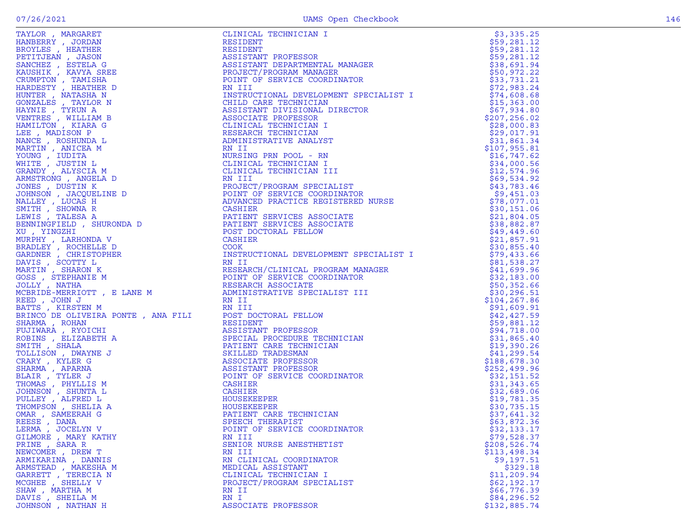| HANBERRY , JORDAN<br>BROYLES , HEATHER                                                  |
|-----------------------------------------------------------------------------------------|
|                                                                                         |
| PETITJEAN , JASON<br>SANCHEZ , ESTELA G<br>KAUSHIK , KAVYA SREE                         |
|                                                                                         |
|                                                                                         |
|                                                                                         |
|                                                                                         |
|                                                                                         |
| CRUMPTON , TAMISHA<br>HARDESTY , HEATHER D<br>HUNTER , NATASHA N<br>GONZALES , TAYLOR N |
| HAYNIE , TYRUN A                                                                        |
| VENTRES , WILLIAM B                                                                     |
| HAMILTON, KIARA G                                                                       |
| LEE , MADISON P                                                                         |
| NANCE, ROSHUNDA L                                                                       |
| MARTIN, ANICEA M                                                                        |
|                                                                                         |
|                                                                                         |
| YOUNG , IUDITA<br>WHITE , JUSTIN L<br>GRANDY , ALYSCIA M                                |
| ARMSTRONG, ANGELA D                                                                     |
| JONES , DUSTIN K                                                                        |
| JOHNSON, JACQUELINE D                                                                   |
| NALLEY, LUCAS H                                                                         |
| SMITH, SHOWNA R                                                                         |
| LEWIS , TALESA A                                                                        |
| BENNINGFIELD, SHURONDA D                                                                |
| XU , YINGZHI                                                                            |
| MURPHY, LARHONDA V                                                                      |
| BRADLEY , ROCHELLE D                                                                    |
| GARDNER , CHRISTOPHER                                                                   |
| DAVIS , SCOTTY L                                                                        |
| MARTIN, SHARON K                                                                        |
| GOSS , STEPHANIE M<br>JOLLY , NATHA                                                     |
|                                                                                         |
| MCBRIDE-MERRIOTT, E LANE M                                                              |
| REED, JOHN J                                                                            |
| BATTS , KIRSTEN M                                                                       |
| BRINCO DE OLIVEIRA PONTE, ANA FILI                                                      |
| SHARMA, ROHAN                                                                           |
| FUJIWARA , RYOICHI                                                                      |
| ROBINS , ELIZABETH A<br>SMITH , SHALA                                                   |
|                                                                                         |
| TOLLISON, DWAYNE J                                                                      |
| CRARY, KYLER G                                                                          |
| SHARMA, APARNA                                                                          |
| BLAIR , TYLER J<br>THOMAS , PHYLLIS M                                                   |
|                                                                                         |
| JOHNSON , SHUNTA L<br>PULLEY , ALFRED L<br>THOMPSON , SHELIA A                          |
|                                                                                         |
|                                                                                         |
| OMAR , SAMEERAH G<br>REESE , DANA                                                       |
|                                                                                         |
| LERMA , JOCELYN V                                                                       |
| GILMORE , MARY KATHY                                                                    |
| PRINE, SARA R                                                                           |
| NEWCOMER, DREW T                                                                        |
| ARMIKARINA , DANNIS                                                                     |
|                                                                                         |
| ARMSTEAD , MAKESHA M<br>GARRETT , TERECIA N                                             |
| MCGHEE , SHELLY V                                                                       |
| SHAW, MARTHA M                                                                          |
| DAVIS , SHEILA M                                                                        |
|                                                                                         |

| TAYLOR , MARGARET    |                              | \$3,335.25   |
|----------------------|------------------------------|--------------|
|                      |                              |              |
|                      |                              |              |
|                      |                              |              |
|                      |                              |              |
|                      |                              |              |
|                      |                              |              |
|                      |                              |              |
|                      |                              |              |
|                      |                              |              |
|                      |                              |              |
|                      |                              |              |
|                      |                              |              |
|                      |                              |              |
|                      |                              |              |
|                      |                              |              |
|                      |                              |              |
|                      |                              |              |
|                      |                              |              |
|                      |                              |              |
|                      |                              |              |
|                      |                              |              |
|                      |                              |              |
|                      |                              |              |
|                      |                              |              |
|                      |                              |              |
|                      |                              |              |
|                      |                              |              |
|                      |                              |              |
|                      |                              |              |
|                      |                              |              |
|                      |                              |              |
|                      |                              |              |
|                      |                              |              |
|                      |                              |              |
|                      |                              |              |
|                      |                              |              |
|                      |                              |              |
|                      |                              |              |
|                      |                              |              |
|                      |                              |              |
|                      |                              |              |
|                      |                              |              |
|                      |                              |              |
|                      |                              |              |
|                      |                              |              |
|                      |                              |              |
|                      |                              |              |
|                      |                              |              |
|                      |                              |              |
| LERMA, JOCELYN V     | POINT OF SERVICE COORDINATOR | \$32,133.17  |
| GILMORE , MARY KATHY | RN III                       | \$79,528.37  |
| PRINE, SARA R        | SENIOR NURSE ANESTHETIST     | \$208,526.74 |
| NEWCOMER, DREW T     | RN III                       | \$113,498.34 |
| ARMIKARINA, DANNIS   | RN CLINICAL COORDINATOR      | \$9,197.51   |
| ARMSTEAD , MAKESHA M | MEDICAL ASSISTANT            | \$329.18     |
| GARRETT, TERECIA N   | CLINICAL TECHNICIAN I        | \$11, 209.94 |
| MCGHEE , SHELLY V    | PROJECT/PROGRAM SPECIALIST   | \$62,192.17  |
| SHAW, MARTHA M       | RN II                        | \$66,776.39  |
| DAVIS, SHEILA M      | RN I                         | \$84,296.52  |
| JOHNSON, NATHAN H    | ASSOCIATE PROFESSOR          | \$132,885.74 |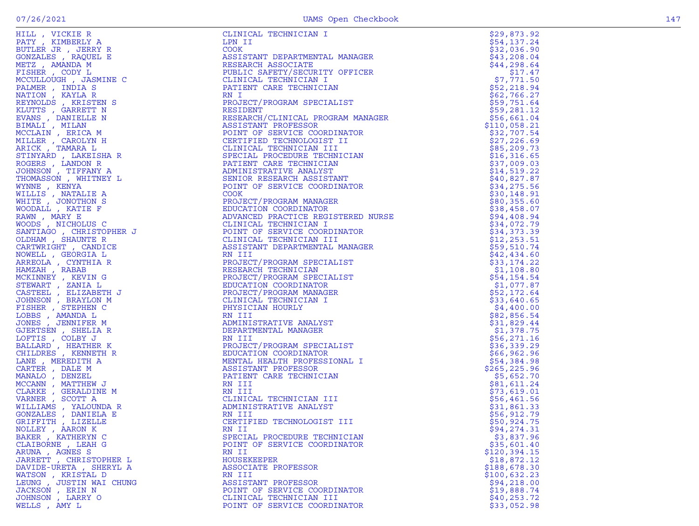| HILL , VICKIE R                                                                                                                                                                                                                                                                                                                                                                                                                                                                                                                                                                                                                                       | CLINICAL TECHNICIAN I                                                                                                                                                                                                                                     | \$29,873.92                |
|-------------------------------------------------------------------------------------------------------------------------------------------------------------------------------------------------------------------------------------------------------------------------------------------------------------------------------------------------------------------------------------------------------------------------------------------------------------------------------------------------------------------------------------------------------------------------------------------------------------------------------------------------------|-----------------------------------------------------------------------------------------------------------------------------------------------------------------------------------------------------------------------------------------------------------|----------------------------|
| PATY, KIMBERLY A<br>$\begin{array}{c} \begin{array}{c} \begin{array}{c} \uparrow \\ \downarrow \end{array} & \begin{array}{c} \downarrow \\ \downarrow \end{array} & \begin{array}{c} \downarrow \\ \downarrow \end{array} & \begin{array}{c} \downarrow \\ \downarrow \end{array} & \begin{array}{c} \downarrow \\ \downarrow \end{array} & \begin{array}{c} \downarrow \\ \downarrow \end{array} & \begin{array}{c} \downarrow \\ \downarrow \end{array} & \begin{array}{c} \downarrow \\ \downarrow \end{array} & \begin{array}{c} \downarrow \\ \downarrow \end{array} & \begin{array}{c} \downarrow \\ \downarrow \end{array} & \begin{array}{c$ | LPN II                                                                                                                                                                                                                                                    | \$54,137.24                |
| BUTLER JR, JERRY R                                                                                                                                                                                                                                                                                                                                                                                                                                                                                                                                                                                                                                    | COOK                                                                                                                                                                                                                                                      | \$32,036.90                |
| GONZALES , RAQUEL E                                                                                                                                                                                                                                                                                                                                                                                                                                                                                                                                                                                                                                   | ASSISTANT DEPARTMENTAL MANAGER                                                                                                                                                                                                                            | \$43,208.04                |
| METZ, AMANDA M                                                                                                                                                                                                                                                                                                                                                                                                                                                                                                                                                                                                                                        | RESEARCH ASSOCIATE                                                                                                                                                                                                                                        | \$44,298.64                |
| FISHER , CODY L                                                                                                                                                                                                                                                                                                                                                                                                                                                                                                                                                                                                                                       | PUBLIC SAFETY/SECURITY OFFICER                                                                                                                                                                                                                            | \$17.47                    |
| MCCULLOUGH, JASMINE C                                                                                                                                                                                                                                                                                                                                                                                                                                                                                                                                                                                                                                 | CLINICAL TECHNICIAN I                                                                                                                                                                                                                                     | \$7,771.50                 |
| PALMER, INDIA S                                                                                                                                                                                                                                                                                                                                                                                                                                                                                                                                                                                                                                       | PATIENT CARE TECHNICIAN                                                                                                                                                                                                                                   | \$52,218.94                |
| NATION, KAYLA R                                                                                                                                                                                                                                                                                                                                                                                                                                                                                                                                                                                                                                       | RN I                                                                                                                                                                                                                                                      | \$62,766.27                |
| REYNOLDS, KRISTEN S                                                                                                                                                                                                                                                                                                                                                                                                                                                                                                                                                                                                                                   | PROJECT/PROGRAM SPECIALIST<br>RESIDENT                                                                                                                                                                                                                    | \$59,751.64                |
| KLUTTS, GARRETT N<br>EVANS, DANIELLE N                                                                                                                                                                                                                                                                                                                                                                                                                                                                                                                                                                                                                | PROBECT/PROGRAM SPECIALIST<br>RESIDENT<br>RESIDENT PROFESSOR<br>POINT PROFESSOR<br>POINT OF SERVICE COORDINATOR<br>CERTIFTED TECHNOLOGIST II<br>CLINICAL TECHNOLOGIST II<br>SPECIAL PROCEDURE TECHNICIAN<br>ANIINISTRATIVE ANALYST<br>SPECIAL PROCEDURE T | \$59,281.12<br>\$56,661.04 |
| BIMALI , MILAN                                                                                                                                                                                                                                                                                                                                                                                                                                                                                                                                                                                                                                        |                                                                                                                                                                                                                                                           | \$110,058.21               |
| MCCLAIN, ERICA M                                                                                                                                                                                                                                                                                                                                                                                                                                                                                                                                                                                                                                      |                                                                                                                                                                                                                                                           | \$32,707.54                |
| MILLER, CAROLYN H                                                                                                                                                                                                                                                                                                                                                                                                                                                                                                                                                                                                                                     |                                                                                                                                                                                                                                                           | \$27,226.69                |
| ARICK, TAMARA L                                                                                                                                                                                                                                                                                                                                                                                                                                                                                                                                                                                                                                       |                                                                                                                                                                                                                                                           | \$85,209.73                |
| STINYARD, LAKEISHA R                                                                                                                                                                                                                                                                                                                                                                                                                                                                                                                                                                                                                                  |                                                                                                                                                                                                                                                           | \$16,316.65                |
| ROGERS, LANDON R                                                                                                                                                                                                                                                                                                                                                                                                                                                                                                                                                                                                                                      |                                                                                                                                                                                                                                                           | \$37,009.03                |
| JOHNSON, TIFFANY A                                                                                                                                                                                                                                                                                                                                                                                                                                                                                                                                                                                                                                    |                                                                                                                                                                                                                                                           | \$14,519.22                |
| THOMASSON, WHITNEY L                                                                                                                                                                                                                                                                                                                                                                                                                                                                                                                                                                                                                                  |                                                                                                                                                                                                                                                           | \$40,827.87                |
| WYNNE, KENYA                                                                                                                                                                                                                                                                                                                                                                                                                                                                                                                                                                                                                                          |                                                                                                                                                                                                                                                           | \$34,275.56                |
|                                                                                                                                                                                                                                                                                                                                                                                                                                                                                                                                                                                                                                                       |                                                                                                                                                                                                                                                           | \$30,148.91                |
|                                                                                                                                                                                                                                                                                                                                                                                                                                                                                                                                                                                                                                                       |                                                                                                                                                                                                                                                           | \$80,355.60                |
|                                                                                                                                                                                                                                                                                                                                                                                                                                                                                                                                                                                                                                                       |                                                                                                                                                                                                                                                           | \$38,458.07                |
|                                                                                                                                                                                                                                                                                                                                                                                                                                                                                                                                                                                                                                                       |                                                                                                                                                                                                                                                           | \$94,408.94                |
|                                                                                                                                                                                                                                                                                                                                                                                                                                                                                                                                                                                                                                                       |                                                                                                                                                                                                                                                           | \$34,072.79                |
|                                                                                                                                                                                                                                                                                                                                                                                                                                                                                                                                                                                                                                                       | PROJECT/PROGRAM MANAGER<br>EDUCATION COORDINATOR<br>ADVANCED PRACTICE REGISTERED<br>CLINICAL TECHNICIAN I<br>POINT OF SERVICE COORDINATOR<br>CLINICAL TECHNICIAN III<br>ASSISTANT DEPARTICIAN III                                                         | \$34,373.39                |
|                                                                                                                                                                                                                                                                                                                                                                                                                                                                                                                                                                                                                                                       |                                                                                                                                                                                                                                                           | \$12, 253.51               |
|                                                                                                                                                                                                                                                                                                                                                                                                                                                                                                                                                                                                                                                       |                                                                                                                                                                                                                                                           | \$59,510.74                |
|                                                                                                                                                                                                                                                                                                                                                                                                                                                                                                                                                                                                                                                       |                                                                                                                                                                                                                                                           | \$42,434.60                |
|                                                                                                                                                                                                                                                                                                                                                                                                                                                                                                                                                                                                                                                       | PROJECT/PROGRAM SPECIALIST                                                                                                                                                                                                                                | \$33,174.22                |
| THOMASSON , WHITNEY L<br>WINNE , KENYA<br>MILLIS , NATALIE A<br>WINLE , NATALIE A<br>WILLIS , NATALIE R<br>RAMN , MARY EF<br>ROODALL , KATIE F<br>ROODALL , KATIE F<br>NOODS , NICHOLUS C<br>SANTIAGO , CHRISTOPHER J<br>CARTWRIGHT , CANDITER R<br>CARTWRIGHT                                                                                                                                                                                                                                                                                                                                                                                        | RESEARCH TECHNICIAN                                                                                                                                                                                                                                       | \$1,108.80                 |
|                                                                                                                                                                                                                                                                                                                                                                                                                                                                                                                                                                                                                                                       | PROJECT/PROGRAM SPECIALIST                                                                                                                                                                                                                                | \$54,154.54                |
|                                                                                                                                                                                                                                                                                                                                                                                                                                                                                                                                                                                                                                                       | EDUCATION COORDINATOR                                                                                                                                                                                                                                     | \$1,077.87                 |
|                                                                                                                                                                                                                                                                                                                                                                                                                                                                                                                                                                                                                                                       | PROJECT/PROGRAM MANAGER                                                                                                                                                                                                                                   | \$52,172.64                |
|                                                                                                                                                                                                                                                                                                                                                                                                                                                                                                                                                                                                                                                       | CLINICAL TECHNICIAN I                                                                                                                                                                                                                                     | \$33,640.65                |
|                                                                                                                                                                                                                                                                                                                                                                                                                                                                                                                                                                                                                                                       | PHYSICIAN HOURLY                                                                                                                                                                                                                                          | \$4,400.00                 |
|                                                                                                                                                                                                                                                                                                                                                                                                                                                                                                                                                                                                                                                       | RN III                                                                                                                                                                                                                                                    | \$82,856.54                |
|                                                                                                                                                                                                                                                                                                                                                                                                                                                                                                                                                                                                                                                       | ADMINISTRATIVE ANALYST                                                                                                                                                                                                                                    | \$31,829.44                |
|                                                                                                                                                                                                                                                                                                                                                                                                                                                                                                                                                                                                                                                       | DEPARTMENTAL MANAGER                                                                                                                                                                                                                                      | \$1,378.75                 |
|                                                                                                                                                                                                                                                                                                                                                                                                                                                                                                                                                                                                                                                       | RN III<br>PROJECT/PROGRAM SPECIALIST                                                                                                                                                                                                                      | \$56, 271.16               |
|                                                                                                                                                                                                                                                                                                                                                                                                                                                                                                                                                                                                                                                       | EDUCATION COORDINATOR                                                                                                                                                                                                                                     | \$36,339.29<br>\$66,962.96 |
|                                                                                                                                                                                                                                                                                                                                                                                                                                                                                                                                                                                                                                                       | MENTAL HEALTH PROFESSIONAL I                                                                                                                                                                                                                              | \$54,384.98                |
|                                                                                                                                                                                                                                                                                                                                                                                                                                                                                                                                                                                                                                                       | ASSISTANT PROFESSOR                                                                                                                                                                                                                                       | \$265, 225.96              |
|                                                                                                                                                                                                                                                                                                                                                                                                                                                                                                                                                                                                                                                       | PATIENT CARE TECHNICIAN                                                                                                                                                                                                                                   | \$5,652.70                 |
|                                                                                                                                                                                                                                                                                                                                                                                                                                                                                                                                                                                                                                                       | RN III                                                                                                                                                                                                                                                    | \$81,611.24                |
|                                                                                                                                                                                                                                                                                                                                                                                                                                                                                                                                                                                                                                                       | RN III                                                                                                                                                                                                                                                    | \$73,619.01                |
| VARNER, SCOTT A                                                                                                                                                                                                                                                                                                                                                                                                                                                                                                                                                                                                                                       | KN III<br>CLINICAL TECHNICIAN III<br>ADMINISTRATIVE ANALYST<br>RN III                                                                                                                                                                                     | \$56,461.56                |
| WILLIAMS, YALOUNDA R                                                                                                                                                                                                                                                                                                                                                                                                                                                                                                                                                                                                                                  |                                                                                                                                                                                                                                                           | \$31,861.33                |
| GONZALES , DANIELA E                                                                                                                                                                                                                                                                                                                                                                                                                                                                                                                                                                                                                                  |                                                                                                                                                                                                                                                           | \$56,912.79                |
| GRIFFITH , LIZELLE                                                                                                                                                                                                                                                                                                                                                                                                                                                                                                                                                                                                                                    | CERTIFIED TECHNOLOGIST III                                                                                                                                                                                                                                | \$50,924.75                |
| NOLLEY , AARON K                                                                                                                                                                                                                                                                                                                                                                                                                                                                                                                                                                                                                                      | RN II                                                                                                                                                                                                                                                     | \$94, 274.31               |
| BAKER, KATHERYN C                                                                                                                                                                                                                                                                                                                                                                                                                                                                                                                                                                                                                                     | SPECIAL PROCEDURE TECHNICIAN                                                                                                                                                                                                                              | \$3,837.96                 |
| CLAIBORNE , LEAH G                                                                                                                                                                                                                                                                                                                                                                                                                                                                                                                                                                                                                                    | POINT OF SERVICE COORDINATOR                                                                                                                                                                                                                              | \$35,601.40                |
| ARUNA, AGNES S                                                                                                                                                                                                                                                                                                                                                                                                                                                                                                                                                                                                                                        | RN II                                                                                                                                                                                                                                                     | \$120, 394.15              |
| JARRETT, CHRISTOPHER L                                                                                                                                                                                                                                                                                                                                                                                                                                                                                                                                                                                                                                | HOUSEKEEPER                                                                                                                                                                                                                                               | \$18,872.12                |
| DAVIDE-URETA, SHERYL A                                                                                                                                                                                                                                                                                                                                                                                                                                                                                                                                                                                                                                | ASSOCIATE PROFESSOR                                                                                                                                                                                                                                       | \$188,678.30               |
| WATSON, KRISTAL D                                                                                                                                                                                                                                                                                                                                                                                                                                                                                                                                                                                                                                     | RN III                                                                                                                                                                                                                                                    | \$100,632.23               |
| LEUNG, JUSTIN WAI CHUNG                                                                                                                                                                                                                                                                                                                                                                                                                                                                                                                                                                                                                               | ASSISTANT PROFESSOR                                                                                                                                                                                                                                       | \$94, 218.00               |
| JACKSON, ERIN N                                                                                                                                                                                                                                                                                                                                                                                                                                                                                                                                                                                                                                       | POINT OF SERVICE COORDINATOR                                                                                                                                                                                                                              | \$19,888.74                |
| JOHNSON, LARRY O                                                                                                                                                                                                                                                                                                                                                                                                                                                                                                                                                                                                                                      | CLINICAL TECHNICIAN III                                                                                                                                                                                                                                   | \$40, 253.72               |
| WELLS , AMY L                                                                                                                                                                                                                                                                                                                                                                                                                                                                                                                                                                                                                                         | POINT OF SERVICE COORDINATOR                                                                                                                                                                                                                              | \$33,052.98                |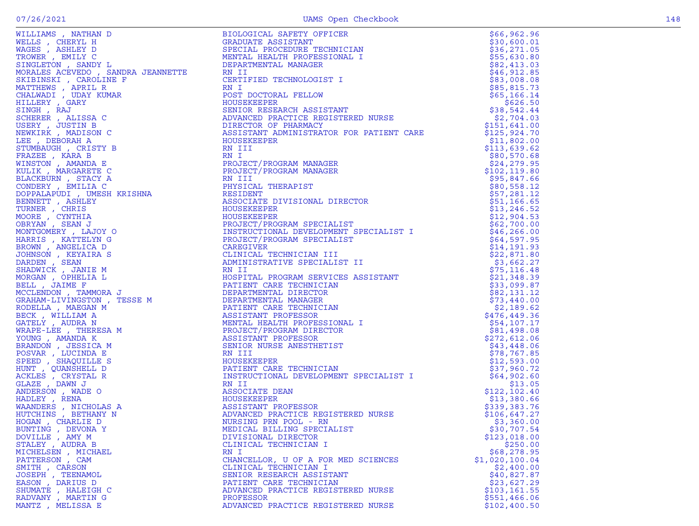|                     | NN I<br>PROJECT/PROGRAM MANAGER<br>PROJECT/PROGRAM MANAGER<br>NN II<br>NN III<br>NN III<br>NN III<br>RN III<br>RN III<br>RN III<br>RN III<br>RN III<br>RN III<br>RN III<br>RN III<br>RN III<br>SPS-7,281.10<br>SPS-7,281.10<br>SPS-7,281.10<br>SPS-7,281.10<br>SPS-7,2 |                |
|---------------------|------------------------------------------------------------------------------------------------------------------------------------------------------------------------------------------------------------------------------------------------------------------------|----------------|
|                     |                                                                                                                                                                                                                                                                        |                |
|                     |                                                                                                                                                                                                                                                                        |                |
|                     |                                                                                                                                                                                                                                                                        |                |
|                     |                                                                                                                                                                                                                                                                        |                |
|                     |                                                                                                                                                                                                                                                                        |                |
|                     |                                                                                                                                                                                                                                                                        |                |
|                     |                                                                                                                                                                                                                                                                        |                |
|                     |                                                                                                                                                                                                                                                                        |                |
|                     |                                                                                                                                                                                                                                                                        |                |
|                     |                                                                                                                                                                                                                                                                        |                |
|                     |                                                                                                                                                                                                                                                                        |                |
|                     |                                                                                                                                                                                                                                                                        |                |
|                     |                                                                                                                                                                                                                                                                        |                |
|                     |                                                                                                                                                                                                                                                                        |                |
|                     |                                                                                                                                                                                                                                                                        |                |
|                     |                                                                                                                                                                                                                                                                        |                |
|                     |                                                                                                                                                                                                                                                                        |                |
|                     |                                                                                                                                                                                                                                                                        |                |
|                     |                                                                                                                                                                                                                                                                        |                |
|                     |                                                                                                                                                                                                                                                                        |                |
|                     |                                                                                                                                                                                                                                                                        |                |
|                     |                                                                                                                                                                                                                                                                        |                |
|                     |                                                                                                                                                                                                                                                                        |                |
|                     |                                                                                                                                                                                                                                                                        |                |
| BUNTING , DEVONA Y  | MEDICAL BILLING SPECIALIST                                                                                                                                                                                                                                             | \$30,707.54    |
| DOVILLE, AMY M      | DIVISIONAL DIRECTOR                                                                                                                                                                                                                                                    | \$123,018.00   |
| STALEY , AUDRA B    | CLINICAL TECHNICIAN I                                                                                                                                                                                                                                                  | \$250.00       |
|                     | RN I                                                                                                                                                                                                                                                                   |                |
| MICHELSEN, MICHAEL  |                                                                                                                                                                                                                                                                        | \$68,278.95    |
| PATTERSON, CAM      | CHANCELLOR, U OF A FOR MED SCIENCES                                                                                                                                                                                                                                    | \$1,020,100.04 |
| SMITH , CARSON      | CLINICAL TECHNICIAN I                                                                                                                                                                                                                                                  | \$2,400.00     |
| JOSEPH , TEENAMOL   | SENIOR RESEARCH ASSISTANT                                                                                                                                                                                                                                              | \$40,827.87    |
| EASON, DARIUS D     | PATIENT CARE TECHNICIAN                                                                                                                                                                                                                                                | \$23,627.29    |
| SHUMATE , HALEIGH C | ADVANCED PRACTICE REGISTERED NURSE                                                                                                                                                                                                                                     | \$103, 161.55  |
|                     | PROFESSOR                                                                                                                                                                                                                                                              |                |
| RADVANY, MARTIN G   |                                                                                                                                                                                                                                                                        | \$551,466.06   |
| MANTZ , MELISSA E   | ADVANCED PRACTICE REGISTERED NURSE                                                                                                                                                                                                                                     | \$102,400.50   |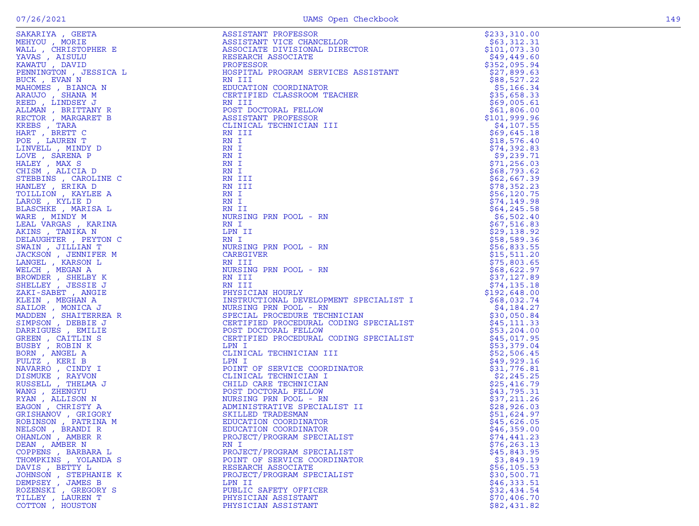| SAKARIYA (BEFAR)<br>MEHYOU , MORIE RANCHER E WANLS (AIRLY OU , MORIE RANCHER E KAWATU , DAVID BESICA LENINA IN ENTERNA A RESOLUCIÓN (BEFANY RANCHER BEFORD ) LINDEREY JEREN CARGARET E ENERGY , MANGHER E RECOLURE TREAT , BEETTY | ASSISTANT PROFESSOR<br>ASSISTANT VICE CHANCELLOR<br>ASSOCIATE DIVISIONAL DIRECTOR<br>RESEARCH ASSOCIATE<br>PROFESSOR<br>HOSPITAL PROGRAM SERVICES ASSISTANT<br>RN III<br>EDUCATION COORDINATOR<br>CERTIFIED CLASSROOM TEACHER<br>ASSISTANT PROFESSOR<br>CLIN | \$233,310.00                |
|-----------------------------------------------------------------------------------------------------------------------------------------------------------------------------------------------------------------------------------|--------------------------------------------------------------------------------------------------------------------------------------------------------------------------------------------------------------------------------------------------------------|-----------------------------|
|                                                                                                                                                                                                                                   |                                                                                                                                                                                                                                                              | \$63,312.31                 |
|                                                                                                                                                                                                                                   |                                                                                                                                                                                                                                                              | \$101,073.30                |
|                                                                                                                                                                                                                                   |                                                                                                                                                                                                                                                              | \$49,449.60                 |
|                                                                                                                                                                                                                                   |                                                                                                                                                                                                                                                              | \$352,095.94                |
|                                                                                                                                                                                                                                   |                                                                                                                                                                                                                                                              | \$27,899.63                 |
|                                                                                                                                                                                                                                   |                                                                                                                                                                                                                                                              | \$88,527.22                 |
|                                                                                                                                                                                                                                   |                                                                                                                                                                                                                                                              | \$5,166.34                  |
|                                                                                                                                                                                                                                   |                                                                                                                                                                                                                                                              | \$35,658.33                 |
|                                                                                                                                                                                                                                   |                                                                                                                                                                                                                                                              | \$69,005.61                 |
|                                                                                                                                                                                                                                   |                                                                                                                                                                                                                                                              | \$61,806.00                 |
|                                                                                                                                                                                                                                   |                                                                                                                                                                                                                                                              | \$101,999.96                |
|                                                                                                                                                                                                                                   |                                                                                                                                                                                                                                                              | \$4,107.55                  |
|                                                                                                                                                                                                                                   |                                                                                                                                                                                                                                                              | \$69,645.18                 |
|                                                                                                                                                                                                                                   |                                                                                                                                                                                                                                                              | \$18,576.40                 |
|                                                                                                                                                                                                                                   |                                                                                                                                                                                                                                                              | \$74,392.83                 |
|                                                                                                                                                                                                                                   |                                                                                                                                                                                                                                                              | \$9,239.71                  |
|                                                                                                                                                                                                                                   | RN I                                                                                                                                                                                                                                                         | \$71,256.03                 |
|                                                                                                                                                                                                                                   | RN I                                                                                                                                                                                                                                                         | \$68,793.62                 |
|                                                                                                                                                                                                                                   | RN III<br>RN III                                                                                                                                                                                                                                             | \$62,667.39<br>\$78,352.23  |
|                                                                                                                                                                                                                                   | RN I                                                                                                                                                                                                                                                         | \$56, 120.75                |
|                                                                                                                                                                                                                                   | RN I                                                                                                                                                                                                                                                         | \$74,149.98                 |
|                                                                                                                                                                                                                                   | RN II                                                                                                                                                                                                                                                        | \$64, 245.58                |
|                                                                                                                                                                                                                                   | NURSING PRN POOL - RN                                                                                                                                                                                                                                        | \$6,502.40                  |
|                                                                                                                                                                                                                                   | RN I                                                                                                                                                                                                                                                         | \$67,516.83                 |
|                                                                                                                                                                                                                                   | LPN II                                                                                                                                                                                                                                                       | \$29,138.92                 |
|                                                                                                                                                                                                                                   | RN I                                                                                                                                                                                                                                                         | \$58,589.36                 |
|                                                                                                                                                                                                                                   | NURSING PRN POOL - RN                                                                                                                                                                                                                                        | \$56,833.55                 |
|                                                                                                                                                                                                                                   | CAREGIVER                                                                                                                                                                                                                                                    | \$15,511.20                 |
|                                                                                                                                                                                                                                   | RN III                                                                                                                                                                                                                                                       | \$75,803.65                 |
|                                                                                                                                                                                                                                   | NURSING PRN POOL - RN                                                                                                                                                                                                                                        | \$68,622.97                 |
|                                                                                                                                                                                                                                   | RN III                                                                                                                                                                                                                                                       | \$37,127.89                 |
|                                                                                                                                                                                                                                   | RN III                                                                                                                                                                                                                                                       | \$74,135.18                 |
|                                                                                                                                                                                                                                   | PHYSICIAN HOURLY                                                                                                                                                                                                                                             | \$192,648.00                |
|                                                                                                                                                                                                                                   | FHISTCIAN HORLI<br>INSTRUCTIONAL DEVELOPMENT SPECIALIST I<br>NURSING PRN POOL - RN<br>SPECIAL PROCEDURE TECHNICIAN<br>CERTIFIED PROCEDURAL CODING SPECIALIST<br>POST DOCTORAL FELLOW<br>CERTIFIED PROCEDURAL CODING SPECIALIST<br>LPN I                      | \$68,032.74                 |
|                                                                                                                                                                                                                                   |                                                                                                                                                                                                                                                              | \$4,184.27                  |
|                                                                                                                                                                                                                                   |                                                                                                                                                                                                                                                              | \$30,050.84                 |
|                                                                                                                                                                                                                                   |                                                                                                                                                                                                                                                              | \$45,111.33                 |
|                                                                                                                                                                                                                                   |                                                                                                                                                                                                                                                              | \$53,204.00                 |
|                                                                                                                                                                                                                                   |                                                                                                                                                                                                                                                              | \$45,017.95                 |
|                                                                                                                                                                                                                                   | LPN I                                                                                                                                                                                                                                                        | \$53,379.04                 |
|                                                                                                                                                                                                                                   | T<br>INATOR<br>INATOR<br>IST II<br>CLINICAL TECHNICIAN III                                                                                                                                                                                                   | \$52,506.45                 |
|                                                                                                                                                                                                                                   | LPN I                                                                                                                                                                                                                                                        | \$49,929.16                 |
|                                                                                                                                                                                                                                   | POINT OF SERVICE COORDINATOR                                                                                                                                                                                                                                 | \$31,776.81                 |
|                                                                                                                                                                                                                                   | CLINICAL TECHNICIAN I                                                                                                                                                                                                                                        | \$2,245.25                  |
|                                                                                                                                                                                                                                   | CHILD CARE TECHNICIAN                                                                                                                                                                                                                                        | \$25,416.79                 |
|                                                                                                                                                                                                                                   | POST DOCTORAL FELLOW                                                                                                                                                                                                                                         | \$43,795.31                 |
|                                                                                                                                                                                                                                   | NURSING PRN POOL - RN                                                                                                                                                                                                                                        | \$37,211.26                 |
|                                                                                                                                                                                                                                   | ADMINISTRATIVE SPECIALIST II                                                                                                                                                                                                                                 | \$28,926.03                 |
|                                                                                                                                                                                                                                   | SKILLED TRADESMAN                                                                                                                                                                                                                                            | \$51,624.97                 |
|                                                                                                                                                                                                                                   | EDUCATION COORDINATOR                                                                                                                                                                                                                                        | \$45,626.05                 |
|                                                                                                                                                                                                                                   | EDUCATION COORDINATOR                                                                                                                                                                                                                                        | \$46,359.00                 |
| OHANLON, AMBER R                                                                                                                                                                                                                  | PROJECT/PROGRAM SPECIALIST                                                                                                                                                                                                                                   | \$74,441.23                 |
| DEAN, AMBER N                                                                                                                                                                                                                     | RN I                                                                                                                                                                                                                                                         | \$76, 263.13                |
| COPPENS, BARBARA L                                                                                                                                                                                                                | PROJECT/PROGRAM SPECIALIST                                                                                                                                                                                                                                   | \$45,843.95                 |
| THOMPKINS, YOLANDA S                                                                                                                                                                                                              | POINT OF SERVICE COORDINATOR<br>RESEARCH ASSOCIATE                                                                                                                                                                                                           | \$3,849.19                  |
| DAVIS, BETTY L                                                                                                                                                                                                                    |                                                                                                                                                                                                                                                              | \$56, 105.53<br>\$30,500.71 |
| JOHNSON, STEPHANIE K                                                                                                                                                                                                              | PROJECT/PROGRAM SPECIALIST<br>LPN II                                                                                                                                                                                                                         |                             |
| DEMPSEY, JAMES B<br>ROZENSKI, GREGORY S                                                                                                                                                                                           | PUBLIC SAFETY OFFICER                                                                                                                                                                                                                                        | \$46,333.51<br>\$32,434.54  |
| TILLEY , LAUREN T                                                                                                                                                                                                                 | PHYSICIAN ASSISTANT                                                                                                                                                                                                                                          | \$70,406.70                 |
| COTTON, HOUSTON                                                                                                                                                                                                                   | PHYSICIAN ASSISTANT                                                                                                                                                                                                                                          | \$82,431.82                 |
|                                                                                                                                                                                                                                   |                                                                                                                                                                                                                                                              |                             |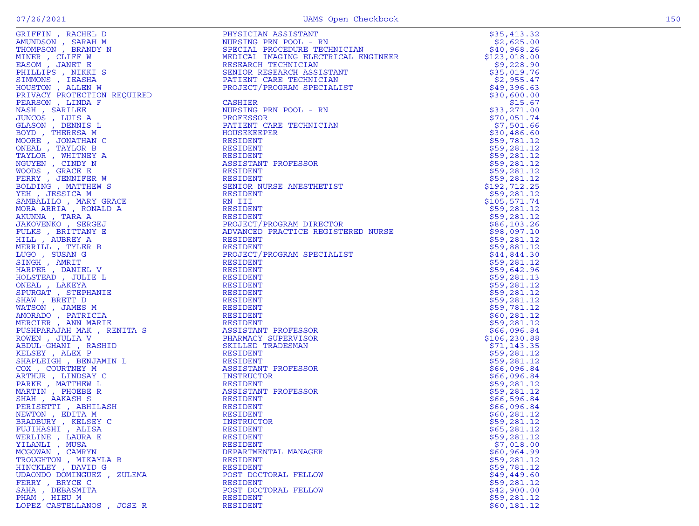| GRIFFIN, RACHEL D                     | PHYSICIAN ASSISTANT                                                                                                                                        | \$35,413.32                |
|---------------------------------------|------------------------------------------------------------------------------------------------------------------------------------------------------------|----------------------------|
| AMUNDSON, SARAH M                     | PHYSICIAN ASSISTANT<br>NURSING PRN POOL - RN<br>SPECIAL PROCEDURE TECHNICIAN<br>MEDICAL IMAGING ELECTRICAL ENGINEER<br>MEDICAL IMAGING ELECTRICAL ENGINEER | \$2,625.00                 |
| THOMPSON, BRANDY N                    |                                                                                                                                                            | \$40,968.26                |
| MINER , CLIFF W                       |                                                                                                                                                            | \$123,018.00               |
| EASOM, JANET E                        | RESEARCH TECHNICIAN                                                                                                                                        | \$9,228.90                 |
| PHILLIPS, NIKKI S                     | SENIOR RESEARCH ASSISTANT                                                                                                                                  | \$35,019.76                |
| SIMMONS, IEASHA                       | PATIENT CARE TECHNICIAN                                                                                                                                    | \$2,955.47                 |
| HOUSTON, ALLEN W                      | PROJECT/PROGRAM SPECIALIST                                                                                                                                 | \$49,396.63                |
| PRIVACY PROTECTION REQUIRED           |                                                                                                                                                            | \$30,600.00                |
| PEARSON, LINDA F                      | <b>CASHIER</b>                                                                                                                                             | \$15.67                    |
| NASH, SARILEE                         | NURSING PRN POOL - RN                                                                                                                                      | \$33,271.00                |
| JUNCOS , LUIS A                       | PROFESSOR                                                                                                                                                  | \$70,051.74                |
| GLASON , DENNIS L                     | PATIENT CARE TECHNICIAN                                                                                                                                    | \$7,501.66                 |
| BOYD, THERESA M                       | HOUSEKEEPER                                                                                                                                                | \$30,486.60                |
| MOORE, JONATHAN C                     | RESIDENT                                                                                                                                                   | \$59,781.12                |
| ONEAL , TAYLOR B                      | RESIDENT                                                                                                                                                   | \$59,281.12                |
|                                       | RESIDENT                                                                                                                                                   | \$59,281.12                |
| TAYLOR, WHITNEY A<br>NGUYEN , CINDY N | ASSISTANT PROFESSOR                                                                                                                                        | \$59,281.12                |
|                                       |                                                                                                                                                            |                            |
| WOODS, GRACE E<br>FERRY , JENNIFER W  | RESIDENT<br>RESIDENT                                                                                                                                       | \$59,281.12                |
|                                       | SENIOR NURSE ANESTHETIST                                                                                                                                   | \$59,281.12                |
| BOLDING, MATTHEW S                    |                                                                                                                                                            | \$192,712.25               |
| YEH, JESSICA M                        | RESIDENT                                                                                                                                                   | \$59,281.12                |
| SAMBALILO, MARY GRACE                 | RN III                                                                                                                                                     | \$105,571.74               |
| MORA ARRIA, RONALD A                  | RESIDENT                                                                                                                                                   | \$59,281.12                |
| AKUNNA , TARA A                       | RESIDENT<br>PROJECT/PROGRAM DIRECTOR<br>ADVANCED PRACTICE REGISTERED NURSE<br>ADVANCED PRACTICE REGISTERED NURSE                                           | \$59,281.12                |
| JAKOVENKO, SERGEJ                     |                                                                                                                                                            | \$86,103.26                |
| FULKS, BRITTANY E                     |                                                                                                                                                            | \$98,097.10                |
| HILL, AUBREY A<br>MERRILL , TYLER B   | RESIDENT<br>RESIDENT                                                                                                                                       | \$59,281.12                |
| LUGO, SUSAN G                         | PROJECT/PROGRAM SPECIALIST                                                                                                                                 | \$59,881.12<br>\$44,844.30 |
| SINGH, AMRIT                          | RESIDENT                                                                                                                                                   | \$59,281.12                |
| HARPER, DANIEL V                      | RESIDENT                                                                                                                                                   | \$59,642.96                |
| HOLSTEAD, JULIE L                     | RESIDENT                                                                                                                                                   |                            |
| ONEAL , LAKEYA                        | RESIDENT                                                                                                                                                   | \$59,281.13<br>\$59,281.12 |
| SPURGAT , STEPHANIE                   | RESIDENT                                                                                                                                                   | \$59,281.12                |
| SHAW, BRETT D                         | RESIDENT                                                                                                                                                   | \$59,281.12                |
| WATSON, JAMES M                       | RESIDENT                                                                                                                                                   | \$59,781.12                |
| AMORADO, PATRICIA                     | RESIDENT                                                                                                                                                   | \$60, 281.12               |
| MERCIER, ANN MARIE                    | RESIDENT                                                                                                                                                   | \$59,281.12                |
| PUSHPARAJAH MAK, RENITA S             | ASSISTANT PROFESSOR                                                                                                                                        | \$66,096.84                |
| ROWEN, JULIA V                        | PHARMACY SUPERVISOR                                                                                                                                        | \$106,230.88               |
| ABDUL-GHANI , RASHID                  | SKILLED TRADESMAN                                                                                                                                          | \$71,143.35                |
| KELSEY, ALEX P                        | RESIDENT                                                                                                                                                   | \$59,281.12                |
| SHAPLEIGH, BENJAMIN L                 | RESIDENT                                                                                                                                                   | \$59,281.12                |
| COX, COURTNEY M                       | ASSISTANT PROFESSOR                                                                                                                                        | \$66,096.84                |
| ARTHUR, LINDSAY C                     | INSTRUCTOR                                                                                                                                                 | \$66,096.84                |
| PARKE, MATTHEW L                      | RESIDENT                                                                                                                                                   | \$59,281.12                |
| MARTIN, PHOEBE R                      | ASSISTANT PROFESSOR                                                                                                                                        | \$59,281.12                |
| SHAH, AAKASH S                        | RESIDENT                                                                                                                                                   | \$66,596.84                |
| PERISETTI , ABHILASH                  | RESIDENT                                                                                                                                                   | \$66,096.84                |
| NEWTON, EDITA M                       | RESIDENT                                                                                                                                                   | \$60, 281.12               |
| BRADBURY, KELSEY C                    | INSTRUCTOR                                                                                                                                                 | \$59,281.12                |
| FUJIHASHI , ALISA                     | <b>RESIDENT</b>                                                                                                                                            | \$65, 281.12               |
| WERLINE, LAURA E                      | RESIDENT                                                                                                                                                   | \$59,281.12                |
| YILANLI , MUSA                        | RESIDENT                                                                                                                                                   | \$7,018.00                 |
| MCGOWAN, CAMRYN                       | DEPARTMENTAL MANAGER                                                                                                                                       | \$60,964.99                |
| TROUGHTON, MIKAYLA B                  | RESIDENT                                                                                                                                                   | \$59,281.12                |
| HINCKLEY, DAVID G                     | RESIDENT                                                                                                                                                   | \$59,781.12                |
| UDAONDO DOMINGUEZ, ZULEMA             | POST DOCTORAL FELLOW                                                                                                                                       | \$49,449.60                |
| FERRY, BRYCE C                        | RESIDENT                                                                                                                                                   | \$59,281.12                |
| SAHA, DEBASMITA                       | POST DOCTORAL FELLOW                                                                                                                                       | \$42,900.00                |
| PHAM, HIEU M                          | RESIDENT                                                                                                                                                   | \$59,281.12                |
| LOPEZ CASTELLANOS, JOSE R             | RESIDENT                                                                                                                                                   | \$60,181.12                |
|                                       |                                                                                                                                                            |                            |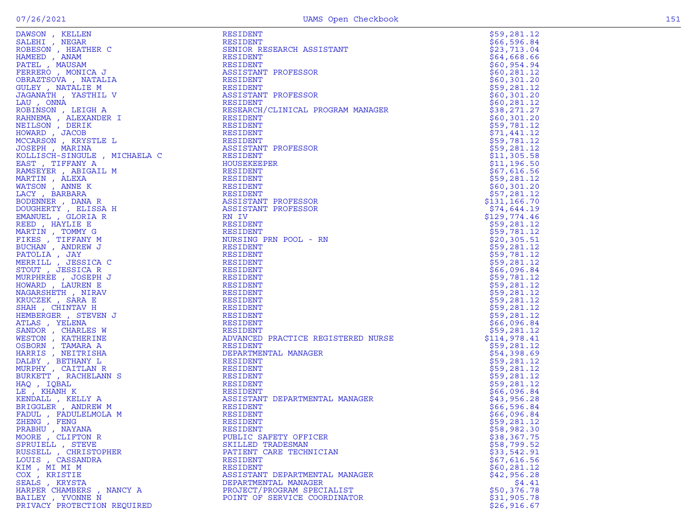| DAWSON , KELLEN<br>SALEHI , NEGAR<br>ROBESON , HEATHER C<br>HAMEED , ANAM<br>PATEL , MAUSAM<br>FERRERO , MONICA J<br>OBRAZTSOVA , NATALIA<br>CHI.EY NATALIF M                                                                                                   | RESIDENT                           | \$59,281.12                 |
|-----------------------------------------------------------------------------------------------------------------------------------------------------------------------------------------------------------------------------------------------------------------|------------------------------------|-----------------------------|
|                                                                                                                                                                                                                                                                 | RESIDENT                           | \$66,596.84                 |
|                                                                                                                                                                                                                                                                 | SENIOR RESEARCH ASSISTANT          | \$23,713.04                 |
|                                                                                                                                                                                                                                                                 | RESIDENT                           | \$64,668.66                 |
|                                                                                                                                                                                                                                                                 | RESIDENT                           | \$60,954.94                 |
|                                                                                                                                                                                                                                                                 | ASSISTANT PROFESSOR                | \$60, 281.12                |
|                                                                                                                                                                                                                                                                 | RESIDENT                           | \$60,301.20                 |
| GULEY, NATALIE M                                                                                                                                                                                                                                                | RESIDENT                           | \$59,281.12                 |
| JAGANATH , YASTHIL V                                                                                                                                                                                                                                            | ASSISTANT PROFESSOR                | \$60,301.20                 |
| LAU, ONNA                                                                                                                                                                                                                                                       | RESIDENT                           | \$60, 281.12                |
| ROBINSON, LEIGH A                                                                                                                                                                                                                                               | RESEARCH/CLINICAL PROGRAM MANAGER  | \$38,271.27                 |
| RAHNEMA, ALEXANDER I                                                                                                                                                                                                                                            | RESIDENT                           | \$60,301.20                 |
| NEILSON, DERIK                                                                                                                                                                                                                                                  | RESIDENT                           | \$59,781.12                 |
| HOWARD, JACOB                                                                                                                                                                                                                                                   | RESIDENT                           | \$71,441.12                 |
| MCCARSON, KRYSTLE L                                                                                                                                                                                                                                             | RESIDENT                           | \$59,781.12                 |
| JOSEPH, MARINA                                                                                                                                                                                                                                                  | ASSISTANT PROFESSOR                | \$59,281.12                 |
| KOLLISCH-SINGULE , MICHAELA C                                                                                                                                                                                                                                   | RESIDENT                           | \$11,305.58                 |
| EAST, TIFFANY A                                                                                                                                                                                                                                                 | HOUSEKEEPER                        | \$11,196.50                 |
|                                                                                                                                                                                                                                                                 | RESIDENT                           | \$67,616.56                 |
|                                                                                                                                                                                                                                                                 | RESIDENT                           | \$59,281.12                 |
|                                                                                                                                                                                                                                                                 | RESIDENT                           | \$60,301.20                 |
|                                                                                                                                                                                                                                                                 | RESIDENT                           | \$57,281.12                 |
|                                                                                                                                                                                                                                                                 | ASSISTANT PROFESSOR                | \$131, 166.70               |
|                                                                                                                                                                                                                                                                 | ASSISTANT PROFESSOR                | \$74,644.19                 |
|                                                                                                                                                                                                                                                                 | RN IV                              | \$129,774.46                |
|                                                                                                                                                                                                                                                                 | RESIDENT                           | \$59,281.12                 |
|                                                                                                                                                                                                                                                                 | RESIDENT                           | \$59,781.12                 |
|                                                                                                                                                                                                                                                                 | NURSING PRN POOL - RN              | \$20, 305.51                |
|                                                                                                                                                                                                                                                                 | RESIDENT                           | \$59,281.12                 |
|                                                                                                                                                                                                                                                                 | RESIDENT                           | \$59,781.12                 |
|                                                                                                                                                                                                                                                                 | RESIDENT                           | \$59,281.12                 |
| KOLLISCH-SINGULE , MICHAELA C<br>EAST , TIFFANY A<br>RAMSEYER , ABIGAIL M<br>MARTIN , ALEXA<br>WATSON , ANNE K<br>LACY , BARBARA<br>BODENNER , DANA R<br>DOUGHERTY , ELISSA H<br>EMANUEL , GLORIA R<br>REED , HAYLIE E<br>MARTIN , TOMNY G<br>FIKES , TIFFANY M | RESIDENT                           | \$66,096.84                 |
|                                                                                                                                                                                                                                                                 | RESIDENT                           | \$59,781.12                 |
|                                                                                                                                                                                                                                                                 | RESIDENT                           | \$59,281.12                 |
|                                                                                                                                                                                                                                                                 | RESIDENT                           | \$59,281.12                 |
|                                                                                                                                                                                                                                                                 | RESIDENT                           | \$59,281.12                 |
|                                                                                                                                                                                                                                                                 | RESIDENT                           | \$59,281.12                 |
|                                                                                                                                                                                                                                                                 | RESIDENT                           | \$59,281.12                 |
| ATLAS, YELENA                                                                                                                                                                                                                                                   | RESIDENT                           | \$66,096.84                 |
| $\begin{array}{c}\n1 & \text{N} \\ 1 & \text{N}\n\end{array}$<br>SANDOR, CHARLES W                                                                                                                                                                              | RESIDENT                           | \$59,281.12                 |
| WESTON, KATHERINE                                                                                                                                                                                                                                               | ADVANCED PRACTICE REGISTERED NURSE | \$114,978.41                |
| OSBORN , TAMARA A                                                                                                                                                                                                                                               | RESIDENT                           | \$59,281.12                 |
| HARRIS, NEITRISHA                                                                                                                                                                                                                                               | DEPARTMENTAL MANAGER               | \$54,398.69                 |
| DALBY, BETHANY L                                                                                                                                                                                                                                                | RESIDENT                           | \$59,281.12                 |
| MURPHY, CAITLAN R                                                                                                                                                                                                                                               | RESIDENT                           | \$59,281.12                 |
| BURKETT , RACHELANN S                                                                                                                                                                                                                                           | RESIDENT                           | \$59,281.12                 |
| HAQ, IQBAL                                                                                                                                                                                                                                                      | RESIDENT                           | \$59,281.12                 |
| LE, KHANH K                                                                                                                                                                                                                                                     | RESIDENT                           | \$66,096.84                 |
| KENDALL, KELLY A                                                                                                                                                                                                                                                | ASSISTANT DEPARTMENTAL MANAGER     | \$43,956.28                 |
| BRIGGLER, ANDREW M                                                                                                                                                                                                                                              | RESIDENT                           | \$66,596.84                 |
| FADUL, FADULELMOLA M                                                                                                                                                                                                                                            | RESIDENT                           | \$66,096.84                 |
| ZHENG , FENG                                                                                                                                                                                                                                                    | RESIDENT                           | \$59,281.12                 |
| PRABHU, NAYANA                                                                                                                                                                                                                                                  | RESIDENT                           | \$58,982.30                 |
| MOORE, CLIFTON R                                                                                                                                                                                                                                                | PUBLIC SAFETY OFFICER              | \$38,367.75                 |
| SPRUIELL , STEVE                                                                                                                                                                                                                                                | SKILLED TRADESMAN                  | \$58,799.52                 |
| RUSSELL , CHRISTOPHER                                                                                                                                                                                                                                           | PATIENT CARE TECHNICIAN            | \$33,542.91                 |
| LOUIS, CASSANDRA                                                                                                                                                                                                                                                | RESIDENT                           | \$67,616.56                 |
| KIM, MI MI M                                                                                                                                                                                                                                                    | RESIDENT                           | \$60, 281.12                |
| COX , KRISTIE                                                                                                                                                                                                                                                   | ASSISTANT DEPARTMENTAL MANAGER     | \$42,956.28                 |
| SEALS, KRYSTA                                                                                                                                                                                                                                                   | DEPARTMENTAL MANAGER               | \$4.41<br>\$50,376.78       |
| HARPER CHAMBERS, NANCY A                                                                                                                                                                                                                                        | PROJECT/PROGRAM SPECIALIST         |                             |
| BAILEY , YVONNE N<br>PRIVACY PROTECTION REQUIRED                                                                                                                                                                                                                | POINT OF SERVICE COORDINATOR       | \$31,905.78<br>\$26, 916.67 |
|                                                                                                                                                                                                                                                                 |                                    |                             |

|    | 596<br>84<br>66<br>l,<br>$\overline{1}$<br>04<br>2<br>3<br>713<br>$\overline{1}$<br>6<br>$\overline{4}$<br>668<br>6<br>6<br>l.<br>$\overline{1}$<br>$\frac{6}{ }$<br>9<br>94<br>0<br>54<br>$\overline{a}$<br>6<br>8<br>$\mathbf{1}$<br>$\mathbf{1}$<br>$\overline{a}$<br>0<br>$\overline{1}$<br>6<br>5<br>6<br>$\overline{a}$<br>$\mathbf 0$<br>$\mathbf 0$<br>0<br>3<br>1<br>281<br>301<br>$\frac{1}{2}$<br>$\frac{9}{0}$<br>2<br>$\overline{1}$<br>$\mathbf 0$<br>$\overline{1}$<br>$\frac{6}{3}$<br>$\overline{2}$<br>81<br>1<br>0<br>2<br>ï<br>$\overline{a}$<br>$\overline{a}$<br>8<br>71<br>7<br>$\overline{1}$<br>657551<br>3<br>2<br>0<br>0<br>0<br>1<br>78<br>1<br>9<br>1<br>1<br>2<br>$\overline{1}$<br>44<br>1<br>$\overline{2}$<br>1<br>í<br>9<br>9<br>1<br>781<br>$\overline{\mathbf{c}}$<br>1<br>$\overline{1}$<br>281<br>$\mathbf{1}$<br>$\overline{2}$<br>$\overline{1}$<br>3<br>5<br>8<br>05<br>$\mathbf{1}$<br>$\frac{1}{6}$<br>1<br>96<br>$\ddot{\phantom{0}}$<br>5<br>0<br>$\overline{1}$<br>7<br>616<br>5<br>6<br>28<br>$\mathbf{1}$<br>$\mathbf{1}$<br>9<br>$\overline{1}$<br>2 |
|----|-------------------------------------------------------------------------------------------------------------------------------------------------------------------------------------------------------------------------------------------------------------------------------------------------------------------------------------------------------------------------------------------------------------------------------------------------------------------------------------------------------------------------------------------------------------------------------------------------------------------------------------------------------------------------------------------------------------------------------------------------------------------------------------------------------------------------------------------------------------------------------------------------------------------------------------------------------------------------------------------------------------------------------------------------------------------------------------------------------|
|    | 5<br>6<br>5<br>$\overline{a}$<br>0<br>3<br>$\mathbf 0$<br>1<br>$\mathbf 0$<br>281<br>$\overline{1}$<br>$\overline{c}$<br>7<br>$\ddot{\phantom{0}}$<br>$\overline{1}$<br>166<br>70<br>3<br>1<br>\$<br>ï<br>74<br>29<br>644<br>9<br>1<br>l,<br>\$<br>9<br>9<br>9<br>6<br>774<br>4<br>$\overline{1}$<br>l.<br>28<br>552555665555566514<br>1<br>1<br>2<br>$\mathbf{1}$<br>78<br>1<br>2<br>$\overline{1}$<br>l.<br>$\mathbf{1}$<br>3<br>0<br>5<br>5<br>$\overline{c}$<br>8<br>$\mathbf{1}$<br>$\mathbf{1}$<br>$\frac{2}{2}$<br>$\overline{1}$<br>$\ddot{\phantom{0}}$<br>78<br>1<br>1<br>,<br>281<br>2<br>1<br>$\overline{1}$<br>8<br>0<br>96<br>$\overline{4}$<br>$\overline{1}$<br>78<br>1<br>1<br>2<br>28<br>$\overline{2}$<br>1<br>1<br>$\overline{1}$<br>l.<br>8<br>2<br>1<br>1<br>2<br>28<br>$\overline{c}$<br>1<br>$\mathbf{1}$<br>$\overline{1}$<br>28<br>1<br>$\overline{2}$<br>1<br>281<br>1<br>$\overline{c}$<br>$\overline{1}$<br>096<br>84<br>$\overline{1}$<br>$\overline{c}$<br>81<br>$\overline{1}$<br>2                                                                                   |
| SЕ | 978<br>281<br>398<br>281<br>l.<br>4<br>1<br>$\overline{1}$<br>$\overline{1}$<br>555556646655599555<br>2<br>$\frac{9}{2}$<br>6<br>$\overline{1}$<br>9<br>9<br>9<br>1<br>281<br>$\mathbf{1}$<br>$\overline{c}$<br>281<br>$\overline{2}$<br>1<br>$\overline{1}$<br>281<br>$\mathbf{1}$<br>$\overline{2}$<br>8<br>0<br>96<br>$\overline{4}$<br>$\ddot{\phantom{a}}$<br>$\overline{1}$<br>956<br>8<br>2<br>96<br>5<br>8<br>4<br>$\ddot{\phantom{0}}$<br>$\overline{1}$<br>096<br>8<br>4<br>281<br>$\overline{c}$<br>$\mathbf{1}$<br>$\ddot{\phantom{0}}$<br>$\overline{1}$<br>$\mathbf 0$<br>982<br>3<br>538, 367.75<br>\$38, 367.75<br>\$58, 799.52<br>\$33, 542.91<br>\$67, 616.56<br>\$60, 281.12<br>\$42, 956.28<br>\$42, 956.28<br>\$42, 956.78<br>\$31, 905.78                                                                                                                                                                                                                                                                                                                                       |
|    |                                                                                                                                                                                                                                                                                                                                                                                                                                                                                                                                                                                                                                                                                                                                                                                                                                                                                                                                                                                                                                                                                                       |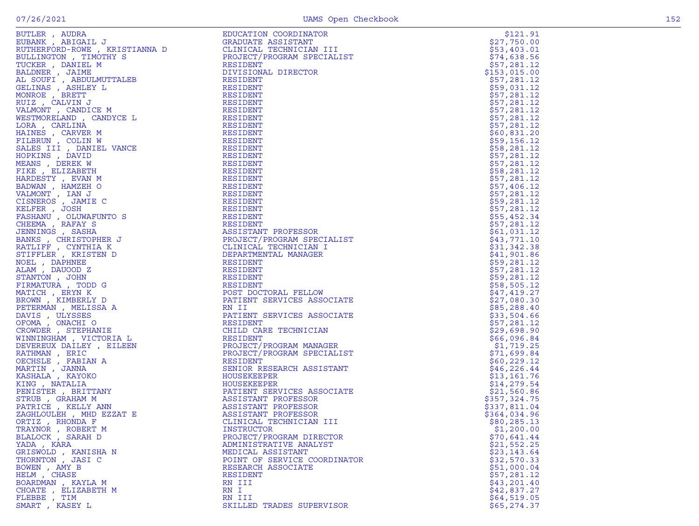|  | ٠      |  |
|--|--------|--|
|  |        |  |
|  | $\sim$ |  |
|  |        |  |

| BUTLER, AUDRA        | EDUCATION COORDINATOR        | \$121.91     |
|----------------------|------------------------------|--------------|
| EUBANK, ABIGAIL J    |                              |              |
|                      | <b>GRADUATE ASSISTANT</b>    | \$27,750.00  |
|                      |                              | \$53,403.01  |
|                      |                              | \$74,638.56  |
|                      |                              | \$57,281.12  |
|                      |                              | \$153,015.00 |
|                      |                              | \$57,281.12  |
|                      |                              | \$59,031.12  |
|                      |                              |              |
|                      |                              | \$57,281.12  |
|                      |                              | \$57,281.12  |
|                      |                              | \$57,281.12  |
|                      |                              | \$57,281.12  |
|                      |                              | \$57,281.12  |
|                      |                              | \$60,831.20  |
|                      |                              | \$59,156.12  |
|                      |                              | \$58,281.12  |
|                      |                              |              |
|                      |                              | \$57,281.12  |
|                      |                              | \$57,281.12  |
|                      |                              | \$58,281.12  |
|                      |                              | \$57,281.12  |
|                      |                              | \$57,406.12  |
|                      |                              | \$57,281.12  |
|                      |                              | \$59,281.12  |
|                      |                              |              |
|                      |                              | \$57,281.12  |
|                      |                              | \$55,452.34  |
|                      |                              | \$57,281.12  |
|                      |                              | \$61,031.12  |
|                      |                              | \$43,771.10  |
|                      |                              | \$31,342.38  |
|                      |                              | \$41,901.86  |
|                      |                              |              |
|                      |                              | \$59,281.12  |
|                      |                              | \$57,281.12  |
|                      |                              | \$59,281.12  |
|                      |                              | \$58,505.12  |
|                      |                              | \$47,419.27  |
|                      |                              | \$27,080.30  |
|                      |                              | \$85,288.40  |
|                      |                              |              |
|                      |                              | \$33,504.66  |
|                      |                              | \$57,281.12  |
|                      |                              | \$29,698.90  |
|                      |                              | \$66,096.84  |
|                      |                              | \$1,719.25   |
|                      |                              | \$71,699.84  |
|                      |                              | \$60, 229.12 |
|                      |                              | \$46,226.44  |
|                      |                              |              |
|                      |                              | \$13,161.76  |
|                      |                              | \$14,279.54  |
|                      |                              | \$21,560.86  |
|                      |                              | \$357,324.75 |
|                      |                              | \$337,811.04 |
|                      |                              | \$364,034.96 |
|                      |                              | \$80,285.13  |
|                      |                              |              |
| TRAYNOR, ROBERT M    | <b>INSTRUCTOR</b>            | \$1,200.00   |
| BLALOCK, SARAH D     | PROJECT/PROGRAM DIRECTOR     | \$70,641.44  |
| YADA, KARA           | ADMINISTRATIVE ANALYST       | \$21,552.25  |
| GRISWOLD, KANISHA N  | MEDICAL ASSISTANT            | \$23,143.64  |
| THORNTON, JASI C     | POINT OF SERVICE COORDINATOR | \$32,570.33  |
| BOWEN, AMY B         | RESEARCH ASSOCIATE           | \$51,000.04  |
| HELM, CHASE          | <b>RESIDENT</b>              | \$57,281.12  |
| BOARDMAN, KAYLA M    | RN III                       | \$43,201.40  |
|                      |                              |              |
| CHOATE , ELIZABETH M | RN I                         | \$42,837.27  |
| FLEBBE , TIM         | RN III                       | \$64,519.05  |
| SMART, KASEY L       | SKILLED TRADES SUPERVISOR    | \$65, 274.37 |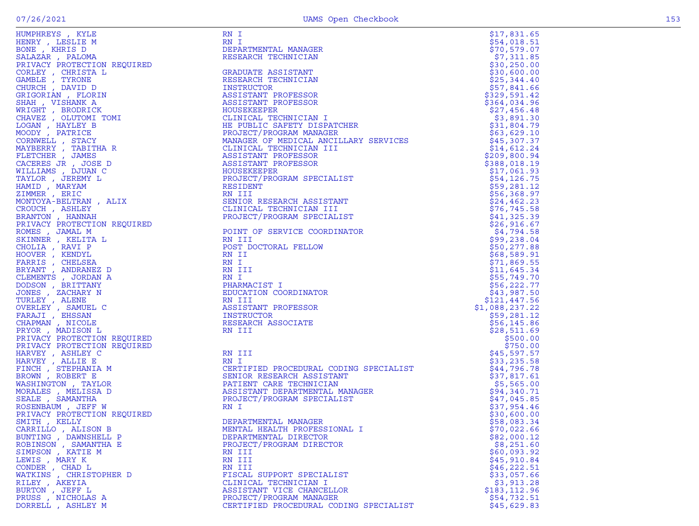|                        |                                                                                                                                                                                                                                                  |                | \$17,831.65                |
|------------------------|--------------------------------------------------------------------------------------------------------------------------------------------------------------------------------------------------------------------------------------------------|----------------|----------------------------|
|                        |                                                                                                                                                                                                                                                  |                | \$54,018.51                |
|                        | DEPARTMENTAL MANAGER                                                                                                                                                                                                                             |                | \$70,579.07                |
|                        | RESEARCH TECHNICIAN                                                                                                                                                                                                                              |                | \$7,311.85                 |
|                        |                                                                                                                                                                                                                                                  |                | \$30,250.00                |
|                        | GRADUATE ASSISTANT                                                                                                                                                                                                                               |                | \$30,600.00                |
|                        | RESEARCH TECHNICIAN                                                                                                                                                                                                                              |                | \$25,344.40                |
|                        | INSTRUCTOR                                                                                                                                                                                                                                       |                | \$57,841.66                |
|                        |                                                                                                                                                                                                                                                  |                | \$329,591.42               |
|                        |                                                                                                                                                                                                                                                  |                | \$364,034.96               |
|                        |                                                                                                                                                                                                                                                  |                | \$27,456.48                |
|                        | NESERACH HECHNICIAN<br>INSTRUCTOR<br>ASSISTANT PROFESSOR<br>HOUSEKEEPER<br>CLINICAL TECHNICIAN I<br>HE PUBLIC SAFETY DISPATCHER<br>REQUECT/PROGRAM MANAGER<br>MANAGER OF MEDICAL ANCILLARY SERVICES<br>CLINICAL TECHNICIAN III<br>ASSISTANT PROF |                | \$3,891.30                 |
|                        |                                                                                                                                                                                                                                                  |                | \$31,804.79                |
|                        |                                                                                                                                                                                                                                                  |                | \$63,629.10                |
|                        |                                                                                                                                                                                                                                                  |                | \$45,307.37                |
|                        |                                                                                                                                                                                                                                                  |                | \$14,612.24                |
|                        |                                                                                                                                                                                                                                                  |                | \$209,800.94               |
|                        |                                                                                                                                                                                                                                                  |                | \$388,018.19               |
|                        |                                                                                                                                                                                                                                                  |                | \$17,061.93                |
|                        |                                                                                                                                                                                                                                                  |                | \$54,126.75                |
|                        |                                                                                                                                                                                                                                                  |                | \$59,281.12                |
|                        |                                                                                                                                                                                                                                                  |                | \$56,368.97                |
|                        | SENIOR RESEARCH ASSISTANT                                                                                                                                                                                                                        |                | \$24,462.23                |
|                        |                                                                                                                                                                                                                                                  |                | \$76, 745.58               |
|                        | PROJECT/PROGRAM SPECIALIST                                                                                                                                                                                                                       |                | \$41,325.39                |
|                        |                                                                                                                                                                                                                                                  |                | \$26,916.67                |
|                        | POINT OF SERVICE COORDINATOR                                                                                                                                                                                                                     |                | \$4,794.58                 |
|                        |                                                                                                                                                                                                                                                  |                | \$99,238.04                |
|                        |                                                                                                                                                                                                                                                  |                | \$50, 277.88               |
|                        |                                                                                                                                                                                                                                                  |                | \$68,589.91                |
|                        |                                                                                                                                                                                                                                                  |                | \$71,869.55                |
|                        |                                                                                                                                                                                                                                                  |                | \$11,645.34                |
|                        |                                                                                                                                                                                                                                                  |                | \$55,749.70                |
|                        |                                                                                                                                                                                                                                                  |                | \$56,222.77                |
|                        |                                                                                                                                                                                                                                                  |                | \$43,987.50                |
|                        |                                                                                                                                                                                                                                                  |                | \$121,447.56               |
|                        |                                                                                                                                                                                                                                                  | \$1,088,237.22 |                            |
|                        |                                                                                                                                                                                                                                                  |                | \$59,281.12                |
|                        |                                                                                                                                                                                                                                                  |                | \$56, 145.86               |
|                        |                                                                                                                                                                                                                                                  |                | \$28,511.69                |
|                        |                                                                                                                                                                                                                                                  |                | \$500.00                   |
|                        |                                                                                                                                                                                                                                                  |                | \$750.00                   |
|                        |                                                                                                                                                                                                                                                  |                | \$45,597.57                |
|                        | RN I<br>CERTIFIED PROCEDURAL CODING SPECIALIST<br>SENIOR RESEARCH ASSISTANT<br>PATIENT CARE TECHNICIAN<br>ASSISTANT DEPARTMENTAL MANAGER<br>PROJECT/PROGRAM SPECIALIST<br>RN I<br>DEPARTMENTAL MANAGER<br>MENTAL HEALTH PROFESSIONAL I           |                | \$33,235.58                |
|                        |                                                                                                                                                                                                                                                  |                | \$44,796.78                |
|                        |                                                                                                                                                                                                                                                  |                | \$37,817.61                |
|                        |                                                                                                                                                                                                                                                  |                | \$5,565.00                 |
|                        |                                                                                                                                                                                                                                                  |                | \$94,340.71<br>\$47,045.85 |
|                        |                                                                                                                                                                                                                                                  |                | \$37,954.46                |
|                        |                                                                                                                                                                                                                                                  |                | \$30,600.00                |
|                        |                                                                                                                                                                                                                                                  |                | \$58,083.34                |
| CARRILLO, ALISON B     | MENTAL HEALTH PROFESSIONAL I                                                                                                                                                                                                                     |                | \$70,022.66                |
| BUNTING, DAWNSHELL P   | DEPARTMENTAL DIRECTOR                                                                                                                                                                                                                            |                | \$82,000.12                |
| ROBINSON, SAMANTHA E   | PROJECT/PROGRAM DIRECTOR                                                                                                                                                                                                                         |                | \$8,251.60                 |
| SIMPSON, KATIE M       | RN III                                                                                                                                                                                                                                           |                | \$60,093.92                |
| LEWIS, MARY K          | RN III                                                                                                                                                                                                                                           |                | \$45,910.84                |
| CONDER, CHAD L         | RN III                                                                                                                                                                                                                                           |                | \$46, 222.51               |
| WATKINS, CHRISTOPHER D | FISCAL SUPPORT SPECIALIST                                                                                                                                                                                                                        |                | \$33,057.66                |
| RILEY, AKEYIA          | CLINICAL TECHNICIAN I                                                                                                                                                                                                                            |                | \$3,913.28                 |
| BURTON, JEFF L         | ASSISTANT VICE CHANCELLOR                                                                                                                                                                                                                        |                | \$183, 112.96              |
| PRUSS, NICHOLAS A      | PROJECT/PROGRAM MANAGER                                                                                                                                                                                                                          |                | \$54,732.51                |
| DORRELL , ASHLEY M     | CERTIFIED PROCEDURAL CODING SPECIALIST                                                                                                                                                                                                           |                | \$45,629.83                |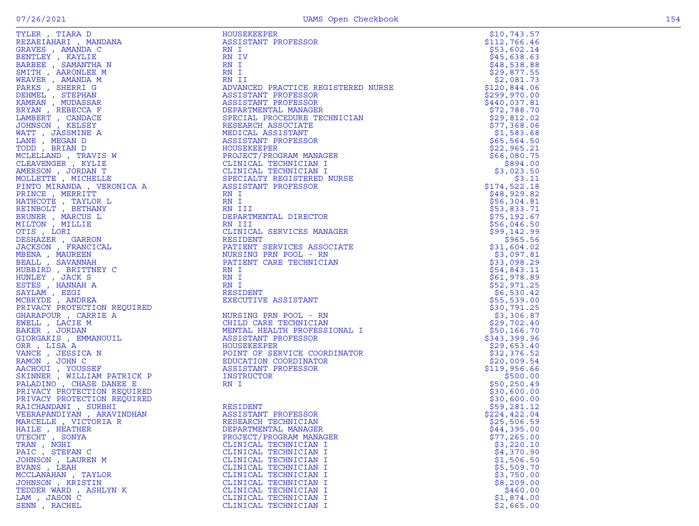|  | ۰. |  |
|--|----|--|

| TYLER, TIARA D                   | HOUSEKEEPER                                                                                                                                                                | \$10,743.57   |
|----------------------------------|----------------------------------------------------------------------------------------------------------------------------------------------------------------------------|---------------|
| REZAEIAHARI , MANDANA            | ASSISTANT PROFESSOR                                                                                                                                                        | \$112,766.46  |
| GRAVES , AMANDA C                | RN I                                                                                                                                                                       | \$53,602.14   |
| BENTLEY , KAYLIE                 | RN IV                                                                                                                                                                      | \$45,638.63   |
| BARBEE , SAMANTHA N              | RN I                                                                                                                                                                       | \$48,538.88   |
| SMITH, AARONLEE M                | RN I                                                                                                                                                                       | \$29,877.55   |
| WEAVER, AMANDA M                 | RN II                                                                                                                                                                      | \$2,081.73    |
| PARKS, SHERRI G                  | ADVANCED PRACTICE REGISTERED NURSE                                                                                                                                         | \$120,844.06  |
| DEHMEL , STEPHAN                 | ASSISTANT PROFESSOR                                                                                                                                                        | \$299,970.00  |
| KAMRAN , MUDASSAR                | ASSISTANT PROFESSOR                                                                                                                                                        | \$440,037.81  |
| BRYAN, REBECCA F                 | DEPARTMENTAL MANAGER                                                                                                                                                       | \$72,788.70   |
| LAMBERT, CANDACE                 | SPECIAL PROCEDURE TECHNICIAN                                                                                                                                               | \$29,812.02   |
| JOHNSON , KELSEY                 | RESEARCH ASSOCIATE                                                                                                                                                         | \$77,368.06   |
| WATT, JASSMINE A                 | MEDICAL ASSISTANT                                                                                                                                                          | \$1,583.68    |
| LANE, MEGAN D                    | ASSISTANT PROFESSOR                                                                                                                                                        | \$65,564.50   |
| TODD, BRIAN D                    | HOUSEKEEPER                                                                                                                                                                | \$22,965.21   |
| MCLELLAND, TRAVIS W              |                                                                                                                                                                            | \$66,080.75   |
| CLEAVENGER, KYLIE                |                                                                                                                                                                            | \$894.00      |
| AMERSON, JORDAN T                |                                                                                                                                                                            | \$3,023.50    |
| MOLLETTE , MICHELLE              | SPECIALTY REGISTERED NURSE                                                                                                                                                 | \$3.11        |
| PINTO MIRANDA, VERONICA A        | <b>PROJECT/PROGRAM MANAGER<br/>CLINICAL TECHNICIAN I<br/>CLINICAL TECHNICIAN I<br/>CLINICAL TECHNICIAN I<br/>SPECIALTY REGISTERED NUR:<br/>ASSISTANT PROFESSOR</b><br>RN T | \$174,522.18  |
| PRINCE, MERRITT                  | RN I                                                                                                                                                                       | \$48,929.82   |
| HATHCOTE , TAYLOR L              | RN I                                                                                                                                                                       | \$56,304.81   |
| REINBOLT , BETHANY               | RN III                                                                                                                                                                     | \$53,833.71   |
| BRUNER, MARCUS L                 | DEPARTMENTAL DIRECTOR                                                                                                                                                      | \$75,192.67   |
| MILTON , MILLIE                  | RN III                                                                                                                                                                     | \$56,046.50   |
| OTIS, LORI                       | CLINICAL SERVICES MANAGER                                                                                                                                                  | \$99,142.99   |
| DESHAZER , GARRON                | RESIDENT                                                                                                                                                                   | \$965.56      |
| JACKSON, FRANCICAL               | PATIENT SERVICES ASSOCIATE                                                                                                                                                 | \$31,604.02   |
| MBENA , MAUREEN                  | NURSING PRN POOL - RN                                                                                                                                                      | \$3,097.81    |
| BEALL , SAVANNAH                 | PATIENT CARE TECHNICIAN                                                                                                                                                    | \$33,098.29   |
| HUBBIRD, BRITTNEY C              | RN I                                                                                                                                                                       | \$54,843.11   |
| HUNLEY, JACK S                   | RN I                                                                                                                                                                       | \$61,978.89   |
| ESTES, HANNAH A                  | RN I                                                                                                                                                                       | \$52,971.25   |
| SAYLAM, EZGI                     | RESIDENT                                                                                                                                                                   | \$6,530.42    |
| MCBRYDE , ANDREA                 | EXECUTIVE ASSISTANT                                                                                                                                                        | \$55,539.00   |
| PRIVACY PROTECTION REQUIRED      |                                                                                                                                                                            | \$30,791.25   |
| $501$ KED<br>GHARAPOUR, CARRIE A | NURSING PRN POOL - RN                                                                                                                                                      | \$3,306.87    |
| EWELL, LACIE M                   | CHILD CARE TECHNICIAN                                                                                                                                                      | \$29,702.40   |
| BAKER, JORDAN                    | MENTAL HEALTH PROFESSIONAL I                                                                                                                                               | \$50,166.70   |
| GIORGAKIS , EMMANOUIL            | ASSISTANT PROFESSOR                                                                                                                                                        | \$343,399.96  |
| ORR, LISA A                      | HOUSEKEEPER                                                                                                                                                                | \$29,653.40   |
| VANCE, JESSICA N                 | POINT OF SERVICE COORDINATOR                                                                                                                                               | \$32,376.52   |
| RAMON, JOHN C                    | EDUCATION COORDINATOR                                                                                                                                                      | \$20,009.54   |
| AACHOUI , YOUSSEF                | ASSISTANT PROFESSOR                                                                                                                                                        | \$119,956.66  |
| SKINNER , WILLIAM PATRICK P      | INSTRUCTOR                                                                                                                                                                 | \$500.00      |
| PALADINO, CHASE DANEE E          | RN I                                                                                                                                                                       | \$50, 250.49  |
| PRIVACY PROTECTION REQUIRED      |                                                                                                                                                                            | \$30,600.00   |
| PRIVACY PROTECTION REQUIRED      |                                                                                                                                                                            | \$30,600.00   |
| RAICHANDANI, SURBHI              | RESIDENT                                                                                                                                                                   | \$59,281.12   |
| VEERAPANDIYAN, ARAVINDHAN        | ASSISTANT PROFESSOR                                                                                                                                                        | \$224, 422.04 |
| MARCELLE, VICTORIA R             | RESEARCH TECHNICIAN                                                                                                                                                        | \$25,506.59   |
| HAILE , HEATHER                  | DEPARTMENTAL MANAGER                                                                                                                                                       | \$44,395.00   |
| UTECHT, SONYA                    | PROJECT/PROGRAM MANAGER                                                                                                                                                    | \$77,265.00   |
| TRAN, NGHI                       | CLINICAL TECHNICIAN I                                                                                                                                                      | \$3,220.10    |
| PAIC, STEFAN C                   | CLINICAL TECHNICIAN I                                                                                                                                                      | \$4,370.90    |
| JOHNSON, LAUREN M                | CLINICAL TECHNICIAN I                                                                                                                                                      | \$1,506.50    |
| EVANS, LEAH                      | CLINICAL TECHNICIAN I                                                                                                                                                      | \$5,509.70    |
| MCCLANAHAN , TAYLOR              | CLINICAL TECHNICIAN I                                                                                                                                                      | \$3,750.00    |
| JOHNSON, KRISTIN                 | CLINICAL TECHNICIAN I                                                                                                                                                      | \$8,209.00    |
| TEDDER WARD, ASHLYN K            | CLINICAL TECHNICIAN I                                                                                                                                                      | \$460.00      |
| LAM, JASON C                     | CLINICAL TECHNICIAN I                                                                                                                                                      | \$1,874.00    |
| SENN, RACHEL                     | CLINICAL TECHNICIAN I                                                                                                                                                      | \$2,665.00    |
|                                  |                                                                                                                                                                            |               |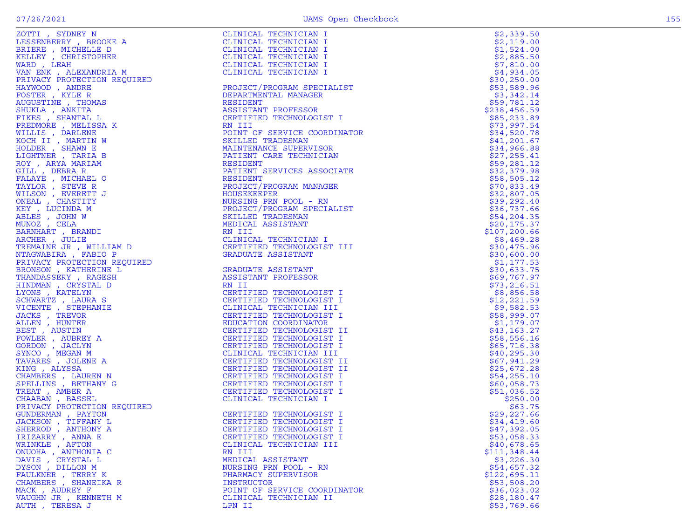| ZOTTI , SYDNEY N                                                                                                                                                                       |                                                                                                                                                                                                                                                          |               |
|----------------------------------------------------------------------------------------------------------------------------------------------------------------------------------------|----------------------------------------------------------------------------------------------------------------------------------------------------------------------------------------------------------------------------------------------------------|---------------|
|                                                                                                                                                                                        | CLINICAL TECHNICIAN I                                                                                                                                                                                                                                    | \$2,339.50    |
|                                                                                                                                                                                        | CLINICAL TECHNICIAN I                                                                                                                                                                                                                                    | \$2,119.00    |
|                                                                                                                                                                                        | CLINICAL TECHNICIAN I                                                                                                                                                                                                                                    | \$1,524.00    |
|                                                                                                                                                                                        |                                                                                                                                                                                                                                                          | \$2,885.50    |
|                                                                                                                                                                                        |                                                                                                                                                                                                                                                          | \$7,810.00    |
|                                                                                                                                                                                        |                                                                                                                                                                                                                                                          |               |
| ZOTTI , SYDNEY N<br>LESSENBERRY , BROOKE A<br>BRIERE , MICHELLE D<br>KELLEY , CHRISTOPHER<br>WARD , LEAH<br>VAN ENK , ALEXANDRIA M<br>DRIVACK , ALEXANDRIA M<br>DRIVACK , ALEXANDRIA M |                                                                                                                                                                                                                                                          | \$4,934.05    |
|                                                                                                                                                                                        |                                                                                                                                                                                                                                                          | \$30,250.00   |
|                                                                                                                                                                                        |                                                                                                                                                                                                                                                          | \$53,589.96   |
|                                                                                                                                                                                        |                                                                                                                                                                                                                                                          | \$3,342.14    |
|                                                                                                                                                                                        |                                                                                                                                                                                                                                                          | \$59,781.12   |
|                                                                                                                                                                                        |                                                                                                                                                                                                                                                          |               |
|                                                                                                                                                                                        |                                                                                                                                                                                                                                                          | \$238,456.59  |
|                                                                                                                                                                                        |                                                                                                                                                                                                                                                          | \$85,233.89   |
|                                                                                                                                                                                        |                                                                                                                                                                                                                                                          | \$73,997.54   |
|                                                                                                                                                                                        |                                                                                                                                                                                                                                                          | \$34,520.78   |
|                                                                                                                                                                                        |                                                                                                                                                                                                                                                          |               |
|                                                                                                                                                                                        |                                                                                                                                                                                                                                                          | \$41,201.67   |
|                                                                                                                                                                                        |                                                                                                                                                                                                                                                          | \$34,966.88   |
|                                                                                                                                                                                        |                                                                                                                                                                                                                                                          | \$27, 255.41  |
|                                                                                                                                                                                        |                                                                                                                                                                                                                                                          | \$59,281.12   |
|                                                                                                                                                                                        |                                                                                                                                                                                                                                                          |               |
|                                                                                                                                                                                        |                                                                                                                                                                                                                                                          | \$32,379.98   |
|                                                                                                                                                                                        |                                                                                                                                                                                                                                                          | \$58,505.12   |
|                                                                                                                                                                                        |                                                                                                                                                                                                                                                          | \$70,833.49   |
|                                                                                                                                                                                        |                                                                                                                                                                                                                                                          | \$32,807.05   |
|                                                                                                                                                                                        |                                                                                                                                                                                                                                                          | \$39,292.40   |
|                                                                                                                                                                                        |                                                                                                                                                                                                                                                          |               |
|                                                                                                                                                                                        |                                                                                                                                                                                                                                                          | \$36,737.66   |
|                                                                                                                                                                                        |                                                                                                                                                                                                                                                          | \$54, 204.35  |
|                                                                                                                                                                                        |                                                                                                                                                                                                                                                          | \$20, 175.37  |
|                                                                                                                                                                                        |                                                                                                                                                                                                                                                          | \$107, 200.66 |
|                                                                                                                                                                                        |                                                                                                                                                                                                                                                          |               |
|                                                                                                                                                                                        |                                                                                                                                                                                                                                                          | \$8,469.28    |
|                                                                                                                                                                                        |                                                                                                                                                                                                                                                          | \$30,475.96   |
|                                                                                                                                                                                        |                                                                                                                                                                                                                                                          | \$30,600.00   |
|                                                                                                                                                                                        |                                                                                                                                                                                                                                                          | \$1,177.53    |
|                                                                                                                                                                                        |                                                                                                                                                                                                                                                          | \$30,633.75   |
|                                                                                                                                                                                        |                                                                                                                                                                                                                                                          |               |
|                                                                                                                                                                                        |                                                                                                                                                                                                                                                          | \$69,767.97   |
|                                                                                                                                                                                        |                                                                                                                                                                                                                                                          | \$73, 216.51  |
|                                                                                                                                                                                        |                                                                                                                                                                                                                                                          | \$8,856.58    |
|                                                                                                                                                                                        |                                                                                                                                                                                                                                                          | \$12, 221.59  |
|                                                                                                                                                                                        |                                                                                                                                                                                                                                                          |               |
|                                                                                                                                                                                        |                                                                                                                                                                                                                                                          | \$9,582.53    |
|                                                                                                                                                                                        |                                                                                                                                                                                                                                                          | \$58,999.07   |
|                                                                                                                                                                                        |                                                                                                                                                                                                                                                          | \$1,179.07    |
|                                                                                                                                                                                        |                                                                                                                                                                                                                                                          | \$43,163.27   |
|                                                                                                                                                                                        |                                                                                                                                                                                                                                                          | \$58,556.16   |
|                                                                                                                                                                                        |                                                                                                                                                                                                                                                          |               |
|                                                                                                                                                                                        |                                                                                                                                                                                                                                                          | \$65,716.38   |
|                                                                                                                                                                                        |                                                                                                                                                                                                                                                          | \$40, 295.30  |
|                                                                                                                                                                                        |                                                                                                                                                                                                                                                          | \$67,941.29   |
|                                                                                                                                                                                        |                                                                                                                                                                                                                                                          | \$25,672.28   |
|                                                                                                                                                                                        |                                                                                                                                                                                                                                                          |               |
|                                                                                                                                                                                        |                                                                                                                                                                                                                                                          | \$54,255.10   |
|                                                                                                                                                                                        |                                                                                                                                                                                                                                                          | \$60,058.73   |
|                                                                                                                                                                                        |                                                                                                                                                                                                                                                          | \$51,036.52   |
|                                                                                                                                                                                        |                                                                                                                                                                                                                                                          | \$250.00      |
|                                                                                                                                                                                        |                                                                                                                                                                                                                                                          | \$63.75       |
|                                                                                                                                                                                        |                                                                                                                                                                                                                                                          |               |
|                                                                                                                                                                                        |                                                                                                                                                                                                                                                          | \$29,227.66   |
|                                                                                                                                                                                        |                                                                                                                                                                                                                                                          | \$34,419.60   |
| SHERROD, ANTHONY A                                                                                                                                                                     | CERTIFIED TECHNOLOGIST I                                                                                                                                                                                                                                 | \$47,392.05   |
| IRIZARRY, ANNA E                                                                                                                                                                       | CERTIFIED TECHNOLOGIST I                                                                                                                                                                                                                                 | \$53,058.33   |
|                                                                                                                                                                                        | TREATHING IN FORD RANGER (CHRISTA CONTROLS IN THE ASSOCIATE AND INTERNATIONAL AND INTERNATIONAL AND INTERNATIONAL AND INTERNATIONAL AND INTERNATIONAL AND INTERNATIONAL AND INTERNATIONAL AND INTERNATIONAL AND INTERNATIONAL<br>CLINICAL TECHNICIAN III |               |
| WRINKLE, AFTON                                                                                                                                                                         |                                                                                                                                                                                                                                                          | \$40,678.65   |
| ONUOHA , ANTHONIA C                                                                                                                                                                    | RN III                                                                                                                                                                                                                                                   | \$111,348.44  |
| DAVIS, CRYSTAL L                                                                                                                                                                       | MEDICAL ASSISTANT                                                                                                                                                                                                                                        | \$3,226.30    |
| DYSON, DILLON M                                                                                                                                                                        | NURSING PRN POOL - RN                                                                                                                                                                                                                                    | \$54,657.32   |
| FAULKNER , TERRY K                                                                                                                                                                     | PHARMACY SUPERVISOR                                                                                                                                                                                                                                      | \$122,695.11  |
|                                                                                                                                                                                        |                                                                                                                                                                                                                                                          |               |
| CHAMBERS, SHANEIKA R                                                                                                                                                                   | INSTRUCTOR                                                                                                                                                                                                                                               | \$53,508.20   |
| MACK, AUDREY F                                                                                                                                                                         | POINT OF SERVICE COORDINATOR                                                                                                                                                                                                                             | \$36,023.02   |
| VAUGHN JR , KENNETH M                                                                                                                                                                  | CLINICAL TECHNICIAN II                                                                                                                                                                                                                                   | \$28,180.47   |
| AUTH , TERESA J                                                                                                                                                                        | LPN II                                                                                                                                                                                                                                                   | \$53,769.66   |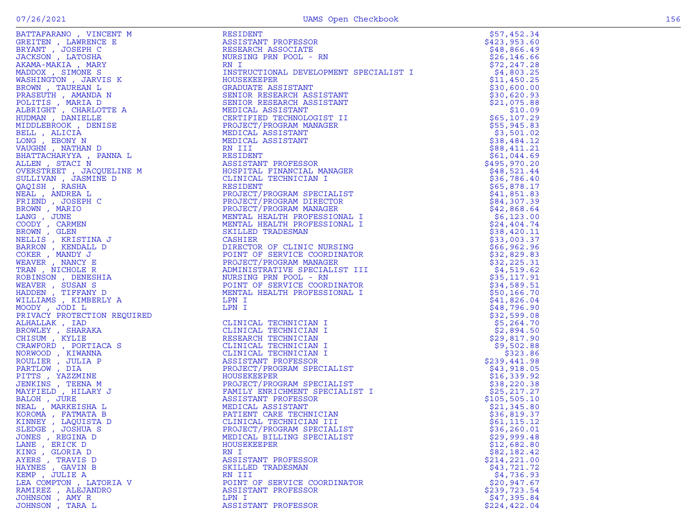| BATTAFARANO, VINCENT M                                                                                                                                                                                                                                                                                                                                                                                                                                                                           | <b>RESIDENT</b>                        | \$57,452.34                |
|--------------------------------------------------------------------------------------------------------------------------------------------------------------------------------------------------------------------------------------------------------------------------------------------------------------------------------------------------------------------------------------------------------------------------------------------------------------------------------------------------|----------------------------------------|----------------------------|
| GREITEN, LAWRENCE E                                                                                                                                                                                                                                                                                                                                                                                                                                                                              | ASSISTANT PROFESSOR                    | \$423,953.60               |
| BRYANT, JOSEPH C                                                                                                                                                                                                                                                                                                                                                                                                                                                                                 | RESEARCH ASSOCIATE                     | \$48,866.49                |
|                                                                                                                                                                                                                                                                                                                                                                                                                                                                                                  |                                        |                            |
| JACKSON, LATOSHA                                                                                                                                                                                                                                                                                                                                                                                                                                                                                 | NURSING PRN POOL - RN                  | \$26, 146.66               |
| AKAMA-MAKIA, MARY                                                                                                                                                                                                                                                                                                                                                                                                                                                                                | RN I                                   | \$72, 247.28               |
|                                                                                                                                                                                                                                                                                                                                                                                                                                                                                                  |                                        |                            |
| MADDOX, SIMONE S                                                                                                                                                                                                                                                                                                                                                                                                                                                                                 | INSTRUCTIONAL DEVELOPMENT SPECIALIST I | \$4,803.25                 |
| WASHINGTON, JARVIS K                                                                                                                                                                                                                                                                                                                                                                                                                                                                             | HOUSEKEEPER                            | \$11,450.25                |
| BROWN, TAUREAN L                                                                                                                                                                                                                                                                                                                                                                                                                                                                                 | GRADUATE ASSISTANT                     |                            |
|                                                                                                                                                                                                                                                                                                                                                                                                                                                                                                  |                                        | \$30,600.00<br>\$30,620.93 |
|                                                                                                                                                                                                                                                                                                                                                                                                                                                                                                  |                                        |                            |
|                                                                                                                                                                                                                                                                                                                                                                                                                                                                                                  |                                        | \$21,075.88                |
|                                                                                                                                                                                                                                                                                                                                                                                                                                                                                                  |                                        |                            |
|                                                                                                                                                                                                                                                                                                                                                                                                                                                                                                  |                                        | \$10.09                    |
|                                                                                                                                                                                                                                                                                                                                                                                                                                                                                                  |                                        | \$65,107.29                |
|                                                                                                                                                                                                                                                                                                                                                                                                                                                                                                  |                                        | \$55,945.83                |
|                                                                                                                                                                                                                                                                                                                                                                                                                                                                                                  |                                        |                            |
|                                                                                                                                                                                                                                                                                                                                                                                                                                                                                                  |                                        | \$3,501.02                 |
|                                                                                                                                                                                                                                                                                                                                                                                                                                                                                                  |                                        | \$38,484.12                |
|                                                                                                                                                                                                                                                                                                                                                                                                                                                                                                  |                                        |                            |
|                                                                                                                                                                                                                                                                                                                                                                                                                                                                                                  |                                        | \$88,411.21                |
|                                                                                                                                                                                                                                                                                                                                                                                                                                                                                                  |                                        | \$61,044.69                |
|                                                                                                                                                                                                                                                                                                                                                                                                                                                                                                  |                                        | \$495,970.20               |
|                                                                                                                                                                                                                                                                                                                                                                                                                                                                                                  |                                        |                            |
|                                                                                                                                                                                                                                                                                                                                                                                                                                                                                                  |                                        | \$48,521.44                |
|                                                                                                                                                                                                                                                                                                                                                                                                                                                                                                  |                                        | \$36,786.40                |
|                                                                                                                                                                                                                                                                                                                                                                                                                                                                                                  |                                        |                            |
| NETH AMANDA AN AREA DERTIFICATION OF THE MANUSCRIPT ON MANUSCRIPT (MARIA DERTIFICATION OF THE UDDLEBROOK , DENISE PROJECT/PROGRAM PEARLY AND MEDICAL ASSISTANT MEDICAL ASSISTANT MEDICAL ASSISTANT MEDICAL ASSISTANT MEDICAL A<br>BAATTACHARYTA , PANNA LALLEN , STACT N<br>ALLEN , STACT N<br>COVERSTREET , JACQUELINE M<br>SULLIVAN , JASMINE D<br>QAQISH , RASHA<br>NEAL , ANDREA L<br>FRIEND , JOSEPH C<br>EROMN , MARIO<br>COODY , CARMEN<br>BROWN , GLEN<br>NELLIS , KENDALL D<br>BARRON , |                                        | \$65,878.17                |
|                                                                                                                                                                                                                                                                                                                                                                                                                                                                                                  |                                        | \$41,851.83                |
|                                                                                                                                                                                                                                                                                                                                                                                                                                                                                                  |                                        | \$84,307.39                |
|                                                                                                                                                                                                                                                                                                                                                                                                                                                                                                  |                                        |                            |
|                                                                                                                                                                                                                                                                                                                                                                                                                                                                                                  | PROJECT/PROGRAM MANAGER                | \$42,868.64                |
|                                                                                                                                                                                                                                                                                                                                                                                                                                                                                                  | MENTAL HEALTH PROFESSIONAL I           | \$6,123.00                 |
|                                                                                                                                                                                                                                                                                                                                                                                                                                                                                                  | MENTAL HEALTH PROFESSIONAL I           | \$24,404.74                |
|                                                                                                                                                                                                                                                                                                                                                                                                                                                                                                  |                                        |                            |
|                                                                                                                                                                                                                                                                                                                                                                                                                                                                                                  | SKILLED TRADESMAN                      | \$38,420.11                |
|                                                                                                                                                                                                                                                                                                                                                                                                                                                                                                  | CASHIER                                | \$33,003.37                |
|                                                                                                                                                                                                                                                                                                                                                                                                                                                                                                  | DIRECTOR OF CLINIC NURSING             |                            |
|                                                                                                                                                                                                                                                                                                                                                                                                                                                                                                  |                                        | \$66,962.96                |
|                                                                                                                                                                                                                                                                                                                                                                                                                                                                                                  | POINT OF SERVICE COORDINATOR           | \$32,829.83                |
|                                                                                                                                                                                                                                                                                                                                                                                                                                                                                                  | PROJECT/PROGRAM MANAGER                | \$32,225.31                |
|                                                                                                                                                                                                                                                                                                                                                                                                                                                                                                  |                                        |                            |
|                                                                                                                                                                                                                                                                                                                                                                                                                                                                                                  | ADMINISTRATIVE SPECIALIST III          | \$4,519.62                 |
|                                                                                                                                                                                                                                                                                                                                                                                                                                                                                                  |                                        | \$35,117.91                |
|                                                                                                                                                                                                                                                                                                                                                                                                                                                                                                  |                                        | \$34,589.51                |
|                                                                                                                                                                                                                                                                                                                                                                                                                                                                                                  |                                        |                            |
| HADDEN, TIFFANY D                                                                                                                                                                                                                                                                                                                                                                                                                                                                                |                                        | \$50,166.70                |
| RLY A<br>WILLIAMS, KIMBERLY A                                                                                                                                                                                                                                                                                                                                                                                                                                                                    |                                        | \$41,826.04                |
| MOODY, JODI L                                                                                                                                                                                                                                                                                                                                                                                                                                                                                    |                                        | \$48,796.90                |
|                                                                                                                                                                                                                                                                                                                                                                                                                                                                                                  |                                        |                            |
| PRIVACY PROTECTION REQUIRED                                                                                                                                                                                                                                                                                                                                                                                                                                                                      |                                        | \$32,599.08                |
| ALHALLAK, IAD                                                                                                                                                                                                                                                                                                                                                                                                                                                                                    | CLINICAL TECHNICIAN I                  | \$5,264.70                 |
|                                                                                                                                                                                                                                                                                                                                                                                                                                                                                                  |                                        |                            |
| BROWLEY, SHARAKA                                                                                                                                                                                                                                                                                                                                                                                                                                                                                 | CLINICAL TECHNICIAN I                  | \$2,894.50                 |
| CHISUM, KYLIE                                                                                                                                                                                                                                                                                                                                                                                                                                                                                    | RESEARCH TECHNICIAN                    | \$29,817.90                |
| CRAWFORD, PORTIACA S                                                                                                                                                                                                                                                                                                                                                                                                                                                                             | CLINICAL TECHNICIAN I                  | \$9,502.88                 |
|                                                                                                                                                                                                                                                                                                                                                                                                                                                                                                  |                                        |                            |
| NORWOOD, KIWANNA                                                                                                                                                                                                                                                                                                                                                                                                                                                                                 | CLINICAL TECHNICIAN I                  | \$323.86                   |
| ROULIER, JULIA P                                                                                                                                                                                                                                                                                                                                                                                                                                                                                 | ASSISTANT PROFESSOR                    | \$239,441.98               |
| PARTLOW, DIA                                                                                                                                                                                                                                                                                                                                                                                                                                                                                     | PROJECT/PROGRAM SPECIALIST             | \$43,918.05                |
|                                                                                                                                                                                                                                                                                                                                                                                                                                                                                                  |                                        |                            |
| PITTS, YAZZMINE                                                                                                                                                                                                                                                                                                                                                                                                                                                                                  | HOUSEKEEPER                            | \$16,339.92                |
| JENKINS , TEENA M                                                                                                                                                                                                                                                                                                                                                                                                                                                                                | PROJECT/PROGRAM SPECIALIST             | \$38,220.38                |
| MAYFIELD, HILARY J                                                                                                                                                                                                                                                                                                                                                                                                                                                                               | FAMILY ENRICHMENT SPECIALIST I         | \$25,217.27                |
|                                                                                                                                                                                                                                                                                                                                                                                                                                                                                                  |                                        |                            |
| BALOH , JURE                                                                                                                                                                                                                                                                                                                                                                                                                                                                                     | ASSISTANT PROFESSOR                    | \$105,505.10               |
| NEAL , MARKEISHA L                                                                                                                                                                                                                                                                                                                                                                                                                                                                               | MEDICAL ASSISTANT                      | \$21,345.80                |
|                                                                                                                                                                                                                                                                                                                                                                                                                                                                                                  | PATIENT CARE TECHNICIAN                |                            |
| KOROMA, FATMATA B                                                                                                                                                                                                                                                                                                                                                                                                                                                                                |                                        | \$36,819.37                |
| KINNEY , LAQUISTA D                                                                                                                                                                                                                                                                                                                                                                                                                                                                              | CLINICAL TECHNICIAN III                | \$61, 115.12               |
| SLEDGE, JOSHUA S                                                                                                                                                                                                                                                                                                                                                                                                                                                                                 | PROJECT/PROGRAM SPECIALIST             | \$36, 260.01               |
|                                                                                                                                                                                                                                                                                                                                                                                                                                                                                                  |                                        |                            |
| JONES , REGINA D                                                                                                                                                                                                                                                                                                                                                                                                                                                                                 | MEDICAL BILLING SPECIALIST             | \$29,999.48                |
| LANE, ERICK D                                                                                                                                                                                                                                                                                                                                                                                                                                                                                    | HOUSEKEEPER                            | \$12,682.80                |
| KING, GLORIA D                                                                                                                                                                                                                                                                                                                                                                                                                                                                                   | RN I                                   | \$82,182.42                |
|                                                                                                                                                                                                                                                                                                                                                                                                                                                                                                  |                                        |                            |
| AYERS, TRAVIS D                                                                                                                                                                                                                                                                                                                                                                                                                                                                                  | ASSISTANT PROFESSOR                    | \$214, 221.00              |
| HAYNES , GAVIN B                                                                                                                                                                                                                                                                                                                                                                                                                                                                                 | SKILLED TRADESMAN                      | \$43,721.72                |
| KEMP, JULIE A                                                                                                                                                                                                                                                                                                                                                                                                                                                                                    | RN III                                 | \$4,736.93                 |
|                                                                                                                                                                                                                                                                                                                                                                                                                                                                                                  |                                        |                            |
| LEA COMPTON, LATORIA V                                                                                                                                                                                                                                                                                                                                                                                                                                                                           | POINT OF SERVICE COORDINATOR           | \$20,947.67                |
| RAMIREZ , ALEJANDRO                                                                                                                                                                                                                                                                                                                                                                                                                                                                              | ASSISTANT PROFESSOR                    | \$239,723.54               |
| JOHNSON, AMY R                                                                                                                                                                                                                                                                                                                                                                                                                                                                                   | LPN I                                  | \$47,395.84                |
|                                                                                                                                                                                                                                                                                                                                                                                                                                                                                                  |                                        |                            |
| JOHNSON, TARA L                                                                                                                                                                                                                                                                                                                                                                                                                                                                                  | ASSISTANT PROFESSOR                    | \$224,422.04               |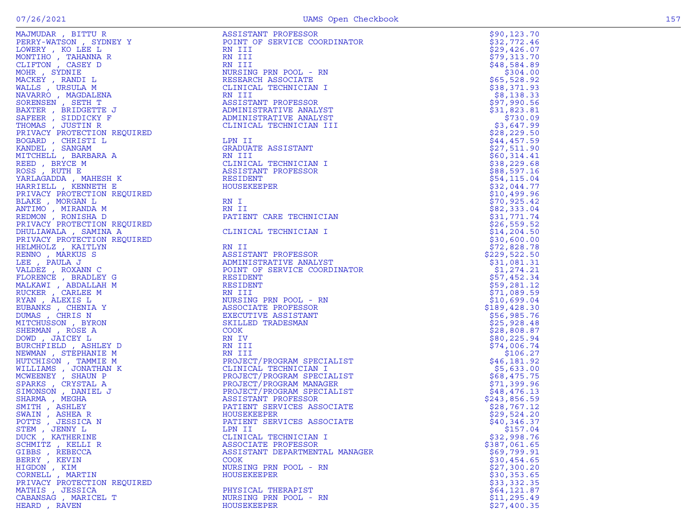|  | ٠      |  |
|--|--------|--|
|  | $\sim$ |  |
|  |        |  |

| MAJMUDAR , BITTU R          | ASSISTANT PROFESSOR            | \$90, 123.70 |
|-----------------------------|--------------------------------|--------------|
| PERRY-WATSON, SYDNEY Y      | POINT OF SERVICE COORDINATOR   | \$32,772.46  |
| LOWERY, KO LEE L            | RN III                         | \$29,426.07  |
| MONTIHO , TAHANNA R         | RN III                         | \$79,313.70  |
| CLIFTON, CASEY D            | RN III                         | \$48,584.89  |
| MOHR , SYDNIE               | NURSING PRN POOL - RN          | \$304.00     |
| MACKEY , RANDI L            | RESEARCH ASSOCIATE             | \$65,528.92  |
| WALLS, URSULA M             | CLINICAL TECHNICIAN I          | \$38,371.93  |
| NAVARRO , MAGDALENA         | RN III                         | \$8,138.33   |
| SORENSEN, SETH T            | ASSISTANT PROFESSOR            | \$97,990.56  |
| BAXTER , BRIDGETTE J        | ADMINISTRATIVE ANALYST         | \$31,823.81  |
| SAFEER, SIDDICKY F          | ADMINISTRATIVE ANALYST         | \$730.09     |
| THOMAS , JUSTIN R           | CLINICAL TECHNICIAN III        | \$3,647.99   |
| PRIVACY PROTECTION REQUIRED |                                | \$28, 229.50 |
| BOGARD , CHRISTI L          | LPN II                         | \$44,457.59  |
| KANDEL , SANGAM             | GRADUATE ASSISTANT             | \$27,511.90  |
| MITCHELL , BARBARA A        | RN III                         | \$60,314.41  |
| REED, BRYCE M               | CLINICAL TECHNICIAN I          | \$38, 229.68 |
| ROSS, RUTH E                | ASSISTANT PROFESSOR            | \$88,597.16  |
| YARLAGADDA , MAHESH K       | RESIDENT                       | \$54,115.04  |
| HARRIELL , KENNETH E        | HOUSEKEEPER                    | \$32,044.77  |
| PRIVACY PROTECTION REQUIRED |                                | \$10,499.96  |
| BLAKE , MORGAN L            | RN I                           | \$70,925.42  |
| ANTIMO , MIRANDA M          | RN II                          | \$82,333.04  |
| REDMON , RONISHA D          | PATIENT CARE TECHNICIAN        | \$31,771.74  |
| PRIVACY PROTECTION REQUIRED |                                | \$26,559.52  |
| DHULIAWALA , SAMINA A       | CLINICAL TECHNICIAN I          | \$14, 204.50 |
| PRIVACY PROTECTION REQUIRED |                                | \$30,600.00  |
| HELMHOLZ , KAITLYN          | RN II                          | \$72,828.78  |
| RENNO, MARKUS S             | ASSISTANT PROFESSOR            | \$229,522.50 |
| LEE , PAULA J               | ADMINISTRATIVE ANALYST         | \$31,081.31  |
| VALDEZ, ROXANN C            | POINT OF SERVICE COORDINATOR   | \$1,274.21   |
| FLORENCE, BRADLEY G         | RESIDENT                       | \$57,452.34  |
| MALKAWI , ABDALLAH M        | RESIDENT                       | \$59,281.12  |
| RUCKER, CARLEE M            | RN III                         | \$71,089.59  |
| RYAN, ALEXIS L              | NURSING PRN POOL - RN          | \$10,699.04  |
| EUBANKS, CHENIA Y           | ASSOCIATE PROFESSOR            | \$189,428.30 |
| DUMAS , CHRIS N             | EXECUTIVE ASSISTANT            | \$56,985.76  |
| MITCHUSSON , BYRON          | SKILLED TRADESMAN              | \$25,928.48  |
| SHERMAN, ROSE A             | <b>COOK</b>                    | \$28,808.87  |
| DOWD , JAICEY L             | RN IV                          | \$80,225.94  |
| BURCHFIELD, ASHLEY D        | RN III                         | \$74,006.74  |
| NEWMAN , STEPHANIE M        | RN III                         | \$106.27     |
| HUTCHISON , TAMMIE M        | PROJECT/PROGRAM SPECIALIST     | \$46,181.92  |
| WILLIAMS , JONATHAN K       | CLINICAL TECHNICIAN I          | \$5,633.00   |
| MCWEENEY , SHAUN P          | PROJECT/PROGRAM SPECIALIST     | \$68,475.75  |
| SPARKS, CRYSTAL A           | PROJECT/PROGRAM MANAGER        | \$71,399.96  |
| SIMONSON , DANIEL J         | PROJECT/PROGRAM SPECIALIST     | \$48,476.13  |
| SHARMA, MEGHA               | ASSISTANT PROFESSOR            | \$243,856.59 |
| SMITH, ASHLEY               | PATIENT SERVICES ASSOCIATE     | \$28,767.12  |
| SWAIN, ASHEA R              | HOUSEKEEPER                    | \$29,524.20  |
| POTTS, JESSICA N            | PATIENT SERVICES ASSOCIATE     | \$40,346.37  |
| STEM , JENNY L              | LPN II                         | \$157.04     |
| DUCK, KATHERINE             | CLINICAL TECHNICIAN I          | \$32,998.76  |
| SCHMITZ , KELLI R           | ASSOCIATE PROFESSOR            | \$387,061.65 |
| GIBBS, REBECCA              | ASSISTANT DEPARTMENTAL MANAGER | \$69,799.91  |
| BERRY , KEVIN               | COOK                           | \$30,454.65  |
| HIGDON , KIM                | NURSING PRN POOL - RN          | \$27,300.20  |
| CORNELL , MARTIN            | <b>HOUSEKEEPER</b>             | \$30,353.65  |
| PRIVACY PROTECTION REQUIRED |                                | \$33,332.35  |
| MATHIS , JESSICA            | PHYSICAL THERAPIST             | \$64,121.87  |
| CABANSAG, MARICEL T         | NURSING PRN POOL - RN          | \$11, 295.49 |
| HEARD, RAVEN                | HOUSEKEEPER                    | \$27,400.35  |
|                             |                                |              |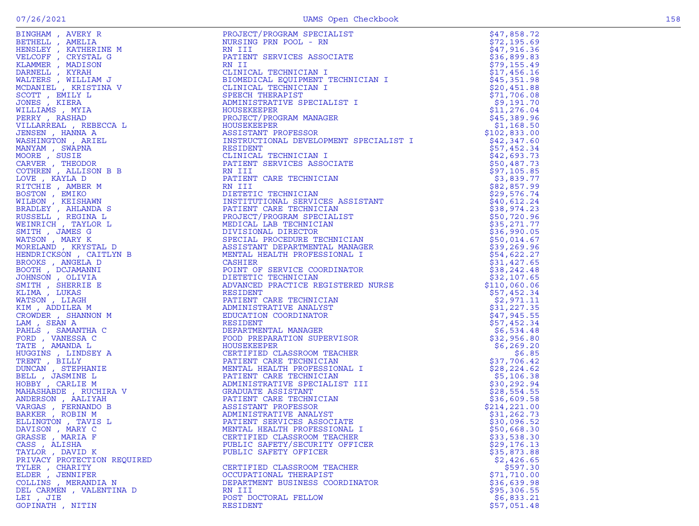|                                                |                                                         | \$47,858.72                |
|------------------------------------------------|---------------------------------------------------------|----------------------------|
|                                                |                                                         | \$72,195.69                |
|                                                |                                                         | \$47,916.36                |
|                                                |                                                         | \$36,899.83                |
|                                                |                                                         | \$79,155.49                |
|                                                |                                                         | \$17,456.16                |
|                                                |                                                         | \$45,351.98                |
|                                                |                                                         | \$20,451.88                |
|                                                |                                                         | \$71,706.08                |
|                                                |                                                         | \$9,191.70                 |
|                                                |                                                         | \$11,276.04                |
|                                                |                                                         | \$45,389.96                |
|                                                |                                                         | \$1,168.50                 |
|                                                |                                                         | \$102,833.00               |
|                                                |                                                         | \$42,347.60<br>\$57,452.34 |
|                                                |                                                         | \$42,693.73                |
|                                                |                                                         | \$50,487.73                |
|                                                |                                                         | \$97,105.85                |
|                                                |                                                         | \$3,839.77                 |
|                                                |                                                         | \$82,857.99                |
|                                                |                                                         | \$29,576.74                |
|                                                |                                                         | \$40,612.24                |
|                                                |                                                         | \$38,974.23                |
|                                                |                                                         | \$50,720.96                |
|                                                |                                                         | \$35,271.77                |
|                                                |                                                         | \$36,990.05                |
|                                                |                                                         | \$50,014.67                |
|                                                |                                                         | \$39,269.96                |
|                                                |                                                         | \$54,622.27                |
|                                                |                                                         | \$31,427.65                |
|                                                |                                                         | \$38, 242.48               |
|                                                |                                                         | \$32,107.65                |
|                                                |                                                         | \$110,060.06               |
|                                                |                                                         | \$57,452.34                |
|                                                |                                                         | \$2,971.11                 |
|                                                |                                                         | \$31,227.35                |
|                                                |                                                         | \$47,945.55                |
|                                                |                                                         | \$57,452.34                |
|                                                |                                                         | \$6,534.48                 |
|                                                |                                                         | \$32,956.80                |
|                                                |                                                         | \$6, 269.20                |
|                                                |                                                         | \$6.85                     |
|                                                |                                                         | \$37,706.42                |
|                                                |                                                         | \$28, 224.62               |
|                                                |                                                         | \$5,106.38                 |
|                                                |                                                         | \$30,292.94                |
|                                                |                                                         | \$28,554.55                |
|                                                |                                                         | \$36,609.58                |
|                                                |                                                         | \$214, 221.00              |
|                                                |                                                         | \$31,262.73                |
|                                                |                                                         | \$30,096.52                |
| DAVISON, MARY C                                | MENTAL HEALTH PROFESSIONAL I                            | \$50,668.30                |
| GRASSE, MARIA F                                | CERTIFIED CLASSROOM TEACHER                             | \$33,538.30                |
| CASS, ALISHA                                   | PUBLIC SAFETY/SECURITY OFFICER<br>PUBLIC SAFETY OFFICER | \$29,176.13<br>\$35,873.88 |
| TAYLOR, DAVID K<br>PRIVACY PROTECTION REQUIRED |                                                         | \$2,426.65                 |
| TYLER, CHARITY                                 | CERTIFIED CLASSROOM TEACHER                             | \$597.30                   |
| ELDER , JENNIFER                               | OCCUPATIONAL THERAPIST                                  | \$71,710.00                |
| COLLINS , MERANDIA N                           | DEPARTMENT BUSINESS COORDINATOR                         | \$36,639.98                |
| DEL CARMEN, VALENTINA D                        | RN III                                                  | \$95,306.55                |
| LEI, JIE                                       | POST DOCTORAL FELLOW                                    | \$6,833.21                 |
| GOPINATH, NITIN                                | RESIDENT                                                | \$57,051.48                |
|                                                |                                                         |                            |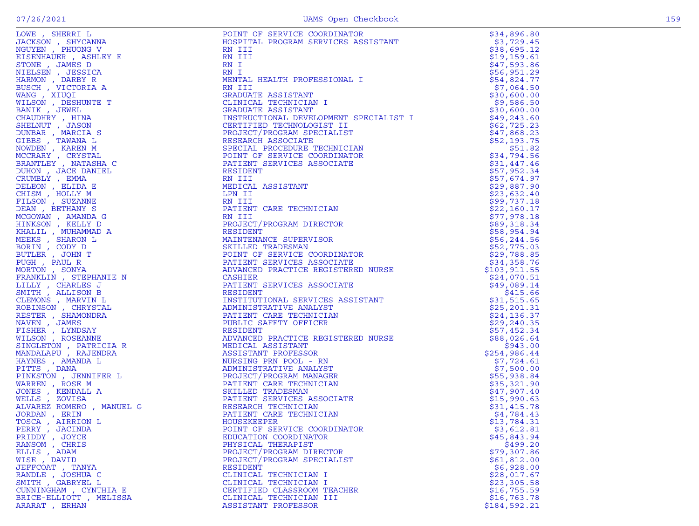|  | ٠      |    |
|--|--------|----|
|  | $\sim$ | ۰. |

|                        | POINT OF SERVICE COORDINATOR<br>HOSPITAL PROGRAM SERVICES ASSISTANT<br>RN III<br>RN III<br>RN III<br>RN III<br>RN III<br>MENTAL HEALTH PROFESSIONAL I<br>TRINITAL HEALTH PROFESSIONAL I<br>RN III<br>GRADUATE ASSISTANT<br>GRADUATE ASSISTANT<br>INSTRUCTIONAL DEV | \$34,896.80                 |
|------------------------|--------------------------------------------------------------------------------------------------------------------------------------------------------------------------------------------------------------------------------------------------------------------|-----------------------------|
|                        |                                                                                                                                                                                                                                                                    | \$3,729.45                  |
|                        |                                                                                                                                                                                                                                                                    | \$38,695.12                 |
|                        |                                                                                                                                                                                                                                                                    | \$19,159.61                 |
|                        |                                                                                                                                                                                                                                                                    | \$47,593.86                 |
|                        |                                                                                                                                                                                                                                                                    | \$56,951.29                 |
|                        |                                                                                                                                                                                                                                                                    | \$54,824.77                 |
|                        |                                                                                                                                                                                                                                                                    | \$7,064.50                  |
|                        |                                                                                                                                                                                                                                                                    | \$30,600.00                 |
|                        |                                                                                                                                                                                                                                                                    | \$9,586.50                  |
|                        |                                                                                                                                                                                                                                                                    | \$30,600.00                 |
|                        |                                                                                                                                                                                                                                                                    | \$49,243.60                 |
|                        |                                                                                                                                                                                                                                                                    | \$62,725.23                 |
|                        |                                                                                                                                                                                                                                                                    | \$47,868.23                 |
|                        |                                                                                                                                                                                                                                                                    | \$52,193.75                 |
|                        |                                                                                                                                                                                                                                                                    | \$51.82                     |
|                        |                                                                                                                                                                                                                                                                    | \$34,794.56                 |
|                        |                                                                                                                                                                                                                                                                    | \$31,447.46                 |
|                        |                                                                                                                                                                                                                                                                    | \$57,952.34                 |
|                        |                                                                                                                                                                                                                                                                    | \$57,674.97                 |
|                        |                                                                                                                                                                                                                                                                    | \$29,887.90                 |
|                        |                                                                                                                                                                                                                                                                    | \$23,632.40                 |
|                        |                                                                                                                                                                                                                                                                    | \$99,737.18                 |
|                        |                                                                                                                                                                                                                                                                    | \$22,160.17                 |
|                        |                                                                                                                                                                                                                                                                    | \$77,978.18                 |
|                        |                                                                                                                                                                                                                                                                    | \$89,318.34                 |
|                        |                                                                                                                                                                                                                                                                    | \$58,954.94<br>\$56, 244.56 |
|                        |                                                                                                                                                                                                                                                                    | \$52,775.03                 |
|                        |                                                                                                                                                                                                                                                                    | \$29,788.85                 |
|                        |                                                                                                                                                                                                                                                                    | \$34,358.76                 |
|                        |                                                                                                                                                                                                                                                                    | \$103,911.55                |
|                        | MADIECT/PROGRAM DIRECTOR<br>RESIDENT<br>MAINTENANCE SUPERVISOR<br>SKILLED TRADESMAN<br>POINT OF SERVICE COORDINATOR<br>PATIENT SERVICES ASSOCIATE<br>ADVANCED PRACTICE REGISTERED NURSE<br>CASHIER<br>RESIDENT SERVICES ASSOCIATE<br>RESIDENT<br>INSTITUTION       | \$24,070.51                 |
|                        |                                                                                                                                                                                                                                                                    | \$49,089.14                 |
|                        |                                                                                                                                                                                                                                                                    | \$415.66                    |
|                        |                                                                                                                                                                                                                                                                    | \$31,515.65                 |
|                        |                                                                                                                                                                                                                                                                    | \$25, 201.31                |
|                        |                                                                                                                                                                                                                                                                    | \$24,136.37                 |
|                        |                                                                                                                                                                                                                                                                    | \$29,240.35                 |
|                        |                                                                                                                                                                                                                                                                    | \$57,452.34                 |
|                        |                                                                                                                                                                                                                                                                    | \$88,026.64                 |
|                        |                                                                                                                                                                                                                                                                    | \$943.00                    |
|                        |                                                                                                                                                                                                                                                                    | \$254,986.44                |
|                        | EGISTERED NONGER<br>.<br>RN<br>NST<br>NST<br>IGER<br>ICIAN<br>SSOCIATE<br>N<br>ICIAN                                                                                                                                                                               | \$7,724.61                  |
|                        |                                                                                                                                                                                                                                                                    | \$7,500.00                  |
|                        |                                                                                                                                                                                                                                                                    | \$55,938.84                 |
|                        |                                                                                                                                                                                                                                                                    | \$35,321.90                 |
|                        |                                                                                                                                                                                                                                                                    | \$47,907.40                 |
|                        |                                                                                                                                                                                                                                                                    | \$15,990.63                 |
|                        |                                                                                                                                                                                                                                                                    | \$31,415.78                 |
|                        |                                                                                                                                                                                                                                                                    | \$4,784.43                  |
|                        |                                                                                                                                                                                                                                                                    | \$13,784.31                 |
| PERRY, JACINDA         | LOWE SHERING MENTILE IN THE MATERIAL DRIVING SOCIETY (NORMAL SHERING MANING SHERING MANING STANDARD MANING MANING MANING STANDARD MANING STANDARD MANING STANDARD MANING STANDARD MANING STANDARD MANING STANDARD MANING STAND<br>POINT OF SERVICE COORDINATOR     | \$3,612.81                  |
| PRIDDY, JOYCE          | EDUCATION COORDINATOR                                                                                                                                                                                                                                              | \$45,843.94                 |
| RANSOM, CHRIS          | PHYSICAL THERAPIST                                                                                                                                                                                                                                                 | \$499.20                    |
| ELLIS, ADAM            | PROJECT/PROGRAM DIRECTOR                                                                                                                                                                                                                                           | \$79,307.86                 |
| WISE , DAVID           | PROJECT/PROGRAM SPECIALIST                                                                                                                                                                                                                                         | \$61,812.00                 |
| JEFFCOAT, TANYA        | <b>RESIDENT</b>                                                                                                                                                                                                                                                    | \$6,928.00                  |
| RANDLE, JOSHUA C       | CLINICAL TECHNICIAN I                                                                                                                                                                                                                                              | \$28,017.67                 |
| SMITH , GABRYEL L      | CLINICAL TECHNICIAN I                                                                                                                                                                                                                                              | \$23,305.58                 |
| CUNNINGHAM , CYNTHIA E | CERTIFIED CLASSROOM TEACHER                                                                                                                                                                                                                                        | \$16,755.59                 |
| BRICE-ELLIOTT, MELISSA | CLINICAL TECHNICIAN III                                                                                                                                                                                                                                            | \$16,763.78                 |
| ARARAT , ERHAN         | ASSISTANT PROFESSOR                                                                                                                                                                                                                                                | \$184,592.21                |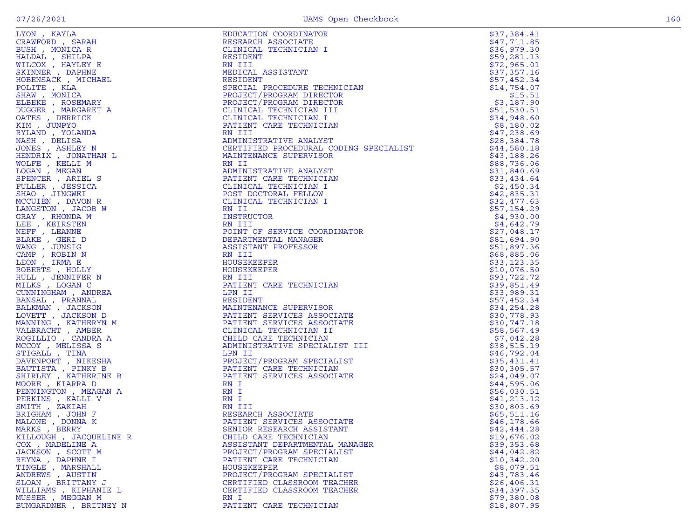|  |        | × |
|--|--------|---|
|  |        |   |
|  |        |   |
|  | $\sim$ | × |
|  |        |   |

| LYON, KAYLA<br>LYON , KAYLA MARIA (1978)<br>CRAWFORD , SARAH BIBLER (1978)<br>HELCOX , HAYLEPY BILDREY , NCHAEL HALDAL , SHILPR BILCOX , HAYLEPY ESTADURER , RAPHINE BOEDENSACK, MICHAEL POLITER , KLA<br>SERINGER , ROSEMARY AN IONATION<br>OMIGES , D | EDUCATION COORDINATOR                                                                                                                                                                          | \$37,384.41  |
|---------------------------------------------------------------------------------------------------------------------------------------------------------------------------------------------------------------------------------------------------------|------------------------------------------------------------------------------------------------------------------------------------------------------------------------------------------------|--------------|
| CRAWFORD, SARAH                                                                                                                                                                                                                                         | RESEARCH ASSOCIATE                                                                                                                                                                             | \$47,711.85  |
|                                                                                                                                                                                                                                                         | CLINICAL TECHNICIAN I                                                                                                                                                                          | \$36,979.30  |
|                                                                                                                                                                                                                                                         | RESIDENT                                                                                                                                                                                       | \$59,281.13  |
|                                                                                                                                                                                                                                                         | RN III                                                                                                                                                                                         | \$72,965.01  |
|                                                                                                                                                                                                                                                         | MEDICAL ASSISTANT                                                                                                                                                                              | \$37,357.16  |
|                                                                                                                                                                                                                                                         | RESIDENT                                                                                                                                                                                       | \$57,452.34  |
|                                                                                                                                                                                                                                                         | SPECIAL PROCEDURE TECHNICIAN                                                                                                                                                                   | \$14,754.07  |
|                                                                                                                                                                                                                                                         | PROJECT/PROGRAM DIRECTOR                                                                                                                                                                       | \$15.51      |
|                                                                                                                                                                                                                                                         | PROJECT/PROGRAM DIRECTOR                                                                                                                                                                       | \$3,187.90   |
|                                                                                                                                                                                                                                                         | CLINICAL TECHNICIAN III                                                                                                                                                                        | \$51,530.51  |
|                                                                                                                                                                                                                                                         | CLINICAL TECHNICIAN I                                                                                                                                                                          | \$34,948.60  |
|                                                                                                                                                                                                                                                         | CLINICAL TECHNICIAN I<br>PATIENT CARE TECHNICIAN<br>RN III<br>ADMINISTRATIVE ANALYST<br>CERTIFIED PROCEDURAL CODING SPECIALIST                                                                 | \$8,180.02   |
|                                                                                                                                                                                                                                                         |                                                                                                                                                                                                | \$47,238.69  |
|                                                                                                                                                                                                                                                         |                                                                                                                                                                                                | \$28,384.78  |
|                                                                                                                                                                                                                                                         |                                                                                                                                                                                                | \$44,580.18  |
|                                                                                                                                                                                                                                                         | MAINTENANCE SUPERVISOR                                                                                                                                                                         | \$43,188.26  |
|                                                                                                                                                                                                                                                         | RN II                                                                                                                                                                                          | \$88,736.06  |
|                                                                                                                                                                                                                                                         | ADMINISTRATIVE ANALYST                                                                                                                                                                         | \$31,840.69  |
|                                                                                                                                                                                                                                                         | PATIENT CARE TECHNICIAN                                                                                                                                                                        | \$33,434.64  |
|                                                                                                                                                                                                                                                         | CLINICAL TECHNICIAN I                                                                                                                                                                          | \$2,450.34   |
|                                                                                                                                                                                                                                                         | POST DOCTORAL FELLOW                                                                                                                                                                           | \$42,835.31  |
|                                                                                                                                                                                                                                                         | CLINICAL TECHNICIAN I                                                                                                                                                                          | \$32,477.63  |
|                                                                                                                                                                                                                                                         | RN II                                                                                                                                                                                          | \$57,154.29  |
|                                                                                                                                                                                                                                                         | I<br>INSTRUCTOR                                                                                                                                                                                | \$4,930.00   |
|                                                                                                                                                                                                                                                         | RN III                                                                                                                                                                                         | \$4,642.79   |
|                                                                                                                                                                                                                                                         | POINT OF SERVICE COORDINATOR                                                                                                                                                                   | \$27,048.17  |
|                                                                                                                                                                                                                                                         | DEPARTMENTAL MANAGER                                                                                                                                                                           | \$81,694.90  |
|                                                                                                                                                                                                                                                         | ASSISTANT PROFESSOR                                                                                                                                                                            | \$51,897.36  |
|                                                                                                                                                                                                                                                         | RN III                                                                                                                                                                                         | \$68,885.06  |
|                                                                                                                                                                                                                                                         | HOUSEKEEPER                                                                                                                                                                                    | \$33,123.35  |
|                                                                                                                                                                                                                                                         | HOUSEKEEPER                                                                                                                                                                                    | \$10,076.50  |
|                                                                                                                                                                                                                                                         | RN III                                                                                                                                                                                         | \$93,722.72  |
|                                                                                                                                                                                                                                                         | PATIENT CARE TECHNICIAN                                                                                                                                                                        | \$39,851.49  |
|                                                                                                                                                                                                                                                         | LPN II                                                                                                                                                                                         | \$33,989.31  |
|                                                                                                                                                                                                                                                         | RESIDENT                                                                                                                                                                                       | \$57,452.34  |
|                                                                                                                                                                                                                                                         | <b>ESSIDENT<br/>MAINTENANCE SUPERVISOR<br/>PATIENT SERVICES ASSOCIATE<br/>PATIENT SERVICES ASSOCIATE<br/>CLINICAL TECHNICIAN II<br/>CHILID CARE TECHNICIAN<br/>ADMINISTRATIVE SPECIALIST I</b> | \$34,254.28  |
|                                                                                                                                                                                                                                                         |                                                                                                                                                                                                | \$30,778.93  |
|                                                                                                                                                                                                                                                         |                                                                                                                                                                                                | \$30,747.18  |
|                                                                                                                                                                                                                                                         |                                                                                                                                                                                                | \$58,567.49  |
|                                                                                                                                                                                                                                                         |                                                                                                                                                                                                | \$7,042.28   |
|                                                                                                                                                                                                                                                         | ADMINISTRATIVE SPECIALIST III                                                                                                                                                                  | \$38,515.19  |
|                                                                                                                                                                                                                                                         | LPN II                                                                                                                                                                                         | \$46,792.04  |
|                                                                                                                                                                                                                                                         |                                                                                                                                                                                                | \$35,431.41  |
|                                                                                                                                                                                                                                                         |                                                                                                                                                                                                | \$30,305.57  |
|                                                                                                                                                                                                                                                         | LPN 11<br>PROJECT/PROGRAM SPECIALIST<br>PATIENT CARE TECHNICIAN<br>PATIENT SERVICES ASSOCIATE<br>RN I                                                                                          | \$24,049.07  |
|                                                                                                                                                                                                                                                         |                                                                                                                                                                                                | \$44,595.06  |
|                                                                                                                                                                                                                                                         | RN I                                                                                                                                                                                           | \$56,030.51  |
|                                                                                                                                                                                                                                                         | RN I                                                                                                                                                                                           | \$41, 213.12 |
|                                                                                                                                                                                                                                                         | RN III                                                                                                                                                                                         | \$30,803.69  |
|                                                                                                                                                                                                                                                         | RESEARCH ASSOCIATE                                                                                                                                                                             | \$65,511.16  |
|                                                                                                                                                                                                                                                         | PATIENT SERVICES ASSOCIATE                                                                                                                                                                     | \$46, 178.66 |
| MARKS, BERRY                                                                                                                                                                                                                                            | SENIOR RESEARCH ASSISTANT                                                                                                                                                                      | \$42,444.28  |
| KILLOUGH, JACQUELINE R                                                                                                                                                                                                                                  | CHILD CARE TECHNICIAN                                                                                                                                                                          | \$19,676.02  |
| COX, MADELINE A                                                                                                                                                                                                                                         | ASSISTANT DEPARTMENTAL MANAGER                                                                                                                                                                 | \$39,353.68  |
| JACKSON, SCOTT M                                                                                                                                                                                                                                        | PROJECT/PROGRAM SPECIALIST                                                                                                                                                                     | \$44,042.82  |
| REYNA, DAPHNE I                                                                                                                                                                                                                                         | PATIENT CARE TECHNICIAN                                                                                                                                                                        | \$10,342.20  |
| TINGLE , MARSHALL                                                                                                                                                                                                                                       | <b>HOUSEKEEPER</b>                                                                                                                                                                             | \$8,079.51   |
| ANDREWS, AUSTIN                                                                                                                                                                                                                                         | PROJECT/PROGRAM SPECIALIST                                                                                                                                                                     | \$43,783.46  |
| SLOAN, BRITTANY J                                                                                                                                                                                                                                       | CERTIFIED CLASSROOM TEACHER                                                                                                                                                                    | \$26, 406.31 |
| WILLIAMS, KIPHANIE L                                                                                                                                                                                                                                    | CERTIFIED CLASSROOM TEACHER                                                                                                                                                                    | \$34,397.35  |
| MUSSER, MEGGAN M                                                                                                                                                                                                                                        | RN I                                                                                                                                                                                           | \$79,380.08  |
| BUMGARDNER, BRITNEY N                                                                                                                                                                                                                                   | PATIENT CARE TECHNICIAN                                                                                                                                                                        | \$18,807.95  |
|                                                                                                                                                                                                                                                         |                                                                                                                                                                                                |              |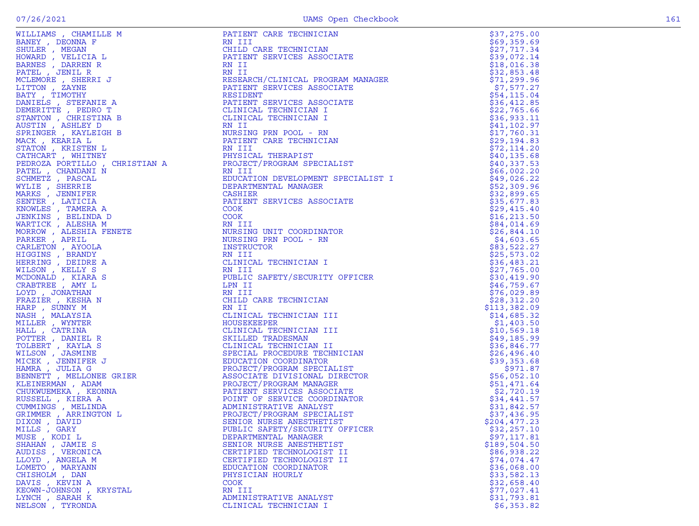|                                           | <b>WILLIADS</b> , WEBSTRIES (WILLIADS RESERVED AND RESERVED AND RESERVED AND RESERVED AND RESERVED AND RESERVED AND RESERVED AND MANUSCRIPT CREATING AND MANUSCRIPT CREATING AND RESERVED AND RESERVED AND RESERVED AND RESERVED AN | \$37,275.00                 |
|-------------------------------------------|-------------------------------------------------------------------------------------------------------------------------------------------------------------------------------------------------------------------------------------|-----------------------------|
|                                           |                                                                                                                                                                                                                                     | \$69,359.69                 |
|                                           |                                                                                                                                                                                                                                     | \$27,717.34                 |
|                                           |                                                                                                                                                                                                                                     | \$39,072.14                 |
|                                           |                                                                                                                                                                                                                                     | \$18,016.38                 |
|                                           |                                                                                                                                                                                                                                     | \$32,853.48                 |
|                                           |                                                                                                                                                                                                                                     | \$71,299.96                 |
|                                           |                                                                                                                                                                                                                                     | \$7,577.27                  |
|                                           |                                                                                                                                                                                                                                     | \$54,115.04                 |
|                                           |                                                                                                                                                                                                                                     | \$36,412.85                 |
|                                           |                                                                                                                                                                                                                                     | \$22,765.66                 |
|                                           |                                                                                                                                                                                                                                     | \$36,933.11                 |
|                                           |                                                                                                                                                                                                                                     | \$41,102.97                 |
|                                           |                                                                                                                                                                                                                                     | \$17,760.31                 |
|                                           |                                                                                                                                                                                                                                     | \$29,194.83                 |
|                                           |                                                                                                                                                                                                                                     | \$72,114.20                 |
|                                           |                                                                                                                                                                                                                                     | \$40, 135.68<br>\$40,337.53 |
|                                           |                                                                                                                                                                                                                                     | \$66,002.20                 |
|                                           |                                                                                                                                                                                                                                     | \$49,026.22                 |
|                                           |                                                                                                                                                                                                                                     | \$52,309.96                 |
|                                           |                                                                                                                                                                                                                                     | \$32,899.65                 |
|                                           |                                                                                                                                                                                                                                     | \$35,677.83                 |
|                                           |                                                                                                                                                                                                                                     | \$29,415.40                 |
|                                           |                                                                                                                                                                                                                                     | \$16, 213.50                |
|                                           |                                                                                                                                                                                                                                     | \$84,014.69                 |
|                                           |                                                                                                                                                                                                                                     | \$26,844.10                 |
|                                           |                                                                                                                                                                                                                                     | \$4,603.65                  |
|                                           |                                                                                                                                                                                                                                     | \$83,522.27                 |
|                                           |                                                                                                                                                                                                                                     | \$25,573.02                 |
|                                           |                                                                                                                                                                                                                                     | \$36,483.21                 |
|                                           |                                                                                                                                                                                                                                     | \$27,765.00                 |
|                                           |                                                                                                                                                                                                                                     | \$30,419.90                 |
|                                           |                                                                                                                                                                                                                                     | \$46,759.67                 |
|                                           |                                                                                                                                                                                                                                     | \$76,029.89                 |
|                                           |                                                                                                                                                                                                                                     | \$28,312.20                 |
|                                           |                                                                                                                                                                                                                                     | \$113,382.09                |
|                                           |                                                                                                                                                                                                                                     | \$14,685.32                 |
|                                           |                                                                                                                                                                                                                                     | \$1,403.50                  |
|                                           |                                                                                                                                                                                                                                     | \$10,569.18                 |
|                                           |                                                                                                                                                                                                                                     | \$49,185.99                 |
|                                           |                                                                                                                                                                                                                                     | \$36,846.77                 |
|                                           |                                                                                                                                                                                                                                     | \$26,496.40                 |
|                                           |                                                                                                                                                                                                                                     | \$39,353.68                 |
|                                           |                                                                                                                                                                                                                                     | \$971.87                    |
|                                           |                                                                                                                                                                                                                                     | \$56,052.10                 |
|                                           |                                                                                                                                                                                                                                     | \$51,471.64                 |
|                                           |                                                                                                                                                                                                                                     | \$2,720.19                  |
|                                           |                                                                                                                                                                                                                                     | \$34,441.57                 |
|                                           |                                                                                                                                                                                                                                     | \$31,842.57                 |
|                                           |                                                                                                                                                                                                                                     | \$37,436.95                 |
|                                           |                                                                                                                                                                                                                                     | \$204,477.23                |
| MILLS, GARY                               | PUBLIC SAFETY/SECURITY OFFICER                                                                                                                                                                                                      | \$32,257.10                 |
| MUSE, KODI L                              | DEPARTMENTAL MANAGER                                                                                                                                                                                                                | \$97,117.81                 |
| SHAHAN, JAMIE S                           | SENIOR NURSE ANESTHETIST                                                                                                                                                                                                            | \$189,504.50                |
| AUDISS, VERONICA                          | CERTIFIED TECHNOLOGIST II                                                                                                                                                                                                           | \$86,938.22                 |
| LLOYD, ANGELA M                           | CERTIFIED TECHNOLOGIST II                                                                                                                                                                                                           | \$74,074.47<br>\$36,068.00  |
| LOMETO, MARYANN                           | EDUCATION COORDINATOR                                                                                                                                                                                                               |                             |
| CHISHOLM, DAN                             | PHYSICIAN HOURLY<br><b>COOK</b>                                                                                                                                                                                                     | \$33,582.13                 |
| DAVIS, KEVIN A                            | RN III                                                                                                                                                                                                                              | \$32,658.40                 |
| KEOWN-JOHNSON, KRYSTAL<br>LYNCH , SARAH K | ADMINISTRATIVE ANALYST                                                                                                                                                                                                              | \$77,027.41<br>\$31,793.81  |
| NELSON , TYRONDA                          | CLINICAL TECHNICIAN I                                                                                                                                                                                                               | \$6,353.82                  |
|                                           |                                                                                                                                                                                                                                     |                             |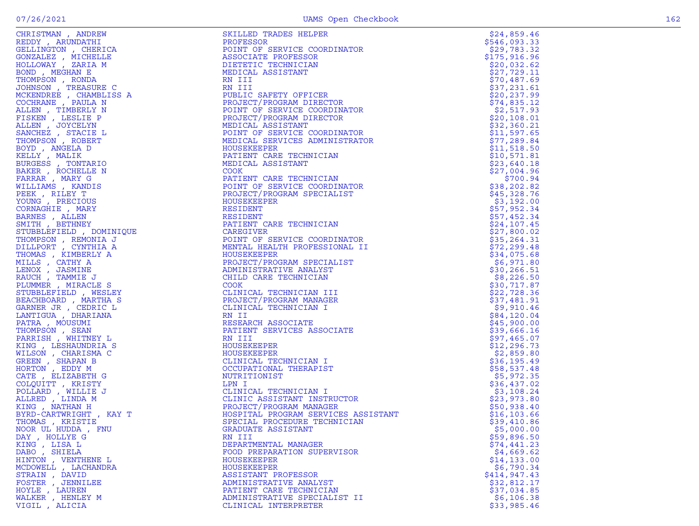| CHRISTMAN , ANDREW                                                | SKILLED TRADES HELPER                                                                                                                                                                                                                                           | \$24,859.46  |
|-------------------------------------------------------------------|-----------------------------------------------------------------------------------------------------------------------------------------------------------------------------------------------------------------------------------------------------------------|--------------|
| REDDY, ARUNDATHI<br>$\mathbf{A}$                                  | PROFESSOR                                                                                                                                                                                                                                                       | \$546,093.33 |
| GELLINGTON , CHERICA                                              | INATOR<br>The Second Second Second Second Second Second Second Second Second Second Second Second Second Second Second Second Second Second Second Second Second Second Second Second Second Second Second Second Second Second<br>POINT OF SERVICE COORDINATOR | \$29,783.32  |
| GONZALEZ , MICHELLE                                               | ASSOCIATE PROFESSOR                                                                                                                                                                                                                                             | \$175,916.96 |
| HOLLOWAY, ZARIA M                                                 | DIETETIC TECHNICIAN                                                                                                                                                                                                                                             | \$20,032.62  |
| BOND, MEGHAN E                                                    | MEDICAL ASSISTANT                                                                                                                                                                                                                                               | \$27,729.11  |
| THOMPSON, RONDA                                                   | RN III                                                                                                                                                                                                                                                          | \$70,487.69  |
| JOHNSON, TREASURE C                                               | RN III                                                                                                                                                                                                                                                          | \$37,231.61  |
| MCKENDREE , CHAMBLISS A                                           | PUBLIC SAFETY OFFICER                                                                                                                                                                                                                                           | \$20, 237.99 |
| COCHRANE , PAULA N                                                | PROJECT/PROGRAM DIRECTOR                                                                                                                                                                                                                                        | \$74,835.12  |
| ALLEN, TIMBERLY N                                                 | POINT OF SERVICE COORDINATOR                                                                                                                                                                                                                                    | \$2,517.93   |
| FISKEN, LESLIE P                                                  | PROJECT/PROGRAM DIRECTOR                                                                                                                                                                                                                                        | \$20, 108.01 |
| ALLEN, JOYCELYN                                                   | MEDICAL ASSISTANT                                                                                                                                                                                                                                               | \$32,360.21  |
| SANCHEZ , STACIE L                                                | POINT OF SERVICE COORDINATOR                                                                                                                                                                                                                                    | \$11,597.65  |
| THOMPSON, ROBERT                                                  | MEDICAL SERVICES ADMINISTRATOR                                                                                                                                                                                                                                  | \$77,289.84  |
| BOYD, ANGELA D                                                    | HOUSEKEEPER                                                                                                                                                                                                                                                     | \$11,518.50  |
| KELLY, MALIK                                                      | PATIENT CARE TECHNICIAN                                                                                                                                                                                                                                         | \$10,571.81  |
| BURGESS , TONTARIO                                                | MEDICAL ASSISTANT                                                                                                                                                                                                                                               | \$23,640.18  |
| BAKER, ROCHELLE N                                                 | <b>COOK</b>                                                                                                                                                                                                                                                     | \$27,004.96  |
|                                                                   | PATIENT CARE TECHNICIAN                                                                                                                                                                                                                                         | \$700.94     |
|                                                                   | POINT OF SERVICE COORDINATOR                                                                                                                                                                                                                                    | \$38,202.82  |
|                                                                   | PROJECT/PROGRAM SPECIALIST                                                                                                                                                                                                                                      | \$45,328.76  |
|                                                                   |                                                                                                                                                                                                                                                                 | \$3,192.00   |
|                                                                   |                                                                                                                                                                                                                                                                 | \$57,952.34  |
|                                                                   |                                                                                                                                                                                                                                                                 | \$57,452.34  |
|                                                                   |                                                                                                                                                                                                                                                                 | \$24,107.45  |
|                                                                   |                                                                                                                                                                                                                                                                 | \$27,800.02  |
|                                                                   | SAM SPECIAL<br>ESIDENT<br>RESIDENT<br>RESIDENT<br>PATIENT CARE TECHNICIAN<br>CAREGIVER<br>POINT OF SERVICE<br>POINT OF SERVICE COORDINATOR                                                                                                                      | \$35, 264.31 |
|                                                                   | MENTAL HEALTH PROFESSIONAL II                                                                                                                                                                                                                                   | \$72, 299.48 |
|                                                                   | HOUSEKEEPER                                                                                                                                                                                                                                                     | \$34,075.68  |
|                                                                   | PROJECT/PROGRAM SPECIALIST                                                                                                                                                                                                                                      | \$6,971.80   |
|                                                                   | ADMINISTRATIVE ANALYST                                                                                                                                                                                                                                          | \$30,266.51  |
|                                                                   |                                                                                                                                                                                                                                                                 |              |
|                                                                   | CHILD CARE TECHNICIAN                                                                                                                                                                                                                                           | \$8,226.50   |
|                                                                   |                                                                                                                                                                                                                                                                 | \$30,717.87  |
|                                                                   | CLINICAL TECHNICIAN III                                                                                                                                                                                                                                         | \$22,728.36  |
|                                                                   | PROJECT/PROGRAM MANAGER                                                                                                                                                                                                                                         | \$37,481.91  |
|                                                                   | CLINICAL TECHNICIAN I                                                                                                                                                                                                                                           | \$9,910.46   |
|                                                                   |                                                                                                                                                                                                                                                                 | \$84,120.04  |
|                                                                   | RESEARCH ASSOCIATE                                                                                                                                                                                                                                              | \$45,900.00  |
|                                                                   | PATIENT SERVICES ASSOCIATE                                                                                                                                                                                                                                      | \$39,666.16  |
|                                                                   |                                                                                                                                                                                                                                                                 | \$97,465.07  |
|                                                                   | HOUSEKEEPER                                                                                                                                                                                                                                                     | \$12, 296.73 |
|                                                                   | HOUSEKEEPER                                                                                                                                                                                                                                                     | \$2,859.80   |
|                                                                   | CLINICAL TECHNICIAN I                                                                                                                                                                                                                                           | \$36,195.49  |
| $\begin{aligned} \mathbf{A}\mathbf{Y} & \mathbf{T} \end{aligned}$ | OCCUPATIONAL THERAPIST                                                                                                                                                                                                                                          | \$58,537.48  |
| CATE, ELIZABETH G                                                 | NUTRITIONIST                                                                                                                                                                                                                                                    | \$5,972.35   |
| COLQUITT, KRISTY                                                  | CLINICAL TECHNICIAN I<br>CLINIC ASSISTANT INSTRUCTOR<br>PROJECT/PROGRAM MANAGER<br>HOSPITAL PROGRAM SERVICES ASSISTANT<br>SPECIAL PROGRAM SERVICES ASSISTANT<br>SPECIAL PROGEDURE TECHNICIAN<br>GRADUATE ASSISTANT                                              | \$36,437.02  |
| POLLARD, WILLIE J                                                 |                                                                                                                                                                                                                                                                 | \$3,108.24   |
| ALLRED, LINDA M                                                   |                                                                                                                                                                                                                                                                 | \$23,973.80  |
| KING, NATHAN H                                                    |                                                                                                                                                                                                                                                                 | \$50,938.40  |
| BYRD-CARTWRIGHT, KAY T                                            |                                                                                                                                                                                                                                                                 | \$16, 103.66 |
| THOMAS , KRISTIE                                                  |                                                                                                                                                                                                                                                                 | \$39,410.86  |
| NOOR UL HUDDA, FNU                                                | GRADUATE ASSISTANT                                                                                                                                                                                                                                              | \$5,000.00   |
| DAY, HOLLYE G                                                     | RN III                                                                                                                                                                                                                                                          | \$59,896.50  |
| KING, LISA L                                                      | DEPARTMENTAL MANAGER                                                                                                                                                                                                                                            | \$74,441.23  |
| DABO , SHIELA                                                     | FOOD PREPARATION SUPERVISOR                                                                                                                                                                                                                                     | \$4,669.62   |
| HINTON , VENTHENE L                                               | HOUSEKEEPER                                                                                                                                                                                                                                                     | \$14, 133.00 |
| MCDOWELL , LACHANDRA                                              | HOUSEKEEPER                                                                                                                                                                                                                                                     | \$6,790.34   |
| STRAIN, DAVID                                                     | ASSISTANT PROFESSOR                                                                                                                                                                                                                                             | \$414,947.43 |
| FOSTER, JENNILEE                                                  | ADMINISTRATIVE ANALYST                                                                                                                                                                                                                                          | \$32,812.17  |
| HOYLE, LAUREN                                                     | PATIENT CARE TECHNICIAN                                                                                                                                                                                                                                         | \$37,034.85  |
| WALKER, HENLEY M                                                  | ADMINISTRATIVE SPECIALIST II                                                                                                                                                                                                                                    | \$6,106.38   |
| VIGIL, ALICIA                                                     | CLINICAL INTERPRETER                                                                                                                                                                                                                                            | \$33,985.46  |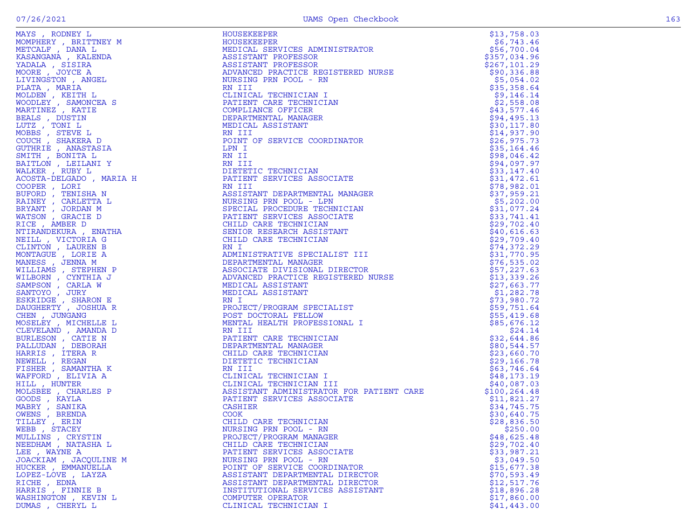| "OMPHERY , BRITTNEY M<br>"MOMPHERY , DANA L<br>"KASANGANA , KALENDA                                                                                                                                                                                                                                                                                                                                                 |
|---------------------------------------------------------------------------------------------------------------------------------------------------------------------------------------------------------------------------------------------------------------------------------------------------------------------------------------------------------------------------------------------------------------------|
|                                                                                                                                                                                                                                                                                                                                                                                                                     |
|                                                                                                                                                                                                                                                                                                                                                                                                                     |
|                                                                                                                                                                                                                                                                                                                                                                                                                     |
| YADALA , SISIRA<br>MOORE , JOYCE A                                                                                                                                                                                                                                                                                                                                                                                  |
|                                                                                                                                                                                                                                                                                                                                                                                                                     |
| LIVINGSTON, ANGEL                                                                                                                                                                                                                                                                                                                                                                                                   |
|                                                                                                                                                                                                                                                                                                                                                                                                                     |
|                                                                                                                                                                                                                                                                                                                                                                                                                     |
|                                                                                                                                                                                                                                                                                                                                                                                                                     |
| PLATA , MARIA<br>MOLDEN , KEITH L<br>MOODLEY , SAMONCEA S<br>MARIINEZ , KATIE<br>MARIINEZ , KATIE                                                                                                                                                                                                                                                                                                                   |
|                                                                                                                                                                                                                                                                                                                                                                                                                     |
|                                                                                                                                                                                                                                                                                                                                                                                                                     |
|                                                                                                                                                                                                                                                                                                                                                                                                                     |
|                                                                                                                                                                                                                                                                                                                                                                                                                     |
|                                                                                                                                                                                                                                                                                                                                                                                                                     |
|                                                                                                                                                                                                                                                                                                                                                                                                                     |
|                                                                                                                                                                                                                                                                                                                                                                                                                     |
|                                                                                                                                                                                                                                                                                                                                                                                                                     |
| MARTINEZ , KATIE<br>BEALS , DUSTIN<br>LUTZ , TONI L<br>MOBBS , STEVE L<br>COUCH , SHAKERA D<br>SUTHRIE , ANASTASIA<br>SMITH , BONITA L<br>SAITLON , LEILANI Y<br>MALKER , RUBY L<br>MALKER , RUBY L<br>COOSTA-DELGADO , MARIA H<br>COOSTA-DELGADO , MARIA H                                                                                                                                                         |
|                                                                                                                                                                                                                                                                                                                                                                                                                     |
|                                                                                                                                                                                                                                                                                                                                                                                                                     |
|                                                                                                                                                                                                                                                                                                                                                                                                                     |
|                                                                                                                                                                                                                                                                                                                                                                                                                     |
|                                                                                                                                                                                                                                                                                                                                                                                                                     |
|                                                                                                                                                                                                                                                                                                                                                                                                                     |
|                                                                                                                                                                                                                                                                                                                                                                                                                     |
|                                                                                                                                                                                                                                                                                                                                                                                                                     |
| COOPER , LORI<br>BUFORD , TENISHA N<br>RAINEY , CARLETTA L<br>BRYANT , JORDAN M<br>RICE , AMBER D<br>RICE , AMBER D<br>RICE , AMBER D<br>RICE , AMBER D                                                                                                                                                                                                                                                             |
| NTIRANDEKURA , ENATHA                                                                                                                                                                                                                                                                                                                                                                                               |
|                                                                                                                                                                                                                                                                                                                                                                                                                     |
|                                                                                                                                                                                                                                                                                                                                                                                                                     |
|                                                                                                                                                                                                                                                                                                                                                                                                                     |
|                                                                                                                                                                                                                                                                                                                                                                                                                     |
| NTIRANDEKURA , ENATH.<br>NEILI , VICTORIA G<br>CLINTON , LAUREN B<br>MONTAGUE , LORIE A<br>MANESS , JENNA M<br>VILLIAMS , STEPHEN P<br>VILLIAMS , STEPHEN P<br>VILLIAMS , STEPHEN P<br>SANTOYO , JURY<br>SANTOYO , JURY<br>DAUGHERTY , JOSHUA R<br>CHERTY , JOS                                                                                                                                                     |
|                                                                                                                                                                                                                                                                                                                                                                                                                     |
|                                                                                                                                                                                                                                                                                                                                                                                                                     |
|                                                                                                                                                                                                                                                                                                                                                                                                                     |
|                                                                                                                                                                                                                                                                                                                                                                                                                     |
|                                                                                                                                                                                                                                                                                                                                                                                                                     |
|                                                                                                                                                                                                                                                                                                                                                                                                                     |
|                                                                                                                                                                                                                                                                                                                                                                                                                     |
| CHEN, JUNGANG                                                                                                                                                                                                                                                                                                                                                                                                       |
| CHEN , JONGANG<br>CLEVELAND , MICHELLE L<br>CLEVELAND , AMANDA D<br>BURLESON , CATIE N<br>PALLUDAN , DEBORAH<br>HARRIS , ITERA R<br>NEWELL , REGAN<br>MAFFORD , ELIVIA K<br>MAFFORD , ELIVIA K<br>HILL HINTER<br>HILL HINTER                                                                                                                                                                                        |
|                                                                                                                                                                                                                                                                                                                                                                                                                     |
|                                                                                                                                                                                                                                                                                                                                                                                                                     |
|                                                                                                                                                                                                                                                                                                                                                                                                                     |
|                                                                                                                                                                                                                                                                                                                                                                                                                     |
|                                                                                                                                                                                                                                                                                                                                                                                                                     |
|                                                                                                                                                                                                                                                                                                                                                                                                                     |
|                                                                                                                                                                                                                                                                                                                                                                                                                     |
|                                                                                                                                                                                                                                                                                                                                                                                                                     |
|                                                                                                                                                                                                                                                                                                                                                                                                                     |
| HILL , HUNTER                                                                                                                                                                                                                                                                                                                                                                                                       |
|                                                                                                                                                                                                                                                                                                                                                                                                                     |
|                                                                                                                                                                                                                                                                                                                                                                                                                     |
|                                                                                                                                                                                                                                                                                                                                                                                                                     |
|                                                                                                                                                                                                                                                                                                                                                                                                                     |
|                                                                                                                                                                                                                                                                                                                                                                                                                     |
|                                                                                                                                                                                                                                                                                                                                                                                                                     |
| 1111 , HONIER<br>MOLSBEE , CHARLES P<br>GOODS , KAYLA<br>MABRY , SANIKA<br>NEBB , STACEY<br>TILLEY , ERIN<br>MILLINS CPYSTIN                                                                                                                                                                                                                                                                                        |
|                                                                                                                                                                                                                                                                                                                                                                                                                     |
| MULLINS , CRYSTIN<br>NEEDHAM , NATASHA L                                                                                                                                                                                                                                                                                                                                                                            |
|                                                                                                                                                                                                                                                                                                                                                                                                                     |
| LEE , WAYNE A                                                                                                                                                                                                                                                                                                                                                                                                       |
|                                                                                                                                                                                                                                                                                                                                                                                                                     |
|                                                                                                                                                                                                                                                                                                                                                                                                                     |
|                                                                                                                                                                                                                                                                                                                                                                                                                     |
|                                                                                                                                                                                                                                                                                                                                                                                                                     |
| LAYZA                                                                                                                                                                                                                                                                                                                                                                                                               |
|                                                                                                                                                                                                                                                                                                                                                                                                                     |
| JOACKIAM , JACQULINE M<br>JOACKIAM , JACQULINE M<br>JUCKER , EMMANUELLA<br>.OPEZ-LOVE<br>.<br>RICHE , EDNA<br>HARRIS , FINNIE B                                                                                                                                                                                                                                                                                     |
| <b>WASHINGTON</b> , KEVIN L<br>$\overline{C}$ $\overline{C}$ $\overline{C}$ $\overline{C}$ $\overline{C}$ $\overline{C}$ $\overline{C}$ $\overline{C}$ $\overline{C}$ $\overline{C}$ $\overline{C}$ $\overline{C}$ $\overline{C}$ $\overline{C}$ $\overline{C}$ $\overline{C}$ $\overline{C}$ $\overline{C}$ $\overline{C}$ $\overline{C}$ $\overline{C}$ $\overline{C}$ $\overline{C}$ $\overline{C}$ $\overline{$ |

|                                          | NATURE IN the second and the second and the second and the second and the second and the second and the second and the second and the second and the second and the second and the second and the second and the second and t | \$13,758.03                  |
|------------------------------------------|-------------------------------------------------------------------------------------------------------------------------------------------------------------------------------------------------------------------------------|------------------------------|
|                                          |                                                                                                                                                                                                                               | \$6,743.46                   |
|                                          |                                                                                                                                                                                                                               | \$56,700.04                  |
|                                          |                                                                                                                                                                                                                               | \$357,034.96                 |
|                                          |                                                                                                                                                                                                                               | \$267, 101.29                |
|                                          |                                                                                                                                                                                                                               | \$90,336.88                  |
|                                          |                                                                                                                                                                                                                               | \$5,054.02                   |
|                                          |                                                                                                                                                                                                                               | \$35,358.64                  |
|                                          |                                                                                                                                                                                                                               | \$9,146.14                   |
|                                          |                                                                                                                                                                                                                               | \$2,558.08                   |
|                                          |                                                                                                                                                                                                                               | \$43,577.46                  |
|                                          |                                                                                                                                                                                                                               | \$94,495.13                  |
|                                          |                                                                                                                                                                                                                               | \$30, 117.80                 |
|                                          |                                                                                                                                                                                                                               | \$14,937.90                  |
|                                          |                                                                                                                                                                                                                               | \$26,975.73                  |
|                                          |                                                                                                                                                                                                                               | \$35,164.46                  |
|                                          |                                                                                                                                                                                                                               | \$98,046.42                  |
|                                          |                                                                                                                                                                                                                               | \$94,097.97                  |
|                                          |                                                                                                                                                                                                                               | \$33,147.40                  |
|                                          |                                                                                                                                                                                                                               | \$31,472.61                  |
|                                          |                                                                                                                                                                                                                               | \$78,982.01                  |
|                                          |                                                                                                                                                                                                                               | \$37,959.21                  |
|                                          |                                                                                                                                                                                                                               | \$5,202.00                   |
|                                          |                                                                                                                                                                                                                               | \$31,077.24                  |
|                                          |                                                                                                                                                                                                                               | \$33,741.41                  |
|                                          |                                                                                                                                                                                                                               | \$29,702.40                  |
|                                          |                                                                                                                                                                                                                               | \$40,616.63                  |
|                                          |                                                                                                                                                                                                                               | \$29,709.40                  |
|                                          |                                                                                                                                                                                                                               | \$74,372.29                  |
|                                          |                                                                                                                                                                                                                               | \$31,770.95                  |
|                                          |                                                                                                                                                                                                                               | \$76,535.02                  |
|                                          |                                                                                                                                                                                                                               | \$57,227.63                  |
|                                          |                                                                                                                                                                                                                               | \$13,339.26                  |
|                                          |                                                                                                                                                                                                                               | \$27,663.77                  |
|                                          |                                                                                                                                                                                                                               | \$1,282.78                   |
|                                          |                                                                                                                                                                                                                               | \$73,980.72                  |
|                                          |                                                                                                                                                                                                                               | \$59,751.64                  |
|                                          |                                                                                                                                                                                                                               | \$55,419.68                  |
|                                          |                                                                                                                                                                                                                               | \$85,676.12                  |
|                                          |                                                                                                                                                                                                                               | \$24.14                      |
|                                          |                                                                                                                                                                                                                               | \$32,644.86                  |
|                                          |                                                                                                                                                                                                                               | \$80,544.57                  |
|                                          |                                                                                                                                                                                                                               | \$23,660.70                  |
|                                          |                                                                                                                                                                                                                               | \$29,166.78                  |
|                                          |                                                                                                                                                                                                                               | \$63,746.64                  |
|                                          |                                                                                                                                                                                                                               | \$48,173.19                  |
|                                          |                                                                                                                                                                                                                               | \$40,087.03<br>\$100, 264.48 |
|                                          |                                                                                                                                                                                                                               |                              |
|                                          |                                                                                                                                                                                                                               | \$11,821.27<br>\$34,745.75   |
|                                          |                                                                                                                                                                                                                               | \$30,640.75                  |
|                                          |                                                                                                                                                                                                                               | \$28,836.50                  |
|                                          |                                                                                                                                                                                                                               |                              |
| WEBB, STACEY                             | NURSING PRN POOL - RN<br>PROJECT/PROGRAM MANAGER                                                                                                                                                                              | \$250.00<br>\$48,625.48      |
| MULLINS , CRYSTIN<br>NEEDHAM , NATASHA L | CHILD CARE TECHNICIAN                                                                                                                                                                                                         | \$29,702.40                  |
| LEE , WAYNE A                            | PATIENT SERVICES ASSOCIATE                                                                                                                                                                                                    | \$33,987.21                  |
| JOACKIAM, JACQULINE M                    | NURSING PRN POOL - RN                                                                                                                                                                                                         | \$3,049.50                   |
| HUCKER , EMMANUELLA                      | POINT OF SERVICE COORDINATOR                                                                                                                                                                                                  | \$15,677.38                  |
| LOPEZ-LOVE , LAYZA                       | ASSISTANT DEPARTMENTAL DIRECTOR                                                                                                                                                                                               | \$70,593.49                  |
| RICHE, EDNA                              | ASSISTANT DEPARTMENTAL DIRECTOR                                                                                                                                                                                               | \$12,517.76                  |
| HARRIS, FINNIE B                         | INSTITUTIONAL SERVICES ASSISTANT                                                                                                                                                                                              | \$18,896.28                  |
| WASHINGTON , KEVIN L                     | COMPUTER OPERATOR                                                                                                                                                                                                             | \$17,860.00                  |
|                                          | CLINICAL TECHNICIAN I                                                                                                                                                                                                         | \$41,443.00                  |
| DUMAS, CHERYL L                          |                                                                                                                                                                                                                               |                              |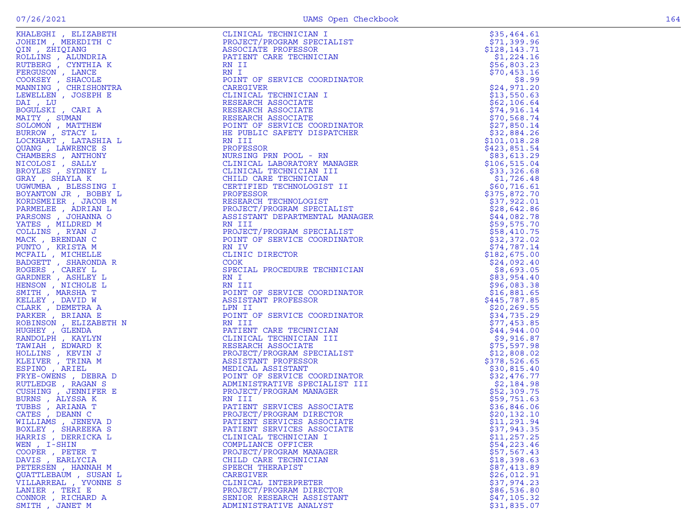| KRASSER , SLEDARN (1911)<br>COLLINS , ALEXANDER , SLEDARN (1911)<br>COLLINS , ARADON ARR (1911)<br>AND ANNOUNCE TRANSPORT (1911)<br>AND ANNOUNCE TRANSPORT (1911)<br>COLLINS , ARR (1912)<br>COLLINS , COLLINS , AND IRENT CARE TO A COLLINS (1 |                                                                                                                                                                                                                                                                                                                                                                                           | \$35,464.61   |
|-------------------------------------------------------------------------------------------------------------------------------------------------------------------------------------------------------------------------------------------------|-------------------------------------------------------------------------------------------------------------------------------------------------------------------------------------------------------------------------------------------------------------------------------------------------------------------------------------------------------------------------------------------|---------------|
|                                                                                                                                                                                                                                                 |                                                                                                                                                                                                                                                                                                                                                                                           | \$71,399.96   |
|                                                                                                                                                                                                                                                 |                                                                                                                                                                                                                                                                                                                                                                                           | \$128, 143.71 |
|                                                                                                                                                                                                                                                 |                                                                                                                                                                                                                                                                                                                                                                                           | \$1,224.16    |
|                                                                                                                                                                                                                                                 |                                                                                                                                                                                                                                                                                                                                                                                           | \$56,803.23   |
|                                                                                                                                                                                                                                                 |                                                                                                                                                                                                                                                                                                                                                                                           | \$70,453.16   |
|                                                                                                                                                                                                                                                 |                                                                                                                                                                                                                                                                                                                                                                                           | \$8.99        |
|                                                                                                                                                                                                                                                 |                                                                                                                                                                                                                                                                                                                                                                                           | \$24,971.20   |
|                                                                                                                                                                                                                                                 |                                                                                                                                                                                                                                                                                                                                                                                           | \$13,550.63   |
|                                                                                                                                                                                                                                                 |                                                                                                                                                                                                                                                                                                                                                                                           | \$62,106.64   |
|                                                                                                                                                                                                                                                 |                                                                                                                                                                                                                                                                                                                                                                                           | \$74,916.14   |
|                                                                                                                                                                                                                                                 |                                                                                                                                                                                                                                                                                                                                                                                           | \$70,568.74   |
|                                                                                                                                                                                                                                                 |                                                                                                                                                                                                                                                                                                                                                                                           | \$27,850.14   |
|                                                                                                                                                                                                                                                 |                                                                                                                                                                                                                                                                                                                                                                                           | \$32,884.26   |
|                                                                                                                                                                                                                                                 |                                                                                                                                                                                                                                                                                                                                                                                           | \$101,018.28  |
|                                                                                                                                                                                                                                                 |                                                                                                                                                                                                                                                                                                                                                                                           | \$423,851.54  |
|                                                                                                                                                                                                                                                 |                                                                                                                                                                                                                                                                                                                                                                                           | \$83,613.29   |
|                                                                                                                                                                                                                                                 |                                                                                                                                                                                                                                                                                                                                                                                           | \$106,515.04  |
|                                                                                                                                                                                                                                                 |                                                                                                                                                                                                                                                                                                                                                                                           | \$33,326.68   |
|                                                                                                                                                                                                                                                 |                                                                                                                                                                                                                                                                                                                                                                                           | \$1,726.48    |
|                                                                                                                                                                                                                                                 |                                                                                                                                                                                                                                                                                                                                                                                           | \$60,716.61   |
|                                                                                                                                                                                                                                                 |                                                                                                                                                                                                                                                                                                                                                                                           | \$375,872.70  |
|                                                                                                                                                                                                                                                 |                                                                                                                                                                                                                                                                                                                                                                                           | \$37,922.01   |
|                                                                                                                                                                                                                                                 |                                                                                                                                                                                                                                                                                                                                                                                           | \$28,642.86   |
|                                                                                                                                                                                                                                                 |                                                                                                                                                                                                                                                                                                                                                                                           | \$44,082.78   |
|                                                                                                                                                                                                                                                 | CAREGIVER<br>CLINICAL TECHNICIAN I<br>CAREGIVER<br>RESEARCH ASSOCIATE<br>RESEARCH ASSOCIATE<br>RESEARCH ASSOCIATE<br>PONT DE SERVICE CORDINATOR<br>HE PUBLIC SAFETY DISPATCHER<br>RE PUBLIC SAFETY DISPATCHER<br>RE PROFESSOR<br>NURSING PRI POOL - RN<br>CLINI<br>PROJECT/FINDER<br>ASSISTANT DEPARTMENTAL MANAGER<br>RN III<br>PROJECT/PROGRAM SPECIALIST<br>CONTECT/PROGRAM SPECIALIST | \$59,575.70   |
|                                                                                                                                                                                                                                                 |                                                                                                                                                                                                                                                                                                                                                                                           | \$58,410.75   |
|                                                                                                                                                                                                                                                 |                                                                                                                                                                                                                                                                                                                                                                                           | \$32,372.02   |
|                                                                                                                                                                                                                                                 |                                                                                                                                                                                                                                                                                                                                                                                           | \$74,787.14   |
|                                                                                                                                                                                                                                                 |                                                                                                                                                                                                                                                                                                                                                                                           | \$182,675.00  |
|                                                                                                                                                                                                                                                 |                                                                                                                                                                                                                                                                                                                                                                                           | \$24,092.40   |
|                                                                                                                                                                                                                                                 |                                                                                                                                                                                                                                                                                                                                                                                           | \$8,693.05    |
|                                                                                                                                                                                                                                                 |                                                                                                                                                                                                                                                                                                                                                                                           | \$83,954.40   |
|                                                                                                                                                                                                                                                 |                                                                                                                                                                                                                                                                                                                                                                                           | \$96,083.38   |
|                                                                                                                                                                                                                                                 |                                                                                                                                                                                                                                                                                                                                                                                           | \$16,881.65   |
|                                                                                                                                                                                                                                                 | PATIENT CARE TECHNICIAN<br>CLINICAL TECHNICIAN<br>RESEARCH ASSOCIATE<br>PROJECT/PROGRAM SPECIALIST<br>ASSISTANT PROFESSOR<br>MEDICAL ASSISTANT<br>POINT OF SERVICE COORDINATOR<br>NDINISTRATIVE SPECIALIST<br>NOJECT/PROGRAM                                                                                                                                                              | \$445,787.85  |
|                                                                                                                                                                                                                                                 |                                                                                                                                                                                                                                                                                                                                                                                           | \$20, 269.55  |
|                                                                                                                                                                                                                                                 |                                                                                                                                                                                                                                                                                                                                                                                           | \$34,735.29   |
|                                                                                                                                                                                                                                                 |                                                                                                                                                                                                                                                                                                                                                                                           | \$77,453.85   |
|                                                                                                                                                                                                                                                 |                                                                                                                                                                                                                                                                                                                                                                                           | \$44,944.00   |
|                                                                                                                                                                                                                                                 |                                                                                                                                                                                                                                                                                                                                                                                           | \$9,916.87    |
|                                                                                                                                                                                                                                                 |                                                                                                                                                                                                                                                                                                                                                                                           | \$75,597.98   |
|                                                                                                                                                                                                                                                 |                                                                                                                                                                                                                                                                                                                                                                                           | \$12,808.02   |
|                                                                                                                                                                                                                                                 |                                                                                                                                                                                                                                                                                                                                                                                           | \$378,526.65  |
|                                                                                                                                                                                                                                                 |                                                                                                                                                                                                                                                                                                                                                                                           | \$30,815.40   |
|                                                                                                                                                                                                                                                 |                                                                                                                                                                                                                                                                                                                                                                                           | \$32,476.77   |
|                                                                                                                                                                                                                                                 |                                                                                                                                                                                                                                                                                                                                                                                           | \$2,184.98    |
|                                                                                                                                                                                                                                                 |                                                                                                                                                                                                                                                                                                                                                                                           | \$52,309.75   |
|                                                                                                                                                                                                                                                 |                                                                                                                                                                                                                                                                                                                                                                                           | \$59,751.63   |
|                                                                                                                                                                                                                                                 |                                                                                                                                                                                                                                                                                                                                                                                           | \$36,846.06   |
|                                                                                                                                                                                                                                                 |                                                                                                                                                                                                                                                                                                                                                                                           | \$20,132.10   |
|                                                                                                                                                                                                                                                 |                                                                                                                                                                                                                                                                                                                                                                                           | \$11,291.94   |
|                                                                                                                                                                                                                                                 |                                                                                                                                                                                                                                                                                                                                                                                           | \$37,943.35   |
|                                                                                                                                                                                                                                                 |                                                                                                                                                                                                                                                                                                                                                                                           | \$11, 257.25  |
|                                                                                                                                                                                                                                                 |                                                                                                                                                                                                                                                                                                                                                                                           | \$54,223.46   |
|                                                                                                                                                                                                                                                 |                                                                                                                                                                                                                                                                                                                                                                                           | \$57,567.43   |
| DAVIS, EARLYCIA                                                                                                                                                                                                                                 | CHILD CARE TECHNICIAN                                                                                                                                                                                                                                                                                                                                                                     | \$18,398.63   |
| PETERSEN, HANNAH M                                                                                                                                                                                                                              | SPEECH THERAPIST                                                                                                                                                                                                                                                                                                                                                                          | \$87,413.89   |
| QUATTLEBAUM, SUSAN L                                                                                                                                                                                                                            | CAREGIVER                                                                                                                                                                                                                                                                                                                                                                                 | \$26,012.91   |
| VILLARREAL , YVONNE S                                                                                                                                                                                                                           | CLINICAL INTERPRETER                                                                                                                                                                                                                                                                                                                                                                      | \$37,974.23   |
| LANIER, TERI E                                                                                                                                                                                                                                  | PROJECT/PROGRAM DIRECTOR                                                                                                                                                                                                                                                                                                                                                                  | \$86,536.80   |
| CONNOR, RICHARD A                                                                                                                                                                                                                               | SENIOR RESEARCH ASSISTANT                                                                                                                                                                                                                                                                                                                                                                 | \$47,105.32   |
| SMITH, JANET M                                                                                                                                                                                                                                  | ADMINISTRATIVE ANALYST                                                                                                                                                                                                                                                                                                                                                                    | \$31,835.07   |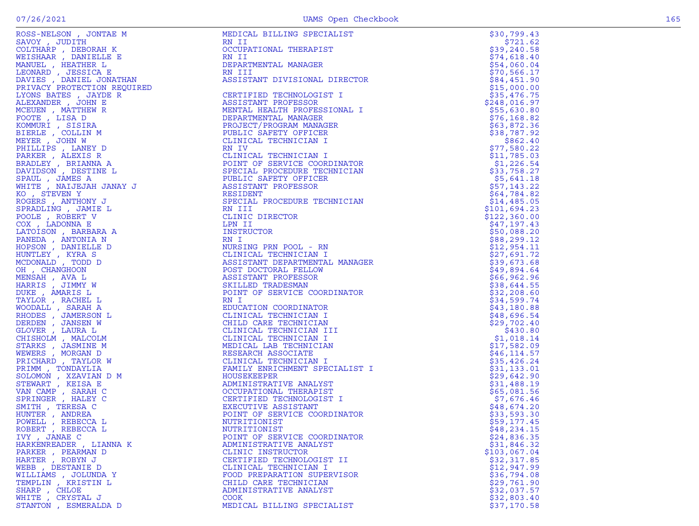|                                      | ROSS-SHEET (FORMER 1600)<br>NEWSPIES (FORMER 1600)<br>NEWSPIES (FORMER 1600)<br>MERICULAR PRODUCTIONS IN THE SERVICE SERVICE CONDITIONS (FORMER 1600)<br>NEWSPIES (FORMER 1600)<br>NEWSPIES (FORMER 1600)<br>NEWSPIES (FORMER 1600)<br>NEWS | \$30,799.43                 |
|--------------------------------------|---------------------------------------------------------------------------------------------------------------------------------------------------------------------------------------------------------------------------------------------|-----------------------------|
|                                      |                                                                                                                                                                                                                                             | \$721.62                    |
|                                      |                                                                                                                                                                                                                                             | \$39,240.58                 |
|                                      |                                                                                                                                                                                                                                             | \$74,618.40                 |
|                                      |                                                                                                                                                                                                                                             | \$54,060.04                 |
|                                      |                                                                                                                                                                                                                                             | \$70,566.17                 |
|                                      |                                                                                                                                                                                                                                             | \$84,451.90                 |
|                                      |                                                                                                                                                                                                                                             | \$15,000.00                 |
|                                      |                                                                                                                                                                                                                                             | \$35,476.75<br>\$248,016.97 |
|                                      |                                                                                                                                                                                                                                             | \$55,630.80                 |
|                                      |                                                                                                                                                                                                                                             | \$76,168.82                 |
|                                      |                                                                                                                                                                                                                                             | \$63,872.36                 |
|                                      |                                                                                                                                                                                                                                             | \$38,787.92                 |
|                                      |                                                                                                                                                                                                                                             | \$862.40                    |
|                                      |                                                                                                                                                                                                                                             | \$77,580.22                 |
|                                      |                                                                                                                                                                                                                                             | \$11,785.03                 |
|                                      |                                                                                                                                                                                                                                             | \$1,226.54                  |
|                                      |                                                                                                                                                                                                                                             | \$33,758.27                 |
|                                      |                                                                                                                                                                                                                                             | \$5,641.18                  |
|                                      |                                                                                                                                                                                                                                             | \$57,143.22                 |
|                                      |                                                                                                                                                                                                                                             | \$64,784.82                 |
|                                      |                                                                                                                                                                                                                                             | \$14,485.05                 |
|                                      |                                                                                                                                                                                                                                             | \$101,694.23                |
|                                      |                                                                                                                                                                                                                                             | \$122,360.00                |
|                                      |                                                                                                                                                                                                                                             | \$47,197.43                 |
|                                      |                                                                                                                                                                                                                                             | \$50,088.20                 |
|                                      |                                                                                                                                                                                                                                             | \$88,299.12                 |
|                                      |                                                                                                                                                                                                                                             | \$12,954.11                 |
|                                      |                                                                                                                                                                                                                                             | \$27,691.72                 |
|                                      |                                                                                                                                                                                                                                             | \$39,673.68                 |
|                                      |                                                                                                                                                                                                                                             | \$49,894.64                 |
|                                      |                                                                                                                                                                                                                                             | \$66,962.96                 |
|                                      |                                                                                                                                                                                                                                             | \$38,644.55                 |
|                                      |                                                                                                                                                                                                                                             | \$32, 208.60                |
|                                      |                                                                                                                                                                                                                                             | \$34,599.74                 |
|                                      |                                                                                                                                                                                                                                             | \$43,180.88                 |
|                                      |                                                                                                                                                                                                                                             | \$48,696.54                 |
|                                      |                                                                                                                                                                                                                                             | \$29,702.40                 |
|                                      |                                                                                                                                                                                                                                             | \$430.80                    |
|                                      |                                                                                                                                                                                                                                             | \$1,018.14                  |
|                                      |                                                                                                                                                                                                                                             | \$17,582.09                 |
|                                      |                                                                                                                                                                                                                                             | \$46, 114.57                |
|                                      |                                                                                                                                                                                                                                             | \$35,426.24                 |
|                                      |                                                                                                                                                                                                                                             | \$31,133.01                 |
|                                      |                                                                                                                                                                                                                                             | \$29,642.90                 |
|                                      |                                                                                                                                                                                                                                             | \$31,488.19                 |
|                                      |                                                                                                                                                                                                                                             | \$65,081.56                 |
|                                      |                                                                                                                                                                                                                                             | \$7,676.46                  |
|                                      |                                                                                                                                                                                                                                             | \$48,674.20                 |
|                                      |                                                                                                                                                                                                                                             | \$33,593.30                 |
|                                      |                                                                                                                                                                                                                                             | \$59,177.45                 |
| ROBERT, REBECCA L                    | NUTRITIONIST                                                                                                                                                                                                                                | \$48, 234.15                |
| IVY, JANAE C                         | POINT OF SERVICE COORDINATOR                                                                                                                                                                                                                | \$24,836.35                 |
| HARKENREADER, LIANNA K               | ADMINISTRATIVE ANALYST                                                                                                                                                                                                                      | \$31,846.32<br>\$103,067.04 |
| PARKER, PEARMAN D<br>HARTER, ROBYN J | CLINIC INSTRUCTOR<br>CERTIFIED TECHNOLOGIST II                                                                                                                                                                                              | \$32,317.85                 |
| WEBB, DESTANIE D                     | CLINICAL TECHNICIAN I                                                                                                                                                                                                                       | \$12,947.99                 |
| WILLIAMS , JOLUNDA Y                 | FOOD PREPARATION SUPERVISOR                                                                                                                                                                                                                 | \$36,794.08                 |
| TEMPLIN, KRISTIN L                   | CHILD CARE TECHNICIAN                                                                                                                                                                                                                       | \$29,761.90                 |
| SHARP, CHLOE                         | ADMINISTRATIVE ANALYST                                                                                                                                                                                                                      | \$32,037.57                 |
| WHITE , CRYSTAL J                    | <b>COOK</b>                                                                                                                                                                                                                                 | \$32,803.40                 |
| STANTON , ESMERALDA D                | MEDICAL BILLING SPECIALIST                                                                                                                                                                                                                  | \$37,170.58                 |
|                                      |                                                                                                                                                                                                                                             |                             |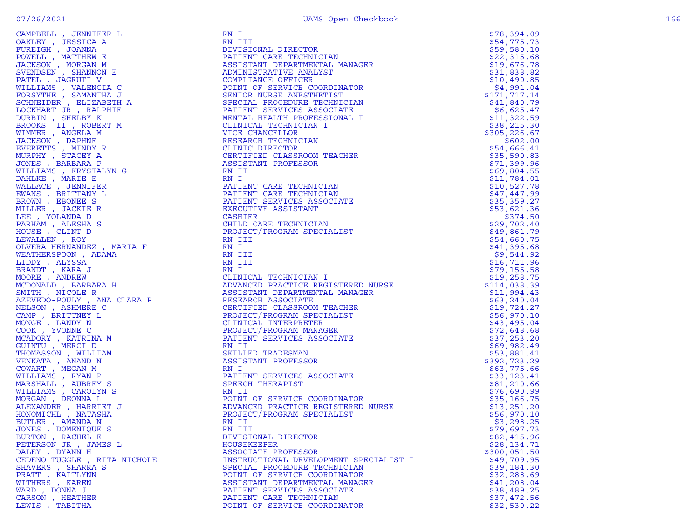|                              | CARDINAL (1990) - ANGELES AN ENGLISH PROFESSION MARIAM CARDINAL PROPERTY PROFESSION CONFIDENTIAL CARD (1990) - AND 2000 - AND 2000 - AND 2000 - AND 2000 - AND 2000 - AND 2000 - AND 2000 - AND 2000 - AND 2000 - AND 2000 - | \$78,394.09                |
|------------------------------|------------------------------------------------------------------------------------------------------------------------------------------------------------------------------------------------------------------------------|----------------------------|
|                              |                                                                                                                                                                                                                              | \$54,775.73                |
|                              |                                                                                                                                                                                                                              | \$59,580.10                |
|                              |                                                                                                                                                                                                                              | \$22,315.68                |
|                              |                                                                                                                                                                                                                              | \$19,676.78                |
|                              |                                                                                                                                                                                                                              | \$31,838.82                |
|                              |                                                                                                                                                                                                                              | \$10,490.85                |
|                              |                                                                                                                                                                                                                              | \$4,991.04                 |
|                              |                                                                                                                                                                                                                              | \$171,717.14               |
|                              |                                                                                                                                                                                                                              | \$41,840.79                |
|                              |                                                                                                                                                                                                                              | \$6,625.47                 |
|                              |                                                                                                                                                                                                                              | \$11,322.59                |
|                              |                                                                                                                                                                                                                              | \$38, 215.30               |
|                              |                                                                                                                                                                                                                              | \$305,226.67               |
|                              |                                                                                                                                                                                                                              | \$602.00                   |
|                              |                                                                                                                                                                                                                              | \$54,666.41                |
|                              |                                                                                                                                                                                                                              | \$35,590.83                |
|                              |                                                                                                                                                                                                                              | \$71,399.96                |
|                              |                                                                                                                                                                                                                              | \$69,804.55                |
|                              |                                                                                                                                                                                                                              | \$11,784.01                |
|                              |                                                                                                                                                                                                                              | \$10,527.78                |
|                              |                                                                                                                                                                                                                              | \$47,447.99                |
|                              |                                                                                                                                                                                                                              | \$35,359.27                |
|                              |                                                                                                                                                                                                                              | \$53,621.36                |
|                              |                                                                                                                                                                                                                              | \$374.50                   |
|                              |                                                                                                                                                                                                                              | \$29,702.40                |
|                              |                                                                                                                                                                                                                              | \$49,861.79                |
|                              |                                                                                                                                                                                                                              | \$54,660.75                |
|                              |                                                                                                                                                                                                                              | \$41,395.68                |
|                              |                                                                                                                                                                                                                              | \$9,544.92                 |
|                              |                                                                                                                                                                                                                              | \$16,711.96                |
|                              |                                                                                                                                                                                                                              | \$79,155.58                |
|                              |                                                                                                                                                                                                                              | \$19, 258.75               |
|                              |                                                                                                                                                                                                                              | \$114,038.39               |
|                              |                                                                                                                                                                                                                              | \$11,994.43                |
|                              |                                                                                                                                                                                                                              | \$63,240.04                |
|                              |                                                                                                                                                                                                                              | \$19,724.27                |
|                              |                                                                                                                                                                                                                              | \$56,970.10                |
|                              |                                                                                                                                                                                                                              | \$43,495.04                |
|                              |                                                                                                                                                                                                                              | \$72,648.68<br>\$37,253.20 |
|                              |                                                                                                                                                                                                                              | \$69,982.49                |
|                              |                                                                                                                                                                                                                              | \$53,881.41                |
|                              |                                                                                                                                                                                                                              | \$392,723.29               |
|                              |                                                                                                                                                                                                                              | \$63,775.66                |
|                              |                                                                                                                                                                                                                              | \$33,123.41                |
|                              |                                                                                                                                                                                                                              | \$81,210.66                |
|                              |                                                                                                                                                                                                                              | \$76,690.99                |
|                              |                                                                                                                                                                                                                              | \$35,166.75                |
|                              |                                                                                                                                                                                                                              | \$13,251.20                |
|                              |                                                                                                                                                                                                                              | \$56,970.10                |
| BUTLER , AMANDA N            | RN II                                                                                                                                                                                                                        | \$3,298.25                 |
| JONES , DOMENIQUE S          | RN III                                                                                                                                                                                                                       | \$79,697.73                |
| BURTON, RACHEL E             | DIVISIONAL DIRECTOR                                                                                                                                                                                                          | \$82,415.96                |
| PETERSON JR , JAMES L        | HOUSEKEEPER                                                                                                                                                                                                                  | \$28,134.71                |
| DALEY , DYANN H              | ASSOCIATE PROFESSOR                                                                                                                                                                                                          | \$300,051.50               |
| CEDENO TUGGLE , RITA NICHOLE | INSTRUCTIONAL DEVELOPMENT SPECIALIST I                                                                                                                                                                                       | \$49,709.95                |
| SHAVERS, SHARRA S            | SPECIAL PROCEDURE TECHNICIAN                                                                                                                                                                                                 | \$39,184.30                |
| PRATT, KAITLYNN              | POINT OF SERVICE COORDINATOR                                                                                                                                                                                                 | \$32,288.69                |
| WITHERS , KAREN              | ASSISTANT DEPARTMENTAL MANAGER                                                                                                                                                                                               | \$41,208.04                |
| WARD, DONNA J                | PATIENT SERVICES ASSOCIATE                                                                                                                                                                                                   | \$38,489.25                |
| CARSON, HEATHER              | PATIENT CARE TECHNICIAN                                                                                                                                                                                                      | \$37,472.56                |
| LEWIS , TABITHA              | POINT OF SERVICE COORDINATOR                                                                                                                                                                                                 | \$32,530.22                |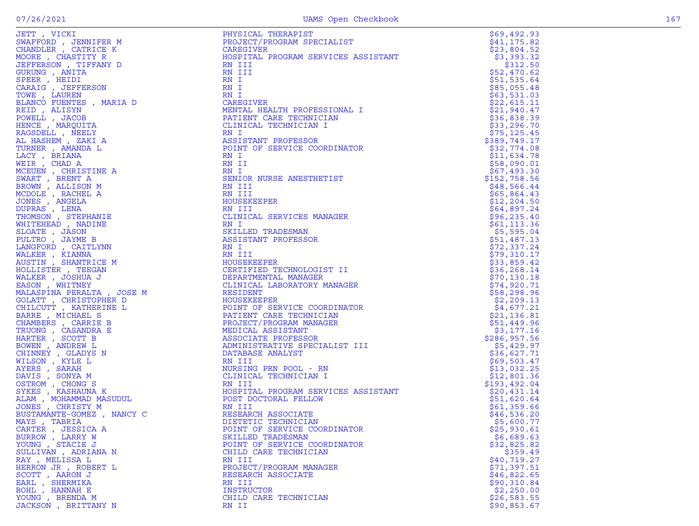| JETT, VICKI                                                                                                                                                                                                                                                     | PHYSICAL THERAPIST                  | \$69,492.93                 |
|-----------------------------------------------------------------------------------------------------------------------------------------------------------------------------------------------------------------------------------------------------------------|-------------------------------------|-----------------------------|
| SWAFFORD , JENNIFER M                                                                                                                                                                                                                                           | PROJECT/PROGRAM SPECIALIST          | \$41, 175.82                |
| CHANDLER, CATRICE K                                                                                                                                                                                                                                             | CAREGIVER                           | \$23,804.52                 |
| MOORE, CHASTITY R                                                                                                                                                                                                                                               | HOSPITAL PROGRAM SERVICES ASSISTANT | \$3,393.32                  |
| JEFFERSON, TIFFANY D                                                                                                                                                                                                                                            | RN III                              | \$312.50                    |
| GURUNG , ANITA                                                                                                                                                                                                                                                  | RN III                              | \$52,470.62                 |
| SPEER, HEIDI                                                                                                                                                                                                                                                    | RN I                                | \$51,535.64                 |
| CARAIG , JEFFERSON                                                                                                                                                                                                                                              | RN I                                | \$85,055.48                 |
| TOWE, LAUREN                                                                                                                                                                                                                                                    | RN I                                | \$63,531.03                 |
| BLANCO FUENTES , MARIA D                                                                                                                                                                                                                                        | CAREGIVER                           | \$22,615.11                 |
| REID, ALISYN                                                                                                                                                                                                                                                    | MENTAL HEALTH PROFESSIONAL I        | \$21,940.47                 |
| POWELL, JACOB                                                                                                                                                                                                                                                   | PATIENT CARE TECHNICIAN             | \$36,838.39                 |
| HENCE, MARQUITA                                                                                                                                                                                                                                                 | CLINICAL TECHNICIAN I               | \$33,296.70                 |
| RAGSDELL , NEELY                                                                                                                                                                                                                                                | RN I                                | \$75, 125.45                |
| AL HASHEM, ZAKI A                                                                                                                                                                                                                                               | ASSISTANT PROFESSOR                 | \$389,749.17                |
| TURNER, AMANDA L                                                                                                                                                                                                                                                | POINT OF SERVICE COORDINATOR        | \$32,774.08                 |
| LACY, BRIANA                                                                                                                                                                                                                                                    | RN I                                | \$11,634.78                 |
| WEIR, CHAD A                                                                                                                                                                                                                                                    | RN II                               | \$58,090.01                 |
| MCEUEN, CHRISTINE A                                                                                                                                                                                                                                             | RN I                                | \$67,493.30                 |
| SWART, BRENT A                                                                                                                                                                                                                                                  | SENIOR NURSE ANESTHETIST            | \$152,758.56                |
| BROWN, ALLISON M                                                                                                                                                                                                                                                | RN III                              | \$48,566.44                 |
| MCDOLE , RACHEL A                                                                                                                                                                                                                                               | RN III                              | \$65,864.43                 |
| JONES , ANGELA                                                                                                                                                                                                                                                  | HOUSEKEEPER                         | \$12, 204.50                |
| DUPRAS, LENA                                                                                                                                                                                                                                                    | RN III<br>CLINICAL SERVICES MANAGER | \$64,897.24<br>\$96, 235.40 |
| THOMSON, STEPHANIE<br>WHITEHEAD , NADINE                                                                                                                                                                                                                        | RN I                                | \$61, 113.36                |
| SLOATE, JASON                                                                                                                                                                                                                                                   | SKILLED TRADESMAN                   | \$5,595.04                  |
| PULTRO, JAYME B                                                                                                                                                                                                                                                 | ASSISTANT PROFESSOR                 | \$51,487.13                 |
| LANGFORD, CAITLYNN                                                                                                                                                                                                                                              | RN I                                | \$72,337.24                 |
| WALKER, KIANNA                                                                                                                                                                                                                                                  | RN III                              | \$79,310.17                 |
| AUSTIN, SHANTRICE M                                                                                                                                                                                                                                             | HOUSEKEEPER                         | \$33,859.42                 |
| HOLLISTER , TEEGAN                                                                                                                                                                                                                                              | CERTIFIED TECHNOLOGIST II           | \$36,268.14                 |
| WALKER, JOSHUA J                                                                                                                                                                                                                                                | DEPARTMENTAL MANAGER                | \$70, 130.18                |
| EASON, WHITNEY                                                                                                                                                                                                                                                  | CLINICAL LABORATORY MANAGER         | \$74,920.71                 |
| MALASPINA PERALTA, JOSE M                                                                                                                                                                                                                                       | RESIDENT                            | \$58,298.96                 |
| GOLATT, CHRISTOPHER D                                                                                                                                                                                                                                           | HOUSEKEEPER                         | \$2,209.13                  |
| GOLATT , CHRISTOPHER D<br>CHILCUTT , KATHERINE L<br>BARRE , MICHAEL S<br>CHAMBERS , CARRIE B<br>TRUONG , CASANDRA E<br>HARTER , SCOTT B<br>BOWEN , ANDREW L<br>CHINNEY , GLADYS N<br>WILSON , KYLE L<br>ANTES , SONYA M<br>OSTROM , CHONG S<br>SYKES , KASHAUNA | POINT OF SERVICE COORDINATOR        | \$4,677.21                  |
|                                                                                                                                                                                                                                                                 | PATIENT CARE TECHNICIAN             | \$21,136.81                 |
|                                                                                                                                                                                                                                                                 | PROJECT/PROGRAM MANAGER             | \$51,449.96                 |
|                                                                                                                                                                                                                                                                 | MEDICAL ASSISTANT                   | \$3,177.16                  |
|                                                                                                                                                                                                                                                                 | ASSOCIATE PROFESSOR                 | \$286,957.56                |
|                                                                                                                                                                                                                                                                 | ADMINISTRATIVE SPECIALIST III       | \$5,429.97                  |
|                                                                                                                                                                                                                                                                 | DATABASE ANALYST                    | \$36,627.71                 |
|                                                                                                                                                                                                                                                                 | RN III                              | \$69,503.47                 |
|                                                                                                                                                                                                                                                                 | NURSING PRN POOL - RN               | \$13,032.25                 |
|                                                                                                                                                                                                                                                                 | CLINICAL TECHNICIAN I               | \$12,801.36                 |
|                                                                                                                                                                                                                                                                 | RN III                              | \$193,492.04                |
|                                                                                                                                                                                                                                                                 | HOSPITAL PROGRAM SERVICES ASSISTANT | \$20,431.14                 |
|                                                                                                                                                                                                                                                                 | POST DOCTORAL FELLOW                | \$51,620.64                 |
|                                                                                                                                                                                                                                                                 | RN III                              | \$61,359.66                 |
| BUSTAMANTE-GOMEZ, NANCY C                                                                                                                                                                                                                                       | RESEARCH ASSOCIATE                  | \$46,536.20                 |
| MAYS, TABRIA                                                                                                                                                                                                                                                    | DIETETIC TECHNICIAN                 | \$5,600.77                  |
| CARTER, JESSICA A                                                                                                                                                                                                                                               | POINT OF SERVICE COORDINATOR        | \$25,930.61                 |
| BURROW, LARRY W                                                                                                                                                                                                                                                 | SKILLED TRADESMAN                   | \$6,689.63                  |
| YOUNG, STACIE J                                                                                                                                                                                                                                                 | POINT OF SERVICE COORDINATOR        | \$32,825.82                 |
| SULLIVAN, ADRIANA N                                                                                                                                                                                                                                             | CHILD CARE TECHNICIAN               | \$359.49                    |
| RAY, MELISSA L                                                                                                                                                                                                                                                  | RN III                              | \$40,719.27                 |
| HERRON JR , ROBERT L                                                                                                                                                                                                                                            | PROJECT/PROGRAM MANAGER             | \$71,397.51                 |
| SCOTT, AARON J                                                                                                                                                                                                                                                  | RESEARCH ASSOCIATE                  | \$46,822.65                 |
| EARL, SHERMIKA                                                                                                                                                                                                                                                  | RN III                              | \$90,310.84                 |
| BOHL, HANNAH E                                                                                                                                                                                                                                                  | INSTRUCTOR                          | \$2,250.00                  |
| YOUNG, BRENDA M                                                                                                                                                                                                                                                 | CHILD CARE TECHNICIAN               | \$26,583.55                 |

|                      |                                                                                                                                                                                                                                                                                                                                                                                                                                                                                                  | \$69,492.93  |
|----------------------|--------------------------------------------------------------------------------------------------------------------------------------------------------------------------------------------------------------------------------------------------------------------------------------------------------------------------------------------------------------------------------------------------------------------------------------------------------------------------------------------------|--------------|
|                      |                                                                                                                                                                                                                                                                                                                                                                                                                                                                                                  | \$41, 175.82 |
|                      |                                                                                                                                                                                                                                                                                                                                                                                                                                                                                                  | \$23,804.52  |
|                      |                                                                                                                                                                                                                                                                                                                                                                                                                                                                                                  | \$3,393.32   |
|                      |                                                                                                                                                                                                                                                                                                                                                                                                                                                                                                  |              |
|                      |                                                                                                                                                                                                                                                                                                                                                                                                                                                                                                  | \$312.50     |
|                      |                                                                                                                                                                                                                                                                                                                                                                                                                                                                                                  | \$52,470.62  |
|                      |                                                                                                                                                                                                                                                                                                                                                                                                                                                                                                  | \$51,535.64  |
|                      |                                                                                                                                                                                                                                                                                                                                                                                                                                                                                                  | \$85,055.48  |
|                      |                                                                                                                                                                                                                                                                                                                                                                                                                                                                                                  |              |
|                      |                                                                                                                                                                                                                                                                                                                                                                                                                                                                                                  | \$63,531.03  |
|                      |                                                                                                                                                                                                                                                                                                                                                                                                                                                                                                  | \$22,615.11  |
|                      |                                                                                                                                                                                                                                                                                                                                                                                                                                                                                                  | \$21,940.47  |
|                      |                                                                                                                                                                                                                                                                                                                                                                                                                                                                                                  | \$36,838.39  |
|                      |                                                                                                                                                                                                                                                                                                                                                                                                                                                                                                  | \$33,296.70  |
|                      |                                                                                                                                                                                                                                                                                                                                                                                                                                                                                                  |              |
|                      | $\label{eq:R} \begin{aligned} \mathbb{R} \end{aligned}$                                                                                                                                                                                                                                                                                                                                                                                                                                          | \$75, 125.45 |
|                      |                                                                                                                                                                                                                                                                                                                                                                                                                                                                                                  | \$389,749.17 |
|                      |                                                                                                                                                                                                                                                                                                                                                                                                                                                                                                  | \$32,774.08  |
|                      |                                                                                                                                                                                                                                                                                                                                                                                                                                                                                                  | \$11,634.78  |
|                      |                                                                                                                                                                                                                                                                                                                                                                                                                                                                                                  |              |
|                      |                                                                                                                                                                                                                                                                                                                                                                                                                                                                                                  | \$58,090.01  |
|                      |                                                                                                                                                                                                                                                                                                                                                                                                                                                                                                  | \$67,493.30  |
|                      |                                                                                                                                                                                                                                                                                                                                                                                                                                                                                                  | \$152,758.56 |
|                      |                                                                                                                                                                                                                                                                                                                                                                                                                                                                                                  | \$48,566.44  |
|                      |                                                                                                                                                                                                                                                                                                                                                                                                                                                                                                  |              |
|                      |                                                                                                                                                                                                                                                                                                                                                                                                                                                                                                  | \$65,864.43  |
|                      |                                                                                                                                                                                                                                                                                                                                                                                                                                                                                                  | \$12, 204.50 |
|                      |                                                                                                                                                                                                                                                                                                                                                                                                                                                                                                  | \$64,897.24  |
|                      |                                                                                                                                                                                                                                                                                                                                                                                                                                                                                                  | \$96, 235.40 |
|                      |                                                                                                                                                                                                                                                                                                                                                                                                                                                                                                  |              |
|                      |                                                                                                                                                                                                                                                                                                                                                                                                                                                                                                  | \$61, 113.36 |
|                      |                                                                                                                                                                                                                                                                                                                                                                                                                                                                                                  | \$5,595.04   |
|                      |                                                                                                                                                                                                                                                                                                                                                                                                                                                                                                  | \$51,487.13  |
|                      |                                                                                                                                                                                                                                                                                                                                                                                                                                                                                                  | \$72,337.24  |
|                      |                                                                                                                                                                                                                                                                                                                                                                                                                                                                                                  | \$79,310.17  |
|                      |                                                                                                                                                                                                                                                                                                                                                                                                                                                                                                  |              |
|                      |                                                                                                                                                                                                                                                                                                                                                                                                                                                                                                  | \$33,859.42  |
|                      |                                                                                                                                                                                                                                                                                                                                                                                                                                                                                                  | \$36, 268.14 |
|                      |                                                                                                                                                                                                                                                                                                                                                                                                                                                                                                  | \$70, 130.18 |
|                      |                                                                                                                                                                                                                                                                                                                                                                                                                                                                                                  | \$74,920.71  |
|                      |                                                                                                                                                                                                                                                                                                                                                                                                                                                                                                  |              |
|                      |                                                                                                                                                                                                                                                                                                                                                                                                                                                                                                  | \$58, 298.96 |
|                      |                                                                                                                                                                                                                                                                                                                                                                                                                                                                                                  | \$2,209.13   |
|                      |                                                                                                                                                                                                                                                                                                                                                                                                                                                                                                  | \$4,677.21   |
|                      |                                                                                                                                                                                                                                                                                                                                                                                                                                                                                                  | \$21,136.81  |
|                      |                                                                                                                                                                                                                                                                                                                                                                                                                                                                                                  |              |
|                      |                                                                                                                                                                                                                                                                                                                                                                                                                                                                                                  | \$51,449.96  |
|                      |                                                                                                                                                                                                                                                                                                                                                                                                                                                                                                  | \$3,177.16   |
|                      |                                                                                                                                                                                                                                                                                                                                                                                                                                                                                                  | \$286,957.56 |
|                      |                                                                                                                                                                                                                                                                                                                                                                                                                                                                                                  | \$5,429.97   |
|                      |                                                                                                                                                                                                                                                                                                                                                                                                                                                                                                  | \$36,627.71  |
|                      |                                                                                                                                                                                                                                                                                                                                                                                                                                                                                                  |              |
|                      |                                                                                                                                                                                                                                                                                                                                                                                                                                                                                                  | \$69,503.47  |
|                      | SAREFY COLLECTER PRODUCED IN THE MANUFATHER PROPERTY SERVICE SERVICE SERVICE AND MANUFATHER CONDUCED AND A SERVICE SERVICE SERVICE SERVICE SERVICE SERVICE SERVICE SERVICE SERVICE SERVICE SERVICE SERVICE SERVICE SERVICE SE<br>NN III<br>HOUSEKEEPER<br>CERTIFIED TECHNOLOGIST II<br>CERTIFIED TECHNOLOGIST II<br>CENTIFICAL LABORATORY MANAGER<br>RESIDENT<br>HOUSEKEEPER<br>POINT OF SERVICE COORDINATOR<br>PATIENT CARE TECHNICIAN<br>PROJECT/PROGRAM MANAGER<br>MEDICAL ASSISTANT<br>MEDIC | \$13,032.25  |
|                      |                                                                                                                                                                                                                                                                                                                                                                                                                                                                                                  | \$12,801.36  |
|                      |                                                                                                                                                                                                                                                                                                                                                                                                                                                                                                  | \$193,492.04 |
|                      |                                                                                                                                                                                                                                                                                                                                                                                                                                                                                                  |              |
|                      |                                                                                                                                                                                                                                                                                                                                                                                                                                                                                                  | \$20,431.14  |
|                      |                                                                                                                                                                                                                                                                                                                                                                                                                                                                                                  | \$51,620.64  |
|                      |                                                                                                                                                                                                                                                                                                                                                                                                                                                                                                  | \$61,359.66  |
|                      |                                                                                                                                                                                                                                                                                                                                                                                                                                                                                                  | \$46,536.20  |
|                      |                                                                                                                                                                                                                                                                                                                                                                                                                                                                                                  | \$5,600.77   |
|                      |                                                                                                                                                                                                                                                                                                                                                                                                                                                                                                  |              |
| CARTER, JESSICA A    |                                                                                                                                                                                                                                                                                                                                                                                                                                                                                                  | \$25,930.61  |
| BURROW, LARRY W      | SKILLED TRADESMAN                                                                                                                                                                                                                                                                                                                                                                                                                                                                                | \$6,689.63   |
| YOUNG, STACIE J      | POINT OF SERVICE COORDINATOR                                                                                                                                                                                                                                                                                                                                                                                                                                                                     | \$32,825.82  |
| SULLIVAN , ADRIANA N | CHILD CARE TECHNICIAN                                                                                                                                                                                                                                                                                                                                                                                                                                                                            | \$359.49     |
|                      |                                                                                                                                                                                                                                                                                                                                                                                                                                                                                                  |              |
| RAY, MELISSA L       | RN III                                                                                                                                                                                                                                                                                                                                                                                                                                                                                           | \$40,719.27  |
| HERRON JR , ROBERT L | PROJECT/PROGRAM MANAGER                                                                                                                                                                                                                                                                                                                                                                                                                                                                          | \$71,397.51  |
| SCOTT, AARON J       | RESEARCH ASSOCIATE                                                                                                                                                                                                                                                                                                                                                                                                                                                                               | \$46,822.65  |
| EARL , SHERMIKA      | RN III                                                                                                                                                                                                                                                                                                                                                                                                                                                                                           | \$90,310.84  |
|                      |                                                                                                                                                                                                                                                                                                                                                                                                                                                                                                  |              |
| BOHL, HANNAH E       | <b>INSTRUCTOR</b>                                                                                                                                                                                                                                                                                                                                                                                                                                                                                | \$2,250.00   |
| YOUNG, BRENDA M      | CHILD CARE TECHNICIAN                                                                                                                                                                                                                                                                                                                                                                                                                                                                            | \$26,583.55  |
| JACKSON, BRITTANY N  | RN II                                                                                                                                                                                                                                                                                                                                                                                                                                                                                            | \$90,853.67  |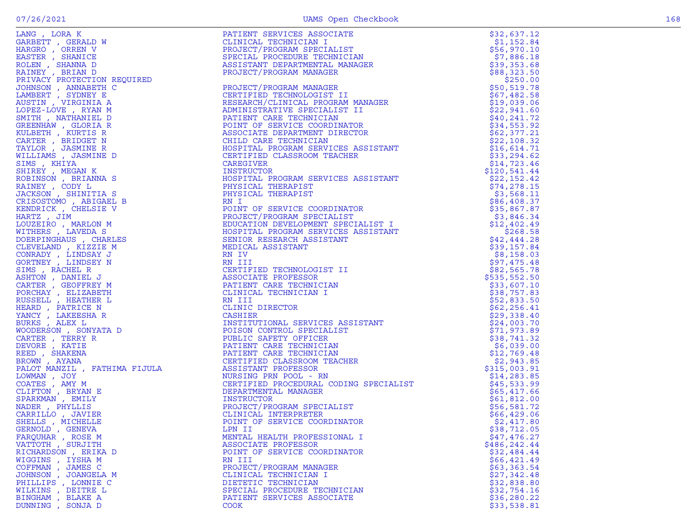| GERNOLD, GENEVA     | LPN II                       | \$38,712.05  |
|---------------------|------------------------------|--------------|
| FARQUHAR, ROSE M    | MENTAL HEALTH PROFESSIONAL I | \$47,476.27  |
| VATTOTH, SURJITH    | ASSOCIATE PROFESSOR          | \$486,242.44 |
| RICHARDSON, ERIKA D | POINT OF SERVICE COORDINATOR | \$32,484.44  |
| WIGGINS , IYSHA M   | RN III                       | \$66,421.49  |
| COFFMAN, JAMES C    | PROJECT/PROGRAM MANAGER      | \$63,363.54  |
| JOHNSON, JOANGELA M | CLINICAL TECHNICIAN I        | \$27,342.48  |
| PHILLIPS , LONNIE C | DIETETIC TECHNICIAN          | \$32,838.80  |
| WILKINS, DEITRE L   | SPECIAL PROCEDURE TECHNICIAN | \$32,754.16  |
| BINGHAM, BLAKE A    | PATIENT SERVICES ASSOCIATE   | \$36, 280.22 |
| DUNNING , SONJA D   | COOK                         | \$33,538.81  |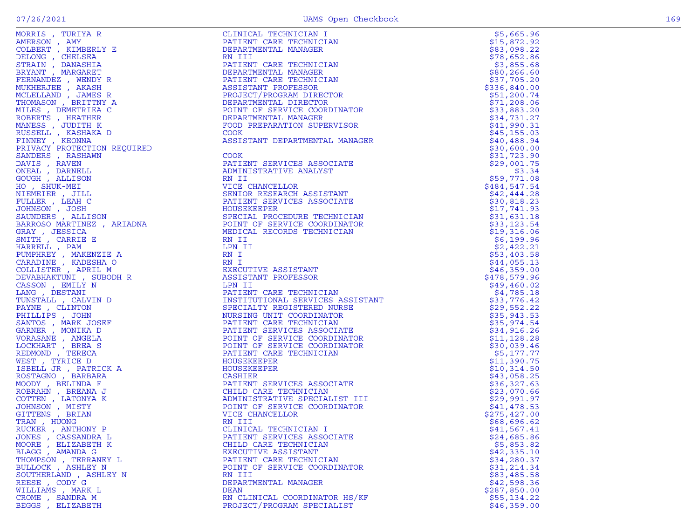|  | ۰.<br>× |  |
|--|---------|--|

| MORRIS , TURIYA R                                                                                                                                  | CLINICAL TECHNICIAN I                                                                                                                                                                                                                                            | \$5,665.96   |
|----------------------------------------------------------------------------------------------------------------------------------------------------|------------------------------------------------------------------------------------------------------------------------------------------------------------------------------------------------------------------------------------------------------------------|--------------|
| AMERSON , AMY                                                                                                                                      | PATIENT CARE TECHNICIAN                                                                                                                                                                                                                                          | \$15,872.92  |
| COLBERT, KIMBERLY E                                                                                                                                | DEPARTMENTAL MANAGER                                                                                                                                                                                                                                             | \$83,098.22  |
| DELONG, CHELSEA                                                                                                                                    | RN III                                                                                                                                                                                                                                                           | \$78,652.86  |
|                                                                                                                                                    |                                                                                                                                                                                                                                                                  |              |
| STRAIN, DANASHIA                                                                                                                                   | PATIENT CARE TECHNICIAN                                                                                                                                                                                                                                          | \$3,855.68   |
| BRYANT, MARGARET                                                                                                                                   | DEPARTMENTAL MANAGER                                                                                                                                                                                                                                             | \$80, 266.60 |
| FERNANDEZ, WENDY R                                                                                                                                 | PATIENT CARE TECHNICIAN                                                                                                                                                                                                                                          | \$37,705.20  |
| MUKHERJEE , AKASH                                                                                                                                  | ASSISTANT PROFESSOR                                                                                                                                                                                                                                              | \$336,840.00 |
| MCLELLAND, JAMES R                                                                                                                                 | PROJECT/PROGRAM DIRECTOR                                                                                                                                                                                                                                         | \$51,200.74  |
| THOMASON, BRITTNY A                                                                                                                                | DEPARTMENTAL DIRECTOR                                                                                                                                                                                                                                            | \$71, 208.06 |
| MILES , DEMETRIEA C                                                                                                                                | POINT OF SERVICE COORDINATOR                                                                                                                                                                                                                                     | \$33,883.20  |
| ROBERTS, HEATHER                                                                                                                                   | DEPARTMENTAL MANAGER                                                                                                                                                                                                                                             | \$34,731.27  |
| MANESS , JUDITH K                                                                                                                                  | FOOD PREPARATION SUPERVISOR                                                                                                                                                                                                                                      | \$41,990.31  |
| RUSSELL , KASHAKA D                                                                                                                                | <b>COOK</b>                                                                                                                                                                                                                                                      | \$45,155.03  |
| FINNEY, KEONNA                                                                                                                                     | ASSISTANT DEPARTMENTAL MANAGER                                                                                                                                                                                                                                   | \$40,488.94  |
| PRIVACY PROTECTION REQUIRED                                                                                                                        |                                                                                                                                                                                                                                                                  | \$30,600.00  |
| SANDERS, RASHAWN                                                                                                                                   | COOK                                                                                                                                                                                                                                                             | \$31,723.90  |
| DAVIS , RAVEN                                                                                                                                      | PATIENT SERVICES ASSOCIATE                                                                                                                                                                                                                                       | \$29,001.75  |
|                                                                                                                                                    |                                                                                                                                                                                                                                                                  |              |
| ONEAL, DARNELL                                                                                                                                     | ADMINISTRATIVE ANALYST                                                                                                                                                                                                                                           | \$3.34       |
| GOUGH, ALLISON                                                                                                                                     | RN II                                                                                                                                                                                                                                                            | \$59,771.08  |
| HO , SHUK-MEI                                                                                                                                      | VICE CHANCELLOR                                                                                                                                                                                                                                                  | \$484,547.54 |
| NIEMEIER , JILL                                                                                                                                    | SENIOR RESEARCH ASSISTANT                                                                                                                                                                                                                                        | \$42,444.28  |
| FULLER, LEAH C                                                                                                                                     | PATIENT SERVICES ASSOCIATE                                                                                                                                                                                                                                       | \$30,818.23  |
|                                                                                                                                                    |                                                                                                                                                                                                                                                                  | \$17,741.93  |
|                                                                                                                                                    |                                                                                                                                                                                                                                                                  | \$31,631.18  |
|                                                                                                                                                    | TOHING THE HOUSEKEEPER<br>SAUNDERS , ALLISON THE SPECIAL PROCEDURE TECHNICIAN<br>BARROSO MARTINEZ , ARIADNA THE POINT OF SERVICE COORDINATOR<br>GRAY , JESSICA                                                                                                   | \$33,123.54  |
|                                                                                                                                                    |                                                                                                                                                                                                                                                                  | \$19,316.06  |
| SMITH, CARRIE E                                                                                                                                    | RN II                                                                                                                                                                                                                                                            | \$6,199.96   |
| HARRELL , PAM                                                                                                                                      | LPN II                                                                                                                                                                                                                                                           | \$2,422.21   |
| PUMPHREY, MAKENZIE A                                                                                                                               | RN I                                                                                                                                                                                                                                                             | \$53,403.58  |
|                                                                                                                                                    | RN I                                                                                                                                                                                                                                                             | \$44,055.13  |
| CARADINE , KADESHA O                                                                                                                               |                                                                                                                                                                                                                                                                  |              |
| $\begin{array}{c}\n 1 & \mathbb{R} \\  2 & \mathbb{R} \\  3 & \mathbb{R} \\  4 & \mathbb{R} \\  5 & \mathbb{R}\n\end{array}$<br>COLLISTER, APRIL M | EXECUTIVE ASSISTANT                                                                                                                                                                                                                                              | \$46,359.00  |
| DEVABHAKTUNI , SUBODH R                                                                                                                            | ASSISTANT PROFESSOR                                                                                                                                                                                                                                              | \$478,579.96 |
| CASSON, EMILY N                                                                                                                                    | LPN II<br>LPN II<br>PATIENT CARE TECHNICIAN<br>INSTITUTIONAL SERVICES ASSISTANT<br>SPECIALTY REGISTERED NURSE<br>NURSING UNIT COORDINATOR<br>PATIENT CARE TECHNICIAN<br>POINT OF SERVICES ASSOCIATE<br>POINT OF SERVICE COORDINATOR<br>POINT OF SERVICE COORDINA | \$49,460.02  |
| LANG, DESTANI                                                                                                                                      |                                                                                                                                                                                                                                                                  | \$4,785.18   |
| TUNSTALL , CALVIN D                                                                                                                                |                                                                                                                                                                                                                                                                  | \$33,776.42  |
| PAYNE, CLINTON                                                                                                                                     |                                                                                                                                                                                                                                                                  | \$29,552.22  |
| PHILLIPS, JOHN                                                                                                                                     |                                                                                                                                                                                                                                                                  | \$35,943.53  |
| SANTOS, MARK JOSEF                                                                                                                                 |                                                                                                                                                                                                                                                                  | \$35,974.54  |
| GARNER , MONIKA D                                                                                                                                  |                                                                                                                                                                                                                                                                  | \$34,916.26  |
| VORASANE, ANGELA                                                                                                                                   |                                                                                                                                                                                                                                                                  | \$11, 128.28 |
| LOCKHART , BREA S                                                                                                                                  |                                                                                                                                                                                                                                                                  | \$30,039.46  |
| REDMOND, TERECA                                                                                                                                    | PATIENT CARE TECHNICIAN                                                                                                                                                                                                                                          | \$5,177.77   |
| WEST , TYRICE D                                                                                                                                    | HOUSEKEEPER                                                                                                                                                                                                                                                      | \$11,390.75  |
| ISBELL JR, PATRICK A                                                                                                                               | HOUSEKEEPER                                                                                                                                                                                                                                                      | \$10,314.50  |
|                                                                                                                                                    |                                                                                                                                                                                                                                                                  |              |
| ROSTAGNO, BARBARA                                                                                                                                  | CASHIER                                                                                                                                                                                                                                                          | \$43,058.25  |
| MOODY , BELINDA F                                                                                                                                  | PATIENT SERVICES ASSOCIATE<br>CHILD CARE TECHNICIAN                                                                                                                                                                                                              | \$36,327.63  |
| ROBRAHN , BREANA J                                                                                                                                 | CHILD CARE TECHNICIAN                                                                                                                                                                                                                                            | \$23,070.66  |
| COTTEN, LATONYA K                                                                                                                                  | ADMINISTRATIVE SPECIALIST III                                                                                                                                                                                                                                    | \$29,991.97  |
| JOHNSON , MISTY                                                                                                                                    | POINT OF SERVICE COORDINATOR                                                                                                                                                                                                                                     | \$41,478.53  |
| GITTENS, BRIAN                                                                                                                                     | VICE CHANCELLOR                                                                                                                                                                                                                                                  | \$275,427.00 |
| TRAN , HUONG                                                                                                                                       | RN III                                                                                                                                                                                                                                                           | \$68,696.62  |
| RUCKER, ANTHONY P                                                                                                                                  | CLINICAL TECHNICIAN I                                                                                                                                                                                                                                            | \$41,567.41  |
| JONES , CASSANDRA L                                                                                                                                | PATIENT SERVICES ASSOCIATE                                                                                                                                                                                                                                       | \$24,685.86  |
| MOORE , ELIZABETH K                                                                                                                                | CHILD CARE TECHNICIAN                                                                                                                                                                                                                                            | \$5,853.82   |
| BLAGG , AMANDA G                                                                                                                                   | EXECUTIVE ASSISTANT                                                                                                                                                                                                                                              | \$42,335.10  |
| THOMPSON, TERRANEY L                                                                                                                               | PATIENT CARE TECHNICIAN                                                                                                                                                                                                                                          | \$34,280.37  |
| BULLOCK, ASHLEY N                                                                                                                                  | POINT OF SERVICE COORDINATOR                                                                                                                                                                                                                                     | \$31,214.34  |
| SOUTHERLAND, ASHLEY N                                                                                                                              | RN III                                                                                                                                                                                                                                                           | \$83,485.58  |
|                                                                                                                                                    | DEPARTMENTAL MANAGER                                                                                                                                                                                                                                             |              |
| REESE , CODY G                                                                                                                                     |                                                                                                                                                                                                                                                                  | \$42,598.36  |
| WILLIAMS , MARK L                                                                                                                                  | <b>DEAN</b>                                                                                                                                                                                                                                                      | \$287,850.00 |
| CROME, SANDRA M                                                                                                                                    | RN CLINICAL COORDINATOR HS/KF                                                                                                                                                                                                                                    | \$55,134.22  |
| BEGGS , ELIZABETH                                                                                                                                  | PROJECT/PROGRAM SPECIALIST                                                                                                                                                                                                                                       | \$46,359.00  |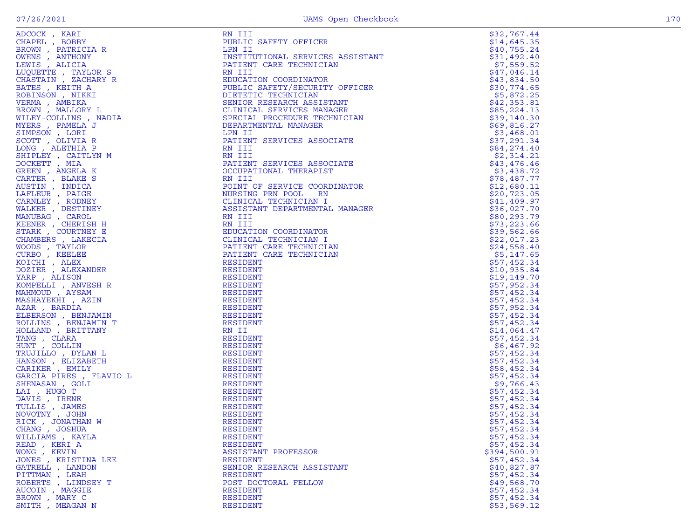|                                                                                                                                                                                                                                                                      | RN III<br>RN III<br>NEILIC SAFETY OFFICER<br>LIPNITUTIONAL SERVICES ASSISTANT<br>INSTITUTIONAL SERVICES ASSISTANT<br>RN III<br>RN III<br>EDICATION COORDINATOR<br>PUBLIC SAFETY/SECURITY OFFICER<br>SENIOR RESEARCH ASSISTANT<br>CLINICAL SERVICES MANAGER<br>CENICAL | \$32,767.44                |
|----------------------------------------------------------------------------------------------------------------------------------------------------------------------------------------------------------------------------------------------------------------------|-----------------------------------------------------------------------------------------------------------------------------------------------------------------------------------------------------------------------------------------------------------------------|----------------------------|
|                                                                                                                                                                                                                                                                      |                                                                                                                                                                                                                                                                       | \$14,645.35                |
|                                                                                                                                                                                                                                                                      |                                                                                                                                                                                                                                                                       | \$40,755.24                |
|                                                                                                                                                                                                                                                                      |                                                                                                                                                                                                                                                                       | \$31,492.40                |
|                                                                                                                                                                                                                                                                      |                                                                                                                                                                                                                                                                       | \$7,559.52                 |
|                                                                                                                                                                                                                                                                      |                                                                                                                                                                                                                                                                       | \$47,046.14                |
|                                                                                                                                                                                                                                                                      |                                                                                                                                                                                                                                                                       | \$43,834.50                |
|                                                                                                                                                                                                                                                                      |                                                                                                                                                                                                                                                                       | \$30,774.65                |
|                                                                                                                                                                                                                                                                      |                                                                                                                                                                                                                                                                       | \$5,872.25<br>\$42,353.81  |
|                                                                                                                                                                                                                                                                      |                                                                                                                                                                                                                                                                       | \$85,224.13                |
|                                                                                                                                                                                                                                                                      |                                                                                                                                                                                                                                                                       | \$39,140.30                |
|                                                                                                                                                                                                                                                                      |                                                                                                                                                                                                                                                                       | \$69,816.27                |
|                                                                                                                                                                                                                                                                      |                                                                                                                                                                                                                                                                       | \$3,468.01                 |
|                                                                                                                                                                                                                                                                      |                                                                                                                                                                                                                                                                       | \$37,291.34                |
|                                                                                                                                                                                                                                                                      |                                                                                                                                                                                                                                                                       | \$84,274.40                |
|                                                                                                                                                                                                                                                                      |                                                                                                                                                                                                                                                                       | \$2,314.21                 |
|                                                                                                                                                                                                                                                                      |                                                                                                                                                                                                                                                                       | \$43,476.46                |
|                                                                                                                                                                                                                                                                      |                                                                                                                                                                                                                                                                       | \$3,438.72                 |
|                                                                                                                                                                                                                                                                      |                                                                                                                                                                                                                                                                       | \$78,487.77                |
|                                                                                                                                                                                                                                                                      |                                                                                                                                                                                                                                                                       | \$12,680.11                |
|                                                                                                                                                                                                                                                                      |                                                                                                                                                                                                                                                                       | \$20,723.05                |
|                                                                                                                                                                                                                                                                      |                                                                                                                                                                                                                                                                       | \$41,409.97                |
|                                                                                                                                                                                                                                                                      |                                                                                                                                                                                                                                                                       | \$36,027.70                |
|                                                                                                                                                                                                                                                                      |                                                                                                                                                                                                                                                                       | \$80, 293.79               |
|                                                                                                                                                                                                                                                                      |                                                                                                                                                                                                                                                                       | \$73,223.66                |
|                                                                                                                                                                                                                                                                      |                                                                                                                                                                                                                                                                       | \$39,562.66                |
|                                                                                                                                                                                                                                                                      |                                                                                                                                                                                                                                                                       | \$22,017.23                |
|                                                                                                                                                                                                                                                                      |                                                                                                                                                                                                                                                                       | \$24,558.40                |
|                                                                                                                                                                                                                                                                      |                                                                                                                                                                                                                                                                       | \$5,147.65                 |
|                                                                                                                                                                                                                                                                      | RESIDENT                                                                                                                                                                                                                                                              | \$57,452.34                |
|                                                                                                                                                                                                                                                                      | RESIDENT                                                                                                                                                                                                                                                              | \$10,935.84                |
|                                                                                                                                                                                                                                                                      | RESIDENT                                                                                                                                                                                                                                                              | \$19,149.70                |
|                                                                                                                                                                                                                                                                      | RESIDENT                                                                                                                                                                                                                                                              | \$57,952.34                |
|                                                                                                                                                                                                                                                                      | RESIDENT                                                                                                                                                                                                                                                              | \$57,452.34                |
|                                                                                                                                                                                                                                                                      | RESIDENT                                                                                                                                                                                                                                                              | \$57,452.34                |
|                                                                                                                                                                                                                                                                      | RESIDENT                                                                                                                                                                                                                                                              | \$57,952.34                |
|                                                                                                                                                                                                                                                                      | RESIDENT                                                                                                                                                                                                                                                              | \$57,452.34                |
|                                                                                                                                                                                                                                                                      | RESIDENT                                                                                                                                                                                                                                                              | \$57,452.34                |
|                                                                                                                                                                                                                                                                      | RN II                                                                                                                                                                                                                                                                 | \$14,064.47                |
|                                                                                                                                                                                                                                                                      | RESIDENT                                                                                                                                                                                                                                                              | \$57,452.34                |
|                                                                                                                                                                                                                                                                      | RESIDENT                                                                                                                                                                                                                                                              | \$6,467.92                 |
|                                                                                                                                                                                                                                                                      | RESIDENT                                                                                                                                                                                                                                                              | \$57,452.34                |
|                                                                                                                                                                                                                                                                      | RESIDENT                                                                                                                                                                                                                                                              | \$57,452.34                |
|                                                                                                                                                                                                                                                                      | RESIDENT                                                                                                                                                                                                                                                              | \$58,452.34                |
|                                                                                                                                                                                                                                                                      | RESIDENT                                                                                                                                                                                                                                                              | \$57,452.34                |
|                                                                                                                                                                                                                                                                      | RESIDENT                                                                                                                                                                                                                                                              | \$9,766.43                 |
|                                                                                                                                                                                                                                                                      | RESIDENT                                                                                                                                                                                                                                                              | \$57,452.34                |
|                                                                                                                                                                                                                                                                      | RESIDENT                                                                                                                                                                                                                                                              | \$57,452.34                |
|                                                                                                                                                                                                                                                                      | RESIDENT                                                                                                                                                                                                                                                              | \$57,452.34                |
|                                                                                                                                                                                                                                                                      | RESIDENT<br>RESIDENT                                                                                                                                                                                                                                                  | \$57,452.34<br>\$57,452.34 |
|                                                                                                                                                                                                                                                                      |                                                                                                                                                                                                                                                                       |                            |
| ADCOCK, KARI MANINDE<br>CHAPEL, ABRITION CHAPEL ARENT BROWN, PARTICULAR OWENS , ANTICONNING REMONDER TRATION SUCHARY REGULAR BROWN , MILLOWITTE AND WERS SPACIFY THAN WERE ROOF TO LUIT AND SIMPLE SUPPRESS , PARIELA AND MILLOW<br>CHANG, JOSHUA<br>WILLIAMS, KAYLA | RESIDENT<br>RESIDENT                                                                                                                                                                                                                                                  | \$57,452.34<br>\$57,452.34 |
| READ, KERI A                                                                                                                                                                                                                                                         | RESIDENT                                                                                                                                                                                                                                                              | \$57,452.34                |
| WONG, KEVIN                                                                                                                                                                                                                                                          | ASSISTANT PROFESSOR                                                                                                                                                                                                                                                   | \$394,500.91               |
| JONES , KRISTINA LEE                                                                                                                                                                                                                                                 | RESIDENT                                                                                                                                                                                                                                                              | \$57,452.34                |
| GATRELL , LANDON                                                                                                                                                                                                                                                     | SENIOR RESEARCH ASSISTANT                                                                                                                                                                                                                                             | \$40,827.87                |
| PITTMAN, LEAH                                                                                                                                                                                                                                                        | RESIDENT                                                                                                                                                                                                                                                              | \$57,452.34                |
| ROBERTS, LINDSEY T                                                                                                                                                                                                                                                   | POST DOCTORAL FELLOW                                                                                                                                                                                                                                                  | \$49,568.70                |
| AUCOIN, MAGGIE                                                                                                                                                                                                                                                       | RESIDENT                                                                                                                                                                                                                                                              | \$57,452.34                |
| BROWN, MARY C                                                                                                                                                                                                                                                        | RESIDENT                                                                                                                                                                                                                                                              | \$57,452.34                |
| SMITH , MEAGAN N                                                                                                                                                                                                                                                     | RESIDENT                                                                                                                                                                                                                                                              | \$53,569.12                |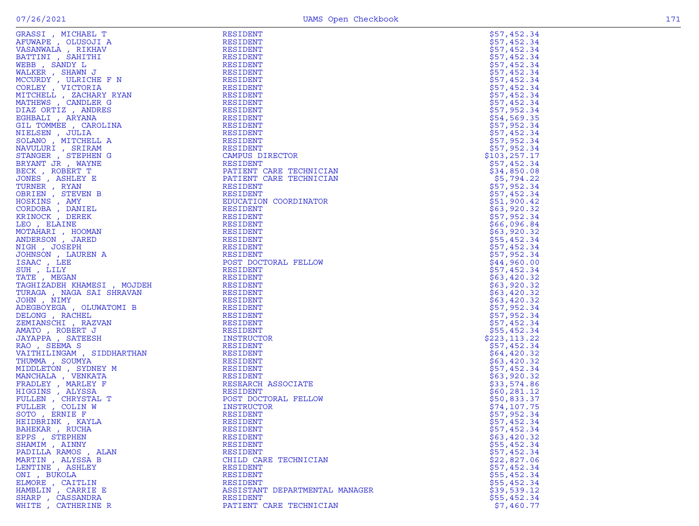| GRASSI , MICHAEL T                                                                                                                                                                                                                                                                   | <b>RESIDENT</b>                | \$57,452.34   |
|--------------------------------------------------------------------------------------------------------------------------------------------------------------------------------------------------------------------------------------------------------------------------------------|--------------------------------|---------------|
| AFUWAPE, OLUSOJI A                                                                                                                                                                                                                                                                   | RESIDENT                       | \$57,452.34   |
| VASANWALA, RIKHAV                                                                                                                                                                                                                                                                    | RESIDENT                       | \$57,452.34   |
| BATTINI , SAHITHI                                                                                                                                                                                                                                                                    | RESIDENT                       | \$57,452.34   |
|                                                                                                                                                                                                                                                                                      |                                |               |
| WEBB , SANDY L                                                                                                                                                                                                                                                                       | RESIDENT                       | \$57,452.34   |
| WALKER, SHAWN J                                                                                                                                                                                                                                                                      | RESIDENT                       | \$57,452.34   |
| MCCURDY, ULRICHE F N                                                                                                                                                                                                                                                                 | RESIDENT                       | \$57,452.34   |
| CORLEY, VICTORIA                                                                                                                                                                                                                                                                     |                                |               |
|                                                                                                                                                                                                                                                                                      | RESIDENT                       | \$57,452.34   |
| MITCHELL , ZACHARY RYAN                                                                                                                                                                                                                                                              | RESIDENT                       | \$57,452.34   |
| MATHEWS, CANDLER G                                                                                                                                                                                                                                                                   | RESIDENT                       | \$57,452.34   |
| DIAZ ORTIZ, ANDRES                                                                                                                                                                                                                                                                   | RESIDENT                       | \$57,952.34   |
|                                                                                                                                                                                                                                                                                      |                                |               |
| EGHBALI , ARYANA                                                                                                                                                                                                                                                                     | RESIDENT                       | \$54,569.35   |
| GIL TOMMEE , CAROLINA                                                                                                                                                                                                                                                                | RESIDENT                       | \$57,952.34   |
| NIELSEN, JULIA                                                                                                                                                                                                                                                                       | RESIDENT                       | \$57,452.34   |
| SOLANO, MITCHELL A                                                                                                                                                                                                                                                                   | RESIDENT                       | \$57,952.34   |
|                                                                                                                                                                                                                                                                                      |                                |               |
| NAVULURI , SRIRAM                                                                                                                                                                                                                                                                    | RESIDENT                       | \$57,952.34   |
| STANGER, STEPHEN G                                                                                                                                                                                                                                                                   | CAMPUS DIRECTOR                | \$103, 257.17 |
| BRYANT JR , WAYNE                                                                                                                                                                                                                                                                    | RESIDENT                       | \$57,452.34   |
| BECK, ROBERT T                                                                                                                                                                                                                                                                       | PATIENT CARE TECHNICIAN        |               |
|                                                                                                                                                                                                                                                                                      |                                | \$34,850.08   |
| JONES , ASHLEY E                                                                                                                                                                                                                                                                     | PATIENT CARE TECHNICIAN        | \$5,794.22    |
| TURNER, RYAN                                                                                                                                                                                                                                                                         | RESIDENT                       | \$57,952.34   |
| OBRIEN, STEVEN B                                                                                                                                                                                                                                                                     | RESIDENT                       | \$57,452.34   |
|                                                                                                                                                                                                                                                                                      |                                |               |
| HOSKINS , AMY                                                                                                                                                                                                                                                                        | EDUCATION COORDINATOR          | \$51,900.42   |
| CORDOBA, DANIEL                                                                                                                                                                                                                                                                      | RESIDENT                       | \$63,920.32   |
| KRINOCK, DEREK                                                                                                                                                                                                                                                                       | RESIDENT                       | \$57,952.34   |
| LEO, ELAINE                                                                                                                                                                                                                                                                          | RESIDENT                       | \$66,096.84   |
|                                                                                                                                                                                                                                                                                      |                                |               |
| MOTAHARI , HOOMAN                                                                                                                                                                                                                                                                    | RESIDENT                       | \$63,920.32   |
| ANDERSON, JARED                                                                                                                                                                                                                                                                      | RESIDENT                       | \$55,452.34   |
| NIGH, JOSEPH                                                                                                                                                                                                                                                                         | RESIDENT                       | \$57,452.34   |
| JOHNSON, LAUREN A                                                                                                                                                                                                                                                                    | RESIDENT                       | \$57,952.34   |
|                                                                                                                                                                                                                                                                                      |                                |               |
| ISAAC, LEE                                                                                                                                                                                                                                                                           | POST DOCTORAL FELLOW           | \$44,960.00   |
| SUH, LILY                                                                                                                                                                                                                                                                            | RESIDENT                       | \$57,452.34   |
| TATE, MEGAN                                                                                                                                                                                                                                                                          | RESIDENT                       | \$63,420.32   |
| TURAGA , NAGA SAI SHRAVAN<br>JOHN , NIMY                                                                                                                                                                                                                                             | RESIDENT                       | \$63,920.32   |
|                                                                                                                                                                                                                                                                                      |                                |               |
|                                                                                                                                                                                                                                                                                      | RESIDENT                       | \$63,420.32   |
|                                                                                                                                                                                                                                                                                      | RESIDENT                       | \$63,420.32   |
|                                                                                                                                                                                                                                                                                      | RESIDENT                       | \$57,952.34   |
| SUUNG , RACHEL<br>ZEMIANSCHI , RAZVAN<br>AMATO , ROBERT J<br>JAYAPPA , SATEESH<br>VAO , SEEMA S<br>VAO , SEEMA S<br>THIMLINGAM , SIDDUART                                                                                                                                            | RESIDENT                       | \$57,952.34   |
|                                                                                                                                                                                                                                                                                      |                                |               |
|                                                                                                                                                                                                                                                                                      | RESIDENT                       | \$57,452.34   |
|                                                                                                                                                                                                                                                                                      | RESIDENT                       | \$55,452.34   |
|                                                                                                                                                                                                                                                                                      | INSTRUCTOR                     | \$223,113.22  |
|                                                                                                                                                                                                                                                                                      | RESIDENT                       | \$57,452.34   |
|                                                                                                                                                                                                                                                                                      |                                |               |
|                                                                                                                                                                                                                                                                                      | RESIDENT                       | \$64,420.32   |
|                                                                                                                                                                                                                                                                                      | RESIDENT                       | \$63,420.32   |
|                                                                                                                                                                                                                                                                                      | RESIDENT                       | \$57,452.34   |
|                                                                                                                                                                                                                                                                                      | RESIDENT                       |               |
|                                                                                                                                                                                                                                                                                      |                                | \$63,920.32   |
|                                                                                                                                                                                                                                                                                      | RESEARCH ASSOCIATE             | \$33,574.86   |
|                                                                                                                                                                                                                                                                                      | RESIDENT                       | \$60, 281.12  |
|                                                                                                                                                                                                                                                                                      | POST DOCTORAL FELLOW           | \$50,833.37   |
|                                                                                                                                                                                                                                                                                      |                                |               |
|                                                                                                                                                                                                                                                                                      | INSTRUCTOR                     | \$74,107.75   |
|                                                                                                                                                                                                                                                                                      | <b>RESIDENT</b>                | \$57,952.34   |
|                                                                                                                                                                                                                                                                                      | <b>RESIDENT</b>                | \$57,452.34   |
| KAU , SEEMA S<br>VAITHILINGAM , SIDDHARTHAN<br>THUMMA , SOUMYA<br>MIDDLETON , SYDNEY M<br>MANCHALA , VENKATA<br>FRADLEY , MARLEY F<br>HIGGINS , ALYSSA<br>FULLEN , CHRYSTAL T<br>FULLER , COLIN W<br>SOTO , ERNIE F<br>REIDBRINK , KAYLA<br>HEIDBRINK , KAYLA<br>H<br>BAHEKAR, RUCHA | RESIDENT                       | \$57,452.34   |
|                                                                                                                                                                                                                                                                                      |                                |               |
| EPPS, STEPHEN                                                                                                                                                                                                                                                                        | RESIDENT                       | \$63,420.32   |
| SHAMIM , AINNY                                                                                                                                                                                                                                                                       | RESIDENT                       | \$55,452.34   |
| PADILLA RAMOS, ALAN                                                                                                                                                                                                                                                                  | <b>RESIDENT</b>                | \$57,452.34   |
| MARTIN, ALYSSA B                                                                                                                                                                                                                                                                     | CHILD CARE TECHNICIAN          | \$22,827.06   |
|                                                                                                                                                                                                                                                                                      |                                |               |
| LENTINE, ASHLEY                                                                                                                                                                                                                                                                      | RESIDENT                       | \$57,452.34   |
| ONI, BUKOLA                                                                                                                                                                                                                                                                          | <b>RESIDENT</b>                | \$55,452.34   |
| ELMORE, CAITLIN                                                                                                                                                                                                                                                                      | RESIDENT                       | \$55,452.34   |
| HAMBLIN, CARRIE E                                                                                                                                                                                                                                                                    | ASSISTANT DEPARTMENTAL MANAGER | \$39,539.12   |
|                                                                                                                                                                                                                                                                                      |                                |               |
| SHARP, CASSANDRA                                                                                                                                                                                                                                                                     | RESIDENT                       | \$55,452.34   |
| WHITE, CATHERINE R                                                                                                                                                                                                                                                                   | PATIENT CARE TECHNICIAN        | \$7,460.77    |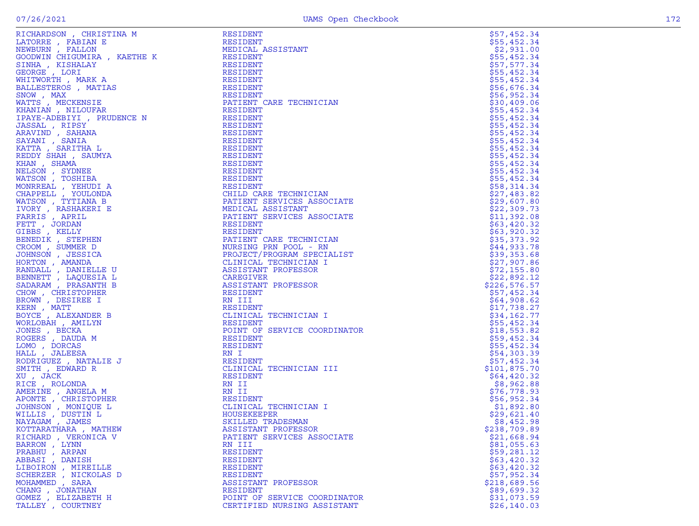| RICHARDSON , CHRISTINA M                                                                                                                                                                                                                     |
|----------------------------------------------------------------------------------------------------------------------------------------------------------------------------------------------------------------------------------------------|
| "LATORRE , FABIAN E<br>NEWBURN , FALLON<br>SOODWIN CHIGUMIRA , KAETHE K                                                                                                                                                                      |
|                                                                                                                                                                                                                                              |
|                                                                                                                                                                                                                                              |
|                                                                                                                                                                                                                                              |
| SINHA , KISHALAY<br>GEORGE , LORI                                                                                                                                                                                                            |
|                                                                                                                                                                                                                                              |
| WHITWORTH, MARK A                                                                                                                                                                                                                            |
| BALLESTEROS , MATIAS                                                                                                                                                                                                                         |
| SNOW, MAX                                                                                                                                                                                                                                    |
|                                                                                                                                                                                                                                              |
| WATTS , MECKENSIE<br>KHANIAN , NILOUFAR                                                                                                                                                                                                      |
|                                                                                                                                                                                                                                              |
| IPAYE-ADEBIYI , PRUDENCE N                                                                                                                                                                                                                   |
| INSISAL , RIPSY<br>ARAVIND , SAHANA<br>SAYANI , SANIA<br>KATTA , SARITHA L<br>KUAN SHAH , SAUMYA<br>KUAN SHAH , SAUMYA                                                                                                                       |
|                                                                                                                                                                                                                                              |
|                                                                                                                                                                                                                                              |
|                                                                                                                                                                                                                                              |
|                                                                                                                                                                                                                                              |
|                                                                                                                                                                                                                                              |
|                                                                                                                                                                                                                                              |
|                                                                                                                                                                                                                                              |
|                                                                                                                                                                                                                                              |
|                                                                                                                                                                                                                                              |
|                                                                                                                                                                                                                                              |
| KHAN , SHAMA<br>KHAN , SHAMA<br>NELSON , SYDNEE<br>WATSON , TOSHIBA<br>MONRREAL , YCULONDA<br>CHAPPELL , YOULONDA<br>MATSON , TYTIANA B<br>MATSON , TYTIANA B                                                                                |
|                                                                                                                                                                                                                                              |
|                                                                                                                                                                                                                                              |
|                                                                                                                                                                                                                                              |
|                                                                                                                                                                                                                                              |
|                                                                                                                                                                                                                                              |
|                                                                                                                                                                                                                                              |
|                                                                                                                                                                                                                                              |
|                                                                                                                                                                                                                                              |
|                                                                                                                                                                                                                                              |
| <i>MATSON, TYTIANA BIONER<br/>IVORY, RASHAKERI E<br/>FARRIS , APRIL<br/>FETT , JORDAN<br/>SIBBS , KELLY<br/>BENEDIK , STEPHEN<br/>JOHNSON , JESSICA<br/>JOHNSON , JESSICA<br/>HORTON , AMANDA<br/>HARTON , AMANDA<br/>RANDALL . DANIELLE</i> |
|                                                                                                                                                                                                                                              |
| RANDALL , DANIELLE U<br>BENNETT , LAQUESIA L<br>SADARAM , PRASANTH B                                                                                                                                                                         |
|                                                                                                                                                                                                                                              |
|                                                                                                                                                                                                                                              |
| CHOW , CHRISTOPHER<br>BROWN , DESIREE I<br>WIELL MATT                                                                                                                                                                                        |
|                                                                                                                                                                                                                                              |
|                                                                                                                                                                                                                                              |
| KERN , MATT<br>BOYCE , ALEXANDER B                                                                                                                                                                                                           |
|                                                                                                                                                                                                                                              |
| WORLOBAH , AMILYN                                                                                                                                                                                                                            |
|                                                                                                                                                                                                                                              |
| <b>JONES BECKA</b><br>ROGERS , DAUDA M<br>LOMO , DORCAS<br>HALL , JALEESA                                                                                                                                                                    |
|                                                                                                                                                                                                                                              |
|                                                                                                                                                                                                                                              |
|                                                                                                                                                                                                                                              |
| RODRIGUEZ , NATALIE J                                                                                                                                                                                                                        |
| SMITH , EDWARD R                                                                                                                                                                                                                             |
|                                                                                                                                                                                                                                              |
| XU , JACK<br>RICE , ROLONDA                                                                                                                                                                                                                  |
| AMERINE , ANGELA M                                                                                                                                                                                                                           |
|                                                                                                                                                                                                                                              |
|                                                                                                                                                                                                                                              |
|                                                                                                                                                                                                                                              |
|                                                                                                                                                                                                                                              |
| APONTE , CHRISTOPHER<br>JOHNSON , MONIQUE L<br>WILLIS , DUSTIN L<br>NATAGAM , JAMES<br>WOTTARAM , MATHE                                                                                                                                      |
| KOTTARATHARA , MATHEW                                                                                                                                                                                                                        |
| RICHARD , VERONICA V                                                                                                                                                                                                                         |
| BARRON,<br>LYNN                                                                                                                                                                                                                              |
|                                                                                                                                                                                                                                              |
| PRABHU , ARPAN<br>ABBASI , DANISH                                                                                                                                                                                                            |
|                                                                                                                                                                                                                                              |
|                                                                                                                                                                                                                                              |
| LIBOIRON , MIREILLE<br>SCHERZER , NICKOLAS D                                                                                                                                                                                                 |
| MOHAMMED, SARA                                                                                                                                                                                                                               |
| CHANG, JONATHAN                                                                                                                                                                                                                              |
| GOMEZ , ELIZABETH H                                                                                                                                                                                                                          |
|                                                                                                                                                                                                                                              |

| RICHARDSON, CHRISTINA M                                                                                                                                                                                                                       | RESIDENT                      | \$57,452.34                  |
|-----------------------------------------------------------------------------------------------------------------------------------------------------------------------------------------------------------------------------------------------|-------------------------------|------------------------------|
|                                                                                                                                                                                                                                               |                               | \$55,452.34                  |
|                                                                                                                                                                                                                                               |                               | \$2,931.00                   |
|                                                                                                                                                                                                                                               |                               | \$55,452.34                  |
|                                                                                                                                                                                                                                               |                               | \$57,577.34                  |
|                                                                                                                                                                                                                                               |                               | \$55,452.34                  |
|                                                                                                                                                                                                                                               |                               | \$55,452.34                  |
|                                                                                                                                                                                                                                               |                               | \$56,676.34                  |
|                                                                                                                                                                                                                                               |                               | \$56,952.34                  |
|                                                                                                                                                                                                                                               |                               | \$30,409.06                  |
|                                                                                                                                                                                                                                               |                               | \$55,452.34                  |
|                                                                                                                                                                                                                                               |                               | \$55,452.34                  |
|                                                                                                                                                                                                                                               |                               | \$55,452.34                  |
|                                                                                                                                                                                                                                               |                               | \$55,452.34                  |
|                                                                                                                                                                                                                                               |                               | \$55,452.34                  |
|                                                                                                                                                                                                                                               |                               | \$55,452.34                  |
|                                                                                                                                                                                                                                               |                               | \$55,452.34                  |
|                                                                                                                                                                                                                                               |                               | \$55,452.34                  |
|                                                                                                                                                                                                                                               |                               | \$55,452.34                  |
|                                                                                                                                                                                                                                               |                               | \$55,452.34                  |
|                                                                                                                                                                                                                                               |                               | \$58,314.34                  |
|                                                                                                                                                                                                                                               |                               | \$27,483.82                  |
|                                                                                                                                                                                                                                               | PATIENT SERVICES ASSOCIATE    | \$29,607.80                  |
|                                                                                                                                                                                                                                               |                               | \$22,309.73                  |
|                                                                                                                                                                                                                                               | PATIENT SERVICES ASSOCIATE    | \$11,392.08                  |
|                                                                                                                                                                                                                                               |                               | \$63,420.32                  |
|                                                                                                                                                                                                                                               |                               | \$63,920.32                  |
|                                                                                                                                                                                                                                               |                               | \$35,373.92                  |
|                                                                                                                                                                                                                                               |                               | \$44,933.78                  |
|                                                                                                                                                                                                                                               | PROJECT/PROGRAM SPECIALIST    | \$39,353.68                  |
|                                                                                                                                                                                                                                               |                               | \$27,907.86                  |
|                                                                                                                                                                                                                                               | IIATE<br>IIATE<br>AN<br>ALIST | \$72,155.80                  |
|                                                                                                                                                                                                                                               |                               | \$22,892.12<br>\$226,576.57  |
|                                                                                                                                                                                                                                               |                               |                              |
|                                                                                                                                                                                                                                               |                               | \$57,452.34<br>\$64,908.62   |
|                                                                                                                                                                                                                                               |                               |                              |
|                                                                                                                                                                                                                                               |                               | \$17,738.27<br>\$34,162.77   |
|                                                                                                                                                                                                                                               |                               | \$55,452.34                  |
|                                                                                                                                                                                                                                               | POINT OF SERVICE COORDINATOR  |                              |
|                                                                                                                                                                                                                                               |                               | $$18,553.82$<br>$$59,452.34$ |
|                                                                                                                                                                                                                                               |                               | \$55,452.34                  |
|                                                                                                                                                                                                                                               |                               | \$54,303.39                  |
|                                                                                                                                                                                                                                               |                               | \$57,452.34                  |
|                                                                                                                                                                                                                                               |                               | \$101,875.70                 |
|                                                                                                                                                                                                                                               |                               | \$64,420.32                  |
|                                                                                                                                                                                                                                               |                               | \$8,962.88                   |
|                                                                                                                                                                                                                                               |                               | \$76,778.93                  |
|                                                                                                                                                                                                                                               |                               | \$56,952.34                  |
|                                                                                                                                                                                                                                               |                               | \$1,892.80                   |
|                                                                                                                                                                                                                                               |                               | \$29,621.40                  |
|                                                                                                                                                                                                                                               |                               | \$8,452.98                   |
| KOTTARATHARA, MATHEW                                                                                                                                                                                                                          | ASSISTANT PROFESSOR           | \$238,709.89                 |
| RICHARD, VERONICA V                                                                                                                                                                                                                           | PATIENT SERVICES ASSOCIATE    | \$21,668.94                  |
| REGINANCION COUNTRIBUTION IN THE RESEDENT CONDUCTS AND RESERVE TO A MANUAL MONETAIN A MANUAL MONETAIN AND MANUAL MANUAL MANUAL MANUAL MANUAL MANUAL MANUAL MANUAL MANUAL MANUAL MANUAL MANUAL MANUAL MANUAL MANUAL MANUAL MAN<br>BARRON, LYNN | RN III                        | \$81,055.63                  |
| PRABHU, ARPAN                                                                                                                                                                                                                                 | <b>RESIDENT</b>               | \$59,281.12                  |
| ABBASI , DANISH                                                                                                                                                                                                                               | RESIDENT                      | \$63,420.32                  |
| LIBOIRON , MIREILLE                                                                                                                                                                                                                           | RESIDENT                      | \$63,420.32                  |
| SCHERZER , NICKOLAS D                                                                                                                                                                                                                         | RESIDENT                      | \$57,952.34                  |
| MOHAMMED , SARA                                                                                                                                                                                                                               | ASSISTANT PROFESSOR           | \$218,689.56                 |
| CHANG, JONATHAN                                                                                                                                                                                                                               | RESIDENT                      | \$89,699.32                  |
| GOMEZ, ELIZABETH H                                                                                                                                                                                                                            | POINT OF SERVICE COORDINATOR  | \$31,073.59                  |
| TALLEY, COURTNEY                                                                                                                                                                                                                              | CERTIFIED NURSING ASSISTANT   | \$26, 140.03                 |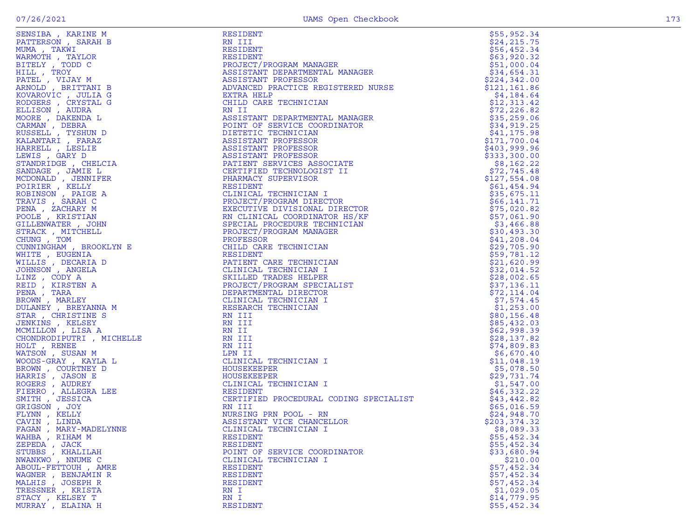| FENSIER / KARINE M<br>MARMOTH , KARINE MARMAH B<br>MUMA , TAKWI<br>MARMOTH , TAYLOR<br>FITELY , TODD C<br>HILL , TROY<br>PATEL , VIJAY M<br>RANDID, PATTTANI B<br>RODGERS , ANDRAL<br>COVARDIV , AUDRAL<br>COVARDIV , AUDRAL<br>CONSILI, TYSHUND D<br> | <b>RESIDENT</b>                                                                                                                                                                                                                                                              | \$55,952.34                 |
|--------------------------------------------------------------------------------------------------------------------------------------------------------------------------------------------------------------------------------------------------------|------------------------------------------------------------------------------------------------------------------------------------------------------------------------------------------------------------------------------------------------------------------------------|-----------------------------|
|                                                                                                                                                                                                                                                        | RN III<br>RN TILENT<br>RESIDENT<br>RESIDENT<br>RESIDENT<br>PROJECT/PROGRAM MANAGER<br>ASSISTANT DEPARTMENTAL MANAGER<br>ASSISTANT PROFESSOR<br>ASSISTANT PROFESSOR<br>EXTRA HELP<br>CHILD CARE TECHNICIAN<br>NII I<br>ASSISTANT DEPARTMENTAL MANAGER<br>POINT OF SERVICE COR | \$24,215.75                 |
|                                                                                                                                                                                                                                                        | RESIDENT                                                                                                                                                                                                                                                                     | \$56,452.34                 |
|                                                                                                                                                                                                                                                        |                                                                                                                                                                                                                                                                              | \$63,920.32                 |
|                                                                                                                                                                                                                                                        | <b>COOLDENI</b><br>PROJECT/PROGRAM MANAGER<br>ASSISTANT DEDARTMENT                                                                                                                                                                                                           | \$51,000.04                 |
|                                                                                                                                                                                                                                                        |                                                                                                                                                                                                                                                                              | \$34,654.31                 |
|                                                                                                                                                                                                                                                        |                                                                                                                                                                                                                                                                              | \$224,342.00                |
|                                                                                                                                                                                                                                                        |                                                                                                                                                                                                                                                                              | \$121, 161.86               |
|                                                                                                                                                                                                                                                        |                                                                                                                                                                                                                                                                              | \$4,184.64                  |
|                                                                                                                                                                                                                                                        |                                                                                                                                                                                                                                                                              | \$12,313.42                 |
|                                                                                                                                                                                                                                                        |                                                                                                                                                                                                                                                                              | \$72,226.82                 |
|                                                                                                                                                                                                                                                        |                                                                                                                                                                                                                                                                              | \$35,259.06                 |
|                                                                                                                                                                                                                                                        |                                                                                                                                                                                                                                                                              | \$34,919.25                 |
|                                                                                                                                                                                                                                                        |                                                                                                                                                                                                                                                                              | \$41, 175.98                |
|                                                                                                                                                                                                                                                        |                                                                                                                                                                                                                                                                              | \$171,700.04                |
|                                                                                                                                                                                                                                                        |                                                                                                                                                                                                                                                                              | \$403,999.96                |
|                                                                                                                                                                                                                                                        |                                                                                                                                                                                                                                                                              | \$333,300.00                |
|                                                                                                                                                                                                                                                        |                                                                                                                                                                                                                                                                              | \$8,162.22                  |
|                                                                                                                                                                                                                                                        |                                                                                                                                                                                                                                                                              | \$72,745.48                 |
|                                                                                                                                                                                                                                                        |                                                                                                                                                                                                                                                                              | \$127,554.08<br>\$61,454.94 |
|                                                                                                                                                                                                                                                        | ASSISTANT PROFESSOR<br>ASSISTANT PROFESSOR<br>PATIENT SERVICES ASSOCIATE<br>CERTIFIED TECHNOLOGIST II<br>PHARMACY SUPERVISOR<br>RESIDENT<br>CLINICAL TECHNICIAN I<br>PROJECT/PROGRAM DIRECTOR<br>PROJECT/PROGRAM DIRECTOR                                                    | \$35,675.11                 |
|                                                                                                                                                                                                                                                        |                                                                                                                                                                                                                                                                              | \$66,141.71                 |
|                                                                                                                                                                                                                                                        |                                                                                                                                                                                                                                                                              | \$75,020.82                 |
|                                                                                                                                                                                                                                                        |                                                                                                                                                                                                                                                                              | \$57,061.90                 |
|                                                                                                                                                                                                                                                        |                                                                                                                                                                                                                                                                              | \$3,466.88                  |
|                                                                                                                                                                                                                                                        |                                                                                                                                                                                                                                                                              | \$30,493.30                 |
|                                                                                                                                                                                                                                                        |                                                                                                                                                                                                                                                                              | \$41,208.04                 |
|                                                                                                                                                                                                                                                        |                                                                                                                                                                                                                                                                              | \$29,705.90                 |
|                                                                                                                                                                                                                                                        |                                                                                                                                                                                                                                                                              | \$59,781.12                 |
|                                                                                                                                                                                                                                                        | KESILAH TECHNICIAN<br>PROJECT/PROGRAM DIRECTOR<br>EXECUTIVE DIVISIONAL DIRECTOR<br>EXECUTIVE DIVISIONAL DIRECTOR<br>RN CLINICAL COORDINATOR HS/KF<br>SPECIAL PROCEDURE TECHNICIAN<br>PROJECT/PROGRAM MANAGER<br>PROFESSOR<br>CHILD CARE TECHNI                               | \$21,620.99                 |
|                                                                                                                                                                                                                                                        |                                                                                                                                                                                                                                                                              | \$32,014.52                 |
|                                                                                                                                                                                                                                                        |                                                                                                                                                                                                                                                                              | \$28,002.65                 |
|                                                                                                                                                                                                                                                        |                                                                                                                                                                                                                                                                              | \$37,136.11                 |
|                                                                                                                                                                                                                                                        |                                                                                                                                                                                                                                                                              | \$72,114.04                 |
|                                                                                                                                                                                                                                                        | DEFARTMENTAL DIRECTOR<br>CLINICAL TECHNICIAN I<br>RESEARCH TECHNICIAN<br>RN III<br>RN III<br>RN III<br>RN III<br>RN III<br>TI II                                                                                                                                             | \$7,574.45                  |
|                                                                                                                                                                                                                                                        |                                                                                                                                                                                                                                                                              | \$1,253.00                  |
|                                                                                                                                                                                                                                                        |                                                                                                                                                                                                                                                                              | \$80,156.48                 |
|                                                                                                                                                                                                                                                        |                                                                                                                                                                                                                                                                              | \$85,432.03                 |
|                                                                                                                                                                                                                                                        |                                                                                                                                                                                                                                                                              | \$62,998.39                 |
|                                                                                                                                                                                                                                                        |                                                                                                                                                                                                                                                                              | \$28,137.82                 |
|                                                                                                                                                                                                                                                        |                                                                                                                                                                                                                                                                              | \$74,809.83                 |
|                                                                                                                                                                                                                                                        |                                                                                                                                                                                                                                                                              | \$6,670.40                  |
|                                                                                                                                                                                                                                                        | LPN II<br>CLINICAL TECHNICIAN I<br>HOUSEKEEPEP                                                                                                                                                                                                                               | \$11,048.19                 |
|                                                                                                                                                                                                                                                        |                                                                                                                                                                                                                                                                              | \$5,078.50                  |
|                                                                                                                                                                                                                                                        | CLINICAL TECHNICIAN I<br>RESIDENT<br>CERTIFIED PROCEDURAL CODING SPECIALIST<br>RN III<br>NURSING PRN POOL - RN<br>ASSISTANT VICE CHANCELLOP                                                                                                                                  | \$29,731.74                 |
|                                                                                                                                                                                                                                                        |                                                                                                                                                                                                                                                                              | \$1,547.00                  |
|                                                                                                                                                                                                                                                        |                                                                                                                                                                                                                                                                              | \$46,332.22                 |
|                                                                                                                                                                                                                                                        |                                                                                                                                                                                                                                                                              | \$43,442.82                 |
| FLYNN, KELLY                                                                                                                                                                                                                                           |                                                                                                                                                                                                                                                                              | \$65,016.59<br>\$24,948.70  |
| CAVIN, LINDA                                                                                                                                                                                                                                           |                                                                                                                                                                                                                                                                              | \$203,374.32                |
| FAGAN , MARY-MADELYNNE                                                                                                                                                                                                                                 | CLINICAL TECHNICIAN I                                                                                                                                                                                                                                                        | \$8,089.33                  |
| WAHBA, RIHAM M                                                                                                                                                                                                                                         | RESIDENT                                                                                                                                                                                                                                                                     | \$55,452.34                 |
| ZEPEDA, JACK                                                                                                                                                                                                                                           | RESIDENT                                                                                                                                                                                                                                                                     | \$55,452.34                 |
| STUBBS , KHALILAH                                                                                                                                                                                                                                      | POINT OF SERVICE COORDINATOR                                                                                                                                                                                                                                                 | \$33,680.94                 |
| NWANKWO, NNUME C                                                                                                                                                                                                                                       | CLINICAL TECHNICIAN I                                                                                                                                                                                                                                                        | \$210.00                    |
| ABOUL-FETTOUH, AMRE                                                                                                                                                                                                                                    | <b>RESIDENT</b>                                                                                                                                                                                                                                                              | \$57,452.34                 |
| WAGNER , BENJAMIN R                                                                                                                                                                                                                                    | <b>RESIDENT</b>                                                                                                                                                                                                                                                              | \$57,452.34                 |
| MALHIS , JOSEPH R                                                                                                                                                                                                                                      | RESIDENT                                                                                                                                                                                                                                                                     | \$57,452.34                 |
| TRESSNER, KRISTA                                                                                                                                                                                                                                       | RN I                                                                                                                                                                                                                                                                         | \$1,029.05                  |
| STACY, KELSEY T                                                                                                                                                                                                                                        | RN I                                                                                                                                                                                                                                                                         | \$14,779.95                 |
| MURRAY, ELAINA H                                                                                                                                                                                                                                       | <b>RESIDENT</b>                                                                                                                                                                                                                                                              | \$55,452.34                 |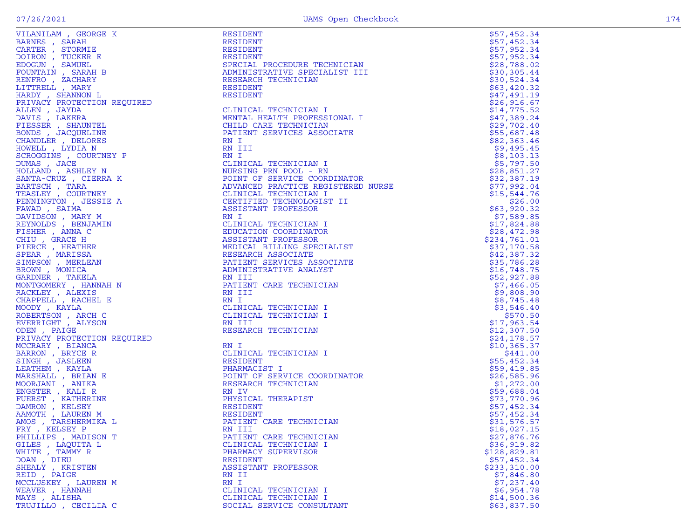| ATTAMITAM ' GEOKGE K                                                                                                                                                                                                                                                   |
|------------------------------------------------------------------------------------------------------------------------------------------------------------------------------------------------------------------------------------------------------------------------|
| VILANTLANT , GEORGE<br>BARNES , SARAH<br>CARTER , STORMIE<br>DOIRON , TUCKER E<br>EDOGUN , SAMUEL<br>FOUNTAIN , SARAH B<br>RENFRO , ZACHARY<br>LITTRELL , MARY<br>LITTRELL , MARY<br>LITTRELL , MARY                                                                   |
|                                                                                                                                                                                                                                                                        |
|                                                                                                                                                                                                                                                                        |
|                                                                                                                                                                                                                                                                        |
|                                                                                                                                                                                                                                                                        |
|                                                                                                                                                                                                                                                                        |
|                                                                                                                                                                                                                                                                        |
|                                                                                                                                                                                                                                                                        |
|                                                                                                                                                                                                                                                                        |
|                                                                                                                                                                                                                                                                        |
|                                                                                                                                                                                                                                                                        |
|                                                                                                                                                                                                                                                                        |
| HARDY , FHARI<br>HARDY , SHANNON L<br>PRIVACY PROTECTION REQUIRED<br>ALLEN , JAYDA<br>DAVIS , LAKERA<br>FIESSER , SHAUNTEL<br>CUANDI PRACQUELINE<br>CUANDI PRACQUELINE<br>CUANDI PRACQUELINE                                                                           |
|                                                                                                                                                                                                                                                                        |
|                                                                                                                                                                                                                                                                        |
| CHANDLER , DELORES<br>HOWELL , LYDIA N                                                                                                                                                                                                                                 |
|                                                                                                                                                                                                                                                                        |
| SCROGGINS , COURTNEY P                                                                                                                                                                                                                                                 |
|                                                                                                                                                                                                                                                                        |
| DUMAS , JACE<br>HOLLAND , ASHLEY N                                                                                                                                                                                                                                     |
|                                                                                                                                                                                                                                                                        |
| SANTA-CRUZ, CIERRA K                                                                                                                                                                                                                                                   |
|                                                                                                                                                                                                                                                                        |
| BARTSCH , TARA<br>TEASLEY , COURTNEY                                                                                                                                                                                                                                   |
| PENNINGTON , JESSIE A                                                                                                                                                                                                                                                  |
| FAWAD, SAIMA                                                                                                                                                                                                                                                           |
|                                                                                                                                                                                                                                                                        |
| DAVIDSON , MARY M<br>REYNOLDS , BENJAMIN<br>FISHER , ANNA C                                                                                                                                                                                                            |
|                                                                                                                                                                                                                                                                        |
|                                                                                                                                                                                                                                                                        |
|                                                                                                                                                                                                                                                                        |
|                                                                                                                                                                                                                                                                        |
|                                                                                                                                                                                                                                                                        |
| FISHER , GRACE H<br>CHIU , GRACE H<br>PIERCE , HEATHER<br>SPEAR , MARISSA<br>SIMPSON , MONICA<br>GARDNER , TAKELLA<br>GARDNER , TAKELLA<br>MONITIOMER , TAKELLA                                                                                                        |
|                                                                                                                                                                                                                                                                        |
|                                                                                                                                                                                                                                                                        |
|                                                                                                                                                                                                                                                                        |
| MONTGOMERY, HANNAH N                                                                                                                                                                                                                                                   |
| RACKLEY, ALEXIS                                                                                                                                                                                                                                                        |
| CHAPPELL , RACHEL E                                                                                                                                                                                                                                                    |
| MOODY, KAYLA                                                                                                                                                                                                                                                           |
|                                                                                                                                                                                                                                                                        |
| ROBERTSON , ARCH C<br>EVERRIGHT , ALYSON                                                                                                                                                                                                                               |
|                                                                                                                                                                                                                                                                        |
| ODEN, PAIGE                                                                                                                                                                                                                                                            |
|                                                                                                                                                                                                                                                                        |
|                                                                                                                                                                                                                                                                        |
|                                                                                                                                                                                                                                                                        |
|                                                                                                                                                                                                                                                                        |
|                                                                                                                                                                                                                                                                        |
|                                                                                                                                                                                                                                                                        |
|                                                                                                                                                                                                                                                                        |
|                                                                                                                                                                                                                                                                        |
|                                                                                                                                                                                                                                                                        |
|                                                                                                                                                                                                                                                                        |
|                                                                                                                                                                                                                                                                        |
|                                                                                                                                                                                                                                                                        |
|                                                                                                                                                                                                                                                                        |
| ODEN , PAIGE<br>PRIVACY PROTECTION REQUIRED<br>MCCRARY , BIANCA<br>BARRON , BRYCE R<br>SINGH , JASLEEN<br>LEATHEM , KAYLA<br>MARSHALL , BRIAN E<br>MOORJANI , ANIKA<br>EMOSTER , KALI R<br>FUERST , KATHERINE<br>DAMRON , KELSEY<br>DAMROTH , LAUREN<br>FRY , KELSEY P |
| THILLIPS , MADISON T<br>GILES , LAQUITA L<br>WHITE , TAMMY R<br>DOAN , DIEU<br>SHEALY , KRISTEN<br>SHEALY , KRISTEN                                                                                                                                                    |
|                                                                                                                                                                                                                                                                        |
|                                                                                                                                                                                                                                                                        |
|                                                                                                                                                                                                                                                                        |
|                                                                                                                                                                                                                                                                        |
|                                                                                                                                                                                                                                                                        |
| REID, PAIGE                                                                                                                                                                                                                                                            |
| MCCLUSKEY, LAUREN M                                                                                                                                                                                                                                                    |
|                                                                                                                                                                                                                                                                        |
| WEAVER , HANNAH<br>MAYS , ALISHA                                                                                                                                                                                                                                       |
| <b>PUTTTITIO</b> CROTITA C                                                                                                                                                                                                                                             |
|                                                                                                                                                                                                                                                                        |

|                                                                                                                                                                                                                                                                                                                                                            | RESIDENT                                                                                                                                                                                                                                                     | \$57,452.34  |
|------------------------------------------------------------------------------------------------------------------------------------------------------------------------------------------------------------------------------------------------------------------------------------------------------------------------------------------------------------|--------------------------------------------------------------------------------------------------------------------------------------------------------------------------------------------------------------------------------------------------------------|--------------|
|                                                                                                                                                                                                                                                                                                                                                            | RESIDENT                                                                                                                                                                                                                                                     | \$57,452.34  |
|                                                                                                                                                                                                                                                                                                                                                            | RESIDENT                                                                                                                                                                                                                                                     | \$57,952.34  |
|                                                                                                                                                                                                                                                                                                                                                            | RESIDENT                                                                                                                                                                                                                                                     | \$57,952.34  |
|                                                                                                                                                                                                                                                                                                                                                            | SPECIAL PROCEDURE TECHNICIAN<br>SPECIAL<br>ADMINISTRATIVE SFL<br>RESEARCH TECHNICIAN<br>RESIDENT<br>PESIDENT                                                                                                                                                 | \$28,788.02  |
|                                                                                                                                                                                                                                                                                                                                                            | ADMINISTRATIVE SPECIALIST III                                                                                                                                                                                                                                | \$30,305.44  |
|                                                                                                                                                                                                                                                                                                                                                            |                                                                                                                                                                                                                                                              | \$30,524.34  |
|                                                                                                                                                                                                                                                                                                                                                            |                                                                                                                                                                                                                                                              | \$63,420.32  |
|                                                                                                                                                                                                                                                                                                                                                            |                                                                                                                                                                                                                                                              | \$47,491.19  |
|                                                                                                                                                                                                                                                                                                                                                            |                                                                                                                                                                                                                                                              | \$26,916.67  |
|                                                                                                                                                                                                                                                                                                                                                            | CLINICAL TECHNICIAN I                                                                                                                                                                                                                                        | \$14,775.52  |
|                                                                                                                                                                                                                                                                                                                                                            | ONAL I<br>IATE<br>MENTAL HEALTH PROFESSIONAL I                                                                                                                                                                                                               | \$47,389.24  |
|                                                                                                                                                                                                                                                                                                                                                            | CHILD CARE TECHNICIAN                                                                                                                                                                                                                                        | \$29,702.40  |
|                                                                                                                                                                                                                                                                                                                                                            | PATIENT SERVICES ASSOCIATE                                                                                                                                                                                                                                   | \$55,687.48  |
|                                                                                                                                                                                                                                                                                                                                                            |                                                                                                                                                                                                                                                              | \$82,363.46  |
|                                                                                                                                                                                                                                                                                                                                                            |                                                                                                                                                                                                                                                              | \$9,495.45   |
|                                                                                                                                                                                                                                                                                                                                                            |                                                                                                                                                                                                                                                              | \$8,103.13   |
|                                                                                                                                                                                                                                                                                                                                                            |                                                                                                                                                                                                                                                              | \$5,797.50   |
|                                                                                                                                                                                                                                                                                                                                                            |                                                                                                                                                                                                                                                              | \$28,851.27  |
|                                                                                                                                                                                                                                                                                                                                                            |                                                                                                                                                                                                                                                              | \$32,387.19  |
|                                                                                                                                                                                                                                                                                                                                                            |                                                                                                                                                                                                                                                              | \$77,992.04  |
|                                                                                                                                                                                                                                                                                                                                                            |                                                                                                                                                                                                                                                              | \$15,544.76  |
|                                                                                                                                                                                                                                                                                                                                                            |                                                                                                                                                                                                                                                              | \$26.00      |
|                                                                                                                                                                                                                                                                                                                                                            |                                                                                                                                                                                                                                                              | \$63,920.32  |
|                                                                                                                                                                                                                                                                                                                                                            |                                                                                                                                                                                                                                                              | \$7,589.85   |
| REYNOLDS , BENJAMIN                                                                                                                                                                                                                                                                                                                                        |                                                                                                                                                                                                                                                              | \$17,824.88  |
| FISHER , ANNA C                                                                                                                                                                                                                                                                                                                                            |                                                                                                                                                                                                                                                              | \$28,472.98  |
| CHIU, GRACE H                                                                                                                                                                                                                                                                                                                                              |                                                                                                                                                                                                                                                              | \$234,761.01 |
| PIERCE, HEATHER                                                                                                                                                                                                                                                                                                                                            |                                                                                                                                                                                                                                                              | \$37,170.58  |
| SPEAR, MARISSA                                                                                                                                                                                                                                                                                                                                             | EN ITALIA<br>CLINICAL TECHNICIAN I<br>CLINICAL TECHNICIAN I<br>POINT OF SERVICE COORDINATOR<br>ADVANCED PRACTICE REGISTERED NURSE<br>CLINICAL TECHNICIAN I<br>CERTIFIED TECHNICIAN I<br>ASSISTANT PROFESSOR<br>RN I<br>CLINICAL TECHNICIAN I<br>EDUCATION CO | \$42,387.32  |
| SIMPSON, MERLEAN                                                                                                                                                                                                                                                                                                                                           |                                                                                                                                                                                                                                                              | \$35,786.28  |
| BROWN, MONICA                                                                                                                                                                                                                                                                                                                                              |                                                                                                                                                                                                                                                              | \$16,748.75  |
| GARDNER, TAKELA                                                                                                                                                                                                                                                                                                                                            |                                                                                                                                                                                                                                                              | \$52,927.88  |
| MONTGOMERY, HANNAH N                                                                                                                                                                                                                                                                                                                                       |                                                                                                                                                                                                                                                              | \$7,466.05   |
| RACKLEY, ALEXIS                                                                                                                                                                                                                                                                                                                                            |                                                                                                                                                                                                                                                              | \$9,808.90   |
| CHAPPELL, RACHEL E                                                                                                                                                                                                                                                                                                                                         |                                                                                                                                                                                                                                                              | \$8,745.48   |
| MOODY, KAYLA                                                                                                                                                                                                                                                                                                                                               | MEDICAL BILLING<br>RESEARCH ASSOCIATE<br>PATIENT SERVICES ASSOCIATE<br>ADMINISTRATIVE ANALYST<br>RN III<br>PATIENT CARE TECHNICIAN<br>RN III<br>RN III<br>CLINICAL TECHNICIAN I                                                                              | \$3,546.40   |
| ROBERTSON, ARCH C                                                                                                                                                                                                                                                                                                                                          |                                                                                                                                                                                                                                                              | \$570.50     |
| EVERRIGHT , ALYSON                                                                                                                                                                                                                                                                                                                                         | RN III                                                                                                                                                                                                                                                       | \$17,963.54  |
| ODEN, PAIGE                                                                                                                                                                                                                                                                                                                                                | RESEARCH TECHNICIAN                                                                                                                                                                                                                                          | \$12,307.50  |
| PRIVACY PROTECTION REQUIRED                                                                                                                                                                                                                                                                                                                                |                                                                                                                                                                                                                                                              | \$24,178.57  |
| MCCRARY , BIANCA                                                                                                                                                                                                                                                                                                                                           | RN I                                                                                                                                                                                                                                                         | \$10, 365.37 |
| BARRON, BRYCE R                                                                                                                                                                                                                                                                                                                                            | CLINICAL TECHNICIAN I                                                                                                                                                                                                                                        | \$441.00     |
| SINGH, JASLEEN                                                                                                                                                                                                                                                                                                                                             | <b>RESIDENT</b>                                                                                                                                                                                                                                              | \$55,452.34  |
| LEATHEM, KAYLA                                                                                                                                                                                                                                                                                                                                             | PHARMACIST I                                                                                                                                                                                                                                                 | \$59,419.85  |
| MARSHALL, BRIAN E                                                                                                                                                                                                                                                                                                                                          |                                                                                                                                                                                                                                                              | \$26,585.96  |
| MOORJANI , ANIKA                                                                                                                                                                                                                                                                                                                                           | POINT OF SERVICE COORDINATOR<br>RESEARCH TECHNICIAN                                                                                                                                                                                                          | \$1,272.00   |
| ENGSTER, KALI R                                                                                                                                                                                                                                                                                                                                            | RN IV                                                                                                                                                                                                                                                        | \$59,688.04  |
| FUERST, KATHERINE                                                                                                                                                                                                                                                                                                                                          | PHYSICAL THERAPIST                                                                                                                                                                                                                                           | \$73,770.96  |
| DAMRON, KELSEY                                                                                                                                                                                                                                                                                                                                             | RESIDENT                                                                                                                                                                                                                                                     | \$57,452.34  |
| AAMOTH, LAUREN M                                                                                                                                                                                                                                                                                                                                           | RESIDENT                                                                                                                                                                                                                                                     | \$57,452.34  |
| AMOS, TARSHERMIKA L                                                                                                                                                                                                                                                                                                                                        | PATIENT CARE TECHNICIAN                                                                                                                                                                                                                                      | \$31,576.57  |
| FRY, KELSEY P                                                                                                                                                                                                                                                                                                                                              | RN III                                                                                                                                                                                                                                                       | \$18,027.15  |
| JESSIE A<br>XY M<br>JJAMIN<br>C<br>LR<br>ER<br>A<br>ER<br>LA<br>LA<br>LINNAH N<br>IS<br>IEL E<br>H C<br>SON<br>ION REQUIRED<br>A<br>X<br>C<br>IEL E<br>C<br>ION REQUIRED<br>A<br>X<br>V<br>A<br>V<br>ION REQUIRED<br>A<br>X<br>A<br>X<br>A<br>X<br>A<br>X<br>A<br>X<br>A<br>X<br>A<br>X<br>A<br>X<br>A<br>X<br>A<br>X<br>A<br>X<br><br>PHILLIPS, MADISON T | PATIENT CARE TECHNICIAN                                                                                                                                                                                                                                      | \$27,876.76  |
| GILES , LAQUITA L                                                                                                                                                                                                                                                                                                                                          | CLINICAL TECHNICIAN I                                                                                                                                                                                                                                        | \$36, 919.82 |
| WHITE , TAMMY R                                                                                                                                                                                                                                                                                                                                            | PHARMACY SUPERVISOR                                                                                                                                                                                                                                          | \$128,829.81 |
| DOAN, DIEU                                                                                                                                                                                                                                                                                                                                                 | RESIDENT                                                                                                                                                                                                                                                     | \$57,452.34  |
| SHEALY, KRISTEN                                                                                                                                                                                                                                                                                                                                            | ASSISTANT PROFESSOR                                                                                                                                                                                                                                          | \$233,310.00 |
| REID, PAIGE                                                                                                                                                                                                                                                                                                                                                | RN II                                                                                                                                                                                                                                                        | \$7,846.80   |
| MCCLUSKEY, LAUREN M                                                                                                                                                                                                                                                                                                                                        | RN I                                                                                                                                                                                                                                                         | \$7,237.40   |
| WEAVER, HANNAH                                                                                                                                                                                                                                                                                                                                             | CLINICAL TECHNICIAN I                                                                                                                                                                                                                                        | \$6,954.78   |
| MAYS, ALISHA                                                                                                                                                                                                                                                                                                                                               | CLINICAL TECHNICIAN I                                                                                                                                                                                                                                        | \$14,500.36  |
| TRUJILLO, CECILIA C                                                                                                                                                                                                                                                                                                                                        | SOCIAL SERVICE CONSULTANT                                                                                                                                                                                                                                    | \$63,837.50  |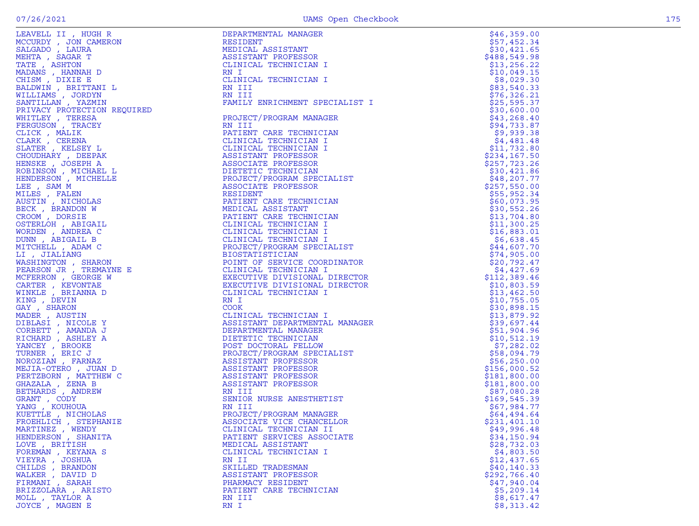| JEAVELL II , HUGH R<br>ACCURDY , JON CAMERON<br>SALGADO , LAURA<br>JEHTA , SAGAR T<br>MEHTA , SAGAR T<br>MADANS , HANNAH D<br>CHISM , DIXIE E<br>SALDWIN , BRITTANI L<br>VILLIAMS , JORDYN<br>VILLIAMS , JORDYN<br>NILLIAMS , JORDYN<br>PRIVACY PROTECTION RE |
|---------------------------------------------------------------------------------------------------------------------------------------------------------------------------------------------------------------------------------------------------------------|
|                                                                                                                                                                                                                                                               |
|                                                                                                                                                                                                                                                               |
|                                                                                                                                                                                                                                                               |
|                                                                                                                                                                                                                                                               |
|                                                                                                                                                                                                                                                               |
|                                                                                                                                                                                                                                                               |
|                                                                                                                                                                                                                                                               |
|                                                                                                                                                                                                                                                               |
|                                                                                                                                                                                                                                                               |
|                                                                                                                                                                                                                                                               |
|                                                                                                                                                                                                                                                               |
|                                                                                                                                                                                                                                                               |
|                                                                                                                                                                                                                                                               |
|                                                                                                                                                                                                                                                               |
|                                                                                                                                                                                                                                                               |
| CLICK , MILLIN<br>CLARK , CERENA<br>SLATER , KELSEY L                                                                                                                                                                                                         |
|                                                                                                                                                                                                                                                               |
|                                                                                                                                                                                                                                                               |
| HOUDHARY, DEEPAK                                                                                                                                                                                                                                              |
|                                                                                                                                                                                                                                                               |
|                                                                                                                                                                                                                                                               |
| HOODHANT , DEFIT<br>HENSKE , JOSEPH A<br>ROBINSON , MICHELLE<br>HENDERSON , MICHELLE                                                                                                                                                                          |
|                                                                                                                                                                                                                                                               |
| LEE , SAM M                                                                                                                                                                                                                                                   |
| MILES , FALEN<br>MUSTIN , NICHOLAS<br>BECK , BRANDON W<br>CROM , DORSIE<br>CROM , RETGAI                                                                                                                                                                      |
|                                                                                                                                                                                                                                                               |
|                                                                                                                                                                                                                                                               |
|                                                                                                                                                                                                                                                               |
|                                                                                                                                                                                                                                                               |
| DSTERLOH , ABIGAIL                                                                                                                                                                                                                                            |
| VORDEN , ANDREA C<br>VORDEN , ANDREA C<br>VUNN , ABIGAIL B                                                                                                                                                                                                    |
|                                                                                                                                                                                                                                                               |
|                                                                                                                                                                                                                                                               |
| MITCHELL, ADAM C                                                                                                                                                                                                                                              |
| LI , JIALIANG                                                                                                                                                                                                                                                 |
|                                                                                                                                                                                                                                                               |
| <b>NASHINGTON , SHARON<br/>PEARSON JR , TREMAYNE E</b>                                                                                                                                                                                                        |
|                                                                                                                                                                                                                                                               |
| ACFERRON , GEORGE W<br>CARTER , KEVONTAE<br>VINKLE , BRIANNA D                                                                                                                                                                                                |
|                                                                                                                                                                                                                                                               |
|                                                                                                                                                                                                                                                               |
|                                                                                                                                                                                                                                                               |
| VINKLE , BRIANNA D<br>CING , DEVIN<br>JADER , AUSTIN<br>JADER , AUSTIN<br>JIBLASI , NICOLE Y<br>CORBETT , AMANDA J<br>CORBETT , AMANDA J<br>CANCEY , BROOKE<br>URNER , ERIC J<br>JURNER , FARNAZ<br>JURNER , TARNAZ<br>JURNER , JUAN                          |
|                                                                                                                                                                                                                                                               |
|                                                                                                                                                                                                                                                               |
|                                                                                                                                                                                                                                                               |
|                                                                                                                                                                                                                                                               |
|                                                                                                                                                                                                                                                               |
|                                                                                                                                                                                                                                                               |
|                                                                                                                                                                                                                                                               |
|                                                                                                                                                                                                                                                               |
|                                                                                                                                                                                                                                                               |
|                                                                                                                                                                                                                                                               |
| "COLORATION" , THUNGHAIR<br>PERTZBORN , MATTHEW C<br>SHAZALA , ZENA B<br>SETHARDS , ANDREW<br>SRANT , CODY                                                                                                                                                    |
|                                                                                                                                                                                                                                                               |
|                                                                                                                                                                                                                                                               |
|                                                                                                                                                                                                                                                               |
|                                                                                                                                                                                                                                                               |
|                                                                                                                                                                                                                                                               |
| ZANG, KOUHOUA                                                                                                                                                                                                                                                 |
| <b>KUETTLE</b> , NICHOLAS                                                                                                                                                                                                                                     |
|                                                                                                                                                                                                                                                               |
| FROEHLICH , STEPHANIE                                                                                                                                                                                                                                         |
| MARTINEZ , WENDY<br>HENDERSON , SHANITA                                                                                                                                                                                                                       |
|                                                                                                                                                                                                                                                               |
|                                                                                                                                                                                                                                                               |
|                                                                                                                                                                                                                                                               |
| <b>OVE</b> , BRITISH                                                                                                                                                                                                                                          |
|                                                                                                                                                                                                                                                               |
| FOREMAN , KEYANA S                                                                                                                                                                                                                                            |
| <b><i>JIEYRA , JOSHUA</i></b>                                                                                                                                                                                                                                 |
| CHILDS, BRANDON                                                                                                                                                                                                                                               |
| WALKER , DAVID D                                                                                                                                                                                                                                              |
| FIRMANI , SARAH                                                                                                                                                                                                                                               |
|                                                                                                                                                                                                                                                               |
| BRIZZOLARA , ARISTO<br>NOLL , TAYLOR A                                                                                                                                                                                                                        |

| LEAVELL II , HUGH R                                                                                                           | DEPARTMENTAL MANAGER                                                                                                                                                                                                                                      | \$46,359.00  |
|-------------------------------------------------------------------------------------------------------------------------------|-----------------------------------------------------------------------------------------------------------------------------------------------------------------------------------------------------------------------------------------------------------|--------------|
| MCCURDY, JON CAMERON                                                                                                          | RESIDENT                                                                                                                                                                                                                                                  | \$57,452.34  |
| SALGADO , LAURA                                                                                                               | MEDICAL ASSISTANT                                                                                                                                                                                                                                         | \$30,421.65  |
| MEHTA, SAGAR T                                                                                                                | ASSISTANT PROFESSOR                                                                                                                                                                                                                                       | \$488,549.98 |
| TATE, ASHTON                                                                                                                  | CLINICAL TECHNICIAN I                                                                                                                                                                                                                                     | \$13, 256.22 |
| MADANS , HANNAH D                                                                                                             | RN I                                                                                                                                                                                                                                                      | \$10,049.15  |
|                                                                                                                               | CLINICAL TECHNICIAN I                                                                                                                                                                                                                                     | \$8,029.30   |
| CHISM, DIXIE E                                                                                                                |                                                                                                                                                                                                                                                           |              |
| BALDWIN, BRITTANI L                                                                                                           | RN III                                                                                                                                                                                                                                                    | \$83,540.33  |
| WILLIAMS , JORDYN                                                                                                             | RN III                                                                                                                                                                                                                                                    | \$76,326.21  |
| SANTILLAN, YAZMIN                                                                                                             | FAMILY ENRICHMENT SPECIALIST I                                                                                                                                                                                                                            | \$25,595.37  |
| PRIVACY PROTECTION REQUIRED                                                                                                   |                                                                                                                                                                                                                                                           | \$30,600.00  |
| WHITLEY, TERESA                                                                                                               | PROJECT/PROGRAM MANAGER                                                                                                                                                                                                                                   | \$43, 268.40 |
| FERGUSON, TRACEY                                                                                                              | RN III                                                                                                                                                                                                                                                    | \$94,733.87  |
| CLICK, MALIK                                                                                                                  | PATIENT CARE TECHNICIAN                                                                                                                                                                                                                                   | \$9,939.38   |
|                                                                                                                               |                                                                                                                                                                                                                                                           |              |
| CLARK, CERENA                                                                                                                 | CLINICAL TECHNICIAN I                                                                                                                                                                                                                                     | \$4,481.48   |
| SLATER , KELSEY L                                                                                                             | CLINICAL TECHNICIAN I                                                                                                                                                                                                                                     | \$11,732.80  |
| CHOUDHARY, DEEPAK                                                                                                             | ASSISTANT PROFESSOR                                                                                                                                                                                                                                       | \$234,167.50 |
| HENSKE, JOSEPH A                                                                                                              | ASSOCIATE PROFESSOR                                                                                                                                                                                                                                       | \$257,723.26 |
| ROBINSON , MICHAEL L                                                                                                          |                                                                                                                                                                                                                                                           | \$30,421.86  |
| HENDERSON, MICHELLE                                                                                                           |                                                                                                                                                                                                                                                           | \$48, 207.77 |
| LEE, SAM M                                                                                                                    |                                                                                                                                                                                                                                                           | \$257,550.00 |
| MILES , FALEN                                                                                                                 | ASSOCIALL<br>DIETETIC TECHNICIAN<br>PROJECT/PROGRAM SPECIALIST<br>ASSOCIATE PROFESSOR<br>RESIDENT                                                                                                                                                         | \$55,952.34  |
|                                                                                                                               |                                                                                                                                                                                                                                                           |              |
| AUSTIN, NICHOLAS                                                                                                              | PATIENT CARE TECHNICIAN                                                                                                                                                                                                                                   | \$60,073.95  |
| BECK, BRANDON W                                                                                                               | MEDICAL ASSISTANT                                                                                                                                                                                                                                         | \$30,552.26  |
| CROOM, DORSIE                                                                                                                 | PATIENT CARE TECHNICIAN                                                                                                                                                                                                                                   | \$13,704.80  |
| OSTERLOH , ABIGAIL                                                                                                            | CLINICAL TECHNICIAN I                                                                                                                                                                                                                                     | \$11,300.25  |
| WORDEN, ANDREA C                                                                                                              |                                                                                                                                                                                                                                                           | \$16,883.01  |
| DUNN, ABIGAIL B                                                                                                               |                                                                                                                                                                                                                                                           | \$6,638.45   |
| MITCHELL, ADAM C                                                                                                              |                                                                                                                                                                                                                                                           | \$44,607.70  |
|                                                                                                                               |                                                                                                                                                                                                                                                           |              |
| LI, JIALIANG                                                                                                                  |                                                                                                                                                                                                                                                           | \$74,905.00  |
| WASHINGTON, SHARON                                                                                                            |                                                                                                                                                                                                                                                           | \$20,792.47  |
| PEARSON JR, TREMAYNE E                                                                                                        | CLINICAL TECHNICIAN I<br>CLINICAL TECHNICIAN I<br>CLINICAL TECHNICIAN I<br>PROJECT/PROGRAM SPECIALIST<br>BIOSTATISTICIAN<br>POINT OF SERVICE COORDINATOR<br>CLINICAL TECHNICIAN I<br>EXECUTIVE DIVISIONAL DIRECTOR<br>EXECUTIVE DIVISIONAL DIRECTOR<br>CL | \$4,427.69   |
| MCFERRON, GEORGE W                                                                                                            |                                                                                                                                                                                                                                                           | \$112,389.46 |
| CARTER , KEVONTAE                                                                                                             |                                                                                                                                                                                                                                                           | \$10,803.59  |
| WINKLE, BRIANNA D                                                                                                             | CLINICAL TECHNICIAN I                                                                                                                                                                                                                                     | \$13,462.50  |
| KING, DEVIN                                                                                                                   | RN I                                                                                                                                                                                                                                                      | \$10,755.05  |
| GAY, SHARON                                                                                                                   | <b>COOK</b>                                                                                                                                                                                                                                               | \$30,898.15  |
| MADER , AUSTIN                                                                                                                |                                                                                                                                                                                                                                                           |              |
|                                                                                                                               | MANAGER<br>CLINICAL TECHNICIAN I                                                                                                                                                                                                                          | \$13,879.92  |
| DIBLASI , NICOLE Y                                                                                                            | ASSISTANT DEPARTMENTAL MANAGER                                                                                                                                                                                                                            | \$39,697.44  |
| CORBETT, AMANDA J                                                                                                             | DEPARTMENTAL MANAGER                                                                                                                                                                                                                                      | \$51,904.96  |
| RICHARD , ASHLEY A                                                                                                            | DIETETIC TECHNICIAN                                                                                                                                                                                                                                       | \$10,512.19  |
| YANCEY, BROOKE                                                                                                                | POST DOCTORAL FELLOW                                                                                                                                                                                                                                      | \$7,282.02   |
| TURNER, ERIC J                                                                                                                | PROJECT/PROGRAM SPECIALIST                                                                                                                                                                                                                                | \$58,094.79  |
| NOROZIAN, FARNAZ                                                                                                              | ASSISTANT PROFESSOR                                                                                                                                                                                                                                       | \$56, 250.00 |
| MEJIA-OTERO, JUAN D                                                                                                           |                                                                                                                                                                                                                                                           | \$156,000.52 |
|                                                                                                                               | ASSISTANT PROFESSOR<br>ASSISTANT PROFESSOR<br>ASSISTANT PROFESSOR<br>RN III                                                                                                                                                                               |              |
| PERTZBORN, MATTHEW C                                                                                                          |                                                                                                                                                                                                                                                           | \$181,800.00 |
| GHAZALA, ZENA B<br>GHAZALA<br>BETHARDS , ANDREW<br>GRANT , CODY<br>YANG , KOUHOUA<br>KUETTLE , NICHOLAS<br>TRANTIE , NICHOLAS |                                                                                                                                                                                                                                                           | \$181,800.00 |
|                                                                                                                               |                                                                                                                                                                                                                                                           | \$87,080.28  |
|                                                                                                                               | SENIOR NURSE ANESTHETIST                                                                                                                                                                                                                                  | \$169,545.39 |
|                                                                                                                               | RN III                                                                                                                                                                                                                                                    | \$67,984.77  |
|                                                                                                                               | PROJECT/PROGRAM MANAGER                                                                                                                                                                                                                                   | \$64,494.64  |
|                                                                                                                               | ASSOCIATE VICE CHANCELLOR                                                                                                                                                                                                                                 | \$231,401.10 |
| MARTINEZ , WENDY                                                                                                              | CLINICAL TECHNICIAN II                                                                                                                                                                                                                                    | \$49,996.48  |
|                                                                                                                               |                                                                                                                                                                                                                                                           |              |
| HENDERSON, SHANITA                                                                                                            | PATIENT SERVICES ASSOCIATE                                                                                                                                                                                                                                | \$34,150.94  |
| LOVE, BRITISH                                                                                                                 | MEDICAL ASSISTANT                                                                                                                                                                                                                                         | \$28,732.03  |
| FOREMAN , KEYANA S                                                                                                            | CLINICAL TECHNICIAN I                                                                                                                                                                                                                                     | \$4,803.50   |
| VIEYRA , JOSHUA                                                                                                               | RN II                                                                                                                                                                                                                                                     | \$12,437.65  |
| CHILDS, BRANDON                                                                                                               | SKILLED TRADESMAN                                                                                                                                                                                                                                         | \$40, 140.33 |
| WALKER, DAVID D                                                                                                               | ASSISTANT PROFESSOR                                                                                                                                                                                                                                       | \$292,766.40 |
| FIRMANI , SARAH                                                                                                               | PHARMACY RESIDENT                                                                                                                                                                                                                                         | \$47,940.04  |
| BRIZZOLARA, ARISTO                                                                                                            | PATIENT CARE TECHNICIAN                                                                                                                                                                                                                                   | \$5,209.14   |
|                                                                                                                               |                                                                                                                                                                                                                                                           |              |
| MOLL, TAYLOR A                                                                                                                | RN III                                                                                                                                                                                                                                                    | \$8,617.47   |
| JOYCE, MAGEN E                                                                                                                | RN I                                                                                                                                                                                                                                                      | \$8,313.42   |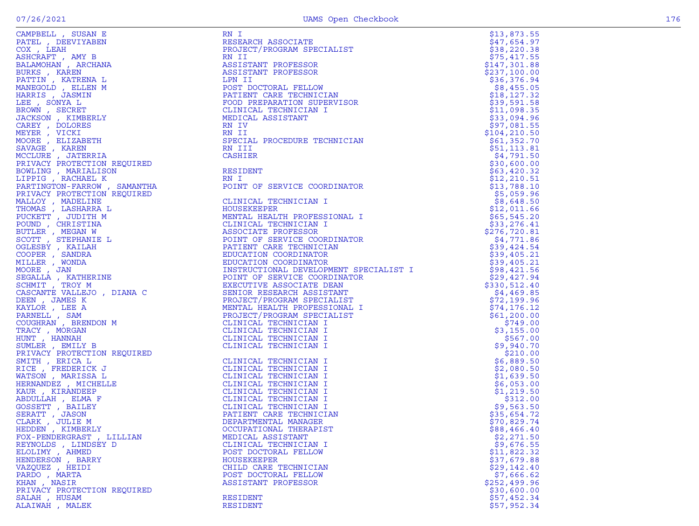| CAMPBELL , SUSAN E<br>PATEL , DEEVIYABEN<br>COX , LEAH                                                                                                                                                                                                             |
|--------------------------------------------------------------------------------------------------------------------------------------------------------------------------------------------------------------------------------------------------------------------|
|                                                                                                                                                                                                                                                                    |
|                                                                                                                                                                                                                                                                    |
| ASHCRAFT, AMY B                                                                                                                                                                                                                                                    |
| BALAMOHAN, ARCHANA                                                                                                                                                                                                                                                 |
|                                                                                                                                                                                                                                                                    |
| BURKS , KAREN<br>PATTIN , KATRENA L                                                                                                                                                                                                                                |
|                                                                                                                                                                                                                                                                    |
|                                                                                                                                                                                                                                                                    |
|                                                                                                                                                                                                                                                                    |
| MANEGOLD , ELLEN M<br>HARRIS , JASMIN<br>'ARRIS , JASMIN                                                                                                                                                                                                           |
|                                                                                                                                                                                                                                                                    |
| HARRIS , JASMIN<br>LEE , SONYA L<br>BROWN , SECRET<br>ZACKSON , KIMBERLY<br>ZAREY , VICKI<br>MEYER , VICKI<br>MOORE , ELIZABETH<br>MOORE , KAREN<br>MCCLURE , JATERRIA<br>BRIVACY PROTECTION REQUIRED<br>SOWLING , MARIALISON<br>LIPPIG , RACHAEL K<br>PARTINGTON- |
|                                                                                                                                                                                                                                                                    |
|                                                                                                                                                                                                                                                                    |
|                                                                                                                                                                                                                                                                    |
|                                                                                                                                                                                                                                                                    |
|                                                                                                                                                                                                                                                                    |
|                                                                                                                                                                                                                                                                    |
|                                                                                                                                                                                                                                                                    |
|                                                                                                                                                                                                                                                                    |
|                                                                                                                                                                                                                                                                    |
|                                                                                                                                                                                                                                                                    |
|                                                                                                                                                                                                                                                                    |
|                                                                                                                                                                                                                                                                    |
|                                                                                                                                                                                                                                                                    |
|                                                                                                                                                                                                                                                                    |
|                                                                                                                                                                                                                                                                    |
|                                                                                                                                                                                                                                                                    |
|                                                                                                                                                                                                                                                                    |
|                                                                                                                                                                                                                                                                    |
|                                                                                                                                                                                                                                                                    |
|                                                                                                                                                                                                                                                                    |
|                                                                                                                                                                                                                                                                    |
|                                                                                                                                                                                                                                                                    |
|                                                                                                                                                                                                                                                                    |
|                                                                                                                                                                                                                                                                    |
|                                                                                                                                                                                                                                                                    |
|                                                                                                                                                                                                                                                                    |
|                                                                                                                                                                                                                                                                    |
|                                                                                                                                                                                                                                                                    |
| PRIVACY PROTECTION REQUIRE:<br>VALLOY , MADELINE<br>PHOMAS , LASHARRA L<br>PUCKETT , JUDITH M<br>POUND , CHEISTINA<br>SUTLER , MEGAN W<br>SCOTT , STEPHANIE L<br>DGLESBY , KAILAH<br>MOOPER , SANDRA<br>MILLER , WONDA<br>MOORE , JAN<br>SCHMIT , TROY M<br>CASCAN |
|                                                                                                                                                                                                                                                                    |
|                                                                                                                                                                                                                                                                    |
|                                                                                                                                                                                                                                                                    |
|                                                                                                                                                                                                                                                                    |
|                                                                                                                                                                                                                                                                    |
|                                                                                                                                                                                                                                                                    |
| PEEN , JAMES K<br>KAYLOR , LEE A<br>PARNELL , SAM<br>COUGHRAN , BRENDON M                                                                                                                                                                                          |
|                                                                                                                                                                                                                                                                    |
|                                                                                                                                                                                                                                                                    |
|                                                                                                                                                                                                                                                                    |
|                                                                                                                                                                                                                                                                    |
|                                                                                                                                                                                                                                                                    |
|                                                                                                                                                                                                                                                                    |
|                                                                                                                                                                                                                                                                    |
|                                                                                                                                                                                                                                                                    |
|                                                                                                                                                                                                                                                                    |
|                                                                                                                                                                                                                                                                    |
|                                                                                                                                                                                                                                                                    |
|                                                                                                                                                                                                                                                                    |
|                                                                                                                                                                                                                                                                    |
| COUGHANN, BRENDON M<br>FRACY , MORGAN<br>HUNT , HANNAH<br>SUMLER , EMILY B<br>PRIVACY PROTECTION REQUIRED<br>SMITH , ERICA L<br>RICE , FREDERICK J<br>MERNANDEZ MICHEILE<br>HERNANDEZ MICHEILE                                                                     |
|                                                                                                                                                                                                                                                                    |
| HERNANDEZ , MICHELLE                                                                                                                                                                                                                                               |
|                                                                                                                                                                                                                                                                    |
| KAUR , KIRANDEEP<br>ABDULLAH , ELMA F                                                                                                                                                                                                                              |
|                                                                                                                                                                                                                                                                    |
|                                                                                                                                                                                                                                                                    |
| GOSSETT , BAILEY<br>SERATT , JASON                                                                                                                                                                                                                                 |
|                                                                                                                                                                                                                                                                    |
|                                                                                                                                                                                                                                                                    |
| CLARK , JULIE M                                                                                                                                                                                                                                                    |
| HEDDEN, KIMBERLY                                                                                                                                                                                                                                                   |
| FOX-PENDERGRAST, LILLIAN                                                                                                                                                                                                                                           |
|                                                                                                                                                                                                                                                                    |
| REYNOLDS , LINDSEY D                                                                                                                                                                                                                                               |
| ELOLIMY , AHMED<br>HENDERSON , BAR                                                                                                                                                                                                                                 |
|                                                                                                                                                                                                                                                                    |
| <b>BARRY</b>                                                                                                                                                                                                                                                       |
| VAZQUEZ , HEIDI                                                                                                                                                                                                                                                    |
|                                                                                                                                                                                                                                                                    |
| PARDO, MARTA                                                                                                                                                                                                                                                       |
| KHAN , NASIR                                                                                                                                                                                                                                                       |
|                                                                                                                                                                                                                                                                    |
|                                                                                                                                                                                                                                                                    |
|                                                                                                                                                                                                                                                                    |
| PRIVACY PROTECTION REQUIRED<br>SALAH , HUSAM                                                                                                                                                                                                                       |

|  | \$13,873.55                |
|--|----------------------------|
|  | \$47,654.97                |
|  | \$38, 220.38               |
|  | \$75,417.55                |
|  | \$147,301.88               |
|  | \$237,100.00               |
|  | \$36,376.94                |
|  | \$8,455.05                 |
|  | \$18, 127.32               |
|  | \$39,591.58                |
|  | \$11,098.35                |
|  | \$33,094.96                |
|  | \$97,081.55                |
|  | \$104, 210.50              |
|  | \$61,352.70                |
|  | \$51,113.81                |
|  | \$4,791.50                 |
|  | \$30,600.00<br>\$63,420.32 |
|  | \$12, 210.51               |
|  | \$13,788.10                |
|  | \$5,059.96                 |
|  | \$8,648.50                 |
|  | \$12,011.66                |
|  | \$65,545.20                |
|  | \$33, 276.41               |
|  | \$276,720.81               |
|  | \$4,771.86                 |
|  | \$39,424.54                |
|  | \$39,405.21                |
|  | \$39,405.21                |
|  | \$98,421.56                |
|  | \$29,427.94                |
|  | \$330,512.40               |
|  | \$4,469.85                 |
|  | \$72,199.96                |
|  | \$74, 176.12               |
|  | \$61,200.00                |
|  | \$749.00                   |
|  | \$3,155.00                 |
|  | \$567.00                   |
|  | \$9,940.70                 |
|  | \$210.00                   |
|  | \$6,889.50                 |
|  | \$2,080.50                 |
|  | \$1,639.50                 |
|  | \$6,053.00                 |
|  | \$1,219.50                 |
|  | \$312.00                   |
|  | \$9,563.50                 |
|  | \$35,654.72                |
|  | \$70,829.74                |
|  | \$88,466.40                |
|  | \$2,271.50                 |
|  | \$9,676.55<br>\$11,822.32  |
|  | \$37,679.88                |
|  | \$29,142.40                |
|  | \$7,666.62                 |
|  | \$252,499.96               |
|  | \$30,600.00                |
|  | \$57,452.34                |
|  | \$57,952.34                |
|  |                            |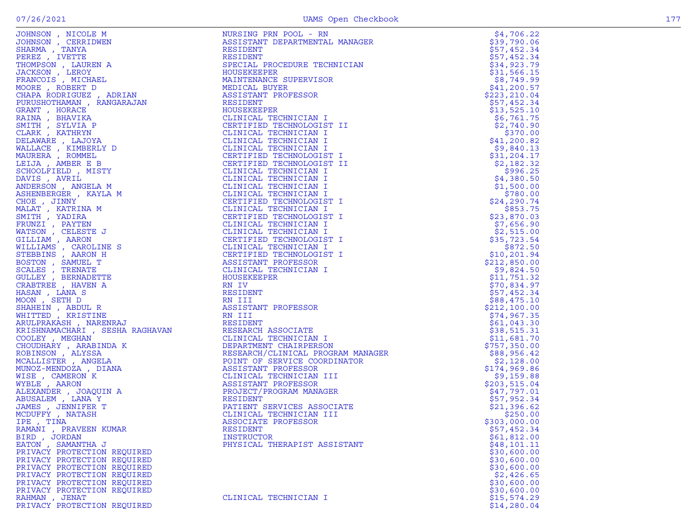|                             |                                                                                      | \$212,100.00             |
|-----------------------------|--------------------------------------------------------------------------------------|--------------------------|
|                             |                                                                                      | \$74,967.35              |
|                             |                                                                                      | \$61,043.30              |
|                             |                                                                                      | \$38,515.31              |
|                             |                                                                                      | \$11,681.70              |
|                             |                                                                                      | \$757,350.00             |
|                             |                                                                                      | \$88,956.42              |
|                             |                                                                                      | \$2,128.00               |
|                             |                                                                                      | \$174,969.86             |
|                             |                                                                                      | \$9,159.88               |
|                             |                                                                                      | \$203,515.04             |
|                             |                                                                                      | \$47,797.01              |
|                             |                                                                                      | \$57,952.34              |
|                             |                                                                                      | \$21,396.62              |
|                             |                                                                                      | \$250.00<br>\$303,000.00 |
|                             |                                                                                      | \$57,452.34              |
|                             | I<br>OGRAM MANAGER<br>RDINATOR<br>III<br>JER<br>CIATE<br>II<br>II<br>II<br>II<br>ARP | \$61,812.00              |
|                             |                                                                                      | \$48,101.11              |
|                             |                                                                                      | \$30,600.00              |
|                             |                                                                                      | \$30,600.00              |
|                             |                                                                                      | \$30,600.00              |
| PRIVACY PROTECTION REQUIRED |                                                                                      | \$2,426.65               |
| PRIVACY PROTECTION REQUIRED |                                                                                      | \$30,600.00              |
| PRIVACY PROTECTION REOUIRED |                                                                                      | \$30,600.00              |
| RAHMAN, JENAT               | CLINICAL TECHNICIAN I                                                                | \$15,574.29              |
| PRIVACY PROTECTION REQUIRED |                                                                                      | \$14,280.04              |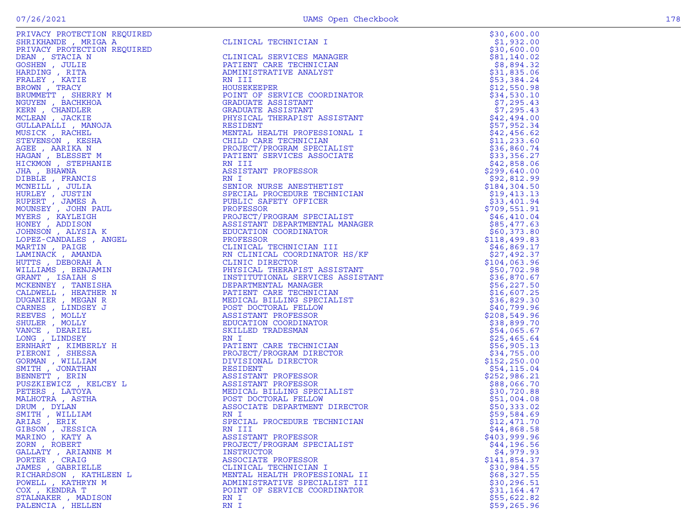| PRIVACY PROTECTION REQUIRED                                |                                                                                                                          | \$30,600.00                 |
|------------------------------------------------------------|--------------------------------------------------------------------------------------------------------------------------|-----------------------------|
| SHRIKHANDE , MRIGA A                                       | CLINICAL TECHNICIAN I                                                                                                    | \$1,932.00                  |
| PRIVACY PROTECTION REQUIRED                                |                                                                                                                          | \$30,600.00                 |
| DEAN, STACIA N                                             | CLINICAL SERVICES MANAGER                                                                                                | \$81,140.02                 |
| GOSHEN, JULIE                                              | PATIENT CARE TECHNICIAN                                                                                                  | \$8,894.32                  |
| HARDING, RITA                                              | ADMINISTRATIVE ANALYST                                                                                                   | \$31,835.06                 |
| FRALEY, KATIE                                              | RN III                                                                                                                   | \$53,384.24                 |
| BROWN, TRACY                                               | HOUSEKEEPER                                                                                                              | \$12,550.98                 |
| BRUMMETT, SHERRY M<br>NGUYEN, BACHKHOA                     | POINT OF SERVICE COORDINATOR                                                                                             | \$34,530.10<br>\$7,295.43   |
| KERN, CHANDLER                                             | GRADUATE ASSISTANT<br>GRADUATE ASSISTANT                                                                                 | \$7,295.43                  |
| MCLEAN , JACKIE                                            | PHYSICAL THERAPIST ASSISTANT                                                                                             | \$42,494.00                 |
| GULLAPALLI, MANOJA                                         | RESIDENT                                                                                                                 | \$57,952.34                 |
| MUSICK, RACHEL                                             | MENTAL HEALTH PROFESSIONAL I                                                                                             | \$42,456.62                 |
| STEVENSON, KESHA                                           | CHILD CARE TECHNICIAN                                                                                                    | \$11, 233.60                |
| AGEE , AARIKA N                                            | PROJECT/PROGRAM SPECIALIST                                                                                               | \$36,860.74                 |
| HAGAN, BLESSET M                                           | PATIENT SERVICES ASSOCIATE                                                                                               | \$33,356.27                 |
| HICKMON , STEPHANIE                                        | RN III                                                                                                                   | \$42,858.06                 |
| JHA , BHAWNA                                               | ASSISTANT PROFESSOR                                                                                                      | \$299,640.00                |
| DIBBLE , FRANCIS                                           | RN I                                                                                                                     | \$92,812.99                 |
| MCNEILL, JULIA                                             | SENIOR NURSE ANESTHETIST                                                                                                 | \$184, 304.50               |
| HURLEY, JUSTIN                                             | SPECIAL PROCEDURE TECHNICIAN                                                                                             | \$19,413.13                 |
| RUPERT, JAMES A                                            | PUBLIC SAFETY OFFICER                                                                                                    | \$33,401.94                 |
| MOUNSEY, JOHN PAUL                                         |                                                                                                                          | \$709,551.91                |
| MYERS, KAYLEIGH<br>HONEY, ADDISON                          |                                                                                                                          | \$46,410.04                 |
| JOHNSON , ALYSIA K                                         | PUBLIC SAFEII VIII<br>PROFESSOR<br>PROJECT/PROGRAM SPECIALIST<br>ISSIOMATE DEPARTMENTAL MANAGER<br>EDUCATION COORDINATOR | \$85,477.63<br>\$60,373.80  |
| LOPEZ-CANDALES, ANGEL                                      | PROFESSOR                                                                                                                | \$118,499.83                |
| MARTIN, PAIGE                                              | CLINICAL TECHNICIAN III                                                                                                  | \$46,869.17                 |
| LAMINACK, AMANDA                                           | RN CLINICAL COORDINATOR HS/KF                                                                                            | \$27,492.37                 |
| HUTTS, DEBORAH A                                           | CLINIC DIRECTOR                                                                                                          | \$104,063.96                |
| WILLIAMS , BENJAMIN                                        | PHYSICAL THERAPIST ASSISTANT                                                                                             | \$50,702.98                 |
| GRANT, ISAIAH S                                            | INSTITUTIONAL SERVICES ASSISTANT                                                                                         | \$36,870.67                 |
| MCKENNEY, TANEISHA                                         | DEPARTMENTAL MANAGER                                                                                                     | \$56, 227.50                |
| CALDWELL , HEATHER N                                       | PATIENT CARE TECHNICIAN                                                                                                  | \$16,607.25                 |
| DUGANIER , MEGAN R                                         | MEDICAL BILLING SPECIALIST                                                                                               | \$36,829.30                 |
| CARNES, LINDSEY J                                          | POST DOCTORAL FELLOW                                                                                                     | \$40,799.96                 |
| REEVES , MOLLY                                             | ASSISTANT PROFESSOR                                                                                                      | \$208,549.96                |
| SHULER, MOLLY                                              | EDUCATION COORDINATOR                                                                                                    | \$38,899.70                 |
| VANCE, DEARIEL                                             | SKILLED TRADESMAN                                                                                                        | \$54,065.67                 |
| LONG, LINDSEY                                              | RN I<br>PATIENT CARE TECHNICIAN                                                                                          | \$25,465.64                 |
| ERNHART, KIMBERLY H<br>PIERONI , SHESSA                    | PROJECT/PROGRAM DIRECTOR                                                                                                 | \$56,905.13<br>\$34,755.00  |
| GORMAN , WILLIAM                                           | DIVISIONAL DIRECTOR                                                                                                      | \$152, 250.00               |
| SMITH , JONATHAN                                           | RESIDENT                                                                                                                 | \$54,115.04                 |
| BENNETT, ERIN                                              |                                                                                                                          | \$252,986.21                |
| $\mathbf{Y} = \mathbf{L} \tag{7}$<br>PUSZKIEWICZ, KELCEY L | ASSISTANT PROFESSOR<br>ASSISTANT PROFESSOR<br>MEDICAL BILLING SPECIALIST<br>POST DOCTORAL FELLOW                         | \$88,066.70                 |
| PETERS, LATOYA                                             |                                                                                                                          | \$30,720.88                 |
| MALHOTRA, ASTHA                                            |                                                                                                                          | \$51,004.08                 |
| DRUM, DYLAN                                                | ASSOCIATE DEPARTMENT DIRECTOR                                                                                            | \$50,333.02                 |
| SMITH, WILLIAM                                             | RN I                                                                                                                     | \$59,584.69                 |
| ARIAS, ERIK                                                | SPECIAL PROCEDURE TECHNICIAN                                                                                             | \$12,471.70                 |
| GIBSON, JESSICA                                            | RN III                                                                                                                   | \$44,868.58                 |
| MARINO, KATY A                                             | ASSISTANT PROFESSOR                                                                                                      | \$403,999.96                |
| ZORN, ROBERT                                               | PROJECT/PROGRAM SPECIALIST                                                                                               | \$44,196.56                 |
| GALLATY, ARIANNE M                                         | INSTRUCTOR                                                                                                               | \$4,979.93                  |
| PORTER, CRAIG                                              | ASSOCIATE PROFESSOR                                                                                                      | \$141,854.37<br>\$30,984.55 |
| JAMES , GABRIELLE<br>RICHARDSON, KATHLEEN L                | CLINICAL TECHNICIAN I<br>MENTAL HEALTH PROFESSIONAL II                                                                   |                             |
| POWELL, KATHRYN M                                          | ADMINISTRATIVE SPECIALIST III                                                                                            | \$68,327.55<br>\$30,296.51  |
| COX, KENDRA T                                              | POINT OF SERVICE COORDINATOR                                                                                             | \$31,164.47                 |
| STALNAKER, MADISON                                         | RN I                                                                                                                     | \$55,622.82                 |
| PALENCIA, HELLEN                                           | RN I                                                                                                                     | \$59,265.96                 |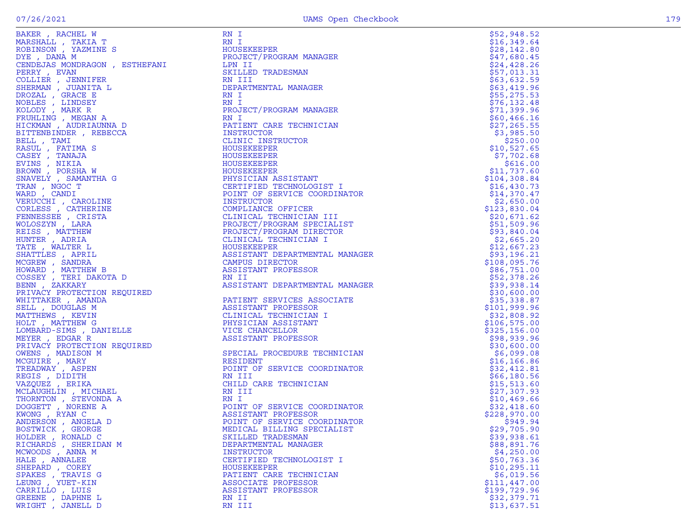| BAKER, RACHEL W                                                                                                                                                                                                                                                    | RN 1                                            | \$52,948.52  |
|--------------------------------------------------------------------------------------------------------------------------------------------------------------------------------------------------------------------------------------------------------------------|-------------------------------------------------|--------------|
| MARSHALL, TAKIA T                                                                                                                                                                                                                                                  | RN I                                            | \$16,349.64  |
| ROBINSON, YAZMINE S                                                                                                                                                                                                                                                | HOUSEKEEPER                                     | \$28,142.80  |
| DYE, DANA M                                                                                                                                                                                                                                                        | PROJECT/PROGRAM MANAGER                         | \$47,680.45  |
| CENDEJAS MONDRAGON, ESTHEFANI                                                                                                                                                                                                                                      | LPN II                                          | \$24,428.26  |
|                                                                                                                                                                                                                                                                    | SKILLED TRADESMAN                               | \$57,013.31  |
| COLLIER , JENNIFER<br>SHERMAN , JUANITA L<br>DROZAL , GRACE E                                                                                                                                                                                                      | RN III                                          | \$63,632.59  |
|                                                                                                                                                                                                                                                                    | DEPARTMENTAL MANAGER                            | \$63,419.96  |
|                                                                                                                                                                                                                                                                    | RN I                                            | \$55,275.53  |
| NOBLES , LINDSEY                                                                                                                                                                                                                                                   | RN I                                            | \$76, 132.48 |
| KOLODY, MARK R                                                                                                                                                                                                                                                     | PROJECT/PROGRAM MANAGER                         | \$71,399.96  |
| FRUHLING , MEGAN A                                                                                                                                                                                                                                                 | RN I                                            | \$60,466.16  |
| HICKMAN, AUDRIAUNNA D                                                                                                                                                                                                                                              | PATIENT CARE TECHNICIAN                         | \$27,265.55  |
| BITTENBINDER, REBECCA                                                                                                                                                                                                                                              | INSTRUCTOR                                      | \$3,985.50   |
| BELL, TAMI                                                                                                                                                                                                                                                         | CLINIC INSTRUCTOR                               | \$250.00     |
| RASUL, FATIMA S                                                                                                                                                                                                                                                    | HOUSEKEEPER                                     | \$10,527.65  |
| CASEY, TANAJA                                                                                                                                                                                                                                                      | HOUSEKEEPER                                     | \$7,702.68   |
| EVINS , NIKIA                                                                                                                                                                                                                                                      | HOUSEKEEPER                                     | \$616.00     |
| BROWN, PORSHA W                                                                                                                                                                                                                                                    | HOUSEKEEPER                                     | \$11,737.60  |
| SNAVELY, SAMANTHA G                                                                                                                                                                                                                                                |                                                 | \$104,308.84 |
| TRAN, NGOC T                                                                                                                                                                                                                                                       | PHYSICIAN ASSISTANT<br>CERTIFIED TECHNOLOGIST I |              |
|                                                                                                                                                                                                                                                                    |                                                 | \$16,430.73  |
| WARD, CANDI                                                                                                                                                                                                                                                        | POINT OF SERVICE COORDINATOR                    | \$14,370.47  |
| VERUCCHI, CAROLINE                                                                                                                                                                                                                                                 | INSTRUCTOR                                      | \$2,650.00   |
|                                                                                                                                                                                                                                                                    | COMPLIANCE OFFICER                              | \$123,830.04 |
|                                                                                                                                                                                                                                                                    | CLINICAL TECHNICIAN III                         | \$20,671.62  |
|                                                                                                                                                                                                                                                                    | PROJECT/PROGRAM SPECIALIST                      | \$51,509.96  |
|                                                                                                                                                                                                                                                                    | PROJECT/PROGRAM DIRECTOR                        | \$93,840.04  |
|                                                                                                                                                                                                                                                                    | NTOR<br>ST<br>T<br>CLINICAL TECHNICIAN I        | \$2,665.20   |
|                                                                                                                                                                                                                                                                    | HOUSEKEEPER                                     | \$12,667.23  |
|                                                                                                                                                                                                                                                                    | ASSISTANT DEPARTMENTAL MANAGER                  | \$93,196.21  |
| VERUCCHI , CAROLINE<br>CORLESS , CATHERINE<br>FENNESSEE , CRISTA<br>WOLOSZYN , LARA<br>HEISS , MATTHEW<br>HUNTER , ADRIA<br>TATE , WALTER L<br>SHATTLES , APRIL<br>MCGREW , SANDRA<br>HOWARD , MATTHEW B<br>COSSEY , TERI DAKOTA D<br>BENN , ZAKKARY<br>BENN , ZAK | CAMPUS DIRECTOR                                 | \$108,095.76 |
|                                                                                                                                                                                                                                                                    | ASSISTANT PROFESSOR                             | \$86,751.00  |
|                                                                                                                                                                                                                                                                    | RN II                                           | \$52,378.26  |
|                                                                                                                                                                                                                                                                    | ASSISTANT DEPARTMENTAL MANAGER                  | \$39,938.14  |
| PRIVACY PROTECTION REQUIRED<br>WHITTAKER , AMANDA<br>SELL , DOUGLAS M<br>MATTHEWS , KEVIN<br>HOLT , MATTHEW G<br>LOMBARD-SIMS , DANIELLE<br>MEYER , EDGAR R<br>PRIVAC , DOAR R<br>NEVER , EDGAR R                                                                  |                                                 | \$30,600.00  |
|                                                                                                                                                                                                                                                                    | PATIENT SERVICES ASSOCIATE                      | \$35,338.87  |
|                                                                                                                                                                                                                                                                    | ASSISTANT PROFESSOR                             | \$101,999.96 |
|                                                                                                                                                                                                                                                                    | CLINICAL TECHNICIAN I                           | \$32,808.92  |
|                                                                                                                                                                                                                                                                    | PHYSICIAN ASSISTANT                             | \$106,575.00 |
|                                                                                                                                                                                                                                                                    | VICE CHANCELLOR                                 | \$325,156.00 |
|                                                                                                                                                                                                                                                                    | ASSISTANT PROFESSOR                             | \$98,939.96  |
|                                                                                                                                                                                                                                                                    |                                                 | \$30,600.00  |
|                                                                                                                                                                                                                                                                    | SPECIAL PROCEDURE TECHNICIAN                    | \$6,099.08   |
|                                                                                                                                                                                                                                                                    | RESIDENT                                        | \$16, 166.86 |
|                                                                                                                                                                                                                                                                    | POINT OF SERVICE COORDINATOR                    | \$32,412.81  |
|                                                                                                                                                                                                                                                                    | RN III                                          | \$66,180.56  |
|                                                                                                                                                                                                                                                                    | CHILD CARE TECHNICIAN                           | \$15,513.60  |
|                                                                                                                                                                                                                                                                    | RN III                                          | \$27,307.93  |
|                                                                                                                                                                                                                                                                    | RN I                                            | \$10,469.66  |
|                                                                                                                                                                                                                                                                    | POINT OF SERVICE COORDINATOR                    | \$32,418.60  |
|                                                                                                                                                                                                                                                                    | ASSISTANT PROFESSOR                             | \$228,970.00 |
|                                                                                                                                                                                                                                                                    |                                                 |              |
|                                                                                                                                                                                                                                                                    | POINT OF SERVICE COORDINATOR                    | \$949.94     |
|                                                                                                                                                                                                                                                                    | MEDICAL BILLING SPECIALIST                      | \$29,705.90  |
| WARRY TREADWAY , ASPEN<br>TREADWAY , ASPEN<br>REGIS , DIDITH<br>VAZQUEZ , ERIKA<br>MCLAUGHLIN , MICHAEL<br>"HORNTON , THEONDDA A<br>"GEAUGHLIN , MICHAEL<br>"GORT" , NORENE A<br>"ONG , RYAN C<br>"DERSON , ANGELA D<br>"TWICK , GEORGE<br>"BR , RON               | SKILLED TRADESMAN                               | \$39,938.61  |
|                                                                                                                                                                                                                                                                    | DEPARTMENTAL MANAGER                            | \$88,891.76  |
|                                                                                                                                                                                                                                                                    | INSTRUCTOR                                      | \$4,250.00   |
|                                                                                                                                                                                                                                                                    | CERTIFIED TECHNOLOGIST I                        | \$50,763.36  |
| SHEPARD, COREY                                                                                                                                                                                                                                                     | HOUSEKEEPER                                     | \$10, 295.11 |
| SPAKES, TRAVIS G                                                                                                                                                                                                                                                   | PATIENT CARE TECHNICIAN                         | \$6,019.56   |
| LEUNG , YUET-KIN                                                                                                                                                                                                                                                   | ASSOCIATE PROFESSOR                             | \$111,447.00 |
| CARRILLO, LUIS                                                                                                                                                                                                                                                     | ASSISTANT PROFESSOR                             | \$199,729.96 |
| GREENE , DAPHNE L                                                                                                                                                                                                                                                  | RN II                                           | \$32,379.71  |
| WRIGHT, JANELL D                                                                                                                                                                                                                                                   | RN III                                          | \$13,637.51  |

|                          |                                                                       | ,<br>,                                                          | 9483146422133442982257667343686666667965178880889875639099612309961232975399666585272163708987563900961220099612209996527220577239966555272265778800889887563900961220999582200677898009657569009612209997798000000612009961220 | 5684235954915506606874006902227021089900980088560999670315097524056196386650004370426400084076200008600000000000000150611 |
|--------------------------|-----------------------------------------------------------------------|-----------------------------------------------------------------|---------------------------------------------------------------------------------------------------------------------------------------------------------------------------------------------------------------------------------|---------------------------------------------------------------------------------------------------------------------------|
|                          | 5124256657762\$<br>26874733561073                                     |                                                                 |                                                                                                                                                                                                                                 |                                                                                                                           |
|                          |                                                                       | - ナイティティティティ SOP ディOP アイティア・アイティア アイティア アイティア アイディア アイディア アイディア |                                                                                                                                                                                                                                 |                                                                                                                           |
|                          |                                                                       |                                                                 |                                                                                                                                                                                                                                 |                                                                                                                           |
|                          |                                                                       |                                                                 |                                                                                                                                                                                                                                 |                                                                                                                           |
|                          |                                                                       |                                                                 |                                                                                                                                                                                                                                 |                                                                                                                           |
|                          |                                                                       |                                                                 |                                                                                                                                                                                                                                 |                                                                                                                           |
|                          |                                                                       |                                                                 |                                                                                                                                                                                                                                 |                                                                                                                           |
|                          |                                                                       |                                                                 |                                                                                                                                                                                                                                 |                                                                                                                           |
| \$                       | $\frac{0}{7}$<br>1<br>\$                                              |                                                                 |                                                                                                                                                                                                                                 |                                                                                                                           |
|                          | 1                                                                     |                                                                 |                                                                                                                                                                                                                                 |                                                                                                                           |
|                          |                                                                       |                                                                 |                                                                                                                                                                                                                                 |                                                                                                                           |
|                          |                                                                       |                                                                 |                                                                                                                                                                                                                                 |                                                                                                                           |
|                          |                                                                       |                                                                 |                                                                                                                                                                                                                                 |                                                                                                                           |
|                          |                                                                       |                                                                 |                                                                                                                                                                                                                                 |                                                                                                                           |
|                          |                                                                       |                                                                 |                                                                                                                                                                                                                                 |                                                                                                                           |
|                          |                                                                       |                                                                 |                                                                                                                                                                                                                                 |                                                                                                                           |
|                          |                                                                       |                                                                 |                                                                                                                                                                                                                                 |                                                                                                                           |
|                          |                                                                       |                                                                 |                                                                                                                                                                                                                                 |                                                                                                                           |
|                          |                                                                       |                                                                 |                                                                                                                                                                                                                                 |                                                                                                                           |
|                          |                                                                       |                                                                 |                                                                                                                                                                                                                                 |                                                                                                                           |
|                          |                                                                       |                                                                 |                                                                                                                                                                                                                                 |                                                                                                                           |
| ነን ብት                    |                                                                       |                                                                 |                                                                                                                                                                                                                                 |                                                                                                                           |
|                          |                                                                       |                                                                 |                                                                                                                                                                                                                                 |                                                                                                                           |
|                          |                                                                       |                                                                 |                                                                                                                                                                                                                                 |                                                                                                                           |
|                          |                                                                       |                                                                 |                                                                                                                                                                                                                                 |                                                                                                                           |
|                          |                                                                       |                                                                 |                                                                                                                                                                                                                                 |                                                                                                                           |
|                          | 101152259519085333030293513612132<br>46423013223862905126580662657028 |                                                                 |                                                                                                                                                                                                                                 |                                                                                                                           |
|                          |                                                                       |                                                                 |                                                                                                                                                                                                                                 |                                                                                                                           |
|                          |                                                                       |                                                                 |                                                                                                                                                                                                                                 |                                                                                                                           |
|                          |                                                                       |                                                                 |                                                                                                                                                                                                                                 |                                                                                                                           |
|                          |                                                                       | $\frac{1}{2}$                                                   |                                                                                                                                                                                                                                 |                                                                                                                           |
|                          |                                                                       |                                                                 |                                                                                                                                                                                                                                 |                                                                                                                           |
|                          |                                                                       |                                                                 |                                                                                                                                                                                                                                 |                                                                                                                           |
|                          |                                                                       |                                                                 |                                                                                                                                                                                                                                 |                                                                                                                           |
| ななエコ ちょう ちょう<br>\$<br>\$ | 23885181931<br>99840061923                                            | ファインファン                                                         |                                                                                                                                                                                                                                 | - - - - - - - - - - - -                                                                                                   |
|                          |                                                                       |                                                                 |                                                                                                                                                                                                                                 |                                                                                                                           |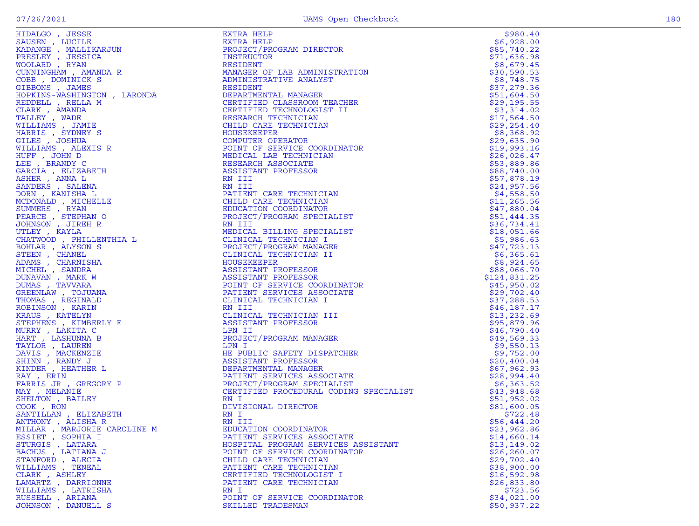| HIDALGO , JESSE<br>SAUSEN , LUCILE<br>KADANGE , MALLIKARJUN<br>PRESLEY , JESSICA<br>WOOLARD , RYAN<br>CUNNINGHAM , AMANDA R<br>COBB , DOMINICK S<br>GIBBONS , JAMES<br>GIBBONS , JAMES<br>COBB , DOMINICK S                                              | EXTRA HELP<br>EXTRA HELP<br>EXTRA HELP<br>INSTRUCTOR RANAMOTECOR<br>INSTRUCTOR<br>ANAMOER OF LAB ADMINISTRATION<br>ADMINISTRATIVE ANALYSIT<br>ADMINISTRATIVE ANALYSIT<br>CERTIFIED TECHNOLOGIST II<br>CERTIFIED TECHNOLOGIST II<br>CERTIFIED TECHNOLOGIST II | \$980.40                   |
|----------------------------------------------------------------------------------------------------------------------------------------------------------------------------------------------------------------------------------------------------------|--------------------------------------------------------------------------------------------------------------------------------------------------------------------------------------------------------------------------------------------------------------|----------------------------|
|                                                                                                                                                                                                                                                          |                                                                                                                                                                                                                                                              | \$6,928.00                 |
|                                                                                                                                                                                                                                                          |                                                                                                                                                                                                                                                              | \$85,740.22                |
|                                                                                                                                                                                                                                                          |                                                                                                                                                                                                                                                              | \$71,636.98                |
|                                                                                                                                                                                                                                                          |                                                                                                                                                                                                                                                              | \$8,679.45                 |
|                                                                                                                                                                                                                                                          |                                                                                                                                                                                                                                                              | \$30,590.53                |
|                                                                                                                                                                                                                                                          |                                                                                                                                                                                                                                                              | \$8,748.75                 |
|                                                                                                                                                                                                                                                          |                                                                                                                                                                                                                                                              | \$37,279.36                |
| HOPKINS-WASHINGTON , LARONDA                                                                                                                                                                                                                             |                                                                                                                                                                                                                                                              | \$51,604.50                |
| REDDELL, RELLA M                                                                                                                                                                                                                                         |                                                                                                                                                                                                                                                              | \$29,195.55                |
| CLARK, AMANDA                                                                                                                                                                                                                                            |                                                                                                                                                                                                                                                              | \$3,314.02                 |
| TALLEY, WADE                                                                                                                                                                                                                                             |                                                                                                                                                                                                                                                              | \$17,564.50                |
| WILLIAMS , JAMIE                                                                                                                                                                                                                                         |                                                                                                                                                                                                                                                              | \$29, 254.40               |
| HARRIS, SYDNEY S                                                                                                                                                                                                                                         |                                                                                                                                                                                                                                                              | \$8,368.92                 |
| GILES , JOSHUA                                                                                                                                                                                                                                           |                                                                                                                                                                                                                                                              | \$29,635.90                |
|                                                                                                                                                                                                                                                          |                                                                                                                                                                                                                                                              | \$19,993.16                |
|                                                                                                                                                                                                                                                          |                                                                                                                                                                                                                                                              | \$26,026.47                |
|                                                                                                                                                                                                                                                          |                                                                                                                                                                                                                                                              | \$53,889.86                |
|                                                                                                                                                                                                                                                          |                                                                                                                                                                                                                                                              | \$88,740.00                |
|                                                                                                                                                                                                                                                          |                                                                                                                                                                                                                                                              | \$57,878.19                |
|                                                                                                                                                                                                                                                          |                                                                                                                                                                                                                                                              | \$24,957.56                |
|                                                                                                                                                                                                                                                          |                                                                                                                                                                                                                                                              | \$4,558.50                 |
|                                                                                                                                                                                                                                                          |                                                                                                                                                                                                                                                              | \$11, 265.56               |
|                                                                                                                                                                                                                                                          |                                                                                                                                                                                                                                                              | \$47,880.04                |
|                                                                                                                                                                                                                                                          |                                                                                                                                                                                                                                                              | \$51,444.35                |
|                                                                                                                                                                                                                                                          |                                                                                                                                                                                                                                                              | \$36,734.41                |
|                                                                                                                                                                                                                                                          |                                                                                                                                                                                                                                                              | \$18,051.66                |
|                                                                                                                                                                                                                                                          |                                                                                                                                                                                                                                                              | \$5,986.63                 |
|                                                                                                                                                                                                                                                          |                                                                                                                                                                                                                                                              | \$47,723.13                |
|                                                                                                                                                                                                                                                          |                                                                                                                                                                                                                                                              | \$6,365.61                 |
|                                                                                                                                                                                                                                                          |                                                                                                                                                                                                                                                              | \$8,924.65                 |
| RIS , SYMMAL<br>ES , JOSHUA<br>TE , JOSHUA<br>TE , JOSHUA<br>P , BRANDY C<br>(CIA , BELIZABETH<br>IER , AIMA L<br>IER , AIMA L<br>IER , SALENA<br>NDERS , RAILEIR<br>MMEERS , RYANTSHA L<br>MMEERS , RYANTA ARCE , STEPHAN O<br>HINSON , JIREH R<br>LATW |                                                                                                                                                                                                                                                              | \$88,066.70                |
|                                                                                                                                                                                                                                                          |                                                                                                                                                                                                                                                              | \$124,831.25               |
|                                                                                                                                                                                                                                                          |                                                                                                                                                                                                                                                              | \$45,950.02                |
|                                                                                                                                                                                                                                                          |                                                                                                                                                                                                                                                              | \$29,702.40                |
|                                                                                                                                                                                                                                                          |                                                                                                                                                                                                                                                              | \$37,288.53                |
|                                                                                                                                                                                                                                                          |                                                                                                                                                                                                                                                              | \$46,187.17                |
|                                                                                                                                                                                                                                                          |                                                                                                                                                                                                                                                              | \$13, 232.69               |
|                                                                                                                                                                                                                                                          |                                                                                                                                                                                                                                                              | \$95,879.96                |
|                                                                                                                                                                                                                                                          |                                                                                                                                                                                                                                                              | \$46,790.40                |
|                                                                                                                                                                                                                                                          |                                                                                                                                                                                                                                                              | \$49,569.33                |
|                                                                                                                                                                                                                                                          |                                                                                                                                                                                                                                                              | \$9,550.13                 |
|                                                                                                                                                                                                                                                          |                                                                                                                                                                                                                                                              | \$9,752.00                 |
|                                                                                                                                                                                                                                                          |                                                                                                                                                                                                                                                              | \$20,400.04                |
|                                                                                                                                                                                                                                                          |                                                                                                                                                                                                                                                              | \$67,962.93                |
|                                                                                                                                                                                                                                                          |                                                                                                                                                                                                                                                              | \$28,994.40                |
|                                                                                                                                                                                                                                                          |                                                                                                                                                                                                                                                              | \$6,363.52                 |
|                                                                                                                                                                                                                                                          |                                                                                                                                                                                                                                                              | \$43,948.68                |
| SHELTON, BAILEY<br>COOK, RON                                                                                                                                                                                                                             |                                                                                                                                                                                                                                                              | \$51,952.02                |
|                                                                                                                                                                                                                                                          |                                                                                                                                                                                                                                                              | \$81,600.05                |
| SANTILLAN, ELIZABETH                                                                                                                                                                                                                                     | RN I<br>RN III                                                                                                                                                                                                                                               | \$722.48                   |
| ANTHONY, ALISHA R                                                                                                                                                                                                                                        | EDUCATION COORDINATOR                                                                                                                                                                                                                                        | \$56,444.20                |
| MILLAR , MARJORIE CAROLINE M                                                                                                                                                                                                                             |                                                                                                                                                                                                                                                              | \$23,962.86                |
| ESSIET, SOPHIA I                                                                                                                                                                                                                                         | PATIENT SERVICES ASSOCIATE<br>HOSPITAL PROGRAM SERVICES ASSISTANT                                                                                                                                                                                            | \$14,660.14<br>\$13,149.02 |
| STURGIS, LATARA<br>BACHUS , LATIANA J                                                                                                                                                                                                                    | POINT OF SERVICE COORDINATOR                                                                                                                                                                                                                                 | \$26, 260.07               |
| STANFORD, ALECIA                                                                                                                                                                                                                                         | CHILD CARE TECHNICIAN                                                                                                                                                                                                                                        | \$29,702.40                |
| WILLIAMS , TENEAL                                                                                                                                                                                                                                        | PATIENT CARE TECHNICIAN                                                                                                                                                                                                                                      | \$38,900.00                |
| CLARK, ASHLEY                                                                                                                                                                                                                                            | CERTIFIED TECHNOLOGIST I                                                                                                                                                                                                                                     | \$16,592.98                |
| LAMARTZ, DARRIONNE                                                                                                                                                                                                                                       | PATIENT CARE TECHNICIAN                                                                                                                                                                                                                                      | \$26,833.80                |
| WILLIAMS, LATRISHA                                                                                                                                                                                                                                       | RN I                                                                                                                                                                                                                                                         | \$723.56                   |
| RUSSELL , ARIANA                                                                                                                                                                                                                                         | POINT OF SERVICE COORDINATOR                                                                                                                                                                                                                                 | \$34,021.00                |
| JOHNSON, DANUELL S                                                                                                                                                                                                                                       | SKILLED TRADESMAN                                                                                                                                                                                                                                            | \$50,937.22                |
|                                                                                                                                                                                                                                                          |                                                                                                                                                                                                                                                              |                            |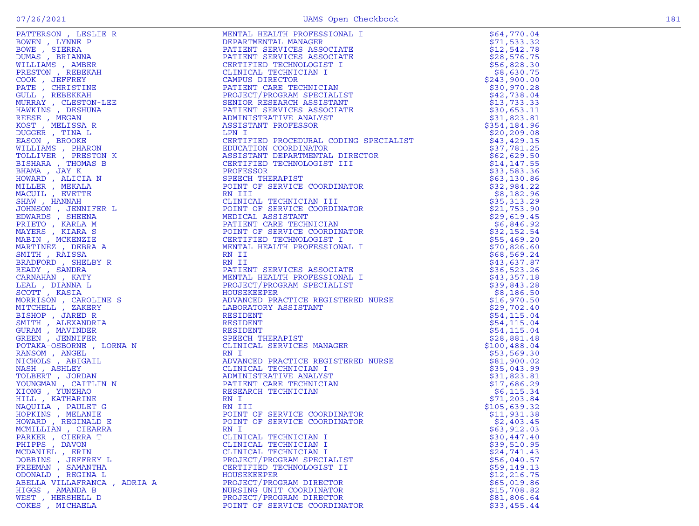| $\sim$ |  |
|--------|--|
|        |  |

| PATTERSON, LESLIE R                                                                                                                                                                                                                                                                                                                                                                                                                                                                                                                                                                                     | MENTAL HEALTH PROFESSIONAL I                                                                                                                                                                                                                     | \$64,770.04  |
|---------------------------------------------------------------------------------------------------------------------------------------------------------------------------------------------------------------------------------------------------------------------------------------------------------------------------------------------------------------------------------------------------------------------------------------------------------------------------------------------------------------------------------------------------------------------------------------------------------|--------------------------------------------------------------------------------------------------------------------------------------------------------------------------------------------------------------------------------------------------|--------------|
|                                                                                                                                                                                                                                                                                                                                                                                                                                                                                                                                                                                                         | DEPARTMENTAL MANAGER                                                                                                                                                                                                                             | \$71,533.32  |
| BOWEN, LYNNE P                                                                                                                                                                                                                                                                                                                                                                                                                                                                                                                                                                                          |                                                                                                                                                                                                                                                  |              |
| BOWE , SIERRA                                                                                                                                                                                                                                                                                                                                                                                                                                                                                                                                                                                           | PATIENT SERVICES ASSOCIATE                                                                                                                                                                                                                       | \$12,542.78  |
| DUMAS, BRIANNA                                                                                                                                                                                                                                                                                                                                                                                                                                                                                                                                                                                          | PATIENT SERVICES ASSOCIATE                                                                                                                                                                                                                       | \$28,576.75  |
|                                                                                                                                                                                                                                                                                                                                                                                                                                                                                                                                                                                                         | CERTIFIED TECHNOLOGIST I                                                                                                                                                                                                                         | \$56,828.30  |
| WILLIAMS, AMBER                                                                                                                                                                                                                                                                                                                                                                                                                                                                                                                                                                                         |                                                                                                                                                                                                                                                  |              |
| PRESTON, REBEKAH                                                                                                                                                                                                                                                                                                                                                                                                                                                                                                                                                                                        | CLINICAL TECHNICIAN I                                                                                                                                                                                                                            | \$8,630.75   |
| COOK, JEFFREY                                                                                                                                                                                                                                                                                                                                                                                                                                                                                                                                                                                           | CAMPUS DIRECTOR                                                                                                                                                                                                                                  | \$243,900.00 |
| PATE , CHRISTINE                                                                                                                                                                                                                                                                                                                                                                                                                                                                                                                                                                                        | PATIENT CARE TECHNICIAN                                                                                                                                                                                                                          |              |
|                                                                                                                                                                                                                                                                                                                                                                                                                                                                                                                                                                                                         |                                                                                                                                                                                                                                                  | \$30,970.28  |
| GULL , REBEKKAH                                                                                                                                                                                                                                                                                                                                                                                                                                                                                                                                                                                         | PROJECT/PROGRAM SPECIALIST                                                                                                                                                                                                                       | \$42,738.04  |
| MURRAY , CLESTON-LEE                                                                                                                                                                                                                                                                                                                                                                                                                                                                                                                                                                                    | SENIOR RESEARCH ASSISTANT                                                                                                                                                                                                                        | \$13,733.33  |
|                                                                                                                                                                                                                                                                                                                                                                                                                                                                                                                                                                                                         |                                                                                                                                                                                                                                                  |              |
|                                                                                                                                                                                                                                                                                                                                                                                                                                                                                                                                                                                                         | PATIENT SERVICES ASSOCIATE                                                                                                                                                                                                                       | \$30,653.11  |
|                                                                                                                                                                                                                                                                                                                                                                                                                                                                                                                                                                                                         | ADMINISTRATIVE ANALYST                                                                                                                                                                                                                           | \$31,823.81  |
|                                                                                                                                                                                                                                                                                                                                                                                                                                                                                                                                                                                                         | ASSISTANT PROFESSOR                                                                                                                                                                                                                              | \$354,184.96 |
| SOLE , MELISSA CLESTON-LEE<br>HAWKINS , CLESTON-LEE<br>HAWKINS , DESHUNA<br>REESE , MELISSA R<br>DUGGER , TINA L<br>EASON , BROCKE<br>WILLIAMS , PHARON<br>TOLLIVER , PRESTON K<br>BISHARA , THOMAS B<br>HOMARD , ALICIA N<br>MILLER , MEKALA<br>MACUIL , EVETT                                                                                                                                                                                                                                                                                                                                         | ASSISTANT PROCEDURAL COING SPECIALIST<br>CERTIFIED PROCEDURAL CODING SPECIALIST<br>CERTIFIED PROCEDURAL CODING<br>ASSISTANT DEPARTMENTAL DIRECTOR<br>CERTIFIED TECHNOLOGIST III<br>SPECIAL SPECIAL SPECIAL CORPORATION<br>FORDIT OF SERVICE COOR |              |
|                                                                                                                                                                                                                                                                                                                                                                                                                                                                                                                                                                                                         | LPN I                                                                                                                                                                                                                                            | \$20, 209.08 |
|                                                                                                                                                                                                                                                                                                                                                                                                                                                                                                                                                                                                         |                                                                                                                                                                                                                                                  | \$43,429.15  |
|                                                                                                                                                                                                                                                                                                                                                                                                                                                                                                                                                                                                         |                                                                                                                                                                                                                                                  | \$37,781.25  |
|                                                                                                                                                                                                                                                                                                                                                                                                                                                                                                                                                                                                         |                                                                                                                                                                                                                                                  |              |
|                                                                                                                                                                                                                                                                                                                                                                                                                                                                                                                                                                                                         |                                                                                                                                                                                                                                                  | \$62,629.50  |
|                                                                                                                                                                                                                                                                                                                                                                                                                                                                                                                                                                                                         |                                                                                                                                                                                                                                                  | \$14, 147.55 |
|                                                                                                                                                                                                                                                                                                                                                                                                                                                                                                                                                                                                         |                                                                                                                                                                                                                                                  | \$33,583.36  |
|                                                                                                                                                                                                                                                                                                                                                                                                                                                                                                                                                                                                         |                                                                                                                                                                                                                                                  |              |
|                                                                                                                                                                                                                                                                                                                                                                                                                                                                                                                                                                                                         |                                                                                                                                                                                                                                                  | \$63,130.86  |
|                                                                                                                                                                                                                                                                                                                                                                                                                                                                                                                                                                                                         |                                                                                                                                                                                                                                                  | \$32,984.22  |
|                                                                                                                                                                                                                                                                                                                                                                                                                                                                                                                                                                                                         |                                                                                                                                                                                                                                                  |              |
|                                                                                                                                                                                                                                                                                                                                                                                                                                                                                                                                                                                                         |                                                                                                                                                                                                                                                  | \$8,182.96   |
|                                                                                                                                                                                                                                                                                                                                                                                                                                                                                                                                                                                                         |                                                                                                                                                                                                                                                  | \$35,313.29  |
|                                                                                                                                                                                                                                                                                                                                                                                                                                                                                                                                                                                                         |                                                                                                                                                                                                                                                  | \$21,753.90  |
|                                                                                                                                                                                                                                                                                                                                                                                                                                                                                                                                                                                                         |                                                                                                                                                                                                                                                  |              |
|                                                                                                                                                                                                                                                                                                                                                                                                                                                                                                                                                                                                         |                                                                                                                                                                                                                                                  | \$29,619.45  |
|                                                                                                                                                                                                                                                                                                                                                                                                                                                                                                                                                                                                         |                                                                                                                                                                                                                                                  | \$6,846.92   |
|                                                                                                                                                                                                                                                                                                                                                                                                                                                                                                                                                                                                         |                                                                                                                                                                                                                                                  | \$32,152.54  |
|                                                                                                                                                                                                                                                                                                                                                                                                                                                                                                                                                                                                         |                                                                                                                                                                                                                                                  |              |
|                                                                                                                                                                                                                                                                                                                                                                                                                                                                                                                                                                                                         |                                                                                                                                                                                                                                                  | \$55,469.20  |
|                                                                                                                                                                                                                                                                                                                                                                                                                                                                                                                                                                                                         |                                                                                                                                                                                                                                                  | \$70,826.60  |
|                                                                                                                                                                                                                                                                                                                                                                                                                                                                                                                                                                                                         |                                                                                                                                                                                                                                                  |              |
|                                                                                                                                                                                                                                                                                                                                                                                                                                                                                                                                                                                                         |                                                                                                                                                                                                                                                  | \$68,569.24  |
|                                                                                                                                                                                                                                                                                                                                                                                                                                                                                                                                                                                                         |                                                                                                                                                                                                                                                  | \$43,637.87  |
|                                                                                                                                                                                                                                                                                                                                                                                                                                                                                                                                                                                                         |                                                                                                                                                                                                                                                  | \$36,523.26  |
|                                                                                                                                                                                                                                                                                                                                                                                                                                                                                                                                                                                                         |                                                                                                                                                                                                                                                  |              |
|                                                                                                                                                                                                                                                                                                                                                                                                                                                                                                                                                                                                         |                                                                                                                                                                                                                                                  | \$43,357.18  |
|                                                                                                                                                                                                                                                                                                                                                                                                                                                                                                                                                                                                         |                                                                                                                                                                                                                                                  | \$39,843.28  |
|                                                                                                                                                                                                                                                                                                                                                                                                                                                                                                                                                                                                         |                                                                                                                                                                                                                                                  |              |
|                                                                                                                                                                                                                                                                                                                                                                                                                                                                                                                                                                                                         |                                                                                                                                                                                                                                                  | \$8,186.50   |
|                                                                                                                                                                                                                                                                                                                                                                                                                                                                                                                                                                                                         |                                                                                                                                                                                                                                                  | \$16,970.50  |
|                                                                                                                                                                                                                                                                                                                                                                                                                                                                                                                                                                                                         |                                                                                                                                                                                                                                                  | \$29,702.40  |
|                                                                                                                                                                                                                                                                                                                                                                                                                                                                                                                                                                                                         |                                                                                                                                                                                                                                                  |              |
|                                                                                                                                                                                                                                                                                                                                                                                                                                                                                                                                                                                                         |                                                                                                                                                                                                                                                  | \$54, 115.04 |
|                                                                                                                                                                                                                                                                                                                                                                                                                                                                                                                                                                                                         |                                                                                                                                                                                                                                                  | \$54,115.04  |
|                                                                                                                                                                                                                                                                                                                                                                                                                                                                                                                                                                                                         |                                                                                                                                                                                                                                                  | \$54, 115.04 |
|                                                                                                                                                                                                                                                                                                                                                                                                                                                                                                                                                                                                         |                                                                                                                                                                                                                                                  |              |
|                                                                                                                                                                                                                                                                                                                                                                                                                                                                                                                                                                                                         |                                                                                                                                                                                                                                                  | \$28,881.48  |
|                                                                                                                                                                                                                                                                                                                                                                                                                                                                                                                                                                                                         |                                                                                                                                                                                                                                                  | \$100,488.04 |
|                                                                                                                                                                                                                                                                                                                                                                                                                                                                                                                                                                                                         |                                                                                                                                                                                                                                                  | \$53,569.30  |
|                                                                                                                                                                                                                                                                                                                                                                                                                                                                                                                                                                                                         | HISTERED NURSE<br>:<br>:T<br>:AN                                                                                                                                                                                                                 |              |
|                                                                                                                                                                                                                                                                                                                                                                                                                                                                                                                                                                                                         |                                                                                                                                                                                                                                                  | \$81,900.02  |
|                                                                                                                                                                                                                                                                                                                                                                                                                                                                                                                                                                                                         |                                                                                                                                                                                                                                                  | \$35,043.99  |
|                                                                                                                                                                                                                                                                                                                                                                                                                                                                                                                                                                                                         | ADMINISTRATIVE ANALYST                                                                                                                                                                                                                           | \$31,823.81  |
|                                                                                                                                                                                                                                                                                                                                                                                                                                                                                                                                                                                                         |                                                                                                                                                                                                                                                  |              |
|                                                                                                                                                                                                                                                                                                                                                                                                                                                                                                                                                                                                         | PATIENT CARE TECHNICIAN                                                                                                                                                                                                                          | \$17,686.29  |
|                                                                                                                                                                                                                                                                                                                                                                                                                                                                                                                                                                                                         |                                                                                                                                                                                                                                                  | \$6,115.34   |
|                                                                                                                                                                                                                                                                                                                                                                                                                                                                                                                                                                                                         |                                                                                                                                                                                                                                                  | \$71,203.84  |
|                                                                                                                                                                                                                                                                                                                                                                                                                                                                                                                                                                                                         |                                                                                                                                                                                                                                                  |              |
|                                                                                                                                                                                                                                                                                                                                                                                                                                                                                                                                                                                                         |                                                                                                                                                                                                                                                  | \$105,639.32 |
|                                                                                                                                                                                                                                                                                                                                                                                                                                                                                                                                                                                                         | POINT OF SERVICE COORDINATOR                                                                                                                                                                                                                     | \$11,931.38  |
|                                                                                                                                                                                                                                                                                                                                                                                                                                                                                                                                                                                                         | POINT OF SERVICE COORDINATOR                                                                                                                                                                                                                     |              |
|                                                                                                                                                                                                                                                                                                                                                                                                                                                                                                                                                                                                         |                                                                                                                                                                                                                                                  | \$2,403.45   |
|                                                                                                                                                                                                                                                                                                                                                                                                                                                                                                                                                                                                         |                                                                                                                                                                                                                                                  | \$63,912.03  |
|                                                                                                                                                                                                                                                                                                                                                                                                                                                                                                                                                                                                         |                                                                                                                                                                                                                                                  | \$30,447.40  |
|                                                                                                                                                                                                                                                                                                                                                                                                                                                                                                                                                                                                         |                                                                                                                                                                                                                                                  |              |
|                                                                                                                                                                                                                                                                                                                                                                                                                                                                                                                                                                                                         |                                                                                                                                                                                                                                                  | \$39,510.95  |
|                                                                                                                                                                                                                                                                                                                                                                                                                                                                                                                                                                                                         |                                                                                                                                                                                                                                                  | \$24,741.43  |
|                                                                                                                                                                                                                                                                                                                                                                                                                                                                                                                                                                                                         | PROJECT/PROGRAM SPECIALIST                                                                                                                                                                                                                       | \$56,040.57  |
|                                                                                                                                                                                                                                                                                                                                                                                                                                                                                                                                                                                                         |                                                                                                                                                                                                                                                  |              |
| FREEMAN, SAMANTHA                                                                                                                                                                                                                                                                                                                                                                                                                                                                                                                                                                                       | CERTIFIED TECHNOLOGIST II                                                                                                                                                                                                                        | \$59,149.13  |
| $\begin{tabular}{c c c} $\begin{array}{c} $\begin{array}{c} $\begin{array}{c} $\begin{array}{c} $\begin{array}{c} $\begin{array}{c} $\begin{array}{c} $\begin{array}{c} $\begin{array}{c} $\begin{array}{c} $\begin{array}{c} $\begin{array}{c} $\begin{array}{c} $\begin{array}{c} $\begin{array}{c} $\begin{array}{c} $\begin{array}{c} $\begin{array}{c} $\begin{array}{c} $\begin{array}{c} $\begin{array}{c} $\begin{array}{c} $\begin{array}{c} $\begin{array}{c} $\begin{array}{c} $\begin{array}{c} $\begin{array}{c} $\begin{array}{c} $\begin{array}{c} $\begin{array}{$<br>ODONALD, REGINA L | HOUSEKEEPER                                                                                                                                                                                                                                      | \$12,216.75  |
| ABELLA VILLAFRANCA, ADRIA A                                                                                                                                                                                                                                                                                                                                                                                                                                                                                                                                                                             | PROJECT/PROGRAM DIRECTOR                                                                                                                                                                                                                         | \$65,019.86  |
|                                                                                                                                                                                                                                                                                                                                                                                                                                                                                                                                                                                                         |                                                                                                                                                                                                                                                  |              |
| HIGGS, AMANDA B                                                                                                                                                                                                                                                                                                                                                                                                                                                                                                                                                                                         | NURSING UNIT COORDINATOR                                                                                                                                                                                                                         | \$15,708.82  |
| WEST, HERSHELL D                                                                                                                                                                                                                                                                                                                                                                                                                                                                                                                                                                                        | PROJECT/PROGRAM DIRECTOR                                                                                                                                                                                                                         | \$81,806.64  |
| COKES, MICHAELA                                                                                                                                                                                                                                                                                                                                                                                                                                                                                                                                                                                         | POINT OF SERVICE COORDINATOR                                                                                                                                                                                                                     | \$33,455.44  |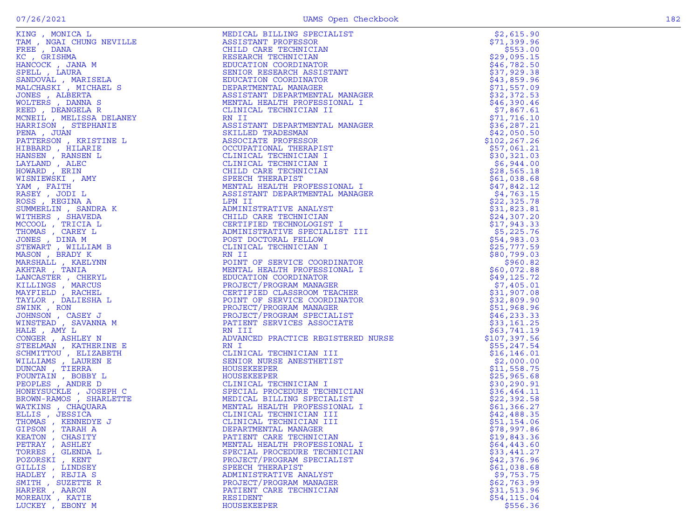|  | I |  |
|--|---|--|

|                                                                                                                                                                                                                                                                 |                                                                                                                                                                                                                                                           | \$2,615.90    |
|-----------------------------------------------------------------------------------------------------------------------------------------------------------------------------------------------------------------------------------------------------------------|-----------------------------------------------------------------------------------------------------------------------------------------------------------------------------------------------------------------------------------------------------------|---------------|
|                                                                                                                                                                                                                                                                 |                                                                                                                                                                                                                                                           | \$71,399.96   |
|                                                                                                                                                                                                                                                                 |                                                                                                                                                                                                                                                           | \$553.00      |
|                                                                                                                                                                                                                                                                 |                                                                                                                                                                                                                                                           | \$29,095.15   |
|                                                                                                                                                                                                                                                                 |                                                                                                                                                                                                                                                           |               |
|                                                                                                                                                                                                                                                                 |                                                                                                                                                                                                                                                           | \$46,782.50   |
|                                                                                                                                                                                                                                                                 |                                                                                                                                                                                                                                                           | \$37,929.38   |
|                                                                                                                                                                                                                                                                 |                                                                                                                                                                                                                                                           | \$43,859.96   |
|                                                                                                                                                                                                                                                                 |                                                                                                                                                                                                                                                           | \$71,557.09   |
|                                                                                                                                                                                                                                                                 |                                                                                                                                                                                                                                                           |               |
|                                                                                                                                                                                                                                                                 |                                                                                                                                                                                                                                                           | \$32,372.53   |
|                                                                                                                                                                                                                                                                 |                                                                                                                                                                                                                                                           | \$46,390.46   |
|                                                                                                                                                                                                                                                                 |                                                                                                                                                                                                                                                           | \$7,867.61    |
|                                                                                                                                                                                                                                                                 |                                                                                                                                                                                                                                                           |               |
|                                                                                                                                                                                                                                                                 |                                                                                                                                                                                                                                                           | \$71,716.10   |
|                                                                                                                                                                                                                                                                 |                                                                                                                                                                                                                                                           | \$36, 287.21  |
|                                                                                                                                                                                                                                                                 |                                                                                                                                                                                                                                                           | \$42,050.50   |
|                                                                                                                                                                                                                                                                 |                                                                                                                                                                                                                                                           | \$102, 267.26 |
|                                                                                                                                                                                                                                                                 |                                                                                                                                                                                                                                                           |               |
|                                                                                                                                                                                                                                                                 |                                                                                                                                                                                                                                                           | \$57,061.21   |
|                                                                                                                                                                                                                                                                 |                                                                                                                                                                                                                                                           | \$30,321.03   |
|                                                                                                                                                                                                                                                                 |                                                                                                                                                                                                                                                           | \$6,944.00    |
|                                                                                                                                                                                                                                                                 |                                                                                                                                                                                                                                                           | \$28,565.18   |
|                                                                                                                                                                                                                                                                 |                                                                                                                                                                                                                                                           |               |
|                                                                                                                                                                                                                                                                 |                                                                                                                                                                                                                                                           | \$61,038.68   |
|                                                                                                                                                                                                                                                                 |                                                                                                                                                                                                                                                           | \$47,842.12   |
|                                                                                                                                                                                                                                                                 |                                                                                                                                                                                                                                                           | \$4,763.15    |
|                                                                                                                                                                                                                                                                 |                                                                                                                                                                                                                                                           |               |
|                                                                                                                                                                                                                                                                 |                                                                                                                                                                                                                                                           | \$22,325.78   |
|                                                                                                                                                                                                                                                                 |                                                                                                                                                                                                                                                           | \$31,823.81   |
|                                                                                                                                                                                                                                                                 |                                                                                                                                                                                                                                                           | \$24,307.20   |
|                                                                                                                                                                                                                                                                 | ADMINISTRATIVE ANALYST<br>CHILD CARE TECHNICIAN<br>CERTIFIED TECHNOLOGIST                                                                                                                                                                                 | \$17,943.33   |
| REED , DÉANGELA R<br>MCNEIL , MELISSA DELANEY<br>HARRISON , STEPHANIE<br>HARRISON , KRISTINE L<br>HIBBARD , HILARIE<br>HIBBARD , RANSEN L<br>HAYLAND , ALEC<br>HOWARD , ERIN<br>VAM , FAITH<br>YAM , FAITH<br>NASEY , JODI L<br>NASEY , JODI L<br>NASE          | LINICAL LEGAL<br>NII CHERATMENTAL MANAGER<br>SSISTANT DEPARTMENTAL MANAGER<br>SSISTANT DEPARTMENTAL<br>ASSOCIATE PROFESSOR<br>OCCUPATIONAL THERAPIST<br>CLINICAL TECHNICIAN I<br>CLINICAL TECHNICIAN I<br>CHERAPIST<br>SPEECH THERAPIST<br>MENTAL         |               |
|                                                                                                                                                                                                                                                                 |                                                                                                                                                                                                                                                           | \$5,225.76    |
|                                                                                                                                                                                                                                                                 |                                                                                                                                                                                                                                                           | \$54,983.03   |
|                                                                                                                                                                                                                                                                 |                                                                                                                                                                                                                                                           | \$25,777.59   |
|                                                                                                                                                                                                                                                                 |                                                                                                                                                                                                                                                           | \$80,799.03   |
|                                                                                                                                                                                                                                                                 |                                                                                                                                                                                                                                                           |               |
|                                                                                                                                                                                                                                                                 |                                                                                                                                                                                                                                                           | \$960.82      |
|                                                                                                                                                                                                                                                                 |                                                                                                                                                                                                                                                           | \$60,072.88   |
|                                                                                                                                                                                                                                                                 |                                                                                                                                                                                                                                                           | \$49,125.72   |
|                                                                                                                                                                                                                                                                 |                                                                                                                                                                                                                                                           | \$7,405.01    |
|                                                                                                                                                                                                                                                                 | RN II<br>POINT OF SERVICE COORDINATOR<br>MENTAL HEALTH PROFESSIONAL I<br>EDUCATION COORDINATOR<br>PROJECT/PROGRAM MANAGER<br>CERTIFIED CLASSROOM TEACHER<br>POINT OF SERVICE COORDINATOR<br>PROJECT/PROGRAM MANAGER<br>PROJECT/PROGRAM MANAGER<br>PROJECT |               |
|                                                                                                                                                                                                                                                                 |                                                                                                                                                                                                                                                           | \$31,907.08   |
|                                                                                                                                                                                                                                                                 |                                                                                                                                                                                                                                                           | \$32,809.90   |
|                                                                                                                                                                                                                                                                 |                                                                                                                                                                                                                                                           | \$51,968.96   |
|                                                                                                                                                                                                                                                                 |                                                                                                                                                                                                                                                           |               |
|                                                                                                                                                                                                                                                                 |                                                                                                                                                                                                                                                           | \$46, 233.33  |
|                                                                                                                                                                                                                                                                 |                                                                                                                                                                                                                                                           | \$33,161.25   |
| HALE, AMY L                                                                                                                                                                                                                                                     |                                                                                                                                                                                                                                                           | \$63,741.19   |
|                                                                                                                                                                                                                                                                 |                                                                                                                                                                                                                                                           | \$107,397.56  |
|                                                                                                                                                                                                                                                                 | RN I                                                                                                                                                                                                                                                      |               |
|                                                                                                                                                                                                                                                                 |                                                                                                                                                                                                                                                           | \$55,247.54   |
|                                                                                                                                                                                                                                                                 | CLINICAL TECHNICIAN III<br>SENIOR NURSE ANESTHETIST<br>HOUSEFERER                                                                                                                                                                                         | \$16, 146.01  |
|                                                                                                                                                                                                                                                                 |                                                                                                                                                                                                                                                           | \$2,000.00    |
|                                                                                                                                                                                                                                                                 | HOUSEKEEPER                                                                                                                                                                                                                                               | \$11,558.75   |
|                                                                                                                                                                                                                                                                 |                                                                                                                                                                                                                                                           | \$25,965.68   |
|                                                                                                                                                                                                                                                                 |                                                                                                                                                                                                                                                           |               |
|                                                                                                                                                                                                                                                                 |                                                                                                                                                                                                                                                           | \$30, 290.91  |
|                                                                                                                                                                                                                                                                 |                                                                                                                                                                                                                                                           | \$36,464.11   |
| WINSTEAD , SAVARNA M<br>HALE , AM L<br>CONGER , ASHLEY N<br>STEELMAN , KATHERINE E<br>SCHMITTOU , ELIZABETH<br>WILLIAMS , LAUREN E<br>DUNCAN , TIERRA<br>POUNTAIN , BOBBY L<br>HONEYSUCKLE , JOSEPH C<br>BROWN-RAMOS , SHARLETTE<br>WATKINS , CHAQUARA<br>ELLIS | HOUSEKEEPER<br>CLINICAL TECHNICIAN I<br>SPECIAL PROCEDURE TECHNICIAN<br>MEDICAL BILLING SPECIALIST<br>MENTAL HEALTH PROFESSIONAL I<br>CLINICAL TECHNICIAN III<br>CLINICAL TECHNICIAN III<br>CLINICAL TECHNICIAN III<br>CLINICAL TECHNICIAN III            | \$22,392.58   |
|                                                                                                                                                                                                                                                                 |                                                                                                                                                                                                                                                           | \$61,366.27   |
|                                                                                                                                                                                                                                                                 |                                                                                                                                                                                                                                                           |               |
|                                                                                                                                                                                                                                                                 |                                                                                                                                                                                                                                                           | \$42,488.35   |
|                                                                                                                                                                                                                                                                 |                                                                                                                                                                                                                                                           | \$51,154.06   |
| GIPSON, TARAH A                                                                                                                                                                                                                                                 | DEPARTMENTAL MANAGER                                                                                                                                                                                                                                      | \$78,997.86   |
| KEATON, CHASITY                                                                                                                                                                                                                                                 | PATIENT CARE TECHNICIAN                                                                                                                                                                                                                                   | \$19,843.36   |
|                                                                                                                                                                                                                                                                 |                                                                                                                                                                                                                                                           |               |
| PETRAY , ASHLEY                                                                                                                                                                                                                                                 | MENTAL HEALTH PROFESSIONAL I                                                                                                                                                                                                                              | \$64,443.60   |
| TORRES , GLENDA L                                                                                                                                                                                                                                               | SPECIAL PROCEDURE TECHNICIAN                                                                                                                                                                                                                              | \$33,441.27   |
| POZORSKI, KENT                                                                                                                                                                                                                                                  | PROJECT/PROGRAM SPECIALIST                                                                                                                                                                                                                                | \$42,376.96   |
| GILLIS, LINDSEY                                                                                                                                                                                                                                                 | SPEECH THERAPIST                                                                                                                                                                                                                                          | \$61,038.68   |
|                                                                                                                                                                                                                                                                 |                                                                                                                                                                                                                                                           |               |
| HADLEY, REJIA S                                                                                                                                                                                                                                                 | ADMINISTRATIVE ANALYST                                                                                                                                                                                                                                    | \$9,753.75    |
| SMITH, SUZETTE R                                                                                                                                                                                                                                                | PROJECT/PROGRAM MANAGER                                                                                                                                                                                                                                   | \$62,763.99   |
| HARPER, AARON                                                                                                                                                                                                                                                   | PATIENT CARE TECHNICIAN                                                                                                                                                                                                                                   | \$31,513.96   |
| MOREAUX , KATIE                                                                                                                                                                                                                                                 | RESIDENT                                                                                                                                                                                                                                                  | \$54,115.04   |
|                                                                                                                                                                                                                                                                 |                                                                                                                                                                                                                                                           |               |
| LUCKEY, EBONY M                                                                                                                                                                                                                                                 | HOUSEKEEPER                                                                                                                                                                                                                                               | \$556.36      |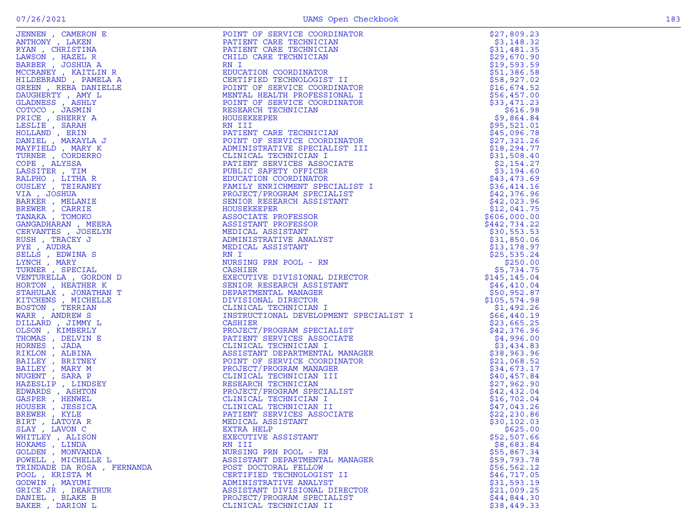| JENNEW , CARECON HERENA MARINA (AMERICAN CRISTER)<br>ANTHONY , LAKEN LAMSON , RAZEL R<br>AMSON , RAZEL R<br>MCREBER , JOSHUA A R<br>MCCRANEY , KAITLIN R<br>MCCRANEY , MATELLE DAMIELLE DAMIELLE DAMISES , ASHLY<br>CLADNESS , ASHLY<br>CLADNESS , | FOLIM OF ERIVITE CONDITION<br>FAITENT CARE TECHNICIAN<br>PATTEMP CARE TECHNICIAN<br>FAITENT CARE TECHNICIAN<br>ENTERT CARE TECHNICIAN<br>ENTERT CARE TECHNICIAN<br>ENTERT DE FROMETATION<br>CONTINUES EXECUTED AND TREVIT CONDITION CONDITI |              |
|----------------------------------------------------------------------------------------------------------------------------------------------------------------------------------------------------------------------------------------------------|---------------------------------------------------------------------------------------------------------------------------------------------------------------------------------------------------------------------------------------------|--------------|
|                                                                                                                                                                                                                                                    |                                                                                                                                                                                                                                             |              |
|                                                                                                                                                                                                                                                    |                                                                                                                                                                                                                                             |              |
|                                                                                                                                                                                                                                                    |                                                                                                                                                                                                                                             |              |
|                                                                                                                                                                                                                                                    |                                                                                                                                                                                                                                             |              |
|                                                                                                                                                                                                                                                    |                                                                                                                                                                                                                                             |              |
|                                                                                                                                                                                                                                                    |                                                                                                                                                                                                                                             |              |
|                                                                                                                                                                                                                                                    |                                                                                                                                                                                                                                             |              |
|                                                                                                                                                                                                                                                    |                                                                                                                                                                                                                                             |              |
|                                                                                                                                                                                                                                                    |                                                                                                                                                                                                                                             |              |
|                                                                                                                                                                                                                                                    |                                                                                                                                                                                                                                             |              |
|                                                                                                                                                                                                                                                    |                                                                                                                                                                                                                                             |              |
|                                                                                                                                                                                                                                                    |                                                                                                                                                                                                                                             |              |
|                                                                                                                                                                                                                                                    |                                                                                                                                                                                                                                             |              |
|                                                                                                                                                                                                                                                    |                                                                                                                                                                                                                                             |              |
|                                                                                                                                                                                                                                                    |                                                                                                                                                                                                                                             |              |
|                                                                                                                                                                                                                                                    |                                                                                                                                                                                                                                             |              |
|                                                                                                                                                                                                                                                    |                                                                                                                                                                                                                                             |              |
|                                                                                                                                                                                                                                                    |                                                                                                                                                                                                                                             |              |
|                                                                                                                                                                                                                                                    |                                                                                                                                                                                                                                             |              |
|                                                                                                                                                                                                                                                    |                                                                                                                                                                                                                                             |              |
|                                                                                                                                                                                                                                                    |                                                                                                                                                                                                                                             |              |
|                                                                                                                                                                                                                                                    |                                                                                                                                                                                                                                             |              |
|                                                                                                                                                                                                                                                    |                                                                                                                                                                                                                                             |              |
|                                                                                                                                                                                                                                                    |                                                                                                                                                                                                                                             |              |
|                                                                                                                                                                                                                                                    |                                                                                                                                                                                                                                             |              |
|                                                                                                                                                                                                                                                    |                                                                                                                                                                                                                                             |              |
|                                                                                                                                                                                                                                                    |                                                                                                                                                                                                                                             |              |
|                                                                                                                                                                                                                                                    |                                                                                                                                                                                                                                             |              |
|                                                                                                                                                                                                                                                    |                                                                                                                                                                                                                                             |              |
|                                                                                                                                                                                                                                                    |                                                                                                                                                                                                                                             |              |
|                                                                                                                                                                                                                                                    |                                                                                                                                                                                                                                             |              |
|                                                                                                                                                                                                                                                    |                                                                                                                                                                                                                                             |              |
|                                                                                                                                                                                                                                                    |                                                                                                                                                                                                                                             |              |
|                                                                                                                                                                                                                                                    |                                                                                                                                                                                                                                             |              |
|                                                                                                                                                                                                                                                    |                                                                                                                                                                                                                                             |              |
|                                                                                                                                                                                                                                                    |                                                                                                                                                                                                                                             |              |
|                                                                                                                                                                                                                                                    |                                                                                                                                                                                                                                             |              |
|                                                                                                                                                                                                                                                    |                                                                                                                                                                                                                                             |              |
|                                                                                                                                                                                                                                                    |                                                                                                                                                                                                                                             |              |
|                                                                                                                                                                                                                                                    |                                                                                                                                                                                                                                             |              |
|                                                                                                                                                                                                                                                    |                                                                                                                                                                                                                                             |              |
|                                                                                                                                                                                                                                                    |                                                                                                                                                                                                                                             |              |
|                                                                                                                                                                                                                                                    |                                                                                                                                                                                                                                             |              |
|                                                                                                                                                                                                                                                    |                                                                                                                                                                                                                                             |              |
|                                                                                                                                                                                                                                                    |                                                                                                                                                                                                                                             |              |
|                                                                                                                                                                                                                                                    |                                                                                                                                                                                                                                             |              |
|                                                                                                                                                                                                                                                    |                                                                                                                                                                                                                                             |              |
|                                                                                                                                                                                                                                                    |                                                                                                                                                                                                                                             |              |
|                                                                                                                                                                                                                                                    |                                                                                                                                                                                                                                             |              |
|                                                                                                                                                                                                                                                    |                                                                                                                                                                                                                                             |              |
|                                                                                                                                                                                                                                                    |                                                                                                                                                                                                                                             |              |
|                                                                                                                                                                                                                                                    |                                                                                                                                                                                                                                             |              |
| SLAY, LAVON C                                                                                                                                                                                                                                      | EXTRA HELP                                                                                                                                                                                                                                  | \$625.00     |
| WHITLEY, ALISON                                                                                                                                                                                                                                    | EXECUTIVE ASSISTANT                                                                                                                                                                                                                         | \$52,507.66  |
| HOKAMS, LINDA                                                                                                                                                                                                                                      | RN III                                                                                                                                                                                                                                      | \$8,683.84   |
| GOLDEN, MONVANDA                                                                                                                                                                                                                                   | NURSING PRN POOL - RN                                                                                                                                                                                                                       | \$55,867.34  |
| POWELL, MICHELLE L                                                                                                                                                                                                                                 | ASSISTANT DEPARTMENTAL MANAGER                                                                                                                                                                                                              | \$59,793.78  |
| TRINDADE DA ROSA, FERNANDA                                                                                                                                                                                                                         | POST DOCTORAL FELLOW                                                                                                                                                                                                                        | \$56, 562.12 |
| POOL, KRISTA M                                                                                                                                                                                                                                     | CERTIFIED TECHNOLOGIST II                                                                                                                                                                                                                   | \$46,717.05  |
| GODWIN, MAYUMI                                                                                                                                                                                                                                     | ADMINISTRATIVE ANALYST                                                                                                                                                                                                                      | \$31,593.19  |
| GRICE JR, DEARTHUR                                                                                                                                                                                                                                 | ASSISTANT DIVISIONAL DIRECTOR                                                                                                                                                                                                               | \$21,009.25  |
| DANIEL , BLAKE B                                                                                                                                                                                                                                   | PROJECT/PROGRAM SPECIALIST                                                                                                                                                                                                                  | \$44,844.30  |
| BAKER, DARION L                                                                                                                                                                                                                                    | CLINICAL TECHNICIAN II                                                                                                                                                                                                                      | \$38,449.33  |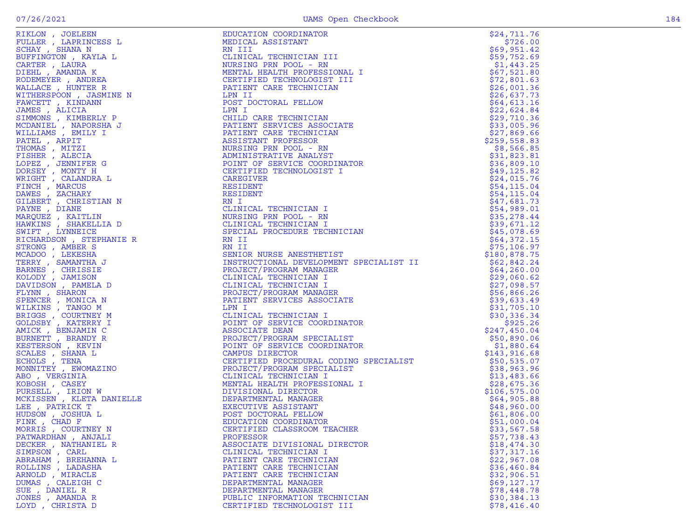| LODDER ' DULKIMODOO D                                                           | MONTOUR UNDINITY                                                                                                                                                                                                                                | 720.00        |
|---------------------------------------------------------------------------------|-------------------------------------------------------------------------------------------------------------------------------------------------------------------------------------------------------------------------------------------------|---------------|
| SCHAY, SHANA N                                                                  | RN III                                                                                                                                                                                                                                          | \$69,951.42   |
| BUFFINGTON , KAYLA L                                                            | CLINICAL TECHNICIAN III                                                                                                                                                                                                                         | \$59,752.69   |
| CARTER, LAURA                                                                   |                                                                                                                                                                                                                                                 | \$1,443.25    |
| DIEHL , AMANDA K                                                                |                                                                                                                                                                                                                                                 | \$67,521.80   |
|                                                                                 | CLINICAL TECHNICIAN III<br>NURSING PRN POOL - RN<br>MENTAL HEALTH PROFESSIONAL I<br>CERTIFIED TECHNOLOGIST III<br>PATIENT CARE TECHNICIAN<br>LPN II                                                                                             |               |
| RODEMEYER, ANDREA                                                               |                                                                                                                                                                                                                                                 | \$72,801.63   |
| WALLACE, HUNTER R                                                               |                                                                                                                                                                                                                                                 | \$26,001.36   |
| WITHERSPOON, JASMINE N                                                          |                                                                                                                                                                                                                                                 | \$26,637.73   |
| FAWCETT, KINDANN                                                                | POST DOCTORAL FELLOW                                                                                                                                                                                                                            | \$64,613.16   |
| JAMES , ALICIA                                                                  | LPN I                                                                                                                                                                                                                                           | \$22,624.84   |
| SIMMONS , KIMBERLY P                                                            |                                                                                                                                                                                                                                                 | \$29,710.36   |
|                                                                                 |                                                                                                                                                                                                                                                 | \$33,005.96   |
| MCDANIEL , NAPORSHA J                                                           | LPN I<br>CHILD CARE TECHNICIAN<br>PATIENT SERVICES ASSOCIATE<br>PATIENT CARE TECHNICIAN<br>ASSISTANT PROFESSOR                                                                                                                                  |               |
| WILLIAMS, EMILY I                                                               |                                                                                                                                                                                                                                                 | \$27,869.66   |
| PATEL, ARPIT                                                                    | ASSISTANT PROFESSOR                                                                                                                                                                                                                             | \$259,558.83  |
| THOMAS, MITZI                                                                   | NURSING PRN POOL - RN                                                                                                                                                                                                                           | \$8,566.85    |
| FISHER, ALECIA                                                                  | ADMINISTRATIVE ANALYST                                                                                                                                                                                                                          | \$31,823.81   |
| LOPEZ , JENNIFER G<br>DORSEY , MONTY H                                          | POINT OF SERVICE COORDINATOR                                                                                                                                                                                                                    | \$36,809.10   |
|                                                                                 | CERTIFIED TECHNOLOGIST I                                                                                                                                                                                                                        | \$49, 125.82  |
|                                                                                 | CAREGIVER                                                                                                                                                                                                                                       |               |
| WRIGHT, CALANDRA L                                                              |                                                                                                                                                                                                                                                 | \$24,015.76   |
| FINCH, MARCUS                                                                   | RESIDENT                                                                                                                                                                                                                                        | \$54,115.04   |
| DAWES , ZACHARY<br>GILBERT , CHRISTIAN N                                        | RESIDENT                                                                                                                                                                                                                                        | \$54,115.04   |
|                                                                                 | RN I                                                                                                                                                                                                                                            | \$47,681.73   |
|                                                                                 |                                                                                                                                                                                                                                                 | \$54,989.01   |
|                                                                                 |                                                                                                                                                                                                                                                 | \$35,278.44   |
|                                                                                 |                                                                                                                                                                                                                                                 | \$39,671.12   |
| PAYNE , DIANE<br>MARQUEZ , KAITLIN<br>HAWKINS , SHAKELLIA D<br>SWIFT , LYNNEICE | CLINICAL TECHNICIAN I<br>NURSING PRN POOL - RN<br>CLINICAL TECHNICIAN I<br>SPECIAL PROCEDURE TECH<br>SPECIAL PROCEDURE TECHNICIAN                                                                                                               | \$45,078.69   |
|                                                                                 |                                                                                                                                                                                                                                                 |               |
| RICHARDSON, STEPHANIE R                                                         | RN II                                                                                                                                                                                                                                           | \$64,372.15   |
| STRONG, AMBER S                                                                 | RN II                                                                                                                                                                                                                                           | \$75,106.97   |
| MCADOO , LEKESHA<br>TERRY , SAMANTHA J                                          | SENIOR NURSE ANESTHETIST                                                                                                                                                                                                                        | \$180,878.75  |
|                                                                                 | SENIOR NORSE ANESIMEIISI<br>INSTRUCTIONAL DEVELOPMENT SPECIALIST II<br>INOTECT/DOCRAM MANACED                                                                                                                                                   | \$62,842.24   |
| BARNES , CHRISSIE<br>KOLODY , JAMISON                                           | PROJECT/PROGRAM MANAGER                                                                                                                                                                                                                         | \$64,260.00   |
|                                                                                 | CLINICAL TECHNICIAN I                                                                                                                                                                                                                           | \$29,060.62   |
| DAVIDSON, PAMELA D                                                              | CLINICAL TECHNICIAN I                                                                                                                                                                                                                           | \$27,098.57   |
| FLYNN, SHARON                                                                   | PROJECT/PROGRAM MANAGER                                                                                                                                                                                                                         | \$56,866.26   |
| SPENCER , MONICA N                                                              | PATIENT SERVICES ASSOCIATE                                                                                                                                                                                                                      | \$39,633.49   |
| WILKINS , TANGO M                                                               | LPN I                                                                                                                                                                                                                                           |               |
|                                                                                 |                                                                                                                                                                                                                                                 | \$31,705.10   |
| BRIGGS , COURTNEY M<br>GOLDSBY , KATERRY I                                      | CLINICAL TECHNICIAN I                                                                                                                                                                                                                           | \$30,336.34   |
|                                                                                 | POINT OF SERVICE COORDINATOR                                                                                                                                                                                                                    | \$925.26      |
| AMICK , BENJAMIN C<br>BURNETT , BRANDY R                                        | ASSOCIATE DEAN                                                                                                                                                                                                                                  | \$247,450.04  |
|                                                                                 | PROJECT/PROGRAM SPECIALIST                                                                                                                                                                                                                      | \$50,890.06   |
| KESTERSON, KEVIN                                                                | POINT OF SERVICE COORDINATOR                                                                                                                                                                                                                    | \$1,880.64    |
| SCALES, SHANA L                                                                 | CAMPUS DIRECTOR                                                                                                                                                                                                                                 | \$143,916.68  |
| ECHOLS, TENA                                                                    | CERTIFIED PROCEDURAL CODING SPECIALIST                                                                                                                                                                                                          | \$50,535.07   |
| MONNITEY, EWOMAZINO                                                             | CERTIFIED PROCEDURAL COLINS STER<br>PROJECT/PROGRAM SPECIALIST<br>CLINICAL TECHNICIAN I<br>MENTAL HEALTH PROFESSIONAL I                                                                                                                         | \$38,963.96   |
| ABO , VERGINIA                                                                  |                                                                                                                                                                                                                                                 | \$13,483.66   |
| KOBOSH , CASEY                                                                  |                                                                                                                                                                                                                                                 |               |
|                                                                                 |                                                                                                                                                                                                                                                 | \$28,675.36   |
|                                                                                 |                                                                                                                                                                                                                                                 | \$106, 575.00 |
| KOBOSH , CASEY<br>PURSELL , IRION W<br>MCKISSEN , KLETA DANIELLE                |                                                                                                                                                                                                                                                 | \$64,905.88   |
| LEE, PATRICK T<br>HUDSON , JOSHUA L<br>HUDSON , JOSHUA L<br>FINK , CHAD F       |                                                                                                                                                                                                                                                 | \$48,960.00   |
|                                                                                 |                                                                                                                                                                                                                                                 | \$61,806.00   |
| FINK, CHAD F                                                                    |                                                                                                                                                                                                                                                 | \$51,000.04   |
| MORRIS, COURTNEY N                                                              |                                                                                                                                                                                                                                                 | \$33,567.58   |
| PATWARDHAN, ANJALI                                                              |                                                                                                                                                                                                                                                 | \$57,738.43   |
| DECKER, NATHANIEL R                                                             |                                                                                                                                                                                                                                                 | \$18,474.30   |
|                                                                                 | CLINICAL TECHNICIAN I<br>MENTAL HEALTH PROFESSIONAL I<br>DIVISIONAL DIRECTOR<br>DEPARTMENTAL MANAGER<br>EXECUTIVE ASISTANT<br>POST DOCTORAL FELLOW<br>EDUCATION COORDINATOR<br>CERTIFIED CLASSROOM TEACHER<br>PROFESSOR<br>ASSOCIATE DIVISIONAL |               |
| SIMPSON, CARL                                                                   |                                                                                                                                                                                                                                                 | \$37,317.16   |
| ABRAHAM , BREHANNA L                                                            |                                                                                                                                                                                                                                                 | \$22,967.08   |
| ROLLINS, LADASHA                                                                |                                                                                                                                                                                                                                                 | \$36,460.84   |
| ARNOLD, MIRACLE                                                                 |                                                                                                                                                                                                                                                 | \$32,906.51   |
| DUMAS, CALEIGH C                                                                |                                                                                                                                                                                                                                                 | \$69,127.17   |
| SUE , DANIEL R                                                                  | FIRITE THEORET PLANAGER<br>PUBLIC INFORMATION TECHNICIAN                                                                                                                                                                                        | \$78,448.78   |
| TONES AMANDA R                                                                  |                                                                                                                                                                                                                                                 | 530.384.13    |

| RIKLON, JOELEEN                                                                                                                                             | EDUCATION COORDINATOR                                                                                                                                                                                                                                  | \$24,711.76                |
|-------------------------------------------------------------------------------------------------------------------------------------------------------------|--------------------------------------------------------------------------------------------------------------------------------------------------------------------------------------------------------------------------------------------------------|----------------------------|
| FULLER, LAPRINCESS L                                                                                                                                        | MEDICAL ASSISTANT                                                                                                                                                                                                                                      | \$726.00                   |
| SCHAY, SHANA N                                                                                                                                              | RN III                                                                                                                                                                                                                                                 | \$69,951.42                |
| BUFFINGTON, KAYLA L                                                                                                                                         | CLINICAL TECHNICIAN III                                                                                                                                                                                                                                | \$59,752.69                |
| CARTER, LAURA                                                                                                                                               | NURSING PRN POOL - RN                                                                                                                                                                                                                                  | \$1,443.25                 |
| DIEHL , AMANDA K                                                                                                                                            | MENTAL HEALTH PROFESSIONAL I                                                                                                                                                                                                                           | \$67,521.80                |
| RODEMEYER, ANDREA                                                                                                                                           | CERTIFIED TECHNOLOGIST III                                                                                                                                                                                                                             | \$72,801.63                |
| WALLACE, HUNTER R                                                                                                                                           | PATIENT CARE TECHNICIAN                                                                                                                                                                                                                                | \$26,001.36                |
| WITHERSPOON , JASMINE N                                                                                                                                     | LPN II                                                                                                                                                                                                                                                 | \$26,637.73                |
| FAWCETT, KINDANN                                                                                                                                            | POST DOCTORAL FELLOW                                                                                                                                                                                                                                   | \$64,613.16                |
| $\begin{array}{c}\n\mathbf{1} & \mathbf{N} \\ \mathbf{N} & \mathbf{N} \\ \mathbf{N} & \mathbf{N} \\ \mathbf{N} & \mathbf{N}\n\end{array}$<br>JAMES , ALICIA | LPN I                                                                                                                                                                                                                                                  | \$22,624.84                |
| SIMMONS , KIMBERLY P                                                                                                                                        | CHILD CARE TECHNICIAN                                                                                                                                                                                                                                  | \$29,710.36                |
| MCDANIEL , NAPORSHA J                                                                                                                                       | PATIENT SERVICES ASSOCIATE                                                                                                                                                                                                                             | \$33,005.96                |
| WILLIAMS , EMILY I                                                                                                                                          | PATIENT CARE TECHNICIAN                                                                                                                                                                                                                                | \$27,869.66                |
| PATEL, ARPIT                                                                                                                                                | ASSISTANT PROFESSOR                                                                                                                                                                                                                                    | \$259,558.83               |
| THOMAS , MITZI                                                                                                                                              | NURSING PRN POOL - RN                                                                                                                                                                                                                                  | \$8,566.85                 |
| FISHER , ALECIA<br>LOPEZ, JENNIFER G                                                                                                                        | ADMINISTRATIVE ANALYST<br>POINT OF SERVICE COORDINATOR                                                                                                                                                                                                 | \$31,823.81<br>\$36,809.10 |
|                                                                                                                                                             | CERTIFIED TECHNOLOGIST I                                                                                                                                                                                                                               | \$49, 125.82               |
| DORSEY , MONTY H                                                                                                                                            | CAREGIVER                                                                                                                                                                                                                                              | \$24,015.76                |
| WRIGHT , CALANDRA L<br>FINCH, MARCUS                                                                                                                        | RESIDENT                                                                                                                                                                                                                                               | \$54,115.04                |
| DAWES , ZACHARY                                                                                                                                             | RESIDENT                                                                                                                                                                                                                                               | \$54,115.04                |
| GILBERT , CHRISTIAN N                                                                                                                                       | RN I                                                                                                                                                                                                                                                   | \$47,681.73                |
|                                                                                                                                                             |                                                                                                                                                                                                                                                        | \$54,989.01                |
|                                                                                                                                                             |                                                                                                                                                                                                                                                        | \$35,278.44                |
|                                                                                                                                                             |                                                                                                                                                                                                                                                        | \$39,671.12                |
|                                                                                                                                                             |                                                                                                                                                                                                                                                        | \$45,078.69                |
|                                                                                                                                                             |                                                                                                                                                                                                                                                        | \$64,372.15                |
|                                                                                                                                                             |                                                                                                                                                                                                                                                        | \$75,106.97                |
|                                                                                                                                                             | KN 11<br>SENIOR NURSE ANESTHETIST                                                                                                                                                                                                                      | \$180,878.75               |
|                                                                                                                                                             | INSTRUCTIONAL DEVELOPMENT SPECIALIST II                                                                                                                                                                                                                | \$62,842.24                |
|                                                                                                                                                             |                                                                                                                                                                                                                                                        | \$64, 260.00               |
|                                                                                                                                                             | PROJECT/PROGRAM MANAGER<br>CLINICAL TECHNICIAN I<br>CLINICAL TECHNICIAN I<br>PROJECT/PROGRAM MANAGER<br>PATIENT SERVICES ASSOCIATE<br>LPN I                                                                                                            | \$29,060.62                |
|                                                                                                                                                             |                                                                                                                                                                                                                                                        | \$27,098.57                |
|                                                                                                                                                             |                                                                                                                                                                                                                                                        | \$56,866.26                |
|                                                                                                                                                             |                                                                                                                                                                                                                                                        | \$39,633.49                |
|                                                                                                                                                             |                                                                                                                                                                                                                                                        | \$31,705.10                |
|                                                                                                                                                             |                                                                                                                                                                                                                                                        | \$30,336.34                |
|                                                                                                                                                             | DOINT OF SERVICE COOKDINING<br>ASSOCIATE DEAN<br>PROJECT/PROGRAM SPECIALIST<br>COOKUME OF SERVICE COORDINATOR                                                                                                                                          | \$925.26                   |
|                                                                                                                                                             |                                                                                                                                                                                                                                                        | \$247,450.04               |
|                                                                                                                                                             |                                                                                                                                                                                                                                                        | \$50,890.06                |
|                                                                                                                                                             |                                                                                                                                                                                                                                                        | \$1,880.64                 |
|                                                                                                                                                             |                                                                                                                                                                                                                                                        | \$143,916.68               |
|                                                                                                                                                             | CERTIFIED PROCEDURAL CODING SPECIALIST<br>CERTIFIED PROCEDURAL CODING SPECIALIST<br>CLINICAL TECHNICIAN I<br>MENTAL HEALTH PROFESSIONAL I<br>DIVISIONAL DIRECTOR<br>DEPARTMENTAL MANAGER<br>EXECUTIVE ASSISTANT<br>POST DOCTORAL FELLOW<br>EDUCATION C | \$50,535.07                |
|                                                                                                                                                             |                                                                                                                                                                                                                                                        | \$38,963.96                |
|                                                                                                                                                             |                                                                                                                                                                                                                                                        | \$13,483.66                |
|                                                                                                                                                             |                                                                                                                                                                                                                                                        | \$28,675.36                |
|                                                                                                                                                             |                                                                                                                                                                                                                                                        | \$106, 575.00              |
|                                                                                                                                                             |                                                                                                                                                                                                                                                        | \$64,905.88                |
|                                                                                                                                                             |                                                                                                                                                                                                                                                        | \$48,960.00                |
|                                                                                                                                                             |                                                                                                                                                                                                                                                        | \$61,806.00                |
|                                                                                                                                                             |                                                                                                                                                                                                                                                        | \$51,000.04                |
| MORRIS , COURTNEY N                                                                                                                                         | EXECUTIVE ASSISTANT<br>POST DOCTORAL FELLOW<br>EDUCATION COORDINATOR<br>CERTIFIED CLASSROOM TEACHER<br>PROFECED                                                                                                                                        | \$33,567.58                |
| PATWARDHAN, ANJALI<br>DECKER, NATHANIEL R                                                                                                                   | PROFESSOR<br>ASSOCIATE DIVISIONAL DIRECTOR                                                                                                                                                                                                             | \$57,738.43<br>\$18,474.30 |
|                                                                                                                                                             | CLINICAL TECHNICIAN I                                                                                                                                                                                                                                  | \$37,317.16                |
| SIMPSON , CARL<br>ABRAHAM , BREHANNA L                                                                                                                      | PATIENT CARE TECHNICIAN                                                                                                                                                                                                                                | \$22,967.08                |
| ROLLINS, LADASHA                                                                                                                                            | PATIENT CARE TECHNICIAN                                                                                                                                                                                                                                | \$36,460.84                |
| ARNOLD, MIRACLE                                                                                                                                             | PATIENT CARE TECHNICIAN                                                                                                                                                                                                                                | \$32,906.51                |
| DUMAS , CALEIGH C                                                                                                                                           | DEPARTMENTAL MANAGER                                                                                                                                                                                                                                   | \$69,127.17                |
| SUE , DANIEL R                                                                                                                                              | DEPARTMENTAL MANAGER                                                                                                                                                                                                                                   | \$78,448.78                |
| JONES , AMANDA R                                                                                                                                            | PUBLIC INFORMATION TECHNICIAN                                                                                                                                                                                                                          | \$30,384.13                |
| LOYD, CHRISTA D                                                                                                                                             | CERTIFIED TECHNOLOGIST III                                                                                                                                                                                                                             | \$78,416.40                |
|                                                                                                                                                             |                                                                                                                                                                                                                                                        |                            |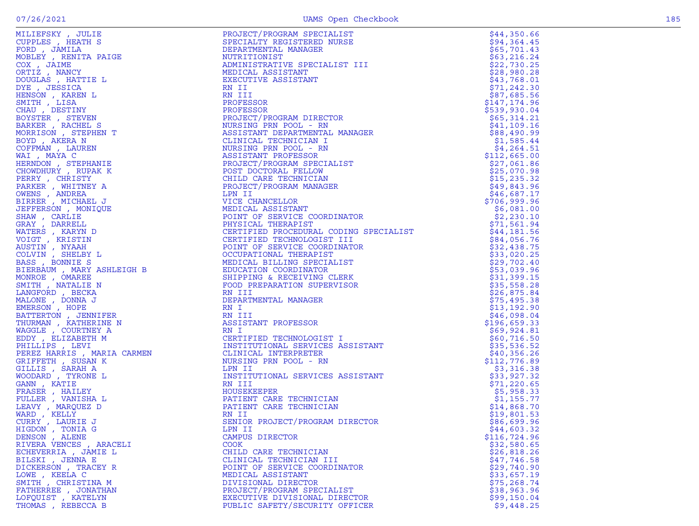|  |   | .,     |
|--|---|--------|
|  | × | M<br>۹ |
|  |   |        |

| MILIEFSKY , JULIE                                                                                                                                                                                                                                                  | PROJECT/PROGRAM SPECIALIST                                                                                                                                                                                                                     | \$44,350.66               |
|--------------------------------------------------------------------------------------------------------------------------------------------------------------------------------------------------------------------------------------------------------------------|------------------------------------------------------------------------------------------------------------------------------------------------------------------------------------------------------------------------------------------------|---------------------------|
| CUPPLES, HEATH S                                                                                                                                                                                                                                                   | SPECIALTY REGISTERED NURSE                                                                                                                                                                                                                     | \$94,364.45               |
| FORD, JAMILA                                                                                                                                                                                                                                                       | DEPARTMENTAL MANAGER                                                                                                                                                                                                                           | \$65,701.43               |
| NOBLEY, RENITA PAIGE<br>COX , JAIME<br>ORTIZ , NANCY                                                                                                                                                                                                               |                                                                                                                                                                                                                                                |                           |
|                                                                                                                                                                                                                                                                    | NUTRITIONIST                                                                                                                                                                                                                                   | \$63,216.24               |
|                                                                                                                                                                                                                                                                    | ADMINISTRATIVE SPECIALIST III                                                                                                                                                                                                                  | \$22,730.25               |
|                                                                                                                                                                                                                                                                    | MEDICAL ASSISTANT                                                                                                                                                                                                                              | \$28,980.28               |
|                                                                                                                                                                                                                                                                    |                                                                                                                                                                                                                                                |                           |
| DOUGLAS, HATTIE L                                                                                                                                                                                                                                                  | EXECUTIVE ASSISTANT                                                                                                                                                                                                                            | \$43,768.01               |
| DYE , JESSICA                                                                                                                                                                                                                                                      | RN II                                                                                                                                                                                                                                          | \$71,242.30               |
| HENSON, KAREN L                                                                                                                                                                                                                                                    | RN III                                                                                                                                                                                                                                         | \$87,685.56               |
|                                                                                                                                                                                                                                                                    | PROFESSOR                                                                                                                                                                                                                                      | \$147,174.96              |
| SMITH, LISA                                                                                                                                                                                                                                                        |                                                                                                                                                                                                                                                |                           |
| CHAU, DESTINY                                                                                                                                                                                                                                                      | PROFESSOR                                                                                                                                                                                                                                      | \$539,930.04              |
| BOYSTER, STEVEN                                                                                                                                                                                                                                                    | PROJECT/PROGRAM DIRECTOR                                                                                                                                                                                                                       | \$65,314.21               |
| BARKER , RACHEL S                                                                                                                                                                                                                                                  | NURSING PRN POOL - RN                                                                                                                                                                                                                          | \$41,109.16               |
|                                                                                                                                                                                                                                                                    |                                                                                                                                                                                                                                                |                           |
| MORRISON, STEPHEN T                                                                                                                                                                                                                                                | ASSISTANT DEPARTMENTAL MANAGER                                                                                                                                                                                                                 | \$88,490.99               |
| BOYD, AKERA N                                                                                                                                                                                                                                                      | CLINICAL TECHNICIAN I                                                                                                                                                                                                                          | \$1,585.44                |
|                                                                                                                                                                                                                                                                    | NURSING PRN POOL - RN                                                                                                                                                                                                                          | \$4,264.51                |
|                                                                                                                                                                                                                                                                    |                                                                                                                                                                                                                                                |                           |
|                                                                                                                                                                                                                                                                    | ASSISTANT PROFESSOR                                                                                                                                                                                                                            | \$112,665.00              |
|                                                                                                                                                                                                                                                                    | PROJECT/PROGRAM SPECIALIST                                                                                                                                                                                                                     | \$27,061.86               |
|                                                                                                                                                                                                                                                                    | POST DOCTORAL FELLOW                                                                                                                                                                                                                           | \$25,070.98               |
|                                                                                                                                                                                                                                                                    |                                                                                                                                                                                                                                                |                           |
| BOYD , AKERA N<br>COFFMAN , LAUREN<br>WAI , MAYA C<br>HERNDON , STEPHANIE<br>CHOWDHURY , RUPAK K<br>PERRY , CHRISTY<br>PARKER , WHITNEY A<br>OWENS , ANDREA<br>BIRRER , MICHAEL J<br>JERRER , MICHAEL J<br>JERRER , MICHAEL J<br>JERRER , MICHAEL J<br>JERRER CARI | CTOR<br>NAL MANAGER<br>I I<br>INN<br>CER<br>GER<br>CHILD CARE TECHNICIAN                                                                                                                                                                       | \$15, 235.32              |
|                                                                                                                                                                                                                                                                    | PROJECT/PROGRAM MANAGER                                                                                                                                                                                                                        | \$49,843.96               |
|                                                                                                                                                                                                                                                                    |                                                                                                                                                                                                                                                | \$46,687.17               |
|                                                                                                                                                                                                                                                                    |                                                                                                                                                                                                                                                |                           |
|                                                                                                                                                                                                                                                                    |                                                                                                                                                                                                                                                | \$706,999.96              |
|                                                                                                                                                                                                                                                                    |                                                                                                                                                                                                                                                | \$6,081.00                |
| SHAW, CARLIE                                                                                                                                                                                                                                                       |                                                                                                                                                                                                                                                | \$2,230.10                |
|                                                                                                                                                                                                                                                                    |                                                                                                                                                                                                                                                | \$71,561.94               |
|                                                                                                                                                                                                                                                                    |                                                                                                                                                                                                                                                | $\frac{71}{544}$ , 181.56 |
|                                                                                                                                                                                                                                                                    |                                                                                                                                                                                                                                                |                           |
|                                                                                                                                                                                                                                                                    | HROUGLY FROM HAMBULDING<br>LPN II<br>UNIT OF SERVICE COORDINATOR<br>PHYSICAL THERAPIST<br>CERTIFIED PROCEDURAL CODING SPECIALIST<br>CERTIFIED PECHNOLOGIST III<br>POINT OF SERVICE COORDINATOR<br>OCCUPATIONAL THERAPIST<br>MEDICAL BILLING SP | \$84,056.76               |
|                                                                                                                                                                                                                                                                    |                                                                                                                                                                                                                                                | \$32,438.75               |
|                                                                                                                                                                                                                                                                    |                                                                                                                                                                                                                                                |                           |
|                                                                                                                                                                                                                                                                    |                                                                                                                                                                                                                                                | \$33,020.25               |
|                                                                                                                                                                                                                                                                    |                                                                                                                                                                                                                                                | \$29,702.40               |
|                                                                                                                                                                                                                                                                    |                                                                                                                                                                                                                                                | \$53,039.96               |
|                                                                                                                                                                                                                                                                    |                                                                                                                                                                                                                                                |                           |
|                                                                                                                                                                                                                                                                    |                                                                                                                                                                                                                                                | \$31,399.15               |
|                                                                                                                                                                                                                                                                    |                                                                                                                                                                                                                                                | \$35,558.28               |
|                                                                                                                                                                                                                                                                    |                                                                                                                                                                                                                                                | \$26,875.84               |
|                                                                                                                                                                                                                                                                    |                                                                                                                                                                                                                                                | \$75,495.38               |
|                                                                                                                                                                                                                                                                    |                                                                                                                                                                                                                                                |                           |
|                                                                                                                                                                                                                                                                    | EN I<br>DEPARTMENTAL FERRER<br>RN I<br>RN III<br>ASSISTANT PROFESSOR<br>RN I<br>CERTIFIED TECHNOLOGIST I<br>INSTITUTIONAL SERVICES ASSISTANT<br>CLINICAL INTERPRETER<br>NURSING PRN POOL - RN<br>TON II                                        | \$13,192.90               |
|                                                                                                                                                                                                                                                                    |                                                                                                                                                                                                                                                | \$46,098.04               |
|                                                                                                                                                                                                                                                                    |                                                                                                                                                                                                                                                | \$196,659.33              |
|                                                                                                                                                                                                                                                                    |                                                                                                                                                                                                                                                |                           |
|                                                                                                                                                                                                                                                                    |                                                                                                                                                                                                                                                | \$69,924.81               |
|                                                                                                                                                                                                                                                                    |                                                                                                                                                                                                                                                | \$60,716.50               |
|                                                                                                                                                                                                                                                                    |                                                                                                                                                                                                                                                | \$35,536.52               |
|                                                                                                                                                                                                                                                                    |                                                                                                                                                                                                                                                |                           |
|                                                                                                                                                                                                                                                                    |                                                                                                                                                                                                                                                | \$40,356.26               |
|                                                                                                                                                                                                                                                                    |                                                                                                                                                                                                                                                | \$112,776.89              |
|                                                                                                                                                                                                                                                                    |                                                                                                                                                                                                                                                | \$3,316.38                |
|                                                                                                                                                                                                                                                                    |                                                                                                                                                                                                                                                | \$33,927.32               |
|                                                                                                                                                                                                                                                                    |                                                                                                                                                                                                                                                |                           |
|                                                                                                                                                                                                                                                                    |                                                                                                                                                                                                                                                | \$71, 220.65              |
|                                                                                                                                                                                                                                                                    | HOUSEKEEPER                                                                                                                                                                                                                                    | \$5,958.33                |
|                                                                                                                                                                                                                                                                    | HOUSEKEEPER<br>PATIENT CARE TECHNICIAN<br>PATIENT CARE TECHNICIAN<br>RN II<br>SENIOR PROJECT/PROGRAM DIRECTOR<br>PATIENT CARE TECHNICIAN                                                                                                       | \$1,155.77                |
|                                                                                                                                                                                                                                                                    | PATIENT CARE IRONALIZZA<br>PATIENT CARE TECHNICIAN                                                                                                                                                                                             |                           |
|                                                                                                                                                                                                                                                                    |                                                                                                                                                                                                                                                | \$14,868.70               |
|                                                                                                                                                                                                                                                                    | RN II                                                                                                                                                                                                                                          | \$19,801.53               |
|                                                                                                                                                                                                                                                                    |                                                                                                                                                                                                                                                | \$86,699.96               |
|                                                                                                                                                                                                                                                                    |                                                                                                                                                                                                                                                |                           |
| ETTERS , KARINI<br>HAW , CARLIE<br>RAY , DARRELL<br>COIGT , KRISTIN (<br>COIGT , KRISTIN (<br>COIGT , KRISTIN (<br>COINT , NYAAH<br>MSS , BONNIE S<br>3LERBAUM , MARY ASHLEIGH B<br>3LERBAUM , MARY ASHLEIGH B<br>ALONE , DARREL<br>MALONE , DONNA J<br>           | LPN II                                                                                                                                                                                                                                         | \$44,603.32               |
| DENSON, ALENE                                                                                                                                                                                                                                                      | CAMPUS DIRECTOR                                                                                                                                                                                                                                | \$116,724.96              |
| RIVERA VENCES, ARACELI                                                                                                                                                                                                                                             | COOK                                                                                                                                                                                                                                           | \$32,580.65               |
|                                                                                                                                                                                                                                                                    | CHILD CARE TECHNICIAN                                                                                                                                                                                                                          |                           |
| ECHEVERRIA, JAMIE L                                                                                                                                                                                                                                                |                                                                                                                                                                                                                                                | \$26,818.26               |
| BILSKI , JENNA E                                                                                                                                                                                                                                                   | CLINICAL TECHNICIAN III                                                                                                                                                                                                                        | \$47,746.58               |
| DICKERSON, TRACEY R                                                                                                                                                                                                                                                | POINT OF SERVICE COORDINATOR                                                                                                                                                                                                                   | \$29,740.90               |
| LOWE, KEELA C                                                                                                                                                                                                                                                      | MEDICAL ASSISTANT                                                                                                                                                                                                                              | \$33,657.19               |
|                                                                                                                                                                                                                                                                    |                                                                                                                                                                                                                                                |                           |
| SMITH, CHRISTINA M                                                                                                                                                                                                                                                 | DIVISIONAL DIRECTOR                                                                                                                                                                                                                            | \$75, 268.74              |
| FATHERREE , JONATHAN                                                                                                                                                                                                                                               | PROJECT/PROGRAM SPECIALIST                                                                                                                                                                                                                     | \$38,963.96               |
| LOFQUIST, KATELYN                                                                                                                                                                                                                                                  | EXECUTIVE DIVISIONAL DIRECTOR                                                                                                                                                                                                                  | \$99,150.04               |
| THOMAS , REBECCA B                                                                                                                                                                                                                                                 | PUBLIC SAFETY/SECURITY OFFICER                                                                                                                                                                                                                 | \$9,448.25                |
|                                                                                                                                                                                                                                                                    |                                                                                                                                                                                                                                                |                           |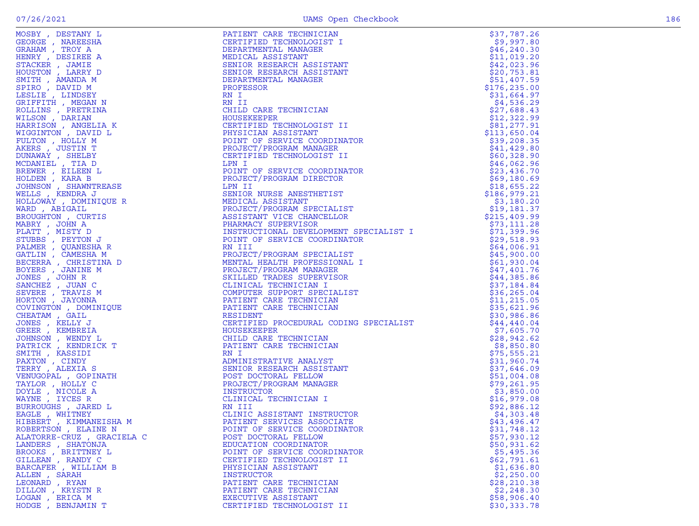| ROBERTSON, ELAINE N       | POINT OF SERVICE COORDINATOR | \$31,748.12  |
|---------------------------|------------------------------|--------------|
| ALATORRE-CRUZ, GRACIELA C | POST DOCTORAL FELLOW         | \$57,930.12  |
|                           |                              |              |
| LANDERS , SHATONJA        | EDUCATION COORDINATOR        | \$50,931.62  |
| BROOKS, BRITTNEY L        | POINT OF SERVICE COORDINATOR | \$5,495.36   |
| GILLEAN, RANDY C          | CERTIFIED TECHNOLOGIST II    | \$62,791.61  |
|                           |                              |              |
| BARCAFER, WILLIAM B       | PHYSICIAN ASSISTANT          | \$1,636.80   |
| ALLEN, SARAH              | <b>INSTRUCTOR</b>            | \$2,250.00   |
| LEONARD, RYAN             | PATIENT CARE TECHNICIAN      | \$28, 210.38 |
|                           |                              |              |
| DILLON, KRYSTN R          | PATIENT CARE TECHNICIAN      | \$2,248.30   |
| LOGAN, ERICA M            | EXECUTIVE ASSISTANT          | \$58,906.40  |
| HODGE , BENJAMIN T        | CERTIFIED TECHNOLOGIST II    | \$30,333.78  |
|                           |                              |              |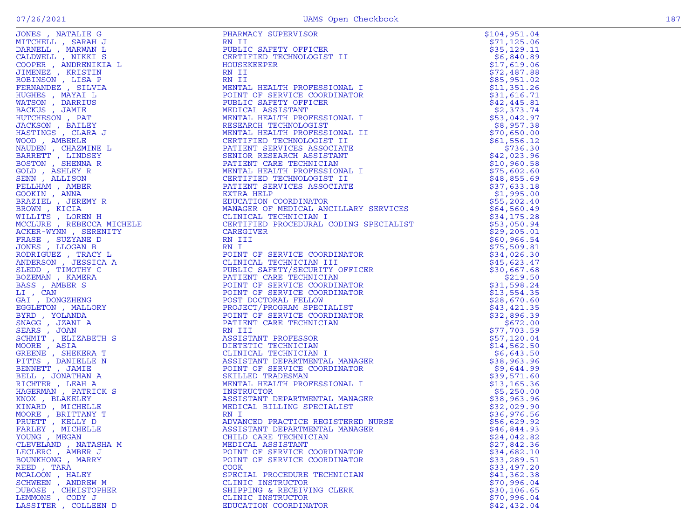|                      |                                                                                                                                                                                                                                                                                                                                                                                                                                                                                         | \$104, 951.04 |
|----------------------|-----------------------------------------------------------------------------------------------------------------------------------------------------------------------------------------------------------------------------------------------------------------------------------------------------------------------------------------------------------------------------------------------------------------------------------------------------------------------------------------|---------------|
|                      |                                                                                                                                                                                                                                                                                                                                                                                                                                                                                         | \$71,125.06   |
|                      |                                                                                                                                                                                                                                                                                                                                                                                                                                                                                         | \$35,129.11   |
|                      |                                                                                                                                                                                                                                                                                                                                                                                                                                                                                         | \$6,840.89    |
|                      |                                                                                                                                                                                                                                                                                                                                                                                                                                                                                         | \$17,619.06   |
|                      |                                                                                                                                                                                                                                                                                                                                                                                                                                                                                         | \$72,487.88   |
|                      |                                                                                                                                                                                                                                                                                                                                                                                                                                                                                         | \$85,951.02   |
|                      |                                                                                                                                                                                                                                                                                                                                                                                                                                                                                         | \$11,351.26   |
|                      |                                                                                                                                                                                                                                                                                                                                                                                                                                                                                         | \$31,616.71   |
|                      |                                                                                                                                                                                                                                                                                                                                                                                                                                                                                         | \$42,445.81   |
|                      |                                                                                                                                                                                                                                                                                                                                                                                                                                                                                         | \$2,373.74    |
|                      |                                                                                                                                                                                                                                                                                                                                                                                                                                                                                         | \$53,042.97   |
|                      |                                                                                                                                                                                                                                                                                                                                                                                                                                                                                         | \$8,957.38    |
|                      |                                                                                                                                                                                                                                                                                                                                                                                                                                                                                         | \$70,650.00   |
|                      |                                                                                                                                                                                                                                                                                                                                                                                                                                                                                         | \$61,556.12   |
|                      |                                                                                                                                                                                                                                                                                                                                                                                                                                                                                         | \$736.30      |
|                      |                                                                                                                                                                                                                                                                                                                                                                                                                                                                                         | \$42,023.96   |
|                      |                                                                                                                                                                                                                                                                                                                                                                                                                                                                                         | \$10,960.58   |
|                      |                                                                                                                                                                                                                                                                                                                                                                                                                                                                                         | \$75,602.60   |
|                      |                                                                                                                                                                                                                                                                                                                                                                                                                                                                                         |               |
|                      |                                                                                                                                                                                                                                                                                                                                                                                                                                                                                         | \$48,855.69   |
|                      |                                                                                                                                                                                                                                                                                                                                                                                                                                                                                         | \$37,633.18   |
|                      |                                                                                                                                                                                                                                                                                                                                                                                                                                                                                         | \$1,995.00    |
|                      |                                                                                                                                                                                                                                                                                                                                                                                                                                                                                         | \$55,202.40   |
|                      |                                                                                                                                                                                                                                                                                                                                                                                                                                                                                         | \$64,560.49   |
|                      |                                                                                                                                                                                                                                                                                                                                                                                                                                                                                         | \$34,175.28   |
|                      |                                                                                                                                                                                                                                                                                                                                                                                                                                                                                         | \$53,050.94   |
|                      |                                                                                                                                                                                                                                                                                                                                                                                                                                                                                         | \$29, 205.01  |
|                      |                                                                                                                                                                                                                                                                                                                                                                                                                                                                                         | \$60,966.54   |
|                      |                                                                                                                                                                                                                                                                                                                                                                                                                                                                                         | \$75,509.81   |
|                      |                                                                                                                                                                                                                                                                                                                                                                                                                                                                                         | \$34,026.30   |
|                      |                                                                                                                                                                                                                                                                                                                                                                                                                                                                                         | \$45,623.47   |
|                      |                                                                                                                                                                                                                                                                                                                                                                                                                                                                                         | \$30,667.68   |
|                      |                                                                                                                                                                                                                                                                                                                                                                                                                                                                                         | \$219.50      |
|                      |                                                                                                                                                                                                                                                                                                                                                                                                                                                                                         | \$31,598.24   |
|                      |                                                                                                                                                                                                                                                                                                                                                                                                                                                                                         | \$13,554.35   |
|                      |                                                                                                                                                                                                                                                                                                                                                                                                                                                                                         | \$28,670.60   |
|                      |                                                                                                                                                                                                                                                                                                                                                                                                                                                                                         | \$43,421.35   |
|                      |                                                                                                                                                                                                                                                                                                                                                                                                                                                                                         | \$32,896.39   |
|                      |                                                                                                                                                                                                                                                                                                                                                                                                                                                                                         | \$672.00      |
|                      |                                                                                                                                                                                                                                                                                                                                                                                                                                                                                         | \$77,703.59   |
|                      |                                                                                                                                                                                                                                                                                                                                                                                                                                                                                         | \$57,120.04   |
|                      |                                                                                                                                                                                                                                                                                                                                                                                                                                                                                         | \$14,562.50   |
|                      |                                                                                                                                                                                                                                                                                                                                                                                                                                                                                         | \$6,643.50    |
|                      |                                                                                                                                                                                                                                                                                                                                                                                                                                                                                         | \$38,963.96   |
|                      |                                                                                                                                                                                                                                                                                                                                                                                                                                                                                         | \$9,644.99    |
|                      |                                                                                                                                                                                                                                                                                                                                                                                                                                                                                         | \$39,571.60   |
|                      |                                                                                                                                                                                                                                                                                                                                                                                                                                                                                         | \$13, 165.36  |
|                      |                                                                                                                                                                                                                                                                                                                                                                                                                                                                                         | \$5,250.00    |
|                      |                                                                                                                                                                                                                                                                                                                                                                                                                                                                                         | \$38,963.96   |
|                      |                                                                                                                                                                                                                                                                                                                                                                                                                                                                                         | \$32,029.90   |
|                      |                                                                                                                                                                                                                                                                                                                                                                                                                                                                                         | \$36,976.56   |
|                      |                                                                                                                                                                                                                                                                                                                                                                                                                                                                                         | \$56,629.92   |
| FARLEY , MICHELLE    | ASSISTANT DEPARTMENTAL MANAGER                                                                                                                                                                                                                                                                                                                                                                                                                                                          | \$46,844.93   |
| YOUNG, MEGAN         |                                                                                                                                                                                                                                                                                                                                                                                                                                                                                         | \$24,042.82   |
| CLEVELAND, NATASHA M | CONFIGURAL INICIAL SURFACE CONSULTING IN THE CONFIGURATION CONFIGURATION (CONFIGURATION CONFIGURATION CONFIGURATION CONFIGURATION CONFIGURATION (CONFIGURATION CONFIGURATION CONFIGURATION CONFIGURATION (CONFIGURATION CONFI<br>AL<br>CLINICAL<br>CLINICAL<br>ASSISTANT LL<br>POINT OF SERVILL<br>SKILLED TRADESMAN<br>MENTAL HEALTH PROFESS1.<br>INSTRUCTOR<br>ASSISTANT DEPARTMENTAL MANA(<br>MEDICAL BILLING SPECIALIST<br>RN I<br>ADVANCED PRACTICE REGIST<br>ASSISTANT DEPARTMENT | \$27,842.36   |
| LECLERC, AMBER J     | POINT OF SERVICE COORDINATOR                                                                                                                                                                                                                                                                                                                                                                                                                                                            | \$34,682.10   |
| BOUNKHONG , MARRY    | POINT OF SERVICE COORDINATOR                                                                                                                                                                                                                                                                                                                                                                                                                                                            | \$33, 289.51  |
| REED, TARA           | <b>COOK</b>                                                                                                                                                                                                                                                                                                                                                                                                                                                                             | \$33,497.20   |
| MCALOON, HALEY       | SPECIAL PROCEDURE TECHNICIAN                                                                                                                                                                                                                                                                                                                                                                                                                                                            | \$41,362.38   |
| SCHWEEN, ANDREW M    | CLINIC INSTRUCTOR                                                                                                                                                                                                                                                                                                                                                                                                                                                                       | \$70,996.04   |
| DUBOSE, CHRISTOPHER  | SHIPPING & RECEIVING CLERK                                                                                                                                                                                                                                                                                                                                                                                                                                                              | \$30, 106.65  |
| LEMMONS , CODY J     | CLINIC INSTRUCTOR                                                                                                                                                                                                                                                                                                                                                                                                                                                                       | \$70,996.04   |
| LASSITER, COLLEEN D  | EDUCATION COORDINATOR                                                                                                                                                                                                                                                                                                                                                                                                                                                                   | \$42,432.04   |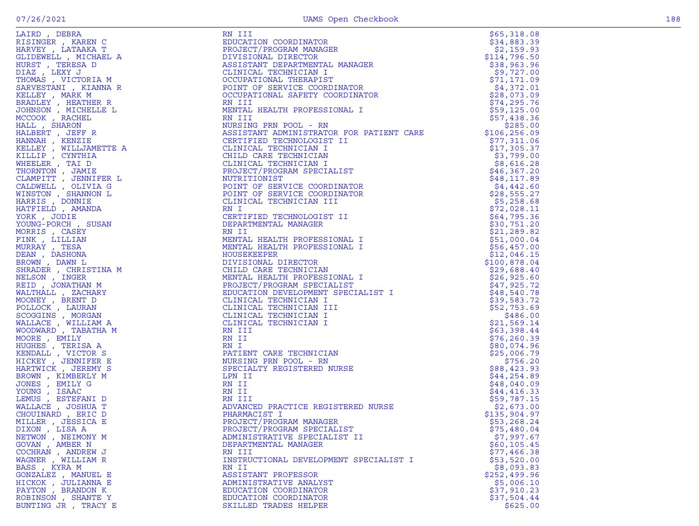| HARVEY, LATAAKA T                                              | PROJ        |
|----------------------------------------------------------------|-------------|
| GLIDEWELL , MICHAEL A                                          | DIVI        |
| HURST, TERESA D                                                | ASSI        |
| DIAZ , LEXY J<br>THOMAS , VICTORIA M                           | CLIN        |
|                                                                | <b>OCCU</b> |
| SARVESTANI , KIANNA R                                          | POIN        |
| KELLEY , MARK M                                                | <b>OCCU</b> |
|                                                                | RN I        |
|                                                                | MENT.       |
| BRADLEY , HEATHER R<br>JOHNSON , MICHELLE L<br>MCCOOK , RACHEL | RN I        |
| HALL , SHARON                                                  | <b>NURS</b> |
| HALBERT, JEFF R                                                | ASSI        |
| HANNAH , KENZIE<br>KELLEY , WILLJAMETTE A<br>KILLIP , CYNTHIA  | <b>CERT</b> |
|                                                                | CLIN        |
|                                                                | CHIL        |
| WHEELER, TAI D                                                 | CLIN        |
| THORNTON , JAMIE                                               | PROJ        |
| CLAMPITT , JENNIFER L                                          | NUTR        |
| CALDWELL , OLIVIA G                                            | POIN        |
| WINSTON , SHANNON L                                            | POIN        |
| HARRIS , DONNIE<br>HATFIELD , AMANDA                           | CLIN        |
|                                                                | RN I        |
| YORK, JODIE                                                    | CERT        |
| YOUNG-PORCH, SUSAN                                             | DEPA        |
| MORRIS, CASEY                                                  | RN I        |
| FINK , LILLIAN                                                 | MENT.       |
| MURRAY, TESA                                                   | MENT.       |
| DEAN , DASHONA                                                 | HOUS        |
| BROWN, DAWN L                                                  | <b>DIVI</b> |
| SHRADER , CHRISTINA M                                          | <b>CHIL</b> |
| NELSON , INGER                                                 | MENT.       |
| REID, JONATHAN M                                               | PROJ        |
| WALTHALL , ZACHARY                                             | EDUC.       |
| MOONEY , BRENT D                                               | CLIN        |
| POLLOCK, LAURAN<br>SCOGGINS, MORGAN                            | CLIN        |
|                                                                | CLIN        |
|                                                                | CLIN        |
| WALLACE , WILLIAM A<br>WOODWARD , TABATHA M                    | RN I        |
| MOORE, EMILY                                                   | RN I        |
| HUGHES , TERISA A                                              | RN I        |
| KENDALL , VICTOR S                                             | PATI        |
|                                                                | <b>NURS</b> |
| HICKEY, JENNIFER E<br>HARTWICK, JEREMY S                       | <b>SPEC</b> |
| BROWN, KIMBERLY M                                              | LPN         |
| JONES , EMILY G                                                | RN I        |
|                                                                | RN I        |
| YOUNG , ISAAC<br>LEMUS , ESTEF.<br>ESTEFANI D                  | RN I        |
| WALLACE, JOSHUA T                                              | <b>ADVA</b> |
| CHOUINARD, ERIC D                                              | <b>PHAR</b> |
| MILLER , JESSICA E                                             | <b>PROJ</b> |
| DIXON, LISA A                                                  | PROJ        |
|                                                                | ADMI:       |
| NETWON , NEIMONY M<br>GOVAN , AMBER N                          | <b>DEPA</b> |
| COCHRAN , ANDREW J                                             | RN I        |
| WAGNER , WILLIAM R                                             | INST        |
| BASS, KYRA M                                                   | RN I        |
| GONZALEZ , MANUEL E                                            | ASSI        |
|                                                                | ADMI:       |
| HICKOK , JULIANNA E                                            | EDUC.       |
| PAYTON , BRANDON K<br>ROBINSON , SHANTE Y                      | EDUC.       |
|                                                                | SKIL        |
| BUNTING JR , TRACY E                                           |             |

| LAIRD, DEBRA                            | RN III                                                                                                                                                                                            | \$65,318.08                 |
|-----------------------------------------|---------------------------------------------------------------------------------------------------------------------------------------------------------------------------------------------------|-----------------------------|
| RISINGER , KAREN C                      | EDUCATION COORDINATOR                                                                                                                                                                             | \$34,883.39                 |
| HARVEY , LATAAKA T                      | PROJECT/PROGRAM MANAGER                                                                                                                                                                           | \$2,159.93                  |
| GLIDEWELL , MICHAEL A                   | DIVISIONAL DIRECTOR                                                                                                                                                                               | \$114,796.50                |
| HURST , TERESA D                        | ASSISTANT DEPARTMENTAL MANAGER                                                                                                                                                                    | \$38,963.96                 |
| DIAZ, LEXY J                            | ASSISTANT DEPARTMENTAL THE CLINICAL TECHNICIAN I<br>OCCUPATIONAL THERAPIST<br>POINT OF SERVICE COORDINATOR<br>CACUPATIONAL SAFETY COORDINATOR                                                     | \$9,727.00                  |
| THOMAS , VICTORIA M                     |                                                                                                                                                                                                   | \$71,171.09                 |
| SARVESTANI , KIANNA R                   |                                                                                                                                                                                                   | \$4,372.01<br>\$28,073.09   |
| KELLEY, MARK M                          | RN III                                                                                                                                                                                            |                             |
| BRADLEY, HEATHER R                      | MENTAL HEALTH PROFESSIONAL I                                                                                                                                                                      | \$74, 295.76<br>\$59,125.00 |
| JOHNSON , MICHELLE L<br>MCCOOK, RACHEL  | RN III                                                                                                                                                                                            | \$57,438.36                 |
| HALL , SHARON                           | NURSING PRN POOL - RN                                                                                                                                                                             | \$285.00                    |
| HALBERT , JEFF R                        | ASSISTANT ADMINISTRATOR FOR PATIENT CARE                                                                                                                                                          | \$106, 256.09               |
| HANNAH , KENZIE                         | CERTIFIED TECHNOLOGIST II                                                                                                                                                                         | \$77,311.06                 |
| KELLEY , WILLJAMETTE A                  |                                                                                                                                                                                                   | \$17,305.37                 |
| KILLIP , CYNTHIA                        |                                                                                                                                                                                                   | \$3,799.00                  |
| WHEELER, TAI D                          | CLINICAL TECHNICIAN I<br>CHILD CARE TECHNICIAN<br>CLINICAL TECHNICIAN I<br>PROJECT/PROGRAM SPECIALIST<br>CLINICAL TECHNICIAN                                                                      | \$8,616.28                  |
| THORNTON, JAMIE                         |                                                                                                                                                                                                   | \$46,367.20                 |
| CLAMPITT , JENNIFER L                   | NUTRITIONIST                                                                                                                                                                                      | \$48,117.89                 |
| CALDWELL, OLIVIA G                      | POINT OF SERVICE COORDINATOR                                                                                                                                                                      | \$4,442.60                  |
| WINSTON , SHANNON L                     | POINT OF SERVICE COORDINATOR                                                                                                                                                                      | \$28,555.27                 |
| HARRIS , DONNIE                         | CLINICAL TECHNICIAN III                                                                                                                                                                           | \$5,258.68                  |
| HATFIELD , AMANDA                       | RN I                                                                                                                                                                                              | \$72,028.11                 |
| YORK , JODIE                            | CERTIFIED TECHNOLOGIST II                                                                                                                                                                         | \$64,795.36                 |
| YOUNG-PORCH, SUSAN                      | DEPARTMENTAL MANAGER                                                                                                                                                                              | \$30,751.20                 |
| MORRIS , CASEY                          | RN II                                                                                                                                                                                             | \$21,289.82                 |
| FINK, LILLIAN                           | MENTAL HEALTH PROFESSIONAL I                                                                                                                                                                      | \$51,000.04                 |
| MURRAY , TESA                           | MENTAL HEALTH PROFESSIONAL I                                                                                                                                                                      | \$56,457.00                 |
| DEAN, DASHONA                           |                                                                                                                                                                                                   | \$12,046.15                 |
| INA M<br>M<br>RY<br>BROWN , DAWN L      | MENTAL HEALIN INC.<br>HOUSEKEEPER<br>CHILD CARE TECHNICIAN<br>MENTAL HEALTH PROFESSIONAL I<br>MENTAL HEALTH PROFESSIONAL I<br>PROJECT/PROGRAM SPECIALIST<br>TECHNICATION DEVELOPMENT SPECIALIST I | \$100,878.04                |
| SHRADER , CHRISTINA M                   |                                                                                                                                                                                                   | \$29,688.40<br>\$26,925.60  |
| NELSON , INGER<br>REID , JONATHAN M     |                                                                                                                                                                                                   | \$47,925.72                 |
| WALTHALL , ZACHARY                      |                                                                                                                                                                                                   | \$48,540.78                 |
| MOONEY , BRENT D                        | CLINICAL TECHNICIAN I                                                                                                                                                                             | \$39,583.72                 |
| POLLOCK, LAURAN                         | CLINICAL TECHNICIAN III                                                                                                                                                                           | \$52,753.69                 |
| SCOGGINS , MORGAN                       | CLINICAL TECHNICIAN I                                                                                                                                                                             | \$486.00                    |
| WALLACE, WILLIAM A                      | CLINICAL TECHNICIAN I                                                                                                                                                                             | \$21,569.14                 |
| WOODWARD, TABATHA M                     | RN III                                                                                                                                                                                            | \$63,398.44                 |
| MOORE , EMILY                           | RN II                                                                                                                                                                                             | \$76,260.39                 |
| HUGHES , TERISA A                       | RN I                                                                                                                                                                                              | \$80,074.96                 |
| KENDALL, VICTOR S                       | PATIENT CARE TECHNICIAN                                                                                                                                                                           | \$25,006.79                 |
| HICKEY, JENNIFER E                      | NURSING PRN POOL - RN                                                                                                                                                                             | \$756.20                    |
| HARTWICK , JEREMY S                     | SPECIALTY REGISTERED NURSE                                                                                                                                                                        | \$88,423.93                 |
| BROWN, KIMBERLY M                       | LPN II                                                                                                                                                                                            | \$44, 254.89                |
| JONES , EMILY G                         | RN II                                                                                                                                                                                             | \$48,040.09                 |
| YOUNG, ISAAC                            | RN II                                                                                                                                                                                             | \$44,416.33                 |
| LEMUS, ESTEFANI D                       | RN III<br>ADVANCED PRACTICE REGISTERED NURSE                                                                                                                                                      | \$59,787.15                 |
| WALLACE , JOSHUA T                      | PHARMACIST I                                                                                                                                                                                      | \$2,673.00                  |
| CHOUINARD, ERIC D<br>MILLER , JESSICA E | PROJECT/PROGRAM MANAGER                                                                                                                                                                           | \$135,904.97<br>\$53,268.24 |
| DIXON , LISA A                          | PROJECT/PROGRAM SPECIALIST                                                                                                                                                                        | \$75,480.04                 |
| NETWON , NEIMONY M                      | ADMINISTRATIVE SPECIALIST II                                                                                                                                                                      | \$7,997.67                  |
| GOVAN, AMBER N                          | DEPARTMENTAL MANAGER                                                                                                                                                                              | \$60, 105.45                |
| COCHRAN, ANDREW J                       | RN III                                                                                                                                                                                            | \$77,466.38                 |
| WAGNER , WILLIAM R                      | INSTRUCTIONAL DEVELOPMENT SPECIALIST I                                                                                                                                                            | \$53,520.00                 |
| BASS, KYRA M                            | RN II                                                                                                                                                                                             | \$8,093.83                  |
| GONZALEZ , MANUEL E                     | ASSISTANT PROFESSOR                                                                                                                                                                               | \$252,499.96                |
| HICKOK , JULIANNA E                     | ADMINISTRATIVE ANALYST                                                                                                                                                                            | \$5,006.10                  |
| PAYTON, BRANDON K                       | EDUCATION COORDINATOR                                                                                                                                                                             | \$37,910.23                 |
| ROBINSON, SHANTE Y                      | EDUCATION COORDINATOR                                                                                                                                                                             | \$37,504.44                 |
| BUNTING JR , TRACY E                    | SKILLED TRADES HELPER                                                                                                                                                                             | \$625.00                    |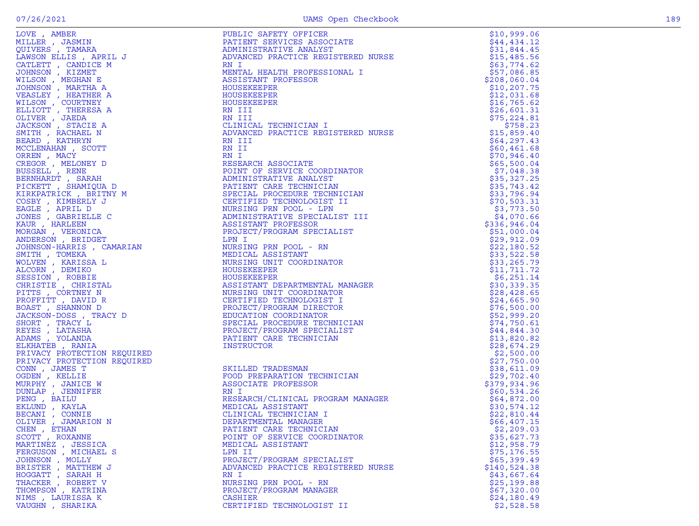| LOVE, AMBER<br>LOVE A MBER<br>MILLER , TAMARA<br>CUIVERE , TAMARA<br>LAMSON ELLIS , APRIL J<br>CATLETT , CANDICE M<br>CATLETT , CANDICE<br>MILSON , MEGHAN<br>JOHNSON , MEGHAN<br>VILSON , MEGHAN<br>VILSON , MEGHAN<br>VILSON , COUNTNEY<br>MILSON , MEGHAN<br>ELLIO | PUBLIC SAFETY OFFICER<br>${\tt JRSE}$                                                                                                                                                                                                                     | \$10,999.06                 |
|-----------------------------------------------------------------------------------------------------------------------------------------------------------------------------------------------------------------------------------------------------------------------|-----------------------------------------------------------------------------------------------------------------------------------------------------------------------------------------------------------------------------------------------------------|-----------------------------|
|                                                                                                                                                                                                                                                                       | PATIENT SERVICES ASSOCIATE                                                                                                                                                                                                                                | \$44,434.12                 |
|                                                                                                                                                                                                                                                                       | ADMINISTRATIVE ANALYST                                                                                                                                                                                                                                    | \$31,844.45                 |
|                                                                                                                                                                                                                                                                       | ADVANCED PRACTICE REGISTERED NURSE                                                                                                                                                                                                                        | \$15,485.56                 |
|                                                                                                                                                                                                                                                                       | RN I                                                                                                                                                                                                                                                      | \$63,774.62                 |
|                                                                                                                                                                                                                                                                       | MENTAL HEALTH PROFESSIONAL I                                                                                                                                                                                                                              | \$57,086.85                 |
|                                                                                                                                                                                                                                                                       | ASSISTANT PROFESSOR                                                                                                                                                                                                                                       | \$208,060.04                |
|                                                                                                                                                                                                                                                                       | HOUSEKEEPER                                                                                                                                                                                                                                               | \$10, 207.75                |
|                                                                                                                                                                                                                                                                       | HOUSEKEEPER                                                                                                                                                                                                                                               | \$12,031.68                 |
|                                                                                                                                                                                                                                                                       | HOUSEKEEPER                                                                                                                                                                                                                                               | \$16,765.62                 |
|                                                                                                                                                                                                                                                                       | RN III                                                                                                                                                                                                                                                    | \$26,601.31                 |
|                                                                                                                                                                                                                                                                       | RN III                                                                                                                                                                                                                                                    | \$75, 224.81                |
|                                                                                                                                                                                                                                                                       | CLINICAL TECHNICIAN I                                                                                                                                                                                                                                     | \$758.23                    |
|                                                                                                                                                                                                                                                                       | ADVANCED PRACTICE REGISTERED NURSE                                                                                                                                                                                                                        | \$15,859.40                 |
|                                                                                                                                                                                                                                                                       | RN III                                                                                                                                                                                                                                                    | \$64, 297.43                |
|                                                                                                                                                                                                                                                                       | RN II                                                                                                                                                                                                                                                     | \$60,461.68                 |
|                                                                                                                                                                                                                                                                       | RN I                                                                                                                                                                                                                                                      | \$70,946.40                 |
|                                                                                                                                                                                                                                                                       | RESEARCH ASSOCIATE                                                                                                                                                                                                                                        | \$65,500.04                 |
|                                                                                                                                                                                                                                                                       | POINT OF SERVICE COORDINATOR                                                                                                                                                                                                                              | \$7,048.38                  |
|                                                                                                                                                                                                                                                                       | ADMINISTRATIVE ANALYST                                                                                                                                                                                                                                    | \$35,327.25                 |
|                                                                                                                                                                                                                                                                       | PATIENT CARE TECHNICIAN                                                                                                                                                                                                                                   | \$35,743.42                 |
|                                                                                                                                                                                                                                                                       | SPECIAL PROCEDURE TECHNICIAN                                                                                                                                                                                                                              | \$33,796.94                 |
|                                                                                                                                                                                                                                                                       | CERTIFIED TECHNOLOGIST II                                                                                                                                                                                                                                 | \$70,503.31                 |
|                                                                                                                                                                                                                                                                       | NURSING PRN POOL - LPN                                                                                                                                                                                                                                    | \$3,773.50                  |
|                                                                                                                                                                                                                                                                       | ADMINISTRATIVE SPECIALIST III<br>ASSISTANT PROFESSOR                                                                                                                                                                                                      | \$4,070.66                  |
|                                                                                                                                                                                                                                                                       | PROJECT/PROGRAM SPECIALIST                                                                                                                                                                                                                                | \$336,946.04                |
|                                                                                                                                                                                                                                                                       | LPN I                                                                                                                                                                                                                                                     | \$51,000.04                 |
|                                                                                                                                                                                                                                                                       | NURSING PRN POOL - RN                                                                                                                                                                                                                                     | \$29,912.09<br>\$22,180.52  |
|                                                                                                                                                                                                                                                                       | MEDICAL ASSISTANT                                                                                                                                                                                                                                         |                             |
|                                                                                                                                                                                                                                                                       | NURSING UNIT COORDINATOR                                                                                                                                                                                                                                  | \$33,522.58<br>\$33, 265.79 |
|                                                                                                                                                                                                                                                                       |                                                                                                                                                                                                                                                           | \$11,711.72                 |
|                                                                                                                                                                                                                                                                       | HOUSEKEEPER<br>HOUSEKEEPER<br>ASSISTANT DEPARTMENTAL MANAGER<br>NURSING UNIT COORDINATOR<br>CERTIFIED TECHNOLOGIST I<br>PROJECT/PROGRAM DIRECTOR<br>EDUCATION COORDINATOR<br>SPECIAL PROCEDURE TECHNICIAN<br>PROJECT/PROGRAM SPECIALIST<br>PATIENT CARE T | \$6,251.14                  |
|                                                                                                                                                                                                                                                                       |                                                                                                                                                                                                                                                           | \$30,339.35                 |
|                                                                                                                                                                                                                                                                       |                                                                                                                                                                                                                                                           | \$28,428.65                 |
|                                                                                                                                                                                                                                                                       |                                                                                                                                                                                                                                                           | \$24,665.90                 |
|                                                                                                                                                                                                                                                                       |                                                                                                                                                                                                                                                           | \$76,500.00                 |
|                                                                                                                                                                                                                                                                       |                                                                                                                                                                                                                                                           | \$52,999.20                 |
|                                                                                                                                                                                                                                                                       |                                                                                                                                                                                                                                                           | \$74,750.61                 |
|                                                                                                                                                                                                                                                                       |                                                                                                                                                                                                                                                           | \$44,844.30                 |
|                                                                                                                                                                                                                                                                       |                                                                                                                                                                                                                                                           | \$13,820.82                 |
|                                                                                                                                                                                                                                                                       |                                                                                                                                                                                                                                                           | \$28,674.29                 |
|                                                                                                                                                                                                                                                                       |                                                                                                                                                                                                                                                           | \$2,500.00                  |
| PRIVACY PROTECTION REQUIRED                                                                                                                                                                                                                                           |                                                                                                                                                                                                                                                           | \$27,750.00                 |
| CONN, JAMES T                                                                                                                                                                                                                                                         | CIAN<br>SKILLED TRADESMAN                                                                                                                                                                                                                                 | \$38,611.09                 |
| OGDEN, KELLIE                                                                                                                                                                                                                                                         | FOOD PREPARATION TECHNICIAN                                                                                                                                                                                                                               | \$29,702.40                 |
| MURPHY, JANICE W                                                                                                                                                                                                                                                      | ASSOCIATE PROFESSOR                                                                                                                                                                                                                                       | \$379,934.96                |
| DUNLAP, JENNIFER                                                                                                                                                                                                                                                      | RN I                                                                                                                                                                                                                                                      | \$60,534.26                 |
| PENG, BAILU                                                                                                                                                                                                                                                           | RESEARCH/CLINICAL PROGRAM MANAGER                                                                                                                                                                                                                         | \$64,872.00                 |
| EKLUND, KAYLA                                                                                                                                                                                                                                                         | MEDICAL ASSISTANT                                                                                                                                                                                                                                         | \$30,574.12                 |
| BECANI , CONNIE                                                                                                                                                                                                                                                       | CLINICAL TECHNICIAN I                                                                                                                                                                                                                                     | \$22,810.44                 |
| OLIVER , JAMARION N                                                                                                                                                                                                                                                   | DEPARTMENTAL MANAGER                                                                                                                                                                                                                                      | \$66,407.15                 |
| CHEN, ETHAN                                                                                                                                                                                                                                                           | PATIENT CARE TECHNICIAN                                                                                                                                                                                                                                   | \$2,209.03                  |
| SCOTT, ROXANNE                                                                                                                                                                                                                                                        | POINT OF SERVICE COORDINATOR                                                                                                                                                                                                                              | \$35,627.73                 |
| MARTINEZ , JESSICA                                                                                                                                                                                                                                                    | MEDICAL ASSISTANT                                                                                                                                                                                                                                         | \$12,958.79                 |
| FERGUSON, MICHAEL S                                                                                                                                                                                                                                                   | LPN II                                                                                                                                                                                                                                                    | \$75, 176.55                |
| JOHNSON, MOLLY                                                                                                                                                                                                                                                        | PROJECT/PROGRAM SPECIALIST                                                                                                                                                                                                                                | \$65,399.49                 |
| BRISTER, MATTHEW J                                                                                                                                                                                                                                                    | ADVANCED PRACTICE REGISTERED NURSE                                                                                                                                                                                                                        | \$140,524.38                |
| HOGGATT, SARAH H                                                                                                                                                                                                                                                      | RN I                                                                                                                                                                                                                                                      | \$43,667.64                 |
| THACKER, ROBERT V                                                                                                                                                                                                                                                     | NURSING PRN POOL - RN                                                                                                                                                                                                                                     | \$25,199.88                 |
| THOMPSON, KATRINA                                                                                                                                                                                                                                                     | PROJECT/PROGRAM MANAGER                                                                                                                                                                                                                                   | \$67,320.00                 |
| NIMS, LAURISSA K                                                                                                                                                                                                                                                      | <b>CASHIER</b>                                                                                                                                                                                                                                            | \$24,180.49                 |
| VAUGHN, SHARIKA                                                                                                                                                                                                                                                       | CERTIFIED TECHNOLOGIST II                                                                                                                                                                                                                                 | \$2,528.58                  |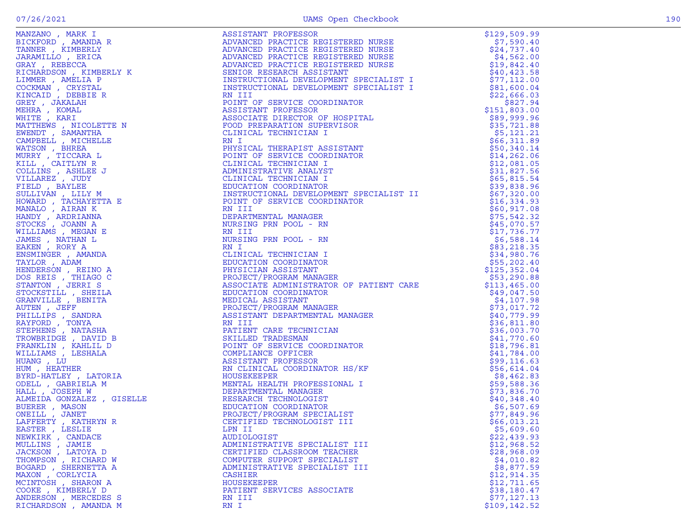| $\begin{tabular}{@{}c c c} \textbf{MSE1} & \textbf{MSE2} & \textbf{MSE3} & \textbf{MSE1} & \textbf{MSE2} & \textbf{MSE3} & \textbf{MSE4} & \textbf{MSE3} & \textbf{MSE4} & \textbf{MSE5} & \textbf{MSE5} & \textbf{MSE5} & \textbf{MSE5} & \textbf{MSE5} & \textbf{MSE5} & \textbf{MSE5} & \textbf{MSE5} & \textbf{MSE5} & \textbf{MSE5} & \textbf{MSE5} & \textbf{MSE5} & \textbf{MSE5} & \textbf{MSE5}$ |  |
|-----------------------------------------------------------------------------------------------------------------------------------------------------------------------------------------------------------------------------------------------------------------------------------------------------------------------------------------------------------------------------------------------------------|--|
|                                                                                                                                                                                                                                                                                                                                                                                                           |  |
|                                                                                                                                                                                                                                                                                                                                                                                                           |  |
|                                                                                                                                                                                                                                                                                                                                                                                                           |  |
|                                                                                                                                                                                                                                                                                                                                                                                                           |  |
|                                                                                                                                                                                                                                                                                                                                                                                                           |  |
|                                                                                                                                                                                                                                                                                                                                                                                                           |  |
|                                                                                                                                                                                                                                                                                                                                                                                                           |  |
|                                                                                                                                                                                                                                                                                                                                                                                                           |  |
|                                                                                                                                                                                                                                                                                                                                                                                                           |  |
|                                                                                                                                                                                                                                                                                                                                                                                                           |  |
|                                                                                                                                                                                                                                                                                                                                                                                                           |  |
|                                                                                                                                                                                                                                                                                                                                                                                                           |  |
|                                                                                                                                                                                                                                                                                                                                                                                                           |  |
|                                                                                                                                                                                                                                                                                                                                                                                                           |  |
|                                                                                                                                                                                                                                                                                                                                                                                                           |  |
|                                                                                                                                                                                                                                                                                                                                                                                                           |  |
|                                                                                                                                                                                                                                                                                                                                                                                                           |  |
|                                                                                                                                                                                                                                                                                                                                                                                                           |  |
|                                                                                                                                                                                                                                                                                                                                                                                                           |  |
|                                                                                                                                                                                                                                                                                                                                                                                                           |  |
|                                                                                                                                                                                                                                                                                                                                                                                                           |  |
|                                                                                                                                                                                                                                                                                                                                                                                                           |  |
|                                                                                                                                                                                                                                                                                                                                                                                                           |  |
|                                                                                                                                                                                                                                                                                                                                                                                                           |  |
|                                                                                                                                                                                                                                                                                                                                                                                                           |  |
|                                                                                                                                                                                                                                                                                                                                                                                                           |  |
|                                                                                                                                                                                                                                                                                                                                                                                                           |  |
|                                                                                                                                                                                                                                                                                                                                                                                                           |  |
|                                                                                                                                                                                                                                                                                                                                                                                                           |  |
|                                                                                                                                                                                                                                                                                                                                                                                                           |  |
|                                                                                                                                                                                                                                                                                                                                                                                                           |  |
|                                                                                                                                                                                                                                                                                                                                                                                                           |  |
|                                                                                                                                                                                                                                                                                                                                                                                                           |  |
|                                                                                                                                                                                                                                                                                                                                                                                                           |  |
|                                                                                                                                                                                                                                                                                                                                                                                                           |  |
|                                                                                                                                                                                                                                                                                                                                                                                                           |  |
|                                                                                                                                                                                                                                                                                                                                                                                                           |  |
|                                                                                                                                                                                                                                                                                                                                                                                                           |  |
|                                                                                                                                                                                                                                                                                                                                                                                                           |  |
|                                                                                                                                                                                                                                                                                                                                                                                                           |  |
|                                                                                                                                                                                                                                                                                                                                                                                                           |  |

| MANZANO, MARK I                                                                                                                                                                                             | ASSISTANT PROFESSOR                                                                                                                                                         | \$129,509.99                 |
|-------------------------------------------------------------------------------------------------------------------------------------------------------------------------------------------------------------|-----------------------------------------------------------------------------------------------------------------------------------------------------------------------------|------------------------------|
| BICKFORD, AMANDA R                                                                                                                                                                                          | ASSISTANT PROFESSOR<br>ADVANCED PRACTICE REGISTERED NURSE<br>ADVANCED PRACTICE REGISTERED NURSE<br>ADVANCED PRACTICE REGISTERED NURSE<br>ADVANCED PRACTICE REGISTERED NURSE | \$7,590.40                   |
| TANNER, KIMBERLY                                                                                                                                                                                            |                                                                                                                                                                             | \$24,737.40                  |
| JARAMILLO, ERICA                                                                                                                                                                                            |                                                                                                                                                                             | \$4,562.00                   |
| GRAY, REBECCA                                                                                                                                                                                               |                                                                                                                                                                             | \$19,842.40                  |
|                                                                                                                                                                                                             | SENIOR RESEARCH ASSISTANT                                                                                                                                                   | \$40,423.58                  |
|                                                                                                                                                                                                             | INSTRUCTIONAL DEVELOPMENT SPECIALIST I<br>INSTRUCTIONAL DEVELOPMENT SPECIALIST I<br>PN III                                                                                  | \$77,112.00                  |
|                                                                                                                                                                                                             |                                                                                                                                                                             | \$81,600.04                  |
|                                                                                                                                                                                                             | RN III                                                                                                                                                                      | \$22,666.03                  |
|                                                                                                                                                                                                             | POINT OF SERVICE COORDINATOR                                                                                                                                                | \$827.94                     |
|                                                                                                                                                                                                             | ASSISTANT PROFESSOR                                                                                                                                                         | \$151,803.00                 |
|                                                                                                                                                                                                             | ASSOCIATE DIRECTOR OF HOSPITAL                                                                                                                                              | \$89,999.96                  |
| GRAY , REBECCA<br>RICHARDSON , KIMBERLY K<br>LIMMER , AMELIA P<br>COCKMAN , CRYSTAL<br>KINCAID , DEBBIE R<br>GREY , JAKALAH<br>MEHRA , KOMAL<br>MHITE , KARI<br>MATTHEWS , NICOLETTE N<br>EWENDT , SAMANTHA | FOOD PREPARATION SUPERVISOR                                                                                                                                                 | \$35,721.88                  |
| EWENDT, SAMANTHA                                                                                                                                                                                            | CLINICAL TECHNICIAN I                                                                                                                                                       | \$5,121.21                   |
| CAMPBELL, MICHELLE                                                                                                                                                                                          | RN I                                                                                                                                                                        | \$66,311.89                  |
| WATSON, BHREA                                                                                                                                                                                               | PHYSICAL THERAPIST ASSISTANT                                                                                                                                                | \$50,340.14                  |
| MURRY , TICCARA L                                                                                                                                                                                           | POINT OF SERVICE COORDINATOR                                                                                                                                                | \$14, 262.06                 |
| KILL, CAITLYN R                                                                                                                                                                                             | CLINICAL TECHNICIAN I                                                                                                                                                       | \$12,081.05                  |
| COLLINS , ASHLEE J                                                                                                                                                                                          | ADMINISTRATIVE ANALYST                                                                                                                                                      | \$31,827.56                  |
| VILLAREZ, JUDY                                                                                                                                                                                              | CLINICAL TECHNICIAN I                                                                                                                                                       | \$65,815.54                  |
| FIELD, BAYLEE                                                                                                                                                                                               | EDUCATION COORDINATOR                                                                                                                                                       | \$39,838.96                  |
| SULLIVAN, LILY M                                                                                                                                                                                            | INSTRUCTIONAL DEVELOPMENT SPECIALIST II                                                                                                                                     | \$67,320.00                  |
| HOWARD, TACHAYETTA E                                                                                                                                                                                        | POINT OF SERVICE COORDINATOR                                                                                                                                                | \$16,334.93                  |
| MANALO, AIRAN K                                                                                                                                                                                             | RN III                                                                                                                                                                      | \$60, 917.08                 |
| HANDY, ARDRIANNA                                                                                                                                                                                            | DEPARTMENTAL MANAGER                                                                                                                                                        | \$75,542.32                  |
| STOCKS, JOANN A                                                                                                                                                                                             | NURSING PRN POOL - RN                                                                                                                                                       | \$45,070.57                  |
| WILLIAMS , MEGAN E                                                                                                                                                                                          | RN III                                                                                                                                                                      | \$17,736.77                  |
| JAMES , NATHAN L<br>EAKEN, RORY A                                                                                                                                                                           | NURSING PRN POOL - RN<br>RN I                                                                                                                                               | \$6,588.14<br>\$83,218.35    |
| ENSMINGER, AMANDA                                                                                                                                                                                           | CLINICAL TECHNICIAN I                                                                                                                                                       |                              |
| TAYLOR, ADAM                                                                                                                                                                                                |                                                                                                                                                                             | \$34,980.76                  |
| HENDERSON, REINO A                                                                                                                                                                                          | EDUCATION COORDINATOR<br>PHYSICIAN ASSISTANT<br>PROJECT/PROGRAM MANAGER                                                                                                     | \$55,202.40<br>\$125, 352.04 |
| DOS REIS , THIAGO C                                                                                                                                                                                         |                                                                                                                                                                             | \$53,290.88                  |
| STANTON, JERRI S                                                                                                                                                                                            | ASSOCIATE ADMINISTRATOR OF PATIENT CARE                                                                                                                                     | \$113,465.00                 |
| STOCKSTILL , SHEILA                                                                                                                                                                                         | ASSOCIATE ADMINISINATOR<br>EDUCATION COORDINATOR<br>MEDICAL ASSISTANT<br>PROJECT/PROGRAM MANAGER<br>COORDING DEPARTMENTAL MANAGER                                           | \$49,047.50                  |
| GRANVILLE , BENITA                                                                                                                                                                                          |                                                                                                                                                                             | \$4,107.98                   |
| AUTEN, JEFF                                                                                                                                                                                                 |                                                                                                                                                                             | \$73,017.72                  |
| PHILLIPS, SANDRA                                                                                                                                                                                            |                                                                                                                                                                             | \$40,779.99                  |
| RAYFORD, TONYA                                                                                                                                                                                              | RN III                                                                                                                                                                      | \$36,811.80                  |
| STEPHENS, NATASHA                                                                                                                                                                                           | PATIENT CARE TECHNICIAN                                                                                                                                                     | \$36,003.70                  |
| TROWBRIDGE, DAVID B                                                                                                                                                                                         | SKILLED TRADESMAN                                                                                                                                                           | \$41,770.60                  |
| FRANKLIN, KAHLIL D                                                                                                                                                                                          | POINT OF SERVICE COORDINATOR                                                                                                                                                | \$18,796.81                  |
| WILLIAMS, LESHALA                                                                                                                                                                                           | COMPLIANCE OFFICER                                                                                                                                                          | \$41,784.00                  |
| HUANG, LU                                                                                                                                                                                                   | ASSISTANT PROFESSOR                                                                                                                                                         | \$99,116.63                  |
| HUM, HEATHER                                                                                                                                                                                                | RN CLINICAL COORDINATOR HS/KF                                                                                                                                               | \$56,614.04                  |
| HUM , HEATHER<br>BYRD-HATLEY , LATORIA<br>ODELL , GABRIELA M<br>HALL , JOSEPH W<br>ALMEIDA GONZALEZ , GISELLE<br>BUERER , MASON<br>ONEILL , JANET<br>LAFFERTY , KATHRYN R<br>EASTER LEATHRYN R              | HOUSEKEEPER                                                                                                                                                                 | \$8,462.83                   |
|                                                                                                                                                                                                             | MENTAL HEALTH PROFESSIONAL I                                                                                                                                                | \$59,588.36                  |
|                                                                                                                                                                                                             | DEPARTMENTAL MANAGER                                                                                                                                                        | \$73,836.70                  |
|                                                                                                                                                                                                             | RESEARCH TECHNOLOGIST                                                                                                                                                       | \$40,348.40                  |
|                                                                                                                                                                                                             | EDUCATION COORDINATOR                                                                                                                                                       | \$6,507.69                   |
|                                                                                                                                                                                                             | PROJECT/PROGRAM SPECIALIST                                                                                                                                                  | \$77,849.96                  |
|                                                                                                                                                                                                             | CERTIFIED TECHNOLOGIST III                                                                                                                                                  | \$66,013.21                  |
| EASTER, LESLIE                                                                                                                                                                                              | LPN II                                                                                                                                                                      | \$5,609.60                   |
| NEWKIRK, CANDACE                                                                                                                                                                                            | <b>AUDIOLOGIST</b>                                                                                                                                                          | \$22,439.93                  |
| MULLINS , JAMIE                                                                                                                                                                                             | ADMINISTRATIVE SPECIALIST III                                                                                                                                               | \$12,968.52                  |
| JACKSON, LATOYA D                                                                                                                                                                                           | CERTIFIED CLASSROOM TEACHER                                                                                                                                                 | \$28,968.09                  |
| THOMPSON, RICHARD W                                                                                                                                                                                         | COMPUTER SUPPORT SPECIALIST                                                                                                                                                 | \$4,010.82                   |
| BOGARD, SHERNETTA A                                                                                                                                                                                         | ADMINISTRATIVE SPECIALIST III                                                                                                                                               | \$8,877.59                   |
| MAXON, CORLYCIA                                                                                                                                                                                             | <b>CASHIER</b>                                                                                                                                                              | \$12,914.35                  |
| MCINTOSH, SHARON A                                                                                                                                                                                          | <b>HOUSEKEEPER</b>                                                                                                                                                          | \$12,711.65                  |
| COOKE, KIMBERLY D                                                                                                                                                                                           | PATIENT SERVICES ASSOCIATE                                                                                                                                                  | \$38,180.47                  |
| ANDERSON, MERCEDES S                                                                                                                                                                                        | RN III                                                                                                                                                                      | \$77,127.13                  |
| RICHARDSON, AMANDA M                                                                                                                                                                                        | RN I                                                                                                                                                                        | \$109,142.52                 |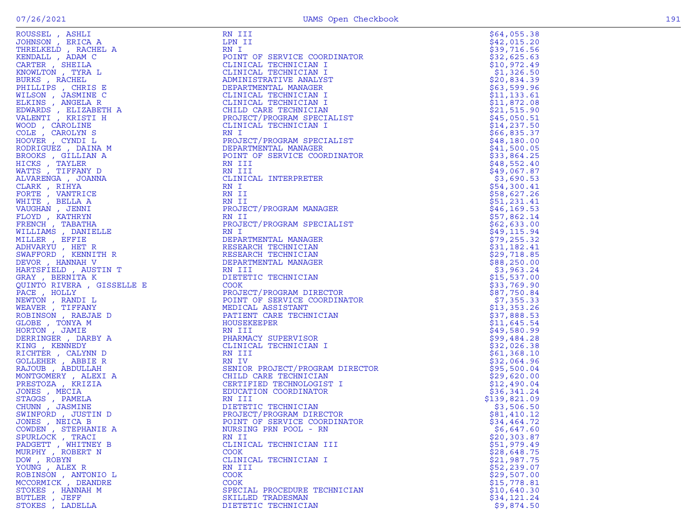| ROUSSEL , ASHLI                                                         | RN III                                                            | \$64,055.38                 |
|-------------------------------------------------------------------------|-------------------------------------------------------------------|-----------------------------|
| JOHNSON, ERICA A                                                        | LPN II                                                            | \$42,015.20                 |
| THRELKELD, RACHEL A                                                     | RN I                                                              | \$39,716.56                 |
| KENDALL, ADAM C                                                         | POINT OF SERVICE COORDINATOR                                      | \$32,625.63                 |
| CARTER, SHEILA                                                          | CLINICAL TECHNICIAN I                                             | \$10,972.49                 |
| KNOWLTON , TYRA L                                                       | CLINICAL TECHNICIAN I                                             | \$1,326.50                  |
| BURKS, RACHEL                                                           | ADMINISTRATIVE ANALYST                                            | \$20,834.39                 |
|                                                                         | DEPARTMENTAL MANAGER                                              |                             |
| PHILLIPS, CHRIS E<br>WILSON, JASMINE C                                  | CLINICAL TECHNICIAN I                                             | \$63,599.96<br>\$11, 133.61 |
|                                                                         | CLINICAL TECHNICIAN I                                             |                             |
| ELKINS, ANGELA R                                                        | CHILD CARE TECHNICIAN                                             | \$11,872.08<br>\$21,515.90  |
| EDWARDS, ELIZABETH A<br>VALENTI , KRISTI H                              | PROJECT/PROGRAM SPECIALIST                                        | \$45,050.51                 |
| WOOD , CAROLINE                                                         | CLINICAL TECHNICIAN I                                             |                             |
|                                                                         |                                                                   | \$14, 237.50                |
| COLE, CAROLYN S                                                         | RN I<br>PROJECT/PROGRAM SPECIALIST                                | \$66,835.37                 |
| HOOVER, CYNDIL                                                          |                                                                   | \$48,180.00                 |
| RODRIGUEZ , DAINA M                                                     | DEPARTMENTAL MANAGER                                              | \$41,500.05                 |
| BROOKS, GILLIAN A                                                       | POINT OF SERVICE COORDINATOR                                      | \$33,864.25                 |
| HICKS, TAYLER                                                           | RN III                                                            | \$48,552.40                 |
| WATTS, TIFFANY D                                                        | RN III                                                            | \$49,067.87                 |
| ALVARENGA , JOANNA                                                      | CLINICAL INTERPRETER                                              | \$3,690.53                  |
| CLARK, RIHYA                                                            | RN I                                                              | \$54,300.41                 |
| FORTE, VANTRICE                                                         | RN II                                                             | \$58,627.26                 |
| WHITE, BELLA A                                                          | RN II                                                             | \$51,231.41                 |
| VAUGHAN , JENNI                                                         | PROJECT/PROGRAM MANAGER                                           | \$46, 169.53                |
| FLOYD, KATHRYN                                                          | RN II                                                             | \$57,862.14                 |
| FRENCH, TABATHA                                                         | PROJECT/PROGRAM SPECIALIST                                        | \$62,633.00                 |
| WILLIAMS , DANIELLE                                                     | RN I                                                              | \$49, 115.94                |
| MILLER , EFFIE                                                          | DEPARTMENTAL MANAGER                                              | \$79, 255.32                |
| ADHVARYU, HET R                                                         | RESEARCH TECHNICIAN<br>RESEARCH IECHNICIAN<br>RESEARCH TECHNICIAN | \$31,182.41                 |
| SWAFFORD, KENNITH R                                                     |                                                                   | \$29,718.85                 |
| DEVOR, HANNAH V                                                         | DEPARTMENTAL MANAGER                                              | \$88,250.00                 |
| HARTSFIELD, AUSTIN T                                                    | RN III                                                            | \$3,963.24                  |
| GRAY, BERNITA K<br>$\begin{aligned} &\texttt{positive} \end{aligned}$ D | DIETETIC TECHNICIAN                                               | \$15,537.00                 |
| QUINTO RIVERA, GISSELLE E                                               | <b>COOK</b>                                                       | \$33,769.90                 |
| PACE, HOLLY                                                             | PROJECT/PROGRAM DIRECTOR                                          | \$87,750.84                 |
| NEWTON , RANDI L                                                        | POINT OF SERVICE COORDINATOR                                      | \$7,355.33                  |
| WEAVER, TIFFANY                                                         | MEDICAL ASSISTANT                                                 | \$13,353.26                 |
| ROBINSON, RAEJAE D                                                      | PATIENT CARE TECHNICIAN                                           | \$37,888.53                 |
| GLOBE , TONYA M                                                         | HOUSEKEEPER                                                       | \$11,645.54                 |
| HORTON, JAMIE                                                           | RN III                                                            | \$49,580.99                 |
| DERRINGER, DARBY A                                                      | PHARMACY SUPERVISOR                                               | \$99,484.28                 |
| KING, KENNEDY                                                           | CLINICAL TECHNICIAN I                                             | \$32,026.38                 |
| RICHTER , CALYNN D                                                      | RN III                                                            | \$61,368.10                 |
| GOLLEHER , ABBIE R                                                      | RN IV                                                             | \$32,064.96                 |
| RAJOUB, ABDULLAH                                                        | SENIOR PROJECT/PROGRAM DIRECTOR                                   | \$95,500.04                 |
| MONTGOMERY , ALEXI A                                                    | CHILD CARE TECHNICIAN                                             | \$29,620.00                 |
| PRESTOZA, KRIZIA                                                        | CERTIFIED TECHNOLOGIST I                                          | \$12,490.04                 |
| JONES , MECIA                                                           | EDUCATION COORDINATOR                                             | \$36,341.24                 |
| STAGGS , PAMELA                                                         | RN III                                                            | \$139,821.09                |
| CHUNN, JASMINE                                                          | DIETETIC TECHNICIAN                                               | \$3,506.50                  |
| SWINFORD, JUSTIN D                                                      | PROJECT/PROGRAM DIRECTOR                                          | \$81,410.12                 |
| JONES , NEICA B                                                         | POINT OF SERVICE COORDINATOR                                      | \$34,464.72                 |
| COWDEN, STEPHANIE A                                                     | NURSING PRN POOL - RN                                             | \$6,647.60                  |
| SPURLOCK, TRACI                                                         | RN II                                                             | \$20, 303.87                |
| PADGETT, WHITNEY B                                                      | CLINICAL TECHNICIAN III                                           | \$51,979.49                 |
| MURPHY, ROBERT N                                                        | <b>COOK</b>                                                       | \$28,648.75                 |
| DOW, ROBYN                                                              | CLINICAL TECHNICIAN I                                             | \$21,987.75                 |
| YOUNG, ALEX R                                                           | RN III                                                            | \$52,239.07                 |
| ROBINSON, ANTONIO L                                                     | <b>COOK</b>                                                       | \$29,507.00                 |
| MCCORMICK, DEANDRE                                                      | <b>COOK</b>                                                       | \$15,778.81                 |
| STOKES, HANNAH M                                                        | SPECIAL PROCEDURE TECHNICIAN                                      | \$10,640.30                 |
| BUTLER, JEFF                                                            | SKILLED TRADESMAN                                                 | \$34,121.24                 |
| STOKES, LADELLA                                                         | DIETETIC TECHNICIAN                                               | \$9,874.50                  |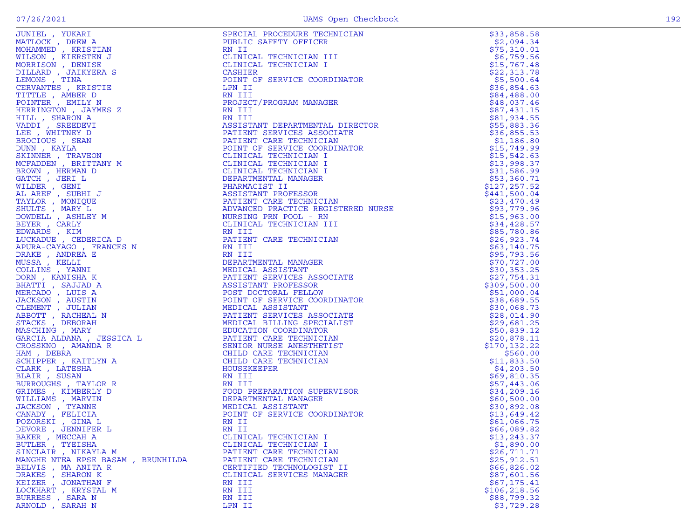| JUNIEL , YUKARI                   | SPECIAL PROCEDURE TECHNICIAN | \$33,858.58                |
|-----------------------------------|------------------------------|----------------------------|
| MATLOCK, DREW A                   | PUBLIC SAFETY OFFICER        | \$2,094.34                 |
| MOHAMMED , KRISTIAN               | RN II                        | \$75,310.01                |
| WILSON , KIERSTEN J               | CLINICAL TECHNICIAN III      | \$6,759.56                 |
| MORRISON, DENISE                  | CLINICAL TECHNICIAN I        | \$15,767.48                |
| DILLARD, JAIKYERA S               | CASHIER                      | \$22,313.78                |
| LEMONS , TINA                     | POINT OF SERVICE COORDINATOR | \$5,500.64                 |
| CERVANTES , KRISTIE               | LPN II                       | \$36,854.63                |
| TITTLE, AMBER D                   | RN III                       | \$84,488.00                |
| POINTER, EMILY N                  | PROJECT/PROGRAM MANAGER      | \$48,037.46                |
| HERRINGTON, JAYMES Z              | RN III                       | \$87,431.15                |
| HILL, SHARON A                    |                              | \$81,934.55                |
| VADDI, SREEDEVI                   |                              | \$55,883.36                |
| LEE , WHITNEY D                   |                              | \$36,855.53                |
| BROCIOUS , SEAN                   |                              | \$1,186.80                 |
| DUNN, KAYLA                       |                              | \$15,749.99                |
| SKINNER, TRAVEON                  |                              | \$15,542.63                |
| MCFADDEN, BRITTANY M              |                              | \$13,998.37                |
| BROWN, HERMAN D                   |                              | \$31,586.99                |
| GATCH, JERI L                     |                              | \$53,360.71                |
| WILDER, GENI                      |                              | \$127, 257.52              |
| AL AREF, SUBHI J                  |                              | \$441,500.04               |
| TAYLOR, MONIQUE                   |                              | \$23,470.49                |
| SHULTS, MARY L                    |                              | \$93,779.96                |
| DOWDELL , ASHLEY M                |                              | \$15,963.00                |
| BEYER, CARLY                      |                              | \$34,428.57                |
| EDWARDS, KIM                      |                              | \$85,780.86                |
| LUCKADUE, CEDERICA D              |                              | \$26,923.74                |
| APURA-CAYAGO , FRANCES N          |                              | \$63,140.75                |
| DRAKE, ANDREA E                   | )CIATE<br>RDINATOR           | \$95,793.56                |
| MUSSA, KELLI<br>COLLINS, YANNI    |                              | \$70,727.00                |
| DORN, KANISHA K                   |                              | \$30,353.25<br>\$27,754.31 |
| BHATTI , SAJJAD A                 |                              | \$309,500.00               |
| MERCADO, LUIS A                   | POST DOCTORAL FELLOW         | \$51,000.04                |
| <b>JACKSON</b> , AUSTIN           | POINT OF SERVICE COORDINATOR | \$38,689.55                |
| CLEMENT , JULIAN                  | MEDICAL ASSISTANT            | \$30,068.73                |
| ABBOTT, RACHEAL N                 | PATIENT SERVICES ASSOCIATE   | \$28,014.90                |
| STACKS, DEBORAH                   | MEDICAL BILLING SPECIALIST   | \$29,681.25                |
| MASCHING, MARY                    | EDUCATION COORDINATOR        | \$50,839.12                |
| GARCIA ALDANA , JESSICA L         | PATIENT CARE TECHNICIAN      | \$20,878.11                |
| CROSSKNO, AMANDA R                | SENIOR NURSE ANESTHETIST     | \$170, 132.22              |
| HAM, DEBRA                        | CHILD CARE TECHNICIAN        | \$560.00                   |
| SCHIPPER, KAITLYN A               | CHILD CARE TECHNICIAN        | \$11,833.50                |
| CLARK, LATESHA                    | HOUSEKEEPER                  | \$4,203.50                 |
| BLAIR, SUSAN                      | RN III                       | \$69,810.35                |
| BURROUGHS, TAYLOR R               | RN III                       | \$57,443.06                |
| GRIMES , KIMBERLY D               | FOOD PREPARATION SUPERVISOR  | \$34,209.16                |
| WILLIAMS , MARVIN                 | DEPARTMENTAL MANAGER         | \$60,500.00                |
| JACKSON, TYANNE                   | MEDICAL ASSISTANT            | \$30,892.08                |
| CANADY, FELICIA                   | POINT OF SERVICE COORDINATOR | \$13,649.42                |
| POZORSKI , GINA L                 | RN II                        | \$61,066.75                |
| DEVORE , JENNIFER L               | RN II                        | \$66,089.82                |
| BAKER, MECCAH A                   | CLINICAL TECHNICIAN I        | \$13, 243.37               |
| BUTLER , TYEISHA                  | CLINICAL TECHNICIAN I        | \$1,890.00                 |
| SINCLAIR, NIKAYLA M               | PATIENT CARE TECHNICIAN      | \$26,711.71                |
| MANGHE NTEA EPSE BASAM, BRUNHILDA | PATIENT CARE TECHNICIAN      | \$25, 912.51               |
| BELVIS , MA ANITA R               | CERTIFIED TECHNOLOGIST II    | \$66,826.02                |
| DRAKES , SHARON K                 | CLINICAL SERVICES MANAGER    | \$87,601.56                |
| KEIZER , JONATHAN F               | RN III                       | \$67,175.41                |
| LOCKHART, KRYSTAL M               | RN III                       | \$106, 218.56              |
| BURRESS, SARA N                   | RN III                       | \$88,799.32                |
| ARNOLD, SARAH N                   | LPN II                       | \$3,729.28                 |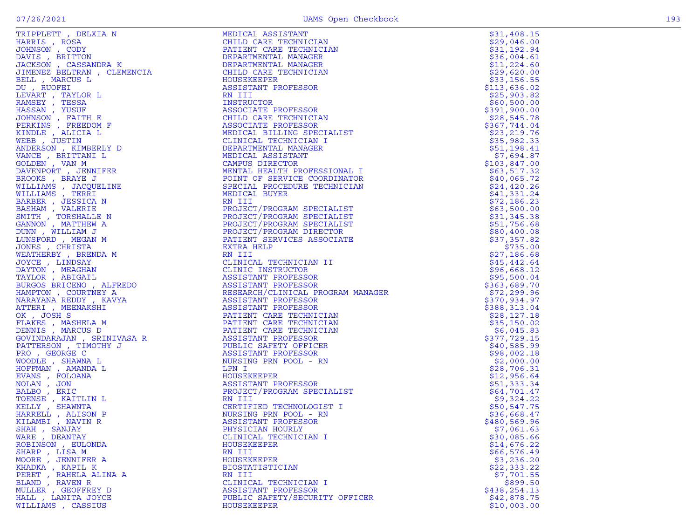|                                                                                                                                                                                                                                                                   |                                                                                                                                                                                                                                                              | \$31,408.15   |
|-------------------------------------------------------------------------------------------------------------------------------------------------------------------------------------------------------------------------------------------------------------------|--------------------------------------------------------------------------------------------------------------------------------------------------------------------------------------------------------------------------------------------------------------|---------------|
|                                                                                                                                                                                                                                                                   |                                                                                                                                                                                                                                                              | \$29,046.00   |
|                                                                                                                                                                                                                                                                   | PATIENT CARE TECHNICIAN                                                                                                                                                                                                                                      | \$31,192.94   |
|                                                                                                                                                                                                                                                                   |                                                                                                                                                                                                                                                              | \$36,004.61   |
|                                                                                                                                                                                                                                                                   |                                                                                                                                                                                                                                                              | \$11, 224.60  |
|                                                                                                                                                                                                                                                                   |                                                                                                                                                                                                                                                              | \$29,620.00   |
|                                                                                                                                                                                                                                                                   |                                                                                                                                                                                                                                                              | \$33,156.55   |
| DU, RUOFEI                                                                                                                                                                                                                                                        | ASSISTANT PROFESSOR                                                                                                                                                                                                                                          | \$113,636.02  |
| LEVART , TAYLOR L                                                                                                                                                                                                                                                 | RN III                                                                                                                                                                                                                                                       | \$25,903.82   |
| RAMSEY, TESSA                                                                                                                                                                                                                                                     | INSTRUCTOR                                                                                                                                                                                                                                                   | \$60,500.00   |
| HASSAN, YUSUF                                                                                                                                                                                                                                                     | ASSOCIATE PROFESSOR                                                                                                                                                                                                                                          | \$391,900.00  |
| JOHNSON, FAITH E                                                                                                                                                                                                                                                  | CHILD CARE TECHNICIAN                                                                                                                                                                                                                                        | \$28,545.78   |
| PERKINS, FREEDOM F                                                                                                                                                                                                                                                | ASSOCIATE PROFESSOR                                                                                                                                                                                                                                          | \$367,744.04  |
| KINDLE, ALICIA L                                                                                                                                                                                                                                                  | MEDICAL BILLING SPECIALIST                                                                                                                                                                                                                                   | \$23, 219.76  |
| WEBB, JUSTIN                                                                                                                                                                                                                                                      | CLINICAL TECHNICIAN I                                                                                                                                                                                                                                        | \$35,982.33   |
| ANDERSON, KIMBERLY D                                                                                                                                                                                                                                              | DEPARTMENTAL MANAGER                                                                                                                                                                                                                                         | \$51,198.41   |
| $\begin{bmatrix} \mathbf{Y} & \mathbf{D} \end{bmatrix}$<br>FER<br>HINE<br>VANCE, BRITTANI L                                                                                                                                                                       | MEDICAL ASSISTANT                                                                                                                                                                                                                                            | \$7,694.87    |
| GOLDEN, VAN M                                                                                                                                                                                                                                                     | CAMPUS DIRECTOR                                                                                                                                                                                                                                              | \$103,847.00  |
| DAVENPORT, JENNIFER                                                                                                                                                                                                                                               | MENTAL HEALTH PROFESSIONAL I                                                                                                                                                                                                                                 | \$63,517.32   |
| BROOKS, BRAYE J                                                                                                                                                                                                                                                   | POINT OF SERVICE COORDINATOR                                                                                                                                                                                                                                 | \$40,065.72   |
| WILLIAMS , JACQUELINE                                                                                                                                                                                                                                             | SPECIAL PROCEDURE TECHNICIAN                                                                                                                                                                                                                                 | \$24,420.26   |
| WILLIAMS , TERRI                                                                                                                                                                                                                                                  | MEDICAL BUYER                                                                                                                                                                                                                                                | \$41,331.24   |
| BARBER, JESSICA N                                                                                                                                                                                                                                                 | RN III                                                                                                                                                                                                                                                       | \$72,186.23   |
| BASHAM, VALERIE                                                                                                                                                                                                                                                   | PROJECT/PROGRAM SPECIALIST                                                                                                                                                                                                                                   | \$63,500.00   |
| SMITH , TORSHALLE N                                                                                                                                                                                                                                               | PROJECT/PROGRAM SPECIALIST                                                                                                                                                                                                                                   | \$31,345.38   |
| GANNON , MATTHEW A                                                                                                                                                                                                                                                | PROJECT/PROGRAM SPECIALIST                                                                                                                                                                                                                                   | \$51,756.68   |
| DUNN, WILLIAM J                                                                                                                                                                                                                                                   | PROJECT/PROGRAM DIRECTOR                                                                                                                                                                                                                                     | \$80,400.08   |
| LUNSFORD, MEGAN M                                                                                                                                                                                                                                                 | PATIENT SERVICES ASSOCIATE                                                                                                                                                                                                                                   | \$37,357.82   |
| JONES , CHRISTA                                                                                                                                                                                                                                                   | EXTRA HELP                                                                                                                                                                                                                                                   | \$735.00      |
|                                                                                                                                                                                                                                                                   |                                                                                                                                                                                                                                                              | \$27,186.68   |
|                                                                                                                                                                                                                                                                   |                                                                                                                                                                                                                                                              | \$45,442.64   |
|                                                                                                                                                                                                                                                                   |                                                                                                                                                                                                                                                              |               |
| JONES , CHRISTA<br>WEATHERBY , BRENDA M<br>JOYCE , LINDSAY<br>DAYTON , MEAGHAN<br>TAYLOR , ABIGAIL<br>BURGOS BRICENO , ALFREDO<br>HAMPTON , COURTNEY A<br>NARAYANA REDDY , KAVYA<br>ATTERI MEENAKSHI                                                              |                                                                                                                                                                                                                                                              | \$96,668.12   |
|                                                                                                                                                                                                                                                                   |                                                                                                                                                                                                                                                              | \$95,500.04   |
|                                                                                                                                                                                                                                                                   |                                                                                                                                                                                                                                                              | \$363,689.70  |
|                                                                                                                                                                                                                                                                   |                                                                                                                                                                                                                                                              | \$72,299.96   |
|                                                                                                                                                                                                                                                                   |                                                                                                                                                                                                                                                              | \$370,934.97  |
|                                                                                                                                                                                                                                                                   |                                                                                                                                                                                                                                                              | \$388,313.04  |
|                                                                                                                                                                                                                                                                   |                                                                                                                                                                                                                                                              | \$28,127.18   |
|                                                                                                                                                                                                                                                                   |                                                                                                                                                                                                                                                              | \$35,150.02   |
|                                                                                                                                                                                                                                                                   |                                                                                                                                                                                                                                                              | \$6,045.83    |
| NARAYANA REDDY , KAVYA<br>ATTERI , MEENAKSHI<br>OK , JOSH S<br>FLAKES , MASHELA M<br>DENNIS , MARCUS D<br>GOVINDARAJAN , SRINIVASA R<br>PATTERSON , TIMOTHY J<br>PRO , GEORGE C<br>WOODLE , SHAWNA L<br>EVANS , FOLOANA<br>NUAN , JON<br>BALBO , ERIC<br>TOENSE , | EXTRA HELP<br>RN III<br>CLINICAL TECHNICIAN II<br>CLINIC INSTRUCTOR<br>ASSISTANT PROFESSOR<br>ASSISTANT PROFESSOR<br>RESERACH/CLINICAL PROGRAM MANAGER<br>ASSISTANT PROFESSOR<br>PATIENT CARE TECHNICIAN<br>PATIENT CARE TECHNICIAN<br>PATIENT CARE TECHNICI | \$377,729.15  |
|                                                                                                                                                                                                                                                                   |                                                                                                                                                                                                                                                              | \$40,585.99   |
|                                                                                                                                                                                                                                                                   |                                                                                                                                                                                                                                                              | \$98,002.18   |
|                                                                                                                                                                                                                                                                   |                                                                                                                                                                                                                                                              | \$2,000.00    |
|                                                                                                                                                                                                                                                                   |                                                                                                                                                                                                                                                              | \$28,706.31   |
|                                                                                                                                                                                                                                                                   | HOUSEKEEPER                                                                                                                                                                                                                                                  | \$12,956.64   |
|                                                                                                                                                                                                                                                                   | ASSISTANT PROFESSOR                                                                                                                                                                                                                                          | \$51,333.34   |
|                                                                                                                                                                                                                                                                   | PROJECT/PROGRAM SPECIALIST                                                                                                                                                                                                                                   | \$64,701.47   |
|                                                                                                                                                                                                                                                                   | RN III                                                                                                                                                                                                                                                       | \$9,324.22    |
|                                                                                                                                                                                                                                                                   | CERTIFIED TECHNOLOGIST I                                                                                                                                                                                                                                     | \$50,547.75   |
|                                                                                                                                                                                                                                                                   | NURSING PRN POOL - RN                                                                                                                                                                                                                                        | \$36,668.47   |
| KILAMBI , NAVIN R                                                                                                                                                                                                                                                 | ASSISTANT PROFESSOR                                                                                                                                                                                                                                          | \$480,569.96  |
| SHAH , SANJAY                                                                                                                                                                                                                                                     | PHYSICIAN HOURLY                                                                                                                                                                                                                                             | \$7,061.63    |
| WARE, DEANTAY                                                                                                                                                                                                                                                     | CLINICAL TECHNICIAN I                                                                                                                                                                                                                                        | \$30,085.66   |
| ROBINSON, EULONDA                                                                                                                                                                                                                                                 | HOUSEKEEPER                                                                                                                                                                                                                                                  | \$14,676.22   |
| SHARP, LISA M                                                                                                                                                                                                                                                     | RN III                                                                                                                                                                                                                                                       | \$66,576.49   |
| MOORE, JENNIFER A                                                                                                                                                                                                                                                 | HOUSEKEEPER                                                                                                                                                                                                                                                  | \$3,236.20    |
| KHADKA, KAPIL K                                                                                                                                                                                                                                                   | <b>BIOSTATISTICIAN</b>                                                                                                                                                                                                                                       | \$22,333.22   |
| PERET, RAHELA ALINA A                                                                                                                                                                                                                                             | RN III                                                                                                                                                                                                                                                       | \$7,701.55    |
| BLAND, RAVEN R                                                                                                                                                                                                                                                    | CLINICAL TECHNICIAN I                                                                                                                                                                                                                                        | \$899.50      |
| MULLER , GEOFFREY D                                                                                                                                                                                                                                               | ASSISTANT PROFESSOR                                                                                                                                                                                                                                          | \$438, 254.13 |
| HALL, LANITA JOYCE                                                                                                                                                                                                                                                | PUBLIC SAFETY/SECURITY OFFICER                                                                                                                                                                                                                               | \$42,878.75   |
| WILLIAMS , CASSIUS                                                                                                                                                                                                                                                | HOUSEKEEPER                                                                                                                                                                                                                                                  | \$10,003.00   |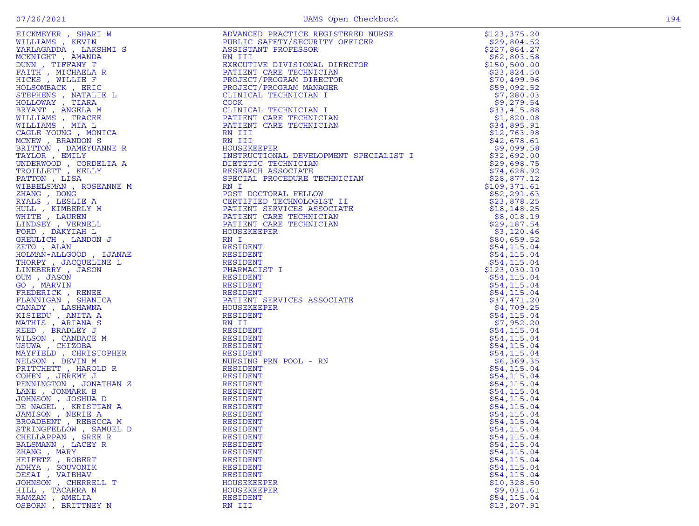| STRINGFELLOW, SAMUEL D | RESIDENT        | \$54,115.04  |
|------------------------|-----------------|--------------|
|                        |                 |              |
| CHELLAPPAN, SREE R     | <b>RESIDENT</b> | \$54,115.04  |
| BALSMANN, LACEY R      | RESIDENT        | \$54,115.04  |
| ZHANG, MARY            | RESIDENT        | \$54,115.04  |
| HEIFETZ , ROBERT       | RESIDENT        | \$54, 115.04 |
| ADHYA , SOUVONIK       | RESIDENT        | \$54, 115.04 |
|                        |                 | \$54, 115.04 |
| DESAI , VAIBHAV        | RESIDENT        |              |
| JOHNSON, CHERRELL T    | HOUSEKEEPER     | \$10,328.50  |
| HILL , TACARRA N       | HOUSEKEEPER     | \$9,031.61   |
| RAMZAN, AMELIA         | RESIDENT        | \$54,115.04  |
| OSBORN, BRITTNEY N     | RN III          | \$13,207.91  |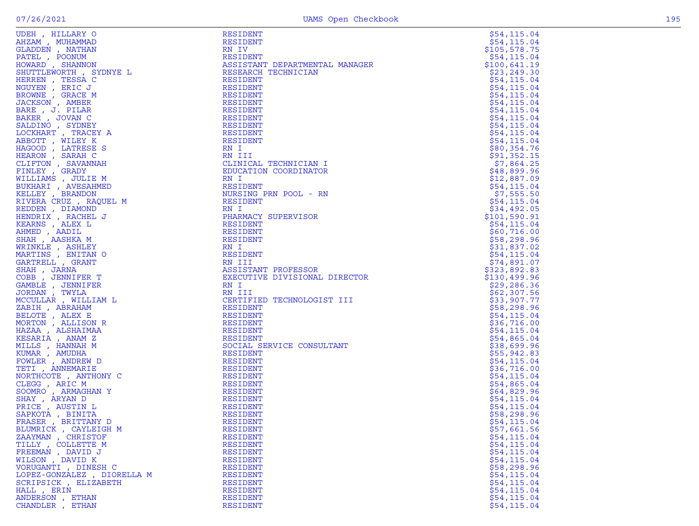| ARY OUTHEAM<br>JHAMMAD<br>, NATHAN<br>, DOONUM<br>RD , SHANNON<br>UTTLEWORTH , SYDNYE L<br>HERREN , TESSA C<br>TIYEN , ERIC J<br>TIE , GRACE M<br>, AMBER<br>PILAR<br>PILAR<br>V C<br>V C<br>TY C | RESIDENT                       | \$54, 115.04               |
|---------------------------------------------------------------------------------------------------------------------------------------------------------------------------------------------------|--------------------------------|----------------------------|
|                                                                                                                                                                                                   | RESIDENT                       | \$54,115.04                |
|                                                                                                                                                                                                   | RN IV                          | \$105,578.75               |
|                                                                                                                                                                                                   | RESIDENT                       | \$54,115.04                |
|                                                                                                                                                                                                   | ASSISTANT DEPARTMENTAL MANAGER | \$100,641.19               |
|                                                                                                                                                                                                   | RESEARCH TECHNICIAN            | \$23,249.30                |
|                                                                                                                                                                                                   | RESIDENT                       | \$54,115.04                |
|                                                                                                                                                                                                   | RESIDENT                       | \$54, 115.04               |
|                                                                                                                                                                                                   | RESIDENT                       | \$54, 115.04               |
|                                                                                                                                                                                                   | RESIDENT                       | \$54,115.04                |
|                                                                                                                                                                                                   | RESIDENT                       | \$54,115.04                |
|                                                                                                                                                                                                   | RESIDENT                       | \$54, 115.04               |
|                                                                                                                                                                                                   | RESIDENT                       | \$54, 115.04               |
|                                                                                                                                                                                                   | RESIDENT                       | \$54, 115.04               |
|                                                                                                                                                                                                   | RESIDENT                       | \$54,115.04                |
|                                                                                                                                                                                                   | RN I                           | \$80,354.76                |
| HEARON, SARAH C                                                                                                                                                                                   | RN III                         | \$91,352.15                |
| CLIFTON , SAVANNAH                                                                                                                                                                                | CLINICAL TECHNICIAN I          | \$7,864.25                 |
| FINLEY, GRADY                                                                                                                                                                                     | EDUCATION COORDINATOR          | \$48,899.96                |
| WILLIAMS, JULIE M                                                                                                                                                                                 | RN I                           | \$12,887.09                |
| BUKHARI , AVESAHMED                                                                                                                                                                               | RESIDENT                       | \$54, 115.04               |
| KELLEY, BRANDON                                                                                                                                                                                   | NURSING PRN POOL - RN          | \$7,555.50                 |
| RIVERA CRUZ, RAQUEL M                                                                                                                                                                             | RESIDENT                       | \$54,115.04                |
| REDDEN, DIAMOND                                                                                                                                                                                   | RN I                           | \$34,492.05                |
| HENDRIX, RACHEL J                                                                                                                                                                                 | PHARMACY SUPERVISOR            | \$101,590.91               |
| KEARNS, ALEX L                                                                                                                                                                                    | RESIDENT                       | \$54,115.04                |
| AHMED, AADIL                                                                                                                                                                                      | RESIDENT<br>RESIDENT           | \$60,716.00                |
| SHAH, AASHKA M                                                                                                                                                                                    | RN I                           | \$58,298.96                |
| WRINKLE, ASHLEY                                                                                                                                                                                   | RESIDENT                       | \$31,837.02                |
| MARTINS, ENITAN O<br>GARTRELL , GRANT                                                                                                                                                             |                                | \$54,115.04<br>\$74,891.07 |
| SHAH, JARNA                                                                                                                                                                                       | RN III<br>ASSISTANT PROFESSOR  | \$323,892.83               |
| COBB, JENNIFER T                                                                                                                                                                                  | EXECUTIVE DIVISIONAL DIRECTOR  | \$130,499.96               |
| GAMBLE , JENNIFER                                                                                                                                                                                 | RN I                           | \$29,286.36                |
| JORDAN, TWYLA                                                                                                                                                                                     | RN III                         | \$62,307.56                |
| MCCULLAR, WILLIAM L                                                                                                                                                                               | CERTIFIED TECHNOLOGIST III     | \$33,907.77                |
| ZABIH , ABRAHAM                                                                                                                                                                                   | RESIDENT                       | \$58,298.96                |
| BELOTE, ALEX E                                                                                                                                                                                    | RESIDENT                       | \$54,115.04                |
| MORTON , ALLISON R                                                                                                                                                                                | RESIDENT                       | \$36,716.00                |
| HAZAA , ALSHAIMAA                                                                                                                                                                                 | RESIDENT                       | \$54,115.04                |
| KESARIA, ANAM Z                                                                                                                                                                                   | RESIDENT                       | \$54,865.04                |
| MILLS, HANNAH M                                                                                                                                                                                   | SOCIAL SERVICE CONSULTANT      | \$38,699.96                |
| KUMAR, AMUDHA                                                                                                                                                                                     | RESIDENT                       | \$55,942.83                |
| FOWLER, ANDREW D                                                                                                                                                                                  | RESIDENT                       | \$54, 115.04               |
| TETI , ANNEMARIE                                                                                                                                                                                  | RESIDENT                       | \$36,716.00                |
| NORTHCOTE, ANTHONY C                                                                                                                                                                              | RESIDENT                       | \$54, 115.04               |
| CLEGG, ARIC M                                                                                                                                                                                     | RESIDENT                       | \$54,865.04                |
| SOOMRO , ARMAGHAN Y                                                                                                                                                                               | RESIDENT                       | \$64,829.96                |
| SHAY, ARYAN D                                                                                                                                                                                     | RESIDENT                       | \$54,115.04                |
| PRICE, AUSTIN L                                                                                                                                                                                   | RESIDENT                       | \$54,115.04                |
| SAPKOTA, BINITA                                                                                                                                                                                   | RESIDENT                       | \$58,298.96                |
| FRASER, BRITTANY D                                                                                                                                                                                | RESIDENT                       | \$54,115.04                |
| BLUMRICK, CAYLEIGH M                                                                                                                                                                              | RESIDENT                       | \$57,661.56                |
| ZAAYMAN, CHRISTOF                                                                                                                                                                                 | RESIDENT                       | \$54,115.04                |
| TILLY, COLLETTE M                                                                                                                                                                                 | <b>RESIDENT</b>                | \$54, 115.04               |
| FREEMAN, DAVID J                                                                                                                                                                                  | RESIDENT                       | \$54, 115.04               |
| WILSON, DAVID K                                                                                                                                                                                   | RESIDENT                       | \$54,115.04                |
| VORUGANTI , DINESH C                                                                                                                                                                              | RESIDENT                       | \$58,298.96                |
| LOPEZ-GONZALEZ, DIORELLA M                                                                                                                                                                        | RESIDENT                       | \$54,115.04                |
| SCRIPSICK, ELIZABETH                                                                                                                                                                              | RESIDENT                       | \$54,115.04                |
| HALL, ERIN                                                                                                                                                                                        | <b>RESIDENT</b>                | \$54,115.04                |
| ANDERSON, ETHAN                                                                                                                                                                                   | RESIDENT                       | \$54,115.04                |
| CHANDLER, ETHAN                                                                                                                                                                                   | RESIDENT                       | \$54, 115.04               |
|                                                                                                                                                                                                   |                                |                            |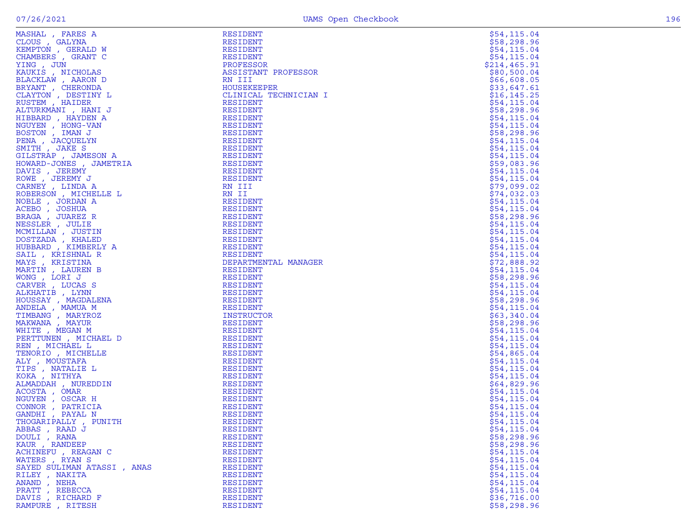| MASHAL, FARES A                                                                                                                                                                                                                                                    | <b>RESIDENT</b>                    | \$54,115.04                |
|--------------------------------------------------------------------------------------------------------------------------------------------------------------------------------------------------------------------------------------------------------------------|------------------------------------|----------------------------|
| CLOUS, GALYNA                                                                                                                                                                                                                                                      | RESIDENT                           | \$58,298.96                |
| KEMPTON, GERALD W                                                                                                                                                                                                                                                  | RESIDENT                           | \$54,115.04                |
| CHAMBERS, GRANT C                                                                                                                                                                                                                                                  | RESIDENT                           | \$54,115.04                |
| YING, JUN                                                                                                                                                                                                                                                          | PROFESSOR                          | \$214,465.91               |
| KAUKIS , NICHOLAS                                                                                                                                                                                                                                                  | ASSISTANT PROFESSOR                | \$80,500.04                |
| BLACKLAW, AARON D                                                                                                                                                                                                                                                  | RN III                             | \$66,608.05                |
| BRYANT , CHERONDA                                                                                                                                                                                                                                                  | <b>HOUSEKEEPER</b>                 | \$33,647.61                |
| CLAYTON, DESTINY L                                                                                                                                                                                                                                                 | CLINICAL TECHNICIAN I              | \$16,145.25                |
|                                                                                                                                                                                                                                                                    | <b>RESIDENT</b>                    | \$54,115.04                |
|                                                                                                                                                                                                                                                                    | RESIDENT                           | \$58,298.96                |
|                                                                                                                                                                                                                                                                    | <b>RESIDENT</b>                    | \$54,115.04                |
|                                                                                                                                                                                                                                                                    | RESIDENT                           | \$54,115.04                |
|                                                                                                                                                                                                                                                                    | RESIDENT                           | \$58,298.96                |
|                                                                                                                                                                                                                                                                    | RESIDENT                           | \$54,115.04                |
|                                                                                                                                                                                                                                                                    | RESIDENT                           | \$54,115.04                |
|                                                                                                                                                                                                                                                                    | RESIDENT                           | \$54, 115.04               |
|                                                                                                                                                                                                                                                                    | RESIDENT                           | \$59,083.96                |
|                                                                                                                                                                                                                                                                    | RESIDENT                           | \$54, 115.04               |
|                                                                                                                                                                                                                                                                    | RESIDENT                           | \$54,115.04                |
|                                                                                                                                                                                                                                                                    | RN III                             | \$79,099.02                |
|                                                                                                                                                                                                                                                                    | RN II                              | \$74,032.03                |
|                                                                                                                                                                                                                                                                    | <b>RESIDENT</b>                    | \$54,115.04                |
|                                                                                                                                                                                                                                                                    | RESIDENT                           | \$54, 115.04               |
|                                                                                                                                                                                                                                                                    | RESIDENT                           | \$58,298.96                |
|                                                                                                                                                                                                                                                                    | RESIDENT                           | \$54, 115.04               |
|                                                                                                                                                                                                                                                                    | RESIDENT                           | \$54,115.04                |
|                                                                                                                                                                                                                                                                    | RESIDENT                           | \$54,115.04                |
|                                                                                                                                                                                                                                                                    | <b>RESIDENT</b><br><b>RESIDENT</b> | \$54,115.04                |
|                                                                                                                                                                                                                                                                    |                                    | \$54,115.04<br>\$72,888.92 |
|                                                                                                                                                                                                                                                                    | DEPARTMENTAL MANAGER               | \$54, 115.04               |
|                                                                                                                                                                                                                                                                    | RESIDENT<br>RESIDENT               | \$58,298.96                |
|                                                                                                                                                                                                                                                                    | RESIDENT                           | \$54,115.04                |
|                                                                                                                                                                                                                                                                    | RESIDENT                           | \$54,115.04                |
|                                                                                                                                                                                                                                                                    | RESIDENT                           | \$58,298.96                |
|                                                                                                                                                                                                                                                                    | RESIDENT                           | \$54,115.04                |
|                                                                                                                                                                                                                                                                    | INSTRUCTOR                         | \$63,340.04                |
|                                                                                                                                                                                                                                                                    | RESIDENT                           | \$58,298.96                |
|                                                                                                                                                                                                                                                                    | RESIDENT                           | \$54,115.04                |
|                                                                                                                                                                                                                                                                    | RESIDENT                           | \$54, 115.04               |
|                                                                                                                                                                                                                                                                    | RESIDENT                           | \$54,115.04                |
|                                                                                                                                                                                                                                                                    | RESIDENT                           | \$54,865.04                |
|                                                                                                                                                                                                                                                                    | RESIDENT                           | \$54,115.04                |
|                                                                                                                                                                                                                                                                    | RESIDENT                           | \$54,115.04                |
|                                                                                                                                                                                                                                                                    | RESIDENT                           | \$54,115.04                |
|                                                                                                                                                                                                                                                                    | RESIDENT                           | \$64,829.96                |
|                                                                                                                                                                                                                                                                    | RESIDENT                           | \$54,115.04                |
|                                                                                                                                                                                                                                                                    | RESIDENT                           | \$54,115.04                |
|                                                                                                                                                                                                                                                                    | RESIDENT                           | \$54,115.04                |
|                                                                                                                                                                                                                                                                    | RESIDENT                           | \$54,115.04                |
|                                                                                                                                                                                                                                                                    | RESIDENT                           | \$54,115.04                |
| CLAYTON, UHBRONDA<br>CLAYTON, DESTINY L<br>RISTEM , HAIDER<br>ALTURKMANI, HANDER<br>ALTURKMANI, HANDER<br>MOUYEN , HONGU-VAN<br>PENA , JACQUELYN<br>PENA , JACQUELYN<br>PENA , JACQUELYN<br>GUSTEN, JACQUELYN<br>GUSTEN, JACQUELYN<br>GUSTEN, JAKES SORUNGAN<br>AC | RESIDENT                           | \$54,115.04                |
| DOULI, RANA                                                                                                                                                                                                                                                        | RESIDENT                           | \$58,298.96                |
| KAUR, RANDEEP                                                                                                                                                                                                                                                      | RESIDENT                           | \$58,298.96                |
| ACHINEFU, REAGAN C                                                                                                                                                                                                                                                 | RESIDENT                           | \$54, 115.04               |
| WATERS, RYAN S                                                                                                                                                                                                                                                     | RESIDENT                           | \$54,115.04                |
| SAYED SULIMAN ATASSI, ANAS                                                                                                                                                                                                                                         | RESIDENT                           | \$54, 115.04               |
| RILEY, NAKITA                                                                                                                                                                                                                                                      | RESIDENT                           | \$54,115.04                |
| ANAND, NEHA                                                                                                                                                                                                                                                        | RESIDENT                           | \$54, 115.04               |
| PRATT, REBECCA                                                                                                                                                                                                                                                     | RESIDENT                           | \$54,115.04                |
| DAVIS, RICHARD F                                                                                                                                                                                                                                                   | RESIDENT                           | \$36,716.00                |
| RAMPURE, RITESH                                                                                                                                                                                                                                                    | RESIDENT                           | \$58,298.96                |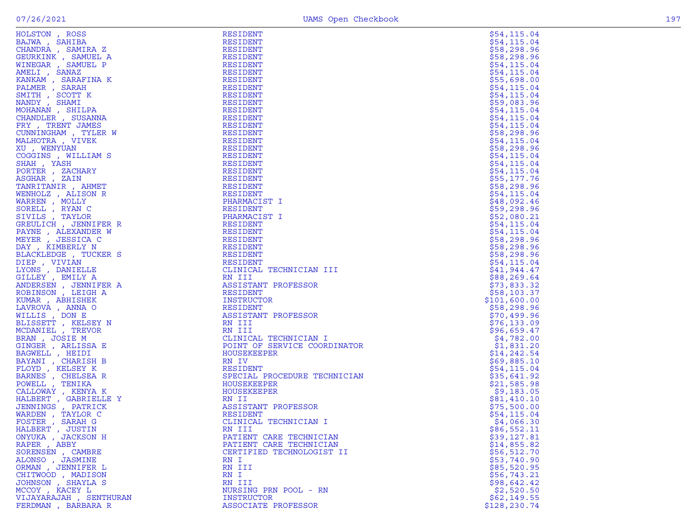| ۰. |  |
|----|--|

| HOLSTON, ROSS                         | RESIDENT                        | \$54, 115.04              |
|---------------------------------------|---------------------------------|---------------------------|
| BAJWA, SAHIBA                         | RESIDENT                        | \$54,115.04               |
| CHANDRA, SAMIRA Z                     | RESIDENT                        | \$58,298.96               |
| GEURKINK , SAMUEL A                   | RESIDENT                        | \$58,298.96               |
| WINEGAR , SAMUEL P                    | RESIDENT                        | \$54,115.04               |
| AMELI , SANAZ                         | RESIDENT                        | \$54,115.04               |
| KANKAM, SARAFINA K                    | RESIDENT                        | \$55,698.00               |
| PALMER, SARAH                         | RESIDENT                        | \$54,115.04               |
| SMITH, SCOTT K                        | RESIDENT                        | \$54,115.04               |
| NANDY, SHAMI                          | RESIDENT                        | \$59,083.96               |
| MOHANAN, SHILPA                       | RESIDENT                        | \$54,115.04               |
| CHANDLER, SUSANNA                     | RESIDENT                        | \$54,115.04               |
| FRY , TRENT JAMES                     | RESIDENT                        | \$54,115.04               |
| CUNNINGHAM, TYLER W                   | RESIDENT                        | \$58,298.96               |
| MALHOTRA, VIVEK                       | RESIDENT                        | \$54, 115.04              |
| XU, WENYUAN                           | RESIDENT                        | \$58,298.96               |
| COGGINS , WILLIAM S                   | RESIDENT                        | \$54,115.04               |
| SHAH, YASH                            | RESIDENT                        | \$54, 115.04              |
| PORTER, ZACHARY                       | RESIDENT                        | \$54, 115.04              |
| ASGHAR , ZAIN                         | RESIDENT                        | \$55,177.76               |
| TANRITANIR, AHMET                     | RESIDENT                        | \$58,298.96               |
| WENHOLZ, ALISON R                     | RESIDENT                        | \$54, 115.04              |
| WARREN, MOLLY                         | PHARMACIST I                    | \$48,092.46               |
| SORELL, RYAN C                        | RESIDENT                        | \$59,298.96               |
| SIVILS, TAYLOR                        | PHARMACIST I                    | \$52,080.21               |
| GREULICH, JENNIFER R                  | RESIDENT                        | \$54, 115.04              |
| PAYNE, ALEXANDER W                    | RESIDENT                        | \$54,115.04               |
| MEYER, JESSICA C                      | RESIDENT                        | \$58,298.96               |
| DAY, KIMBERLY N                       | RESIDENT                        | \$58,298.96               |
| BLACKLEDGE, TUCKER S                  | RESIDENT                        | \$58,298.96               |
| DIEP, VIVIAN                          | RESIDENT                        | \$54,115.04               |
| LYONS, DANIELLE                       | CLINICAL TECHNICIAN III         | \$41,944.47               |
| GILLEY, EMILY A                       | RN III                          | \$88, 269.64              |
| ANDERSEN, JENNIFER A                  | ASSISTANT PROFESSOR             | \$73,833.32               |
| ROBINSON, LEIGH A                     | RESIDENT                        | \$58,103.37               |
| KUMAR, ABHISHEK                       | INSTRUCTOR                      | \$101,600.00              |
| LAVROVA, ANNA O                       | RESIDENT                        | \$58,298.96               |
| WILLIS , DON E                        | ASSISTANT PROFESSOR             | \$70,499.96               |
| BLISSETT, KELSEY N                    | RN III                          | \$76,133.09               |
| MCDANIEL , TREVOR<br>BRAN, JOSIE M    | RN III<br>CLINICAL TECHNICIAN I | \$96,659.47               |
| GINGER , ARLISSA E                    | POINT OF SERVICE COORDINATOR    | \$4,782.00                |
|                                       | HOUSEKEEPER                     | \$1,831.20<br>\$14,242.54 |
| BAGWELL , HEIDI<br>BAYANI , CHARISH B | RN IV                           | \$69,885.10               |
| FLOYD, KELSEY K                       | RESIDENT                        | \$54,115.04               |
| BARNES , CHELSEA R                    | SPECIAL PROCEDURE TECHNICIAN    | \$35,641.92               |
| POWELL , TENIKA                       | HOUSEKEEPER                     | \$21,585.98               |
| CALLOWAY, KENYA K                     | HOUSEKEEPER                     | \$9,183.05                |
| HALBERT, GABRIELLE Y                  | RN II                           | \$81,410.10               |
| JENNINGS, PATRICK                     | ASSISTANT PROFESSOR             | \$75,500.00               |
| WARDEN, TAYLOR C                      | RESIDENT                        | \$54, 115.04              |
| FOSTER, SARAH G                       | CLINICAL TECHNICIAN I           | \$4,066.30                |
| HALBERT, JUSTIN                       | RN III                          | \$86,552.11               |
| ONYUKA, JACKSON H                     | PATIENT CARE TECHNICIAN         | \$39,127.81               |
| RAPER, ABBY                           | PATIENT CARE TECHNICIAN         | \$14,855.82               |
| SORENSEN, CAMBRE                      | CERTIFIED TECHNOLOGIST II       | \$56,512.70               |
| ALONSO, JASMINE                       | RN I                            | \$53,740.90               |
| ORMAN , JENNIFER L                    | RN III                          | \$85,520.95               |
| CHITWOOD , MADISON                    | RN I                            | \$56,743.21               |
| JOHNSON , SHAYLA S                    | RN III                          | \$98,642.42               |
| MCCOY, KACEY L                        | NURSING PRN POOL - RN           | \$2,520.50                |
| VIJAYARAJAH , SENTHURAN               | <b>INSTRUCTOR</b>               | \$62,149.55               |
| FERDMAN, BARBARA R                    | ASSOCIATE PROFESSOR             | \$128,230.74              |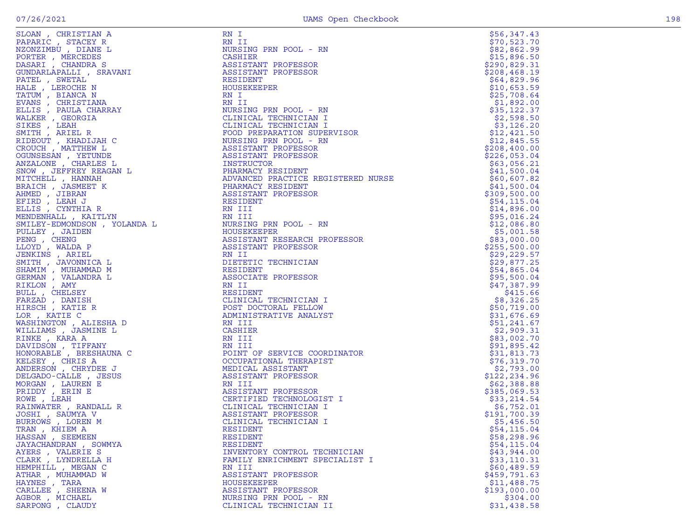| PAPARIC , STACEY R<br>PAPARIC , STACEY R<br>NZONZIMBU , DIANE L                                                                                                                                                                                                |
|----------------------------------------------------------------------------------------------------------------------------------------------------------------------------------------------------------------------------------------------------------------|
|                                                                                                                                                                                                                                                                |
|                                                                                                                                                                                                                                                                |
| PORTER , MERCEDES<br>DASARI , CHANDRA S                                                                                                                                                                                                                        |
|                                                                                                                                                                                                                                                                |
| GUNDARLAPALLI , SRAVANI                                                                                                                                                                                                                                        |
|                                                                                                                                                                                                                                                                |
|                                                                                                                                                                                                                                                                |
|                                                                                                                                                                                                                                                                |
|                                                                                                                                                                                                                                                                |
|                                                                                                                                                                                                                                                                |
|                                                                                                                                                                                                                                                                |
|                                                                                                                                                                                                                                                                |
|                                                                                                                                                                                                                                                                |
| FONDARLAPALLI , SRAVAN<br>PATEL , SWETAL<br>HALE , LEROCHE N<br>TATUM , BIANCA N<br>EVANS , CHRISTIANA<br>ELLIS , PAULA CHARRAY<br>MALKER , GEORGIA<br>SIKES , LEAH<br>SMITH , ARIEL R<br>RIDEOUT , KHADIJAH C<br>CROUCH , MATTHEW L<br>OGUNSESAN . YETUNDE    |
|                                                                                                                                                                                                                                                                |
|                                                                                                                                                                                                                                                                |
|                                                                                                                                                                                                                                                                |
| )<br>OGUNSESÁN , YETUNDE<br>ANZALONE , CHARLES L                                                                                                                                                                                                               |
| SNOW, JEFFREY REAGAN L                                                                                                                                                                                                                                         |
|                                                                                                                                                                                                                                                                |
|                                                                                                                                                                                                                                                                |
|                                                                                                                                                                                                                                                                |
|                                                                                                                                                                                                                                                                |
|                                                                                                                                                                                                                                                                |
| MUTCHELL , HANNAH<br>BRAICH , JASMEET K<br>BRAICH , JASMEET K<br>EFIRD , JIBRAN<br>EFIRD , LEAH J<br>ELLIS , CYNTHIA R<br>MENDENHALL , KAITLYN<br>MENDENHALL , KAITLYN                                                                                         |
|                                                                                                                                                                                                                                                                |
|                                                                                                                                                                                                                                                                |
|                                                                                                                                                                                                                                                                |
|                                                                                                                                                                                                                                                                |
|                                                                                                                                                                                                                                                                |
|                                                                                                                                                                                                                                                                |
|                                                                                                                                                                                                                                                                |
|                                                                                                                                                                                                                                                                |
|                                                                                                                                                                                                                                                                |
|                                                                                                                                                                                                                                                                |
| MENDENHALL , KATTLYN<br>SMILEY , JAIDEN<br>PULLEY , JAIDEN<br>PENG , CHENG<br>LLOYD , WALDA P<br>JENKINS , ARIEL<br>SMITH , JAVONNICA L<br>SHAMIM , MUHAMMAD M<br>JERMAN , VALANDRA L<br>RIKLON , AMY<br>BULL , CHELSEY<br>FARZAD , DANISH<br>HIKSCH . KATIE R |
|                                                                                                                                                                                                                                                                |
|                                                                                                                                                                                                                                                                |
| HIRSCH , KATIE R                                                                                                                                                                                                                                               |
| LOR , KATIE C                                                                                                                                                                                                                                                  |
| WASHINGTON , ALIESHA D<br>WILLIAMS , JASMINE L                                                                                                                                                                                                                 |
|                                                                                                                                                                                                                                                                |
| RINKE , KARA A                                                                                                                                                                                                                                                 |
|                                                                                                                                                                                                                                                                |
| DAVIDSON , TIFFANY<br>HONORABLE , BRESHAUNA C                                                                                                                                                                                                                  |
|                                                                                                                                                                                                                                                                |
| KELSEY , CHRIS A<br>ANDERSON , CHRYDEE J                                                                                                                                                                                                                       |
| DELGADO-CALLE, JESUS                                                                                                                                                                                                                                           |
|                                                                                                                                                                                                                                                                |
|                                                                                                                                                                                                                                                                |
|                                                                                                                                                                                                                                                                |
|                                                                                                                                                                                                                                                                |
| <b>MORGAN , LAUREN E<br/>PRIDDY , ERIN E<br/>ROWE , LEAH</b>                                                                                                                                                                                                   |
| RAINWATER , RANDALL R                                                                                                                                                                                                                                          |
|                                                                                                                                                                                                                                                                |
| JOSHI , SAUMYA V<br>BURROWS , LOREN M                                                                                                                                                                                                                          |
| TRAN , KHIEM A                                                                                                                                                                                                                                                 |
|                                                                                                                                                                                                                                                                |
| HASSAN, SEEMEEN<br>JAYACHANDRAN , SOWMYA                                                                                                                                                                                                                       |
|                                                                                                                                                                                                                                                                |
|                                                                                                                                                                                                                                                                |
|                                                                                                                                                                                                                                                                |
| AYERS , VALERIE S<br>CLARK , LYNDRELLA H<br>HEMPHILL , MEGAN C                                                                                                                                                                                                 |
| ATHAR , MUHAMMAD W                                                                                                                                                                                                                                             |
|                                                                                                                                                                                                                                                                |
| HAYNES , TARA<br>CARLLEE , SHEENA W<br>AGBOR , MICHAEL<br>SARRONG CLAIDY                                                                                                                                                                                       |

| SLOAN , CHRISTIAN A              | RN I                               | \$56,347.43                |
|----------------------------------|------------------------------------|----------------------------|
| PAPARIC, STACEY R                | RN II                              | \$70,523.70                |
| NZONZIMBU, DIANE L               | NURSING PRN POOL - RN              | \$82,862.99                |
| PORTER, MERCEDES                 | CASHIER                            | \$15,896.50                |
| DASARI , CHANDRA S               | ASSISTANT PROFESSOR                | \$290,829.31               |
| GUNDARLAPALLI, SRAVANI           | ASSISTANT PROFESSOR                | \$208,468.19               |
| PATEL, SWETAL                    | RESIDENT                           | \$64,829.96                |
| HALE, LEROCHE N                  | HOUSEKEEPER                        | \$10,653.59                |
| TATUM, BIANCA N                  | RN I                               | \$25,708.64                |
| EVANS, CHRISTIANA                | RN II                              | \$1,892.00                 |
| ELLIS, PAULA CHARRAY             | NURSING PRN POOL - RN              | \$35,122.37                |
| WALKER, GEORGIA                  | CLINICAL TECHNICIAN I              | \$2,598.50                 |
| SIKES , LEAH                     | CLINICAL TECHNICIAN I              | \$3,126.20                 |
| SMITH, ARIEL R                   | FOOD PREPARATION SUPERVISOR        | \$12,421.50                |
| RIDEOUT, KHADIJAH C              | NURSING PRN POOL - RN              | \$12,845.55                |
| CROUCH, MATTHEW L                | ASSISTANT PROFESSOR                | \$208,400.00               |
| OGUNSESAN, YETUNDE               | ASSISTANT PROFESSOR                | \$226,053.04               |
| ANZALONE , CHARLES L             | INSTRUCTOR                         | \$63,056.21                |
| SNOW, JEFFREY REAGAN L           | PHARMACY RESIDENT                  | \$41,500.04                |
| MITCHELL , HANNAH                | ADVANCED PRACTICE REGISTERED NURSE | \$60,607.82                |
| BRAICH, JASMEET K                | PHARMACY RESIDENT                  | \$41,500.04                |
| AHMED, JIBRAN                    | ASSISTANT PROFESSOR                | \$309,500.00               |
| EFIRD, LEAH J                    | RESIDENT                           | \$54,115.04                |
| ELLIS, CYNTHIA R                 | RN III                             | \$14,896.00                |
| MENDENHALL , KAITLYN             | RN III                             | \$95,016.24                |
| SMILEY-EDMONDSON , YOLANDA L     | NURSING PRN POOL - RN              | \$12,086.80                |
| PULLEY, JAIDEN                   | HOUSEKEEPER                        | \$5,001.58                 |
| PENG, CHENG                      | ASSISTANT RESEARCH PROFESSOR       | \$83,000.00                |
| LLOYD, WALDA P                   | ASSISTANT PROFESSOR                | \$255,500.00               |
| JENKINS, ARIEL                   | RN II                              | \$29, 229.57               |
| SMITH , JAVONNICA L              | DIETETIC TECHNICIAN                | \$29,877.25                |
| SHAMIM, MUHAMMAD M               | RESIDENT                           | \$54,865.04                |
| GERMAN , VALANDRA L              | ASSOCIATE PROFESSOR<br>RN II       | \$95,500.04                |
| RIKLON , AMY                     |                                    | \$47,387.99                |
| BULL, CHELSEY<br>FARZAD , DANISH | RESIDENT<br>CLINICAL TECHNICIAN I  | \$415.66<br>\$8,326.25     |
| HIRSCH, KATIE R                  | POST DOCTORAL FELLOW               | \$50,719.00                |
| LOR, KATIE C                     | ADMINISTRATIVE ANALYST             |                            |
| WASHINGTON, ALIESHA D            | RN III                             | \$31,676.69<br>\$51,241.67 |
| WILLIAMS , JASMINE L             | CASHIER                            | \$2,909.31                 |
| RINKE, KARA A                    | RN III                             | \$83,002.70                |
| DAVIDSON, TIFFANY                | RN III                             | \$91,895.42                |
| HONORABLE , BRESHAUNA C          | POINT OF SERVICE COORDINATOR       | \$31,813.73                |
| KELSEY, CHRIS A                  | OCCUPATIONAL THERAPIST             | \$76,319.70                |
| ANDERSON, CHRYDEE J              | MEDICAL ASSISTANT                  | \$2,793.00                 |
| DELGADO-CALLE , JESUS            | ASSISTANT PROFESSOR                | \$122,234.96               |
| MORGAN , LAUREN E                | RN III                             | \$62,388.88                |
| PRIDDY, ERIN E                   | ASSISTANT PROFESSOR                | \$385,069.53               |
| ROWE, LEAH                       | CERTIFIED TECHNOLOGIST I           | \$33, 214.54               |
| RAINWATER, RANDALL R             | CLINICAL TECHNICIAN I              | \$6,752.01                 |
| JOSHI , SAUMYA V                 | ASSISTANT PROFESSOR                | \$191,700.39               |
| BURROWS, LOREN M                 | CLINICAL TECHNICIAN I              | \$5,456.50                 |
| TRAN, KHIEM A                    | RESIDENT                           | \$54,115.04                |
| HASSAN, SEEMEEN                  | RESIDENT                           | \$58,298.96                |
| JAYACHANDRAN , SOWMYA            | RESIDENT                           | \$54, 115.04               |
| AYERS, VALERIE S                 | INVENTORY CONTROL TECHNICIAN       | \$43,944.00                |
| CLARK, LYNDRELLA H               | FAMILY ENRICHMENT SPECIALIST I     | \$33,110.31                |
| HEMPHILL , MEGAN C               | RN III                             | \$60,489.59                |
| ATHAR , MUHAMMAD W               | ASSISTANT PROFESSOR                | \$459,791.63               |
| HAYNES, TARA                     | <b>HOUSEKEEPER</b>                 | \$11,488.75                |
| CARLLEE , SHEENA W               | ASSISTANT PROFESSOR                | \$193,000.00               |
| AGBOR , MICHAEL                  | NURSING PRN POOL - RN              | \$304.00                   |
| SARPONG, CLAUDY                  | CLINICAL TECHNICIAN II             | \$31,438.58                |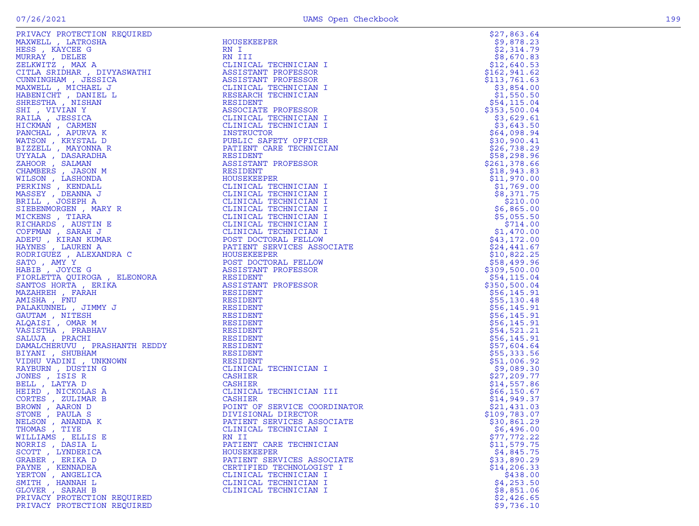|                             |                              | \$27,863.64   |
|-----------------------------|------------------------------|---------------|
|                             |                              | \$9,878.23    |
|                             |                              | \$2,314.79    |
|                             |                              | \$8,670.83    |
|                             | CLINICAL TECHNICIAN I        | \$12,640.53   |
|                             | ASSISTANT PROFESSOR          | \$162, 941.62 |
|                             | ASSISTANT PROFESSOR          | \$113,761.63  |
|                             | CLINICAL TECHNICIAN I        | \$3,854.00    |
|                             | RESEARCH TECHNICIAN          | \$1,550.50    |
|                             |                              | \$54,115.04   |
|                             | ASSOCIATE PROFESSOR          | \$353,500.04  |
|                             | CLINICAL TECHNICIAN I        | \$3,629.61    |
|                             | CLINICAL TECHNICIAN I        | \$3,643.50    |
|                             |                              | \$64,098.94   |
|                             | PUBLIC SAFETY OFFICER        | \$30,900.41   |
|                             | PATIENT CARE TECHNICIAN      | \$26,738.29   |
|                             |                              | \$58,298.96   |
|                             | ASSISTANT PROFESSOR          | \$261,378.66  |
|                             |                              | \$18,943.83   |
|                             |                              |               |
|                             |                              | \$11,970.00   |
|                             | CLINICAL TECHNICIAN I        | \$1,769.00    |
|                             | CLINICAL TECHNICIAN I        | \$8,371.75    |
|                             | CLINICAL TECHNICIAN I        | \$210.00      |
|                             | CLINICAL TECHNICIAN I        | \$6,865.00    |
|                             | CLINICAL TECHNICIAN I        | \$5,055.50    |
|                             | CLINICAL TECHNICIAN I        | \$714.00      |
|                             | CLINICAL TECHNICIAN I        | \$1,470.00    |
|                             | POST DOCTORAL FELLOW         | \$43,172.00   |
|                             | PATIENT SERVICES ASSOCIATE   | \$24,441.67   |
|                             | HOUSEKEEPER                  | \$10,822.25   |
|                             | POST DOCTORAL FELLOW         | \$58,499.96   |
|                             | ASSISTANT PROFESSOR          | \$309,500.00  |
|                             | RESIDENT                     | \$54,115.04   |
|                             | ASSISTANT PROFESSOR          | \$350,500.04  |
|                             | RESIDENT                     | \$56,145.91   |
|                             | RESIDENT                     | \$55,130.48   |
|                             | RESIDENT                     | \$56, 145.91  |
|                             | RESIDENT                     | \$56, 145.91  |
|                             | RESIDENT                     | \$56,145.91   |
|                             | RESIDENT                     | \$54,521.21   |
|                             | RESIDENT                     | \$56,145.91   |
|                             | RESIDENT                     | \$57,604.64   |
|                             | RESIDENT                     | \$55,333.56   |
|                             | RESIDENT                     | \$51,006.92   |
|                             | CLINICAL TECHNICIAN I        | \$9,089.30    |
|                             | CASHIER                      | \$27,209.77   |
| BELL, LATYA D               | CASHIER                      | \$14,557.86   |
| HEIRD, NICKOLAS A           | CLINICAL TECHNICIAN III      | \$66,150.67   |
| CORTES, ZULIMAR B           | CASHIER                      | \$14,949.37   |
| BROWN, AARON D              | POINT OF SERVICE COORDINATOR | \$21,431.03   |
| STONE, PAULA S              | DIVISIONAL DIRECTOR          | \$109,783.07  |
| NELSON, ANANDA K            | PATIENT SERVICES ASSOCIATE   | \$30,861.29   |
| THOMAS, TIYE                | CLINICAL TECHNICIAN I        | \$6,496.00    |
| WILLIAMS, ELLIS E           | RN II                        | \$77,772.22   |
| NORRIS, DASIA L             | PATIENT CARE TECHNICIAN      | \$11,579.75   |
| SCOTT, LYNDERICA            | <b>HOUSEKEEPER</b>           | \$4,845.75    |
| GRABER, ERIKA D             | PATIENT SERVICES ASSOCIATE   | \$33,890.29   |
| PAYNE, KENNADEA             | CERTIFIED TECHNOLOGIST I     | \$14,206.33   |
| YERTON, ANGELICA            | CLINICAL TECHNICIAN I        | \$438.00      |
| SMITH , HANNAH L            | CLINICAL TECHNICIAN I        | \$4,253.50    |
| GLOVER, SARAH B             | CLINICAL TECHNICIAN I        | \$8,851.06    |
| PRIVACY PROTECTION REQUIRED |                              | \$2,426.65    |
| PRIVACY PROTECTION REQUIRED |                              | \$9,736.10    |

| 511<br>\$\$<br>ななでならない ろう<br>\$ | トター161\$ター55\$ター6325611\$ター<br>48223314333406818118                                                                                     |                                                                                                                                                                                                                                   |                                                                                                               |
|---------------------------------|-----------------------------------------------------------------------------------------------------------------------------------------|-----------------------------------------------------------------------------------------------------------------------------------------------------------------------------------------------------------------------------------|---------------------------------------------------------------------------------------------------------------|
|                                 | <b>440</b>                                                                                                                              |                                                                                                                                                                                                                                   |                                                                                                               |
| \$                              | メディア・スタイン インスタイン スタイン COP スタCP コンスタイン スタイン スタイン スタイン スタイン スタインスタイ<br>65 13408940656664675197464190671<br>\$421505555555555582161203\$71 | <b>っ6697851566097239973280741484515111115163002519478475</b><br>+7 4 4 6 5 5 1 0 2 4 9 0 3 9 7 4 7 6 7 1 6 5 1 7 7 4 2 9 0 1 0 4 3 4 4 4 2 4 0 3 0 8 0 5 5 4 3 8 6 9 7 7<br>〒0011405093808883091055402129050505551543699709131629 | ,8566050065942968007005000629000949992965937863002027<br>2332300441041966300500000756044181111146207677379025 |
|                                 | $54$<br>$533$<br>$514$<br>\$48<br>\$\$29                                                                                                | , 84<br>, 89<br>, 24<br>, 25<br>, 42<br>, 73<br>, 73<br>50683166                                                                                                                                                                  | $.759$<br>$.233$<br>$.006$<br>$.65$<br>$.65$<br>$.10$                                                         |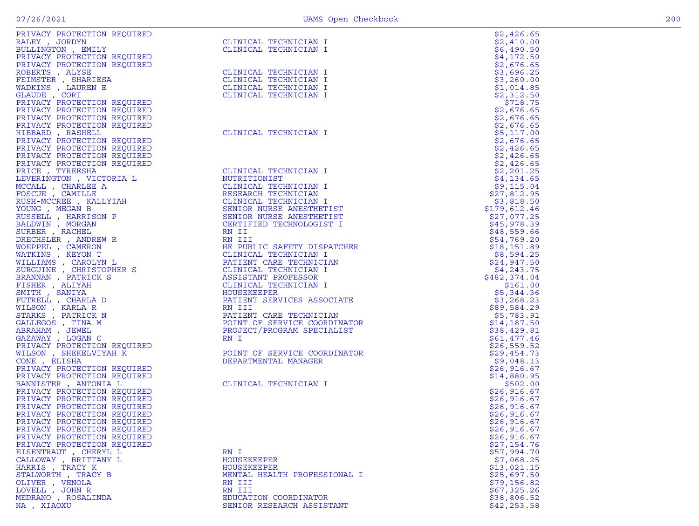| PRIVACY PROTECTION REQUIRED                                                                                                                                                                                                                                                                                                                                                                                                                                                |                                                                                                                                                                                                                                                     | \$2,426.65   |
|----------------------------------------------------------------------------------------------------------------------------------------------------------------------------------------------------------------------------------------------------------------------------------------------------------------------------------------------------------------------------------------------------------------------------------------------------------------------------|-----------------------------------------------------------------------------------------------------------------------------------------------------------------------------------------------------------------------------------------------------|--------------|
| RALEY, JORDYN                                                                                                                                                                                                                                                                                                                                                                                                                                                              | CLINICAL TECHNICIAN I                                                                                                                                                                                                                               | \$2,410.00   |
| BULLINGTON, EMILY                                                                                                                                                                                                                                                                                                                                                                                                                                                          | CLINICAL TECHNICIAN I                                                                                                                                                                                                                               | \$6,490.50   |
| PRIVACY PROTECTION REQUIRED<br>$\begin{array}{lll} \texttt{\tt \&\,} \\ \texttt{\tt \&\,} \\ \texttt{\tt \&\,} \\ \texttt{\tt \&\,} \\ \texttt{\tt \&\,} \\ \texttt{\tt \&\,} \\ \texttt{\tt \&\,} \\ \texttt{\tt \&\,} \\ \texttt{\tt \&\,} \\ \texttt{\tt \&\,} \\ \texttt{\tt \&\,} \\ \texttt{\tt \&\,} \\ \texttt{\tt \&\,} \\ \texttt{\tt \&\,} \\ \texttt{\tt \&\,} \\ \texttt{\tt \&\,} \\ \texttt{\tt \&\,} \\ \texttt{\tt \&\,} \\ \texttt{\tt \&\,} \\ \texttt$ |                                                                                                                                                                                                                                                     | \$4,172.50   |
|                                                                                                                                                                                                                                                                                                                                                                                                                                                                            |                                                                                                                                                                                                                                                     |              |
| PRIVACY PROTECTION REQUIRED                                                                                                                                                                                                                                                                                                                                                                                                                                                |                                                                                                                                                                                                                                                     | \$2,676.65   |
| ROBERTS, ALYSE                                                                                                                                                                                                                                                                                                                                                                                                                                                             | CLINICAL TECHNICIAN I                                                                                                                                                                                                                               | \$3,696.25   |
| FEIMSTER , SHARIESA                                                                                                                                                                                                                                                                                                                                                                                                                                                        | CLINICAL TECHNICIAN I                                                                                                                                                                                                                               | \$3,260.00   |
| WADKINS, LAUREN E                                                                                                                                                                                                                                                                                                                                                                                                                                                          | CLINICAL TECHNICIAN I                                                                                                                                                                                                                               | \$1,014.85   |
| GLAUDE, CORI                                                                                                                                                                                                                                                                                                                                                                                                                                                               | CLINICAL TECHNICIAN I                                                                                                                                                                                                                               | \$2,312.50   |
| PRIVACY PROTECTION REQUIRED                                                                                                                                                                                                                                                                                                                                                                                                                                                |                                                                                                                                                                                                                                                     | \$718.75     |
| PRIVACY PROTECTION REQUIRED                                                                                                                                                                                                                                                                                                                                                                                                                                                |                                                                                                                                                                                                                                                     | \$2,676.65   |
| PRIVACY PROTECTION REOUIRED                                                                                                                                                                                                                                                                                                                                                                                                                                                |                                                                                                                                                                                                                                                     | \$2,676.65   |
| PRIVACY PROTECTION REQUIRED                                                                                                                                                                                                                                                                                                                                                                                                                                                |                                                                                                                                                                                                                                                     | \$2,676.65   |
| HIBBARD, RASHELL                                                                                                                                                                                                                                                                                                                                                                                                                                                           | CLINICAL TECHNICIAN I                                                                                                                                                                                                                               | \$5,117.00   |
| PRIVACY PROTECTION REQUIRED                                                                                                                                                                                                                                                                                                                                                                                                                                                |                                                                                                                                                                                                                                                     | \$2,676.65   |
| PRIVACY PROTECTION REQUIRED                                                                                                                                                                                                                                                                                                                                                                                                                                                |                                                                                                                                                                                                                                                     | \$2,426.65   |
| PRIVACY PROTECTION REQUIRED                                                                                                                                                                                                                                                                                                                                                                                                                                                |                                                                                                                                                                                                                                                     | \$2,426.65   |
| PRIVACY PROTECTION REQUIRED                                                                                                                                                                                                                                                                                                                                                                                                                                                |                                                                                                                                                                                                                                                     | \$2,426.65   |
|                                                                                                                                                                                                                                                                                                                                                                                                                                                                            |                                                                                                                                                                                                                                                     | \$2,201.25   |
|                                                                                                                                                                                                                                                                                                                                                                                                                                                                            |                                                                                                                                                                                                                                                     | \$4,134.65   |
|                                                                                                                                                                                                                                                                                                                                                                                                                                                                            |                                                                                                                                                                                                                                                     | \$9,115.04   |
|                                                                                                                                                                                                                                                                                                                                                                                                                                                                            |                                                                                                                                                                                                                                                     | \$27,812.95  |
|                                                                                                                                                                                                                                                                                                                                                                                                                                                                            |                                                                                                                                                                                                                                                     |              |
|                                                                                                                                                                                                                                                                                                                                                                                                                                                                            |                                                                                                                                                                                                                                                     | \$3,818.50   |
|                                                                                                                                                                                                                                                                                                                                                                                                                                                                            |                                                                                                                                                                                                                                                     | \$179,612.46 |
|                                                                                                                                                                                                                                                                                                                                                                                                                                                                            |                                                                                                                                                                                                                                                     | \$27,077.25  |
|                                                                                                                                                                                                                                                                                                                                                                                                                                                                            |                                                                                                                                                                                                                                                     | \$45,978.39  |
|                                                                                                                                                                                                                                                                                                                                                                                                                                                                            |                                                                                                                                                                                                                                                     | \$48,559.66  |
|                                                                                                                                                                                                                                                                                                                                                                                                                                                                            | PRIVACY FROMENTION REQUIRED<br>PRICE , TYPERSHAN REQUIRED<br>DERIGNATION REQUIRED<br>DERIGNATION , VICTORIA L<br>NECEL , CARLES A<br>NOCALL , CHANLES A<br>NOCALL , CHANLES A<br>NOCALL , CHANLES A<br>NORMAN REQUIRED<br>CLINICAL TECHNICIAN I<br> | \$54,769.20  |
|                                                                                                                                                                                                                                                                                                                                                                                                                                                                            |                                                                                                                                                                                                                                                     | \$18,151.89  |
|                                                                                                                                                                                                                                                                                                                                                                                                                                                                            |                                                                                                                                                                                                                                                     | \$8,594.25   |
|                                                                                                                                                                                                                                                                                                                                                                                                                                                                            |                                                                                                                                                                                                                                                     | \$24,947.50  |
|                                                                                                                                                                                                                                                                                                                                                                                                                                                                            |                                                                                                                                                                                                                                                     | \$4, 243.75  |
|                                                                                                                                                                                                                                                                                                                                                                                                                                                                            |                                                                                                                                                                                                                                                     | \$482,374.04 |
|                                                                                                                                                                                                                                                                                                                                                                                                                                                                            |                                                                                                                                                                                                                                                     | \$161.00     |
|                                                                                                                                                                                                                                                                                                                                                                                                                                                                            |                                                                                                                                                                                                                                                     | \$5,344.36   |
|                                                                                                                                                                                                                                                                                                                                                                                                                                                                            |                                                                                                                                                                                                                                                     | \$3,268.23   |
|                                                                                                                                                                                                                                                                                                                                                                                                                                                                            |                                                                                                                                                                                                                                                     | \$89,584.29  |
|                                                                                                                                                                                                                                                                                                                                                                                                                                                                            |                                                                                                                                                                                                                                                     | \$5,783.91   |
|                                                                                                                                                                                                                                                                                                                                                                                                                                                                            |                                                                                                                                                                                                                                                     | \$14,187.50  |
|                                                                                                                                                                                                                                                                                                                                                                                                                                                                            |                                                                                                                                                                                                                                                     | \$38,429.81  |
|                                                                                                                                                                                                                                                                                                                                                                                                                                                                            |                                                                                                                                                                                                                                                     | \$61,477.46  |
|                                                                                                                                                                                                                                                                                                                                                                                                                                                                            |                                                                                                                                                                                                                                                     |              |
|                                                                                                                                                                                                                                                                                                                                                                                                                                                                            |                                                                                                                                                                                                                                                     | \$26,559.52  |
|                                                                                                                                                                                                                                                                                                                                                                                                                                                                            |                                                                                                                                                                                                                                                     | \$29,454.73  |
|                                                                                                                                                                                                                                                                                                                                                                                                                                                                            |                                                                                                                                                                                                                                                     | \$9,048.13   |
|                                                                                                                                                                                                                                                                                                                                                                                                                                                                            |                                                                                                                                                                                                                                                     | \$26, 916.67 |
|                                                                                                                                                                                                                                                                                                                                                                                                                                                                            |                                                                                                                                                                                                                                                     | \$14,880.95  |
|                                                                                                                                                                                                                                                                                                                                                                                                                                                                            |                                                                                                                                                                                                                                                     | \$502.00     |
| PRIVACY PROTECTION REQUIRED                                                                                                                                                                                                                                                                                                                                                                                                                                                |                                                                                                                                                                                                                                                     | \$26, 916.67 |
| PRIVACY PROTECTION REQUIRED                                                                                                                                                                                                                                                                                                                                                                                                                                                |                                                                                                                                                                                                                                                     | \$26,916.67  |
| PRIVACY PROTECTION REQUIRED                                                                                                                                                                                                                                                                                                                                                                                                                                                |                                                                                                                                                                                                                                                     | \$26,916.67  |
| PRIVACY PROTECTION REQUIRED                                                                                                                                                                                                                                                                                                                                                                                                                                                |                                                                                                                                                                                                                                                     | \$26,916.67  |
| PRIVACY PROTECTION REQUIRED                                                                                                                                                                                                                                                                                                                                                                                                                                                |                                                                                                                                                                                                                                                     | \$26,916.67  |
| PRIVACY PROTECTION REOUIRED                                                                                                                                                                                                                                                                                                                                                                                                                                                |                                                                                                                                                                                                                                                     | \$26,916.67  |
| PRIVACY PROTECTION REQUIRED                                                                                                                                                                                                                                                                                                                                                                                                                                                |                                                                                                                                                                                                                                                     | \$26,916.67  |
| PRIVACY PROTECTION REQUIRED                                                                                                                                                                                                                                                                                                                                                                                                                                                |                                                                                                                                                                                                                                                     | \$27,154.76  |
| EISENTRAUT , CHERYL L                                                                                                                                                                                                                                                                                                                                                                                                                                                      | RN I                                                                                                                                                                                                                                                | \$57,994.70  |
| CALLOWAY, BRITTANY L                                                                                                                                                                                                                                                                                                                                                                                                                                                       | HOUSEKEEPER                                                                                                                                                                                                                                         | \$7,068.25   |
| HARRIS, TRACY K                                                                                                                                                                                                                                                                                                                                                                                                                                                            | HOUSEKEEPER                                                                                                                                                                                                                                         | \$13,021.15  |
| STALWORTH, TRACY B                                                                                                                                                                                                                                                                                                                                                                                                                                                         | MENTAL HEALTH PROFESSIONAL I                                                                                                                                                                                                                        | \$25,697.50  |
| OLIVER, VENOLA                                                                                                                                                                                                                                                                                                                                                                                                                                                             | RN III                                                                                                                                                                                                                                              | \$79,156.82  |
|                                                                                                                                                                                                                                                                                                                                                                                                                                                                            | RN III                                                                                                                                                                                                                                              | \$67,325.26  |
| LOVELL , JOHN R                                                                                                                                                                                                                                                                                                                                                                                                                                                            |                                                                                                                                                                                                                                                     | \$38,806.52  |
| MEDRANO , ROSALINDA                                                                                                                                                                                                                                                                                                                                                                                                                                                        | EDUCATION COORDINATOR                                                                                                                                                                                                                               |              |
| NA, XIAOXU                                                                                                                                                                                                                                                                                                                                                                                                                                                                 | SENIOR RESEARCH ASSISTANT                                                                                                                                                                                                                           | \$42, 253.58 |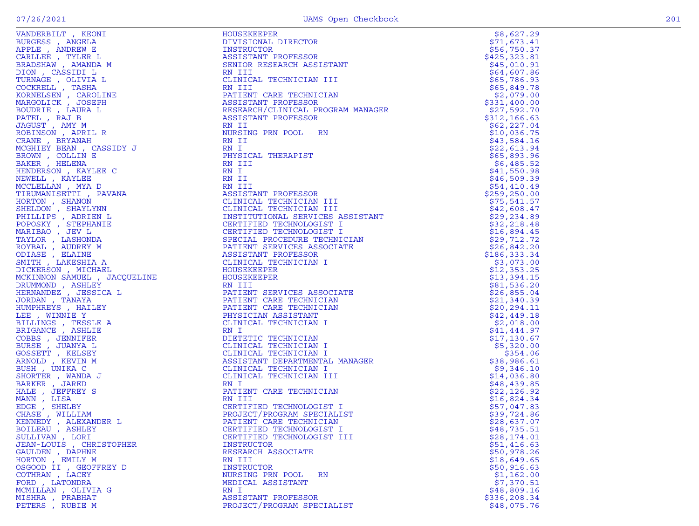| ᆠᇿᆈᇰᆄᇺ                                                                                                                                                                  |
|-------------------------------------------------------------------------------------------------------------------------------------------------------------------------|
| * HEZELS – ANGELA<br>APPLE , ANDREW E<br>CARLLEE , TYLER L<br>BRADSHAW , AMANDA M<br>TAQUERAW , AMANDA M                                                                |
|                                                                                                                                                                         |
|                                                                                                                                                                         |
|                                                                                                                                                                         |
| DION , CASSIDI L                                                                                                                                                        |
|                                                                                                                                                                         |
| TURNAGE, OLIVIA L                                                                                                                                                       |
|                                                                                                                                                                         |
|                                                                                                                                                                         |
| COCKRELL , TASHA<br>KORNELSEN , CAROLINE<br>MARGOLICK , JOSEPH<br>BOUDRIE , LAURA L                                                                                     |
|                                                                                                                                                                         |
| PATEL, RAJ B                                                                                                                                                            |
| JAGUST, AMY M                                                                                                                                                           |
| ROBINSON, APRIL R                                                                                                                                                       |
| CRANE, BRYANAH                                                                                                                                                          |
| MCGHIEY BEAN, CASSIDY J                                                                                                                                                 |
| BROWN , COLLIN E<br>BAKER , HELENA                                                                                                                                      |
|                                                                                                                                                                         |
| HENDERSON, KAYLEE C                                                                                                                                                     |
| NEWELL , KAYLEE                                                                                                                                                         |
| MCCLELLAN , MYA D                                                                                                                                                       |
| TIRUMANISETTI , PAVANA                                                                                                                                                  |
| HORTON , SHANON<br>SHELDON , SHAYLYNN<br>PHILLIPS , ADRIEN L<br>POPOSKY , STEPHANIE<br>MARIBAO , JEV L                                                                  |
|                                                                                                                                                                         |
|                                                                                                                                                                         |
|                                                                                                                                                                         |
|                                                                                                                                                                         |
| TAYLOR, LASHONDA                                                                                                                                                        |
| ROYBAL , AUDREY M                                                                                                                                                       |
| ODIASE, ELAINE                                                                                                                                                          |
| SMITH , LAKESHIA A                                                                                                                                                      |
| DICKERSON, MICHAEL                                                                                                                                                      |
| MCKINNON SAMUEL , JACQUELINE                                                                                                                                            |
|                                                                                                                                                                         |
| .<br>DRUMMOND , ASHLEY<br>HERNANDEZ , JESSICA L                                                                                                                         |
| JORDAN , TANAYA                                                                                                                                                         |
| HUMPHREYS , HAILEY                                                                                                                                                      |
| LEE , WINNIE Y                                                                                                                                                          |
|                                                                                                                                                                         |
| BILLINGS , TESSLE A<br>BRIGANCE , ASHLIE                                                                                                                                |
|                                                                                                                                                                         |
| COBBS, JENNIFER                                                                                                                                                         |
| BURSE, JUANYA L                                                                                                                                                         |
| GOSSETT , KELSEY<br>ARNOLD , KEVIN M<br>BUSH , UNIKA C                                                                                                                  |
|                                                                                                                                                                         |
|                                                                                                                                                                         |
| SHORTER, WANDA J                                                                                                                                                        |
| BARKER, JARED                                                                                                                                                           |
| HALE, JEFFREY S                                                                                                                                                         |
| MANN, LISA                                                                                                                                                              |
|                                                                                                                                                                         |
|                                                                                                                                                                         |
|                                                                                                                                                                         |
|                                                                                                                                                                         |
| MANN , LILAR<br>EDGE , SHELBY<br>CHASE , WILLIAM<br>KENNEDY , ALEXANDER L<br>BOILEAU , ASHLEY<br>JULLIVAN , LORI<br>JEAN-LOUIS , CHRISTOPHER<br>GAN-LOUIS , CHRISTOPHER |
|                                                                                                                                                                         |
| GAULDEN, DAPHNE                                                                                                                                                         |
| HORTON , EMILY M                                                                                                                                                        |
| OSGOOD II , GEOFFREY D                                                                                                                                                  |
| COTHRAN, LACEY                                                                                                                                                          |
| FORD, LATONDRA                                                                                                                                                          |
| MCMILLAN, OLIVIA G                                                                                                                                                      |
| MISHRA , PRABHAT                                                                                                                                                        |
|                                                                                                                                                                         |

| VANDERBILT, KEONI                                                                                                                                                                                                                                    | <b>HOUSEKEEPER</b>                                                                                                                                                                                                                                     | \$8,627.29    |
|------------------------------------------------------------------------------------------------------------------------------------------------------------------------------------------------------------------------------------------------------|--------------------------------------------------------------------------------------------------------------------------------------------------------------------------------------------------------------------------------------------------------|---------------|
|                                                                                                                                                                                                                                                      | DIVISIONAL DIRECTOR                                                                                                                                                                                                                                    | \$71,673.41   |
|                                                                                                                                                                                                                                                      | INSTRUCTOR                                                                                                                                                                                                                                             | \$56,750.37   |
|                                                                                                                                                                                                                                                      |                                                                                                                                                                                                                                                        |               |
|                                                                                                                                                                                                                                                      | ASSISTANT PROFESSOR                                                                                                                                                                                                                                    | \$425,323.81  |
|                                                                                                                                                                                                                                                      | SENIOR RESEARCH ASSISTANT                                                                                                                                                                                                                              | \$45,010.91   |
|                                                                                                                                                                                                                                                      | RN III                                                                                                                                                                                                                                                 | \$64,607.86   |
|                                                                                                                                                                                                                                                      | CLINICAL TECHNICIAN III                                                                                                                                                                                                                                | \$65,786.93   |
|                                                                                                                                                                                                                                                      |                                                                                                                                                                                                                                                        |               |
|                                                                                                                                                                                                                                                      | RN III                                                                                                                                                                                                                                                 | \$65,849.78   |
|                                                                                                                                                                                                                                                      | PATIENT CARE TECHNICIAN                                                                                                                                                                                                                                | \$2,079.00    |
|                                                                                                                                                                                                                                                      |                                                                                                                                                                                                                                                        | \$331,400.00  |
|                                                                                                                                                                                                                                                      | PATIENT CARE TECHNICIAN<br>ASSISTANT PROFESSOR<br>RESEARCH/CLINICAL PROGRAM MANAGER<br>ASSISTANT PROFESSOR                                                                                                                                             | \$27,592.70   |
|                                                                                                                                                                                                                                                      |                                                                                                                                                                                                                                                        | \$312, 166.63 |
|                                                                                                                                                                                                                                                      |                                                                                                                                                                                                                                                        |               |
|                                                                                                                                                                                                                                                      | RN II                                                                                                                                                                                                                                                  | \$62, 227.04  |
|                                                                                                                                                                                                                                                      | NURSING PRN POOL - RN                                                                                                                                                                                                                                  | \$10,036.75   |
|                                                                                                                                                                                                                                                      | NURSING<br>RN II<br>RN I<br>PHYSICAL THERAPIST<br>RN III<br>RN I <sub>I</sub>                                                                                                                                                                          | \$43,584.16   |
|                                                                                                                                                                                                                                                      |                                                                                                                                                                                                                                                        |               |
|                                                                                                                                                                                                                                                      |                                                                                                                                                                                                                                                        | \$22,613.94   |
|                                                                                                                                                                                                                                                      |                                                                                                                                                                                                                                                        | \$65,893.96   |
|                                                                                                                                                                                                                                                      |                                                                                                                                                                                                                                                        | \$6,485.52    |
|                                                                                                                                                                                                                                                      |                                                                                                                                                                                                                                                        | \$41,550.98   |
|                                                                                                                                                                                                                                                      |                                                                                                                                                                                                                                                        |               |
|                                                                                                                                                                                                                                                      |                                                                                                                                                                                                                                                        | \$46,509.39   |
|                                                                                                                                                                                                                                                      |                                                                                                                                                                                                                                                        | \$54,410.49   |
|                                                                                                                                                                                                                                                      |                                                                                                                                                                                                                                                        | \$259, 250.00 |
|                                                                                                                                                                                                                                                      | ASSISTANT PROFESSOR<br>CLINICAL TECHNICIAN III<br>CLINICAL TECHNICIAN III<br>INSTITUTIONAL SERVICES ASSISTANT<br>CERTIFIED TECHNOLOGIST I<br>CERTIFIED TECHNOLOGIST I<br>SPECIAL PROCEDURE TECHNICIAN<br>PATIENT SERVICES ASSOCIATE<br>ASSISTANT PROFE | \$75,541.57   |
|                                                                                                                                                                                                                                                      |                                                                                                                                                                                                                                                        |               |
|                                                                                                                                                                                                                                                      |                                                                                                                                                                                                                                                        | \$42,608.47   |
|                                                                                                                                                                                                                                                      |                                                                                                                                                                                                                                                        | \$29,234.89   |
|                                                                                                                                                                                                                                                      |                                                                                                                                                                                                                                                        | \$32, 218.48  |
|                                                                                                                                                                                                                                                      |                                                                                                                                                                                                                                                        | \$16,894.45   |
|                                                                                                                                                                                                                                                      |                                                                                                                                                                                                                                                        | \$29,712.72   |
|                                                                                                                                                                                                                                                      |                                                                                                                                                                                                                                                        |               |
|                                                                                                                                                                                                                                                      |                                                                                                                                                                                                                                                        | \$26,842.20   |
|                                                                                                                                                                                                                                                      |                                                                                                                                                                                                                                                        | \$186,333.34  |
|                                                                                                                                                                                                                                                      |                                                                                                                                                                                                                                                        | \$3,073.00    |
|                                                                                                                                                                                                                                                      |                                                                                                                                                                                                                                                        | \$12,353.25   |
|                                                                                                                                                                                                                                                      |                                                                                                                                                                                                                                                        |               |
|                                                                                                                                                                                                                                                      |                                                                                                                                                                                                                                                        | \$13,394.15   |
|                                                                                                                                                                                                                                                      |                                                                                                                                                                                                                                                        | \$81,536.20   |
|                                                                                                                                                                                                                                                      |                                                                                                                                                                                                                                                        | \$26,855.04   |
|                                                                                                                                                                                                                                                      |                                                                                                                                                                                                                                                        | \$21,340.39   |
|                                                                                                                                                                                                                                                      |                                                                                                                                                                                                                                                        |               |
|                                                                                                                                                                                                                                                      |                                                                                                                                                                                                                                                        | \$20, 294.11  |
|                                                                                                                                                                                                                                                      |                                                                                                                                                                                                                                                        | \$42,449.18   |
|                                                                                                                                                                                                                                                      |                                                                                                                                                                                                                                                        | \$2,018.00    |
|                                                                                                                                                                                                                                                      | RN I<br>NANAGER                                                                                                                                                                                                                                        | \$41,444.97   |
|                                                                                                                                                                                                                                                      | DIETETIC TECHNICIAN                                                                                                                                                                                                                                    | \$17,130.67   |
|                                                                                                                                                                                                                                                      |                                                                                                                                                                                                                                                        |               |
|                                                                                                                                                                                                                                                      | CLINICAL TECHNICIAN I                                                                                                                                                                                                                                  | \$5,320.00    |
|                                                                                                                                                                                                                                                      | CLINICAL TECHNICIAN I                                                                                                                                                                                                                                  | \$354.06      |
|                                                                                                                                                                                                                                                      | ASSISTANT DEPARTMENTAL MANAGER                                                                                                                                                                                                                         | \$38,986.61   |
|                                                                                                                                                                                                                                                      | CLINICAL TECHNICIAN I                                                                                                                                                                                                                                  | \$9,346.10    |
|                                                                                                                                                                                                                                                      |                                                                                                                                                                                                                                                        |               |
|                                                                                                                                                                                                                                                      | CLINICAL TECHNICIAN III                                                                                                                                                                                                                                | \$14,036.80   |
|                                                                                                                                                                                                                                                      | RN I                                                                                                                                                                                                                                                   | \$48,439.85   |
|                                                                                                                                                                                                                                                      | PATIENT CARE TECHNICIAN                                                                                                                                                                                                                                | \$22,126.92   |
|                                                                                                                                                                                                                                                      | RN III                                                                                                                                                                                                                                                 | \$16,824.34   |
|                                                                                                                                                                                                                                                      |                                                                                                                                                                                                                                                        |               |
|                                                                                                                                                                                                                                                      | CERTIFIED TECHNOLOGIST I                                                                                                                                                                                                                               | \$57,047.83   |
|                                                                                                                                                                                                                                                      | PROJECT/PROGRAM SPECIALIST                                                                                                                                                                                                                             | \$39,724.86   |
| KENNEDY, ALEXANDER LOST THE PATTENT CARE TECHNICIAN                                                                                                                                                                                                  |                                                                                                                                                                                                                                                        | \$28,637.07   |
| BOILEAU , ASHLEY                                                                                                                                                                                                                                     | CERTIFIED TECHNOLOGIST I                                                                                                                                                                                                                               | \$48,735.51   |
| VANDERBILT KEONI KONINGRA<br>APPLE , ANGELA<br>ARPELE , ANDEW E<br>CARLES , ANDEW E<br>DRADSHAW , ANNADA M<br>DION , CASSIDI L<br>TURNAGE , OLIVIA L<br>TURNAGE , OLIVIA L<br>TORNAGE , CAROLINE<br>KORNELSEN , CAROLINE<br>HOGUICK , ISOSIDIS<br>PA | CERTIFIED TECHNOLOGIST III                                                                                                                                                                                                                             |               |
| SULLIVAN, LORI                                                                                                                                                                                                                                       |                                                                                                                                                                                                                                                        | \$28,174.01   |
| JEAN-LOUIS, CHRISTOPHER                                                                                                                                                                                                                              | INSTRUCTOR                                                                                                                                                                                                                                             | \$51,416.63   |
| GAULDEN , DAPHNE                                                                                                                                                                                                                                     | RESEARCH ASSOCIATE                                                                                                                                                                                                                                     | \$50,978.26   |
| HORTON, EMILY M                                                                                                                                                                                                                                      | RN III                                                                                                                                                                                                                                                 | \$18,649.65   |
| OSGOOD II , GEOFFREY D                                                                                                                                                                                                                               | <b>INSTRUCTOR</b>                                                                                                                                                                                                                                      | \$50,916.63   |
|                                                                                                                                                                                                                                                      |                                                                                                                                                                                                                                                        |               |
| COTHRAN, LACEY                                                                                                                                                                                                                                       | NURSING PRN POOL - RN                                                                                                                                                                                                                                  | \$1,162.00    |
| FORD, LATONDRA                                                                                                                                                                                                                                       | MEDICAL ASSISTANT                                                                                                                                                                                                                                      | \$7,370.51    |
| MCMILLAN, OLIVIA G                                                                                                                                                                                                                                   | RN I                                                                                                                                                                                                                                                   | \$48,809.16   |
| MISHRA , PRABHAT                                                                                                                                                                                                                                     | ASSISTANT PROFESSOR                                                                                                                                                                                                                                    | \$336, 208.34 |
|                                                                                                                                                                                                                                                      |                                                                                                                                                                                                                                                        |               |
| PETERS, RUBIE M                                                                                                                                                                                                                                      | PROJECT/PROGRAM SPECIALIST                                                                                                                                                                                                                             | \$48,075.76   |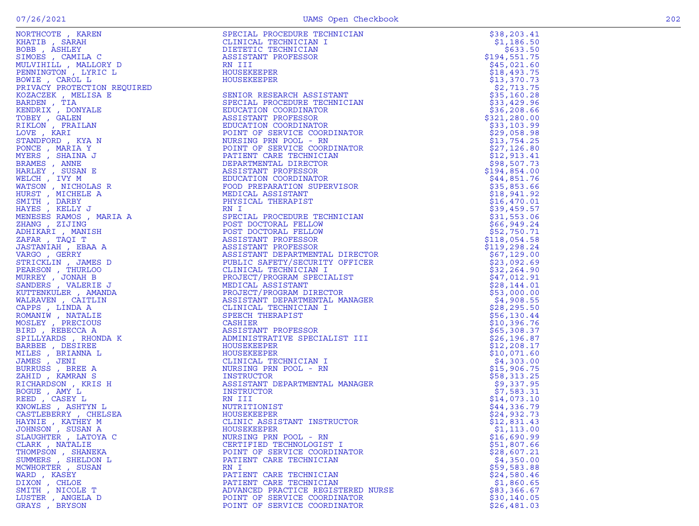|                                                                                                                                                                                                                                                              |                                                                                                                                                                                                                                                                       | \$38, 203.41  |
|--------------------------------------------------------------------------------------------------------------------------------------------------------------------------------------------------------------------------------------------------------------|-----------------------------------------------------------------------------------------------------------------------------------------------------------------------------------------------------------------------------------------------------------------------|---------------|
|                                                                                                                                                                                                                                                              |                                                                                                                                                                                                                                                                       | \$1,186.50    |
| NORTHCOTE , KAREN<br>KHATIB , SARAH<br>BOBB , SARAH<br>BOBB , SAHILA C<br>MULVIHILL , MALLORY D<br>PENNINGTON , LYRIC L<br>PENNINGTON , LYRIC L<br>PENNINGTON , LYRIC DEVICE DEVICE PRIVACY PROTECTION REQUIRED<br>KOZACZEK , MELISA E<br>TOBEY , GALEN<br>T | SPECIAL PROCEDURE TECHNICIAN<br>CLINICAL TECHNICIAN<br>DIETTIC TECHNICIAN<br>NIII<br>DIETTIC TECHNICIAN<br>NIII<br>NESITATURE TECHNICIAN<br>NIII PROFESSOR<br>HOUSEKEEPER<br>HOUSEKEEPER<br>SENION COORDINATOR<br>SENION COORDINATOR<br>SENION COORDINATOR<br>DUCATIO | \$633.50      |
|                                                                                                                                                                                                                                                              |                                                                                                                                                                                                                                                                       | \$194,551.75  |
|                                                                                                                                                                                                                                                              |                                                                                                                                                                                                                                                                       |               |
|                                                                                                                                                                                                                                                              |                                                                                                                                                                                                                                                                       | \$45,021.60   |
|                                                                                                                                                                                                                                                              |                                                                                                                                                                                                                                                                       | \$18,493.75   |
|                                                                                                                                                                                                                                                              |                                                                                                                                                                                                                                                                       |               |
|                                                                                                                                                                                                                                                              |                                                                                                                                                                                                                                                                       | \$13,370.73   |
|                                                                                                                                                                                                                                                              |                                                                                                                                                                                                                                                                       | \$2,713.75    |
|                                                                                                                                                                                                                                                              |                                                                                                                                                                                                                                                                       | \$35,160.28   |
|                                                                                                                                                                                                                                                              |                                                                                                                                                                                                                                                                       |               |
|                                                                                                                                                                                                                                                              |                                                                                                                                                                                                                                                                       | \$33,429.96   |
|                                                                                                                                                                                                                                                              |                                                                                                                                                                                                                                                                       | \$36,208.66   |
|                                                                                                                                                                                                                                                              |                                                                                                                                                                                                                                                                       | \$321, 280.00 |
|                                                                                                                                                                                                                                                              |                                                                                                                                                                                                                                                                       |               |
|                                                                                                                                                                                                                                                              |                                                                                                                                                                                                                                                                       | \$33,103.99   |
|                                                                                                                                                                                                                                                              |                                                                                                                                                                                                                                                                       | \$29,058.98   |
|                                                                                                                                                                                                                                                              |                                                                                                                                                                                                                                                                       | \$13,754.25   |
|                                                                                                                                                                                                                                                              |                                                                                                                                                                                                                                                                       |               |
|                                                                                                                                                                                                                                                              |                                                                                                                                                                                                                                                                       | \$27,126.80   |
|                                                                                                                                                                                                                                                              |                                                                                                                                                                                                                                                                       | \$12,913.41   |
|                                                                                                                                                                                                                                                              |                                                                                                                                                                                                                                                                       | \$98,507.73   |
|                                                                                                                                                                                                                                                              |                                                                                                                                                                                                                                                                       |               |
|                                                                                                                                                                                                                                                              |                                                                                                                                                                                                                                                                       | \$194,854.00  |
|                                                                                                                                                                                                                                                              |                                                                                                                                                                                                                                                                       | \$44,851.76   |
|                                                                                                                                                                                                                                                              |                                                                                                                                                                                                                                                                       | \$35,853.66   |
|                                                                                                                                                                                                                                                              |                                                                                                                                                                                                                                                                       |               |
|                                                                                                                                                                                                                                                              |                                                                                                                                                                                                                                                                       | \$18,941.92   |
|                                                                                                                                                                                                                                                              |                                                                                                                                                                                                                                                                       | \$16,470.01   |
|                                                                                                                                                                                                                                                              |                                                                                                                                                                                                                                                                       | \$39,459.57   |
|                                                                                                                                                                                                                                                              | FULL ASSISIONS<br>PHYSICAL THERAPIST<br>PHYSICAL THERAPIST                                                                                                                                                                                                            |               |
|                                                                                                                                                                                                                                                              |                                                                                                                                                                                                                                                                       | \$31,553.06   |
|                                                                                                                                                                                                                                                              |                                                                                                                                                                                                                                                                       | \$66,949.24   |
|                                                                                                                                                                                                                                                              |                                                                                                                                                                                                                                                                       |               |
|                                                                                                                                                                                                                                                              |                                                                                                                                                                                                                                                                       | \$52,750.71   |
|                                                                                                                                                                                                                                                              | KN 1<br>SPECIAL PROCEDURE TECHNICIAN<br>POST DOCTORAL FELLOW<br>POST DOCTORAL FELLOW<br>ASSISTANT PROFESSOR<br>COLOTANT PROFESSOR                                                                                                                                     | \$118,054.58  |
|                                                                                                                                                                                                                                                              |                                                                                                                                                                                                                                                                       | \$119,298.24  |
|                                                                                                                                                                                                                                                              |                                                                                                                                                                                                                                                                       |               |
|                                                                                                                                                                                                                                                              |                                                                                                                                                                                                                                                                       | \$67,129.00   |
|                                                                                                                                                                                                                                                              |                                                                                                                                                                                                                                                                       | \$23,092.69   |
|                                                                                                                                                                                                                                                              |                                                                                                                                                                                                                                                                       | \$32, 264.90  |
|                                                                                                                                                                                                                                                              |                                                                                                                                                                                                                                                                       |               |
|                                                                                                                                                                                                                                                              |                                                                                                                                                                                                                                                                       | \$47,012.91   |
|                                                                                                                                                                                                                                                              |                                                                                                                                                                                                                                                                       | \$28,144.01   |
|                                                                                                                                                                                                                                                              |                                                                                                                                                                                                                                                                       | \$53,000.00   |
|                                                                                                                                                                                                                                                              |                                                                                                                                                                                                                                                                       |               |
|                                                                                                                                                                                                                                                              |                                                                                                                                                                                                                                                                       | \$4,908.55    |
|                                                                                                                                                                                                                                                              |                                                                                                                                                                                                                                                                       | \$28, 295.50  |
|                                                                                                                                                                                                                                                              |                                                                                                                                                                                                                                                                       | \$56,130.44   |
|                                                                                                                                                                                                                                                              |                                                                                                                                                                                                                                                                       |               |
|                                                                                                                                                                                                                                                              |                                                                                                                                                                                                                                                                       | \$10,396.76   |
| BIRD, REBECCA A                                                                                                                                                                                                                                              |                                                                                                                                                                                                                                                                       | \$65,308.37   |
| SPILLYARDS, RHONDA K                                                                                                                                                                                                                                         |                                                                                                                                                                                                                                                                       | \$26, 196.87  |
|                                                                                                                                                                                                                                                              |                                                                                                                                                                                                                                                                       |               |
| BARBEE , DESIREE                                                                                                                                                                                                                                             |                                                                                                                                                                                                                                                                       | \$12, 208.17  |
| MILES, BRIANNA L                                                                                                                                                                                                                                             | HOUSEKEEPER                                                                                                                                                                                                                                                           | \$10,071.60   |
| JAMES , JENI                                                                                                                                                                                                                                                 | CLINICAL TECHNICIAN I                                                                                                                                                                                                                                                 | \$4,303.00    |
|                                                                                                                                                                                                                                                              |                                                                                                                                                                                                                                                                       |               |
| BURRUSS, BREE A                                                                                                                                                                                                                                              | NURSING PRN POOL - RN                                                                                                                                                                                                                                                 | \$15,906.75   |
| ZAHID , KAMRAN S                                                                                                                                                                                                                                             | INSTRUCTOR                                                                                                                                                                                                                                                            | \$58,313.25   |
| RICHARDSON, KRIS H                                                                                                                                                                                                                                           | ASSISTANT DEPARTMENTAL MANAGER                                                                                                                                                                                                                                        | \$9,337.95    |
|                                                                                                                                                                                                                                                              |                                                                                                                                                                                                                                                                       |               |
| BOGUE, AMY L                                                                                                                                                                                                                                                 | INSTRUCTOR                                                                                                                                                                                                                                                            | \$7,583.31    |
| REED, CASEY L                                                                                                                                                                                                                                                | RN III                                                                                                                                                                                                                                                                | \$14,073.10   |
| KNOWLES , ASHTYN L                                                                                                                                                                                                                                           | NUTRITIONIST                                                                                                                                                                                                                                                          | \$44,336.79   |
|                                                                                                                                                                                                                                                              |                                                                                                                                                                                                                                                                       |               |
| CASTLEBERRY, CHELSEA                                                                                                                                                                                                                                         | HOUSEKEEPER                                                                                                                                                                                                                                                           | \$24,932.73   |
| HAYNIE, KATHEY M                                                                                                                                                                                                                                             | CLINIC ASSISTANT INSTRUCTOR                                                                                                                                                                                                                                           | \$12,831.43   |
| JOHNSON , SUSAN A                                                                                                                                                                                                                                            | MANAGER<br>"OR<br>HOUSEKEEPER                                                                                                                                                                                                                                         | \$1,113.00    |
|                                                                                                                                                                                                                                                              |                                                                                                                                                                                                                                                                       |               |
| SLAUGHTER, LATOYA C                                                                                                                                                                                                                                          | NURSING PRN POOL - RN                                                                                                                                                                                                                                                 | \$16,690.99   |
| CLARK, NATALIE                                                                                                                                                                                                                                               | CERTIFIED TECHNOLOGIST I                                                                                                                                                                                                                                              | \$51,807.66   |
|                                                                                                                                                                                                                                                              |                                                                                                                                                                                                                                                                       |               |
| THOMPSON, SHANEKA                                                                                                                                                                                                                                            | POINT OF SERVICE COORDINATOR                                                                                                                                                                                                                                          | \$28,607.21   |
| SUMMERS, SHELDON L                                                                                                                                                                                                                                           | PATIENT CARE TECHNICIAN                                                                                                                                                                                                                                               | \$4,350.00    |
| MCWHORTER , SUSAN                                                                                                                                                                                                                                            | RN I                                                                                                                                                                                                                                                                  | \$59,583.88   |
| WARD, KASEY                                                                                                                                                                                                                                                  | PATIENT CARE TECHNICIAN                                                                                                                                                                                                                                               |               |
|                                                                                                                                                                                                                                                              |                                                                                                                                                                                                                                                                       | \$24,580.46   |
| DIXON, CHLOE                                                                                                                                                                                                                                                 | PATIENT CARE TECHNICIAN                                                                                                                                                                                                                                               | \$1,860.65    |
| SMITH, NICOLE T                                                                                                                                                                                                                                              | ADVANCED PRACTICE REGISTERED NURSE                                                                                                                                                                                                                                    | \$83,366.67   |
|                                                                                                                                                                                                                                                              |                                                                                                                                                                                                                                                                       |               |
| LUSTER, ANGELA D                                                                                                                                                                                                                                             | POINT OF SERVICE COORDINATOR                                                                                                                                                                                                                                          | \$30, 140.05  |
| GRAYS, BRYSON                                                                                                                                                                                                                                                | POINT OF SERVICE COORDINATOR                                                                                                                                                                                                                                          | \$26,481.03   |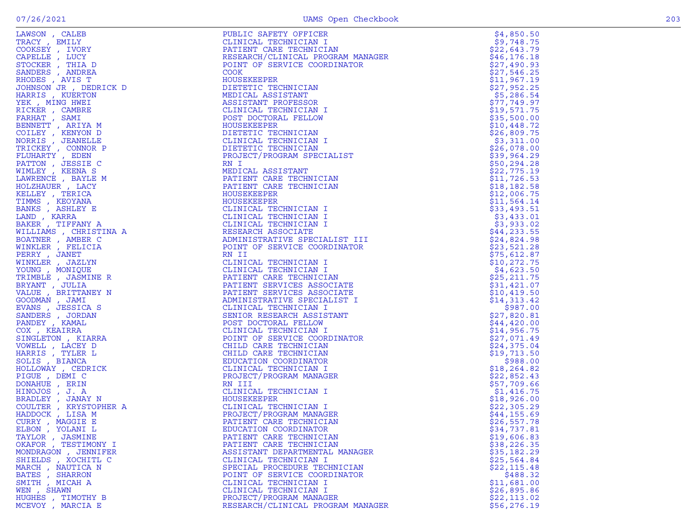|                                                                                                                                                                                                                                   | PUBLIC SAFETY OFFICER<br>CLINICAL TECHNICIAN I<br>PATIENT CARE TECHNICIAN<br>RESEARCH/CLINICAL PROGRAM MANAGER<br>POINT OF SERVICE COORDINATOR<br>COOK<br>HOUSEKEEPER<br>DIETETIC TECHNICIAN<br>MEDICAL ASSISTANT<br>ASSISTANT PROFESSOR<br>CLINICAL TECHNICIAN I<br>POST DOCTORAL FE | \$4,850.50   |
|-----------------------------------------------------------------------------------------------------------------------------------------------------------------------------------------------------------------------------------|---------------------------------------------------------------------------------------------------------------------------------------------------------------------------------------------------------------------------------------------------------------------------------------|--------------|
|                                                                                                                                                                                                                                   |                                                                                                                                                                                                                                                                                       | \$9,748.75   |
|                                                                                                                                                                                                                                   |                                                                                                                                                                                                                                                                                       | \$22,643.79  |
|                                                                                                                                                                                                                                   |                                                                                                                                                                                                                                                                                       | \$46, 176.18 |
|                                                                                                                                                                                                                                   |                                                                                                                                                                                                                                                                                       | \$27,490.93  |
|                                                                                                                                                                                                                                   |                                                                                                                                                                                                                                                                                       | \$27,546.25  |
|                                                                                                                                                                                                                                   |                                                                                                                                                                                                                                                                                       | \$11,967.19  |
|                                                                                                                                                                                                                                   |                                                                                                                                                                                                                                                                                       | \$27,952.25  |
|                                                                                                                                                                                                                                   |                                                                                                                                                                                                                                                                                       | \$5,286.54   |
|                                                                                                                                                                                                                                   |                                                                                                                                                                                                                                                                                       | \$77,749.97  |
|                                                                                                                                                                                                                                   |                                                                                                                                                                                                                                                                                       | \$19,571.75  |
|                                                                                                                                                                                                                                   |                                                                                                                                                                                                                                                                                       | \$35,500.00  |
|                                                                                                                                                                                                                                   |                                                                                                                                                                                                                                                                                       | \$10,448.72  |
|                                                                                                                                                                                                                                   | DIETETIC TECHNICIAN                                                                                                                                                                                                                                                                   | \$26,809.75  |
|                                                                                                                                                                                                                                   |                                                                                                                                                                                                                                                                                       | \$3,311.00   |
|                                                                                                                                                                                                                                   |                                                                                                                                                                                                                                                                                       | \$26,078.00  |
|                                                                                                                                                                                                                                   |                                                                                                                                                                                                                                                                                       | \$39,964.29  |
|                                                                                                                                                                                                                                   |                                                                                                                                                                                                                                                                                       | \$50, 294.28 |
|                                                                                                                                                                                                                                   |                                                                                                                                                                                                                                                                                       | \$22,775.19  |
|                                                                                                                                                                                                                                   |                                                                                                                                                                                                                                                                                       | \$11,726.53  |
|                                                                                                                                                                                                                                   |                                                                                                                                                                                                                                                                                       | \$18,182.58  |
|                                                                                                                                                                                                                                   |                                                                                                                                                                                                                                                                                       |              |
|                                                                                                                                                                                                                                   |                                                                                                                                                                                                                                                                                       | \$12,006.75  |
|                                                                                                                                                                                                                                   |                                                                                                                                                                                                                                                                                       | \$11,564.14  |
|                                                                                                                                                                                                                                   |                                                                                                                                                                                                                                                                                       | \$33,493.51  |
|                                                                                                                                                                                                                                   |                                                                                                                                                                                                                                                                                       | \$3,433.01   |
|                                                                                                                                                                                                                                   |                                                                                                                                                                                                                                                                                       | \$3,933.02   |
|                                                                                                                                                                                                                                   |                                                                                                                                                                                                                                                                                       | \$44, 233.55 |
|                                                                                                                                                                                                                                   |                                                                                                                                                                                                                                                                                       | \$24,824.98  |
|                                                                                                                                                                                                                                   |                                                                                                                                                                                                                                                                                       | \$23,521.28  |
|                                                                                                                                                                                                                                   |                                                                                                                                                                                                                                                                                       | \$75,612.87  |
|                                                                                                                                                                                                                                   |                                                                                                                                                                                                                                                                                       | \$10, 272.75 |
|                                                                                                                                                                                                                                   |                                                                                                                                                                                                                                                                                       | \$4,623.50   |
|                                                                                                                                                                                                                                   |                                                                                                                                                                                                                                                                                       | \$25, 211.75 |
|                                                                                                                                                                                                                                   |                                                                                                                                                                                                                                                                                       | \$31,421.07  |
|                                                                                                                                                                                                                                   |                                                                                                                                                                                                                                                                                       | \$10,419.50  |
|                                                                                                                                                                                                                                   |                                                                                                                                                                                                                                                                                       | \$14,313.42  |
|                                                                                                                                                                                                                                   |                                                                                                                                                                                                                                                                                       | \$987.00     |
|                                                                                                                                                                                                                                   |                                                                                                                                                                                                                                                                                       | \$27,820.81  |
|                                                                                                                                                                                                                                   |                                                                                                                                                                                                                                                                                       | \$44,420.00  |
|                                                                                                                                                                                                                                   |                                                                                                                                                                                                                                                                                       | \$14,956.75  |
|                                                                                                                                                                                                                                   |                                                                                                                                                                                                                                                                                       | \$27,071.49  |
|                                                                                                                                                                                                                                   |                                                                                                                                                                                                                                                                                       | \$24,375.04  |
|                                                                                                                                                                                                                                   |                                                                                                                                                                                                                                                                                       | \$19,713.50  |
|                                                                                                                                                                                                                                   |                                                                                                                                                                                                                                                                                       | \$988.00     |
|                                                                                                                                                                                                                                   |                                                                                                                                                                                                                                                                                       | \$18, 264.82 |
| LAWSON , CALEB<br>TRACY, EMILY CALEBY , IVORY COOKSEY , IVORY COOKSEY , IVORY COOKSEY , INDEPARATIONS , ANDREA RODERIC REDUCTIONS , AND TO HARRIST SMITTER FIG. THE REALL FIG. THE REALL THARRES , WE ARRIVE TO THE TRACK THAN RE | POST DOCTORAL FELLOW<br>HOUSEKEEPER<br>HOUSEKEEPER TECHNICIAN I<br>CLINICAL TECHNICIAN I<br>DEFIETIC TECHNICIAN I<br>PROJECT TECHNICIAN<br>PROJECT DEFIENT CREATED PRODUCTS<br>ATIENT CARE TECHNICIAN<br>HOUSEKEEPER<br>HATIENT CARE TECHNICIAN I<br>CLINICA                          | \$22,852.43  |
|                                                                                                                                                                                                                                   |                                                                                                                                                                                                                                                                                       | \$57,709.66  |
|                                                                                                                                                                                                                                   |                                                                                                                                                                                                                                                                                       | \$1,416.75   |
|                                                                                                                                                                                                                                   |                                                                                                                                                                                                                                                                                       | \$18,926.00  |
|                                                                                                                                                                                                                                   |                                                                                                                                                                                                                                                                                       | \$22,305.29  |
|                                                                                                                                                                                                                                   |                                                                                                                                                                                                                                                                                       | \$44,155.69  |
|                                                                                                                                                                                                                                   |                                                                                                                                                                                                                                                                                       | \$26,557.78  |
| ELBON , YOLANI L                                                                                                                                                                                                                  | EDUCATION COORDINATOR                                                                                                                                                                                                                                                                 | \$34,737.81  |
| TAYLOR, JASMINE                                                                                                                                                                                                                   | PATIENT CARE TECHNICIAN                                                                                                                                                                                                                                                               | \$19,606.83  |
| OKAFOR, TESTIMONY I                                                                                                                                                                                                               | PATIENT CARE TECHNICIAN                                                                                                                                                                                                                                                               | \$38,226.35  |
| MONDRAGON , JENNIFER                                                                                                                                                                                                              | ASSISTANT DEPARTMENTAL MANAGER                                                                                                                                                                                                                                                        | \$35,182.29  |
| SHIELDS, XOCHITL C                                                                                                                                                                                                                | CLINICAL TECHNICIAN I                                                                                                                                                                                                                                                                 | \$25,564.84  |
| MARCH, NAUTICA N                                                                                                                                                                                                                  | SPECIAL PROCEDURE TECHNICIAN                                                                                                                                                                                                                                                          | \$22,115.48  |
| BATES , SHARRON                                                                                                                                                                                                                   | POINT OF SERVICE COORDINATOR                                                                                                                                                                                                                                                          | \$488.32     |
| SMITH, MICAH A                                                                                                                                                                                                                    | CLINICAL TECHNICIAN I                                                                                                                                                                                                                                                                 | \$11,681.00  |
| WEN, SHAWN                                                                                                                                                                                                                        | CLINICAL TECHNICIAN I                                                                                                                                                                                                                                                                 | \$26,895.86  |
| HUGHES , TIMOTHY B                                                                                                                                                                                                                | PROJECT/PROGRAM MANAGER                                                                                                                                                                                                                                                               | \$22,113.02  |
| MCEVOY, MARCIA E                                                                                                                                                                                                                  | RESEARCH/CLINICAL PROGRAM MANAGER                                                                                                                                                                                                                                                     | \$56, 276.19 |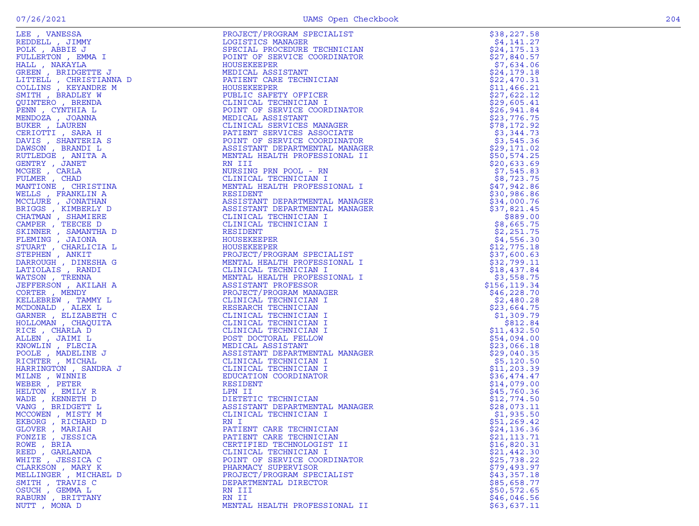|                                                                                                                                                                                                                                                                                    | PRODUCT/PROGRAM SPECIALIST<br>LOGISTICS MANAGER<br>LOGISTICS MANAGER<br>PROCEDURE TECHNICIAN<br>POUR CORPINATOR<br>HOUSEXCEPRE TECHNICIAN<br>HOUSEXCEPRE TECHNICIAN<br>HOUSEXCEPRE TECHNICIAN<br>HOUSEXCEPRE TECHNICIAN<br>CIDILIC SAFETY OFFICING MARGER | \$38,227.58                |
|------------------------------------------------------------------------------------------------------------------------------------------------------------------------------------------------------------------------------------------------------------------------------------|-----------------------------------------------------------------------------------------------------------------------------------------------------------------------------------------------------------------------------------------------------------|----------------------------|
|                                                                                                                                                                                                                                                                                    |                                                                                                                                                                                                                                                           | \$4,141.27                 |
|                                                                                                                                                                                                                                                                                    |                                                                                                                                                                                                                                                           | \$24,175.13                |
|                                                                                                                                                                                                                                                                                    |                                                                                                                                                                                                                                                           | \$27,840.57                |
|                                                                                                                                                                                                                                                                                    |                                                                                                                                                                                                                                                           | \$7,634.06                 |
|                                                                                                                                                                                                                                                                                    | MEDIL<br>PATIENT CALL<br>HOUSEKEEPER<br>PUBLIC SAFE<br>PUBLIC SAFE                                                                                                                                                                                        | \$24,179.18                |
|                                                                                                                                                                                                                                                                                    |                                                                                                                                                                                                                                                           | \$22,470.31                |
|                                                                                                                                                                                                                                                                                    |                                                                                                                                                                                                                                                           | \$11,466.21                |
|                                                                                                                                                                                                                                                                                    |                                                                                                                                                                                                                                                           | \$27,622.12                |
|                                                                                                                                                                                                                                                                                    |                                                                                                                                                                                                                                                           | \$29,605.41                |
|                                                                                                                                                                                                                                                                                    |                                                                                                                                                                                                                                                           | \$26,941.84                |
|                                                                                                                                                                                                                                                                                    |                                                                                                                                                                                                                                                           | \$23,776.75                |
|                                                                                                                                                                                                                                                                                    |                                                                                                                                                                                                                                                           | \$78,172.92                |
|                                                                                                                                                                                                                                                                                    |                                                                                                                                                                                                                                                           | \$3,344.73                 |
|                                                                                                                                                                                                                                                                                    |                                                                                                                                                                                                                                                           | \$3,545.36                 |
|                                                                                                                                                                                                                                                                                    |                                                                                                                                                                                                                                                           | \$29,171.02                |
|                                                                                                                                                                                                                                                                                    |                                                                                                                                                                                                                                                           | \$50,574.25                |
|                                                                                                                                                                                                                                                                                    |                                                                                                                                                                                                                                                           | \$20,633.69                |
|                                                                                                                                                                                                                                                                                    |                                                                                                                                                                                                                                                           | \$7,545.83<br>\$8,723.75   |
|                                                                                                                                                                                                                                                                                    |                                                                                                                                                                                                                                                           | \$47,942.86                |
|                                                                                                                                                                                                                                                                                    |                                                                                                                                                                                                                                                           | \$30,986.86                |
|                                                                                                                                                                                                                                                                                    |                                                                                                                                                                                                                                                           | \$34,000.76                |
|                                                                                                                                                                                                                                                                                    |                                                                                                                                                                                                                                                           | \$37,821.45                |
|                                                                                                                                                                                                                                                                                    |                                                                                                                                                                                                                                                           | \$889.00                   |
|                                                                                                                                                                                                                                                                                    |                                                                                                                                                                                                                                                           | \$8,665.75                 |
|                                                                                                                                                                                                                                                                                    |                                                                                                                                                                                                                                                           | \$2,251.75                 |
|                                                                                                                                                                                                                                                                                    |                                                                                                                                                                                                                                                           | \$4,556.30                 |
|                                                                                                                                                                                                                                                                                    |                                                                                                                                                                                                                                                           | \$12,775.18                |
|                                                                                                                                                                                                                                                                                    |                                                                                                                                                                                                                                                           | \$37,600.63                |
|                                                                                                                                                                                                                                                                                    |                                                                                                                                                                                                                                                           | \$32,799.11                |
|                                                                                                                                                                                                                                                                                    | CLINICAL TECHNICIAN I<br>MENTAL HEALTH PROFESSIONAL I<br>ASSISTANT PROFESSOR<br>PROJECT/PROGRAM MANAGER<br>CLINICAL TECHNICIAN I<br>RESEARCH TECHNICIAN I<br>CLINICAL TECHNICIAN                                                                          | \$18,437.84                |
|                                                                                                                                                                                                                                                                                    |                                                                                                                                                                                                                                                           | \$3,558.75                 |
|                                                                                                                                                                                                                                                                                    |                                                                                                                                                                                                                                                           | \$156, 119.34              |
|                                                                                                                                                                                                                                                                                    |                                                                                                                                                                                                                                                           | \$46,228.70                |
|                                                                                                                                                                                                                                                                                    |                                                                                                                                                                                                                                                           | \$2,480.28                 |
|                                                                                                                                                                                                                                                                                    |                                                                                                                                                                                                                                                           | \$23,664.75                |
|                                                                                                                                                                                                                                                                                    |                                                                                                                                                                                                                                                           | \$1,309.79                 |
|                                                                                                                                                                                                                                                                                    |                                                                                                                                                                                                                                                           | \$812.84                   |
|                                                                                                                                                                                                                                                                                    |                                                                                                                                                                                                                                                           | \$11,432.50                |
|                                                                                                                                                                                                                                                                                    |                                                                                                                                                                                                                                                           | \$54,094.00                |
|                                                                                                                                                                                                                                                                                    |                                                                                                                                                                                                                                                           | \$23,066.18                |
|                                                                                                                                                                                                                                                                                    |                                                                                                                                                                                                                                                           | \$29,040.35                |
|                                                                                                                                                                                                                                                                                    |                                                                                                                                                                                                                                                           | \$5,120.50                 |
|                                                                                                                                                                                                                                                                                    |                                                                                                                                                                                                                                                           | \$11, 203.39               |
|                                                                                                                                                                                                                                                                                    |                                                                                                                                                                                                                                                           | \$36,474.47                |
|                                                                                                                                                                                                                                                                                    |                                                                                                                                                                                                                                                           | \$14,079.00                |
|                                                                                                                                                                                                                                                                                    |                                                                                                                                                                                                                                                           | \$45,760.36                |
|                                                                                                                                                                                                                                                                                    |                                                                                                                                                                                                                                                           | \$12,774.50                |
|                                                                                                                                                                                                                                                                                    |                                                                                                                                                                                                                                                           | \$28,073.11                |
|                                                                                                                                                                                                                                                                                    |                                                                                                                                                                                                                                                           | \$1,935.50                 |
|                                                                                                                                                                                                                                                                                    | RN I                                                                                                                                                                                                                                                      | \$51,269.42                |
| GLOVER, MARIAH                                                                                                                                                                                                                                                                     | PATIENT CARE TECHNICIAN                                                                                                                                                                                                                                   | \$24,136.36                |
| LEE , VANESSA<br>REDDELL, SIMMSA<br>REDDELL, SIMMSA<br>PULLERTON , BARIL JIMY<br>PULLERTON , EMATILE , CHAISITE THE PULLERTON , ENGLIMERAD<br>ISTUEL , CHAISENTE DESCRIPTION , INCREDING THE SARDER DENING TO<br>ANNIPOLATION , BARNEL SARVEN DA<br>FONZIE , JESSICA<br>ROWE, BRIA | PATIENT CARE TECHNICIAN<br>CERTIFIED TECHNOLOGIST II                                                                                                                                                                                                      | \$21,113.71<br>\$16,820.31 |
| REED , GARLANDA                                                                                                                                                                                                                                                                    | CLINICAL TECHNICIAN I                                                                                                                                                                                                                                     | \$21,442.30                |
| WHITE, JESSICA C                                                                                                                                                                                                                                                                   | POINT OF SERVICE COORDINATOR                                                                                                                                                                                                                              | \$25,738.22                |
| CLARKSON, MARY K                                                                                                                                                                                                                                                                   | PHARMACY SUPERVISOR                                                                                                                                                                                                                                       | \$79,493.97                |
| MELLINGER , MICHAEL D                                                                                                                                                                                                                                                              | PROJECT/PROGRAM SPECIALIST                                                                                                                                                                                                                                | \$43,357.18                |
| SMITH, TRAVIS C                                                                                                                                                                                                                                                                    | DEPARTMENTAL DIRECTOR                                                                                                                                                                                                                                     | \$85,658.77                |
| OSUCH, GEMMA L                                                                                                                                                                                                                                                                     | RN III                                                                                                                                                                                                                                                    | \$50.572.65                |
| RABURN, BRITTANY                                                                                                                                                                                                                                                                   | RN II                                                                                                                                                                                                                                                     | \$46,046.56                |
| NUTT, MONA D                                                                                                                                                                                                                                                                       | MENTAL HEALTH PROFESSIONAL II                                                                                                                                                                                                                             | \$63,637.11                |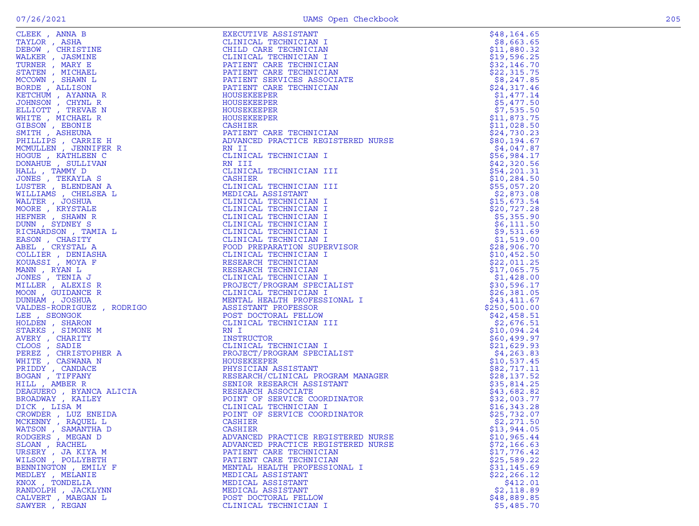|   | .,     |
|---|--------|
| × | $\sim$ |
|   |        |

| CLEEK , ANNA B<br>TAYLOR , ASHA<br>TAYLOR , CHRISTINE<br>NALKER , JASMINE<br>TURNER , MARY E<br>TURNER , MARY E<br>STATEN , MICHAEL<br>MCOWN , SHAWN L<br>ROCOMN , SHAWN L<br>RETCHUM , AYANNA R<br>GCOMN , CHYNL R<br>JATESON , EBVARE N<br>WHITE , MICHAEL R<br>MIT | CUTIVE ASSISTANT<br>INICAL TECHNICIAN I<br>ILLD CARE TECHNICIAN<br>LINICAL TECHNICIAN I<br>PATIENT CARE TECHNICIAN<br>PATIENT CARE TECHNICIAN<br>PATIENT SERVICES ASSOCIATE<br>PATIENT CARE TECHNICIAN<br>TETENT CARE TECHNICIAN<br>TETENT CARE                                      | \$48, 164.65                |
|-----------------------------------------------------------------------------------------------------------------------------------------------------------------------------------------------------------------------------------------------------------------------|--------------------------------------------------------------------------------------------------------------------------------------------------------------------------------------------------------------------------------------------------------------------------------------|-----------------------------|
|                                                                                                                                                                                                                                                                       |                                                                                                                                                                                                                                                                                      | \$8,663.65                  |
|                                                                                                                                                                                                                                                                       |                                                                                                                                                                                                                                                                                      | \$11,880.32                 |
|                                                                                                                                                                                                                                                                       |                                                                                                                                                                                                                                                                                      | \$19,596.25                 |
|                                                                                                                                                                                                                                                                       |                                                                                                                                                                                                                                                                                      | \$32,146.70                 |
|                                                                                                                                                                                                                                                                       |                                                                                                                                                                                                                                                                                      | \$22,315.75                 |
|                                                                                                                                                                                                                                                                       |                                                                                                                                                                                                                                                                                      | \$8,247.85                  |
|                                                                                                                                                                                                                                                                       |                                                                                                                                                                                                                                                                                      | \$24,317.46                 |
|                                                                                                                                                                                                                                                                       |                                                                                                                                                                                                                                                                                      | \$1,477.14                  |
|                                                                                                                                                                                                                                                                       |                                                                                                                                                                                                                                                                                      | \$5,477.50<br>\$7,535.50    |
|                                                                                                                                                                                                                                                                       |                                                                                                                                                                                                                                                                                      | \$11,873.75                 |
|                                                                                                                                                                                                                                                                       |                                                                                                                                                                                                                                                                                      | \$11,028.50                 |
|                                                                                                                                                                                                                                                                       |                                                                                                                                                                                                                                                                                      | \$24,730.23                 |
|                                                                                                                                                                                                                                                                       |                                                                                                                                                                                                                                                                                      | \$80,194.67                 |
|                                                                                                                                                                                                                                                                       |                                                                                                                                                                                                                                                                                      | \$4,047.87                  |
|                                                                                                                                                                                                                                                                       |                                                                                                                                                                                                                                                                                      | \$56,984.17                 |
|                                                                                                                                                                                                                                                                       |                                                                                                                                                                                                                                                                                      | \$42,320.56                 |
|                                                                                                                                                                                                                                                                       |                                                                                                                                                                                                                                                                                      | \$54,201.31                 |
|                                                                                                                                                                                                                                                                       |                                                                                                                                                                                                                                                                                      | \$10, 284.50                |
|                                                                                                                                                                                                                                                                       |                                                                                                                                                                                                                                                                                      | \$55,057.20                 |
|                                                                                                                                                                                                                                                                       |                                                                                                                                                                                                                                                                                      | \$2,873.08                  |
|                                                                                                                                                                                                                                                                       |                                                                                                                                                                                                                                                                                      | \$15,673.54                 |
|                                                                                                                                                                                                                                                                       |                                                                                                                                                                                                                                                                                      | \$20,727.28                 |
|                                                                                                                                                                                                                                                                       |                                                                                                                                                                                                                                                                                      | \$5,355.90                  |
|                                                                                                                                                                                                                                                                       |                                                                                                                                                                                                                                                                                      | \$6,111.50                  |
|                                                                                                                                                                                                                                                                       |                                                                                                                                                                                                                                                                                      | \$9,531.69                  |
|                                                                                                                                                                                                                                                                       |                                                                                                                                                                                                                                                                                      | \$1,519.00                  |
|                                                                                                                                                                                                                                                                       |                                                                                                                                                                                                                                                                                      | \$28,906.70                 |
|                                                                                                                                                                                                                                                                       |                                                                                                                                                                                                                                                                                      | \$10,452.50                 |
|                                                                                                                                                                                                                                                                       |                                                                                                                                                                                                                                                                                      | \$22,011.25                 |
|                                                                                                                                                                                                                                                                       | HOUSEKEEPER<br>HOUSEKEEPER<br>HOUSEKEEPER<br>DANITER CARE<br>PATIENT CARE<br>RAILIS<br>PATIENT CARE<br>RAILIS<br>RAILIS<br>RAILIS<br>RAILIS<br>RAILIS<br>RAILIS<br>RAILIS<br>RAILIS<br>CIINICAL TECHNICIAN III<br>CLINICAL TECHNICIAN III<br>CLINICAL TECHNICIAN I<br>CLINICAL TECHN | \$17,065.75                 |
|                                                                                                                                                                                                                                                                       |                                                                                                                                                                                                                                                                                      | \$1,428.00                  |
|                                                                                                                                                                                                                                                                       |                                                                                                                                                                                                                                                                                      | \$30,596.17                 |
|                                                                                                                                                                                                                                                                       |                                                                                                                                                                                                                                                                                      | \$26,381.05                 |
|                                                                                                                                                                                                                                                                       |                                                                                                                                                                                                                                                                                      | \$43,411.67                 |
|                                                                                                                                                                                                                                                                       |                                                                                                                                                                                                                                                                                      | \$250,500.00<br>\$42,458.51 |
|                                                                                                                                                                                                                                                                       |                                                                                                                                                                                                                                                                                      | \$2,676.51                  |
|                                                                                                                                                                                                                                                                       |                                                                                                                                                                                                                                                                                      | \$10,094.24                 |
|                                                                                                                                                                                                                                                                       |                                                                                                                                                                                                                                                                                      | \$60,499.97                 |
|                                                                                                                                                                                                                                                                       |                                                                                                                                                                                                                                                                                      | \$21,629.93                 |
|                                                                                                                                                                                                                                                                       |                                                                                                                                                                                                                                                                                      | \$4, 263.83                 |
|                                                                                                                                                                                                                                                                       |                                                                                                                                                                                                                                                                                      | \$10,537.45                 |
|                                                                                                                                                                                                                                                                       |                                                                                                                                                                                                                                                                                      | \$82,717.11                 |
|                                                                                                                                                                                                                                                                       |                                                                                                                                                                                                                                                                                      | \$28,137.52                 |
|                                                                                                                                                                                                                                                                       |                                                                                                                                                                                                                                                                                      | \$35,814.25                 |
|                                                                                                                                                                                                                                                                       |                                                                                                                                                                                                                                                                                      | \$43,682.82                 |
|                                                                                                                                                                                                                                                                       |                                                                                                                                                                                                                                                                                      | \$32,003.77                 |
|                                                                                                                                                                                                                                                                       |                                                                                                                                                                                                                                                                                      | \$16,343.28                 |
|                                                                                                                                                                                                                                                                       |                                                                                                                                                                                                                                                                                      | \$25,732.07                 |
|                                                                                                                                                                                                                                                                       |                                                                                                                                                                                                                                                                                      | \$2,271.50                  |
| WATSON, SAMANTHA D                                                                                                                                                                                                                                                    | CASHIER                                                                                                                                                                                                                                                                              | \$13,944.05                 |
| RODGERS, MEGAN D                                                                                                                                                                                                                                                      | ADVANCED PRACTICE REGISTERED NURSE                                                                                                                                                                                                                                                   | \$10,965.44                 |
| SLOAN, RACHEL                                                                                                                                                                                                                                                         | ADVANCED PRACTICE REGISTERED NURSE                                                                                                                                                                                                                                                   | \$72,166.63                 |
| URSERY, JA KIYA M                                                                                                                                                                                                                                                     | PATIENT CARE TECHNICIAN                                                                                                                                                                                                                                                              | \$17,776.42                 |
| WILSON , POLLYBETH                                                                                                                                                                                                                                                    | PATIENT CARE TECHNICIAN                                                                                                                                                                                                                                                              | \$25,589.22                 |
| BENNINGTON , EMILY F                                                                                                                                                                                                                                                  | MENTAL HEALTH PROFESSIONAL I<br>MEDICAL ASSISTANT                                                                                                                                                                                                                                    | \$31,145.69<br>\$22, 266.12 |
| MEDLEY , MELANIE<br>KNOX, TONDELIA                                                                                                                                                                                                                                    | MEDICAL ASSISTANT                                                                                                                                                                                                                                                                    |                             |
| RANDOLPH, JACKLYNN                                                                                                                                                                                                                                                    | MEDICAL ASSISTANT                                                                                                                                                                                                                                                                    | \$412.01<br>\$2,118.89      |
| CALVERT , MAEGAN L                                                                                                                                                                                                                                                    | POST DOCTORAL FELLOW                                                                                                                                                                                                                                                                 | \$48,889.85                 |
| SAWYER, REGAN                                                                                                                                                                                                                                                         | CLINICAL TECHNICIAN I                                                                                                                                                                                                                                                                | \$5,485.70                  |
|                                                                                                                                                                                                                                                                       |                                                                                                                                                                                                                                                                                      |                             |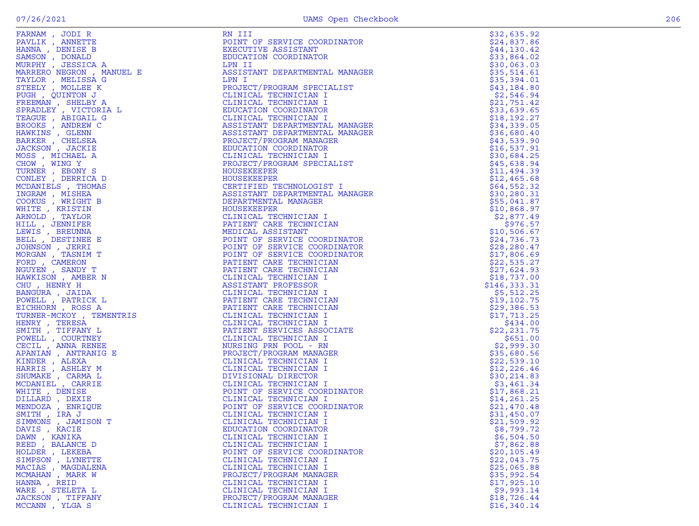|                                                                                                                                                                                                                               | RN III                                                                                                                                                                                                                                                 | \$32,635.92  |
|-------------------------------------------------------------------------------------------------------------------------------------------------------------------------------------------------------------------------------|--------------------------------------------------------------------------------------------------------------------------------------------------------------------------------------------------------------------------------------------------------|--------------|
|                                                                                                                                                                                                                               |                                                                                                                                                                                                                                                        | \$24,837.86  |
|                                                                                                                                                                                                                               |                                                                                                                                                                                                                                                        |              |
|                                                                                                                                                                                                                               |                                                                                                                                                                                                                                                        | \$44,130.42  |
|                                                                                                                                                                                                                               |                                                                                                                                                                                                                                                        | \$33,864.02  |
|                                                                                                                                                                                                                               |                                                                                                                                                                                                                                                        | \$30,063.03  |
|                                                                                                                                                                                                                               |                                                                                                                                                                                                                                                        | \$35,514.61  |
|                                                                                                                                                                                                                               |                                                                                                                                                                                                                                                        | \$35,394.01  |
|                                                                                                                                                                                                                               |                                                                                                                                                                                                                                                        |              |
|                                                                                                                                                                                                                               |                                                                                                                                                                                                                                                        | \$43,184.80  |
|                                                                                                                                                                                                                               |                                                                                                                                                                                                                                                        | \$2,546.94   |
|                                                                                                                                                                                                                               |                                                                                                                                                                                                                                                        | \$21,751.42  |
|                                                                                                                                                                                                                               |                                                                                                                                                                                                                                                        | \$33,639.65  |
|                                                                                                                                                                                                                               |                                                                                                                                                                                                                                                        | \$18, 192.27 |
|                                                                                                                                                                                                                               |                                                                                                                                                                                                                                                        |              |
|                                                                                                                                                                                                                               |                                                                                                                                                                                                                                                        | \$34,339.05  |
|                                                                                                                                                                                                                               |                                                                                                                                                                                                                                                        | \$36,680.40  |
|                                                                                                                                                                                                                               |                                                                                                                                                                                                                                                        | \$43,539.90  |
|                                                                                                                                                                                                                               |                                                                                                                                                                                                                                                        | \$16,537.91  |
|                                                                                                                                                                                                                               |                                                                                                                                                                                                                                                        | \$30,684.25  |
|                                                                                                                                                                                                                               |                                                                                                                                                                                                                                                        |              |
|                                                                                                                                                                                                                               |                                                                                                                                                                                                                                                        | \$45,638.94  |
|                                                                                                                                                                                                                               |                                                                                                                                                                                                                                                        | \$11,494.39  |
|                                                                                                                                                                                                                               |                                                                                                                                                                                                                                                        | \$12,465.68  |
|                                                                                                                                                                                                                               |                                                                                                                                                                                                                                                        | \$64,552.32  |
|                                                                                                                                                                                                                               |                                                                                                                                                                                                                                                        | \$30,280.31  |
|                                                                                                                                                                                                                               |                                                                                                                                                                                                                                                        |              |
|                                                                                                                                                                                                                               |                                                                                                                                                                                                                                                        | \$55,041.87  |
|                                                                                                                                                                                                                               |                                                                                                                                                                                                                                                        | \$10,868.97  |
|                                                                                                                                                                                                                               |                                                                                                                                                                                                                                                        | \$2,877.49   |
|                                                                                                                                                                                                                               |                                                                                                                                                                                                                                                        | \$976.57     |
|                                                                                                                                                                                                                               |                                                                                                                                                                                                                                                        | \$10,506.67  |
|                                                                                                                                                                                                                               |                                                                                                                                                                                                                                                        |              |
|                                                                                                                                                                                                                               |                                                                                                                                                                                                                                                        | \$24,736.73  |
|                                                                                                                                                                                                                               |                                                                                                                                                                                                                                                        | \$28,280.47  |
|                                                                                                                                                                                                                               |                                                                                                                                                                                                                                                        | \$17,806.69  |
|                                                                                                                                                                                                                               |                                                                                                                                                                                                                                                        | \$22,535.27  |
|                                                                                                                                                                                                                               |                                                                                                                                                                                                                                                        | \$27,624.93  |
|                                                                                                                                                                                                                               |                                                                                                                                                                                                                                                        |              |
|                                                                                                                                                                                                                               |                                                                                                                                                                                                                                                        | \$18,737.00  |
|                                                                                                                                                                                                                               |                                                                                                                                                                                                                                                        | \$146,333.31 |
|                                                                                                                                                                                                                               |                                                                                                                                                                                                                                                        | \$5,512.25   |
|                                                                                                                                                                                                                               |                                                                                                                                                                                                                                                        | \$19,102.75  |
|                                                                                                                                                                                                                               |                                                                                                                                                                                                                                                        | \$29,386.53  |
|                                                                                                                                                                                                                               |                                                                                                                                                                                                                                                        |              |
|                                                                                                                                                                                                                               |                                                                                                                                                                                                                                                        | \$17,713.25  |
|                                                                                                                                                                                                                               |                                                                                                                                                                                                                                                        | \$434.00     |
|                                                                                                                                                                                                                               |                                                                                                                                                                                                                                                        | \$22,231.75  |
|                                                                                                                                                                                                                               |                                                                                                                                                                                                                                                        | \$651.00     |
|                                                                                                                                                                                                                               |                                                                                                                                                                                                                                                        | \$2,999.30   |
|                                                                                                                                                                                                                               |                                                                                                                                                                                                                                                        | \$35,680.56  |
|                                                                                                                                                                                                                               |                                                                                                                                                                                                                                                        |              |
|                                                                                                                                                                                                                               |                                                                                                                                                                                                                                                        | \$22,539.10  |
|                                                                                                                                                                                                                               |                                                                                                                                                                                                                                                        | \$12, 226.46 |
|                                                                                                                                                                                                                               |                                                                                                                                                                                                                                                        | \$30, 214.83 |
|                                                                                                                                                                                                                               |                                                                                                                                                                                                                                                        | \$3,461.34   |
|                                                                                                                                                                                                                               |                                                                                                                                                                                                                                                        | \$17,868.21  |
|                                                                                                                                                                                                                               |                                                                                                                                                                                                                                                        |              |
|                                                                                                                                                                                                                               |                                                                                                                                                                                                                                                        | \$14,261.25  |
|                                                                                                                                                                                                                               |                                                                                                                                                                                                                                                        | \$21,470.48  |
|                                                                                                                                                                                                                               |                                                                                                                                                                                                                                                        | \$31,450.07  |
|                                                                                                                                                                                                                               |                                                                                                                                                                                                                                                        | \$21,509.92  |
| DAVIS , KACIE                                                                                                                                                                                                                 | EDUCATION COORDINATOR                                                                                                                                                                                                                                  | \$8,799.72   |
| FARNMA , JODIT RESERVED AND MENTER AND MANUSAL MANUSAL MANUSAL MANUSAL SERIES AND MANUSAL STREET AN MANUSAL STREET AND FREE STREET AND FREE STREET AND TO THE THRUST CONTINUES TO A MANUSAL STREET AND HAVE A STREET AND HAVE | RM III TO TERUCORDINATOR<br>REMOTIVE ASSISTENT (CORDINATOR<br>EXCOUTES ASSISTENT DEPARTMENTAL MANAGER<br>FORDINATOR DEPARTMENTAL MANAGER<br>PRODUCT/PROGRAM SPECIALIST<br>CLINICAL TECHNICIAN<br>CLINICAL TECHNICIAN<br>CLINICAL TECHNICIAN<br>CLINICA |              |
| DAWN, KANIKA                                                                                                                                                                                                                  | CLINICAL TECHNICIAN I                                                                                                                                                                                                                                  | \$6,504.50   |
| REED, BALANCE D                                                                                                                                                                                                               | CLINICAL TECHNICIAN I                                                                                                                                                                                                                                  | \$7,862.88   |
| HOLDER, LEKEBA                                                                                                                                                                                                                | POINT OF SERVICE COORDINATOR                                                                                                                                                                                                                           | \$20,105.49  |
| SIMPSON, LYNETTE                                                                                                                                                                                                              | CLINICAL TECHNICIAN I                                                                                                                                                                                                                                  | \$22,043.75  |
| MACIAS, MAGDALENA                                                                                                                                                                                                             | CLINICAL TECHNICIAN I                                                                                                                                                                                                                                  | \$25,065.88  |
| MCMAHAN, MARK W                                                                                                                                                                                                               | PROJECT/PROGRAM MANAGER                                                                                                                                                                                                                                | \$35,992.54  |
|                                                                                                                                                                                                                               |                                                                                                                                                                                                                                                        |              |
| HANNA, REID                                                                                                                                                                                                                   | CLINICAL TECHNICIAN I                                                                                                                                                                                                                                  | \$17,925.10  |
| WARE , STELETA L                                                                                                                                                                                                              | CLINICAL TECHNICIAN I                                                                                                                                                                                                                                  | \$9,993.14   |
| JACKSON , TIFFANY                                                                                                                                                                                                             | PROJECT/PROGRAM MANAGER                                                                                                                                                                                                                                | \$18,726.44  |
| MCCANN, YLGA S                                                                                                                                                                                                                | CLINICAL TECHNICIAN I                                                                                                                                                                                                                                  | \$16,340.14  |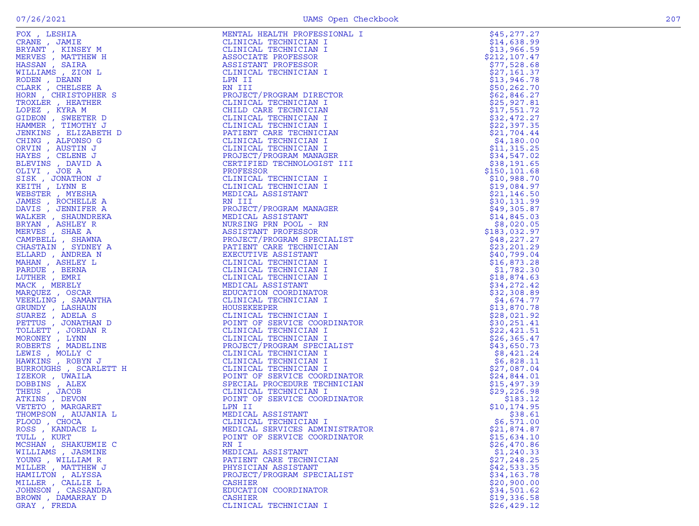| FOX , LESHIA<br>FOX , LESHIA<br>ERYANT , JAMIE HERVANT , JAMIE NEWANT , JAMIE NEWANT , MINERY M<br>HERVES , MATTHEW H<br>HERVES , MATTHEW H<br>MULLIAMS , ZION L<br>NULLIAMS , ZION L<br>NORE , KERISTOPHER S<br>TROXLER , KERISTOPHER S<br>TROXLER , HEATHER | MENTAL HEALTH PROFESSIONAL I                                     | \$45,277.27                |
|---------------------------------------------------------------------------------------------------------------------------------------------------------------------------------------------------------------------------------------------------------------|------------------------------------------------------------------|----------------------------|
| CRANE , JAMIE                                                                                                                                                                                                                                                 | CLINICAL TECHNICIAN I                                            | \$14,638.99                |
|                                                                                                                                                                                                                                                               | CLINICAL TECHNICIAN I                                            | \$13,966.59                |
|                                                                                                                                                                                                                                                               | ASSOCIATE PROFESSOR                                              | \$212,107.47               |
|                                                                                                                                                                                                                                                               | ASSISTANT PROFESSOR                                              | \$77,528.68                |
|                                                                                                                                                                                                                                                               | CLINICAL TECHNICIAN I                                            | \$27,161.37                |
|                                                                                                                                                                                                                                                               | LPN II                                                           | \$13,946.78                |
|                                                                                                                                                                                                                                                               | RN III                                                           | \$50, 262.70               |
|                                                                                                                                                                                                                                                               | PROJECT/PROGRAM DIRECTOR                                         | \$62,846.27                |
|                                                                                                                                                                                                                                                               | CLINICAL TECHNICIAN I                                            | \$25,927.81                |
|                                                                                                                                                                                                                                                               | CHILD CARE TECHNICIAN                                            | \$17,551.72                |
|                                                                                                                                                                                                                                                               | CLINICAL TECHNICIAN I                                            | \$32,472.27                |
|                                                                                                                                                                                                                                                               | CLINICAL TECHNICIAN I                                            | \$22,397.35                |
|                                                                                                                                                                                                                                                               | PATIENT CARE TECHNICIAN                                          | \$21,704.44                |
|                                                                                                                                                                                                                                                               | CLINICAL TECHNICIAN I                                            | \$4,180.00                 |
|                                                                                                                                                                                                                                                               | CLINICAL TECHNICIAN I                                            | \$11,315.25                |
|                                                                                                                                                                                                                                                               | PROJECT/PROGRAM MANAGER                                          | \$34,547.02                |
|                                                                                                                                                                                                                                                               | CERTIFIED TECHNOLOGIST III                                       | \$38,191.65                |
|                                                                                                                                                                                                                                                               | PROFESSOR                                                        | \$150, 101.68              |
|                                                                                                                                                                                                                                                               | CLINICAL TECHNICIAN I                                            | \$10,988.70<br>\$19,084.97 |
|                                                                                                                                                                                                                                                               | CLINICAL TECHNICIAN I                                            |                            |
|                                                                                                                                                                                                                                                               | MEDICAL ASSISTANT<br>RN III                                      | \$21,146.50<br>\$30,131.99 |
|                                                                                                                                                                                                                                                               | PROJECT/PROGRAM MANAGER                                          | \$49,305.87                |
|                                                                                                                                                                                                                                                               | MEDICAL ASSISTANT                                                | \$14,845.03                |
|                                                                                                                                                                                                                                                               | NURSING PRN POOL - RN                                            | \$8,020.05                 |
|                                                                                                                                                                                                                                                               | ASSISTANT PROFESSOR                                              | \$183,032.97               |
|                                                                                                                                                                                                                                                               | PROJECT/PROGRAM SPECIALIST                                       | \$48, 227.27               |
|                                                                                                                                                                                                                                                               | PATIENT CARE TECHNICIAN                                          | \$23, 201.29               |
|                                                                                                                                                                                                                                                               | EXECUTIVE ASSISTANT                                              | \$40,799.04                |
|                                                                                                                                                                                                                                                               | AN<br>ALIST<br>ALIST<br>W<br>CLINICAL TECHNICIAN I               | \$16,873.28                |
|                                                                                                                                                                                                                                                               | CLINICAL TECHNICIAN I                                            | \$1,782.30                 |
|                                                                                                                                                                                                                                                               | CLINICAL TECHNICIAN I                                            | \$18,874.63                |
|                                                                                                                                                                                                                                                               | MEDICAL ASSISTANT                                                | \$34,272.42                |
|                                                                                                                                                                                                                                                               | EDUCATION COORDINATOR                                            | \$32,308.89                |
|                                                                                                                                                                                                                                                               | CLINICAL TECHNICIAN I                                            | \$4,674.77                 |
|                                                                                                                                                                                                                                                               | HOUSEKEEPER                                                      | \$13,870.78                |
|                                                                                                                                                                                                                                                               | CLINICAL TECHNICIAN I                                            | \$28,021.92                |
|                                                                                                                                                                                                                                                               | POINT OF SERVICE COORDINATOR                                     | \$30,251.41                |
|                                                                                                                                                                                                                                                               | NATOR<br>IST<br>NATOR<br>ICIAN<br>NATOR<br>CLINICAL TECHNICIAN I | \$22,421.51                |
|                                                                                                                                                                                                                                                               | CLINICAL TECHNICIAN I                                            | \$26,365.47                |
|                                                                                                                                                                                                                                                               | PROJECT/PROGRAM SPECIALIST                                       | \$43,650.73                |
|                                                                                                                                                                                                                                                               | CLINICAL TECHNICIAN I                                            | \$8,421.24                 |
|                                                                                                                                                                                                                                                               | CLINICAL TECHNICIAN I                                            | \$6,828.11                 |
|                                                                                                                                                                                                                                                               | CLINICAL TECHNICIAN I                                            | \$27,087.04                |
|                                                                                                                                                                                                                                                               | POINT OF SERVICE COORDINATOR                                     | \$24,844.01                |
|                                                                                                                                                                                                                                                               | SPECIAL PROCEDURE TECHNICIAN                                     | \$15,497.39                |
|                                                                                                                                                                                                                                                               | CLINICAL TECHNICIAN I                                            | \$29,226.98                |
|                                                                                                                                                                                                                                                               | POINT OF SERVICE COORDINATOR                                     | \$183.12                   |
|                                                                                                                                                                                                                                                               | LPN II                                                           | \$10, 174.95               |
|                                                                                                                                                                                                                                                               | MEDICAL ASSISTANT                                                | \$38.61                    |
|                                                                                                                                                                                                                                                               | CLINICAL TECHNICIAN I                                            | \$6,571.00<br>\$21,874.87  |
| ROSS, KANDACE L<br>TULL, KURT                                                                                                                                                                                                                                 | MEDICAL SERVICES ADMINISTRATOR                                   |                            |
| MCSHAN , SHAKUEMIE C                                                                                                                                                                                                                                          | POINT OF SERVICE COORDINATOR<br>RN I                             | \$15,634.10<br>\$26,470.86 |
| WILLIAMS, JASMINE                                                                                                                                                                                                                                             | MEDICAL ASSISTANT                                                | \$1,240.33                 |
| YOUNG, WILLIAM R                                                                                                                                                                                                                                              | PATIENT CARE TECHNICIAN                                          | \$27, 248.25               |
| MILLER , MATTHEW J                                                                                                                                                                                                                                            | PHYSICIAN ASSISTANT                                              | \$42,533.35                |
| HAMILTON, ALYSSA                                                                                                                                                                                                                                              | PROJECT/PROGRAM SPECIALIST                                       | \$34,163.78                |
| MILLER, CALLIE L                                                                                                                                                                                                                                              | <b>CASHIER</b>                                                   | \$20,900.00                |
| JOHNSON , CASSANDRA                                                                                                                                                                                                                                           | EDUCATION COORDINATOR                                            | \$34,501.62                |
| BROWN, DAMARRAY D                                                                                                                                                                                                                                             | CASHIER                                                          | \$19,336.58                |
| GRAY, FREDA                                                                                                                                                                                                                                                   | CLINICAL TECHNICIAN I                                            | \$26,429.12                |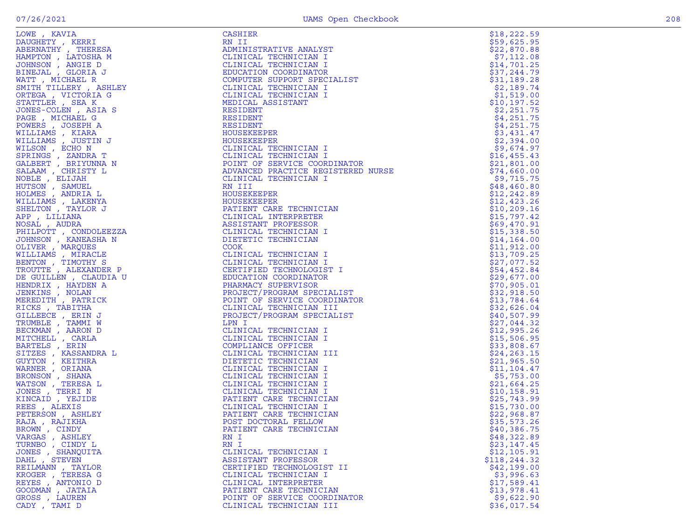| I |  |
|---|--|
|   |  |

| LOWE, KAVIA<br>NE KAVIA<br>MUHETY , KERRI<br>BENNATHY , THERESA<br>MUHETY , KERRI<br>MUHETY , KERRI<br>INENJAL , GIORIA I<br>INENJAL , GIORIA THERE , ASHLEY<br>NTITH TILLERY , ASHLEY<br>NTITH TILLERY , ASHA<br>NETEGA , VICTORIA G<br>ONES . ONES , VICTORIA<br> | CASHIER                                                                                                                                                                                                          | \$18,222.59                |
|---------------------------------------------------------------------------------------------------------------------------------------------------------------------------------------------------------------------------------------------------------------------|------------------------------------------------------------------------------------------------------------------------------------------------------------------------------------------------------------------|----------------------------|
|                                                                                                                                                                                                                                                                     | RN II                                                                                                                                                                                                            | \$59,625.95                |
|                                                                                                                                                                                                                                                                     | ADMINISTRATIVE ANALYST                                                                                                                                                                                           | \$22,870.88                |
|                                                                                                                                                                                                                                                                     | CLINICAL TECHNICIAN I                                                                                                                                                                                            | \$7,112.08                 |
|                                                                                                                                                                                                                                                                     | CLINICAL TECHNICIAN I                                                                                                                                                                                            | \$14,701.25                |
|                                                                                                                                                                                                                                                                     | EDUCATION COORDINATOR                                                                                                                                                                                            | \$37,244.79                |
|                                                                                                                                                                                                                                                                     | COMPUTER SUPPORT SPECIALIST                                                                                                                                                                                      | \$31,189.28                |
|                                                                                                                                                                                                                                                                     | CLINICAL TECHNICIAN I                                                                                                                                                                                            | \$2,189.74                 |
|                                                                                                                                                                                                                                                                     | CLINICAL TECHNICIAN I                                                                                                                                                                                            | \$1,519.00                 |
|                                                                                                                                                                                                                                                                     | MEDICAL ASSISTANT                                                                                                                                                                                                | \$10, 197.52               |
|                                                                                                                                                                                                                                                                     | RESIDENT                                                                                                                                                                                                         | \$2,251.75                 |
|                                                                                                                                                                                                                                                                     | RESIDENT                                                                                                                                                                                                         | \$4,251.75                 |
|                                                                                                                                                                                                                                                                     | <b>RESIDENT</b>                                                                                                                                                                                                  | \$4,251.75                 |
|                                                                                                                                                                                                                                                                     | HOUSEKEEPER                                                                                                                                                                                                      | \$3,431.47                 |
|                                                                                                                                                                                                                                                                     | HOUSEKEEPER                                                                                                                                                                                                      | \$2,394.00                 |
|                                                                                                                                                                                                                                                                     |                                                                                                                                                                                                                  | \$9,674.97                 |
|                                                                                                                                                                                                                                                                     |                                                                                                                                                                                                                  | \$16,455.43                |
|                                                                                                                                                                                                                                                                     |                                                                                                                                                                                                                  | \$21,801.00<br>\$74,660.00 |
|                                                                                                                                                                                                                                                                     |                                                                                                                                                                                                                  | \$9,715.75                 |
|                                                                                                                                                                                                                                                                     |                                                                                                                                                                                                                  | \$48,460.80                |
|                                                                                                                                                                                                                                                                     |                                                                                                                                                                                                                  | \$12, 242.89               |
|                                                                                                                                                                                                                                                                     |                                                                                                                                                                                                                  | \$12,423.26                |
|                                                                                                                                                                                                                                                                     | CLINICAL TECHNICIAN I<br>CLINICAL TECHNICIAN I<br>POINT OF SERVICE COORDINATOR<br>ADVANCED PRACTICE REGISTERED NURSE<br>CLINICAL TECHNICIAN I<br>RN III<br>HOUSEKEEPER<br>HOUSEKEEPER<br>PATIENT CARE TECHNICIAN | \$10, 209.16               |
|                                                                                                                                                                                                                                                                     |                                                                                                                                                                                                                  | \$15,797.42                |
|                                                                                                                                                                                                                                                                     |                                                                                                                                                                                                                  | \$69,470.91                |
|                                                                                                                                                                                                                                                                     | ANICIAN I<br>AUUSEKEEPER<br>HOUSEKEEPER<br>PATIENT CARE TECHNICIAN<br>CLINICAL INTERPRETER<br>ASSISTANT PROFESSOR<br>CLINICAL TECHNICIAN<br>CLINICAL TECHNICIAN<br>DIETERE                                       | \$15,338.50                |
|                                                                                                                                                                                                                                                                     |                                                                                                                                                                                                                  | \$14, 164.00               |
|                                                                                                                                                                                                                                                                     | <b>COOK</b>                                                                                                                                                                                                      | \$11,912.00                |
|                                                                                                                                                                                                                                                                     | CLINICAL TECHNICIAN I                                                                                                                                                                                            | \$13,709.25                |
|                                                                                                                                                                                                                                                                     | CLINICAL TECHNICIAN I                                                                                                                                                                                            | \$27,077.52                |
|                                                                                                                                                                                                                                                                     | CERTIFIED TECHNOLOGIST I                                                                                                                                                                                         | \$54,452.84                |
|                                                                                                                                                                                                                                                                     | EDUCATION COORDINATOR                                                                                                                                                                                            | \$29,677.00                |
|                                                                                                                                                                                                                                                                     | PHARMACY SUPERVISOR                                                                                                                                                                                              | \$70,905.01                |
|                                                                                                                                                                                                                                                                     | PROJECT/PROGRAM SPECIALIST                                                                                                                                                                                       | \$32,918.50                |
|                                                                                                                                                                                                                                                                     | POINT OF SERVICE COORDINATOR                                                                                                                                                                                     | \$13,784.64                |
|                                                                                                                                                                                                                                                                     | CLINICAL TECHNICIAN III                                                                                                                                                                                          | \$32,626.04                |
|                                                                                                                                                                                                                                                                     | PROJECT/PROGRAM SPECIALIST                                                                                                                                                                                       | \$40,507.99                |
|                                                                                                                                                                                                                                                                     | LPN I                                                                                                                                                                                                            | \$27,044.32                |
| BECKMAN, AARON D                                                                                                                                                                                                                                                    | CLINICAL TECHNICIAN I                                                                                                                                                                                            | \$12,995.26                |
| MITCHELL , CARLA                                                                                                                                                                                                                                                    | CLINICAL TECHNICIAN I                                                                                                                                                                                            | \$15,506.95                |
| BARTELS , ERIN                                                                                                                                                                                                                                                      | COMPLIANCE OFFICER                                                                                                                                                                                               | \$33,808.67                |
| SITZES , KASSANDRA L                                                                                                                                                                                                                                                | CLINICAL TECHNICIAN III                                                                                                                                                                                          | \$24, 263.15               |
| GUYTON, KEITHRA                                                                                                                                                                                                                                                     | DIETETIC TECHNICIAN                                                                                                                                                                                              | \$21,965.50                |
| WARNER, ORIANA                                                                                                                                                                                                                                                      | CLINICAL TECHNICIAN I                                                                                                                                                                                            | \$11,104.47                |
| BRONSON, SHANA                                                                                                                                                                                                                                                      | CLINICAL TECHNICIAN I                                                                                                                                                                                            | \$5,753.00                 |
| WATSON , TERESA L                                                                                                                                                                                                                                                   | CLINICAL TECHNICIAN I                                                                                                                                                                                            | \$21,664.25                |
| JONES , TERRI N                                                                                                                                                                                                                                                     | CLINICAL TECHNICIAN I                                                                                                                                                                                            | \$10, 158.91               |
| KINCAID, YEJIDE                                                                                                                                                                                                                                                     | PATIENT CARE TECHNICIAN                                                                                                                                                                                          | \$25,743.99                |
| REES, ALEXIS                                                                                                                                                                                                                                                        | CLINICAL TECHNICIAN I                                                                                                                                                                                            | \$15,730.00                |
| PETERSON, ASHLEY<br>RAJA, RAJIKHA                                                                                                                                                                                                                                   | PATIENT CARE TECHNICIAN                                                                                                                                                                                          | \$22,968.87                |
|                                                                                                                                                                                                                                                                     | POST DOCTORAL FELLOW<br>PATIENT CARE TECHNICIAN                                                                                                                                                                  | \$35,573.26                |
| BROWN, CINDY                                                                                                                                                                                                                                                        | RN I                                                                                                                                                                                                             | \$40,386.75<br>\$48,322.89 |
| VARGAS, ASHLEY<br>TURNBO, CINDY L                                                                                                                                                                                                                                   | RN I                                                                                                                                                                                                             | \$23,147.45                |
| JONES , SHANQUITA                                                                                                                                                                                                                                                   | CLINICAL TECHNICIAN I                                                                                                                                                                                            | \$12,105.91                |
| DAHL , STEVEN                                                                                                                                                                                                                                                       | ASSISTANT PROFESSOR                                                                                                                                                                                              | \$118, 244.32              |
| REILMANN, TAYLOR                                                                                                                                                                                                                                                    | CERTIFIED TECHNOLOGIST II                                                                                                                                                                                        | \$42,199.00                |
| KROGER , TERESA G                                                                                                                                                                                                                                                   | CLINICAL TECHNICIAN I                                                                                                                                                                                            | \$3,996.63                 |
| REYES, ANTONIO D                                                                                                                                                                                                                                                    | CLINICAL INTERPRETER                                                                                                                                                                                             | \$17,589.41                |
| GOODMAN, JATAIA                                                                                                                                                                                                                                                     | PATIENT CARE TECHNICIAN                                                                                                                                                                                          | \$13,978.41                |
| GROSS, LAUREN                                                                                                                                                                                                                                                       | POINT OF SERVICE COORDINATOR                                                                                                                                                                                     | \$9,622.90                 |
| CADY, TAMI D                                                                                                                                                                                                                                                        | CLINICAL TECHNICIAN III                                                                                                                                                                                          | \$36,017.54                |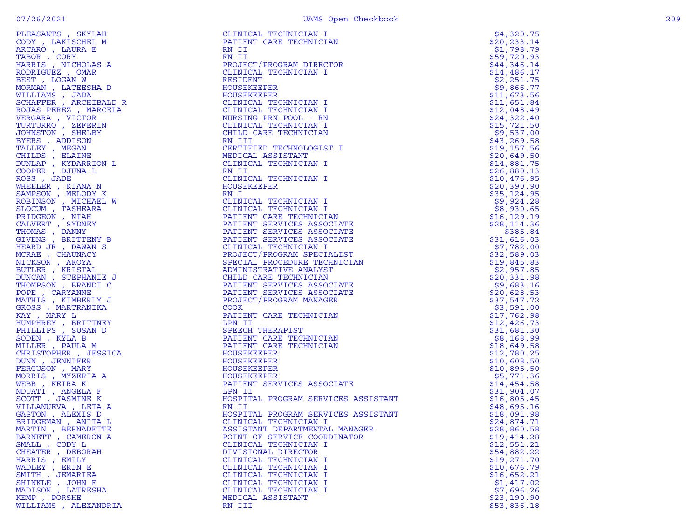| ٩ |  |
|---|--|

| PLEASANTS , SKYLAH                                                                                                                                                                                                                                   |                                                                                                           |              |
|------------------------------------------------------------------------------------------------------------------------------------------------------------------------------------------------------------------------------------------------------|-----------------------------------------------------------------------------------------------------------|--------------|
|                                                                                                                                                                                                                                                      | CLINICAL TECHNICIAN I                                                                                     | \$4,320.75   |
| CODY, LAKISCHEL M                                                                                                                                                                                                                                    | PATIENT CARE TECHNICIAN                                                                                   | \$20, 233.14 |
| ARCARO, LAURA E                                                                                                                                                                                                                                      | RN II                                                                                                     | \$1,798.79   |
|                                                                                                                                                                                                                                                      | RN II                                                                                                     | \$59,720.93  |
|                                                                                                                                                                                                                                                      |                                                                                                           |              |
|                                                                                                                                                                                                                                                      | PROJECT/PROGRAM DIRECTOR                                                                                  | \$44,346.14  |
|                                                                                                                                                                                                                                                      | CLINICAL TECHNICIAN I                                                                                     | \$14,486.17  |
|                                                                                                                                                                                                                                                      | RESIDENT                                                                                                  | \$2,251.75   |
|                                                                                                                                                                                                                                                      | HOUSEKEEPER                                                                                               |              |
|                                                                                                                                                                                                                                                      |                                                                                                           | \$9,866.77   |
|                                                                                                                                                                                                                                                      | HOUSEKEEPER                                                                                               | \$11,673.56  |
|                                                                                                                                                                                                                                                      | CLINICAL TECHNICIAN I                                                                                     | \$11,651.84  |
|                                                                                                                                                                                                                                                      | CLINICAL TECHNICIAN I                                                                                     | \$12,048.49  |
|                                                                                                                                                                                                                                                      |                                                                                                           |              |
|                                                                                                                                                                                                                                                      | NURSING PRN POOL - RN                                                                                     | \$24,322.40  |
|                                                                                                                                                                                                                                                      | CLINICAL TECHNICIAN I                                                                                     | \$15,721.50  |
|                                                                                                                                                                                                                                                      | CHILD CARE TECHNICIAN                                                                                     | \$9,537.00   |
|                                                                                                                                                                                                                                                      | RN III                                                                                                    | \$43, 269.58 |
|                                                                                                                                                                                                                                                      | CERTIFIED TECHNOLOGIST I                                                                                  | \$19,157.56  |
|                                                                                                                                                                                                                                                      |                                                                                                           |              |
|                                                                                                                                                                                                                                                      | MEDICAL ASSISTANT                                                                                         | \$20,649.50  |
|                                                                                                                                                                                                                                                      | CLINICAL TECHNICIAN I                                                                                     | \$14,881.75  |
|                                                                                                                                                                                                                                                      | RN II                                                                                                     | \$26,880.13  |
|                                                                                                                                                                                                                                                      |                                                                                                           |              |
|                                                                                                                                                                                                                                                      | CLINICAL TECHNICIAN I                                                                                     | \$10,476.95  |
| CODY, LAKISCHEL M<br>CODY, LAKISCHEL M<br>REGRO, LAURA E<br>HARRIS, NICHOLAS A<br>HARRIS, NICHOLAS A<br>RODRIGUEZ, OMAR WAN<br>MORMAM LATEESHA D<br>MORMAM LATEESHA D<br>MORMAM LATEESHA D<br>SCHAFFER ARCHIBALD R<br>NELLIAMS , DRAGHA MICHOLA<br>T | HOUSEKEEPER                                                                                               | \$20,390.90  |
|                                                                                                                                                                                                                                                      | RN I<br>$\frac{1}{2}$<br>$\frac{1}{2}$<br>$\frac{3}{2}$                                                   | \$35,124.95  |
|                                                                                                                                                                                                                                                      | CLINICAL TECHNICIAN I                                                                                     | \$9,924.28   |
|                                                                                                                                                                                                                                                      | CLINICAL TECHNICIAN I                                                                                     |              |
|                                                                                                                                                                                                                                                      |                                                                                                           | \$8,930.65   |
|                                                                                                                                                                                                                                                      | PATIENT CARE TECHNICIAN                                                                                   | \$16, 129.19 |
|                                                                                                                                                                                                                                                      | PATIENT SERVICES ASSOCIATE                                                                                | \$28,114.36  |
|                                                                                                                                                                                                                                                      | PATIENT SERVICES ASSOCIATE                                                                                | \$385.84     |
|                                                                                                                                                                                                                                                      | PATIENT SERVICES ASSOCIATE                                                                                | \$31,616.03  |
|                                                                                                                                                                                                                                                      | CLINICAL TECHNICIAN I                                                                                     | \$7,782.00   |
|                                                                                                                                                                                                                                                      |                                                                                                           |              |
|                                                                                                                                                                                                                                                      | PROJECT/PROGRAM SPECIALIST                                                                                | \$32,589.03  |
|                                                                                                                                                                                                                                                      | SPECIAL PROCEDURE TECHNICIAN                                                                              | \$19,845.83  |
|                                                                                                                                                                                                                                                      | ADMINISTRATIVE ANALYST                                                                                    | \$2,957.85   |
|                                                                                                                                                                                                                                                      | CHILD CARE TECHNICIAN                                                                                     | \$20,331.98  |
|                                                                                                                                                                                                                                                      |                                                                                                           |              |
|                                                                                                                                                                                                                                                      |                                                                                                           | \$9,683.16   |
|                                                                                                                                                                                                                                                      | PATIENT SERVICES ASSOCIATE<br>PATIENT SERVICES ASSOCIATE<br>PROJECT (PROGRAM MODEL CO                     | \$20,628.53  |
|                                                                                                                                                                                                                                                      | PROJECT/PROGRAM MANAGER                                                                                   | \$37,547.72  |
|                                                                                                                                                                                                                                                      | <b>COOK</b>                                                                                               | \$3,591.00   |
|                                                                                                                                                                                                                                                      | PATIENT CARE TECHNICIAN                                                                                   | \$17,762.98  |
|                                                                                                                                                                                                                                                      |                                                                                                           |              |
|                                                                                                                                                                                                                                                      | LPN II<br>LPN II<br>SPEECH THERAPIST<br>PATIENT CARE TECHNICIAN<br>PATIENT CARE TECHNICIAN<br>WOUGEEEPDEP | \$12,426.73  |
|                                                                                                                                                                                                                                                      |                                                                                                           | \$31,681.30  |
|                                                                                                                                                                                                                                                      |                                                                                                           | \$8,168.99   |
|                                                                                                                                                                                                                                                      |                                                                                                           | \$18,649.58  |
|                                                                                                                                                                                                                                                      | HOUSEKEEPER                                                                                               |              |
|                                                                                                                                                                                                                                                      |                                                                                                           | \$12,780.25  |
|                                                                                                                                                                                                                                                      | HOUSEKEEPER                                                                                               | \$10,608.50  |
|                                                                                                                                                                                                                                                      | HOUSEKEEPER                                                                                               | \$10,895.50  |
|                                                                                                                                                                                                                                                      | HOUSEKEEPER                                                                                               | \$5,771.36   |
|                                                                                                                                                                                                                                                      | PATIENT SERVICES ASSOCIATE<br>LPN II                                                                      | \$14,454.58  |
|                                                                                                                                                                                                                                                      | LPN II                                                                                                    |              |
|                                                                                                                                                                                                                                                      |                                                                                                           | \$31,904.07  |
|                                                                                                                                                                                                                                                      | HEN 11<br>HOSPITAL PROGRAM SERVICES ASSISTANT                                                             | \$16,805.45  |
|                                                                                                                                                                                                                                                      | RN II                                                                                                     | \$48,695.16  |
|                                                                                                                                                                                                                                                      | HOSPITAL PROGRAM SERVICES ASSISTANT                                                                       | \$18,091.98  |
|                                                                                                                                                                                                                                                      | CLINICAL TECHNICIAN I                                                                                     | \$24,874.71  |
|                                                                                                                                                                                                                                                      |                                                                                                           |              |
| MARTIN, BERNADETTE                                                                                                                                                                                                                                   | ASSISTANT DEPARTMENTAL MANAGER                                                                            | \$28,860.58  |
| BARNETT, CAMERON A                                                                                                                                                                                                                                   | POINT OF SERVICE COORDINATOR                                                                              | \$19,414.28  |
| SMALL, CODY L                                                                                                                                                                                                                                        | CLINICAL TECHNICIAN I                                                                                     | \$12,551.21  |
| CHEATER, DEBORAH                                                                                                                                                                                                                                     | DIVISIONAL DIRECTOR                                                                                       | \$54,882.22  |
| HARRIS, EMILY                                                                                                                                                                                                                                        | CLINICAL TECHNICIAN I                                                                                     | \$19,271.70  |
| WADLEY, ERIN E                                                                                                                                                                                                                                       |                                                                                                           | \$10,676.79  |
|                                                                                                                                                                                                                                                      | CLINICAL TECHNICIAN I                                                                                     |              |
| SMITH , JEMARIEA                                                                                                                                                                                                                                     | CLINICAL TECHNICIAN I                                                                                     | \$16,652.21  |
| SHINKLE, JOHN E                                                                                                                                                                                                                                      | CLINICAL TECHNICIAN I                                                                                     | \$1,417.02   |
| MADISON, LATRESHA                                                                                                                                                                                                                                    | CLINICAL TECHNICIAN I                                                                                     | \$7,696.26   |
| KEMP, PORSHE                                                                                                                                                                                                                                         | MEDICAL ASSISTANT                                                                                         | \$23,190.90  |
| WILLIAMS , ALEXANDRIA                                                                                                                                                                                                                                | RN III                                                                                                    | \$53,836.18  |
|                                                                                                                                                                                                                                                      |                                                                                                           |              |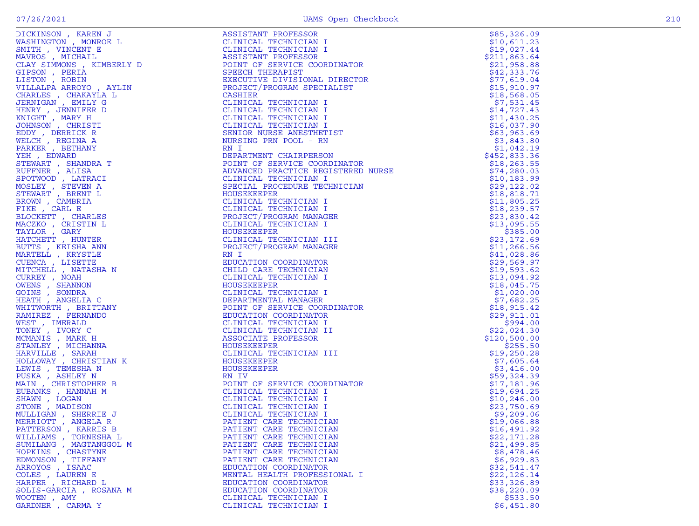|  | 210 |
|--|-----|
|  |     |
|  |     |
|  |     |
|  |     |
|  |     |
|  |     |
|  |     |
|  |     |
|  |     |
|  |     |
|  |     |
|  |     |
|  |     |
|  |     |
|  |     |
|  |     |
|  |     |
|  |     |
|  |     |
|  |     |
|  |     |
|  |     |
|  |     |
|  |     |
|  |     |
|  |     |
|  |     |
|  |     |
|  |     |
|  |     |
|  |     |
|  |     |
|  |     |
|  |     |
|  |     |
|  |     |
|  |     |
|  |     |
|  |     |
|  |     |
|  |     |
|  |     |
|  |     |
|  |     |
|  |     |
|  |     |
|  |     |
|  |     |
|  |     |
|  |     |
|  |     |
|  |     |

MULLIGAN , SHERRIE J CLINICAL TECHNICIAN I \$9,209.06 MERRIOTT , ANGELA R PATIENT CARE TECHNICIAN \$19,066.88 PATTERSON , KARRIS B PATIENT CARE TECHNICIAN \$16,491.92 WILLIAMS , TORNESHA L PATIENT CARE TECHNICIAN \$22,171.28 SUMILANG , MAGTANGGOL M PATIENT CARE TECHNICIAN \$21,499.85 HOPKINS , CHASTYNE PATIENT CARE TECHNICIAN \$8,478.46 EDMONSON , TIFFANY PATIENT CARE TECHNICIAN \$6,929.83 ARROYOS , ISAAC EDUCATION COORDINATOR \$32,541.47 COLES , LAUREN E MENTAL HEALTH PROFESSIONAL I \$22,126.14 HARPER , RICHARD L EDUCATION COORDINATOR \$33,326.89 SOLIS-GARCIA , ROSANA M EDUCATION COORDINATOR \$38,220.09 WOOTEN , AMY CLINICAL TECHNICIAN I \$533.50 GARDNER , CARMA Y CLINICAL TECHNICIAN I \$6,451.80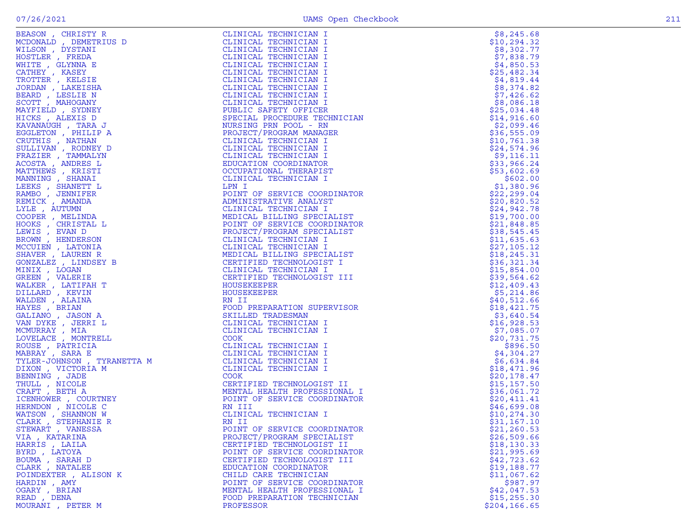| ASON , CHRISTY R<br>SON , DEMETRING D<br>SON , DEMETRIUS D<br>SON , DYSTANI<br>TILER , GLYNNA E<br>THER , GLYNNA E<br>THER , GLYNNA E<br>THER , GLYNNA E<br>THER , KELSTER<br>PIDR , LAKESTER<br>NDT , MAHOGANY<br>VETELD , SYDNEY D<br>VETELD , SYDNE | CLINICAL TECHNICIAN I                                                         | \$8,245.68                 |
|--------------------------------------------------------------------------------------------------------------------------------------------------------------------------------------------------------------------------------------------------------|-------------------------------------------------------------------------------|----------------------------|
|                                                                                                                                                                                                                                                        | CLINICAL TECHNICIAN I                                                         | \$10,294.32                |
|                                                                                                                                                                                                                                                        | CLINICAL TECHNICIAN I<br>IAN<br>ATOR<br>IST<br>MATOR<br>IST<br>IST<br>I       | \$8,302.77                 |
|                                                                                                                                                                                                                                                        | CLINICAL TECHNICIAN I                                                         | \$7,838.79                 |
|                                                                                                                                                                                                                                                        | CLINICAL TECHNICIAN I                                                         | \$4,850.53                 |
|                                                                                                                                                                                                                                                        | CLINICAL TECHNICIAN I                                                         | \$25,482.34                |
|                                                                                                                                                                                                                                                        | CLINICAL TECHNICIAN I                                                         | \$4,819.44                 |
|                                                                                                                                                                                                                                                        | CLINICAL TECHNICIAN I                                                         | \$8,374.82                 |
|                                                                                                                                                                                                                                                        | CLINICAL TECHNICIAN I                                                         | \$7,426.62                 |
|                                                                                                                                                                                                                                                        | CLINICAL TECHNICIAN I<br>PUBLIC SAFETY OFFICER                                | \$8,086.18                 |
|                                                                                                                                                                                                                                                        | SPECIAL PROCEDURE TECHNICIAN                                                  | \$25,034.48<br>\$14,916.60 |
|                                                                                                                                                                                                                                                        | NURSING PRN POOL - RN                                                         | \$2,099.46                 |
|                                                                                                                                                                                                                                                        | PROJECT/PROGRAM MANAGER                                                       | \$36,555.09                |
|                                                                                                                                                                                                                                                        | CLINICAL TECHNICIAN I                                                         | \$10,761.38                |
|                                                                                                                                                                                                                                                        | CLINICAL TECHNICIAN I                                                         | \$24,574.96                |
|                                                                                                                                                                                                                                                        | CLINICAL TECHNICIAN I                                                         | \$9,116.11                 |
|                                                                                                                                                                                                                                                        | EDUCATION COORDINATOR                                                         | \$33,966.24                |
|                                                                                                                                                                                                                                                        | OCCUPATIONAL THERAPIST                                                        | \$53,602.69                |
|                                                                                                                                                                                                                                                        | CLINICAL TECHNICIAN I                                                         | \$602.00                   |
|                                                                                                                                                                                                                                                        | LPN I                                                                         | \$1,380.96                 |
|                                                                                                                                                                                                                                                        | POINT OF SERVICE COORDINATOR                                                  | \$22, 299.04               |
|                                                                                                                                                                                                                                                        | ADMINISTRATIVE ANALYST                                                        | \$20,820.52                |
|                                                                                                                                                                                                                                                        | CLINICAL TECHNICIAN I                                                         | \$24,942.78                |
|                                                                                                                                                                                                                                                        | MEDICAL BILLING SPECIALIST                                                    | \$19,700.00                |
|                                                                                                                                                                                                                                                        | POINT OF SERVICE COORDINATOR                                                  | \$21,848.85                |
|                                                                                                                                                                                                                                                        | PROJECT/PROGRAM SPECIALIST                                                    | \$38,545.45                |
|                                                                                                                                                                                                                                                        | CLINICAL TECHNICIAN I                                                         | \$11,635.63                |
|                                                                                                                                                                                                                                                        | CLINICAL TECHNICIAN I                                                         | \$27,105.12                |
|                                                                                                                                                                                                                                                        | MEDICAL BILLING SPECIALIST                                                    | \$18, 245.31               |
|                                                                                                                                                                                                                                                        | CERTIFIED TECHNOLOGIST I                                                      | \$36,321.34                |
|                                                                                                                                                                                                                                                        | CLINICAL TECHNICIAN I                                                         | \$15,854.00                |
|                                                                                                                                                                                                                                                        | CERTIFIED TECHNOLOGIST III                                                    | \$39,564.62                |
|                                                                                                                                                                                                                                                        | HOUSEKEEPER                                                                   | \$12,409.43                |
|                                                                                                                                                                                                                                                        | HOUSEKEEPER                                                                   | \$5,214.86                 |
|                                                                                                                                                                                                                                                        | RN II                                                                         | \$40,512.66                |
|                                                                                                                                                                                                                                                        | FOOD PREPARATION SUPERVISOR                                                   | \$18,421.75                |
|                                                                                                                                                                                                                                                        | SKILLED TRADESMAN                                                             | \$3,640.54                 |
|                                                                                                                                                                                                                                                        | CLINICAL TECHNICIAN I                                                         | \$16,928.53                |
|                                                                                                                                                                                                                                                        | CLINICAL TECHNICIAN I<br>COOK                                                 | \$7,085.07<br>\$20,731.75  |
|                                                                                                                                                                                                                                                        | CLINICAL TECHNICIAN I                                                         | \$896.50                   |
|                                                                                                                                                                                                                                                        | CLINICAL TECHNICIAN I                                                         | \$4,304.27                 |
|                                                                                                                                                                                                                                                        | CLINICAL TECHNICIAN I                                                         | \$6,634.84                 |
|                                                                                                                                                                                                                                                        | CLINICAL TECHNICIAN I                                                         | \$18,471.96                |
|                                                                                                                                                                                                                                                        | <b>COOK</b>                                                                   | \$20,178.47                |
| MABRAY , SARA E<br>TYLER-JOHNSON , TYRANETTA M<br>DIXON , VICTORIA M<br>BENNING , JADE<br>THULL , NICOLE<br>CRAFT , BETH A<br>ICENHOWER , COURTNEY<br>HERNDON , NICOLE C<br>WATSON , SHANNON W<br>CLARK , STEPHANIE R<br>STEWART . VANESSA             | CERTIFIEL ITH<br>MENTAL HEALTH PROFESSIONAL I<br>POINT OF SERVICE COORDINATOR | \$15,157.50                |
|                                                                                                                                                                                                                                                        |                                                                               | \$36,061.72                |
|                                                                                                                                                                                                                                                        |                                                                               | \$20,411.41                |
|                                                                                                                                                                                                                                                        |                                                                               | \$46,699.08                |
|                                                                                                                                                                                                                                                        | CLINICAL TECHNICIAN I                                                         | \$10, 274.30               |
|                                                                                                                                                                                                                                                        | RN II                                                                         | \$31,167.10                |
| STEWART , VANESSA                                                                                                                                                                                                                                      | POINT OF SERVICE COORDINATOR                                                  | \$21, 260.53               |
| VIA, KATARINA                                                                                                                                                                                                                                          | PROJECT/PROGRAM SPECIALIST                                                    | \$26,509.66                |
| HARRIS, LAILA                                                                                                                                                                                                                                          | CERTIFIED TECHNOLOGIST II                                                     | \$18, 130.33               |
| BYRD, LATOYA                                                                                                                                                                                                                                           | POINT OF SERVICE COORDINATOR                                                  | \$21,995.69                |
| BOUMA, SARAH D                                                                                                                                                                                                                                         | CERTIFIED TECHNOLOGIST III                                                    | \$42,723.62                |
| CLARK, NATALEE                                                                                                                                                                                                                                         | EDUCATION COORDINATOR                                                         | \$19,188.77                |
| POINDEXTER, ALISON K                                                                                                                                                                                                                                   | CHILD CARE TECHNICIAN                                                         | \$11,067.62                |
| HARDIN, AMY                                                                                                                                                                                                                                            | POINT OF SERVICE COORDINATOR                                                  | \$987.97                   |
| OGARY, BRIAN                                                                                                                                                                                                                                           | MENTAL HEALTH PROFESSIONAL I                                                  | \$42,047.53                |
| READ, DENA                                                                                                                                                                                                                                             | FOOD PREPARATION TECHNICIAN                                                   | \$15, 255.30               |
| MOURANI, PETER M                                                                                                                                                                                                                                       | PROFESSOR                                                                     | \$204, 166.65              |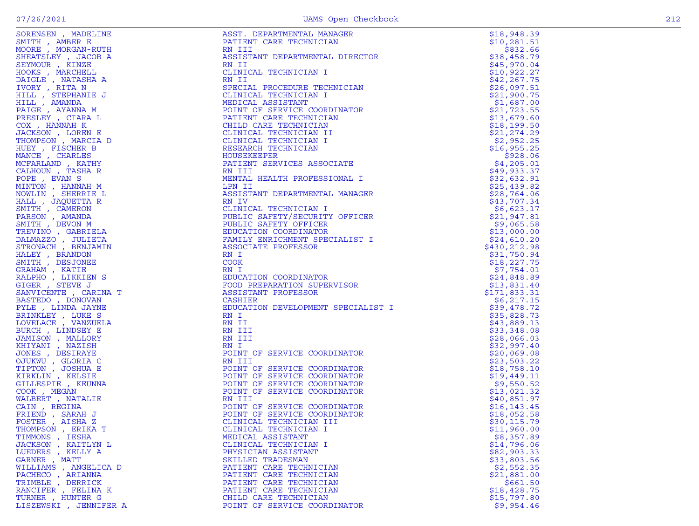| SORENSEN, MADELINE                                                                                                                                                                                                                                  | ASST. DEPARTMENTAL MANAGER<br>ASST. DEPARTMENTAL MANGER<br>RATIENT CARE TECHNICIAN<br>RATIENT CARE TECHNICIAN<br>RATIENT DEPARTMENTAL DIRECTOR<br>CLINICAL TECHNICIAN I<br>SEPITAL PROCEDURE TECHNICIAN<br>SEPITAL PROCEDURE TECHNICIAN<br>MODINT OP SERVICE CORDINATOR<br>PAITENT C | \$18,948.39  |
|-----------------------------------------------------------------------------------------------------------------------------------------------------------------------------------------------------------------------------------------------------|--------------------------------------------------------------------------------------------------------------------------------------------------------------------------------------------------------------------------------------------------------------------------------------|--------------|
| SMITH, AMBER E                                                                                                                                                                                                                                      |                                                                                                                                                                                                                                                                                      | \$10, 281.51 |
| MOORE, MORGAN-RUTH                                                                                                                                                                                                                                  |                                                                                                                                                                                                                                                                                      | \$832.66     |
| SHEATSLEY, JACOB A                                                                                                                                                                                                                                  |                                                                                                                                                                                                                                                                                      | \$38,458.79  |
| SEYMOUR, KINZE                                                                                                                                                                                                                                      |                                                                                                                                                                                                                                                                                      | \$45,970.04  |
| HOOKS, MARCHELL                                                                                                                                                                                                                                     |                                                                                                                                                                                                                                                                                      | \$10,922.27  |
| DAIGLE, NATASHA A                                                                                                                                                                                                                                   |                                                                                                                                                                                                                                                                                      | \$42, 267.75 |
| IVORY, RITA N                                                                                                                                                                                                                                       |                                                                                                                                                                                                                                                                                      | \$26,097.51  |
| HILL , STEPHANIE J                                                                                                                                                                                                                                  |                                                                                                                                                                                                                                                                                      | \$21,900.75  |
| HILL, AMANDA                                                                                                                                                                                                                                        |                                                                                                                                                                                                                                                                                      | \$1,687.00   |
| PAIGE, AYANNA M                                                                                                                                                                                                                                     |                                                                                                                                                                                                                                                                                      | \$21,723.55  |
| PRESLEY, CIARA L                                                                                                                                                                                                                                    |                                                                                                                                                                                                                                                                                      | \$13,679.60  |
| COX, HANNAH K                                                                                                                                                                                                                                       |                                                                                                                                                                                                                                                                                      | \$18,199.50  |
| JACKSON, LOREN E                                                                                                                                                                                                                                    |                                                                                                                                                                                                                                                                                      | \$21, 274.29 |
| THOMPSON, MARCIA D                                                                                                                                                                                                                                  |                                                                                                                                                                                                                                                                                      | \$2,952.25   |
| HUEY, FISCHER B                                                                                                                                                                                                                                     |                                                                                                                                                                                                                                                                                      | \$16,955.25  |
| MANCE, CHARLES                                                                                                                                                                                                                                      |                                                                                                                                                                                                                                                                                      | \$928.06     |
| MCFARLAND, KATHY                                                                                                                                                                                                                                    |                                                                                                                                                                                                                                                                                      | \$4,205.01   |
| CALHOUN, TASHA R                                                                                                                                                                                                                                    |                                                                                                                                                                                                                                                                                      | \$49,933.37  |
| POPE, EVAN S                                                                                                                                                                                                                                        |                                                                                                                                                                                                                                                                                      | \$32,632.91  |
| MINTON, HANNAH M                                                                                                                                                                                                                                    |                                                                                                                                                                                                                                                                                      | \$25,439.82  |
| NOWLIN, SHERRIE L                                                                                                                                                                                                                                   |                                                                                                                                                                                                                                                                                      | \$28,764.06  |
| HALL, JAQUETTA R                                                                                                                                                                                                                                    |                                                                                                                                                                                                                                                                                      | \$43,707.34  |
|                                                                                                                                                                                                                                                     |                                                                                                                                                                                                                                                                                      | \$6,623.17   |
| SMITH , CAMERON                                                                                                                                                                                                                                     |                                                                                                                                                                                                                                                                                      |              |
| PARSON, AMANDA                                                                                                                                                                                                                                      |                                                                                                                                                                                                                                                                                      | \$21,947.81  |
| SMITH, DEVON M                                                                                                                                                                                                                                      |                                                                                                                                                                                                                                                                                      | \$9,065.58   |
| TREVINO, GABRIELA                                                                                                                                                                                                                                   |                                                                                                                                                                                                                                                                                      | \$13,000.00  |
| DALMAZZO, JULIETA                                                                                                                                                                                                                                   |                                                                                                                                                                                                                                                                                      | \$24,610.20  |
| STRONACH, BENJAMIN                                                                                                                                                                                                                                  |                                                                                                                                                                                                                                                                                      | \$430,212.98 |
| HALEY, BRANDON                                                                                                                                                                                                                                      |                                                                                                                                                                                                                                                                                      | \$31,750.94  |
| SMITH, DESJONEE                                                                                                                                                                                                                                     |                                                                                                                                                                                                                                                                                      | \$18, 227.75 |
| GRAHAM, KATIE                                                                                                                                                                                                                                       |                                                                                                                                                                                                                                                                                      | \$7,754.01   |
| RALPHO, LIKKIEN S                                                                                                                                                                                                                                   |                                                                                                                                                                                                                                                                                      | \$24,848.89  |
| GIGER , STEVE J                                                                                                                                                                                                                                     |                                                                                                                                                                                                                                                                                      | \$13,831.40  |
| SANVICENTE , CARINA T                                                                                                                                                                                                                               |                                                                                                                                                                                                                                                                                      | \$171,833.31 |
| BASTEDO, DONOVAN                                                                                                                                                                                                                                    |                                                                                                                                                                                                                                                                                      | \$6, 217.15  |
| PYLE, LINDA JAYNE                                                                                                                                                                                                                                   |                                                                                                                                                                                                                                                                                      | \$39,478.72  |
| BRINKLEY, LUKE S                                                                                                                                                                                                                                    |                                                                                                                                                                                                                                                                                      | \$35,828.73  |
| LOVELACE, VANZUELA                                                                                                                                                                                                                                  |                                                                                                                                                                                                                                                                                      | \$43,889.13  |
| BURCH, LINDSEY E                                                                                                                                                                                                                                    |                                                                                                                                                                                                                                                                                      | \$33,348.08  |
| <b>JAMISON</b> , MALLORY                                                                                                                                                                                                                            |                                                                                                                                                                                                                                                                                      | \$28,066.03  |
| KHIYANI , NAZISH                                                                                                                                                                                                                                    |                                                                                                                                                                                                                                                                                      | \$32,997.40  |
| JONES , DESIRAYE                                                                                                                                                                                                                                    | POINT OF SERVICE COORDINATOR                                                                                                                                                                                                                                                         | \$20,069.08  |
| OJUKWU , GLORIA C                                                                                                                                                                                                                                   |                                                                                                                                                                                                                                                                                      | \$23,503.22  |
| TIPTON, JOSHUA E                                                                                                                                                                                                                                    | POINT OF SERVICE COORDINATOR                                                                                                                                                                                                                                                         | \$18,758.10  |
| KIRKLIN, KELSIE                                                                                                                                                                                                                                     | POINT OF SERVICE COORDINATOR<br>POINT OF SERVICE COORDINATOR<br>POINT OF SERVICE COORDINATOR                                                                                                                                                                                         | \$19,449.11  |
| GILLESPIE , KEUNNA                                                                                                                                                                                                                                  |                                                                                                                                                                                                                                                                                      | \$9,550.52   |
| COOK, MEGAN                                                                                                                                                                                                                                         | POINT OF SERVICE COORDINATOR                                                                                                                                                                                                                                                         | \$13,021.32  |
| WALBERT , NATALIE                                                                                                                                                                                                                                   |                                                                                                                                                                                                                                                                                      | \$40,851.97  |
| CAIN, REGINA                                                                                                                                                                                                                                        | POINT OF SERVICE COORDINATOR                                                                                                                                                                                                                                                         | \$16, 143.45 |
| FRIEND, SARAH J                                                                                                                                                                                                                                     | POINT OF SERVICE COORDINATOR                                                                                                                                                                                                                                                         | \$18,052.58  |
| FOSTER, AISHA Z                                                                                                                                                                                                                                     |                                                                                                                                                                                                                                                                                      | \$30, 115.79 |
| THOMPSON, ERIKA T                                                                                                                                                                                                                                   |                                                                                                                                                                                                                                                                                      | \$11,960.00  |
| TIMMONS, IESHA                                                                                                                                                                                                                                      | MEDICAL ASSISTANT                                                                                                                                                                                                                                                                    | \$8,357.89   |
| ASST. DEPARTMENTAL MANAGEMENTAL MANAGEMENTAL MANAGEMENTAL MANAGEMENTAL MANAGEMENTAL MANAGEMENTAL SERVICE TO UNIT OF SERVICE THE SERVICE TO SERVICE THE SERVICE ON THE SERVICE ON THE SERVICE ON THE SERVICE ON THE SERVICE ON<br>JACKSON, KAITLYN L | CLINICAL TECHNICIAN I                                                                                                                                                                                                                                                                | \$14,796.06  |
| LUEDERS, KELLY A                                                                                                                                                                                                                                    | PHYSICIAN ASSISTANT                                                                                                                                                                                                                                                                  | \$82,903.33  |
| GARNER, MATT                                                                                                                                                                                                                                        | SKILLED TRADESMAN                                                                                                                                                                                                                                                                    | \$33,803.56  |
| WILLIAMS, ANGELICA D                                                                                                                                                                                                                                | PATIENT CARE TECHNICIAN                                                                                                                                                                                                                                                              | \$2,552.35   |
| PACHECO, ARIANNA                                                                                                                                                                                                                                    | PATIENT CARE TECHNICIAN                                                                                                                                                                                                                                                              | \$21,881.00  |
| TRIMBLE , DERRICK                                                                                                                                                                                                                                   | PATIENT CARE TECHNICIAN                                                                                                                                                                                                                                                              | \$661.50     |
| RANCIFER , FELINA K                                                                                                                                                                                                                                 | PATIENT CARE TECHNICIAN                                                                                                                                                                                                                                                              | \$18,428.75  |
| TURNER, HUNTER G                                                                                                                                                                                                                                    | CHILD CARE TECHNICIAN                                                                                                                                                                                                                                                                | \$15,797.80  |
| LISZEWSKI , JENNIFER A                                                                                                                                                                                                                              | POINT OF SERVICE COORDINATOR                                                                                                                                                                                                                                                         | \$9,954.46   |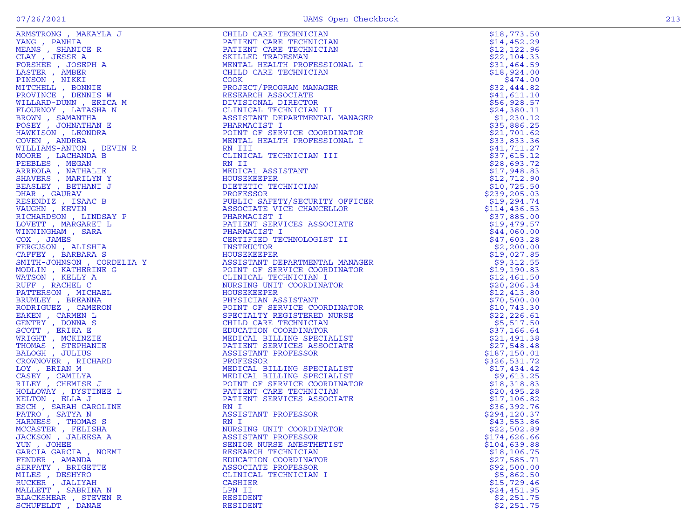|                                                                                                                                                                                                                                                              | CHILD CARE TECHNICIAN                                                                                                                                                                                                                                                 | \$18,773.50   |
|--------------------------------------------------------------------------------------------------------------------------------------------------------------------------------------------------------------------------------------------------------------|-----------------------------------------------------------------------------------------------------------------------------------------------------------------------------------------------------------------------------------------------------------------------|---------------|
|                                                                                                                                                                                                                                                              | PATIENT CARE TECHNICIAN                                                                                                                                                                                                                                               | \$14,452.29   |
|                                                                                                                                                                                                                                                              |                                                                                                                                                                                                                                                                       |               |
| ARMSTRONG , MAKAYLA J<br>ARMS , SHANICE R<br>YANG , PANHIA (ERAN CER<br>DEANS , JOSEPH A<br>DEANS , MARER<br>PROSHER , ANDER<br>PROVINCE , DOSINIE WITCH<br>PROVINCE , DOSINIE WITCH M<br>FLOURNOV , LATASHA N<br>FLOURNOV , LATASHA N<br>PROVINCE , DOSINIE | PATIENT CARE TECHNICIAN                                                                                                                                                                                                                                               | \$12, 122.96  |
|                                                                                                                                                                                                                                                              | SKILLED TRADESMAN                                                                                                                                                                                                                                                     | \$22,104.33   |
|                                                                                                                                                                                                                                                              | MENTAL HEALTH PROFESSIONAL I                                                                                                                                                                                                                                          | \$31,464.59   |
|                                                                                                                                                                                                                                                              |                                                                                                                                                                                                                                                                       |               |
|                                                                                                                                                                                                                                                              | CHILD CARE TECHNICIAN                                                                                                                                                                                                                                                 | \$18,924.00   |
|                                                                                                                                                                                                                                                              | COOK                                                                                                                                                                                                                                                                  | \$474.00      |
|                                                                                                                                                                                                                                                              | PROJECT/PROGRAM MANAGER                                                                                                                                                                                                                                               | \$32,444.82   |
|                                                                                                                                                                                                                                                              |                                                                                                                                                                                                                                                                       |               |
|                                                                                                                                                                                                                                                              | RESEARCH ASSOCIATE<br>RESEARCH INC<br>DIVISIONAL DIRECTOR<br>CLINICAL TECHNICIAN II<br>ASSISTANT DEPARTMENTAL MANAGER<br>PHARMACIST I<br>POINT OF SERVICE COORDINATOR<br>MENTAL HEALTH PROFESSIONAL I<br>RN III<br>CLINICAL TECHNICIAN III<br>CLINICAL TECHNICIAN III | \$41,611.10   |
|                                                                                                                                                                                                                                                              |                                                                                                                                                                                                                                                                       | \$56,928.57   |
|                                                                                                                                                                                                                                                              |                                                                                                                                                                                                                                                                       | \$24,380.11   |
|                                                                                                                                                                                                                                                              |                                                                                                                                                                                                                                                                       |               |
|                                                                                                                                                                                                                                                              |                                                                                                                                                                                                                                                                       | \$1,230.12    |
|                                                                                                                                                                                                                                                              |                                                                                                                                                                                                                                                                       | \$35,886.25   |
|                                                                                                                                                                                                                                                              |                                                                                                                                                                                                                                                                       | \$21,701.62   |
|                                                                                                                                                                                                                                                              |                                                                                                                                                                                                                                                                       |               |
|                                                                                                                                                                                                                                                              |                                                                                                                                                                                                                                                                       | \$33,833.36   |
|                                                                                                                                                                                                                                                              |                                                                                                                                                                                                                                                                       | \$41,711.27   |
|                                                                                                                                                                                                                                                              |                                                                                                                                                                                                                                                                       | \$37,615.12   |
|                                                                                                                                                                                                                                                              |                                                                                                                                                                                                                                                                       |               |
|                                                                                                                                                                                                                                                              |                                                                                                                                                                                                                                                                       | \$28,693.72   |
|                                                                                                                                                                                                                                                              | MEDICAL ASSISTANT                                                                                                                                                                                                                                                     | \$17,948.83   |
|                                                                                                                                                                                                                                                              | HOUSEKEEPER                                                                                                                                                                                                                                                           | \$12,712.90   |
|                                                                                                                                                                                                                                                              |                                                                                                                                                                                                                                                                       |               |
|                                                                                                                                                                                                                                                              | DIETETIC TECHNICIAN                                                                                                                                                                                                                                                   | \$10,725.50   |
|                                                                                                                                                                                                                                                              | PROFESSOR                                                                                                                                                                                                                                                             | \$239, 205.03 |
|                                                                                                                                                                                                                                                              | PUBLIC SAFETY/SECURITY OFFICER                                                                                                                                                                                                                                        |               |
|                                                                                                                                                                                                                                                              |                                                                                                                                                                                                                                                                       | \$19,294.74   |
|                                                                                                                                                                                                                                                              | ASSOCIATE VICE CHANCELLOR                                                                                                                                                                                                                                             | \$114,436.53  |
|                                                                                                                                                                                                                                                              | CER (CER                                                                                                                                                                                                                                                              | \$37,885.00   |
|                                                                                                                                                                                                                                                              |                                                                                                                                                                                                                                                                       | \$19,479.57   |
|                                                                                                                                                                                                                                                              |                                                                                                                                                                                                                                                                       |               |
|                                                                                                                                                                                                                                                              |                                                                                                                                                                                                                                                                       | \$44,060.00   |
|                                                                                                                                                                                                                                                              |                                                                                                                                                                                                                                                                       | \$47,603.28   |
|                                                                                                                                                                                                                                                              |                                                                                                                                                                                                                                                                       | \$2,200.00    |
|                                                                                                                                                                                                                                                              |                                                                                                                                                                                                                                                                       |               |
|                                                                                                                                                                                                                                                              |                                                                                                                                                                                                                                                                       | \$19,027.85   |
|                                                                                                                                                                                                                                                              |                                                                                                                                                                                                                                                                       | \$9,312.55    |
|                                                                                                                                                                                                                                                              |                                                                                                                                                                                                                                                                       | \$19,190.83   |
|                                                                                                                                                                                                                                                              | ASSOCIATE VICE CHANCEDDON<br>PHARMACIST I<br>PATIENT SERVICES ASSOCIATE<br>PHARMACIST I<br>CERTIFIED TECHNOLOGIST II<br>INSTRUCTOR<br>HOUSEKEEPER<br>ASSISTANT DEPARTMENTAL MANAGER<br>POINT OF SERVICE COORDINATOR<br>CLINICAL TECHNICIAN I<br>NURSING UNIT          |               |
|                                                                                                                                                                                                                                                              |                                                                                                                                                                                                                                                                       | \$12,461.50   |
|                                                                                                                                                                                                                                                              |                                                                                                                                                                                                                                                                       | \$20, 206.34  |
|                                                                                                                                                                                                                                                              |                                                                                                                                                                                                                                                                       |               |
|                                                                                                                                                                                                                                                              |                                                                                                                                                                                                                                                                       | \$12,413.80   |
|                                                                                                                                                                                                                                                              |                                                                                                                                                                                                                                                                       | \$70,500.00   |
|                                                                                                                                                                                                                                                              | HOUSEKEEPER<br>PHYSICIAN ASSISTANT<br>POINT OF SERVICE COORDINATOR<br>SPECIALTY REGISTERED NURSE<br>CHILD CARE TECHNICIAN<br>THILD CARE TECHNICIAN                                                                                                                    | \$10,743.30   |
|                                                                                                                                                                                                                                                              |                                                                                                                                                                                                                                                                       |               |
|                                                                                                                                                                                                                                                              |                                                                                                                                                                                                                                                                       | \$22, 226.61  |
|                                                                                                                                                                                                                                                              |                                                                                                                                                                                                                                                                       | \$5,517.50    |
|                                                                                                                                                                                                                                                              |                                                                                                                                                                                                                                                                       | \$37,166.64   |
|                                                                                                                                                                                                                                                              |                                                                                                                                                                                                                                                                       |               |
|                                                                                                                                                                                                                                                              |                                                                                                                                                                                                                                                                       | \$21,491.38   |
|                                                                                                                                                                                                                                                              | PATIENT SERVICES ASSOCIATE                                                                                                                                                                                                                                            | \$27,548.48   |
|                                                                                                                                                                                                                                                              | ASSISTANT PROFESSOR                                                                                                                                                                                                                                                   | \$187,150.01  |
|                                                                                                                                                                                                                                                              | ASSISTANT PROFESSOR<br>PROFESSOR<br>MEDICAL BILLING SPECIALIST<br>MEDICAL BILLING SPECIALIST<br>POINT OF SERVICE COORDINATOR<br>PATIENT CARE TECHNICIAN<br>PATIENT SERVICES ASSOCIATE<br>RN I<br>ASSISTANT PROFESSOR<br>RN I                                          |               |
|                                                                                                                                                                                                                                                              |                                                                                                                                                                                                                                                                       | \$326,531.72  |
|                                                                                                                                                                                                                                                              |                                                                                                                                                                                                                                                                       | \$17,434.42   |
|                                                                                                                                                                                                                                                              |                                                                                                                                                                                                                                                                       | \$9,613.25    |
|                                                                                                                                                                                                                                                              |                                                                                                                                                                                                                                                                       |               |
|                                                                                                                                                                                                                                                              |                                                                                                                                                                                                                                                                       | \$18,318.83   |
|                                                                                                                                                                                                                                                              |                                                                                                                                                                                                                                                                       | \$20,495.28   |
|                                                                                                                                                                                                                                                              |                                                                                                                                                                                                                                                                       | \$17,106.82   |
|                                                                                                                                                                                                                                                              |                                                                                                                                                                                                                                                                       |               |
|                                                                                                                                                                                                                                                              |                                                                                                                                                                                                                                                                       | \$36,392.76   |
| PATRO, SATYA N                                                                                                                                                                                                                                               |                                                                                                                                                                                                                                                                       | \$294,120.37  |
| HARNESS, THOMAS S                                                                                                                                                                                                                                            | RN I                                                                                                                                                                                                                                                                  | \$43,553.86   |
|                                                                                                                                                                                                                                                              |                                                                                                                                                                                                                                                                       |               |
| MCCASTER , FELISHA                                                                                                                                                                                                                                           | NURSING UNIT COORDINATOR                                                                                                                                                                                                                                              | \$22,502.89   |
| JACKSON, JALEESA A                                                                                                                                                                                                                                           | ASSISTANT PROFESSOR                                                                                                                                                                                                                                                   | \$174,626.66  |
| YUN, JOHEE                                                                                                                                                                                                                                                   | SENIOR NURSE ANESTHETIST                                                                                                                                                                                                                                              | \$104,639.88  |
|                                                                                                                                                                                                                                                              |                                                                                                                                                                                                                                                                       |               |
| GARCIA GARCIA , NOEMI                                                                                                                                                                                                                                        | RESEARCH TECHNICIAN                                                                                                                                                                                                                                                   | \$18,106.75   |
| FENDER, AMANDA                                                                                                                                                                                                                                               | EDUCATION COORDINATOR                                                                                                                                                                                                                                                 | \$27,585.71   |
| SERFATY , BRIGETTE                                                                                                                                                                                                                                           | ASSOCIATE PROFESSOR                                                                                                                                                                                                                                                   | \$92,500.00   |
|                                                                                                                                                                                                                                                              |                                                                                                                                                                                                                                                                       |               |
| MILES , DESHYRO                                                                                                                                                                                                                                              | CLINICAL TECHNICIAN I                                                                                                                                                                                                                                                 | \$5,862.50    |
| RUCKER, JALIYAH                                                                                                                                                                                                                                              | <b>CASHIER</b>                                                                                                                                                                                                                                                        | \$15,729.46   |
| MALLETT , SABRINA N                                                                                                                                                                                                                                          | LPN II                                                                                                                                                                                                                                                                | \$24,451.95   |
|                                                                                                                                                                                                                                                              |                                                                                                                                                                                                                                                                       |               |
| BLACKSHEAR , STEVEN R                                                                                                                                                                                                                                        | <b>RESIDENT</b>                                                                                                                                                                                                                                                       | \$2,251.75    |
| SCHUFELDT , DANAE                                                                                                                                                                                                                                            | RESIDENT                                                                                                                                                                                                                                                              | \$2,251.75    |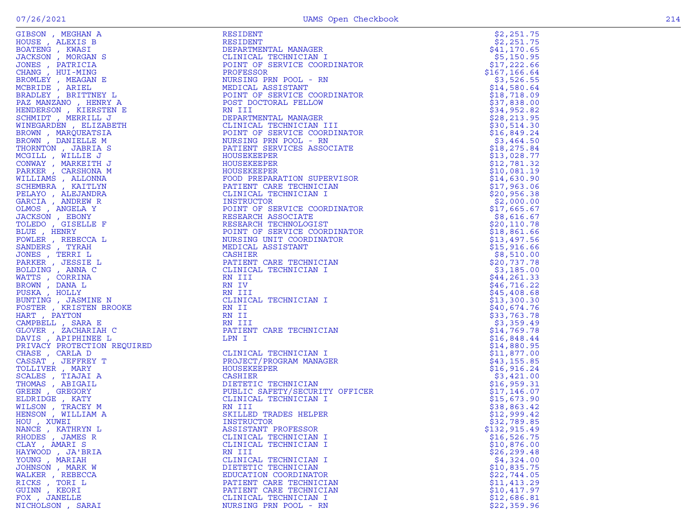| GIBSON , MEGHAN A                                                                                                                                                           | RESIDENT                                                                                                                                                                                                                                                                                                                                        | \$2,251.75   |
|-----------------------------------------------------------------------------------------------------------------------------------------------------------------------------|-------------------------------------------------------------------------------------------------------------------------------------------------------------------------------------------------------------------------------------------------------------------------------------------------------------------------------------------------|--------------|
| HOUSE, ALEXIS B                                                                                                                                                             | RESIDENT<br>DEPARTMENTAL MANAGER<br>CLINICAL TECHNICIAN I<br>CLINICAL TECHNICIAN I                                                                                                                                                                                                                                                              | \$2,251.75   |
| BOATENG, KWASI                                                                                                                                                              |                                                                                                                                                                                                                                                                                                                                                 | \$41,170.65  |
| JACKSON, MORGAN S                                                                                                                                                           |                                                                                                                                                                                                                                                                                                                                                 | \$5,150.95   |
| JONES , PATRICIA                                                                                                                                                            |                                                                                                                                                                                                                                                                                                                                                 | \$17,222.66  |
| CHANG , HUI-MING                                                                                                                                                            |                                                                                                                                                                                                                                                                                                                                                 | \$167,166.64 |
| BROMLEY , MEAGAN E                                                                                                                                                          | NURSING PRN POOL - RN                                                                                                                                                                                                                                                                                                                           | \$3,526.55   |
| MCBRIDE, ARIEL                                                                                                                                                              | MEDICAL ASSISTANT                                                                                                                                                                                                                                                                                                                               | \$14,580.64  |
| BRADLEY, BRITTNEY L                                                                                                                                                         |                                                                                                                                                                                                                                                                                                                                                 | \$18,718.09  |
| PAZ MANZANO , HENRY A                                                                                                                                                       |                                                                                                                                                                                                                                                                                                                                                 | \$37,838.00  |
| HENDERSON, KIERSTEN E                                                                                                                                                       |                                                                                                                                                                                                                                                                                                                                                 | \$34,952.82  |
| SCHMIDT, MERRILL J                                                                                                                                                          | MEDICAL ASSISIAN<br>POINT OF SERVICE COORDINATOR<br>POST DOCTORAL FELLOW<br>RN III<br>DEPARTMENTAL MANAGER<br>CLINICAL TECHNICIAN III<br>POINT OF SERVICE COORDINATOR<br>NURSING PRN POOL - RN<br>PATIENT SERVICES ASSOCIATE<br>HOUSEKEEPER<br>HOUSEKEEPER                                                                                      | \$28, 213.95 |
| WINEGARDEN , ELIZABETH                                                                                                                                                      |                                                                                                                                                                                                                                                                                                                                                 | \$30,514.30  |
| BROWN, MARQUEATSIA                                                                                                                                                          |                                                                                                                                                                                                                                                                                                                                                 | \$16,849.24  |
| BROWN, DANIELLE M                                                                                                                                                           |                                                                                                                                                                                                                                                                                                                                                 | \$3,464.50   |
| THORNTON, JABRIA S                                                                                                                                                          |                                                                                                                                                                                                                                                                                                                                                 | \$18, 275.84 |
| MCGILL, WILLIE J                                                                                                                                                            |                                                                                                                                                                                                                                                                                                                                                 | \$13,028.77  |
| CONWAY, MARKEITH J                                                                                                                                                          |                                                                                                                                                                                                                                                                                                                                                 | \$12,781.32  |
| PARKER, CARSHONA M                                                                                                                                                          | HOUSEKEEPER                                                                                                                                                                                                                                                                                                                                     | \$10,081.19  |
| WILLIAMS, ALLONNA                                                                                                                                                           | FOOD PREPARATION SUPERVISOR                                                                                                                                                                                                                                                                                                                     | \$14,630.90  |
| SCHEMBRA , KAITLYN                                                                                                                                                          | PATIENT CARE TECHNICIAN                                                                                                                                                                                                                                                                                                                         | \$17,963.06  |
| PELAYO, ALEJANDRA                                                                                                                                                           | CLINICAL TECHNICIAN I                                                                                                                                                                                                                                                                                                                           | \$20,956.38  |
| GARCIA, ANDREW R                                                                                                                                                            | INSTRUCTOR                                                                                                                                                                                                                                                                                                                                      | \$2,000.00   |
| OLMOS, ANGELA Y                                                                                                                                                             | POINT OF SERVICE COORDINATOR                                                                                                                                                                                                                                                                                                                    | \$17,665.67  |
| JACKSON, EBONY                                                                                                                                                              | RESEARCH ASSOCIATE                                                                                                                                                                                                                                                                                                                              | \$8,616.67   |
| TOLEDO , GISELLE F                                                                                                                                                          | RESEARCH ASSOCIATE<br>RESEARCH TECHNOLOGIST<br>RESEARCH TECHNOLOGIST                                                                                                                                                                                                                                                                            | \$20, 110.78 |
| BLUE, HENRY                                                                                                                                                                 | POINT OF SERVICE COORDINATOR                                                                                                                                                                                                                                                                                                                    | \$18,861.66  |
| FOWLER, REBECCA L                                                                                                                                                           | NURSING UNIT COORDINATOR                                                                                                                                                                                                                                                                                                                        | \$13,497.56  |
| SANDERS, TYRAH                                                                                                                                                              | MEDICAL ASSISTANT                                                                                                                                                                                                                                                                                                                               | \$15,916.66  |
| JONES , TERRI L                                                                                                                                                             | CASHIER                                                                                                                                                                                                                                                                                                                                         | \$8,510.00   |
| NATION<br>PUSKA , HOLLY<br>BUNTING , JASMINE N<br>FOSTER , KRISTEN BROOKE<br>HART , PAYTON<br>'AMPBELL , SARA E<br>'NOER , ZACHARIAH ~<br>VIS , ZACHARIAH ~<br>VIS , APIP'' | PATIENT CARE TECHNICIAN                                                                                                                                                                                                                                                                                                                         | \$20,737.78  |
|                                                                                                                                                                             | CLINICAL TECHNICIAN I                                                                                                                                                                                                                                                                                                                           | \$3,185.00   |
|                                                                                                                                                                             | RN III                                                                                                                                                                                                                                                                                                                                          | \$44, 261.33 |
|                                                                                                                                                                             | RN IV                                                                                                                                                                                                                                                                                                                                           | \$46,716.22  |
|                                                                                                                                                                             | RN III                                                                                                                                                                                                                                                                                                                                          | \$45,408.68  |
|                                                                                                                                                                             | CLINICAL TECHNICIAN I                                                                                                                                                                                                                                                                                                                           | \$13,300.30  |
|                                                                                                                                                                             | RN II                                                                                                                                                                                                                                                                                                                                           | \$40,674.76  |
|                                                                                                                                                                             | RN II                                                                                                                                                                                                                                                                                                                                           | \$33,763.78  |
|                                                                                                                                                                             | RN III                                                                                                                                                                                                                                                                                                                                          | \$3,359.49   |
|                                                                                                                                                                             | PATIENT CARE TECHNICIAN                                                                                                                                                                                                                                                                                                                         | \$14,769.78  |
|                                                                                                                                                                             | LPN I                                                                                                                                                                                                                                                                                                                                           | \$16,848.44  |
| PRIVACY PROTECTION REQUIRED                                                                                                                                                 |                                                                                                                                                                                                                                                                                                                                                 | \$14,880.95  |
| CHASE, CARLA D                                                                                                                                                              | CLINICAL TECHNICIAN I<br>$\frac{1}{2}$<br>$\frac{1}{2}$ $\frac{1}{2}$ $\frac{1}{2}$ $\frac{1}{2}$ $\frac{1}{2}$ $\frac{1}{2}$ $\frac{1}{2}$ $\frac{1}{2}$ $\frac{1}{2}$ $\frac{1}{2}$ $\frac{1}{2}$ $\frac{1}{2}$ $\frac{1}{2}$ $\frac{1}{2}$ $\frac{1}{2}$ $\frac{1}{2}$ $\frac{1}{2}$ $\frac{1}{2}$ $\frac{1}{2}$ $\frac{1}{2}$ $\frac{1}{2}$ | \$11,877.00  |
| CASSAT , JEFFREY T                                                                                                                                                          | PROJECT/PROGRAM MANAGER                                                                                                                                                                                                                                                                                                                         | \$43,155.85  |
|                                                                                                                                                                             | HOUSEKEEPER                                                                                                                                                                                                                                                                                                                                     |              |
| TOLLIVER, MARY                                                                                                                                                              | <b>CASHIER</b>                                                                                                                                                                                                                                                                                                                                  | \$16,916.24  |
| SCALES, TIAJAI A                                                                                                                                                            | DIETETIC TECHNICIAN                                                                                                                                                                                                                                                                                                                             | \$3,421.00   |
| THOMAS , ABIGAIL                                                                                                                                                            |                                                                                                                                                                                                                                                                                                                                                 | \$16,959.31  |
| GREEN, GREGORY                                                                                                                                                              | PUBLIC SAFETY/SECURITY OFFICER                                                                                                                                                                                                                                                                                                                  | \$17,146.07  |
| ELDRIDGE, KATY                                                                                                                                                              | CLINICAL TECHNICIAN I                                                                                                                                                                                                                                                                                                                           | \$15,673.90  |
| WILSON, TRACEY M                                                                                                                                                            | RN III                                                                                                                                                                                                                                                                                                                                          | \$38,863.42  |
| HENSON, WILLIAM A                                                                                                                                                           | SKILLED TRADES HELPER                                                                                                                                                                                                                                                                                                                           | \$12,999.42  |
| HOU , XUWEI                                                                                                                                                                 | INSTRUCTOR                                                                                                                                                                                                                                                                                                                                      | \$32,789.85  |
| NANCE, KATHRYN L                                                                                                                                                            | ASSISTANT PROFESSOR                                                                                                                                                                                                                                                                                                                             | \$132,915.49 |
| RHODES, JAMES R                                                                                                                                                             | CLINICAL TECHNICIAN I                                                                                                                                                                                                                                                                                                                           | \$16,526.75  |
| CLAY, AMARIS                                                                                                                                                                | CLINICAL TECHNICIAN I                                                                                                                                                                                                                                                                                                                           | \$10,876.00  |
| HAYWOOD, JA'BRIA                                                                                                                                                            | RN III                                                                                                                                                                                                                                                                                                                                          | \$26, 299.48 |
| YOUNG , MARIAH                                                                                                                                                              | CLINICAL TECHNICIAN I                                                                                                                                                                                                                                                                                                                           | \$4,324.00   |
| JOHNSON, MARK W                                                                                                                                                             | DIETETIC TECHNICIAN                                                                                                                                                                                                                                                                                                                             | \$10,835.75  |
| WALKER, REBECCA                                                                                                                                                             | EDUCATION COORDINATOR                                                                                                                                                                                                                                                                                                                           | \$22,744.05  |
| RICKS, TORI L                                                                                                                                                               | PATIENT CARE TECHNICIAN                                                                                                                                                                                                                                                                                                                         | \$11,413.29  |
| GUINN , KEORI                                                                                                                                                               | PATIENT CARE TECHNICIAN                                                                                                                                                                                                                                                                                                                         | \$10,417.97  |
| FOX , JANELLE                                                                                                                                                               | CLINICAL TECHNICIAN I                                                                                                                                                                                                                                                                                                                           | \$12,686.81  |
| NICHOLSON, SARAI                                                                                                                                                            | NURSING PRN POOL - RN                                                                                                                                                                                                                                                                                                                           | \$22,359.96  |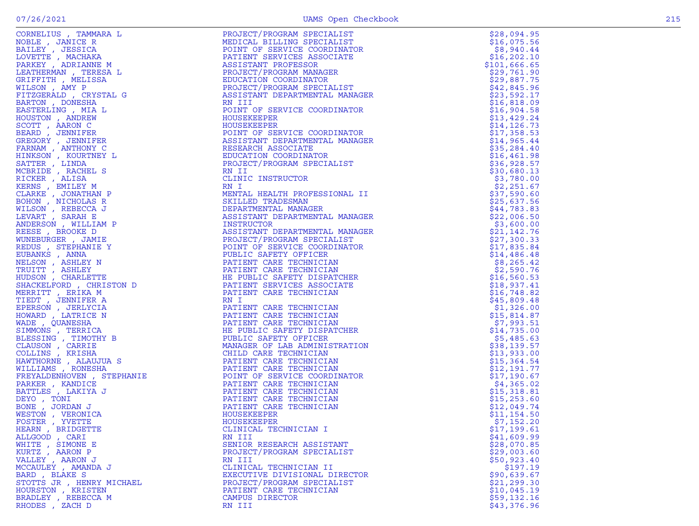|  | M<br>۹ |
|--|--------|

|                                                                                                                                                                                                                                                    |                                                                                                                                                                                                                                                          | \$28,094.95  |
|----------------------------------------------------------------------------------------------------------------------------------------------------------------------------------------------------------------------------------------------------|----------------------------------------------------------------------------------------------------------------------------------------------------------------------------------------------------------------------------------------------------------|--------------|
|                                                                                                                                                                                                                                                    |                                                                                                                                                                                                                                                          |              |
|                                                                                                                                                                                                                                                    |                                                                                                                                                                                                                                                          | \$16,075.56  |
|                                                                                                                                                                                                                                                    |                                                                                                                                                                                                                                                          | \$8,940.44   |
|                                                                                                                                                                                                                                                    |                                                                                                                                                                                                                                                          | \$16, 202.10 |
|                                                                                                                                                                                                                                                    |                                                                                                                                                                                                                                                          |              |
|                                                                                                                                                                                                                                                    |                                                                                                                                                                                                                                                          | \$101,666.65 |
|                                                                                                                                                                                                                                                    |                                                                                                                                                                                                                                                          | \$29,761.90  |
|                                                                                                                                                                                                                                                    |                                                                                                                                                                                                                                                          | \$29,887.75  |
|                                                                                                                                                                                                                                                    |                                                                                                                                                                                                                                                          | \$42,845.96  |
|                                                                                                                                                                                                                                                    |                                                                                                                                                                                                                                                          |              |
|                                                                                                                                                                                                                                                    |                                                                                                                                                                                                                                                          | \$23,592.17  |
|                                                                                                                                                                                                                                                    |                                                                                                                                                                                                                                                          | \$16,818.09  |
|                                                                                                                                                                                                                                                    |                                                                                                                                                                                                                                                          | \$16,904.58  |
|                                                                                                                                                                                                                                                    |                                                                                                                                                                                                                                                          |              |
|                                                                                                                                                                                                                                                    |                                                                                                                                                                                                                                                          | \$13,429.24  |
|                                                                                                                                                                                                                                                    |                                                                                                                                                                                                                                                          | \$14, 126.73 |
|                                                                                                                                                                                                                                                    |                                                                                                                                                                                                                                                          | \$17,358.53  |
|                                                                                                                                                                                                                                                    |                                                                                                                                                                                                                                                          | \$14,965.44  |
|                                                                                                                                                                                                                                                    |                                                                                                                                                                                                                                                          |              |
|                                                                                                                                                                                                                                                    |                                                                                                                                                                                                                                                          | \$35, 284.40 |
|                                                                                                                                                                                                                                                    |                                                                                                                                                                                                                                                          | \$16,461.98  |
|                                                                                                                                                                                                                                                    |                                                                                                                                                                                                                                                          | \$36,928.57  |
|                                                                                                                                                                                                                                                    |                                                                                                                                                                                                                                                          |              |
|                                                                                                                                                                                                                                                    |                                                                                                                                                                                                                                                          | \$30,680.13  |
|                                                                                                                                                                                                                                                    |                                                                                                                                                                                                                                                          | \$3,780.00   |
|                                                                                                                                                                                                                                                    |                                                                                                                                                                                                                                                          | \$2,251.67   |
|                                                                                                                                                                                                                                                    |                                                                                                                                                                                                                                                          |              |
|                                                                                                                                                                                                                                                    |                                                                                                                                                                                                                                                          | \$37,590.60  |
|                                                                                                                                                                                                                                                    |                                                                                                                                                                                                                                                          | \$25,637.56  |
|                                                                                                                                                                                                                                                    |                                                                                                                                                                                                                                                          | \$44,783.83  |
|                                                                                                                                                                                                                                                    |                                                                                                                                                                                                                                                          | \$22,006.50  |
|                                                                                                                                                                                                                                                    |                                                                                                                                                                                                                                                          |              |
|                                                                                                                                                                                                                                                    |                                                                                                                                                                                                                                                          | \$3,600.00   |
|                                                                                                                                                                                                                                                    |                                                                                                                                                                                                                                                          | \$21,142.76  |
|                                                                                                                                                                                                                                                    |                                                                                                                                                                                                                                                          | \$27,300.33  |
|                                                                                                                                                                                                                                                    |                                                                                                                                                                                                                                                          | \$17,835.84  |
|                                                                                                                                                                                                                                                    |                                                                                                                                                                                                                                                          |              |
|                                                                                                                                                                                                                                                    |                                                                                                                                                                                                                                                          | \$14,486.48  |
|                                                                                                                                                                                                                                                    |                                                                                                                                                                                                                                                          | \$8,265.42   |
|                                                                                                                                                                                                                                                    |                                                                                                                                                                                                                                                          | \$2,590.76   |
|                                                                                                                                                                                                                                                    |                                                                                                                                                                                                                                                          |              |
|                                                                                                                                                                                                                                                    |                                                                                                                                                                                                                                                          | \$16, 560.53 |
|                                                                                                                                                                                                                                                    |                                                                                                                                                                                                                                                          | \$18,937.41  |
|                                                                                                                                                                                                                                                    |                                                                                                                                                                                                                                                          | \$16,748.82  |
|                                                                                                                                                                                                                                                    |                                                                                                                                                                                                                                                          |              |
|                                                                                                                                                                                                                                                    |                                                                                                                                                                                                                                                          | \$45,809.48  |
|                                                                                                                                                                                                                                                    |                                                                                                                                                                                                                                                          | \$1,326.00   |
|                                                                                                                                                                                                                                                    |                                                                                                                                                                                                                                                          | \$15,814.87  |
|                                                                                                                                                                                                                                                    |                                                                                                                                                                                                                                                          | \$7,993.51   |
|                                                                                                                                                                                                                                                    |                                                                                                                                                                                                                                                          |              |
|                                                                                                                                                                                                                                                    |                                                                                                                                                                                                                                                          | \$14,735.00  |
|                                                                                                                                                                                                                                                    |                                                                                                                                                                                                                                                          | \$5,485.63   |
|                                                                                                                                                                                                                                                    |                                                                                                                                                                                                                                                          | \$38,139.57  |
|                                                                                                                                                                                                                                                    |                                                                                                                                                                                                                                                          |              |
|                                                                                                                                                                                                                                                    |                                                                                                                                                                                                                                                          | \$13,933.00  |
|                                                                                                                                                                                                                                                    |                                                                                                                                                                                                                                                          | \$15,364.54  |
|                                                                                                                                                                                                                                                    |                                                                                                                                                                                                                                                          | \$12,191.77  |
|                                                                                                                                                                                                                                                    |                                                                                                                                                                                                                                                          | \$17,190.67  |
|                                                                                                                                                                                                                                                    |                                                                                                                                                                                                                                                          |              |
|                                                                                                                                                                                                                                                    |                                                                                                                                                                                                                                                          | \$4,365.02   |
|                                                                                                                                                                                                                                                    |                                                                                                                                                                                                                                                          | \$15,318.81  |
|                                                                                                                                                                                                                                                    |                                                                                                                                                                                                                                                          | \$15, 253.60 |
|                                                                                                                                                                                                                                                    |                                                                                                                                                                                                                                                          | \$12,049.74  |
|                                                                                                                                                                                                                                                    |                                                                                                                                                                                                                                                          |              |
|                                                                                                                                                                                                                                                    |                                                                                                                                                                                                                                                          | \$11, 154.50 |
|                                                                                                                                                                                                                                                    |                                                                                                                                                                                                                                                          | \$7,152.20   |
|                                                                                                                                                                                                                                                    |                                                                                                                                                                                                                                                          | \$17,199.61  |
|                                                                                                                                                                                                                                                    |                                                                                                                                                                                                                                                          |              |
| REFIRE MELLING (MARINET RESERVATION 1997)<br>NARYON AND CRYSTAL G FANDER MANUFATRING AND ANNOUNCED AND ANNOUNCED AND ARRIVE DRIVIT DESIGNATION (MARINET RESERVATION 1997)<br>NARYON ANGELES AND CRYSTAL SUBSERVATION CONDITION CO<br>ALLGOOD, CARI | PROJECT/PROGRAM SPECIALIST<br>REDUCATION SPECIALIST<br>PROFESSION SPECIALIST<br>PROFESSION REARRAGEMENT<br>PROFESSION REARRAGEMENT<br>REDUCATION CONDITING<br>RESISTANT PROFESSION REARRAGEMENT<br>RESISTANT DEPARTMENTAL MARAGER<br>REARRAGEM<br>RN III | \$41,609.99  |
| WHITE , SIMONE E                                                                                                                                                                                                                                   | SENIOR RESEARCH ASSISTANT                                                                                                                                                                                                                                | \$28,070.85  |
| KURTZ, AARON P                                                                                                                                                                                                                                     | PROJECT/PROGRAM SPECIALIST                                                                                                                                                                                                                               | \$29,003.60  |
| VALLEY, AARON J                                                                                                                                                                                                                                    | RN III                                                                                                                                                                                                                                                   | \$50,923.40  |
|                                                                                                                                                                                                                                                    |                                                                                                                                                                                                                                                          |              |
| MCCAULEY, AMANDA J                                                                                                                                                                                                                                 | CLINICAL TECHNICIAN II                                                                                                                                                                                                                                   | \$197.19     |
| BARD, BLAKE S                                                                                                                                                                                                                                      | EXECUTIVE DIVISIONAL DIRECTOR                                                                                                                                                                                                                            | \$90,639.67  |
| STOTTS JR , HENRY MICHAEL                                                                                                                                                                                                                          | PROJECT/PROGRAM SPECIALIST                                                                                                                                                                                                                               | \$21, 299.30 |
| HOURSTON, KRISTEN                                                                                                                                                                                                                                  |                                                                                                                                                                                                                                                          |              |
|                                                                                                                                                                                                                                                    | PATIENT CARE TECHNICIAN                                                                                                                                                                                                                                  | \$10,045.19  |
| BRADLEY, REBECCA M                                                                                                                                                                                                                                 | CAMPUS DIRECTOR                                                                                                                                                                                                                                          | \$59,132.16  |
| RHODES, ZACH D                                                                                                                                                                                                                                     | RN III                                                                                                                                                                                                                                                   | \$43,376.96  |
|                                                                                                                                                                                                                                                    |                                                                                                                                                                                                                                                          |              |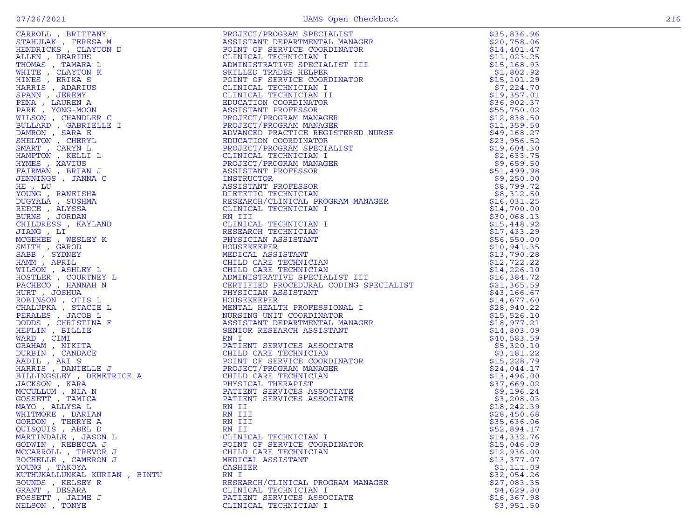|                              |                                                                                                                                                                                                                                                        | \$35,836.96  |
|------------------------------|--------------------------------------------------------------------------------------------------------------------------------------------------------------------------------------------------------------------------------------------------------|--------------|
|                              |                                                                                                                                                                                                                                                        | \$20,758.06  |
|                              |                                                                                                                                                                                                                                                        | \$14,401.47  |
|                              |                                                                                                                                                                                                                                                        |              |
|                              |                                                                                                                                                                                                                                                        | \$11,023.25  |
|                              |                                                                                                                                                                                                                                                        | \$15,168.93  |
|                              |                                                                                                                                                                                                                                                        | \$1,802.92   |
|                              |                                                                                                                                                                                                                                                        |              |
|                              |                                                                                                                                                                                                                                                        | \$15,101.29  |
|                              |                                                                                                                                                                                                                                                        | \$7,224.70   |
|                              |                                                                                                                                                                                                                                                        | \$19,357.01  |
|                              |                                                                                                                                                                                                                                                        | \$36,902.37  |
|                              |                                                                                                                                                                                                                                                        |              |
|                              |                                                                                                                                                                                                                                                        | \$55,750.02  |
|                              |                                                                                                                                                                                                                                                        | \$12,838.50  |
|                              |                                                                                                                                                                                                                                                        |              |
|                              |                                                                                                                                                                                                                                                        | \$11,359.50  |
|                              |                                                                                                                                                                                                                                                        | \$49,168.27  |
|                              |                                                                                                                                                                                                                                                        | \$23,956.52  |
|                              |                                                                                                                                                                                                                                                        |              |
|                              |                                                                                                                                                                                                                                                        | \$19,604.30  |
|                              |                                                                                                                                                                                                                                                        | \$2,633.75   |
|                              |                                                                                                                                                                                                                                                        | \$9,659.50   |
|                              |                                                                                                                                                                                                                                                        |              |
|                              |                                                                                                                                                                                                                                                        | \$51,499.98  |
|                              |                                                                                                                                                                                                                                                        | \$9,250.00   |
|                              |                                                                                                                                                                                                                                                        | \$8,799.72   |
|                              |                                                                                                                                                                                                                                                        |              |
|                              |                                                                                                                                                                                                                                                        | \$8,312.50   |
|                              |                                                                                                                                                                                                                                                        | \$16,031.25  |
|                              |                                                                                                                                                                                                                                                        | \$14,700.00  |
|                              |                                                                                                                                                                                                                                                        |              |
|                              |                                                                                                                                                                                                                                                        | \$30,068.13  |
|                              |                                                                                                                                                                                                                                                        | \$15,448.92  |
|                              |                                                                                                                                                                                                                                                        | \$17,433.29  |
|                              |                                                                                                                                                                                                                                                        |              |
|                              |                                                                                                                                                                                                                                                        | \$56,550.00  |
|                              |                                                                                                                                                                                                                                                        | \$10,941.35  |
|                              |                                                                                                                                                                                                                                                        | \$13,790.28  |
|                              |                                                                                                                                                                                                                                                        |              |
|                              |                                                                                                                                                                                                                                                        | \$12, 722.22 |
|                              |                                                                                                                                                                                                                                                        | \$14,226.10  |
|                              |                                                                                                                                                                                                                                                        | \$16,384.72  |
|                              |                                                                                                                                                                                                                                                        |              |
|                              |                                                                                                                                                                                                                                                        | \$21,365.59  |
|                              |                                                                                                                                                                                                                                                        | \$43,166.67  |
|                              |                                                                                                                                                                                                                                                        | \$14,677.60  |
|                              |                                                                                                                                                                                                                                                        |              |
|                              |                                                                                                                                                                                                                                                        | \$28,940.22  |
|                              |                                                                                                                                                                                                                                                        | \$15,526.10  |
|                              |                                                                                                                                                                                                                                                        | \$18,977.21  |
|                              |                                                                                                                                                                                                                                                        |              |
|                              |                                                                                                                                                                                                                                                        | \$14,803.09  |
|                              |                                                                                                                                                                                                                                                        | \$40,583.59  |
|                              |                                                                                                                                                                                                                                                        | \$5,320.10   |
|                              |                                                                                                                                                                                                                                                        |              |
|                              |                                                                                                                                                                                                                                                        | \$3,181.22   |
|                              |                                                                                                                                                                                                                                                        | \$15,228.79  |
|                              |                                                                                                                                                                                                                                                        | \$24,044.17  |
|                              |                                                                                                                                                                                                                                                        |              |
|                              |                                                                                                                                                                                                                                                        | \$13,496.00  |
|                              |                                                                                                                                                                                                                                                        | \$37,669.02  |
|                              |                                                                                                                                                                                                                                                        | \$9,196.24   |
|                              |                                                                                                                                                                                                                                                        |              |
|                              |                                                                                                                                                                                                                                                        | \$3,208.03   |
|                              |                                                                                                                                                                                                                                                        | \$18,242.39  |
|                              |                                                                                                                                                                                                                                                        | \$28,450.68  |
|                              |                                                                                                                                                                                                                                                        |              |
|                              |                                                                                                                                                                                                                                                        | \$35,636.06  |
| QUISQUIS, ABEL D             | RN II                                                                                                                                                                                                                                                  | \$52,894.17  |
| MARTINDALE , JASON L         | CARRING, BUTTAWIN, 1972, 1972, 1972, 1972, 1973, 1972, 1973, 1973, 1973, 1973, 1973, 1973, 1973, 1973, 1973, 1973, 1973, 1973, 1973, 1973, 1973, 1973, 1973, 1973, 1973, 1973, 1973, 1973, 1973, 1973, 1973, 1973, 1973, 1973<br>CLINICAL TECHNICIAN I | \$14,332.76  |
|                              |                                                                                                                                                                                                                                                        |              |
| GODWIN, REBECCA J            | POINT OF SERVICE COORDINATOR                                                                                                                                                                                                                           | \$15,046.09  |
| MCCARROLL, TREVOR J          | CHILD CARE TECHNICIAN                                                                                                                                                                                                                                  | \$12,936.00  |
| ROCHELLE , CAMERON J         | MEDICAL ASSISTANT                                                                                                                                                                                                                                      | \$13,377.07  |
|                              |                                                                                                                                                                                                                                                        |              |
| YOUNG , TAKOYA               | CASHIER                                                                                                                                                                                                                                                | \$1,111.09   |
| KUTHUKALLUNKAL KURIAN, BINTU | RN I                                                                                                                                                                                                                                                   | \$32,054.26  |
| BOUNDS, KELSEY R             | RESEARCH/CLINICAL PROGRAM MANAGER                                                                                                                                                                                                                      | \$27,083.35  |
|                              |                                                                                                                                                                                                                                                        |              |
| GRANT , DESARA               | CLINICAL TECHNICIAN I                                                                                                                                                                                                                                  | \$4,629.80   |
| FOSSETT, JAIME J             | PATIENT SERVICES ASSOCIATE                                                                                                                                                                                                                             | \$16, 367.98 |
| NELSON, TONYE                | CLINICAL TECHNICIAN I                                                                                                                                                                                                                                  | \$3,951.50   |
|                              |                                                                                                                                                                                                                                                        |              |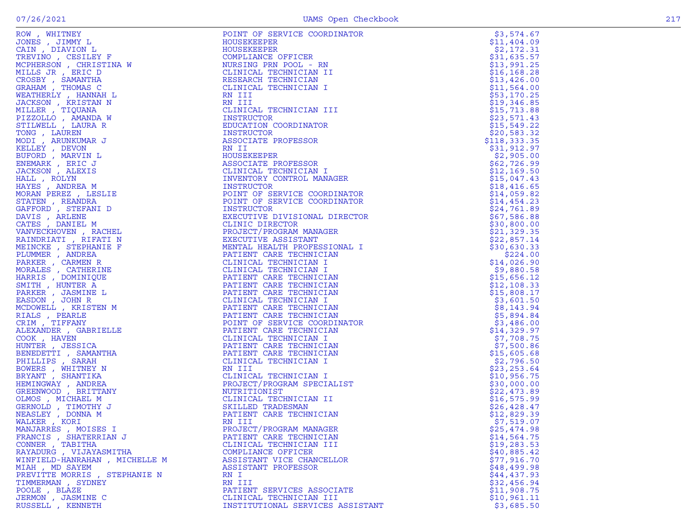| ROW, WHITBEY<br>CAIN , DIAWY L<br>CAIN , DIAWY L<br>TREVINO , CESILEY F<br>NCPHERSON , CHRISTINA W<br>MILLS JR , RENC D<br>MILLS JR , RENC D<br>CRAHAM , THOMAS C<br>GRAHAM , THOMAS C<br>GRAHAM , THOMAS C<br>JACKSON , KRISTAN N<br>MILLSER , PIQU | POINT OF SERVICE COORDINATOR                                                                                                                                                                                                                   | \$3,574.67                 |
|------------------------------------------------------------------------------------------------------------------------------------------------------------------------------------------------------------------------------------------------------|------------------------------------------------------------------------------------------------------------------------------------------------------------------------------------------------------------------------------------------------|----------------------------|
|                                                                                                                                                                                                                                                      | HOUSEKEEPER                                                                                                                                                                                                                                    | \$11,404.09                |
|                                                                                                                                                                                                                                                      | HOUSEKEEPER                                                                                                                                                                                                                                    | \$2,172.31                 |
|                                                                                                                                                                                                                                                      | COMPLIANCE OFFICER<br>NURSING PRN POOL - RN<br>CLINICAL TECHNICIAN II<br>RESEARCH TECHNICIAN<br>CLINICAL TECHNICIAN I<br>N TIT                                                                                                                 | \$31,635.57                |
|                                                                                                                                                                                                                                                      |                                                                                                                                                                                                                                                | \$13,991.25                |
|                                                                                                                                                                                                                                                      | CLINICAL TECHNICIAN II                                                                                                                                                                                                                         | \$16, 168.28               |
|                                                                                                                                                                                                                                                      |                                                                                                                                                                                                                                                | \$13,426.00                |
|                                                                                                                                                                                                                                                      |                                                                                                                                                                                                                                                | \$11,564.00                |
|                                                                                                                                                                                                                                                      | RN III                                                                                                                                                                                                                                         | \$53,170.25                |
|                                                                                                                                                                                                                                                      | RN III                                                                                                                                                                                                                                         | \$19,346.85                |
|                                                                                                                                                                                                                                                      | CLINICAL TECHNICIAN III                                                                                                                                                                                                                        | \$15,713.88                |
|                                                                                                                                                                                                                                                      | INSTRUCTOR                                                                                                                                                                                                                                     | \$23,571.43                |
|                                                                                                                                                                                                                                                      | EDUCATION COORDINATOR                                                                                                                                                                                                                          | \$15,549.22                |
|                                                                                                                                                                                                                                                      | INSTRUCTOR                                                                                                                                                                                                                                     | \$20,583.32                |
|                                                                                                                                                                                                                                                      | ASSOCIATE PROFESSOR                                                                                                                                                                                                                            | \$118,333.35               |
|                                                                                                                                                                                                                                                      | RN II                                                                                                                                                                                                                                          | \$31,912.97                |
|                                                                                                                                                                                                                                                      | HOUSEKEEPER                                                                                                                                                                                                                                    | \$2,905.00                 |
|                                                                                                                                                                                                                                                      | ASSOCIATE PROFESSOR                                                                                                                                                                                                                            | \$62,726.99                |
|                                                                                                                                                                                                                                                      | CLINICAL TECHNICIAN I                                                                                                                                                                                                                          | \$12,169.50                |
|                                                                                                                                                                                                                                                      | INVENTORY CONTROL MANAGER                                                                                                                                                                                                                      | \$15,047.43                |
|                                                                                                                                                                                                                                                      | INSTRUCTOR                                                                                                                                                                                                                                     | \$18,416.65                |
|                                                                                                                                                                                                                                                      |                                                                                                                                                                                                                                                | \$14,059.82                |
|                                                                                                                                                                                                                                                      |                                                                                                                                                                                                                                                | \$14,454.23                |
|                                                                                                                                                                                                                                                      |                                                                                                                                                                                                                                                | \$24,761.89                |
|                                                                                                                                                                                                                                                      |                                                                                                                                                                                                                                                |                            |
|                                                                                                                                                                                                                                                      |                                                                                                                                                                                                                                                | \$67,586.88                |
|                                                                                                                                                                                                                                                      |                                                                                                                                                                                                                                                | \$30,800.00<br>\$21,329.35 |
|                                                                                                                                                                                                                                                      |                                                                                                                                                                                                                                                |                            |
|                                                                                                                                                                                                                                                      | VALUE CORDINI OF SERVICE COORDINING INSTRUCTOR<br>EXECUTIVE DIVISIONAL DIR<br>CLINIC DIVESIONAL DIR<br>CLINIC DIVESIONAL DIR<br>CLINIC DIVESIONAL MANAGER<br>EXECUTIVE ASSISTANT<br>MENTAL HEALTH PROFESSIONAL<br>PATIENT CARE TECHNICIAN<br>C | \$22,857.14<br>\$30,630.33 |
|                                                                                                                                                                                                                                                      |                                                                                                                                                                                                                                                |                            |
|                                                                                                                                                                                                                                                      |                                                                                                                                                                                                                                                | \$224.00                   |
|                                                                                                                                                                                                                                                      |                                                                                                                                                                                                                                                | \$14,026.90                |
|                                                                                                                                                                                                                                                      |                                                                                                                                                                                                                                                | \$9,880.58                 |
|                                                                                                                                                                                                                                                      |                                                                                                                                                                                                                                                | \$15,656.12                |
|                                                                                                                                                                                                                                                      |                                                                                                                                                                                                                                                | \$12,108.33                |
|                                                                                                                                                                                                                                                      |                                                                                                                                                                                                                                                | \$15,808.17                |
|                                                                                                                                                                                                                                                      |                                                                                                                                                                                                                                                | \$3,601.50                 |
|                                                                                                                                                                                                                                                      |                                                                                                                                                                                                                                                | \$8,143.94                 |
|                                                                                                                                                                                                                                                      |                                                                                                                                                                                                                                                | \$5,894.84                 |
|                                                                                                                                                                                                                                                      |                                                                                                                                                                                                                                                | \$3,486.00                 |
|                                                                                                                                                                                                                                                      |                                                                                                                                                                                                                                                | \$14,329.97                |
|                                                                                                                                                                                                                                                      |                                                                                                                                                                                                                                                | \$7,708.75                 |
|                                                                                                                                                                                                                                                      |                                                                                                                                                                                                                                                | \$7,500.86                 |
|                                                                                                                                                                                                                                                      |                                                                                                                                                                                                                                                | \$15,605.68                |
|                                                                                                                                                                                                                                                      |                                                                                                                                                                                                                                                | \$2,796.50                 |
|                                                                                                                                                                                                                                                      | RN III                                                                                                                                                                                                                                         | \$23, 253.64               |
|                                                                                                                                                                                                                                                      | CLINICAL TECHNICIAN I                                                                                                                                                                                                                          | \$10,956.75                |
|                                                                                                                                                                                                                                                      | PROJECT/PROGRAM SPECIALIST                                                                                                                                                                                                                     | \$30,000.00                |
|                                                                                                                                                                                                                                                      | NUTRITIONIST                                                                                                                                                                                                                                   | \$22,473.89                |
|                                                                                                                                                                                                                                                      | CLINICAL TECHNICIAN II                                                                                                                                                                                                                         | \$16,575.99                |
|                                                                                                                                                                                                                                                      | SKILLED TRADESMAN<br>PATIENT CARE TECHNICIAN                                                                                                                                                                                                   | \$26,428.47                |
|                                                                                                                                                                                                                                                      |                                                                                                                                                                                                                                                | \$12,829.39                |
| WALKER, KORI                                                                                                                                                                                                                                         | RN III                                                                                                                                                                                                                                         | \$7,519.07                 |
| MANJARRES , MOISES I                                                                                                                                                                                                                                 | PROJECT/PROGRAM MANAGER                                                                                                                                                                                                                        | \$25,474.98                |
| FRANCIS, SHATERRIAN J                                                                                                                                                                                                                                | PATIENT CARE TECHNICIAN                                                                                                                                                                                                                        | \$14,564.75                |
| CONNER, TABITHA                                                                                                                                                                                                                                      | CLINICAL TECHNICIAN III                                                                                                                                                                                                                        | \$19,283.53                |
| RAYADURG , VIJAYASMITHA                                                                                                                                                                                                                              | COMPLIANCE OFFICER                                                                                                                                                                                                                             | \$40,885.42                |
| WINFIELD-HANRAHAN , MICHELLE M                                                                                                                                                                                                                       | ASSISTANT VICE CHANCELLOR                                                                                                                                                                                                                      | \$77,916.70                |
| MIAH, MD SAYEM                                                                                                                                                                                                                                       | ASSISTANT PROFESSOR                                                                                                                                                                                                                            | \$48,499.98                |
| PREVITTE MORRIS, STEPHANIE N                                                                                                                                                                                                                         | RN I                                                                                                                                                                                                                                           | \$44,437.93                |
| TIMMERMAN , SYDNEY                                                                                                                                                                                                                                   | RN III                                                                                                                                                                                                                                         | \$32,456.94                |
| POOLE, BLAZE                                                                                                                                                                                                                                         | PATIENT SERVICES ASSOCIATE                                                                                                                                                                                                                     | \$11,908.75                |
| JERMON , JASMINE C                                                                                                                                                                                                                                   | CLINICAL TECHNICIAN III                                                                                                                                                                                                                        | \$10,961.11                |
| RUSSELL , KENNETH                                                                                                                                                                                                                                    | INSTITUTIONAL SERVICES ASSISTANT                                                                                                                                                                                                               | \$3,685.50                 |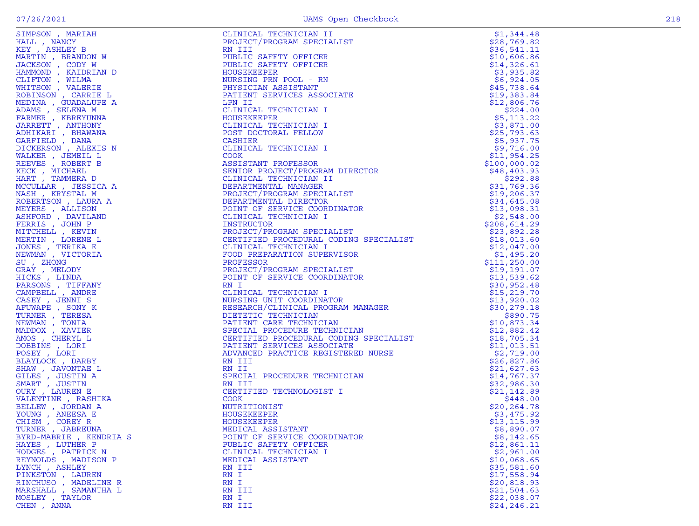| SIMPSON , MARIZH<br>HALL , NANCY<br>KEY , ASHIEY B<br>KEY , ASHIEY BRANDON W<br>MARTIN , ERAINDON W<br>HAMMOND , KAIDRIAN D<br>HITSON , CARRIE L<br>OBINSON , CORRIE L<br>BDINA , GUADALUPE A<br>DANS , SELENA MARIANA<br>ARMER , KEREY , ANTHONY<br>ARMER , KE | CLINICAL TECHNICIAN II<br>FRAMECT/PROGRAM SPECIALIST<br>STATISTIC SPETY OPTICER<br>STATISTIC SPETY OPTICER<br>NEWSTRESS PROFINE SPECIALIST<br>NEWSTRESS PRODUCES ASSOCIATE<br>NEWSTRESS PRODUCES ASSOCIATE<br>NEWSTRESS PRODUCES ASSOCIATE<br> |              |
|-----------------------------------------------------------------------------------------------------------------------------------------------------------------------------------------------------------------------------------------------------------------|------------------------------------------------------------------------------------------------------------------------------------------------------------------------------------------------------------------------------------------------|--------------|
|                                                                                                                                                                                                                                                                 |                                                                                                                                                                                                                                                |              |
|                                                                                                                                                                                                                                                                 |                                                                                                                                                                                                                                                |              |
|                                                                                                                                                                                                                                                                 |                                                                                                                                                                                                                                                |              |
|                                                                                                                                                                                                                                                                 |                                                                                                                                                                                                                                                |              |
|                                                                                                                                                                                                                                                                 |                                                                                                                                                                                                                                                |              |
|                                                                                                                                                                                                                                                                 |                                                                                                                                                                                                                                                |              |
|                                                                                                                                                                                                                                                                 |                                                                                                                                                                                                                                                |              |
|                                                                                                                                                                                                                                                                 |                                                                                                                                                                                                                                                |              |
|                                                                                                                                                                                                                                                                 |                                                                                                                                                                                                                                                |              |
|                                                                                                                                                                                                                                                                 |                                                                                                                                                                                                                                                |              |
|                                                                                                                                                                                                                                                                 |                                                                                                                                                                                                                                                |              |
|                                                                                                                                                                                                                                                                 |                                                                                                                                                                                                                                                |              |
|                                                                                                                                                                                                                                                                 |                                                                                                                                                                                                                                                |              |
|                                                                                                                                                                                                                                                                 |                                                                                                                                                                                                                                                |              |
|                                                                                                                                                                                                                                                                 |                                                                                                                                                                                                                                                |              |
|                                                                                                                                                                                                                                                                 |                                                                                                                                                                                                                                                |              |
|                                                                                                                                                                                                                                                                 |                                                                                                                                                                                                                                                |              |
|                                                                                                                                                                                                                                                                 |                                                                                                                                                                                                                                                |              |
|                                                                                                                                                                                                                                                                 |                                                                                                                                                                                                                                                |              |
|                                                                                                                                                                                                                                                                 |                                                                                                                                                                                                                                                |              |
|                                                                                                                                                                                                                                                                 |                                                                                                                                                                                                                                                |              |
|                                                                                                                                                                                                                                                                 |                                                                                                                                                                                                                                                |              |
|                                                                                                                                                                                                                                                                 |                                                                                                                                                                                                                                                |              |
|                                                                                                                                                                                                                                                                 |                                                                                                                                                                                                                                                |              |
|                                                                                                                                                                                                                                                                 |                                                                                                                                                                                                                                                |              |
|                                                                                                                                                                                                                                                                 |                                                                                                                                                                                                                                                |              |
|                                                                                                                                                                                                                                                                 |                                                                                                                                                                                                                                                |              |
|                                                                                                                                                                                                                                                                 |                                                                                                                                                                                                                                                |              |
|                                                                                                                                                                                                                                                                 |                                                                                                                                                                                                                                                |              |
|                                                                                                                                                                                                                                                                 |                                                                                                                                                                                                                                                |              |
|                                                                                                                                                                                                                                                                 |                                                                                                                                                                                                                                                |              |
|                                                                                                                                                                                                                                                                 |                                                                                                                                                                                                                                                |              |
|                                                                                                                                                                                                                                                                 |                                                                                                                                                                                                                                                |              |
|                                                                                                                                                                                                                                                                 |                                                                                                                                                                                                                                                |              |
| CAMPBELL, ANDRE                                                                                                                                                                                                                                                 |                                                                                                                                                                                                                                                |              |
| CASEY, JENNI S                                                                                                                                                                                                                                                  |                                                                                                                                                                                                                                                |              |
| AFUWAPE , SONY K                                                                                                                                                                                                                                                |                                                                                                                                                                                                                                                |              |
| TURNER , TERESA                                                                                                                                                                                                                                                 |                                                                                                                                                                                                                                                |              |
| NEWMAN, TONIA                                                                                                                                                                                                                                                   |                                                                                                                                                                                                                                                |              |
| MADDOX, XAVIER                                                                                                                                                                                                                                                  |                                                                                                                                                                                                                                                |              |
| AMOS, CHERYL L                                                                                                                                                                                                                                                  |                                                                                                                                                                                                                                                |              |
| DOBBINS, LORI                                                                                                                                                                                                                                                   |                                                                                                                                                                                                                                                |              |
| POSEY, LORI                                                                                                                                                                                                                                                     |                                                                                                                                                                                                                                                |              |
| BLAYLOCK, DARBY                                                                                                                                                                                                                                                 |                                                                                                                                                                                                                                                |              |
| SHAW, JAVONTAE L                                                                                                                                                                                                                                                |                                                                                                                                                                                                                                                |              |
| GILES , JUSTIN A                                                                                                                                                                                                                                                |                                                                                                                                                                                                                                                |              |
| SMART, JUSTIN                                                                                                                                                                                                                                                   |                                                                                                                                                                                                                                                |              |
| OURY, LAUREN E                                                                                                                                                                                                                                                  |                                                                                                                                                                                                                                                |              |
| VALENTINE, RASHIKA                                                                                                                                                                                                                                              |                                                                                                                                                                                                                                                |              |
| BELLEW , JORDAN A                                                                                                                                                                                                                                               |                                                                                                                                                                                                                                                |              |
| YOUNG, ANEESA E                                                                                                                                                                                                                                                 | HOUSEKEEPER                                                                                                                                                                                                                                    | \$3,475.92   |
| CHISM, COREY R                                                                                                                                                                                                                                                  | HOUSEKEEPER                                                                                                                                                                                                                                    | \$13, 115.99 |
| TURNER , JABREUNA                                                                                                                                                                                                                                               | MEDICAL ASSISTANT                                                                                                                                                                                                                              | \$8,890.07   |
| BYRD-MABRIE , KENDRIA S                                                                                                                                                                                                                                         | POINT OF SERVICE COORDINATOR                                                                                                                                                                                                                   | \$8,142.65   |
| HAYES, LUTHER P                                                                                                                                                                                                                                                 | PUBLIC SAFETY OFFICER                                                                                                                                                                                                                          | \$12,861.11  |
| HODGES , PATRICK N                                                                                                                                                                                                                                              | CLINICAL TECHNICIAN I                                                                                                                                                                                                                          | \$2,961.00   |
| REYNOLDS, MADISON P                                                                                                                                                                                                                                             | MEDICAL ASSISTANT                                                                                                                                                                                                                              | \$10,068.65  |
| LYNCH, ASHLEY                                                                                                                                                                                                                                                   | RN III                                                                                                                                                                                                                                         | \$35,581.60  |
| PINKSTON, LAUREN                                                                                                                                                                                                                                                | RN I                                                                                                                                                                                                                                           | \$17,558.94  |
| RINCHUSO, MADELINE R                                                                                                                                                                                                                                            | RN I                                                                                                                                                                                                                                           | \$20,818.93  |
| MARSHALL , SAMANTHA L                                                                                                                                                                                                                                           | RN III                                                                                                                                                                                                                                         | \$21,504.63  |
| MOSLEY, TAYLOR                                                                                                                                                                                                                                                  | RN I                                                                                                                                                                                                                                           | \$22,038.07  |
| CHEN, ANNA                                                                                                                                                                                                                                                      | RN III                                                                                                                                                                                                                                         | \$24, 246.21 |
|                                                                                                                                                                                                                                                                 |                                                                                                                                                                                                                                                |              |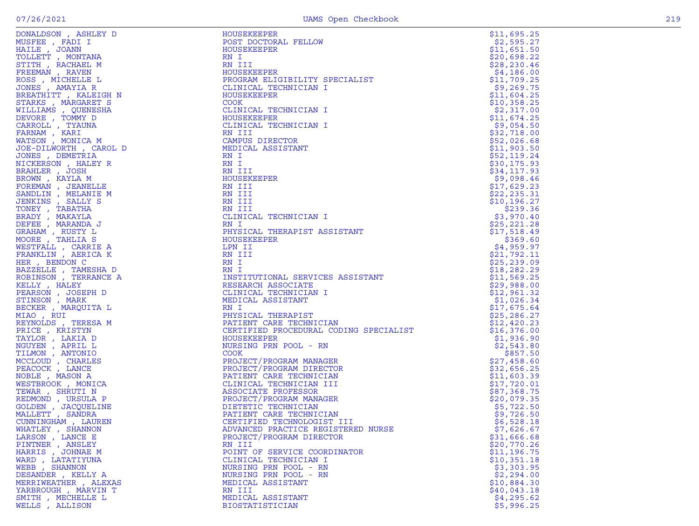| DONALDSON , ASHLEY D              | HOUSEKEEPER<br>EN ANGELIST                                                                                                                                                                                                                                                                                                          | \$11,695.25               |
|-----------------------------------|-------------------------------------------------------------------------------------------------------------------------------------------------------------------------------------------------------------------------------------------------------------------------------------------------------------------------------------|---------------------------|
| MUSFEE , FADI I                   | POST DOCTORAL FELLOW                                                                                                                                                                                                                                                                                                                | \$2,595.27                |
| HAILE , JOANN                     | HOUSEKEEPER                                                                                                                                                                                                                                                                                                                         | \$11,651.50               |
| TOLLETT , MONTANA                 | RN I                                                                                                                                                                                                                                                                                                                                | \$20,698.22               |
| STITH, RACHAEL M                  | RN III                                                                                                                                                                                                                                                                                                                              | \$28, 230.46              |
| FREEMAN, RAVEN                    | HOUSEKEEPER                                                                                                                                                                                                                                                                                                                         | \$4,186.00                |
| ROSS, MICHELLE L                  | PROGRAM ELIGIBILITY SPECIALIST                                                                                                                                                                                                                                                                                                      | \$11,709.25               |
| JONES , AMAYIA R                  | CLINICAL TECHNICIAN I                                                                                                                                                                                                                                                                                                               | \$9,269.75                |
| BREATHITT, KALEIGH N              | HOUSEKEEPER                                                                                                                                                                                                                                                                                                                         | \$11,604.25               |
| STARKS, MARGARET S                | COOK                                                                                                                                                                                                                                                                                                                                | \$10,358.25               |
| WILLIAMS , QUENESHA               | CLINICAL TECHNICIAN I                                                                                                                                                                                                                                                                                                               | \$2,317.00                |
| DEVORE, TOMMY D                   | HOUSEKEEPER                                                                                                                                                                                                                                                                                                                         | \$11,674.25               |
| CARROLL , TYAUNA                  | CLINICAL TECHNICIAN I                                                                                                                                                                                                                                                                                                               | \$9,054.50                |
| FARNAM, KARI                      | RN III                                                                                                                                                                                                                                                                                                                              | \$32,718.00               |
| WATSON, MONICA M                  | CAMPUS DIRECTOR                                                                                                                                                                                                                                                                                                                     | \$52,026.68               |
| JOE-DILWORTH, CAROL D             | MEDICAL ASSISTANT                                                                                                                                                                                                                                                                                                                   | \$11,903.50               |
| JONES , DEMETRIA                  | RN I                                                                                                                                                                                                                                                                                                                                | \$52,119.24               |
| NICKERSON, HALEY R                | RN I                                                                                                                                                                                                                                                                                                                                | \$30,175.93               |
| BRAHLER, JOSH                     | RN III                                                                                                                                                                                                                                                                                                                              | \$34,117.93               |
| BROWN, KAYLA M                    | HOUSEKEEPER                                                                                                                                                                                                                                                                                                                         | \$9,098.46                |
| FOREMAN, JEANELLE                 | RN III                                                                                                                                                                                                                                                                                                                              | \$17,629.23               |
| SANDLIN, MELANIE M                | RN III                                                                                                                                                                                                                                                                                                                              | \$22, 235.31              |
| JENKINS, SALLY S                  | RN III                                                                                                                                                                                                                                                                                                                              | \$10, 196.27              |
| TONEY , TABATHA                   |                                                                                                                                                                                                                                                                                                                                     | \$239.36                  |
| BRADY, MAKAYLA                    |                                                                                                                                                                                                                                                                                                                                     | \$3,970.40                |
| DEFEE , MARANDA J                 |                                                                                                                                                                                                                                                                                                                                     | \$25, 221.28              |
| GRAHAM, RUSTY L                   |                                                                                                                                                                                                                                                                                                                                     | \$17,518.49               |
| MOORE, TAHLIA S                   |                                                                                                                                                                                                                                                                                                                                     | \$369.60                  |
| WESTFALL , CARRIE A               | LPN II                                                                                                                                                                                                                                                                                                                              | \$4,959.97                |
| FRANKLIN, AERICA K                |                                                                                                                                                                                                                                                                                                                                     | \$21,792.11               |
| HER, BENDON C                     |                                                                                                                                                                                                                                                                                                                                     | \$25, 239.09              |
| BAZZELLE , TAMESHA D              |                                                                                                                                                                                                                                                                                                                                     | \$18, 282.29              |
| ROBINSON, TERRANCE A              |                                                                                                                                                                                                                                                                                                                                     | \$11,569.25               |
| KELLY, HALEY                      |                                                                                                                                                                                                                                                                                                                                     | \$29,988.00               |
| PEARSON, JOSEPH D                 |                                                                                                                                                                                                                                                                                                                                     | \$12,961.32               |
| STINSON, MARK                     |                                                                                                                                                                                                                                                                                                                                     | \$1,026.34                |
| BECKER , MARQUITA L               |                                                                                                                                                                                                                                                                                                                                     | \$17,675.64               |
| MIAO, RUI                         |                                                                                                                                                                                                                                                                                                                                     | \$25, 286.27              |
| REYNOLDS , TERESA M               |                                                                                                                                                                                                                                                                                                                                     |                           |
|                                   |                                                                                                                                                                                                                                                                                                                                     | \$12,420.23               |
| PRICE, KRISTYN<br>TAYLOR, LAKIA D |                                                                                                                                                                                                                                                                                                                                     | \$16,376.00<br>\$1,936.90 |
| NGUYEN, APRIL L                   |                                                                                                                                                                                                                                                                                                                                     | \$2,543.80                |
| TILMON, ANTONIO                   |                                                                                                                                                                                                                                                                                                                                     | \$857.50                  |
| MCCLOUD, CHARLES                  |                                                                                                                                                                                                                                                                                                                                     | \$27,458.60               |
|                                   |                                                                                                                                                                                                                                                                                                                                     |                           |
| PEACOCK, LANCE                    |                                                                                                                                                                                                                                                                                                                                     | \$32,656.25               |
| NOBLE, MASON A                    |                                                                                                                                                                                                                                                                                                                                     | \$11,603.39               |
| WESTBROOK, MONICA                 |                                                                                                                                                                                                                                                                                                                                     | \$17,720.01               |
| TEWAR, SHRUTI N                   |                                                                                                                                                                                                                                                                                                                                     | \$87,368.75               |
| REDMOND, URSULA P                 | ASSOCIATE PROFESSON<br>PROJECT/PROGRAM MANAGER<br>DIETETIC TECHNICIAN<br>PATIENT CARE TECHNICIAN<br>CERTIFIED TECHNOLOGIST I                                                                                                                                                                                                        | \$20,079.35               |
| GOLDEN, JACQUELINE                |                                                                                                                                                                                                                                                                                                                                     | \$5,722.50                |
| MALLETT, SANDRA                   |                                                                                                                                                                                                                                                                                                                                     | \$9,726.50                |
| CUNNINGHAM, LAUREN                |                                                                                                                                                                                                                                                                                                                                     | \$6,528.18                |
| WHATLEY, SHANNON                  | RN III<br>RN III<br>RN III<br>RN III<br>RN III<br>RN III<br>RN III<br>HOUSEKEEPER<br>AN III<br>IN III<br>IN III<br>IN III<br>IN III<br>IN III<br>IN III<br>IN III<br>IN III<br>IN IN III<br>INN INSITITUTIONAL SENUCES ASSISTANT<br>CLINICAL TECHNICIAN<br>IN INDICAL ASSISTANT<br>PHYSICAL T<br>ADVANCED PRACTICE REGISTERED NURSE | \$7,626.67                |
| LARSON, LANCE E                   | PROJECT/PROGRAM DIRECTOR                                                                                                                                                                                                                                                                                                            | \$31,666.68               |
| PINTNER, ANSLEY                   | RN III                                                                                                                                                                                                                                                                                                                              | \$20,770.26               |
| HARRIS, JOHNAE M                  | POINT OF SERVICE COORDINATOR                                                                                                                                                                                                                                                                                                        | \$11, 196.75              |
| WARD, LATATIYUNA                  | CLINICAL TECHNICIAN I                                                                                                                                                                                                                                                                                                               | \$10,351.18               |
| WEBB , SHANNON                    | NURSING PRN POOL - RN                                                                                                                                                                                                                                                                                                               | \$3,303.95                |
| DESANDER , KELLY A                | NURSING PRN POOL - RN                                                                                                                                                                                                                                                                                                               | \$2,294.00                |
| MERRIWEATHER , ALEXAS             | MEDICAL ASSISTANT                                                                                                                                                                                                                                                                                                                   | \$10,884.30               |
| YARBROUGH, MARVIN T               | RN III                                                                                                                                                                                                                                                                                                                              | \$40,043.18               |
| SMITH , MECHELLE L                | MEDICAL ASSISTANT                                                                                                                                                                                                                                                                                                                   | \$4,295.62                |
| WELLS, ALLISON                    | <b>BIOSTATISTICIAN</b>                                                                                                                                                                                                                                                                                                              | \$5,996.25                |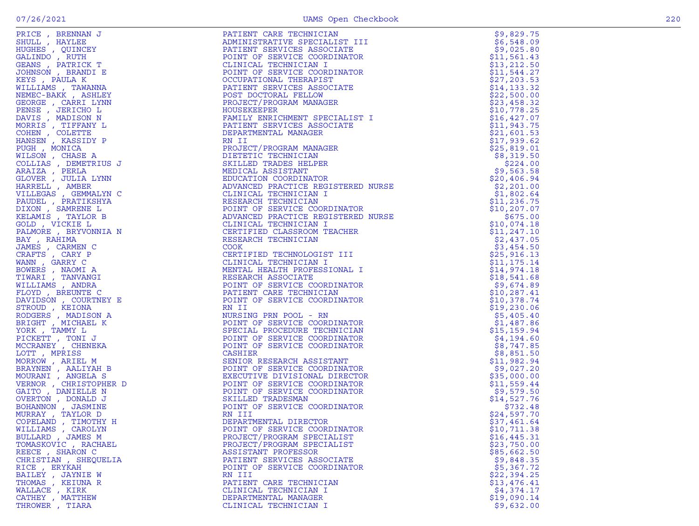| PRICE, BRENNAN J                      | PATIENT CARE TECHNICIAN                                                                                                                                                                                                                                      | \$9,829.75               |
|---------------------------------------|--------------------------------------------------------------------------------------------------------------------------------------------------------------------------------------------------------------------------------------------------------------|--------------------------|
| SHULL, HAYLEE                         | ADMINISTRATIVE SPECIALIST III                                                                                                                                                                                                                                | \$6,548.09               |
| HUGHES , QUINCEY                      | PATIENT SERVICES ASSOCIATE                                                                                                                                                                                                                                   | \$9,025.80               |
| GALINDO, RUTH                         | POINT OF SERVICE COORDINATOR                                                                                                                                                                                                                                 | \$11,561.43              |
| GEANS, PATRICK T                      | CLINICAL TECHNICIAN I                                                                                                                                                                                                                                        | \$13, 212.50             |
| JOHNSON, BRANDI E                     | POINT OF SERVICE COORDINATOR                                                                                                                                                                                                                                 | \$11,544.27              |
| KEYS, PAULA K                         | OCCUPATIONAL THERAPIST                                                                                                                                                                                                                                       | \$27, 203.53             |
| WILLIAMS , TAWANNA                    | PATIENT SERVICES ASSOCIATE                                                                                                                                                                                                                                   | \$14, 133.32             |
| NEMEC-BAKK, ASHLEY                    | POST DOCTORAL FELLOW                                                                                                                                                                                                                                         | \$22,500.00              |
| GEORGE , CARRI LYNN                   | PROJECT/PROGRAM MANAGER                                                                                                                                                                                                                                      | \$23,458.32              |
| PENSE, JERICHO L                      | HOUSEKEEPER                                                                                                                                                                                                                                                  | \$10,778.25              |
| DAVIS , MADISON N                     |                                                                                                                                                                                                                                                              | \$16, 427.07             |
| MORRIS, TIFFANY L                     |                                                                                                                                                                                                                                                              | \$11,943.75              |
| COHEN, COLETTE                        |                                                                                                                                                                                                                                                              | \$21,601.53              |
| HANSEN, KASSIDY P                     |                                                                                                                                                                                                                                                              | \$17,939.62              |
| PUGH, MONICA                          |                                                                                                                                                                                                                                                              | \$25,819.01              |
| WILSON, CHASE A                       |                                                                                                                                                                                                                                                              | \$8,319.50               |
| COLLIAS , DEMETRIUS J                 |                                                                                                                                                                                                                                                              | \$224.00<br>\$9,563.58   |
| ARAIZA, PERLA<br>GLOVER , JULIA LYNN  |                                                                                                                                                                                                                                                              | \$20,406.94              |
| HARRELL , AMBER                       |                                                                                                                                                                                                                                                              | \$2,201.00               |
| VILLEGAS , GEMMALYN C                 |                                                                                                                                                                                                                                                              | \$1,802.64               |
| PAUDEL , PRATIKSHYA                   |                                                                                                                                                                                                                                                              | \$11, 236.75             |
| DIXON, SAMRENE L                      |                                                                                                                                                                                                                                                              | \$10, 207.07             |
| KELAMIS , TAYLOR B                    |                                                                                                                                                                                                                                                              | \$675.00                 |
| GOLD, VICKIE L                        |                                                                                                                                                                                                                                                              | \$10,074.18              |
| PALMORE, BRYVONNIA N                  |                                                                                                                                                                                                                                                              | \$11, 247.10             |
| BAY, RAHIMA                           |                                                                                                                                                                                                                                                              | \$2,437.05               |
| JAMES , CARMEN C                      |                                                                                                                                                                                                                                                              | \$3,454.50               |
| CRAFTS , CARY P                       | PROJECT/PROGRAM MANAGER<br>HOUSEKEEPER<br>FAMILY ENRICHMENT SPECIALIST I<br>PAMILY ENVICES ASSOCIATE<br>DEPARTMENTAL MANAGER<br>RN II<br>DEPARTMENTAL MANAGER<br>PROJECT/PROGRAM MANAGER<br>PROJECT/PROGRAM MANAGER<br>SKILLED TRADES HELPER<br>EDUCATION CO | \$25, 916.13             |
| WANN, GARRY C                         |                                                                                                                                                                                                                                                              | \$11, 175.14             |
| BOWERS, NAOMI A                       |                                                                                                                                                                                                                                                              | \$14,974.18              |
| TIWARI , TANVANGI                     |                                                                                                                                                                                                                                                              | \$18,541.68              |
| WILLIAMS, ANDRA                       |                                                                                                                                                                                                                                                              | \$9,674.89               |
| FLOYD, BREUNTE C                      |                                                                                                                                                                                                                                                              | \$10, 287.41             |
| DAVIDSON, COURTNEY E                  |                                                                                                                                                                                                                                                              | \$10,378.74              |
| STROUD , KEIONA                       | RN II                                                                                                                                                                                                                                                        | \$19,230.06              |
| RODGERS, MADISON A                    | NURSING PRN POOL - RN                                                                                                                                                                                                                                        | \$5,405.40               |
| BRIGHT, MICHAEL K                     | POINT OF SERVICE COORDINATOR                                                                                                                                                                                                                                 | \$1,487.86               |
| YORK, TAMMY L                         | SPECIAL PROCEDURE TECHNICIAN                                                                                                                                                                                                                                 | \$15, 159.94             |
| PICKETT, TONI J                       | POINT OF SERVICE COORDINATOR                                                                                                                                                                                                                                 | \$4,194.60               |
| MCCRANEY, CHENEKA                     | POINT OF SERVICE COORDINATOR                                                                                                                                                                                                                                 | \$8,747.85               |
| LOTT, MPRISS                          | CASHIER                                                                                                                                                                                                                                                      | \$8,851.50               |
| MORROW, ARIEL M                       | SENIOR RESEARCH ASSISTANT                                                                                                                                                                                                                                    | \$11,982.94              |
| BRAYNEN, AALIYAH B                    | POINT OF SERVICE COORDINATOR                                                                                                                                                                                                                                 | \$9,027.20               |
| MOURANI , ANGELA S                    | EXECUTIVE DIVISIONAL DIRECTOR                                                                                                                                                                                                                                | \$35,000.00              |
| VERNOR, CHRISTOPHER D                 | POINT OF SERVICE COORDINATOR                                                                                                                                                                                                                                 | \$11,559.44              |
| GAITO, DANIELLE N                     | POINT OF SERVICE COORDINATOR                                                                                                                                                                                                                                 | \$9,579.50               |
| OVERTON, DONALD J                     | SKILLED TRADESMAN                                                                                                                                                                                                                                            | \$14,527.76              |
| BOHANNON , JASMINE                    | POINT OF SERVICE COORDINATOR                                                                                                                                                                                                                                 | \$732.48                 |
| MURRAY, TAYLOR D                      | RN III                                                                                                                                                                                                                                                       | \$24,597.70              |
| COPELAND, TIMOTHY H                   | DEPARTMENTAL DIRECTOR                                                                                                                                                                                                                                        | \$37,461.64              |
| WILLIAMS, CAROLYN                     | POINT OF SERVICE COORDINATOR                                                                                                                                                                                                                                 | \$10,711.38              |
| BULLARD, JAMES M                      | PROJECT/PROGRAM SPECIALIST                                                                                                                                                                                                                                   | \$16,445.31              |
| TOMASKOVIC , RACHAEL                  | PROJECT/PROGRAM SPECIALIST                                                                                                                                                                                                                                   | \$23,750.00              |
| REECE, SHARON C                       | ASSISTANT PROFESSOR<br>PATIENT SERVICES ASSOCIATE                                                                                                                                                                                                            | \$85,662.50              |
| CHRISTIAN , SHEQUELIA<br>RICE, ERYKAH |                                                                                                                                                                                                                                                              | \$9,848.35<br>\$5,367.72 |
| BAILEY, JAYNIE W                      | POINT OF SERVICE COORDINATOR<br>RN III                                                                                                                                                                                                                       | \$22,394.25              |
| THOMAS, KEIUNA R                      | PATIENT CARE TECHNICIAN                                                                                                                                                                                                                                      | \$13,476.41              |
| WALLACE, KIRK                         | CLINICAL TECHNICIAN I                                                                                                                                                                                                                                        | \$4,374.17               |
| CATHEY, MATTHEW                       | DEPARTMENTAL MANAGER                                                                                                                                                                                                                                         | \$19,090.14              |
| THROWER, TIARA                        | CLINICAL TECHNICIAN I                                                                                                                                                                                                                                        | \$9,632.00               |
|                                       |                                                                                                                                                                                                                                                              |                          |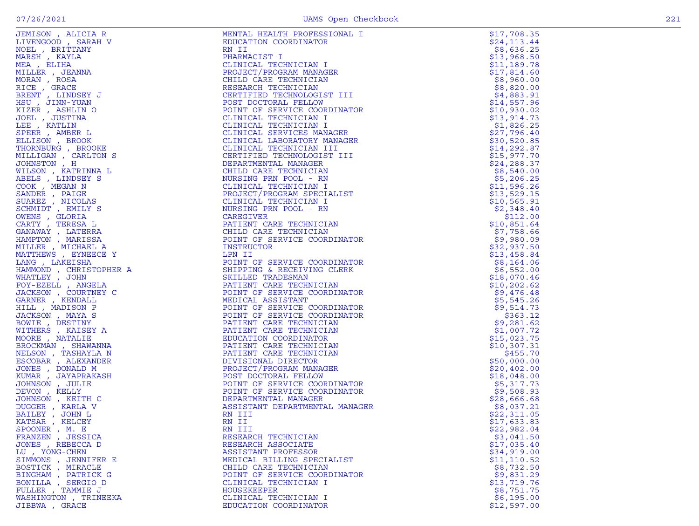| EMISON , ALICIA R<br>MENSOOD , SARAH V<br>DEL , BRITTANY<br>DEL , BRITTANY<br>DER , KAYLA<br>DER , TERNINA DRAG , TERNINA ORAN , ROSA<br>CRE , TERNINA , TERNINA TER , TERNINA TER , TERNINA TER , AMERICA<br>TER , AMERICA , AMERICAN , AMERICAN S | MENTAL HEALTH PROFESSIONAL I                                                                                                                                                                                                                                                | \$17,708.35               |
|-----------------------------------------------------------------------------------------------------------------------------------------------------------------------------------------------------------------------------------------------------|-----------------------------------------------------------------------------------------------------------------------------------------------------------------------------------------------------------------------------------------------------------------------------|---------------------------|
|                                                                                                                                                                                                                                                     | EDUCATION COORDINATOR<br>EDUCATION COORDINATOR<br>RIM II<br>CLINICAL TECHNICIAN I<br>CLINICAL TECHNICIAN I<br>CROEREY PROGRAM MANAGER<br>CHILD CARE TECHNICIAN<br>RESEARCH TECHNICIAN<br>RESEARCH TECHNICIAN<br>CERTIFIED TECHNICIAN I<br>DOINT OF SERVICE COORDINATOR<br>C | \$24, 113.44              |
|                                                                                                                                                                                                                                                     |                                                                                                                                                                                                                                                                             | \$8,636.25                |
|                                                                                                                                                                                                                                                     |                                                                                                                                                                                                                                                                             | \$13,968.50               |
|                                                                                                                                                                                                                                                     |                                                                                                                                                                                                                                                                             | \$11,189.78               |
|                                                                                                                                                                                                                                                     |                                                                                                                                                                                                                                                                             | \$17,814.60               |
|                                                                                                                                                                                                                                                     |                                                                                                                                                                                                                                                                             | \$8,960.00                |
|                                                                                                                                                                                                                                                     |                                                                                                                                                                                                                                                                             | \$8,820.00                |
|                                                                                                                                                                                                                                                     |                                                                                                                                                                                                                                                                             | \$4,883.91                |
|                                                                                                                                                                                                                                                     |                                                                                                                                                                                                                                                                             | \$14,557.96               |
|                                                                                                                                                                                                                                                     |                                                                                                                                                                                                                                                                             | \$10,930.02               |
|                                                                                                                                                                                                                                                     |                                                                                                                                                                                                                                                                             | \$13,914.73               |
|                                                                                                                                                                                                                                                     |                                                                                                                                                                                                                                                                             | \$1,826.25                |
|                                                                                                                                                                                                                                                     |                                                                                                                                                                                                                                                                             | \$27,796.40               |
|                                                                                                                                                                                                                                                     |                                                                                                                                                                                                                                                                             | \$30,520.85               |
|                                                                                                                                                                                                                                                     |                                                                                                                                                                                                                                                                             | \$14,292.87               |
|                                                                                                                                                                                                                                                     |                                                                                                                                                                                                                                                                             | \$15,977.70               |
|                                                                                                                                                                                                                                                     |                                                                                                                                                                                                                                                                             | \$24, 288.37              |
|                                                                                                                                                                                                                                                     |                                                                                                                                                                                                                                                                             | \$8,540.00                |
|                                                                                                                                                                                                                                                     |                                                                                                                                                                                                                                                                             | \$5,206.25<br>\$11,596.26 |
|                                                                                                                                                                                                                                                     |                                                                                                                                                                                                                                                                             | \$13,529.15               |
|                                                                                                                                                                                                                                                     |                                                                                                                                                                                                                                                                             | \$10,565.91               |
|                                                                                                                                                                                                                                                     |                                                                                                                                                                                                                                                                             | \$2,348.40                |
|                                                                                                                                                                                                                                                     |                                                                                                                                                                                                                                                                             | \$112.00                  |
|                                                                                                                                                                                                                                                     |                                                                                                                                                                                                                                                                             | \$10,851.64               |
|                                                                                                                                                                                                                                                     |                                                                                                                                                                                                                                                                             | \$7,758.66                |
|                                                                                                                                                                                                                                                     |                                                                                                                                                                                                                                                                             | \$9,980.09                |
|                                                                                                                                                                                                                                                     |                                                                                                                                                                                                                                                                             | \$32,937.50               |
|                                                                                                                                                                                                                                                     | CHILD CARE TECHNICIAN<br>POINT OF SERVICE COORDINATOR<br>TNSTRUCTOR                                                                                                                                                                                                         | \$13,458.84               |
|                                                                                                                                                                                                                                                     |                                                                                                                                                                                                                                                                             | \$8,164.06                |
|                                                                                                                                                                                                                                                     | INSTRUCTOR<br>LPM II<br>LPM IT CORPUCE COORDINATOR<br>DOINT OF SERVICE COORDINATOR<br>SHILPEING & RECEIVING CLERK<br>SKILLED TRADESMAN<br>PATIENT CARE TECHNICIAN<br>MEDICAL ASSISTANT CORDINATOR<br>MEDICAL ASSISTANT OF SERVICE COORDINATOR<br>POINT OF                   | \$6,552.00                |
|                                                                                                                                                                                                                                                     |                                                                                                                                                                                                                                                                             | \$18,070.46               |
|                                                                                                                                                                                                                                                     |                                                                                                                                                                                                                                                                             | \$10, 202.62              |
|                                                                                                                                                                                                                                                     |                                                                                                                                                                                                                                                                             | \$9,476.48                |
|                                                                                                                                                                                                                                                     |                                                                                                                                                                                                                                                                             | \$5,545.26                |
|                                                                                                                                                                                                                                                     |                                                                                                                                                                                                                                                                             | \$9,514.73                |
|                                                                                                                                                                                                                                                     |                                                                                                                                                                                                                                                                             | \$363.12                  |
|                                                                                                                                                                                                                                                     |                                                                                                                                                                                                                                                                             | \$9,281.62                |
|                                                                                                                                                                                                                                                     |                                                                                                                                                                                                                                                                             | \$1,007.72                |
|                                                                                                                                                                                                                                                     |                                                                                                                                                                                                                                                                             | \$15,023.75               |
|                                                                                                                                                                                                                                                     |                                                                                                                                                                                                                                                                             | \$10,307.31               |
|                                                                                                                                                                                                                                                     |                                                                                                                                                                                                                                                                             | \$455.70                  |
|                                                                                                                                                                                                                                                     |                                                                                                                                                                                                                                                                             | \$50,000.00               |
|                                                                                                                                                                                                                                                     |                                                                                                                                                                                                                                                                             | \$20,402.00               |
|                                                                                                                                                                                                                                                     |                                                                                                                                                                                                                                                                             | \$18,048.00               |
|                                                                                                                                                                                                                                                     |                                                                                                                                                                                                                                                                             | \$5,317.73                |
|                                                                                                                                                                                                                                                     |                                                                                                                                                                                                                                                                             | \$9,508.93                |
|                                                                                                                                                                                                                                                     |                                                                                                                                                                                                                                                                             | \$28,666.68               |
|                                                                                                                                                                                                                                                     |                                                                                                                                                                                                                                                                             | \$8,037.21                |
|                                                                                                                                                                                                                                                     | RN III                                                                                                                                                                                                                                                                      | \$22,311.05               |
|                                                                                                                                                                                                                                                     | RN II                                                                                                                                                                                                                                                                       | \$17,633.83               |
| SPOONER, M. E                                                                                                                                                                                                                                       | RN III<br>RESEARCH TECHNICIAN                                                                                                                                                                                                                                               | \$22,982.04               |
| FRANZEN, JESSICA<br>JONES , REBECCA D                                                                                                                                                                                                               | RESEARCH ASSOCIATE                                                                                                                                                                                                                                                          | \$3,041.50<br>\$17,035.40 |
| LU, YONG-CHEN                                                                                                                                                                                                                                       | ASSISTANT PROFESSOR                                                                                                                                                                                                                                                         | \$34,919.00               |
| SIMMONS , JENNIFER E                                                                                                                                                                                                                                | MEDICAL BILLING SPECIALIST                                                                                                                                                                                                                                                  | \$11, 110.52              |
| BOSTICK, MIRACLE                                                                                                                                                                                                                                    | CHILD CARE TECHNICIAN                                                                                                                                                                                                                                                       | \$8,732.50                |
| BINGHAM, PATRICK G                                                                                                                                                                                                                                  | POINT OF SERVICE COORDINATOR                                                                                                                                                                                                                                                | \$9,831.29                |
| BONILLA , SERGIO D                                                                                                                                                                                                                                  | CLINICAL TECHNICIAN I                                                                                                                                                                                                                                                       | \$13,719.76               |
| FULLER, TAMMIE J                                                                                                                                                                                                                                    | HOUSEKEEPER                                                                                                                                                                                                                                                                 | \$8,751.75                |
| WASHINGTON , TRINEEKA                                                                                                                                                                                                                               | CLINICAL TECHNICIAN I                                                                                                                                                                                                                                                       | \$6,195.00                |
| JIBBWA , GRACE                                                                                                                                                                                                                                      | EDUCATION COORDINATOR                                                                                                                                                                                                                                                       | \$12,597.00               |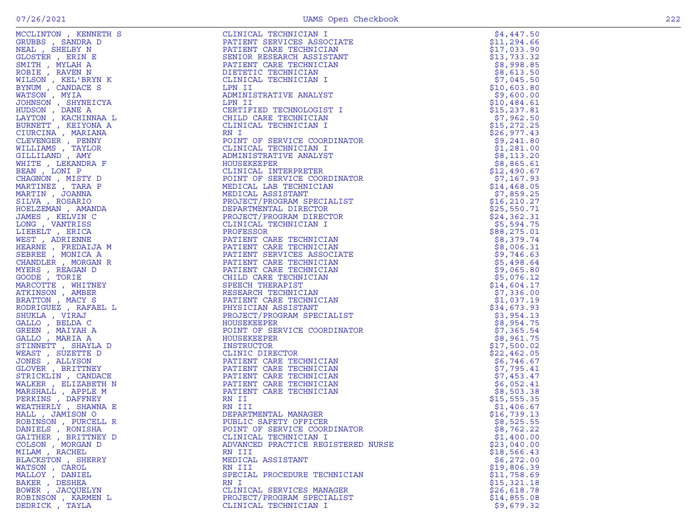| THIS CILE<br>IRS CILE<br>IRS CREATED BY SERIES SERIES<br>IRS MALL<br>IRS MALL<br>A A LA REAR<br>IRS REAR<br>IRS REAR<br>NEX<br>REAR<br>NA REAR<br>NA REAR<br>NA REAR<br>NA REAR<br>NA REAR<br>NA REAR<br>NA REAR<br>NA REAR<br>NA REAR<br>NA REAR<br>NA REAR<br>NA REAR<br><br>MCCLINTON , KENNETH S | FALMER SERVICES ASSOCIATES<br>FROM THE CARRIER CONTROL CONTROL CONTROL (1971)<br>FROM THE CARRIER CONTROL CONTROL CONTROL CONTROL CONTROL CONTROL CONTROL CONTROL CONTROL CONTROL CONTROL CONTROL CONTROL CONTROL CONTROL CONTROL |             |
|------------------------------------------------------------------------------------------------------------------------------------------------------------------------------------------------------------------------------------------------------------------------------------------------------|-----------------------------------------------------------------------------------------------------------------------------------------------------------------------------------------------------------------------------------|-------------|
| GRUBBS, SANDRA D                                                                                                                                                                                                                                                                                     |                                                                                                                                                                                                                                   |             |
| NEAL , SHELBY N                                                                                                                                                                                                                                                                                      |                                                                                                                                                                                                                                   |             |
| GLOSTER, ERIN E                                                                                                                                                                                                                                                                                      |                                                                                                                                                                                                                                   |             |
| SMITH, MYLAH A                                                                                                                                                                                                                                                                                       |                                                                                                                                                                                                                                   |             |
| ROBIE , RAVEN N                                                                                                                                                                                                                                                                                      |                                                                                                                                                                                                                                   |             |
| WILSON, KEL'BRYN K                                                                                                                                                                                                                                                                                   |                                                                                                                                                                                                                                   |             |
| BYNUM, CANDACE S                                                                                                                                                                                                                                                                                     |                                                                                                                                                                                                                                   |             |
| WATSON, MYIA                                                                                                                                                                                                                                                                                         |                                                                                                                                                                                                                                   |             |
| JOHNSON, SHYNEICYA                                                                                                                                                                                                                                                                                   |                                                                                                                                                                                                                                   |             |
| HUDSON, DANE A                                                                                                                                                                                                                                                                                       |                                                                                                                                                                                                                                   |             |
| LAYTON, KACHINNAA L                                                                                                                                                                                                                                                                                  |                                                                                                                                                                                                                                   |             |
| BURNETT , KEIYONA A                                                                                                                                                                                                                                                                                  |                                                                                                                                                                                                                                   |             |
| CIURCINA, MARIANA                                                                                                                                                                                                                                                                                    |                                                                                                                                                                                                                                   |             |
| CLEVENGER , PENNY                                                                                                                                                                                                                                                                                    |                                                                                                                                                                                                                                   |             |
| WILLIAMS , TAYLOR                                                                                                                                                                                                                                                                                    |                                                                                                                                                                                                                                   |             |
| GILLILAND, AMY                                                                                                                                                                                                                                                                                       |                                                                                                                                                                                                                                   |             |
| WHITE , LEKANDRA F                                                                                                                                                                                                                                                                                   |                                                                                                                                                                                                                                   |             |
| BEAN, LONI P                                                                                                                                                                                                                                                                                         |                                                                                                                                                                                                                                   |             |
| CHAGNON, MISTY D                                                                                                                                                                                                                                                                                     |                                                                                                                                                                                                                                   |             |
| MARTINEZ, TARA P                                                                                                                                                                                                                                                                                     |                                                                                                                                                                                                                                   |             |
| MARTIN, JOANNA                                                                                                                                                                                                                                                                                       |                                                                                                                                                                                                                                   |             |
| SILVA, ROSARIO                                                                                                                                                                                                                                                                                       |                                                                                                                                                                                                                                   |             |
| HOELZEMAN, AMANDA                                                                                                                                                                                                                                                                                    |                                                                                                                                                                                                                                   |             |
| JAMES , KELVIN C                                                                                                                                                                                                                                                                                     |                                                                                                                                                                                                                                   |             |
| LONG, VANTRISS                                                                                                                                                                                                                                                                                       |                                                                                                                                                                                                                                   |             |
| LIEBELT, ERICA                                                                                                                                                                                                                                                                                       |                                                                                                                                                                                                                                   |             |
| WEST, ADRIENNE                                                                                                                                                                                                                                                                                       |                                                                                                                                                                                                                                   |             |
| HEARNE, FREDAIJA M                                                                                                                                                                                                                                                                                   |                                                                                                                                                                                                                                   |             |
| SEBREE , MONICA A                                                                                                                                                                                                                                                                                    |                                                                                                                                                                                                                                   |             |
| CHANDLER , MORGAN R                                                                                                                                                                                                                                                                                  |                                                                                                                                                                                                                                   |             |
| MYERS , REAGAN D                                                                                                                                                                                                                                                                                     |                                                                                                                                                                                                                                   |             |
| GOODE , TORIE                                                                                                                                                                                                                                                                                        |                                                                                                                                                                                                                                   |             |
| MARCOTTE, WHITNEY                                                                                                                                                                                                                                                                                    |                                                                                                                                                                                                                                   |             |
| ATKINSON, AMBER                                                                                                                                                                                                                                                                                      |                                                                                                                                                                                                                                   |             |
| BRATTON, MACY S                                                                                                                                                                                                                                                                                      |                                                                                                                                                                                                                                   |             |
| RODRIGUEZ , RAFAEL L                                                                                                                                                                                                                                                                                 |                                                                                                                                                                                                                                   |             |
| SHUKLA, VIRAJ                                                                                                                                                                                                                                                                                        |                                                                                                                                                                                                                                   |             |
| GALLO, BELDA C                                                                                                                                                                                                                                                                                       |                                                                                                                                                                                                                                   |             |
| GREEN , MAIYAH A<br>GALLO, MARIA A                                                                                                                                                                                                                                                                   |                                                                                                                                                                                                                                   |             |
| STINNETT, SHAYLA D                                                                                                                                                                                                                                                                                   |                                                                                                                                                                                                                                   |             |
| WEAST, SUZETTE D                                                                                                                                                                                                                                                                                     |                                                                                                                                                                                                                                   |             |
| JONES , ALLYSON                                                                                                                                                                                                                                                                                      |                                                                                                                                                                                                                                   |             |
| GLOVER, BRITTNEY                                                                                                                                                                                                                                                                                     |                                                                                                                                                                                                                                   |             |
| STRICKLIN, CANDACE                                                                                                                                                                                                                                                                                   |                                                                                                                                                                                                                                   |             |
| WALKER, ELIZABETH N                                                                                                                                                                                                                                                                                  |                                                                                                                                                                                                                                   |             |
| MARSHALL , APPLE M                                                                                                                                                                                                                                                                                   |                                                                                                                                                                                                                                   |             |
| PERKINS, DAFFNEY                                                                                                                                                                                                                                                                                     |                                                                                                                                                                                                                                   |             |
| WEATHERLY, SHAWNA E                                                                                                                                                                                                                                                                                  |                                                                                                                                                                                                                                   |             |
| HALL, JAMISON O                                                                                                                                                                                                                                                                                      |                                                                                                                                                                                                                                   |             |
| ROBINSON, PURCELL R                                                                                                                                                                                                                                                                                  |                                                                                                                                                                                                                                   |             |
| DANIELS, RONISHA                                                                                                                                                                                                                                                                                     |                                                                                                                                                                                                                                   |             |
| GAITHER, BRITTNEY D                                                                                                                                                                                                                                                                                  |                                                                                                                                                                                                                                   |             |
| COLSON, MORGAN D                                                                                                                                                                                                                                                                                     |                                                                                                                                                                                                                                   |             |
| MILAM, RACHEL                                                                                                                                                                                                                                                                                        |                                                                                                                                                                                                                                   |             |
| BLACKSTON , SHERRY                                                                                                                                                                                                                                                                                   | MEDICAL ASSISTANT                                                                                                                                                                                                                 | \$6,272.00  |
| WATSON, CAROL                                                                                                                                                                                                                                                                                        | RN III                                                                                                                                                                                                                            | \$19,806.39 |
| MALLOY, DANIEL                                                                                                                                                                                                                                                                                       | SPECIAL PROCEDURE TECHNICIAN                                                                                                                                                                                                      | \$11,758.69 |
| BAKER, DESHEA                                                                                                                                                                                                                                                                                        | RN I                                                                                                                                                                                                                              | \$15,321.18 |
| BOWER, JACQUELYN                                                                                                                                                                                                                                                                                     | CLINICAL SERVICES MANAGER                                                                                                                                                                                                         | \$26,618.78 |
| ROBINSON, KARMEN L                                                                                                                                                                                                                                                                                   | PROJECT/PROGRAM SPECIALIST                                                                                                                                                                                                        | \$14,855.08 |
| DEDRICK, TAYLA                                                                                                                                                                                                                                                                                       | CLINICAL TECHNICIAN I                                                                                                                                                                                                             | \$9,679.32  |
|                                                                                                                                                                                                                                                                                                      |                                                                                                                                                                                                                                   |             |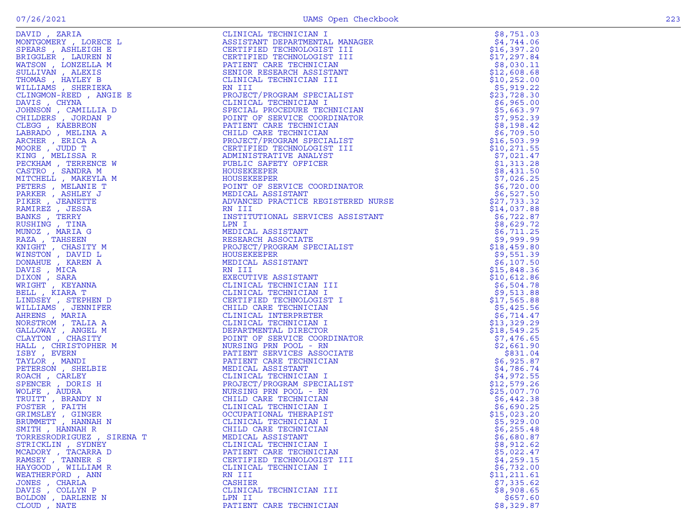| DAVID, ZARIA                                                                                                                                                                                                                                                                                                                                                                                               |                                                                                                                                                                                                                                                                              | \$8,751.03                 |
|------------------------------------------------------------------------------------------------------------------------------------------------------------------------------------------------------------------------------------------------------------------------------------------------------------------------------------------------------------------------------------------------------------|------------------------------------------------------------------------------------------------------------------------------------------------------------------------------------------------------------------------------------------------------------------------------|----------------------------|
| MONTGOMERY, LORECE L                                                                                                                                                                                                                                                                                                                                                                                       |                                                                                                                                                                                                                                                                              | \$4,744.06                 |
| SPEARS, ASHLEIGH E                                                                                                                                                                                                                                                                                                                                                                                         |                                                                                                                                                                                                                                                                              | \$16,397.20                |
| BRIGGLER , LAUREN N                                                                                                                                                                                                                                                                                                                                                                                        |                                                                                                                                                                                                                                                                              | \$17,297.84                |
| WATSON, LONZELLA M                                                                                                                                                                                                                                                                                                                                                                                         |                                                                                                                                                                                                                                                                              | \$8,030.11                 |
| SULLIVAN, ALEXIS                                                                                                                                                                                                                                                                                                                                                                                           |                                                                                                                                                                                                                                                                              | \$12,608.68                |
| THOMAS, HAYLEY B                                                                                                                                                                                                                                                                                                                                                                                           |                                                                                                                                                                                                                                                                              | \$10, 252.00               |
| WILLIAMS, SHERIEKA                                                                                                                                                                                                                                                                                                                                                                                         |                                                                                                                                                                                                                                                                              | \$5,919.22                 |
| CLINGMON-REED, ANGIE E                                                                                                                                                                                                                                                                                                                                                                                     |                                                                                                                                                                                                                                                                              | \$23,728.30                |
| DAVIS, CHYNA                                                                                                                                                                                                                                                                                                                                                                                               |                                                                                                                                                                                                                                                                              | \$6,965.00                 |
| JOHNSON , CAMILLIA D                                                                                                                                                                                                                                                                                                                                                                                       |                                                                                                                                                                                                                                                                              | \$5,663.97                 |
| CHILDERS, JORDAN P                                                                                                                                                                                                                                                                                                                                                                                         |                                                                                                                                                                                                                                                                              | \$7,952.39                 |
| CLEGG , KAEBREON                                                                                                                                                                                                                                                                                                                                                                                           |                                                                                                                                                                                                                                                                              | \$8,198.42                 |
| LABRADO, MELINA A                                                                                                                                                                                                                                                                                                                                                                                          |                                                                                                                                                                                                                                                                              | \$6,709.50                 |
| ARCHER, ERICA A                                                                                                                                                                                                                                                                                                                                                                                            |                                                                                                                                                                                                                                                                              | \$16,503.99                |
| MOORE, JUDD T<br>KING, MELISSA R                                                                                                                                                                                                                                                                                                                                                                           |                                                                                                                                                                                                                                                                              | \$10, 271.55<br>\$7,021.47 |
| PECKHAM, TERRENCE W                                                                                                                                                                                                                                                                                                                                                                                        |                                                                                                                                                                                                                                                                              | \$1,313.28                 |
| CASTRO, SANDRA M                                                                                                                                                                                                                                                                                                                                                                                           |                                                                                                                                                                                                                                                                              | \$8,431.50                 |
| MITCHELL , MAKEYLA M                                                                                                                                                                                                                                                                                                                                                                                       |                                                                                                                                                                                                                                                                              | \$7,026.25                 |
| PETERS, MELANIE T                                                                                                                                                                                                                                                                                                                                                                                          |                                                                                                                                                                                                                                                                              | \$6,720.00                 |
| PARKER, ASHLEY J                                                                                                                                                                                                                                                                                                                                                                                           |                                                                                                                                                                                                                                                                              | \$6,527.50                 |
| PIKER, JEANETTE                                                                                                                                                                                                                                                                                                                                                                                            |                                                                                                                                                                                                                                                                              | \$27,733.32                |
| RAMIREZ, JESSA                                                                                                                                                                                                                                                                                                                                                                                             |                                                                                                                                                                                                                                                                              | \$14,037.88                |
| BANKS, TERRY                                                                                                                                                                                                                                                                                                                                                                                               |                                                                                                                                                                                                                                                                              | \$6,722.87                 |
| RUSHING, TINA                                                                                                                                                                                                                                                                                                                                                                                              |                                                                                                                                                                                                                                                                              | \$8,629.72                 |
| MUNOZ , MARIA G                                                                                                                                                                                                                                                                                                                                                                                            |                                                                                                                                                                                                                                                                              | \$6,711.25                 |
| RAZA, TAHSEEN                                                                                                                                                                                                                                                                                                                                                                                              |                                                                                                                                                                                                                                                                              | \$9,999.99                 |
| KNIGHT, CHASITY M                                                                                                                                                                                                                                                                                                                                                                                          |                                                                                                                                                                                                                                                                              | \$18,459.80                |
| WINSTON, DAVID L                                                                                                                                                                                                                                                                                                                                                                                           |                                                                                                                                                                                                                                                                              | \$9,551.39                 |
| DONAHUE , KAREN A                                                                                                                                                                                                                                                                                                                                                                                          |                                                                                                                                                                                                                                                                              | \$6,107.50                 |
| DAVIS, MICA                                                                                                                                                                                                                                                                                                                                                                                                |                                                                                                                                                                                                                                                                              | \$15,848.36                |
| DIXON, SARA                                                                                                                                                                                                                                                                                                                                                                                                |                                                                                                                                                                                                                                                                              | \$10,612.86                |
| WRIGHT, KEYANNA                                                                                                                                                                                                                                                                                                                                                                                            |                                                                                                                                                                                                                                                                              | \$6,504.78                 |
| BELL, KIARA T                                                                                                                                                                                                                                                                                                                                                                                              |                                                                                                                                                                                                                                                                              | \$9,513.88                 |
| LINDSEY, STEPHEN D                                                                                                                                                                                                                                                                                                                                                                                         |                                                                                                                                                                                                                                                                              | \$17,565.88                |
| WILLIAMS , JENNIFER                                                                                                                                                                                                                                                                                                                                                                                        |                                                                                                                                                                                                                                                                              | \$5,425.56                 |
| AHRENS, MARIA                                                                                                                                                                                                                                                                                                                                                                                              |                                                                                                                                                                                                                                                                              | \$6,714.47                 |
| NORSTROM, TALIA A                                                                                                                                                                                                                                                                                                                                                                                          |                                                                                                                                                                                                                                                                              | \$13,329.29                |
| GALLOWAY, ANGEL M                                                                                                                                                                                                                                                                                                                                                                                          |                                                                                                                                                                                                                                                                              | \$18,549.25                |
| CLAYTON, CHASITY                                                                                                                                                                                                                                                                                                                                                                                           |                                                                                                                                                                                                                                                                              | \$7,476.65                 |
| HALL , CHRISTOPHER M                                                                                                                                                                                                                                                                                                                                                                                       |                                                                                                                                                                                                                                                                              | \$2,661.90                 |
| ISBY, EVERN                                                                                                                                                                                                                                                                                                                                                                                                |                                                                                                                                                                                                                                                                              | \$831.04                   |
| TAYLOR, MANDI                                                                                                                                                                                                                                                                                                                                                                                              |                                                                                                                                                                                                                                                                              | \$6,925.87                 |
| PETERSON, SHELBIE                                                                                                                                                                                                                                                                                                                                                                                          |                                                                                                                                                                                                                                                                              | \$4,786.74                 |
| ROACH, CARLEY                                                                                                                                                                                                                                                                                                                                                                                              |                                                                                                                                                                                                                                                                              | \$4,972.55                 |
| SPENCER, DORIS H                                                                                                                                                                                                                                                                                                                                                                                           |                                                                                                                                                                                                                                                                              | \$12,579.26                |
| WOLFE, AUDRA                                                                                                                                                                                                                                                                                                                                                                                               |                                                                                                                                                                                                                                                                              | \$25,007.70                |
| TRUITT, BRANDY N                                                                                                                                                                                                                                                                                                                                                                                           |                                                                                                                                                                                                                                                                              | \$6,442.38                 |
| FOSTER, FAITH                                                                                                                                                                                                                                                                                                                                                                                              |                                                                                                                                                                                                                                                                              | \$6,690.25                 |
| GRIMSLEY , GINGER                                                                                                                                                                                                                                                                                                                                                                                          |                                                                                                                                                                                                                                                                              | \$15,023.20                |
| BRUMMETT, HANNAH N                                                                                                                                                                                                                                                                                                                                                                                         | CLINICAL TECHNICIAN I                                                                                                                                                                                                                                                        | \$5,929.00                 |
| LORECE L<br>SIGH E<br>SIGH E<br>SILA M<br>SELA M<br>SELA MONE E<br>SERIEKA<br>SY B<br>SRIEKA<br>SINA P<br>NORER MENT<br>NA A<br>SITTY M<br>NA A<br>A<br>A<br>C<br>NITTY M<br>NA A<br>A<br>SA A<br>C<br>NITTE<br>SA A<br>A<br>A<br>A<br>NA MUNIET<br>SE<br>SA A<br>C<br>NITTE<br>SA A<br>SA A<br>SA A<br>SA A<br>SA A<br>SA A<br>NITTE<br>SA A<br>SA A<br><br>SMITH, HANNAH R<br>TORRESRODRIGUEZ , SIRENA T | CINICAL TECHNICIAN I<br>SESEETANT DEPARTMENTAL NAMAGER<br>ASSECTANT DEPARTMENTAL NAMAGER<br>CERTIFIED TECHNOLOGIST III<br>CERTIFIED TRESHACLOGIST III<br>SENIOR RESERACION STECTALLY<br>FINITE SENIOR SENIOR SPECIALIST<br>DINICAL TECHNICIAN SPECI<br>CHILD CARE TECHNICIAN | \$6,255.48                 |
| STRICKLIN, SYDNEY                                                                                                                                                                                                                                                                                                                                                                                          | MEDICAL ASSISTANT<br>CLINICAL TECHNICIAN I                                                                                                                                                                                                                                   | \$6,680.87<br>\$8,912.62   |
| MCADORY, TACARRA D                                                                                                                                                                                                                                                                                                                                                                                         | PATIENT CARE TECHNICIAN                                                                                                                                                                                                                                                      | \$5,022.47                 |
| RAMSEY, TANNER S                                                                                                                                                                                                                                                                                                                                                                                           | CERTIFIED TECHNOLOGIST III                                                                                                                                                                                                                                                   | \$4,259.15                 |
| HAYGOOD, WILLIAM R                                                                                                                                                                                                                                                                                                                                                                                         | CLINICAL TECHNICIAN I                                                                                                                                                                                                                                                        | \$6,732.00                 |
| WEATHERFORD, ANN                                                                                                                                                                                                                                                                                                                                                                                           | RN III                                                                                                                                                                                                                                                                       | \$11, 211.61               |
| JONES , CHARLA                                                                                                                                                                                                                                                                                                                                                                                             | CASHIER                                                                                                                                                                                                                                                                      | \$7,335.62                 |
| DAVIS, COLLYN P                                                                                                                                                                                                                                                                                                                                                                                            | CLINICAL TECHNICIAN III                                                                                                                                                                                                                                                      | \$8,908.65                 |
| BOLDON , DARLENE N                                                                                                                                                                                                                                                                                                                                                                                         | LPN II                                                                                                                                                                                                                                                                       | \$657.60                   |
| CLOUD , NATE                                                                                                                                                                                                                                                                                                                                                                                               | PATIENT CARE TECHNICIAN                                                                                                                                                                                                                                                      | \$8,329.87                 |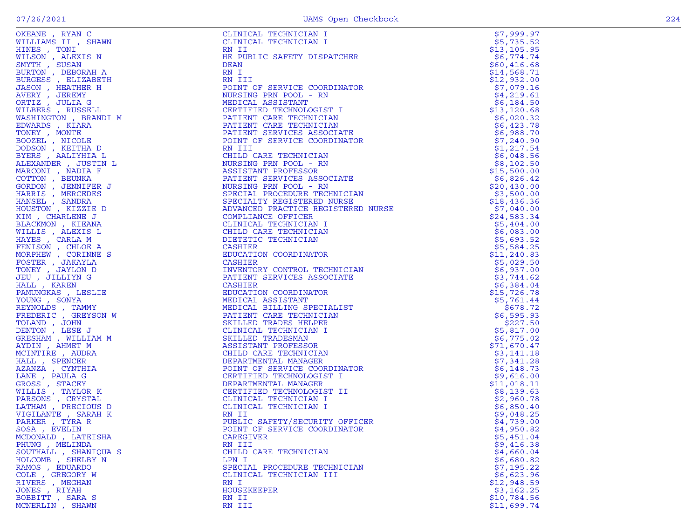|                   |                                                                                                                                                                                                                                                       | \$7,999.97               |
|-------------------|-------------------------------------------------------------------------------------------------------------------------------------------------------------------------------------------------------------------------------------------------------|--------------------------|
|                   |                                                                                                                                                                                                                                                       | \$5,735.52               |
|                   |                                                                                                                                                                                                                                                       | \$13, 105.95             |
|                   |                                                                                                                                                                                                                                                       | \$6,774.74               |
|                   |                                                                                                                                                                                                                                                       | \$60,416.68              |
|                   |                                                                                                                                                                                                                                                       | \$14,568.71              |
|                   |                                                                                                                                                                                                                                                       | \$12,932.00              |
|                   |                                                                                                                                                                                                                                                       | \$7,079.16               |
|                   |                                                                                                                                                                                                                                                       | \$4,219.61               |
|                   |                                                                                                                                                                                                                                                       | \$6,184.50               |
|                   |                                                                                                                                                                                                                                                       | \$13, 120.68             |
|                   |                                                                                                                                                                                                                                                       | \$6,020.32               |
|                   |                                                                                                                                                                                                                                                       | \$6,423.78               |
|                   |                                                                                                                                                                                                                                                       | \$6,988.70               |
|                   |                                                                                                                                                                                                                                                       | \$7,240.90               |
|                   |                                                                                                                                                                                                                                                       | \$1,217.54               |
|                   |                                                                                                                                                                                                                                                       | \$6,048.56               |
|                   |                                                                                                                                                                                                                                                       | \$8,102.50               |
|                   |                                                                                                                                                                                                                                                       | \$15,500.00              |
|                   |                                                                                                                                                                                                                                                       | \$6,826.42               |
|                   |                                                                                                                                                                                                                                                       | \$20,430.00              |
|                   |                                                                                                                                                                                                                                                       | \$3,500.00               |
|                   |                                                                                                                                                                                                                                                       | \$18,436.36              |
|                   |                                                                                                                                                                                                                                                       | \$7,040.00               |
|                   |                                                                                                                                                                                                                                                       | \$24,583.34              |
|                   |                                                                                                                                                                                                                                                       | \$5,404.00               |
|                   |                                                                                                                                                                                                                                                       | \$6,083.00               |
|                   |                                                                                                                                                                                                                                                       | \$5,693.52<br>\$5,584.25 |
|                   |                                                                                                                                                                                                                                                       | \$11, 240.83             |
|                   |                                                                                                                                                                                                                                                       |                          |
|                   |                                                                                                                                                                                                                                                       | \$5,029.50<br>\$6,937.00 |
|                   |                                                                                                                                                                                                                                                       | \$3,744.62               |
|                   |                                                                                                                                                                                                                                                       | \$6,384.04               |
|                   |                                                                                                                                                                                                                                                       | \$15,726.78              |
|                   |                                                                                                                                                                                                                                                       | \$5,761.44               |
|                   |                                                                                                                                                                                                                                                       | \$678.72                 |
|                   |                                                                                                                                                                                                                                                       | \$6,595.93               |
|                   |                                                                                                                                                                                                                                                       | \$227.50                 |
|                   |                                                                                                                                                                                                                                                       | \$5,817.00               |
|                   |                                                                                                                                                                                                                                                       | \$6,775.02               |
|                   |                                                                                                                                                                                                                                                       | \$71,670.47              |
|                   |                                                                                                                                                                                                                                                       | \$3,141.18               |
|                   |                                                                                                                                                                                                                                                       | \$7,341.28               |
|                   |                                                                                                                                                                                                                                                       | \$6,148.73               |
|                   |                                                                                                                                                                                                                                                       | \$9,616.00               |
|                   |                                                                                                                                                                                                                                                       | \$11,018.11              |
|                   |                                                                                                                                                                                                                                                       | \$8,139.63               |
|                   |                                                                                                                                                                                                                                                       | \$2,960.78               |
|                   |                                                                                                                                                                                                                                                       | \$6,850.40               |
|                   |                                                                                                                                                                                                                                                       | \$9,048.25               |
|                   |                                                                                                                                                                                                                                                       | \$4,739.00               |
|                   | POINT OF SERVICE COORDINATOR                                                                                                                                                                                                                          | \$4,950.82               |
|                   | CLINICAL TECHNICAL MANIFORM I<br>CLINICAL TECHNICIAN I<br>RN IVALIC SAPETY DISPATCHER<br>RN IVALIC SAPETY DISPATCHER<br>RN IVALIC SAPETY DESPAINT AN<br>NORTHER CREW ROOM CONTINUES<br>CREW TO THE STATE CONDITION<br>PATTER CREW CONDITION<br>PATTER | \$5,451.04               |
|                   |                                                                                                                                                                                                                                                       | \$9,416.38               |
|                   |                                                                                                                                                                                                                                                       | \$4,660.04               |
| HOLCOMB, SHELBY N |                                                                                                                                                                                                                                                       | \$6,680.82               |
| RAMOS, EDUARDO    | SPECIAL PROCEDURE TECHNICIAN                                                                                                                                                                                                                          | \$7,195.22               |
| COLE, GREGORY W   | CLINICAL TECHNICIAN III                                                                                                                                                                                                                               | \$6,623.96               |
| RIVERS , MEGHAN   | RN I                                                                                                                                                                                                                                                  | \$12,948.59              |
| JONES, RIYAH      | <b>HOUSEKEEPER</b>                                                                                                                                                                                                                                    | \$3,162.25               |
| BOBBITT, SARA S   | RN II                                                                                                                                                                                                                                                 | \$10,784.56              |
| MCNERLIN, SHAWN   | RN III                                                                                                                                                                                                                                                | \$11,699.74              |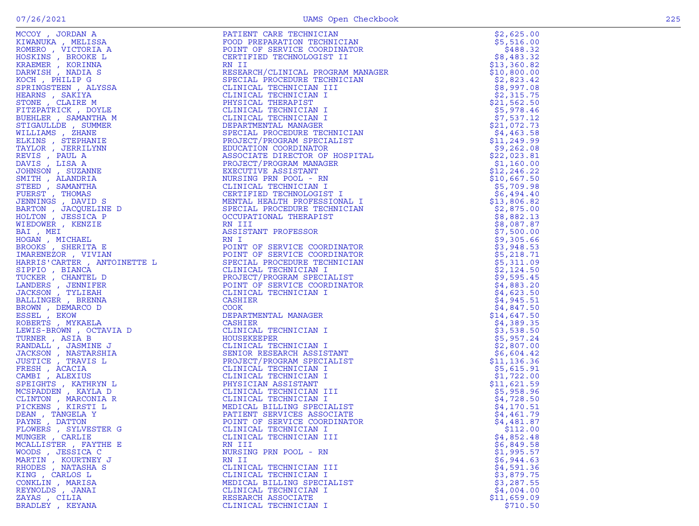|                                          | NT<br>IST<br>IST<br>ATE<br>NATOR  |                          |
|------------------------------------------|-----------------------------------|--------------------------|
|                                          |                                   |                          |
|                                          |                                   |                          |
|                                          |                                   |                          |
|                                          |                                   |                          |
|                                          |                                   |                          |
| PAYNE, DATTON                            | POINT OF SERVICE COORDINATOR      | \$4,481.87               |
| FLOWERS, SYLVESTER G                     | CLINICAL TECHNICIAN I             | \$112.00                 |
| MUNGER , CARLIE<br>MCALLISTER , FAYTHE E | CLINICAL TECHNICIAN III<br>RN III | \$4,852.48<br>\$6,849.58 |
| WOODS , JESSICA C                        | NURSING PRN POOL - RN             | \$1,995.57               |
| MARTIN, KOURTNEY J                       | RN II                             | \$6,944.63               |
| RHODES, NATASHA S                        | CLINICAL TECHNICIAN III           | \$4,591.36               |
| KING, CARLOS L                           | CLINICAL TECHNICIAN I             | \$3,879.75               |
| CONKLIN, MARISA                          | MEDICAL BILLING SPECIALIST        | \$3,287.55               |
| REYNOLDS, JANAI                          | CLINICAL TECHNICIAN I             | \$4,004.00               |
| ZAYAS , CILIA                            | RESEARCH ASSOCIATE                | \$11,659.09              |
| BRADLEY, KEYANA                          | CLINICAL TECHNICIAN I             | \$710.50                 |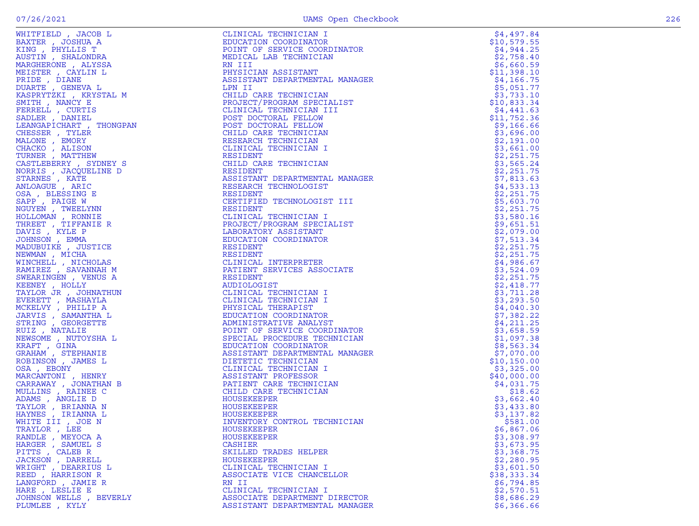|                         | CLINICAL TECHNICIAN I                                                |              |
|-------------------------|----------------------------------------------------------------------|--------------|
| WHITFIELD, JACOB L      |                                                                      | \$4,497.84   |
| BAXTER, JOSHUA A        | EDUCATION COORDINATOR                                                | \$10,579.55  |
| KING, PHYLLIS T         | POINT OF SERVICE COORDINATOR                                         | \$4,944.25   |
| AUSTIN, SHALONDRA       | MEDICAL LAB TECHNICIAN                                               | \$2,758.40   |
| MARGHERONE , ALYSSA     | RN III                                                               | \$6,660.59   |
|                         |                                                                      |              |
| MEISTER, CAYLIN L       | PHYSICIAN ASSISTANT                                                  | \$11,398.10  |
| PRIDE, DIANE            | ASSISTANT DEPARTMENTAL MANAGER                                       | \$4,166.75   |
| DUARTE , GENEVA L       | LPN II                                                               | \$5,051.77   |
| KASPRYTZKI , KRYSTAL M  | CHILD CARE TECHNICIAN                                                | \$3,733.10   |
| SMITH, NANCY E          | PROJECT/PROGRAM SPECIALIST                                           | \$10,833.34  |
|                         | PROJECT/PROGRAM SPEC:<br>CLINICAL TECHNICIAN<br>POST DOCTORAL FELLOW |              |
| FERRELL, CURTIS         | CLINICAL TECHNICIAN III                                              | \$4,441.63   |
| SADLER, DANIEL          |                                                                      | \$11,752.36  |
| LEANGAPICHART, THONGPAN | POST DOCTORAL FELLOW                                                 | \$9,166.66   |
| CHESSER, TYLER          | CHILD CARE TECHNICIAN                                                | \$3,696.00   |
|                         |                                                                      |              |
| MALONE , EMORY          | RESEARCH TECHNICIAN                                                  | \$2,191.00   |
| CHACKO, ALISON          | CLINICAL TECHNICIAN I                                                | \$3,661.00   |
| TURNER, MATTHEW         | RESIDENT                                                             | \$2,251.75   |
| CASTLEBERRY , SYDNEY S  | CHILD CARE TECHNICIAN                                                | \$3,565.24   |
|                         |                                                                      |              |
| NORRIS, JACQUELINE D    | RESIDENT                                                             | \$2,251.75   |
| STARNES , KATE          | ASSISTANT DEPARTMENTAL MANAGER                                       | \$7,813.63   |
| ANLOAGUE, ARIC          | RESEARCH TECHNOLOGIST                                                | \$4,533.13   |
| OSA, BLESSING E         | RESIDENT                                                             | \$2,251.75   |
|                         |                                                                      |              |
| SAPP, PAIGE W           | CERTIFIED TECHNOLOGIST III                                           | \$5,603.70   |
| NGUYEN , TWEELYNN       | <b>RESIDENT</b>                                                      | \$2,251.75   |
| HOLLOMAN , RONNIE       | CLINICAL TECHNICIAN I                                                | \$3,580.16   |
| THREET, TIFFANIE R      | PROJECT/PROGRAM SPECIALIST                                           | \$9,651.51   |
| DAVIS, KYLE P           | LABORATORY ASSISTANT                                                 |              |
|                         |                                                                      | \$2,079.00   |
| JOHNSON, EMMA           | EDUCATION COORDINATOR                                                | \$7,513.34   |
| MADUBUIKE, JUSTICE      | RESIDENT                                                             | \$2,251.75   |
| NEWMAN, MICHA           | RESIDENT                                                             | \$2,251.75   |
| WINCHELL, NICHOLAS      | CLINICAL INTERPRETER                                                 | \$4,986.67   |
|                         |                                                                      |              |
| RAMIREZ, SAVANNAH M     | PATIENT SERVICES ASSOCIATE                                           | \$3,524.09   |
| SWEARINGEN, VENUS A     | RESIDENT                                                             | \$2,251.75   |
| KEENEY , HOLLY          | AUDIOLOGIST                                                          | \$2,418.77   |
| TAYLOR JR, JOHNATHUN    | CLINICAL TECHNICIAN I                                                | \$3,711.28   |
|                         |                                                                      |              |
| EVERETT , MASHAYLA      | CLINICAL TECHNICIAN I                                                | \$3,293.50   |
| MCKELVY, PHILIP A       | PHYSICAL THERAPIST                                                   | \$4,040.30   |
| JARVIS , SAMANTHA L     | EDUCATION COORDINATOR                                                | \$7,382.22   |
| STRING , GEORGETTE      | ADMINISTRATIVE ANALYST                                               | \$4,211.25   |
|                         |                                                                      |              |
| RUIZ, NATALIE           | POINT OF SERVICE COORDINATOR                                         | \$3,658.59   |
| NEWSOME , NUTOYSHA L    | SPECIAL PROCEDURE TECHNICIAN                                         | \$1,097.38   |
| KRAFT, GINA             | EDUCATION COORDINATOR                                                | \$8,563.34   |
| GRAHAM , STEPHANIE      | ASSISTANT DEPARTMENTAL MANAGER                                       | \$7,070.00   |
|                         | DIETETIC TECHNICIAN                                                  | \$10, 150.00 |
| ROBINSON, JAMES L       |                                                                      |              |
| OSA, EBONY              | CLINICAL TECHNICIAN I                                                | \$3,325.00   |
| MARCANTONI, HENRY       | ASSISTANT PROFESSOR                                                  | \$40,000.00  |
| CARRAWAY, JONATHAN B    | PATIENT CARE TECHNICIAN                                              | \$4,031.75   |
| MULLINS, RAINEE C       | CHILD CARE TECHNICIAN                                                | \$18.62      |
|                         |                                                                      |              |
| ADAMS, ANGLIE D         | HOUSEKEEPER                                                          | \$3,662.40   |
| TAYLOR, BRIANNA N       | HOUSEKEEPER                                                          | \$3,433.80   |
| HAYNES , IRIANNA L      | HOUSEKEEPER                                                          | \$3,137.82   |
| WHITE III , JOE N       | INVENTORY CONTROL TECHNICIAN                                         | \$581.00     |
|                         |                                                                      |              |
| TRAYLOR, LEE            | HOUSEKEEPER                                                          | \$6,867.06   |
| RANDLE, MEYOCA A        | HOUSEKEEPER                                                          | \$3,308.97   |
| HARGER , SAMUEL S       | <b>CASHIER</b>                                                       | \$3,673.95   |
| PITTS, CALEB R          | SKILLED TRADES HELPER                                                | \$3,368.75   |
|                         |                                                                      |              |
| JACKSON, DARRELL        | <b>HOUSEKEEPER</b>                                                   | \$2,280.95   |
| WRIGHT, DEARRIUS L      | CLINICAL TECHNICIAN I                                                | \$3,601.50   |
| REED, HARRISON R        | ASSOCIATE VICE CHANCELLOR                                            | \$38,333.34  |
| LANGFORD, JAMIE R       | RN II                                                                | \$6,794.85   |
|                         |                                                                      | \$2,570.51   |
| HARE, LESLIE E          | CLINICAL TECHNICIAN I                                                |              |
| JOHNSON WELLS , BEVERLY | ASSOCIATE DEPARTMENT DIRECTOR                                        | \$8,686.29   |
| PLUMLEE , KYLY          | ASSISTANT DEPARTMENTAL MANAGER                                       | \$6,366.66   |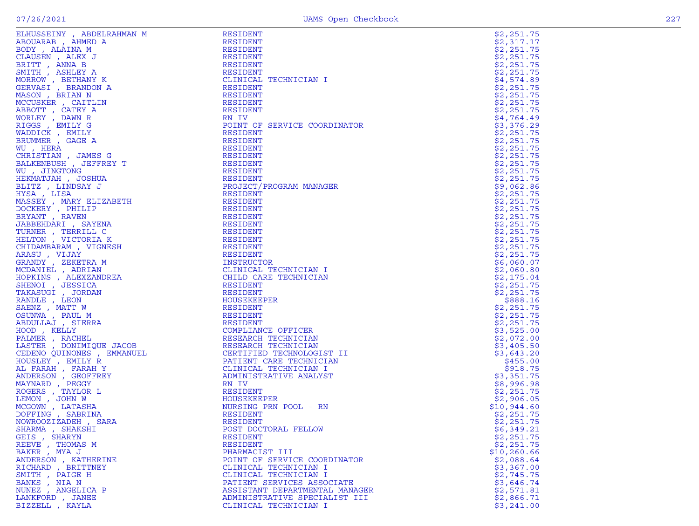|                                          | RESIDENT                                                                                                                                                                                                     | \$2,251.75               |
|------------------------------------------|--------------------------------------------------------------------------------------------------------------------------------------------------------------------------------------------------------------|--------------------------|
|                                          | RESIDENT                                                                                                                                                                                                     | \$2,317.17               |
|                                          | RESIDENT                                                                                                                                                                                                     | \$2,251.75               |
|                                          | RESIDENT                                                                                                                                                                                                     | \$2,251.75               |
|                                          | RESIDENT                                                                                                                                                                                                     | \$2,251.75               |
|                                          | RESIDENT                                                                                                                                                                                                     | \$2,251.75               |
|                                          | CLINICAL TECHNICIAN I                                                                                                                                                                                        | \$4,574.89               |
|                                          | RESIDENT                                                                                                                                                                                                     | \$2,251.75               |
|                                          | RESIDENT                                                                                                                                                                                                     | \$2,251.75               |
|                                          | RESIDENT                                                                                                                                                                                                     | \$2,251.75               |
|                                          | RESIDENT                                                                                                                                                                                                     | \$2,251.75               |
|                                          | RN IV                                                                                                                                                                                                        | \$4,764.49               |
|                                          | POINT OF SERVICE COORDINATOR                                                                                                                                                                                 | \$3,376.29               |
|                                          | RESIDENT                                                                                                                                                                                                     | \$2,251.75               |
|                                          | <b>RESIDENT</b>                                                                                                                                                                                              | \$2,251.75               |
|                                          | RESIDENT                                                                                                                                                                                                     | \$2,251.75               |
|                                          | NDOIDENT<br>RESIDENT<br>RESIDENT<br>RESIDENT<br>PROJECT/PROGRAM MANAGER<br>RESIDENT                                                                                                                          | \$2,251.75               |
|                                          |                                                                                                                                                                                                              | \$2,251.75               |
|                                          |                                                                                                                                                                                                              | \$2,251.75<br>\$2,251.75 |
|                                          |                                                                                                                                                                                                              | \$9,062.86               |
|                                          |                                                                                                                                                                                                              | \$2,251.75               |
|                                          | RESIDENT                                                                                                                                                                                                     | \$2,251.75               |
|                                          |                                                                                                                                                                                                              | \$2,251.75               |
|                                          |                                                                                                                                                                                                              | \$2,251.75               |
|                                          |                                                                                                                                                                                                              | \$2,251.75               |
|                                          |                                                                                                                                                                                                              | \$2,251.75               |
|                                          | RESIDENT<br>RESIDENT<br>RESIDENT<br>RESIDENT<br>RESIDENT<br>RESIDENT                                                                                                                                         | \$2,251.75               |
|                                          |                                                                                                                                                                                                              | \$2,251.75               |
|                                          | RESIDENT                                                                                                                                                                                                     | \$2,251.75               |
|                                          | INSTRUCTOR                                                                                                                                                                                                   | \$6,060.07               |
|                                          | CLINICAL TECHNICIAN I                                                                                                                                                                                        | \$2,060.80               |
|                                          | CHILD CARE TECHNICIAN                                                                                                                                                                                        | \$2,175.04               |
|                                          | RESIDENT                                                                                                                                                                                                     | \$2,251.75               |
|                                          | RESIDENT                                                                                                                                                                                                     | \$2,251.75               |
|                                          | HOUSEKEEPER                                                                                                                                                                                                  | \$888.16                 |
|                                          |                                                                                                                                                                                                              | \$2,251.75               |
|                                          | RESIDENT<br>RESIDENT<br>COMPLIANCE OFFICER<br>RESEARCH TECHNICIAN<br>RESEARCH TECHNICIAN<br>CERTIFIED TECHNOLOGI{<br>PATIENT CARE TECHNICI<br>CLINICAL TECHNICIAN I<br>ADMINISTRATIVE ANALYS'<br>RN IV<br>T- | \$2,251.75               |
|                                          |                                                                                                                                                                                                              | \$2,251.75               |
|                                          |                                                                                                                                                                                                              | \$3,525.00               |
|                                          |                                                                                                                                                                                                              | \$2,072.00               |
|                                          |                                                                                                                                                                                                              | \$3,405.50               |
|                                          | CERTIFIED TECHNOLOGIST II                                                                                                                                                                                    | \$3,643.20               |
|                                          | PATIENT CARE TECHNICIAN                                                                                                                                                                                      | \$455.00                 |
|                                          |                                                                                                                                                                                                              | \$918.75                 |
|                                          | ADMINISTRATIVE ANALYST                                                                                                                                                                                       | \$3,351.75               |
|                                          |                                                                                                                                                                                                              | \$8,996.98               |
|                                          | RESIDENT                                                                                                                                                                                                     | \$2,251.75               |
|                                          | HOUSEKEEPER                                                                                                                                                                                                  | \$2,906.05               |
|                                          | NURSING PRN POOL - RN                                                                                                                                                                                        | \$10,944.60              |
|                                          | RESIDENT                                                                                                                                                                                                     | \$2,251.75               |
|                                          | RESIDENT                                                                                                                                                                                                     | \$2,251.75               |
| SHARMA, SHAKSHI                          | POST DOCTORAL FELLOW                                                                                                                                                                                         | \$6,349.21               |
| GEIS, SHARYN                             | RESIDENT                                                                                                                                                                                                     | \$2,251.75               |
| REEVE , THOMAS M                         | RESIDENT                                                                                                                                                                                                     | \$2,251.75               |
| BAKER, MYA J                             | PHARMACIST III                                                                                                                                                                                               | \$10, 260.66             |
| ANDERSON, KATHERINE<br>RICHARD, BRITTNEY | POINT OF SERVICE COORDINATOR                                                                                                                                                                                 | \$2,088.64<br>\$3,367.00 |
|                                          | CLINICAL TECHNICIAN I                                                                                                                                                                                        |                          |
| SMITH, PAIGE H<br>BANKS , NIA N          | CLINICAL TECHNICIAN I<br>PATIENT SERVICES ASSOCIATE                                                                                                                                                          | \$2,745.75<br>\$3,646.74 |
| NUNEZ , ANGELICA P                       | ASSISTANT DEPARTMENTAL MANAGER                                                                                                                                                                               | \$2,571.81               |
| LANKFORD, JANEE                          | ADMINISTRATIVE SPECIALIST III                                                                                                                                                                                | \$2,866.71               |
| BIZZELL , KAYLA                          | CLINICAL TECHNICIAN I                                                                                                                                                                                        | \$3,241.00               |
|                                          |                                                                                                                                                                                                              |                          |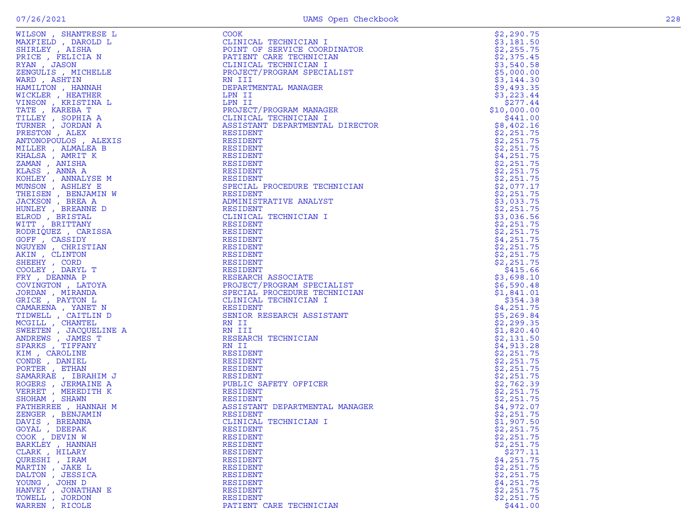| WILSON, SHANTRESE L                                                                    | <b>COOK</b>                                                                                                                              | \$2,290.75  |
|----------------------------------------------------------------------------------------|------------------------------------------------------------------------------------------------------------------------------------------|-------------|
| MAXFIELD, DAROLD L                                                                     | CLINICAL TECHNICIAN I                                                                                                                    | \$3,181.50  |
| SHIRLEY, AISHA                                                                         | POINT OF SERVICE COORDINATOR                                                                                                             | \$2,255.75  |
| PRICE, FELICIA N                                                                       | PATIENT CARE TECHNICIAN                                                                                                                  | \$2,375.45  |
| RYAN, JASON                                                                            | CLINICAL TECHNICIAN I                                                                                                                    | \$3,540.58  |
| ZENGULIS , MICHELLE                                                                    | PROJECT/PROGRAM SPECIALIST                                                                                                               | \$5,000.00  |
| WARD, ASHTIN                                                                           | RN III                                                                                                                                   | \$3,144.30  |
| HAMILTON , HANNAH                                                                      | DEPARTMENTAL MANAGER                                                                                                                     | \$9,493.35  |
| WICKLER, HEATHER                                                                       | LPN II                                                                                                                                   | \$3,223.44  |
| VINSON , KRISTINA L                                                                    |                                                                                                                                          |             |
|                                                                                        | LPN II                                                                                                                                   | \$277.44    |
| TATE , KAREBA T                                                                        | PROJECT/PROGRAM MANAGER                                                                                                                  | \$10,000.00 |
| TILLEY, SOPHIA A                                                                       | CLINICAL TECHNICIAN I                                                                                                                    | \$441.00    |
| TURNER, JORDAN A                                                                       | ASSISTANT DEPARTMENTAL DIRECTOR                                                                                                          | \$8,402.16  |
| PRESTON, ALEX                                                                          | RESIDENT                                                                                                                                 | \$2,251.75  |
| ANTONOPOULOS, ALEXIS                                                                   | RESIDENT                                                                                                                                 | \$2,251.75  |
| MILLER, ALMALEA B                                                                      | RESIDENT                                                                                                                                 | \$2,251.75  |
| KHALSA, AMRIT K                                                                        | RESIDENT                                                                                                                                 | \$4,251.75  |
| ZAMAN, ANISHA                                                                          | RESIDENT                                                                                                                                 | \$2,251.75  |
| KLASS , ANNA A                                                                         | RESIDENT                                                                                                                                 | \$2,251.75  |
| KOHLEY , ANNALYSE M                                                                    | RESIDENT                                                                                                                                 | \$2,251.75  |
| MUNSON, ASHLEY E                                                                       | SPECIAL PROCEDURE TECHNICIAN                                                                                                             | \$2,077.17  |
| THEISEN, BENJAMIN W                                                                    | SPECIENT<br>RESIDENT<br>ADMINISTRATIVE ANALYST<br>CONFIDENT CONNUT                                                                       | \$2,251.75  |
| JACKSON, BREA A                                                                        |                                                                                                                                          | \$3,033.75  |
| HUNLEY , BREANNE D                                                                     |                                                                                                                                          | \$2,251.75  |
| ELROD, BRISTAL                                                                         | CLINICAL TECHNICIAN I                                                                                                                    | \$3,036.56  |
| WITT, BRITTANY                                                                         | RESIDENT                                                                                                                                 | \$2,251.75  |
| RODRIQUEZ, CARISSA                                                                     | RESIDENT                                                                                                                                 | \$2,251.75  |
| GOFF, CASSIDY                                                                          |                                                                                                                                          |             |
|                                                                                        | RESIDENT                                                                                                                                 | \$4,251.75  |
| NGUYEN, CHRISTIAN                                                                      | RESIDENT                                                                                                                                 | \$2,251.75  |
| AKIN, CLINTON                                                                          | RESIDENT                                                                                                                                 | \$2,251.75  |
| SHEEHY, CORD                                                                           | RESIDENT                                                                                                                                 | \$2,251.75  |
| COOLEY, DARYL T                                                                        | RESIDENT                                                                                                                                 | \$415.66    |
| FRY, DEANNA P                                                                          | RESEARCH ASSOCIATE                                                                                                                       | \$3,698.10  |
| COVINGTON, LATOYA                                                                      |                                                                                                                                          | \$6,590.48  |
| JORDAN , MIRANDA                                                                       | RESEARCH ASSOCIATE<br>PROJECT/PROGRAM SPECIALIST<br>SPECIAL PROCEDURE TECHNICIA<br>CLINICAL TECHNICIAN I<br>SPECIAL PROCEDURE TECHNICIAN | \$1,841.01  |
| GRICE, PAYTON L                                                                        | CLINICAL TECHNICIAN I                                                                                                                    | \$354.38    |
| CAMARENA, YANET N                                                                      | RESIDENT                                                                                                                                 | \$4,251.75  |
| TIDWELL, CAITLIN D                                                                     | SENIOR RESEARCH ASSISTANT<br>SENIUR<br>RN II                                                                                             | \$5,269.84  |
| MCGILL , CHANTEL                                                                       |                                                                                                                                          | \$2,299.35  |
| N D<br>LINE A<br>T<br>IIM J<br>JE A<br>CH K<br>NAH M<br>NAH M<br>SWEETEN, JACQUELINE A | RN III                                                                                                                                   | \$1,820.40  |
| ANDREWS, JAMES T                                                                       | RESEARCH TECHNICIAN                                                                                                                      | \$2,131.50  |
| SPARKS, TIFFANY                                                                        | RN II                                                                                                                                    | \$4,913.28  |
| KIM , CAROLINE                                                                         | RESIDENT                                                                                                                                 | \$2,251.75  |
| CONDE, DANIEL                                                                          | RESIDENT                                                                                                                                 | \$2,251.75  |
| PORTER, ETHAN                                                                          | RESIDENT                                                                                                                                 | \$2,251.75  |
| SAMARRAE, IBRAHIM J                                                                    | RESIDENT                                                                                                                                 | \$2,251.75  |
| ROGERS, JERMAINE A                                                                     |                                                                                                                                          | \$2,762.39  |
| VERRET, MEREDITH K                                                                     | PUBLIC SAFETY OFFICER<br>RESIDENT                                                                                                        | \$2,251.75  |
|                                                                                        | RESIDENT                                                                                                                                 | \$2,251.75  |
| SHOHAM, SHAWN                                                                          |                                                                                                                                          |             |
| FATHERREE , HANNAH M                                                                   | ASSISTANT DEPARTMENTAL MANAGER                                                                                                           | \$4,972.07  |
| ZENGER , BENJAMIN                                                                      | RESIDENT                                                                                                                                 | \$2,251.75  |
| DAVIS , BREANNA                                                                        | CLINICAL TECHNICIAN I                                                                                                                    | \$1,907.50  |
| GOYAL , DEEPAK                                                                         | RESIDENT                                                                                                                                 | \$2,251.75  |
| COOK, DEVIN W                                                                          | RESIDENT                                                                                                                                 | \$2,251.75  |
| BARKLEY, HANNAH                                                                        | RESIDENT                                                                                                                                 | \$2,251.75  |
| CLARK, HILARY                                                                          | RESIDENT                                                                                                                                 | \$277.11    |
| QURESHI, IRAM                                                                          | RESIDENT                                                                                                                                 | \$4,251.75  |
| MARTIN, JAKE L                                                                         | RESIDENT                                                                                                                                 | \$2,251.75  |
| DALTON , JESSICA                                                                       | <b>RESIDENT</b>                                                                                                                          | \$2,251.75  |
| YOUNG, JOHN D                                                                          | RESIDENT                                                                                                                                 | \$4,251.75  |
| HANVEY , JONATHAN E                                                                    | RESIDENT                                                                                                                                 | \$2,251.75  |
| TOWELL, JORDON                                                                         | <b>RESIDENT</b>                                                                                                                          | \$2,251.75  |
| WARREN, RICOLE                                                                         | PATIENT CARE TECHNICIAN                                                                                                                  | \$441.00    |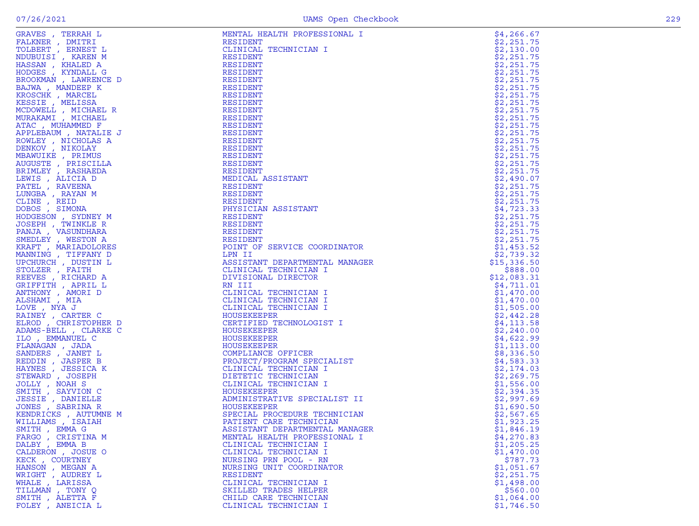| GRAVES , TERRAH L                     | MENTAL HEALTH PROFESSIONAL I                                                                                                                                                                                                                                                      | \$4,266.67               |
|---------------------------------------|-----------------------------------------------------------------------------------------------------------------------------------------------------------------------------------------------------------------------------------------------------------------------------------|--------------------------|
| FALKNER , DMITRI                      | RESIDENT                                                                                                                                                                                                                                                                          | \$2,251.75               |
| TOLBERT, ERNEST L                     | CLINICAL TECHNICIAN I                                                                                                                                                                                                                                                             | \$2,130.00               |
| NDUBUISI, KAREN M                     | RESIDENT                                                                                                                                                                                                                                                                          | \$2,251.75               |
| HASSAN, KHALED A                      | RESIDENT                                                                                                                                                                                                                                                                          | \$2,251.75               |
| HODGES , KYNDALL G                    | RESIDENT                                                                                                                                                                                                                                                                          | \$2,251.75               |
| BROOKMAN , LAWRENCE D                 | RESIDENT                                                                                                                                                                                                                                                                          | \$2,251.75               |
| BAJWA, MANDEEP K                      | RESIDENT                                                                                                                                                                                                                                                                          | \$2,251.75               |
| KROSCHK, MARCEL                       | RESIDENT                                                                                                                                                                                                                                                                          | \$2,251.75               |
| KESSIE , MELISSA                      | RESIDENT                                                                                                                                                                                                                                                                          | \$2,251.75               |
| MCDOWELL, MICHAEL R                   | RESIDENT                                                                                                                                                                                                                                                                          | \$2,251.75               |
| MURAKAMI , MICHAEL                    | RESIDENT                                                                                                                                                                                                                                                                          | \$2,251.75               |
| ATAC, MUHAMMED F                      | RESIDENT                                                                                                                                                                                                                                                                          | \$2,251.75               |
| APPLEBAUM, NATALIE J                  | RESIDENT                                                                                                                                                                                                                                                                          | \$2,251.75               |
| ROWLEY, NICHOLAS A                    | RESIDENT                                                                                                                                                                                                                                                                          | \$2,251.75               |
| DENKOV, NIKOLAY                       | RESIDENT                                                                                                                                                                                                                                                                          | \$2,251.75               |
| MBAWUIKE, PRIMUS                      | RESIDENT                                                                                                                                                                                                                                                                          | \$2,251.75               |
| AUGUSTE, PRISCILLA                    | RESIDENT                                                                                                                                                                                                                                                                          | \$2,251.75               |
| BRIMLEY, RASHAEDA                     | RESIDENT                                                                                                                                                                                                                                                                          | \$2,251.75               |
| LEWIS, ALICIA D                       | MEDICAL ASSISTANT                                                                                                                                                                                                                                                                 | \$2,490.07               |
| PATEL , RAVEENA                       | RESIDENT                                                                                                                                                                                                                                                                          | \$2,251.75               |
| LUNGBA, RAYAN M                       | RESIDENT                                                                                                                                                                                                                                                                          | \$2,251.75               |
| CLINE, REID                           | RESIDENT                                                                                                                                                                                                                                                                          | \$2,251.75               |
| DOBOS, SIMONA                         | PHYSICIAN ASSISTANT                                                                                                                                                                                                                                                               | \$4,723.33               |
| HODGESON, SYDNEY M                    | RESIDENT                                                                                                                                                                                                                                                                          | \$2,251.75               |
| JOSEPH , TWINKLE R                    | RESIDENT                                                                                                                                                                                                                                                                          | \$2,251.75               |
| PANJA, VASUNDHARA                     | RESIDENT                                                                                                                                                                                                                                                                          | \$2,251.75               |
| SMEDLEY, WESTON A                     | RESIDENT                                                                                                                                                                                                                                                                          | \$2,251.75               |
| KRAFT, MARIADOLORES                   | POINT OF SERVICE COORDINATOR                                                                                                                                                                                                                                                      | \$1,453.52               |
| MANNING, TIFFANY D                    | LPN II                                                                                                                                                                                                                                                                            | \$2,739.32               |
| UPCHURCH, DUSTIN L                    | ASSISTANT DEPARTMENTAL MANAGER                                                                                                                                                                                                                                                    | \$15,336.50              |
| STOLZER, FAITH                        | )ORDINATOR<br>TTAL MANAGER<br>Y I<br>R<br>N I<br>N I<br>N I<br>OGIST I<br>AN I<br>PECIALIST<br>AN I<br>PECIALIST II<br>S TECHNICIAN<br>MN I<br>MICIAN<br>MN I<br>MN I<br>TECHLIST<br>MN I<br>HECHLIST II<br>MN I<br>HECHLIST II<br>MN I<br>MN I<br>MN II<br>CLINICAL TECHNICIAN I | \$888.00                 |
| REEVES, RICHARD A                     | DIVISIONAL DIRECTOR                                                                                                                                                                                                                                                               | \$12,083.31              |
| GRIFFITH, APRIL L                     | RN III                                                                                                                                                                                                                                                                            | \$4,711.01               |
| ANTHONY, AMORI D                      | CLINICAL TECHNICIAN I                                                                                                                                                                                                                                                             | \$1,470.00               |
| ALSHAMI , MIA                         | CLINICAL TECHNICIAN I                                                                                                                                                                                                                                                             | \$1,470.00               |
| LOVE, NYA J                           | CLINICAL TECHNICIAN I                                                                                                                                                                                                                                                             | \$1,505.00               |
| RAINEY, CARTER C                      | HOUSEKEEPER                                                                                                                                                                                                                                                                       | \$2,442.28               |
| ELROD, CHRISTOPHER D                  | CERTIFIED TECHNOLOGIST I                                                                                                                                                                                                                                                          | \$4,113.58               |
| ADAMS-BELL , CLARKE C                 | HOUSEKEEPER                                                                                                                                                                                                                                                                       | \$2,240.00               |
| ILO, EMMANUEL C                       | HOUSEKEEPER                                                                                                                                                                                                                                                                       | \$4,622.99<br>\$1,113.00 |
| FLANAGAN, JADA                        | HOUSEKEEPER                                                                                                                                                                                                                                                                       |                          |
| SANDERS , JANET L<br>REDDIN, JASPER B | COMPLIANCE OFFICER                                                                                                                                                                                                                                                                | \$8,336.50               |
| HAYNES , JESSICA K                    | PROJECT/PROGRAM SPECIALIST<br>CLINICAL TECHNICIAN I                                                                                                                                                                                                                               | \$4,583.33<br>\$2,174.03 |
| STEWARD, JOSEPH                       |                                                                                                                                                                                                                                                                                   | \$2,269.75               |
| JOLLY, NOAH S                         | DIETETIC TECHNICIAN<br>CLINICAL TECHNICIAN I                                                                                                                                                                                                                                      | \$1,556.00               |
| SMITH, SAYVION C                      | HOUSEKEEPER                                                                                                                                                                                                                                                                       | \$2,394.35               |
| <b>JESSIE</b> , DANIELLE              | ADMINISTRATIVE SPECIALIST II                                                                                                                                                                                                                                                      | \$2,997.69               |
| JONES , SABRINA R                     | HOUSEKEEPER                                                                                                                                                                                                                                                                       | \$1,690.50               |
| KENDRICKS, AUTUMNE M                  | SPECIAL PROCEDURE TECHNICIAN                                                                                                                                                                                                                                                      | \$2,567.65               |
| WILLIAMS, ISAIAH                      | PATIENT CARE TECHNICIAN                                                                                                                                                                                                                                                           | \$1,923.25               |
| SMITH, EMMA G                         | ASSISTANT DEPARTMENTAL MANAGER                                                                                                                                                                                                                                                    | \$1,846.19               |
| FARGO, CRISTINA M                     | MENTAL HEALTH PROFESSIONAL I                                                                                                                                                                                                                                                      | \$4,270.83               |
| DALBY, EMMA B                         | CLINICAL TECHNICIAN I                                                                                                                                                                                                                                                             | \$1,205.25               |
| CALDERON, JOSUE O                     | CLINICAL TECHNICIAN I                                                                                                                                                                                                                                                             | \$1,470.00               |
| KECK, COURTNEY                        | NURSING PRN POOL - RN                                                                                                                                                                                                                                                             | \$787.73                 |
| HANSON, MEGAN A                       | NURSING UNIT COORDINATOR                                                                                                                                                                                                                                                          | \$1,051.67               |
| WRIGHT, AUDREY L                      | RESIDENT                                                                                                                                                                                                                                                                          | \$2,251.75               |
| WHALE, LARISSA                        | CLINICAL TECHNICIAN I                                                                                                                                                                                                                                                             | \$1,498.00               |
| TILLMAN, TONY Q                       | SKILLED TRADES HELPER                                                                                                                                                                                                                                                             | \$560.00                 |
| SMITH, ALETTA F                       | CHILD CARE TECHNICIAN                                                                                                                                                                                                                                                             | \$1,064.00               |
| FOLEY, ANEICIA L                      | CLINICAL TECHNICIAN I                                                                                                                                                                                                                                                             | \$1,746.50               |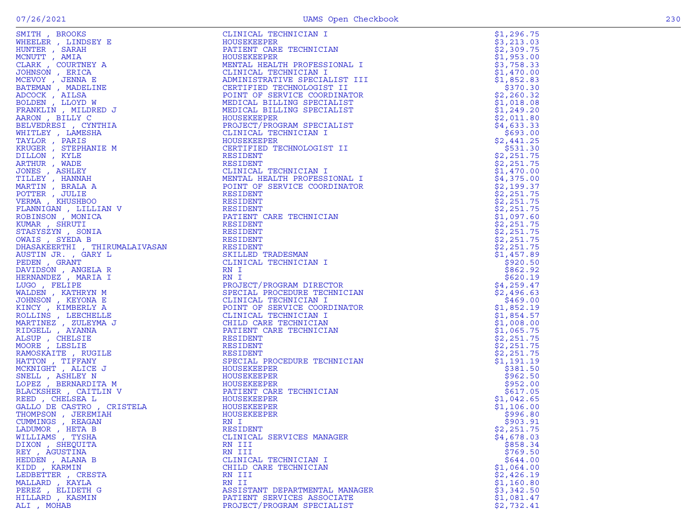| LADUMOR, HETA B    | RESIDENT                       | \$2,251.75 |
|--------------------|--------------------------------|------------|
| WILLIAMS , TYSHA   | CLINICAL SERVICES MANAGER      | \$4,678.03 |
| DIXON, SHEQUITA    | RN III                         | \$858.34   |
| REY , AGUSTINA     | RN III                         | \$769.50   |
| HEDDEN, ALANA B    | CLINICAL TECHNICIAN I          | \$644.00   |
| KIDD, KARMIN       | CHILD CARE TECHNICIAN          | \$1,064.00 |
| LEDBETTER , CRESTA | RN III                         | \$2,426.19 |
| MALLARD, KAYLA     | RN II                          | \$1,160.80 |
| PEREZ, ELIDETH G   | ASSISTANT DEPARTMENTAL MANAGER | \$3,342.50 |
| HILLARD, KASMIN    | PATIENT SERVICES ASSOCIATE     | \$1,081.47 |
| ALI . MOHAB        | PROJECT/PROGRAM SPECIALIST     | \$2,732.41 |
|                    |                                |            |